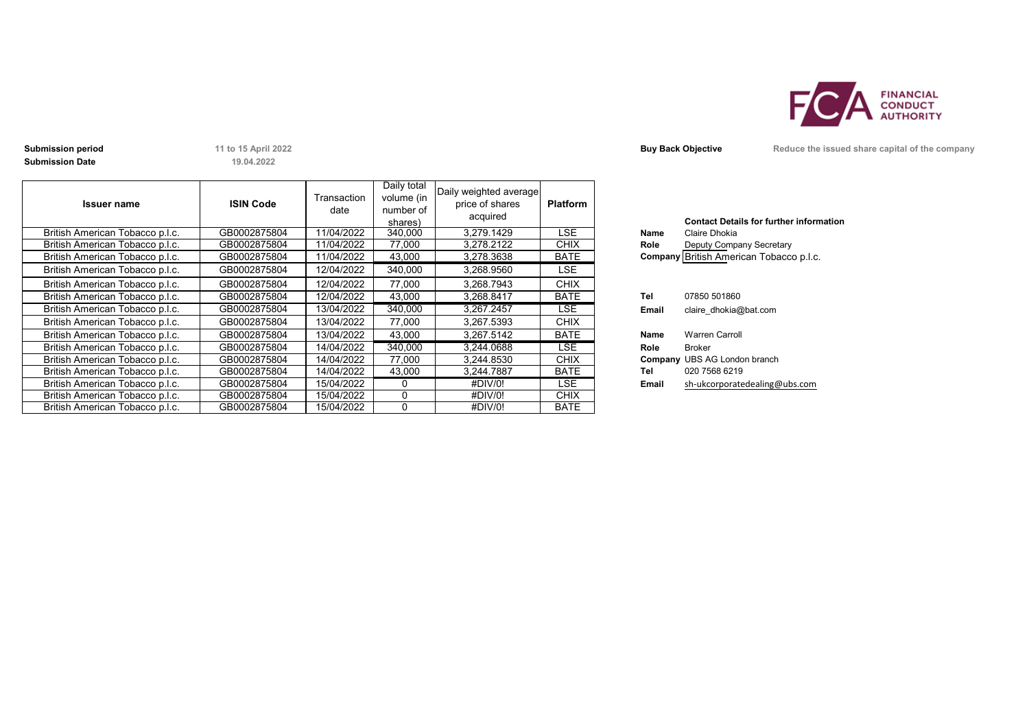

**Submission Date**

**19.04.2022**

| <b>Issuer name</b>              | <b>ISIN Code</b> | Transaction<br>date | Daily total<br>volume (in<br>number of<br>shares) | Daily weighted average<br>price of shares<br>acquired | <b>Platform</b> |       | <b>Contact Details for further inforn</b> |
|---------------------------------|------------------|---------------------|---------------------------------------------------|-------------------------------------------------------|-----------------|-------|-------------------------------------------|
| British American Tobacco p.l.c. | GB0002875804     | 11/04/2022          | 340,000                                           | 3.279.1429                                            | LSE.            | Name  | Claire Dhokia                             |
| British American Tobacco p.l.c. | GB0002875804     | 11/04/2022          | 77,000                                            | 3,278.2122                                            | <b>CHIX</b>     | Role  | Deputy Company Secretary                  |
| British American Tobacco p.l.c. | GB0002875804     | 11/04/2022          | 43,000                                            | 3,278.3638                                            | <b>BATE</b>     |       | Company British American Tobacco p.l.c.   |
| British American Tobacco p.l.c. | GB0002875804     | 12/04/2022          | 340,000                                           | 3,268.9560                                            | LSE.            |       |                                           |
| British American Tobacco p.l.c. | GB0002875804     | 12/04/2022          | 77,000                                            | 3,268.7943                                            | <b>CHIX</b>     |       |                                           |
| British American Tobacco p.l.c. | GB0002875804     | 12/04/2022          | 43.000                                            | 3.268.8417                                            | <b>BATE</b>     | Tel   | 07850 501860                              |
| British American Tobacco p.l.c. | GB0002875804     | 13/04/2022          | 340,000                                           | 3,267.2457                                            | LSE.            | Email | claire dhokia@bat.com                     |
| British American Tobacco p.l.c. | GB0002875804     | 13/04/2022          | 77,000                                            | 3,267.5393                                            | <b>CHIX</b>     |       |                                           |
| British American Tobacco p.l.c. | GB0002875804     | 13/04/2022          | 43,000                                            | 3,267.5142                                            | <b>BATE</b>     | Name  | <b>Warren Carroll</b>                     |
| British American Tobacco p.l.c. | GB0002875804     | 14/04/2022          | 340,000                                           | 3.244.0688                                            | LSE.            | Role  | <b>Broker</b>                             |
| British American Tobacco p.l.c. | GB0002875804     | 14/04/2022          | 77.000                                            | 3.244.8530                                            | <b>CHIX</b>     |       | <b>Company UBS AG London branch</b>       |
| British American Tobacco p.l.c. | GB0002875804     | 14/04/2022          | 43,000                                            | 3,244.7887                                            | <b>BATE</b>     | Tel   | 020 7568 6219                             |
| British American Tobacco p.l.c. | GB0002875804     | 15/04/2022          | 0                                                 | #DIV/0!                                               | LSE.            | Email | sh-ukcorporatedealing@ubs.com             |
| British American Tobacco p.l.c. | GB0002875804     | 15/04/2022          | $\Omega$                                          | #DIV/0!                                               | <b>CHIX</b>     |       |                                           |
| British American Tobacco p.l.c. | GB0002875804     | 15/04/2022          | 0                                                 | #DIV/0!                                               | <b>BATE</b>     |       |                                           |

**Submission period 11** to 15 April 2022 **Buy Back Objective Reduce the issued share capital of the company** 

|             | <b>Contact Details for further information</b> |
|-------------|------------------------------------------------|
| Name        | Claire Dhokia                                  |
| Role        | Deputy Company Secretary                       |
|             | Company British American Tobacco p.l.c.        |
|             |                                                |
|             |                                                |
| Tel         |                                                |
|             | 07850 501860                                   |
| Email       | claire dhokia@bat.com                          |
|             |                                                |
| <b>Name</b> | <b>Warren Carroll</b>                          |
| Role        | <b>Broker</b>                                  |
|             | <b>Company UBS AG London branch</b>            |
| Tel         | 020 7568 6219                                  |
| Email       | sh-ukcorporatedealing@ubs.com                  |
|             |                                                |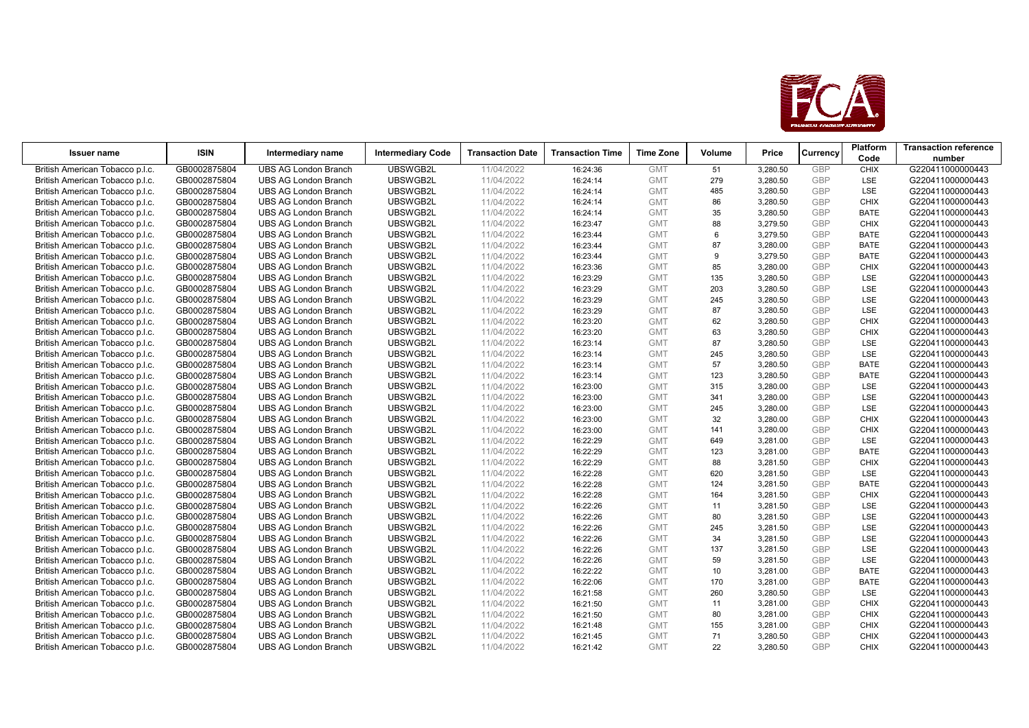

| <b>Issuer name</b>              | <b>ISIN</b>  | Intermediary name           | <b>Intermediary Code</b> | <b>Transaction Date</b> | <b>Transaction Time</b> | <b>Time Zone</b> | Volume | Price    | Currency   | <b>Platform</b> | <b>Transaction reference</b> |
|---------------------------------|--------------|-----------------------------|--------------------------|-------------------------|-------------------------|------------------|--------|----------|------------|-----------------|------------------------------|
|                                 |              |                             |                          |                         |                         |                  |        |          |            | Code            | number                       |
| British American Tobacco p.l.c. | GB0002875804 | <b>UBS AG London Branch</b> | UBSWGB2L                 | 11/04/2022              | 16:24:36                | <b>GMT</b>       | 51     | 3,280.50 | <b>GBP</b> | <b>CHIX</b>     | G220411000000443             |
| British American Tobacco p.l.c. | GB0002875804 | <b>UBS AG London Branch</b> | UBSWGB2L                 | 11/04/2022              | 16:24:14                | <b>GMT</b>       | 279    | 3,280.50 | <b>GBP</b> | <b>LSE</b>      | G220411000000443             |
| British American Tobacco p.l.c. | GB0002875804 | <b>UBS AG London Branch</b> | UBSWGB2L                 | 11/04/2022              | 16:24:14                | <b>GMT</b>       | 485    | 3,280.50 | <b>GBP</b> | <b>LSE</b>      | G220411000000443             |
| British American Tobacco p.l.c. | GB0002875804 | <b>UBS AG London Branch</b> | UBSWGB2L                 | 11/04/2022              | 16:24:14                | <b>GMT</b>       | 86     | 3,280.50 | <b>GBP</b> | <b>CHIX</b>     | G220411000000443             |
| British American Tobacco p.l.c. | GB0002875804 | <b>UBS AG London Branch</b> | UBSWGB2L                 | 11/04/2022              | 16:24:14                | <b>GMT</b>       | 35     | 3,280.50 | <b>GBP</b> | <b>BATE</b>     | G220411000000443             |
| British American Tobacco p.l.c. | GB0002875804 | <b>UBS AG London Branch</b> | UBSWGB2L                 | 11/04/2022              | 16:23:47                | <b>GMT</b>       | 88     | 3,279.50 | <b>GBP</b> | <b>CHIX</b>     | G220411000000443             |
| British American Tobacco p.l.c. | GB0002875804 | <b>UBS AG London Branch</b> | UBSWGB2L                 | 11/04/2022              | 16:23:44                | <b>GMT</b>       | 6      | 3,279.50 | <b>GBP</b> | <b>BATE</b>     | G220411000000443             |
| British American Tobacco p.l.c. | GB0002875804 | <b>UBS AG London Branch</b> | UBSWGB2L                 | 11/04/2022              | 16:23:44                | <b>GMT</b>       | 87     | 3,280.00 | <b>GBP</b> | <b>BATE</b>     | G220411000000443             |
| British American Tobacco p.l.c. | GB0002875804 | <b>UBS AG London Branch</b> | UBSWGB2L                 | 11/04/2022              | 16:23:44                | <b>GMT</b>       | 9      | 3,279.50 | <b>GBP</b> | <b>BATE</b>     | G220411000000443             |
| British American Tobacco p.l.c. | GB0002875804 | <b>UBS AG London Branch</b> | UBSWGB2L                 | 11/04/2022              | 16:23:36                | <b>GMT</b>       | 85     | 3,280.00 | <b>GBP</b> | <b>CHIX</b>     | G220411000000443             |
| British American Tobacco p.l.c. | GB0002875804 | <b>UBS AG London Branch</b> | UBSWGB2L                 | 11/04/2022              | 16:23:29                | <b>GMT</b>       | 135    | 3,280.50 | <b>GBP</b> | <b>LSE</b>      | G220411000000443             |
| British American Tobacco p.l.c. | GB0002875804 | <b>UBS AG London Branch</b> | UBSWGB2L                 | 11/04/2022              | 16:23:29                | <b>GMT</b>       | 203    | 3,280.50 | <b>GBP</b> | <b>LSE</b>      | G220411000000443             |
| British American Tobacco p.l.c. | GB0002875804 | <b>UBS AG London Branch</b> | UBSWGB2L                 | 11/04/2022              | 16:23:29                | <b>GMT</b>       | 245    | 3,280.50 | <b>GBP</b> | <b>LSE</b>      | G220411000000443             |
| British American Tobacco p.l.c. | GB0002875804 | <b>UBS AG London Branch</b> | UBSWGB2L                 | 11/04/2022              | 16:23:29                | <b>GMT</b>       | 87     | 3,280.50 | <b>GBP</b> | <b>LSE</b>      | G220411000000443             |
| British American Tobacco p.l.c. | GB0002875804 | <b>UBS AG London Branch</b> | UBSWGB2L                 | 11/04/2022              | 16:23:20                | <b>GMT</b>       | 62     | 3,280.50 | <b>GBP</b> | <b>CHIX</b>     | G220411000000443             |
| British American Tobacco p.l.c. | GB0002875804 | <b>UBS AG London Branch</b> | UBSWGB2L                 | 11/04/2022              | 16:23:20                | <b>GMT</b>       | 63     | 3,280.50 | <b>GBP</b> | <b>CHIX</b>     | G220411000000443             |
| British American Tobacco p.l.c. | GB0002875804 | <b>UBS AG London Branch</b> | UBSWGB2L                 | 11/04/2022              | 16:23:14                | <b>GMT</b>       | 87     | 3,280.50 | <b>GBP</b> | <b>LSE</b>      | G220411000000443             |
| British American Tobacco p.l.c. | GB0002875804 | <b>UBS AG London Branch</b> | UBSWGB2L                 | 11/04/2022              | 16:23:14                | <b>GMT</b>       | 245    | 3,280.50 | <b>GBP</b> | LSE             | G220411000000443             |
| British American Tobacco p.l.c. | GB0002875804 | <b>UBS AG London Branch</b> | UBSWGB2L                 | 11/04/2022              | 16:23:14                | <b>GMT</b>       | 57     | 3,280.50 | <b>GBP</b> | <b>BATE</b>     | G220411000000443             |
| British American Tobacco p.l.c. | GB0002875804 | <b>UBS AG London Branch</b> | UBSWGB2L                 | 11/04/2022              | 16:23:14                | <b>GMT</b>       | 123    | 3,280.50 | <b>GBP</b> | <b>BATE</b>     | G220411000000443             |
| British American Tobacco p.l.c. | GB0002875804 | <b>UBS AG London Branch</b> | UBSWGB2L                 | 11/04/2022              | 16:23:00                | <b>GMT</b>       | 315    | 3,280.00 | <b>GBP</b> | <b>LSE</b>      | G220411000000443             |
| British American Tobacco p.l.c. | GB0002875804 | <b>UBS AG London Branch</b> | UBSWGB2L                 | 11/04/2022              | 16:23:00                | <b>GMT</b>       | 341    | 3,280.00 | <b>GBP</b> | LSE             | G220411000000443             |
| British American Tobacco p.l.c. | GB0002875804 | <b>UBS AG London Branch</b> | UBSWGB2L                 | 11/04/2022              | 16:23:00                | <b>GMT</b>       | 245    | 3,280.00 | <b>GBP</b> | <b>LSE</b>      | G220411000000443             |
| British American Tobacco p.l.c. | GB0002875804 | <b>UBS AG London Branch</b> | UBSWGB2L                 | 11/04/2022              | 16:23:00                | <b>GMT</b>       | 32     | 3,280.00 | GBP        | <b>CHIX</b>     | G220411000000443             |
| British American Tobacco p.l.c. | GB0002875804 | <b>UBS AG London Branch</b> | UBSWGB2L                 | 11/04/2022              | 16:23:00                | <b>GMT</b>       | 141    | 3,280.00 | <b>GBP</b> | <b>CHIX</b>     | G220411000000443             |
| British American Tobacco p.l.c. | GB0002875804 | <b>UBS AG London Branch</b> | UBSWGB2L                 | 11/04/2022              | 16:22:29                | <b>GMT</b>       | 649    | 3,281.00 | <b>GBP</b> | LSE             | G220411000000443             |
| British American Tobacco p.l.c. | GB0002875804 | <b>UBS AG London Branch</b> | UBSWGB2L                 | 11/04/2022              | 16:22:29                | <b>GMT</b>       | 123    | 3,281.00 | <b>GBP</b> | <b>BATE</b>     | G220411000000443             |
| British American Tobacco p.l.c. | GB0002875804 | <b>UBS AG London Branch</b> | UBSWGB2L                 | 11/04/2022              | 16:22:29                | <b>GMT</b>       | 88     | 3,281.50 | <b>GBP</b> | <b>CHIX</b>     | G220411000000443             |
| British American Tobacco p.l.c. | GB0002875804 | <b>UBS AG London Branch</b> | UBSWGB2L                 | 11/04/2022              | 16:22:28                | <b>GMT</b>       | 620    | 3,281.50 | <b>GBP</b> | <b>LSE</b>      | G220411000000443             |
| British American Tobacco p.l.c. | GB0002875804 | <b>UBS AG London Branch</b> | UBSWGB2L                 | 11/04/2022              | 16:22:28                | <b>GMT</b>       | 124    | 3,281.50 | <b>GBP</b> | <b>BATE</b>     | G220411000000443             |
| British American Tobacco p.l.c. | GB0002875804 | <b>UBS AG London Branch</b> | UBSWGB2L                 | 11/04/2022              | 16:22:28                | <b>GMT</b>       | 164    | 3,281.50 | <b>GBP</b> | <b>CHIX</b>     | G220411000000443             |
| British American Tobacco p.l.c. | GB0002875804 | <b>UBS AG London Branch</b> | UBSWGB2L                 | 11/04/2022              | 16:22:26                | <b>GMT</b>       | 11     | 3,281.50 | <b>GBP</b> | <b>LSE</b>      | G220411000000443             |
| British American Tobacco p.l.c. | GB0002875804 | <b>UBS AG London Branch</b> | UBSWGB2L                 | 11/04/2022              | 16:22:26                | <b>GMT</b>       | 80     | 3,281.50 | <b>GBP</b> | LSE             | G220411000000443             |
| British American Tobacco p.l.c. | GB0002875804 | <b>UBS AG London Branch</b> | UBSWGB2L                 | 11/04/2022              | 16:22:26                | <b>GMT</b>       | 245    | 3,281.50 | GBP        | <b>LSE</b>      | G220411000000443             |
| British American Tobacco p.l.c. | GB0002875804 | <b>UBS AG London Branch</b> | UBSWGB2L                 | 11/04/2022              | 16:22:26                | <b>GMT</b>       | 34     | 3,281.50 | <b>GBP</b> | LSE             | G220411000000443             |
| British American Tobacco p.l.c. | GB0002875804 | <b>UBS AG London Branch</b> | UBSWGB2L                 | 11/04/2022              | 16:22:26                | <b>GMT</b>       | 137    | 3,281.50 | <b>GBP</b> | <b>LSE</b>      | G220411000000443             |
| British American Tobacco p.l.c. | GB0002875804 | <b>UBS AG London Branch</b> | UBSWGB2L                 | 11/04/2022              | 16:22:26                | <b>GMT</b>       | 59     | 3,281.50 | <b>GBP</b> | LSE             | G220411000000443             |
| British American Tobacco p.l.c. | GB0002875804 | <b>UBS AG London Branch</b> | UBSWGB2L                 | 11/04/2022              | 16:22:22                | <b>GMT</b>       | 10     | 3,281.00 | <b>GBP</b> | <b>BATE</b>     | G220411000000443             |
| British American Tobacco p.l.c. | GB0002875804 | <b>UBS AG London Branch</b> | UBSWGB2L                 | 11/04/2022              | 16:22:06                | <b>GMT</b>       | 170    | 3,281.00 | <b>GBP</b> | <b>BATE</b>     | G220411000000443             |
| British American Tobacco p.l.c. | GB0002875804 | <b>UBS AG London Branch</b> | UBSWGB2L                 | 11/04/2022              | 16:21:58                | <b>GMT</b>       | 260    | 3,280.50 | <b>GBP</b> | LSE             | G220411000000443             |
| British American Tobacco p.l.c. | GB0002875804 | <b>UBS AG London Branch</b> | UBSWGB2L                 | 11/04/2022              | 16:21:50                | <b>GMT</b>       | 11     | 3,281.00 | <b>GBP</b> | <b>CHIX</b>     | G220411000000443             |
| British American Tobacco p.l.c. | GB0002875804 | <b>UBS AG London Branch</b> | UBSWGB2L                 | 11/04/2022              | 16:21:50                | <b>GMT</b>       | 80     | 3,281.00 | <b>GBP</b> | <b>CHIX</b>     | G220411000000443             |
| British American Tobacco p.l.c. | GB0002875804 | <b>UBS AG London Branch</b> | UBSWGB2L                 | 11/04/2022              | 16:21:48                | <b>GMT</b>       | 155    | 3,281.00 | <b>GBP</b> | <b>CHIX</b>     | G220411000000443             |
| British American Tobacco p.l.c. | GB0002875804 | <b>UBS AG London Branch</b> | UBSWGB2L                 | 11/04/2022              | 16:21:45                | <b>GMT</b>       | 71     | 3,280.50 | <b>GBP</b> | <b>CHIX</b>     | G220411000000443             |
| British American Tobacco p.l.c. | GB0002875804 | <b>UBS AG London Branch</b> | UBSWGB2L                 | 11/04/2022              | 16:21:42                | <b>GMT</b>       | 22     | 3,280.50 | GBP        | <b>CHIX</b>     | G220411000000443             |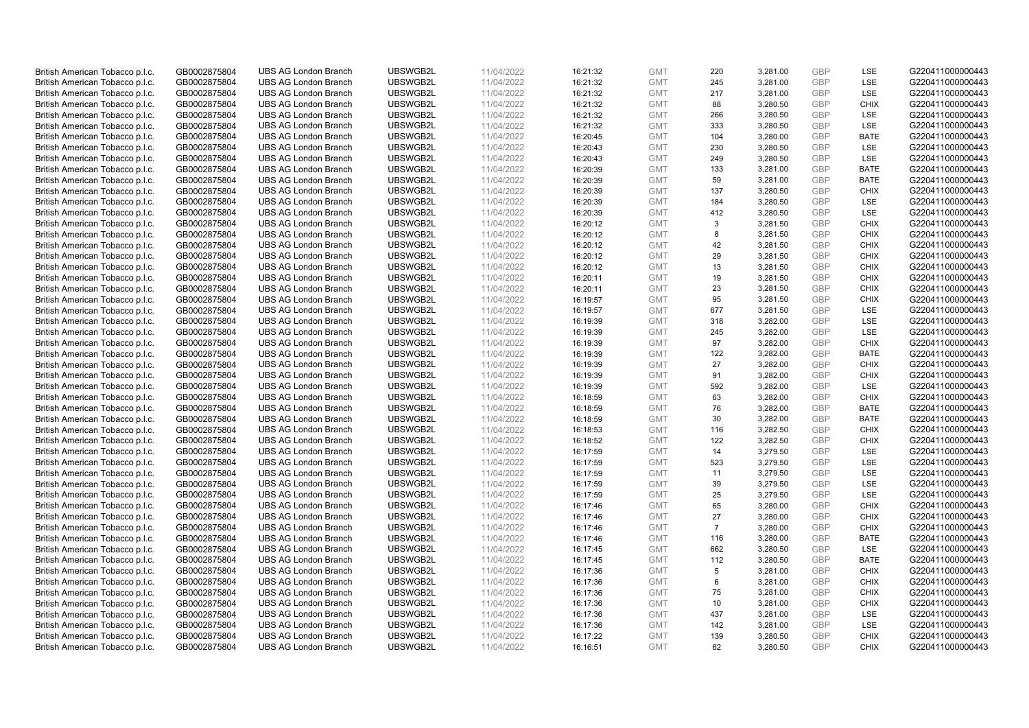| British American Tobacco p.l.c. | GB0002875804 | <b>UBS AG London Branch</b> | UBSWGB2L | 11/04/2022 | 16:21:32 | <b>GMT</b> | 220            | 3,281.00 | <b>GBP</b> | <b>LSE</b>  | G220411000000443 |
|---------------------------------|--------------|-----------------------------|----------|------------|----------|------------|----------------|----------|------------|-------------|------------------|
|                                 | GB0002875804 | <b>UBS AG London Branch</b> | UBSWGB2L | 11/04/2022 |          | <b>GMT</b> | 245            | 3,281.00 | <b>GBP</b> | LSE         | G220411000000443 |
| British American Tobacco p.l.c. |              |                             |          |            | 16:21:32 |            |                |          |            |             |                  |
| British American Tobacco p.l.c. | GB0002875804 | <b>UBS AG London Branch</b> | UBSWGB2L | 11/04/2022 | 16:21:32 | <b>GMT</b> | 217            | 3,281.00 | <b>GBP</b> | LSE         | G220411000000443 |
| British American Tobacco p.l.c. | GB0002875804 | <b>UBS AG London Branch</b> | UBSWGB2L | 11/04/2022 | 16:21:32 | <b>GMT</b> | 88             | 3,280.50 | <b>GBP</b> | <b>CHIX</b> | G220411000000443 |
| British American Tobacco p.l.c. | GB0002875804 | <b>UBS AG London Branch</b> | UBSWGB2L | 11/04/2022 | 16:21:32 | <b>GMT</b> | 266            | 3,280.50 | <b>GBP</b> | LSE         | G220411000000443 |
| British American Tobacco p.l.c. | GB0002875804 | <b>UBS AG London Branch</b> | UBSWGB2L | 11/04/2022 | 16:21:32 | <b>GMT</b> | 333            | 3,280.50 | <b>GBP</b> | <b>LSE</b>  | G220411000000443 |
| British American Tobacco p.l.c. | GB0002875804 | <b>UBS AG London Branch</b> | UBSWGB2L | 11/04/2022 | 16:20:45 | <b>GMT</b> | 104            | 3,280.00 | <b>GBP</b> | <b>BATE</b> | G220411000000443 |
| British American Tobacco p.l.c. | GB0002875804 | <b>UBS AG London Branch</b> | UBSWGB2L | 11/04/2022 | 16:20:43 | <b>GMT</b> | 230            | 3,280.50 | <b>GBP</b> | LSE         | G220411000000443 |
| British American Tobacco p.l.c. | GB0002875804 | <b>UBS AG London Branch</b> | UBSWGB2L | 11/04/2022 | 16:20:43 | <b>GMT</b> | 249            | 3,280.50 | <b>GBP</b> | LSE         | G220411000000443 |
| British American Tobacco p.l.c. | GB0002875804 | <b>UBS AG London Branch</b> | UBSWGB2L | 11/04/2022 | 16:20:39 | <b>GMT</b> | 133            | 3,281.00 | <b>GBP</b> | <b>BATE</b> | G220411000000443 |
| British American Tobacco p.l.c. | GB0002875804 | <b>UBS AG London Branch</b> | UBSWGB2L | 11/04/2022 | 16:20:39 | <b>GMT</b> | 59             | 3,281.00 | <b>GBP</b> | <b>BATE</b> | G220411000000443 |
| British American Tobacco p.l.c. | GB0002875804 | <b>UBS AG London Branch</b> | UBSWGB2L | 11/04/2022 | 16:20:39 | <b>GMT</b> | 137            | 3,280.50 | <b>GBP</b> | <b>CHIX</b> | G220411000000443 |
| British American Tobacco p.l.c. | GB0002875804 | <b>UBS AG London Branch</b> | UBSWGB2L | 11/04/2022 | 16:20:39 | <b>GMT</b> | 184            | 3,280.50 | <b>GBP</b> | LSE         | G220411000000443 |
| British American Tobacco p.l.c. | GB0002875804 | <b>UBS AG London Branch</b> | UBSWGB2L | 11/04/2022 | 16:20:39 | <b>GMT</b> | 412            | 3,280.50 | <b>GBP</b> | LSE         | G220411000000443 |
| British American Tobacco p.l.c. | GB0002875804 | <b>UBS AG London Branch</b> | UBSWGB2L | 11/04/2022 | 16:20:12 | <b>GMT</b> | 3              | 3,281.50 | <b>GBP</b> | <b>CHIX</b> | G220411000000443 |
| British American Tobacco p.l.c. | GB0002875804 | <b>UBS AG London Branch</b> | UBSWGB2L | 11/04/2022 | 16:20:12 | <b>GMT</b> | 8              | 3,281.50 | <b>GBP</b> | <b>CHIX</b> | G220411000000443 |
| British American Tobacco p.l.c. | GB0002875804 | <b>UBS AG London Branch</b> | UBSWGB2L | 11/04/2022 | 16:20:12 | <b>GMT</b> | 42             |          | <b>GBP</b> | <b>CHIX</b> | G220411000000443 |
|                                 |              |                             |          |            |          |            |                | 3,281.50 |            |             |                  |
| British American Tobacco p.l.c. | GB0002875804 | <b>UBS AG London Branch</b> | UBSWGB2L | 11/04/2022 | 16:20:12 | <b>GMT</b> | 29             | 3,281.50 | <b>GBP</b> | <b>CHIX</b> | G220411000000443 |
| British American Tobacco p.l.c. | GB0002875804 | <b>UBS AG London Branch</b> | UBSWGB2L | 11/04/2022 | 16:20:12 | <b>GMT</b> | 13             | 3,281.50 | <b>GBP</b> | <b>CHIX</b> | G220411000000443 |
| British American Tobacco p.l.c. | GB0002875804 | <b>UBS AG London Branch</b> | UBSWGB2L | 11/04/2022 | 16:20:11 | <b>GMT</b> | 19             | 3,281.50 | <b>GBP</b> | <b>CHIX</b> | G220411000000443 |
| British American Tobacco p.l.c. | GB0002875804 | <b>UBS AG London Branch</b> | UBSWGB2L | 11/04/2022 | 16:20:11 | <b>GMT</b> | 23             | 3,281.50 | <b>GBP</b> | <b>CHIX</b> | G220411000000443 |
| British American Tobacco p.l.c. | GB0002875804 | <b>UBS AG London Branch</b> | UBSWGB2L | 11/04/2022 | 16:19:57 | <b>GMT</b> | 95             | 3,281.50 | <b>GBP</b> | <b>CHIX</b> | G220411000000443 |
| British American Tobacco p.l.c. | GB0002875804 | <b>UBS AG London Branch</b> | UBSWGB2L | 11/04/2022 | 16:19:57 | <b>GMT</b> | 677            | 3,281.50 | <b>GBP</b> | LSE         | G220411000000443 |
| British American Tobacco p.l.c. | GB0002875804 | <b>UBS AG London Branch</b> | UBSWGB2L | 11/04/2022 | 16:19:39 | <b>GMT</b> | 318            | 3,282.00 | <b>GBP</b> | <b>LSE</b>  | G220411000000443 |
| British American Tobacco p.l.c. | GB0002875804 | <b>UBS AG London Branch</b> | UBSWGB2L | 11/04/2022 | 16:19:39 | <b>GMT</b> | 245            | 3,282.00 | <b>GBP</b> | LSE         | G220411000000443 |
| British American Tobacco p.l.c. | GB0002875804 | <b>UBS AG London Branch</b> | UBSWGB2L | 11/04/2022 | 16:19:39 | <b>GMT</b> | 97             | 3,282.00 | <b>GBP</b> | <b>CHIX</b> | G220411000000443 |
| British American Tobacco p.l.c. | GB0002875804 | <b>UBS AG London Branch</b> | UBSWGB2L | 11/04/2022 | 16:19:39 | <b>GMT</b> | 122            | 3,282.00 | <b>GBP</b> | <b>BATE</b> | G220411000000443 |
| British American Tobacco p.l.c. | GB0002875804 | <b>UBS AG London Branch</b> | UBSWGB2L | 11/04/2022 | 16:19:39 | <b>GMT</b> | 27             | 3,282.00 | <b>GBP</b> | <b>CHIX</b> | G220411000000443 |
| British American Tobacco p.l.c. | GB0002875804 | <b>UBS AG London Branch</b> | UBSWGB2L | 11/04/2022 | 16:19:39 | <b>GMT</b> | 91             | 3,282.00 | <b>GBP</b> | <b>CHIX</b> | G220411000000443 |
| British American Tobacco p.l.c. | GB0002875804 | <b>UBS AG London Branch</b> | UBSWGB2L | 11/04/2022 | 16:19:39 | <b>GMT</b> | 592            | 3,282.00 | <b>GBP</b> | LSE         | G220411000000443 |
| British American Tobacco p.l.c. | GB0002875804 | <b>UBS AG London Branch</b> | UBSWGB2L | 11/04/2022 | 16:18:59 | <b>GMT</b> | 63             | 3,282.00 | <b>GBP</b> | <b>CHIX</b> | G220411000000443 |
| British American Tobacco p.l.c. | GB0002875804 | <b>UBS AG London Branch</b> | UBSWGB2L | 11/04/2022 | 16:18:59 | <b>GMT</b> | 76             | 3,282.00 | <b>GBP</b> | BATE        | G220411000000443 |
| British American Tobacco p.l.c. | GB0002875804 | <b>UBS AG London Branch</b> | UBSWGB2L | 11/04/2022 | 16:18:59 | <b>GMT</b> | 30             | 3,282.00 | <b>GBP</b> | <b>BATE</b> | G220411000000443 |
| British American Tobacco p.l.c. | GB0002875804 | <b>UBS AG London Branch</b> | UBSWGB2L | 11/04/2022 | 16:18:53 | <b>GMT</b> | 116            | 3,282.50 | <b>GBP</b> | <b>CHIX</b> | G220411000000443 |
|                                 | GB0002875804 | <b>UBS AG London Branch</b> | UBSWGB2L | 11/04/2022 |          | <b>GMT</b> | 122            | 3,282.50 | <b>GBP</b> | <b>CHIX</b> | G220411000000443 |
| British American Tobacco p.l.c. |              |                             |          |            | 16:18:52 |            |                |          |            |             |                  |
| British American Tobacco p.l.c. | GB0002875804 | <b>UBS AG London Branch</b> | UBSWGB2L | 11/04/2022 | 16:17:59 | <b>GMT</b> | 14             | 3,279.50 | <b>GBP</b> | LSE         | G220411000000443 |
| British American Tobacco p.l.c. | GB0002875804 | <b>UBS AG London Branch</b> | UBSWGB2L | 11/04/2022 | 16:17:59 | <b>GMT</b> | 523            | 3,279.50 | <b>GBP</b> | LSE         | G220411000000443 |
| British American Tobacco p.l.c. | GB0002875804 | <b>UBS AG London Branch</b> | UBSWGB2L | 11/04/2022 | 16:17:59 | <b>GMT</b> | 11             | 3,279.50 | <b>GBP</b> | LSE         | G220411000000443 |
| British American Tobacco p.l.c. | GB0002875804 | <b>UBS AG London Branch</b> | UBSWGB2L | 11/04/2022 | 16:17:59 | <b>GMT</b> | 39             | 3,279.50 | <b>GBP</b> | LSE         | G220411000000443 |
| British American Tobacco p.l.c. | GB0002875804 | <b>UBS AG London Branch</b> | UBSWGB2L | 11/04/2022 | 16:17:59 | <b>GMT</b> | 25             | 3,279.50 | <b>GBP</b> | <b>LSE</b>  | G220411000000443 |
| British American Tobacco p.l.c. | GB0002875804 | <b>UBS AG London Branch</b> | UBSWGB2L | 11/04/2022 | 16:17:46 | <b>GMT</b> | 65             | 3,280.00 | <b>GBP</b> | <b>CHIX</b> | G220411000000443 |
| British American Tobacco p.l.c. | GB0002875804 | <b>UBS AG London Branch</b> | UBSWGB2L | 11/04/2022 | 16:17:46 | <b>GMT</b> | 27             | 3,280.00 | <b>GBP</b> | <b>CHIX</b> | G220411000000443 |
| British American Tobacco p.l.c. | GB0002875804 | <b>UBS AG London Branch</b> | UBSWGB2L | 11/04/2022 | 16:17:46 | <b>GMT</b> | $\overline{7}$ | 3,280.00 | <b>GBP</b> | <b>CHIX</b> | G220411000000443 |
| British American Tobacco p.l.c. | GB0002875804 | <b>UBS AG London Branch</b> | UBSWGB2L | 11/04/2022 | 16:17:46 | <b>GMT</b> | 116            | 3,280.00 | <b>GBP</b> | <b>BATE</b> | G220411000000443 |
| British American Tobacco p.l.c. | GB0002875804 | UBS AG London Branch        | UBSWGB2L | 11/04/2022 | 16:17:45 | <b>GMT</b> | 662            | 3,280.50 | <b>GBP</b> | <b>LSE</b>  | G220411000000443 |
| British American Tobacco p.l.c. | GB0002875804 | <b>UBS AG London Branch</b> | UBSWGB2L | 11/04/2022 | 16:17:45 | <b>GMT</b> | 112            | 3,280.50 | <b>GBP</b> | <b>BATE</b> | G220411000000443 |
| British American Tobacco p.l.c. | GB0002875804 | <b>UBS AG London Branch</b> | UBSWGB2L | 11/04/2022 | 16:17:36 | <b>GMT</b> | 5              | 3,281.00 | <b>GBP</b> | <b>CHIX</b> | G220411000000443 |
| British American Tobacco p.l.c. | GB0002875804 | <b>UBS AG London Branch</b> | UBSWGB2L | 11/04/2022 | 16:17:36 | <b>GMT</b> | 6              | 3,281.00 | <b>GBP</b> | <b>CHIX</b> | G220411000000443 |
| British American Tobacco p.l.c. | GB0002875804 | <b>UBS AG London Branch</b> | UBSWGB2L | 11/04/2022 | 16:17:36 | GMT        | 75             | 3,281.00 | <b>GBP</b> | <b>CHIX</b> | G220411000000443 |
| British American Tobacco p.l.c. | GB0002875804 | <b>UBS AG London Branch</b> | UBSWGB2L | 11/04/2022 | 16:17:36 | <b>GMT</b> | 10             | 3,281.00 | <b>GBP</b> | <b>CHIX</b> | G220411000000443 |
| British American Tobacco p.l.c. | GB0002875804 | <b>UBS AG London Branch</b> | UBSWGB2L | 11/04/2022 | 16:17:36 | <b>GMT</b> | 437            | 3,281.00 | <b>GBP</b> | LSE         | G220411000000443 |
| British American Tobacco p.l.c. | GB0002875804 | <b>UBS AG London Branch</b> | UBSWGB2L | 11/04/2022 | 16:17:36 | <b>GMT</b> | 142            | 3,281.00 | <b>GBP</b> | LSE         | G220411000000443 |
| British American Tobacco p.l.c. | GB0002875804 | <b>UBS AG London Branch</b> | UBSWGB2L | 11/04/2022 | 16:17:22 | <b>GMT</b> | 139            | 3,280.50 | <b>GBP</b> | <b>CHIX</b> | G220411000000443 |
| British American Tobacco p.l.c. | GB0002875804 | <b>UBS AG London Branch</b> | UBSWGB2L | 11/04/2022 | 16:16:51 | <b>GMT</b> | 62             | 3,280.50 | GBP        | <b>CHIX</b> | G220411000000443 |
|                                 |              |                             |          |            |          |            |                |          |            |             |                  |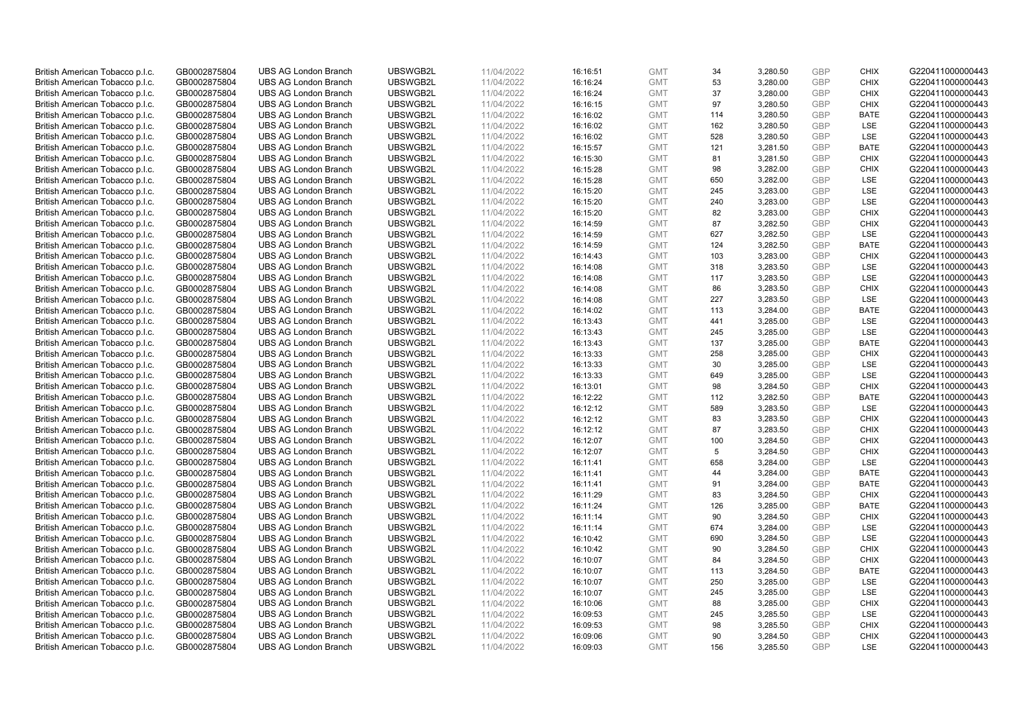| British American Tobacco p.l.c. | GB0002875804 | <b>UBS AG London Branch</b> | UBSWGB2L | 11/04/2022 | 16:16:51 | <b>GMT</b> | 34  | 3,280.50 | <b>GBP</b> | <b>CHIX</b> | G220411000000443 |
|---------------------------------|--------------|-----------------------------|----------|------------|----------|------------|-----|----------|------------|-------------|------------------|
|                                 | GB0002875804 | <b>UBS AG London Branch</b> | UBSWGB2L | 11/04/2022 |          | <b>GMT</b> | 53  | 3,280.00 | <b>GBP</b> | <b>CHIX</b> | G220411000000443 |
| British American Tobacco p.l.c. |              |                             |          |            | 16:16:24 |            |     |          |            |             |                  |
| British American Tobacco p.l.c. | GB0002875804 | <b>UBS AG London Branch</b> | UBSWGB2L | 11/04/2022 | 16:16:24 | <b>GMT</b> | 37  | 3,280.00 | <b>GBP</b> | <b>CHIX</b> | G220411000000443 |
| British American Tobacco p.l.c. | GB0002875804 | <b>UBS AG London Branch</b> | UBSWGB2L | 11/04/2022 | 16:16:15 | <b>GMT</b> | 97  | 3,280.50 | <b>GBP</b> | <b>CHIX</b> | G220411000000443 |
| British American Tobacco p.l.c. | GB0002875804 | <b>UBS AG London Branch</b> | UBSWGB2L | 11/04/2022 | 16:16:02 | <b>GMT</b> | 114 | 3,280.50 | <b>GBP</b> | <b>BATE</b> | G220411000000443 |
| British American Tobacco p.l.c. | GB0002875804 | <b>UBS AG London Branch</b> | UBSWGB2L | 11/04/2022 | 16:16:02 | <b>GMT</b> | 162 | 3,280.50 | <b>GBP</b> | <b>LSE</b>  | G220411000000443 |
| British American Tobacco p.l.c. | GB0002875804 | <b>UBS AG London Branch</b> | UBSWGB2L | 11/04/2022 | 16:16:02 | <b>GMT</b> | 528 | 3,280.50 | <b>GBP</b> | LSE         | G220411000000443 |
| British American Tobacco p.l.c. | GB0002875804 | <b>UBS AG London Branch</b> | UBSWGB2L | 11/04/2022 | 16:15:57 | <b>GMT</b> | 121 | 3,281.50 | <b>GBP</b> | <b>BATE</b> | G220411000000443 |
| British American Tobacco p.l.c. | GB0002875804 | <b>UBS AG London Branch</b> | UBSWGB2L | 11/04/2022 | 16:15:30 | <b>GMT</b> | 81  | 3,281.50 | <b>GBP</b> | <b>CHIX</b> | G220411000000443 |
| British American Tobacco p.l.c. | GB0002875804 | <b>UBS AG London Branch</b> | UBSWGB2L | 11/04/2022 | 16:15:28 | <b>GMT</b> | 98  | 3,282.00 | <b>GBP</b> | <b>CHIX</b> | G220411000000443 |
| British American Tobacco p.l.c. | GB0002875804 | <b>UBS AG London Branch</b> | UBSWGB2L | 11/04/2022 | 16:15:28 | <b>GMT</b> | 650 | 3,282.00 | <b>GBP</b> | <b>LSE</b>  | G220411000000443 |
| British American Tobacco p.l.c. | GB0002875804 | <b>UBS AG London Branch</b> | UBSWGB2L | 11/04/2022 | 16:15:20 | <b>GMT</b> | 245 | 3,283.00 | <b>GBP</b> | LSE         | G220411000000443 |
| British American Tobacco p.l.c. | GB0002875804 | <b>UBS AG London Branch</b> | UBSWGB2L | 11/04/2022 | 16:15:20 | <b>GMT</b> | 240 | 3,283.00 | <b>GBP</b> | LSE         | G220411000000443 |
| British American Tobacco p.l.c. | GB0002875804 | <b>UBS AG London Branch</b> | UBSWGB2L | 11/04/2022 | 16:15:20 | <b>GMT</b> | 82  | 3,283.00 | <b>GBP</b> | <b>CHIX</b> | G220411000000443 |
|                                 |              |                             | UBSWGB2L | 11/04/2022 |          | <b>GMT</b> | 87  | 3,282.50 | <b>GBP</b> | <b>CHIX</b> |                  |
| British American Tobacco p.l.c. | GB0002875804 | <b>UBS AG London Branch</b> |          |            | 16:14:59 |            |     |          |            |             | G220411000000443 |
| British American Tobacco p.l.c. | GB0002875804 | <b>UBS AG London Branch</b> | UBSWGB2L | 11/04/2022 | 16:14:59 | <b>GMT</b> | 627 | 3,282.50 | <b>GBP</b> | LSE         | G220411000000443 |
| British American Tobacco p.l.c. | GB0002875804 | <b>UBS AG London Branch</b> | UBSWGB2L | 11/04/2022 | 16:14:59 | <b>GMT</b> | 124 | 3,282.50 | <b>GBP</b> | <b>BATE</b> | G220411000000443 |
| British American Tobacco p.l.c. | GB0002875804 | <b>UBS AG London Branch</b> | UBSWGB2L | 11/04/2022 | 16:14:43 | <b>GMT</b> | 103 | 3,283.00 | <b>GBP</b> | <b>CHIX</b> | G220411000000443 |
| British American Tobacco p.l.c. | GB0002875804 | <b>UBS AG London Branch</b> | UBSWGB2L | 11/04/2022 | 16:14:08 | <b>GMT</b> | 318 | 3,283.50 | <b>GBP</b> | <b>LSE</b>  | G220411000000443 |
| British American Tobacco p.l.c. | GB0002875804 | <b>UBS AG London Branch</b> | UBSWGB2L | 11/04/2022 | 16:14:08 | <b>GMT</b> | 117 | 3,283.50 | <b>GBP</b> | LSE         | G220411000000443 |
| British American Tobacco p.l.c. | GB0002875804 | <b>UBS AG London Branch</b> | UBSWGB2L | 11/04/2022 | 16:14:08 | <b>GMT</b> | 86  | 3,283.50 | <b>GBP</b> | <b>CHIX</b> | G220411000000443 |
| British American Tobacco p.l.c. | GB0002875804 | <b>UBS AG London Branch</b> | UBSWGB2L | 11/04/2022 | 16:14:08 | <b>GMT</b> | 227 | 3,283.50 | <b>GBP</b> | LSE         | G220411000000443 |
| British American Tobacco p.l.c. | GB0002875804 | <b>UBS AG London Branch</b> | UBSWGB2L | 11/04/2022 | 16:14:02 | <b>GMT</b> | 113 | 3,284.00 | <b>GBP</b> | <b>BATE</b> | G220411000000443 |
| British American Tobacco p.l.c. | GB0002875804 | <b>UBS AG London Branch</b> | UBSWGB2L | 11/04/2022 | 16:13:43 | <b>GMT</b> | 441 | 3,285.00 | <b>GBP</b> | <b>LSE</b>  | G220411000000443 |
| British American Tobacco p.l.c. | GB0002875804 | <b>UBS AG London Branch</b> | UBSWGB2L | 11/04/2022 | 16:13:43 | <b>GMT</b> | 245 | 3,285.00 | <b>GBP</b> | LSE         | G220411000000443 |
| British American Tobacco p.l.c. | GB0002875804 | <b>UBS AG London Branch</b> | UBSWGB2L | 11/04/2022 | 16:13:43 | <b>GMT</b> | 137 | 3,285.00 | <b>GBP</b> | <b>BATE</b> | G220411000000443 |
| British American Tobacco p.l.c. | GB0002875804 | <b>UBS AG London Branch</b> | UBSWGB2L | 11/04/2022 | 16:13:33 | <b>GMT</b> | 258 | 3,285.00 | <b>GBP</b> | <b>CHIX</b> | G220411000000443 |
| British American Tobacco p.l.c. | GB0002875804 | <b>UBS AG London Branch</b> | UBSWGB2L | 11/04/2022 | 16:13:33 | <b>GMT</b> | 30  | 3,285.00 | <b>GBP</b> | LSE         | G220411000000443 |
|                                 |              | <b>UBS AG London Branch</b> | UBSWGB2L |            |          |            | 649 |          |            | LSE         | G220411000000443 |
| British American Tobacco p.l.c. | GB0002875804 |                             |          | 11/04/2022 | 16:13:33 | <b>GMT</b> |     | 3,285.00 | <b>GBP</b> |             |                  |
| British American Tobacco p.l.c. | GB0002875804 | <b>UBS AG London Branch</b> | UBSWGB2L | 11/04/2022 | 16:13:01 | <b>GMT</b> | 98  | 3,284.50 | <b>GBP</b> | <b>CHIX</b> | G220411000000443 |
| British American Tobacco p.l.c. | GB0002875804 | <b>UBS AG London Branch</b> | UBSWGB2L | 11/04/2022 | 16:12:22 | <b>GMT</b> | 112 | 3,282.50 | <b>GBP</b> | <b>BATE</b> | G220411000000443 |
| British American Tobacco p.l.c. | GB0002875804 | <b>UBS AG London Branch</b> | UBSWGB2L | 11/04/2022 | 16:12:12 | <b>GMT</b> | 589 | 3,283.50 | <b>GBP</b> | LSE         | G220411000000443 |
| British American Tobacco p.l.c. | GB0002875804 | <b>UBS AG London Branch</b> | UBSWGB2L | 11/04/2022 | 16:12:12 | <b>GMT</b> | 83  | 3,283.50 | <b>GBP</b> | <b>CHIX</b> | G220411000000443 |
| British American Tobacco p.l.c. | GB0002875804 | <b>UBS AG London Branch</b> | UBSWGB2L | 11/04/2022 | 16:12:12 | <b>GMT</b> | 87  | 3,283.50 | <b>GBP</b> | <b>CHIX</b> | G220411000000443 |
| British American Tobacco p.l.c. | GB0002875804 | <b>UBS AG London Branch</b> | UBSWGB2L | 11/04/2022 | 16:12:07 | <b>GMT</b> | 100 | 3,284.50 | <b>GBP</b> | <b>CHIX</b> | G220411000000443 |
| British American Tobacco p.l.c. | GB0002875804 | <b>UBS AG London Branch</b> | UBSWGB2L | 11/04/2022 | 16:12:07 | <b>GMT</b> | 5   | 3,284.50 | <b>GBP</b> | <b>CHIX</b> | G220411000000443 |
| British American Tobacco p.l.c. | GB0002875804 | <b>UBS AG London Branch</b> | UBSWGB2L | 11/04/2022 | 16:11:41 | <b>GMT</b> | 658 | 3,284.00 | <b>GBP</b> | LSE         | G220411000000443 |
| British American Tobacco p.l.c. | GB0002875804 | <b>UBS AG London Branch</b> | UBSWGB2L | 11/04/2022 | 16:11:41 | <b>GMT</b> | 44  | 3,284.00 | <b>GBP</b> | <b>BATE</b> | G220411000000443 |
| British American Tobacco p.l.c. | GB0002875804 | <b>UBS AG London Branch</b> | UBSWGB2L | 11/04/2022 | 16:11:41 | <b>GMT</b> | 91  | 3,284.00 | <b>GBP</b> | <b>BATE</b> | G220411000000443 |
| British American Tobacco p.l.c. | GB0002875804 | <b>UBS AG London Branch</b> | UBSWGB2L | 11/04/2022 | 16:11:29 | <b>GMT</b> | 83  | 3,284.50 | <b>GBP</b> | <b>CHIX</b> | G220411000000443 |
| British American Tobacco p.l.c. | GB0002875804 | <b>UBS AG London Branch</b> | UBSWGB2L | 11/04/2022 | 16:11:24 | <b>GMT</b> | 126 | 3,285.00 | <b>GBP</b> | <b>BATE</b> | G220411000000443 |
| British American Tobacco p.l.c. | GB0002875804 | <b>UBS AG London Branch</b> | UBSWGB2L | 11/04/2022 | 16:11:14 | <b>GMT</b> | 90  | 3,284.50 | <b>GBP</b> | <b>CHIX</b> | G220411000000443 |
| British American Tobacco p.l.c. | GB0002875804 | <b>UBS AG London Branch</b> | UBSWGB2L | 11/04/2022 | 16:11:14 | <b>GMT</b> | 674 | 3,284.00 | <b>GBP</b> | LSE         | G220411000000443 |
| British American Tobacco p.l.c. | GB0002875804 | <b>UBS AG London Branch</b> | UBSWGB2L | 11/04/2022 |          | <b>GMT</b> | 690 | 3,284.50 | <b>GBP</b> | LSE         | G220411000000443 |
|                                 |              |                             |          |            | 16:10:42 |            |     |          |            |             |                  |
| British American Tobacco p.l.c. | GB0002875804 | UBS AG London Branch        | UBSWGB2L | 11/04/2022 | 16:10:42 | <b>GMT</b> | 90  | 3,284.50 | <b>GBP</b> | <b>CHIX</b> | G220411000000443 |
| British American Tobacco p.l.c. | GB0002875804 | <b>UBS AG London Branch</b> | UBSWGB2L | 11/04/2022 | 16:10:07 | <b>GMT</b> | 84  | 3,284.50 | <b>GBP</b> | <b>CHIX</b> | G220411000000443 |
| British American Tobacco p.l.c. | GB0002875804 | <b>UBS AG London Branch</b> | UBSWGB2L | 11/04/2022 | 16:10:07 | <b>GMT</b> | 113 | 3,284.50 | <b>GBP</b> | <b>BATE</b> | G220411000000443 |
| British American Tobacco p.l.c. | GB0002875804 | <b>UBS AG London Branch</b> | UBSWGB2L | 11/04/2022 | 16:10:07 | <b>GMT</b> | 250 | 3,285.00 | <b>GBP</b> | LSE         | G220411000000443 |
| British American Tobacco p.l.c. | GB0002875804 | <b>UBS AG London Branch</b> | UBSWGB2L | 11/04/2022 | 16:10:07 | GMT        | 245 | 3,285.00 | <b>GBP</b> | LSE         | G220411000000443 |
| British American Tobacco p.l.c. | GB0002875804 | <b>UBS AG London Branch</b> | UBSWGB2L | 11/04/2022 | 16:10:06 | <b>GMT</b> | 88  | 3,285.00 | <b>GBP</b> | <b>CHIX</b> | G220411000000443 |
| British American Tobacco p.l.c. | GB0002875804 | <b>UBS AG London Branch</b> | UBSWGB2L | 11/04/2022 | 16:09:53 | <b>GMT</b> | 245 | 3,285.50 | <b>GBP</b> | LSE         | G220411000000443 |
| British American Tobacco p.l.c. | GB0002875804 | <b>UBS AG London Branch</b> | UBSWGB2L | 11/04/2022 | 16:09:53 | <b>GMT</b> | 98  | 3,285.50 | <b>GBP</b> | <b>CHIX</b> | G220411000000443 |
| British American Tobacco p.l.c. | GB0002875804 | <b>UBS AG London Branch</b> | UBSWGB2L | 11/04/2022 | 16:09:06 | <b>GMT</b> | 90  | 3,284.50 | <b>GBP</b> | <b>CHIX</b> | G220411000000443 |
| British American Tobacco p.l.c. | GB0002875804 | <b>UBS AG London Branch</b> | UBSWGB2L | 11/04/2022 | 16:09:03 | <b>GMT</b> | 156 | 3.285.50 | GBP        | <b>LSE</b>  | G220411000000443 |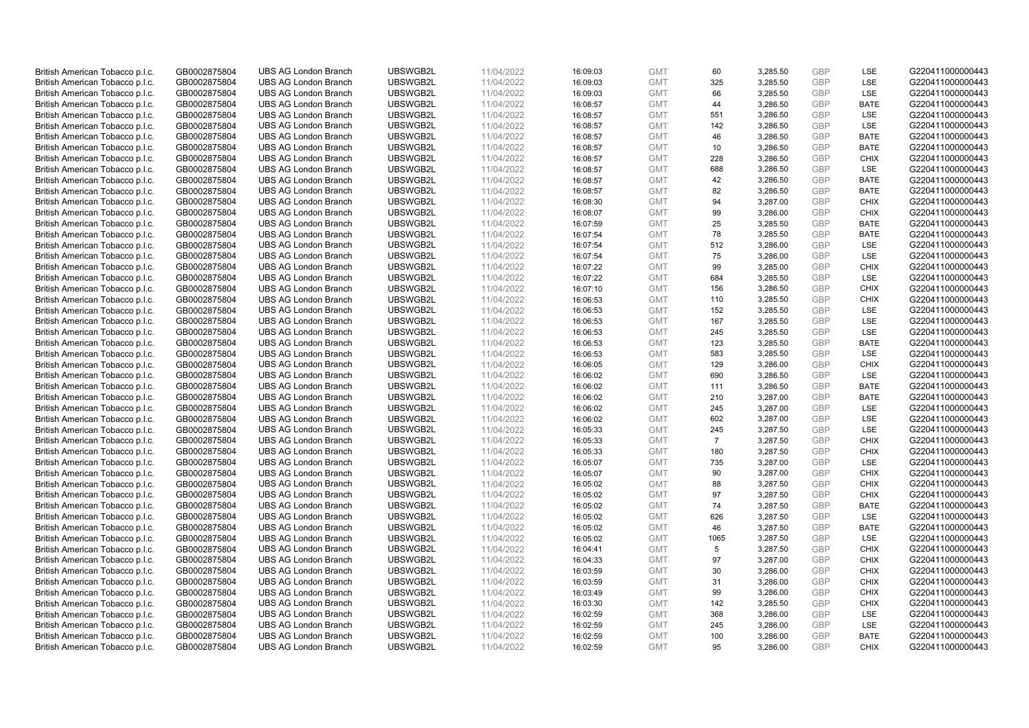| British American Tobacco p.l.c. | GB0002875804 | <b>UBS AG London Branch</b>                                | UBSWGB2L | 11/04/2022 | 16:09:03 | <b>GMT</b> | 60             | 3,285.50 | <b>GBP</b> | <b>LSE</b>  | G220411000000443 |
|---------------------------------|--------------|------------------------------------------------------------|----------|------------|----------|------------|----------------|----------|------------|-------------|------------------|
|                                 | GB0002875804 | <b>UBS AG London Branch</b>                                | UBSWGB2L | 11/04/2022 |          | <b>GMT</b> | 325            | 3,285.50 | <b>GBP</b> | LSE         | G220411000000443 |
| British American Tobacco p.l.c. |              |                                                            |          |            | 16:09:03 |            |                |          |            |             |                  |
| British American Tobacco p.l.c. | GB0002875804 | <b>UBS AG London Branch</b>                                | UBSWGB2L | 11/04/2022 | 16:09:03 | <b>GMT</b> | 66             | 3,285.50 | <b>GBP</b> | LSE         | G220411000000443 |
| British American Tobacco p.l.c. | GB0002875804 | <b>UBS AG London Branch</b>                                | UBSWGB2L | 11/04/2022 | 16:08:57 | <b>GMT</b> | 44             | 3,286.50 | <b>GBP</b> | <b>BATE</b> | G220411000000443 |
| British American Tobacco p.l.c. | GB0002875804 | <b>UBS AG London Branch</b>                                | UBSWGB2L | 11/04/2022 | 16:08:57 | <b>GMT</b> | 551            | 3,286.50 | <b>GBP</b> | LSE         | G220411000000443 |
| British American Tobacco p.l.c. | GB0002875804 | <b>UBS AG London Branch</b>                                | UBSWGB2L | 11/04/2022 | 16:08:57 | <b>GMT</b> | 142            | 3,286.50 | <b>GBP</b> | <b>LSE</b>  | G220411000000443 |
| British American Tobacco p.l.c. | GB0002875804 | <b>UBS AG London Branch</b>                                | UBSWGB2L | 11/04/2022 | 16:08:57 | <b>GMT</b> | 46             | 3,286.50 | <b>GBP</b> | <b>BATE</b> | G220411000000443 |
| British American Tobacco p.l.c. | GB0002875804 | <b>UBS AG London Branch</b>                                | UBSWGB2L | 11/04/2022 | 16:08:57 | <b>GMT</b> | 10             | 3,286.50 | <b>GBP</b> | <b>BATE</b> | G220411000000443 |
| British American Tobacco p.l.c. | GB0002875804 | <b>UBS AG London Branch</b>                                | UBSWGB2L | 11/04/2022 | 16:08:57 | <b>GMT</b> | 228            | 3,286.50 | <b>GBP</b> | <b>CHIX</b> | G220411000000443 |
| British American Tobacco p.l.c. | GB0002875804 | <b>UBS AG London Branch</b>                                | UBSWGB2L | 11/04/2022 | 16:08:57 | <b>GMT</b> | 688            | 3,286.50 | <b>GBP</b> | LSE         | G220411000000443 |
| British American Tobacco p.l.c. | GB0002875804 | <b>UBS AG London Branch</b>                                | UBSWGB2L | 11/04/2022 | 16:08:57 | <b>GMT</b> | 42             | 3,286.50 | <b>GBP</b> | <b>BATE</b> | G220411000000443 |
| British American Tobacco p.l.c. | GB0002875804 | <b>UBS AG London Branch</b>                                | UBSWGB2L | 11/04/2022 | 16:08:57 | <b>GMT</b> | 82             | 3,286.50 | <b>GBP</b> | <b>BATE</b> | G220411000000443 |
| British American Tobacco p.l.c. | GB0002875804 | <b>UBS AG London Branch</b>                                | UBSWGB2L | 11/04/2022 | 16:08:30 | <b>GMT</b> | 94             | 3,287.00 | <b>GBP</b> | <b>CHIX</b> | G220411000000443 |
| British American Tobacco p.l.c. | GB0002875804 | <b>UBS AG London Branch</b>                                | UBSWGB2L | 11/04/2022 | 16:08:07 | <b>GMT</b> | 99             | 3,286.00 | <b>GBP</b> | <b>CHIX</b> | G220411000000443 |
| British American Tobacco p.l.c. | GB0002875804 | <b>UBS AG London Branch</b>                                | UBSWGB2L | 11/04/2022 | 16:07:59 | <b>GMT</b> | 25             | 3,285.50 | <b>GBP</b> | <b>BATE</b> | G220411000000443 |
| British American Tobacco p.l.c. | GB0002875804 | <b>UBS AG London Branch</b>                                | UBSWGB2L | 11/04/2022 | 16:07:54 | <b>GMT</b> | 78             | 3,285.50 | <b>GBP</b> | <b>BATE</b> | G220411000000443 |
| British American Tobacco p.l.c. | GB0002875804 | <b>UBS AG London Branch</b>                                | UBSWGB2L | 11/04/2022 | 16:07:54 | <b>GMT</b> | 512            | 3,286.00 | <b>GBP</b> | LSE         | G220411000000443 |
| British American Tobacco p.l.c. | GB0002875804 | <b>UBS AG London Branch</b>                                | UBSWGB2L | 11/04/2022 | 16:07:54 | <b>GMT</b> | 75             | 3,286.00 | <b>GBP</b> | LSE         | G220411000000443 |
|                                 |              | <b>UBS AG London Branch</b>                                | UBSWGB2L |            |          |            | 99             |          |            | <b>CHIX</b> |                  |
| British American Tobacco p.l.c. | GB0002875804 |                                                            |          | 11/04/2022 | 16:07:22 | <b>GMT</b> |                | 3,285.00 | <b>GBP</b> |             | G220411000000443 |
| British American Tobacco p.l.c. | GB0002875804 | <b>UBS AG London Branch</b>                                | UBSWGB2L | 11/04/2022 | 16:07:22 | <b>GMT</b> | 684            | 3,285.50 | <b>GBP</b> | LSE         | G220411000000443 |
| British American Tobacco p.l.c. | GB0002875804 | <b>UBS AG London Branch</b>                                | UBSWGB2L | 11/04/2022 | 16:07:10 | <b>GMT</b> | 156            | 3,286.50 | <b>GBP</b> | <b>CHIX</b> | G220411000000443 |
| British American Tobacco p.l.c. | GB0002875804 | <b>UBS AG London Branch</b>                                | UBSWGB2L | 11/04/2022 | 16:06:53 | <b>GMT</b> | 110            | 3,285.50 | <b>GBP</b> | <b>CHIX</b> | G220411000000443 |
| British American Tobacco p.l.c. | GB0002875804 | <b>UBS AG London Branch</b>                                | UBSWGB2L | 11/04/2022 | 16:06:53 | <b>GMT</b> | 152            | 3,285.50 | <b>GBP</b> | LSE         | G220411000000443 |
| British American Tobacco p.l.c. | GB0002875804 | <b>UBS AG London Branch</b>                                | UBSWGB2L | 11/04/2022 | 16:06:53 | <b>GMT</b> | 167            | 3,285.50 | <b>GBP</b> | <b>LSE</b>  | G220411000000443 |
| British American Tobacco p.l.c. | GB0002875804 | <b>UBS AG London Branch</b>                                | UBSWGB2L | 11/04/2022 | 16:06:53 | <b>GMT</b> | 245            | 3,285.50 | <b>GBP</b> | LSE         | G220411000000443 |
| British American Tobacco p.l.c. | GB0002875804 | <b>UBS AG London Branch</b>                                | UBSWGB2L | 11/04/2022 | 16:06:53 | <b>GMT</b> | 123            | 3,285.50 | <b>GBP</b> | <b>BATE</b> | G220411000000443 |
| British American Tobacco p.l.c. | GB0002875804 | <b>UBS AG London Branch</b>                                | UBSWGB2L | 11/04/2022 | 16:06:53 | <b>GMT</b> | 583            | 3,285.50 | <b>GBP</b> | <b>LSE</b>  | G220411000000443 |
| British American Tobacco p.l.c. | GB0002875804 | <b>UBS AG London Branch</b>                                | UBSWGB2L | 11/04/2022 | 16:06:05 | <b>GMT</b> | 129            | 3,286.00 | <b>GBP</b> | <b>CHIX</b> | G220411000000443 |
| British American Tobacco p.l.c. | GB0002875804 | <b>UBS AG London Branch</b>                                | UBSWGB2L | 11/04/2022 | 16:06:02 | <b>GMT</b> | 690            | 3,286.50 | <b>GBP</b> | <b>LSE</b>  | G220411000000443 |
| British American Tobacco p.l.c. | GB0002875804 | <b>UBS AG London Branch</b>                                | UBSWGB2L | 11/04/2022 | 16:06:02 | <b>GMT</b> | 111            | 3,286.50 | <b>GBP</b> | <b>BATE</b> | G220411000000443 |
| British American Tobacco p.l.c. | GB0002875804 | <b>UBS AG London Branch</b>                                | UBSWGB2L | 11/04/2022 | 16:06:02 | <b>GMT</b> | 210            | 3,287.00 | <b>GBP</b> | <b>BATE</b> | G220411000000443 |
| British American Tobacco p.l.c. | GB0002875804 | <b>UBS AG London Branch</b>                                | UBSWGB2L | 11/04/2022 | 16:06:02 | <b>GMT</b> | 245            | 3,287.00 | <b>GBP</b> | <b>LSE</b>  | G220411000000443 |
| British American Tobacco p.l.c. | GB0002875804 | <b>UBS AG London Branch</b>                                | UBSWGB2L | 11/04/2022 | 16:06:02 | <b>GMT</b> | 602            | 3,287.00 | <b>GBP</b> | LSE         | G220411000000443 |
| British American Tobacco p.l.c. | GB0002875804 | <b>UBS AG London Branch</b>                                | UBSWGB2L | 11/04/2022 | 16:05:33 | <b>GMT</b> | 245            | 3,287.50 | <b>GBP</b> | LSE         | G220411000000443 |
| British American Tobacco p.l.c. | GB0002875804 | <b>UBS AG London Branch</b>                                | UBSWGB2L | 11/04/2022 | 16:05:33 | <b>GMT</b> | $\overline{7}$ | 3,287.50 | <b>GBP</b> | <b>CHIX</b> | G220411000000443 |
| British American Tobacco p.l.c. | GB0002875804 | <b>UBS AG London Branch</b>                                | UBSWGB2L | 11/04/2022 | 16:05:33 | <b>GMT</b> | 180            | 3,287.50 | <b>GBP</b> | <b>CHIX</b> | G220411000000443 |
| British American Tobacco p.l.c. | GB0002875804 | <b>UBS AG London Branch</b>                                | UBSWGB2L | 11/04/2022 | 16:05:07 | <b>GMT</b> | 735            | 3,287.00 | <b>GBP</b> | LSE         | G220411000000443 |
| British American Tobacco p.l.c. | GB0002875804 | <b>UBS AG London Branch</b>                                | UBSWGB2L | 11/04/2022 | 16:05:07 | <b>GMT</b> | 90             | 3,287.00 | <b>GBP</b> | <b>CHIX</b> | G220411000000443 |
| British American Tobacco p.l.c. | GB0002875804 | <b>UBS AG London Branch</b>                                | UBSWGB2L | 11/04/2022 | 16:05:02 | <b>GMT</b> | 88             | 3,287.50 | <b>GBP</b> | <b>CHIX</b> | G220411000000443 |
| British American Tobacco p.l.c. | GB0002875804 | <b>UBS AG London Branch</b>                                | UBSWGB2L | 11/04/2022 | 16:05:02 | <b>GMT</b> | 97             | 3,287.50 | <b>GBP</b> | <b>CHIX</b> | G220411000000443 |
| British American Tobacco p.l.c. | GB0002875804 | <b>UBS AG London Branch</b>                                | UBSWGB2L | 11/04/2022 | 16:05:02 | <b>GMT</b> | 74             | 3,287.50 | <b>GBP</b> | <b>BATE</b> | G220411000000443 |
| British American Tobacco p.l.c. | GB0002875804 | <b>UBS AG London Branch</b>                                | UBSWGB2L | 11/04/2022 | 16:05:02 | <b>GMT</b> | 626            | 3,287.50 | <b>GBP</b> | <b>LSE</b>  | G220411000000443 |
| British American Tobacco p.l.c. | GB0002875804 | <b>UBS AG London Branch</b>                                | UBSWGB2L | 11/04/2022 | 16:05:02 | <b>GMT</b> | 46             | 3,287.50 | <b>GBP</b> | <b>BATE</b> | G220411000000443 |
| British American Tobacco p.l.c. | GB0002875804 | <b>UBS AG London Branch</b>                                | UBSWGB2L | 11/04/2022 | 16:05:02 | <b>GMT</b> | 1065           | 3,287.50 | <b>GBP</b> | LSE         | G220411000000443 |
| British American Tobacco p.l.c. | GB0002875804 | UBS AG London Branch                                       | UBSWGB2L | 11/04/2022 | 16:04:41 | <b>GMT</b> | 5              | 3,287.50 | <b>GBP</b> | <b>CHIX</b> | G220411000000443 |
| British American Tobacco p.l.c. | GB0002875804 | <b>UBS AG London Branch</b>                                | UBSWGB2L | 11/04/2022 | 16:04:33 | <b>GMT</b> | 97             | 3,287.00 | <b>GBP</b> | <b>CHIX</b> | G220411000000443 |
| British American Tobacco p.l.c. | GB0002875804 | <b>UBS AG London Branch</b>                                | UBSWGB2L | 11/04/2022 | 16:03:59 | <b>GMT</b> | 30             | 3,286.00 | <b>GBP</b> | <b>CHIX</b> | G220411000000443 |
| British American Tobacco p.l.c. | GB0002875804 | <b>UBS AG London Branch</b>                                | UBSWGB2L | 11/04/2022 | 16:03:59 | <b>GMT</b> | 31             | 3,286.00 | <b>GBP</b> | <b>CHIX</b> | G220411000000443 |
| British American Tobacco p.l.c. | GB0002875804 | <b>UBS AG London Branch</b>                                | UBSWGB2L | 11/04/2022 | 16:03:49 | <b>GMT</b> | 99             | 3,286.00 | <b>GBP</b> | <b>CHIX</b> | G220411000000443 |
| British American Tobacco p.l.c. | GB0002875804 | <b>UBS AG London Branch</b>                                | UBSWGB2L | 11/04/2022 | 16:03:30 | <b>GMT</b> | 142            | 3,285.50 | <b>GBP</b> | <b>CHIX</b> | G220411000000443 |
|                                 |              |                                                            | UBSWGB2L |            |          |            | 368            |          | <b>GBP</b> | LSE         |                  |
| British American Tobacco p.l.c. | GB0002875804 | <b>UBS AG London Branch</b><br><b>UBS AG London Branch</b> | UBSWGB2L | 11/04/2022 | 16:02:59 | <b>GMT</b> |                | 3,286.00 |            |             | G220411000000443 |
| British American Tobacco p.l.c. | GB0002875804 |                                                            |          | 11/04/2022 | 16:02:59 | <b>GMT</b> | 245            | 3,286.00 | <b>GBP</b> | LSE         | G220411000000443 |
| British American Tobacco p.l.c. | GB0002875804 | <b>UBS AG London Branch</b>                                | UBSWGB2L | 11/04/2022 | 16:02:59 | <b>GMT</b> | 100            | 3,286.00 | <b>GBP</b> | <b>BATE</b> | G220411000000443 |
| British American Tobacco p.l.c. | GB0002875804 | <b>UBS AG London Branch</b>                                | UBSWGB2L | 11/04/2022 | 16:02:59 | <b>GMT</b> | 95             | 3,286.00 | GBP        | <b>CHIX</b> | G220411000000443 |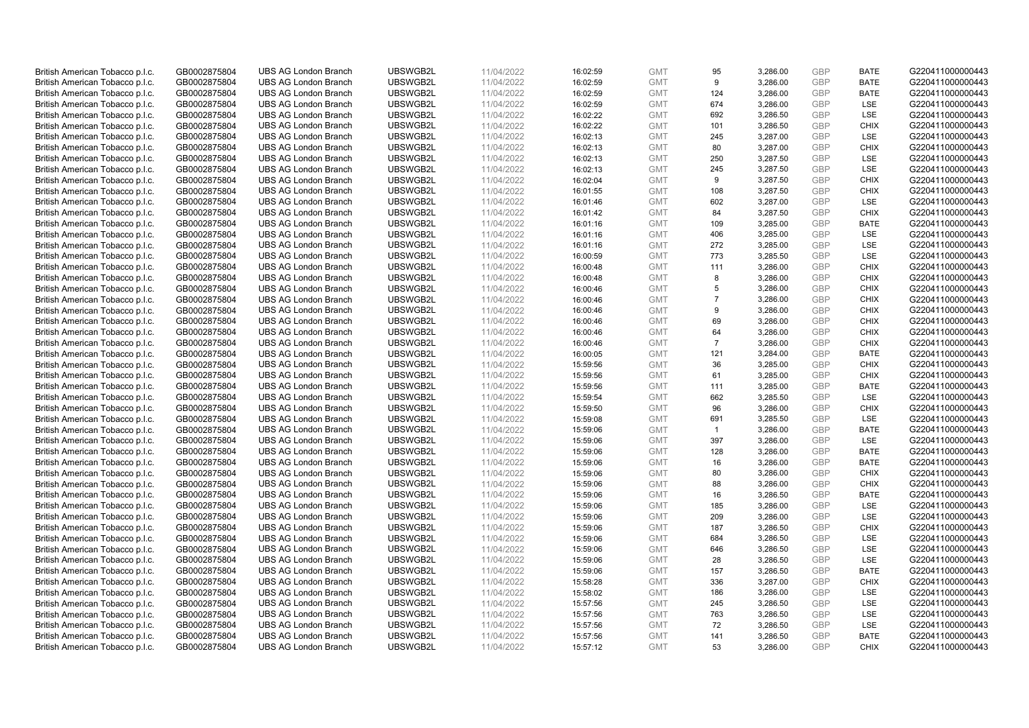| British American Tobacco p.l.c. | GB0002875804 | <b>UBS AG London Branch</b> | UBSWGB2L | 11/04/2022 | 16:02:59 | <b>GMT</b> | 95             | 3,286.00 | <b>GBP</b>               | <b>BATE</b> | G220411000000443 |
|---------------------------------|--------------|-----------------------------|----------|------------|----------|------------|----------------|----------|--------------------------|-------------|------------------|
|                                 | GB0002875804 | <b>UBS AG London Branch</b> | UBSWGB2L | 11/04/2022 |          | <b>GMT</b> | 9              | 3,286.00 | <b>GBP</b>               | <b>BATE</b> | G220411000000443 |
| British American Tobacco p.l.c. |              |                             |          |            | 16:02:59 |            |                |          |                          |             |                  |
| British American Tobacco p.l.c. | GB0002875804 | <b>UBS AG London Branch</b> | UBSWGB2L | 11/04/2022 | 16:02:59 | <b>GMT</b> | 124            | 3,286.00 | <b>GBP</b>               | <b>BATE</b> | G220411000000443 |
| British American Tobacco p.l.c. | GB0002875804 | <b>UBS AG London Branch</b> | UBSWGB2L | 11/04/2022 | 16:02:59 | <b>GMT</b> | 674            | 3,286.00 | <b>GBP</b>               | LSE         | G220411000000443 |
| British American Tobacco p.l.c. | GB0002875804 | <b>UBS AG London Branch</b> | UBSWGB2L | 11/04/2022 | 16:02:22 | <b>GMT</b> | 692            | 3,286.50 | <b>GBP</b>               | LSE         | G220411000000443 |
| British American Tobacco p.l.c. | GB0002875804 | <b>UBS AG London Branch</b> | UBSWGB2L | 11/04/2022 | 16:02:22 | <b>GMT</b> | 101            | 3,286.50 | <b>GBP</b>               | <b>CHIX</b> | G220411000000443 |
| British American Tobacco p.l.c. | GB0002875804 | <b>UBS AG London Branch</b> | UBSWGB2L | 11/04/2022 | 16:02:13 | <b>GMT</b> | 245            | 3,287.00 | <b>GBP</b>               | LSE         | G220411000000443 |
| British American Tobacco p.l.c. | GB0002875804 | <b>UBS AG London Branch</b> | UBSWGB2L | 11/04/2022 | 16:02:13 | <b>GMT</b> | 80             | 3,287.00 | <b>GBP</b>               | <b>CHIX</b> | G220411000000443 |
| British American Tobacco p.l.c. | GB0002875804 | <b>UBS AG London Branch</b> | UBSWGB2L | 11/04/2022 | 16:02:13 | <b>GMT</b> | 250            | 3,287.50 | <b>GBP</b>               | LSE         | G220411000000443 |
| British American Tobacco p.l.c. | GB0002875804 | <b>UBS AG London Branch</b> | UBSWGB2L | 11/04/2022 | 16:02:13 | <b>GMT</b> | 245            | 3,287.50 | <b>GBP</b>               | LSE         | G220411000000443 |
| British American Tobacco p.l.c. | GB0002875804 | <b>UBS AG London Branch</b> | UBSWGB2L | 11/04/2022 | 16:02:04 | <b>GMT</b> | 9              | 3,287.50 | <b>GBP</b>               | <b>CHIX</b> | G220411000000443 |
| British American Tobacco p.l.c. | GB0002875804 | <b>UBS AG London Branch</b> | UBSWGB2L | 11/04/2022 | 16:01:55 | <b>GMT</b> | 108            | 3,287.50 | <b>GBP</b>               | <b>CHIX</b> | G220411000000443 |
| British American Tobacco p.l.c. | GB0002875804 | <b>UBS AG London Branch</b> | UBSWGB2L | 11/04/2022 | 16:01:46 | <b>GMT</b> | 602            | 3,287.00 | <b>GBP</b>               | LSE         | G220411000000443 |
| British American Tobacco p.l.c. | GB0002875804 | <b>UBS AG London Branch</b> | UBSWGB2L | 11/04/2022 | 16:01:42 | <b>GMT</b> | 84             | 3,287.50 | <b>GBP</b>               | <b>CHIX</b> | G220411000000443 |
| British American Tobacco p.l.c. | GB0002875804 | <b>UBS AG London Branch</b> | UBSWGB2L | 11/04/2022 | 16:01:16 | <b>GMT</b> | 109            | 3,285.00 | <b>GBP</b>               | <b>BATE</b> | G220411000000443 |
| British American Tobacco p.l.c. | GB0002875804 | <b>UBS AG London Branch</b> | UBSWGB2L | 11/04/2022 | 16:01:16 | <b>GMT</b> | 406            | 3,285.00 | <b>GBP</b>               | LSE         | G220411000000443 |
| British American Tobacco p.l.c. | GB0002875804 | <b>UBS AG London Branch</b> | UBSWGB2L | 11/04/2022 | 16:01:16 | <b>GMT</b> | 272            | 3,285.00 | <b>GBP</b>               | LSE         | G220411000000443 |
| British American Tobacco p.l.c. | GB0002875804 | <b>UBS AG London Branch</b> | UBSWGB2L | 11/04/2022 | 16:00:59 | <b>GMT</b> | 773            | 3,285.50 | <b>GBP</b>               | LSE         | G220411000000443 |
|                                 |              | <b>UBS AG London Branch</b> | UBSWGB2L |            |          |            | 111            |          |                          | <b>CHIX</b> |                  |
| British American Tobacco p.l.c. | GB0002875804 |                             |          | 11/04/2022 | 16:00:48 | <b>GMT</b> |                | 3,286.00 | <b>GBP</b>               |             | G220411000000443 |
| British American Tobacco p.l.c. | GB0002875804 | <b>UBS AG London Branch</b> | UBSWGB2L | 11/04/2022 | 16:00:48 | <b>GMT</b> | 8              | 3,286.00 | <b>GBP</b>               | <b>CHIX</b> | G220411000000443 |
| British American Tobacco p.l.c. | GB0002875804 | <b>UBS AG London Branch</b> | UBSWGB2L | 11/04/2022 | 16:00:46 | <b>GMT</b> | 5              | 3,286.00 | <b>GBP</b>               | <b>CHIX</b> | G220411000000443 |
| British American Tobacco p.l.c. | GB0002875804 | <b>UBS AG London Branch</b> | UBSWGB2L | 11/04/2022 | 16:00:46 | <b>GMT</b> | $\overline{7}$ | 3,286.00 | <b>GBP</b>               | <b>CHIX</b> | G220411000000443 |
| British American Tobacco p.l.c. | GB0002875804 | <b>UBS AG London Branch</b> | UBSWGB2L | 11/04/2022 | 16:00:46 | <b>GMT</b> | 9              | 3,286.00 | <b>GBP</b>               | <b>CHIX</b> | G220411000000443 |
| British American Tobacco p.l.c. | GB0002875804 | <b>UBS AG London Branch</b> | UBSWGB2L | 11/04/2022 | 16:00:46 | <b>GMT</b> | 69             | 3,286.00 | <b>GBP</b>               | <b>CHIX</b> | G220411000000443 |
| British American Tobacco p.l.c. | GB0002875804 | <b>UBS AG London Branch</b> | UBSWGB2L | 11/04/2022 | 16:00:46 | <b>GMT</b> | 64             | 3,286.00 | <b>GBP</b>               | <b>CHIX</b> | G220411000000443 |
| British American Tobacco p.l.c. | GB0002875804 | <b>UBS AG London Branch</b> | UBSWGB2L | 11/04/2022 | 16:00:46 | <b>GMT</b> | $\overline{7}$ | 3,286.00 | <b>GBP</b>               | <b>CHIX</b> | G220411000000443 |
| British American Tobacco p.l.c. | GB0002875804 | <b>UBS AG London Branch</b> | UBSWGB2L | 11/04/2022 | 16:00:05 | <b>GMT</b> | 121            | 3,284.00 | <b>GBP</b>               | <b>BATE</b> | G220411000000443 |
| British American Tobacco p.l.c. | GB0002875804 | <b>UBS AG London Branch</b> | UBSWGB2L | 11/04/2022 | 15:59:56 | <b>GMT</b> | 36             | 3,285.00 | <b>GBP</b>               | <b>CHIX</b> | G220411000000443 |
| British American Tobacco p.l.c. | GB0002875804 | <b>UBS AG London Branch</b> | UBSWGB2L | 11/04/2022 | 15:59:56 | <b>GMT</b> | 61             | 3,285.00 | <b>GBP</b>               | <b>CHIX</b> | G220411000000443 |
| British American Tobacco p.l.c. | GB0002875804 | <b>UBS AG London Branch</b> | UBSWGB2L | 11/04/2022 | 15:59:56 | <b>GMT</b> | 111            | 3,285.00 | <b>GBP</b>               | <b>BATE</b> | G220411000000443 |
| British American Tobacco p.l.c. | GB0002875804 | <b>UBS AG London Branch</b> | UBSWGB2L | 11/04/2022 | 15:59:54 | <b>GMT</b> | 662            | 3,285.50 | <b>GBP</b>               | LSE         | G220411000000443 |
| British American Tobacco p.l.c. | GB0002875804 | <b>UBS AG London Branch</b> | UBSWGB2L | 11/04/2022 | 15:59:50 | <b>GMT</b> | 96             | 3,286.00 | <b>GBP</b>               | <b>CHIX</b> | G220411000000443 |
| British American Tobacco p.l.c. | GB0002875804 | <b>UBS AG London Branch</b> | UBSWGB2L | 11/04/2022 | 15:59:08 | <b>GMT</b> | 691            | 3,285.50 | <b>GBP</b>               | LSE         | G220411000000443 |
| British American Tobacco p.l.c. | GB0002875804 | <b>UBS AG London Branch</b> | UBSWGB2L | 11/04/2022 | 15:59:06 | <b>GMT</b> | $\overline{1}$ | 3,286.00 | <b>GBP</b>               | <b>BATE</b> | G220411000000443 |
| British American Tobacco p.l.c. | GB0002875804 | <b>UBS AG London Branch</b> | UBSWGB2L | 11/04/2022 | 15:59:06 | <b>GMT</b> | 397            | 3,286.00 | <b>GBP</b>               | LSE         | G220411000000443 |
| British American Tobacco p.l.c. | GB0002875804 | <b>UBS AG London Branch</b> | UBSWGB2L | 11/04/2022 | 15:59:06 | <b>GMT</b> | 128            | 3,286.00 | <b>GBP</b>               | <b>BATE</b> | G220411000000443 |
| British American Tobacco p.l.c. | GB0002875804 | <b>UBS AG London Branch</b> | UBSWGB2L | 11/04/2022 | 15:59:06 | <b>GMT</b> | 16             | 3,286.00 | <b>GBP</b>               | <b>BATE</b> | G220411000000443 |
| British American Tobacco p.l.c. | GB0002875804 | <b>UBS AG London Branch</b> | UBSWGB2L | 11/04/2022 | 15:59:06 | <b>GMT</b> | 80             | 3,286.00 | <b>GBP</b>               | <b>CHIX</b> | G220411000000443 |
| British American Tobacco p.l.c. | GB0002875804 | <b>UBS AG London Branch</b> | UBSWGB2L | 11/04/2022 | 15:59:06 | <b>GMT</b> | 88             | 3,286.00 | <b>GBP</b>               | <b>CHIX</b> | G220411000000443 |
| British American Tobacco p.l.c. | GB0002875804 | <b>UBS AG London Branch</b> | UBSWGB2L | 11/04/2022 | 15:59:06 | <b>GMT</b> | 16             | 3,286.50 | <b>GBP</b>               | <b>BATE</b> | G220411000000443 |
| British American Tobacco p.l.c. | GB0002875804 | <b>UBS AG London Branch</b> | UBSWGB2L | 11/04/2022 | 15:59:06 | <b>GMT</b> | 185            | 3,286.00 | <b>GBP</b>               | LSE         | G220411000000443 |
|                                 |              |                             | UBSWGB2L |            |          |            |                |          |                          | LSE         |                  |
| British American Tobacco p.l.c. | GB0002875804 | <b>UBS AG London Branch</b> |          | 11/04/2022 | 15:59:06 | <b>GMT</b> | 209            | 3,286.00 | <b>GBP</b><br><b>GBP</b> |             | G220411000000443 |
| British American Tobacco p.l.c. | GB0002875804 | <b>UBS AG London Branch</b> | UBSWGB2L | 11/04/2022 | 15:59:06 | <b>GMT</b> | 187            | 3,286.50 |                          | <b>CHIX</b> | G220411000000443 |
| British American Tobacco p.l.c. | GB0002875804 | <b>UBS AG London Branch</b> | UBSWGB2L | 11/04/2022 | 15:59:06 | <b>GMT</b> | 684            | 3,286.50 | <b>GBP</b>               | LSE         | G220411000000443 |
| British American Tobacco p.l.c. | GB0002875804 | UBS AG London Branch        | UBSWGB2L | 11/04/2022 | 15:59:06 | <b>GMT</b> | 646            | 3,286.50 | <b>GBP</b>               | LSE         | G220411000000443 |
| British American Tobacco p.l.c. | GB0002875804 | <b>UBS AG London Branch</b> | UBSWGB2L | 11/04/2022 | 15:59:06 | <b>GMT</b> | 28             | 3,286.50 | <b>GBP</b>               | LSE         | G220411000000443 |
| British American Tobacco p.l.c. | GB0002875804 | <b>UBS AG London Branch</b> | UBSWGB2L | 11/04/2022 | 15:59:06 | <b>GMT</b> | 157            | 3,286.50 | <b>GBP</b>               | <b>BATE</b> | G220411000000443 |
| British American Tobacco p.l.c. | GB0002875804 | <b>UBS AG London Branch</b> | UBSWGB2L | 11/04/2022 | 15:58:28 | <b>GMT</b> | 336            | 3,287.00 | <b>GBP</b>               | <b>CHIX</b> | G220411000000443 |
| British American Tobacco p.l.c. | GB0002875804 | <b>UBS AG London Branch</b> | UBSWGB2L | 11/04/2022 | 15:58:02 | <b>GMT</b> | 186            | 3,286.00 | <b>GBP</b>               | LSE         | G220411000000443 |
| British American Tobacco p.l.c. | GB0002875804 | <b>UBS AG London Branch</b> | UBSWGB2L | 11/04/2022 | 15:57:56 | <b>GMT</b> | 245            | 3,286.50 | <b>GBP</b>               | LSE         | G220411000000443 |
| British American Tobacco p.l.c. | GB0002875804 | <b>UBS AG London Branch</b> | UBSWGB2L | 11/04/2022 | 15:57:56 | <b>GMT</b> | 763            | 3,286.50 | <b>GBP</b>               | LSE         | G220411000000443 |
| British American Tobacco p.l.c. | GB0002875804 | <b>UBS AG London Branch</b> | UBSWGB2L | 11/04/2022 | 15:57:56 | <b>GMT</b> | 72             | 3,286.50 | <b>GBP</b>               | LSE         | G220411000000443 |
| British American Tobacco p.l.c. | GB0002875804 | <b>UBS AG London Branch</b> | UBSWGB2L | 11/04/2022 | 15:57:56 | <b>GMT</b> | 141            | 3,286.50 | <b>GBP</b>               | <b>BATE</b> | G220411000000443 |
| British American Tobacco p.l.c. | GB0002875804 | <b>UBS AG London Branch</b> | UBSWGB2L | 11/04/2022 | 15:57:12 | <b>GMT</b> | 53             | 3,286.00 | GBP                      | <b>CHIX</b> | G220411000000443 |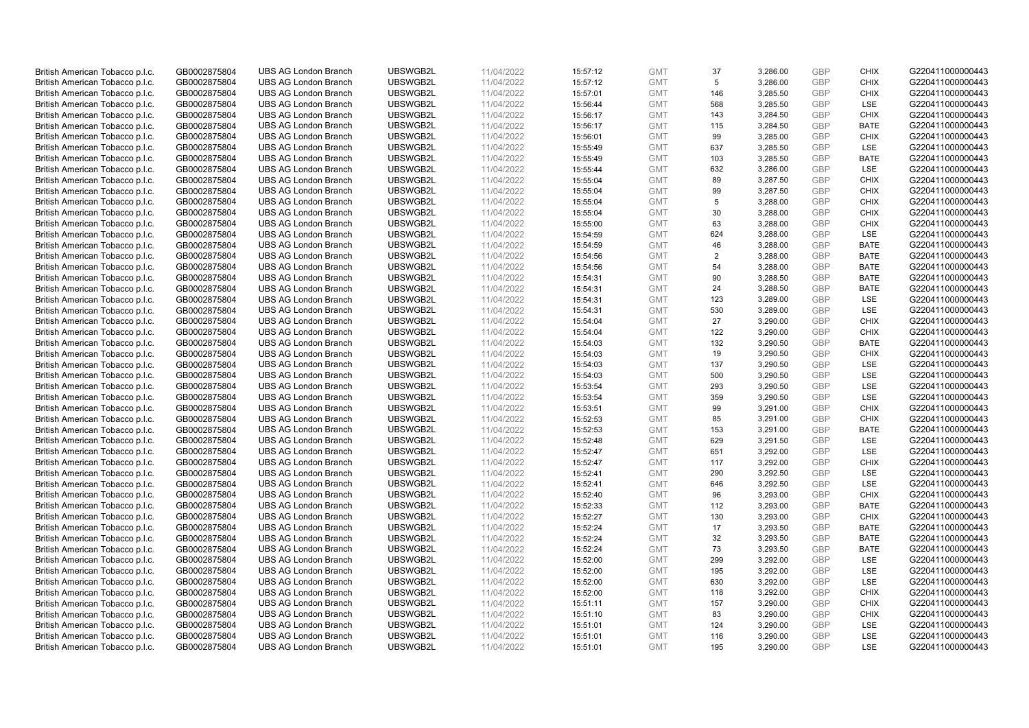| British American Tobacco p.l.c. | GB0002875804 | <b>UBS AG London Branch</b> | UBSWGB2L | 11/04/2022 | 15:57:12 | <b>GMT</b> | 37  | 3,286.00 | <b>GBP</b> | <b>CHIX</b> | G220411000000443 |
|---------------------------------|--------------|-----------------------------|----------|------------|----------|------------|-----|----------|------------|-------------|------------------|
|                                 | GB0002875804 | <b>UBS AG London Branch</b> | UBSWGB2L | 11/04/2022 |          | <b>GMT</b> | 5   | 3,286.00 | <b>GBP</b> | <b>CHIX</b> | G220411000000443 |
| British American Tobacco p.l.c. |              |                             |          |            | 15:57:12 |            |     |          |            |             |                  |
| British American Tobacco p.l.c. | GB0002875804 | <b>UBS AG London Branch</b> | UBSWGB2L | 11/04/2022 | 15:57:01 | <b>GMT</b> | 146 | 3,285.50 | <b>GBP</b> | <b>CHIX</b> | G220411000000443 |
| British American Tobacco p.l.c. | GB0002875804 | <b>UBS AG London Branch</b> | UBSWGB2L | 11/04/2022 | 15:56:44 | <b>GMT</b> | 568 | 3,285.50 | <b>GBP</b> | LSE         | G220411000000443 |
| British American Tobacco p.l.c. | GB0002875804 | <b>UBS AG London Branch</b> | UBSWGB2L | 11/04/2022 | 15:56:17 | <b>GMT</b> | 143 | 3,284.50 | <b>GBP</b> | <b>CHIX</b> | G220411000000443 |
| British American Tobacco p.l.c. | GB0002875804 | <b>UBS AG London Branch</b> | UBSWGB2L | 11/04/2022 | 15:56:17 | <b>GMT</b> | 115 | 3,284.50 | <b>GBP</b> | BATE        | G220411000000443 |
| British American Tobacco p.l.c. | GB0002875804 | <b>UBS AG London Branch</b> | UBSWGB2L | 11/04/2022 | 15:56:01 | <b>GMT</b> | 99  | 3,285.00 | <b>GBP</b> | <b>CHIX</b> | G220411000000443 |
| British American Tobacco p.l.c. | GB0002875804 | <b>UBS AG London Branch</b> | UBSWGB2L | 11/04/2022 | 15:55:49 | <b>GMT</b> | 637 | 3,285.50 | <b>GBP</b> | LSE         | G220411000000443 |
| British American Tobacco p.l.c. | GB0002875804 | <b>UBS AG London Branch</b> | UBSWGB2L | 11/04/2022 | 15:55:49 | <b>GMT</b> | 103 | 3,285.50 | <b>GBP</b> | <b>BATE</b> | G220411000000443 |
| British American Tobacco p.l.c. | GB0002875804 | <b>UBS AG London Branch</b> | UBSWGB2L | 11/04/2022 | 15:55:44 | <b>GMT</b> | 632 | 3,286.00 | <b>GBP</b> | LSE         | G220411000000443 |
| British American Tobacco p.l.c. | GB0002875804 | <b>UBS AG London Branch</b> | UBSWGB2L | 11/04/2022 | 15:55:04 | <b>GMT</b> | 89  | 3,287.50 | <b>GBP</b> | <b>CHIX</b> | G220411000000443 |
| British American Tobacco p.l.c. | GB0002875804 | <b>UBS AG London Branch</b> | UBSWGB2L | 11/04/2022 | 15:55:04 | <b>GMT</b> | 99  | 3,287.50 | <b>GBP</b> | <b>CHIX</b> | G220411000000443 |
| British American Tobacco p.l.c. | GB0002875804 | <b>UBS AG London Branch</b> | UBSWGB2L | 11/04/2022 | 15:55:04 | <b>GMT</b> | 5   | 3,288.00 | <b>GBP</b> | <b>CHIX</b> | G220411000000443 |
| British American Tobacco p.l.c. | GB0002875804 | <b>UBS AG London Branch</b> | UBSWGB2L | 11/04/2022 | 15:55:04 | <b>GMT</b> | 30  | 3,288.00 | <b>GBP</b> | <b>CHIX</b> | G220411000000443 |
| British American Tobacco p.l.c. | GB0002875804 | <b>UBS AG London Branch</b> | UBSWGB2L | 11/04/2022 |          | <b>GMT</b> | 63  | 3,288.00 | <b>GBP</b> | <b>CHIX</b> | G220411000000443 |
|                                 |              |                             |          |            | 15:55:00 |            |     |          |            |             |                  |
| British American Tobacco p.l.c. | GB0002875804 | <b>UBS AG London Branch</b> | UBSWGB2L | 11/04/2022 | 15:54:59 | <b>GMT</b> | 624 | 3,288.00 | <b>GBP</b> | LSE         | G220411000000443 |
| British American Tobacco p.l.c. | GB0002875804 | <b>UBS AG London Branch</b> | UBSWGB2L | 11/04/2022 | 15:54:59 | <b>GMT</b> | 46  | 3,288.00 | <b>GBP</b> | <b>BATE</b> | G220411000000443 |
| British American Tobacco p.l.c. | GB0002875804 | <b>UBS AG London Branch</b> | UBSWGB2L | 11/04/2022 | 15:54:56 | <b>GMT</b> | 2   | 3,288.00 | <b>GBP</b> | <b>BATE</b> | G220411000000443 |
| British American Tobacco p.l.c. | GB0002875804 | <b>UBS AG London Branch</b> | UBSWGB2L | 11/04/2022 | 15:54:56 | <b>GMT</b> | 54  | 3,288.00 | <b>GBP</b> | <b>BATE</b> | G220411000000443 |
| British American Tobacco p.l.c. | GB0002875804 | <b>UBS AG London Branch</b> | UBSWGB2L | 11/04/2022 | 15:54:31 | <b>GMT</b> | 90  | 3,288.50 | <b>GBP</b> | <b>BATE</b> | G220411000000443 |
| British American Tobacco p.l.c. | GB0002875804 | <b>UBS AG London Branch</b> | UBSWGB2L | 11/04/2022 | 15:54:31 | <b>GMT</b> | 24  | 3,288.50 | <b>GBP</b> | <b>BATE</b> | G220411000000443 |
| British American Tobacco p.l.c. | GB0002875804 | <b>UBS AG London Branch</b> | UBSWGB2L | 11/04/2022 | 15:54:31 | <b>GMT</b> | 123 | 3,289.00 | <b>GBP</b> | LSE         | G220411000000443 |
| British American Tobacco p.l.c. | GB0002875804 | <b>UBS AG London Branch</b> | UBSWGB2L | 11/04/2022 | 15:54:31 | <b>GMT</b> | 530 | 3,289.00 | <b>GBP</b> | LSE         | G220411000000443 |
| British American Tobacco p.l.c. | GB0002875804 | <b>UBS AG London Branch</b> | UBSWGB2L | 11/04/2022 | 15:54:04 | <b>GMT</b> | 27  | 3,290.00 | <b>GBP</b> | <b>CHIX</b> | G220411000000443 |
| British American Tobacco p.l.c. | GB0002875804 | <b>UBS AG London Branch</b> | UBSWGB2L | 11/04/2022 | 15:54:04 | <b>GMT</b> | 122 | 3,290.00 | <b>GBP</b> | <b>CHIX</b> | G220411000000443 |
| British American Tobacco p.l.c. | GB0002875804 | <b>UBS AG London Branch</b> | UBSWGB2L | 11/04/2022 | 15:54:03 | <b>GMT</b> | 132 | 3,290.50 | <b>GBP</b> | <b>BATE</b> | G220411000000443 |
| British American Tobacco p.l.c. | GB0002875804 | <b>UBS AG London Branch</b> | UBSWGB2L | 11/04/2022 | 15:54:03 | <b>GMT</b> | 19  | 3,290.50 | <b>GBP</b> | <b>CHIX</b> | G220411000000443 |
| British American Tobacco p.l.c. | GB0002875804 | <b>UBS AG London Branch</b> | UBSWGB2L | 11/04/2022 | 15:54:03 | <b>GMT</b> | 137 | 3,290.50 | <b>GBP</b> | LSE         | G220411000000443 |
| British American Tobacco p.l.c. | GB0002875804 | <b>UBS AG London Branch</b> | UBSWGB2L | 11/04/2022 | 15:54:03 | <b>GMT</b> | 500 | 3,290.50 | <b>GBP</b> | LSE         | G220411000000443 |
|                                 |              |                             | UBSWGB2L |            |          |            |     |          | <b>GBP</b> |             |                  |
| British American Tobacco p.l.c. | GB0002875804 | <b>UBS AG London Branch</b> |          | 11/04/2022 | 15:53:54 | <b>GMT</b> | 293 | 3,290.50 |            | LSE         | G220411000000443 |
| British American Tobacco p.l.c. | GB0002875804 | <b>UBS AG London Branch</b> | UBSWGB2L | 11/04/2022 | 15:53:54 | <b>GMT</b> | 359 | 3,290.50 | <b>GBP</b> | LSE         | G220411000000443 |
| British American Tobacco p.l.c. | GB0002875804 | <b>UBS AG London Branch</b> | UBSWGB2L | 11/04/2022 | 15:53:51 | <b>GMT</b> | 99  | 3,291.00 | <b>GBP</b> | <b>CHIX</b> | G220411000000443 |
| British American Tobacco p.l.c. | GB0002875804 | <b>UBS AG London Branch</b> | UBSWGB2L | 11/04/2022 | 15:52:53 | <b>GMT</b> | 85  | 3,291.00 | <b>GBP</b> | <b>CHIX</b> | G220411000000443 |
| British American Tobacco p.l.c. | GB0002875804 | <b>UBS AG London Branch</b> | UBSWGB2L | 11/04/2022 | 15:52:53 | <b>GMT</b> | 153 | 3,291.00 | <b>GBP</b> | <b>BATE</b> | G220411000000443 |
| British American Tobacco p.l.c. | GB0002875804 | <b>UBS AG London Branch</b> | UBSWGB2L | 11/04/2022 | 15:52:48 | <b>GMT</b> | 629 | 3,291.50 | <b>GBP</b> | LSE         | G220411000000443 |
| British American Tobacco p.l.c. | GB0002875804 | <b>UBS AG London Branch</b> | UBSWGB2L | 11/04/2022 | 15:52:47 | <b>GMT</b> | 651 | 3,292.00 | <b>GBP</b> | LSE         | G220411000000443 |
| British American Tobacco p.l.c. | GB0002875804 | <b>UBS AG London Branch</b> | UBSWGB2L | 11/04/2022 | 15:52:47 | <b>GMT</b> | 117 | 3,292.00 | <b>GBP</b> | <b>CHIX</b> | G220411000000443 |
| British American Tobacco p.l.c. | GB0002875804 | <b>UBS AG London Branch</b> | UBSWGB2L | 11/04/2022 | 15:52:41 | <b>GMT</b> | 290 | 3,292.50 | <b>GBP</b> | LSE         | G220411000000443 |
| British American Tobacco p.l.c. | GB0002875804 | <b>UBS AG London Branch</b> | UBSWGB2L | 11/04/2022 | 15:52:41 | <b>GMT</b> | 646 | 3,292.50 | <b>GBP</b> | LSE         | G220411000000443 |
| British American Tobacco p.l.c. | GB0002875804 | <b>UBS AG London Branch</b> | UBSWGB2L | 11/04/2022 | 15:52:40 | <b>GMT</b> | 96  | 3,293.00 | <b>GBP</b> | <b>CHIX</b> | G220411000000443 |
| British American Tobacco p.l.c. | GB0002875804 | <b>UBS AG London Branch</b> | UBSWGB2L | 11/04/2022 | 15:52:33 | <b>GMT</b> | 112 | 3,293.00 | <b>GBP</b> | <b>BATE</b> | G220411000000443 |
| British American Tobacco p.l.c. | GB0002875804 | <b>UBS AG London Branch</b> | UBSWGB2L | 11/04/2022 | 15:52:27 | <b>GMT</b> | 130 | 3,293.00 | <b>GBP</b> | <b>CHIX</b> | G220411000000443 |
| British American Tobacco p.l.c. | GB0002875804 | <b>UBS AG London Branch</b> | UBSWGB2L | 11/04/2022 | 15:52:24 | <b>GMT</b> | 17  | 3,293.50 | <b>GBP</b> | <b>BATE</b> | G220411000000443 |
| British American Tobacco p.l.c. | GB0002875804 | <b>UBS AG London Branch</b> | UBSWGB2L | 11/04/2022 | 15:52:24 | <b>GMT</b> | 32  | 3,293.50 | <b>GBP</b> | <b>BATE</b> | G220411000000443 |
| British American Tobacco p.l.c. | GB0002875804 | UBS AG London Branch        | UBSWGB2L | 11/04/2022 | 15:52:24 | <b>GMT</b> | 73  | 3,293.50 | <b>GBP</b> | <b>BATE</b> | G220411000000443 |
|                                 |              |                             |          |            |          |            |     |          |            |             |                  |
| British American Tobacco p.l.c. | GB0002875804 | <b>UBS AG London Branch</b> | UBSWGB2L | 11/04/2022 | 15:52:00 | <b>GMT</b> | 299 | 3,292.00 | <b>GBP</b> | LSE         | G220411000000443 |
| British American Tobacco p.l.c. | GB0002875804 | <b>UBS AG London Branch</b> | UBSWGB2L | 11/04/2022 | 15:52:00 | <b>GMT</b> | 195 | 3,292.00 | <b>GBP</b> | LSE         | G220411000000443 |
| British American Tobacco p.l.c. | GB0002875804 | <b>UBS AG London Branch</b> | UBSWGB2L | 11/04/2022 | 15:52:00 | <b>GMT</b> | 630 | 3,292.00 | <b>GBP</b> | LSE         | G220411000000443 |
| British American Tobacco p.l.c. | GB0002875804 | <b>UBS AG London Branch</b> | UBSWGB2L | 11/04/2022 | 15:52:00 | GMT        | 118 | 3,292.00 | <b>GBP</b> | <b>CHIX</b> | G220411000000443 |
| British American Tobacco p.l.c. | GB0002875804 | <b>UBS AG London Branch</b> | UBSWGB2L | 11/04/2022 | 15:51:11 | <b>GMT</b> | 157 | 3,290.00 | <b>GBP</b> | <b>CHIX</b> | G220411000000443 |
| British American Tobacco p.l.c. | GB0002875804 | <b>UBS AG London Branch</b> | UBSWGB2L | 11/04/2022 | 15:51:10 | <b>GMT</b> | 83  | 3,290.00 | <b>GBP</b> | <b>CHIX</b> | G220411000000443 |
| British American Tobacco p.l.c. | GB0002875804 | <b>UBS AG London Branch</b> | UBSWGB2L | 11/04/2022 | 15:51:01 | <b>GMT</b> | 124 | 3,290.00 | <b>GBP</b> | LSE         | G220411000000443 |
| British American Tobacco p.l.c. | GB0002875804 | <b>UBS AG London Branch</b> | UBSWGB2L | 11/04/2022 | 15:51:01 | <b>GMT</b> | 116 | 3,290.00 | <b>GBP</b> | LSE         | G220411000000443 |
|                                 |              |                             |          |            |          |            |     |          | GBP        |             |                  |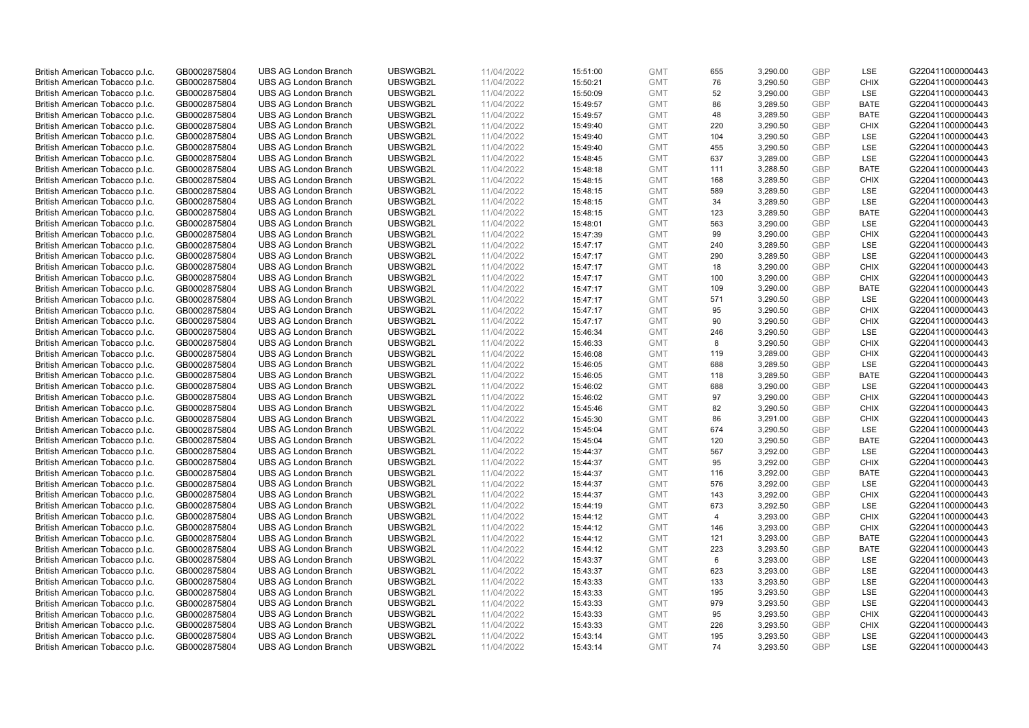| British American Tobacco p.l.c. | GB0002875804 | <b>UBS AG London Branch</b> | UBSWGB2L | 11/04/2022 | 15:51:00 | <b>GMT</b> | 655            | 3,290.00 | <b>GBP</b> | LSE         | G220411000000443 |
|---------------------------------|--------------|-----------------------------|----------|------------|----------|------------|----------------|----------|------------|-------------|------------------|
|                                 | GB0002875804 | <b>UBS AG London Branch</b> | UBSWGB2L | 11/04/2022 |          | <b>GMT</b> | 76             | 3,290.50 | <b>GBP</b> | <b>CHIX</b> | G220411000000443 |
| British American Tobacco p.l.c. |              |                             |          |            | 15:50:21 |            |                |          |            |             |                  |
| British American Tobacco p.l.c. | GB0002875804 | <b>UBS AG London Branch</b> | UBSWGB2L | 11/04/2022 | 15:50:09 | <b>GMT</b> | 52             | 3,290.00 | <b>GBP</b> | LSE         | G220411000000443 |
| British American Tobacco p.l.c. | GB0002875804 | <b>UBS AG London Branch</b> | UBSWGB2L | 11/04/2022 | 15:49:57 | <b>GMT</b> | 86             | 3,289.50 | <b>GBP</b> | <b>BATE</b> | G220411000000443 |
| British American Tobacco p.l.c. | GB0002875804 | <b>UBS AG London Branch</b> | UBSWGB2L | 11/04/2022 | 15:49:57 | <b>GMT</b> | 48             | 3,289.50 | <b>GBP</b> | <b>BATE</b> | G220411000000443 |
| British American Tobacco p.l.c. | GB0002875804 | <b>UBS AG London Branch</b> | UBSWGB2L | 11/04/2022 | 15:49:40 | <b>GMT</b> | 220            | 3,290.50 | <b>GBP</b> | <b>CHIX</b> | G220411000000443 |
| British American Tobacco p.l.c. | GB0002875804 | <b>UBS AG London Branch</b> | UBSWGB2L | 11/04/2022 | 15:49:40 | <b>GMT</b> | 104            | 3,290.50 | <b>GBP</b> | LSE         | G220411000000443 |
| British American Tobacco p.l.c. | GB0002875804 | <b>UBS AG London Branch</b> | UBSWGB2L | 11/04/2022 | 15:49:40 | <b>GMT</b> | 455            | 3,290.50 | <b>GBP</b> | LSE         | G220411000000443 |
| British American Tobacco p.l.c. | GB0002875804 | <b>UBS AG London Branch</b> | UBSWGB2L | 11/04/2022 | 15:48:45 | <b>GMT</b> | 637            | 3,289.00 | <b>GBP</b> | LSE         | G220411000000443 |
| British American Tobacco p.l.c. | GB0002875804 | <b>UBS AG London Branch</b> | UBSWGB2L | 11/04/2022 | 15:48:18 | <b>GMT</b> | 111            | 3,288.50 | <b>GBP</b> | <b>BATE</b> | G220411000000443 |
| British American Tobacco p.l.c. | GB0002875804 | <b>UBS AG London Branch</b> | UBSWGB2L | 11/04/2022 | 15:48:15 | <b>GMT</b> | 168            | 3,289.50 | <b>GBP</b> | <b>CHIX</b> | G220411000000443 |
| British American Tobacco p.l.c. | GB0002875804 | <b>UBS AG London Branch</b> | UBSWGB2L | 11/04/2022 | 15:48:15 | <b>GMT</b> | 589            | 3,289.50 | <b>GBP</b> | LSE         | G220411000000443 |
| British American Tobacco p.l.c. | GB0002875804 | <b>UBS AG London Branch</b> | UBSWGB2L | 11/04/2022 | 15:48:15 | <b>GMT</b> | 34             | 3,289.50 | <b>GBP</b> | LSE         | G220411000000443 |
| British American Tobacco p.l.c. | GB0002875804 | <b>UBS AG London Branch</b> | UBSWGB2L | 11/04/2022 | 15:48:15 | <b>GMT</b> | 123            | 3,289.50 | <b>GBP</b> | <b>BATE</b> | G220411000000443 |
| British American Tobacco p.l.c. | GB0002875804 | <b>UBS AG London Branch</b> | UBSWGB2L | 11/04/2022 | 15:48:01 | <b>GMT</b> | 563            | 3,290.00 | <b>GBP</b> | LSE         | G220411000000443 |
| British American Tobacco p.l.c. | GB0002875804 | <b>UBS AG London Branch</b> | UBSWGB2L | 11/04/2022 | 15:47:39 | <b>GMT</b> | 99             | 3,290.00 | <b>GBP</b> | <b>CHIX</b> | G220411000000443 |
| British American Tobacco p.l.c. | GB0002875804 | <b>UBS AG London Branch</b> | UBSWGB2L | 11/04/2022 | 15:47:17 | <b>GMT</b> | 240            | 3,289.50 | <b>GBP</b> | LSE         | G220411000000443 |
| British American Tobacco p.l.c. | GB0002875804 | <b>UBS AG London Branch</b> | UBSWGB2L | 11/04/2022 | 15:47:17 | <b>GMT</b> | 290            | 3,289.50 | <b>GBP</b> | LSE         | G220411000000443 |
|                                 |              | <b>UBS AG London Branch</b> | UBSWGB2L |            |          |            |                |          |            | <b>CHIX</b> |                  |
| British American Tobacco p.l.c. | GB0002875804 |                             |          | 11/04/2022 | 15:47:17 | <b>GMT</b> | 18             | 3,290.00 | <b>GBP</b> |             | G220411000000443 |
| British American Tobacco p.l.c. | GB0002875804 | <b>UBS AG London Branch</b> | UBSWGB2L | 11/04/2022 | 15:47:17 | <b>GMT</b> | 100            | 3,290.00 | <b>GBP</b> | <b>CHIX</b> | G220411000000443 |
| British American Tobacco p.l.c. | GB0002875804 | <b>UBS AG London Branch</b> | UBSWGB2L | 11/04/2022 | 15:47:17 | <b>GMT</b> | 109            | 3,290.00 | <b>GBP</b> | <b>BATE</b> | G220411000000443 |
| British American Tobacco p.l.c. | GB0002875804 | <b>UBS AG London Branch</b> | UBSWGB2L | 11/04/2022 | 15:47:17 | <b>GMT</b> | 571            | 3,290.50 | <b>GBP</b> | LSE         | G220411000000443 |
| British American Tobacco p.l.c. | GB0002875804 | <b>UBS AG London Branch</b> | UBSWGB2L | 11/04/2022 | 15:47:17 | <b>GMT</b> | 95             | 3,290.50 | <b>GBP</b> | <b>CHIX</b> | G220411000000443 |
| British American Tobacco p.l.c. | GB0002875804 | <b>UBS AG London Branch</b> | UBSWGB2L | 11/04/2022 | 15:47:17 | <b>GMT</b> | 90             | 3,290.50 | <b>GBP</b> | <b>CHIX</b> | G220411000000443 |
| British American Tobacco p.l.c. | GB0002875804 | <b>UBS AG London Branch</b> | UBSWGB2L | 11/04/2022 | 15:46:34 | <b>GMT</b> | 246            | 3,290.50 | <b>GBP</b> | LSE         | G220411000000443 |
| British American Tobacco p.l.c. | GB0002875804 | <b>UBS AG London Branch</b> | UBSWGB2L | 11/04/2022 | 15:46:33 | <b>GMT</b> | 8              | 3,290.50 | <b>GBP</b> | <b>CHIX</b> | G220411000000443 |
| British American Tobacco p.l.c. | GB0002875804 | <b>UBS AG London Branch</b> | UBSWGB2L | 11/04/2022 | 15:46:08 | <b>GMT</b> | 119            | 3,289.00 | <b>GBP</b> | <b>CHIX</b> | G220411000000443 |
| British American Tobacco p.l.c. | GB0002875804 | <b>UBS AG London Branch</b> | UBSWGB2L | 11/04/2022 | 15:46:05 | <b>GMT</b> | 688            | 3,289.50 | <b>GBP</b> | LSE         | G220411000000443 |
| British American Tobacco p.l.c. | GB0002875804 | <b>UBS AG London Branch</b> | UBSWGB2L | 11/04/2022 | 15:46:05 | <b>GMT</b> | 118            | 3,289.50 | <b>GBP</b> | <b>BATE</b> | G220411000000443 |
| British American Tobacco p.l.c. | GB0002875804 | <b>UBS AG London Branch</b> | UBSWGB2L | 11/04/2022 | 15:46:02 | <b>GMT</b> | 688            | 3,290.00 | <b>GBP</b> | LSE         | G220411000000443 |
| British American Tobacco p.l.c. | GB0002875804 | <b>UBS AG London Branch</b> | UBSWGB2L | 11/04/2022 | 15:46:02 | <b>GMT</b> | 97             | 3,290.00 | <b>GBP</b> | <b>CHIX</b> | G220411000000443 |
| British American Tobacco p.l.c. | GB0002875804 | <b>UBS AG London Branch</b> | UBSWGB2L | 11/04/2022 | 15:45:46 | <b>GMT</b> | 82             | 3,290.50 | <b>GBP</b> | <b>CHIX</b> | G220411000000443 |
| British American Tobacco p.l.c. | GB0002875804 | <b>UBS AG London Branch</b> | UBSWGB2L | 11/04/2022 | 15:45:30 | <b>GMT</b> | 86             | 3,291.00 | <b>GBP</b> | <b>CHIX</b> | G220411000000443 |
| British American Tobacco p.l.c. | GB0002875804 | <b>UBS AG London Branch</b> | UBSWGB2L | 11/04/2022 | 15:45:04 | <b>GMT</b> | 674            | 3,290.50 | <b>GBP</b> | LSE         | G220411000000443 |
| British American Tobacco p.l.c. | GB0002875804 | <b>UBS AG London Branch</b> | UBSWGB2L | 11/04/2022 | 15:45:04 | <b>GMT</b> | 120            | 3,290.50 | <b>GBP</b> | <b>BATE</b> | G220411000000443 |
| British American Tobacco p.l.c. | GB0002875804 | <b>UBS AG London Branch</b> | UBSWGB2L | 11/04/2022 | 15:44:37 | <b>GMT</b> | 567            | 3,292.00 | <b>GBP</b> | LSE         | G220411000000443 |
| British American Tobacco p.l.c. | GB0002875804 | <b>UBS AG London Branch</b> | UBSWGB2L | 11/04/2022 | 15:44:37 | <b>GMT</b> | 95             | 3,292.00 | <b>GBP</b> | <b>CHIX</b> | G220411000000443 |
| British American Tobacco p.l.c. | GB0002875804 | <b>UBS AG London Branch</b> | UBSWGB2L | 11/04/2022 | 15:44:37 | <b>GMT</b> | 116            | 3,292.00 | <b>GBP</b> | <b>BATE</b> | G220411000000443 |
| British American Tobacco p.l.c. | GB0002875804 | <b>UBS AG London Branch</b> | UBSWGB2L | 11/04/2022 | 15:44:37 | <b>GMT</b> | 576            | 3,292.00 | <b>GBP</b> | LSE         | G220411000000443 |
| British American Tobacco p.l.c. | GB0002875804 | <b>UBS AG London Branch</b> | UBSWGB2L | 11/04/2022 | 15:44:37 | <b>GMT</b> | 143            | 3,292.00 | <b>GBP</b> | <b>CHIX</b> | G220411000000443 |
| British American Tobacco p.l.c. | GB0002875804 | <b>UBS AG London Branch</b> | UBSWGB2L | 11/04/2022 | 15:44:19 | <b>GMT</b> | 673            | 3,292.50 | <b>GBP</b> | LSE         | G220411000000443 |
| British American Tobacco p.l.c. | GB0002875804 | <b>UBS AG London Branch</b> | UBSWGB2L | 11/04/2022 | 15:44:12 | <b>GMT</b> | $\overline{4}$ | 3,293.00 | <b>GBP</b> | <b>CHIX</b> | G220411000000443 |
| British American Tobacco p.l.c. | GB0002875804 | <b>UBS AG London Branch</b> | UBSWGB2L | 11/04/2022 | 15:44:12 | <b>GMT</b> | 146            | 3,293.00 | <b>GBP</b> | <b>CHIX</b> | G220411000000443 |
| British American Tobacco p.l.c. | GB0002875804 | <b>UBS AG London Branch</b> | UBSWGB2L | 11/04/2022 | 15:44:12 | <b>GMT</b> | 121            | 3,293.00 | <b>GBP</b> | <b>BATE</b> | G220411000000443 |
| British American Tobacco p.l.c. | GB0002875804 | UBS AG London Branch        | UBSWGB2L | 11/04/2022 | 15:44:12 | <b>GMT</b> | 223            | 3,293.50 | <b>GBP</b> | <b>BATE</b> | G220411000000443 |
|                                 |              |                             |          |            |          |            |                |          |            |             |                  |
| British American Tobacco p.l.c. | GB0002875804 | <b>UBS AG London Branch</b> | UBSWGB2L | 11/04/2022 | 15:43:37 | <b>GMT</b> | 6<br>623       | 3,293.00 | <b>GBP</b> | LSE<br>LSE  | G220411000000443 |
| British American Tobacco p.l.c. | GB0002875804 | <b>UBS AG London Branch</b> | UBSWGB2L | 11/04/2022 | 15:43:37 | <b>GMT</b> |                | 3,293.00 | <b>GBP</b> |             | G220411000000443 |
| British American Tobacco p.l.c. | GB0002875804 | <b>UBS AG London Branch</b> | UBSWGB2L | 11/04/2022 | 15:43:33 | <b>GMT</b> | 133            | 3,293.50 | <b>GBP</b> | LSE         | G220411000000443 |
| British American Tobacco p.l.c. | GB0002875804 | <b>UBS AG London Branch</b> | UBSWGB2L | 11/04/2022 | 15:43:33 | GMT        | 195            | 3,293.50 | <b>GBP</b> | LSE         | G220411000000443 |
| British American Tobacco p.l.c. | GB0002875804 | <b>UBS AG London Branch</b> | UBSWGB2L | 11/04/2022 | 15:43:33 | <b>GMT</b> | 979            | 3,293.50 | <b>GBP</b> | LSE         | G220411000000443 |
| British American Tobacco p.l.c. | GB0002875804 | <b>UBS AG London Branch</b> | UBSWGB2L | 11/04/2022 | 15:43:33 | <b>GMT</b> | 95             | 3,293.50 | <b>GBP</b> | <b>CHIX</b> | G220411000000443 |
| British American Tobacco p.l.c. | GB0002875804 | <b>UBS AG London Branch</b> | UBSWGB2L | 11/04/2022 | 15:43:33 | <b>GMT</b> | 226            | 3,293.50 | <b>GBP</b> | <b>CHIX</b> | G220411000000443 |
| British American Tobacco p.l.c. | GB0002875804 | <b>UBS AG London Branch</b> | UBSWGB2L | 11/04/2022 | 15:43:14 | <b>GMT</b> | 195            | 3,293.50 | <b>GBP</b> | <b>LSE</b>  | G220411000000443 |
| British American Tobacco p.l.c. | GB0002875804 | <b>UBS AG London Branch</b> | UBSWGB2L | 11/04/2022 | 15:43:14 | <b>GMT</b> | 74             | 3,293.50 | GBP        | <b>LSE</b>  | G220411000000443 |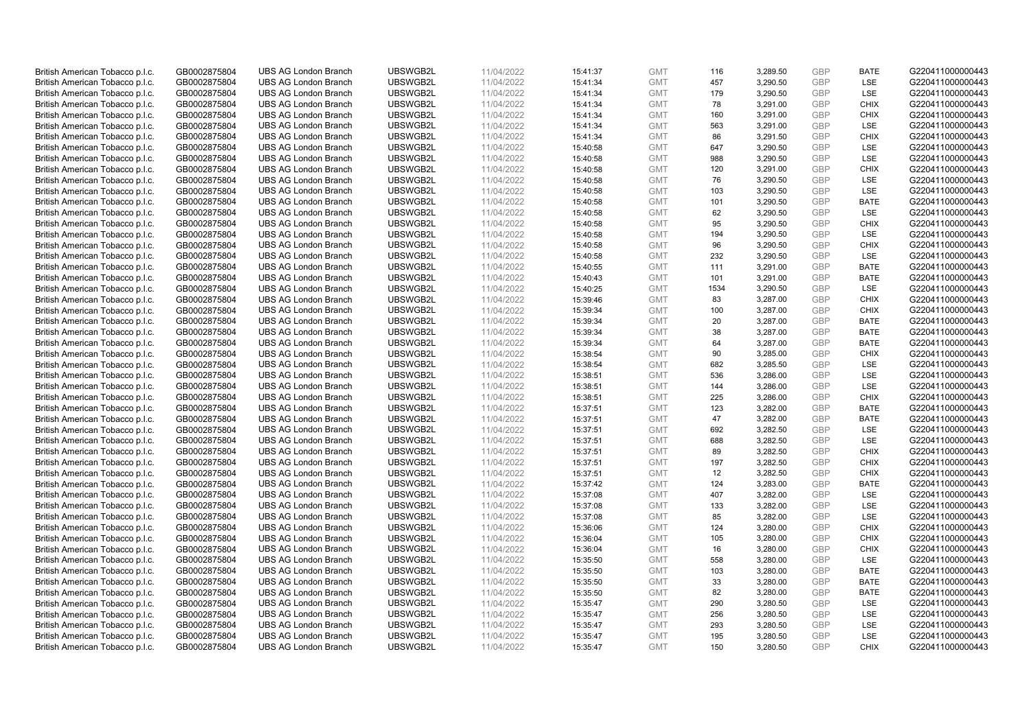| British American Tobacco p.l.c. | GB0002875804 | <b>UBS AG London Branch</b> | UBSWGB2L | 11/04/2022 | 15:41:37 | <b>GMT</b> | 116  | 3,289.50 | <b>GBP</b> | <b>BATE</b> | G220411000000443 |
|---------------------------------|--------------|-----------------------------|----------|------------|----------|------------|------|----------|------------|-------------|------------------|
| British American Tobacco p.l.c. | GB0002875804 | <b>UBS AG London Branch</b> | UBSWGB2L | 11/04/2022 | 15:41:34 | <b>GMT</b> | 457  | 3,290.50 | <b>GBP</b> | LSE         | G220411000000443 |
|                                 |              |                             |          |            |          |            |      |          |            |             |                  |
| British American Tobacco p.l.c. | GB0002875804 | <b>UBS AG London Branch</b> | UBSWGB2L | 11/04/2022 | 15:41:34 | <b>GMT</b> | 179  | 3,290.50 | <b>GBP</b> | LSE         | G220411000000443 |
| British American Tobacco p.l.c. | GB0002875804 | <b>UBS AG London Branch</b> | UBSWGB2L | 11/04/2022 | 15:41:34 | <b>GMT</b> | 78   | 3,291.00 | <b>GBP</b> | <b>CHIX</b> | G220411000000443 |
| British American Tobacco p.l.c. | GB0002875804 | <b>UBS AG London Branch</b> | UBSWGB2L | 11/04/2022 | 15:41:34 | <b>GMT</b> | 160  | 3,291.00 | <b>GBP</b> | <b>CHIX</b> | G220411000000443 |
| British American Tobacco p.l.c. | GB0002875804 | <b>UBS AG London Branch</b> | UBSWGB2L | 11/04/2022 | 15:41:34 | <b>GMT</b> | 563  | 3,291.00 | <b>GBP</b> | <b>LSE</b>  | G220411000000443 |
| British American Tobacco p.l.c. | GB0002875804 | <b>UBS AG London Branch</b> | UBSWGB2L | 11/04/2022 | 15:41:34 | <b>GMT</b> | 86   | 3,291.50 | <b>GBP</b> | <b>CHIX</b> | G220411000000443 |
| British American Tobacco p.l.c. | GB0002875804 | <b>UBS AG London Branch</b> | UBSWGB2L | 11/04/2022 | 15:40:58 | <b>GMT</b> | 647  | 3,290.50 | <b>GBP</b> | <b>LSE</b>  | G220411000000443 |
| British American Tobacco p.l.c. | GB0002875804 | <b>UBS AG London Branch</b> | UBSWGB2L | 11/04/2022 | 15:40:58 | <b>GMT</b> | 988  | 3,290.50 | <b>GBP</b> | LSE         | G220411000000443 |
| British American Tobacco p.l.c. | GB0002875804 | <b>UBS AG London Branch</b> | UBSWGB2L | 11/04/2022 | 15:40:58 | <b>GMT</b> | 120  | 3,291.00 | <b>GBP</b> | <b>CHIX</b> | G220411000000443 |
| British American Tobacco p.l.c. | GB0002875804 | <b>UBS AG London Branch</b> | UBSWGB2L | 11/04/2022 | 15:40:58 | <b>GMT</b> | 76   | 3,290.50 | <b>GBP</b> | <b>LSE</b>  | G220411000000443 |
| British American Tobacco p.l.c. | GB0002875804 | <b>UBS AG London Branch</b> | UBSWGB2L | 11/04/2022 | 15:40:58 | <b>GMT</b> | 103  | 3,290.50 | <b>GBP</b> | LSE         | G220411000000443 |
| British American Tobacco p.l.c. | GB0002875804 | <b>UBS AG London Branch</b> | UBSWGB2L | 11/04/2022 | 15:40:58 | <b>GMT</b> | 101  | 3,290.50 | <b>GBP</b> | <b>BATE</b> | G220411000000443 |
| British American Tobacco p.l.c. | GB0002875804 | <b>UBS AG London Branch</b> | UBSWGB2L | 11/04/2022 | 15:40:58 | <b>GMT</b> | 62   | 3,290.50 | <b>GBP</b> | LSE         | G220411000000443 |
| British American Tobacco p.l.c. | GB0002875804 | <b>UBS AG London Branch</b> | UBSWGB2L | 11/04/2022 | 15:40:58 | <b>GMT</b> | 95   | 3,290.50 | <b>GBP</b> | <b>CHIX</b> | G220411000000443 |
| British American Tobacco p.l.c. | GB0002875804 | <b>UBS AG London Branch</b> | UBSWGB2L | 11/04/2022 | 15:40:58 | <b>GMT</b> | 194  | 3,290.50 | <b>GBP</b> | LSE         | G220411000000443 |
| British American Tobacco p.l.c. | GB0002875804 | <b>UBS AG London Branch</b> | UBSWGB2L | 11/04/2022 | 15:40:58 | <b>GMT</b> | 96   | 3,290.50 | <b>GBP</b> | <b>CHIX</b> | G220411000000443 |
| British American Tobacco p.l.c. | GB0002875804 | <b>UBS AG London Branch</b> | UBSWGB2L | 11/04/2022 | 15:40:58 | <b>GMT</b> | 232  | 3,290.50 | <b>GBP</b> | LSE         | G220411000000443 |
|                                 |              | <b>UBS AG London Branch</b> | UBSWGB2L |            |          |            |      |          |            |             |                  |
| British American Tobacco p.l.c. | GB0002875804 |                             |          | 11/04/2022 | 15:40:55 | <b>GMT</b> | 111  | 3,291.00 | <b>GBP</b> | <b>BATE</b> | G220411000000443 |
| British American Tobacco p.l.c. | GB0002875804 | <b>UBS AG London Branch</b> | UBSWGB2L | 11/04/2022 | 15:40:43 | <b>GMT</b> | 101  | 3,291.00 | <b>GBP</b> | <b>BATE</b> | G220411000000443 |
| British American Tobacco p.l.c. | GB0002875804 | <b>UBS AG London Branch</b> | UBSWGB2L | 11/04/2022 | 15:40:25 | <b>GMT</b> | 1534 | 3,290.50 | <b>GBP</b> | LSE         | G220411000000443 |
| British American Tobacco p.l.c. | GB0002875804 | <b>UBS AG London Branch</b> | UBSWGB2L | 11/04/2022 | 15:39:46 | <b>GMT</b> | 83   | 3,287.00 | <b>GBP</b> | <b>CHIX</b> | G220411000000443 |
| British American Tobacco p.l.c. | GB0002875804 | <b>UBS AG London Branch</b> | UBSWGB2L | 11/04/2022 | 15:39:34 | <b>GMT</b> | 100  | 3,287.00 | <b>GBP</b> | <b>CHIX</b> | G220411000000443 |
| British American Tobacco p.l.c. | GB0002875804 | <b>UBS AG London Branch</b> | UBSWGB2L | 11/04/2022 | 15:39:34 | <b>GMT</b> | 20   | 3,287.00 | <b>GBP</b> | <b>BATE</b> | G220411000000443 |
| British American Tobacco p.l.c. | GB0002875804 | <b>UBS AG London Branch</b> | UBSWGB2L | 11/04/2022 | 15:39:34 | <b>GMT</b> | 38   | 3,287.00 | <b>GBP</b> | <b>BATE</b> | G220411000000443 |
| British American Tobacco p.l.c. | GB0002875804 | <b>UBS AG London Branch</b> | UBSWGB2L | 11/04/2022 | 15:39:34 | <b>GMT</b> | 64   | 3,287.00 | <b>GBP</b> | <b>BATE</b> | G220411000000443 |
| British American Tobacco p.l.c. | GB0002875804 | <b>UBS AG London Branch</b> | UBSWGB2L | 11/04/2022 | 15:38:54 | <b>GMT</b> | 90   | 3,285.00 | <b>GBP</b> | <b>CHIX</b> | G220411000000443 |
| British American Tobacco p.l.c. | GB0002875804 | <b>UBS AG London Branch</b> | UBSWGB2L | 11/04/2022 | 15:38:54 | <b>GMT</b> | 682  | 3,285.50 | <b>GBP</b> | LSE         | G220411000000443 |
| British American Tobacco p.l.c. | GB0002875804 | <b>UBS AG London Branch</b> | UBSWGB2L | 11/04/2022 | 15:38:51 | <b>GMT</b> | 536  | 3,286.00 | <b>GBP</b> | LSE         | G220411000000443 |
| British American Tobacco p.l.c. | GB0002875804 | <b>UBS AG London Branch</b> | UBSWGB2L | 11/04/2022 | 15:38:51 | <b>GMT</b> | 144  | 3,286.00 | <b>GBP</b> | LSE         | G220411000000443 |
| British American Tobacco p.l.c. | GB0002875804 | <b>UBS AG London Branch</b> | UBSWGB2L | 11/04/2022 | 15:38:51 | <b>GMT</b> | 225  | 3,286.00 | <b>GBP</b> | <b>CHIX</b> | G220411000000443 |
| British American Tobacco p.l.c. | GB0002875804 | <b>UBS AG London Branch</b> | UBSWGB2L | 11/04/2022 | 15:37:51 | <b>GMT</b> | 123  | 3,282.00 | <b>GBP</b> | BATE        | G220411000000443 |
| British American Tobacco p.l.c. | GB0002875804 | <b>UBS AG London Branch</b> | UBSWGB2L | 11/04/2022 | 15:37:51 | <b>GMT</b> | 47   | 3,282.00 | <b>GBP</b> | <b>BATE</b> | G220411000000443 |
| British American Tobacco p.l.c. | GB0002875804 | <b>UBS AG London Branch</b> | UBSWGB2L | 11/04/2022 | 15:37:51 | <b>GMT</b> | 692  | 3,282.50 | <b>GBP</b> | LSE         | G220411000000443 |
| British American Tobacco p.l.c. | GB0002875804 | <b>UBS AG London Branch</b> | UBSWGB2L | 11/04/2022 | 15:37:51 | <b>GMT</b> | 688  | 3,282.50 | <b>GBP</b> | LSE         | G220411000000443 |
| British American Tobacco p.l.c. | GB0002875804 | <b>UBS AG London Branch</b> | UBSWGB2L | 11/04/2022 | 15:37:51 | <b>GMT</b> | 89   | 3,282.50 | <b>GBP</b> | <b>CHIX</b> | G220411000000443 |
| British American Tobacco p.l.c. | GB0002875804 | <b>UBS AG London Branch</b> | UBSWGB2L | 11/04/2022 | 15:37:51 | <b>GMT</b> | 197  | 3,282.50 | <b>GBP</b> | <b>CHIX</b> | G220411000000443 |
| British American Tobacco p.l.c. | GB0002875804 | <b>UBS AG London Branch</b> | UBSWGB2L | 11/04/2022 | 15:37:51 | <b>GMT</b> | 12   | 3,282.50 | <b>GBP</b> | <b>CHIX</b> | G220411000000443 |
| British American Tobacco p.l.c. | GB0002875804 | <b>UBS AG London Branch</b> | UBSWGB2L | 11/04/2022 | 15:37:42 | <b>GMT</b> | 124  | 3,283.00 | <b>GBP</b> | <b>BATE</b> | G220411000000443 |
| British American Tobacco p.l.c. | GB0002875804 | <b>UBS AG London Branch</b> | UBSWGB2L | 11/04/2022 | 15:37:08 | <b>GMT</b> | 407  | 3,282.00 | <b>GBP</b> | <b>LSE</b>  | G220411000000443 |
| British American Tobacco p.l.c. | GB0002875804 | <b>UBS AG London Branch</b> | UBSWGB2L | 11/04/2022 | 15:37:08 | <b>GMT</b> | 133  | 3,282.00 | <b>GBP</b> | LSE         | G220411000000443 |
| British American Tobacco p.l.c. | GB0002875804 | <b>UBS AG London Branch</b> | UBSWGB2L | 11/04/2022 | 15:37:08 | <b>GMT</b> | 85   | 3,282.00 | <b>GBP</b> | LSE         | G220411000000443 |
| British American Tobacco p.l.c. | GB0002875804 | <b>UBS AG London Branch</b> | UBSWGB2L | 11/04/2022 | 15:36:06 | <b>GMT</b> | 124  | 3,280.00 | <b>GBP</b> | <b>CHIX</b> | G220411000000443 |
| British American Tobacco p.l.c. | GB0002875804 | <b>UBS AG London Branch</b> | UBSWGB2L | 11/04/2022 | 15:36:04 | <b>GMT</b> | 105  | 3,280.00 | <b>GBP</b> | <b>CHIX</b> | G220411000000443 |
| British American Tobacco p.l.c. | GB0002875804 | UBS AG London Branch        | UBSWGB2L | 11/04/2022 | 15:36:04 | <b>GMT</b> | 16   | 3,280.00 | <b>GBP</b> | <b>CHIX</b> | G220411000000443 |
| British American Tobacco p.l.c. | GB0002875804 | <b>UBS AG London Branch</b> | UBSWGB2L | 11/04/2022 | 15:35:50 | <b>GMT</b> | 558  | 3,280.00 | <b>GBP</b> | LSE         | G220411000000443 |
| British American Tobacco p.l.c. | GB0002875804 | <b>UBS AG London Branch</b> | UBSWGB2L | 11/04/2022 | 15:35:50 | <b>GMT</b> | 103  | 3,280.00 | <b>GBP</b> | <b>BATE</b> | G220411000000443 |
| British American Tobacco p.l.c. | GB0002875804 | <b>UBS AG London Branch</b> | UBSWGB2L | 11/04/2022 | 15:35:50 | <b>GMT</b> | 33   | 3,280.00 | <b>GBP</b> | <b>BATE</b> | G220411000000443 |
|                                 |              |                             |          |            |          |            |      |          | <b>GBP</b> |             |                  |
| British American Tobacco p.l.c. | GB0002875804 | <b>UBS AG London Branch</b> | UBSWGB2L | 11/04/2022 | 15:35:50 | GMT        | 82   | 3,280.00 | <b>GBP</b> | <b>BATE</b> | G220411000000443 |
| British American Tobacco p.l.c. | GB0002875804 | <b>UBS AG London Branch</b> | UBSWGB2L | 11/04/2022 | 15:35:47 | <b>GMT</b> | 290  | 3,280.50 |            | <b>LSE</b>  | G220411000000443 |
| British American Tobacco p.l.c. | GB0002875804 | <b>UBS AG London Branch</b> | UBSWGB2L | 11/04/2022 | 15:35:47 | <b>GMT</b> | 256  | 3,280.50 | <b>GBP</b> | LSE         | G220411000000443 |
| British American Tobacco p.l.c. | GB0002875804 | <b>UBS AG London Branch</b> | UBSWGB2L | 11/04/2022 | 15:35:47 | <b>GMT</b> | 293  | 3,280.50 | <b>GBP</b> | LSE         | G220411000000443 |
| British American Tobacco p.l.c. | GB0002875804 | <b>UBS AG London Branch</b> | UBSWGB2L | 11/04/2022 | 15:35:47 | <b>GMT</b> | 195  | 3,280.50 | <b>GBP</b> | LSE         | G220411000000443 |
| British American Tobacco p.l.c. | GB0002875804 | <b>UBS AG London Branch</b> | UBSWGB2L | 11/04/2022 | 15:35:47 | <b>GMT</b> | 150  | 3,280.50 | GBP        | <b>CHIX</b> | G220411000000443 |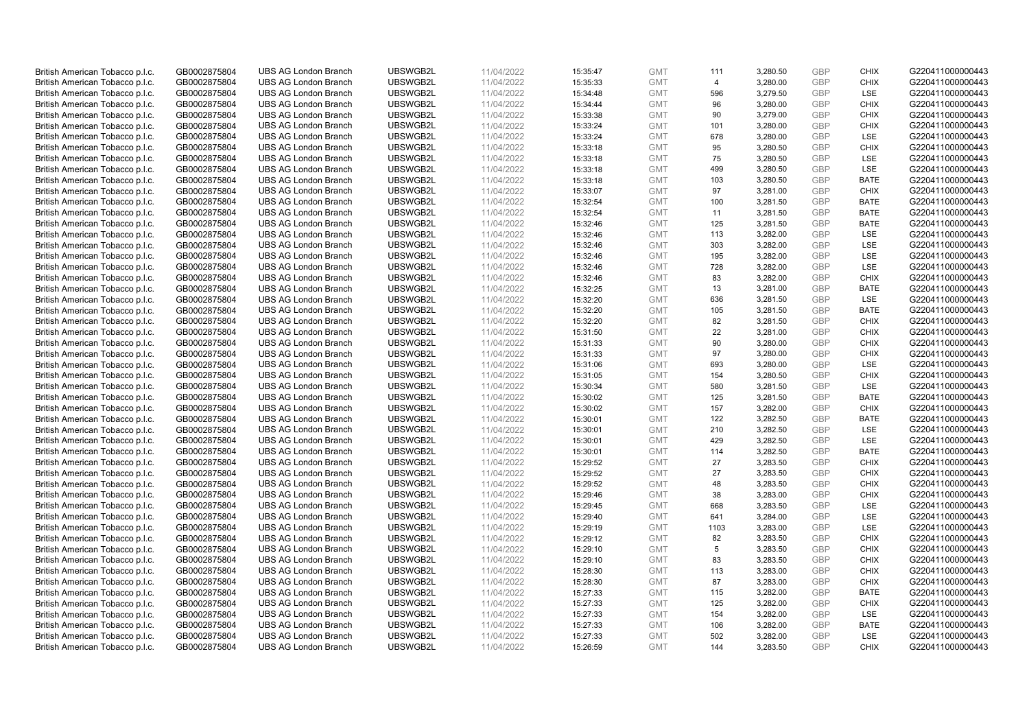| British American Tobacco p.l.c. | GB0002875804 | <b>UBS AG London Branch</b> | UBSWGB2L | 11/04/2022 | 15:35:47 | <b>GMT</b> | 111            | 3,280.50 | <b>GBP</b> | <b>CHIX</b> | G220411000000443 |
|---------------------------------|--------------|-----------------------------|----------|------------|----------|------------|----------------|----------|------------|-------------|------------------|
| British American Tobacco p.l.c. | GB0002875804 | <b>UBS AG London Branch</b> | UBSWGB2L | 11/04/2022 | 15:35:33 | <b>GMT</b> | $\overline{4}$ | 3,280.00 | <b>GBP</b> | <b>CHIX</b> | G220411000000443 |
|                                 |              | <b>UBS AG London Branch</b> | UBSWGB2L |            |          | <b>GMT</b> | 596            | 3,279.50 | <b>GBP</b> | LSE         | G220411000000443 |
| British American Tobacco p.l.c. | GB0002875804 |                             |          | 11/04/2022 | 15:34:48 |            |                |          |            |             |                  |
| British American Tobacco p.l.c. | GB0002875804 | <b>UBS AG London Branch</b> | UBSWGB2L | 11/04/2022 | 15:34:44 | <b>GMT</b> | 96             | 3,280.00 | <b>GBP</b> | <b>CHIX</b> | G220411000000443 |
| British American Tobacco p.l.c. | GB0002875804 | <b>UBS AG London Branch</b> | UBSWGB2L | 11/04/2022 | 15:33:38 | <b>GMT</b> | 90             | 3,279.00 | <b>GBP</b> | <b>CHIX</b> | G220411000000443 |
| British American Tobacco p.l.c. | GB0002875804 | <b>UBS AG London Branch</b> | UBSWGB2L | 11/04/2022 | 15:33:24 | <b>GMT</b> | 101            | 3,280.00 | <b>GBP</b> | <b>CHIX</b> | G220411000000443 |
| British American Tobacco p.l.c. | GB0002875804 | <b>UBS AG London Branch</b> | UBSWGB2L | 11/04/2022 | 15:33:24 | <b>GMT</b> | 678            | 3,280.00 | <b>GBP</b> | LSE         | G220411000000443 |
| British American Tobacco p.l.c. | GB0002875804 | <b>UBS AG London Branch</b> | UBSWGB2L | 11/04/2022 | 15:33:18 | <b>GMT</b> | 95             | 3,280.50 | <b>GBP</b> | <b>CHIX</b> | G220411000000443 |
| British American Tobacco p.l.c. | GB0002875804 | <b>UBS AG London Branch</b> | UBSWGB2L | 11/04/2022 | 15:33:18 | <b>GMT</b> | 75             | 3,280.50 | <b>GBP</b> | LSE         | G220411000000443 |
| British American Tobacco p.l.c. | GB0002875804 | <b>UBS AG London Branch</b> | UBSWGB2L | 11/04/2022 | 15:33:18 | <b>GMT</b> | 499            | 3,280.50 | <b>GBP</b> | LSE         | G220411000000443 |
| British American Tobacco p.l.c. | GB0002875804 | <b>UBS AG London Branch</b> | UBSWGB2L | 11/04/2022 | 15:33:18 | <b>GMT</b> | 103            | 3,280.50 | <b>GBP</b> | <b>BATE</b> | G220411000000443 |
| British American Tobacco p.l.c. | GB0002875804 | <b>UBS AG London Branch</b> | UBSWGB2L | 11/04/2022 | 15:33:07 | <b>GMT</b> | 97             | 3,281.00 | <b>GBP</b> | <b>CHIX</b> | G220411000000443 |
| British American Tobacco p.l.c. | GB0002875804 | <b>UBS AG London Branch</b> | UBSWGB2L | 11/04/2022 | 15:32:54 | <b>GMT</b> | 100            | 3,281.50 | <b>GBP</b> | <b>BATE</b> | G220411000000443 |
| British American Tobacco p.l.c. | GB0002875804 | <b>UBS AG London Branch</b> | UBSWGB2L | 11/04/2022 | 15:32:54 | <b>GMT</b> | 11             | 3,281.50 | <b>GBP</b> | <b>BATE</b> | G220411000000443 |
| British American Tobacco p.l.c. | GB0002875804 | <b>UBS AG London Branch</b> | UBSWGB2L | 11/04/2022 | 15:32:46 | <b>GMT</b> | 125            | 3,281.50 | <b>GBP</b> | <b>BATE</b> | G220411000000443 |
| British American Tobacco p.l.c. | GB0002875804 | <b>UBS AG London Branch</b> | UBSWGB2L | 11/04/2022 | 15:32:46 | <b>GMT</b> | 113            | 3,282.00 | <b>GBP</b> | LSE         | G220411000000443 |
| British American Tobacco p.l.c. | GB0002875804 | <b>UBS AG London Branch</b> | UBSWGB2L | 11/04/2022 | 15:32:46 | <b>GMT</b> | 303            | 3,282.00 | <b>GBP</b> | LSE         | G220411000000443 |
| British American Tobacco p.l.c. | GB0002875804 | <b>UBS AG London Branch</b> | UBSWGB2L | 11/04/2022 | 15:32:46 | <b>GMT</b> | 195            | 3,282.00 | <b>GBP</b> | LSE         | G220411000000443 |
| British American Tobacco p.l.c. | GB0002875804 | <b>UBS AG London Branch</b> | UBSWGB2L | 11/04/2022 | 15:32:46 | <b>GMT</b> | 728            | 3,282.00 | <b>GBP</b> | <b>LSE</b>  | G220411000000443 |
| British American Tobacco p.l.c. | GB0002875804 | <b>UBS AG London Branch</b> | UBSWGB2L | 11/04/2022 | 15:32:46 | <b>GMT</b> | 83             | 3,282.00 | <b>GBP</b> | <b>CHIX</b> | G220411000000443 |
| British American Tobacco p.l.c. | GB0002875804 | <b>UBS AG London Branch</b> | UBSWGB2L | 11/04/2022 | 15:32:25 | <b>GMT</b> | 13             | 3,281.00 | <b>GBP</b> | <b>BATE</b> | G220411000000443 |
| British American Tobacco p.l.c. | GB0002875804 | <b>UBS AG London Branch</b> | UBSWGB2L | 11/04/2022 | 15:32:20 | <b>GMT</b> | 636            | 3,281.50 | <b>GBP</b> | LSE         | G220411000000443 |
| British American Tobacco p.l.c. | GB0002875804 | <b>UBS AG London Branch</b> | UBSWGB2L | 11/04/2022 | 15:32:20 | <b>GMT</b> | 105            | 3,281.50 | <b>GBP</b> | <b>BATE</b> | G220411000000443 |
| British American Tobacco p.l.c. | GB0002875804 | <b>UBS AG London Branch</b> | UBSWGB2L | 11/04/2022 | 15:32:20 | <b>GMT</b> | 82             | 3,281.50 | <b>GBP</b> | <b>CHIX</b> | G220411000000443 |
| British American Tobacco p.l.c. | GB0002875804 | <b>UBS AG London Branch</b> | UBSWGB2L | 11/04/2022 | 15:31:50 | <b>GMT</b> | 22             | 3,281.00 | <b>GBP</b> | <b>CHIX</b> | G220411000000443 |
| British American Tobacco p.l.c. | GB0002875804 | <b>UBS AG London Branch</b> | UBSWGB2L | 11/04/2022 | 15:31:33 | <b>GMT</b> | 90             | 3,280.00 | <b>GBP</b> | <b>CHIX</b> | G220411000000443 |
| British American Tobacco p.l.c. | GB0002875804 | <b>UBS AG London Branch</b> | UBSWGB2L | 11/04/2022 | 15:31:33 | <b>GMT</b> | 97             | 3,280.00 | <b>GBP</b> | <b>CHIX</b> | G220411000000443 |
| British American Tobacco p.l.c. | GB0002875804 | <b>UBS AG London Branch</b> | UBSWGB2L | 11/04/2022 | 15:31:06 | <b>GMT</b> | 693            | 3,280.00 | <b>GBP</b> | LSE         | G220411000000443 |
| British American Tobacco p.l.c. | GB0002875804 | <b>UBS AG London Branch</b> | UBSWGB2L | 11/04/2022 | 15:31:05 | <b>GMT</b> | 154            | 3,280.50 | <b>GBP</b> | <b>CHIX</b> | G220411000000443 |
| British American Tobacco p.l.c. | GB0002875804 | <b>UBS AG London Branch</b> | UBSWGB2L | 11/04/2022 | 15:30:34 | <b>GMT</b> | 580            | 3,281.50 | <b>GBP</b> | LSE         | G220411000000443 |
| British American Tobacco p.l.c. | GB0002875804 | <b>UBS AG London Branch</b> | UBSWGB2L | 11/04/2022 |          | <b>GMT</b> | 125            | 3,281.50 | <b>GBP</b> | <b>BATE</b> | G220411000000443 |
|                                 |              | <b>UBS AG London Branch</b> | UBSWGB2L |            | 15:30:02 |            |                |          | <b>GBP</b> |             |                  |
| British American Tobacco p.l.c. | GB0002875804 |                             |          | 11/04/2022 | 15:30:02 | <b>GMT</b> | 157            | 3,282.00 | <b>GBP</b> | <b>CHIX</b> | G220411000000443 |
| British American Tobacco p.l.c. | GB0002875804 | <b>UBS AG London Branch</b> | UBSWGB2L | 11/04/2022 | 15:30:01 | <b>GMT</b> | 122            | 3,282.50 |            | <b>BATE</b> | G220411000000443 |
| British American Tobacco p.l.c. | GB0002875804 | <b>UBS AG London Branch</b> | UBSWGB2L | 11/04/2022 | 15:30:01 | <b>GMT</b> | 210            | 3,282.50 | <b>GBP</b> | LSE         | G220411000000443 |
| British American Tobacco p.l.c. | GB0002875804 | <b>UBS AG London Branch</b> | UBSWGB2L | 11/04/2022 | 15:30:01 | <b>GMT</b> | 429            | 3,282.50 | <b>GBP</b> | LSE         | G220411000000443 |
| British American Tobacco p.l.c. | GB0002875804 | <b>UBS AG London Branch</b> | UBSWGB2L | 11/04/2022 | 15:30:01 | <b>GMT</b> | 114            | 3,282.50 | <b>GBP</b> | <b>BATE</b> | G220411000000443 |
| British American Tobacco p.l.c. | GB0002875804 | <b>UBS AG London Branch</b> | UBSWGB2L | 11/04/2022 | 15:29:52 | <b>GMT</b> | 27             | 3,283.50 | <b>GBP</b> | <b>CHIX</b> | G220411000000443 |
| British American Tobacco p.l.c. | GB0002875804 | <b>UBS AG London Branch</b> | UBSWGB2L | 11/04/2022 | 15:29:52 | <b>GMT</b> | 27             | 3,283.50 | <b>GBP</b> | <b>CHIX</b> | G220411000000443 |
| British American Tobacco p.l.c. | GB0002875804 | <b>UBS AG London Branch</b> | UBSWGB2L | 11/04/2022 | 15:29:52 | <b>GMT</b> | 48             | 3,283.50 | <b>GBP</b> | <b>CHIX</b> | G220411000000443 |
| British American Tobacco p.l.c. | GB0002875804 | <b>UBS AG London Branch</b> | UBSWGB2L | 11/04/2022 | 15:29:46 | <b>GMT</b> | 38             | 3,283.00 | <b>GBP</b> | <b>CHIX</b> | G220411000000443 |
| British American Tobacco p.l.c. | GB0002875804 | <b>UBS AG London Branch</b> | UBSWGB2L | 11/04/2022 | 15:29:45 | <b>GMT</b> | 668            | 3,283.50 | <b>GBP</b> | LSE         | G220411000000443 |
| British American Tobacco p.l.c. | GB0002875804 | <b>UBS AG London Branch</b> | UBSWGB2L | 11/04/2022 | 15:29:40 | <b>GMT</b> | 641            | 3,284.00 | <b>GBP</b> | LSE         | G220411000000443 |
| British American Tobacco p.l.c. | GB0002875804 | <b>UBS AG London Branch</b> | UBSWGB2L | 11/04/2022 | 15:29:19 | <b>GMT</b> | 1103           | 3,283.00 | <b>GBP</b> | LSE         | G220411000000443 |
| British American Tobacco p.l.c. | GB0002875804 | <b>UBS AG London Branch</b> | UBSWGB2L | 11/04/2022 | 15:29:12 | <b>GMT</b> | 82             | 3,283.50 | <b>GBP</b> | <b>CHIX</b> | G220411000000443 |
| British American Tobacco p.l.c. | GB0002875804 | UBS AG London Branch        | UBSWGB2L | 11/04/2022 | 15:29:10 | <b>GMT</b> | 5              | 3,283.50 | <b>GBP</b> | <b>CHIX</b> | G220411000000443 |
| British American Tobacco p.l.c. | GB0002875804 | <b>UBS AG London Branch</b> | UBSWGB2L | 11/04/2022 | 15:29:10 | <b>GMT</b> | 83             | 3,283.50 | <b>GBP</b> | <b>CHIX</b> | G220411000000443 |
| British American Tobacco p.l.c. | GB0002875804 | <b>UBS AG London Branch</b> | UBSWGB2L | 11/04/2022 | 15:28:30 | <b>GMT</b> | 113            | 3,283.00 | <b>GBP</b> | <b>CHIX</b> | G220411000000443 |
| British American Tobacco p.l.c. | GB0002875804 | <b>UBS AG London Branch</b> | UBSWGB2L | 11/04/2022 | 15:28:30 | <b>GMT</b> | 87             | 3,283.00 | <b>GBP</b> | <b>CHIX</b> | G220411000000443 |
| British American Tobacco p.l.c. | GB0002875804 | <b>UBS AG London Branch</b> | UBSWGB2L | 11/04/2022 | 15:27:33 | GMT        | 115            | 3,282.00 | <b>GBP</b> | <b>BATE</b> | G220411000000443 |
| British American Tobacco p.l.c. | GB0002875804 | <b>UBS AG London Branch</b> | UBSWGB2L | 11/04/2022 | 15:27:33 | <b>GMT</b> | 125            | 3,282.00 | <b>GBP</b> | <b>CHIX</b> | G220411000000443 |
| British American Tobacco p.l.c. | GB0002875804 | <b>UBS AG London Branch</b> | UBSWGB2L | 11/04/2022 | 15:27:33 | <b>GMT</b> | 154            | 3,282.00 | <b>GBP</b> | LSE         | G220411000000443 |
| British American Tobacco p.l.c. | GB0002875804 | <b>UBS AG London Branch</b> | UBSWGB2L | 11/04/2022 | 15:27:33 | <b>GMT</b> | 106            | 3,282.00 | <b>GBP</b> | <b>BATE</b> | G220411000000443 |
| British American Tobacco p.l.c. | GB0002875804 | <b>UBS AG London Branch</b> | UBSWGB2L | 11/04/2022 | 15:27:33 | <b>GMT</b> | 502            | 3,282.00 | <b>GBP</b> | LSE         | G220411000000443 |
| British American Tobacco p.l.c. | GB0002875804 | <b>UBS AG London Branch</b> | UBSWGB2L | 11/04/2022 | 15:26:59 | <b>GMT</b> | 144            | 3,283.50 | GBP        | <b>CHIX</b> | G220411000000443 |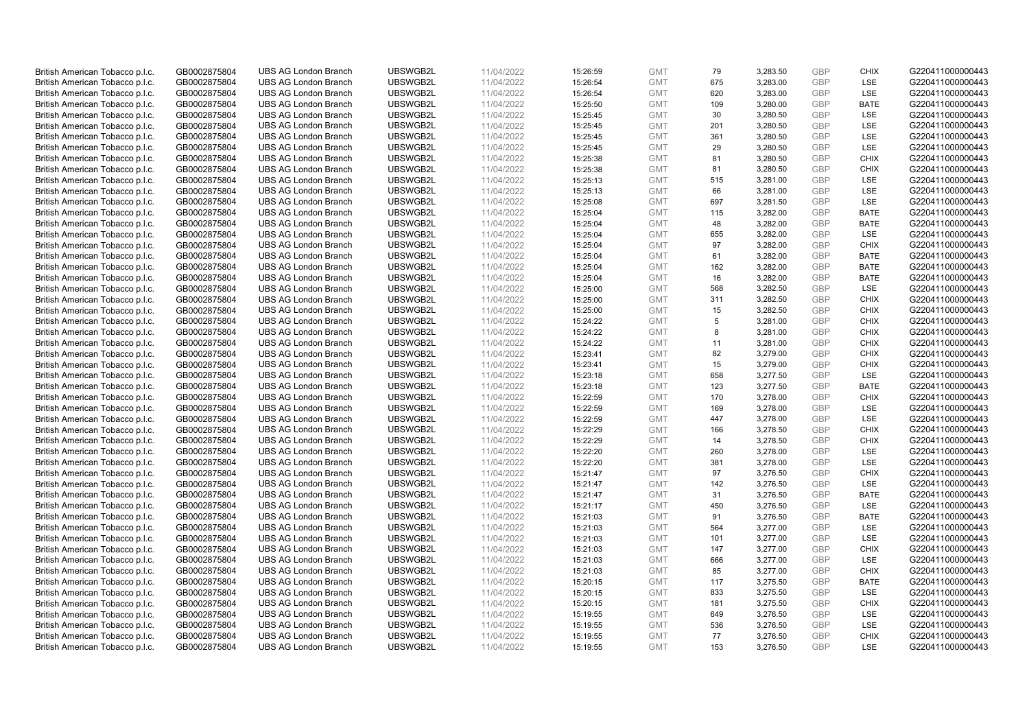| British American Tobacco p.l.c. | GB0002875804 | <b>UBS AG London Branch</b> | UBSWGB2L | 11/04/2022 | 15:26:59 | <b>GMT</b> | 79  | 3,283.50 | <b>GBP</b> | <b>CHIX</b> | G220411000000443 |
|---------------------------------|--------------|-----------------------------|----------|------------|----------|------------|-----|----------|------------|-------------|------------------|
|                                 | GB0002875804 | <b>UBS AG London Branch</b> | UBSWGB2L | 11/04/2022 |          | <b>GMT</b> | 675 | 3,283.00 | <b>GBP</b> | LSE         | G220411000000443 |
| British American Tobacco p.l.c. |              |                             |          |            | 15:26:54 |            |     |          |            |             |                  |
| British American Tobacco p.l.c. | GB0002875804 | <b>UBS AG London Branch</b> | UBSWGB2L | 11/04/2022 | 15:26:54 | <b>GMT</b> | 620 | 3,283.00 | <b>GBP</b> | LSE         | G220411000000443 |
| British American Tobacco p.l.c. | GB0002875804 | <b>UBS AG London Branch</b> | UBSWGB2L | 11/04/2022 | 15:25:50 | <b>GMT</b> | 109 | 3,280.00 | <b>GBP</b> | <b>BATE</b> | G220411000000443 |
| British American Tobacco p.l.c. | GB0002875804 | <b>UBS AG London Branch</b> | UBSWGB2L | 11/04/2022 | 15:25:45 | <b>GMT</b> | 30  | 3,280.50 | <b>GBP</b> | LSE         | G220411000000443 |
| British American Tobacco p.l.c. | GB0002875804 | <b>UBS AG London Branch</b> | UBSWGB2L | 11/04/2022 | 15:25:45 | <b>GMT</b> | 201 | 3,280.50 | <b>GBP</b> | <b>LSE</b>  | G220411000000443 |
| British American Tobacco p.l.c. | GB0002875804 | <b>UBS AG London Branch</b> | UBSWGB2L | 11/04/2022 | 15:25:45 | <b>GMT</b> | 361 | 3,280.50 | <b>GBP</b> | LSE         | G220411000000443 |
| British American Tobacco p.l.c. | GB0002875804 | <b>UBS AG London Branch</b> | UBSWGB2L | 11/04/2022 | 15:25:45 | <b>GMT</b> | 29  | 3,280.50 | <b>GBP</b> | LSE         | G220411000000443 |
| British American Tobacco p.l.c. | GB0002875804 | <b>UBS AG London Branch</b> | UBSWGB2L | 11/04/2022 | 15:25:38 | <b>GMT</b> | 81  | 3,280.50 | <b>GBP</b> | <b>CHIX</b> | G220411000000443 |
| British American Tobacco p.l.c. | GB0002875804 | <b>UBS AG London Branch</b> | UBSWGB2L | 11/04/2022 | 15:25:38 | <b>GMT</b> | 81  | 3,280.50 | <b>GBP</b> | <b>CHIX</b> | G220411000000443 |
| British American Tobacco p.l.c. | GB0002875804 | <b>UBS AG London Branch</b> | UBSWGB2L | 11/04/2022 | 15:25:13 | <b>GMT</b> | 515 | 3,281.00 | <b>GBP</b> | <b>LSE</b>  | G220411000000443 |
| British American Tobacco p.l.c. | GB0002875804 | <b>UBS AG London Branch</b> | UBSWGB2L | 11/04/2022 | 15:25:13 | <b>GMT</b> | 66  | 3,281.00 | <b>GBP</b> | LSE         | G220411000000443 |
| British American Tobacco p.l.c. | GB0002875804 | <b>UBS AG London Branch</b> | UBSWGB2L | 11/04/2022 | 15:25:08 | <b>GMT</b> | 697 | 3,281.50 | <b>GBP</b> | LSE         | G220411000000443 |
| British American Tobacco p.l.c. | GB0002875804 | <b>UBS AG London Branch</b> | UBSWGB2L | 11/04/2022 | 15:25:04 | <b>GMT</b> | 115 | 3,282.00 | <b>GBP</b> | <b>BATE</b> | G220411000000443 |
| British American Tobacco p.l.c. | GB0002875804 | <b>UBS AG London Branch</b> | UBSWGB2L | 11/04/2022 |          | <b>GMT</b> | 48  | 3,282.00 | <b>GBP</b> | <b>BATE</b> | G220411000000443 |
|                                 |              |                             |          |            | 15:25:04 |            |     |          |            |             |                  |
| British American Tobacco p.l.c. | GB0002875804 | <b>UBS AG London Branch</b> | UBSWGB2L | 11/04/2022 | 15:25:04 | <b>GMT</b> | 655 | 3,282.00 | <b>GBP</b> | LSE         | G220411000000443 |
| British American Tobacco p.l.c. | GB0002875804 | <b>UBS AG London Branch</b> | UBSWGB2L | 11/04/2022 | 15:25:04 | <b>GMT</b> | 97  | 3,282.00 | <b>GBP</b> | <b>CHIX</b> | G220411000000443 |
| British American Tobacco p.l.c. | GB0002875804 | <b>UBS AG London Branch</b> | UBSWGB2L | 11/04/2022 | 15:25:04 | <b>GMT</b> | 61  | 3,282.00 | <b>GBP</b> | <b>BATE</b> | G220411000000443 |
| British American Tobacco p.l.c. | GB0002875804 | <b>UBS AG London Branch</b> | UBSWGB2L | 11/04/2022 | 15:25:04 | <b>GMT</b> | 162 | 3,282.00 | <b>GBP</b> | <b>BATE</b> | G220411000000443 |
| British American Tobacco p.l.c. | GB0002875804 | <b>UBS AG London Branch</b> | UBSWGB2L | 11/04/2022 | 15:25:04 | <b>GMT</b> | 16  | 3,282.00 | <b>GBP</b> | <b>BATE</b> | G220411000000443 |
| British American Tobacco p.l.c. | GB0002875804 | <b>UBS AG London Branch</b> | UBSWGB2L | 11/04/2022 | 15:25:00 | <b>GMT</b> | 568 | 3,282.50 | <b>GBP</b> | LSE         | G220411000000443 |
| British American Tobacco p.l.c. | GB0002875804 | <b>UBS AG London Branch</b> | UBSWGB2L | 11/04/2022 | 15:25:00 | <b>GMT</b> | 311 | 3,282.50 | <b>GBP</b> | <b>CHIX</b> | G220411000000443 |
| British American Tobacco p.l.c. | GB0002875804 | <b>UBS AG London Branch</b> | UBSWGB2L | 11/04/2022 | 15:25:00 | <b>GMT</b> | 15  | 3,282.50 | <b>GBP</b> | <b>CHIX</b> | G220411000000443 |
| British American Tobacco p.l.c. | GB0002875804 | <b>UBS AG London Branch</b> | UBSWGB2L | 11/04/2022 | 15:24:22 | <b>GMT</b> | 5   | 3,281.00 | <b>GBP</b> | <b>CHIX</b> | G220411000000443 |
| British American Tobacco p.l.c. | GB0002875804 | <b>UBS AG London Branch</b> | UBSWGB2L | 11/04/2022 | 15:24:22 | <b>GMT</b> | 8   | 3,281.00 | <b>GBP</b> | <b>CHIX</b> | G220411000000443 |
| British American Tobacco p.l.c. | GB0002875804 | <b>UBS AG London Branch</b> | UBSWGB2L | 11/04/2022 | 15:24:22 | <b>GMT</b> | 11  | 3,281.00 | <b>GBP</b> | <b>CHIX</b> | G220411000000443 |
| British American Tobacco p.l.c. | GB0002875804 | <b>UBS AG London Branch</b> | UBSWGB2L | 11/04/2022 | 15:23:41 | <b>GMT</b> | 82  | 3,279.00 | <b>GBP</b> | <b>CHIX</b> | G220411000000443 |
| British American Tobacco p.l.c. | GB0002875804 | <b>UBS AG London Branch</b> | UBSWGB2L | 11/04/2022 | 15:23:41 | <b>GMT</b> | 15  | 3,279.00 | <b>GBP</b> | <b>CHIX</b> | G220411000000443 |
| British American Tobacco p.l.c. | GB0002875804 | <b>UBS AG London Branch</b> | UBSWGB2L | 11/04/2022 | 15:23:18 | <b>GMT</b> | 658 | 3,277.50 | <b>GBP</b> | LSE         | G220411000000443 |
| British American Tobacco p.l.c. | GB0002875804 | <b>UBS AG London Branch</b> | UBSWGB2L | 11/04/2022 | 15:23:18 | <b>GMT</b> | 123 | 3,277.50 | <b>GBP</b> | <b>BATE</b> | G220411000000443 |
| British American Tobacco p.l.c. | GB0002875804 | <b>UBS AG London Branch</b> | UBSWGB2L | 11/04/2022 |          | <b>GMT</b> | 170 | 3,278.00 | <b>GBP</b> | <b>CHIX</b> | G220411000000443 |
|                                 |              | <b>UBS AG London Branch</b> | UBSWGB2L |            | 15:22:59 |            |     |          | <b>GBP</b> | LSE         |                  |
| British American Tobacco p.l.c. | GB0002875804 |                             |          | 11/04/2022 | 15:22:59 | <b>GMT</b> | 169 | 3,278.00 |            |             | G220411000000443 |
| British American Tobacco p.l.c. | GB0002875804 | <b>UBS AG London Branch</b> | UBSWGB2L | 11/04/2022 | 15:22:59 | <b>GMT</b> | 447 | 3,278.00 | <b>GBP</b> | LSE         | G220411000000443 |
| British American Tobacco p.l.c. | GB0002875804 | <b>UBS AG London Branch</b> | UBSWGB2L | 11/04/2022 | 15:22:29 | <b>GMT</b> | 166 | 3,278.50 | <b>GBP</b> | <b>CHIX</b> | G220411000000443 |
| British American Tobacco p.l.c. | GB0002875804 | <b>UBS AG London Branch</b> | UBSWGB2L | 11/04/2022 | 15:22:29 | <b>GMT</b> | 14  | 3,278.50 | <b>GBP</b> | <b>CHIX</b> | G220411000000443 |
| British American Tobacco p.l.c. | GB0002875804 | <b>UBS AG London Branch</b> | UBSWGB2L | 11/04/2022 | 15:22:20 | <b>GMT</b> | 260 | 3,278.00 | <b>GBP</b> | LSE         | G220411000000443 |
| British American Tobacco p.l.c. | GB0002875804 | <b>UBS AG London Branch</b> | UBSWGB2L | 11/04/2022 | 15:22:20 | <b>GMT</b> | 381 | 3,278.00 | <b>GBP</b> | LSE         | G220411000000443 |
| British American Tobacco p.l.c. | GB0002875804 | <b>UBS AG London Branch</b> | UBSWGB2L | 11/04/2022 | 15:21:47 | <b>GMT</b> | 97  | 3,276.50 | <b>GBP</b> | <b>CHIX</b> | G220411000000443 |
| British American Tobacco p.l.c. | GB0002875804 | <b>UBS AG London Branch</b> | UBSWGB2L | 11/04/2022 | 15:21:47 | <b>GMT</b> | 142 | 3,276.50 | <b>GBP</b> | LSE         | G220411000000443 |
| British American Tobacco p.l.c. | GB0002875804 | <b>UBS AG London Branch</b> | UBSWGB2L | 11/04/2022 | 15:21:47 | <b>GMT</b> | 31  | 3,276.50 | <b>GBP</b> | <b>BATE</b> | G220411000000443 |
| British American Tobacco p.l.c. | GB0002875804 | <b>UBS AG London Branch</b> | UBSWGB2L | 11/04/2022 | 15:21:17 | <b>GMT</b> | 450 | 3,276.50 | <b>GBP</b> | LSE         | G220411000000443 |
| British American Tobacco p.l.c. | GB0002875804 | <b>UBS AG London Branch</b> | UBSWGB2L | 11/04/2022 | 15:21:03 | <b>GMT</b> | 91  | 3,276.50 | <b>GBP</b> | <b>BATE</b> | G220411000000443 |
| British American Tobacco p.l.c. | GB0002875804 | <b>UBS AG London Branch</b> | UBSWGB2L | 11/04/2022 | 15:21:03 | <b>GMT</b> | 564 | 3,277.00 | <b>GBP</b> | LSE         | G220411000000443 |
| British American Tobacco p.l.c. | GB0002875804 | <b>UBS AG London Branch</b> | UBSWGB2L | 11/04/2022 | 15:21:03 | <b>GMT</b> | 101 | 3,277.00 | <b>GBP</b> | LSE         | G220411000000443 |
| British American Tobacco p.l.c. | GB0002875804 | UBS AG London Branch        | UBSWGB2L | 11/04/2022 | 15:21:03 | <b>GMT</b> | 147 | 3,277.00 | <b>GBP</b> | <b>CHIX</b> | G220411000000443 |
| British American Tobacco p.l.c. | GB0002875804 | <b>UBS AG London Branch</b> | UBSWGB2L | 11/04/2022 | 15:21:03 | <b>GMT</b> | 666 | 3,277.00 | <b>GBP</b> | LSE         | G220411000000443 |
| British American Tobacco p.l.c. | GB0002875804 | <b>UBS AG London Branch</b> | UBSWGB2L | 11/04/2022 | 15:21:03 | <b>GMT</b> | 85  | 3,277.00 | <b>GBP</b> | <b>CHIX</b> | G220411000000443 |
| British American Tobacco p.l.c. | GB0002875804 | <b>UBS AG London Branch</b> | UBSWGB2L | 11/04/2022 | 15:20:15 | <b>GMT</b> | 117 | 3,275.50 | <b>GBP</b> | <b>BATE</b> | G220411000000443 |
| British American Tobacco p.l.c. | GB0002875804 | <b>UBS AG London Branch</b> | UBSWGB2L | 11/04/2022 | 15:20:15 | GMT        | 833 | 3,275.50 | <b>GBP</b> | LSE         | G220411000000443 |
| British American Tobacco p.l.c. | GB0002875804 | <b>UBS AG London Branch</b> | UBSWGB2L | 11/04/2022 | 15:20:15 | <b>GMT</b> | 181 | 3,275.50 | <b>GBP</b> | <b>CHIX</b> | G220411000000443 |
| British American Tobacco p.l.c. | GB0002875804 | <b>UBS AG London Branch</b> | UBSWGB2L | 11/04/2022 |          | <b>GMT</b> | 649 | 3,276.50 | <b>GBP</b> | LSE         | G220411000000443 |
|                                 |              | <b>UBS AG London Branch</b> | UBSWGB2L |            | 15:19:55 |            |     |          |            | LSE         |                  |
| British American Tobacco p.l.c. | GB0002875804 |                             |          | 11/04/2022 | 15:19:55 | <b>GMT</b> | 536 | 3,276.50 | <b>GBP</b> |             | G220411000000443 |
| British American Tobacco p.l.c. | GB0002875804 | <b>UBS AG London Branch</b> | UBSWGB2L | 11/04/2022 | 15:19:55 | <b>GMT</b> | 77  | 3,276.50 | <b>GBP</b> | <b>CHIX</b> | G220411000000443 |
| British American Tobacco p.l.c. | GB0002875804 | <b>UBS AG London Branch</b> | UBSWGB2L | 11/04/2022 | 15:19:55 | <b>GMT</b> | 153 | 3,276.50 | GBP        | <b>LSE</b>  | G220411000000443 |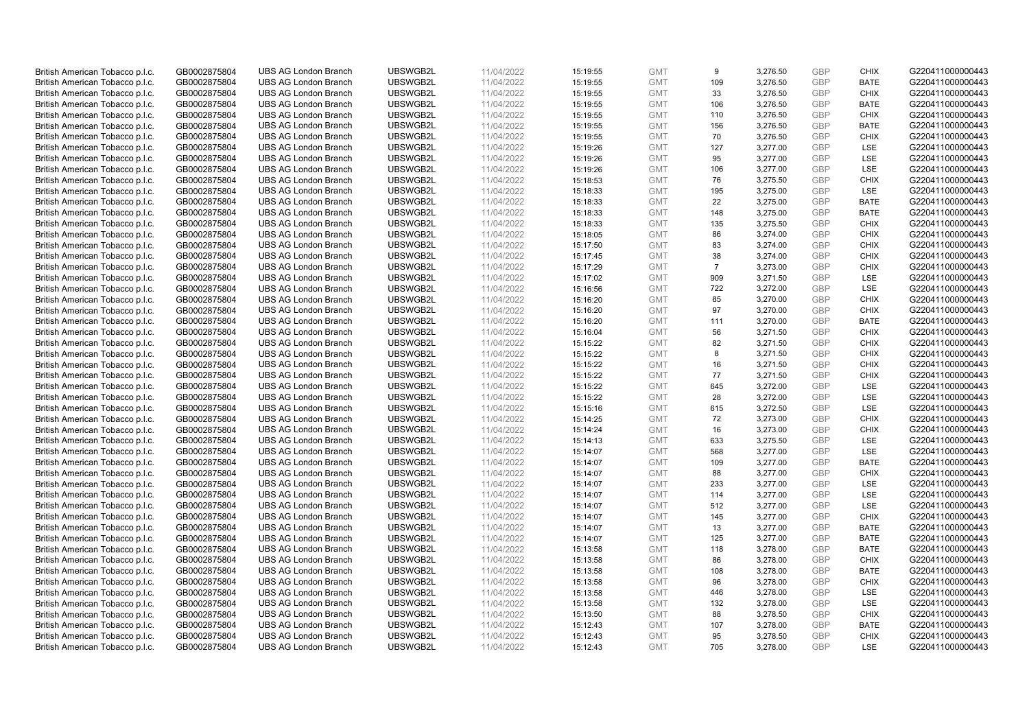| British American Tobacco p.l.c. | GB0002875804 | <b>UBS AG London Branch</b> | UBSWGB2L | 11/04/2022 | 15:19:55 | <b>GMT</b> | 9              | 3,276.50 | <b>GBP</b> | <b>CHIX</b> | G220411000000443 |
|---------------------------------|--------------|-----------------------------|----------|------------|----------|------------|----------------|----------|------------|-------------|------------------|
| British American Tobacco p.l.c. | GB0002875804 | <b>UBS AG London Branch</b> | UBSWGB2L | 11/04/2022 | 15:19:55 | <b>GMT</b> | 109            | 3,276.50 | <b>GBP</b> | <b>BATE</b> | G220411000000443 |
|                                 |              |                             |          |            |          |            |                |          |            |             |                  |
| British American Tobacco p.l.c. | GB0002875804 | <b>UBS AG London Branch</b> | UBSWGB2L | 11/04/2022 | 15:19:55 | <b>GMT</b> | 33             | 3,276.50 | <b>GBP</b> | <b>CHIX</b> | G220411000000443 |
| British American Tobacco p.l.c. | GB0002875804 | <b>UBS AG London Branch</b> | UBSWGB2L | 11/04/2022 | 15:19:55 | <b>GMT</b> | 106            | 3,276.50 | GBP        | <b>BATE</b> | G220411000000443 |
| British American Tobacco p.l.c. | GB0002875804 | <b>UBS AG London Branch</b> | UBSWGB2L | 11/04/2022 | 15:19:55 | <b>GMT</b> | 110            | 3,276.50 | <b>GBP</b> | <b>CHIX</b> | G220411000000443 |
| British American Tobacco p.l.c. | GB0002875804 | <b>UBS AG London Branch</b> | UBSWGB2L | 11/04/2022 | 15:19:55 | <b>GMT</b> | 156            | 3,276.50 | <b>GBP</b> | <b>BATE</b> | G220411000000443 |
| British American Tobacco p.l.c. | GB0002875804 | <b>UBS AG London Branch</b> | UBSWGB2L | 11/04/2022 | 15:19:55 | <b>GMT</b> | 70             | 3,276.50 | <b>GBP</b> | <b>CHIX</b> | G220411000000443 |
| British American Tobacco p.l.c. | GB0002875804 | <b>UBS AG London Branch</b> | UBSWGB2L | 11/04/2022 | 15:19:26 | <b>GMT</b> | 127            | 3,277.00 | <b>GBP</b> | LSE         | G220411000000443 |
| British American Tobacco p.l.c. | GB0002875804 | <b>UBS AG London Branch</b> | UBSWGB2L | 11/04/2022 | 15:19:26 | <b>GMT</b> | 95             | 3,277.00 | <b>GBP</b> | LSE         | G220411000000443 |
| British American Tobacco p.l.c. | GB0002875804 | <b>UBS AG London Branch</b> | UBSWGB2L | 11/04/2022 | 15:19:26 | <b>GMT</b> | 106            | 3,277.00 | <b>GBP</b> | LSE         | G220411000000443 |
| British American Tobacco p.l.c. | GB0002875804 | <b>UBS AG London Branch</b> | UBSWGB2L | 11/04/2022 | 15:18:53 | <b>GMT</b> | 76             | 3,275.50 | <b>GBP</b> | <b>CHIX</b> | G220411000000443 |
| British American Tobacco p.l.c. | GB0002875804 | <b>UBS AG London Branch</b> | UBSWGB2L | 11/04/2022 | 15:18:33 | <b>GMT</b> | 195            | 3,275.00 | <b>GBP</b> | LSE         | G220411000000443 |
| British American Tobacco p.l.c. | GB0002875804 | <b>UBS AG London Branch</b> | UBSWGB2L | 11/04/2022 | 15:18:33 | <b>GMT</b> | 22             | 3,275.00 | <b>GBP</b> | <b>BATE</b> | G220411000000443 |
| British American Tobacco p.l.c. | GB0002875804 | <b>UBS AG London Branch</b> | UBSWGB2L | 11/04/2022 | 15:18:33 | <b>GMT</b> | 148            | 3,275.00 | <b>GBP</b> | <b>BATE</b> | G220411000000443 |
| British American Tobacco p.l.c. | GB0002875804 | <b>UBS AG London Branch</b> | UBSWGB2L | 11/04/2022 | 15:18:33 | <b>GMT</b> | 135            | 3,275.50 | <b>GBP</b> | <b>CHIX</b> | G220411000000443 |
| British American Tobacco p.l.c. | GB0002875804 | <b>UBS AG London Branch</b> | UBSWGB2L | 11/04/2022 | 15:18:05 | <b>GMT</b> | 86             | 3,274.00 | <b>GBP</b> | <b>CHIX</b> | G220411000000443 |
| British American Tobacco p.l.c. | GB0002875804 | <b>UBS AG London Branch</b> | UBSWGB2L | 11/04/2022 | 15:17:50 | <b>GMT</b> | 83             | 3,274.00 | <b>GBP</b> | <b>CHIX</b> | G220411000000443 |
| British American Tobacco p.l.c. | GB0002875804 | <b>UBS AG London Branch</b> | UBSWGB2L | 11/04/2022 | 15:17:45 | <b>GMT</b> | 38             | 3,274.00 | <b>GBP</b> | <b>CHIX</b> | G220411000000443 |
|                                 |              | <b>UBS AG London Branch</b> | UBSWGB2L |            |          |            | $\overline{7}$ |          |            |             |                  |
| British American Tobacco p.l.c. | GB0002875804 |                             |          | 11/04/2022 | 15:17:29 | <b>GMT</b> |                | 3,273.00 | <b>GBP</b> | <b>CHIX</b> | G220411000000443 |
| British American Tobacco p.l.c. | GB0002875804 | <b>UBS AG London Branch</b> | UBSWGB2L | 11/04/2022 | 15:17:02 | <b>GMT</b> | 909            | 3,271.50 | <b>GBP</b> | LSE         | G220411000000443 |
| British American Tobacco p.l.c. | GB0002875804 | <b>UBS AG London Branch</b> | UBSWGB2L | 11/04/2022 | 15:16:56 | <b>GMT</b> | 722            | 3,272.00 | <b>GBP</b> | LSE         | G220411000000443 |
| British American Tobacco p.l.c. | GB0002875804 | <b>UBS AG London Branch</b> | UBSWGB2L | 11/04/2022 | 15:16:20 | <b>GMT</b> | 85             | 3,270.00 | <b>GBP</b> | <b>CHIX</b> | G220411000000443 |
| British American Tobacco p.l.c. | GB0002875804 | <b>UBS AG London Branch</b> | UBSWGB2L | 11/04/2022 | 15:16:20 | <b>GMT</b> | 97             | 3,270.00 | <b>GBP</b> | <b>CHIX</b> | G220411000000443 |
| British American Tobacco p.l.c. | GB0002875804 | <b>UBS AG London Branch</b> | UBSWGB2L | 11/04/2022 | 15:16:20 | <b>GMT</b> | 111            | 3,270.00 | <b>GBP</b> | <b>BATE</b> | G220411000000443 |
| British American Tobacco p.l.c. | GB0002875804 | <b>UBS AG London Branch</b> | UBSWGB2L | 11/04/2022 | 15:16:04 | <b>GMT</b> | 56             | 3,271.50 | <b>GBP</b> | <b>CHIX</b> | G220411000000443 |
| British American Tobacco p.l.c. | GB0002875804 | <b>UBS AG London Branch</b> | UBSWGB2L | 11/04/2022 | 15:15:22 | <b>GMT</b> | 82             | 3,271.50 | <b>GBP</b> | <b>CHIX</b> | G220411000000443 |
| British American Tobacco p.l.c. | GB0002875804 | <b>UBS AG London Branch</b> | UBSWGB2L | 11/04/2022 | 15:15:22 | <b>GMT</b> | 8              | 3,271.50 | <b>GBP</b> | <b>CHIX</b> | G220411000000443 |
| British American Tobacco p.l.c. | GB0002875804 | <b>UBS AG London Branch</b> | UBSWGB2L | 11/04/2022 | 15:15:22 | <b>GMT</b> | 16             | 3,271.50 | <b>GBP</b> | <b>CHIX</b> | G220411000000443 |
| British American Tobacco p.l.c. | GB0002875804 | <b>UBS AG London Branch</b> | UBSWGB2L | 11/04/2022 | 15:15:22 | <b>GMT</b> | 77             | 3,271.50 | <b>GBP</b> | <b>CHIX</b> | G220411000000443 |
| British American Tobacco p.l.c. | GB0002875804 | <b>UBS AG London Branch</b> | UBSWGB2L | 11/04/2022 | 15:15:22 | <b>GMT</b> | 645            | 3,272.00 | <b>GBP</b> | LSE         | G220411000000443 |
| British American Tobacco p.l.c. | GB0002875804 | <b>UBS AG London Branch</b> | UBSWGB2L | 11/04/2022 | 15:15:22 | <b>GMT</b> | 28             | 3,272.00 | <b>GBP</b> | LSE         | G220411000000443 |
| British American Tobacco p.l.c. | GB0002875804 | <b>UBS AG London Branch</b> | UBSWGB2L | 11/04/2022 | 15:15:16 | <b>GMT</b> | 615            | 3,272.50 | <b>GBP</b> | LSE         | G220411000000443 |
| British American Tobacco p.l.c. | GB0002875804 | <b>UBS AG London Branch</b> | UBSWGB2L | 11/04/2022 | 15:14:25 | <b>GMT</b> | 72             | 3,273.00 | <b>GBP</b> | <b>CHIX</b> | G220411000000443 |
| British American Tobacco p.l.c. | GB0002875804 | <b>UBS AG London Branch</b> | UBSWGB2L | 11/04/2022 | 15:14:24 | <b>GMT</b> | 16             | 3,273.00 | <b>GBP</b> | <b>CHIX</b> | G220411000000443 |
| British American Tobacco p.l.c. | GB0002875804 | <b>UBS AG London Branch</b> | UBSWGB2L | 11/04/2022 | 15:14:13 | <b>GMT</b> | 633            | 3,275.50 | <b>GBP</b> | LSE         | G220411000000443 |
| British American Tobacco p.l.c. | GB0002875804 | <b>UBS AG London Branch</b> | UBSWGB2L | 11/04/2022 | 15:14:07 | <b>GMT</b> | 568            | 3,277.00 | <b>GBP</b> | LSE         | G220411000000443 |
| British American Tobacco p.l.c. | GB0002875804 | <b>UBS AG London Branch</b> | UBSWGB2L | 11/04/2022 | 15:14:07 | <b>GMT</b> | 109            | 3,277.00 | <b>GBP</b> | <b>BATE</b> | G220411000000443 |
| British American Tobacco p.l.c. | GB0002875804 | <b>UBS AG London Branch</b> | UBSWGB2L | 11/04/2022 | 15:14:07 | <b>GMT</b> | 88             | 3,277.00 | <b>GBP</b> | <b>CHIX</b> | G220411000000443 |
| British American Tobacco p.l.c. | GB0002875804 | <b>UBS AG London Branch</b> | UBSWGB2L | 11/04/2022 | 15:14:07 | <b>GMT</b> | 233            | 3,277.00 | <b>GBP</b> | LSE         | G220411000000443 |
| British American Tobacco p.l.c. | GB0002875804 | <b>UBS AG London Branch</b> | UBSWGB2L | 11/04/2022 | 15:14:07 | <b>GMT</b> | 114            | 3,277.00 | <b>GBP</b> | <b>LSE</b>  | G220411000000443 |
| British American Tobacco p.l.c. | GB0002875804 | <b>UBS AG London Branch</b> | UBSWGB2L | 11/04/2022 | 15:14:07 | <b>GMT</b> | 512            | 3,277.00 | <b>GBP</b> | LSE         | G220411000000443 |
| British American Tobacco p.l.c. | GB0002875804 | <b>UBS AG London Branch</b> | UBSWGB2L | 11/04/2022 | 15:14:07 | <b>GMT</b> | 145            | 3,277.00 | <b>GBP</b> | <b>CHIX</b> | G220411000000443 |
| British American Tobacco p.l.c. | GB0002875804 | <b>UBS AG London Branch</b> | UBSWGB2L | 11/04/2022 | 15:14:07 | <b>GMT</b> | 13             | 3,277.00 | <b>GBP</b> | <b>BATE</b> | G220411000000443 |
| British American Tobacco p.l.c. | GB0002875804 | <b>UBS AG London Branch</b> | UBSWGB2L | 11/04/2022 | 15:14:07 | <b>GMT</b> | 125            | 3,277.00 | <b>GBP</b> | <b>BATE</b> | G220411000000443 |
| British American Tobacco p.l.c. | GB0002875804 | UBS AG London Branch        | UBSWGB2L | 11/04/2022 | 15:13:58 | <b>GMT</b> | 118            | 3,278.00 | <b>GBP</b> | <b>BATE</b> | G220411000000443 |
| British American Tobacco p.l.c. | GB0002875804 | <b>UBS AG London Branch</b> | UBSWGB2L | 11/04/2022 | 15:13:58 | <b>GMT</b> | 86             | 3,278.00 | <b>GBP</b> | <b>CHIX</b> | G220411000000443 |
| British American Tobacco p.l.c. | GB0002875804 | <b>UBS AG London Branch</b> | UBSWGB2L | 11/04/2022 | 15:13:58 | <b>GMT</b> | 108            | 3,278.00 | <b>GBP</b> | <b>BATE</b> | G220411000000443 |
| British American Tobacco p.l.c. | GB0002875804 | <b>UBS AG London Branch</b> | UBSWGB2L | 11/04/2022 | 15:13:58 | <b>GMT</b> | 96             | 3,278.00 | <b>GBP</b> | <b>CHIX</b> | G220411000000443 |
|                                 |              |                             |          |            |          |            |                |          | <b>GBP</b> |             |                  |
| British American Tobacco p.l.c. | GB0002875804 | <b>UBS AG London Branch</b> | UBSWGB2L | 11/04/2022 | 15:13:58 | GMT        | 446            | 3,278.00 |            | LSE         | G220411000000443 |
| British American Tobacco p.l.c. | GB0002875804 | <b>UBS AG London Branch</b> | UBSWGB2L | 11/04/2022 | 15:13:58 | <b>GMT</b> | 132            | 3,278.00 | <b>GBP</b> | LSE         | G220411000000443 |
| British American Tobacco p.l.c. | GB0002875804 | <b>UBS AG London Branch</b> | UBSWGB2L | 11/04/2022 | 15:13:50 | <b>GMT</b> | 88             | 3,278.50 | <b>GBP</b> | <b>CHIX</b> | G220411000000443 |
| British American Tobacco p.l.c. | GB0002875804 | <b>UBS AG London Branch</b> | UBSWGB2L | 11/04/2022 | 15:12:43 | <b>GMT</b> | 107            | 3,278.00 | <b>GBP</b> | <b>BATE</b> | G220411000000443 |
| British American Tobacco p.l.c. | GB0002875804 | <b>UBS AG London Branch</b> | UBSWGB2L | 11/04/2022 | 15:12:43 | <b>GMT</b> | 95             | 3,278.50 | <b>GBP</b> | <b>CHIX</b> | G220411000000443 |
| British American Tobacco p.l.c. | GB0002875804 | <b>UBS AG London Branch</b> | UBSWGB2L | 11/04/2022 | 15:12:43 | <b>GMT</b> | 705            | 3,278.00 | GBP        | <b>LSE</b>  | G220411000000443 |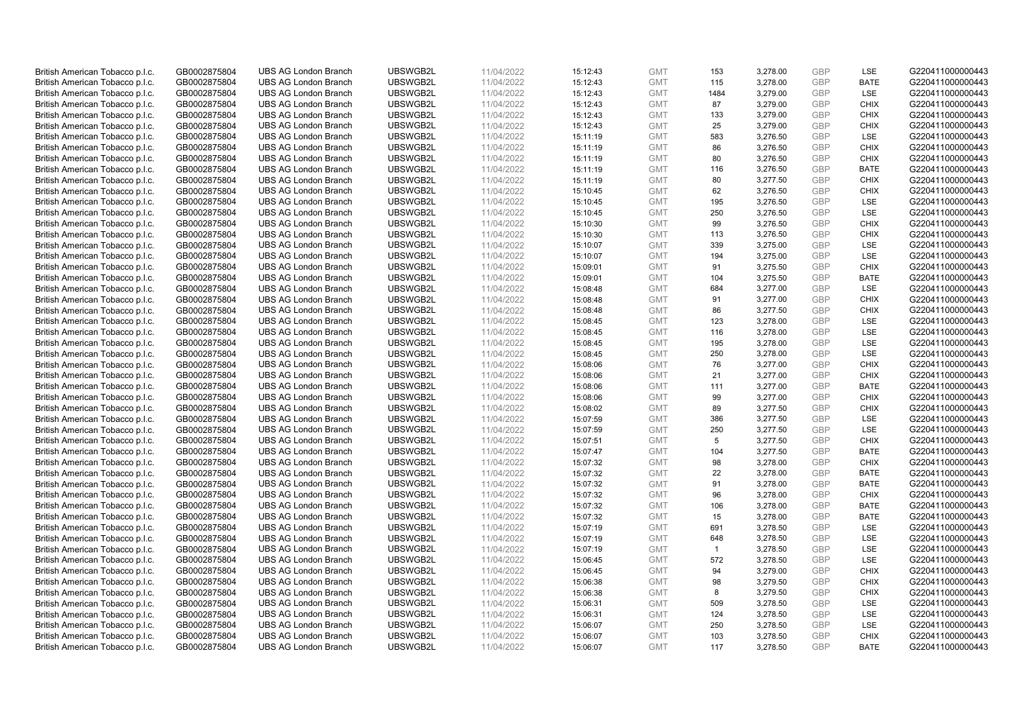| British American Tobacco p.l.c. | GB0002875804 | <b>UBS AG London Branch</b> | UBSWGB2L | 11/04/2022 | 15:12:43 | <b>GMT</b>               | 153            | 3,278.00 | <b>GBP</b> | LSE                        | G220411000000443 |
|---------------------------------|--------------|-----------------------------|----------|------------|----------|--------------------------|----------------|----------|------------|----------------------------|------------------|
| British American Tobacco p.l.c. | GB0002875804 | <b>UBS AG London Branch</b> | UBSWGB2L | 11/04/2022 | 15:12:43 | <b>GMT</b>               | 115            | 3,278.00 | <b>GBP</b> | <b>BATE</b>                | G220411000000443 |
| British American Tobacco p.l.c. | GB0002875804 | <b>UBS AG London Branch</b> | UBSWGB2L | 11/04/2022 | 15:12:43 | <b>GMT</b>               | 1484           | 3,279.00 | <b>GBP</b> | LSE                        | G220411000000443 |
| British American Tobacco p.l.c. | GB0002875804 | <b>UBS AG London Branch</b> | UBSWGB2L | 11/04/2022 | 15:12:43 | <b>GMT</b>               | 87             | 3,279.00 | <b>GBP</b> | <b>CHIX</b>                | G220411000000443 |
|                                 |              |                             |          |            |          |                          |                |          | <b>GBP</b> | <b>CHIX</b>                |                  |
| British American Tobacco p.l.c. | GB0002875804 | <b>UBS AG London Branch</b> | UBSWGB2L | 11/04/2022 | 15:12:43 | <b>GMT</b>               | 133            | 3,279.00 |            |                            | G220411000000443 |
| British American Tobacco p.l.c. | GB0002875804 | <b>UBS AG London Branch</b> | UBSWGB2L | 11/04/2022 | 15:12:43 | <b>GMT</b>               | 25             | 3,279.00 | <b>GBP</b> | <b>CHIX</b>                | G220411000000443 |
| British American Tobacco p.l.c. | GB0002875804 | <b>UBS AG London Branch</b> | UBSWGB2L | 11/04/2022 | 15:11:19 | <b>GMT</b>               | 583            | 3,276.50 | <b>GBP</b> | LSE                        | G220411000000443 |
| British American Tobacco p.l.c. | GB0002875804 | <b>UBS AG London Branch</b> | UBSWGB2L | 11/04/2022 | 15:11:19 | <b>GMT</b>               | 86             | 3,276.50 | <b>GBP</b> | <b>CHIX</b>                | G220411000000443 |
| British American Tobacco p.l.c. | GB0002875804 | <b>UBS AG London Branch</b> | UBSWGB2L | 11/04/2022 | 15:11:19 | <b>GMT</b>               | 80             | 3,276.50 | <b>GBP</b> | <b>CHIX</b>                | G220411000000443 |
| British American Tobacco p.l.c. | GB0002875804 | <b>UBS AG London Branch</b> | UBSWGB2L | 11/04/2022 | 15:11:19 | <b>GMT</b>               | 116            | 3,276.50 | <b>GBP</b> | <b>BATE</b>                | G220411000000443 |
| British American Tobacco p.l.c. | GB0002875804 | <b>UBS AG London Branch</b> | UBSWGB2L | 11/04/2022 | 15:11:19 | <b>GMT</b>               | 80             | 3,277.50 | <b>GBP</b> | <b>CHIX</b>                | G220411000000443 |
| British American Tobacco p.l.c. | GB0002875804 | <b>UBS AG London Branch</b> | UBSWGB2L | 11/04/2022 | 15:10:45 | <b>GMT</b>               | 62             | 3,276.50 | <b>GBP</b> | <b>CHIX</b>                | G220411000000443 |
| British American Tobacco p.l.c. | GB0002875804 | <b>UBS AG London Branch</b> | UBSWGB2L | 11/04/2022 | 15:10:45 | <b>GMT</b>               | 195            | 3,276.50 | <b>GBP</b> | LSE                        | G220411000000443 |
| British American Tobacco p.l.c. | GB0002875804 | <b>UBS AG London Branch</b> | UBSWGB2L | 11/04/2022 | 15:10:45 | <b>GMT</b>               | 250            | 3,276.50 | <b>GBP</b> | LSE                        | G220411000000443 |
| British American Tobacco p.l.c. | GB0002875804 | <b>UBS AG London Branch</b> | UBSWGB2L | 11/04/2022 | 15:10:30 | <b>GMT</b>               | 99             | 3,276.50 | <b>GBP</b> | <b>CHIX</b>                | G220411000000443 |
| British American Tobacco p.l.c. | GB0002875804 | <b>UBS AG London Branch</b> | UBSWGB2L | 11/04/2022 | 15:10:30 | <b>GMT</b>               | 113            | 3,276.50 | <b>GBP</b> | <b>CHIX</b>                | G220411000000443 |
| British American Tobacco p.l.c. | GB0002875804 | <b>UBS AG London Branch</b> | UBSWGB2L | 11/04/2022 | 15:10:07 | <b>GMT</b>               | 339            | 3,275.00 | <b>GBP</b> | LSE                        | G220411000000443 |
| British American Tobacco p.l.c. | GB0002875804 | <b>UBS AG London Branch</b> | UBSWGB2L | 11/04/2022 | 15:10:07 | <b>GMT</b>               | 194            | 3,275.00 | <b>GBP</b> | LSE                        | G220411000000443 |
| British American Tobacco p.l.c. | GB0002875804 | <b>UBS AG London Branch</b> | UBSWGB2L | 11/04/2022 | 15:09:01 | <b>GMT</b>               | 91             | 3,275.50 | <b>GBP</b> | <b>CHIX</b>                | G220411000000443 |
| British American Tobacco p.l.c. | GB0002875804 | <b>UBS AG London Branch</b> | UBSWGB2L | 11/04/2022 | 15:09:01 | <b>GMT</b>               | 104            | 3,275.50 | <b>GBP</b> | <b>BATE</b>                | G220411000000443 |
| British American Tobacco p.l.c. | GB0002875804 | <b>UBS AG London Branch</b> | UBSWGB2L | 11/04/2022 | 15:08:48 | <b>GMT</b>               | 684            | 3,277.00 | <b>GBP</b> | LSE                        | G220411000000443 |
| British American Tobacco p.l.c. | GB0002875804 | <b>UBS AG London Branch</b> | UBSWGB2L | 11/04/2022 | 15:08:48 | <b>GMT</b>               | 91             | 3,277.00 | <b>GBP</b> | <b>CHIX</b>                | G220411000000443 |
|                                 |              |                             |          |            |          |                          |                |          | <b>GBP</b> |                            |                  |
| British American Tobacco p.l.c. | GB0002875804 | <b>UBS AG London Branch</b> | UBSWGB2L | 11/04/2022 | 15:08:48 | <b>GMT</b>               | 86             | 3,277.50 | <b>GBP</b> | <b>CHIX</b>                | G220411000000443 |
| British American Tobacco p.l.c. | GB0002875804 | <b>UBS AG London Branch</b> | UBSWGB2L | 11/04/2022 | 15:08:45 | <b>GMT</b>               | 123            | 3,278.00 |            | <b>LSE</b>                 | G220411000000443 |
| British American Tobacco p.l.c. | GB0002875804 | <b>UBS AG London Branch</b> | UBSWGB2L | 11/04/2022 | 15:08:45 | <b>GMT</b>               | 116            | 3,278.00 | <b>GBP</b> | LSE                        | G220411000000443 |
| British American Tobacco p.l.c. | GB0002875804 | <b>UBS AG London Branch</b> | UBSWGB2L | 11/04/2022 | 15:08:45 | <b>GMT</b>               | 195            | 3,278.00 | <b>GBP</b> | LSE                        | G220411000000443 |
| British American Tobacco p.l.c. | GB0002875804 | <b>UBS AG London Branch</b> | UBSWGB2L | 11/04/2022 | 15:08:45 | <b>GMT</b>               | 250            | 3,278.00 | <b>GBP</b> | LSE                        | G220411000000443 |
| British American Tobacco p.l.c. | GB0002875804 | <b>UBS AG London Branch</b> | UBSWGB2L | 11/04/2022 | 15:08:06 | <b>GMT</b>               | 76             | 3,277.00 | <b>GBP</b> | <b>CHIX</b>                | G220411000000443 |
| British American Tobacco p.l.c. | GB0002875804 | <b>UBS AG London Branch</b> | UBSWGB2L | 11/04/2022 | 15:08:06 | <b>GMT</b>               | 21             | 3,277.00 | <b>GBP</b> | <b>CHIX</b>                | G220411000000443 |
| British American Tobacco p.l.c. | GB0002875804 | <b>UBS AG London Branch</b> | UBSWGB2L | 11/04/2022 | 15:08:06 | <b>GMT</b>               | 111            | 3,277.00 | <b>GBP</b> | <b>BATE</b>                | G220411000000443 |
| British American Tobacco p.l.c. | GB0002875804 | <b>UBS AG London Branch</b> | UBSWGB2L | 11/04/2022 | 15:08:06 | <b>GMT</b>               | 99             | 3,277.00 | <b>GBP</b> | <b>CHIX</b>                | G220411000000443 |
| British American Tobacco p.l.c. | GB0002875804 | <b>UBS AG London Branch</b> | UBSWGB2L | 11/04/2022 | 15:08:02 | <b>GMT</b>               | 89             | 3,277.50 | <b>GBP</b> | <b>CHIX</b>                | G220411000000443 |
| British American Tobacco p.l.c. | GB0002875804 | <b>UBS AG London Branch</b> | UBSWGB2L | 11/04/2022 | 15:07:59 | <b>GMT</b>               | 386            | 3,277.50 | <b>GBP</b> | LSE                        | G220411000000443 |
| British American Tobacco p.l.c. | GB0002875804 | <b>UBS AG London Branch</b> | UBSWGB2L | 11/04/2022 | 15:07:59 | <b>GMT</b>               | 250            | 3,277.50 | <b>GBP</b> | LSE                        | G220411000000443 |
| British American Tobacco p.l.c. | GB0002875804 | <b>UBS AG London Branch</b> | UBSWGB2L | 11/04/2022 | 15:07:51 | <b>GMT</b>               | 5              | 3,277.50 | <b>GBP</b> | <b>CHIX</b>                | G220411000000443 |
| British American Tobacco p.l.c. | GB0002875804 | <b>UBS AG London Branch</b> | UBSWGB2L | 11/04/2022 | 15:07:47 | <b>GMT</b>               | 104            | 3,277.50 | <b>GBP</b> | <b>BATE</b>                | G220411000000443 |
| British American Tobacco p.l.c. | GB0002875804 | <b>UBS AG London Branch</b> | UBSWGB2L | 11/04/2022 | 15:07:32 | <b>GMT</b>               | 98             | 3,278.00 | <b>GBP</b> | <b>CHIX</b>                | G220411000000443 |
| British American Tobacco p.l.c. | GB0002875804 | <b>UBS AG London Branch</b> | UBSWGB2L | 11/04/2022 | 15:07:32 | <b>GMT</b>               | 22             | 3,278.00 | <b>GBP</b> | <b>BATE</b>                | G220411000000443 |
| British American Tobacco p.l.c. | GB0002875804 | <b>UBS AG London Branch</b> | UBSWGB2L | 11/04/2022 | 15:07:32 | <b>GMT</b>               | 91             | 3,278.00 | <b>GBP</b> | <b>BATE</b>                | G220411000000443 |
| British American Tobacco p.l.c. | GB0002875804 | <b>UBS AG London Branch</b> | UBSWGB2L | 11/04/2022 | 15:07:32 | <b>GMT</b>               | 96             | 3,278.00 | <b>GBP</b> | <b>CHIX</b>                | G220411000000443 |
| British American Tobacco p.l.c. | GB0002875804 | <b>UBS AG London Branch</b> | UBSWGB2L | 11/04/2022 | 15:07:32 | <b>GMT</b>               | 106            | 3,278.00 | <b>GBP</b> | <b>BATE</b>                | G220411000000443 |
| British American Tobacco p.l.c. | GB0002875804 | <b>UBS AG London Branch</b> | UBSWGB2L | 11/04/2022 | 15:07:32 | <b>GMT</b>               | 15             | 3,278.00 | <b>GBP</b> | <b>BATE</b>                | G220411000000443 |
| British American Tobacco p.l.c. | GB0002875804 | <b>UBS AG London Branch</b> | UBSWGB2L | 11/04/2022 | 15:07:19 | <b>GMT</b>               | 691            | 3,278.50 | <b>GBP</b> | LSE                        | G220411000000443 |
| British American Tobacco p.l.c. | GB0002875804 | <b>UBS AG London Branch</b> | UBSWGB2L | 11/04/2022 | 15:07:19 | <b>GMT</b>               | 648            | 3,278.50 | <b>GBP</b> | LSE                        | G220411000000443 |
| British American Tobacco p.l.c. | GB0002875804 | UBS AG London Branch        | UBSWGB2L | 11/04/2022 | 15:07:19 | <b>GMT</b>               | $\overline{1}$ | 3,278.50 | <b>GBP</b> | LSE                        | G220411000000443 |
| British American Tobacco p.l.c. | GB0002875804 | <b>UBS AG London Branch</b> | UBSWGB2L | 11/04/2022 | 15:06:45 | <b>GMT</b>               | 572            | 3,278.50 | <b>GBP</b> | LSE                        | G220411000000443 |
| British American Tobacco p.l.c. | GB0002875804 | <b>UBS AG London Branch</b> | UBSWGB2L | 11/04/2022 | 15:06:45 | <b>GMT</b>               | 94             | 3,279.00 | <b>GBP</b> | <b>CHIX</b>                | G220411000000443 |
| British American Tobacco p.l.c. | GB0002875804 | <b>UBS AG London Branch</b> | UBSWGB2L | 11/04/2022 | 15:06:38 | <b>GMT</b>               | 98             | 3,279.50 | <b>GBP</b> | <b>CHIX</b>                | G220411000000443 |
| British American Tobacco p.l.c. | GB0002875804 | <b>UBS AG London Branch</b> | UBSWGB2L | 11/04/2022 | 15:06:38 | GMT                      | 8              | 3,279.50 | <b>GBP</b> | <b>CHIX</b>                | G220411000000443 |
| British American Tobacco p.l.c. | GB0002875804 | <b>UBS AG London Branch</b> | UBSWGB2L | 11/04/2022 | 15:06:31 | <b>GMT</b>               | 509            | 3,278.50 | <b>GBP</b> | <b>LSE</b>                 | G220411000000443 |
| British American Tobacco p.l.c. | GB0002875804 | <b>UBS AG London Branch</b> | UBSWGB2L | 11/04/2022 | 15:06:31 | <b>GMT</b>               | 124            | 3,278.50 | <b>GBP</b> | LSE                        | G220411000000443 |
| British American Tobacco p.l.c. | GB0002875804 | <b>UBS AG London Branch</b> | UBSWGB2L | 11/04/2022 | 15:06:07 | <b>GMT</b>               | 250            | 3,278.50 | <b>GBP</b> | LSE                        | G220411000000443 |
|                                 | GB0002875804 |                             |          |            |          |                          |                |          | <b>GBP</b> |                            |                  |
| British American Tobacco p.l.c. |              | <b>UBS AG London Branch</b> | UBSWGB2L | 11/04/2022 | 15:06:07 | <b>GMT</b><br><b>GMT</b> | 103<br>117     | 3,278.50 | GBP        | <b>CHIX</b><br><b>BATE</b> | G220411000000443 |
| British American Tobacco p.l.c. | GB0002875804 | <b>UBS AG London Branch</b> | UBSWGB2L | 11/04/2022 | 15:06:07 |                          |                | 3,278.50 |            |                            | G220411000000443 |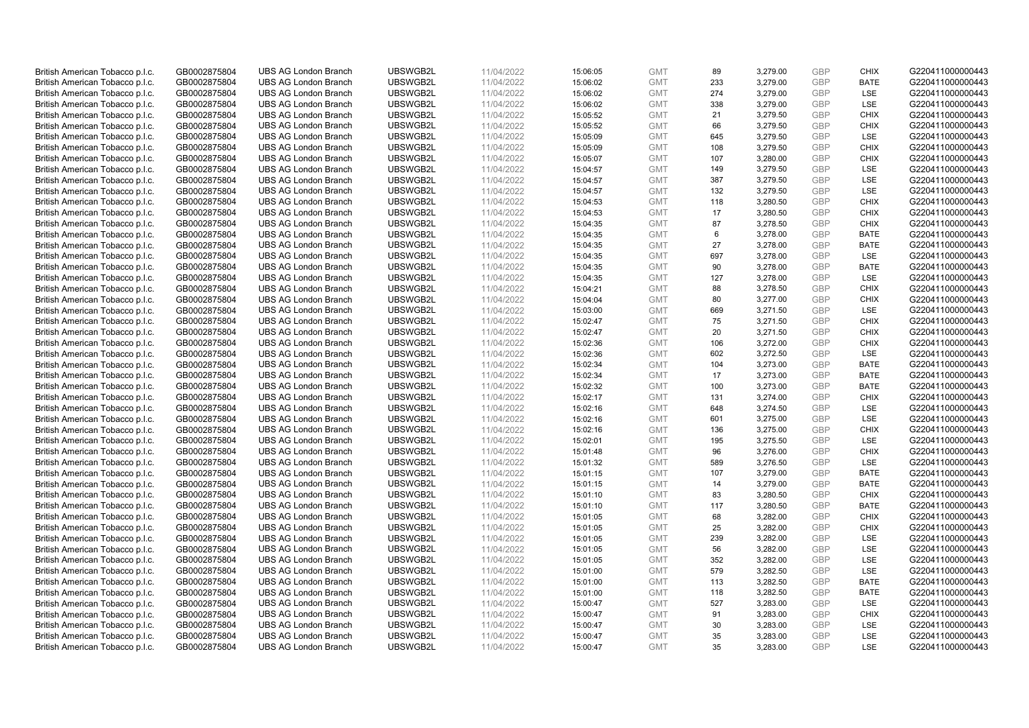| British American Tobacco p.l.c. | GB0002875804                 | <b>UBS AG London Branch</b> | UBSWGB2L | 11/04/2022               | 15:06:05 | <b>GMT</b>               | 89       | 3,279.00 | <b>GBP</b> | <b>CHIX</b> | G220411000000443 |
|---------------------------------|------------------------------|-----------------------------|----------|--------------------------|----------|--------------------------|----------|----------|------------|-------------|------------------|
| British American Tobacco p.l.c. | GB0002875804                 | <b>UBS AG London Branch</b> | UBSWGB2L | 11/04/2022               | 15:06:02 | <b>GMT</b>               | 233      | 3,279.00 | <b>GBP</b> | <b>BATE</b> | G220411000000443 |
|                                 |                              | <b>UBS AG London Branch</b> | UBSWGB2L |                          |          | <b>GMT</b>               | 274      | 3,279.00 | <b>GBP</b> | LSE         | G220411000000443 |
| British American Tobacco p.l.c. | GB0002875804                 |                             |          | 11/04/2022               | 15:06:02 |                          |          |          |            |             |                  |
| British American Tobacco p.l.c. | GB0002875804                 | <b>UBS AG London Branch</b> | UBSWGB2L | 11/04/2022               | 15:06:02 | <b>GMT</b>               | 338      | 3,279.00 | <b>GBP</b> | LSE         | G220411000000443 |
| British American Tobacco p.l.c. | GB0002875804                 | <b>UBS AG London Branch</b> | UBSWGB2L | 11/04/2022               | 15:05:52 | <b>GMT</b>               | 21       | 3,279.50 | <b>GBP</b> | <b>CHIX</b> | G220411000000443 |
| British American Tobacco p.l.c. | GB0002875804                 | <b>UBS AG London Branch</b> | UBSWGB2L | 11/04/2022               | 15:05:52 | <b>GMT</b>               | 66       | 3,279.50 | <b>GBP</b> | <b>CHIX</b> | G220411000000443 |
| British American Tobacco p.l.c. | GB0002875804                 | <b>UBS AG London Branch</b> | UBSWGB2L | 11/04/2022               | 15:05:09 | <b>GMT</b>               | 645      | 3,279.50 | <b>GBP</b> | LSE         | G220411000000443 |
| British American Tobacco p.l.c. | GB0002875804                 | <b>UBS AG London Branch</b> | UBSWGB2L | 11/04/2022               | 15:05:09 | <b>GMT</b>               | 108      | 3,279.50 | <b>GBP</b> | <b>CHIX</b> | G220411000000443 |
| British American Tobacco p.l.c. | GB0002875804                 | <b>UBS AG London Branch</b> | UBSWGB2L | 11/04/2022               | 15:05:07 | <b>GMT</b>               | 107      | 3,280.00 | <b>GBP</b> | <b>CHIX</b> | G220411000000443 |
| British American Tobacco p.l.c. | GB0002875804                 | <b>UBS AG London Branch</b> | UBSWGB2L | 11/04/2022               | 15:04:57 | <b>GMT</b>               | 149      | 3,279.50 | <b>GBP</b> | LSE         | G220411000000443 |
| British American Tobacco p.l.c. | GB0002875804                 | <b>UBS AG London Branch</b> | UBSWGB2L | 11/04/2022               | 15:04:57 | <b>GMT</b>               | 387      | 3,279.50 | <b>GBP</b> | <b>LSE</b>  | G220411000000443 |
| British American Tobacco p.l.c. | GB0002875804                 | <b>UBS AG London Branch</b> | UBSWGB2L | 11/04/2022               | 15:04:57 | <b>GMT</b>               | 132      | 3,279.50 | <b>GBP</b> | LSE         | G220411000000443 |
| British American Tobacco p.l.c. | GB0002875804                 | <b>UBS AG London Branch</b> | UBSWGB2L | 11/04/2022               | 15:04:53 | <b>GMT</b>               | 118      | 3,280.50 | <b>GBP</b> | <b>CHIX</b> | G220411000000443 |
| British American Tobacco p.l.c. | GB0002875804                 | <b>UBS AG London Branch</b> | UBSWGB2L | 11/04/2022               | 15:04:53 | <b>GMT</b>               | 17       | 3,280.50 | <b>GBP</b> | <b>CHIX</b> | G220411000000443 |
| British American Tobacco p.l.c. | GB0002875804                 | <b>UBS AG London Branch</b> | UBSWGB2L | 11/04/2022               | 15:04:35 | <b>GMT</b>               | 87       | 3,278.50 | <b>GBP</b> | <b>CHIX</b> | G220411000000443 |
| British American Tobacco p.l.c. | GB0002875804                 | <b>UBS AG London Branch</b> | UBSWGB2L | 11/04/2022               | 15:04:35 | <b>GMT</b>               | 6        | 3,278.00 | <b>GBP</b> | <b>BATE</b> | G220411000000443 |
| British American Tobacco p.l.c. | GB0002875804                 | <b>UBS AG London Branch</b> | UBSWGB2L | 11/04/2022               | 15:04:35 | <b>GMT</b>               | 27       | 3,278.00 | <b>GBP</b> | <b>BATE</b> | G220411000000443 |
| British American Tobacco p.l.c. | GB0002875804                 | <b>UBS AG London Branch</b> | UBSWGB2L | 11/04/2022               | 15:04:35 | <b>GMT</b>               | 697      | 3,278.00 | <b>GBP</b> | LSE         | G220411000000443 |
|                                 |                              | <b>UBS AG London Branch</b> | UBSWGB2L |                          | 15:04:35 | <b>GMT</b>               | 90       | 3,278.00 | <b>GBP</b> | <b>BATE</b> | G220411000000443 |
| British American Tobacco p.l.c. | GB0002875804<br>GB0002875804 | <b>UBS AG London Branch</b> | UBSWGB2L | 11/04/2022<br>11/04/2022 | 15:04:35 | <b>GMT</b>               |          |          | <b>GBP</b> | LSE         | G220411000000443 |
| British American Tobacco p.l.c. |                              |                             |          |                          |          |                          | 127      | 3,278.00 |            |             |                  |
| British American Tobacco p.l.c. | GB0002875804                 | <b>UBS AG London Branch</b> | UBSWGB2L | 11/04/2022               | 15:04:21 | <b>GMT</b>               | 88       | 3,278.50 | <b>GBP</b> | <b>CHIX</b> | G220411000000443 |
| British American Tobacco p.l.c. | GB0002875804                 | <b>UBS AG London Branch</b> | UBSWGB2L | 11/04/2022               | 15:04:04 | <b>GMT</b>               | 80       | 3,277.00 | <b>GBP</b> | <b>CHIX</b> | G220411000000443 |
| British American Tobacco p.l.c. | GB0002875804                 | <b>UBS AG London Branch</b> | UBSWGB2L | 11/04/2022               | 15:03:00 | <b>GMT</b>               | 669      | 3,271.50 | <b>GBP</b> | LSE         | G220411000000443 |
| British American Tobacco p.l.c. | GB0002875804                 | <b>UBS AG London Branch</b> | UBSWGB2L | 11/04/2022               | 15:02:47 | <b>GMT</b>               | 75       | 3,271.50 | <b>GBP</b> | <b>CHIX</b> | G220411000000443 |
| British American Tobacco p.l.c. | GB0002875804                 | <b>UBS AG London Branch</b> | UBSWGB2L | 11/04/2022               | 15:02:47 | <b>GMT</b>               | 20       | 3,271.50 | <b>GBP</b> | <b>CHIX</b> | G220411000000443 |
| British American Tobacco p.l.c. | GB0002875804                 | <b>UBS AG London Branch</b> | UBSWGB2L | 11/04/2022               | 15:02:36 | <b>GMT</b>               | 106      | 3,272.00 | <b>GBP</b> | <b>CHIX</b> | G220411000000443 |
| British American Tobacco p.l.c. | GB0002875804                 | <b>UBS AG London Branch</b> | UBSWGB2L | 11/04/2022               | 15:02:36 | <b>GMT</b>               | 602      | 3,272.50 | <b>GBP</b> | <b>LSE</b>  | G220411000000443 |
| British American Tobacco p.l.c. | GB0002875804                 | <b>UBS AG London Branch</b> | UBSWGB2L | 11/04/2022               | 15:02:34 | <b>GMT</b>               | 104      | 3,273.00 | <b>GBP</b> | <b>BATE</b> | G220411000000443 |
| British American Tobacco p.l.c. | GB0002875804                 | <b>UBS AG London Branch</b> | UBSWGB2L | 11/04/2022               | 15:02:34 | <b>GMT</b>               | 17       | 3,273.00 | <b>GBP</b> | <b>BATE</b> | G220411000000443 |
| British American Tobacco p.l.c. | GB0002875804                 | <b>UBS AG London Branch</b> | UBSWGB2L | 11/04/2022               | 15:02:32 | <b>GMT</b>               | 100      | 3,273.00 | <b>GBP</b> | <b>BATE</b> | G220411000000443 |
| British American Tobacco p.l.c. | GB0002875804                 | <b>UBS AG London Branch</b> | UBSWGB2L | 11/04/2022               | 15:02:17 | <b>GMT</b>               | 131      | 3,274.00 | <b>GBP</b> | <b>CHIX</b> | G220411000000443 |
| British American Tobacco p.l.c. | GB0002875804                 | <b>UBS AG London Branch</b> | UBSWGB2L | 11/04/2022               | 15:02:16 | <b>GMT</b>               | 648      | 3,274.50 | <b>GBP</b> | LSE         | G220411000000443 |
| British American Tobacco p.l.c. | GB0002875804                 | <b>UBS AG London Branch</b> | UBSWGB2L | 11/04/2022               | 15:02:16 | <b>GMT</b>               | 601      | 3,275.00 | <b>GBP</b> | LSE         | G220411000000443 |
| British American Tobacco p.l.c. | GB0002875804                 | <b>UBS AG London Branch</b> | UBSWGB2L | 11/04/2022               | 15:02:16 | <b>GMT</b>               | 136      | 3,275.00 | <b>GBP</b> | <b>CHIX</b> | G220411000000443 |
| British American Tobacco p.l.c. | GB0002875804                 | <b>UBS AG London Branch</b> | UBSWGB2L | 11/04/2022               | 15:02:01 | <b>GMT</b>               | 195      | 3,275.50 | <b>GBP</b> | LSE         | G220411000000443 |
| British American Tobacco p.l.c. | GB0002875804                 | <b>UBS AG London Branch</b> | UBSWGB2L | 11/04/2022               | 15:01:48 | <b>GMT</b>               | 96       | 3,276.00 | <b>GBP</b> | <b>CHIX</b> | G220411000000443 |
| British American Tobacco p.l.c. | GB0002875804                 | <b>UBS AG London Branch</b> | UBSWGB2L | 11/04/2022               | 15:01:32 | <b>GMT</b>               | 589      | 3,276.50 | <b>GBP</b> | LSE         | G220411000000443 |
| British American Tobacco p.l.c. | GB0002875804                 | <b>UBS AG London Branch</b> | UBSWGB2L | 11/04/2022               | 15:01:15 | <b>GMT</b>               | 107      | 3,279.00 | <b>GBP</b> | <b>BATE</b> | G220411000000443 |
| British American Tobacco p.l.c. | GB0002875804                 | <b>UBS AG London Branch</b> | UBSWGB2L | 11/04/2022               | 15:01:15 | <b>GMT</b>               | 14       | 3,279.00 | <b>GBP</b> | <b>BATE</b> | G220411000000443 |
| British American Tobacco p.l.c. | GB0002875804                 | <b>UBS AG London Branch</b> | UBSWGB2L | 11/04/2022               | 15:01:10 | <b>GMT</b>               | 83       | 3,280.50 | <b>GBP</b> | <b>CHIX</b> | G220411000000443 |
| British American Tobacco p.l.c. | GB0002875804                 | <b>UBS AG London Branch</b> | UBSWGB2L | 11/04/2022               | 15:01:10 | <b>GMT</b>               | 117      | 3,280.50 | <b>GBP</b> | <b>BATE</b> | G220411000000443 |
| British American Tobacco p.l.c. | GB0002875804                 | <b>UBS AG London Branch</b> | UBSWGB2L | 11/04/2022               | 15:01:05 | <b>GMT</b>               | 68       | 3,282.00 | <b>GBP</b> | <b>CHIX</b> | G220411000000443 |
| British American Tobacco p.l.c. | GB0002875804                 | <b>UBS AG London Branch</b> | UBSWGB2L | 11/04/2022               | 15:01:05 | <b>GMT</b>               | 25       | 3,282.00 | <b>GBP</b> | <b>CHIX</b> | G220411000000443 |
| British American Tobacco p.l.c. | GB0002875804                 | <b>UBS AG London Branch</b> | UBSWGB2L | 11/04/2022               | 15:01:05 | <b>GMT</b>               | 239      | 3,282.00 | <b>GBP</b> | LSE         | G220411000000443 |
| British American Tobacco p.l.c. | GB0002875804                 | UBS AG London Branch        | UBSWGB2L | 11/04/2022               | 15:01:05 | <b>GMT</b>               | 56       | 3,282.00 | <b>GBP</b> | LSE         | G220411000000443 |
| British American Tobacco p.l.c. | GB0002875804                 | <b>UBS AG London Branch</b> | UBSWGB2L | 11/04/2022               | 15:01:05 | <b>GMT</b>               | 352      | 3,282.00 | <b>GBP</b> | LSE         | G220411000000443 |
| British American Tobacco p.l.c. | GB0002875804                 | <b>UBS AG London Branch</b> | UBSWGB2L | 11/04/2022               | 15:01:00 | <b>GMT</b>               | 579      | 3,282.50 | <b>GBP</b> | LSE         | G220411000000443 |
| British American Tobacco p.l.c. | GB0002875804                 | <b>UBS AG London Branch</b> | UBSWGB2L | 11/04/2022               | 15:01:00 | <b>GMT</b>               | 113      | 3,282.50 | <b>GBP</b> | <b>BATE</b> | G220411000000443 |
| British American Tobacco p.l.c. | GB0002875804                 | <b>UBS AG London Branch</b> | UBSWGB2L | 11/04/2022               | 15:01:00 | GMT                      | 118      | 3,282.50 | <b>GBP</b> | <b>BATE</b> | G220411000000443 |
| British American Tobacco p.l.c. | GB0002875804                 | <b>UBS AG London Branch</b> | UBSWGB2L | 11/04/2022               | 15:00:47 | <b>GMT</b>               | 527      | 3,283.00 | <b>GBP</b> | <b>LSE</b>  | G220411000000443 |
| British American Tobacco p.l.c. | GB0002875804                 | <b>UBS AG London Branch</b> | UBSWGB2L | 11/04/2022               | 15:00:47 | <b>GMT</b>               | 91       | 3,283.00 | <b>GBP</b> | <b>CHIX</b> | G220411000000443 |
| British American Tobacco p.l.c. | GB0002875804                 | <b>UBS AG London Branch</b> | UBSWGB2L | 11/04/2022               | 15:00:47 | <b>GMT</b>               | 30       | 3,283.00 | <b>GBP</b> | LSE         | G220411000000443 |
|                                 | GB0002875804                 |                             |          |                          |          |                          |          |          | <b>GBP</b> | LSE         |                  |
| British American Tobacco p.l.c. |                              | <b>UBS AG London Branch</b> | UBSWGB2L | 11/04/2022               | 15:00:47 | <b>GMT</b><br><b>GMT</b> | 35<br>35 | 3,283.00 | GBP        | <b>LSE</b>  | G220411000000443 |
| British American Tobacco p.l.c. | GB0002875804                 | <b>UBS AG London Branch</b> | UBSWGB2L | 11/04/2022               | 15:00:47 |                          |          | 3,283.00 |            |             | G220411000000443 |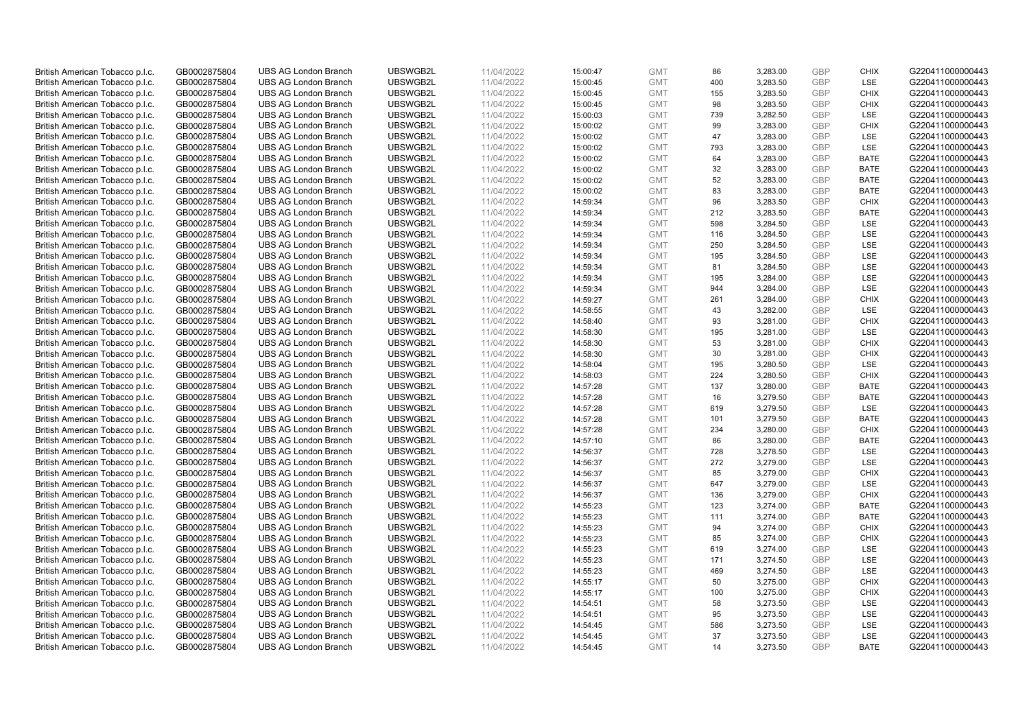| British American Tobacco p.l.c. | GB0002875804 | <b>UBS AG London Branch</b> | UBSWGB2L             | 11/04/2022 | 15:00:47 | <b>GMT</b> | 86  | 3,283.00 | <b>GBP</b> | <b>CHIX</b> | G220411000000443 |
|---------------------------------|--------------|-----------------------------|----------------------|------------|----------|------------|-----|----------|------------|-------------|------------------|
|                                 | GB0002875804 | <b>UBS AG London Branch</b> | UBSWGB2L             | 11/04/2022 |          | <b>GMT</b> | 400 | 3,283.50 | <b>GBP</b> | LSE         | G220411000000443 |
| British American Tobacco p.l.c. |              |                             |                      |            | 15:00:45 |            |     |          |            |             |                  |
| British American Tobacco p.l.c. | GB0002875804 | <b>UBS AG London Branch</b> | UBSWGB2L             | 11/04/2022 | 15:00:45 | <b>GMT</b> | 155 | 3,283.50 | <b>GBP</b> | <b>CHIX</b> | G220411000000443 |
| British American Tobacco p.l.c. | GB0002875804 | <b>UBS AG London Branch</b> | UBSWGB2L             | 11/04/2022 | 15:00:45 | <b>GMT</b> | 98  | 3,283.50 | <b>GBP</b> | <b>CHIX</b> | G220411000000443 |
| British American Tobacco p.l.c. | GB0002875804 | <b>UBS AG London Branch</b> | UBSWGB2L             | 11/04/2022 | 15:00:03 | <b>GMT</b> | 739 | 3,282.50 | <b>GBP</b> | LSE         | G220411000000443 |
| British American Tobacco p.l.c. | GB0002875804 | <b>UBS AG London Branch</b> | UBSWGB2L             | 11/04/2022 | 15:00:02 | <b>GMT</b> | 99  | 3,283.00 | <b>GBP</b> | <b>CHIX</b> | G220411000000443 |
| British American Tobacco p.l.c. | GB0002875804 | <b>UBS AG London Branch</b> | UBSWGB2L             | 11/04/2022 | 15:00:02 | <b>GMT</b> | 47  | 3,283.00 | <b>GBP</b> | LSE         | G220411000000443 |
| British American Tobacco p.l.c. | GB0002875804 | <b>UBS AG London Branch</b> | UBSWGB2L             | 11/04/2022 | 15:00:02 | <b>GMT</b> | 793 | 3,283.00 | <b>GBP</b> | LSE         | G220411000000443 |
| British American Tobacco p.l.c. | GB0002875804 | <b>UBS AG London Branch</b> | UBSWGB2L             | 11/04/2022 | 15:00:02 | <b>GMT</b> | 64  | 3,283.00 | <b>GBP</b> | <b>BATE</b> | G220411000000443 |
| British American Tobacco p.l.c. | GB0002875804 | <b>UBS AG London Branch</b> | UBSWGB2L             | 11/04/2022 | 15:00:02 | <b>GMT</b> | 32  | 3,283.00 | <b>GBP</b> | <b>BATE</b> | G220411000000443 |
| British American Tobacco p.l.c. | GB0002875804 | <b>UBS AG London Branch</b> | UBSWGB2L             | 11/04/2022 | 15:00:02 | <b>GMT</b> | 52  | 3,283.00 | <b>GBP</b> | <b>BATE</b> | G220411000000443 |
| British American Tobacco p.l.c. | GB0002875804 | <b>UBS AG London Branch</b> | UBSWGB2L             | 11/04/2022 | 15:00:02 | <b>GMT</b> | 83  | 3,283.00 | <b>GBP</b> | <b>BATE</b> | G220411000000443 |
| British American Tobacco p.l.c. | GB0002875804 | <b>UBS AG London Branch</b> | UBSWGB2L             | 11/04/2022 | 14:59:34 | <b>GMT</b> | 96  | 3,283.50 | <b>GBP</b> | <b>CHIX</b> | G220411000000443 |
| British American Tobacco p.l.c. | GB0002875804 | <b>UBS AG London Branch</b> | UBSWGB2L             | 11/04/2022 | 14:59:34 | <b>GMT</b> | 212 | 3,283.50 | <b>GBP</b> | <b>BATE</b> | G220411000000443 |
| British American Tobacco p.l.c. | GB0002875804 | <b>UBS AG London Branch</b> | UBSWGB2L             | 11/04/2022 | 14:59:34 | <b>GMT</b> | 598 | 3,284.50 | <b>GBP</b> | LSE         | G220411000000443 |
| British American Tobacco p.l.c. | GB0002875804 | <b>UBS AG London Branch</b> | UBSWGB2L             | 11/04/2022 | 14:59:34 | <b>GMT</b> | 116 | 3,284.50 | <b>GBP</b> | LSE         | G220411000000443 |
| British American Tobacco p.l.c. | GB0002875804 | <b>UBS AG London Branch</b> | UBSWGB2L             | 11/04/2022 | 14:59:34 | <b>GMT</b> | 250 | 3,284.50 | <b>GBP</b> | LSE         | G220411000000443 |
| British American Tobacco p.l.c. | GB0002875804 | <b>UBS AG London Branch</b> | UBSWGB2L             | 11/04/2022 | 14:59:34 | <b>GMT</b> | 195 | 3,284.50 | <b>GBP</b> | LSE         | G220411000000443 |
|                                 |              | <b>UBS AG London Branch</b> | UBSWGB2L             |            |          |            |     |          |            | <b>LSE</b>  |                  |
| British American Tobacco p.l.c. | GB0002875804 |                             |                      | 11/04/2022 | 14:59:34 | <b>GMT</b> | 81  | 3,284.50 | <b>GBP</b> |             | G220411000000443 |
| British American Tobacco p.l.c. | GB0002875804 | <b>UBS AG London Branch</b> | UBSWGB2L             | 11/04/2022 | 14:59:34 | <b>GMT</b> | 195 | 3,284.00 | <b>GBP</b> | LSE         | G220411000000443 |
| British American Tobacco p.l.c. | GB0002875804 | <b>UBS AG London Branch</b> | UBSWGB2L             | 11/04/2022 | 14:59:34 | <b>GMT</b> | 944 | 3,284.00 | <b>GBP</b> | LSE         | G220411000000443 |
| British American Tobacco p.l.c. | GB0002875804 | <b>UBS AG London Branch</b> | UBSWGB2L             | 11/04/2022 | 14:59:27 | <b>GMT</b> | 261 | 3,284.00 | <b>GBP</b> | <b>CHIX</b> | G220411000000443 |
| British American Tobacco p.l.c. | GB0002875804 | <b>UBS AG London Branch</b> | UBSWGB2L             | 11/04/2022 | 14:58:55 | <b>GMT</b> | 43  | 3,282.00 | <b>GBP</b> | LSE         | G220411000000443 |
| British American Tobacco p.l.c. | GB0002875804 | <b>UBS AG London Branch</b> | UBSWGB2L             | 11/04/2022 | 14:58:40 | <b>GMT</b> | 93  | 3,281.00 | <b>GBP</b> | <b>CHIX</b> | G220411000000443 |
| British American Tobacco p.l.c. | GB0002875804 | <b>UBS AG London Branch</b> | UBSWGB2L             | 11/04/2022 | 14:58:30 | <b>GMT</b> | 195 | 3,281.00 | <b>GBP</b> | LSE         | G220411000000443 |
| British American Tobacco p.l.c. | GB0002875804 | <b>UBS AG London Branch</b> | UBSWGB2L             | 11/04/2022 | 14:58:30 | <b>GMT</b> | 53  | 3,281.00 | <b>GBP</b> | <b>CHIX</b> | G220411000000443 |
| British American Tobacco p.l.c. | GB0002875804 | <b>UBS AG London Branch</b> | UBSWGB2L             | 11/04/2022 | 14:58:30 | <b>GMT</b> | 30  | 3,281.00 | <b>GBP</b> | <b>CHIX</b> | G220411000000443 |
| British American Tobacco p.l.c. | GB0002875804 | <b>UBS AG London Branch</b> | UBSWGB2L             | 11/04/2022 | 14:58:04 | <b>GMT</b> | 195 | 3,280.50 | <b>GBP</b> | LSE         | G220411000000443 |
| British American Tobacco p.l.c. | GB0002875804 | <b>UBS AG London Branch</b> | UBSWGB2L             | 11/04/2022 | 14:58:03 | <b>GMT</b> | 224 | 3,280.50 | <b>GBP</b> | <b>CHIX</b> | G220411000000443 |
| British American Tobacco p.l.c. | GB0002875804 | <b>UBS AG London Branch</b> | UBSWGB2L             | 11/04/2022 | 14:57:28 | <b>GMT</b> | 137 | 3,280.00 | <b>GBP</b> | <b>BATE</b> | G220411000000443 |
| British American Tobacco p.l.c. | GB0002875804 | <b>UBS AG London Branch</b> | UBSWGB2L             | 11/04/2022 | 14:57:28 | <b>GMT</b> | 16  | 3,279.50 | <b>GBP</b> | <b>BATE</b> | G220411000000443 |
| British American Tobacco p.l.c. | GB0002875804 | <b>UBS AG London Branch</b> | UBSWGB2L             | 11/04/2022 | 14:57:28 | <b>GMT</b> | 619 | 3,279.50 | <b>GBP</b> | LSE         | G220411000000443 |
| British American Tobacco p.l.c. | GB0002875804 | <b>UBS AG London Branch</b> | UBSWGB2L             | 11/04/2022 | 14:57:28 | <b>GMT</b> | 101 | 3,279.50 | <b>GBP</b> | <b>BATE</b> | G220411000000443 |
| British American Tobacco p.l.c. | GB0002875804 | <b>UBS AG London Branch</b> | UBSWGB2L             | 11/04/2022 | 14:57:28 | <b>GMT</b> | 234 | 3,280.00 | <b>GBP</b> | <b>CHIX</b> | G220411000000443 |
| British American Tobacco p.l.c. | GB0002875804 | <b>UBS AG London Branch</b> | UBSWGB2L             | 11/04/2022 | 14:57:10 | <b>GMT</b> | 86  | 3,280.00 | <b>GBP</b> | <b>BATE</b> | G220411000000443 |
| British American Tobacco p.l.c. | GB0002875804 | <b>UBS AG London Branch</b> | UBSWGB2L             | 11/04/2022 | 14:56:37 | <b>GMT</b> | 728 | 3,278.50 | <b>GBP</b> | LSE         | G220411000000443 |
| British American Tobacco p.l.c. | GB0002875804 | <b>UBS AG London Branch</b> | UBSWGB2L             | 11/04/2022 | 14:56:37 | <b>GMT</b> | 272 | 3,279.00 | <b>GBP</b> | LSE         | G220411000000443 |
| British American Tobacco p.l.c. | GB0002875804 | <b>UBS AG London Branch</b> | UBSWGB2L             | 11/04/2022 | 14:56:37 | <b>GMT</b> | 85  | 3,279.00 | <b>GBP</b> | <b>CHIX</b> | G220411000000443 |
| British American Tobacco p.l.c. | GB0002875804 | <b>UBS AG London Branch</b> | UBSWGB2L             | 11/04/2022 | 14:56:37 | <b>GMT</b> | 647 | 3,279.00 | <b>GBP</b> | LSE         | G220411000000443 |
| British American Tobacco p.l.c. | GB0002875804 | <b>UBS AG London Branch</b> | UBSWGB2L             | 11/04/2022 | 14:56:37 | <b>GMT</b> | 136 | 3,279.00 | <b>GBP</b> | <b>CHIX</b> | G220411000000443 |
| British American Tobacco p.l.c. | GB0002875804 | <b>UBS AG London Branch</b> | UBSWGB2L             | 11/04/2022 | 14:55:23 | <b>GMT</b> | 123 | 3,274.00 | <b>GBP</b> | <b>BATE</b> | G220411000000443 |
| British American Tobacco p.l.c. | GB0002875804 | <b>UBS AG London Branch</b> | UBSWGB2L             | 11/04/2022 | 14:55:23 | <b>GMT</b> | 111 | 3,274.00 | <b>GBP</b> | <b>BATE</b> | G220411000000443 |
| British American Tobacco p.l.c. | GB0002875804 | <b>UBS AG London Branch</b> | UBSWGB2L             | 11/04/2022 | 14:55:23 | <b>GMT</b> | 94  | 3,274.00 | <b>GBP</b> | <b>CHIX</b> | G220411000000443 |
| British American Tobacco p.l.c. | GB0002875804 | <b>UBS AG London Branch</b> | UBSWGB2L             | 11/04/2022 | 14:55:23 | <b>GMT</b> | 85  | 3,274.00 | <b>GBP</b> | <b>CHIX</b> | G220411000000443 |
| British American Tobacco p.l.c. | GB0002875804 | UBS AG London Branch        | UBSWGB2L             | 11/04/2022 | 14:55:23 | <b>GMT</b> | 619 | 3,274.00 | <b>GBP</b> | <b>LSE</b>  | G220411000000443 |
|                                 | GB0002875804 | <b>UBS AG London Branch</b> | UBSWGB2L             | 11/04/2022 |          | <b>GMT</b> | 171 |          | <b>GBP</b> | LSE         |                  |
| British American Tobacco p.l.c. |              |                             |                      |            | 14:55:23 | <b>GMT</b> | 469 | 3,274.50 |            | LSE         | G220411000000443 |
| British American Tobacco p.l.c. | GB0002875804 | <b>UBS AG London Branch</b> | UBSWGB2L<br>UBSWGB2L | 11/04/2022 | 14:55:23 |            |     | 3,274.50 | <b>GBP</b> | <b>CHIX</b> | G220411000000443 |
| British American Tobacco p.l.c. | GB0002875804 | <b>UBS AG London Branch</b> |                      | 11/04/2022 | 14:55:17 | <b>GMT</b> | 50  | 3,275.00 | <b>GBP</b> |             | G220411000000443 |
| British American Tobacco p.l.c. | GB0002875804 | <b>UBS AG London Branch</b> | UBSWGB2L             | 11/04/2022 | 14:55:17 | GMT        | 100 | 3,275.00 | <b>GBP</b> | <b>CHIX</b> | G220411000000443 |
| British American Tobacco p.l.c. | GB0002875804 | <b>UBS AG London Branch</b> | UBSWGB2L             | 11/04/2022 | 14:54:51 | <b>GMT</b> | 58  | 3,273.50 | <b>GBP</b> | <b>LSE</b>  | G220411000000443 |
| British American Tobacco p.l.c. | GB0002875804 | <b>UBS AG London Branch</b> | UBSWGB2L             | 11/04/2022 | 14:54:51 | <b>GMT</b> | 95  | 3,273.50 | <b>GBP</b> | LSE         | G220411000000443 |
| British American Tobacco p.l.c. | GB0002875804 | <b>UBS AG London Branch</b> | UBSWGB2L             | 11/04/2022 | 14:54:45 | <b>GMT</b> | 586 | 3,273.50 | <b>GBP</b> | LSE         | G220411000000443 |
| British American Tobacco p.l.c. | GB0002875804 | <b>UBS AG London Branch</b> | UBSWGB2L             | 11/04/2022 | 14:54:45 | <b>GMT</b> | 37  | 3,273.50 | <b>GBP</b> | LSE         | G220411000000443 |
| British American Tobacco p.l.c. | GB0002875804 | <b>UBS AG London Branch</b> | UBSWGB2L             | 11/04/2022 | 14:54:45 | <b>GMT</b> | 14  | 3,273.50 | GBP        | <b>BATE</b> | G220411000000443 |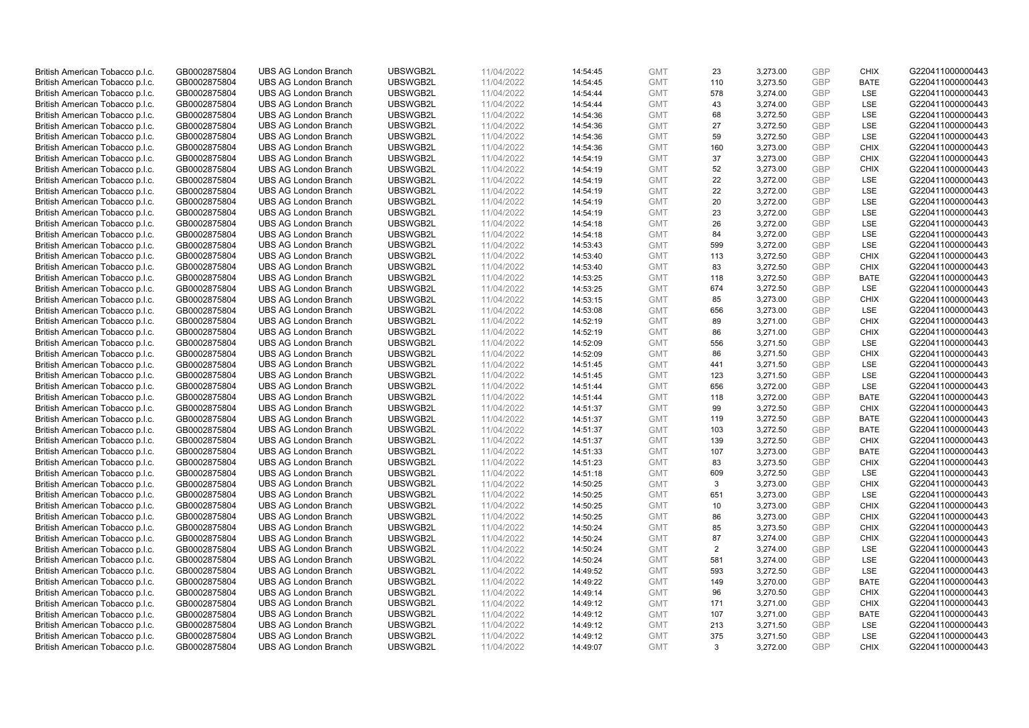| British American Tobacco p.l.c. | GB0002875804                 | <b>UBS AG London Branch</b> | UBSWGB2L | 11/04/2022               | 14:54:45 | <b>GMT</b> | 23           | 3,273.00 | <b>GBP</b> | <b>CHIX</b> | G220411000000443 |
|---------------------------------|------------------------------|-----------------------------|----------|--------------------------|----------|------------|--------------|----------|------------|-------------|------------------|
| British American Tobacco p.l.c. | GB0002875804                 | <b>UBS AG London Branch</b> | UBSWGB2L | 11/04/2022               | 14:54:45 | <b>GMT</b> | 110          | 3,273.50 | <b>GBP</b> | <b>BATE</b> | G220411000000443 |
|                                 |                              | <b>UBS AG London Branch</b> | UBSWGB2L |                          |          | <b>GMT</b> | 578          | 3,274.00 | <b>GBP</b> | LSE         | G220411000000443 |
| British American Tobacco p.l.c. | GB0002875804                 |                             |          | 11/04/2022               | 14:54:44 |            |              |          |            |             |                  |
| British American Tobacco p.l.c. | GB0002875804                 | <b>UBS AG London Branch</b> | UBSWGB2L | 11/04/2022               | 14:54:44 | <b>GMT</b> | 43           | 3,274.00 | <b>GBP</b> | LSE         | G220411000000443 |
| British American Tobacco p.l.c. | GB0002875804                 | <b>UBS AG London Branch</b> | UBSWGB2L | 11/04/2022               | 14:54:36 | <b>GMT</b> | 68           | 3,272.50 | <b>GBP</b> | LSE         | G220411000000443 |
| British American Tobacco p.l.c. | GB0002875804                 | <b>UBS AG London Branch</b> | UBSWGB2L | 11/04/2022               | 14:54:36 | <b>GMT</b> | 27           | 3,272.50 | <b>GBP</b> | <b>LSE</b>  | G220411000000443 |
| British American Tobacco p.l.c. | GB0002875804                 | <b>UBS AG London Branch</b> | UBSWGB2L | 11/04/2022               | 14:54:36 | <b>GMT</b> | 59           | 3,272.50 | <b>GBP</b> | LSE         | G220411000000443 |
| British American Tobacco p.l.c. | GB0002875804                 | <b>UBS AG London Branch</b> | UBSWGB2L | 11/04/2022               | 14:54:36 | <b>GMT</b> | 160          | 3,273.00 | <b>GBP</b> | <b>CHIX</b> | G220411000000443 |
| British American Tobacco p.l.c. | GB0002875804                 | <b>UBS AG London Branch</b> | UBSWGB2L | 11/04/2022               | 14:54:19 | <b>GMT</b> | 37           | 3,273.00 | <b>GBP</b> | <b>CHIX</b> | G220411000000443 |
| British American Tobacco p.l.c. | GB0002875804                 | <b>UBS AG London Branch</b> | UBSWGB2L | 11/04/2022               | 14:54:19 | <b>GMT</b> | 52           | 3,273.00 | <b>GBP</b> | <b>CHIX</b> | G220411000000443 |
| British American Tobacco p.l.c. | GB0002875804                 | <b>UBS AG London Branch</b> | UBSWGB2L | 11/04/2022               | 14:54:19 | <b>GMT</b> | 22           | 3,272.00 | <b>GBP</b> | <b>LSE</b>  | G220411000000443 |
| British American Tobacco p.l.c. | GB0002875804                 | <b>UBS AG London Branch</b> | UBSWGB2L | 11/04/2022               | 14:54:19 | <b>GMT</b> | 22           | 3,272.00 | <b>GBP</b> | LSE         | G220411000000443 |
| British American Tobacco p.l.c. | GB0002875804                 | <b>UBS AG London Branch</b> | UBSWGB2L | 11/04/2022               | 14:54:19 | <b>GMT</b> | 20           | 3,272.00 | <b>GBP</b> | LSE         | G220411000000443 |
| British American Tobacco p.l.c. | GB0002875804                 | <b>UBS AG London Branch</b> | UBSWGB2L | 11/04/2022               | 14:54:19 | <b>GMT</b> | 23           | 3,272.00 | <b>GBP</b> | LSE         | G220411000000443 |
| British American Tobacco p.l.c. | GB0002875804                 | <b>UBS AG London Branch</b> | UBSWGB2L | 11/04/2022               | 14:54:18 | <b>GMT</b> | 26           | 3,272.00 | <b>GBP</b> | LSE         | G220411000000443 |
| British American Tobacco p.l.c. | GB0002875804                 | <b>UBS AG London Branch</b> | UBSWGB2L | 11/04/2022               | 14:54:18 | <b>GMT</b> | 84           | 3,272.00 | <b>GBP</b> | LSE         | G220411000000443 |
| British American Tobacco p.l.c. | GB0002875804                 | <b>UBS AG London Branch</b> | UBSWGB2L | 11/04/2022               | 14:53:43 | <b>GMT</b> | 599          | 3,272.00 | <b>GBP</b> | LSE         | G220411000000443 |
| British American Tobacco p.l.c. | GB0002875804                 | <b>UBS AG London Branch</b> | UBSWGB2L | 11/04/2022               | 14:53:40 | <b>GMT</b> | 113          | 3,272.50 | <b>GBP</b> | <b>CHIX</b> | G220411000000443 |
|                                 |                              | <b>UBS AG London Branch</b> | UBSWGB2L |                          | 14:53:40 | <b>GMT</b> | 83           | 3,272.50 | <b>GBP</b> | <b>CHIX</b> | G220411000000443 |
| British American Tobacco p.l.c. | GB0002875804<br>GB0002875804 | <b>UBS AG London Branch</b> | UBSWGB2L | 11/04/2022<br>11/04/2022 | 14:53:25 | <b>GMT</b> |              |          | <b>GBP</b> | <b>BATE</b> | G220411000000443 |
| British American Tobacco p.l.c. |                              |                             |          |                          |          |            | 118          | 3,272.50 |            |             |                  |
| British American Tobacco p.l.c. | GB0002875804                 | <b>UBS AG London Branch</b> | UBSWGB2L | 11/04/2022               | 14:53:25 | <b>GMT</b> | 674          | 3,272.50 | <b>GBP</b> | LSE         | G220411000000443 |
| British American Tobacco p.l.c. | GB0002875804                 | <b>UBS AG London Branch</b> | UBSWGB2L | 11/04/2022               | 14:53:15 | <b>GMT</b> | 85           | 3,273.00 | <b>GBP</b> | <b>CHIX</b> | G220411000000443 |
| British American Tobacco p.l.c. | GB0002875804                 | <b>UBS AG London Branch</b> | UBSWGB2L | 11/04/2022               | 14:53:08 | <b>GMT</b> | 656          | 3,273.00 | <b>GBP</b> | LSE         | G220411000000443 |
| British American Tobacco p.l.c. | GB0002875804                 | <b>UBS AG London Branch</b> | UBSWGB2L | 11/04/2022               | 14:52:19 | <b>GMT</b> | 89           | 3,271.00 | <b>GBP</b> | <b>CHIX</b> | G220411000000443 |
| British American Tobacco p.l.c. | GB0002875804                 | <b>UBS AG London Branch</b> | UBSWGB2L | 11/04/2022               | 14:52:19 | <b>GMT</b> | 86           | 3,271.00 | <b>GBP</b> | <b>CHIX</b> | G220411000000443 |
| British American Tobacco p.l.c. | GB0002875804                 | <b>UBS AG London Branch</b> | UBSWGB2L | 11/04/2022               | 14:52:09 | <b>GMT</b> | 556          | 3,271.50 | <b>GBP</b> | LSE         | G220411000000443 |
| British American Tobacco p.l.c. | GB0002875804                 | <b>UBS AG London Branch</b> | UBSWGB2L | 11/04/2022               | 14:52:09 | <b>GMT</b> | 86           | 3,271.50 | <b>GBP</b> | <b>CHIX</b> | G220411000000443 |
| British American Tobacco p.l.c. | GB0002875804                 | <b>UBS AG London Branch</b> | UBSWGB2L | 11/04/2022               | 14:51:45 | <b>GMT</b> | 441          | 3,271.50 | <b>GBP</b> | LSE         | G220411000000443 |
| British American Tobacco p.l.c. | GB0002875804                 | <b>UBS AG London Branch</b> | UBSWGB2L | 11/04/2022               | 14:51:45 | <b>GMT</b> | 123          | 3,271.50 | <b>GBP</b> | LSE         | G220411000000443 |
| British American Tobacco p.l.c. | GB0002875804                 | <b>UBS AG London Branch</b> | UBSWGB2L | 11/04/2022               | 14:51:44 | <b>GMT</b> | 656          | 3,272.00 | <b>GBP</b> | LSE         | G220411000000443 |
| British American Tobacco p.l.c. | GB0002875804                 | <b>UBS AG London Branch</b> | UBSWGB2L | 11/04/2022               | 14:51:44 | <b>GMT</b> | 118          | 3,272.00 | <b>GBP</b> | <b>BATE</b> | G220411000000443 |
| British American Tobacco p.l.c. | GB0002875804                 | <b>UBS AG London Branch</b> | UBSWGB2L | 11/04/2022               | 14:51:37 | <b>GMT</b> | 99           | 3,272.50 | <b>GBP</b> | <b>CHIX</b> | G220411000000443 |
| British American Tobacco p.l.c. | GB0002875804                 | <b>UBS AG London Branch</b> | UBSWGB2L | 11/04/2022               | 14:51:37 | <b>GMT</b> | 119          | 3,272.50 | <b>GBP</b> | <b>BATE</b> | G220411000000443 |
| British American Tobacco p.l.c. | GB0002875804                 | <b>UBS AG London Branch</b> | UBSWGB2L | 11/04/2022               | 14:51:37 | <b>GMT</b> | 103          | 3,272.50 | GBP        | <b>BATE</b> | G220411000000443 |
| British American Tobacco p.l.c. | GB0002875804                 | <b>UBS AG London Branch</b> | UBSWGB2L | 11/04/2022               | 14:51:37 | <b>GMT</b> | 139          | 3,272.50 | <b>GBP</b> | <b>CHIX</b> | G220411000000443 |
| British American Tobacco p.l.c. | GB0002875804                 | <b>UBS AG London Branch</b> | UBSWGB2L | 11/04/2022               | 14:51:33 | <b>GMT</b> | 107          | 3,273.00 | <b>GBP</b> | <b>BATE</b> | G220411000000443 |
| British American Tobacco p.l.c. | GB0002875804                 | <b>UBS AG London Branch</b> | UBSWGB2L | 11/04/2022               | 14:51:23 | <b>GMT</b> | 83           | 3,273.50 | <b>GBP</b> | <b>CHIX</b> | G220411000000443 |
| British American Tobacco p.l.c. | GB0002875804                 | <b>UBS AG London Branch</b> | UBSWGB2L | 11/04/2022               | 14:51:18 | <b>GMT</b> | 609          | 3,272.50 | <b>GBP</b> | LSE         | G220411000000443 |
| British American Tobacco p.l.c. | GB0002875804                 | <b>UBS AG London Branch</b> | UBSWGB2L | 11/04/2022               | 14:50:25 | <b>GMT</b> | $\mathbf{3}$ | 3,273.00 | <b>GBP</b> | <b>CHIX</b> | G220411000000443 |
| British American Tobacco p.l.c. | GB0002875804                 | <b>UBS AG London Branch</b> | UBSWGB2L | 11/04/2022               | 14:50:25 | <b>GMT</b> | 651          | 3,273.00 | <b>GBP</b> | <b>LSE</b>  | G220411000000443 |
| British American Tobacco p.l.c. | GB0002875804                 | <b>UBS AG London Branch</b> | UBSWGB2L | 11/04/2022               | 14:50:25 | <b>GMT</b> | 10           | 3,273.00 | <b>GBP</b> | <b>CHIX</b> | G220411000000443 |
| British American Tobacco p.l.c. | GB0002875804                 | <b>UBS AG London Branch</b> | UBSWGB2L | 11/04/2022               | 14:50:25 | <b>GMT</b> | 86           | 3,273.00 | <b>GBP</b> | <b>CHIX</b> | G220411000000443 |
| British American Tobacco p.l.c. | GB0002875804                 | <b>UBS AG London Branch</b> | UBSWGB2L | 11/04/2022               | 14:50:24 | <b>GMT</b> | 85           | 3,273.50 | <b>GBP</b> | <b>CHIX</b> | G220411000000443 |
| British American Tobacco p.l.c. | GB0002875804                 | <b>UBS AG London Branch</b> | UBSWGB2L | 11/04/2022               | 14:50:24 | <b>GMT</b> | 87           | 3,274.00 | <b>GBP</b> | <b>CHIX</b> | G220411000000443 |
| British American Tobacco p.l.c. | GB0002875804                 | UBS AG London Branch        | UBSWGB2L | 11/04/2022               | 14:50:24 | <b>GMT</b> | 2            | 3,274.00 | <b>GBP</b> | <b>LSE</b>  | G220411000000443 |
| British American Tobacco p.l.c. | GB0002875804                 | <b>UBS AG London Branch</b> | UBSWGB2L | 11/04/2022               | 14:50:24 | <b>GMT</b> | 581          | 3,274.00 | <b>GBP</b> | LSE         | G220411000000443 |
| British American Tobacco p.l.c. | GB0002875804                 | <b>UBS AG London Branch</b> | UBSWGB2L | 11/04/2022               | 14:49:52 | <b>GMT</b> | 593          | 3,272.50 | <b>GBP</b> | LSE         | G220411000000443 |
| British American Tobacco p.l.c. | GB0002875804                 | <b>UBS AG London Branch</b> | UBSWGB2L | 11/04/2022               | 14:49:22 | <b>GMT</b> | 149          | 3,270.00 | <b>GBP</b> | <b>BATE</b> | G220411000000443 |
|                                 |                              |                             |          |                          |          | <b>GMT</b> |              |          | <b>GBP</b> |             |                  |
| British American Tobacco p.l.c. | GB0002875804                 | <b>UBS AG London Branch</b> | UBSWGB2L | 11/04/2022               | 14:49:14 |            | 96           | 3,270.50 |            | <b>CHIX</b> | G220411000000443 |
| British American Tobacco p.l.c. | GB0002875804                 | <b>UBS AG London Branch</b> | UBSWGB2L | 11/04/2022               | 14:49:12 | <b>GMT</b> | 171          | 3,271.00 | <b>GBP</b> | <b>CHIX</b> | G220411000000443 |
| British American Tobacco p.l.c. | GB0002875804                 | <b>UBS AG London Branch</b> | UBSWGB2L | 11/04/2022               | 14:49:12 | <b>GMT</b> | 107          | 3,271.00 | <b>GBP</b> | <b>BATE</b> | G220411000000443 |
| British American Tobacco p.l.c. | GB0002875804                 | <b>UBS AG London Branch</b> | UBSWGB2L | 11/04/2022               | 14:49:12 | <b>GMT</b> | 213          | 3,271.50 | <b>GBP</b> | LSE         | G220411000000443 |
| British American Tobacco p.l.c. | GB0002875804                 | <b>UBS AG London Branch</b> | UBSWGB2L | 11/04/2022               | 14:49:12 | <b>GMT</b> | 375          | 3,271.50 | <b>GBP</b> | LSE         | G220411000000443 |
| British American Tobacco p.l.c. | GB0002875804                 | <b>UBS AG London Branch</b> | UBSWGB2L | 11/04/2022               | 14:49:07 | <b>GMT</b> | 3            | 3,272.00 | GBP        | <b>CHIX</b> | G220411000000443 |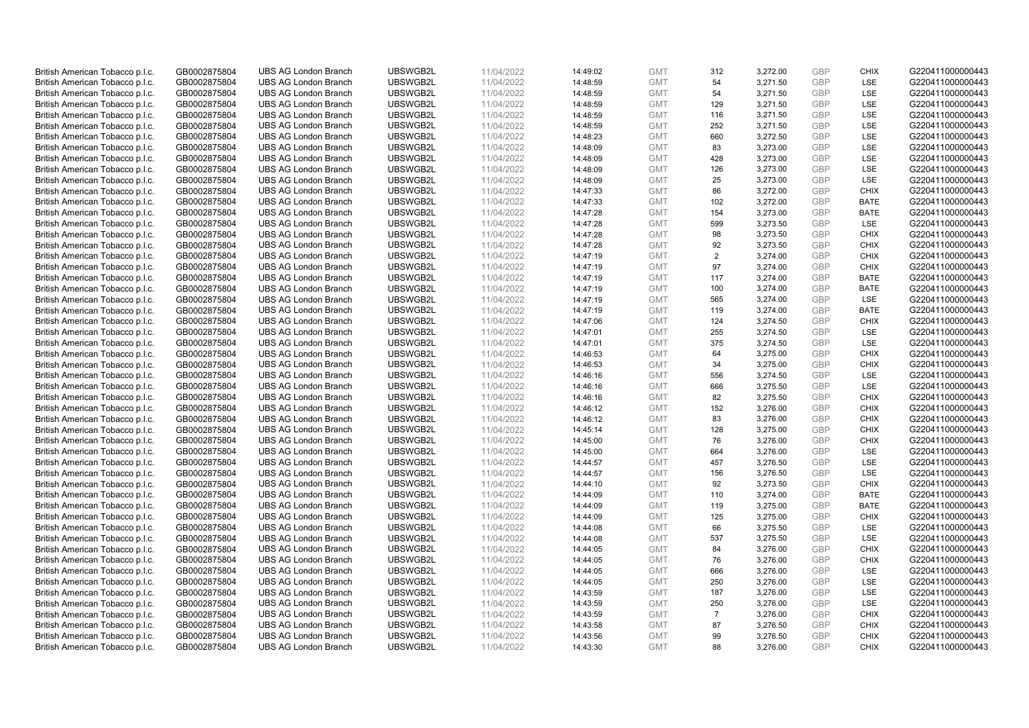| British American Tobacco p.l.c. | GB0002875804 | <b>UBS AG London Branch</b> | UBSWGB2L | 11/04/2022 | 14:49:02 | <b>GMT</b> | 312            | 3,272.00 | <b>GBP</b> | <b>CHIX</b> | G220411000000443 |
|---------------------------------|--------------|-----------------------------|----------|------------|----------|------------|----------------|----------|------------|-------------|------------------|
| British American Tobacco p.l.c. | GB0002875804 | <b>UBS AG London Branch</b> | UBSWGB2L | 11/04/2022 | 14:48:59 | <b>GMT</b> | 54             | 3,271.50 | <b>GBP</b> | LSE         | G220411000000443 |
| British American Tobacco p.l.c. | GB0002875804 | UBS AG London Branch        | UBSWGB2L | 11/04/2022 | 14:48:59 | <b>GMT</b> | 54             | 3,271.50 | <b>GBP</b> | LSE         | G220411000000443 |
| British American Tobacco p.l.c. | GB0002875804 | <b>UBS AG London Branch</b> | UBSWGB2L | 11/04/2022 | 14:48:59 | <b>GMT</b> | 129            | 3,271.50 | GBP        | LSE         | G220411000000443 |
| British American Tobacco p.l.c. | GB0002875804 | <b>UBS AG London Branch</b> | UBSWGB2L | 11/04/2022 | 14:48:59 | <b>GMT</b> | 116            | 3,271.50 | <b>GBP</b> | LSE         | G220411000000443 |
| British American Tobacco p.l.c. | GB0002875804 | UBS AG London Branch        | UBSWGB2L | 11/04/2022 | 14:48:59 | <b>GMT</b> | 252            | 3,271.50 | <b>GBP</b> | LSE         | G220411000000443 |
| British American Tobacco p.l.c. | GB0002875804 | <b>UBS AG London Branch</b> | UBSWGB2L | 11/04/2022 | 14:48:23 | <b>GMT</b> | 660            | 3,272.50 | <b>GBP</b> | LSE         | G220411000000443 |
| British American Tobacco p.l.c. | GB0002875804 | <b>UBS AG London Branch</b> | UBSWGB2L | 11/04/2022 | 14:48:09 | <b>GMT</b> | 83             | 3,273.00 | <b>GBP</b> | LSE         | G220411000000443 |
| British American Tobacco p.l.c. | GB0002875804 | <b>UBS AG London Branch</b> | UBSWGB2L | 11/04/2022 | 14:48:09 | <b>GMT</b> | 428            | 3,273.00 | <b>GBP</b> | LSE         | G220411000000443 |
| British American Tobacco p.l.c. | GB0002875804 | <b>UBS AG London Branch</b> | UBSWGB2L | 11/04/2022 | 14:48:09 | <b>GMT</b> | 126            | 3,273.00 | <b>GBP</b> | <b>LSE</b>  | G220411000000443 |
| British American Tobacco p.l.c. | GB0002875804 | <b>UBS AG London Branch</b> | UBSWGB2L | 11/04/2022 | 14:48:09 | <b>GMT</b> | 25             | 3,273.00 | <b>GBP</b> | LSE         | G220411000000443 |
| British American Tobacco p.l.c. | GB0002875804 | <b>UBS AG London Branch</b> | UBSWGB2L | 11/04/2022 | 14:47:33 | <b>GMT</b> | 86             | 3,272.00 | <b>GBP</b> | <b>CHIX</b> | G220411000000443 |
| British American Tobacco p.l.c. | GB0002875804 | <b>UBS AG London Branch</b> | UBSWGB2L | 11/04/2022 | 14:47:33 | <b>GMT</b> | 102            | 3,272.00 | GBP        | <b>BATE</b> | G220411000000443 |
| British American Tobacco p.l.c. | GB0002875804 | <b>UBS AG London Branch</b> | UBSWGB2L | 11/04/2022 | 14:47:28 | <b>GMT</b> | 154            | 3,273.00 | GBP        | <b>BATE</b> | G220411000000443 |
| British American Tobacco p.l.c. | GB0002875804 | <b>UBS AG London Branch</b> | UBSWGB2L | 11/04/2022 | 14:47:28 | <b>GMT</b> | 599            | 3,273.50 | <b>GBP</b> | LSE         | G220411000000443 |
| British American Tobacco p.l.c. | GB0002875804 | <b>UBS AG London Branch</b> | UBSWGB2L | 11/04/2022 | 14:47:28 | <b>GMT</b> | 98             | 3,273.50 | <b>GBP</b> | <b>CHIX</b> | G220411000000443 |
| British American Tobacco p.l.c. | GB0002875804 | <b>UBS AG London Branch</b> | UBSWGB2L | 11/04/2022 | 14:47:28 | <b>GMT</b> | 92             | 3,273.50 | GBP        | <b>CHIX</b> | G220411000000443 |
| British American Tobacco p.l.c. | GB0002875804 | <b>UBS AG London Branch</b> | UBSWGB2L | 11/04/2022 | 14:47:19 | <b>GMT</b> | $\overline{2}$ | 3,274.00 | <b>GBP</b> | <b>CHIX</b> | G220411000000443 |
| British American Tobacco p.l.c. | GB0002875804 | UBS AG London Branch        | UBSWGB2L | 11/04/2022 | 14:47:19 | <b>GMT</b> | 97             | 3,274.00 | GBP        | <b>CHIX</b> | G220411000000443 |
| British American Tobacco p.l.c. | GB0002875804 | <b>UBS AG London Branch</b> | UBSWGB2L | 11/04/2022 | 14:47:19 | <b>GMT</b> | 117            | 3,274.00 | <b>GBP</b> | <b>BATE</b> | G220411000000443 |
| British American Tobacco p.l.c. | GB0002875804 | <b>UBS AG London Branch</b> | UBSWGB2L | 11/04/2022 | 14:47:19 | <b>GMT</b> | 100            | 3,274.00 | GBP        | <b>BATE</b> | G220411000000443 |
| British American Tobacco p.l.c. | GB0002875804 | <b>UBS AG London Branch</b> | UBSWGB2L | 11/04/2022 | 14:47:19 | <b>GMT</b> | 565            | 3,274.00 | <b>GBP</b> | LSE         | G220411000000443 |
| British American Tobacco p.l.c. | GB0002875804 | <b>UBS AG London Branch</b> | UBSWGB2L | 11/04/2022 | 14:47:19 | <b>GMT</b> | 119            | 3,274.00 | <b>GBP</b> | <b>BATE</b> | G220411000000443 |
| British American Tobacco p.l.c. | GB0002875804 | <b>UBS AG London Branch</b> | UBSWGB2L | 11/04/2022 | 14:47:06 | <b>GMT</b> | 124            | 3,274.50 | <b>GBP</b> | <b>CHIX</b> | G220411000000443 |
| British American Tobacco p.l.c. | GB0002875804 | <b>UBS AG London Branch</b> | UBSWGB2L | 11/04/2022 | 14:47:01 | <b>GMT</b> | 255            | 3,274.50 | <b>GBP</b> | LSE         | G220411000000443 |
| British American Tobacco p.l.c. | GB0002875804 | <b>UBS AG London Branch</b> | UBSWGB2L | 11/04/2022 | 14:47:01 | <b>GMT</b> | 375            | 3,274.50 | GBP        | LSE         | G220411000000443 |
| British American Tobacco p.l.c. | GB0002875804 | <b>UBS AG London Branch</b> | UBSWGB2L | 11/04/2022 | 14:46:53 | <b>GMT</b> | 64             | 3,275.00 | <b>GBP</b> | <b>CHIX</b> | G220411000000443 |
| British American Tobacco p.l.c. | GB0002875804 | <b>UBS AG London Branch</b> | UBSWGB2L | 11/04/2022 | 14:46:53 | <b>GMT</b> | 34             | 3,275.00 | <b>GBP</b> | <b>CHIX</b> | G220411000000443 |
| British American Tobacco p.l.c. | GB0002875804 | <b>UBS AG London Branch</b> | UBSWGB2L | 11/04/2022 | 14:46:16 | <b>GMT</b> | 556            | 3,274.50 | <b>GBP</b> | LSE         | G220411000000443 |
| British American Tobacco p.l.c. | GB0002875804 | <b>UBS AG London Branch</b> | UBSWGB2L | 11/04/2022 | 14:46:16 | <b>GMT</b> | 666            | 3,275.50 | <b>GBP</b> | LSE         | G220411000000443 |
| British American Tobacco p.l.c. | GB0002875804 | <b>UBS AG London Branch</b> | UBSWGB2L | 11/04/2022 | 14:46:16 | <b>GMT</b> | 82             | 3,275.50 | <b>GBP</b> | <b>CHIX</b> | G220411000000443 |
| British American Tobacco p.l.c. | GB0002875804 | <b>UBS AG London Branch</b> | UBSWGB2L | 11/04/2022 | 14:46:12 | <b>GMT</b> | 152            | 3,276.00 | <b>GBP</b> | <b>CHIX</b> | G220411000000443 |
| British American Tobacco p.l.c. | GB0002875804 | <b>UBS AG London Branch</b> | UBSWGB2L | 11/04/2022 | 14:46:12 | <b>GMT</b> | 83             | 3,276.00 | <b>GBP</b> | <b>CHIX</b> | G220411000000443 |
| British American Tobacco p.l.c. | GB0002875804 | <b>UBS AG London Branch</b> | UBSWGB2L | 11/04/2022 | 14:45:14 | <b>GMT</b> | 128            | 3,275.00 | <b>GBP</b> | <b>CHIX</b> | G220411000000443 |
| British American Tobacco p.l.c. | GB0002875804 | <b>UBS AG London Branch</b> | UBSWGB2L | 11/04/2022 | 14:45:00 | <b>GMT</b> | 76             | 3,276.00 | <b>GBP</b> | <b>CHIX</b> | G220411000000443 |
| British American Tobacco p.l.c. | GB0002875804 | <b>UBS AG London Branch</b> | UBSWGB2L | 11/04/2022 | 14:45:00 | <b>GMT</b> | 664            | 3,276.00 | <b>GBP</b> | LSE         | G220411000000443 |
| British American Tobacco p.l.c. | GB0002875804 | <b>UBS AG London Branch</b> | UBSWGB2L | 11/04/2022 | 14:44:57 | <b>GMT</b> | 457            | 3.276.50 | GBP        | LSE         | G220411000000443 |
| British American Tobacco p.l.c. | GB0002875804 | <b>UBS AG London Branch</b> | UBSWGB2L | 11/04/2022 | 14:44:57 | <b>GMT</b> | 156            | 3,276.50 | <b>GBP</b> | LSE         | G220411000000443 |
| British American Tobacco p.l.c. | GB0002875804 | <b>UBS AG London Branch</b> | UBSWGB2L | 11/04/2022 | 14:44:10 | <b>GMT</b> | 92             | 3,273.50 | <b>GBP</b> | <b>CHIX</b> | G220411000000443 |
| British American Tobacco p.l.c. | GB0002875804 | <b>UBS AG London Branch</b> | UBSWGB2L | 11/04/2022 | 14:44:09 | <b>GMT</b> | 110            | 3,274.00 | <b>GBP</b> | <b>BATE</b> | G220411000000443 |
| British American Tobacco p.l.c. | GB0002875804 | <b>UBS AG London Branch</b> | UBSWGB2L | 11/04/2022 | 14:44:09 | <b>GMT</b> | 119            | 3,275.00 | <b>GBP</b> | <b>BATE</b> | G220411000000443 |
| British American Tobacco p.l.c. | GB0002875804 | <b>UBS AG London Branch</b> | UBSWGB2L | 11/04/2022 | 14:44:09 | <b>GMT</b> | 125            | 3,275.00 | GBP        | <b>CHIX</b> | G220411000000443 |
| British American Tobacco p.l.c. | GB0002875804 | UBS AG London Branch        | UBSWGB2L | 11/04/2022 | 14:44:08 | <b>GMT</b> | 66             | 3,275.50 | <b>GBP</b> | LSE         | G220411000000443 |
| British American Tobacco p.l.c. | GB0002875804 | <b>UBS AG London Branch</b> | UBSWGB2L | 11/04/2022 | 14:44:08 | <b>GMT</b> | 537            | 3,275.50 | GBP        | LSE         | G220411000000443 |
| British American Tobacco p.l.c. | GB0002875804 | <b>UBS AG London Branch</b> | UBSWGB2L | 11/04/2022 | 14:44:05 | <b>GMT</b> | 84             | 3,276.00 | <b>GBP</b> | <b>CHIX</b> | G220411000000443 |
| British American Tobacco p.l.c. | GB0002875804 | <b>UBS AG London Branch</b> | UBSWGB2L | 11/04/2022 | 14:44:05 | <b>GMT</b> | 76             | 3,276.00 | <b>GBP</b> | <b>CHIX</b> | G220411000000443 |
| British American Tobacco p.l.c. | GB0002875804 | <b>UBS AG London Branch</b> | UBSWGB2L | 11/04/2022 | 14:44:05 | <b>GMT</b> | 666            | 3,276.00 | GBP        | <b>LSE</b>  | G220411000000443 |
| British American Tobacco p.l.c. | GB0002875804 | <b>UBS AG London Branch</b> | UBSWGB2L | 11/04/2022 | 14:44:05 | <b>GMT</b> | 250            | 3,276.00 | <b>GBP</b> | LSE         | G220411000000443 |
| British American Tobacco p.l.c. | GB0002875804 | <b>UBS AG London Branch</b> | UBSWGB2L | 11/04/2022 | 14:43:59 | <b>GMT</b> | 187            | 3,276.00 | <b>GBP</b> | LSE         | G220411000000443 |
| British American Tobacco p.l.c. | GB0002875804 | <b>UBS AG London Branch</b> | UBSWGB2L | 11/04/2022 | 14:43:59 | <b>GMT</b> | 250            | 3,276.00 | GBP        | <b>LSE</b>  | G220411000000443 |
| British American Tobacco p.l.c. | GB0002875804 | <b>UBS AG London Branch</b> | UBSWGB2L | 11/04/2022 | 14:43:59 | <b>GMT</b> | $\overline{7}$ | 3,276.00 | <b>GBP</b> | <b>CHIX</b> | G220411000000443 |
| British American Tobacco p.l.c. | GB0002875804 | <b>UBS AG London Branch</b> | UBSWGB2L | 11/04/2022 | 14:43:58 | <b>GMT</b> | 87             | 3,276.50 | <b>GBP</b> | <b>CHIX</b> | G220411000000443 |
| British American Tobacco p.l.c. | GB0002875804 | <b>UBS AG London Branch</b> | UBSWGB2L | 11/04/2022 | 14:43:56 | <b>GMT</b> | 99             | 3,276.50 | GBP        | <b>CHIX</b> | G220411000000443 |
| British American Tobacco p.l.c. | GB0002875804 | <b>UBS AG London Branch</b> | UBSWGB2L | 11/04/2022 | 14:43:30 | <b>GMT</b> | 88             | 3,276.00 | <b>GBP</b> | <b>CHIX</b> | G220411000000443 |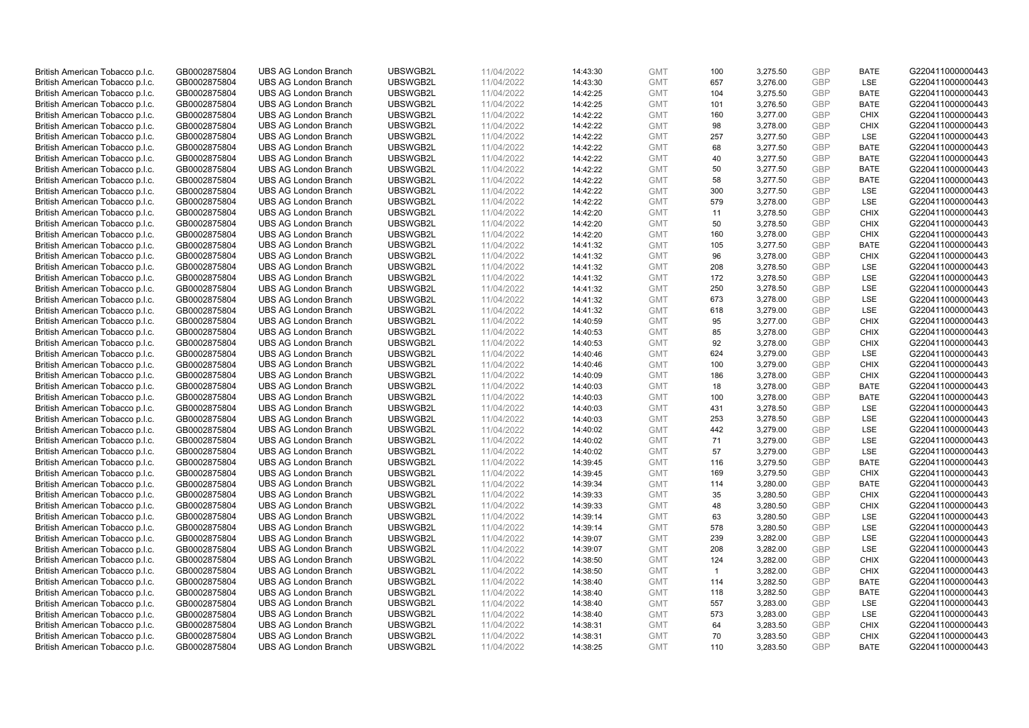| British American Tobacco p.l.c. | GB0002875804 | <b>UBS AG London Branch</b> | UBSWGB2L | 11/04/2022 | 14:43:30 | <b>GMT</b> | 100                   | 3,275.50 | <b>GBP</b> | <b>BATE</b> | G220411000000443 |
|---------------------------------|--------------|-----------------------------|----------|------------|----------|------------|-----------------------|----------|------------|-------------|------------------|
|                                 | GB0002875804 | <b>UBS AG London Branch</b> | UBSWGB2L | 11/04/2022 |          | <b>GMT</b> | 657                   | 3,276.00 | <b>GBP</b> | LSE         | G220411000000443 |
| British American Tobacco p.l.c. |              |                             |          |            | 14:43:30 |            |                       |          |            |             |                  |
| British American Tobacco p.l.c. | GB0002875804 | <b>UBS AG London Branch</b> | UBSWGB2L | 11/04/2022 | 14:42:25 | <b>GMT</b> | 104                   | 3,275.50 | <b>GBP</b> | <b>BATE</b> | G220411000000443 |
| British American Tobacco p.l.c. | GB0002875804 | <b>UBS AG London Branch</b> | UBSWGB2L | 11/04/2022 | 14:42:25 | <b>GMT</b> | 101                   | 3,276.50 | GBP        | <b>BATE</b> | G220411000000443 |
| British American Tobacco p.l.c. | GB0002875804 | <b>UBS AG London Branch</b> | UBSWGB2L | 11/04/2022 | 14:42:22 | <b>GMT</b> | 160                   | 3,277.00 | <b>GBP</b> | <b>CHIX</b> | G220411000000443 |
| British American Tobacco p.l.c. | GB0002875804 | <b>UBS AG London Branch</b> | UBSWGB2L | 11/04/2022 | 14:42:22 | <b>GMT</b> | 98                    | 3,278.00 | <b>GBP</b> | <b>CHIX</b> | G220411000000443 |
| British American Tobacco p.l.c. | GB0002875804 | <b>UBS AG London Branch</b> | UBSWGB2L | 11/04/2022 | 14:42:22 | <b>GMT</b> | 257                   | 3,277.50 | <b>GBP</b> | LSE         | G220411000000443 |
| British American Tobacco p.l.c. | GB0002875804 | <b>UBS AG London Branch</b> | UBSWGB2L | 11/04/2022 | 14:42:22 | <b>GMT</b> | 68                    | 3,277.50 | <b>GBP</b> | <b>BATE</b> | G220411000000443 |
| British American Tobacco p.l.c. | GB0002875804 | <b>UBS AG London Branch</b> | UBSWGB2L | 11/04/2022 | 14:42:22 | <b>GMT</b> | 40                    | 3,277.50 | <b>GBP</b> | <b>BATE</b> | G220411000000443 |
| British American Tobacco p.l.c. | GB0002875804 | <b>UBS AG London Branch</b> | UBSWGB2L | 11/04/2022 | 14:42:22 | <b>GMT</b> | 50                    | 3,277.50 | <b>GBP</b> | <b>BATE</b> | G220411000000443 |
| British American Tobacco p.l.c. | GB0002875804 | <b>UBS AG London Branch</b> | UBSWGB2L | 11/04/2022 | 14:42:22 | <b>GMT</b> | 58                    | 3,277.50 | <b>GBP</b> | <b>BATE</b> | G220411000000443 |
| British American Tobacco p.l.c. | GB0002875804 | <b>UBS AG London Branch</b> | UBSWGB2L | 11/04/2022 | 14:42:22 | <b>GMT</b> | 300                   | 3,277.50 | <b>GBP</b> | LSE         | G220411000000443 |
| British American Tobacco p.l.c. | GB0002875804 | <b>UBS AG London Branch</b> | UBSWGB2L | 11/04/2022 | 14:42:22 | <b>GMT</b> | 579                   | 3,278.00 | <b>GBP</b> | LSE         | G220411000000443 |
| British American Tobacco p.l.c. | GB0002875804 | <b>UBS AG London Branch</b> | UBSWGB2L | 11/04/2022 | 14:42:20 | <b>GMT</b> | 11                    | 3,278.50 | <b>GBP</b> | <b>CHIX</b> | G220411000000443 |
| British American Tobacco p.l.c. | GB0002875804 | <b>UBS AG London Branch</b> | UBSWGB2L | 11/04/2022 | 14:42:20 | <b>GMT</b> | 50                    | 3,278.50 | <b>GBP</b> | <b>CHIX</b> | G220411000000443 |
| British American Tobacco p.l.c. | GB0002875804 | <b>UBS AG London Branch</b> | UBSWGB2L | 11/04/2022 | 14:42:20 | <b>GMT</b> | 160                   | 3,278.00 | <b>GBP</b> | <b>CHIX</b> | G220411000000443 |
| British American Tobacco p.l.c. | GB0002875804 | <b>UBS AG London Branch</b> | UBSWGB2L | 11/04/2022 | 14:41:32 | <b>GMT</b> | 105                   | 3,277.50 | <b>GBP</b> | <b>BATE</b> | G220411000000443 |
| British American Tobacco p.l.c. | GB0002875804 | <b>UBS AG London Branch</b> | UBSWGB2L | 11/04/2022 | 14:41:32 | <b>GMT</b> | 96                    | 3,278.00 | <b>GBP</b> | <b>CHIX</b> | G220411000000443 |
|                                 |              | <b>UBS AG London Branch</b> | UBSWGB2L |            |          |            |                       |          |            | <b>LSE</b>  |                  |
| British American Tobacco p.l.c. | GB0002875804 |                             |          | 11/04/2022 | 14:41:32 | <b>GMT</b> | 208                   | 3,278.50 | <b>GBP</b> |             | G220411000000443 |
| British American Tobacco p.l.c. | GB0002875804 | <b>UBS AG London Branch</b> | UBSWGB2L | 11/04/2022 | 14:41:32 | <b>GMT</b> | 172                   | 3,278.50 | <b>GBP</b> | LSE         | G220411000000443 |
| British American Tobacco p.l.c. | GB0002875804 | <b>UBS AG London Branch</b> | UBSWGB2L | 11/04/2022 | 14:41:32 | <b>GMT</b> | 250                   | 3,278.50 | <b>GBP</b> | LSE         | G220411000000443 |
| British American Tobacco p.l.c. | GB0002875804 | <b>UBS AG London Branch</b> | UBSWGB2L | 11/04/2022 | 14:41:32 | <b>GMT</b> | 673                   | 3,278.00 | <b>GBP</b> | LSE         | G220411000000443 |
| British American Tobacco p.l.c. | GB0002875804 | <b>UBS AG London Branch</b> | UBSWGB2L | 11/04/2022 | 14:41:32 | <b>GMT</b> | 618                   | 3,279.00 | <b>GBP</b> | LSE         | G220411000000443 |
| British American Tobacco p.l.c. | GB0002875804 | <b>UBS AG London Branch</b> | UBSWGB2L | 11/04/2022 | 14:40:59 | <b>GMT</b> | 95                    | 3,277.00 | <b>GBP</b> | <b>CHIX</b> | G220411000000443 |
| British American Tobacco p.l.c. | GB0002875804 | <b>UBS AG London Branch</b> | UBSWGB2L | 11/04/2022 | 14:40:53 | <b>GMT</b> | 85                    | 3,278.00 | <b>GBP</b> | <b>CHIX</b> | G220411000000443 |
| British American Tobacco p.l.c. | GB0002875804 | <b>UBS AG London Branch</b> | UBSWGB2L | 11/04/2022 | 14:40:53 | <b>GMT</b> | 92                    | 3,278.00 | <b>GBP</b> | <b>CHIX</b> | G220411000000443 |
| British American Tobacco p.l.c. | GB0002875804 | <b>UBS AG London Branch</b> | UBSWGB2L | 11/04/2022 | 14:40:46 | <b>GMT</b> | 624                   | 3,279.00 | <b>GBP</b> | <b>LSE</b>  | G220411000000443 |
| British American Tobacco p.l.c. | GB0002875804 | <b>UBS AG London Branch</b> | UBSWGB2L | 11/04/2022 | 14:40:46 | <b>GMT</b> | 100                   | 3,279.00 | <b>GBP</b> | <b>CHIX</b> | G220411000000443 |
| British American Tobacco p.l.c. | GB0002875804 | <b>UBS AG London Branch</b> | UBSWGB2L | 11/04/2022 | 14:40:09 | <b>GMT</b> | 186                   | 3,278.00 | <b>GBP</b> | <b>CHIX</b> | G220411000000443 |
| British American Tobacco p.l.c. | GB0002875804 | <b>UBS AG London Branch</b> | UBSWGB2L | 11/04/2022 | 14:40:03 | <b>GMT</b> | 18                    | 3,278.00 | <b>GBP</b> | <b>BATE</b> | G220411000000443 |
| British American Tobacco p.l.c. | GB0002875804 | <b>UBS AG London Branch</b> | UBSWGB2L | 11/04/2022 | 14:40:03 | <b>GMT</b> | 100                   | 3,278.00 | <b>GBP</b> | <b>BATE</b> | G220411000000443 |
| British American Tobacco p.l.c. | GB0002875804 | <b>UBS AG London Branch</b> | UBSWGB2L | 11/04/2022 | 14:40:03 | <b>GMT</b> | 431                   | 3,278.50 | <b>GBP</b> | <b>LSE</b>  | G220411000000443 |
| British American Tobacco p.l.c. | GB0002875804 | <b>UBS AG London Branch</b> | UBSWGB2L | 11/04/2022 | 14:40:03 | <b>GMT</b> | 253                   | 3,278.50 | <b>GBP</b> | LSE         | G220411000000443 |
| British American Tobacco p.l.c. | GB0002875804 | <b>UBS AG London Branch</b> | UBSWGB2L | 11/04/2022 | 14:40:02 | <b>GMT</b> | 442                   | 3,279.00 | <b>GBP</b> | LSE         | G220411000000443 |
| British American Tobacco p.l.c. | GB0002875804 | <b>UBS AG London Branch</b> | UBSWGB2L | 11/04/2022 | 14:40:02 | <b>GMT</b> | 71                    | 3,279.00 | <b>GBP</b> | LSE         | G220411000000443 |
| British American Tobacco p.l.c. | GB0002875804 | <b>UBS AG London Branch</b> | UBSWGB2L | 11/04/2022 | 14:40:02 | <b>GMT</b> | 57                    | 3,279.00 | <b>GBP</b> | LSE         | G220411000000443 |
| British American Tobacco p.l.c. | GB0002875804 | <b>UBS AG London Branch</b> | UBSWGB2L | 11/04/2022 | 14:39:45 | <b>GMT</b> | 116                   | 3,279.50 | <b>GBP</b> | <b>BATE</b> | G220411000000443 |
| British American Tobacco p.l.c. | GB0002875804 | <b>UBS AG London Branch</b> | UBSWGB2L | 11/04/2022 | 14:39:45 | <b>GMT</b> | 169                   | 3,279.50 | <b>GBP</b> | <b>CHIX</b> | G220411000000443 |
| British American Tobacco p.l.c. | GB0002875804 | <b>UBS AG London Branch</b> | UBSWGB2L | 11/04/2022 | 14:39:34 | <b>GMT</b> | 114                   | 3,280.00 | <b>GBP</b> | <b>BATE</b> | G220411000000443 |
| British American Tobacco p.l.c. | GB0002875804 | <b>UBS AG London Branch</b> | UBSWGB2L | 11/04/2022 | 14:39:33 | <b>GMT</b> | 35                    | 3,280.50 | <b>GBP</b> | <b>CHIX</b> | G220411000000443 |
| British American Tobacco p.l.c. | GB0002875804 | <b>UBS AG London Branch</b> | UBSWGB2L | 11/04/2022 | 14:39:33 | <b>GMT</b> | 48                    | 3,280.50 | <b>GBP</b> | <b>CHIX</b> | G220411000000443 |
| British American Tobacco p.l.c. | GB0002875804 | <b>UBS AG London Branch</b> | UBSWGB2L | 11/04/2022 | 14:39:14 | <b>GMT</b> | 63                    | 3,280.50 | <b>GBP</b> | <b>LSE</b>  | G220411000000443 |
| British American Tobacco p.l.c. | GB0002875804 | <b>UBS AG London Branch</b> | UBSWGB2L | 11/04/2022 | 14:39:14 | <b>GMT</b> | 578                   | 3,280.50 | <b>GBP</b> | LSE         | G220411000000443 |
| British American Tobacco p.l.c. | GB0002875804 | <b>UBS AG London Branch</b> | UBSWGB2L | 11/04/2022 | 14:39:07 | <b>GMT</b> | 239                   | 3,282.00 | <b>GBP</b> | LSE         | G220411000000443 |
| British American Tobacco p.l.c. | GB0002875804 | UBS AG London Branch        | UBSWGB2L | 11/04/2022 | 14:39:07 | <b>GMT</b> | 208                   | 3,282.00 | <b>GBP</b> | LSE         | G220411000000443 |
| British American Tobacco p.l.c. | GB0002875804 | <b>UBS AG London Branch</b> | UBSWGB2L | 11/04/2022 | 14:38:50 | <b>GMT</b> |                       | 3,282.00 | <b>GBP</b> | <b>CHIX</b> | G220411000000443 |
| British American Tobacco p.l.c. | GB0002875804 | <b>UBS AG London Branch</b> | UBSWGB2L | 11/04/2022 | 14:38:50 | <b>GMT</b> | 124<br>$\overline{1}$ | 3,282.00 | <b>GBP</b> | <b>CHIX</b> | G220411000000443 |
|                                 |              | <b>UBS AG London Branch</b> | UBSWGB2L |            |          |            | 114                   |          | <b>GBP</b> | <b>BATE</b> | G220411000000443 |
| British American Tobacco p.l.c. | GB0002875804 |                             |          | 11/04/2022 | 14:38:40 | <b>GMT</b> |                       | 3,282.50 |            |             |                  |
| British American Tobacco p.l.c. | GB0002875804 | <b>UBS AG London Branch</b> | UBSWGB2L | 11/04/2022 | 14:38:40 | GMT        | 118                   | 3,282.50 | <b>GBP</b> | <b>BATE</b> | G220411000000443 |
| British American Tobacco p.l.c. | GB0002875804 | <b>UBS AG London Branch</b> | UBSWGB2L | 11/04/2022 | 14:38:40 | <b>GMT</b> | 557                   | 3,283.00 | <b>GBP</b> | <b>LSE</b>  | G220411000000443 |
| British American Tobacco p.l.c. | GB0002875804 | <b>UBS AG London Branch</b> | UBSWGB2L | 11/04/2022 | 14:38:40 | <b>GMT</b> | 573                   | 3,283.00 | <b>GBP</b> | LSE         | G220411000000443 |
| British American Tobacco p.l.c. | GB0002875804 | <b>UBS AG London Branch</b> | UBSWGB2L | 11/04/2022 | 14:38:31 | <b>GMT</b> | 64                    | 3,283.50 | <b>GBP</b> | <b>CHIX</b> | G220411000000443 |
| British American Tobacco p.l.c. | GB0002875804 | <b>UBS AG London Branch</b> | UBSWGB2L | 11/04/2022 | 14:38:31 | <b>GMT</b> | 70                    | 3,283.50 | <b>GBP</b> | <b>CHIX</b> | G220411000000443 |
| British American Tobacco p.l.c. | GB0002875804 | <b>UBS AG London Branch</b> | UBSWGB2L | 11/04/2022 | 14:38:25 | <b>GMT</b> | 110                   | 3,283.50 | <b>GBP</b> | <b>BATE</b> | G220411000000443 |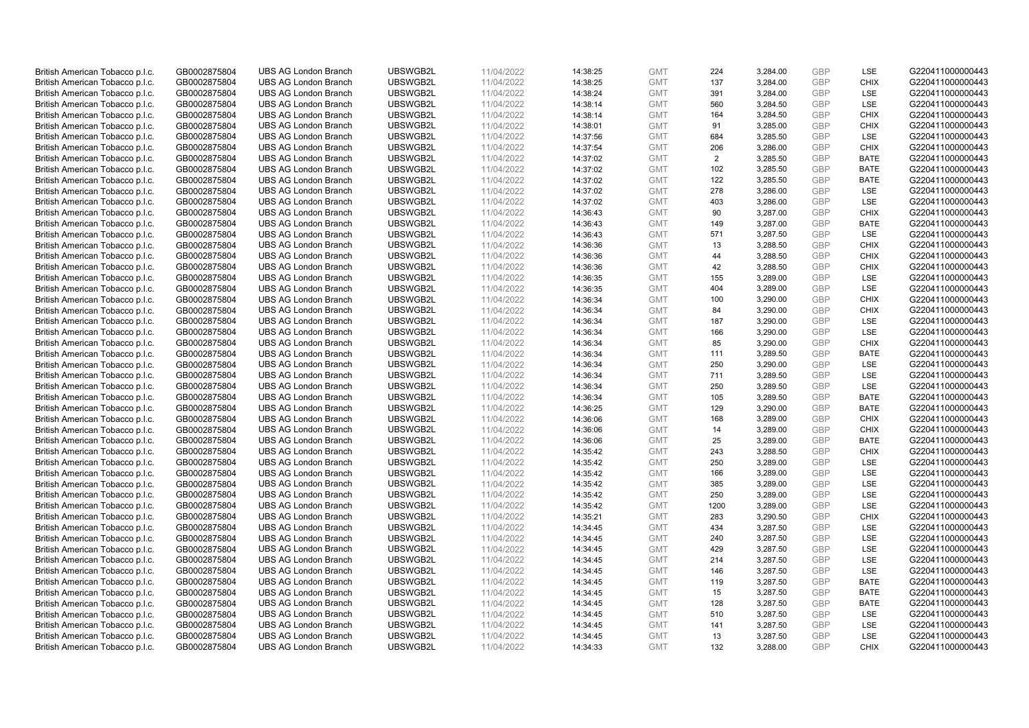| British American Tobacco p.l.c. | GB0002875804 | <b>UBS AG London Branch</b> | UBSWGB2L | 11/04/2022 | 14:38:25 | <b>GMT</b> | 224  | 3,284.00 | <b>GBP</b> | LSE         | G220411000000443 |
|---------------------------------|--------------|-----------------------------|----------|------------|----------|------------|------|----------|------------|-------------|------------------|
|                                 | GB0002875804 | <b>UBS AG London Branch</b> | UBSWGB2L | 11/04/2022 |          | <b>GMT</b> | 137  | 3,284.00 | <b>GBP</b> | <b>CHIX</b> | G220411000000443 |
| British American Tobacco p.l.c. |              |                             |          |            | 14:38:25 |            |      |          |            |             |                  |
| British American Tobacco p.l.c. | GB0002875804 | <b>UBS AG London Branch</b> | UBSWGB2L | 11/04/2022 | 14:38:24 | <b>GMT</b> | 391  | 3,284.00 | <b>GBP</b> | LSE         | G220411000000443 |
| British American Tobacco p.l.c. | GB0002875804 | <b>UBS AG London Branch</b> | UBSWGB2L | 11/04/2022 | 14:38:14 | <b>GMT</b> | 560  | 3,284.50 | <b>GBP</b> | LSE         | G220411000000443 |
| British American Tobacco p.l.c. | GB0002875804 | <b>UBS AG London Branch</b> | UBSWGB2L | 11/04/2022 | 14:38:14 | <b>GMT</b> | 164  | 3,284.50 | <b>GBP</b> | <b>CHIX</b> | G220411000000443 |
| British American Tobacco p.l.c. | GB0002875804 | <b>UBS AG London Branch</b> | UBSWGB2L | 11/04/2022 | 14:38:01 | <b>GMT</b> | 91   | 3,285.00 | <b>GBP</b> | <b>CHIX</b> | G220411000000443 |
| British American Tobacco p.l.c. | GB0002875804 | <b>UBS AG London Branch</b> | UBSWGB2L | 11/04/2022 | 14:37:56 | <b>GMT</b> | 684  | 3,285.50 | <b>GBP</b> | LSE         | G220411000000443 |
| British American Tobacco p.l.c. | GB0002875804 | <b>UBS AG London Branch</b> | UBSWGB2L | 11/04/2022 | 14:37:54 | <b>GMT</b> | 206  | 3,286.00 | <b>GBP</b> | <b>CHIX</b> | G220411000000443 |
| British American Tobacco p.l.c. | GB0002875804 | <b>UBS AG London Branch</b> | UBSWGB2L | 11/04/2022 | 14:37:02 | <b>GMT</b> | 2    | 3,285.50 | <b>GBP</b> | <b>BATE</b> | G220411000000443 |
| British American Tobacco p.l.c. | GB0002875804 | <b>UBS AG London Branch</b> | UBSWGB2L | 11/04/2022 | 14:37:02 | <b>GMT</b> | 102  | 3,285.50 | <b>GBP</b> | <b>BATE</b> | G220411000000443 |
| British American Tobacco p.l.c. | GB0002875804 | <b>UBS AG London Branch</b> | UBSWGB2L | 11/04/2022 | 14:37:02 | <b>GMT</b> | 122  | 3,285.50 | <b>GBP</b> | <b>BATE</b> | G220411000000443 |
| British American Tobacco p.l.c. | GB0002875804 | <b>UBS AG London Branch</b> | UBSWGB2L | 11/04/2022 | 14:37:02 | <b>GMT</b> | 278  | 3,286.00 | <b>GBP</b> | LSE         | G220411000000443 |
| British American Tobacco p.l.c. | GB0002875804 | <b>UBS AG London Branch</b> | UBSWGB2L | 11/04/2022 | 14:37:02 | <b>GMT</b> | 403  | 3,286.00 | <b>GBP</b> | LSE         | G220411000000443 |
| British American Tobacco p.l.c. | GB0002875804 | <b>UBS AG London Branch</b> | UBSWGB2L | 11/04/2022 | 14:36:43 | <b>GMT</b> | 90   | 3,287.00 | <b>GBP</b> | <b>CHIX</b> | G220411000000443 |
| British American Tobacco p.l.c. | GB0002875804 | <b>UBS AG London Branch</b> | UBSWGB2L | 11/04/2022 | 14:36:43 | <b>GMT</b> | 149  | 3,287.00 | <b>GBP</b> | <b>BATE</b> | G220411000000443 |
| British American Tobacco p.l.c. | GB0002875804 | <b>UBS AG London Branch</b> | UBSWGB2L | 11/04/2022 | 14:36:43 | <b>GMT</b> | 571  | 3,287.50 | <b>GBP</b> | LSE         | G220411000000443 |
| British American Tobacco p.l.c. | GB0002875804 | <b>UBS AG London Branch</b> | UBSWGB2L | 11/04/2022 | 14:36:36 | <b>GMT</b> | 13   | 3,288.50 | <b>GBP</b> | <b>CHIX</b> | G220411000000443 |
| British American Tobacco p.l.c. | GB0002875804 | <b>UBS AG London Branch</b> | UBSWGB2L | 11/04/2022 |          | <b>GMT</b> | 44   | 3,288.50 | <b>GBP</b> | <b>CHIX</b> | G220411000000443 |
|                                 |              | <b>UBS AG London Branch</b> | UBSWGB2L |            | 14:36:36 |            |      |          |            |             |                  |
| British American Tobacco p.l.c. | GB0002875804 |                             |          | 11/04/2022 | 14:36:36 | <b>GMT</b> | 42   | 3,288.50 | <b>GBP</b> | <b>CHIX</b> | G220411000000443 |
| British American Tobacco p.l.c. | GB0002875804 | <b>UBS AG London Branch</b> | UBSWGB2L | 11/04/2022 | 14:36:35 | <b>GMT</b> | 155  | 3,289.00 | <b>GBP</b> | LSE         | G220411000000443 |
| British American Tobacco p.l.c. | GB0002875804 | <b>UBS AG London Branch</b> | UBSWGB2L | 11/04/2022 | 14:36:35 | <b>GMT</b> | 404  | 3,289.00 | <b>GBP</b> | LSE         | G220411000000443 |
| British American Tobacco p.l.c. | GB0002875804 | <b>UBS AG London Branch</b> | UBSWGB2L | 11/04/2022 | 14:36:34 | <b>GMT</b> | 100  | 3,290.00 | <b>GBP</b> | <b>CHIX</b> | G220411000000443 |
| British American Tobacco p.l.c. | GB0002875804 | <b>UBS AG London Branch</b> | UBSWGB2L | 11/04/2022 | 14:36:34 | <b>GMT</b> | 84   | 3,290.00 | <b>GBP</b> | <b>CHIX</b> | G220411000000443 |
| British American Tobacco p.l.c. | GB0002875804 | <b>UBS AG London Branch</b> | UBSWGB2L | 11/04/2022 | 14:36:34 | <b>GMT</b> | 187  | 3,290.00 | <b>GBP</b> | <b>LSE</b>  | G220411000000443 |
| British American Tobacco p.l.c. | GB0002875804 | <b>UBS AG London Branch</b> | UBSWGB2L | 11/04/2022 | 14:36:34 | <b>GMT</b> | 166  | 3,290.00 | <b>GBP</b> | LSE         | G220411000000443 |
| British American Tobacco p.l.c. | GB0002875804 | <b>UBS AG London Branch</b> | UBSWGB2L | 11/04/2022 | 14:36:34 | <b>GMT</b> | 85   | 3,290.00 | <b>GBP</b> | <b>CHIX</b> | G220411000000443 |
| British American Tobacco p.l.c. | GB0002875804 | <b>UBS AG London Branch</b> | UBSWGB2L | 11/04/2022 | 14:36:34 | <b>GMT</b> | 111  | 3,289.50 | <b>GBP</b> | <b>BATE</b> | G220411000000443 |
| British American Tobacco p.l.c. | GB0002875804 | <b>UBS AG London Branch</b> | UBSWGB2L | 11/04/2022 | 14:36:34 | <b>GMT</b> | 250  | 3,290.00 | <b>GBP</b> | LSE         | G220411000000443 |
| British American Tobacco p.l.c. | GB0002875804 | <b>UBS AG London Branch</b> | UBSWGB2L | 11/04/2022 | 14:36:34 | <b>GMT</b> | 711  | 3,289.50 | <b>GBP</b> | LSE         | G220411000000443 |
| British American Tobacco p.l.c. | GB0002875804 | <b>UBS AG London Branch</b> | UBSWGB2L | 11/04/2022 | 14:36:34 | <b>GMT</b> | 250  | 3,289.50 | <b>GBP</b> | LSE         | G220411000000443 |
| British American Tobacco p.l.c. | GB0002875804 | <b>UBS AG London Branch</b> | UBSWGB2L | 11/04/2022 | 14:36:34 | <b>GMT</b> | 105  | 3,289.50 | <b>GBP</b> | <b>BATE</b> | G220411000000443 |
| British American Tobacco p.l.c. | GB0002875804 | <b>UBS AG London Branch</b> | UBSWGB2L | 11/04/2022 | 14:36:25 | <b>GMT</b> | 129  | 3,290.00 | <b>GBP</b> | BATE        | G220411000000443 |
| British American Tobacco p.l.c. | GB0002875804 | <b>UBS AG London Branch</b> | UBSWGB2L | 11/04/2022 | 14:36:06 | <b>GMT</b> | 168  | 3,289.00 | <b>GBP</b> | <b>CHIX</b> | G220411000000443 |
| British American Tobacco p.l.c. | GB0002875804 | <b>UBS AG London Branch</b> | UBSWGB2L | 11/04/2022 | 14:36:06 | <b>GMT</b> | 14   | 3,289.00 | <b>GBP</b> | <b>CHIX</b> | G220411000000443 |
| British American Tobacco p.l.c. | GB0002875804 | <b>UBS AG London Branch</b> | UBSWGB2L | 11/04/2022 | 14:36:06 | <b>GMT</b> | 25   | 3,289.00 | <b>GBP</b> | <b>BATE</b> | G220411000000443 |
| British American Tobacco p.l.c. | GB0002875804 | <b>UBS AG London Branch</b> | UBSWGB2L | 11/04/2022 | 14:35:42 | <b>GMT</b> | 243  | 3,288.50 | <b>GBP</b> | <b>CHIX</b> | G220411000000443 |
| British American Tobacco p.l.c. | GB0002875804 | <b>UBS AG London Branch</b> | UBSWGB2L | 11/04/2022 | 14:35:42 | <b>GMT</b> | 250  | 3,289.00 | <b>GBP</b> | LSE         | G220411000000443 |
| British American Tobacco p.l.c. | GB0002875804 | <b>UBS AG London Branch</b> | UBSWGB2L | 11/04/2022 | 14:35:42 | <b>GMT</b> | 166  | 3,289.00 | <b>GBP</b> | LSE         | G220411000000443 |
| British American Tobacco p.l.c. | GB0002875804 | <b>UBS AG London Branch</b> | UBSWGB2L | 11/04/2022 | 14:35:42 | <b>GMT</b> | 385  | 3,289.00 | <b>GBP</b> | LSE         | G220411000000443 |
| British American Tobacco p.l.c. | GB0002875804 | <b>UBS AG London Branch</b> | UBSWGB2L | 11/04/2022 | 14:35:42 | <b>GMT</b> | 250  | 3,289.00 | <b>GBP</b> | <b>LSE</b>  | G220411000000443 |
| British American Tobacco p.l.c. | GB0002875804 | <b>UBS AG London Branch</b> | UBSWGB2L | 11/04/2022 | 14:35:42 | <b>GMT</b> | 1200 | 3,289.00 | <b>GBP</b> | LSE         | G220411000000443 |
| British American Tobacco p.l.c. | GB0002875804 | <b>UBS AG London Branch</b> | UBSWGB2L | 11/04/2022 | 14:35:21 | <b>GMT</b> | 283  | 3,290.50 | <b>GBP</b> | <b>CHIX</b> | G220411000000443 |
| British American Tobacco p.l.c. | GB0002875804 | <b>UBS AG London Branch</b> | UBSWGB2L | 11/04/2022 | 14:34:45 | <b>GMT</b> | 434  | 3,287.50 | <b>GBP</b> | LSE         | G220411000000443 |
| British American Tobacco p.l.c. | GB0002875804 | <b>UBS AG London Branch</b> | UBSWGB2L | 11/04/2022 | 14:34:45 | <b>GMT</b> | 240  | 3,287.50 | <b>GBP</b> | LSE         | G220411000000443 |
| British American Tobacco p.l.c. | GB0002875804 | UBS AG London Branch        | UBSWGB2L | 11/04/2022 | 14:34:45 | <b>GMT</b> | 429  | 3,287.50 | <b>GBP</b> | LSE         | G220411000000443 |
|                                 |              |                             |          |            |          |            |      |          |            |             |                  |
| British American Tobacco p.l.c. | GB0002875804 | <b>UBS AG London Branch</b> | UBSWGB2L | 11/04/2022 | 14:34:45 | <b>GMT</b> | 214  | 3,287.50 | <b>GBP</b> | LSE<br>LSE  | G220411000000443 |
| British American Tobacco p.l.c. | GB0002875804 | <b>UBS AG London Branch</b> | UBSWGB2L | 11/04/2022 | 14:34:45 | <b>GMT</b> | 146  | 3,287.50 | <b>GBP</b> |             | G220411000000443 |
| British American Tobacco p.l.c. | GB0002875804 | <b>UBS AG London Branch</b> | UBSWGB2L | 11/04/2022 | 14:34:45 | <b>GMT</b> | 119  | 3,287.50 | <b>GBP</b> | <b>BATE</b> | G220411000000443 |
| British American Tobacco p.l.c. | GB0002875804 | <b>UBS AG London Branch</b> | UBSWGB2L | 11/04/2022 | 14:34:45 | GMT        | 15   | 3,287.50 | <b>GBP</b> | <b>BATE</b> | G220411000000443 |
| British American Tobacco p.l.c. | GB0002875804 | <b>UBS AG London Branch</b> | UBSWGB2L | 11/04/2022 | 14:34:45 | <b>GMT</b> | 128  | 3,287.50 | <b>GBP</b> | <b>BATE</b> | G220411000000443 |
| British American Tobacco p.l.c. | GB0002875804 | <b>UBS AG London Branch</b> | UBSWGB2L | 11/04/2022 | 14:34:45 | <b>GMT</b> | 510  | 3,287.50 | <b>GBP</b> | LSE         | G220411000000443 |
| British American Tobacco p.l.c. | GB0002875804 | <b>UBS AG London Branch</b> | UBSWGB2L | 11/04/2022 | 14:34:45 | <b>GMT</b> | 141  | 3,287.50 | <b>GBP</b> | LSE         | G220411000000443 |
| British American Tobacco p.l.c. | GB0002875804 | <b>UBS AG London Branch</b> | UBSWGB2L | 11/04/2022 | 14:34:45 | <b>GMT</b> | 13   | 3,287.50 | <b>GBP</b> | LSE         | G220411000000443 |
| British American Tobacco p.l.c. | GB0002875804 | <b>UBS AG London Branch</b> | UBSWGB2L | 11/04/2022 | 14:34:33 | <b>GMT</b> | 132  | 3,288.00 | GBP        | <b>CHIX</b> | G220411000000443 |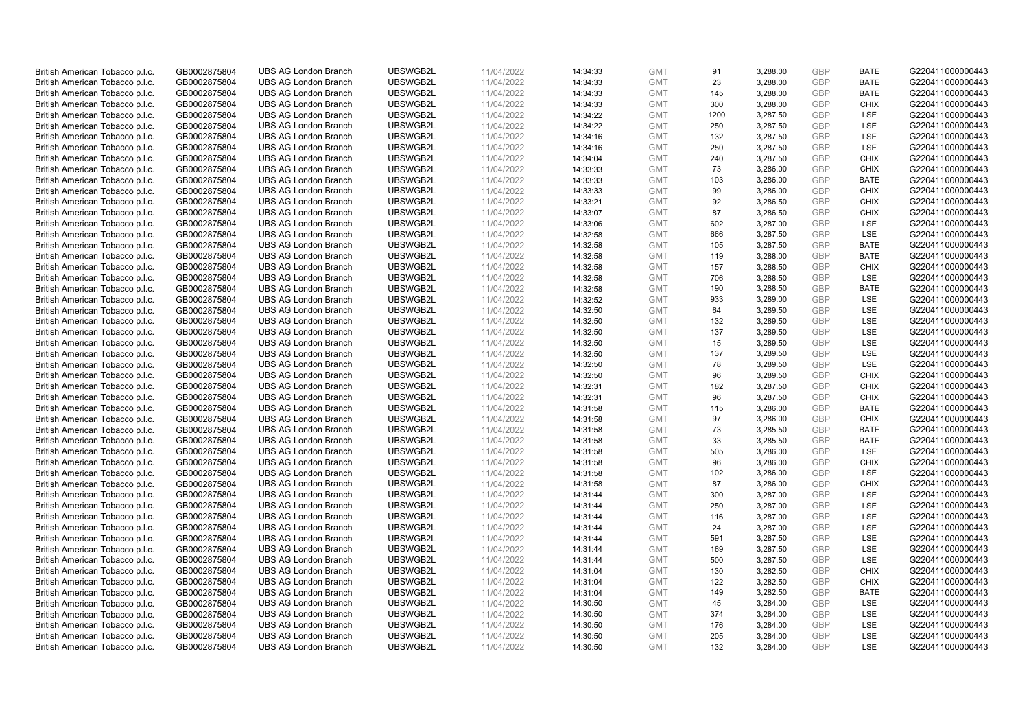| British American Tobacco p.l.c. | GB0002875804 | <b>UBS AG London Branch</b> | UBSWGB2L | 11/04/2022 | 14:34:33 | <b>GMT</b> | 91   | 3,288.00 | <b>GBP</b> | <b>BATE</b> | G220411000000443 |
|---------------------------------|--------------|-----------------------------|----------|------------|----------|------------|------|----------|------------|-------------|------------------|
| British American Tobacco p.l.c. | GB0002875804 | <b>UBS AG London Branch</b> | UBSWGB2L | 11/04/2022 | 14:34:33 | <b>GMT</b> | 23   | 3,288.00 | <b>GBP</b> | <b>BATE</b> | G220411000000443 |
|                                 |              |                             |          |            |          |            |      |          |            |             |                  |
| British American Tobacco p.l.c. | GB0002875804 | <b>UBS AG London Branch</b> | UBSWGB2L | 11/04/2022 | 14:34:33 | <b>GMT</b> | 145  | 3,288.00 | <b>GBP</b> | <b>BATE</b> | G220411000000443 |
| British American Tobacco p.l.c. | GB0002875804 | <b>UBS AG London Branch</b> | UBSWGB2L | 11/04/2022 | 14:34:33 | <b>GMT</b> | 300  | 3,288.00 | <b>GBP</b> | <b>CHIX</b> | G220411000000443 |
| British American Tobacco p.l.c. | GB0002875804 | <b>UBS AG London Branch</b> | UBSWGB2L | 11/04/2022 | 14:34:22 | <b>GMT</b> | 1200 | 3,287.50 | <b>GBP</b> | LSE         | G220411000000443 |
| British American Tobacco p.l.c. | GB0002875804 | <b>UBS AG London Branch</b> | UBSWGB2L | 11/04/2022 | 14:34:22 | <b>GMT</b> | 250  | 3,287.50 | <b>GBP</b> | <b>LSE</b>  | G220411000000443 |
| British American Tobacco p.l.c. | GB0002875804 | <b>UBS AG London Branch</b> | UBSWGB2L | 11/04/2022 | 14:34:16 | <b>GMT</b> | 132  | 3,287.50 | <b>GBP</b> | LSE         | G220411000000443 |
| British American Tobacco p.l.c. | GB0002875804 | <b>UBS AG London Branch</b> | UBSWGB2L | 11/04/2022 | 14:34:16 | <b>GMT</b> | 250  | 3,287.50 | <b>GBP</b> | LSE         | G220411000000443 |
| British American Tobacco p.l.c. | GB0002875804 | <b>UBS AG London Branch</b> | UBSWGB2L | 11/04/2022 | 14:34:04 | <b>GMT</b> | 240  | 3,287.50 | <b>GBP</b> | <b>CHIX</b> | G220411000000443 |
| British American Tobacco p.l.c. | GB0002875804 | <b>UBS AG London Branch</b> | UBSWGB2L | 11/04/2022 | 14:33:33 | <b>GMT</b> | 73   | 3,286.00 | <b>GBP</b> | <b>CHIX</b> | G220411000000443 |
| British American Tobacco p.l.c. | GB0002875804 | <b>UBS AG London Branch</b> | UBSWGB2L | 11/04/2022 | 14:33:33 | <b>GMT</b> | 103  | 3,286.00 | <b>GBP</b> | <b>BATE</b> | G220411000000443 |
| British American Tobacco p.l.c. | GB0002875804 | <b>UBS AG London Branch</b> | UBSWGB2L | 11/04/2022 | 14:33:33 | <b>GMT</b> | 99   | 3,286.00 | <b>GBP</b> | <b>CHIX</b> | G220411000000443 |
| British American Tobacco p.l.c. | GB0002875804 | <b>UBS AG London Branch</b> | UBSWGB2L | 11/04/2022 | 14:33:21 | <b>GMT</b> | 92   | 3,286.50 | <b>GBP</b> | <b>CHIX</b> | G220411000000443 |
| British American Tobacco p.l.c. | GB0002875804 | <b>UBS AG London Branch</b> | UBSWGB2L | 11/04/2022 | 14:33:07 | <b>GMT</b> | 87   | 3,286.50 | <b>GBP</b> | <b>CHIX</b> | G220411000000443 |
| British American Tobacco p.l.c. | GB0002875804 | <b>UBS AG London Branch</b> | UBSWGB2L | 11/04/2022 | 14:33:06 | <b>GMT</b> | 602  | 3,287.00 | <b>GBP</b> | LSE         | G220411000000443 |
| British American Tobacco p.l.c. | GB0002875804 | <b>UBS AG London Branch</b> | UBSWGB2L | 11/04/2022 | 14:32:58 | <b>GMT</b> | 666  | 3,287.50 | <b>GBP</b> | LSE         | G220411000000443 |
| British American Tobacco p.l.c. | GB0002875804 | <b>UBS AG London Branch</b> | UBSWGB2L | 11/04/2022 |          | <b>GMT</b> |      |          | GBP        | <b>BATE</b> | G220411000000443 |
|                                 |              |                             |          |            | 14:32:58 |            | 105  | 3,287.50 |            |             |                  |
| British American Tobacco p.l.c. | GB0002875804 | <b>UBS AG London Branch</b> | UBSWGB2L | 11/04/2022 | 14:32:58 | <b>GMT</b> | 119  | 3,288.00 | <b>GBP</b> | <b>BATE</b> | G220411000000443 |
| British American Tobacco p.l.c. | GB0002875804 | <b>UBS AG London Branch</b> | UBSWGB2L | 11/04/2022 | 14:32:58 | <b>GMT</b> | 157  | 3,288.50 | <b>GBP</b> | <b>CHIX</b> | G220411000000443 |
| British American Tobacco p.l.c. | GB0002875804 | <b>UBS AG London Branch</b> | UBSWGB2L | 11/04/2022 | 14:32:58 | <b>GMT</b> | 706  | 3,288.50 | <b>GBP</b> | LSE         | G220411000000443 |
| British American Tobacco p.l.c. | GB0002875804 | <b>UBS AG London Branch</b> | UBSWGB2L | 11/04/2022 | 14:32:58 | <b>GMT</b> | 190  | 3,288.50 | <b>GBP</b> | <b>BATE</b> | G220411000000443 |
| British American Tobacco p.l.c. | GB0002875804 | <b>UBS AG London Branch</b> | UBSWGB2L | 11/04/2022 | 14:32:52 | <b>GMT</b> | 933  | 3,289.00 | <b>GBP</b> | LSE         | G220411000000443 |
| British American Tobacco p.l.c. | GB0002875804 | <b>UBS AG London Branch</b> | UBSWGB2L | 11/04/2022 | 14:32:50 | <b>GMT</b> | 64   | 3,289.50 | <b>GBP</b> | LSE         | G220411000000443 |
| British American Tobacco p.l.c. | GB0002875804 | <b>UBS AG London Branch</b> | UBSWGB2L | 11/04/2022 | 14:32:50 | <b>GMT</b> | 132  | 3,289.50 | <b>GBP</b> | <b>LSE</b>  | G220411000000443 |
| British American Tobacco p.l.c. | GB0002875804 | <b>UBS AG London Branch</b> | UBSWGB2L | 11/04/2022 | 14:32:50 | <b>GMT</b> | 137  | 3,289.50 | <b>GBP</b> | LSE         | G220411000000443 |
| British American Tobacco p.l.c. | GB0002875804 | <b>UBS AG London Branch</b> | UBSWGB2L | 11/04/2022 | 14:32:50 | <b>GMT</b> | 15   | 3,289.50 | <b>GBP</b> | LSE         | G220411000000443 |
| British American Tobacco p.l.c. | GB0002875804 | <b>UBS AG London Branch</b> | UBSWGB2L | 11/04/2022 | 14:32:50 | <b>GMT</b> | 137  | 3,289.50 | <b>GBP</b> | LSE         | G220411000000443 |
| British American Tobacco p.l.c. | GB0002875804 | <b>UBS AG London Branch</b> | UBSWGB2L | 11/04/2022 | 14:32:50 | <b>GMT</b> | 78   | 3,289.50 | <b>GBP</b> | LSE         | G220411000000443 |
| British American Tobacco p.l.c. | GB0002875804 | <b>UBS AG London Branch</b> | UBSWGB2L | 11/04/2022 | 14:32:50 | <b>GMT</b> | 96   | 3,289.50 | <b>GBP</b> | <b>CHIX</b> | G220411000000443 |
| British American Tobacco p.l.c. | GB0002875804 | <b>UBS AG London Branch</b> | UBSWGB2L | 11/04/2022 | 14:32:31 | <b>GMT</b> | 182  | 3,287.50 | <b>GBP</b> | <b>CHIX</b> | G220411000000443 |
| British American Tobacco p.l.c. | GB0002875804 | <b>UBS AG London Branch</b> | UBSWGB2L | 11/04/2022 | 14:32:31 | <b>GMT</b> | 96   | 3,287.50 | <b>GBP</b> | <b>CHIX</b> | G220411000000443 |
| British American Tobacco p.l.c. | GB0002875804 | <b>UBS AG London Branch</b> | UBSWGB2L | 11/04/2022 | 14:31:58 | <b>GMT</b> | 115  | 3,286.00 | <b>GBP</b> | BATE        | G220411000000443 |
| British American Tobacco p.l.c. | GB0002875804 | <b>UBS AG London Branch</b> | UBSWGB2L | 11/04/2022 | 14:31:58 | <b>GMT</b> | 97   | 3,286.00 | <b>GBP</b> | <b>CHIX</b> | G220411000000443 |
| British American Tobacco p.l.c. | GB0002875804 | <b>UBS AG London Branch</b> | UBSWGB2L | 11/04/2022 | 14:31:58 | <b>GMT</b> | 73   | 3,285.50 | <b>GBP</b> | <b>BATE</b> | G220411000000443 |
| British American Tobacco p.l.c. | GB0002875804 | <b>UBS AG London Branch</b> | UBSWGB2L | 11/04/2022 | 14:31:58 | <b>GMT</b> | 33   | 3,285.50 | <b>GBP</b> | <b>BATE</b> | G220411000000443 |
| British American Tobacco p.l.c. | GB0002875804 | <b>UBS AG London Branch</b> | UBSWGB2L | 11/04/2022 | 14:31:58 | <b>GMT</b> | 505  | 3,286.00 | <b>GBP</b> | LSE         | G220411000000443 |
| British American Tobacco p.l.c. | GB0002875804 | <b>UBS AG London Branch</b> | UBSWGB2L | 11/04/2022 | 14:31:58 | <b>GMT</b> | 96   | 3,286.00 | <b>GBP</b> | <b>CHIX</b> | G220411000000443 |
| British American Tobacco p.l.c. | GB0002875804 | <b>UBS AG London Branch</b> | UBSWGB2L | 11/04/2022 | 14:31:58 | <b>GMT</b> | 102  | 3,286.00 | <b>GBP</b> | LSE         | G220411000000443 |
| British American Tobacco p.l.c. | GB0002875804 | <b>UBS AG London Branch</b> | UBSWGB2L | 11/04/2022 | 14:31:58 | <b>GMT</b> | 87   | 3,286.00 | <b>GBP</b> | <b>CHIX</b> | G220411000000443 |
| British American Tobacco p.l.c. | GB0002875804 | <b>UBS AG London Branch</b> | UBSWGB2L | 11/04/2022 | 14:31:44 | <b>GMT</b> | 300  | 3,287.00 | <b>GBP</b> | <b>LSE</b>  | G220411000000443 |
| British American Tobacco p.l.c. | GB0002875804 | <b>UBS AG London Branch</b> | UBSWGB2L | 11/04/2022 | 14:31:44 | <b>GMT</b> | 250  | 3,287.00 | <b>GBP</b> | LSE         | G220411000000443 |
|                                 |              |                             | UBSWGB2L |            |          |            |      |          |            | LSE         |                  |
| British American Tobacco p.l.c. | GB0002875804 | <b>UBS AG London Branch</b> |          | 11/04/2022 | 14:31:44 | <b>GMT</b> | 116  | 3,287.00 | <b>GBP</b> |             | G220411000000443 |
| British American Tobacco p.l.c. | GB0002875804 | <b>UBS AG London Branch</b> | UBSWGB2L | 11/04/2022 | 14:31:44 | <b>GMT</b> | 24   | 3,287.00 | <b>GBP</b> | LSE         | G220411000000443 |
| British American Tobacco p.l.c. | GB0002875804 | <b>UBS AG London Branch</b> | UBSWGB2L | 11/04/2022 | 14:31:44 | <b>GMT</b> | 591  | 3,287.50 | <b>GBP</b> | LSE         | G220411000000443 |
| British American Tobacco p.l.c. | GB0002875804 | UBS AG London Branch        | UBSWGB2L | 11/04/2022 | 14:31:44 | <b>GMT</b> | 169  | 3,287.50 | <b>GBP</b> | LSE         | G220411000000443 |
| British American Tobacco p.l.c. | GB0002875804 | <b>UBS AG London Branch</b> | UBSWGB2L | 11/04/2022 | 14:31:44 | <b>GMT</b> | 500  | 3,287.50 | <b>GBP</b> | LSE         | G220411000000443 |
| British American Tobacco p.l.c. | GB0002875804 | <b>UBS AG London Branch</b> | UBSWGB2L | 11/04/2022 | 14:31:04 | <b>GMT</b> | 130  | 3,282.50 | <b>GBP</b> | <b>CHIX</b> | G220411000000443 |
| British American Tobacco p.l.c. | GB0002875804 | <b>UBS AG London Branch</b> | UBSWGB2L | 11/04/2022 | 14:31:04 | <b>GMT</b> | 122  | 3,282.50 | <b>GBP</b> | <b>CHIX</b> | G220411000000443 |
| British American Tobacco p.l.c. | GB0002875804 | <b>UBS AG London Branch</b> | UBSWGB2L | 11/04/2022 | 14:31:04 | GMT        | 149  | 3,282.50 | <b>GBP</b> | <b>BATE</b> | G220411000000443 |
| British American Tobacco p.l.c. | GB0002875804 | <b>UBS AG London Branch</b> | UBSWGB2L | 11/04/2022 | 14:30:50 | <b>GMT</b> | 45   | 3,284.00 | <b>GBP</b> | <b>LSE</b>  | G220411000000443 |
| British American Tobacco p.l.c. | GB0002875804 | <b>UBS AG London Branch</b> | UBSWGB2L | 11/04/2022 | 14:30:50 | <b>GMT</b> | 374  | 3,284.00 | <b>GBP</b> | LSE         | G220411000000443 |
| British American Tobacco p.l.c. | GB0002875804 | <b>UBS AG London Branch</b> | UBSWGB2L | 11/04/2022 | 14:30:50 | <b>GMT</b> | 176  | 3,284.00 | <b>GBP</b> | LSE         | G220411000000443 |
| British American Tobacco p.l.c. | GB0002875804 | <b>UBS AG London Branch</b> | UBSWGB2L | 11/04/2022 | 14:30:50 | <b>GMT</b> | 205  | 3,284.00 | <b>GBP</b> | LSE         | G220411000000443 |
| British American Tobacco p.l.c. | GB0002875804 | <b>UBS AG London Branch</b> | UBSWGB2L | 11/04/2022 | 14:30:50 | <b>GMT</b> | 132  | 3,284.00 | GBP        | <b>LSE</b>  | G220411000000443 |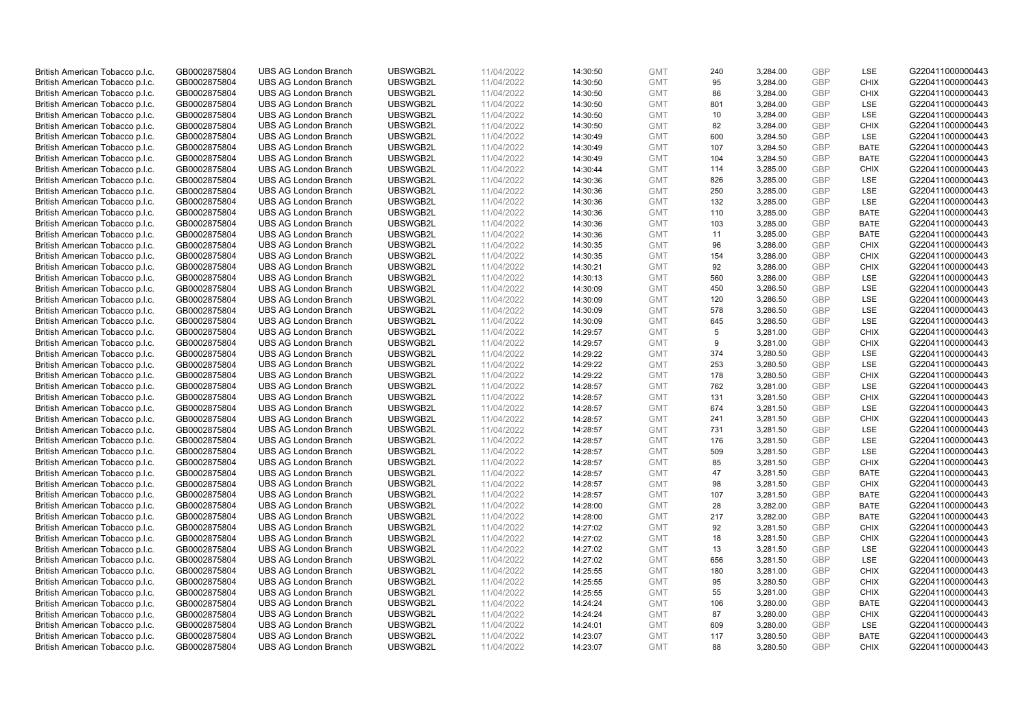| British American Tobacco p.l.c.                                    | GB0002875804 | <b>UBS AG London Branch</b> | UBSWGB2L | 11/04/2022 | 14:30:50             | <b>GMT</b> | 240 | 3,284.00 | <b>GBP</b> | LSE         | G220411000000443 |
|--------------------------------------------------------------------|--------------|-----------------------------|----------|------------|----------------------|------------|-----|----------|------------|-------------|------------------|
|                                                                    | GB0002875804 | <b>UBS AG London Branch</b> | UBSWGB2L | 11/04/2022 |                      | <b>GMT</b> | 95  | 3,284.00 | <b>GBP</b> | <b>CHIX</b> | G220411000000443 |
| British American Tobacco p.l.c.                                    |              |                             |          |            | 14:30:50             |            |     |          |            |             |                  |
| British American Tobacco p.l.c.                                    | GB0002875804 | <b>UBS AG London Branch</b> | UBSWGB2L | 11/04/2022 | 14:30:50             | <b>GMT</b> | 86  | 3,284.00 | <b>GBP</b> | <b>CHIX</b> | G220411000000443 |
| British American Tobacco p.l.c.                                    | GB0002875804 | <b>UBS AG London Branch</b> | UBSWGB2L | 11/04/2022 | 14:30:50             | <b>GMT</b> | 801 | 3,284.00 | <b>GBP</b> | LSE         | G220411000000443 |
| British American Tobacco p.l.c.                                    | GB0002875804 | <b>UBS AG London Branch</b> | UBSWGB2L | 11/04/2022 | 14:30:50             | <b>GMT</b> | 10  | 3,284.00 | <b>GBP</b> | LSE         | G220411000000443 |
| British American Tobacco p.l.c.                                    | GB0002875804 | <b>UBS AG London Branch</b> | UBSWGB2L | 11/04/2022 | 14:30:50             | <b>GMT</b> | 82  | 3,284.00 | <b>GBP</b> | <b>CHIX</b> | G220411000000443 |
| British American Tobacco p.l.c.                                    | GB0002875804 | <b>UBS AG London Branch</b> | UBSWGB2L | 11/04/2022 | 14:30:49             | <b>GMT</b> | 600 | 3,284.50 | <b>GBP</b> | LSE         | G220411000000443 |
| British American Tobacco p.l.c.                                    | GB0002875804 | <b>UBS AG London Branch</b> | UBSWGB2L | 11/04/2022 | 14:30:49             | <b>GMT</b> | 107 | 3,284.50 | <b>GBP</b> | <b>BATE</b> | G220411000000443 |
| British American Tobacco p.l.c.                                    | GB0002875804 | <b>UBS AG London Branch</b> | UBSWGB2L | 11/04/2022 | 14:30:49             | <b>GMT</b> | 104 | 3,284.50 | <b>GBP</b> | <b>BATE</b> | G220411000000443 |
| British American Tobacco p.l.c.                                    | GB0002875804 | <b>UBS AG London Branch</b> | UBSWGB2L | 11/04/2022 | 14:30:44             | <b>GMT</b> | 114 | 3,285.00 | <b>GBP</b> | <b>CHIX</b> | G220411000000443 |
| British American Tobacco p.l.c.                                    | GB0002875804 | <b>UBS AG London Branch</b> | UBSWGB2L | 11/04/2022 | 14:30:36             | <b>GMT</b> | 826 | 3,285.00 | <b>GBP</b> | <b>LSE</b>  | G220411000000443 |
| British American Tobacco p.l.c.                                    | GB0002875804 | <b>UBS AG London Branch</b> | UBSWGB2L | 11/04/2022 | 14:30:36             | <b>GMT</b> | 250 | 3,285.00 | <b>GBP</b> | LSE         | G220411000000443 |
| British American Tobacco p.l.c.                                    | GB0002875804 | <b>UBS AG London Branch</b> | UBSWGB2L | 11/04/2022 | 14:30:36             | <b>GMT</b> | 132 | 3,285.00 | <b>GBP</b> | LSE         | G220411000000443 |
| British American Tobacco p.l.c.                                    | GB0002875804 | <b>UBS AG London Branch</b> | UBSWGB2L | 11/04/2022 | 14:30:36             | <b>GMT</b> | 110 | 3,285.00 | <b>GBP</b> | <b>BATE</b> | G220411000000443 |
| British American Tobacco p.l.c.                                    | GB0002875804 | <b>UBS AG London Branch</b> | UBSWGB2L | 11/04/2022 | 14:30:36             | <b>GMT</b> | 103 | 3,285.00 | <b>GBP</b> | <b>BATE</b> | G220411000000443 |
| British American Tobacco p.l.c.                                    | GB0002875804 | <b>UBS AG London Branch</b> | UBSWGB2L | 11/04/2022 | 14:30:36             | <b>GMT</b> | 11  | 3,285.00 | <b>GBP</b> | <b>BATE</b> | G220411000000443 |
| British American Tobacco p.l.c.                                    | GB0002875804 | <b>UBS AG London Branch</b> | UBSWGB2L | 11/04/2022 | 14:30:35             | <b>GMT</b> | 96  | 3,286.00 | <b>GBP</b> | <b>CHIX</b> | G220411000000443 |
| British American Tobacco p.l.c.                                    | GB0002875804 | <b>UBS AG London Branch</b> | UBSWGB2L | 11/04/2022 | 14:30:35             | <b>GMT</b> | 154 | 3,286.00 | <b>GBP</b> | <b>CHIX</b> | G220411000000443 |
|                                                                    |              | <b>UBS AG London Branch</b> | UBSWGB2L |            |                      |            |     |          |            | <b>CHIX</b> |                  |
| British American Tobacco p.l.c.                                    | GB0002875804 |                             |          | 11/04/2022 | 14:30:21             | <b>GMT</b> | 92  | 3,286.00 | <b>GBP</b> |             | G220411000000443 |
| British American Tobacco p.l.c.                                    | GB0002875804 | <b>UBS AG London Branch</b> | UBSWGB2L | 11/04/2022 | 14:30:13             | <b>GMT</b> | 560 | 3,286.00 | <b>GBP</b> | LSE         | G220411000000443 |
| British American Tobacco p.l.c.                                    | GB0002875804 | <b>UBS AG London Branch</b> | UBSWGB2L | 11/04/2022 | 14:30:09             | <b>GMT</b> | 450 | 3,286.50 | <b>GBP</b> | LSE         | G220411000000443 |
| British American Tobacco p.l.c.                                    | GB0002875804 | <b>UBS AG London Branch</b> | UBSWGB2L | 11/04/2022 | 14:30:09             | <b>GMT</b> | 120 | 3,286.50 | <b>GBP</b> | LSE         | G220411000000443 |
| British American Tobacco p.l.c.                                    | GB0002875804 | <b>UBS AG London Branch</b> | UBSWGB2L | 11/04/2022 | 14:30:09             | <b>GMT</b> | 578 | 3,286.50 | <b>GBP</b> | LSE         | G220411000000443 |
| British American Tobacco p.l.c.                                    | GB0002875804 | <b>UBS AG London Branch</b> | UBSWGB2L | 11/04/2022 | 14:30:09             | <b>GMT</b> | 645 | 3,286.50 | <b>GBP</b> | <b>LSE</b>  | G220411000000443 |
| British American Tobacco p.l.c.                                    | GB0002875804 | <b>UBS AG London Branch</b> | UBSWGB2L | 11/04/2022 | 14:29:57             | <b>GMT</b> | 5   | 3,281.00 | <b>GBP</b> | <b>CHIX</b> | G220411000000443 |
| British American Tobacco p.l.c.                                    | GB0002875804 | <b>UBS AG London Branch</b> | UBSWGB2L | 11/04/2022 | 14:29:57             | <b>GMT</b> | 9   | 3,281.00 | <b>GBP</b> | <b>CHIX</b> | G220411000000443 |
| British American Tobacco p.l.c.                                    | GB0002875804 | <b>UBS AG London Branch</b> | UBSWGB2L | 11/04/2022 | 14:29:22             | <b>GMT</b> | 374 | 3,280.50 | <b>GBP</b> | <b>LSE</b>  | G220411000000443 |
| British American Tobacco p.l.c.                                    | GB0002875804 | <b>UBS AG London Branch</b> | UBSWGB2L | 11/04/2022 | 14:29:22             | <b>GMT</b> | 253 | 3,280.50 | <b>GBP</b> | LSE         | G220411000000443 |
| British American Tobacco p.l.c.                                    | GB0002875804 | <b>UBS AG London Branch</b> | UBSWGB2L | 11/04/2022 | 14:29:22             | <b>GMT</b> | 178 | 3,280.50 | <b>GBP</b> | <b>CHIX</b> | G220411000000443 |
| British American Tobacco p.l.c.                                    | GB0002875804 | <b>UBS AG London Branch</b> | UBSWGB2L | 11/04/2022 | 14:28:57             | <b>GMT</b> | 762 | 3,281.00 | <b>GBP</b> | LSE         | G220411000000443 |
| British American Tobacco p.l.c.                                    | GB0002875804 | <b>UBS AG London Branch</b> | UBSWGB2L | 11/04/2022 | 14:28:57             | <b>GMT</b> | 131 | 3,281.50 | <b>GBP</b> | <b>CHIX</b> | G220411000000443 |
| British American Tobacco p.l.c.                                    | GB0002875804 | <b>UBS AG London Branch</b> | UBSWGB2L | 11/04/2022 | 14:28:57             | <b>GMT</b> | 674 | 3,281.50 | <b>GBP</b> | LSE         | G220411000000443 |
| British American Tobacco p.l.c.                                    | GB0002875804 | <b>UBS AG London Branch</b> | UBSWGB2L | 11/04/2022 | 14:28:57             | <b>GMT</b> | 241 | 3,281.50 | <b>GBP</b> | <b>CHIX</b> | G220411000000443 |
| British American Tobacco p.l.c.                                    | GB0002875804 | <b>UBS AG London Branch</b> | UBSWGB2L | 11/04/2022 | 14:28:57             | <b>GMT</b> | 731 | 3,281.50 | <b>GBP</b> | LSE         | G220411000000443 |
| British American Tobacco p.l.c.                                    | GB0002875804 | <b>UBS AG London Branch</b> | UBSWGB2L | 11/04/2022 | 14:28:57             | <b>GMT</b> | 176 | 3,281.50 | <b>GBP</b> | LSE         | G220411000000443 |
| British American Tobacco p.l.c.                                    | GB0002875804 | <b>UBS AG London Branch</b> | UBSWGB2L | 11/04/2022 | 14:28:57             | <b>GMT</b> | 509 | 3,281.50 | <b>GBP</b> | LSE         | G220411000000443 |
| British American Tobacco p.l.c.                                    | GB0002875804 | <b>UBS AG London Branch</b> | UBSWGB2L | 11/04/2022 | 14:28:57             | <b>GMT</b> | 85  | 3,281.50 | <b>GBP</b> | <b>CHIX</b> | G220411000000443 |
| British American Tobacco p.l.c.                                    | GB0002875804 | <b>UBS AG London Branch</b> | UBSWGB2L | 11/04/2022 | 14:28:57             | <b>GMT</b> | 47  | 3,281.50 | <b>GBP</b> | <b>BATE</b> | G220411000000443 |
| British American Tobacco p.l.c.                                    | GB0002875804 | <b>UBS AG London Branch</b> | UBSWGB2L | 11/04/2022 | 14:28:57             | <b>GMT</b> | 98  | 3,281.50 | <b>GBP</b> | <b>CHIX</b> | G220411000000443 |
| British American Tobacco p.l.c.                                    | GB0002875804 | <b>UBS AG London Branch</b> | UBSWGB2L | 11/04/2022 | 14:28:57             | <b>GMT</b> | 107 | 3,281.50 | <b>GBP</b> | <b>BATE</b> | G220411000000443 |
| British American Tobacco p.l.c.                                    | GB0002875804 | <b>UBS AG London Branch</b> | UBSWGB2L | 11/04/2022 | 14:28:00             | <b>GMT</b> | 28  | 3,282.00 | <b>GBP</b> | <b>BATE</b> | G220411000000443 |
| British American Tobacco p.l.c.                                    | GB0002875804 | <b>UBS AG London Branch</b> | UBSWGB2L | 11/04/2022 | 14:28:00             | <b>GMT</b> | 217 | 3,282.00 | <b>GBP</b> | <b>BATE</b> | G220411000000443 |
| British American Tobacco p.l.c.                                    | GB0002875804 | <b>UBS AG London Branch</b> | UBSWGB2L | 11/04/2022 | 14:27:02             | <b>GMT</b> | 92  | 3,281.50 | <b>GBP</b> | <b>CHIX</b> | G220411000000443 |
| British American Tobacco p.l.c.                                    | GB0002875804 | <b>UBS AG London Branch</b> | UBSWGB2L | 11/04/2022 | 14:27:02             | <b>GMT</b> | 18  | 3,281.50 | <b>GBP</b> | <b>CHIX</b> | G220411000000443 |
| British American Tobacco p.l.c.                                    | GB0002875804 | UBS AG London Branch        | UBSWGB2L | 11/04/2022 | 14:27:02             | <b>GMT</b> | 13  | 3,281.50 | <b>GBP</b> | LSE         | G220411000000443 |
|                                                                    | GB0002875804 | <b>UBS AG London Branch</b> | UBSWGB2L | 11/04/2022 |                      | <b>GMT</b> | 656 | 3,281.50 | <b>GBP</b> | LSE         | G220411000000443 |
| British American Tobacco p.l.c.<br>British American Tobacco p.l.c. | GB0002875804 | <b>UBS AG London Branch</b> | UBSWGB2L | 11/04/2022 | 14:27:02<br>14:25:55 | <b>GMT</b> | 180 | 3,281.00 | <b>GBP</b> | <b>CHIX</b> | G220411000000443 |
|                                                                    |              | <b>UBS AG London Branch</b> | UBSWGB2L |            |                      |            | 95  |          | <b>GBP</b> | <b>CHIX</b> | G220411000000443 |
| British American Tobacco p.l.c.                                    | GB0002875804 |                             |          | 11/04/2022 | 14:25:55             | <b>GMT</b> |     | 3,280.50 |            |             |                  |
| British American Tobacco p.l.c.                                    | GB0002875804 | <b>UBS AG London Branch</b> | UBSWGB2L | 11/04/2022 | 14:25:55             | GMT        | 55  | 3,281.00 | GBP        | <b>CHIX</b> | G220411000000443 |
| British American Tobacco p.l.c.                                    | GB0002875804 | <b>UBS AG London Branch</b> | UBSWGB2L | 11/04/2022 | 14:24:24             | <b>GMT</b> | 106 | 3,280.00 | <b>GBP</b> | <b>BATE</b> | G220411000000443 |
| British American Tobacco p.l.c.                                    | GB0002875804 | <b>UBS AG London Branch</b> | UBSWGB2L | 11/04/2022 | 14:24:24             | <b>GMT</b> | 87  | 3,280.00 | <b>GBP</b> | <b>CHIX</b> | G220411000000443 |
| British American Tobacco p.l.c.                                    | GB0002875804 | <b>UBS AG London Branch</b> | UBSWGB2L | 11/04/2022 | 14:24:01             | <b>GMT</b> | 609 | 3,280.00 | <b>GBP</b> | LSE         | G220411000000443 |
| British American Tobacco p.l.c.                                    | GB0002875804 | <b>UBS AG London Branch</b> | UBSWGB2L | 11/04/2022 | 14:23:07             | <b>GMT</b> | 117 | 3,280.50 | <b>GBP</b> | <b>BATE</b> | G220411000000443 |
| British American Tobacco p.l.c.                                    | GB0002875804 | <b>UBS AG London Branch</b> | UBSWGB2L | 11/04/2022 | 14:23:07             | <b>GMT</b> | 88  | 3,280.50 | GBP        | <b>CHIX</b> | G220411000000443 |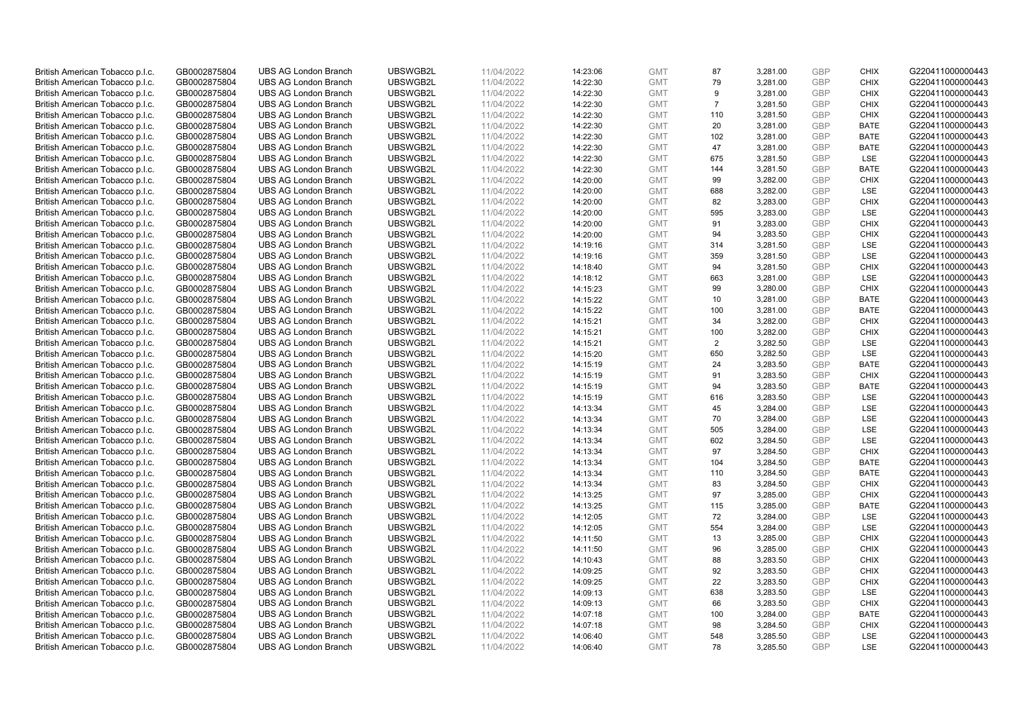| British American Tobacco p.l.c.                                    | GB0002875804 | <b>UBS AG London Branch</b> | UBSWGB2L | 11/04/2022 | 14:23:06             | <b>GMT</b> | 87             | 3,281.00 | <b>GBP</b> | <b>CHIX</b> | G220411000000443 |
|--------------------------------------------------------------------|--------------|-----------------------------|----------|------------|----------------------|------------|----------------|----------|------------|-------------|------------------|
| British American Tobacco p.l.c.                                    | GB0002875804 | <b>UBS AG London Branch</b> | UBSWGB2L | 11/04/2022 | 14:22:30             | <b>GMT</b> | 79             | 3,281.00 | <b>GBP</b> | <b>CHIX</b> | G220411000000443 |
|                                                                    |              |                             |          |            |                      |            |                |          |            |             |                  |
| British American Tobacco p.l.c.                                    | GB0002875804 | <b>UBS AG London Branch</b> | UBSWGB2L | 11/04/2022 | 14:22:30             | <b>GMT</b> | 9              | 3,281.00 | <b>GBP</b> | <b>CHIX</b> | G220411000000443 |
| British American Tobacco p.l.c.                                    | GB0002875804 | <b>UBS AG London Branch</b> | UBSWGB2L | 11/04/2022 | 14:22:30             | <b>GMT</b> | $\overline{7}$ | 3,281.50 | <b>GBP</b> | <b>CHIX</b> | G220411000000443 |
| British American Tobacco p.l.c.                                    | GB0002875804 | <b>UBS AG London Branch</b> | UBSWGB2L | 11/04/2022 | 14:22:30             | <b>GMT</b> | 110            | 3,281.50 | <b>GBP</b> | <b>CHIX</b> | G220411000000443 |
| British American Tobacco p.l.c.                                    | GB0002875804 | <b>UBS AG London Branch</b> | UBSWGB2L | 11/04/2022 | 14:22:30             | <b>GMT</b> | 20             | 3,281.00 | <b>GBP</b> | BATE        | G220411000000443 |
| British American Tobacco p.l.c.                                    | GB0002875804 | <b>UBS AG London Branch</b> | UBSWGB2L | 11/04/2022 | 14:22:30             | <b>GMT</b> | 102            | 3,281.00 | <b>GBP</b> | <b>BATE</b> | G220411000000443 |
| British American Tobacco p.l.c.                                    | GB0002875804 | <b>UBS AG London Branch</b> | UBSWGB2L | 11/04/2022 | 14:22:30             | <b>GMT</b> | 47             | 3,281.00 | <b>GBP</b> | <b>BATE</b> | G220411000000443 |
| British American Tobacco p.l.c.                                    | GB0002875804 | <b>UBS AG London Branch</b> | UBSWGB2L | 11/04/2022 | 14:22:30             | <b>GMT</b> | 675            | 3,281.50 | <b>GBP</b> | LSE         | G220411000000443 |
| British American Tobacco p.l.c.                                    | GB0002875804 | <b>UBS AG London Branch</b> | UBSWGB2L | 11/04/2022 | 14:22:30             | <b>GMT</b> | 144            | 3,281.50 | <b>GBP</b> | <b>BATE</b> | G220411000000443 |
| British American Tobacco p.l.c.                                    | GB0002875804 | <b>UBS AG London Branch</b> | UBSWGB2L | 11/04/2022 | 14:20:00             | <b>GMT</b> | 99             | 3,282.00 | <b>GBP</b> | <b>CHIX</b> | G220411000000443 |
| British American Tobacco p.l.c.                                    | GB0002875804 | <b>UBS AG London Branch</b> | UBSWGB2L | 11/04/2022 | 14:20:00             | <b>GMT</b> | 688            | 3,282.00 | <b>GBP</b> | LSE         | G220411000000443 |
| British American Tobacco p.l.c.                                    | GB0002875804 | <b>UBS AG London Branch</b> | UBSWGB2L | 11/04/2022 | 14:20:00             | <b>GMT</b> | 82             | 3,283.00 | <b>GBP</b> | <b>CHIX</b> | G220411000000443 |
| British American Tobacco p.l.c.                                    | GB0002875804 | <b>UBS AG London Branch</b> | UBSWGB2L | 11/04/2022 | 14:20:00             | <b>GMT</b> | 595            | 3,283.00 | <b>GBP</b> | LSE         | G220411000000443 |
| British American Tobacco p.l.c.                                    | GB0002875804 | <b>UBS AG London Branch</b> | UBSWGB2L | 11/04/2022 | 14:20:00             | <b>GMT</b> | 91             | 3,283.00 | <b>GBP</b> | <b>CHIX</b> | G220411000000443 |
| British American Tobacco p.l.c.                                    | GB0002875804 | <b>UBS AG London Branch</b> | UBSWGB2L | 11/04/2022 | 14:20:00             | <b>GMT</b> | 94             | 3,283.50 | <b>GBP</b> | <b>CHIX</b> | G220411000000443 |
| British American Tobacco p.l.c.                                    | GB0002875804 | <b>UBS AG London Branch</b> | UBSWGB2L | 11/04/2022 | 14:19:16             | <b>GMT</b> | 314            | 3,281.50 | <b>GBP</b> | LSE         | G220411000000443 |
| British American Tobacco p.l.c.                                    | GB0002875804 | <b>UBS AG London Branch</b> | UBSWGB2L | 11/04/2022 | 14:19:16             | <b>GMT</b> | 359            | 3,281.50 | <b>GBP</b> | LSE         | G220411000000443 |
|                                                                    |              | <b>UBS AG London Branch</b> | UBSWGB2L |            |                      |            |                |          |            | <b>CHIX</b> |                  |
| British American Tobacco p.l.c.                                    | GB0002875804 |                             |          | 11/04/2022 | 14:18:40             | <b>GMT</b> | 94             | 3,281.50 | <b>GBP</b> |             | G220411000000443 |
| British American Tobacco p.l.c.                                    | GB0002875804 | <b>UBS AG London Branch</b> | UBSWGB2L | 11/04/2022 | 14:18:12             | <b>GMT</b> | 663            | 3,281.00 | <b>GBP</b> | LSE         | G220411000000443 |
| British American Tobacco p.l.c.                                    | GB0002875804 | <b>UBS AG London Branch</b> | UBSWGB2L | 11/04/2022 | 14:15:23             | <b>GMT</b> | 99             | 3,280.00 | <b>GBP</b> | <b>CHIX</b> | G220411000000443 |
| British American Tobacco p.l.c.                                    | GB0002875804 | <b>UBS AG London Branch</b> | UBSWGB2L | 11/04/2022 | 14:15:22             | <b>GMT</b> | 10             | 3,281.00 | <b>GBP</b> | <b>BATE</b> | G220411000000443 |
| British American Tobacco p.l.c.                                    | GB0002875804 | <b>UBS AG London Branch</b> | UBSWGB2L | 11/04/2022 | 14:15:22             | <b>GMT</b> | 100            | 3,281.00 | <b>GBP</b> | <b>BATE</b> | G220411000000443 |
| British American Tobacco p.l.c.                                    | GB0002875804 | <b>UBS AG London Branch</b> | UBSWGB2L | 11/04/2022 | 14:15:21             | <b>GMT</b> | 34             | 3,282.00 | <b>GBP</b> | <b>CHIX</b> | G220411000000443 |
| British American Tobacco p.l.c.                                    | GB0002875804 | <b>UBS AG London Branch</b> | UBSWGB2L | 11/04/2022 | 14:15:21             | <b>GMT</b> | 100            | 3,282.00 | <b>GBP</b> | <b>CHIX</b> | G220411000000443 |
| British American Tobacco p.l.c.                                    | GB0002875804 | <b>UBS AG London Branch</b> | UBSWGB2L | 11/04/2022 | 14:15:21             | <b>GMT</b> | 2              | 3,282.50 | <b>GBP</b> | LSE         | G220411000000443 |
| British American Tobacco p.l.c.                                    | GB0002875804 | <b>UBS AG London Branch</b> | UBSWGB2L | 11/04/2022 | 14:15:20             | <b>GMT</b> | 650            | 3,282.50 | <b>GBP</b> | LSE         | G220411000000443 |
| British American Tobacco p.l.c.                                    | GB0002875804 | <b>UBS AG London Branch</b> | UBSWGB2L | 11/04/2022 | 14:15:19             | <b>GMT</b> | 24             | 3,283.50 | <b>GBP</b> | <b>BATE</b> | G220411000000443 |
| British American Tobacco p.l.c.                                    | GB0002875804 | <b>UBS AG London Branch</b> | UBSWGB2L | 11/04/2022 | 14:15:19             | <b>GMT</b> | 91             | 3,283.50 | <b>GBP</b> | <b>CHIX</b> | G220411000000443 |
| British American Tobacco p.l.c.                                    | GB0002875804 | <b>UBS AG London Branch</b> | UBSWGB2L | 11/04/2022 | 14:15:19             | <b>GMT</b> | 94             | 3,283.50 | <b>GBP</b> | <b>BATE</b> | G220411000000443 |
| British American Tobacco p.l.c.                                    | GB0002875804 | <b>UBS AG London Branch</b> | UBSWGB2L | 11/04/2022 | 14:15:19             | <b>GMT</b> | 616            | 3,283.50 | <b>GBP</b> | LSE         | G220411000000443 |
| British American Tobacco p.l.c.                                    | GB0002875804 | <b>UBS AG London Branch</b> | UBSWGB2L | 11/04/2022 | 14:13:34             | <b>GMT</b> | 45             | 3,284.00 | <b>GBP</b> | <b>LSE</b>  | G220411000000443 |
| British American Tobacco p.l.c.                                    | GB0002875804 | <b>UBS AG London Branch</b> | UBSWGB2L | 11/04/2022 | 14:13:34             | <b>GMT</b> | 70             | 3,284.00 | <b>GBP</b> | LSE         | G220411000000443 |
| British American Tobacco p.l.c.                                    | GB0002875804 | <b>UBS AG London Branch</b> | UBSWGB2L | 11/04/2022 | 14:13:34             | <b>GMT</b> | 505            | 3,284.00 | <b>GBP</b> | LSE         | G220411000000443 |
| British American Tobacco p.l.c.                                    | GB0002875804 | <b>UBS AG London Branch</b> | UBSWGB2L | 11/04/2022 | 14:13:34             | <b>GMT</b> | 602            | 3,284.50 | <b>GBP</b> | LSE         | G220411000000443 |
| British American Tobacco p.l.c.                                    | GB0002875804 | <b>UBS AG London Branch</b> | UBSWGB2L | 11/04/2022 | 14:13:34             | <b>GMT</b> | 97             | 3,284.50 | <b>GBP</b> | <b>CHIX</b> | G220411000000443 |
| British American Tobacco p.l.c.                                    | GB0002875804 | <b>UBS AG London Branch</b> | UBSWGB2L | 11/04/2022 | 14:13:34             | <b>GMT</b> | 104            | 3,284.50 | <b>GBP</b> | <b>BATE</b> | G220411000000443 |
| British American Tobacco p.l.c.                                    | GB0002875804 | <b>UBS AG London Branch</b> | UBSWGB2L | 11/04/2022 | 14:13:34             | <b>GMT</b> | 110            | 3,284.50 | <b>GBP</b> | <b>BATE</b> | G220411000000443 |
| British American Tobacco p.l.c.                                    | GB0002875804 | <b>UBS AG London Branch</b> | UBSWGB2L | 11/04/2022 | 14:13:34             | <b>GMT</b> | 83             | 3,284.50 | <b>GBP</b> | <b>CHIX</b> | G220411000000443 |
| British American Tobacco p.l.c.                                    | GB0002875804 | <b>UBS AG London Branch</b> | UBSWGB2L | 11/04/2022 | 14:13:25             | <b>GMT</b> | 97             | 3,285.00 | <b>GBP</b> | <b>CHIX</b> | G220411000000443 |
| British American Tobacco p.l.c.                                    | GB0002875804 | <b>UBS AG London Branch</b> | UBSWGB2L | 11/04/2022 | 14:13:25             | <b>GMT</b> | 115            | 3,285.00 | <b>GBP</b> | <b>BATE</b> | G220411000000443 |
| British American Tobacco p.l.c.                                    | GB0002875804 | <b>UBS AG London Branch</b> | UBSWGB2L | 11/04/2022 | 14:12:05             | <b>GMT</b> | 72             | 3,284.00 | <b>GBP</b> | <b>LSE</b>  | G220411000000443 |
| British American Tobacco p.l.c.                                    | GB0002875804 | <b>UBS AG London Branch</b> | UBSWGB2L | 11/04/2022 | 14:12:05             | <b>GMT</b> | 554            | 3,284.00 | <b>GBP</b> | LSE         | G220411000000443 |
| British American Tobacco p.l.c.                                    | GB0002875804 | <b>UBS AG London Branch</b> | UBSWGB2L | 11/04/2022 | 14:11:50             | <b>GMT</b> | 13             | 3,285.00 | <b>GBP</b> | <b>CHIX</b> | G220411000000443 |
| British American Tobacco p.l.c.                                    | GB0002875804 | UBS AG London Branch        | UBSWGB2L | 11/04/2022 | 14:11:50             | <b>GMT</b> | 96             | 3,285.00 | <b>GBP</b> | <b>CHIX</b> | G220411000000443 |
|                                                                    | GB0002875804 | <b>UBS AG London Branch</b> | UBSWGB2L | 11/04/2022 |                      | <b>GMT</b> |                | 3,283.50 | <b>GBP</b> | <b>CHIX</b> | G220411000000443 |
| British American Tobacco p.l.c.<br>British American Tobacco p.l.c. | GB0002875804 | <b>UBS AG London Branch</b> | UBSWGB2L | 11/04/2022 | 14:10:43<br>14:09:25 | <b>GMT</b> | 88<br>92       | 3,283.50 | <b>GBP</b> | <b>CHIX</b> | G220411000000443 |
|                                                                    |              | <b>UBS AG London Branch</b> | UBSWGB2L |            |                      |            | 22             |          | <b>GBP</b> | <b>CHIX</b> | G220411000000443 |
| British American Tobacco p.l.c.                                    | GB0002875804 |                             |          | 11/04/2022 | 14:09:25             | <b>GMT</b> |                | 3,283.50 |            |             |                  |
| British American Tobacco p.l.c.                                    | GB0002875804 | <b>UBS AG London Branch</b> | UBSWGB2L | 11/04/2022 | 14:09:13             | GMT        | 638            | 3,283.50 | <b>GBP</b> | LSE         | G220411000000443 |
| British American Tobacco p.l.c.                                    | GB0002875804 | <b>UBS AG London Branch</b> | UBSWGB2L | 11/04/2022 | 14:09:13             | <b>GMT</b> | 66             | 3,283.50 | <b>GBP</b> | <b>CHIX</b> | G220411000000443 |
| British American Tobacco p.l.c.                                    | GB0002875804 | <b>UBS AG London Branch</b> | UBSWGB2L | 11/04/2022 | 14:07:18             | <b>GMT</b> | 100            | 3,284.00 | <b>GBP</b> | <b>BATE</b> | G220411000000443 |
| British American Tobacco p.l.c.                                    | GB0002875804 | <b>UBS AG London Branch</b> | UBSWGB2L | 11/04/2022 | 14:07:18             | <b>GMT</b> | 98             | 3,284.50 | <b>GBP</b> | <b>CHIX</b> | G220411000000443 |
| British American Tobacco p.l.c.                                    | GB0002875804 | <b>UBS AG London Branch</b> | UBSWGB2L | 11/04/2022 | 14:06:40             | <b>GMT</b> | 548            | 3,285.50 | <b>GBP</b> | <b>LSE</b>  | G220411000000443 |
| British American Tobacco p.l.c.                                    | GB0002875804 | <b>UBS AG London Branch</b> | UBSWGB2L | 11/04/2022 | 14:06:40             | <b>GMT</b> | 78             | 3,285.50 | GBP        | <b>LSE</b>  | G220411000000443 |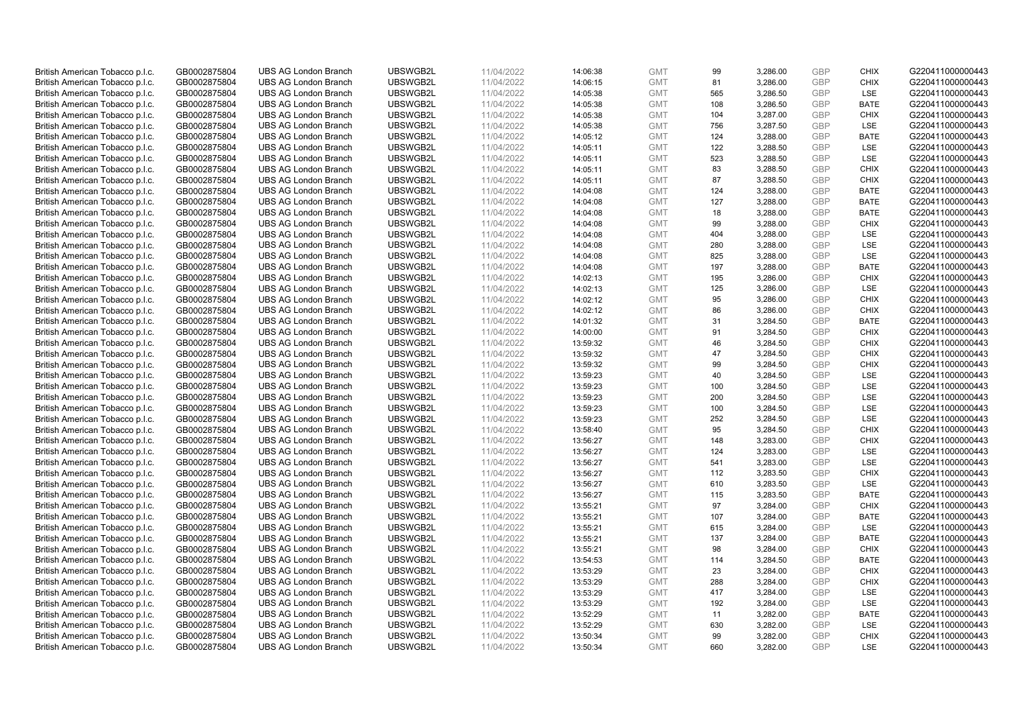| British American Tobacco p.l.c. | GB0002875804 | <b>UBS AG London Branch</b> | UBSWGB2L | 11/04/2022 | 14:06:38 | <b>GMT</b> | 99  | 3,286.00 | <b>GBP</b> | <b>CHIX</b> | G220411000000443 |
|---------------------------------|--------------|-----------------------------|----------|------------|----------|------------|-----|----------|------------|-------------|------------------|
|                                 | GB0002875804 | <b>UBS AG London Branch</b> | UBSWGB2L | 11/04/2022 |          | <b>GMT</b> | 81  | 3,286.00 | <b>GBP</b> | <b>CHIX</b> | G220411000000443 |
| British American Tobacco p.l.c. |              |                             |          |            | 14:06:15 |            |     |          |            |             |                  |
| British American Tobacco p.l.c. | GB0002875804 | <b>UBS AG London Branch</b> | UBSWGB2L | 11/04/2022 | 14:05:38 | <b>GMT</b> | 565 | 3,286.50 | <b>GBP</b> | LSE         | G220411000000443 |
| British American Tobacco p.l.c. | GB0002875804 | <b>UBS AG London Branch</b> | UBSWGB2L | 11/04/2022 | 14:05:38 | <b>GMT</b> | 108 | 3,286.50 | <b>GBP</b> | <b>BATE</b> | G220411000000443 |
| British American Tobacco p.l.c. | GB0002875804 | <b>UBS AG London Branch</b> | UBSWGB2L | 11/04/2022 | 14:05:38 | <b>GMT</b> | 104 | 3,287.00 | <b>GBP</b> | <b>CHIX</b> | G220411000000443 |
| British American Tobacco p.l.c. | GB0002875804 | <b>UBS AG London Branch</b> | UBSWGB2L | 11/04/2022 | 14:05:38 | <b>GMT</b> | 756 | 3,287.50 | <b>GBP</b> | <b>LSE</b>  | G220411000000443 |
| British American Tobacco p.l.c. | GB0002875804 | <b>UBS AG London Branch</b> | UBSWGB2L | 11/04/2022 | 14:05:12 | <b>GMT</b> | 124 | 3,288.00 | <b>GBP</b> | <b>BATE</b> | G220411000000443 |
| British American Tobacco p.l.c. | GB0002875804 | <b>UBS AG London Branch</b> | UBSWGB2L | 11/04/2022 | 14:05:11 | <b>GMT</b> | 122 | 3,288.50 | <b>GBP</b> | LSE         | G220411000000443 |
| British American Tobacco p.l.c. | GB0002875804 | <b>UBS AG London Branch</b> | UBSWGB2L | 11/04/2022 | 14:05:11 | <b>GMT</b> | 523 | 3,288.50 | <b>GBP</b> | LSE         | G220411000000443 |
| British American Tobacco p.l.c. | GB0002875804 | <b>UBS AG London Branch</b> | UBSWGB2L | 11/04/2022 | 14:05:11 | <b>GMT</b> | 83  | 3,288.50 | <b>GBP</b> | <b>CHIX</b> | G220411000000443 |
| British American Tobacco p.l.c. | GB0002875804 | <b>UBS AG London Branch</b> | UBSWGB2L | 11/04/2022 | 14:05:11 | <b>GMT</b> | 87  | 3,288.50 | <b>GBP</b> | <b>CHIX</b> | G220411000000443 |
| British American Tobacco p.l.c. | GB0002875804 | <b>UBS AG London Branch</b> | UBSWGB2L | 11/04/2022 | 14:04:08 | <b>GMT</b> | 124 | 3,288.00 | <b>GBP</b> | <b>BATE</b> | G220411000000443 |
| British American Tobacco p.l.c. | GB0002875804 | <b>UBS AG London Branch</b> | UBSWGB2L | 11/04/2022 | 14:04:08 | <b>GMT</b> | 127 | 3,288.00 | <b>GBP</b> | <b>BATE</b> | G220411000000443 |
| British American Tobacco p.l.c. | GB0002875804 | <b>UBS AG London Branch</b> | UBSWGB2L | 11/04/2022 | 14:04:08 | <b>GMT</b> | 18  | 3,288.00 | <b>GBP</b> | <b>BATE</b> | G220411000000443 |
| British American Tobacco p.l.c. | GB0002875804 | <b>UBS AG London Branch</b> | UBSWGB2L | 11/04/2022 |          | <b>GMT</b> | 99  | 3,288.00 | <b>GBP</b> | <b>CHIX</b> | G220411000000443 |
|                                 |              |                             |          |            | 14:04:08 |            |     |          |            |             |                  |
| British American Tobacco p.l.c. | GB0002875804 | <b>UBS AG London Branch</b> | UBSWGB2L | 11/04/2022 | 14:04:08 | <b>GMT</b> | 404 | 3,288.00 | <b>GBP</b> | LSE         | G220411000000443 |
| British American Tobacco p.l.c. | GB0002875804 | <b>UBS AG London Branch</b> | UBSWGB2L | 11/04/2022 | 14:04:08 | <b>GMT</b> | 280 | 3,288.00 | <b>GBP</b> | LSE         | G220411000000443 |
| British American Tobacco p.l.c. | GB0002875804 | <b>UBS AG London Branch</b> | UBSWGB2L | 11/04/2022 | 14:04:08 | <b>GMT</b> | 825 | 3,288.00 | <b>GBP</b> | LSE         | G220411000000443 |
| British American Tobacco p.l.c. | GB0002875804 | <b>UBS AG London Branch</b> | UBSWGB2L | 11/04/2022 | 14:04:08 | <b>GMT</b> | 197 | 3,288.00 | <b>GBP</b> | <b>BATE</b> | G220411000000443 |
| British American Tobacco p.l.c. | GB0002875804 | <b>UBS AG London Branch</b> | UBSWGB2L | 11/04/2022 | 14:02:13 | <b>GMT</b> | 195 | 3,286.00 | <b>GBP</b> | <b>CHIX</b> | G220411000000443 |
| British American Tobacco p.l.c. | GB0002875804 | <b>UBS AG London Branch</b> | UBSWGB2L | 11/04/2022 | 14:02:13 | <b>GMT</b> | 125 | 3,286.00 | <b>GBP</b> | LSE         | G220411000000443 |
| British American Tobacco p.l.c. | GB0002875804 | <b>UBS AG London Branch</b> | UBSWGB2L | 11/04/2022 | 14:02:12 | <b>GMT</b> | 95  | 3,286.00 | <b>GBP</b> | <b>CHIX</b> | G220411000000443 |
| British American Tobacco p.l.c. | GB0002875804 | <b>UBS AG London Branch</b> | UBSWGB2L | 11/04/2022 | 14:02:12 | <b>GMT</b> | 86  | 3,286.00 | <b>GBP</b> | <b>CHIX</b> | G220411000000443 |
| British American Tobacco p.l.c. | GB0002875804 | <b>UBS AG London Branch</b> | UBSWGB2L | 11/04/2022 | 14:01:32 | <b>GMT</b> | 31  | 3,284.50 | <b>GBP</b> | <b>BATE</b> | G220411000000443 |
| British American Tobacco p.l.c. | GB0002875804 | <b>UBS AG London Branch</b> | UBSWGB2L | 11/04/2022 | 14:00:00 | <b>GMT</b> | 91  | 3,284.50 | <b>GBP</b> | <b>CHIX</b> | G220411000000443 |
| British American Tobacco p.l.c. | GB0002875804 | <b>UBS AG London Branch</b> | UBSWGB2L | 11/04/2022 | 13:59:32 | <b>GMT</b> | 46  | 3,284.50 | <b>GBP</b> | <b>CHIX</b> | G220411000000443 |
| British American Tobacco p.l.c. | GB0002875804 | <b>UBS AG London Branch</b> | UBSWGB2L | 11/04/2022 | 13:59:32 | <b>GMT</b> | 47  | 3,284.50 | <b>GBP</b> | <b>CHIX</b> | G220411000000443 |
| British American Tobacco p.l.c. | GB0002875804 | <b>UBS AG London Branch</b> | UBSWGB2L | 11/04/2022 | 13:59:32 | <b>GMT</b> | 99  | 3,284.50 | <b>GBP</b> | <b>CHIX</b> | G220411000000443 |
| British American Tobacco p.l.c. | GB0002875804 | <b>UBS AG London Branch</b> | UBSWGB2L | 11/04/2022 | 13:59:23 | <b>GMT</b> | 40  | 3,284.50 | <b>GBP</b> | <b>LSE</b>  | G220411000000443 |
| British American Tobacco p.l.c. | GB0002875804 | <b>UBS AG London Branch</b> | UBSWGB2L | 11/04/2022 | 13:59:23 | <b>GMT</b> | 100 | 3,284.50 | <b>GBP</b> | LSE         | G220411000000443 |
| British American Tobacco p.l.c. | GB0002875804 | <b>UBS AG London Branch</b> | UBSWGB2L | 11/04/2022 |          | <b>GMT</b> | 200 | 3,284.50 | <b>GBP</b> | LSE         | G220411000000443 |
|                                 |              | <b>UBS AG London Branch</b> | UBSWGB2L |            | 13:59:23 |            | 100 |          | <b>GBP</b> | <b>LSE</b>  |                  |
| British American Tobacco p.l.c. | GB0002875804 |                             |          | 11/04/2022 | 13:59:23 | <b>GMT</b> |     | 3,284.50 |            |             | G220411000000443 |
| British American Tobacco p.l.c. | GB0002875804 | <b>UBS AG London Branch</b> | UBSWGB2L | 11/04/2022 | 13:59:23 | <b>GMT</b> | 252 | 3,284.50 | <b>GBP</b> | LSE         | G220411000000443 |
| British American Tobacco p.l.c. | GB0002875804 | <b>UBS AG London Branch</b> | UBSWGB2L | 11/04/2022 | 13:58:40 | <b>GMT</b> | 95  | 3,284.50 | <b>GBP</b> | <b>CHIX</b> | G220411000000443 |
| British American Tobacco p.l.c. | GB0002875804 | <b>UBS AG London Branch</b> | UBSWGB2L | 11/04/2022 | 13:56:27 | <b>GMT</b> | 148 | 3,283.00 | <b>GBP</b> | <b>CHIX</b> | G220411000000443 |
| British American Tobacco p.l.c. | GB0002875804 | <b>UBS AG London Branch</b> | UBSWGB2L | 11/04/2022 | 13:56:27 | <b>GMT</b> | 124 | 3,283.00 | <b>GBP</b> | LSE         | G220411000000443 |
| British American Tobacco p.l.c. | GB0002875804 | <b>UBS AG London Branch</b> | UBSWGB2L | 11/04/2022 | 13:56:27 | <b>GMT</b> | 541 | 3,283.00 | <b>GBP</b> | LSE         | G220411000000443 |
| British American Tobacco p.l.c. | GB0002875804 | <b>UBS AG London Branch</b> | UBSWGB2L | 11/04/2022 | 13:56:27 | <b>GMT</b> | 112 | 3,283.50 | <b>GBP</b> | <b>CHIX</b> | G220411000000443 |
| British American Tobacco p.l.c. | GB0002875804 | <b>UBS AG London Branch</b> | UBSWGB2L | 11/04/2022 | 13:56:27 | <b>GMT</b> | 610 | 3,283.50 | <b>GBP</b> | LSE         | G220411000000443 |
| British American Tobacco p.l.c. | GB0002875804 | <b>UBS AG London Branch</b> | UBSWGB2L | 11/04/2022 | 13:56:27 | <b>GMT</b> | 115 | 3,283.50 | <b>GBP</b> | <b>BATE</b> | G220411000000443 |
| British American Tobacco p.l.c. | GB0002875804 | <b>UBS AG London Branch</b> | UBSWGB2L | 11/04/2022 | 13:55:21 | <b>GMT</b> | 97  | 3,284.00 | <b>GBP</b> | <b>CHIX</b> | G220411000000443 |
| British American Tobacco p.l.c. | GB0002875804 | <b>UBS AG London Branch</b> | UBSWGB2L | 11/04/2022 | 13:55:21 | <b>GMT</b> | 107 | 3,284.00 | <b>GBP</b> | <b>BATE</b> | G220411000000443 |
| British American Tobacco p.l.c. | GB0002875804 | <b>UBS AG London Branch</b> | UBSWGB2L | 11/04/2022 | 13:55:21 | <b>GMT</b> | 615 | 3,284.00 | <b>GBP</b> | LSE         | G220411000000443 |
| British American Tobacco p.l.c. | GB0002875804 | <b>UBS AG London Branch</b> | UBSWGB2L | 11/04/2022 | 13:55:21 | <b>GMT</b> | 137 | 3,284.00 | <b>GBP</b> | <b>BATE</b> | G220411000000443 |
| British American Tobacco p.l.c. | GB0002875804 | UBS AG London Branch        | UBSWGB2L | 11/04/2022 | 13:55:21 | <b>GMT</b> | 98  | 3,284.00 | <b>GBP</b> | <b>CHIX</b> | G220411000000443 |
| British American Tobacco p.l.c. | GB0002875804 | <b>UBS AG London Branch</b> | UBSWGB2L | 11/04/2022 | 13:54:53 | <b>GMT</b> | 114 | 3,284.50 | <b>GBP</b> | <b>BATE</b> | G220411000000443 |
| British American Tobacco p.l.c. | GB0002875804 | <b>UBS AG London Branch</b> | UBSWGB2L | 11/04/2022 | 13:53:29 | <b>GMT</b> | 23  | 3,284.00 | <b>GBP</b> | <b>CHIX</b> | G220411000000443 |
| British American Tobacco p.l.c. | GB0002875804 | <b>UBS AG London Branch</b> | UBSWGB2L | 11/04/2022 | 13:53:29 | <b>GMT</b> | 288 | 3,284.00 | <b>GBP</b> | <b>CHIX</b> | G220411000000443 |
| British American Tobacco p.l.c. | GB0002875804 | <b>UBS AG London Branch</b> | UBSWGB2L | 11/04/2022 | 13:53:29 | GMT        | 417 | 3,284.00 | <b>GBP</b> | LSE         | G220411000000443 |
| British American Tobacco p.l.c. | GB0002875804 | <b>UBS AG London Branch</b> | UBSWGB2L | 11/04/2022 | 13:53:29 | <b>GMT</b> | 192 | 3,284.00 | <b>GBP</b> | LSE         | G220411000000443 |
| British American Tobacco p.l.c. | GB0002875804 | <b>UBS AG London Branch</b> | UBSWGB2L | 11/04/2022 | 13:52:29 | <b>GMT</b> | 11  | 3,282.00 | <b>GBP</b> | <b>BATE</b> | G220411000000443 |
| British American Tobacco p.l.c. | GB0002875804 | <b>UBS AG London Branch</b> | UBSWGB2L | 11/04/2022 | 13:52:29 | <b>GMT</b> | 630 | 3,282.00 | <b>GBP</b> | LSE         | G220411000000443 |
|                                 | GB0002875804 |                             | UBSWGB2L | 11/04/2022 |          | <b>GMT</b> | 99  |          | <b>GBP</b> | <b>CHIX</b> | G220411000000443 |
| British American Tobacco p.l.c. |              | <b>UBS AG London Branch</b> |          |            | 13:50:34 |            |     | 3,282.00 | GBP        | <b>LSE</b>  |                  |
| British American Tobacco p.l.c. | GB0002875804 | <b>UBS AG London Branch</b> | UBSWGB2L | 11/04/2022 | 13:50:34 | <b>GMT</b> | 660 | 3,282.00 |            |             | G220411000000443 |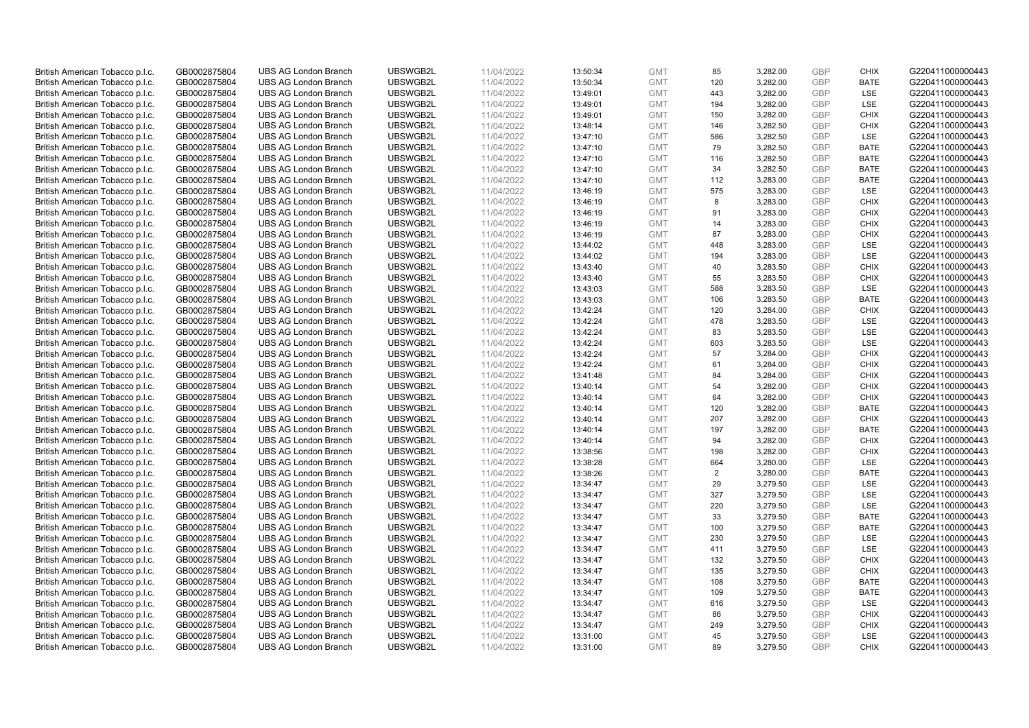| British American Tobacco p.l.c. | GB0002875804 | <b>UBS AG London Branch</b> | UBSWGB2L | 11/04/2022 | 13:50:34 | <b>GMT</b> | 85             | 3,282.00 | <b>GBP</b> | <b>CHIX</b> | G220411000000443 |
|---------------------------------|--------------|-----------------------------|----------|------------|----------|------------|----------------|----------|------------|-------------|------------------|
|                                 | GB0002875804 | <b>UBS AG London Branch</b> | UBSWGB2L | 11/04/2022 |          | <b>GMT</b> | 120            | 3,282.00 | <b>GBP</b> | <b>BATE</b> | G220411000000443 |
| British American Tobacco p.l.c. |              |                             |          |            | 13:50:34 |            |                |          |            |             |                  |
| British American Tobacco p.l.c. | GB0002875804 | <b>UBS AG London Branch</b> | UBSWGB2L | 11/04/2022 | 13:49:01 | <b>GMT</b> | 443            | 3,282.00 | <b>GBP</b> | LSE         | G220411000000443 |
| British American Tobacco p.l.c. | GB0002875804 | <b>UBS AG London Branch</b> | UBSWGB2L | 11/04/2022 | 13:49:01 | <b>GMT</b> | 194            | 3,282.00 | <b>GBP</b> | LSE         | G220411000000443 |
| British American Tobacco p.l.c. | GB0002875804 | <b>UBS AG London Branch</b> | UBSWGB2L | 11/04/2022 | 13:49:01 | <b>GMT</b> | 150            | 3,282.00 | <b>GBP</b> | <b>CHIX</b> | G220411000000443 |
| British American Tobacco p.l.c. | GB0002875804 | <b>UBS AG London Branch</b> | UBSWGB2L | 11/04/2022 | 13:48:14 | <b>GMT</b> | 146            | 3,282.50 | <b>GBP</b> | <b>CHIX</b> | G220411000000443 |
| British American Tobacco p.l.c. | GB0002875804 | <b>UBS AG London Branch</b> | UBSWGB2L | 11/04/2022 | 13:47:10 | <b>GMT</b> | 586            | 3,282.50 | <b>GBP</b> | LSE         | G220411000000443 |
| British American Tobacco p.l.c. | GB0002875804 | <b>UBS AG London Branch</b> | UBSWGB2L | 11/04/2022 | 13:47:10 | <b>GMT</b> | 79             | 3,282.50 | <b>GBP</b> | <b>BATE</b> | G220411000000443 |
| British American Tobacco p.l.c. | GB0002875804 | <b>UBS AG London Branch</b> | UBSWGB2L | 11/04/2022 | 13:47:10 | <b>GMT</b> | 116            | 3,282.50 | <b>GBP</b> | <b>BATE</b> | G220411000000443 |
| British American Tobacco p.l.c. | GB0002875804 | <b>UBS AG London Branch</b> | UBSWGB2L | 11/04/2022 | 13:47:10 | <b>GMT</b> | 34             | 3,282.50 | <b>GBP</b> | <b>BATE</b> | G220411000000443 |
| British American Tobacco p.l.c. | GB0002875804 | <b>UBS AG London Branch</b> | UBSWGB2L | 11/04/2022 | 13:47:10 | <b>GMT</b> | 112            | 3,283.00 | <b>GBP</b> | <b>BATE</b> | G220411000000443 |
| British American Tobacco p.l.c. | GB0002875804 | <b>UBS AG London Branch</b> | UBSWGB2L | 11/04/2022 | 13:46:19 | <b>GMT</b> | 575            | 3,283.00 | <b>GBP</b> | LSE         | G220411000000443 |
| British American Tobacco p.l.c. | GB0002875804 | <b>UBS AG London Branch</b> | UBSWGB2L | 11/04/2022 | 13:46:19 | <b>GMT</b> | 8              | 3,283.00 | <b>GBP</b> | <b>CHIX</b> | G220411000000443 |
| British American Tobacco p.l.c. | GB0002875804 | <b>UBS AG London Branch</b> | UBSWGB2L | 11/04/2022 | 13:46:19 | <b>GMT</b> | 91             | 3,283.00 | <b>GBP</b> | <b>CHIX</b> | G220411000000443 |
| British American Tobacco p.l.c. | GB0002875804 | <b>UBS AG London Branch</b> | UBSWGB2L | 11/04/2022 | 13:46:19 | <b>GMT</b> | 14             | 3,283.00 | <b>GBP</b> | <b>CHIX</b> | G220411000000443 |
| British American Tobacco p.l.c. | GB0002875804 | <b>UBS AG London Branch</b> | UBSWGB2L | 11/04/2022 | 13:46:19 | <b>GMT</b> | 87             | 3,283.00 | <b>GBP</b> | <b>CHIX</b> | G220411000000443 |
|                                 |              |                             |          |            |          |            |                |          | <b>GBP</b> |             |                  |
| British American Tobacco p.l.c. | GB0002875804 | <b>UBS AG London Branch</b> | UBSWGB2L | 11/04/2022 | 13:44:02 | <b>GMT</b> | 448            | 3,283.00 |            | LSE         | G220411000000443 |
| British American Tobacco p.l.c. | GB0002875804 | <b>UBS AG London Branch</b> | UBSWGB2L | 11/04/2022 | 13:44:02 | <b>GMT</b> | 194            | 3,283.00 | <b>GBP</b> | LSE         | G220411000000443 |
| British American Tobacco p.l.c. | GB0002875804 | <b>UBS AG London Branch</b> | UBSWGB2L | 11/04/2022 | 13:43:40 | <b>GMT</b> | 40             | 3,283.50 | <b>GBP</b> | <b>CHIX</b> | G220411000000443 |
| British American Tobacco p.l.c. | GB0002875804 | <b>UBS AG London Branch</b> | UBSWGB2L | 11/04/2022 | 13:43:40 | <b>GMT</b> | 55             | 3,283.50 | <b>GBP</b> | <b>CHIX</b> | G220411000000443 |
| British American Tobacco p.l.c. | GB0002875804 | <b>UBS AG London Branch</b> | UBSWGB2L | 11/04/2022 | 13:43:03 | <b>GMT</b> | 588            | 3,283.50 | <b>GBP</b> | LSE         | G220411000000443 |
| British American Tobacco p.l.c. | GB0002875804 | <b>UBS AG London Branch</b> | UBSWGB2L | 11/04/2022 | 13:43:03 | <b>GMT</b> | 106            | 3,283.50 | <b>GBP</b> | <b>BATE</b> | G220411000000443 |
| British American Tobacco p.l.c. | GB0002875804 | <b>UBS AG London Branch</b> | UBSWGB2L | 11/04/2022 | 13:42:24 | <b>GMT</b> | 120            | 3,284.00 | <b>GBP</b> | <b>CHIX</b> | G220411000000443 |
| British American Tobacco p.l.c. | GB0002875804 | <b>UBS AG London Branch</b> | UBSWGB2L | 11/04/2022 | 13:42:24 | <b>GMT</b> | 478            | 3,283.50 | <b>GBP</b> | <b>LSE</b>  | G220411000000443 |
| British American Tobacco p.l.c. | GB0002875804 | <b>UBS AG London Branch</b> | UBSWGB2L | 11/04/2022 | 13:42:24 | <b>GMT</b> | 83             | 3,283.50 | <b>GBP</b> | LSE         | G220411000000443 |
| British American Tobacco p.l.c. | GB0002875804 | <b>UBS AG London Branch</b> | UBSWGB2L | 11/04/2022 | 13:42:24 | <b>GMT</b> | 603            | 3,283.50 | <b>GBP</b> | LSE         | G220411000000443 |
| British American Tobacco p.l.c. | GB0002875804 | <b>UBS AG London Branch</b> | UBSWGB2L | 11/04/2022 | 13:42:24 | <b>GMT</b> | 57             | 3,284.00 | <b>GBP</b> | <b>CHIX</b> | G220411000000443 |
| British American Tobacco p.l.c. | GB0002875804 | <b>UBS AG London Branch</b> | UBSWGB2L | 11/04/2022 | 13:42:24 | <b>GMT</b> | 61             | 3,284.00 | <b>GBP</b> | <b>CHIX</b> | G220411000000443 |
| British American Tobacco p.l.c. | GB0002875804 | <b>UBS AG London Branch</b> | UBSWGB2L | 11/04/2022 | 13:41:48 | <b>GMT</b> | 84             | 3,284.00 | <b>GBP</b> | <b>CHIX</b> | G220411000000443 |
| British American Tobacco p.l.c. | GB0002875804 | <b>UBS AG London Branch</b> | UBSWGB2L | 11/04/2022 | 13:40:14 | <b>GMT</b> | 54             | 3,282.00 | <b>GBP</b> | <b>CHIX</b> | G220411000000443 |
| British American Tobacco p.l.c. | GB0002875804 | <b>UBS AG London Branch</b> | UBSWGB2L | 11/04/2022 | 13:40:14 | <b>GMT</b> | 64             | 3,282.00 | <b>GBP</b> | <b>CHIX</b> | G220411000000443 |
| British American Tobacco p.l.c. | GB0002875804 | <b>UBS AG London Branch</b> | UBSWGB2L | 11/04/2022 | 13:40:14 | <b>GMT</b> | 120            | 3,282.00 | <b>GBP</b> | BATE        | G220411000000443 |
| British American Tobacco p.l.c. | GB0002875804 | <b>UBS AG London Branch</b> | UBSWGB2L | 11/04/2022 | 13:40:14 | <b>GMT</b> | 207            | 3,282.00 | <b>GBP</b> | <b>CHIX</b> | G220411000000443 |
|                                 |              |                             |          |            |          |            |                |          | <b>GBP</b> | <b>BATE</b> |                  |
| British American Tobacco p.l.c. | GB0002875804 | <b>UBS AG London Branch</b> | UBSWGB2L | 11/04/2022 | 13:40:14 | <b>GMT</b> | 197            | 3,282.00 |            |             | G220411000000443 |
| British American Tobacco p.l.c. | GB0002875804 | <b>UBS AG London Branch</b> | UBSWGB2L | 11/04/2022 | 13:40:14 | <b>GMT</b> | 94             | 3,282.00 | <b>GBP</b> | <b>CHIX</b> | G220411000000443 |
| British American Tobacco p.l.c. | GB0002875804 | <b>UBS AG London Branch</b> | UBSWGB2L | 11/04/2022 | 13:38:56 | <b>GMT</b> | 198            | 3,282.00 | <b>GBP</b> | <b>CHIX</b> | G220411000000443 |
| British American Tobacco p.l.c. | GB0002875804 | <b>UBS AG London Branch</b> | UBSWGB2L | 11/04/2022 | 13:38:28 | <b>GMT</b> | 664            | 3,280.00 | <b>GBP</b> | LSE         | G220411000000443 |
| British American Tobacco p.l.c. | GB0002875804 | <b>UBS AG London Branch</b> | UBSWGB2L | 11/04/2022 | 13:38:26 | <b>GMT</b> | $\overline{2}$ | 3,280.00 | <b>GBP</b> | <b>BATE</b> | G220411000000443 |
| British American Tobacco p.l.c. | GB0002875804 | <b>UBS AG London Branch</b> | UBSWGB2L | 11/04/2022 | 13:34:47 | <b>GMT</b> | 29             | 3,279.50 | <b>GBP</b> | LSE         | G220411000000443 |
| British American Tobacco p.l.c. | GB0002875804 | <b>UBS AG London Branch</b> | UBSWGB2L | 11/04/2022 | 13:34:47 | <b>GMT</b> | 327            | 3,279.50 | <b>GBP</b> | <b>LSE</b>  | G220411000000443 |
| British American Tobacco p.l.c. | GB0002875804 | <b>UBS AG London Branch</b> | UBSWGB2L | 11/04/2022 | 13:34:47 | <b>GMT</b> | 220            | 3,279.50 | <b>GBP</b> | LSE         | G220411000000443 |
| British American Tobacco p.l.c. | GB0002875804 | <b>UBS AG London Branch</b> | UBSWGB2L | 11/04/2022 | 13:34:47 | <b>GMT</b> | 33             | 3,279.50 | <b>GBP</b> | <b>BATE</b> | G220411000000443 |
| British American Tobacco p.l.c. | GB0002875804 | <b>UBS AG London Branch</b> | UBSWGB2L | 11/04/2022 | 13:34:47 | <b>GMT</b> | 100            | 3,279.50 | <b>GBP</b> | <b>BATE</b> | G220411000000443 |
| British American Tobacco p.l.c. | GB0002875804 | <b>UBS AG London Branch</b> | UBSWGB2L | 11/04/2022 | 13:34:47 | <b>GMT</b> | 230            | 3,279.50 | <b>GBP</b> | LSE         | G220411000000443 |
| British American Tobacco p.l.c. | GB0002875804 | UBS AG London Branch        | UBSWGB2L | 11/04/2022 | 13:34:47 | <b>GMT</b> | 411            | 3,279.50 | <b>GBP</b> | LSE         | G220411000000443 |
| British American Tobacco p.l.c. | GB0002875804 | <b>UBS AG London Branch</b> | UBSWGB2L | 11/04/2022 | 13:34:47 | <b>GMT</b> | 132            | 3,279.50 | <b>GBP</b> | <b>CHIX</b> | G220411000000443 |
| British American Tobacco p.l.c. | GB0002875804 | <b>UBS AG London Branch</b> | UBSWGB2L | 11/04/2022 | 13:34:47 | <b>GMT</b> | 135            | 3,279.50 | <b>GBP</b> | <b>CHIX</b> | G220411000000443 |
| British American Tobacco p.l.c. | GB0002875804 | <b>UBS AG London Branch</b> | UBSWGB2L | 11/04/2022 | 13:34:47 | <b>GMT</b> | 108            | 3,279.50 | <b>GBP</b> | <b>BATE</b> | G220411000000443 |
| British American Tobacco p.l.c. | GB0002875804 | <b>UBS AG London Branch</b> | UBSWGB2L | 11/04/2022 | 13:34:47 | GMT        | 109            | 3,279.50 | <b>GBP</b> | <b>BATE</b> | G220411000000443 |
| British American Tobacco p.l.c. | GB0002875804 | <b>UBS AG London Branch</b> | UBSWGB2L | 11/04/2022 | 13:34:47 | <b>GMT</b> | 616            | 3,279.50 | <b>GBP</b> | <b>LSE</b>  | G220411000000443 |
| British American Tobacco p.l.c. | GB0002875804 | <b>UBS AG London Branch</b> | UBSWGB2L | 11/04/2022 | 13:34:47 | <b>GMT</b> | 86             | 3,279.50 | <b>GBP</b> | <b>CHIX</b> | G220411000000443 |
| British American Tobacco p.l.c. | GB0002875804 | <b>UBS AG London Branch</b> | UBSWGB2L | 11/04/2022 | 13:34:47 | <b>GMT</b> | 249            | 3,279.50 | <b>GBP</b> | <b>CHIX</b> | G220411000000443 |
| British American Tobacco p.l.c. | GB0002875804 | <b>UBS AG London Branch</b> | UBSWGB2L | 11/04/2022 | 13:31:00 | <b>GMT</b> | 45             | 3,279.50 | <b>GBP</b> | LSE         | G220411000000443 |
| British American Tobacco p.l.c. | GB0002875804 | <b>UBS AG London Branch</b> | UBSWGB2L | 11/04/2022 | 13:31:00 | <b>GMT</b> | 89             | 3.279.50 | GBP        | <b>CHIX</b> | G220411000000443 |
|                                 |              |                             |          |            |          |            |                |          |            |             |                  |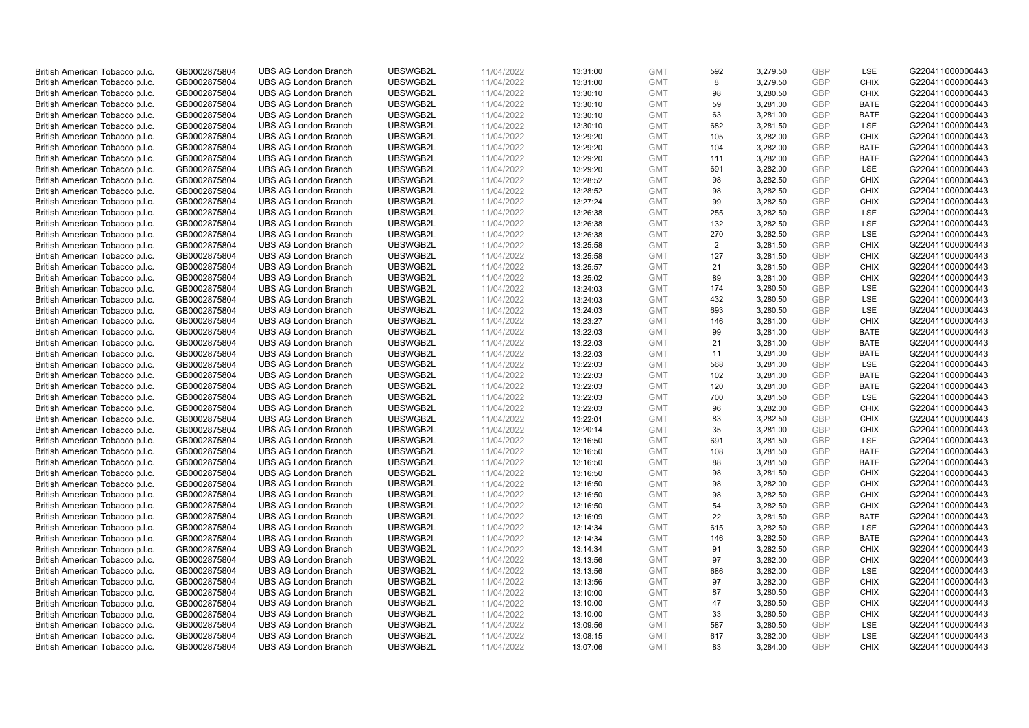| British American Tobacco p.l.c. | GB0002875804 | <b>UBS AG London Branch</b>                                | UBSWGB2L | 11/04/2022 | 13:31:00 | <b>GMT</b> | 592            | 3,279.50 | <b>GBP</b> | LSE         | G220411000000443 |
|---------------------------------|--------------|------------------------------------------------------------|----------|------------|----------|------------|----------------|----------|------------|-------------|------------------|
| British American Tobacco p.l.c. | GB0002875804 | <b>UBS AG London Branch</b>                                | UBSWGB2L | 11/04/2022 | 13:31:00 | <b>GMT</b> | 8              | 3,279.50 | <b>GBP</b> | <b>CHIX</b> | G220411000000443 |
|                                 |              |                                                            |          |            |          |            |                |          |            |             |                  |
| British American Tobacco p.l.c. | GB0002875804 | <b>UBS AG London Branch</b>                                | UBSWGB2L | 11/04/2022 | 13:30:10 | <b>GMT</b> | 98             | 3,280.50 | <b>GBP</b> | <b>CHIX</b> | G220411000000443 |
| British American Tobacco p.l.c. | GB0002875804 | <b>UBS AG London Branch</b>                                | UBSWGB2L | 11/04/2022 | 13:30:10 | <b>GMT</b> | 59             | 3,281.00 | <b>GBP</b> | <b>BATE</b> | G220411000000443 |
| British American Tobacco p.l.c. | GB0002875804 | <b>UBS AG London Branch</b>                                | UBSWGB2L | 11/04/2022 | 13:30:10 | <b>GMT</b> | 63             | 3,281.00 | <b>GBP</b> | <b>BATE</b> | G220411000000443 |
| British American Tobacco p.l.c. | GB0002875804 | <b>UBS AG London Branch</b>                                | UBSWGB2L | 11/04/2022 | 13:30:10 | <b>GMT</b> | 682            | 3,281.50 | <b>GBP</b> | <b>LSE</b>  | G220411000000443 |
| British American Tobacco p.l.c. | GB0002875804 | <b>UBS AG London Branch</b>                                | UBSWGB2L | 11/04/2022 | 13:29:20 | <b>GMT</b> | 105            | 3,282.00 | <b>GBP</b> | <b>CHIX</b> | G220411000000443 |
| British American Tobacco p.l.c. | GB0002875804 | <b>UBS AG London Branch</b>                                | UBSWGB2L | 11/04/2022 | 13:29:20 | <b>GMT</b> | 104            | 3,282.00 | <b>GBP</b> | <b>BATE</b> | G220411000000443 |
| British American Tobacco p.l.c. | GB0002875804 | <b>UBS AG London Branch</b>                                | UBSWGB2L | 11/04/2022 | 13:29:20 | <b>GMT</b> | 111            | 3,282.00 | <b>GBP</b> | <b>BATE</b> | G220411000000443 |
| British American Tobacco p.l.c. | GB0002875804 | <b>UBS AG London Branch</b>                                | UBSWGB2L | 11/04/2022 | 13:29:20 | <b>GMT</b> | 691            | 3,282.00 | <b>GBP</b> | LSE         | G220411000000443 |
| British American Tobacco p.l.c. | GB0002875804 | <b>UBS AG London Branch</b>                                | UBSWGB2L | 11/04/2022 | 13:28:52 | <b>GMT</b> | 98             | 3,282.50 | <b>GBP</b> | <b>CHIX</b> | G220411000000443 |
| British American Tobacco p.l.c. | GB0002875804 | <b>UBS AG London Branch</b>                                | UBSWGB2L | 11/04/2022 | 13:28:52 | <b>GMT</b> | 98             | 3,282.50 | <b>GBP</b> | <b>CHIX</b> | G220411000000443 |
| British American Tobacco p.l.c. | GB0002875804 | <b>UBS AG London Branch</b>                                | UBSWGB2L | 11/04/2022 | 13:27:24 | <b>GMT</b> | 99             | 3,282.50 | <b>GBP</b> | <b>CHIX</b> | G220411000000443 |
| British American Tobacco p.l.c. | GB0002875804 | <b>UBS AG London Branch</b>                                | UBSWGB2L | 11/04/2022 | 13:26:38 | <b>GMT</b> | 255            | 3,282.50 | <b>GBP</b> | <b>LSE</b>  | G220411000000443 |
| British American Tobacco p.l.c. | GB0002875804 | <b>UBS AG London Branch</b>                                | UBSWGB2L | 11/04/2022 | 13:26:38 | <b>GMT</b> | 132            | 3,282.50 | <b>GBP</b> | LSE         | G220411000000443 |
| British American Tobacco p.l.c. | GB0002875804 | <b>UBS AG London Branch</b>                                | UBSWGB2L | 11/04/2022 | 13:26:38 | <b>GMT</b> | 270            | 3,282.50 | <b>GBP</b> | LSE         | G220411000000443 |
| British American Tobacco p.l.c. | GB0002875804 | <b>UBS AG London Branch</b>                                | UBSWGB2L | 11/04/2022 | 13:25:58 | <b>GMT</b> | $\overline{2}$ | 3,281.50 | <b>GBP</b> | <b>CHIX</b> | G220411000000443 |
| British American Tobacco p.l.c. | GB0002875804 | <b>UBS AG London Branch</b>                                | UBSWGB2L | 11/04/2022 |          | <b>GMT</b> | 127            | 3,281.50 | <b>GBP</b> | <b>CHIX</b> | G220411000000443 |
|                                 |              | <b>UBS AG London Branch</b>                                | UBSWGB2L |            | 13:25:58 |            |                |          |            |             |                  |
| British American Tobacco p.l.c. | GB0002875804 |                                                            |          | 11/04/2022 | 13:25:57 | <b>GMT</b> | 21             | 3,281.50 | <b>GBP</b> | <b>CHIX</b> | G220411000000443 |
| British American Tobacco p.l.c. | GB0002875804 | <b>UBS AG London Branch</b>                                | UBSWGB2L | 11/04/2022 | 13:25:02 | <b>GMT</b> | 89             | 3,281.00 | <b>GBP</b> | <b>CHIX</b> | G220411000000443 |
| British American Tobacco p.l.c. | GB0002875804 | <b>UBS AG London Branch</b>                                | UBSWGB2L | 11/04/2022 | 13:24:03 | <b>GMT</b> | 174            | 3,280.50 | <b>GBP</b> | LSE         | G220411000000443 |
| British American Tobacco p.l.c. | GB0002875804 | <b>UBS AG London Branch</b>                                | UBSWGB2L | 11/04/2022 | 13:24:03 | <b>GMT</b> | 432            | 3,280.50 | <b>GBP</b> | LSE         | G220411000000443 |
| British American Tobacco p.l.c. | GB0002875804 | <b>UBS AG London Branch</b>                                | UBSWGB2L | 11/04/2022 | 13:24:03 | <b>GMT</b> | 693            | 3,280.50 | <b>GBP</b> | LSE         | G220411000000443 |
| British American Tobacco p.l.c. | GB0002875804 | <b>UBS AG London Branch</b>                                | UBSWGB2L | 11/04/2022 | 13:23:27 | <b>GMT</b> | 146            | 3,281.00 | <b>GBP</b> | <b>CHIX</b> | G220411000000443 |
| British American Tobacco p.l.c. | GB0002875804 | <b>UBS AG London Branch</b>                                | UBSWGB2L | 11/04/2022 | 13:22:03 | <b>GMT</b> | 99             | 3,281.00 | <b>GBP</b> | <b>BATE</b> | G220411000000443 |
| British American Tobacco p.l.c. | GB0002875804 | <b>UBS AG London Branch</b>                                | UBSWGB2L | 11/04/2022 | 13:22:03 | <b>GMT</b> | 21             | 3,281.00 | <b>GBP</b> | <b>BATE</b> | G220411000000443 |
| British American Tobacco p.l.c. | GB0002875804 | <b>UBS AG London Branch</b>                                | UBSWGB2L | 11/04/2022 | 13:22:03 | <b>GMT</b> | 11             | 3,281.00 | <b>GBP</b> | <b>BATE</b> | G220411000000443 |
| British American Tobacco p.l.c. | GB0002875804 | <b>UBS AG London Branch</b>                                | UBSWGB2L | 11/04/2022 | 13:22:03 | <b>GMT</b> | 568            | 3,281.00 | <b>GBP</b> | LSE         | G220411000000443 |
| British American Tobacco p.l.c. | GB0002875804 | <b>UBS AG London Branch</b>                                | UBSWGB2L | 11/04/2022 | 13:22:03 | <b>GMT</b> | 102            | 3,281.00 | <b>GBP</b> | <b>BATE</b> | G220411000000443 |
| British American Tobacco p.l.c. | GB0002875804 | <b>UBS AG London Branch</b>                                | UBSWGB2L | 11/04/2022 | 13:22:03 | <b>GMT</b> | 120            | 3,281.00 | <b>GBP</b> | <b>BATE</b> | G220411000000443 |
| British American Tobacco p.l.c. | GB0002875804 | <b>UBS AG London Branch</b>                                | UBSWGB2L | 11/04/2022 | 13:22:03 | <b>GMT</b> | 700            | 3,281.50 | <b>GBP</b> | LSE         | G220411000000443 |
| British American Tobacco p.l.c. | GB0002875804 | <b>UBS AG London Branch</b>                                | UBSWGB2L | 11/04/2022 | 13:22:03 | <b>GMT</b> | 96             | 3,282.00 | <b>GBP</b> | <b>CHIX</b> | G220411000000443 |
| British American Tobacco p.l.c. | GB0002875804 | <b>UBS AG London Branch</b>                                | UBSWGB2L | 11/04/2022 | 13:22:01 | <b>GMT</b> | 83             | 3,282.50 | <b>GBP</b> | <b>CHIX</b> | G220411000000443 |
| British American Tobacco p.l.c. | GB0002875804 | <b>UBS AG London Branch</b>                                | UBSWGB2L | 11/04/2022 | 13:20:14 | <b>GMT</b> | 35             | 3,281.00 | <b>GBP</b> | <b>CHIX</b> | G220411000000443 |
| British American Tobacco p.l.c. | GB0002875804 | <b>UBS AG London Branch</b>                                | UBSWGB2L | 11/04/2022 | 13:16:50 | <b>GMT</b> | 691            | 3,281.50 | <b>GBP</b> | LSE         | G220411000000443 |
| British American Tobacco p.l.c. | GB0002875804 | <b>UBS AG London Branch</b>                                | UBSWGB2L | 11/04/2022 | 13:16:50 | <b>GMT</b> | 108            | 3,281.50 | <b>GBP</b> | <b>BATE</b> | G220411000000443 |
| British American Tobacco p.l.c. | GB0002875804 | <b>UBS AG London Branch</b>                                | UBSWGB2L | 11/04/2022 | 13:16:50 | <b>GMT</b> | 88             | 3,281.50 | <b>GBP</b> | <b>BATE</b> | G220411000000443 |
| British American Tobacco p.l.c. | GB0002875804 | <b>UBS AG London Branch</b>                                | UBSWGB2L | 11/04/2022 | 13:16:50 | <b>GMT</b> | 98             | 3,281.50 | <b>GBP</b> | <b>CHIX</b> | G220411000000443 |
| British American Tobacco p.l.c. | GB0002875804 | <b>UBS AG London Branch</b>                                | UBSWGB2L | 11/04/2022 | 13:16:50 | <b>GMT</b> | 98             | 3,282.00 | <b>GBP</b> | <b>CHIX</b> | G220411000000443 |
| British American Tobacco p.l.c. | GB0002875804 | <b>UBS AG London Branch</b>                                | UBSWGB2L | 11/04/2022 | 13:16:50 | <b>GMT</b> | 98             | 3,282.50 | <b>GBP</b> | <b>CHIX</b> | G220411000000443 |
| British American Tobacco p.l.c. | GB0002875804 | <b>UBS AG London Branch</b>                                | UBSWGB2L | 11/04/2022 | 13:16:50 | <b>GMT</b> | 54             | 3,282.50 | <b>GBP</b> | <b>CHIX</b> | G220411000000443 |
| British American Tobacco p.l.c. | GB0002875804 | <b>UBS AG London Branch</b>                                | UBSWGB2L | 11/04/2022 | 13:16:09 | <b>GMT</b> | 22             | 3,281.50 | <b>GBP</b> | <b>BATE</b> | G220411000000443 |
| British American Tobacco p.l.c. | GB0002875804 | <b>UBS AG London Branch</b>                                | UBSWGB2L | 11/04/2022 | 13:14:34 | <b>GMT</b> | 615            | 3,282.50 | <b>GBP</b> | LSE         | G220411000000443 |
| British American Tobacco p.l.c. | GB0002875804 | <b>UBS AG London Branch</b>                                | UBSWGB2L | 11/04/2022 | 13:14:34 | <b>GMT</b> | 146            | 3,282.50 | <b>GBP</b> | <b>BATE</b> | G220411000000443 |
| British American Tobacco p.l.c. | GB0002875804 | UBS AG London Branch                                       | UBSWGB2L | 11/04/2022 | 13:14:34 | <b>GMT</b> | 91             | 3,282.50 | <b>GBP</b> | <b>CHIX</b> | G220411000000443 |
| British American Tobacco p.l.c. | GB0002875804 | <b>UBS AG London Branch</b>                                | UBSWGB2L | 11/04/2022 | 13:13:56 | <b>GMT</b> | 97             | 3,282.00 | <b>GBP</b> | <b>CHIX</b> | G220411000000443 |
| British American Tobacco p.l.c. | GB0002875804 | <b>UBS AG London Branch</b>                                | UBSWGB2L | 11/04/2022 | 13:13:56 | <b>GMT</b> | 686            | 3,282.00 | <b>GBP</b> | LSE         | G220411000000443 |
| British American Tobacco p.l.c. | GB0002875804 | <b>UBS AG London Branch</b>                                | UBSWGB2L | 11/04/2022 | 13:13:56 | <b>GMT</b> | 97             | 3,282.00 | <b>GBP</b> | <b>CHIX</b> | G220411000000443 |
| British American Tobacco p.l.c. | GB0002875804 | <b>UBS AG London Branch</b>                                | UBSWGB2L | 11/04/2022 | 13:10:00 | GMT        | 87             | 3,280.50 | <b>GBP</b> | <b>CHIX</b> | G220411000000443 |
| British American Tobacco p.l.c. | GB0002875804 | <b>UBS AG London Branch</b>                                | UBSWGB2L | 11/04/2022 | 13:10:00 | <b>GMT</b> | 47             | 3,280.50 | <b>GBP</b> | <b>CHIX</b> | G220411000000443 |
|                                 |              |                                                            | UBSWGB2L |            |          |            | 33             |          | <b>GBP</b> | <b>CHIX</b> |                  |
| British American Tobacco p.l.c. | GB0002875804 | <b>UBS AG London Branch</b><br><b>UBS AG London Branch</b> | UBSWGB2L | 11/04/2022 | 13:10:00 | <b>GMT</b> | 587            | 3,280.50 |            | LSE         | G220411000000443 |
| British American Tobacco p.l.c. | GB0002875804 |                                                            |          | 11/04/2022 | 13:09:56 | <b>GMT</b> |                | 3,280.50 | <b>GBP</b> |             | G220411000000443 |
| British American Tobacco p.l.c. | GB0002875804 | <b>UBS AG London Branch</b>                                | UBSWGB2L | 11/04/2022 | 13:08:15 | <b>GMT</b> | 617            | 3,282.00 | <b>GBP</b> | LSE         | G220411000000443 |
| British American Tobacco p.l.c. | GB0002875804 | <b>UBS AG London Branch</b>                                | UBSWGB2L | 11/04/2022 | 13:07:06 | <b>GMT</b> | 83             | 3,284.00 | GBP        | <b>CHIX</b> | G220411000000443 |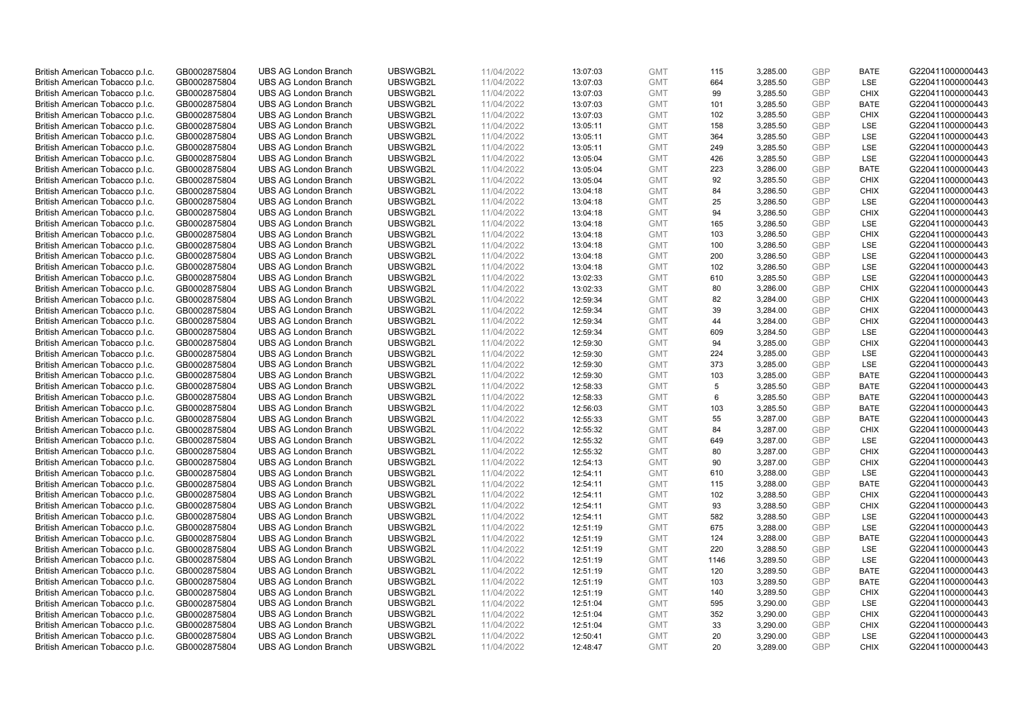| British American Tobacco p.l.c.                                    | GB0002875804                 | <b>UBS AG London Branch</b>                                | UBSWGB2L             | 11/04/2022               | 13:07:03             | <b>GMT</b>               | 115        | 3,285.00             | <b>GBP</b>               | <b>BATE</b>                | G220411000000443                     |
|--------------------------------------------------------------------|------------------------------|------------------------------------------------------------|----------------------|--------------------------|----------------------|--------------------------|------------|----------------------|--------------------------|----------------------------|--------------------------------------|
| British American Tobacco p.l.c.                                    | GB0002875804                 | <b>UBS AG London Branch</b>                                | UBSWGB2L             | 11/04/2022               | 13:07:03             | <b>GMT</b>               | 664        | 3,285.50             | <b>GBP</b>               | LSE                        | G220411000000443                     |
| British American Tobacco p.l.c.                                    | GB0002875804                 | <b>UBS AG London Branch</b>                                | UBSWGB2L             | 11/04/2022               | 13:07:03             | <b>GMT</b>               | 99         | 3,285.50             | <b>GBP</b>               | <b>CHIX</b>                | G220411000000443                     |
| British American Tobacco p.l.c.                                    | GB0002875804                 | <b>UBS AG London Branch</b>                                | UBSWGB2L             | 11/04/2022               | 13:07:03             | <b>GMT</b>               | 101        | 3,285.50             | <b>GBP</b>               | <b>BATE</b>                | G220411000000443                     |
| British American Tobacco p.l.c.                                    | GB0002875804                 | <b>UBS AG London Branch</b>                                | UBSWGB2L             | 11/04/2022               | 13:07:03             | <b>GMT</b>               | 102        | 3,285.50             | <b>GBP</b>               | <b>CHIX</b>                | G220411000000443                     |
| British American Tobacco p.l.c.                                    | GB0002875804                 | <b>UBS AG London Branch</b>                                | UBSWGB2L             | 11/04/2022               | 13:05:11             | <b>GMT</b>               | 158        | 3,285.50             | <b>GBP</b>               | <b>LSE</b>                 | G220411000000443                     |
| British American Tobacco p.l.c.                                    | GB0002875804                 | <b>UBS AG London Branch</b>                                | UBSWGB2L             | 11/04/2022               | 13:05:11             | <b>GMT</b>               | 364        | 3,285.50             | <b>GBP</b>               | LSE                        | G220411000000443                     |
| British American Tobacco p.l.c.                                    | GB0002875804                 | <b>UBS AG London Branch</b>                                | UBSWGB2L             | 11/04/2022               | 13:05:11             | <b>GMT</b>               | 249        | 3,285.50             | <b>GBP</b>               | LSE                        | G220411000000443                     |
| British American Tobacco p.l.c.                                    | GB0002875804                 | <b>UBS AG London Branch</b>                                | UBSWGB2L             | 11/04/2022               | 13:05:04             | <b>GMT</b>               | 426        | 3,285.50             | <b>GBP</b>               | <b>LSE</b>                 | G220411000000443                     |
| British American Tobacco p.l.c.                                    | GB0002875804                 | <b>UBS AG London Branch</b>                                | UBSWGB2L             | 11/04/2022               | 13:05:04             | <b>GMT</b>               | 223        | 3,286.00             | <b>GBP</b>               | <b>BATE</b>                | G220411000000443                     |
| British American Tobacco p.l.c.                                    | GB0002875804                 | <b>UBS AG London Branch</b>                                | UBSWGB2L             | 11/04/2022               | 13:05:04             | <b>GMT</b>               | 92         | 3,285.50             | <b>GBP</b>               | <b>CHIX</b>                | G220411000000443                     |
| British American Tobacco p.l.c.                                    | GB0002875804                 | <b>UBS AG London Branch</b>                                | UBSWGB2L             | 11/04/2022               | 13:04:18             | <b>GMT</b>               | 84         | 3,286.50             | <b>GBP</b>               | <b>CHIX</b>                | G220411000000443                     |
| British American Tobacco p.l.c.                                    | GB0002875804                 | <b>UBS AG London Branch</b>                                | UBSWGB2L             | 11/04/2022               | 13:04:18             | <b>GMT</b>               | 25         | 3,286.50             | <b>GBP</b>               | LSE                        | G220411000000443                     |
| British American Tobacco p.l.c.                                    | GB0002875804                 | <b>UBS AG London Branch</b>                                | UBSWGB2L             | 11/04/2022               | 13:04:18             | <b>GMT</b>               | 94         | 3,286.50             | <b>GBP</b>               | <b>CHIX</b>                | G220411000000443                     |
| British American Tobacco p.l.c.                                    | GB0002875804                 | <b>UBS AG London Branch</b>                                | UBSWGB2L             | 11/04/2022               | 13:04:18             | <b>GMT</b>               | 165        | 3,286.50             | <b>GBP</b>               | LSE                        | G220411000000443                     |
| British American Tobacco p.l.c.                                    | GB0002875804                 | <b>UBS AG London Branch</b>                                | UBSWGB2L             | 11/04/2022               | 13:04:18             | <b>GMT</b>               | 103        | 3,286.50             | <b>GBP</b>               | <b>CHIX</b>                | G220411000000443                     |
| British American Tobacco p.l.c.                                    | GB0002875804                 | <b>UBS AG London Branch</b>                                | UBSWGB2L             | 11/04/2022               | 13:04:18             | <b>GMT</b>               | 100        | 3,286.50             | <b>GBP</b>               | LSE                        | G220411000000443                     |
| British American Tobacco p.l.c.                                    | GB0002875804                 | <b>UBS AG London Branch</b>                                | UBSWGB2L             | 11/04/2022               | 13:04:18             | <b>GMT</b>               | 200        | 3,286.50             | <b>GBP</b>               | LSE                        | G220411000000443                     |
| British American Tobacco p.l.c.                                    | GB0002875804                 | <b>UBS AG London Branch</b>                                | UBSWGB2L             | 11/04/2022               | 13:04:18             | <b>GMT</b>               | 102        | 3,286.50             | <b>GBP</b>               | <b>LSE</b>                 | G220411000000443                     |
| British American Tobacco p.l.c.                                    | GB0002875804                 | <b>UBS AG London Branch</b>                                | UBSWGB2L             | 11/04/2022               | 13:02:33             | <b>GMT</b>               | 610        | 3,285.50             | <b>GBP</b>               | LSE                        | G220411000000443                     |
| British American Tobacco p.l.c.                                    | GB0002875804                 | <b>UBS AG London Branch</b>                                | UBSWGB2L             | 11/04/2022               | 13:02:33             | <b>GMT</b>               | 80         | 3,286.00             | <b>GBP</b>               | <b>CHIX</b>                | G220411000000443                     |
| British American Tobacco p.l.c.                                    | GB0002875804                 | <b>UBS AG London Branch</b>                                | UBSWGB2L             | 11/04/2022               | 12:59:34             | <b>GMT</b>               | 82         | 3,284.00             | <b>GBP</b>               | <b>CHIX</b>                | G220411000000443                     |
| British American Tobacco p.l.c.                                    | GB0002875804                 | <b>UBS AG London Branch</b>                                | UBSWGB2L             | 11/04/2022               | 12:59:34             | <b>GMT</b>               | 39         | 3,284.00             | <b>GBP</b>               | <b>CHIX</b>                | G220411000000443                     |
| British American Tobacco p.l.c.                                    | GB0002875804                 | <b>UBS AG London Branch</b>                                | UBSWGB2L             | 11/04/2022               | 12:59:34             | <b>GMT</b>               | 44         | 3,284.00             | <b>GBP</b>               | <b>CHIX</b>                | G220411000000443                     |
| British American Tobacco p.l.c.                                    | GB0002875804                 | <b>UBS AG London Branch</b>                                | UBSWGB2L             | 11/04/2022               | 12:59:34             | <b>GMT</b>               | 609        | 3,284.50             | <b>GBP</b>               | LSE                        | G220411000000443                     |
| British American Tobacco p.l.c.                                    | GB0002875804                 | <b>UBS AG London Branch</b>                                | UBSWGB2L             | 11/04/2022               | 12:59:30             | <b>GMT</b>               | 94         | 3,285.00             | <b>GBP</b>               | <b>CHIX</b>                | G220411000000443                     |
| British American Tobacco p.l.c.                                    | GB0002875804                 | <b>UBS AG London Branch</b>                                | UBSWGB2L             | 11/04/2022               | 12:59:30             | <b>GMT</b>               | 224        | 3,285.00             | <b>GBP</b>               | <b>LSE</b>                 | G220411000000443                     |
| British American Tobacco p.l.c.                                    | GB0002875804                 | <b>UBS AG London Branch</b>                                | UBSWGB2L             | 11/04/2022               | 12:59:30             | <b>GMT</b>               | 373        | 3,285.00             | <b>GBP</b>               | LSE                        | G220411000000443                     |
| British American Tobacco p.l.c.                                    | GB0002875804                 | <b>UBS AG London Branch</b>                                | UBSWGB2L             | 11/04/2022               | 12:59:30             | <b>GMT</b>               | 103        | 3,285.00             | <b>GBP</b>               | <b>BATE</b>                | G220411000000443                     |
| British American Tobacco p.l.c.                                    | GB0002875804                 | <b>UBS AG London Branch</b>                                | UBSWGB2L             | 11/04/2022               | 12:58:33             | <b>GMT</b>               | 5          | 3,285.50             | <b>GBP</b>               | <b>BATE</b>                | G220411000000443                     |
| British American Tobacco p.l.c.                                    | GB0002875804                 | <b>UBS AG London Branch</b>                                | UBSWGB2L             | 11/04/2022               | 12:58:33             | <b>GMT</b>               | 6          | 3,285.50             | <b>GBP</b>               | <b>BATE</b>                | G220411000000443                     |
| British American Tobacco p.l.c.                                    | GB0002875804                 | <b>UBS AG London Branch</b>                                | UBSWGB2L             | 11/04/2022               | 12:56:03             | <b>GMT</b>               | 103        | 3,285.50             | <b>GBP</b>               | <b>BATE</b>                | G220411000000443                     |
| British American Tobacco p.l.c.                                    | GB0002875804                 | <b>UBS AG London Branch</b>                                | UBSWGB2L             | 11/04/2022               | 12:55:33             | <b>GMT</b>               | 55         | 3,287.00             | <b>GBP</b>               | <b>BATE</b>                | G220411000000443                     |
| British American Tobacco p.l.c.                                    | GB0002875804                 | <b>UBS AG London Branch</b>                                | UBSWGB2L             | 11/04/2022               | 12:55:32             | <b>GMT</b>               | 84         | 3,287.00             | <b>GBP</b>               | <b>CHIX</b>                | G220411000000443                     |
| British American Tobacco p.l.c.                                    | GB0002875804                 | <b>UBS AG London Branch</b>                                | UBSWGB2L             | 11/04/2022               | 12:55:32             | <b>GMT</b>               | 649        | 3,287.00             | <b>GBP</b>               | LSE                        | G220411000000443                     |
| British American Tobacco p.l.c.                                    | GB0002875804                 | <b>UBS AG London Branch</b>                                | UBSWGB2L             | 11/04/2022               | 12:55:32             | <b>GMT</b>               | 80         | 3,287.00             | <b>GBP</b>               | <b>CHIX</b>                | G220411000000443                     |
| British American Tobacco p.l.c.                                    | GB0002875804                 | <b>UBS AG London Branch</b>                                | UBSWGB2L             | 11/04/2022               | 12:54:13             | <b>GMT</b>               | 90         | 3,287.00             | <b>GBP</b>               | <b>CHIX</b>                | G220411000000443                     |
| British American Tobacco p.l.c.                                    | GB0002875804                 | <b>UBS AG London Branch</b>                                | UBSWGB2L             | 11/04/2022               | 12:54:11             | <b>GMT</b>               | 610        | 3,288.00             | <b>GBP</b>               | LSE                        | G220411000000443                     |
| British American Tobacco p.l.c.                                    | GB0002875804                 | <b>UBS AG London Branch</b>                                | UBSWGB2L             | 11/04/2022               | 12:54:11             | <b>GMT</b>               | 115        | 3,288.00             | <b>GBP</b>               | <b>BATE</b>                | G220411000000443                     |
| British American Tobacco p.l.c.                                    | GB0002875804                 | <b>UBS AG London Branch</b>                                | UBSWGB2L             | 11/04/2022               | 12:54:11             | <b>GMT</b>               | 102        | 3,288.50             | <b>GBP</b>               | <b>CHIX</b>                | G220411000000443                     |
| British American Tobacco p.l.c.                                    | GB0002875804                 | <b>UBS AG London Branch</b>                                | UBSWGB2L             | 11/04/2022               | 12:54:11             | <b>GMT</b>               | 93         | 3,288.50             | <b>GBP</b>               | <b>CHIX</b>                | G220411000000443                     |
| British American Tobacco p.l.c.                                    | GB0002875804                 | <b>UBS AG London Branch</b>                                | UBSWGB2L             | 11/04/2022               | 12:54:11             | <b>GMT</b>               | 582        | 3,288.50             | <b>GBP</b>               | LSE                        | G220411000000443                     |
| British American Tobacco p.l.c.                                    | GB0002875804                 | <b>UBS AG London Branch</b>                                | UBSWGB2L             | 11/04/2022               | 12:51:19             | <b>GMT</b>               | 675        | 3,288.00             | <b>GBP</b><br><b>GBP</b> | LSE<br><b>BATE</b>         | G220411000000443                     |
| British American Tobacco p.l.c.                                    | GB0002875804                 | <b>UBS AG London Branch</b>                                | UBSWGB2L             | 11/04/2022               | 12:51:19             | <b>GMT</b>               | 124        | 3,288.00             |                          |                            | G220411000000443                     |
| British American Tobacco p.l.c.<br>British American Tobacco p.l.c. | GB0002875804<br>GB0002875804 | <b>UBS AG London Branch</b><br><b>UBS AG London Branch</b> | UBSWGB2L<br>UBSWGB2L | 11/04/2022<br>11/04/2022 | 12:51:19             | <b>GMT</b><br><b>GMT</b> | 220        | 3,288.50             | <b>GBP</b><br><b>GBP</b> | <b>LSE</b><br>LSE          | G220411000000443<br>G220411000000443 |
|                                                                    |                              |                                                            |                      |                          | 12:51:19             |                          | 1146       | 3,289.50             |                          |                            |                                      |
| British American Tobacco p.l.c.<br>British American Tobacco p.l.c. | GB0002875804<br>GB0002875804 | <b>UBS AG London Branch</b><br><b>UBS AG London Branch</b> | UBSWGB2L<br>UBSWGB2L | 11/04/2022<br>11/04/2022 | 12:51:19<br>12:51:19 | <b>GMT</b><br><b>GMT</b> | 120<br>103 | 3,289.50<br>3,289.50 | <b>GBP</b><br><b>GBP</b> | <b>BATE</b><br><b>BATE</b> | G220411000000443<br>G220411000000443 |
| British American Tobacco p.l.c.                                    | GB0002875804                 | <b>UBS AG London Branch</b>                                | UBSWGB2L             | 11/04/2022               | 12:51:19             | <b>GMT</b>               | 140        | 3,289.50             | <b>GBP</b>               | <b>CHIX</b>                | G220411000000443                     |
| British American Tobacco p.l.c.                                    | GB0002875804                 | <b>UBS AG London Branch</b>                                | UBSWGB2L             | 11/04/2022               | 12:51:04             | <b>GMT</b>               | 595        | 3,290.00             | <b>GBP</b>               | <b>LSE</b>                 | G220411000000443                     |
| British American Tobacco p.l.c.                                    | GB0002875804                 | <b>UBS AG London Branch</b>                                | UBSWGB2L             | 11/04/2022               | 12:51:04             | <b>GMT</b>               | 352        | 3,290.00             | <b>GBP</b>               | <b>CHIX</b>                | G220411000000443                     |
| British American Tobacco p.l.c.                                    | GB0002875804                 | <b>UBS AG London Branch</b>                                | UBSWGB2L             | 11/04/2022               | 12:51:04             | <b>GMT</b>               | 33         | 3,290.00             | <b>GBP</b>               | <b>CHIX</b>                | G220411000000443                     |
| British American Tobacco p.l.c.                                    | GB0002875804                 | <b>UBS AG London Branch</b>                                | UBSWGB2L             | 11/04/2022               | 12:50:41             | <b>GMT</b>               | 20         | 3,290.00             | <b>GBP</b>               | LSE                        | G220411000000443                     |
| British American Tobacco p.l.c.                                    | GB0002875804                 | <b>UBS AG London Branch</b>                                | UBSWGB2L             | 11/04/2022               | 12:48:47             | <b>GMT</b>               | 20         | 3,289.00             | GBP                      | <b>CHIX</b>                | G220411000000443                     |
|                                                                    |                              |                                                            |                      |                          |                      |                          |            |                      |                          |                            |                                      |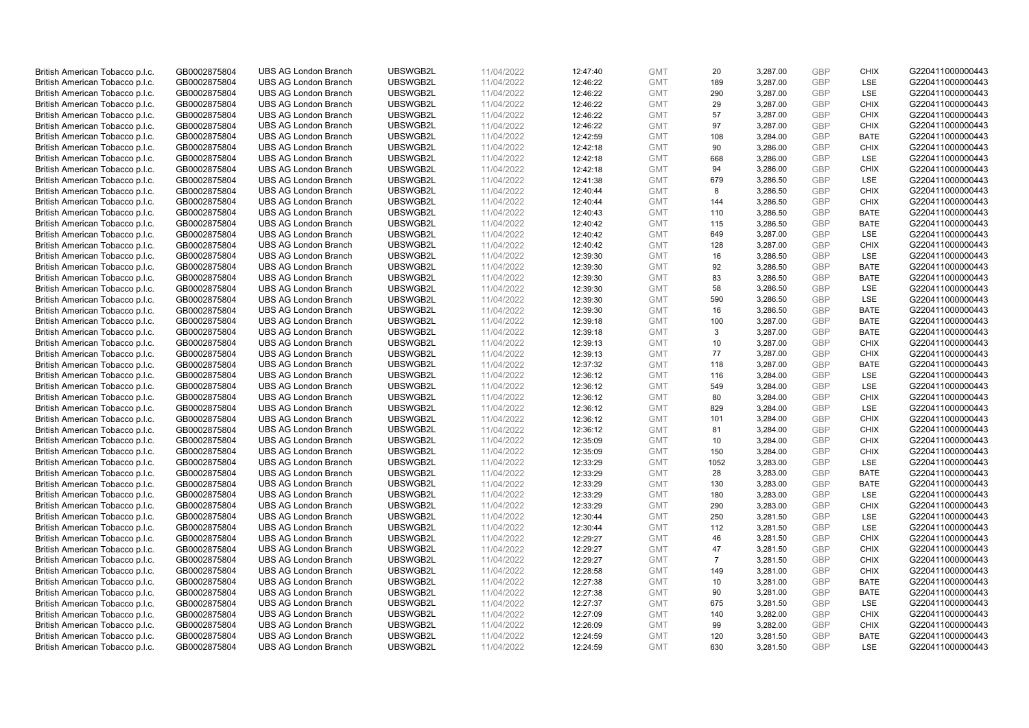| British American Tobacco p.l.c. | GB0002875804 | <b>UBS AG London Branch</b> | UBSWGB2L | 11/04/2022 | 12:47:40 | <b>GMT</b> | 20             | 3,287.00 | <b>GBP</b> | <b>CHIX</b> | G220411000000443 |
|---------------------------------|--------------|-----------------------------|----------|------------|----------|------------|----------------|----------|------------|-------------|------------------|
|                                 |              |                             |          |            |          |            |                |          |            |             |                  |
| British American Tobacco p.l.c. | GB0002875804 | <b>UBS AG London Branch</b> | UBSWGB2L | 11/04/2022 | 12:46:22 | <b>GMT</b> | 189            | 3,287.00 | <b>GBP</b> | LSE         | G220411000000443 |
| British American Tobacco p.l.c. | GB0002875804 | <b>UBS AG London Branch</b> | UBSWGB2L | 11/04/2022 | 12:46:22 | <b>GMT</b> | 290            | 3,287.00 | GBP        | LSE         | G220411000000443 |
| British American Tobacco p.l.c. | GB0002875804 | <b>UBS AG London Branch</b> | UBSWGB2L | 11/04/2022 | 12:46:22 | <b>GMT</b> | 29             | 3,287.00 | GBP        | <b>CHIX</b> | G220411000000443 |
| British American Tobacco p.l.c. | GB0002875804 | <b>UBS AG London Branch</b> | UBSWGB2L | 11/04/2022 | 12:46:22 | <b>GMT</b> | 57             | 3,287.00 | GBP        | <b>CHIX</b> | G220411000000443 |
| British American Tobacco p.l.c. | GB0002875804 | <b>UBS AG London Branch</b> | UBSWGB2L | 11/04/2022 | 12:46:22 | <b>GMT</b> | 97             | 3,287.00 | <b>GBP</b> | <b>CHIX</b> | G220411000000443 |
| British American Tobacco p.l.c. | GB0002875804 | <b>UBS AG London Branch</b> | UBSWGB2L | 11/04/2022 | 12:42:59 | <b>GMT</b> | 108            | 3,284.00 | GBP        | <b>BATE</b> | G220411000000443 |
| British American Tobacco p.l.c. | GB0002875804 | <b>UBS AG London Branch</b> | UBSWGB2L | 11/04/2022 | 12:42:18 | <b>GMT</b> | 90             | 3,286.00 | <b>GBP</b> | <b>CHIX</b> | G220411000000443 |
| British American Tobacco p.l.c. | GB0002875804 | <b>UBS AG London Branch</b> | UBSWGB2L | 11/04/2022 | 12:42:18 | <b>GMT</b> | 668            | 3,286.00 | <b>GBP</b> | LSE         | G220411000000443 |
| British American Tobacco p.l.c. | GB0002875804 | <b>UBS AG London Branch</b> | UBSWGB2L | 11/04/2022 | 12:42:18 | <b>GMT</b> | 94             | 3,286.00 | <b>GBP</b> | <b>CHIX</b> | G220411000000443 |
| British American Tobacco p.l.c. | GB0002875804 | <b>UBS AG London Branch</b> | UBSWGB2L | 11/04/2022 | 12:41:38 | <b>GMT</b> | 679            | 3,286.50 | <b>GBP</b> | LSE         | G220411000000443 |
| British American Tobacco p.l.c. | GB0002875804 | <b>UBS AG London Branch</b> | UBSWGB2L | 11/04/2022 | 12:40:44 | <b>GMT</b> | 8              | 3,286.50 | <b>GBP</b> | <b>CHIX</b> | G220411000000443 |
| British American Tobacco p.l.c. | GB0002875804 | <b>UBS AG London Branch</b> | UBSWGB2L | 11/04/2022 | 12:40:44 | <b>GMT</b> | 144            | 3,286.50 | <b>GBP</b> | <b>CHIX</b> | G220411000000443 |
| British American Tobacco p.l.c. | GB0002875804 | <b>UBS AG London Branch</b> | UBSWGB2L | 11/04/2022 | 12:40:43 | <b>GMT</b> | 110            | 3,286.50 | <b>GBP</b> | <b>BATE</b> | G220411000000443 |
| British American Tobacco p.l.c. | GB0002875804 | <b>UBS AG London Branch</b> | UBSWGB2L | 11/04/2022 | 12:40:42 | <b>GMT</b> | 115            | 3,286.50 | <b>GBP</b> | <b>BATE</b> | G220411000000443 |
| British American Tobacco p.l.c. | GB0002875804 | <b>UBS AG London Branch</b> | UBSWGB2L | 11/04/2022 | 12:40:42 | <b>GMT</b> | 649            | 3,287.00 | GBP        | LSE         | G220411000000443 |
| British American Tobacco p.l.c. | GB0002875804 | <b>UBS AG London Branch</b> | UBSWGB2L | 11/04/2022 | 12:40:42 | <b>GMT</b> |                |          | <b>GBP</b> | <b>CHIX</b> | G220411000000443 |
|                                 |              |                             |          |            |          |            | 128            | 3,287.00 | GBP        | LSE         |                  |
| British American Tobacco p.l.c. | GB0002875804 | <b>UBS AG London Branch</b> | UBSWGB2L | 11/04/2022 | 12:39:30 | <b>GMT</b> | 16             | 3,286.50 |            |             | G220411000000443 |
| British American Tobacco p.l.c. | GB0002875804 | <b>UBS AG London Branch</b> | UBSWGB2L | 11/04/2022 | 12:39:30 | <b>GMT</b> | 92             | 3,286.50 | <b>GBP</b> | <b>BATE</b> | G220411000000443 |
| British American Tobacco p.l.c. | GB0002875804 | <b>UBS AG London Branch</b> | UBSWGB2L | 11/04/2022 | 12:39:30 | <b>GMT</b> | 83             | 3,286.50 | GBP        | <b>BATE</b> | G220411000000443 |
| British American Tobacco p.l.c. | GB0002875804 | <b>UBS AG London Branch</b> | UBSWGB2L | 11/04/2022 | 12:39:30 | <b>GMT</b> | 58             | 3,286.50 | <b>GBP</b> | LSE         | G220411000000443 |
| British American Tobacco p.l.c. | GB0002875804 | <b>UBS AG London Branch</b> | UBSWGB2L | 11/04/2022 | 12:39:30 | <b>GMT</b> | 590            | 3,286.50 | <b>GBP</b> | LSE         | G220411000000443 |
| British American Tobacco p.l.c. | GB0002875804 | <b>UBS AG London Branch</b> | UBSWGB2L | 11/04/2022 | 12:39:30 | <b>GMT</b> | 16             | 3,286.50 | <b>GBP</b> | <b>BATE</b> | G220411000000443 |
| British American Tobacco p.l.c. | GB0002875804 | <b>UBS AG London Branch</b> | UBSWGB2L | 11/04/2022 | 12:39:18 | <b>GMT</b> | 100            | 3,287.00 | <b>GBP</b> | <b>BATE</b> | G220411000000443 |
| British American Tobacco p.l.c. | GB0002875804 | <b>UBS AG London Branch</b> | UBSWGB2L | 11/04/2022 | 12:39:18 | <b>GMT</b> | 3              | 3,287.00 | <b>GBP</b> | <b>BATE</b> | G220411000000443 |
| British American Tobacco p.l.c. | GB0002875804 | <b>UBS AG London Branch</b> | UBSWGB2L | 11/04/2022 | 12:39:13 | <b>GMT</b> | 10             | 3,287.00 | <b>GBP</b> | <b>CHIX</b> | G220411000000443 |
| British American Tobacco p.l.c. | GB0002875804 | <b>UBS AG London Branch</b> | UBSWGB2L | 11/04/2022 | 12:39:13 | <b>GMT</b> | 77             | 3,287.00 | <b>GBP</b> | <b>CHIX</b> | G220411000000443 |
| British American Tobacco p.l.c. | GB0002875804 | <b>UBS AG London Branch</b> | UBSWGB2L | 11/04/2022 | 12:37:32 | <b>GMT</b> | 118            | 3,287.00 | <b>GBP</b> | <b>BATE</b> | G220411000000443 |
| British American Tobacco p.l.c. | GB0002875804 | <b>UBS AG London Branch</b> | UBSWGB2L | 11/04/2022 | 12:36:12 | <b>GMT</b> | 116            | 3,284.00 | GBP        | LSE         | G220411000000443 |
| British American Tobacco p.l.c. | GB0002875804 | <b>UBS AG London Branch</b> | UBSWGB2L | 11/04/2022 | 12:36:12 | <b>GMT</b> | 549            | 3,284.00 | GBP        | LSE         | G220411000000443 |
| British American Tobacco p.l.c. | GB0002875804 | <b>UBS AG London Branch</b> | UBSWGB2L | 11/04/2022 | 12:36:12 | <b>GMT</b> | 80             | 3,284.00 | GBP        | <b>CHIX</b> | G220411000000443 |
| British American Tobacco p.l.c. | GB0002875804 | <b>UBS AG London Branch</b> | UBSWGB2L | 11/04/2022 | 12:36:12 | <b>GMT</b> | 829            | 3,284.00 | <b>GBP</b> | <b>LSE</b>  | G220411000000443 |
| British American Tobacco p.l.c. | GB0002875804 | <b>UBS AG London Branch</b> | UBSWGB2L | 11/04/2022 | 12:36:12 | <b>GMT</b> | 101            | 3,284.00 | GBP        | <b>CHIX</b> | G220411000000443 |
| British American Tobacco p.l.c. | GB0002875804 | <b>UBS AG London Branch</b> | UBSWGB2L | 11/04/2022 | 12:36:12 | <b>GMT</b> | 81             | 3,284.00 | <b>GBP</b> | <b>CHIX</b> | G220411000000443 |
| British American Tobacco p.l.c. | GB0002875804 | <b>UBS AG London Branch</b> | UBSWGB2L | 11/04/2022 | 12:35:09 | <b>GMT</b> | 10             | 3,284.00 | GBP        | <b>CHIX</b> | G220411000000443 |
| British American Tobacco p.l.c. | GB0002875804 | <b>UBS AG London Branch</b> | UBSWGB2L | 11/04/2022 | 12:35:09 | <b>GMT</b> | 150            | 3,284.00 | GBP        | <b>CHIX</b> | G220411000000443 |
| British American Tobacco p.l.c. | GB0002875804 | <b>UBS AG London Branch</b> | UBSWGB2L | 11/04/2022 | 12:33:29 | <b>GMT</b> | 1052           | 3,283.00 | <b>GBP</b> | LSE         | G220411000000443 |
| British American Tobacco p.l.c. | GB0002875804 | <b>UBS AG London Branch</b> | UBSWGB2L | 11/04/2022 | 12:33:29 | <b>GMT</b> | 28             | 3,283.00 | GBP        | <b>BATE</b> | G220411000000443 |
| British American Tobacco p.l.c. | GB0002875804 | <b>UBS AG London Branch</b> | UBSWGB2L | 11/04/2022 | 12:33:29 | <b>GMT</b> | 130            | 3,283.00 | <b>GBP</b> | <b>BATE</b> | G220411000000443 |
| British American Tobacco p.l.c. | GB0002875804 | <b>UBS AG London Branch</b> | UBSWGB2L | 11/04/2022 | 12:33:29 | <b>GMT</b> | 180            | 3,283.00 | GBP        | <b>LSE</b>  | G220411000000443 |
| British American Tobacco p.l.c. | GB0002875804 | <b>UBS AG London Branch</b> | UBSWGB2L | 11/04/2022 | 12:33:29 | <b>GMT</b> | 290            | 3,283.00 | GBP        | <b>CHIX</b> | G220411000000443 |
| British American Tobacco p.l.c. | GB0002875804 | <b>UBS AG London Branch</b> | UBSWGB2L | 11/04/2022 | 12:30:44 | <b>GMT</b> | 250            | 3,281.50 | GBP        | LSE         | G220411000000443 |
| British American Tobacco p.l.c. | GB0002875804 | <b>UBS AG London Branch</b> | UBSWGB2L | 11/04/2022 | 12:30:44 | <b>GMT</b> | 112            | 3,281.50 | GBP        | LSE         | G220411000000443 |
| British American Tobacco p.l.c. | GB0002875804 | <b>UBS AG London Branch</b> | UBSWGB2L | 11/04/2022 | 12:29:27 | <b>GMT</b> | 46             | 3,281.50 | GBP        | <b>CHIX</b> | G220411000000443 |
|                                 |              |                             | UBSWGB2L |            |          |            | 47             |          |            |             |                  |
| British American Tobacco p.l.c. | GB0002875804 | <b>UBS AG London Branch</b> |          | 11/04/2022 | 12:29:27 | <b>GMT</b> |                | 3,281.50 | <b>GBP</b> | <b>CHIX</b> | G220411000000443 |
| British American Tobacco p.l.c. | GB0002875804 | <b>UBS AG London Branch</b> | UBSWGB2L | 11/04/2022 | 12:29:27 | <b>GMT</b> | $\overline{7}$ | 3,281.50 | GBP        | <b>CHIX</b> | G220411000000443 |
| British American Tobacco p.l.c. | GB0002875804 | <b>UBS AG London Branch</b> | UBSWGB2L | 11/04/2022 | 12:28:58 | <b>GMT</b> | 149            | 3,281.00 | <b>GBP</b> | <b>CHIX</b> | G220411000000443 |
| British American Tobacco p.l.c. | GB0002875804 | <b>UBS AG London Branch</b> | UBSWGB2L | 11/04/2022 | 12:27:38 | <b>GMT</b> | 10             | 3,281.00 | GBP        | <b>BATE</b> | G220411000000443 |
| British American Tobacco p.l.c. | GB0002875804 | <b>UBS AG London Branch</b> | UBSWGB2L | 11/04/2022 | 12:27:38 | GMT        | 90             | 3,281.00 | <b>GBP</b> | <b>BATE</b> | G220411000000443 |
| British American Tobacco p.l.c. | GB0002875804 | <b>UBS AG London Branch</b> | UBSWGB2L | 11/04/2022 | 12:27:37 | <b>GMT</b> | 675            | 3,281.50 | GBP        | LSE         | G220411000000443 |
| British American Tobacco p.l.c. | GB0002875804 | <b>UBS AG London Branch</b> | UBSWGB2L | 11/04/2022 | 12:27:09 | <b>GMT</b> | 140            | 3,282.00 | GBP        | <b>CHIX</b> | G220411000000443 |
| British American Tobacco p.l.c. | GB0002875804 | <b>UBS AG London Branch</b> | UBSWGB2L | 11/04/2022 | 12:26:09 | <b>GMT</b> | 99             | 3,282.00 | <b>GBP</b> | <b>CHIX</b> | G220411000000443 |
| British American Tobacco p.l.c. | GB0002875804 | <b>UBS AG London Branch</b> | UBSWGB2L | 11/04/2022 | 12:24:59 | <b>GMT</b> | 120            | 3,281.50 | GBP        | <b>BATE</b> | G220411000000443 |
| British American Tobacco p.l.c. | GB0002875804 | <b>UBS AG London Branch</b> | UBSWGB2L | 11/04/2022 | 12:24:59 | <b>GMT</b> | 630            | 3,281.50 | GBP        | LSE         | G220411000000443 |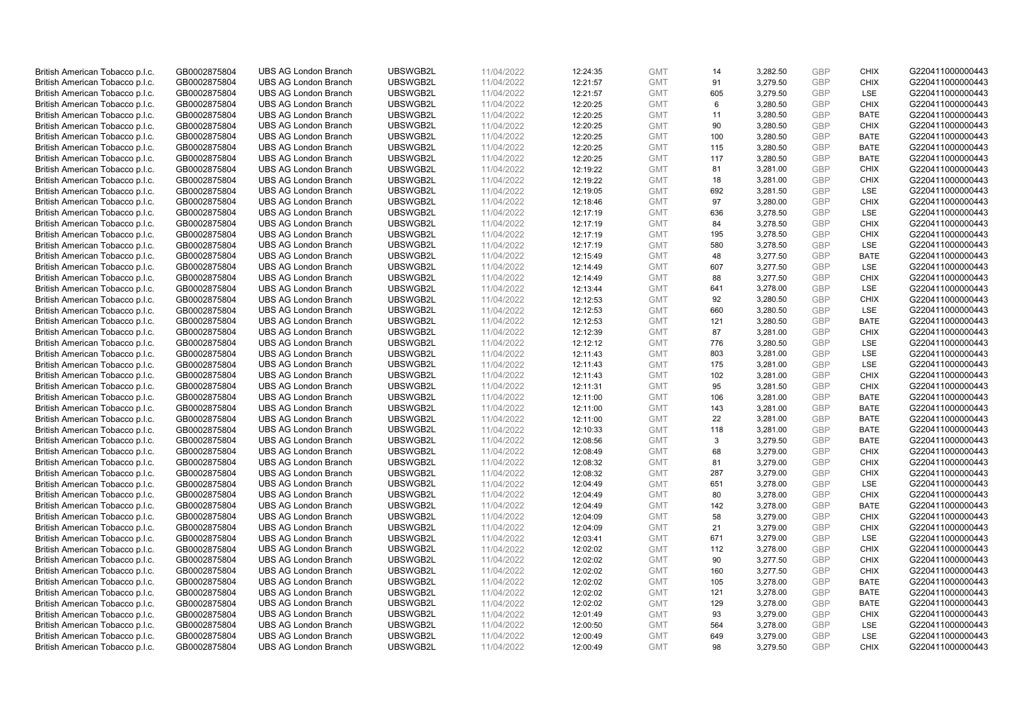| British American Tobacco p.l.c. | GB0002875804 | <b>UBS AG London Branch</b> | UBSWGB2L | 11/04/2022 | 12:24:35 | <b>GMT</b> | 14  | 3,282.50 | <b>GBP</b> | <b>CHIX</b> | G220411000000443 |
|---------------------------------|--------------|-----------------------------|----------|------------|----------|------------|-----|----------|------------|-------------|------------------|
|                                 | GB0002875804 | <b>UBS AG London Branch</b> | UBSWGB2L | 11/04/2022 |          | <b>GMT</b> |     | 3,279.50 | <b>GBP</b> | <b>CHIX</b> | G220411000000443 |
| British American Tobacco p.l.c. |              |                             |          |            | 12:21:57 |            | 91  |          |            |             |                  |
| British American Tobacco p.l.c. | GB0002875804 | <b>UBS AG London Branch</b> | UBSWGB2L | 11/04/2022 | 12:21:57 | <b>GMT</b> | 605 | 3,279.50 | <b>GBP</b> | LSE         | G220411000000443 |
| British American Tobacco p.l.c. | GB0002875804 | <b>UBS AG London Branch</b> | UBSWGB2L | 11/04/2022 | 12:20:25 | <b>GMT</b> | 6   | 3,280.50 | <b>GBP</b> | <b>CHIX</b> | G220411000000443 |
| British American Tobacco p.l.c. | GB0002875804 | <b>UBS AG London Branch</b> | UBSWGB2L | 11/04/2022 | 12:20:25 | <b>GMT</b> | 11  | 3,280.50 | <b>GBP</b> | <b>BATE</b> | G220411000000443 |
| British American Tobacco p.l.c. | GB0002875804 | <b>UBS AG London Branch</b> | UBSWGB2L | 11/04/2022 | 12:20:25 | <b>GMT</b> | 90  | 3,280.50 | <b>GBP</b> | <b>CHIX</b> | G220411000000443 |
| British American Tobacco p.l.c. | GB0002875804 | <b>UBS AG London Branch</b> | UBSWGB2L | 11/04/2022 | 12:20:25 | <b>GMT</b> | 100 | 3,280.50 | <b>GBP</b> | <b>BATE</b> | G220411000000443 |
| British American Tobacco p.l.c. | GB0002875804 | <b>UBS AG London Branch</b> | UBSWGB2L | 11/04/2022 | 12:20:25 | <b>GMT</b> | 115 | 3,280.50 | <b>GBP</b> | <b>BATE</b> | G220411000000443 |
| British American Tobacco p.l.c. | GB0002875804 | <b>UBS AG London Branch</b> | UBSWGB2L | 11/04/2022 | 12:20:25 | <b>GMT</b> | 117 | 3,280.50 | <b>GBP</b> | <b>BATE</b> | G220411000000443 |
| British American Tobacco p.l.c. | GB0002875804 | <b>UBS AG London Branch</b> | UBSWGB2L | 11/04/2022 | 12:19:22 | <b>GMT</b> | 81  | 3,281.00 | <b>GBP</b> | <b>CHIX</b> | G220411000000443 |
| British American Tobacco p.l.c. | GB0002875804 | <b>UBS AG London Branch</b> | UBSWGB2L | 11/04/2022 | 12:19:22 | <b>GMT</b> | 18  | 3,281.00 | <b>GBP</b> | <b>CHIX</b> | G220411000000443 |
| British American Tobacco p.l.c. | GB0002875804 | <b>UBS AG London Branch</b> | UBSWGB2L | 11/04/2022 | 12:19:05 | <b>GMT</b> | 692 | 3,281.50 | <b>GBP</b> | LSE         | G220411000000443 |
| British American Tobacco p.l.c. | GB0002875804 | <b>UBS AG London Branch</b> | UBSWGB2L | 11/04/2022 | 12:18:46 | <b>GMT</b> | 97  | 3,280.00 | <b>GBP</b> | <b>CHIX</b> | G220411000000443 |
| British American Tobacco p.l.c. | GB0002875804 | <b>UBS AG London Branch</b> | UBSWGB2L | 11/04/2022 | 12:17:19 | <b>GMT</b> | 636 | 3,278.50 | <b>GBP</b> | LSE         | G220411000000443 |
| British American Tobacco p.l.c. | GB0002875804 | <b>UBS AG London Branch</b> | UBSWGB2L | 11/04/2022 |          | <b>GMT</b> | 84  | 3,278.50 | <b>GBP</b> | <b>CHIX</b> | G220411000000443 |
|                                 |              |                             |          |            | 12:17:19 |            |     |          |            |             |                  |
| British American Tobacco p.l.c. | GB0002875804 | <b>UBS AG London Branch</b> | UBSWGB2L | 11/04/2022 | 12:17:19 | <b>GMT</b> | 195 | 3,278.50 | <b>GBP</b> | <b>CHIX</b> | G220411000000443 |
| British American Tobacco p.l.c. | GB0002875804 | <b>UBS AG London Branch</b> | UBSWGB2L | 11/04/2022 | 12:17:19 | <b>GMT</b> | 580 | 3,278.50 | <b>GBP</b> | LSE         | G220411000000443 |
| British American Tobacco p.l.c. | GB0002875804 | <b>UBS AG London Branch</b> | UBSWGB2L | 11/04/2022 | 12:15:49 | <b>GMT</b> | 48  | 3,277.50 | <b>GBP</b> | <b>BATE</b> | G220411000000443 |
| British American Tobacco p.l.c. | GB0002875804 | <b>UBS AG London Branch</b> | UBSWGB2L | 11/04/2022 | 12:14:49 | <b>GMT</b> | 607 | 3,277.50 | <b>GBP</b> | <b>LSE</b>  | G220411000000443 |
| British American Tobacco p.l.c. | GB0002875804 | <b>UBS AG London Branch</b> | UBSWGB2L | 11/04/2022 | 12:14:49 | <b>GMT</b> | 88  | 3,277.50 | <b>GBP</b> | <b>CHIX</b> | G220411000000443 |
| British American Tobacco p.l.c. | GB0002875804 | <b>UBS AG London Branch</b> | UBSWGB2L | 11/04/2022 | 12:13:44 | <b>GMT</b> | 641 | 3,278.00 | <b>GBP</b> | LSE         | G220411000000443 |
| British American Tobacco p.l.c. | GB0002875804 | <b>UBS AG London Branch</b> | UBSWGB2L | 11/04/2022 | 12:12:53 | <b>GMT</b> | 92  | 3,280.50 | <b>GBP</b> | <b>CHIX</b> | G220411000000443 |
| British American Tobacco p.l.c. | GB0002875804 | <b>UBS AG London Branch</b> | UBSWGB2L | 11/04/2022 | 12:12:53 | <b>GMT</b> | 660 | 3,280.50 | <b>GBP</b> | LSE         | G220411000000443 |
| British American Tobacco p.l.c. | GB0002875804 | <b>UBS AG London Branch</b> | UBSWGB2L | 11/04/2022 | 12:12:53 | <b>GMT</b> | 121 | 3,280.50 | <b>GBP</b> | <b>BATE</b> | G220411000000443 |
| British American Tobacco p.l.c. | GB0002875804 | <b>UBS AG London Branch</b> | UBSWGB2L | 11/04/2022 | 12:12:39 | <b>GMT</b> | 87  | 3,281.00 | <b>GBP</b> | <b>CHIX</b> | G220411000000443 |
| British American Tobacco p.l.c. | GB0002875804 | <b>UBS AG London Branch</b> | UBSWGB2L | 11/04/2022 | 12:12:12 | <b>GMT</b> | 776 | 3,280.50 | <b>GBP</b> | LSE         | G220411000000443 |
| British American Tobacco p.l.c. | GB0002875804 | <b>UBS AG London Branch</b> | UBSWGB2L | 11/04/2022 | 12:11:43 | <b>GMT</b> | 803 | 3,281.00 | <b>GBP</b> | <b>LSE</b>  | G220411000000443 |
| British American Tobacco p.l.c. | GB0002875804 | <b>UBS AG London Branch</b> | UBSWGB2L | 11/04/2022 | 12:11:43 | <b>GMT</b> | 175 | 3,281.00 | <b>GBP</b> | LSE         | G220411000000443 |
| British American Tobacco p.l.c. | GB0002875804 | <b>UBS AG London Branch</b> | UBSWGB2L | 11/04/2022 | 12:11:43 | <b>GMT</b> | 102 | 3,281.00 | <b>GBP</b> | <b>CHIX</b> | G220411000000443 |
| British American Tobacco p.l.c. | GB0002875804 | <b>UBS AG London Branch</b> | UBSWGB2L | 11/04/2022 | 12:11:31 | <b>GMT</b> | 95  | 3,281.50 | <b>GBP</b> | <b>CHIX</b> | G220411000000443 |
|                                 |              |                             |          |            |          |            |     |          |            |             |                  |
| British American Tobacco p.l.c. | GB0002875804 | <b>UBS AG London Branch</b> | UBSWGB2L | 11/04/2022 | 12:11:00 | <b>GMT</b> | 106 | 3,281.00 | <b>GBP</b> | <b>BATE</b> | G220411000000443 |
| British American Tobacco p.l.c. | GB0002875804 | <b>UBS AG London Branch</b> | UBSWGB2L | 11/04/2022 | 12:11:00 | <b>GMT</b> | 143 | 3,281.00 | <b>GBP</b> | BATE        | G220411000000443 |
| British American Tobacco p.l.c. | GB0002875804 | <b>UBS AG London Branch</b> | UBSWGB2L | 11/04/2022 | 12:11:00 | <b>GMT</b> | 22  | 3,281.00 | <b>GBP</b> | <b>BATE</b> | G220411000000443 |
| British American Tobacco p.l.c. | GB0002875804 | <b>UBS AG London Branch</b> | UBSWGB2L | 11/04/2022 | 12:10:33 | <b>GMT</b> | 118 | 3,281.00 | GBP        | <b>BATE</b> | G220411000000443 |
| British American Tobacco p.l.c. | GB0002875804 | <b>UBS AG London Branch</b> | UBSWGB2L | 11/04/2022 | 12:08:56 | <b>GMT</b> | 3   | 3,279.50 | <b>GBP</b> | <b>BATE</b> | G220411000000443 |
| British American Tobacco p.l.c. | GB0002875804 | <b>UBS AG London Branch</b> | UBSWGB2L | 11/04/2022 | 12:08:49 | <b>GMT</b> | 68  | 3,279.00 | <b>GBP</b> | <b>CHIX</b> | G220411000000443 |
| British American Tobacco p.l.c. | GB0002875804 | <b>UBS AG London Branch</b> | UBSWGB2L | 11/04/2022 | 12:08:32 | <b>GMT</b> | 81  | 3,279.00 | <b>GBP</b> | <b>CHIX</b> | G220411000000443 |
| British American Tobacco p.l.c. | GB0002875804 | <b>UBS AG London Branch</b> | UBSWGB2L | 11/04/2022 | 12:08:32 | <b>GMT</b> | 287 | 3,279.00 | <b>GBP</b> | <b>CHIX</b> | G220411000000443 |
| British American Tobacco p.l.c. | GB0002875804 | <b>UBS AG London Branch</b> | UBSWGB2L | 11/04/2022 | 12:04:49 | <b>GMT</b> | 651 | 3,278.00 | <b>GBP</b> | LSE         | G220411000000443 |
| British American Tobacco p.l.c. | GB0002875804 | <b>UBS AG London Branch</b> | UBSWGB2L | 11/04/2022 | 12:04:49 | <b>GMT</b> | 80  | 3,278.00 | <b>GBP</b> | <b>CHIX</b> | G220411000000443 |
| British American Tobacco p.l.c. | GB0002875804 | <b>UBS AG London Branch</b> | UBSWGB2L | 11/04/2022 | 12:04:49 | <b>GMT</b> | 142 | 3,278.00 | <b>GBP</b> | <b>BATE</b> | G220411000000443 |
| British American Tobacco p.l.c. | GB0002875804 | <b>UBS AG London Branch</b> | UBSWGB2L | 11/04/2022 | 12:04:09 | <b>GMT</b> | 58  | 3,279.00 | <b>GBP</b> | <b>CHIX</b> | G220411000000443 |
| British American Tobacco p.l.c. | GB0002875804 | <b>UBS AG London Branch</b> | UBSWGB2L | 11/04/2022 | 12:04:09 | <b>GMT</b> | 21  | 3,279.00 | <b>GBP</b> | <b>CHIX</b> | G220411000000443 |
| British American Tobacco p.l.c. | GB0002875804 | <b>UBS AG London Branch</b> | UBSWGB2L | 11/04/2022 | 12:03:41 | <b>GMT</b> | 671 | 3,279.00 | <b>GBP</b> | LSE         | G220411000000443 |
| British American Tobacco p.l.c. | GB0002875804 | UBS AG London Branch        | UBSWGB2L | 11/04/2022 | 12:02:02 | <b>GMT</b> | 112 | 3,278.00 | <b>GBP</b> | <b>CHIX</b> | G220411000000443 |
| British American Tobacco p.l.c. | GB0002875804 | <b>UBS AG London Branch</b> | UBSWGB2L | 11/04/2022 | 12:02:02 | <b>GMT</b> | 90  | 3,277.50 | <b>GBP</b> | <b>CHIX</b> | G220411000000443 |
| British American Tobacco p.l.c. | GB0002875804 | <b>UBS AG London Branch</b> | UBSWGB2L | 11/04/2022 | 12:02:02 | <b>GMT</b> | 160 | 3,277.50 | <b>GBP</b> | <b>CHIX</b> | G220411000000443 |
| British American Tobacco p.l.c. | GB0002875804 | <b>UBS AG London Branch</b> | UBSWGB2L | 11/04/2022 | 12:02:02 | <b>GMT</b> | 105 | 3,278.00 | <b>GBP</b> | <b>BATE</b> | G220411000000443 |
|                                 |              |                             |          |            |          | <b>GMT</b> |     |          |            |             |                  |
| British American Tobacco p.l.c. | GB0002875804 | <b>UBS AG London Branch</b> | UBSWGB2L | 11/04/2022 | 12:02:02 |            | 121 | 3,278.00 | GBP        | <b>BATE</b> | G220411000000443 |
| British American Tobacco p.l.c. | GB0002875804 | <b>UBS AG London Branch</b> | UBSWGB2L | 11/04/2022 | 12:02:02 | <b>GMT</b> | 129 | 3,278.00 | <b>GBP</b> | <b>BATE</b> | G220411000000443 |
| British American Tobacco p.l.c. | GB0002875804 | <b>UBS AG London Branch</b> | UBSWGB2L | 11/04/2022 | 12:01:49 | <b>GMT</b> | 93  | 3,279.00 | <b>GBP</b> | <b>CHIX</b> | G220411000000443 |
| British American Tobacco p.l.c. | GB0002875804 | <b>UBS AG London Branch</b> | UBSWGB2L | 11/04/2022 | 12:00:50 | <b>GMT</b> | 564 | 3,278.00 | <b>GBP</b> | LSE         | G220411000000443 |
| British American Tobacco p.l.c. | GB0002875804 | <b>UBS AG London Branch</b> | UBSWGB2L | 11/04/2022 | 12:00:49 | <b>GMT</b> | 649 | 3,279.00 | <b>GBP</b> | LSE         | G220411000000443 |
| British American Tobacco p.l.c. | GB0002875804 | <b>UBS AG London Branch</b> | UBSWGB2L | 11/04/2022 | 12:00:49 | <b>GMT</b> | 98  | 3.279.50 | GBP        | <b>CHIX</b> | G220411000000443 |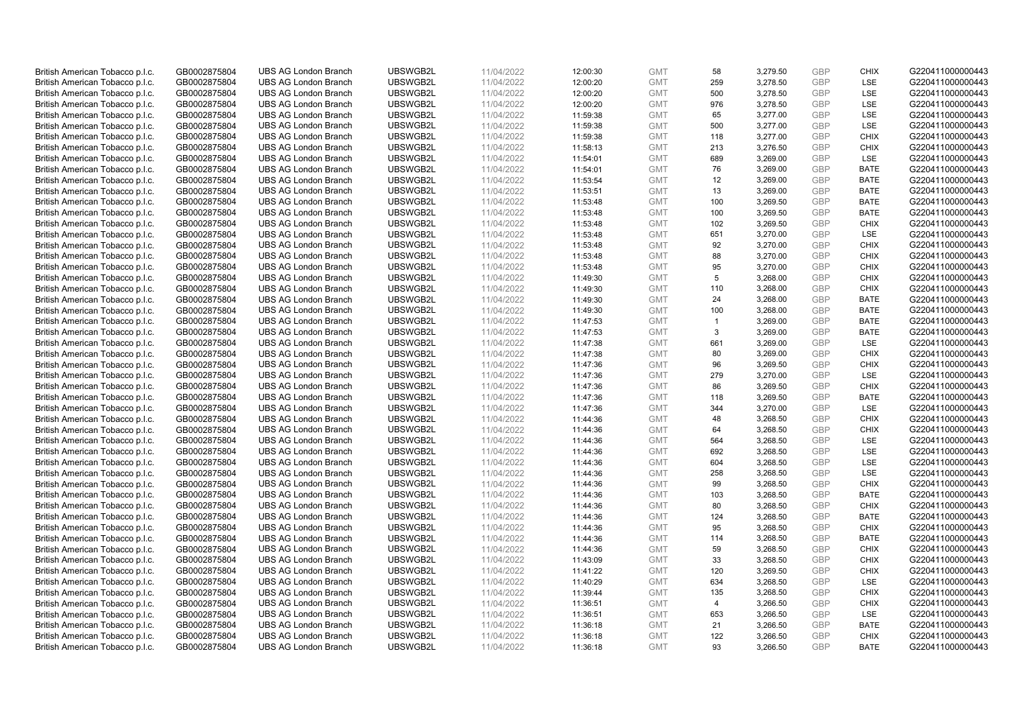| British American Tobacco p.l.c. | GB0002875804 | <b>UBS AG London Branch</b> | UBSWGB2L | 11/04/2022 | 12:00:30 | <b>GMT</b> | 58             | 3,279.50 | <b>GBP</b> | <b>CHIX</b> | G220411000000443 |
|---------------------------------|--------------|-----------------------------|----------|------------|----------|------------|----------------|----------|------------|-------------|------------------|
| British American Tobacco p.l.c. | GB0002875804 | <b>UBS AG London Branch</b> | UBSWGB2L | 11/04/2022 | 12:00:20 | <b>GMT</b> | 259            | 3,278.50 | <b>GBP</b> | LSE         | G220411000000443 |
|                                 |              |                             |          |            |          |            |                |          |            |             |                  |
| British American Tobacco p.l.c. | GB0002875804 | <b>UBS AG London Branch</b> | UBSWGB2L | 11/04/2022 | 12:00:20 | <b>GMT</b> | 500            | 3,278.50 | <b>GBP</b> | LSE         | G220411000000443 |
| British American Tobacco p.l.c. | GB0002875804 | <b>UBS AG London Branch</b> | UBSWGB2L | 11/04/2022 | 12:00:20 | <b>GMT</b> | 976            | 3,278.50 | <b>GBP</b> | LSE         | G220411000000443 |
| British American Tobacco p.l.c. | GB0002875804 | <b>UBS AG London Branch</b> | UBSWGB2L | 11/04/2022 | 11:59:38 | <b>GMT</b> | 65             | 3,277.00 | <b>GBP</b> | LSE         | G220411000000443 |
| British American Tobacco p.l.c. | GB0002875804 | <b>UBS AG London Branch</b> | UBSWGB2L | 11/04/2022 | 11:59:38 | <b>GMT</b> | 500            | 3,277.00 | <b>GBP</b> | <b>LSE</b>  | G220411000000443 |
| British American Tobacco p.l.c. | GB0002875804 | <b>UBS AG London Branch</b> | UBSWGB2L | 11/04/2022 | 11:59:38 | <b>GMT</b> | 118            | 3,277.00 | <b>GBP</b> | <b>CHIX</b> | G220411000000443 |
| British American Tobacco p.l.c. | GB0002875804 | <b>UBS AG London Branch</b> | UBSWGB2L | 11/04/2022 | 11:58:13 | <b>GMT</b> | 213            | 3,276.50 | <b>GBP</b> | <b>CHIX</b> | G220411000000443 |
| British American Tobacco p.l.c. | GB0002875804 | <b>UBS AG London Branch</b> | UBSWGB2L | 11/04/2022 | 11:54:01 | <b>GMT</b> | 689            | 3,269.00 | <b>GBP</b> | LSE         | G220411000000443 |
| British American Tobacco p.l.c. | GB0002875804 | <b>UBS AG London Branch</b> | UBSWGB2L | 11/04/2022 | 11:54:01 | <b>GMT</b> | 76             | 3,269.00 | <b>GBP</b> | <b>BATE</b> | G220411000000443 |
| British American Tobacco p.l.c. | GB0002875804 | <b>UBS AG London Branch</b> | UBSWGB2L | 11/04/2022 | 11:53:54 | <b>GMT</b> | 12             | 3,269.00 | <b>GBP</b> | <b>BATE</b> | G220411000000443 |
| British American Tobacco p.l.c. | GB0002875804 | <b>UBS AG London Branch</b> | UBSWGB2L | 11/04/2022 | 11:53:51 | <b>GMT</b> | 13             | 3,269.00 | <b>GBP</b> | <b>BATE</b> | G220411000000443 |
| British American Tobacco p.l.c. | GB0002875804 | <b>UBS AG London Branch</b> | UBSWGB2L | 11/04/2022 | 11:53:48 | <b>GMT</b> | 100            | 3,269.50 | <b>GBP</b> | <b>BATE</b> | G220411000000443 |
| British American Tobacco p.l.c. | GB0002875804 | <b>UBS AG London Branch</b> | UBSWGB2L | 11/04/2022 | 11:53:48 | <b>GMT</b> | 100            | 3,269.50 | <b>GBP</b> | <b>BATE</b> | G220411000000443 |
| British American Tobacco p.l.c. | GB0002875804 | <b>UBS AG London Branch</b> | UBSWGB2L | 11/04/2022 | 11:53:48 | <b>GMT</b> | 102            | 3,269.50 | <b>GBP</b> | <b>CHIX</b> | G220411000000443 |
| British American Tobacco p.l.c. | GB0002875804 | <b>UBS AG London Branch</b> | UBSWGB2L | 11/04/2022 | 11:53:48 | <b>GMT</b> | 651            | 3,270.00 | <b>GBP</b> | LSE         | G220411000000443 |
| British American Tobacco p.l.c. | GB0002875804 | <b>UBS AG London Branch</b> | UBSWGB2L | 11/04/2022 | 11:53:48 | <b>GMT</b> | 92             | 3,270.00 | <b>GBP</b> | <b>CHIX</b> | G220411000000443 |
| British American Tobacco p.l.c. | GB0002875804 | <b>UBS AG London Branch</b> | UBSWGB2L | 11/04/2022 | 11:53:48 | <b>GMT</b> | 88             | 3,270.00 | <b>GBP</b> | <b>CHIX</b> | G220411000000443 |
|                                 |              | <b>UBS AG London Branch</b> | UBSWGB2L |            |          |            |                |          |            |             |                  |
| British American Tobacco p.l.c. | GB0002875804 |                             |          | 11/04/2022 | 11:53:48 | <b>GMT</b> | 95             | 3,270.00 | <b>GBP</b> | <b>CHIX</b> | G220411000000443 |
| British American Tobacco p.l.c. | GB0002875804 | <b>UBS AG London Branch</b> | UBSWGB2L | 11/04/2022 | 11:49:30 | <b>GMT</b> | 5              | 3,268.00 | <b>GBP</b> | <b>CHIX</b> | G220411000000443 |
| British American Tobacco p.l.c. | GB0002875804 | <b>UBS AG London Branch</b> | UBSWGB2L | 11/04/2022 | 11:49:30 | <b>GMT</b> | 110            | 3,268.00 | <b>GBP</b> | <b>CHIX</b> | G220411000000443 |
| British American Tobacco p.l.c. | GB0002875804 | <b>UBS AG London Branch</b> | UBSWGB2L | 11/04/2022 | 11:49:30 | <b>GMT</b> | 24             | 3,268.00 | <b>GBP</b> | <b>BATE</b> | G220411000000443 |
| British American Tobacco p.l.c. | GB0002875804 | <b>UBS AG London Branch</b> | UBSWGB2L | 11/04/2022 | 11:49:30 | <b>GMT</b> | 100            | 3,268.00 | <b>GBP</b> | <b>BATE</b> | G220411000000443 |
| British American Tobacco p.l.c. | GB0002875804 | <b>UBS AG London Branch</b> | UBSWGB2L | 11/04/2022 | 11:47:53 | <b>GMT</b> | $\mathbf{1}$   | 3,269.00 | <b>GBP</b> | <b>BATE</b> | G220411000000443 |
| British American Tobacco p.l.c. | GB0002875804 | <b>UBS AG London Branch</b> | UBSWGB2L | 11/04/2022 | 11:47:53 | <b>GMT</b> | 3              | 3,269.00 | <b>GBP</b> | <b>BATE</b> | G220411000000443 |
| British American Tobacco p.l.c. | GB0002875804 | <b>UBS AG London Branch</b> | UBSWGB2L | 11/04/2022 | 11:47:38 | <b>GMT</b> | 661            | 3,269.00 | <b>GBP</b> | LSE         | G220411000000443 |
| British American Tobacco p.l.c. | GB0002875804 | <b>UBS AG London Branch</b> | UBSWGB2L | 11/04/2022 | 11:47:38 | <b>GMT</b> | 80             | 3,269.00 | <b>GBP</b> | <b>CHIX</b> | G220411000000443 |
| British American Tobacco p.l.c. | GB0002875804 | <b>UBS AG London Branch</b> | UBSWGB2L | 11/04/2022 | 11:47:36 | <b>GMT</b> | 96             | 3,269.50 | <b>GBP</b> | <b>CHIX</b> | G220411000000443 |
| British American Tobacco p.l.c. | GB0002875804 | <b>UBS AG London Branch</b> | UBSWGB2L | 11/04/2022 | 11:47:36 | <b>GMT</b> | 279            | 3,270.00 | <b>GBP</b> | <b>LSE</b>  | G220411000000443 |
| British American Tobacco p.l.c. | GB0002875804 | <b>UBS AG London Branch</b> | UBSWGB2L | 11/04/2022 | 11:47:36 | <b>GMT</b> | 86             | 3,269.50 | <b>GBP</b> | <b>CHIX</b> | G220411000000443 |
| British American Tobacco p.l.c. | GB0002875804 | <b>UBS AG London Branch</b> | UBSWGB2L | 11/04/2022 | 11:47:36 | <b>GMT</b> | 118            | 3,269.50 | <b>GBP</b> | <b>BATE</b> | G220411000000443 |
| British American Tobacco p.l.c. | GB0002875804 | <b>UBS AG London Branch</b> | UBSWGB2L | 11/04/2022 | 11:47:36 | <b>GMT</b> | 344            | 3,270.00 | <b>GBP</b> | LSE         | G220411000000443 |
| British American Tobacco p.l.c. | GB0002875804 | <b>UBS AG London Branch</b> | UBSWGB2L | 11/04/2022 | 11:44:36 | <b>GMT</b> | 48             | 3,268.50 | <b>GBP</b> | <b>CHIX</b> | G220411000000443 |
| British American Tobacco p.l.c. | GB0002875804 | <b>UBS AG London Branch</b> | UBSWGB2L | 11/04/2022 | 11:44:36 | <b>GMT</b> | 64             | 3,268.50 | <b>GBP</b> | <b>CHIX</b> | G220411000000443 |
| British American Tobacco p.l.c. | GB0002875804 | <b>UBS AG London Branch</b> | UBSWGB2L | 11/04/2022 | 11:44:36 | <b>GMT</b> | 564            | 3,268.50 | <b>GBP</b> | LSE         | G220411000000443 |
| British American Tobacco p.l.c. | GB0002875804 | <b>UBS AG London Branch</b> | UBSWGB2L | 11/04/2022 | 11:44:36 | <b>GMT</b> | 692            | 3,268.50 | <b>GBP</b> | LSE         | G220411000000443 |
| British American Tobacco p.l.c. | GB0002875804 | <b>UBS AG London Branch</b> | UBSWGB2L | 11/04/2022 | 11:44:36 | <b>GMT</b> | 604            | 3,268.50 | <b>GBP</b> | LSE         | G220411000000443 |
| British American Tobacco p.l.c. | GB0002875804 | <b>UBS AG London Branch</b> | UBSWGB2L | 11/04/2022 | 11:44:36 | <b>GMT</b> | 258            | 3,268.50 | <b>GBP</b> | LSE         | G220411000000443 |
| British American Tobacco p.l.c. | GB0002875804 | <b>UBS AG London Branch</b> | UBSWGB2L | 11/04/2022 | 11:44:36 | <b>GMT</b> | 99             | 3,268.50 | <b>GBP</b> | <b>CHIX</b> | G220411000000443 |
| British American Tobacco p.l.c. | GB0002875804 | <b>UBS AG London Branch</b> | UBSWGB2L | 11/04/2022 | 11:44:36 | <b>GMT</b> | 103            | 3,268.50 | <b>GBP</b> | <b>BATE</b> | G220411000000443 |
| British American Tobacco p.l.c. | GB0002875804 | <b>UBS AG London Branch</b> | UBSWGB2L | 11/04/2022 | 11:44:36 | <b>GMT</b> | 80             | 3,268.50 | <b>GBP</b> | <b>CHIX</b> | G220411000000443 |
| British American Tobacco p.l.c. | GB0002875804 | <b>UBS AG London Branch</b> | UBSWGB2L | 11/04/2022 | 11:44:36 | <b>GMT</b> | 124            | 3,268.50 | <b>GBP</b> | <b>BATE</b> | G220411000000443 |
| British American Tobacco p.l.c. | GB0002875804 | <b>UBS AG London Branch</b> | UBSWGB2L | 11/04/2022 | 11:44:36 | <b>GMT</b> | 95             | 3,268.50 | <b>GBP</b> | <b>CHIX</b> | G220411000000443 |
| British American Tobacco p.l.c. | GB0002875804 | <b>UBS AG London Branch</b> | UBSWGB2L | 11/04/2022 | 11:44:36 | <b>GMT</b> | 114            | 3,268.50 | <b>GBP</b> | <b>BATE</b> | G220411000000443 |
| British American Tobacco p.l.c. | GB0002875804 | UBS AG London Branch        | UBSWGB2L | 11/04/2022 | 11:44:36 | <b>GMT</b> | 59             | 3,268.50 | <b>GBP</b> | <b>CHIX</b> | G220411000000443 |
| British American Tobacco p.l.c. | GB0002875804 | <b>UBS AG London Branch</b> | UBSWGB2L | 11/04/2022 | 11:43:09 | <b>GMT</b> | 33             | 3,268.50 | <b>GBP</b> | <b>CHIX</b> | G220411000000443 |
| British American Tobacco p.l.c. | GB0002875804 | <b>UBS AG London Branch</b> | UBSWGB2L | 11/04/2022 | 11:41:22 | <b>GMT</b> | 120            | 3,269.50 | <b>GBP</b> | <b>CHIX</b> | G220411000000443 |
| British American Tobacco p.l.c. | GB0002875804 | <b>UBS AG London Branch</b> | UBSWGB2L | 11/04/2022 | 11:40:29 | <b>GMT</b> | 634            | 3,268.50 | <b>GBP</b> | LSE         | G220411000000443 |
|                                 |              |                             |          |            |          |            |                |          | <b>GBP</b> |             |                  |
| British American Tobacco p.l.c. | GB0002875804 | <b>UBS AG London Branch</b> | UBSWGB2L | 11/04/2022 | 11:39:44 | GMT        | 135            | 3,268.50 |            | <b>CHIX</b> | G220411000000443 |
| British American Tobacco p.l.c. | GB0002875804 | <b>UBS AG London Branch</b> | UBSWGB2L | 11/04/2022 | 11:36:51 | <b>GMT</b> | $\overline{4}$ | 3,266.50 | <b>GBP</b> | <b>CHIX</b> | G220411000000443 |
| British American Tobacco p.l.c. | GB0002875804 | <b>UBS AG London Branch</b> | UBSWGB2L | 11/04/2022 | 11:36:51 | <b>GMT</b> | 653            | 3,266.50 | <b>GBP</b> | LSE         | G220411000000443 |
| British American Tobacco p.l.c. | GB0002875804 | <b>UBS AG London Branch</b> | UBSWGB2L | 11/04/2022 | 11:36:18 | <b>GMT</b> | 21             | 3,266.50 | <b>GBP</b> | <b>BATE</b> | G220411000000443 |
| British American Tobacco p.l.c. | GB0002875804 | <b>UBS AG London Branch</b> | UBSWGB2L | 11/04/2022 | 11:36:18 | <b>GMT</b> | 122            | 3,266.50 | <b>GBP</b> | <b>CHIX</b> | G220411000000443 |
| British American Tobacco p.l.c. | GB0002875804 | <b>UBS AG London Branch</b> | UBSWGB2L | 11/04/2022 | 11:36:18 | <b>GMT</b> | 93             | 3,266.50 | GBP        | <b>BATE</b> | G220411000000443 |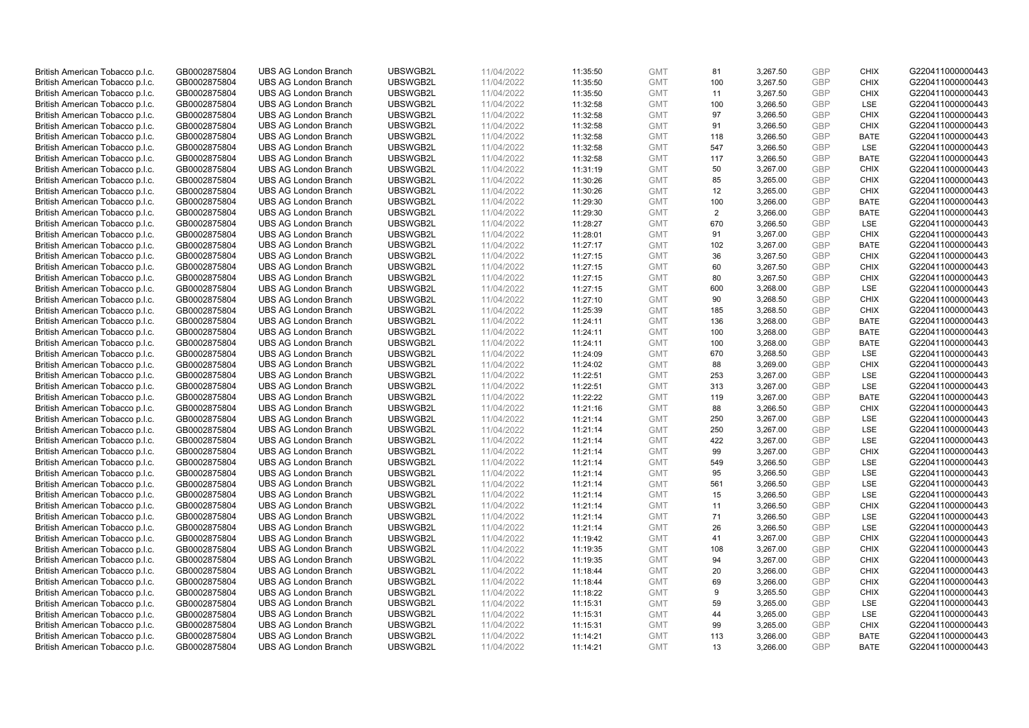| British American Tobacco p.l.c. | GB0002875804 | <b>UBS AG London Branch</b> | UBSWGB2L | 11/04/2022 | 11:35:50 | <b>GMT</b> | 81  | 3,267.50 | <b>GBP</b> | <b>CHIX</b> | G220411000000443 |
|---------------------------------|--------------|-----------------------------|----------|------------|----------|------------|-----|----------|------------|-------------|------------------|
|                                 | GB0002875804 | <b>UBS AG London Branch</b> | UBSWGB2L | 11/04/2022 |          | <b>GMT</b> | 100 | 3,267.50 | <b>GBP</b> | <b>CHIX</b> | G220411000000443 |
| British American Tobacco p.l.c. |              |                             |          |            | 11:35:50 |            |     |          |            |             |                  |
| British American Tobacco p.l.c. | GB0002875804 | <b>UBS AG London Branch</b> | UBSWGB2L | 11/04/2022 | 11:35:50 | <b>GMT</b> | 11  | 3,267.50 | <b>GBP</b> | <b>CHIX</b> | G220411000000443 |
| British American Tobacco p.l.c. | GB0002875804 | <b>UBS AG London Branch</b> | UBSWGB2L | 11/04/2022 | 11:32:58 | <b>GMT</b> | 100 | 3,266.50 | <b>GBP</b> | LSE         | G220411000000443 |
| British American Tobacco p.l.c. | GB0002875804 | <b>UBS AG London Branch</b> | UBSWGB2L | 11/04/2022 | 11:32:58 | <b>GMT</b> | 97  | 3,266.50 | <b>GBP</b> | <b>CHIX</b> | G220411000000443 |
| British American Tobacco p.l.c. | GB0002875804 | UBS AG London Branch        | UBSWGB2L | 11/04/2022 | 11:32:58 | <b>GMT</b> | 91  | 3,266.50 | <b>GBP</b> | <b>CHIX</b> | G220411000000443 |
| British American Tobacco p.l.c. | GB0002875804 | <b>UBS AG London Branch</b> | UBSWGB2L | 11/04/2022 | 11:32:58 | <b>GMT</b> | 118 | 3,266.50 | <b>GBP</b> | <b>BATE</b> | G220411000000443 |
| British American Tobacco p.l.c. | GB0002875804 | <b>UBS AG London Branch</b> | UBSWGB2L | 11/04/2022 | 11:32:58 | <b>GMT</b> | 547 | 3,266.50 | <b>GBP</b> | LSE         | G220411000000443 |
| British American Tobacco p.l.c. | GB0002875804 | <b>UBS AG London Branch</b> | UBSWGB2L | 11/04/2022 | 11:32:58 | <b>GMT</b> | 117 | 3,266.50 | <b>GBP</b> | <b>BATE</b> | G220411000000443 |
| British American Tobacco p.l.c. | GB0002875804 | <b>UBS AG London Branch</b> | UBSWGB2L | 11/04/2022 | 11:31:19 | <b>GMT</b> | 50  | 3,267.00 | <b>GBP</b> | <b>CHIX</b> | G220411000000443 |
| British American Tobacco p.l.c. | GB0002875804 | <b>UBS AG London Branch</b> | UBSWGB2L | 11/04/2022 | 11:30:26 | <b>GMT</b> | 85  | 3,265.00 | <b>GBP</b> | <b>CHIX</b> | G220411000000443 |
| British American Tobacco p.l.c. | GB0002875804 | <b>UBS AG London Branch</b> | UBSWGB2L | 11/04/2022 | 11:30:26 | <b>GMT</b> | 12  | 3,265.00 | <b>GBP</b> | <b>CHIX</b> | G220411000000443 |
| British American Tobacco p.l.c. | GB0002875804 | <b>UBS AG London Branch</b> | UBSWGB2L | 11/04/2022 | 11:29:30 | <b>GMT</b> | 100 | 3,266.00 | <b>GBP</b> | <b>BATE</b> | G220411000000443 |
| British American Tobacco p.l.c. | GB0002875804 | <b>UBS AG London Branch</b> | UBSWGB2L | 11/04/2022 | 11:29:30 | <b>GMT</b> | 2   | 3,266.00 | <b>GBP</b> | <b>BATE</b> | G220411000000443 |
| British American Tobacco p.l.c. | GB0002875804 | <b>UBS AG London Branch</b> | UBSWGB2L | 11/04/2022 |          | <b>GMT</b> | 670 | 3,266.50 | <b>GBP</b> | LSE         | G220411000000443 |
|                                 |              |                             |          |            | 11:28:27 |            |     |          |            |             |                  |
| British American Tobacco p.l.c. | GB0002875804 | <b>UBS AG London Branch</b> | UBSWGB2L | 11/04/2022 | 11:28:01 | <b>GMT</b> | 91  | 3,267.00 | <b>GBP</b> | <b>CHIX</b> | G220411000000443 |
| British American Tobacco p.l.c. | GB0002875804 | <b>UBS AG London Branch</b> | UBSWGB2L | 11/04/2022 | 11:27:17 | <b>GMT</b> | 102 | 3,267.00 | GBP        | <b>BATE</b> | G220411000000443 |
| British American Tobacco p.l.c. | GB0002875804 | <b>UBS AG London Branch</b> | UBSWGB2L | 11/04/2022 | 11:27:15 | <b>GMT</b> | 36  | 3,267.50 | <b>GBP</b> | <b>CHIX</b> | G220411000000443 |
| British American Tobacco p.l.c. | GB0002875804 | <b>UBS AG London Branch</b> | UBSWGB2L | 11/04/2022 | 11:27:15 | <b>GMT</b> | 60  | 3,267.50 | <b>GBP</b> | <b>CHIX</b> | G220411000000443 |
| British American Tobacco p.l.c. | GB0002875804 | <b>UBS AG London Branch</b> | UBSWGB2L | 11/04/2022 | 11:27:15 | <b>GMT</b> | 80  | 3,267.50 | <b>GBP</b> | <b>CHIX</b> | G220411000000443 |
| British American Tobacco p.l.c. | GB0002875804 | <b>UBS AG London Branch</b> | UBSWGB2L | 11/04/2022 | 11:27:15 | <b>GMT</b> | 600 | 3,268.00 | <b>GBP</b> | LSE         | G220411000000443 |
| British American Tobacco p.l.c. | GB0002875804 | <b>UBS AG London Branch</b> | UBSWGB2L | 11/04/2022 | 11:27:10 | <b>GMT</b> | 90  | 3,268.50 | <b>GBP</b> | <b>CHIX</b> | G220411000000443 |
| British American Tobacco p.l.c. | GB0002875804 | <b>UBS AG London Branch</b> | UBSWGB2L | 11/04/2022 | 11:25:39 | <b>GMT</b> | 185 | 3,268.50 | <b>GBP</b> | <b>CHIX</b> | G220411000000443 |
| British American Tobacco p.l.c. | GB0002875804 | <b>UBS AG London Branch</b> | UBSWGB2L | 11/04/2022 | 11:24:11 | <b>GMT</b> | 136 | 3,268.00 | <b>GBP</b> | <b>BATE</b> | G220411000000443 |
| British American Tobacco p.l.c. | GB0002875804 | <b>UBS AG London Branch</b> | UBSWGB2L | 11/04/2022 | 11:24:11 | <b>GMT</b> | 100 | 3,268.00 | <b>GBP</b> | <b>BATE</b> | G220411000000443 |
| British American Tobacco p.l.c. | GB0002875804 | <b>UBS AG London Branch</b> | UBSWGB2L | 11/04/2022 | 11:24:11 | <b>GMT</b> | 100 | 3,268.00 | <b>GBP</b> | <b>BATE</b> | G220411000000443 |
| British American Tobacco p.l.c. | GB0002875804 | <b>UBS AG London Branch</b> | UBSWGB2L | 11/04/2022 | 11:24:09 | <b>GMT</b> | 670 | 3,268.50 | <b>GBP</b> | <b>LSE</b>  | G220411000000443 |
| British American Tobacco p.l.c. | GB0002875804 | <b>UBS AG London Branch</b> | UBSWGB2L | 11/04/2022 | 11:24:02 | <b>GMT</b> | 88  | 3,269.00 | <b>GBP</b> | <b>CHIX</b> | G220411000000443 |
| British American Tobacco p.l.c. | GB0002875804 | <b>UBS AG London Branch</b> | UBSWGB2L | 11/04/2022 | 11:22:51 | <b>GMT</b> | 253 | 3,267.00 | <b>GBP</b> | <b>LSE</b>  | G220411000000443 |
| British American Tobacco p.l.c. | GB0002875804 | <b>UBS AG London Branch</b> | UBSWGB2L | 11/04/2022 | 11:22:51 | <b>GMT</b> | 313 | 3,267.00 | <b>GBP</b> | LSE         | G220411000000443 |
| British American Tobacco p.l.c. | GB0002875804 | <b>UBS AG London Branch</b> | UBSWGB2L | 11/04/2022 |          | <b>GMT</b> | 119 | 3,267.00 | <b>GBP</b> | <b>BATE</b> | G220411000000443 |
|                                 |              | UBS AG London Branch        | UBSWGB2L |            | 11:22:22 |            | 88  |          | <b>GBP</b> | <b>CHIX</b> |                  |
| British American Tobacco p.l.c. | GB0002875804 |                             |          | 11/04/2022 | 11:21:16 | <b>GMT</b> |     | 3,266.50 |            |             | G220411000000443 |
| British American Tobacco p.l.c. | GB0002875804 | <b>UBS AG London Branch</b> | UBSWGB2L | 11/04/2022 | 11:21:14 | <b>GMT</b> | 250 | 3,267.00 | <b>GBP</b> | LSE         | G220411000000443 |
| British American Tobacco p.l.c. | GB0002875804 | <b>UBS AG London Branch</b> | UBSWGB2L | 11/04/2022 | 11:21:14 | <b>GMT</b> | 250 | 3,267.00 | <b>GBP</b> | LSE         | G220411000000443 |
| British American Tobacco p.l.c. | GB0002875804 | <b>UBS AG London Branch</b> | UBSWGB2L | 11/04/2022 | 11:21:14 | <b>GMT</b> | 422 | 3,267.00 | <b>GBP</b> | LSE         | G220411000000443 |
| British American Tobacco p.l.c. | GB0002875804 | <b>UBS AG London Branch</b> | UBSWGB2L | 11/04/2022 | 11:21:14 | <b>GMT</b> | 99  | 3,267.00 | <b>GBP</b> | <b>CHIX</b> | G220411000000443 |
| British American Tobacco p.l.c. | GB0002875804 | <b>UBS AG London Branch</b> | UBSWGB2L | 11/04/2022 | 11:21:14 | <b>GMT</b> | 549 | 3,266.50 | <b>GBP</b> | <b>LSE</b>  | G220411000000443 |
| British American Tobacco p.l.c. | GB0002875804 | <b>UBS AG London Branch</b> | UBSWGB2L | 11/04/2022 | 11:21:14 | <b>GMT</b> | 95  | 3,266.50 | <b>GBP</b> | LSE         | G220411000000443 |
| British American Tobacco p.l.c. | GB0002875804 | <b>UBS AG London Branch</b> | UBSWGB2L | 11/04/2022 | 11:21:14 | <b>GMT</b> | 561 | 3,266.50 | <b>GBP</b> | LSE         | G220411000000443 |
| British American Tobacco p.l.c. | GB0002875804 | UBS AG London Branch        | UBSWGB2L | 11/04/2022 | 11:21:14 | <b>GMT</b> | 15  | 3,266.50 | <b>GBP</b> | <b>LSE</b>  | G220411000000443 |
| British American Tobacco p.l.c. | GB0002875804 | <b>UBS AG London Branch</b> | UBSWGB2L | 11/04/2022 | 11:21:14 | <b>GMT</b> | 11  | 3,266.50 | <b>GBP</b> | <b>CHIX</b> | G220411000000443 |
| British American Tobacco p.l.c. | GB0002875804 | <b>UBS AG London Branch</b> | UBSWGB2L | 11/04/2022 | 11:21:14 | <b>GMT</b> | 71  | 3,266.50 | <b>GBP</b> | <b>LSE</b>  | G220411000000443 |
| British American Tobacco p.l.c. | GB0002875804 | <b>UBS AG London Branch</b> | UBSWGB2L | 11/04/2022 | 11:21:14 | <b>GMT</b> | 26  | 3,266.50 | <b>GBP</b> | LSE         | G220411000000443 |
| British American Tobacco p.l.c. | GB0002875804 | <b>UBS AG London Branch</b> | UBSWGB2L | 11/04/2022 | 11:19:42 | <b>GMT</b> | 41  | 3,267.00 | <b>GBP</b> | <b>CHIX</b> | G220411000000443 |
| British American Tobacco p.l.c. | GB0002875804 | UBS AG London Branch        | UBSWGB2L | 11/04/2022 | 11:19:35 | <b>GMT</b> | 108 | 3,267.00 | <b>GBP</b> | <b>CHIX</b> | G220411000000443 |
| British American Tobacco p.l.c. | GB0002875804 | <b>UBS AG London Branch</b> | UBSWGB2L | 11/04/2022 | 11:19:35 | <b>GMT</b> | 94  | 3,267.00 | <b>GBP</b> | <b>CHIX</b> | G220411000000443 |
| British American Tobacco p.l.c. | GB0002875804 | <b>UBS AG London Branch</b> | UBSWGB2L | 11/04/2022 | 11:18:44 | <b>GMT</b> | 20  | 3,266.00 | <b>GBP</b> | <b>CHIX</b> | G220411000000443 |
| British American Tobacco p.l.c. | GB0002875804 | <b>UBS AG London Branch</b> | UBSWGB2L | 11/04/2022 | 11:18:44 | <b>GMT</b> | 69  | 3,266.00 | <b>GBP</b> | <b>CHIX</b> | G220411000000443 |
| British American Tobacco p.l.c. | GB0002875804 | <b>UBS AG London Branch</b> | UBSWGB2L | 11/04/2022 | 11:18:22 | GMT        | 9   | 3,265.50 | <b>GBP</b> | <b>CHIX</b> | G220411000000443 |
| British American Tobacco p.l.c. | GB0002875804 | <b>UBS AG London Branch</b> | UBSWGB2L | 11/04/2022 | 11:15:31 | <b>GMT</b> | 59  | 3,265.00 | <b>GBP</b> | <b>LSE</b>  | G220411000000443 |
| British American Tobacco p.l.c. | GB0002875804 | <b>UBS AG London Branch</b> | UBSWGB2L | 11/04/2022 | 11:15:31 | <b>GMT</b> | 44  | 3,265.00 | <b>GBP</b> | LSE         | G220411000000443 |
| British American Tobacco p.l.c. | GB0002875804 | <b>UBS AG London Branch</b> | UBSWGB2L | 11/04/2022 | 11:15:31 | <b>GMT</b> | 99  | 3,265.00 | <b>GBP</b> | <b>CHIX</b> | G220411000000443 |
|                                 | GB0002875804 |                             | UBSWGB2L | 11/04/2022 |          | <b>GMT</b> | 113 |          | <b>GBP</b> | <b>BATE</b> |                  |
| British American Tobacco p.l.c. |              | <b>UBS AG London Branch</b> |          |            | 11:14:21 |            | 13  | 3,266.00 | GBP        |             | G220411000000443 |
| British American Tobacco p.l.c. | GB0002875804 | <b>UBS AG London Branch</b> | UBSWGB2L | 11/04/2022 | 11:14:21 | <b>GMT</b> |     | 3,266.00 |            | <b>BATE</b> | G220411000000443 |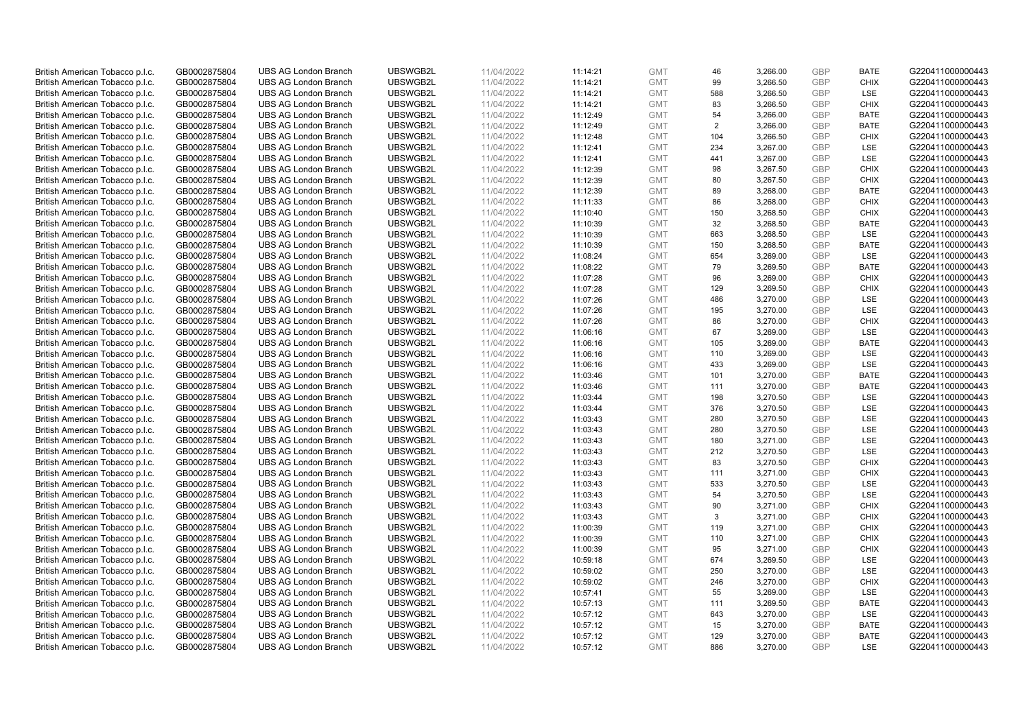| British American Tobacco p.l.c. | GB0002875804 | <b>UBS AG London Branch</b> | UBSWGB2L | 11/04/2022 | 11:14:21 | <b>GMT</b> | 46  | 3,266.00 | <b>GBP</b> | <b>BATE</b> | G220411000000443 |
|---------------------------------|--------------|-----------------------------|----------|------------|----------|------------|-----|----------|------------|-------------|------------------|
|                                 |              |                             |          |            |          |            |     |          |            |             |                  |
| British American Tobacco p.l.c. | GB0002875804 | <b>UBS AG London Branch</b> | UBSWGB2L | 11/04/2022 | 11:14:21 | <b>GMT</b> | 99  | 3,266.50 | <b>GBP</b> | <b>CHIX</b> | G220411000000443 |
| British American Tobacco p.l.c. | GB0002875804 | <b>UBS AG London Branch</b> | UBSWGB2L | 11/04/2022 | 11:14:21 | <b>GMT</b> | 588 | 3,266.50 | <b>GBP</b> | LSE         | G220411000000443 |
| British American Tobacco p.l.c. | GB0002875804 | <b>UBS AG London Branch</b> | UBSWGB2L | 11/04/2022 | 11:14:21 | <b>GMT</b> | 83  | 3,266.50 | <b>GBP</b> | <b>CHIX</b> | G220411000000443 |
| British American Tobacco p.l.c. | GB0002875804 | <b>UBS AG London Branch</b> | UBSWGB2L | 11/04/2022 | 11:12:49 | <b>GMT</b> | 54  | 3,266.00 | <b>GBP</b> | <b>BATE</b> | G220411000000443 |
| British American Tobacco p.l.c. | GB0002875804 | UBS AG London Branch        | UBSWGB2L | 11/04/2022 | 11:12:49 | <b>GMT</b> | 2   | 3,266.00 | <b>GBP</b> | <b>BATE</b> | G220411000000443 |
| British American Tobacco p.l.c. | GB0002875804 | <b>UBS AG London Branch</b> | UBSWGB2L | 11/04/2022 | 11:12:48 | <b>GMT</b> | 104 | 3,266.50 | <b>GBP</b> | <b>CHIX</b> | G220411000000443 |
| British American Tobacco p.l.c. | GB0002875804 | <b>UBS AG London Branch</b> | UBSWGB2L | 11/04/2022 | 11:12:41 | <b>GMT</b> | 234 | 3,267.00 | <b>GBP</b> | LSE         | G220411000000443 |
| British American Tobacco p.l.c. | GB0002875804 | <b>UBS AG London Branch</b> | UBSWGB2L | 11/04/2022 | 11:12:41 | <b>GMT</b> | 441 | 3,267.00 | <b>GBP</b> | LSE         | G220411000000443 |
| British American Tobacco p.l.c. | GB0002875804 | <b>UBS AG London Branch</b> | UBSWGB2L | 11/04/2022 | 11:12:39 | <b>GMT</b> | 98  | 3,267.50 | <b>GBP</b> | <b>CHIX</b> | G220411000000443 |
| British American Tobacco p.l.c. | GB0002875804 | <b>UBS AG London Branch</b> | UBSWGB2L | 11/04/2022 | 11:12:39 | <b>GMT</b> | 80  | 3,267.50 | <b>GBP</b> | <b>CHIX</b> | G220411000000443 |
| British American Tobacco p.l.c. | GB0002875804 | <b>UBS AG London Branch</b> | UBSWGB2L | 11/04/2022 | 11:12:39 | <b>GMT</b> | 89  | 3,268.00 | <b>GBP</b> | <b>BATE</b> | G220411000000443 |
| British American Tobacco p.l.c. | GB0002875804 | <b>UBS AG London Branch</b> | UBSWGB2L | 11/04/2022 | 11:11:33 | <b>GMT</b> | 86  | 3,268.00 | <b>GBP</b> | <b>CHIX</b> | G220411000000443 |
|                                 |              |                             |          |            |          |            |     |          |            |             |                  |
| British American Tobacco p.l.c. | GB0002875804 | <b>UBS AG London Branch</b> | UBSWGB2L | 11/04/2022 | 11:10:40 | <b>GMT</b> | 150 | 3,268.50 | <b>GBP</b> | <b>CHIX</b> | G220411000000443 |
| British American Tobacco p.l.c. | GB0002875804 | <b>UBS AG London Branch</b> | UBSWGB2L | 11/04/2022 | 11:10:39 | <b>GMT</b> | 32  | 3,268.50 | <b>GBP</b> | <b>BATE</b> | G220411000000443 |
| British American Tobacco p.l.c. | GB0002875804 | <b>UBS AG London Branch</b> | UBSWGB2L | 11/04/2022 | 11:10:39 | <b>GMT</b> | 663 | 3,268.50 | <b>GBP</b> | LSE         | G220411000000443 |
| British American Tobacco p.l.c. | GB0002875804 | <b>UBS AG London Branch</b> | UBSWGB2L | 11/04/2022 | 11:10:39 | <b>GMT</b> | 150 | 3,268.50 | <b>GBP</b> | <b>BATE</b> | G220411000000443 |
| British American Tobacco p.l.c. | GB0002875804 | <b>UBS AG London Branch</b> | UBSWGB2L | 11/04/2022 | 11:08:24 | <b>GMT</b> | 654 | 3,269.00 | <b>GBP</b> | LSE         | G220411000000443 |
| British American Tobacco p.l.c. | GB0002875804 | <b>UBS AG London Branch</b> | UBSWGB2L | 11/04/2022 | 11:08:22 | <b>GMT</b> | 79  | 3,269.50 | <b>GBP</b> | <b>BATE</b> | G220411000000443 |
| British American Tobacco p.l.c. | GB0002875804 | <b>UBS AG London Branch</b> | UBSWGB2L | 11/04/2022 | 11:07:28 | <b>GMT</b> | 96  | 3,269.00 | <b>GBP</b> | <b>CHIX</b> | G220411000000443 |
| British American Tobacco p.l.c. | GB0002875804 | <b>UBS AG London Branch</b> | UBSWGB2L | 11/04/2022 | 11:07:28 | <b>GMT</b> | 129 | 3,269.50 | <b>GBP</b> | <b>CHIX</b> | G220411000000443 |
| British American Tobacco p.l.c. | GB0002875804 | <b>UBS AG London Branch</b> | UBSWGB2L | 11/04/2022 | 11:07:26 | <b>GMT</b> | 486 | 3,270.00 | <b>GBP</b> | LSE         | G220411000000443 |
| British American Tobacco p.l.c. | GB0002875804 | <b>UBS AG London Branch</b> | UBSWGB2L | 11/04/2022 | 11:07:26 | <b>GMT</b> | 195 | 3,270.00 | <b>GBP</b> | LSE         | G220411000000443 |
| British American Tobacco p.l.c. | GB0002875804 | <b>UBS AG London Branch</b> | UBSWGB2L | 11/04/2022 | 11:07:26 | <b>GMT</b> | 86  | 3,270.00 | <b>GBP</b> | <b>CHIX</b> | G220411000000443 |
| British American Tobacco p.l.c. | GB0002875804 | <b>UBS AG London Branch</b> | UBSWGB2L | 11/04/2022 | 11:06:16 | <b>GMT</b> | 67  | 3,269.00 | <b>GBP</b> | LSE         | G220411000000443 |
| British American Tobacco p.l.c. | GB0002875804 | <b>UBS AG London Branch</b> | UBSWGB2L | 11/04/2022 | 11:06:16 | <b>GMT</b> | 105 | 3,269.00 | <b>GBP</b> | <b>BATE</b> | G220411000000443 |
| British American Tobacco p.l.c. | GB0002875804 | <b>UBS AG London Branch</b> | UBSWGB2L | 11/04/2022 | 11:06:16 | <b>GMT</b> | 110 | 3,269.00 | <b>GBP</b> | <b>LSE</b>  | G220411000000443 |
| British American Tobacco p.l.c. | GB0002875804 | <b>UBS AG London Branch</b> | UBSWGB2L | 11/04/2022 | 11:06:16 | <b>GMT</b> | 433 | 3,269.00 | <b>GBP</b> | LSE         | G220411000000443 |
|                                 |              |                             |          |            |          |            |     |          |            |             |                  |
| British American Tobacco p.l.c. | GB0002875804 | <b>UBS AG London Branch</b> | UBSWGB2L | 11/04/2022 | 11:03:46 | <b>GMT</b> | 101 | 3,270.00 | <b>GBP</b> | <b>BATE</b> | G220411000000443 |
| British American Tobacco p.l.c. | GB0002875804 | <b>UBS AG London Branch</b> | UBSWGB2L | 11/04/2022 | 11:03:46 | <b>GMT</b> | 111 | 3,270.00 | <b>GBP</b> | <b>BATE</b> | G220411000000443 |
| British American Tobacco p.l.c. | GB0002875804 | <b>UBS AG London Branch</b> | UBSWGB2L | 11/04/2022 | 11:03:44 | <b>GMT</b> | 198 | 3,270.50 | <b>GBP</b> | LSE         | G220411000000443 |
| British American Tobacco p.l.c. | GB0002875804 | UBS AG London Branch        | UBSWGB2L | 11/04/2022 | 11:03:44 | <b>GMT</b> | 376 | 3,270.50 | <b>GBP</b> | <b>LSE</b>  | G220411000000443 |
| British American Tobacco p.l.c. | GB0002875804 | <b>UBS AG London Branch</b> | UBSWGB2L | 11/04/2022 | 11:03:43 | <b>GMT</b> | 280 | 3,270.50 | <b>GBP</b> | LSE         | G220411000000443 |
| British American Tobacco p.l.c. | GB0002875804 | <b>UBS AG London Branch</b> | UBSWGB2L | 11/04/2022 | 11:03:43 | <b>GMT</b> | 280 | 3,270.50 | <b>GBP</b> | LSE         | G220411000000443 |
| British American Tobacco p.l.c. | GB0002875804 | <b>UBS AG London Branch</b> | UBSWGB2L | 11/04/2022 | 11:03:43 | <b>GMT</b> | 180 | 3,271.00 | <b>GBP</b> | LSE         | G220411000000443 |
| British American Tobacco p.l.c. | GB0002875804 | <b>UBS AG London Branch</b> | UBSWGB2L | 11/04/2022 | 11:03:43 | <b>GMT</b> | 212 | 3,270.50 | <b>GBP</b> | LSE         | G220411000000443 |
| British American Tobacco p.l.c. | GB0002875804 | <b>UBS AG London Branch</b> | UBSWGB2L | 11/04/2022 | 11:03:43 | <b>GMT</b> | 83  | 3,270.50 | <b>GBP</b> | <b>CHIX</b> | G220411000000443 |
| British American Tobacco p.l.c. | GB0002875804 | <b>UBS AG London Branch</b> | UBSWGB2L | 11/04/2022 | 11:03:43 | <b>GMT</b> | 111 | 3,271.00 | <b>GBP</b> | <b>CHIX</b> | G220411000000443 |
| British American Tobacco p.l.c. | GB0002875804 | <b>UBS AG London Branch</b> | UBSWGB2L | 11/04/2022 | 11:03:43 | <b>GMT</b> | 533 | 3,270.50 | <b>GBP</b> | LSE         | G220411000000443 |
| British American Tobacco p.l.c. | GB0002875804 | UBS AG London Branch        | UBSWGB2L | 11/04/2022 | 11:03:43 | <b>GMT</b> | 54  | 3,270.50 | <b>GBP</b> | <b>LSE</b>  | G220411000000443 |
| British American Tobacco p.l.c. | GB0002875804 | <b>UBS AG London Branch</b> | UBSWGB2L | 11/04/2022 | 11:03:43 | <b>GMT</b> | 90  | 3,271.00 | <b>GBP</b> | <b>CHIX</b> | G220411000000443 |
| British American Tobacco p.l.c. | GB0002875804 | <b>UBS AG London Branch</b> | UBSWGB2L | 11/04/2022 | 11:03:43 | <b>GMT</b> | 3   | 3,271.00 | <b>GBP</b> | <b>CHIX</b> | G220411000000443 |
| British American Tobacco p.l.c. | GB0002875804 | <b>UBS AG London Branch</b> | UBSWGB2L | 11/04/2022 | 11:00:39 | <b>GMT</b> | 119 | 3,271.00 | <b>GBP</b> | <b>CHIX</b> | G220411000000443 |
| British American Tobacco p.l.c. | GB0002875804 | <b>UBS AG London Branch</b> | UBSWGB2L | 11/04/2022 | 11:00:39 | <b>GMT</b> | 110 | 3,271.00 | <b>GBP</b> | <b>CHIX</b> | G220411000000443 |
|                                 |              |                             | UBSWGB2L |            |          |            | 95  |          |            |             |                  |
| British American Tobacco p.l.c. | GB0002875804 | UBS AG London Branch        |          | 11/04/2022 | 11:00:39 | <b>GMT</b> |     | 3,271.00 | <b>GBP</b> | <b>CHIX</b> | G220411000000443 |
| British American Tobacco p.l.c. | GB0002875804 | <b>UBS AG London Branch</b> | UBSWGB2L | 11/04/2022 | 10:59:18 | <b>GMT</b> | 674 | 3,269.50 | <b>GBP</b> | LSE         | G220411000000443 |
| British American Tobacco p.l.c. | GB0002875804 | <b>UBS AG London Branch</b> | UBSWGB2L | 11/04/2022 | 10:59:02 | <b>GMT</b> | 250 | 3,270.00 | <b>GBP</b> | LSE         | G220411000000443 |
| British American Tobacco p.l.c. | GB0002875804 | <b>UBS AG London Branch</b> | UBSWGB2L | 11/04/2022 | 10:59:02 | <b>GMT</b> | 246 | 3,270.00 | <b>GBP</b> | <b>CHIX</b> | G220411000000443 |
| British American Tobacco p.l.c. | GB0002875804 | <b>UBS AG London Branch</b> | UBSWGB2L | 11/04/2022 | 10:57:41 | GMT        | 55  | 3,269.00 | <b>GBP</b> | LSE         | G220411000000443 |
| British American Tobacco p.l.c. | GB0002875804 | <b>UBS AG London Branch</b> | UBSWGB2L | 11/04/2022 | 10:57:13 | <b>GMT</b> | 111 | 3,269.50 | <b>GBP</b> | <b>BATE</b> | G220411000000443 |
| British American Tobacco p.l.c. | GB0002875804 | <b>UBS AG London Branch</b> | UBSWGB2L | 11/04/2022 | 10:57:12 | <b>GMT</b> | 643 | 3,270.00 | <b>GBP</b> | LSE         | G220411000000443 |
| British American Tobacco p.l.c. | GB0002875804 | <b>UBS AG London Branch</b> | UBSWGB2L | 11/04/2022 | 10:57:12 | <b>GMT</b> | 15  | 3,270.00 | <b>GBP</b> | <b>BATE</b> | G220411000000443 |
| British American Tobacco p.l.c. | GB0002875804 | <b>UBS AG London Branch</b> | UBSWGB2L | 11/04/2022 | 10:57:12 | <b>GMT</b> | 129 | 3,270.00 | <b>GBP</b> | <b>BATE</b> | G220411000000443 |
| British American Tobacco p.l.c. | GB0002875804 | <b>UBS AG London Branch</b> | UBSWGB2L | 11/04/2022 | 10:57:12 | <b>GMT</b> | 886 | 3,270.00 | GBP        | <b>LSE</b>  | G220411000000443 |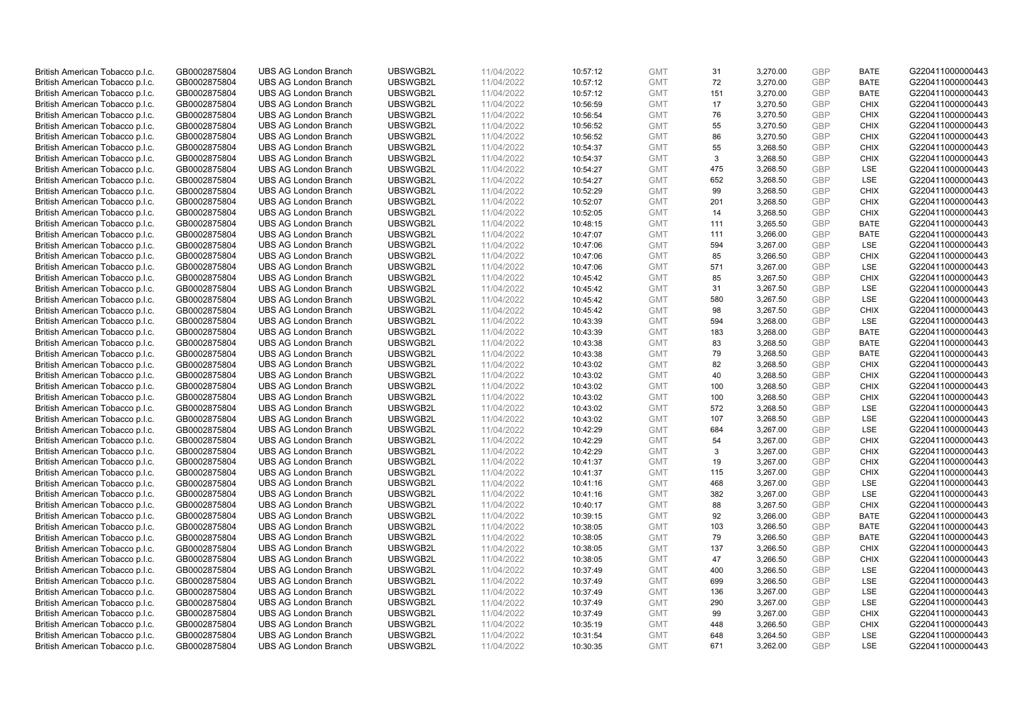| British American Tobacco p.l.c. | GB0002875804 | <b>UBS AG London Branch</b> | UBSWGB2L             | 11/04/2022 | 10:57:12             | <b>GMT</b> | 31  | 3,270.00 | <b>GBP</b>               | <b>BATE</b> | G220411000000443                     |
|---------------------------------|--------------|-----------------------------|----------------------|------------|----------------------|------------|-----|----------|--------------------------|-------------|--------------------------------------|
| British American Tobacco p.l.c. | GB0002875804 | <b>UBS AG London Branch</b> | UBSWGB2L             | 11/04/2022 | 10:57:12             | <b>GMT</b> | 72  | 3,270.00 | <b>GBP</b>               | <b>BATE</b> | G220411000000443                     |
| British American Tobacco p.l.c. | GB0002875804 | <b>UBS AG London Branch</b> | UBSWGB2L             | 11/04/2022 | 10:57:12             | <b>GMT</b> | 151 | 3,270.00 | <b>GBP</b>               | <b>BATE</b> | G220411000000443                     |
| British American Tobacco p.l.c. | GB0002875804 | <b>UBS AG London Branch</b> | UBSWGB2L             | 11/04/2022 | 10:56:59             | <b>GMT</b> | 17  | 3,270.50 | GBP                      | <b>CHIX</b> | G220411000000443                     |
| British American Tobacco p.l.c. | GB0002875804 | <b>UBS AG London Branch</b> | UBSWGB2L             | 11/04/2022 | 10:56:54             | <b>GMT</b> | 76  | 3,270.50 | <b>GBP</b>               | <b>CHIX</b> | G220411000000443                     |
|                                 |              |                             | UBSWGB2L             |            |                      |            |     |          |                          |             |                                      |
| British American Tobacco p.l.c. | GB0002875804 | <b>UBS AG London Branch</b> |                      | 11/04/2022 | 10:56:52             | <b>GMT</b> | 55  | 3,270.50 | <b>GBP</b>               | <b>CHIX</b> | G220411000000443                     |
| British American Tobacco p.l.c. | GB0002875804 | <b>UBS AG London Branch</b> | UBSWGB2L             | 11/04/2022 | 10:56:52             | <b>GMT</b> | 86  | 3,270.50 | <b>GBP</b>               | <b>CHIX</b> | G220411000000443                     |
| British American Tobacco p.l.c. | GB0002875804 | <b>UBS AG London Branch</b> | UBSWGB2L             | 11/04/2022 | 10:54:37             | <b>GMT</b> | 55  | 3,268.50 | GBP                      | <b>CHIX</b> | G220411000000443                     |
| British American Tobacco p.l.c. | GB0002875804 | <b>UBS AG London Branch</b> | UBSWGB2L             | 11/04/2022 | 10:54:37             | <b>GMT</b> | 3   | 3,268.50 | <b>GBP</b>               | <b>CHIX</b> | G220411000000443                     |
| British American Tobacco p.l.c. | GB0002875804 | <b>UBS AG London Branch</b> | UBSWGB2L             | 11/04/2022 | 10:54:27             | <b>GMT</b> | 475 | 3,268.50 | <b>GBP</b>               | LSE         | G220411000000443                     |
| British American Tobacco p.l.c. | GB0002875804 | <b>UBS AG London Branch</b> | UBSWGB2L             | 11/04/2022 | 10:54:27             | <b>GMT</b> | 652 | 3,268.50 | <b>GBP</b>               | LSE         | G220411000000443                     |
| British American Tobacco p.l.c. | GB0002875804 | <b>UBS AG London Branch</b> | UBSWGB2L             | 11/04/2022 | 10:52:29             | <b>GMT</b> | 99  | 3,268.50 | <b>GBP</b>               | <b>CHIX</b> | G220411000000443                     |
| British American Tobacco p.l.c. | GB0002875804 | <b>UBS AG London Branch</b> | UBSWGB2L             | 11/04/2022 | 10:52:07             | <b>GMT</b> | 201 | 3,268.50 | <b>GBP</b>               | <b>CHIX</b> | G220411000000443                     |
| British American Tobacco p.l.c. | GB0002875804 | <b>UBS AG London Branch</b> | UBSWGB2L             | 11/04/2022 | 10:52:05             | <b>GMT</b> | 14  | 3,268.50 | <b>GBP</b>               | <b>CHIX</b> | G220411000000443                     |
| British American Tobacco p.l.c. | GB0002875804 | <b>UBS AG London Branch</b> | UBSWGB2L             | 11/04/2022 | 10:48:15             | <b>GMT</b> | 111 | 3,265.50 | <b>GBP</b>               | <b>BATE</b> | G220411000000443                     |
| British American Tobacco p.l.c. | GB0002875804 | <b>UBS AG London Branch</b> | UBSWGB2L             | 11/04/2022 | 10:47:07             | <b>GMT</b> | 111 | 3,266.00 | <b>GBP</b>               | <b>BATE</b> | G220411000000443                     |
| British American Tobacco p.l.c. | GB0002875804 | <b>UBS AG London Branch</b> | UBSWGB2L             | 11/04/2022 | 10:47:06             | <b>GMT</b> | 594 | 3,267.00 | <b>GBP</b>               | LSE         | G220411000000443                     |
| British American Tobacco p.l.c. | GB0002875804 | <b>UBS AG London Branch</b> | UBSWGB2L             | 11/04/2022 | 10:47:06             | <b>GMT</b> | 85  | 3,266.50 | <b>GBP</b>               | <b>CHIX</b> | G220411000000443                     |
| British American Tobacco p.l.c. | GB0002875804 | <b>UBS AG London Branch</b> | UBSWGB2L             | 11/04/2022 | 10:47:06             | <b>GMT</b> | 571 | 3,267.00 | <b>GBP</b>               | <b>LSE</b>  | G220411000000443                     |
| British American Tobacco p.l.c. | GB0002875804 | <b>UBS AG London Branch</b> | UBSWGB2L             | 11/04/2022 | 10:45:42             | <b>GMT</b> | 85  | 3,267.50 | <b>GBP</b>               | <b>CHIX</b> | G220411000000443                     |
| British American Tobacco p.l.c. | GB0002875804 | <b>UBS AG London Branch</b> | UBSWGB2L             | 11/04/2022 | 10:45:42             | <b>GMT</b> | 31  | 3,267.50 | <b>GBP</b>               | <b>LSE</b>  | G220411000000443                     |
| British American Tobacco p.l.c. | GB0002875804 | <b>UBS AG London Branch</b> | UBSWGB2L             | 11/04/2022 | 10:45:42             | <b>GMT</b> | 580 | 3,267.50 | <b>GBP</b>               | LSE         | G220411000000443                     |
| British American Tobacco p.l.c. | GB0002875804 | <b>UBS AG London Branch</b> | UBSWGB2L             | 11/04/2022 | 10:45:42             | <b>GMT</b> | 98  | 3,267.50 | <b>GBP</b>               | <b>CHIX</b> | G220411000000443                     |
| British American Tobacco p.l.c. | GB0002875804 | <b>UBS AG London Branch</b> | UBSWGB2L             | 11/04/2022 | 10:43:39             | <b>GMT</b> | 594 | 3,268.00 | <b>GBP</b>               | <b>LSE</b>  | G220411000000443                     |
| British American Tobacco p.l.c. | GB0002875804 | <b>UBS AG London Branch</b> | UBSWGB2L             | 11/04/2022 | 10:43:39             | <b>GMT</b> | 183 | 3,268.00 | <b>GBP</b>               | <b>BATE</b> | G220411000000443                     |
| British American Tobacco p.l.c. | GB0002875804 | <b>UBS AG London Branch</b> | UBSWGB2L             | 11/04/2022 | 10:43:38             | <b>GMT</b> | 83  | 3,268.50 | <b>GBP</b>               | <b>BATE</b> | G220411000000443                     |
| British American Tobacco p.l.c. | GB0002875804 | <b>UBS AG London Branch</b> | UBSWGB2L             | 11/04/2022 | 10:43:38             | <b>GMT</b> | 79  | 3,268.50 | <b>GBP</b>               | <b>BATE</b> | G220411000000443                     |
| British American Tobacco p.l.c. | GB0002875804 | <b>UBS AG London Branch</b> | UBSWGB2L             | 11/04/2022 | 10:43:02             | <b>GMT</b> | 82  | 3,268.50 | <b>GBP</b>               | <b>CHIX</b> | G220411000000443                     |
| British American Tobacco p.l.c. | GB0002875804 | <b>UBS AG London Branch</b> | UBSWGB2L             | 11/04/2022 | 10:43:02             | <b>GMT</b> | 40  | 3,268.50 | <b>GBP</b>               | <b>CHIX</b> | G220411000000443                     |
| British American Tobacco p.l.c. | GB0002875804 | <b>UBS AG London Branch</b> | UBSWGB2L             | 11/04/2022 | 10:43:02             | <b>GMT</b> | 100 | 3,268.50 | <b>GBP</b>               | <b>CHIX</b> | G220411000000443                     |
| British American Tobacco p.l.c. | GB0002875804 | <b>UBS AG London Branch</b> | UBSWGB2L             | 11/04/2022 | 10:43:02             | <b>GMT</b> | 100 | 3,268.50 | <b>GBP</b>               | <b>CHIX</b> | G220411000000443                     |
| British American Tobacco p.l.c. | GB0002875804 | <b>UBS AG London Branch</b> | UBSWGB2L             | 11/04/2022 | 10:43:02             | <b>GMT</b> | 572 | 3,268.50 | <b>GBP</b>               | <b>LSE</b>  | G220411000000443                     |
| British American Tobacco p.l.c. | GB0002875804 | <b>UBS AG London Branch</b> | UBSWGB2L             | 11/04/2022 | 10:43:02             | <b>GMT</b> | 107 | 3,268.50 | <b>GBP</b>               | <b>LSE</b>  | G220411000000443                     |
|                                 |              | <b>UBS AG London Branch</b> | UBSWGB2L             | 11/04/2022 |                      | <b>GMT</b> | 684 | 3,267.00 | <b>GBP</b>               | LSE         | G220411000000443                     |
| British American Tobacco p.l.c. | GB0002875804 | <b>UBS AG London Branch</b> | UBSWGB2L             | 11/04/2022 | 10:42:29<br>10:42:29 | <b>GMT</b> | 54  |          | <b>GBP</b>               | <b>CHIX</b> | G220411000000443                     |
| British American Tobacco p.l.c. | GB0002875804 |                             |                      |            |                      |            |     | 3,267.00 |                          |             |                                      |
| British American Tobacco p.l.c. | GB0002875804 | <b>UBS AG London Branch</b> | UBSWGB2L<br>UBSWGB2L | 11/04/2022 | 10:42:29             | <b>GMT</b> | 3   | 3,267.00 | <b>GBP</b><br><b>GBP</b> | <b>CHIX</b> | G220411000000443<br>G220411000000443 |
| British American Tobacco p.l.c. | GB0002875804 | <b>UBS AG London Branch</b> |                      | 11/04/2022 | 10:41:37             | <b>GMT</b> | 19  | 3,267.00 |                          | <b>CHIX</b> |                                      |
| British American Tobacco p.l.c. | GB0002875804 | <b>UBS AG London Branch</b> | UBSWGB2L             | 11/04/2022 | 10:41:37             | <b>GMT</b> | 115 | 3,267.00 | <b>GBP</b>               | <b>CHIX</b> | G220411000000443                     |
| British American Tobacco p.l.c. | GB0002875804 | <b>UBS AG London Branch</b> | UBSWGB2L             | 11/04/2022 | 10:41:16             | <b>GMT</b> | 468 | 3,267.00 | <b>GBP</b>               | LSE         | G220411000000443                     |
| British American Tobacco p.l.c. | GB0002875804 | <b>UBS AG London Branch</b> | UBSWGB2L             | 11/04/2022 | 10:41:16             | <b>GMT</b> | 382 | 3,267.00 | <b>GBP</b>               | LSE         | G220411000000443                     |
| British American Tobacco p.l.c. | GB0002875804 | <b>UBS AG London Branch</b> | UBSWGB2L             | 11/04/2022 | 10:40:17             | <b>GMT</b> | 88  | 3,267.50 | <b>GBP</b>               | <b>CHIX</b> | G220411000000443                     |
| British American Tobacco p.l.c. | GB0002875804 | <b>UBS AG London Branch</b> | UBSWGB2L             | 11/04/2022 | 10:39:15             | <b>GMT</b> | 92  | 3,266.00 | <b>GBP</b>               | <b>BATE</b> | G220411000000443                     |
| British American Tobacco p.l.c. | GB0002875804 | <b>UBS AG London Branch</b> | UBSWGB2L             | 11/04/2022 | 10:38:05             | <b>GMT</b> | 103 | 3,266.50 | <b>GBP</b>               | <b>BATE</b> | G220411000000443                     |
| British American Tobacco p.l.c. | GB0002875804 | <b>UBS AG London Branch</b> | UBSWGB2L             | 11/04/2022 | 10:38:05             | <b>GMT</b> | 79  | 3,266.50 | <b>GBP</b>               | <b>BATE</b> | G220411000000443                     |
| British American Tobacco p.l.c. | GB0002875804 | <b>UBS AG London Branch</b> | UBSWGB2L             | 11/04/2022 | 10:38:05             | <b>GMT</b> | 137 | 3,266.50 | <b>GBP</b>               | <b>CHIX</b> | G220411000000443                     |
| British American Tobacco p.l.c. | GB0002875804 | <b>UBS AG London Branch</b> | UBSWGB2L             | 11/04/2022 | 10:38:05             | <b>GMT</b> | 47  | 3,266.50 | <b>GBP</b>               | <b>CHIX</b> | G220411000000443                     |
| British American Tobacco p.l.c. | GB0002875804 | <b>UBS AG London Branch</b> | UBSWGB2L             | 11/04/2022 | 10:37:49             | <b>GMT</b> | 400 | 3,266.50 | <b>GBP</b>               | LSE         | G220411000000443                     |
| British American Tobacco p.l.c. | GB0002875804 | <b>UBS AG London Branch</b> | UBSWGB2L             | 11/04/2022 | 10:37:49             | <b>GMT</b> | 699 | 3,266.50 | <b>GBP</b>               | LSE         | G220411000000443                     |
| British American Tobacco p.l.c. | GB0002875804 | <b>UBS AG London Branch</b> | UBSWGB2L             | 11/04/2022 | 10:37:49             | <b>GMT</b> | 136 | 3,267.00 | <b>GBP</b>               | <b>LSE</b>  | G220411000000443                     |
| British American Tobacco p.l.c. | GB0002875804 | <b>UBS AG London Branch</b> | UBSWGB2L             | 11/04/2022 | 10:37:49             | <b>GMT</b> | 290 | 3,267.00 | <b>GBP</b>               | LSE         | G220411000000443                     |
| British American Tobacco p.l.c. | GB0002875804 | <b>UBS AG London Branch</b> | UBSWGB2L             | 11/04/2022 | 10:37:49             | <b>GMT</b> | 99  | 3,267.00 | GBP                      | <b>CHIX</b> | G220411000000443                     |
| British American Tobacco p.l.c. | GB0002875804 | <b>UBS AG London Branch</b> | UBSWGB2L             | 11/04/2022 | 10:35:19             | <b>GMT</b> | 448 | 3,266.50 | <b>GBP</b>               | <b>CHIX</b> | G220411000000443                     |
| British American Tobacco p.l.c. | GB0002875804 | <b>UBS AG London Branch</b> | UBSWGB2L             | 11/04/2022 | 10:31:54             | <b>GMT</b> | 648 | 3,264.50 | <b>GBP</b>               | LSE         | G220411000000443                     |
| British American Tobacco p.l.c. | GB0002875804 | <b>UBS AG London Branch</b> | UBSWGB2L             | 11/04/2022 | 10:30:35             | <b>GMT</b> | 671 | 3.262.00 | <b>GBP</b>               | <b>LSE</b>  | G220411000000443                     |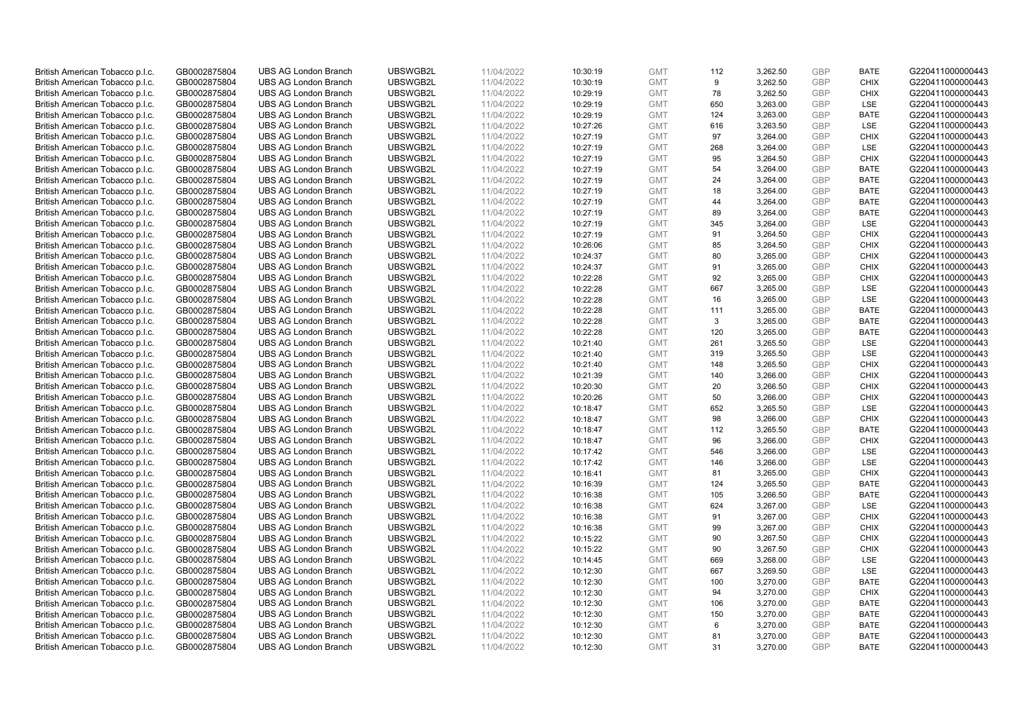| British American Tobacco p.l.c. | GB0002875804 | <b>UBS AG London Branch</b> | UBSWGB2L | 11/04/2022 | 10:30:19 | <b>GMT</b> | 112 | 3,262.50 | <b>GBP</b> | <b>BATE</b> | G220411000000443 |
|---------------------------------|--------------|-----------------------------|----------|------------|----------|------------|-----|----------|------------|-------------|------------------|
|                                 |              |                             |          |            |          |            |     |          |            |             |                  |
| British American Tobacco p.l.c. | GB0002875804 | <b>UBS AG London Branch</b> | UBSWGB2L | 11/04/2022 | 10:30:19 | <b>GMT</b> | 9   | 3,262.50 | <b>GBP</b> | <b>CHIX</b> | G220411000000443 |
| British American Tobacco p.l.c. | GB0002875804 | <b>UBS AG London Branch</b> | UBSWGB2L | 11/04/2022 | 10:29:19 | <b>GMT</b> | 78  | 3,262.50 | <b>GBP</b> | <b>CHIX</b> | G220411000000443 |
| British American Tobacco p.l.c. | GB0002875804 | <b>UBS AG London Branch</b> | UBSWGB2L | 11/04/2022 | 10:29:19 | <b>GMT</b> | 650 | 3,263.00 | <b>GBP</b> | LSE         | G220411000000443 |
| British American Tobacco p.l.c. | GB0002875804 | <b>UBS AG London Branch</b> | UBSWGB2L | 11/04/2022 | 10:29:19 | <b>GMT</b> | 124 | 3,263.00 | <b>GBP</b> | <b>BATE</b> | G220411000000443 |
| British American Tobacco p.l.c. | GB0002875804 | <b>UBS AG London Branch</b> | UBSWGB2L | 11/04/2022 | 10:27:26 | <b>GMT</b> | 616 | 3,263.50 | <b>GBP</b> | <b>LSE</b>  | G220411000000443 |
| British American Tobacco p.l.c. | GB0002875804 | <b>UBS AG London Branch</b> | UBSWGB2L | 11/04/2022 | 10:27:19 | <b>GMT</b> | 97  | 3,264.00 | <b>GBP</b> | <b>CHIX</b> | G220411000000443 |
| British American Tobacco p.l.c. | GB0002875804 | <b>UBS AG London Branch</b> | UBSWGB2L | 11/04/2022 | 10:27:19 | <b>GMT</b> | 268 | 3,264.00 | <b>GBP</b> | LSE         | G220411000000443 |
| British American Tobacco p.l.c. | GB0002875804 | <b>UBS AG London Branch</b> | UBSWGB2L | 11/04/2022 | 10:27:19 | <b>GMT</b> | 95  | 3,264.50 | <b>GBP</b> | <b>CHIX</b> | G220411000000443 |
|                                 |              |                             |          |            |          |            |     |          |            |             |                  |
| British American Tobacco p.l.c. | GB0002875804 | <b>UBS AG London Branch</b> | UBSWGB2L | 11/04/2022 | 10:27:19 | <b>GMT</b> | 54  | 3,264.00 | <b>GBP</b> | <b>BATE</b> | G220411000000443 |
| British American Tobacco p.l.c. | GB0002875804 | <b>UBS AG London Branch</b> | UBSWGB2L | 11/04/2022 | 10:27:19 | <b>GMT</b> | 24  | 3,264.00 | <b>GBP</b> | <b>BATE</b> | G220411000000443 |
| British American Tobacco p.l.c. | GB0002875804 | <b>UBS AG London Branch</b> | UBSWGB2L | 11/04/2022 | 10:27:19 | <b>GMT</b> | 18  | 3,264.00 | <b>GBP</b> | <b>BATE</b> | G220411000000443 |
| British American Tobacco p.l.c. | GB0002875804 | <b>UBS AG London Branch</b> | UBSWGB2L | 11/04/2022 | 10:27:19 | <b>GMT</b> | 44  | 3,264.00 | <b>GBP</b> | <b>BATE</b> | G220411000000443 |
| British American Tobacco p.l.c. | GB0002875804 | <b>UBS AG London Branch</b> | UBSWGB2L | 11/04/2022 | 10:27:19 | <b>GMT</b> | 89  | 3,264.00 | <b>GBP</b> | <b>BATE</b> | G220411000000443 |
| British American Tobacco p.l.c. | GB0002875804 | <b>UBS AG London Branch</b> | UBSWGB2L | 11/04/2022 | 10:27:19 | <b>GMT</b> | 345 | 3,264.00 | <b>GBP</b> | LSE         | G220411000000443 |
| British American Tobacco p.l.c. | GB0002875804 | <b>UBS AG London Branch</b> | UBSWGB2L | 11/04/2022 | 10:27:19 | <b>GMT</b> | 91  | 3,264.50 | <b>GBP</b> | <b>CHIX</b> | G220411000000443 |
| British American Tobacco p.l.c. | GB0002875804 | <b>UBS AG London Branch</b> | UBSWGB2L | 11/04/2022 | 10:26:06 | <b>GMT</b> | 85  | 3,264.50 | <b>GBP</b> | <b>CHIX</b> | G220411000000443 |
| British American Tobacco p.l.c. | GB0002875804 | <b>UBS AG London Branch</b> | UBSWGB2L | 11/04/2022 | 10:24:37 | <b>GMT</b> | 80  | 3,265.00 | <b>GBP</b> | <b>CHIX</b> | G220411000000443 |
| British American Tobacco p.l.c. | GB0002875804 | <b>UBS AG London Branch</b> | UBSWGB2L | 11/04/2022 | 10:24:37 | <b>GMT</b> | 91  | 3,265.00 | <b>GBP</b> | <b>CHIX</b> | G220411000000443 |
| British American Tobacco p.l.c. | GB0002875804 | <b>UBS AG London Branch</b> | UBSWGB2L | 11/04/2022 | 10:22:28 | <b>GMT</b> | 92  | 3,265.00 | <b>GBP</b> | <b>CHIX</b> | G220411000000443 |
| British American Tobacco p.l.c. | GB0002875804 | <b>UBS AG London Branch</b> | UBSWGB2L | 11/04/2022 | 10:22:28 | <b>GMT</b> | 667 | 3,265.00 | <b>GBP</b> | LSE         | G220411000000443 |
|                                 |              | <b>UBS AG London Branch</b> | UBSWGB2L |            |          |            | 16  |          | <b>GBP</b> | LSE         |                  |
| British American Tobacco p.l.c. | GB0002875804 |                             |          | 11/04/2022 | 10:22:28 | <b>GMT</b> |     | 3,265.00 |            |             | G220411000000443 |
| British American Tobacco p.l.c. | GB0002875804 | <b>UBS AG London Branch</b> | UBSWGB2L | 11/04/2022 | 10:22:28 | <b>GMT</b> | 111 | 3,265.00 | <b>GBP</b> | <b>BATE</b> | G220411000000443 |
| British American Tobacco p.l.c. | GB0002875804 | <b>UBS AG London Branch</b> | UBSWGB2L | 11/04/2022 | 10:22:28 | <b>GMT</b> | 3   | 3,265.00 | <b>GBP</b> | <b>BATE</b> | G220411000000443 |
| British American Tobacco p.l.c. | GB0002875804 | <b>UBS AG London Branch</b> | UBSWGB2L | 11/04/2022 | 10:22:28 | <b>GMT</b> | 120 | 3,265.00 | <b>GBP</b> | <b>BATE</b> | G220411000000443 |
| British American Tobacco p.l.c. | GB0002875804 | <b>UBS AG London Branch</b> | UBSWGB2L | 11/04/2022 | 10:21:40 | <b>GMT</b> | 261 | 3,265.50 | <b>GBP</b> | LSE         | G220411000000443 |
| British American Tobacco p.l.c. | GB0002875804 | <b>UBS AG London Branch</b> | UBSWGB2L | 11/04/2022 | 10:21:40 | <b>GMT</b> | 319 | 3,265.50 | <b>GBP</b> | <b>LSE</b>  | G220411000000443 |
| British American Tobacco p.l.c. | GB0002875804 | <b>UBS AG London Branch</b> | UBSWGB2L | 11/04/2022 | 10:21:40 | <b>GMT</b> | 148 | 3,265.50 | <b>GBP</b> | <b>CHIX</b> | G220411000000443 |
| British American Tobacco p.l.c. | GB0002875804 | <b>UBS AG London Branch</b> | UBSWGB2L | 11/04/2022 | 10:21:39 | <b>GMT</b> | 140 | 3,266.00 | <b>GBP</b> | <b>CHIX</b> | G220411000000443 |
| British American Tobacco p.l.c. | GB0002875804 | <b>UBS AG London Branch</b> | UBSWGB2L | 11/04/2022 | 10:20:30 | <b>GMT</b> | 20  | 3,266.50 | <b>GBP</b> | <b>CHIX</b> | G220411000000443 |
| British American Tobacco p.l.c. | GB0002875804 | <b>UBS AG London Branch</b> | UBSWGB2L | 11/04/2022 | 10:20:26 | <b>GMT</b> | 50  | 3,266.00 | <b>GBP</b> | <b>CHIX</b> | G220411000000443 |
| British American Tobacco p.l.c. | GB0002875804 | UBS AG London Branch        | UBSWGB2L | 11/04/2022 | 10:18:47 | <b>GMT</b> | 652 | 3,265.50 | <b>GBP</b> | LSE         | G220411000000443 |
| British American Tobacco p.l.c. | GB0002875804 | <b>UBS AG London Branch</b> | UBSWGB2L | 11/04/2022 | 10:18:47 | <b>GMT</b> | 98  | 3,266.00 | <b>GBP</b> | <b>CHIX</b> | G220411000000443 |
| British American Tobacco p.l.c. | GB0002875804 | <b>UBS AG London Branch</b> | UBSWGB2L | 11/04/2022 | 10:18:47 | <b>GMT</b> | 112 | 3,265.50 | <b>GBP</b> | <b>BATE</b> | G220411000000443 |
| British American Tobacco p.l.c. | GB0002875804 | <b>UBS AG London Branch</b> | UBSWGB2L | 11/04/2022 | 10:18:47 | <b>GMT</b> | 96  | 3,266.00 | <b>GBP</b> | <b>CHIX</b> | G220411000000443 |
|                                 |              |                             |          |            |          |            |     |          |            |             |                  |
| British American Tobacco p.l.c. | GB0002875804 | <b>UBS AG London Branch</b> | UBSWGB2L | 11/04/2022 | 10:17:42 | <b>GMT</b> | 546 | 3,266.00 | <b>GBP</b> | LSE         | G220411000000443 |
| British American Tobacco p.l.c. | GB0002875804 | <b>UBS AG London Branch</b> | UBSWGB2L | 11/04/2022 | 10:17:42 | <b>GMT</b> | 146 | 3,266.00 | <b>GBP</b> | LSE         | G220411000000443 |
| British American Tobacco p.l.c. | GB0002875804 | <b>UBS AG London Branch</b> | UBSWGB2L | 11/04/2022 | 10:16:41 | <b>GMT</b> | 81  | 3,265.00 | <b>GBP</b> | <b>CHIX</b> | G220411000000443 |
| British American Tobacco p.l.c. | GB0002875804 | <b>UBS AG London Branch</b> | UBSWGB2L | 11/04/2022 | 10:16:39 | <b>GMT</b> | 124 | 3,265.50 | <b>GBP</b> | <b>BATE</b> | G220411000000443 |
| British American Tobacco p.l.c. | GB0002875804 | UBS AG London Branch        | UBSWGB2L | 11/04/2022 | 10:16:38 | <b>GMT</b> | 105 | 3,266.50 | <b>GBP</b> | <b>BATE</b> | G220411000000443 |
| British American Tobacco p.l.c. | GB0002875804 | <b>UBS AG London Branch</b> | UBSWGB2L | 11/04/2022 | 10:16:38 | <b>GMT</b> | 624 | 3,267.00 | <b>GBP</b> | LSE         | G220411000000443 |
| British American Tobacco p.l.c. | GB0002875804 | <b>UBS AG London Branch</b> | UBSWGB2L | 11/04/2022 | 10:16:38 | <b>GMT</b> | 91  | 3,267.00 | <b>GBP</b> | <b>CHIX</b> | G220411000000443 |
| British American Tobacco p.l.c. | GB0002875804 | <b>UBS AG London Branch</b> | UBSWGB2L | 11/04/2022 | 10:16:38 | <b>GMT</b> | 99  | 3,267.00 | <b>GBP</b> | <b>CHIX</b> | G220411000000443 |
| British American Tobacco p.l.c. | GB0002875804 | <b>UBS AG London Branch</b> | UBSWGB2L | 11/04/2022 | 10:15:22 | <b>GMT</b> | 90  | 3,267.50 | <b>GBP</b> | <b>CHIX</b> | G220411000000443 |
| British American Tobacco p.l.c. | GB0002875804 | UBS AG London Branch        | UBSWGB2L | 11/04/2022 | 10:15:22 | <b>GMT</b> | 90  | 3,267.50 | <b>GBP</b> | <b>CHIX</b> | G220411000000443 |
| British American Tobacco p.l.c. | GB0002875804 | <b>UBS AG London Branch</b> | UBSWGB2L | 11/04/2022 | 10:14:45 | <b>GMT</b> | 669 | 3,268.00 | <b>GBP</b> | LSE         | G220411000000443 |
| British American Tobacco p.l.c. | GB0002875804 | <b>UBS AG London Branch</b> | UBSWGB2L | 11/04/2022 | 10:12:30 | <b>GMT</b> | 667 | 3,269.50 | <b>GBP</b> | LSE         | G220411000000443 |
| British American Tobacco p.l.c. | GB0002875804 | <b>UBS AG London Branch</b> | UBSWGB2L | 11/04/2022 | 10:12:30 | <b>GMT</b> | 100 | 3,270.00 | <b>GBP</b> | <b>BATE</b> | G220411000000443 |
| British American Tobacco p.l.c. | GB0002875804 | <b>UBS AG London Branch</b> | UBSWGB2L | 11/04/2022 | 10:12:30 | GMT        | 94  | 3,270.00 | GBP        | <b>CHIX</b> | G220411000000443 |
| British American Tobacco p.l.c. | GB0002875804 | <b>UBS AG London Branch</b> | UBSWGB2L | 11/04/2022 |          | <b>GMT</b> | 106 |          | <b>GBP</b> | <b>BATE</b> | G220411000000443 |
|                                 |              |                             |          |            | 10:12:30 |            |     | 3,270.00 |            |             |                  |
| British American Tobacco p.l.c. | GB0002875804 | <b>UBS AG London Branch</b> | UBSWGB2L | 11/04/2022 | 10:12:30 | <b>GMT</b> | 150 | 3,270.00 | <b>GBP</b> | <b>BATE</b> | G220411000000443 |
| British American Tobacco p.l.c. | GB0002875804 | <b>UBS AG London Branch</b> | UBSWGB2L | 11/04/2022 | 10:12:30 | <b>GMT</b> | 6   | 3,270.00 | <b>GBP</b> | <b>BATE</b> | G220411000000443 |
| British American Tobacco p.l.c. | GB0002875804 | <b>UBS AG London Branch</b> | UBSWGB2L | 11/04/2022 | 10:12:30 | <b>GMT</b> | 81  | 3,270.00 | <b>GBP</b> | <b>BATE</b> | G220411000000443 |
| British American Tobacco p.l.c. | GB0002875804 | <b>UBS AG London Branch</b> | UBSWGB2L | 11/04/2022 | 10:12:30 | <b>GMT</b> | 31  | 3,270.00 | <b>GBP</b> | <b>BATE</b> | G220411000000443 |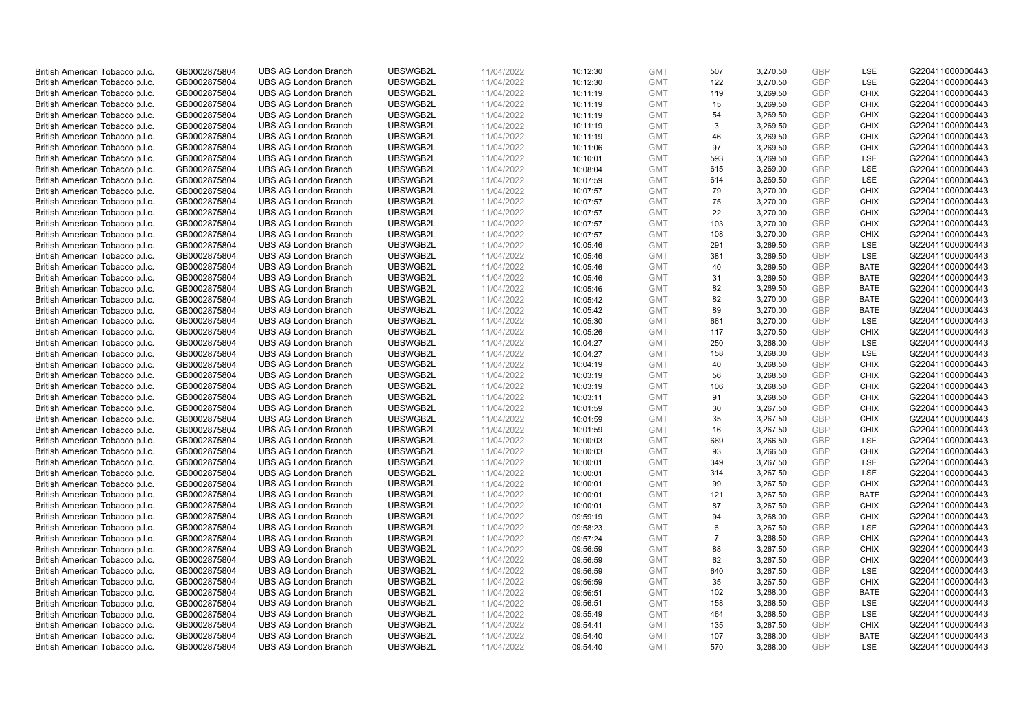| British American Tobacco p.l.c. | GB0002875804 | <b>UBS AG London Branch</b> | UBSWGB2L | 11/04/2022 | 10:12:30 | <b>GMT</b> | 507            | 3,270.50 | <b>GBP</b> | <b>LSE</b>  | G220411000000443 |
|---------------------------------|--------------|-----------------------------|----------|------------|----------|------------|----------------|----------|------------|-------------|------------------|
|                                 | GB0002875804 | <b>UBS AG London Branch</b> | UBSWGB2L | 11/04/2022 |          | <b>GMT</b> | 122            | 3,270.50 | <b>GBP</b> | LSE         | G220411000000443 |
| British American Tobacco p.l.c. |              |                             |          |            | 10:12:30 |            |                |          |            |             |                  |
| British American Tobacco p.l.c. | GB0002875804 | <b>UBS AG London Branch</b> | UBSWGB2L | 11/04/2022 | 10:11:19 | <b>GMT</b> | 119            | 3,269.50 | <b>GBP</b> | <b>CHIX</b> | G220411000000443 |
| British American Tobacco p.l.c. | GB0002875804 | <b>UBS AG London Branch</b> | UBSWGB2L | 11/04/2022 | 10:11:19 | <b>GMT</b> | 15             | 3,269.50 | <b>GBP</b> | <b>CHIX</b> | G220411000000443 |
| British American Tobacco p.l.c. | GB0002875804 | <b>UBS AG London Branch</b> | UBSWGB2L | 11/04/2022 | 10:11:19 | <b>GMT</b> | 54             | 3,269.50 | <b>GBP</b> | <b>CHIX</b> | G220411000000443 |
| British American Tobacco p.l.c. | GB0002875804 | <b>UBS AG London Branch</b> | UBSWGB2L | 11/04/2022 | 10:11:19 | <b>GMT</b> | 3              | 3,269.50 | <b>GBP</b> | <b>CHIX</b> | G220411000000443 |
| British American Tobacco p.l.c. | GB0002875804 | <b>UBS AG London Branch</b> | UBSWGB2L | 11/04/2022 | 10:11:19 | <b>GMT</b> | 46             | 3,269.50 | <b>GBP</b> | <b>CHIX</b> | G220411000000443 |
| British American Tobacco p.l.c. | GB0002875804 | <b>UBS AG London Branch</b> | UBSWGB2L | 11/04/2022 | 10:11:06 | <b>GMT</b> | 97             | 3,269.50 | <b>GBP</b> | <b>CHIX</b> | G220411000000443 |
| British American Tobacco p.l.c. | GB0002875804 | <b>UBS AG London Branch</b> | UBSWGB2L | 11/04/2022 | 10:10:01 | <b>GMT</b> | 593            | 3,269.50 | <b>GBP</b> | LSE         | G220411000000443 |
| British American Tobacco p.l.c. | GB0002875804 | <b>UBS AG London Branch</b> | UBSWGB2L | 11/04/2022 | 10:08:04 | <b>GMT</b> | 615            | 3,269.00 | <b>GBP</b> | LSE         | G220411000000443 |
| British American Tobacco p.l.c. | GB0002875804 | <b>UBS AG London Branch</b> | UBSWGB2L | 11/04/2022 | 10:07:59 | <b>GMT</b> | 614            | 3,269.50 | <b>GBP</b> | <b>LSE</b>  | G220411000000443 |
| British American Tobacco p.l.c. | GB0002875804 | <b>UBS AG London Branch</b> | UBSWGB2L | 11/04/2022 | 10:07:57 | <b>GMT</b> | 79             | 3,270.00 | <b>GBP</b> | <b>CHIX</b> | G220411000000443 |
| British American Tobacco p.l.c. | GB0002875804 | <b>UBS AG London Branch</b> | UBSWGB2L | 11/04/2022 | 10:07:57 | <b>GMT</b> | 75             | 3,270.00 | <b>GBP</b> | <b>CHIX</b> | G220411000000443 |
| British American Tobacco p.l.c. | GB0002875804 | <b>UBS AG London Branch</b> | UBSWGB2L | 11/04/2022 | 10:07:57 | <b>GMT</b> | 22             | 3,270.00 | <b>GBP</b> | <b>CHIX</b> | G220411000000443 |
| British American Tobacco p.l.c. | GB0002875804 | <b>UBS AG London Branch</b> | UBSWGB2L | 11/04/2022 | 10:07:57 | <b>GMT</b> | 103            | 3,270.00 | <b>GBP</b> | <b>CHIX</b> | G220411000000443 |
| British American Tobacco p.l.c. | GB0002875804 | <b>UBS AG London Branch</b> | UBSWGB2L | 11/04/2022 | 10:07:57 | <b>GMT</b> | 108            | 3,270.00 | <b>GBP</b> | <b>CHIX</b> | G220411000000443 |
| British American Tobacco p.l.c. | GB0002875804 | <b>UBS AG London Branch</b> | UBSWGB2L | 11/04/2022 | 10:05:46 | <b>GMT</b> | 291            | 3,269.50 | <b>GBP</b> | LSE         | G220411000000443 |
| British American Tobacco p.l.c. | GB0002875804 | <b>UBS AG London Branch</b> | UBSWGB2L | 11/04/2022 | 10:05:46 | <b>GMT</b> | 381            | 3,269.50 | <b>GBP</b> | LSE         | G220411000000443 |
|                                 |              | <b>UBS AG London Branch</b> | UBSWGB2L |            |          |            | 40             |          |            | <b>BATE</b> |                  |
| British American Tobacco p.l.c. | GB0002875804 |                             |          | 11/04/2022 | 10:05:46 | <b>GMT</b> |                | 3,269.50 | <b>GBP</b> |             | G220411000000443 |
| British American Tobacco p.l.c. | GB0002875804 | <b>UBS AG London Branch</b> | UBSWGB2L | 11/04/2022 | 10:05:46 | <b>GMT</b> | 31             | 3,269.50 | <b>GBP</b> | <b>BATE</b> | G220411000000443 |
| British American Tobacco p.l.c. | GB0002875804 | <b>UBS AG London Branch</b> | UBSWGB2L | 11/04/2022 | 10:05:46 | <b>GMT</b> | 82             | 3,269.50 | <b>GBP</b> | <b>BATE</b> | G220411000000443 |
| British American Tobacco p.l.c. | GB0002875804 | <b>UBS AG London Branch</b> | UBSWGB2L | 11/04/2022 | 10:05:42 | <b>GMT</b> | 82             | 3,270.00 | <b>GBP</b> | <b>BATE</b> | G220411000000443 |
| British American Tobacco p.l.c. | GB0002875804 | <b>UBS AG London Branch</b> | UBSWGB2L | 11/04/2022 | 10:05:42 | <b>GMT</b> | 89             | 3,270.00 | <b>GBP</b> | <b>BATE</b> | G220411000000443 |
| British American Tobacco p.l.c. | GB0002875804 | <b>UBS AG London Branch</b> | UBSWGB2L | 11/04/2022 | 10:05:30 | <b>GMT</b> | 661            | 3,270.00 | <b>GBP</b> | <b>LSE</b>  | G220411000000443 |
| British American Tobacco p.l.c. | GB0002875804 | <b>UBS AG London Branch</b> | UBSWGB2L | 11/04/2022 | 10:05:26 | <b>GMT</b> | 117            | 3,270.50 | <b>GBP</b> | <b>CHIX</b> | G220411000000443 |
| British American Tobacco p.l.c. | GB0002875804 | <b>UBS AG London Branch</b> | UBSWGB2L | 11/04/2022 | 10:04:27 | <b>GMT</b> | 250            | 3,268.00 | <b>GBP</b> | LSE         | G220411000000443 |
| British American Tobacco p.l.c. | GB0002875804 | <b>UBS AG London Branch</b> | UBSWGB2L | 11/04/2022 | 10:04:27 | <b>GMT</b> | 158            | 3,268.00 | <b>GBP</b> | LSE         | G220411000000443 |
| British American Tobacco p.l.c. | GB0002875804 | <b>UBS AG London Branch</b> | UBSWGB2L | 11/04/2022 | 10:04:19 | <b>GMT</b> | 40             | 3,268.50 | <b>GBP</b> | <b>CHIX</b> | G220411000000443 |
| British American Tobacco p.l.c. | GB0002875804 | <b>UBS AG London Branch</b> | UBSWGB2L | 11/04/2022 | 10:03:19 | <b>GMT</b> | 56             | 3,268.50 | <b>GBP</b> | <b>CHIX</b> | G220411000000443 |
| British American Tobacco p.l.c. | GB0002875804 | <b>UBS AG London Branch</b> | UBSWGB2L | 11/04/2022 | 10:03:19 | <b>GMT</b> | 106            | 3,268.50 | <b>GBP</b> | <b>CHIX</b> | G220411000000443 |
| British American Tobacco p.l.c. | GB0002875804 | <b>UBS AG London Branch</b> | UBSWGB2L | 11/04/2022 | 10:03:11 | <b>GMT</b> | 91             | 3,268.50 | <b>GBP</b> | <b>CHIX</b> | G220411000000443 |
| British American Tobacco p.l.c. | GB0002875804 | <b>UBS AG London Branch</b> | UBSWGB2L | 11/04/2022 | 10:01:59 | <b>GMT</b> | 30             | 3,267.50 | <b>GBP</b> | <b>CHIX</b> | G220411000000443 |
| British American Tobacco p.l.c. | GB0002875804 | <b>UBS AG London Branch</b> | UBSWGB2L | 11/04/2022 | 10:01:59 | <b>GMT</b> | 35             | 3,267.50 | <b>GBP</b> | <b>CHIX</b> | G220411000000443 |
| British American Tobacco p.l.c. | GB0002875804 | <b>UBS AG London Branch</b> | UBSWGB2L | 11/04/2022 | 10:01:59 | <b>GMT</b> | 16             | 3,267.50 | <b>GBP</b> | <b>CHIX</b> | G220411000000443 |
| British American Tobacco p.l.c. | GB0002875804 | <b>UBS AG London Branch</b> | UBSWGB2L | 11/04/2022 | 10:00:03 | <b>GMT</b> | 669            | 3,266.50 | <b>GBP</b> | LSE         | G220411000000443 |
| British American Tobacco p.l.c. | GB0002875804 | <b>UBS AG London Branch</b> | UBSWGB2L | 11/04/2022 | 10:00:03 | <b>GMT</b> | 93             | 3,266.50 | <b>GBP</b> | <b>CHIX</b> | G220411000000443 |
| British American Tobacco p.l.c. | GB0002875804 | <b>UBS AG London Branch</b> | UBSWGB2L | 11/04/2022 | 10:00:01 | <b>GMT</b> | 349            | 3,267.50 | <b>GBP</b> | LSE         | G220411000000443 |
| British American Tobacco p.l.c. | GB0002875804 | <b>UBS AG London Branch</b> | UBSWGB2L | 11/04/2022 | 10:00:01 | <b>GMT</b> | 314            | 3,267.50 | <b>GBP</b> | LSE         | G220411000000443 |
| British American Tobacco p.l.c. | GB0002875804 | <b>UBS AG London Branch</b> | UBSWGB2L | 11/04/2022 | 10:00:01 | <b>GMT</b> | 99             | 3,267.50 | <b>GBP</b> | <b>CHIX</b> | G220411000000443 |
| British American Tobacco p.l.c. | GB0002875804 | UBS AG London Branch        | UBSWGB2L | 11/04/2022 | 10:00:01 | <b>GMT</b> | 121            | 3,267.50 | <b>GBP</b> | <b>BATE</b> | G220411000000443 |
| British American Tobacco p.l.c. | GB0002875804 | <b>UBS AG London Branch</b> | UBSWGB2L | 11/04/2022 | 10:00:01 | <b>GMT</b> | 87             | 3,267.50 | <b>GBP</b> | <b>CHIX</b> | G220411000000443 |
| British American Tobacco p.l.c. | GB0002875804 | <b>UBS AG London Branch</b> | UBSWGB2L | 11/04/2022 | 09:59:19 | <b>GMT</b> | 94             | 3,268.00 | <b>GBP</b> | <b>CHIX</b> | G220411000000443 |
| British American Tobacco p.l.c. | GB0002875804 | <b>UBS AG London Branch</b> | UBSWGB2L | 11/04/2022 | 09:58:23 | <b>GMT</b> | 6              | 3,267.50 | <b>GBP</b> | LSE         | G220411000000443 |
| British American Tobacco p.l.c. | GB0002875804 | <b>UBS AG London Branch</b> | UBSWGB2L | 11/04/2022 | 09:57:24 | <b>GMT</b> | $\overline{7}$ | 3,268.50 | <b>GBP</b> | <b>CHIX</b> | G220411000000443 |
| British American Tobacco p.l.c. | GB0002875804 | UBS AG London Branch        | UBSWGB2L | 11/04/2022 | 09:56:59 | <b>GMT</b> | 88             | 3,267.50 | <b>GBP</b> | <b>CHIX</b> | G220411000000443 |
| British American Tobacco p.l.c. | GB0002875804 | <b>UBS AG London Branch</b> | UBSWGB2L | 11/04/2022 | 09:56:59 | <b>GMT</b> | 62             | 3,267.50 | <b>GBP</b> | <b>CHIX</b> | G220411000000443 |
| British American Tobacco p.l.c. | GB0002875804 | <b>UBS AG London Branch</b> | UBSWGB2L | 11/04/2022 | 09:56:59 | <b>GMT</b> | 640            | 3,267.50 | <b>GBP</b> | LSE         | G220411000000443 |
| British American Tobacco p.l.c. | GB0002875804 | <b>UBS AG London Branch</b> | UBSWGB2L | 11/04/2022 | 09:56:59 | <b>GMT</b> | 35             | 3,267.50 | <b>GBP</b> | <b>CHIX</b> | G220411000000443 |
|                                 |              |                             |          |            |          |            |                |          | <b>GBP</b> |             |                  |
| British American Tobacco p.l.c. | GB0002875804 | <b>UBS AG London Branch</b> | UBSWGB2L | 11/04/2022 | 09:56:51 | GMT        | 102            | 3,268.00 |            | <b>BATE</b> | G220411000000443 |
| British American Tobacco p.l.c. | GB0002875804 | <b>UBS AG London Branch</b> | UBSWGB2L | 11/04/2022 | 09:56:51 | <b>GMT</b> | 158            | 3,268.50 | <b>GBP</b> | <b>LSE</b>  | G220411000000443 |
| British American Tobacco p.l.c. | GB0002875804 | <b>UBS AG London Branch</b> | UBSWGB2L | 11/04/2022 | 09:55:49 | <b>GMT</b> | 464            | 3,268.50 | <b>GBP</b> | LSE         | G220411000000443 |
| British American Tobacco p.l.c. | GB0002875804 | <b>UBS AG London Branch</b> | UBSWGB2L | 11/04/2022 | 09:54:41 | <b>GMT</b> | 135            | 3,267.50 | <b>GBP</b> | <b>CHIX</b> | G220411000000443 |
| British American Tobacco p.l.c. | GB0002875804 | <b>UBS AG London Branch</b> | UBSWGB2L | 11/04/2022 | 09:54:40 | <b>GMT</b> | 107            | 3,268.00 | <b>GBP</b> | <b>BATE</b> | G220411000000443 |
| British American Tobacco p.l.c. | GB0002875804 | <b>UBS AG London Branch</b> | UBSWGB2L | 11/04/2022 | 09:54:40 | <b>GMT</b> | 570            | 3,268.00 | GBP        | <b>LSE</b>  | G220411000000443 |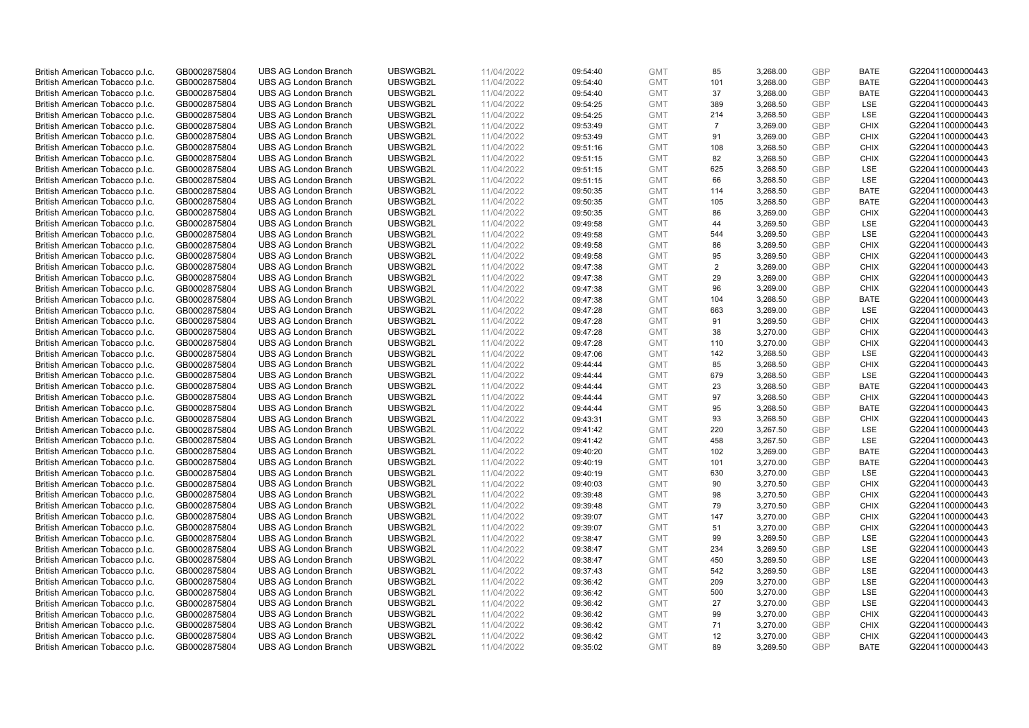| British American Tobacco p.l.c. | GB0002875804 | <b>UBS AG London Branch</b> | UBSWGB2L | 11/04/2022 | 09:54:40 | <b>GMT</b> | 85             | 3,268.00 | <b>GBP</b> | <b>BATE</b> | G220411000000443 |
|---------------------------------|--------------|-----------------------------|----------|------------|----------|------------|----------------|----------|------------|-------------|------------------|
|                                 | GB0002875804 | <b>UBS AG London Branch</b> | UBSWGB2L | 11/04/2022 |          | <b>GMT</b> | 101            | 3,268.00 | <b>GBP</b> | <b>BATE</b> | G220411000000443 |
| British American Tobacco p.l.c. |              |                             |          |            | 09:54:40 |            |                |          |            |             |                  |
| British American Tobacco p.l.c. | GB0002875804 | <b>UBS AG London Branch</b> | UBSWGB2L | 11/04/2022 | 09:54:40 | <b>GMT</b> | 37             | 3,268.00 | <b>GBP</b> | <b>BATE</b> | G220411000000443 |
| British American Tobacco p.l.c. | GB0002875804 | <b>UBS AG London Branch</b> | UBSWGB2L | 11/04/2022 | 09:54:25 | <b>GMT</b> | 389            | 3,268.50 | <b>GBP</b> | LSE         | G220411000000443 |
| British American Tobacco p.l.c. | GB0002875804 | <b>UBS AG London Branch</b> | UBSWGB2L | 11/04/2022 | 09:54:25 | <b>GMT</b> | 214            | 3,268.50 | <b>GBP</b> | LSE         | G220411000000443 |
| British American Tobacco p.l.c. | GB0002875804 | <b>UBS AG London Branch</b> | UBSWGB2L | 11/04/2022 | 09:53:49 | <b>GMT</b> | $\overline{7}$ | 3,269.00 | <b>GBP</b> | <b>CHIX</b> | G220411000000443 |
| British American Tobacco p.l.c. | GB0002875804 | <b>UBS AG London Branch</b> | UBSWGB2L | 11/04/2022 | 09:53:49 | <b>GMT</b> | 91             | 3,269.00 | <b>GBP</b> | <b>CHIX</b> | G220411000000443 |
| British American Tobacco p.l.c. | GB0002875804 | <b>UBS AG London Branch</b> | UBSWGB2L | 11/04/2022 | 09:51:16 | <b>GMT</b> | 108            | 3,268.50 | <b>GBP</b> | <b>CHIX</b> | G220411000000443 |
| British American Tobacco p.l.c. | GB0002875804 | <b>UBS AG London Branch</b> | UBSWGB2L | 11/04/2022 | 09:51:15 | <b>GMT</b> | 82             | 3,268.50 | <b>GBP</b> | <b>CHIX</b> | G220411000000443 |
| British American Tobacco p.l.c. | GB0002875804 | <b>UBS AG London Branch</b> | UBSWGB2L | 11/04/2022 | 09:51:15 | <b>GMT</b> | 625            | 3,268.50 | <b>GBP</b> | LSE         | G220411000000443 |
| British American Tobacco p.l.c. | GB0002875804 | <b>UBS AG London Branch</b> | UBSWGB2L | 11/04/2022 | 09:51:15 | <b>GMT</b> | 66             | 3,268.50 | <b>GBP</b> | <b>LSE</b>  | G220411000000443 |
| British American Tobacco p.l.c. | GB0002875804 | <b>UBS AG London Branch</b> | UBSWGB2L | 11/04/2022 | 09:50:35 | <b>GMT</b> | 114            | 3,268.50 | <b>GBP</b> | <b>BATE</b> | G220411000000443 |
| British American Tobacco p.l.c. | GB0002875804 | <b>UBS AG London Branch</b> | UBSWGB2L | 11/04/2022 | 09:50:35 | <b>GMT</b> | 105            | 3,268.50 | <b>GBP</b> | <b>BATE</b> | G220411000000443 |
| British American Tobacco p.l.c. | GB0002875804 | <b>UBS AG London Branch</b> | UBSWGB2L | 11/04/2022 | 09:50:35 | <b>GMT</b> | 86             | 3,269.00 | <b>GBP</b> | <b>CHIX</b> | G220411000000443 |
| British American Tobacco p.l.c. | GB0002875804 | <b>UBS AG London Branch</b> | UBSWGB2L | 11/04/2022 |          | <b>GMT</b> | 44             | 3,269.50 | <b>GBP</b> | LSE         | G220411000000443 |
|                                 |              |                             |          |            | 09:49:58 |            |                |          |            |             |                  |
| British American Tobacco p.l.c. | GB0002875804 | <b>UBS AG London Branch</b> | UBSWGB2L | 11/04/2022 | 09:49:58 | <b>GMT</b> | 544            | 3,269.50 | <b>GBP</b> | LSE         | G220411000000443 |
| British American Tobacco p.l.c. | GB0002875804 | <b>UBS AG London Branch</b> | UBSWGB2L | 11/04/2022 | 09:49:58 | <b>GMT</b> | 86             | 3,269.50 | <b>GBP</b> | <b>CHIX</b> | G220411000000443 |
| British American Tobacco p.l.c. | GB0002875804 | <b>UBS AG London Branch</b> | UBSWGB2L | 11/04/2022 | 09:49:58 | <b>GMT</b> | 95             | 3,269.50 | <b>GBP</b> | <b>CHIX</b> | G220411000000443 |
| British American Tobacco p.l.c. | GB0002875804 | <b>UBS AG London Branch</b> | UBSWGB2L | 11/04/2022 | 09:47:38 | <b>GMT</b> | $\overline{2}$ | 3,269.00 | <b>GBP</b> | <b>CHIX</b> | G220411000000443 |
| British American Tobacco p.l.c. | GB0002875804 | <b>UBS AG London Branch</b> | UBSWGB2L | 11/04/2022 | 09:47:38 | <b>GMT</b> | 29             | 3,269.00 | <b>GBP</b> | <b>CHIX</b> | G220411000000443 |
| British American Tobacco p.l.c. | GB0002875804 | <b>UBS AG London Branch</b> | UBSWGB2L | 11/04/2022 | 09:47:38 | <b>GMT</b> | 96             | 3,269.00 | <b>GBP</b> | <b>CHIX</b> | G220411000000443 |
| British American Tobacco p.l.c. | GB0002875804 | <b>UBS AG London Branch</b> | UBSWGB2L | 11/04/2022 | 09:47:38 | <b>GMT</b> | 104            | 3,268.50 | <b>GBP</b> | <b>BATE</b> | G220411000000443 |
| British American Tobacco p.l.c. | GB0002875804 | <b>UBS AG London Branch</b> | UBSWGB2L | 11/04/2022 | 09:47:28 | <b>GMT</b> | 663            | 3,269.00 | <b>GBP</b> | LSE         | G220411000000443 |
| British American Tobacco p.l.c. | GB0002875804 | <b>UBS AG London Branch</b> | UBSWGB2L | 11/04/2022 | 09:47:28 | <b>GMT</b> | 91             | 3,269.50 | <b>GBP</b> | <b>CHIX</b> | G220411000000443 |
| British American Tobacco p.l.c. | GB0002875804 | <b>UBS AG London Branch</b> | UBSWGB2L | 11/04/2022 | 09:47:28 | <b>GMT</b> | 38             | 3,270.00 | <b>GBP</b> | <b>CHIX</b> | G220411000000443 |
| British American Tobacco p.l.c. | GB0002875804 | <b>UBS AG London Branch</b> | UBSWGB2L | 11/04/2022 | 09:47:28 | <b>GMT</b> | 110            | 3,270.00 | <b>GBP</b> | <b>CHIX</b> | G220411000000443 |
| British American Tobacco p.l.c. | GB0002875804 | <b>UBS AG London Branch</b> | UBSWGB2L | 11/04/2022 | 09:47:06 | <b>GMT</b> | 142            | 3,268.50 | <b>GBP</b> | <b>LSE</b>  | G220411000000443 |
| British American Tobacco p.l.c. | GB0002875804 | <b>UBS AG London Branch</b> | UBSWGB2L | 11/04/2022 | 09:44:44 | <b>GMT</b> | 85             | 3,268.50 | <b>GBP</b> | <b>CHIX</b> | G220411000000443 |
| British American Tobacco p.l.c. | GB0002875804 | <b>UBS AG London Branch</b> | UBSWGB2L | 11/04/2022 | 09:44:44 | <b>GMT</b> | 679            | 3,268.50 | <b>GBP</b> | LSE         | G220411000000443 |
| British American Tobacco p.l.c. | GB0002875804 | <b>UBS AG London Branch</b> | UBSWGB2L | 11/04/2022 | 09:44:44 | <b>GMT</b> | 23             | 3,268.50 | <b>GBP</b> | <b>BATE</b> | G220411000000443 |
| British American Tobacco p.l.c. | GB0002875804 | <b>UBS AG London Branch</b> | UBSWGB2L | 11/04/2022 | 09:44:44 | <b>GMT</b> | 97             | 3,268.50 | <b>GBP</b> | <b>CHIX</b> | G220411000000443 |
|                                 |              | <b>UBS AG London Branch</b> | UBSWGB2L |            |          |            | 95             |          | <b>GBP</b> |             |                  |
| British American Tobacco p.l.c. | GB0002875804 |                             |          | 11/04/2022 | 09:44:44 | <b>GMT</b> |                | 3,268.50 |            | BATE        | G220411000000443 |
| British American Tobacco p.l.c. | GB0002875804 | <b>UBS AG London Branch</b> | UBSWGB2L | 11/04/2022 | 09:43:31 | <b>GMT</b> | 93             | 3,268.50 | <b>GBP</b> | <b>CHIX</b> | G220411000000443 |
| British American Tobacco p.l.c. | GB0002875804 | <b>UBS AG London Branch</b> | UBSWGB2L | 11/04/2022 | 09:41:42 | <b>GMT</b> | 220            | 3,267.50 | <b>GBP</b> | LSE         | G220411000000443 |
| British American Tobacco p.l.c. | GB0002875804 | <b>UBS AG London Branch</b> | UBSWGB2L | 11/04/2022 | 09:41:42 | <b>GMT</b> | 458            | 3,267.50 | <b>GBP</b> | LSE         | G220411000000443 |
| British American Tobacco p.l.c. | GB0002875804 | <b>UBS AG London Branch</b> | UBSWGB2L | 11/04/2022 | 09:40:20 | <b>GMT</b> | 102            | 3,269.00 | <b>GBP</b> | <b>BATE</b> | G220411000000443 |
| British American Tobacco p.l.c. | GB0002875804 | <b>UBS AG London Branch</b> | UBSWGB2L | 11/04/2022 | 09:40:19 | <b>GMT</b> | 101            | 3,270.00 | <b>GBP</b> | <b>BATE</b> | G220411000000443 |
| British American Tobacco p.l.c. | GB0002875804 | <b>UBS AG London Branch</b> | UBSWGB2L | 11/04/2022 | 09:40:19 | <b>GMT</b> | 630            | 3,270.00 | <b>GBP</b> | LSE         | G220411000000443 |
| British American Tobacco p.l.c. | GB0002875804 | <b>UBS AG London Branch</b> | UBSWGB2L | 11/04/2022 | 09:40:03 | <b>GMT</b> | 90             | 3,270.50 | <b>GBP</b> | <b>CHIX</b> | G220411000000443 |
| British American Tobacco p.l.c. | GB0002875804 | UBS AG London Branch        | UBSWGB2L | 11/04/2022 | 09:39:48 | <b>GMT</b> | 98             | 3,270.50 | <b>GBP</b> | <b>CHIX</b> | G220411000000443 |
| British American Tobacco p.l.c. | GB0002875804 | <b>UBS AG London Branch</b> | UBSWGB2L | 11/04/2022 | 09:39:48 | <b>GMT</b> | 79             | 3,270.50 | <b>GBP</b> | <b>CHIX</b> | G220411000000443 |
| British American Tobacco p.l.c. | GB0002875804 | <b>UBS AG London Branch</b> | UBSWGB2L | 11/04/2022 | 09:39:07 | <b>GMT</b> | 147            | 3,270.00 | <b>GBP</b> | <b>CHIX</b> | G220411000000443 |
| British American Tobacco p.l.c. | GB0002875804 | <b>UBS AG London Branch</b> | UBSWGB2L | 11/04/2022 | 09:39:07 | <b>GMT</b> | 51             | 3,270.00 | <b>GBP</b> | <b>CHIX</b> | G220411000000443 |
| British American Tobacco p.l.c. | GB0002875804 | <b>UBS AG London Branch</b> | UBSWGB2L | 11/04/2022 | 09:38:47 | <b>GMT</b> | 99             | 3,269.50 | <b>GBP</b> | LSE         | G220411000000443 |
| British American Tobacco p.l.c. | GB0002875804 | UBS AG London Branch        | UBSWGB2L | 11/04/2022 | 09:38:47 | <b>GMT</b> | 234            | 3,269.50 | <b>GBP</b> | LSE         | G220411000000443 |
| British American Tobacco p.l.c. | GB0002875804 | <b>UBS AG London Branch</b> | UBSWGB2L | 11/04/2022 | 09:38:47 | <b>GMT</b> | 450            | 3,269.50 | <b>GBP</b> | LSE         | G220411000000443 |
| British American Tobacco p.l.c. | GB0002875804 | <b>UBS AG London Branch</b> | UBSWGB2L | 11/04/2022 | 09:37:43 | <b>GMT</b> | 542            | 3,269.50 | <b>GBP</b> | LSE         | G220411000000443 |
| British American Tobacco p.l.c. | GB0002875804 | <b>UBS AG London Branch</b> | UBSWGB2L | 11/04/2022 | 09:36:42 | <b>GMT</b> | 209            | 3,270.00 | <b>GBP</b> | LSE         | G220411000000443 |
| British American Tobacco p.l.c. | GB0002875804 | <b>UBS AG London Branch</b> | UBSWGB2L | 11/04/2022 | 09:36:42 | <b>GMT</b> | 500            | 3,270.00 | <b>GBP</b> | LSE         | G220411000000443 |
| British American Tobacco p.l.c. | GB0002875804 | <b>UBS AG London Branch</b> | UBSWGB2L | 11/04/2022 | 09:36:42 | <b>GMT</b> | 27             | 3,270.00 | <b>GBP</b> | LSE         | G220411000000443 |
| British American Tobacco p.l.c. | GB0002875804 | <b>UBS AG London Branch</b> | UBSWGB2L | 11/04/2022 |          | <b>GMT</b> | 99             | 3,270.00 | <b>GBP</b> | <b>CHIX</b> |                  |
|                                 |              | <b>UBS AG London Branch</b> | UBSWGB2L |            | 09:36:42 |            |                |          |            | <b>CHIX</b> | G220411000000443 |
| British American Tobacco p.l.c. | GB0002875804 |                             |          | 11/04/2022 | 09:36:42 | <b>GMT</b> | 71             | 3,270.00 | <b>GBP</b> |             | G220411000000443 |
| British American Tobacco p.l.c. | GB0002875804 | <b>UBS AG London Branch</b> | UBSWGB2L | 11/04/2022 | 09:36:42 | <b>GMT</b> | 12             | 3,270.00 | <b>GBP</b> | <b>CHIX</b> | G220411000000443 |
| British American Tobacco p.l.c. | GB0002875804 | <b>UBS AG London Branch</b> | UBSWGB2L | 11/04/2022 | 09:35:02 | <b>GMT</b> | 89             | 3,269.50 | GBP        | <b>BATE</b> | G220411000000443 |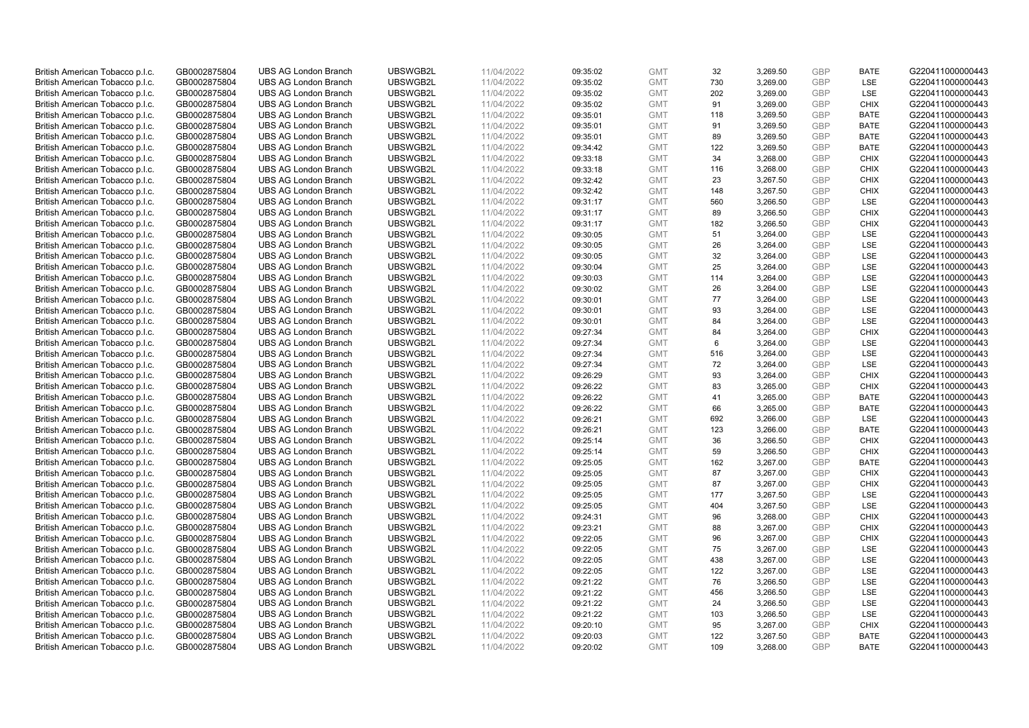| British American Tobacco p.l.c. | GB0002875804 | <b>UBS AG London Branch</b> | UBSWGB2L | 11/04/2022 | 09:35:02 | <b>GMT</b> | 32  | 3,269.50 | <b>GBP</b> | <b>BATE</b> | G220411000000443 |
|---------------------------------|--------------|-----------------------------|----------|------------|----------|------------|-----|----------|------------|-------------|------------------|
|                                 | GB0002875804 | <b>UBS AG London Branch</b> | UBSWGB2L | 11/04/2022 |          | <b>GMT</b> | 730 | 3,269.00 | <b>GBP</b> | LSE         | G220411000000443 |
| British American Tobacco p.l.c. |              |                             |          |            | 09:35:02 |            |     |          |            |             |                  |
| British American Tobacco p.l.c. | GB0002875804 | <b>UBS AG London Branch</b> | UBSWGB2L | 11/04/2022 | 09:35:02 | <b>GMT</b> | 202 | 3,269.00 | <b>GBP</b> | LSE         | G220411000000443 |
| British American Tobacco p.l.c. | GB0002875804 | <b>UBS AG London Branch</b> | UBSWGB2L | 11/04/2022 | 09:35:02 | <b>GMT</b> | 91  | 3,269.00 | <b>GBP</b> | <b>CHIX</b> | G220411000000443 |
| British American Tobacco p.l.c. | GB0002875804 | <b>UBS AG London Branch</b> | UBSWGB2L | 11/04/2022 | 09:35:01 | <b>GMT</b> | 118 | 3,269.50 | <b>GBP</b> | <b>BATE</b> | G220411000000443 |
| British American Tobacco p.l.c. | GB0002875804 | <b>UBS AG London Branch</b> | UBSWGB2L | 11/04/2022 | 09:35:01 | <b>GMT</b> | 91  | 3,269.50 | <b>GBP</b> | <b>BATE</b> | G220411000000443 |
| British American Tobacco p.l.c. | GB0002875804 | <b>UBS AG London Branch</b> | UBSWGB2L | 11/04/2022 | 09:35:01 | <b>GMT</b> | 89  | 3,269.50 | <b>GBP</b> | <b>BATE</b> | G220411000000443 |
| British American Tobacco p.l.c. | GB0002875804 | <b>UBS AG London Branch</b> | UBSWGB2L | 11/04/2022 | 09:34:42 | <b>GMT</b> | 122 | 3,269.50 | <b>GBP</b> | <b>BATE</b> | G220411000000443 |
| British American Tobacco p.l.c. | GB0002875804 | <b>UBS AG London Branch</b> | UBSWGB2L | 11/04/2022 | 09:33:18 | <b>GMT</b> | 34  | 3,268.00 | <b>GBP</b> | <b>CHIX</b> | G220411000000443 |
| British American Tobacco p.l.c. | GB0002875804 | <b>UBS AG London Branch</b> | UBSWGB2L | 11/04/2022 | 09:33:18 | <b>GMT</b> | 116 | 3,268.00 | <b>GBP</b> | <b>CHIX</b> | G220411000000443 |
| British American Tobacco p.l.c. | GB0002875804 | <b>UBS AG London Branch</b> | UBSWGB2L | 11/04/2022 | 09:32:42 | <b>GMT</b> | 23  | 3,267.50 | <b>GBP</b> | <b>CHIX</b> | G220411000000443 |
| British American Tobacco p.l.c. | GB0002875804 | <b>UBS AG London Branch</b> | UBSWGB2L | 11/04/2022 | 09:32:42 | <b>GMT</b> | 148 | 3,267.50 | <b>GBP</b> | <b>CHIX</b> | G220411000000443 |
| British American Tobacco p.l.c. | GB0002875804 | <b>UBS AG London Branch</b> | UBSWGB2L | 11/04/2022 | 09:31:17 | <b>GMT</b> | 560 | 3,266.50 | <b>GBP</b> | LSE         | G220411000000443 |
| British American Tobacco p.l.c. | GB0002875804 | <b>UBS AG London Branch</b> | UBSWGB2L | 11/04/2022 | 09:31:17 | <b>GMT</b> | 89  | 3,266.50 | <b>GBP</b> | <b>CHIX</b> | G220411000000443 |
|                                 |              |                             | UBSWGB2L | 11/04/2022 |          | <b>GMT</b> | 182 | 3,266.50 | <b>GBP</b> | <b>CHIX</b> |                  |
| British American Tobacco p.l.c. | GB0002875804 | <b>UBS AG London Branch</b> |          |            | 09:31:17 |            |     |          |            |             | G220411000000443 |
| British American Tobacco p.l.c. | GB0002875804 | <b>UBS AG London Branch</b> | UBSWGB2L | 11/04/2022 | 09:30:05 | <b>GMT</b> | 51  | 3,264.00 | <b>GBP</b> | <b>LSE</b>  | G220411000000443 |
| British American Tobacco p.l.c. | GB0002875804 | <b>UBS AG London Branch</b> | UBSWGB2L | 11/04/2022 | 09:30:05 | <b>GMT</b> | 26  | 3,264.00 | <b>GBP</b> | LSE         | G220411000000443 |
| British American Tobacco p.l.c. | GB0002875804 | <b>UBS AG London Branch</b> | UBSWGB2L | 11/04/2022 | 09:30:05 | <b>GMT</b> | 32  | 3,264.00 | <b>GBP</b> | LSE         | G220411000000443 |
| British American Tobacco p.l.c. | GB0002875804 | <b>UBS AG London Branch</b> | UBSWGB2L | 11/04/2022 | 09:30:04 | <b>GMT</b> | 25  | 3,264.00 | <b>GBP</b> | <b>LSE</b>  | G220411000000443 |
| British American Tobacco p.l.c. | GB0002875804 | <b>UBS AG London Branch</b> | UBSWGB2L | 11/04/2022 | 09:30:03 | <b>GMT</b> | 114 | 3,264.00 | <b>GBP</b> | LSE         | G220411000000443 |
| British American Tobacco p.l.c. | GB0002875804 | <b>UBS AG London Branch</b> | UBSWGB2L | 11/04/2022 | 09:30:02 | <b>GMT</b> | 26  | 3,264.00 | <b>GBP</b> | LSE         | G220411000000443 |
| British American Tobacco p.l.c. | GB0002875804 | <b>UBS AG London Branch</b> | UBSWGB2L | 11/04/2022 | 09:30:01 | <b>GMT</b> | 77  | 3,264.00 | <b>GBP</b> | LSE         | G220411000000443 |
| British American Tobacco p.l.c. | GB0002875804 | <b>UBS AG London Branch</b> | UBSWGB2L | 11/04/2022 | 09:30:01 | <b>GMT</b> | 93  | 3,264.00 | <b>GBP</b> | LSE         | G220411000000443 |
| British American Tobacco p.l.c. | GB0002875804 | <b>UBS AG London Branch</b> | UBSWGB2L | 11/04/2022 | 09:30:01 | <b>GMT</b> | 84  | 3,264.00 | <b>GBP</b> | <b>LSE</b>  | G220411000000443 |
| British American Tobacco p.l.c. | GB0002875804 | <b>UBS AG London Branch</b> | UBSWGB2L | 11/04/2022 | 09:27:34 | <b>GMT</b> | 84  | 3,264.00 | <b>GBP</b> | <b>CHIX</b> | G220411000000443 |
| British American Tobacco p.l.c. | GB0002875804 | <b>UBS AG London Branch</b> | UBSWGB2L | 11/04/2022 | 09:27:34 | <b>GMT</b> | 6   | 3,264.00 | <b>GBP</b> | LSE         | G220411000000443 |
| British American Tobacco p.l.c. | GB0002875804 | <b>UBS AG London Branch</b> | UBSWGB2L | 11/04/2022 | 09:27:34 | <b>GMT</b> | 516 | 3,264.00 | <b>GBP</b> | <b>LSE</b>  | G220411000000443 |
| British American Tobacco p.l.c. | GB0002875804 | <b>UBS AG London Branch</b> | UBSWGB2L | 11/04/2022 | 09:27:34 | <b>GMT</b> | 72  | 3,264.00 | <b>GBP</b> | LSE         | G220411000000443 |
|                                 |              |                             |          |            |          |            |     |          |            |             |                  |
| British American Tobacco p.l.c. | GB0002875804 | <b>UBS AG London Branch</b> | UBSWGB2L | 11/04/2022 | 09:26:29 | <b>GMT</b> | 93  | 3,264.00 | <b>GBP</b> | <b>CHIX</b> | G220411000000443 |
| British American Tobacco p.l.c. | GB0002875804 | <b>UBS AG London Branch</b> | UBSWGB2L | 11/04/2022 | 09:26:22 | <b>GMT</b> | 83  | 3,265.00 | <b>GBP</b> | <b>CHIX</b> | G220411000000443 |
| British American Tobacco p.l.c. | GB0002875804 | <b>UBS AG London Branch</b> | UBSWGB2L | 11/04/2022 | 09:26:22 | <b>GMT</b> | 41  | 3,265.00 | <b>GBP</b> | <b>BATE</b> | G220411000000443 |
| British American Tobacco p.l.c. | GB0002875804 | <b>UBS AG London Branch</b> | UBSWGB2L | 11/04/2022 | 09:26:22 | <b>GMT</b> | 66  | 3,265.00 | <b>GBP</b> | <b>BATE</b> | G220411000000443 |
| British American Tobacco p.l.c. | GB0002875804 | <b>UBS AG London Branch</b> | UBSWGB2L | 11/04/2022 | 09:26:21 | <b>GMT</b> | 692 | 3,266.00 | <b>GBP</b> | LSE         | G220411000000443 |
| British American Tobacco p.l.c. | GB0002875804 | <b>UBS AG London Branch</b> | UBSWGB2L | 11/04/2022 | 09:26:21 | <b>GMT</b> | 123 | 3,266.00 | <b>GBP</b> | <b>BATE</b> | G220411000000443 |
| British American Tobacco p.l.c. | GB0002875804 | <b>UBS AG London Branch</b> | UBSWGB2L | 11/04/2022 | 09:25:14 | <b>GMT</b> | 36  | 3,266.50 | <b>GBP</b> | <b>CHIX</b> | G220411000000443 |
| British American Tobacco p.l.c. | GB0002875804 | <b>UBS AG London Branch</b> | UBSWGB2L | 11/04/2022 | 09:25:14 | <b>GMT</b> | 59  | 3,266.50 | <b>GBP</b> | <b>CHIX</b> | G220411000000443 |
| British American Tobacco p.l.c. | GB0002875804 | <b>UBS AG London Branch</b> | UBSWGB2L | 11/04/2022 | 09:25:05 | <b>GMT</b> | 162 | 3,267.00 | <b>GBP</b> | <b>BATE</b> | G220411000000443 |
| British American Tobacco p.l.c. | GB0002875804 | <b>UBS AG London Branch</b> | UBSWGB2L | 11/04/2022 | 09:25:05 | <b>GMT</b> | 87  | 3,267.00 | <b>GBP</b> | <b>CHIX</b> | G220411000000443 |
| British American Tobacco p.l.c. | GB0002875804 | <b>UBS AG London Branch</b> | UBSWGB2L | 11/04/2022 | 09:25:05 | <b>GMT</b> | 87  | 3,267.00 | <b>GBP</b> | <b>CHIX</b> | G220411000000443 |
| British American Tobacco p.l.c. | GB0002875804 | UBS AG London Branch        | UBSWGB2L | 11/04/2022 | 09:25:05 | <b>GMT</b> | 177 | 3,267.50 | <b>GBP</b> | <b>LSE</b>  | G220411000000443 |
| British American Tobacco p.l.c. | GB0002875804 | <b>UBS AG London Branch</b> | UBSWGB2L | 11/04/2022 | 09:25:05 | <b>GMT</b> | 404 | 3,267.50 | <b>GBP</b> | LSE         | G220411000000443 |
| British American Tobacco p.l.c. | GB0002875804 | <b>UBS AG London Branch</b> | UBSWGB2L | 11/04/2022 | 09:24:31 | <b>GMT</b> | 96  | 3,268.00 | <b>GBP</b> | <b>CHIX</b> | G220411000000443 |
| British American Tobacco p.l.c. | GB0002875804 | <b>UBS AG London Branch</b> | UBSWGB2L | 11/04/2022 | 09:23:21 | <b>GMT</b> | 88  | 3,267.00 | <b>GBP</b> | <b>CHIX</b> | G220411000000443 |
| British American Tobacco p.l.c. | GB0002875804 | <b>UBS AG London Branch</b> | UBSWGB2L | 11/04/2022 |          | <b>GMT</b> | 96  | 3,267.00 | <b>GBP</b> | <b>CHIX</b> | G220411000000443 |
|                                 |              |                             | UBSWGB2L |            | 09:22:05 |            | 75  |          |            |             |                  |
| British American Tobacco p.l.c. | GB0002875804 | UBS AG London Branch        |          | 11/04/2022 | 09:22:05 | <b>GMT</b> |     | 3,267.00 | <b>GBP</b> | <b>LSE</b>  | G220411000000443 |
| British American Tobacco p.l.c. | GB0002875804 | <b>UBS AG London Branch</b> | UBSWGB2L | 11/04/2022 | 09:22:05 | <b>GMT</b> | 438 | 3,267.00 | <b>GBP</b> | LSE         | G220411000000443 |
| British American Tobacco p.l.c. | GB0002875804 | <b>UBS AG London Branch</b> | UBSWGB2L | 11/04/2022 | 09:22:05 | <b>GMT</b> | 122 | 3,267.00 | <b>GBP</b> | LSE         | G220411000000443 |
| British American Tobacco p.l.c. | GB0002875804 | <b>UBS AG London Branch</b> | UBSWGB2L | 11/04/2022 | 09:21:22 | <b>GMT</b> | 76  | 3,266.50 | <b>GBP</b> | LSE         | G220411000000443 |
| British American Tobacco p.l.c. | GB0002875804 | <b>UBS AG London Branch</b> | UBSWGB2L | 11/04/2022 | 09:21:22 | GMT        | 456 | 3,266.50 | <b>GBP</b> | LSE         | G220411000000443 |
| British American Tobacco p.l.c. | GB0002875804 | <b>UBS AG London Branch</b> | UBSWGB2L | 11/04/2022 | 09:21:22 | <b>GMT</b> | 24  | 3,266.50 | <b>GBP</b> | LSE         | G220411000000443 |
| British American Tobacco p.l.c. | GB0002875804 | <b>UBS AG London Branch</b> | UBSWGB2L | 11/04/2022 | 09:21:22 | <b>GMT</b> | 103 | 3,266.50 | <b>GBP</b> | LSE         | G220411000000443 |
| British American Tobacco p.l.c. | GB0002875804 | <b>UBS AG London Branch</b> | UBSWGB2L | 11/04/2022 | 09:20:10 | <b>GMT</b> | 95  | 3,267.00 | <b>GBP</b> | <b>CHIX</b> | G220411000000443 |
| British American Tobacco p.l.c. | GB0002875804 | <b>UBS AG London Branch</b> | UBSWGB2L | 11/04/2022 | 09:20:03 | <b>GMT</b> | 122 | 3,267.50 | <b>GBP</b> | <b>BATE</b> | G220411000000443 |
| British American Tobacco p.l.c. | GB0002875804 | <b>UBS AG London Branch</b> | UBSWGB2L | 11/04/2022 | 09:20:02 | <b>GMT</b> | 109 | 3,268.00 | GBP        | <b>BATE</b> | G220411000000443 |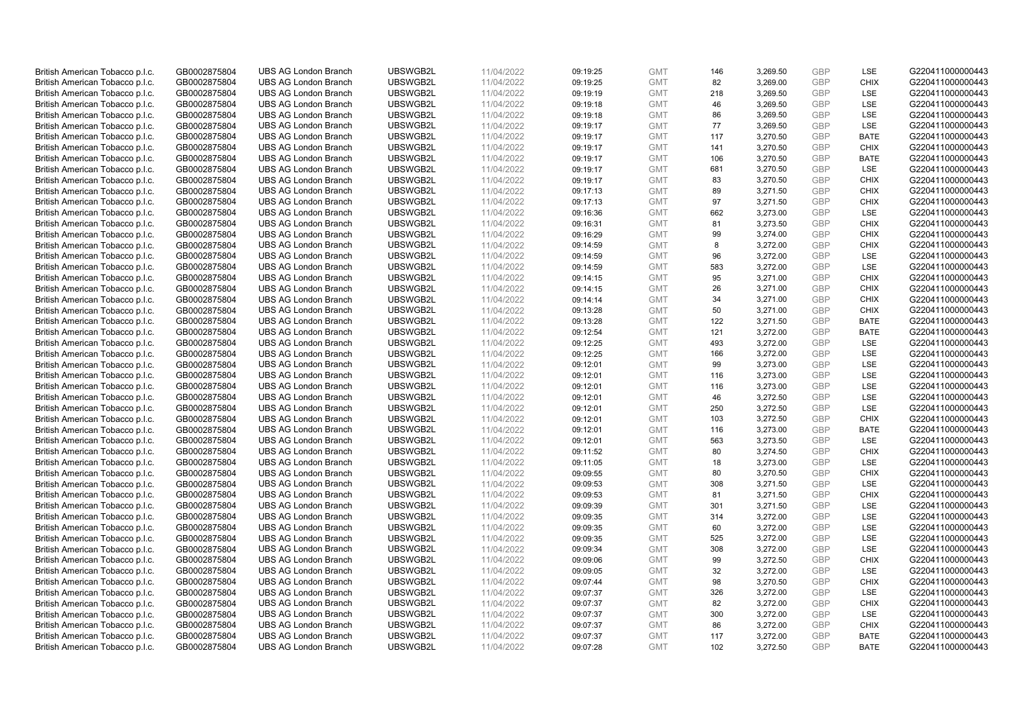| British American Tobacco p.l.c. | GB0002875804 | <b>UBS AG London Branch</b> | UBSWGB2L | 11/04/2022 | 09:19:25 | <b>GMT</b> | 146 | 3,269.50 | <b>GBP</b> | LSE         | G220411000000443 |
|---------------------------------|--------------|-----------------------------|----------|------------|----------|------------|-----|----------|------------|-------------|------------------|
|                                 | GB0002875804 | <b>UBS AG London Branch</b> | UBSWGB2L | 11/04/2022 |          | <b>GMT</b> | 82  | 3,269.00 | <b>GBP</b> | <b>CHIX</b> | G220411000000443 |
| British American Tobacco p.l.c. |              |                             |          |            | 09:19:25 |            |     |          |            |             |                  |
| British American Tobacco p.l.c. | GB0002875804 | <b>UBS AG London Branch</b> | UBSWGB2L | 11/04/2022 | 09:19:19 | <b>GMT</b> | 218 | 3,269.50 | <b>GBP</b> | LSE         | G220411000000443 |
| British American Tobacco p.l.c. | GB0002875804 | <b>UBS AG London Branch</b> | UBSWGB2L | 11/04/2022 | 09:19:18 | <b>GMT</b> | 46  | 3,269.50 | <b>GBP</b> | LSE         | G220411000000443 |
| British American Tobacco p.l.c. | GB0002875804 | <b>UBS AG London Branch</b> | UBSWGB2L | 11/04/2022 | 09:19:18 | <b>GMT</b> | 86  | 3,269.50 | <b>GBP</b> | LSE         | G220411000000443 |
| British American Tobacco p.l.c. | GB0002875804 | <b>UBS AG London Branch</b> | UBSWGB2L | 11/04/2022 | 09:19:17 | <b>GMT</b> | 77  | 3,269.50 | <b>GBP</b> | <b>LSE</b>  | G220411000000443 |
| British American Tobacco p.l.c. | GB0002875804 | <b>UBS AG London Branch</b> | UBSWGB2L | 11/04/2022 | 09:19:17 | <b>GMT</b> | 117 | 3,270.50 | <b>GBP</b> | <b>BATE</b> | G220411000000443 |
| British American Tobacco p.l.c. | GB0002875804 | <b>UBS AG London Branch</b> | UBSWGB2L | 11/04/2022 | 09:19:17 | <b>GMT</b> | 141 | 3,270.50 | <b>GBP</b> | <b>CHIX</b> | G220411000000443 |
| British American Tobacco p.l.c. | GB0002875804 | <b>UBS AG London Branch</b> | UBSWGB2L | 11/04/2022 | 09:19:17 | <b>GMT</b> | 106 | 3,270.50 | <b>GBP</b> | <b>BATE</b> | G220411000000443 |
| British American Tobacco p.l.c. | GB0002875804 | <b>UBS AG London Branch</b> | UBSWGB2L | 11/04/2022 | 09:19:17 | <b>GMT</b> | 681 | 3,270.50 | <b>GBP</b> | LSE         | G220411000000443 |
| British American Tobacco p.l.c. | GB0002875804 | <b>UBS AG London Branch</b> | UBSWGB2L | 11/04/2022 | 09:19:17 | <b>GMT</b> | 83  | 3,270.50 | <b>GBP</b> | <b>CHIX</b> | G220411000000443 |
| British American Tobacco p.l.c. | GB0002875804 | <b>UBS AG London Branch</b> | UBSWGB2L | 11/04/2022 | 09:17:13 | <b>GMT</b> | 89  | 3,271.50 | <b>GBP</b> | <b>CHIX</b> | G220411000000443 |
| British American Tobacco p.l.c. | GB0002875804 | <b>UBS AG London Branch</b> | UBSWGB2L | 11/04/2022 | 09:17:13 | <b>GMT</b> | 97  | 3,271.50 | <b>GBP</b> | <b>CHIX</b> | G220411000000443 |
| British American Tobacco p.l.c. | GB0002875804 | <b>UBS AG London Branch</b> | UBSWGB2L | 11/04/2022 | 09:16:36 | <b>GMT</b> | 662 | 3,273.00 | <b>GBP</b> | <b>LSE</b>  | G220411000000443 |
|                                 |              |                             | UBSWGB2L | 11/04/2022 |          | <b>GMT</b> | 81  | 3,273.50 | <b>GBP</b> | <b>CHIX</b> |                  |
| British American Tobacco p.l.c. | GB0002875804 | <b>UBS AG London Branch</b> |          |            | 09:16:31 |            |     |          |            |             | G220411000000443 |
| British American Tobacco p.l.c. | GB0002875804 | <b>UBS AG London Branch</b> | UBSWGB2L | 11/04/2022 | 09:16:29 | <b>GMT</b> | 99  | 3,274.00 | <b>GBP</b> | <b>CHIX</b> | G220411000000443 |
| British American Tobacco p.l.c. | GB0002875804 | <b>UBS AG London Branch</b> | UBSWGB2L | 11/04/2022 | 09:14:59 | <b>GMT</b> | 8   | 3,272.00 | <b>GBP</b> | <b>CHIX</b> | G220411000000443 |
| British American Tobacco p.l.c. | GB0002875804 | <b>UBS AG London Branch</b> | UBSWGB2L | 11/04/2022 | 09:14:59 | <b>GMT</b> | 96  | 3,272.00 | <b>GBP</b> | LSE         | G220411000000443 |
| British American Tobacco p.l.c. | GB0002875804 | <b>UBS AG London Branch</b> | UBSWGB2L | 11/04/2022 | 09:14:59 | <b>GMT</b> | 583 | 3,272.00 | <b>GBP</b> | <b>LSE</b>  | G220411000000443 |
| British American Tobacco p.l.c. | GB0002875804 | <b>UBS AG London Branch</b> | UBSWGB2L | 11/04/2022 | 09:14:15 | <b>GMT</b> | 95  | 3,271.00 | <b>GBP</b> | <b>CHIX</b> | G220411000000443 |
| British American Tobacco p.l.c. | GB0002875804 | <b>UBS AG London Branch</b> | UBSWGB2L | 11/04/2022 | 09:14:15 | <b>GMT</b> | 26  | 3,271.00 | <b>GBP</b> | <b>CHIX</b> | G220411000000443 |
| British American Tobacco p.l.c. | GB0002875804 | <b>UBS AG London Branch</b> | UBSWGB2L | 11/04/2022 | 09:14:14 | <b>GMT</b> | 34  | 3,271.00 | <b>GBP</b> | <b>CHIX</b> | G220411000000443 |
| British American Tobacco p.l.c. | GB0002875804 | <b>UBS AG London Branch</b> | UBSWGB2L | 11/04/2022 | 09:13:28 | <b>GMT</b> | 50  | 3,271.00 | <b>GBP</b> | <b>CHIX</b> | G220411000000443 |
| British American Tobacco p.l.c. | GB0002875804 | <b>UBS AG London Branch</b> | UBSWGB2L | 11/04/2022 | 09:13:28 | <b>GMT</b> | 122 | 3,271.50 | <b>GBP</b> | <b>BATE</b> | G220411000000443 |
| British American Tobacco p.l.c. | GB0002875804 | <b>UBS AG London Branch</b> | UBSWGB2L | 11/04/2022 | 09:12:54 | <b>GMT</b> | 121 | 3,272.00 | <b>GBP</b> | <b>BATE</b> | G220411000000443 |
| British American Tobacco p.l.c. | GB0002875804 | <b>UBS AG London Branch</b> | UBSWGB2L | 11/04/2022 | 09:12:25 | <b>GMT</b> | 493 | 3,272.00 | <b>GBP</b> | LSE         | G220411000000443 |
| British American Tobacco p.l.c. | GB0002875804 | <b>UBS AG London Branch</b> | UBSWGB2L | 11/04/2022 | 09:12:25 | <b>GMT</b> | 166 | 3,272.00 | <b>GBP</b> | <b>LSE</b>  | G220411000000443 |
| British American Tobacco p.l.c. | GB0002875804 | <b>UBS AG London Branch</b> | UBSWGB2L | 11/04/2022 | 09:12:01 | <b>GMT</b> | 99  | 3,273.00 | <b>GBP</b> | LSE         | G220411000000443 |
|                                 |              | <b>UBS AG London Branch</b> | UBSWGB2L |            |          |            | 116 |          |            | LSE         | G220411000000443 |
| British American Tobacco p.l.c. | GB0002875804 |                             |          | 11/04/2022 | 09:12:01 | <b>GMT</b> |     | 3,273.00 | <b>GBP</b> |             |                  |
| British American Tobacco p.l.c. | GB0002875804 | <b>UBS AG London Branch</b> | UBSWGB2L | 11/04/2022 | 09:12:01 | <b>GMT</b> | 116 | 3,273.00 | <b>GBP</b> | LSE         | G220411000000443 |
| British American Tobacco p.l.c. | GB0002875804 | <b>UBS AG London Branch</b> | UBSWGB2L | 11/04/2022 | 09:12:01 | <b>GMT</b> | 46  | 3,272.50 | <b>GBP</b> | LSE         | G220411000000443 |
| British American Tobacco p.l.c. | GB0002875804 | <b>UBS AG London Branch</b> | UBSWGB2L | 11/04/2022 | 09:12:01 | <b>GMT</b> | 250 | 3,272.50 | <b>GBP</b> | LSE         | G220411000000443 |
| British American Tobacco p.l.c. | GB0002875804 | <b>UBS AG London Branch</b> | UBSWGB2L | 11/04/2022 | 09:12:01 | <b>GMT</b> | 103 | 3,272.50 | <b>GBP</b> | <b>CHIX</b> | G220411000000443 |
| British American Tobacco p.l.c. | GB0002875804 | <b>UBS AG London Branch</b> | UBSWGB2L | 11/04/2022 | 09:12:01 | <b>GMT</b> | 116 | 3,273.00 | <b>GBP</b> | <b>BATE</b> | G220411000000443 |
| British American Tobacco p.l.c. | GB0002875804 | <b>UBS AG London Branch</b> | UBSWGB2L | 11/04/2022 | 09:12:01 | <b>GMT</b> | 563 | 3,273.50 | <b>GBP</b> | LSE         | G220411000000443 |
| British American Tobacco p.l.c. | GB0002875804 | <b>UBS AG London Branch</b> | UBSWGB2L | 11/04/2022 | 09:11:52 | <b>GMT</b> | 80  | 3,274.50 | <b>GBP</b> | <b>CHIX</b> | G220411000000443 |
| British American Tobacco p.l.c. | GB0002875804 | <b>UBS AG London Branch</b> | UBSWGB2L | 11/04/2022 | 09:11:05 | <b>GMT</b> | 18  | 3,273.00 | <b>GBP</b> | LSE         | G220411000000443 |
| British American Tobacco p.l.c. | GB0002875804 | <b>UBS AG London Branch</b> | UBSWGB2L | 11/04/2022 | 09:09:55 | <b>GMT</b> | 80  | 3,270.50 | <b>GBP</b> | <b>CHIX</b> | G220411000000443 |
| British American Tobacco p.l.c. | GB0002875804 | <b>UBS AG London Branch</b> | UBSWGB2L | 11/04/2022 | 09:09:53 | <b>GMT</b> | 308 | 3,271.50 | <b>GBP</b> | LSE         | G220411000000443 |
| British American Tobacco p.l.c. | GB0002875804 | UBS AG London Branch        | UBSWGB2L | 11/04/2022 | 09:09:53 | <b>GMT</b> | 81  | 3,271.50 | <b>GBP</b> | <b>CHIX</b> | G220411000000443 |
| British American Tobacco p.l.c. | GB0002875804 | <b>UBS AG London Branch</b> | UBSWGB2L | 11/04/2022 | 09:09:39 | <b>GMT</b> | 301 | 3,271.50 | <b>GBP</b> | LSE         | G220411000000443 |
| British American Tobacco p.l.c. | GB0002875804 | <b>UBS AG London Branch</b> | UBSWGB2L | 11/04/2022 | 09:09:35 | <b>GMT</b> | 314 | 3,272.00 | <b>GBP</b> | LSE         | G220411000000443 |
| British American Tobacco p.l.c. | GB0002875804 | <b>UBS AG London Branch</b> | UBSWGB2L | 11/04/2022 | 09:09:35 | <b>GMT</b> | 60  | 3,272.00 | <b>GBP</b> | LSE         | G220411000000443 |
| British American Tobacco p.l.c. | GB0002875804 | <b>UBS AG London Branch</b> | UBSWGB2L | 11/04/2022 |          | <b>GMT</b> | 525 | 3,272.00 | <b>GBP</b> | LSE         | G220411000000443 |
|                                 |              |                             |          |            | 09:09:35 |            |     |          |            |             |                  |
| British American Tobacco p.l.c. | GB0002875804 | UBS AG London Branch        | UBSWGB2L | 11/04/2022 | 09:09:34 | <b>GMT</b> | 308 | 3,272.00 | <b>GBP</b> | LSE         | G220411000000443 |
| British American Tobacco p.l.c. | GB0002875804 | <b>UBS AG London Branch</b> | UBSWGB2L | 11/04/2022 | 09:09:06 | <b>GMT</b> | 99  | 3,272.50 | <b>GBP</b> | <b>CHIX</b> | G220411000000443 |
| British American Tobacco p.l.c. | GB0002875804 | <b>UBS AG London Branch</b> | UBSWGB2L | 11/04/2022 | 09:09:05 | <b>GMT</b> | 32  | 3,272.00 | <b>GBP</b> | LSE         | G220411000000443 |
| British American Tobacco p.l.c. | GB0002875804 | <b>UBS AG London Branch</b> | UBSWGB2L | 11/04/2022 | 09:07:44 | <b>GMT</b> | 98  | 3,270.50 | <b>GBP</b> | <b>CHIX</b> | G220411000000443 |
| British American Tobacco p.l.c. | GB0002875804 | <b>UBS AG London Branch</b> | UBSWGB2L | 11/04/2022 | 09:07:37 | GMT        | 326 | 3,272.00 | <b>GBP</b> | LSE         | G220411000000443 |
| British American Tobacco p.l.c. | GB0002875804 | <b>UBS AG London Branch</b> | UBSWGB2L | 11/04/2022 | 09:07:37 | <b>GMT</b> | 82  | 3,272.00 | <b>GBP</b> | <b>CHIX</b> | G220411000000443 |
| British American Tobacco p.l.c. | GB0002875804 | <b>UBS AG London Branch</b> | UBSWGB2L | 11/04/2022 | 09:07:37 | <b>GMT</b> | 300 | 3,272.00 | <b>GBP</b> | LSE         | G220411000000443 |
| British American Tobacco p.l.c. | GB0002875804 | <b>UBS AG London Branch</b> | UBSWGB2L | 11/04/2022 | 09:07:37 | <b>GMT</b> | 86  | 3,272.00 | <b>GBP</b> | <b>CHIX</b> | G220411000000443 |
| British American Tobacco p.l.c. | GB0002875804 | <b>UBS AG London Branch</b> | UBSWGB2L | 11/04/2022 | 09:07:37 | <b>GMT</b> | 117 | 3,272.00 | <b>GBP</b> | <b>BATE</b> | G220411000000443 |
| British American Tobacco p.l.c. | GB0002875804 | <b>UBS AG London Branch</b> | UBSWGB2L | 11/04/2022 | 09:07:28 | <b>GMT</b> | 102 | 3,272.50 | <b>GBP</b> | <b>BATE</b> | G220411000000443 |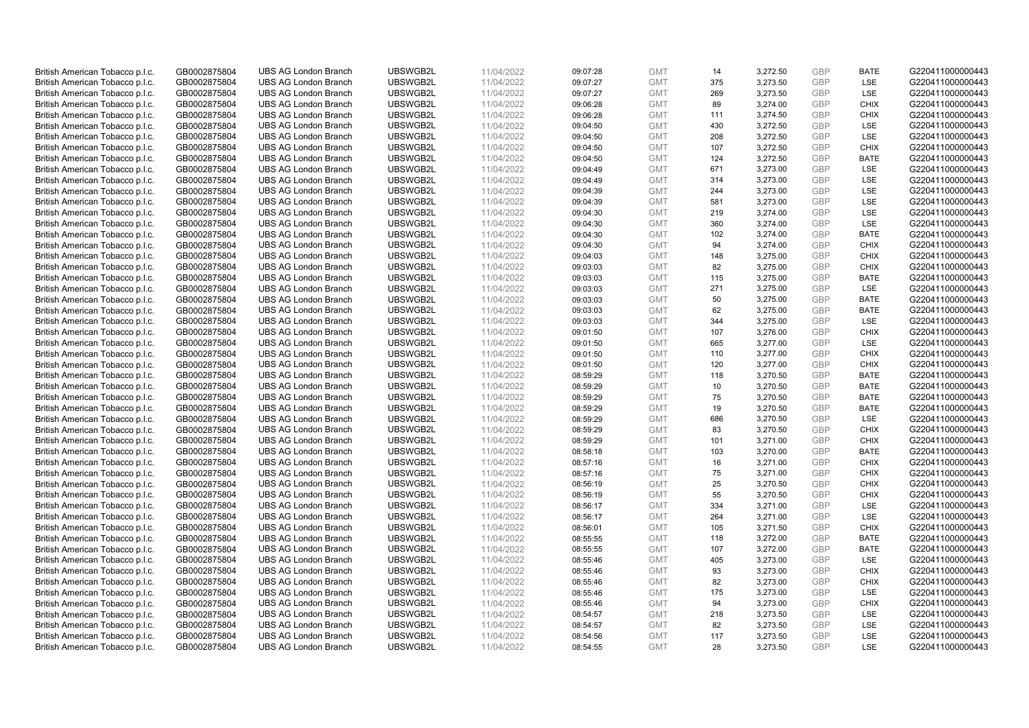| British American Tobacco p.l.c. | GB0002875804 | <b>UBS AG London Branch</b> | UBSWGB2L | 11/04/2022 | 09:07:28 | <b>GMT</b>               | 14       | 3,272.50 | <b>GBP</b>               | <b>BATE</b>                | G220411000000443                     |
|---------------------------------|--------------|-----------------------------|----------|------------|----------|--------------------------|----------|----------|--------------------------|----------------------------|--------------------------------------|
| British American Tobacco p.l.c. | GB0002875804 | <b>UBS AG London Branch</b> | UBSWGB2L | 11/04/2022 | 09:07:27 | <b>GMT</b>               | 375      | 3,273.50 | <b>GBP</b>               | LSE                        | G220411000000443                     |
| British American Tobacco p.l.c. | GB0002875804 | <b>UBS AG London Branch</b> | UBSWGB2L | 11/04/2022 | 09:07:27 | <b>GMT</b>               | 269      | 3,273.50 | <b>GBP</b>               | LSE                        | G220411000000443                     |
| British American Tobacco p.l.c. | GB0002875804 | <b>UBS AG London Branch</b> | UBSWGB2L | 11/04/2022 | 09:06:28 | <b>GMT</b>               | 89       | 3,274.00 | <b>GBP</b>               | <b>CHIX</b>                | G220411000000443                     |
| British American Tobacco p.l.c. | GB0002875804 | <b>UBS AG London Branch</b> | UBSWGB2L | 11/04/2022 | 09:06:28 | <b>GMT</b>               | 111      | 3,274.50 | <b>GBP</b>               | <b>CHIX</b>                | G220411000000443                     |
| British American Tobacco p.l.c. | GB0002875804 | <b>UBS AG London Branch</b> | UBSWGB2L | 11/04/2022 | 09:04:50 | <b>GMT</b>               | 430      | 3,272.50 | <b>GBP</b>               | <b>LSE</b>                 | G220411000000443                     |
| British American Tobacco p.l.c. | GB0002875804 | <b>UBS AG London Branch</b> | UBSWGB2L | 11/04/2022 | 09:04:50 | <b>GMT</b>               | 208      | 3,272.50 | <b>GBP</b>               | LSE                        | G220411000000443                     |
| British American Tobacco p.l.c. | GB0002875804 | <b>UBS AG London Branch</b> | UBSWGB2L | 11/04/2022 | 09:04:50 | <b>GMT</b>               | 107      | 3,272.50 | <b>GBP</b>               | <b>CHIX</b>                | G220411000000443                     |
| British American Tobacco p.l.c. | GB0002875804 | UBS AG London Branch        | UBSWGB2L | 11/04/2022 | 09:04:50 | <b>GMT</b>               | 124      | 3,272.50 | <b>GBP</b>               | <b>BATE</b>                | G220411000000443                     |
| British American Tobacco p.l.c. | GB0002875804 | <b>UBS AG London Branch</b> | UBSWGB2L | 11/04/2022 | 09:04:49 | <b>GMT</b>               | 671      | 3,273.00 | <b>GBP</b>               | <b>LSE</b>                 | G220411000000443                     |
| British American Tobacco p.l.c. | GB0002875804 | <b>UBS AG London Branch</b> | UBSWGB2L | 11/04/2022 | 09:04:49 | <b>GMT</b>               | 314      | 3,273.00 | <b>GBP</b>               | LSE                        | G220411000000443                     |
| British American Tobacco p.l.c. | GB0002875804 | <b>UBS AG London Branch</b> | UBSWGB2L | 11/04/2022 | 09:04:39 | <b>GMT</b>               | 244      | 3,273.00 | <b>GBP</b>               | LSE                        | G220411000000443                     |
| British American Tobacco p.l.c. | GB0002875804 | <b>UBS AG London Branch</b> | UBSWGB2L | 11/04/2022 | 09:04:39 | <b>GMT</b>               | 581      | 3,273.00 | <b>GBP</b>               | LSE                        | G220411000000443                     |
| British American Tobacco p.l.c. | GB0002875804 | <b>UBS AG London Branch</b> | UBSWGB2L | 11/04/2022 | 09:04:30 | <b>GMT</b>               | 219      | 3,274.00 | <b>GBP</b>               | LSE                        | G220411000000443                     |
| British American Tobacco p.l.c. | GB0002875804 | <b>UBS AG London Branch</b> | UBSWGB2L | 11/04/2022 | 09:04:30 | <b>GMT</b>               | 360      | 3,274.00 | <b>GBP</b>               | LSE                        | G220411000000443                     |
| British American Tobacco p.l.c. | GB0002875804 | <b>UBS AG London Branch</b> | UBSWGB2L | 11/04/2022 | 09:04:30 | <b>GMT</b>               | 102      | 3,274.00 | <b>GBP</b>               | <b>BATE</b>                | G220411000000443                     |
| British American Tobacco p.l.c. | GB0002875804 | <b>UBS AG London Branch</b> | UBSWGB2L | 11/04/2022 | 09:04:30 | <b>GMT</b>               | 94       | 3,274.00 | <b>GBP</b>               | <b>CHIX</b>                | G220411000000443                     |
| British American Tobacco p.l.c. | GB0002875804 | <b>UBS AG London Branch</b> | UBSWGB2L | 11/04/2022 | 09:04:03 | <b>GMT</b>               | 148      | 3,275.00 | <b>GBP</b>               | <b>CHIX</b>                | G220411000000443                     |
| British American Tobacco p.l.c. | GB0002875804 | <b>UBS AG London Branch</b> | UBSWGB2L | 11/04/2022 | 09:03:03 | <b>GMT</b>               | 82       | 3,275.00 | <b>GBP</b>               | <b>CHIX</b>                | G220411000000443                     |
| British American Tobacco p.l.c. | GB0002875804 | <b>UBS AG London Branch</b> | UBSWGB2L | 11/04/2022 | 09:03:03 | <b>GMT</b>               | 115      | 3,275.00 | <b>GBP</b>               | <b>BATE</b>                | G220411000000443                     |
| British American Tobacco p.l.c. | GB0002875804 | <b>UBS AG London Branch</b> | UBSWGB2L | 11/04/2022 | 09:03:03 | <b>GMT</b>               | 271      | 3,275.00 | <b>GBP</b>               | LSE                        | G220411000000443                     |
| British American Tobacco p.l.c. | GB0002875804 | <b>UBS AG London Branch</b> | UBSWGB2L | 11/04/2022 | 09:03:03 | <b>GMT</b>               | 50       | 3,275.00 | <b>GBP</b>               | <b>BATE</b>                | G220411000000443                     |
| British American Tobacco p.l.c. | GB0002875804 | <b>UBS AG London Branch</b> | UBSWGB2L | 11/04/2022 | 09:03:03 | <b>GMT</b>               | 62       | 3,275.00 | <b>GBP</b>               | <b>BATE</b>                | G220411000000443                     |
| British American Tobacco p.l.c. | GB0002875804 | <b>UBS AG London Branch</b> | UBSWGB2L | 11/04/2022 | 09:03:03 | <b>GMT</b>               | 344      | 3,275.00 | <b>GBP</b>               | LSE                        | G220411000000443                     |
| British American Tobacco p.l.c. | GB0002875804 | <b>UBS AG London Branch</b> | UBSWGB2L | 11/04/2022 | 09:01:50 | <b>GMT</b>               | 107      | 3,276.00 | <b>GBP</b>               | <b>CHIX</b>                | G220411000000443                     |
| British American Tobacco p.l.c. | GB0002875804 | <b>UBS AG London Branch</b> | UBSWGB2L | 11/04/2022 | 09:01:50 | <b>GMT</b>               | 665      | 3,277.00 | <b>GBP</b>               | LSE                        | G220411000000443                     |
| British American Tobacco p.l.c. | GB0002875804 | <b>UBS AG London Branch</b> | UBSWGB2L | 11/04/2022 | 09:01:50 | <b>GMT</b>               | 110      | 3,277.00 | <b>GBP</b>               | <b>CHIX</b>                | G220411000000443                     |
|                                 | GB0002875804 | <b>UBS AG London Branch</b> | UBSWGB2L | 11/04/2022 |          |                          | 120      |          | <b>GBP</b>               | <b>CHIX</b>                |                                      |
| British American Tobacco p.l.c. |              | <b>UBS AG London Branch</b> | UBSWGB2L |            | 09:01:50 | <b>GMT</b>               |          | 3,277.00 |                          | <b>BATE</b>                | G220411000000443<br>G220411000000443 |
| British American Tobacco p.l.c. | GB0002875804 |                             |          | 11/04/2022 | 08:59:29 | <b>GMT</b>               | 118      | 3,270.50 | <b>GBP</b>               |                            |                                      |
| British American Tobacco p.l.c. | GB0002875804 | <b>UBS AG London Branch</b> | UBSWGB2L | 11/04/2022 | 08:59:29 | <b>GMT</b><br><b>GMT</b> | 10<br>75 | 3,270.50 | <b>GBP</b><br><b>GBP</b> | <b>BATE</b><br><b>BATE</b> | G220411000000443                     |
| British American Tobacco p.l.c. | GB0002875804 | <b>UBS AG London Branch</b> | UBSWGB2L | 11/04/2022 | 08:59:29 |                          |          | 3,270.50 |                          |                            | G220411000000443                     |
| British American Tobacco p.l.c. | GB0002875804 | <b>UBS AG London Branch</b> | UBSWGB2L | 11/04/2022 | 08:59:29 | <b>GMT</b>               | 19       | 3,270.50 | <b>GBP</b>               | <b>BATE</b>                | G220411000000443                     |
| British American Tobacco p.l.c. | GB0002875804 | <b>UBS AG London Branch</b> | UBSWGB2L | 11/04/2022 | 08:59:29 | <b>GMT</b>               | 686      | 3,270.50 | <b>GBP</b>               | LSE                        | G220411000000443                     |
| British American Tobacco p.l.c. | GB0002875804 | <b>UBS AG London Branch</b> | UBSWGB2L | 11/04/2022 | 08:59:29 | <b>GMT</b>               | 83       | 3,270.50 | <b>GBP</b>               | <b>CHIX</b>                | G220411000000443                     |
| British American Tobacco p.l.c. | GB0002875804 | <b>UBS AG London Branch</b> | UBSWGB2L | 11/04/2022 | 08:59:29 | <b>GMT</b>               | 101      | 3,271.00 | <b>GBP</b>               | <b>CHIX</b>                | G220411000000443                     |
| British American Tobacco p.l.c. | GB0002875804 | <b>UBS AG London Branch</b> | UBSWGB2L | 11/04/2022 | 08:58:18 | <b>GMT</b>               | 103      | 3,270.00 | <b>GBP</b>               | <b>BATE</b>                | G220411000000443                     |
| British American Tobacco p.l.c. | GB0002875804 | <b>UBS AG London Branch</b> | UBSWGB2L | 11/04/2022 | 08:57:16 | <b>GMT</b>               | 16       | 3.271.00 | <b>GBP</b>               | <b>CHIX</b>                | G220411000000443                     |
| British American Tobacco p.l.c. | GB0002875804 | <b>UBS AG London Branch</b> | UBSWGB2L | 11/04/2022 | 08:57:16 | <b>GMT</b>               | 75       | 3,271.00 | <b>GBP</b>               | <b>CHIX</b>                | G220411000000443                     |
| British American Tobacco p.l.c. | GB0002875804 | <b>UBS AG London Branch</b> | UBSWGB2L | 11/04/2022 | 08:56:19 | <b>GMT</b>               | 25       | 3,270.50 | <b>GBP</b>               | <b>CHIX</b>                | G220411000000443                     |
| British American Tobacco p.l.c. | GB0002875804 | <b>UBS AG London Branch</b> | UBSWGB2L | 11/04/2022 | 08:56:19 | <b>GMT</b>               | 55       | 3,270.50 | <b>GBP</b>               | <b>CHIX</b>                | G220411000000443                     |
| British American Tobacco p.l.c. | GB0002875804 | <b>UBS AG London Branch</b> | UBSWGB2L | 11/04/2022 | 08:56:17 | <b>GMT</b>               | 334      | 3,271.00 | <b>GBP</b>               | <b>LSE</b>                 | G220411000000443                     |
| British American Tobacco p.l.c. | GB0002875804 | <b>UBS AG London Branch</b> | UBSWGB2L | 11/04/2022 | 08:56:17 | <b>GMT</b>               | 264      | 3,271.00 | <b>GBP</b>               | LSE                        | G220411000000443                     |
| British American Tobacco p.l.c. | GB0002875804 | <b>UBS AG London Branch</b> | UBSWGB2L | 11/04/2022 | 08:56:01 | GMT                      | 105      | 3,271.50 | GBP                      | <b>CHIX</b>                | G220411000000443                     |
| British American Tobacco p.l.c. | GB0002875804 | <b>UBS AG London Branch</b> | UBSWGB2L | 11/04/2022 | 08:55:55 | <b>GMT</b>               | 118      | 3,272.00 | <b>GBP</b>               | <b>BATE</b>                | G220411000000443                     |
| British American Tobacco p.l.c. | GB0002875804 | <b>UBS AG London Branch</b> | UBSWGB2L | 11/04/2022 | 08:55:55 | <b>GMT</b>               | 107      | 3,272.00 | <b>GBP</b>               | <b>BATE</b>                | G220411000000443                     |
| British American Tobacco p.l.c. | GB0002875804 | <b>UBS AG London Branch</b> | UBSWGB2L | 11/04/2022 | 08:55:46 | <b>GMT</b>               | 405      | 3,273.00 | <b>GBP</b>               | LSE                        | G220411000000443                     |
| British American Tobacco p.l.c. | GB0002875804 | <b>UBS AG London Branch</b> | UBSWGB2L | 11/04/2022 | 08:55:46 | <b>GMT</b>               | 93       | 3,273.00 | <b>GBP</b>               | <b>CHIX</b>                | G220411000000443                     |
| British American Tobacco p.l.c. | GB0002875804 | <b>UBS AG London Branch</b> | UBSWGB2L | 11/04/2022 | 08:55:46 | <b>GMT</b>               | 82       | 3,273.00 | <b>GBP</b>               | <b>CHIX</b>                | G220411000000443                     |
| British American Tobacco p.l.c. | GB0002875804 | <b>UBS AG London Branch</b> | UBSWGB2L | 11/04/2022 | 08:55:46 | <b>GMT</b>               | 175      | 3,273.00 | <b>GBP</b>               | LSE                        | G220411000000443                     |
| British American Tobacco p.l.c. | GB0002875804 | <b>UBS AG London Branch</b> | UBSWGB2L | 11/04/2022 | 08:55:46 | <b>GMT</b>               | 94       | 3,273.00 | <b>GBP</b>               | <b>CHIX</b>                | G220411000000443                     |
| British American Tobacco p.l.c. | GB0002875804 | <b>UBS AG London Branch</b> | UBSWGB2L | 11/04/2022 | 08:54:57 | <b>GMT</b>               | 218      | 3,273.50 | <b>GBP</b>               | LSE                        | G220411000000443                     |
| British American Tobacco p.l.c. | GB0002875804 | <b>UBS AG London Branch</b> | UBSWGB2L | 11/04/2022 | 08:54:57 | <b>GMT</b>               | 82       | 3,273.50 | <b>GBP</b>               | LSE                        | G220411000000443                     |
| British American Tobacco p.l.c. | GB0002875804 | <b>UBS AG London Branch</b> | UBSWGB2L | 11/04/2022 | 08:54:56 | <b>GMT</b>               | 117      | 3,273.50 | <b>GBP</b>               | LSE                        | G220411000000443                     |
| British American Tobacco p.l.c. | GB0002875804 | <b>UBS AG London Branch</b> | UBSWGB2L | 11/04/2022 | 08:54:55 | <b>GMT</b>               | 28       | 3,273.50 | GBP                      | <b>LSE</b>                 | G220411000000443                     |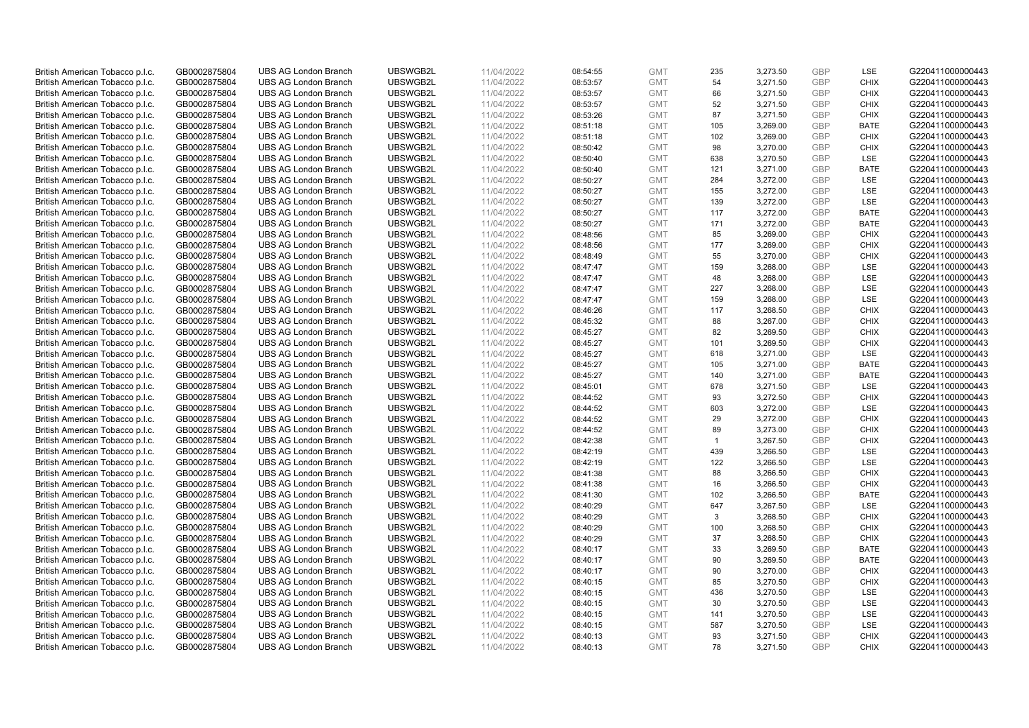| British American Tobacco p.l.c. | GB0002875804 | <b>UBS AG London Branch</b> | UBSWGB2L             | 11/04/2022 | 08:54:55             | <b>GMT</b>               | 235          | 3,273.50 | <b>GBP</b>               | LSE                | G220411000000443                     |
|---------------------------------|--------------|-----------------------------|----------------------|------------|----------------------|--------------------------|--------------|----------|--------------------------|--------------------|--------------------------------------|
| British American Tobacco p.l.c. | GB0002875804 | <b>UBS AG London Branch</b> | UBSWGB2L             | 11/04/2022 | 08:53:57             | <b>GMT</b>               | 54           | 3,271.50 | <b>GBP</b>               | <b>CHIX</b>        | G220411000000443                     |
| British American Tobacco p.l.c. | GB0002875804 | <b>UBS AG London Branch</b> | UBSWGB2L             | 11/04/2022 | 08:53:57             | <b>GMT</b>               | 66           | 3,271.50 | <b>GBP</b>               | <b>CHIX</b>        | G220411000000443                     |
| British American Tobacco p.l.c. | GB0002875804 | <b>UBS AG London Branch</b> | UBSWGB2L             | 11/04/2022 | 08:53:57             | <b>GMT</b>               | 52           | 3,271.50 | <b>GBP</b>               | <b>CHIX</b>        | G220411000000443                     |
| British American Tobacco p.l.c. | GB0002875804 | <b>UBS AG London Branch</b> | UBSWGB2L             | 11/04/2022 | 08:53:26             | <b>GMT</b>               | 87           | 3,271.50 | <b>GBP</b>               | <b>CHIX</b>        | G220411000000443                     |
| British American Tobacco p.l.c. | GB0002875804 | <b>UBS AG London Branch</b> | UBSWGB2L             | 11/04/2022 | 08:51:18             | <b>GMT</b>               | 105          | 3,269.00 | <b>GBP</b>               | <b>BATE</b>        | G220411000000443                     |
| British American Tobacco p.l.c. | GB0002875804 | <b>UBS AG London Branch</b> | UBSWGB2L             | 11/04/2022 | 08:51:18             | <b>GMT</b>               | 102          | 3,269.00 | <b>GBP</b>               | <b>CHIX</b>        | G220411000000443                     |
| British American Tobacco p.l.c. | GB0002875804 | <b>UBS AG London Branch</b> | UBSWGB2L             | 11/04/2022 | 08:50:42             | <b>GMT</b>               | 98           | 3,270.00 | <b>GBP</b>               | <b>CHIX</b>        | G220411000000443                     |
| British American Tobacco p.l.c. | GB0002875804 | UBS AG London Branch        | UBSWGB2L             | 11/04/2022 | 08:50:40             | <b>GMT</b>               | 638          | 3,270.50 | <b>GBP</b>               | <b>LSE</b>         | G220411000000443                     |
| British American Tobacco p.l.c. | GB0002875804 | <b>UBS AG London Branch</b> | UBSWGB2L             | 11/04/2022 | 08:50:40             | <b>GMT</b>               | 121          | 3,271.00 | <b>GBP</b>               | <b>BATE</b>        | G220411000000443                     |
| British American Tobacco p.l.c. | GB0002875804 | <b>UBS AG London Branch</b> | UBSWGB2L             | 11/04/2022 | 08:50:27             | <b>GMT</b>               | 284          | 3,272.00 | <b>GBP</b>               | LSE                | G220411000000443                     |
| British American Tobacco p.l.c. | GB0002875804 | <b>UBS AG London Branch</b> | UBSWGB2L             | 11/04/2022 | 08:50:27             | <b>GMT</b>               | 155          | 3,272.00 | <b>GBP</b>               | LSE                | G220411000000443                     |
| British American Tobacco p.l.c. | GB0002875804 | <b>UBS AG London Branch</b> | UBSWGB2L             | 11/04/2022 | 08:50:27             | <b>GMT</b>               | 139          | 3,272.00 | <b>GBP</b>               | LSE                | G220411000000443                     |
| British American Tobacco p.l.c. | GB0002875804 | <b>UBS AG London Branch</b> | UBSWGB2L             | 11/04/2022 | 08:50:27             | <b>GMT</b>               | 117          | 3,272.00 | <b>GBP</b>               | <b>BATE</b>        | G220411000000443                     |
| British American Tobacco p.l.c. | GB0002875804 | <b>UBS AG London Branch</b> | UBSWGB2L             | 11/04/2022 | 08:50:27             | <b>GMT</b>               | 171          | 3,272.00 | <b>GBP</b>               | <b>BATE</b>        | G220411000000443                     |
| British American Tobacco p.l.c. | GB0002875804 | <b>UBS AG London Branch</b> | UBSWGB2L             | 11/04/2022 | 08:48:56             | <b>GMT</b>               | 85           | 3,269.00 | <b>GBP</b>               | <b>CHIX</b>        | G220411000000443                     |
| British American Tobacco p.l.c. | GB0002875804 | <b>UBS AG London Branch</b> | UBSWGB2L             | 11/04/2022 | 08:48:56             | <b>GMT</b>               | 177          | 3,269.00 | <b>GBP</b>               | <b>CHIX</b>        | G220411000000443                     |
| British American Tobacco p.l.c. | GB0002875804 | <b>UBS AG London Branch</b> | UBSWGB2L             | 11/04/2022 | 08:48:49             | <b>GMT</b>               | 55           | 3,270.00 | <b>GBP</b>               | <b>CHIX</b>        | G220411000000443                     |
| British American Tobacco p.l.c. | GB0002875804 | <b>UBS AG London Branch</b> | UBSWGB2L             | 11/04/2022 | 08:47:47             | <b>GMT</b>               | 159          | 3,268.00 | <b>GBP</b>               | LSE                | G220411000000443                     |
| British American Tobacco p.l.c. | GB0002875804 | <b>UBS AG London Branch</b> | UBSWGB2L             | 11/04/2022 | 08:47:47             | <b>GMT</b>               | 48           | 3,268.00 | <b>GBP</b>               | LSE                | G220411000000443                     |
| British American Tobacco p.l.c. | GB0002875804 | <b>UBS AG London Branch</b> | UBSWGB2L             | 11/04/2022 | 08:47:47             | <b>GMT</b>               | 227          | 3,268.00 | <b>GBP</b>               | LSE                | G220411000000443                     |
| British American Tobacco p.l.c. | GB0002875804 | <b>UBS AG London Branch</b> | UBSWGB2L             | 11/04/2022 | 08:47:47             | <b>GMT</b>               | 159          | 3,268.00 | <b>GBP</b>               | <b>LSE</b>         | G220411000000443                     |
| British American Tobacco p.l.c. | GB0002875804 | <b>UBS AG London Branch</b> | UBSWGB2L             | 11/04/2022 | 08:46:26             | <b>GMT</b>               | 117          | 3,268.50 | <b>GBP</b>               | <b>CHIX</b>        | G220411000000443                     |
| British American Tobacco p.l.c. | GB0002875804 | <b>UBS AG London Branch</b> | UBSWGB2L             | 11/04/2022 | 08:45:32             | <b>GMT</b>               | 88           | 3,267.00 | <b>GBP</b>               | <b>CHIX</b>        | G220411000000443                     |
| British American Tobacco p.l.c. | GB0002875804 | <b>UBS AG London Branch</b> | UBSWGB2L             | 11/04/2022 | 08:45:27             | <b>GMT</b>               | 82           | 3,269.50 | <b>GBP</b>               | <b>CHIX</b>        | G220411000000443                     |
| British American Tobacco p.l.c. | GB0002875804 | <b>UBS AG London Branch</b> | UBSWGB2L             | 11/04/2022 | 08:45:27             | <b>GMT</b>               | 101          | 3,269.50 | <b>GBP</b>               | <b>CHIX</b>        | G220411000000443                     |
| British American Tobacco p.l.c. | GB0002875804 | <b>UBS AG London Branch</b> | UBSWGB2L             | 11/04/2022 | 08:45:27             | <b>GMT</b>               | 618          | 3,271.00 | <b>GBP</b>               | LSE                | G220411000000443                     |
|                                 | GB0002875804 | <b>UBS AG London Branch</b> | UBSWGB2L             | 11/04/2022 |                      |                          | 105          | 3,271.00 | <b>GBP</b>               | <b>BATE</b>        |                                      |
| British American Tobacco p.l.c. |              | <b>UBS AG London Branch</b> | UBSWGB2L             |            | 08:45:27<br>08:45:27 | <b>GMT</b>               | 140          |          |                          | <b>BATE</b>        | G220411000000443<br>G220411000000443 |
| British American Tobacco p.l.c. | GB0002875804 |                             |                      | 11/04/2022 |                      | <b>GMT</b>               |              | 3,271.00 | <b>GBP</b>               |                    |                                      |
| British American Tobacco p.l.c. | GB0002875804 | <b>UBS AG London Branch</b> | UBSWGB2L             | 11/04/2022 | 08:45:01             | <b>GMT</b><br><b>GMT</b> | 678<br>93    | 3,271.50 | <b>GBP</b><br><b>GBP</b> | LSE<br><b>CHIX</b> | G220411000000443                     |
| British American Tobacco p.l.c. | GB0002875804 | <b>UBS AG London Branch</b> | UBSWGB2L<br>UBSWGB2L | 11/04/2022 | 08:44:52             |                          |              | 3,272.50 |                          |                    | G220411000000443                     |
| British American Tobacco p.l.c. | GB0002875804 | <b>UBS AG London Branch</b> |                      | 11/04/2022 | 08:44:52             | <b>GMT</b><br><b>GMT</b> | 603          | 3,272.00 | <b>GBP</b><br><b>GBP</b> | <b>LSE</b>         | G220411000000443                     |
| British American Tobacco p.l.c. | GB0002875804 | <b>UBS AG London Branch</b> | UBSWGB2L             | 11/04/2022 | 08:44:52             |                          | 29           | 3,272.00 |                          | <b>CHIX</b>        | G220411000000443                     |
| British American Tobacco p.l.c. | GB0002875804 | <b>UBS AG London Branch</b> | UBSWGB2L             | 11/04/2022 | 08:44:52             | <b>GMT</b>               | 89           | 3,273.00 | <b>GBP</b>               | <b>CHIX</b>        | G220411000000443                     |
| British American Tobacco p.l.c. | GB0002875804 | <b>UBS AG London Branch</b> | UBSWGB2L             | 11/04/2022 | 08:42:38             | <b>GMT</b>               | $\mathbf{1}$ | 3,267.50 | <b>GBP</b>               | <b>CHIX</b>        | G220411000000443                     |
| British American Tobacco p.l.c. | GB0002875804 | <b>UBS AG London Branch</b> | UBSWGB2L             | 11/04/2022 | 08:42:19             | <b>GMT</b>               | 439          | 3,266.50 | <b>GBP</b>               | LSE                | G220411000000443                     |
| British American Tobacco p.l.c. | GB0002875804 | <b>UBS AG London Branch</b> | UBSWGB2L             | 11/04/2022 | 08:42:19             | <b>GMT</b>               | 122          | 3,266.50 | <b>GBP</b>               | <b>LSE</b>         | G220411000000443                     |
| British American Tobacco p.l.c. | GB0002875804 | <b>UBS AG London Branch</b> | UBSWGB2L             | 11/04/2022 | 08:41:38             | <b>GMT</b>               | 88           | 3,266.50 | <b>GBP</b>               | <b>CHIX</b>        | G220411000000443                     |
| British American Tobacco p.l.c. | GB0002875804 | <b>UBS AG London Branch</b> | UBSWGB2L             | 11/04/2022 | 08:41:38             | <b>GMT</b>               | 16           | 3,266.50 | <b>GBP</b>               | <b>CHIX</b>        | G220411000000443                     |
| British American Tobacco p.l.c. | GB0002875804 | <b>UBS AG London Branch</b> | UBSWGB2L             | 11/04/2022 | 08:41:30             | <b>GMT</b>               | 102          | 3,266.50 | <b>GBP</b>               | <b>BATE</b>        | G220411000000443                     |
| British American Tobacco p.l.c. | GB0002875804 | <b>UBS AG London Branch</b> | UBSWGB2L             | 11/04/2022 | 08:40:29             | <b>GMT</b>               | 647          | 3,267.50 | <b>GBP</b>               | LSE                | G220411000000443                     |
| British American Tobacco p.l.c. | GB0002875804 | <b>UBS AG London Branch</b> | UBSWGB2L             | 11/04/2022 | 08:40:29             | <b>GMT</b>               | 3            | 3,268.50 | <b>GBP</b>               | <b>CHIX</b>        | G220411000000443                     |
| British American Tobacco p.l.c. | GB0002875804 | <b>UBS AG London Branch</b> | UBSWGB2L             | 11/04/2022 | 08:40:29             | GMT                      | 100          | 3,268.50 | GBP                      | <b>CHIX</b>        | G220411000000443                     |
| British American Tobacco p.l.c. | GB0002875804 | <b>UBS AG London Branch</b> | UBSWGB2L             | 11/04/2022 | 08:40:29             | <b>GMT</b>               | 37           | 3,268.50 | <b>GBP</b>               | <b>CHIX</b>        | G220411000000443                     |
| British American Tobacco p.l.c. | GB0002875804 | UBS AG London Branch        | UBSWGB2L             | 11/04/2022 | 08:40:17             | <b>GMT</b>               | 33           | 3,269.50 | <b>GBP</b>               | <b>BATE</b>        | G220411000000443                     |
| British American Tobacco p.l.c. | GB0002875804 | <b>UBS AG London Branch</b> | UBSWGB2L             | 11/04/2022 | 08:40:17             | <b>GMT</b>               | 90           | 3,269.50 | <b>GBP</b>               | <b>BATE</b>        | G220411000000443                     |
| British American Tobacco p.l.c. | GB0002875804 | <b>UBS AG London Branch</b> | UBSWGB2L             | 11/04/2022 | 08:40:17             | <b>GMT</b>               | 90           | 3,270.00 | <b>GBP</b>               | <b>CHIX</b>        | G220411000000443                     |
| British American Tobacco p.l.c. | GB0002875804 | <b>UBS AG London Branch</b> | UBSWGB2L             | 11/04/2022 | 08:40:15             | <b>GMT</b>               | 85           | 3,270.50 | <b>GBP</b>               | <b>CHIX</b>        | G220411000000443                     |
| British American Tobacco p.l.c. | GB0002875804 | <b>UBS AG London Branch</b> | UBSWGB2L             | 11/04/2022 | 08:40:15             | <b>GMT</b>               | 436          | 3,270.50 | <b>GBP</b>               | LSE                | G220411000000443                     |
| British American Tobacco p.l.c. | GB0002875804 | <b>UBS AG London Branch</b> | UBSWGB2L             | 11/04/2022 | 08:40:15             | <b>GMT</b>               | 30           | 3,270.50 | <b>GBP</b>               | LSE                | G220411000000443                     |
| British American Tobacco p.l.c. | GB0002875804 | <b>UBS AG London Branch</b> | UBSWGB2L             | 11/04/2022 | 08:40:15             | <b>GMT</b>               | 141          | 3,270.50 | <b>GBP</b>               | LSE                | G220411000000443                     |
| British American Tobacco p.l.c. | GB0002875804 | <b>UBS AG London Branch</b> | UBSWGB2L             | 11/04/2022 | 08:40:15             | <b>GMT</b>               | 587          | 3,270.50 | <b>GBP</b>               | LSE                | G220411000000443                     |
| British American Tobacco p.l.c. | GB0002875804 | <b>UBS AG London Branch</b> | UBSWGB2L             | 11/04/2022 | 08:40:13             | <b>GMT</b>               | 93           | 3,271.50 | <b>GBP</b>               | <b>CHIX</b>        | G220411000000443                     |
| British American Tobacco p.l.c. | GB0002875804 | <b>UBS AG London Branch</b> | UBSWGB2L             | 11/04/2022 | 08:40:13             | <b>GMT</b>               | 78           | 3,271.50 | GBP                      | <b>CHIX</b>        | G220411000000443                     |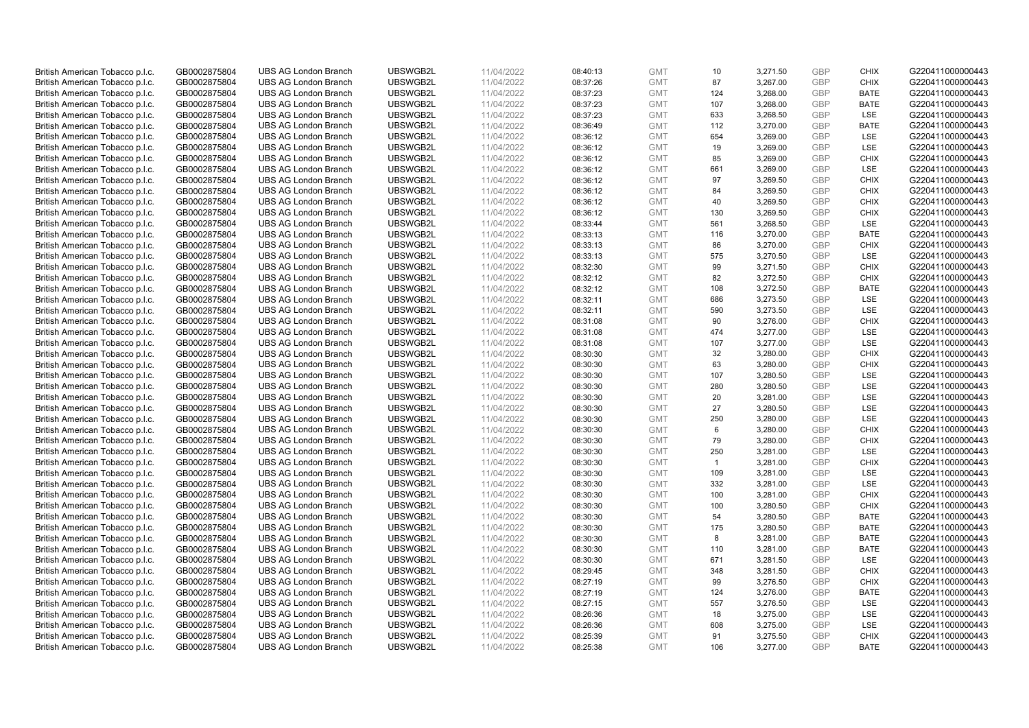| British American Tobacco p.l.c. | GB0002875804 | <b>UBS AG London Branch</b> | UBSWGB2L | 11/04/2022 | 08:40:13 | <b>GMT</b> | 10             | 3,271.50 | <b>GBP</b> | <b>CHIX</b> | G220411000000443 |
|---------------------------------|--------------|-----------------------------|----------|------------|----------|------------|----------------|----------|------------|-------------|------------------|
|                                 | GB0002875804 | <b>UBS AG London Branch</b> | UBSWGB2L | 11/04/2022 |          | <b>GMT</b> | 87             | 3,267.00 | <b>GBP</b> | <b>CHIX</b> | G220411000000443 |
| British American Tobacco p.l.c. |              |                             |          |            | 08:37:26 |            |                |          |            |             |                  |
| British American Tobacco p.l.c. | GB0002875804 | <b>UBS AG London Branch</b> | UBSWGB2L | 11/04/2022 | 08:37:23 | <b>GMT</b> | 124            | 3,268.00 | <b>GBP</b> | <b>BATE</b> | G220411000000443 |
| British American Tobacco p.l.c. | GB0002875804 | <b>UBS AG London Branch</b> | UBSWGB2L | 11/04/2022 | 08:37:23 | <b>GMT</b> | 107            | 3,268.00 | <b>GBP</b> | <b>BATE</b> | G220411000000443 |
| British American Tobacco p.l.c. | GB0002875804 | <b>UBS AG London Branch</b> | UBSWGB2L | 11/04/2022 | 08:37:23 | <b>GMT</b> | 633            | 3,268.50 | <b>GBP</b> | LSE         | G220411000000443 |
| British American Tobacco p.l.c. | GB0002875804 | <b>UBS AG London Branch</b> | UBSWGB2L | 11/04/2022 | 08:36:49 | <b>GMT</b> | 112            | 3,270.00 | <b>GBP</b> | <b>BATE</b> | G220411000000443 |
| British American Tobacco p.l.c. | GB0002875804 | <b>UBS AG London Branch</b> | UBSWGB2L | 11/04/2022 | 08:36:12 | <b>GMT</b> | 654            | 3,269.00 | <b>GBP</b> | LSE         | G220411000000443 |
| British American Tobacco p.l.c. | GB0002875804 | <b>UBS AG London Branch</b> | UBSWGB2L | 11/04/2022 | 08:36:12 | <b>GMT</b> | 19             | 3,269.00 | <b>GBP</b> | LSE         | G220411000000443 |
| British American Tobacco p.l.c. | GB0002875804 | <b>UBS AG London Branch</b> | UBSWGB2L | 11/04/2022 | 08:36:12 | <b>GMT</b> | 85             | 3,269.00 | <b>GBP</b> | <b>CHIX</b> | G220411000000443 |
| British American Tobacco p.l.c. | GB0002875804 | <b>UBS AG London Branch</b> | UBSWGB2L | 11/04/2022 | 08:36:12 | <b>GMT</b> | 661            | 3,269.00 | <b>GBP</b> | LSE         | G220411000000443 |
| British American Tobacco p.l.c. | GB0002875804 | <b>UBS AG London Branch</b> | UBSWGB2L | 11/04/2022 | 08:36:12 | <b>GMT</b> | 97             | 3,269.50 | <b>GBP</b> | <b>CHIX</b> | G220411000000443 |
| British American Tobacco p.l.c. | GB0002875804 | <b>UBS AG London Branch</b> | UBSWGB2L | 11/04/2022 | 08:36:12 | <b>GMT</b> | 84             | 3,269.50 | <b>GBP</b> | <b>CHIX</b> | G220411000000443 |
| British American Tobacco p.l.c. | GB0002875804 | <b>UBS AG London Branch</b> | UBSWGB2L | 11/04/2022 | 08:36:12 | <b>GMT</b> | 40             | 3,269.50 | <b>GBP</b> | <b>CHIX</b> | G220411000000443 |
| British American Tobacco p.l.c. | GB0002875804 | <b>UBS AG London Branch</b> | UBSWGB2L | 11/04/2022 | 08:36:12 | <b>GMT</b> | 130            | 3,269.50 | <b>GBP</b> | <b>CHIX</b> | G220411000000443 |
| British American Tobacco p.l.c. | GB0002875804 | <b>UBS AG London Branch</b> | UBSWGB2L | 11/04/2022 | 08:33:44 | <b>GMT</b> | 561            | 3,268.50 | <b>GBP</b> | LSE         | G220411000000443 |
| British American Tobacco p.l.c. | GB0002875804 | <b>UBS AG London Branch</b> | UBSWGB2L | 11/04/2022 | 08:33:13 | <b>GMT</b> | 116            | 3,270.00 | <b>GBP</b> | <b>BATE</b> | G220411000000443 |
| British American Tobacco p.l.c. | GB0002875804 | <b>UBS AG London Branch</b> | UBSWGB2L | 11/04/2022 | 08:33:13 | <b>GMT</b> | 86             | 3,270.00 | <b>GBP</b> | <b>CHIX</b> | G220411000000443 |
| British American Tobacco p.l.c. | GB0002875804 | <b>UBS AG London Branch</b> | UBSWGB2L | 11/04/2022 | 08:33:13 | <b>GMT</b> | 575            | 3,270.50 | <b>GBP</b> | LSE         | G220411000000443 |
|                                 |              | <b>UBS AG London Branch</b> | UBSWGB2L |            |          |            |                |          |            | <b>CHIX</b> |                  |
| British American Tobacco p.l.c. | GB0002875804 |                             |          | 11/04/2022 | 08:32:30 | <b>GMT</b> | 99             | 3,271.50 | <b>GBP</b> |             | G220411000000443 |
| British American Tobacco p.l.c. | GB0002875804 | <b>UBS AG London Branch</b> | UBSWGB2L | 11/04/2022 | 08:32:12 | <b>GMT</b> | 82             | 3,272.50 | <b>GBP</b> | <b>CHIX</b> | G220411000000443 |
| British American Tobacco p.l.c. | GB0002875804 | <b>UBS AG London Branch</b> | UBSWGB2L | 11/04/2022 | 08:32:12 | <b>GMT</b> | 108            | 3,272.50 | <b>GBP</b> | <b>BATE</b> | G220411000000443 |
| British American Tobacco p.l.c. | GB0002875804 | <b>UBS AG London Branch</b> | UBSWGB2L | 11/04/2022 | 08:32:11 | <b>GMT</b> | 686            | 3,273.50 | <b>GBP</b> | LSE         | G220411000000443 |
| British American Tobacco p.l.c. | GB0002875804 | <b>UBS AG London Branch</b> | UBSWGB2L | 11/04/2022 | 08:32:11 | <b>GMT</b> | 590            | 3,273.50 | <b>GBP</b> | LSE         | G220411000000443 |
| British American Tobacco p.l.c. | GB0002875804 | <b>UBS AG London Branch</b> | UBSWGB2L | 11/04/2022 | 08:31:08 | <b>GMT</b> | 90             | 3,276.00 | <b>GBP</b> | <b>CHIX</b> | G220411000000443 |
| British American Tobacco p.l.c. | GB0002875804 | <b>UBS AG London Branch</b> | UBSWGB2L | 11/04/2022 | 08:31:08 | <b>GMT</b> | 474            | 3,277.00 | <b>GBP</b> | LSE         | G220411000000443 |
| British American Tobacco p.l.c. | GB0002875804 | <b>UBS AG London Branch</b> | UBSWGB2L | 11/04/2022 | 08:31:08 | <b>GMT</b> | 107            | 3,277.00 | <b>GBP</b> | LSE         | G220411000000443 |
| British American Tobacco p.l.c. | GB0002875804 | <b>UBS AG London Branch</b> | UBSWGB2L | 11/04/2022 | 08:30:30 | <b>GMT</b> | 32             | 3,280.00 | <b>GBP</b> | <b>CHIX</b> | G220411000000443 |
| British American Tobacco p.l.c. | GB0002875804 | <b>UBS AG London Branch</b> | UBSWGB2L | 11/04/2022 | 08:30:30 | <b>GMT</b> | 63             | 3,280.00 | <b>GBP</b> | CHIX        | G220411000000443 |
| British American Tobacco p.l.c. | GB0002875804 | <b>UBS AG London Branch</b> | UBSWGB2L | 11/04/2022 | 08:30:30 | <b>GMT</b> | 107            | 3,280.50 | <b>GBP</b> | <b>LSE</b>  | G220411000000443 |
| British American Tobacco p.l.c. | GB0002875804 | <b>UBS AG London Branch</b> | UBSWGB2L | 11/04/2022 | 08:30:30 | <b>GMT</b> | 280            | 3,280.50 | <b>GBP</b> | LSE         | G220411000000443 |
| British American Tobacco p.l.c. | GB0002875804 | <b>UBS AG London Branch</b> | UBSWGB2L | 11/04/2022 | 08:30:30 | <b>GMT</b> | 20             | 3,281.00 | <b>GBP</b> | LSE         | G220411000000443 |
| British American Tobacco p.l.c. | GB0002875804 | <b>UBS AG London Branch</b> | UBSWGB2L | 11/04/2022 | 08:30:30 | <b>GMT</b> | 27             | 3,280.50 | <b>GBP</b> | <b>LSE</b>  | G220411000000443 |
| British American Tobacco p.l.c. | GB0002875804 | <b>UBS AG London Branch</b> | UBSWGB2L | 11/04/2022 | 08:30:30 | <b>GMT</b> | 250            | 3,280.00 | <b>GBP</b> | LSE         | G220411000000443 |
| British American Tobacco p.l.c. | GB0002875804 | <b>UBS AG London Branch</b> | UBSWGB2L | 11/04/2022 | 08:30:30 | <b>GMT</b> | 6              | 3,280.00 | <b>GBP</b> | <b>CHIX</b> | G220411000000443 |
| British American Tobacco p.l.c. | GB0002875804 | <b>UBS AG London Branch</b> | UBSWGB2L | 11/04/2022 | 08:30:30 | <b>GMT</b> | 79             | 3,280.00 | <b>GBP</b> | <b>CHIX</b> | G220411000000443 |
| British American Tobacco p.l.c. | GB0002875804 | <b>UBS AG London Branch</b> | UBSWGB2L | 11/04/2022 | 08:30:30 | <b>GMT</b> | 250            | 3,281.00 | <b>GBP</b> | LSE         | G220411000000443 |
| British American Tobacco p.l.c. | GB0002875804 | <b>UBS AG London Branch</b> | UBSWGB2L | 11/04/2022 | 08:30:30 | <b>GMT</b> | $\overline{1}$ | 3,281.00 | <b>GBP</b> | <b>CHIX</b> | G220411000000443 |
| British American Tobacco p.l.c. | GB0002875804 | <b>UBS AG London Branch</b> | UBSWGB2L | 11/04/2022 | 08:30:30 | <b>GMT</b> | 109            | 3,281.00 | <b>GBP</b> | LSE         | G220411000000443 |
| British American Tobacco p.l.c. | GB0002875804 | <b>UBS AG London Branch</b> | UBSWGB2L | 11/04/2022 | 08:30:30 | <b>GMT</b> | 332            | 3,281.00 | <b>GBP</b> | LSE         | G220411000000443 |
| British American Tobacco p.l.c. | GB0002875804 | UBS AG London Branch        | UBSWGB2L | 11/04/2022 | 08:30:30 | <b>GMT</b> | 100            | 3,281.00 | <b>GBP</b> | <b>CHIX</b> | G220411000000443 |
| British American Tobacco p.l.c. | GB0002875804 | <b>UBS AG London Branch</b> | UBSWGB2L | 11/04/2022 | 08:30:30 | <b>GMT</b> | 100            | 3,280.50 | <b>GBP</b> | <b>CHIX</b> | G220411000000443 |
| British American Tobacco p.l.c. | GB0002875804 | <b>UBS AG London Branch</b> | UBSWGB2L | 11/04/2022 | 08:30:30 | <b>GMT</b> | 54             | 3,280.50 | <b>GBP</b> | <b>BATE</b> | G220411000000443 |
| British American Tobacco p.l.c. | GB0002875804 | <b>UBS AG London Branch</b> | UBSWGB2L | 11/04/2022 | 08:30:30 | <b>GMT</b> | 175            | 3,280.50 | <b>GBP</b> | <b>BATE</b> | G220411000000443 |
| British American Tobacco p.l.c. | GB0002875804 | <b>UBS AG London Branch</b> | UBSWGB2L | 11/04/2022 | 08:30:30 | <b>GMT</b> | 8              | 3,281.00 | <b>GBP</b> | <b>BATE</b> | G220411000000443 |
| British American Tobacco p.l.c. | GB0002875804 | UBS AG London Branch        | UBSWGB2L | 11/04/2022 | 08:30:30 | <b>GMT</b> | 110            | 3,281.00 | <b>GBP</b> | <b>BATE</b> | G220411000000443 |
|                                 |              |                             |          |            |          |            |                |          |            |             |                  |
| British American Tobacco p.l.c. | GB0002875804 | <b>UBS AG London Branch</b> | UBSWGB2L | 11/04/2022 | 08:30:30 | <b>GMT</b> | 671            | 3,281.50 | <b>GBP</b> | LSE         | G220411000000443 |
| British American Tobacco p.l.c. | GB0002875804 | <b>UBS AG London Branch</b> | UBSWGB2L | 11/04/2022 | 08:29:45 | <b>GMT</b> | 348            | 3,281.50 | <b>GBP</b> | <b>CHIX</b> | G220411000000443 |
| British American Tobacco p.l.c. | GB0002875804 | <b>UBS AG London Branch</b> | UBSWGB2L | 11/04/2022 | 08:27:19 | <b>GMT</b> | 99             | 3,276.50 | <b>GBP</b> | <b>CHIX</b> | G220411000000443 |
| British American Tobacco p.l.c. | GB0002875804 | <b>UBS AG London Branch</b> | UBSWGB2L | 11/04/2022 | 08:27:19 | <b>GMT</b> | 124            | 3,276.00 | <b>GBP</b> | <b>BATE</b> | G220411000000443 |
| British American Tobacco p.l.c. | GB0002875804 | <b>UBS AG London Branch</b> | UBSWGB2L | 11/04/2022 | 08:27:15 | <b>GMT</b> | 557            | 3,276.50 | <b>GBP</b> | <b>LSE</b>  | G220411000000443 |
| British American Tobacco p.l.c. | GB0002875804 | <b>UBS AG London Branch</b> | UBSWGB2L | 11/04/2022 | 08:26:36 | <b>GMT</b> | 18             | 3,275.00 | <b>GBP</b> | LSE         | G220411000000443 |
| British American Tobacco p.l.c. | GB0002875804 | <b>UBS AG London Branch</b> | UBSWGB2L | 11/04/2022 | 08:26:36 | <b>GMT</b> | 608            | 3,275.00 | <b>GBP</b> | LSE         | G220411000000443 |
| British American Tobacco p.l.c. | GB0002875804 | <b>UBS AG London Branch</b> | UBSWGB2L | 11/04/2022 | 08:25:39 | <b>GMT</b> | 91             | 3,275.50 | <b>GBP</b> | <b>CHIX</b> | G220411000000443 |
| British American Tobacco p.l.c. | GB0002875804 | <b>UBS AG London Branch</b> | UBSWGB2L | 11/04/2022 | 08:25:38 | <b>GMT</b> | 106            | 3,277.00 | GBP        | <b>BATE</b> | G220411000000443 |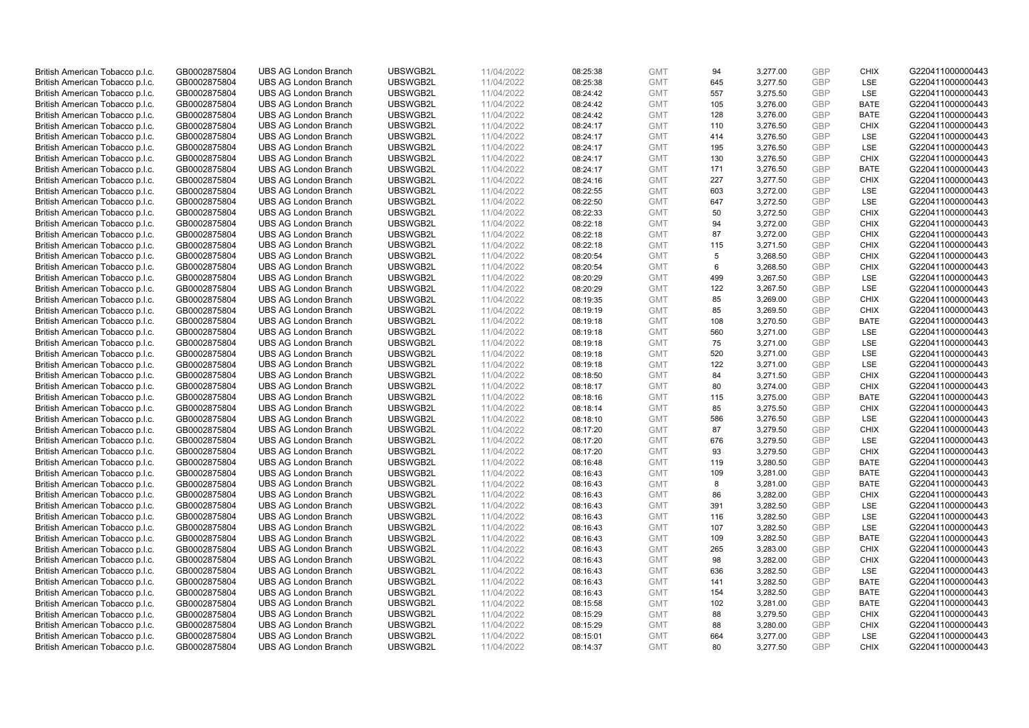| British American Tobacco p.l.c.                                    | GB0002875804 | <b>UBS AG London Branch</b> | UBSWGB2L | 11/04/2022 | 08:25:38             | <b>GMT</b> | 94        | 3,277.00 | <b>GBP</b> | <b>CHIX</b> | G220411000000443 |
|--------------------------------------------------------------------|--------------|-----------------------------|----------|------------|----------------------|------------|-----------|----------|------------|-------------|------------------|
| British American Tobacco p.l.c.                                    | GB0002875804 | <b>UBS AG London Branch</b> | UBSWGB2L | 11/04/2022 | 08:25:38             | <b>GMT</b> | 645       | 3,277.50 | <b>GBP</b> | LSE         | G220411000000443 |
|                                                                    |              |                             |          |            |                      |            |           |          |            |             |                  |
| British American Tobacco p.l.c.                                    | GB0002875804 | <b>UBS AG London Branch</b> | UBSWGB2L | 11/04/2022 | 08:24:42             | <b>GMT</b> | 557       | 3,275.50 | <b>GBP</b> | LSE         | G220411000000443 |
| British American Tobacco p.l.c.                                    | GB0002875804 | <b>UBS AG London Branch</b> | UBSWGB2L | 11/04/2022 | 08:24:42             | <b>GMT</b> | 105       | 3,276.00 | <b>GBP</b> | <b>BATE</b> | G220411000000443 |
| British American Tobacco p.l.c.                                    | GB0002875804 | <b>UBS AG London Branch</b> | UBSWGB2L | 11/04/2022 | 08:24:42             | <b>GMT</b> | 128       | 3,276.00 | <b>GBP</b> | <b>BATE</b> | G220411000000443 |
| British American Tobacco p.l.c.                                    | GB0002875804 | <b>UBS AG London Branch</b> | UBSWGB2L | 11/04/2022 | 08:24:17             | <b>GMT</b> | 110       | 3,276.50 | <b>GBP</b> | <b>CHIX</b> | G220411000000443 |
| British American Tobacco p.l.c.                                    | GB0002875804 | <b>UBS AG London Branch</b> | UBSWGB2L | 11/04/2022 | 08:24:17             | <b>GMT</b> | 414       | 3,276.50 | <b>GBP</b> | LSE         | G220411000000443 |
| British American Tobacco p.l.c.                                    | GB0002875804 | <b>UBS AG London Branch</b> | UBSWGB2L | 11/04/2022 | 08:24:17             | <b>GMT</b> | 195       | 3,276.50 | <b>GBP</b> | LSE         | G220411000000443 |
| British American Tobacco p.l.c.                                    | GB0002875804 | <b>UBS AG London Branch</b> | UBSWGB2L | 11/04/2022 | 08:24:17             | <b>GMT</b> | 130       | 3,276.50 | <b>GBP</b> | <b>CHIX</b> | G220411000000443 |
| British American Tobacco p.l.c.                                    | GB0002875804 | <b>UBS AG London Branch</b> | UBSWGB2L | 11/04/2022 | 08:24:17             | <b>GMT</b> | 171       | 3,276.50 | <b>GBP</b> | <b>BATE</b> | G220411000000443 |
| British American Tobacco p.l.c.                                    | GB0002875804 | <b>UBS AG London Branch</b> | UBSWGB2L | 11/04/2022 | 08:24:16             | <b>GMT</b> | 227       | 3,277.50 | <b>GBP</b> | <b>CHIX</b> | G220411000000443 |
| British American Tobacco p.l.c.                                    | GB0002875804 | <b>UBS AG London Branch</b> | UBSWGB2L | 11/04/2022 | 08:22:55             | <b>GMT</b> | 603       | 3,272.00 | <b>GBP</b> | LSE         | G220411000000443 |
| British American Tobacco p.l.c.                                    | GB0002875804 | UBS AG London Branch        | UBSWGB2L | 11/04/2022 | 08:22:50             | <b>GMT</b> | 647       | 3,272.50 | <b>GBP</b> | LSE         | G220411000000443 |
| British American Tobacco p.l.c.                                    | GB0002875804 | <b>UBS AG London Branch</b> | UBSWGB2L | 11/04/2022 | 08:22:33             | <b>GMT</b> | 50        | 3,272.50 | <b>GBP</b> | <b>CHIX</b> | G220411000000443 |
| British American Tobacco p.l.c.                                    | GB0002875804 | <b>UBS AG London Branch</b> | UBSWGB2L | 11/04/2022 | 08:22:18             | <b>GMT</b> | 94        | 3,272.00 | <b>GBP</b> | <b>CHIX</b> | G220411000000443 |
| British American Tobacco p.l.c.                                    | GB0002875804 | <b>UBS AG London Branch</b> | UBSWGB2L | 11/04/2022 | 08:22:18             | <b>GMT</b> | 87        | 3,272.00 | <b>GBP</b> | <b>CHIX</b> | G220411000000443 |
| British American Tobacco p.l.c.                                    | GB0002875804 | <b>UBS AG London Branch</b> | UBSWGB2L | 11/04/2022 | 08:22:18             | <b>GMT</b> | 115       | 3,271.50 | <b>GBP</b> | <b>CHIX</b> | G220411000000443 |
| British American Tobacco p.l.c.                                    | GB0002875804 | <b>UBS AG London Branch</b> | UBSWGB2L | 11/04/2022 | 08:20:54             | <b>GMT</b> | 5         | 3,268.50 | <b>GBP</b> | <b>CHIX</b> | G220411000000443 |
|                                                                    |              | <b>UBS AG London Branch</b> | UBSWGB2L |            |                      |            | 6         |          |            | <b>CHIX</b> |                  |
| British American Tobacco p.l.c.                                    | GB0002875804 |                             |          | 11/04/2022 | 08:20:54             | <b>GMT</b> |           | 3,268.50 | <b>GBP</b> |             | G220411000000443 |
| British American Tobacco p.l.c.                                    | GB0002875804 | <b>UBS AG London Branch</b> | UBSWGB2L | 11/04/2022 | 08:20:29             | <b>GMT</b> | 499       | 3,267.50 | <b>GBP</b> | LSE         | G220411000000443 |
| British American Tobacco p.l.c.                                    | GB0002875804 | <b>UBS AG London Branch</b> | UBSWGB2L | 11/04/2022 | 08:20:29             | <b>GMT</b> | 122       | 3,267.50 | <b>GBP</b> | LSE         | G220411000000443 |
| British American Tobacco p.l.c.                                    | GB0002875804 | <b>UBS AG London Branch</b> | UBSWGB2L | 11/04/2022 | 08:19:35             | <b>GMT</b> | 85        | 3,269.00 | <b>GBP</b> | <b>CHIX</b> | G220411000000443 |
| British American Tobacco p.l.c.                                    | GB0002875804 | <b>UBS AG London Branch</b> | UBSWGB2L | 11/04/2022 | 08:19:19             | <b>GMT</b> | 85        | 3,269.50 | <b>GBP</b> | <b>CHIX</b> | G220411000000443 |
| British American Tobacco p.l.c.                                    | GB0002875804 | <b>UBS AG London Branch</b> | UBSWGB2L | 11/04/2022 | 08:19:18             | <b>GMT</b> | 108       | 3,270.50 | <b>GBP</b> | <b>BATE</b> | G220411000000443 |
| British American Tobacco p.l.c.                                    | GB0002875804 | <b>UBS AG London Branch</b> | UBSWGB2L | 11/04/2022 | 08:19:18             | <b>GMT</b> | 560       | 3,271.00 | <b>GBP</b> | LSE         | G220411000000443 |
| British American Tobacco p.l.c.                                    | GB0002875804 | <b>UBS AG London Branch</b> | UBSWGB2L | 11/04/2022 | 08:19:18             | <b>GMT</b> | 75        | 3,271.00 | <b>GBP</b> | LSE         | G220411000000443 |
| British American Tobacco p.l.c.                                    | GB0002875804 | <b>UBS AG London Branch</b> | UBSWGB2L | 11/04/2022 | 08:19:18             | <b>GMT</b> | 520       | 3,271.00 | <b>GBP</b> | LSE         | G220411000000443 |
| British American Tobacco p.l.c.                                    | GB0002875804 | <b>UBS AG London Branch</b> | UBSWGB2L | 11/04/2022 | 08:19:18             | <b>GMT</b> | 122       | 3,271.00 | <b>GBP</b> | LSE         | G220411000000443 |
| British American Tobacco p.l.c.                                    | GB0002875804 | <b>UBS AG London Branch</b> | UBSWGB2L | 11/04/2022 | 08:18:50             | <b>GMT</b> | 84        | 3,271.50 | <b>GBP</b> | <b>CHIX</b> | G220411000000443 |
| British American Tobacco p.l.c.                                    | GB0002875804 | <b>UBS AG London Branch</b> | UBSWGB2L | 11/04/2022 | 08:18:17             | <b>GMT</b> | 80        | 3,274.00 | <b>GBP</b> | <b>CHIX</b> | G220411000000443 |
| British American Tobacco p.l.c.                                    | GB0002875804 | <b>UBS AG London Branch</b> | UBSWGB2L | 11/04/2022 | 08:18:16             | <b>GMT</b> | 115       | 3,275.00 | <b>GBP</b> | <b>BATE</b> | G220411000000443 |
| British American Tobacco p.l.c.                                    | GB0002875804 | <b>UBS AG London Branch</b> | UBSWGB2L | 11/04/2022 | 08:18:14             | <b>GMT</b> | 85        | 3,275.50 | <b>GBP</b> | <b>CHIX</b> | G220411000000443 |
| British American Tobacco p.l.c.                                    | GB0002875804 | <b>UBS AG London Branch</b> | UBSWGB2L | 11/04/2022 | 08:18:10             | <b>GMT</b> | 586       | 3,276.50 | <b>GBP</b> | LSE         | G220411000000443 |
| British American Tobacco p.l.c.                                    | GB0002875804 | <b>UBS AG London Branch</b> | UBSWGB2L | 11/04/2022 | 08:17:20             | <b>GMT</b> | 87        | 3,279.50 | <b>GBP</b> | <b>CHIX</b> | G220411000000443 |
| British American Tobacco p.l.c.                                    | GB0002875804 | <b>UBS AG London Branch</b> | UBSWGB2L | 11/04/2022 | 08:17:20             | <b>GMT</b> | 676       | 3,279.50 | <b>GBP</b> | LSE         | G220411000000443 |
| British American Tobacco p.l.c.                                    | GB0002875804 | <b>UBS AG London Branch</b> | UBSWGB2L | 11/04/2022 | 08:17:20             | <b>GMT</b> | 93        | 3,279.50 | <b>GBP</b> | <b>CHIX</b> | G220411000000443 |
| British American Tobacco p.l.c.                                    | GB0002875804 | <b>UBS AG London Branch</b> | UBSWGB2L | 11/04/2022 | 08:16:48             | <b>GMT</b> | 119       | 3,280.50 | <b>GBP</b> | <b>BATE</b> | G220411000000443 |
| British American Tobacco p.l.c.                                    | GB0002875804 | <b>UBS AG London Branch</b> | UBSWGB2L | 11/04/2022 | 08:16:43             | <b>GMT</b> | 109       | 3,281.00 | <b>GBP</b> | <b>BATE</b> | G220411000000443 |
| British American Tobacco p.l.c.                                    | GB0002875804 | <b>UBS AG London Branch</b> | UBSWGB2L | 11/04/2022 | 08:16:43             | <b>GMT</b> | 8         | 3,281.00 | <b>GBP</b> | <b>BATE</b> | G220411000000443 |
| British American Tobacco p.l.c.                                    | GB0002875804 | UBS AG London Branch        | UBSWGB2L | 11/04/2022 | 08:16:43             | <b>GMT</b> | 86        | 3,282.00 | <b>GBP</b> | <b>CHIX</b> | G220411000000443 |
| British American Tobacco p.l.c.                                    | GB0002875804 | <b>UBS AG London Branch</b> | UBSWGB2L | 11/04/2022 | 08:16:43             | <b>GMT</b> | 391       | 3,282.50 | <b>GBP</b> | LSE         | G220411000000443 |
| British American Tobacco p.l.c.                                    | GB0002875804 | <b>UBS AG London Branch</b> | UBSWGB2L | 11/04/2022 | 08:16:43             | <b>GMT</b> | 116       | 3,282.50 | <b>GBP</b> | LSE         | G220411000000443 |
| British American Tobacco p.l.c.                                    | GB0002875804 | <b>UBS AG London Branch</b> | UBSWGB2L | 11/04/2022 | 08:16:43             | <b>GMT</b> | 107       | 3,282.50 | <b>GBP</b> | LSE         | G220411000000443 |
| British American Tobacco p.l.c.                                    | GB0002875804 | <b>UBS AG London Branch</b> | UBSWGB2L | 11/04/2022 | 08:16:43             | <b>GMT</b> | 109       | 3,282.50 | <b>GBP</b> | <b>BATE</b> | G220411000000443 |
| British American Tobacco p.l.c.                                    | GB0002875804 | UBS AG London Branch        | UBSWGB2L | 11/04/2022 | 08:16:43             | <b>GMT</b> | 265       | 3,283.00 | <b>GBP</b> | <b>CHIX</b> | G220411000000443 |
|                                                                    | GB0002875804 | <b>UBS AG London Branch</b> | UBSWGB2L | 11/04/2022 |                      | <b>GMT</b> |           | 3,282.00 | <b>GBP</b> | <b>CHIX</b> | G220411000000443 |
| British American Tobacco p.l.c.<br>British American Tobacco p.l.c. | GB0002875804 | <b>UBS AG London Branch</b> | UBSWGB2L | 11/04/2022 | 08:16:43<br>08:16:43 | <b>GMT</b> | 98<br>636 | 3,282.50 | <b>GBP</b> | LSE         | G220411000000443 |
|                                                                    |              | <b>UBS AG London Branch</b> | UBSWGB2L |            |                      |            | 141       |          | <b>GBP</b> | <b>BATE</b> | G220411000000443 |
| British American Tobacco p.l.c.                                    | GB0002875804 |                             |          | 11/04/2022 | 08:16:43             | <b>GMT</b> |           | 3,282.50 |            |             |                  |
| British American Tobacco p.l.c.                                    | GB0002875804 | <b>UBS AG London Branch</b> | UBSWGB2L | 11/04/2022 | 08:16:43             | GMT        | 154       | 3,282.50 | <b>GBP</b> | <b>BATE</b> | G220411000000443 |
| British American Tobacco p.l.c.                                    | GB0002875804 | <b>UBS AG London Branch</b> | UBSWGB2L | 11/04/2022 | 08:15:58             | <b>GMT</b> | 102       | 3,281.00 | <b>GBP</b> | <b>BATE</b> | G220411000000443 |
| British American Tobacco p.l.c.                                    | GB0002875804 | <b>UBS AG London Branch</b> | UBSWGB2L | 11/04/2022 | 08:15:29             | <b>GMT</b> | 88        | 3,279.50 | <b>GBP</b> | <b>CHIX</b> | G220411000000443 |
| British American Tobacco p.l.c.                                    | GB0002875804 | <b>UBS AG London Branch</b> | UBSWGB2L | 11/04/2022 | 08:15:29             | <b>GMT</b> | 88        | 3,280.00 | <b>GBP</b> | <b>CHIX</b> | G220411000000443 |
| British American Tobacco p.l.c.                                    | GB0002875804 | <b>UBS AG London Branch</b> | UBSWGB2L | 11/04/2022 | 08:15:01             | <b>GMT</b> | 664       | 3,277.00 | <b>GBP</b> | LSE         | G220411000000443 |
| British American Tobacco p.l.c.                                    | GB0002875804 | <b>UBS AG London Branch</b> | UBSWGB2L | 11/04/2022 | 08:14:37             | <b>GMT</b> | 80        | 3,277.50 | GBP        | <b>CHIX</b> | G220411000000443 |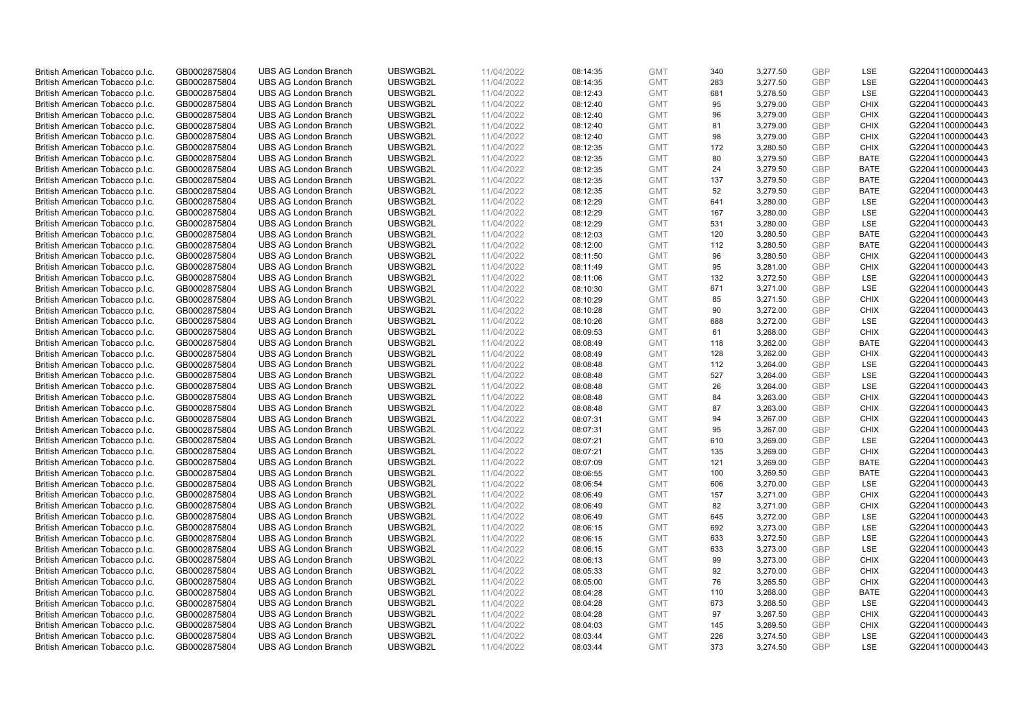| British American Tobacco p.l.c. | GB0002875804 | <b>UBS AG London Branch</b> | UBSWGB2L | 11/04/2022 | 08:14:35 | <b>GMT</b> | 340 | 3,277.50 | <b>GBP</b> | <b>LSE</b>  | G220411000000443 |
|---------------------------------|--------------|-----------------------------|----------|------------|----------|------------|-----|----------|------------|-------------|------------------|
|                                 | GB0002875804 | <b>UBS AG London Branch</b> | UBSWGB2L | 11/04/2022 |          | <b>GMT</b> | 283 | 3,277.50 | <b>GBP</b> | LSE         | G220411000000443 |
| British American Tobacco p.l.c. |              |                             |          |            | 08:14:35 |            |     |          |            |             |                  |
| British American Tobacco p.l.c. | GB0002875804 | <b>UBS AG London Branch</b> | UBSWGB2L | 11/04/2022 | 08:12:43 | <b>GMT</b> | 681 | 3,278.50 | <b>GBP</b> | LSE         | G220411000000443 |
| British American Tobacco p.l.c. | GB0002875804 | <b>UBS AG London Branch</b> | UBSWGB2L | 11/04/2022 | 08:12:40 | <b>GMT</b> | 95  | 3,279.00 | <b>GBP</b> | <b>CHIX</b> | G220411000000443 |
| British American Tobacco p.l.c. | GB0002875804 | <b>UBS AG London Branch</b> | UBSWGB2L | 11/04/2022 | 08:12:40 | <b>GMT</b> | 96  | 3,279.00 | <b>GBP</b> | <b>CHIX</b> | G220411000000443 |
| British American Tobacco p.l.c. | GB0002875804 | <b>UBS AG London Branch</b> | UBSWGB2L | 11/04/2022 | 08:12:40 | <b>GMT</b> | 81  | 3,279.00 | <b>GBP</b> | <b>CHIX</b> | G220411000000443 |
| British American Tobacco p.l.c. | GB0002875804 | <b>UBS AG London Branch</b> | UBSWGB2L | 11/04/2022 | 08:12:40 | <b>GMT</b> | 98  | 3,279.00 | <b>GBP</b> | <b>CHIX</b> | G220411000000443 |
| British American Tobacco p.l.c. | GB0002875804 | <b>UBS AG London Branch</b> | UBSWGB2L | 11/04/2022 | 08:12:35 | <b>GMT</b> | 172 | 3,280.50 | <b>GBP</b> | <b>CHIX</b> | G220411000000443 |
| British American Tobacco p.l.c. | GB0002875804 | <b>UBS AG London Branch</b> | UBSWGB2L | 11/04/2022 | 08:12:35 | <b>GMT</b> | 80  | 3,279.50 | <b>GBP</b> | <b>BATE</b> | G220411000000443 |
| British American Tobacco p.l.c. | GB0002875804 | <b>UBS AG London Branch</b> | UBSWGB2L | 11/04/2022 | 08:12:35 | <b>GMT</b> | 24  | 3,279.50 | <b>GBP</b> | <b>BATE</b> | G220411000000443 |
| British American Tobacco p.l.c. | GB0002875804 | <b>UBS AG London Branch</b> | UBSWGB2L | 11/04/2022 | 08:12:35 | <b>GMT</b> | 137 | 3,279.50 | <b>GBP</b> | <b>BATE</b> | G220411000000443 |
| British American Tobacco p.l.c. | GB0002875804 | <b>UBS AG London Branch</b> | UBSWGB2L | 11/04/2022 | 08:12:35 | <b>GMT</b> | 52  | 3,279.50 | <b>GBP</b> | <b>BATE</b> | G220411000000443 |
| British American Tobacco p.l.c. | GB0002875804 | <b>UBS AG London Branch</b> | UBSWGB2L | 11/04/2022 | 08:12:29 | <b>GMT</b> | 641 | 3,280.00 | <b>GBP</b> | LSE         | G220411000000443 |
| British American Tobacco p.l.c. | GB0002875804 | <b>UBS AG London Branch</b> | UBSWGB2L | 11/04/2022 | 08:12:29 | <b>GMT</b> | 167 | 3,280.00 | <b>GBP</b> | <b>LSE</b>  | G220411000000443 |
| British American Tobacco p.l.c. | GB0002875804 | <b>UBS AG London Branch</b> | UBSWGB2L | 11/04/2022 | 08:12:29 | <b>GMT</b> | 531 | 3,280.00 | <b>GBP</b> | LSE         | G220411000000443 |
| British American Tobacco p.l.c. | GB0002875804 | <b>UBS AG London Branch</b> | UBSWGB2L | 11/04/2022 | 08:12:03 | <b>GMT</b> | 120 | 3,280.50 | <b>GBP</b> | <b>BATE</b> | G220411000000443 |
|                                 |              |                             |          |            |          |            |     |          |            |             |                  |
| British American Tobacco p.l.c. | GB0002875804 | <b>UBS AG London Branch</b> | UBSWGB2L | 11/04/2022 | 08:12:00 | <b>GMT</b> | 112 | 3,280.50 | GBP        | <b>BATE</b> | G220411000000443 |
| British American Tobacco p.l.c. | GB0002875804 | <b>UBS AG London Branch</b> | UBSWGB2L | 11/04/2022 | 08:11:50 | <b>GMT</b> | 96  | 3,280.50 | <b>GBP</b> | <b>CHIX</b> | G220411000000443 |
| British American Tobacco p.l.c. | GB0002875804 | <b>UBS AG London Branch</b> | UBSWGB2L | 11/04/2022 | 08:11:49 | <b>GMT</b> | 95  | 3,281.00 | <b>GBP</b> | <b>CHIX</b> | G220411000000443 |
| British American Tobacco p.l.c. | GB0002875804 | <b>UBS AG London Branch</b> | UBSWGB2L | 11/04/2022 | 08:11:06 | <b>GMT</b> | 132 | 3,272.50 | <b>GBP</b> | LSE         | G220411000000443 |
| British American Tobacco p.l.c. | GB0002875804 | <b>UBS AG London Branch</b> | UBSWGB2L | 11/04/2022 | 08:10:30 | <b>GMT</b> | 671 | 3,271.00 | <b>GBP</b> | LSE         | G220411000000443 |
| British American Tobacco p.l.c. | GB0002875804 | <b>UBS AG London Branch</b> | UBSWGB2L | 11/04/2022 | 08:10:29 | <b>GMT</b> | 85  | 3,271.50 | <b>GBP</b> | <b>CHIX</b> | G220411000000443 |
| British American Tobacco p.l.c. | GB0002875804 | <b>UBS AG London Branch</b> | UBSWGB2L | 11/04/2022 | 08:10:28 | <b>GMT</b> | 90  | 3,272.00 | <b>GBP</b> | <b>CHIX</b> | G220411000000443 |
| British American Tobacco p.l.c. | GB0002875804 | <b>UBS AG London Branch</b> | UBSWGB2L | 11/04/2022 | 08:10:26 | <b>GMT</b> | 688 | 3,272.00 | <b>GBP</b> | <b>LSE</b>  | G220411000000443 |
| British American Tobacco p.l.c. | GB0002875804 | <b>UBS AG London Branch</b> | UBSWGB2L | 11/04/2022 | 08:09:53 | <b>GMT</b> | 61  | 3,268.00 | <b>GBP</b> | <b>CHIX</b> | G220411000000443 |
| British American Tobacco p.l.c. | GB0002875804 | <b>UBS AG London Branch</b> | UBSWGB2L | 11/04/2022 | 08:08:49 | <b>GMT</b> | 118 | 3,262.00 | <b>GBP</b> | <b>BATE</b> | G220411000000443 |
| British American Tobacco p.l.c. | GB0002875804 | <b>UBS AG London Branch</b> | UBSWGB2L | 11/04/2022 | 08:08:49 | <b>GMT</b> | 128 | 3,262.00 | <b>GBP</b> | <b>CHIX</b> | G220411000000443 |
| British American Tobacco p.l.c. | GB0002875804 | <b>UBS AG London Branch</b> | UBSWGB2L | 11/04/2022 | 08:08:48 | <b>GMT</b> | 112 | 3,264.00 | <b>GBP</b> | LSE         | G220411000000443 |
| British American Tobacco p.l.c. | GB0002875804 | <b>UBS AG London Branch</b> | UBSWGB2L | 11/04/2022 | 08:08:48 | <b>GMT</b> | 527 | 3,264.00 | <b>GBP</b> | LSE         | G220411000000443 |
| British American Tobacco p.l.c. | GB0002875804 | <b>UBS AG London Branch</b> | UBSWGB2L | 11/04/2022 | 08:08:48 | <b>GMT</b> | 26  | 3,264.00 | <b>GBP</b> | LSE         | G220411000000443 |
| British American Tobacco p.l.c. | GB0002875804 | <b>UBS AG London Branch</b> | UBSWGB2L | 11/04/2022 | 08:08:48 | <b>GMT</b> | 84  | 3,263.00 | <b>GBP</b> | <b>CHIX</b> | G220411000000443 |
| British American Tobacco p.l.c. | GB0002875804 | <b>UBS AG London Branch</b> | UBSWGB2L | 11/04/2022 | 08:08:48 | <b>GMT</b> | 87  | 3,263.00 | <b>GBP</b> | <b>CHIX</b> | G220411000000443 |
| British American Tobacco p.l.c. | GB0002875804 | <b>UBS AG London Branch</b> | UBSWGB2L | 11/04/2022 | 08:07:31 | <b>GMT</b> | 94  | 3,267.00 | <b>GBP</b> | <b>CHIX</b> | G220411000000443 |
| British American Tobacco p.l.c. | GB0002875804 | <b>UBS AG London Branch</b> | UBSWGB2L | 11/04/2022 | 08:07:31 | <b>GMT</b> | 95  | 3,267.00 | <b>GBP</b> | <b>CHIX</b> | G220411000000443 |
|                                 | GB0002875804 | <b>UBS AG London Branch</b> | UBSWGB2L | 11/04/2022 | 08:07:21 | <b>GMT</b> | 610 |          | <b>GBP</b> | LSE         | G220411000000443 |
| British American Tobacco p.l.c. |              |                             |          |            |          |            |     | 3,269.00 |            |             |                  |
| British American Tobacco p.l.c. | GB0002875804 | <b>UBS AG London Branch</b> | UBSWGB2L | 11/04/2022 | 08:07:21 | <b>GMT</b> | 135 | 3,269.00 | <b>GBP</b> | <b>CHIX</b> | G220411000000443 |
| British American Tobacco p.l.c. | GB0002875804 | <b>UBS AG London Branch</b> | UBSWGB2L | 11/04/2022 | 08:07:09 | <b>GMT</b> | 121 | 3,269.00 | <b>GBP</b> | <b>BATE</b> | G220411000000443 |
| British American Tobacco p.l.c. | GB0002875804 | <b>UBS AG London Branch</b> | UBSWGB2L | 11/04/2022 | 08:06:55 | <b>GMT</b> | 100 | 3,269.50 | <b>GBP</b> | <b>BATE</b> | G220411000000443 |
| British American Tobacco p.l.c. | GB0002875804 | <b>UBS AG London Branch</b> | UBSWGB2L | 11/04/2022 | 08:06:54 | <b>GMT</b> | 606 | 3,270.00 | <b>GBP</b> | LSE         | G220411000000443 |
| British American Tobacco p.l.c. | GB0002875804 | UBS AG London Branch        | UBSWGB2L | 11/04/2022 | 08:06:49 | <b>GMT</b> | 157 | 3,271.00 | <b>GBP</b> | <b>CHIX</b> | G220411000000443 |
| British American Tobacco p.l.c. | GB0002875804 | <b>UBS AG London Branch</b> | UBSWGB2L | 11/04/2022 | 08:06:49 | <b>GMT</b> | 82  | 3,271.00 | <b>GBP</b> | <b>CHIX</b> | G220411000000443 |
| British American Tobacco p.l.c. | GB0002875804 | <b>UBS AG London Branch</b> | UBSWGB2L | 11/04/2022 | 08:06:49 | <b>GMT</b> | 645 | 3,272.00 | <b>GBP</b> | <b>LSE</b>  | G220411000000443 |
| British American Tobacco p.l.c. | GB0002875804 | <b>UBS AG London Branch</b> | UBSWGB2L | 11/04/2022 | 08:06:15 | <b>GMT</b> | 692 | 3,273.00 | <b>GBP</b> | LSE         | G220411000000443 |
| British American Tobacco p.l.c. | GB0002875804 | <b>UBS AG London Branch</b> | UBSWGB2L | 11/04/2022 | 08:06:15 | <b>GMT</b> | 633 | 3,272.50 | <b>GBP</b> | LSE         | G220411000000443 |
| British American Tobacco p.l.c. | GB0002875804 | UBS AG London Branch        | UBSWGB2L | 11/04/2022 | 08:06:15 | <b>GMT</b> | 633 | 3,273.00 | <b>GBP</b> | LSE         | G220411000000443 |
| British American Tobacco p.l.c. | GB0002875804 | <b>UBS AG London Branch</b> | UBSWGB2L | 11/04/2022 | 08:06:13 | <b>GMT</b> | 99  | 3,273.00 | <b>GBP</b> | <b>CHIX</b> | G220411000000443 |
| British American Tobacco p.l.c. | GB0002875804 | <b>UBS AG London Branch</b> | UBSWGB2L | 11/04/2022 | 08:05:33 | <b>GMT</b> | 92  | 3,270.00 | <b>GBP</b> | <b>CHIX</b> | G220411000000443 |
| British American Tobacco p.l.c. | GB0002875804 | <b>UBS AG London Branch</b> | UBSWGB2L | 11/04/2022 | 08:05:00 | <b>GMT</b> | 76  | 3,265.50 | <b>GBP</b> | <b>CHIX</b> | G220411000000443 |
| British American Tobacco p.l.c. | GB0002875804 | <b>UBS AG London Branch</b> | UBSWGB2L | 11/04/2022 | 08:04:28 | GMT        | 110 | 3,268.00 | <b>GBP</b> | <b>BATE</b> | G220411000000443 |
| British American Tobacco p.l.c. | GB0002875804 | <b>UBS AG London Branch</b> | UBSWGB2L | 11/04/2022 | 08:04:28 | <b>GMT</b> | 673 | 3,268.50 | <b>GBP</b> | <b>LSE</b>  | G220411000000443 |
| British American Tobacco p.l.c. | GB0002875804 | <b>UBS AG London Branch</b> | UBSWGB2L | 11/04/2022 | 08:04:28 | <b>GMT</b> | 97  | 3,267.50 | <b>GBP</b> | <b>CHIX</b> | G220411000000443 |
| British American Tobacco p.l.c. | GB0002875804 | <b>UBS AG London Branch</b> | UBSWGB2L | 11/04/2022 | 08:04:03 | <b>GMT</b> | 145 | 3,269.50 | <b>GBP</b> | <b>CHIX</b> | G220411000000443 |
| British American Tobacco p.l.c. | GB0002875804 | <b>UBS AG London Branch</b> | UBSWGB2L | 11/04/2022 | 08:03:44 | <b>GMT</b> | 226 | 3,274.50 | <b>GBP</b> | <b>LSE</b>  | G220411000000443 |
| British American Tobacco p.l.c. | GB0002875804 | <b>UBS AG London Branch</b> | UBSWGB2L | 11/04/2022 | 08:03:44 | <b>GMT</b> | 373 | 3.274.50 | GBP        | <b>LSE</b>  | G220411000000443 |
|                                 |              |                             |          |            |          |            |     |          |            |             |                  |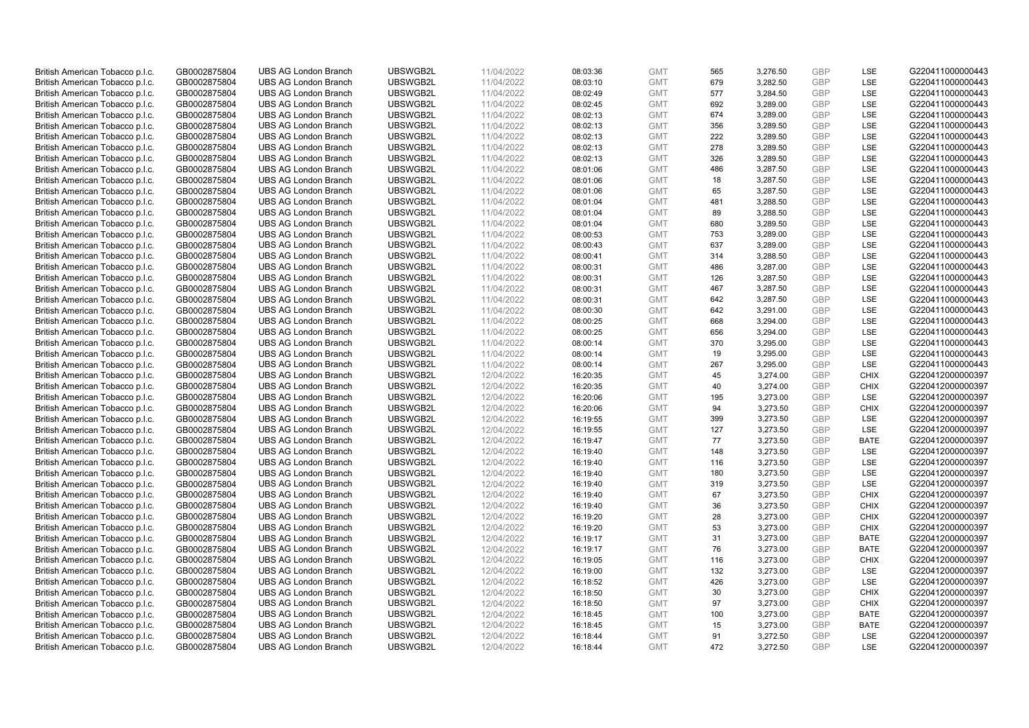| British American Tobacco p.l.c. | GB0002875804 | <b>UBS AG London Branch</b> | UBSWGB2L | 11/04/2022 | 08:03:36 | <b>GMT</b> | 565        | 3,276.50 | <b>GBP</b> | <b>LSE</b>         | G220411000000443 |
|---------------------------------|--------------|-----------------------------|----------|------------|----------|------------|------------|----------|------------|--------------------|------------------|
|                                 |              |                             |          |            |          |            |            |          |            |                    |                  |
| British American Tobacco p.l.c. | GB0002875804 | <b>UBS AG London Branch</b> | UBSWGB2L | 11/04/2022 | 08:03:10 | <b>GMT</b> | 679        | 3,282.50 | <b>GBP</b> | LSE                | G220411000000443 |
| British American Tobacco p.l.c. | GB0002875804 | <b>UBS AG London Branch</b> | UBSWGB2L | 11/04/2022 | 08:02:49 | <b>GMT</b> | 577        | 3,284.50 | <b>GBP</b> | LSE                | G220411000000443 |
| British American Tobacco p.l.c. | GB0002875804 | <b>UBS AG London Branch</b> | UBSWGB2L | 11/04/2022 | 08:02:45 | <b>GMT</b> | 692        | 3,289.00 | <b>GBP</b> | LSE                | G220411000000443 |
| British American Tobacco p.l.c. | GB0002875804 | <b>UBS AG London Branch</b> | UBSWGB2L | 11/04/2022 | 08:02:13 | <b>GMT</b> | 674        | 3,289.00 | <b>GBP</b> | LSE                | G220411000000443 |
| British American Tobacco p.l.c. | GB0002875804 | <b>UBS AG London Branch</b> | UBSWGB2L | 11/04/2022 | 08:02:13 | <b>GMT</b> | 356        | 3,289.50 | <b>GBP</b> | <b>LSE</b>         | G220411000000443 |
| British American Tobacco p.l.c. | GB0002875804 | <b>UBS AG London Branch</b> | UBSWGB2L | 11/04/2022 | 08:02:13 | <b>GMT</b> | 222        | 3,289.50 | <b>GBP</b> | LSE                | G220411000000443 |
| British American Tobacco p.l.c. | GB0002875804 | <b>UBS AG London Branch</b> | UBSWGB2L | 11/04/2022 | 08:02:13 | <b>GMT</b> | 278        | 3,289.50 | <b>GBP</b> | LSE                | G220411000000443 |
| British American Tobacco p.l.c. | GB0002875804 | <b>UBS AG London Branch</b> | UBSWGB2L | 11/04/2022 | 08:02:13 | <b>GMT</b> | 326        | 3,289.50 | <b>GBP</b> | LSE                | G220411000000443 |
| British American Tobacco p.l.c. | GB0002875804 | <b>UBS AG London Branch</b> | UBSWGB2L | 11/04/2022 | 08:01:06 | <b>GMT</b> | 486        | 3,287.50 | <b>GBP</b> | LSE                | G220411000000443 |
| British American Tobacco p.l.c. | GB0002875804 | <b>UBS AG London Branch</b> | UBSWGB2L | 11/04/2022 | 08:01:06 | <b>GMT</b> | 18         | 3,287.50 | <b>GBP</b> | <b>LSE</b>         | G220411000000443 |
| British American Tobacco p.l.c. | GB0002875804 | <b>UBS AG London Branch</b> | UBSWGB2L | 11/04/2022 | 08:01:06 | <b>GMT</b> | 65         | 3,287.50 | <b>GBP</b> | LSE                | G220411000000443 |
| British American Tobacco p.l.c. | GB0002875804 | <b>UBS AG London Branch</b> | UBSWGB2L | 11/04/2022 | 08:01:04 | <b>GMT</b> | 481        | 3,288.50 | <b>GBP</b> | LSE                | G220411000000443 |
|                                 |              | <b>UBS AG London Branch</b> | UBSWGB2L | 11/04/2022 |          |            |            |          | <b>GBP</b> | LSE                |                  |
| British American Tobacco p.l.c. | GB0002875804 |                             |          |            | 08:01:04 | <b>GMT</b> | 89         | 3,288.50 |            |                    | G220411000000443 |
| British American Tobacco p.l.c. | GB0002875804 | <b>UBS AG London Branch</b> | UBSWGB2L | 11/04/2022 | 08:01:04 | <b>GMT</b> | 680        | 3,289.50 | <b>GBP</b> | LSE                | G220411000000443 |
| British American Tobacco p.l.c. | GB0002875804 | <b>UBS AG London Branch</b> | UBSWGB2L | 11/04/2022 | 08:00:53 | <b>GMT</b> | 753        | 3,289.00 | <b>GBP</b> | LSE                | G220411000000443 |
| British American Tobacco p.l.c. | GB0002875804 | <b>UBS AG London Branch</b> | UBSWGB2L | 11/04/2022 | 08:00:43 | <b>GMT</b> | 637        | 3,289.00 | <b>GBP</b> | LSE                | G220411000000443 |
| British American Tobacco p.l.c. | GB0002875804 | <b>UBS AG London Branch</b> | UBSWGB2L | 11/04/2022 | 08:00:41 | <b>GMT</b> | 314        | 3,288.50 | <b>GBP</b> | LSE                | G220411000000443 |
| British American Tobacco p.l.c. | GB0002875804 | <b>UBS AG London Branch</b> | UBSWGB2L | 11/04/2022 | 08:00:31 | <b>GMT</b> | 486        | 3,287.00 | <b>GBP</b> | <b>LSE</b>         | G220411000000443 |
| British American Tobacco p.l.c. | GB0002875804 | <b>UBS AG London Branch</b> | UBSWGB2L | 11/04/2022 | 08:00:31 | <b>GMT</b> | 126        | 3,287.50 | <b>GBP</b> | LSE                | G220411000000443 |
| British American Tobacco p.l.c. | GB0002875804 | <b>UBS AG London Branch</b> | UBSWGB2L | 11/04/2022 | 08:00:31 | <b>GMT</b> | 467        | 3,287.50 | <b>GBP</b> | LSE                | G220411000000443 |
| British American Tobacco p.l.c. | GB0002875804 | <b>UBS AG London Branch</b> | UBSWGB2L | 11/04/2022 | 08:00:31 | <b>GMT</b> | 642        | 3,287.50 | <b>GBP</b> | LSE                | G220411000000443 |
| British American Tobacco p.l.c. | GB0002875804 | <b>UBS AG London Branch</b> | UBSWGB2L | 11/04/2022 | 08:00:30 | <b>GMT</b> | 642        | 3,291.00 | <b>GBP</b> | LSE                | G220411000000443 |
| British American Tobacco p.l.c. | GB0002875804 | <b>UBS AG London Branch</b> | UBSWGB2L | 11/04/2022 | 08:00:25 | <b>GMT</b> | 668        | 3,294.00 | <b>GBP</b> | <b>LSE</b>         | G220411000000443 |
| British American Tobacco p.l.c. | GB0002875804 | <b>UBS AG London Branch</b> | UBSWGB2L | 11/04/2022 | 08:00:25 | <b>GMT</b> | 656        | 3,294.00 | <b>GBP</b> | LSE                | G220411000000443 |
| British American Tobacco p.l.c. | GB0002875804 | <b>UBS AG London Branch</b> | UBSWGB2L | 11/04/2022 | 08:00:14 | <b>GMT</b> | 370        | 3,295.00 | <b>GBP</b> | LSE                | G220411000000443 |
| British American Tobacco p.l.c. | GB0002875804 | <b>UBS AG London Branch</b> | UBSWGB2L | 11/04/2022 | 08:00:14 | <b>GMT</b> | 19         | 3,295.00 | <b>GBP</b> | LSE                | G220411000000443 |
| British American Tobacco p.l.c. | GB0002875804 | <b>UBS AG London Branch</b> | UBSWGB2L | 11/04/2022 | 08:00:14 | <b>GMT</b> | 267        | 3,295.00 | <b>GBP</b> | LSE                | G220411000000443 |
| British American Tobacco p.l.c. | GB0002875804 | <b>UBS AG London Branch</b> | UBSWGB2L | 12/04/2022 | 16:20:35 | <b>GMT</b> | 45         | 3,274.00 | <b>GBP</b> | <b>CHIX</b>        | G220412000000397 |
|                                 |              |                             | UBSWGB2L |            |          |            |            |          | <b>GBP</b> |                    |                  |
| British American Tobacco p.l.c. | GB0002875804 | <b>UBS AG London Branch</b> |          | 12/04/2022 | 16:20:35 | <b>GMT</b> | 40         | 3,274.00 |            | <b>CHIX</b>        | G220412000000397 |
| British American Tobacco p.l.c. | GB0002875804 | <b>UBS AG London Branch</b> | UBSWGB2L | 12/04/2022 | 16:20:06 | <b>GMT</b> | 195        | 3,273.00 | <b>GBP</b> | LSE                | G220412000000397 |
| British American Tobacco p.l.c. | GB0002875804 | <b>UBS AG London Branch</b> | UBSWGB2L | 12/04/2022 | 16:20:06 | <b>GMT</b> | 94         | 3,273.50 | <b>GBP</b> | <b>CHIX</b>        | G220412000000397 |
| British American Tobacco p.l.c. | GB0002875804 | <b>UBS AG London Branch</b> | UBSWGB2L | 12/04/2022 | 16:19:55 | <b>GMT</b> | 399        | 3,273.50 | <b>GBP</b> | LSE                | G220412000000397 |
| British American Tobacco p.l.c. | GB0002875804 | <b>UBS AG London Branch</b> | UBSWGB2L | 12/04/2022 | 16:19:55 | <b>GMT</b> | 127        | 3,273.50 | <b>GBP</b> | LSE                | G220412000000397 |
| British American Tobacco p.l.c. | GB0002875804 | <b>UBS AG London Branch</b> | UBSWGB2L | 12/04/2022 | 16:19:47 | <b>GMT</b> | 77         | 3,273.50 | <b>GBP</b> | <b>BATE</b>        | G220412000000397 |
| British American Tobacco p.l.c. | GB0002875804 | <b>UBS AG London Branch</b> | UBSWGB2L | 12/04/2022 | 16:19:40 | <b>GMT</b> | 148        | 3,273.50 | <b>GBP</b> | LSE                | G220412000000397 |
| British American Tobacco p.l.c. | GB0002875804 | <b>UBS AG London Branch</b> | UBSWGB2L | 12/04/2022 | 16:19:40 | <b>GMT</b> | 116        | 3,273.50 | <b>GBP</b> | LSE                | G220412000000397 |
| British American Tobacco p.l.c. | GB0002875804 | <b>UBS AG London Branch</b> | UBSWGB2L | 12/04/2022 | 16:19:40 | <b>GMT</b> | 180        | 3,273.50 | <b>GBP</b> | LSE                | G220412000000397 |
| British American Tobacco p.l.c. | GB0002875804 | <b>UBS AG London Branch</b> | UBSWGB2L | 12/04/2022 | 16:19:40 | <b>GMT</b> | 319        | 3,273.50 | <b>GBP</b> | LSE                | G220412000000397 |
| British American Tobacco p.l.c. | GB0002875804 | UBS AG London Branch        | UBSWGB2L | 12/04/2022 | 16:19:40 | <b>GMT</b> | 67         | 3,273.50 | <b>GBP</b> | <b>CHIX</b>        | G220412000000397 |
| British American Tobacco p.l.c. | GB0002875804 | <b>UBS AG London Branch</b> | UBSWGB2L | 12/04/2022 | 16:19:40 | <b>GMT</b> | 36         | 3,273.50 | <b>GBP</b> | <b>CHIX</b>        | G220412000000397 |
| British American Tobacco p.l.c. | GB0002875804 | <b>UBS AG London Branch</b> | UBSWGB2L | 12/04/2022 | 16:19:20 | <b>GMT</b> | 28         | 3,273.00 | <b>GBP</b> | <b>CHIX</b>        | G220412000000397 |
| British American Tobacco p.l.c. | GB0002875804 | <b>UBS AG London Branch</b> | UBSWGB2L | 12/04/2022 | 16:19:20 | <b>GMT</b> | 53         | 3,273.00 | <b>GBP</b> | <b>CHIX</b>        | G220412000000397 |
| British American Tobacco p.l.c. | GB0002875804 | <b>UBS AG London Branch</b> | UBSWGB2L | 12/04/2022 | 16:19:17 | <b>GMT</b> | 31         | 3,273.00 | <b>GBP</b> | <b>BATE</b>        | G220412000000397 |
| British American Tobacco p.l.c. | GB0002875804 | UBS AG London Branch        | UBSWGB2L | 12/04/2022 | 16:19:17 | <b>GMT</b> | 76         | 3,273.00 | <b>GBP</b> | <b>BATE</b>        | G220412000000397 |
|                                 |              |                             |          |            |          |            |            |          |            |                    |                  |
| British American Tobacco p.l.c. | GB0002875804 | <b>UBS AG London Branch</b> | UBSWGB2L | 12/04/2022 | 16:19:05 | <b>GMT</b> | 116<br>132 | 3,273.00 | <b>GBP</b> | <b>CHIX</b><br>LSE | G220412000000397 |
| British American Tobacco p.l.c. | GB0002875804 | <b>UBS AG London Branch</b> | UBSWGB2L | 12/04/2022 | 16:19:00 | <b>GMT</b> |            | 3,273.00 | <b>GBP</b> |                    | G220412000000397 |
| British American Tobacco p.l.c. | GB0002875804 | <b>UBS AG London Branch</b> | UBSWGB2L | 12/04/2022 | 16:18:52 | <b>GMT</b> | 426        | 3,273.00 | <b>GBP</b> | LSE                | G220412000000397 |
| British American Tobacco p.l.c. | GB0002875804 | <b>UBS AG London Branch</b> | UBSWGB2L | 12/04/2022 | 16:18:50 | <b>GMT</b> | 30         | 3,273.00 | <b>GBP</b> | <b>CHIX</b>        | G220412000000397 |
| British American Tobacco p.l.c. | GB0002875804 | <b>UBS AG London Branch</b> | UBSWGB2L | 12/04/2022 | 16:18:50 | <b>GMT</b> | 97         | 3,273.00 | <b>GBP</b> | <b>CHIX</b>        | G220412000000397 |
| British American Tobacco p.l.c. | GB0002875804 | <b>UBS AG London Branch</b> | UBSWGB2L | 12/04/2022 | 16:18:45 | <b>GMT</b> | 100        | 3,273.00 | <b>GBP</b> | <b>BATE</b>        | G220412000000397 |
| British American Tobacco p.l.c. | GB0002875804 | <b>UBS AG London Branch</b> | UBSWGB2L | 12/04/2022 | 16:18:45 | <b>GMT</b> | 15         | 3,273.00 | <b>GBP</b> | <b>BATE</b>        | G220412000000397 |
| British American Tobacco p.l.c. | GB0002875804 | <b>UBS AG London Branch</b> | UBSWGB2L | 12/04/2022 | 16:18:44 | <b>GMT</b> | 91         | 3,272.50 | <b>GBP</b> | <b>LSE</b>         | G220412000000397 |
| British American Tobacco p.l.c. | GB0002875804 | <b>UBS AG London Branch</b> | UBSWGB2L | 12/04/2022 | 16:18:44 | <b>GMT</b> | 472        | 3,272.50 | GBP        | <b>LSE</b>         | G220412000000397 |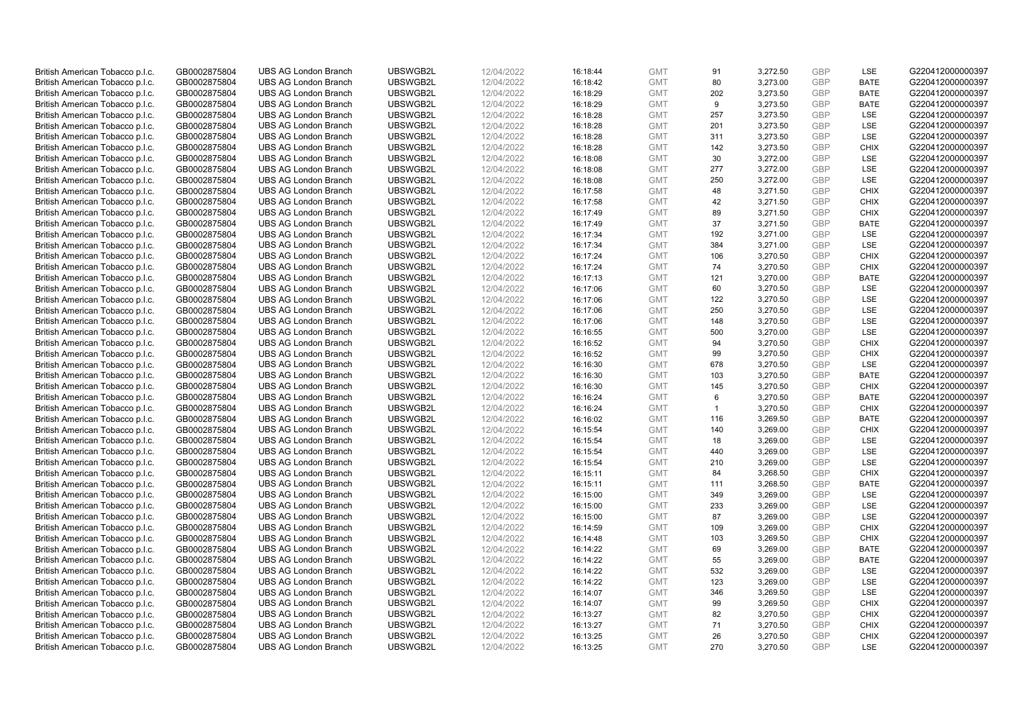| British American Tobacco p.l.c. | GB0002875804 | <b>UBS AG London Branch</b> | UBSWGB2L | 12/04/2022 | 16:18:44 | <b>GMT</b> | 91             | 3,272.50 | <b>GBP</b> | LSE         | G220412000000397 |
|---------------------------------|--------------|-----------------------------|----------|------------|----------|------------|----------------|----------|------------|-------------|------------------|
| British American Tobacco p.l.c. | GB0002875804 | <b>UBS AG London Branch</b> | UBSWGB2L | 12/04/2022 | 16:18:42 | <b>GMT</b> | 80             | 3,273.00 | <b>GBP</b> | <b>BATE</b> | G220412000000397 |
| British American Tobacco p.l.c. | GB0002875804 | <b>UBS AG London Branch</b> | UBSWGB2L | 12/04/2022 | 16:18:29 | <b>GMT</b> | 202            | 3,273.50 | <b>GBP</b> | <b>BATE</b> | G220412000000397 |
| British American Tobacco p.l.c. | GB0002875804 | <b>UBS AG London Branch</b> | UBSWGB2L | 12/04/2022 | 16:18:29 | <b>GMT</b> | 9              | 3,273.50 | <b>GBP</b> | <b>BATE</b> | G220412000000397 |
|                                 |              |                             |          |            |          |            | 257            |          | <b>GBP</b> | LSE         |                  |
| British American Tobacco p.l.c. | GB0002875804 | <b>UBS AG London Branch</b> | UBSWGB2L | 12/04/2022 | 16:18:28 | <b>GMT</b> |                | 3,273.50 |            |             | G220412000000397 |
| British American Tobacco p.l.c. | GB0002875804 | <b>UBS AG London Branch</b> | UBSWGB2L | 12/04/2022 | 16:18:28 | <b>GMT</b> | 201            | 3,273.50 | <b>GBP</b> | <b>LSE</b>  | G220412000000397 |
| British American Tobacco p.l.c. | GB0002875804 | <b>UBS AG London Branch</b> | UBSWGB2L | 12/04/2022 | 16:18:28 | <b>GMT</b> | 311            | 3,273.50 | <b>GBP</b> | LSE         | G220412000000397 |
| British American Tobacco p.l.c. | GB0002875804 | <b>UBS AG London Branch</b> | UBSWGB2L | 12/04/2022 | 16:18:28 | <b>GMT</b> | 142            | 3,273.50 | <b>GBP</b> | <b>CHIX</b> | G220412000000397 |
| British American Tobacco p.l.c. | GB0002875804 | <b>UBS AG London Branch</b> | UBSWGB2L | 12/04/2022 | 16:18:08 | <b>GMT</b> | 30             | 3,272.00 | <b>GBP</b> | LSE         | G220412000000397 |
| British American Tobacco p.l.c. | GB0002875804 | <b>UBS AG London Branch</b> | UBSWGB2L | 12/04/2022 | 16:18:08 | <b>GMT</b> | 277            | 3,272.00 | <b>GBP</b> | LSE         | G220412000000397 |
| British American Tobacco p.l.c. | GB0002875804 | <b>UBS AG London Branch</b> | UBSWGB2L | 12/04/2022 | 16:18:08 | <b>GMT</b> | 250            | 3,272.00 | <b>GBP</b> | <b>LSE</b>  | G220412000000397 |
| British American Tobacco p.l.c. | GB0002875804 | <b>UBS AG London Branch</b> | UBSWGB2L | 12/04/2022 | 16:17:58 | <b>GMT</b> | 48             | 3,271.50 | <b>GBP</b> | <b>CHIX</b> | G220412000000397 |
| British American Tobacco p.l.c. | GB0002875804 | <b>UBS AG London Branch</b> | UBSWGB2L | 12/04/2022 | 16:17:58 | <b>GMT</b> | 42             | 3,271.50 | <b>GBP</b> | <b>CHIX</b> | G220412000000397 |
| British American Tobacco p.l.c. | GB0002875804 | <b>UBS AG London Branch</b> | UBSWGB2L | 12/04/2022 | 16:17:49 | <b>GMT</b> | 89             | 3,271.50 | <b>GBP</b> | <b>CHIX</b> | G220412000000397 |
| British American Tobacco p.l.c. | GB0002875804 | <b>UBS AG London Branch</b> | UBSWGB2L | 12/04/2022 | 16:17:49 | <b>GMT</b> | 37             | 3,271.50 | <b>GBP</b> | <b>BATE</b> | G220412000000397 |
| British American Tobacco p.l.c. | GB0002875804 | <b>UBS AG London Branch</b> | UBSWGB2L | 12/04/2022 | 16:17:34 | <b>GMT</b> | 192            | 3,271.00 | <b>GBP</b> | LSE         | G220412000000397 |
| British American Tobacco p.l.c. | GB0002875804 | <b>UBS AG London Branch</b> | UBSWGB2L | 12/04/2022 | 16:17:34 | <b>GMT</b> | 384            | 3,271.00 | <b>GBP</b> | LSE         | G220412000000397 |
| British American Tobacco p.l.c. | GB0002875804 | <b>UBS AG London Branch</b> | UBSWGB2L | 12/04/2022 | 16:17:24 | <b>GMT</b> | 106            | 3,270.50 | <b>GBP</b> | <b>CHIX</b> | G220412000000397 |
| British American Tobacco p.l.c. | GB0002875804 | <b>UBS AG London Branch</b> | UBSWGB2L | 12/04/2022 | 16:17:24 | <b>GMT</b> | 74             | 3,270.50 | <b>GBP</b> | <b>CHIX</b> | G220412000000397 |
| British American Tobacco p.l.c. | GB0002875804 | <b>UBS AG London Branch</b> | UBSWGB2L | 12/04/2022 | 16:17:13 | <b>GMT</b> | 121            | 3,270.00 | <b>GBP</b> | <b>BATE</b> | G220412000000397 |
| British American Tobacco p.l.c. | GB0002875804 | <b>UBS AG London Branch</b> | UBSWGB2L | 12/04/2022 | 16:17:06 | <b>GMT</b> | 60             | 3,270.50 | <b>GBP</b> | LSE         | G220412000000397 |
| British American Tobacco p.l.c. | GB0002875804 | <b>UBS AG London Branch</b> | UBSWGB2L | 12/04/2022 | 16:17:06 | <b>GMT</b> | 122            | 3,270.50 | <b>GBP</b> | LSE         | G220412000000397 |
|                                 |              |                             |          |            |          |            |                |          | <b>GBP</b> |             |                  |
| British American Tobacco p.l.c. | GB0002875804 | <b>UBS AG London Branch</b> | UBSWGB2L | 12/04/2022 | 16:17:06 | <b>GMT</b> | 250            | 3,270.50 | <b>GBP</b> | LSE         | G220412000000397 |
| British American Tobacco p.l.c. | GB0002875804 | <b>UBS AG London Branch</b> | UBSWGB2L | 12/04/2022 | 16:17:06 | <b>GMT</b> | 148            | 3,270.50 |            | <b>LSE</b>  | G220412000000397 |
| British American Tobacco p.l.c. | GB0002875804 | <b>UBS AG London Branch</b> | UBSWGB2L | 12/04/2022 | 16:16:55 | <b>GMT</b> | 500            | 3,270.00 | <b>GBP</b> | LSE         | G220412000000397 |
| British American Tobacco p.l.c. | GB0002875804 | <b>UBS AG London Branch</b> | UBSWGB2L | 12/04/2022 | 16:16:52 | <b>GMT</b> | 94             | 3,270.50 | <b>GBP</b> | <b>CHIX</b> | G220412000000397 |
| British American Tobacco p.l.c. | GB0002875804 | <b>UBS AG London Branch</b> | UBSWGB2L | 12/04/2022 | 16:16:52 | <b>GMT</b> | 99             | 3,270.50 | <b>GBP</b> | <b>CHIX</b> | G220412000000397 |
| British American Tobacco p.l.c. | GB0002875804 | <b>UBS AG London Branch</b> | UBSWGB2L | 12/04/2022 | 16:16:30 | <b>GMT</b> | 678            | 3,270.50 | <b>GBP</b> | LSE         | G220412000000397 |
| British American Tobacco p.l.c. | GB0002875804 | <b>UBS AG London Branch</b> | UBSWGB2L | 12/04/2022 | 16:16:30 | <b>GMT</b> | 103            | 3,270.50 | <b>GBP</b> | <b>BATE</b> | G220412000000397 |
| British American Tobacco p.l.c. | GB0002875804 | UBS AG London Branch        | UBSWGB2L | 12/04/2022 | 16:16:30 | <b>GMT</b> | 145            | 3,270.50 | <b>GBP</b> | <b>CHIX</b> | G220412000000397 |
| British American Tobacco p.l.c. | GB0002875804 | <b>UBS AG London Branch</b> | UBSWGB2L | 12/04/2022 | 16:16:24 | <b>GMT</b> | 6              | 3,270.50 | <b>GBP</b> | <b>BATE</b> | G220412000000397 |
| British American Tobacco p.l.c. | GB0002875804 | <b>UBS AG London Branch</b> | UBSWGB2L | 12/04/2022 | 16:16:24 | <b>GMT</b> | $\overline{1}$ | 3,270.50 | <b>GBP</b> | <b>CHIX</b> | G220412000000397 |
| British American Tobacco p.l.c. | GB0002875804 | <b>UBS AG London Branch</b> | UBSWGB2L | 12/04/2022 | 16:16:02 | <b>GMT</b> | 116            | 3,269.50 | <b>GBP</b> | <b>BATE</b> | G220412000000397 |
| British American Tobacco p.l.c. | GB0002875804 | <b>UBS AG London Branch</b> | UBSWGB2L | 12/04/2022 | 16:15:54 | <b>GMT</b> | 140            | 3,269.00 | <b>GBP</b> | <b>CHIX</b> | G220412000000397 |
| British American Tobacco p.l.c. | GB0002875804 | <b>UBS AG London Branch</b> | UBSWGB2L | 12/04/2022 | 16:15:54 | <b>GMT</b> | 18             | 3,269.00 | <b>GBP</b> | LSE         | G220412000000397 |
| British American Tobacco p.l.c. | GB0002875804 | <b>UBS AG London Branch</b> | UBSWGB2L | 12/04/2022 | 16:15:54 | <b>GMT</b> | 440            | 3,269.00 | <b>GBP</b> | LSE         | G220412000000397 |
| British American Tobacco p.l.c. | GB0002875804 | <b>UBS AG London Branch</b> | UBSWGB2L | 12/04/2022 | 16:15:54 | <b>GMT</b> | 210            | 3,269.00 | <b>GBP</b> | <b>LSE</b>  | G220412000000397 |
| British American Tobacco p.l.c. | GB0002875804 | <b>UBS AG London Branch</b> | UBSWGB2L | 12/04/2022 | 16:15:11 | <b>GMT</b> | 84             | 3,268.50 | <b>GBP</b> | <b>CHIX</b> | G220412000000397 |
| British American Tobacco p.l.c. | GB0002875804 | <b>UBS AG London Branch</b> | UBSWGB2L | 12/04/2022 | 16:15:11 | <b>GMT</b> | 111            | 3,268.50 | <b>GBP</b> | <b>BATE</b> | G220412000000397 |
| British American Tobacco p.l.c. | GB0002875804 | UBS AG London Branch        | UBSWGB2L | 12/04/2022 | 16:15:00 | <b>GMT</b> | 349            | 3,269.00 | <b>GBP</b> | <b>LSE</b>  | G220412000000397 |
| British American Tobacco p.l.c. | GB0002875804 | <b>UBS AG London Branch</b> | UBSWGB2L | 12/04/2022 | 16:15:00 | <b>GMT</b> | 233            | 3,269.00 | <b>GBP</b> | LSE         | G220412000000397 |
| British American Tobacco p.l.c. | GB0002875804 | <b>UBS AG London Branch</b> | UBSWGB2L | 12/04/2022 | 16:15:00 | <b>GMT</b> | 87             | 3,269.00 | <b>GBP</b> | LSE         | G220412000000397 |
| British American Tobacco p.l.c. | GB0002875804 | <b>UBS AG London Branch</b> | UBSWGB2L | 12/04/2022 | 16:14:59 | <b>GMT</b> | 109            | 3,269.00 | <b>GBP</b> | <b>CHIX</b> | G220412000000397 |
| British American Tobacco p.l.c. | GB0002875804 | <b>UBS AG London Branch</b> | UBSWGB2L | 12/04/2022 | 16:14:48 | <b>GMT</b> | 103            | 3,269.50 | <b>GBP</b> | <b>CHIX</b> | G220412000000397 |
| British American Tobacco p.l.c. | GB0002875804 | UBS AG London Branch        | UBSWGB2L | 12/04/2022 | 16:14:22 | <b>GMT</b> | 69             | 3,269.00 | <b>GBP</b> | <b>BATE</b> | G220412000000397 |
| British American Tobacco p.l.c. | GB0002875804 | <b>UBS AG London Branch</b> | UBSWGB2L | 12/04/2022 | 16:14:22 | <b>GMT</b> | 55             | 3,269.00 | <b>GBP</b> | <b>BATE</b> | G220412000000397 |
| British American Tobacco p.l.c. | GB0002875804 | <b>UBS AG London Branch</b> | UBSWGB2L | 12/04/2022 | 16:14:22 | <b>GMT</b> | 532            | 3,269.00 | <b>GBP</b> | <b>LSE</b>  | G220412000000397 |
| British American Tobacco p.l.c. | GB0002875804 | <b>UBS AG London Branch</b> | UBSWGB2L | 12/04/2022 | 16:14:22 | <b>GMT</b> | 123            | 3,269.00 | <b>GBP</b> | LSE         | G220412000000397 |
| British American Tobacco p.l.c. | GB0002875804 | <b>UBS AG London Branch</b> | UBSWGB2L | 12/04/2022 | 16:14:07 | <b>GMT</b> | 346            | 3,269.50 | <b>GBP</b> | LSE         | G220412000000397 |
| British American Tobacco p.l.c. | GB0002875804 | <b>UBS AG London Branch</b> | UBSWGB2L | 12/04/2022 | 16:14:07 | <b>GMT</b> | 99             | 3,269.50 | <b>GBP</b> | <b>CHIX</b> | G220412000000397 |
| British American Tobacco p.l.c. | GB0002875804 | <b>UBS AG London Branch</b> | UBSWGB2L | 12/04/2022 | 16:13:27 | <b>GMT</b> | 82             | 3,270.50 | <b>GBP</b> | <b>CHIX</b> | G220412000000397 |
| British American Tobacco p.l.c. | GB0002875804 | <b>UBS AG London Branch</b> | UBSWGB2L | 12/04/2022 | 16:13:27 | <b>GMT</b> | 71             | 3,270.50 | <b>GBP</b> | <b>CHIX</b> | G220412000000397 |
| British American Tobacco p.l.c. | GB0002875804 | <b>UBS AG London Branch</b> | UBSWGB2L | 12/04/2022 | 16:13:25 | <b>GMT</b> | 26             | 3,270.50 | <b>GBP</b> | <b>CHIX</b> | G220412000000397 |
| British American Tobacco p.l.c. | GB0002875804 | <b>UBS AG London Branch</b> | UBSWGB2L | 12/04/2022 | 16:13:25 | <b>GMT</b> | 270            | 3,270.50 | GBP        | <b>LSE</b>  | G220412000000397 |
|                                 |              |                             |          |            |          |            |                |          |            |             |                  |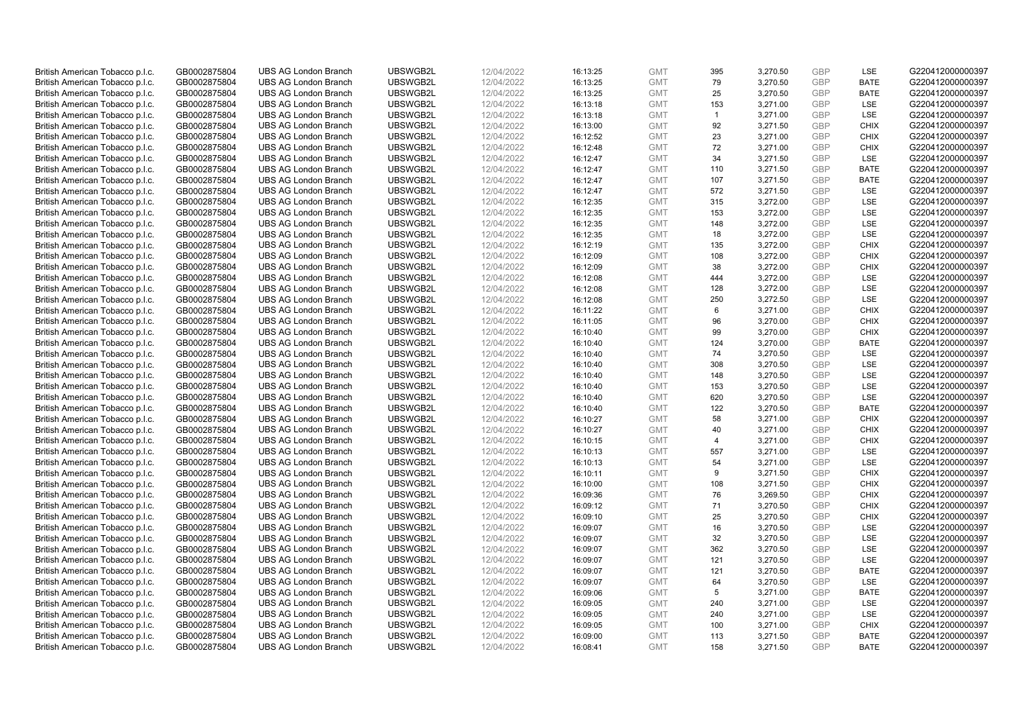| British American Tobacco p.l.c. | GB0002875804 | <b>UBS AG London Branch</b> | UBSWGB2L | 12/04/2022 | 16:13:25 | <b>GMT</b> | 395            | 3,270.50 | <b>GBP</b> | LSE         | G220412000000397 |
|---------------------------------|--------------|-----------------------------|----------|------------|----------|------------|----------------|----------|------------|-------------|------------------|
| British American Tobacco p.l.c. | GB0002875804 | <b>UBS AG London Branch</b> | UBSWGB2L | 12/04/2022 | 16:13:25 | <b>GMT</b> | 79             | 3,270.50 | <b>GBP</b> | <b>BATE</b> | G220412000000397 |
|                                 |              |                             |          |            |          |            |                |          |            |             |                  |
| British American Tobacco p.l.c. | GB0002875804 | <b>UBS AG London Branch</b> | UBSWGB2L | 12/04/2022 | 16:13:25 | <b>GMT</b> | 25             | 3,270.50 | <b>GBP</b> | <b>BATE</b> | G220412000000397 |
| British American Tobacco p.l.c. | GB0002875804 | <b>UBS AG London Branch</b> | UBSWGB2L | 12/04/2022 | 16:13:18 | <b>GMT</b> | 153            | 3,271.00 | <b>GBP</b> | LSE         | G220412000000397 |
| British American Tobacco p.l.c. | GB0002875804 | <b>UBS AG London Branch</b> | UBSWGB2L | 12/04/2022 | 16:13:18 | <b>GMT</b> | $\overline{1}$ | 3,271.00 | <b>GBP</b> | LSE         | G220412000000397 |
| British American Tobacco p.l.c. | GB0002875804 | <b>UBS AG London Branch</b> | UBSWGB2L | 12/04/2022 | 16:13:00 | <b>GMT</b> | 92             | 3,271.50 | <b>GBP</b> | <b>CHIX</b> | G220412000000397 |
| British American Tobacco p.l.c. | GB0002875804 | <b>UBS AG London Branch</b> | UBSWGB2L | 12/04/2022 | 16:12:52 | <b>GMT</b> | 23             | 3,271.00 | <b>GBP</b> | <b>CHIX</b> | G220412000000397 |
| British American Tobacco p.l.c. | GB0002875804 | <b>UBS AG London Branch</b> | UBSWGB2L | 12/04/2022 | 16:12:48 | <b>GMT</b> | 72             | 3,271.00 | GBP        | <b>CHIX</b> | G220412000000397 |
| British American Tobacco p.l.c. | GB0002875804 | <b>UBS AG London Branch</b> | UBSWGB2L | 12/04/2022 | 16:12:47 | <b>GMT</b> | 34             | 3,271.50 | <b>GBP</b> | LSE         | G220412000000397 |
| British American Tobacco p.l.c. | GB0002875804 | <b>UBS AG London Branch</b> | UBSWGB2L | 12/04/2022 | 16:12:47 | <b>GMT</b> | 110            | 3,271.50 | <b>GBP</b> | <b>BATE</b> | G220412000000397 |
| British American Tobacco p.l.c. | GB0002875804 | <b>UBS AG London Branch</b> | UBSWGB2L | 12/04/2022 | 16:12:47 | <b>GMT</b> | 107            | 3,271.50 | <b>GBP</b> | <b>BATE</b> | G220412000000397 |
| British American Tobacco p.l.c. | GB0002875804 | <b>UBS AG London Branch</b> | UBSWGB2L | 12/04/2022 | 16:12:47 | <b>GMT</b> | 572            | 3,271.50 | <b>GBP</b> | LSE         | G220412000000397 |
| British American Tobacco p.l.c. | GB0002875804 | <b>UBS AG London Branch</b> | UBSWGB2L | 12/04/2022 | 16:12:35 | <b>GMT</b> | 315            | 3,272.00 | <b>GBP</b> | LSE         | G220412000000397 |
| British American Tobacco p.l.c. | GB0002875804 | <b>UBS AG London Branch</b> | UBSWGB2L | 12/04/2022 | 16:12:35 | <b>GMT</b> | 153            | 3,272.00 | <b>GBP</b> | <b>LSE</b>  | G220412000000397 |
| British American Tobacco p.l.c. | GB0002875804 | <b>UBS AG London Branch</b> | UBSWGB2L | 12/04/2022 | 16:12:35 | <b>GMT</b> | 148            | 3,272.00 | <b>GBP</b> | <b>LSE</b>  | G220412000000397 |
| British American Tobacco p.l.c. | GB0002875804 | <b>UBS AG London Branch</b> | UBSWGB2L | 12/04/2022 | 16:12:35 | <b>GMT</b> | 18             | 3,272.00 | <b>GBP</b> | LSE         | G220412000000397 |
|                                 | GB0002875804 | <b>UBS AG London Branch</b> | UBSWGB2L | 12/04/2022 | 16:12:19 | <b>GMT</b> |                |          | <b>GBP</b> | <b>CHIX</b> | G220412000000397 |
| British American Tobacco p.l.c. |              |                             |          |            |          |            | 135            | 3,272.00 |            |             |                  |
| British American Tobacco p.l.c. | GB0002875804 | <b>UBS AG London Branch</b> | UBSWGB2L | 12/04/2022 | 16:12:09 | <b>GMT</b> | 108            | 3,272.00 | <b>GBP</b> | <b>CHIX</b> | G220412000000397 |
| British American Tobacco p.l.c. | GB0002875804 | <b>UBS AG London Branch</b> | UBSWGB2L | 12/04/2022 | 16:12:09 | <b>GMT</b> | 38             | 3,272.00 | <b>GBP</b> | <b>CHIX</b> | G220412000000397 |
| British American Tobacco p.l.c. | GB0002875804 | <b>UBS AG London Branch</b> | UBSWGB2L | 12/04/2022 | 16:12:08 | <b>GMT</b> | 444            | 3,272.00 | <b>GBP</b> | LSE         | G220412000000397 |
| British American Tobacco p.l.c. | GB0002875804 | <b>UBS AG London Branch</b> | UBSWGB2L | 12/04/2022 | 16:12:08 | <b>GMT</b> | 128            | 3,272.00 | <b>GBP</b> | LSE         | G220412000000397 |
| British American Tobacco p.l.c. | GB0002875804 | <b>UBS AG London Branch</b> | UBSWGB2L | 12/04/2022 | 16:12:08 | <b>GMT</b> | 250            | 3,272.50 | <b>GBP</b> | LSE         | G220412000000397 |
| British American Tobacco p.l.c. | GB0002875804 | <b>UBS AG London Branch</b> | UBSWGB2L | 12/04/2022 | 16:11:22 | <b>GMT</b> | 6              | 3,271.00 | <b>GBP</b> | <b>CHIX</b> | G220412000000397 |
| British American Tobacco p.l.c. | GB0002875804 | <b>UBS AG London Branch</b> | UBSWGB2L | 12/04/2022 | 16:11:05 | <b>GMT</b> | 96             | 3,270.00 | <b>GBP</b> | <b>CHIX</b> | G220412000000397 |
| British American Tobacco p.l.c. | GB0002875804 | <b>UBS AG London Branch</b> | UBSWGB2L | 12/04/2022 | 16:10:40 | <b>GMT</b> | 99             | 3,270.00 | <b>GBP</b> | <b>CHIX</b> | G220412000000397 |
| British American Tobacco p.l.c. | GB0002875804 | <b>UBS AG London Branch</b> | UBSWGB2L | 12/04/2022 | 16:10:40 | <b>GMT</b> | 124            | 3,270.00 | <b>GBP</b> | <b>BATE</b> | G220412000000397 |
| British American Tobacco p.l.c. | GB0002875804 | <b>UBS AG London Branch</b> | UBSWGB2L | 12/04/2022 | 16:10:40 | <b>GMT</b> | 74             | 3,270.50 | <b>GBP</b> | LSE         | G220412000000397 |
| British American Tobacco p.l.c. | GB0002875804 | <b>UBS AG London Branch</b> | UBSWGB2L | 12/04/2022 | 16:10:40 | <b>GMT</b> | 308            | 3,270.50 | <b>GBP</b> | <b>LSE</b>  | G220412000000397 |
| British American Tobacco p.l.c. | GB0002875804 | <b>UBS AG London Branch</b> | UBSWGB2L | 12/04/2022 | 16:10:40 | <b>GMT</b> | 148            | 3,270.50 | <b>GBP</b> | LSE         | G220412000000397 |
| British American Tobacco p.l.c. | GB0002875804 | <b>UBS AG London Branch</b> | UBSWGB2L | 12/04/2022 | 16:10:40 | <b>GMT</b> | 153            | 3,270.50 | <b>GBP</b> | LSE         | G220412000000397 |
| British American Tobacco p.l.c. | GB0002875804 | <b>UBS AG London Branch</b> | UBSWGB2L | 12/04/2022 | 16:10:40 | <b>GMT</b> | 620            | 3,270.50 | <b>GBP</b> | LSE         | G220412000000397 |
| British American Tobacco p.l.c. | GB0002875804 | <b>UBS AG London Branch</b> | UBSWGB2L | 12/04/2022 | 16:10:40 | <b>GMT</b> | 122            | 3,270.50 | <b>GBP</b> | <b>BATE</b> | G220412000000397 |
| British American Tobacco p.l.c. | GB0002875804 | <b>UBS AG London Branch</b> | UBSWGB2L | 12/04/2022 | 16:10:27 | <b>GMT</b> | 58             | 3,271.00 | <b>GBP</b> | <b>CHIX</b> | G220412000000397 |
| British American Tobacco p.l.c. | GB0002875804 | <b>UBS AG London Branch</b> | UBSWGB2L | 12/04/2022 | 16:10:27 | <b>GMT</b> | 40             | 3,271.00 | <b>GBP</b> | <b>CHIX</b> | G220412000000397 |
| British American Tobacco p.l.c. | GB0002875804 | UBS AG London Branch        | UBSWGB2L | 12/04/2022 | 16:10:15 | <b>GMT</b> | $\overline{4}$ | 3,271.00 | <b>GBP</b> | <b>CHIX</b> | G220412000000397 |
| British American Tobacco p.l.c. | GB0002875804 | <b>UBS AG London Branch</b> | UBSWGB2L | 12/04/2022 | 16:10:13 | <b>GMT</b> | 557            | 3,271.00 | <b>GBP</b> | LSE         | G220412000000397 |
|                                 |              | <b>UBS AG London Branch</b> | UBSWGB2L | 12/04/2022 |          | <b>GMT</b> | 54             | 3.271.00 | <b>GBP</b> | <b>LSE</b>  |                  |
| British American Tobacco p.l.c. | GB0002875804 |                             |          |            | 16:10:13 |            | 9              |          |            | <b>CHIX</b> | G220412000000397 |
| British American Tobacco p.l.c. | GB0002875804 | <b>UBS AG London Branch</b> | UBSWGB2L | 12/04/2022 | 16:10:11 | <b>GMT</b> |                | 3,271.50 | <b>GBP</b> |             | G220412000000397 |
| British American Tobacco p.l.c. | GB0002875804 | <b>UBS AG London Branch</b> | UBSWGB2L | 12/04/2022 | 16:10:00 | <b>GMT</b> | 108            | 3,271.50 | <b>GBP</b> | <b>CHIX</b> | G220412000000397 |
| British American Tobacco p.l.c. | GB0002875804 | <b>UBS AG London Branch</b> | UBSWGB2L | 12/04/2022 | 16:09:36 | <b>GMT</b> | 76             | 3,269.50 | <b>GBP</b> | <b>CHIX</b> | G220412000000397 |
| British American Tobacco p.l.c. | GB0002875804 | <b>UBS AG London Branch</b> | UBSWGB2L | 12/04/2022 | 16:09:12 | <b>GMT</b> | 71             | 3,270.50 | <b>GBP</b> | <b>CHIX</b> | G220412000000397 |
| British American Tobacco p.l.c. | GB0002875804 | <b>UBS AG London Branch</b> | UBSWGB2L | 12/04/2022 | 16:09:10 | <b>GMT</b> | 25             | 3,270.50 | <b>GBP</b> | <b>CHIX</b> | G220412000000397 |
| British American Tobacco p.l.c. | GB0002875804 | <b>UBS AG London Branch</b> | UBSWGB2L | 12/04/2022 | 16:09:07 | <b>GMT</b> | 16             | 3,270.50 | <b>GBP</b> | LSE         | G220412000000397 |
| British American Tobacco p.l.c. | GB0002875804 | <b>UBS AG London Branch</b> | UBSWGB2L | 12/04/2022 | 16:09:07 | <b>GMT</b> | 32             | 3,270.50 | <b>GBP</b> | LSE         | G220412000000397 |
| British American Tobacco p.l.c. | GB0002875804 | <b>UBS AG London Branch</b> | UBSWGB2L | 12/04/2022 | 16:09:07 | <b>GMT</b> | 362            | 3,270.50 | <b>GBP</b> | LSE         | G220412000000397 |
| British American Tobacco p.l.c. | GB0002875804 | <b>UBS AG London Branch</b> | UBSWGB2L | 12/04/2022 | 16:09:07 | <b>GMT</b> | 121            | 3,270.50 | <b>GBP</b> | LSE         | G220412000000397 |
| British American Tobacco p.l.c. | GB0002875804 | <b>UBS AG London Branch</b> | UBSWGB2L | 12/04/2022 | 16:09:07 | <b>GMT</b> | 121            | 3,270.50 | <b>GBP</b> | <b>BATE</b> | G220412000000397 |
| British American Tobacco p.l.c. | GB0002875804 | <b>UBS AG London Branch</b> | UBSWGB2L | 12/04/2022 | 16:09:07 | <b>GMT</b> | 64             | 3,270.50 | <b>GBP</b> | LSE         | G220412000000397 |
| British American Tobacco p.l.c. | GB0002875804 | <b>UBS AG London Branch</b> | UBSWGB2L | 12/04/2022 | 16:09:06 | <b>GMT</b> | 5              | 3,271.00 | <b>GBP</b> | <b>BATE</b> | G220412000000397 |
| British American Tobacco p.l.c. | GB0002875804 | <b>UBS AG London Branch</b> | UBSWGB2L | 12/04/2022 | 16:09:05 | <b>GMT</b> | 240            | 3,271.00 | <b>GBP</b> | <b>LSE</b>  | G220412000000397 |
| British American Tobacco p.l.c. | GB0002875804 | <b>UBS AG London Branch</b> | UBSWGB2L | 12/04/2022 | 16:09:05 | <b>GMT</b> | 240            | 3,271.00 | <b>GBP</b> | LSE         | G220412000000397 |
| British American Tobacco p.l.c. | GB0002875804 | <b>UBS AG London Branch</b> | UBSWGB2L | 12/04/2022 | 16:09:05 | <b>GMT</b> | 100            | 3,271.00 | <b>GBP</b> | <b>CHIX</b> | G220412000000397 |
| British American Tobacco p.l.c. | GB0002875804 | <b>UBS AG London Branch</b> | UBSWGB2L | 12/04/2022 | 16:09:00 | <b>GMT</b> | 113            | 3,271.50 | <b>GBP</b> | <b>BATE</b> | G220412000000397 |
| British American Tobacco p.l.c. | GB0002875804 | <b>UBS AG London Branch</b> | UBSWGB2L | 12/04/2022 | 16:08:41 | <b>GMT</b> | 158            | 3,271.50 | GBP        | <b>BATE</b> | G220412000000397 |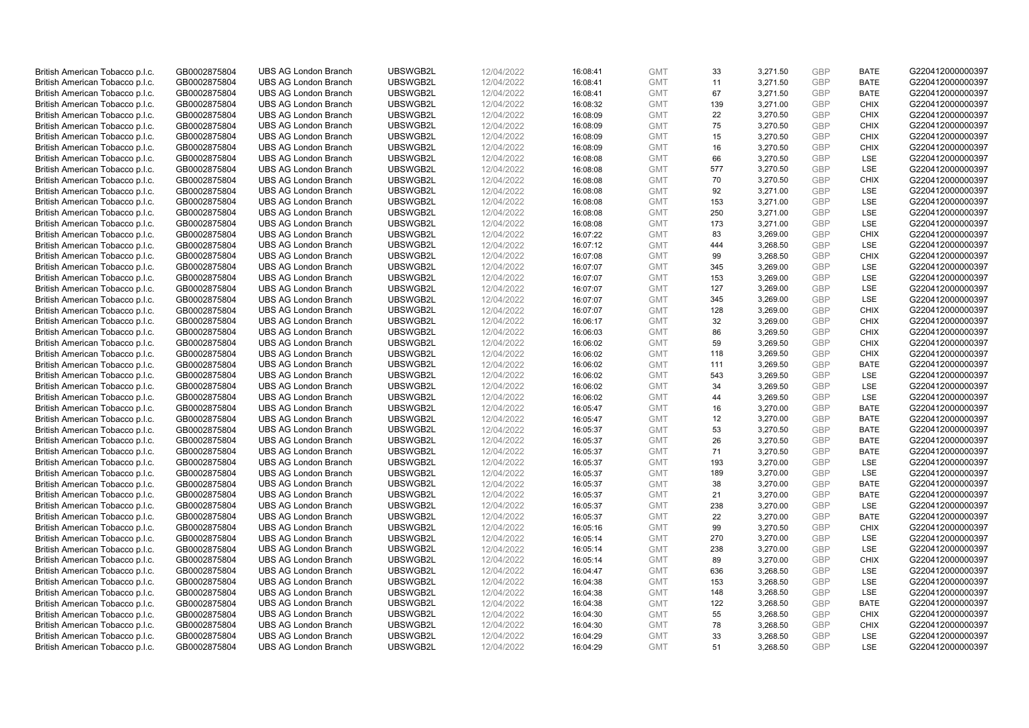| British American Tobacco p.l.c. | GB0002875804 | <b>UBS AG London Branch</b> | UBSWGB2L | 12/04/2022 | 16:08:41 | <b>GMT</b> | 33  | 3,271.50 | <b>GBP</b> | <b>BATE</b> | G220412000000397 |
|---------------------------------|--------------|-----------------------------|----------|------------|----------|------------|-----|----------|------------|-------------|------------------|
|                                 |              |                             |          |            |          |            |     |          |            |             |                  |
| British American Tobacco p.l.c. | GB0002875804 | <b>UBS AG London Branch</b> | UBSWGB2L | 12/04/2022 | 16:08:41 | <b>GMT</b> | 11  | 3,271.50 | <b>GBP</b> | <b>BATE</b> | G220412000000397 |
| British American Tobacco p.l.c. | GB0002875804 | <b>UBS AG London Branch</b> | UBSWGB2L | 12/04/2022 | 16:08:41 | <b>GMT</b> | 67  | 3,271.50 | <b>GBP</b> | <b>BATE</b> | G220412000000397 |
| British American Tobacco p.l.c. | GB0002875804 | <b>UBS AG London Branch</b> | UBSWGB2L | 12/04/2022 | 16:08:32 | <b>GMT</b> | 139 | 3,271.00 | <b>GBP</b> | <b>CHIX</b> | G220412000000397 |
| British American Tobacco p.l.c. | GB0002875804 | <b>UBS AG London Branch</b> | UBSWGB2L | 12/04/2022 | 16:08:09 | <b>GMT</b> | 22  | 3,270.50 | <b>GBP</b> | <b>CHIX</b> | G220412000000397 |
| British American Tobacco p.l.c. | GB0002875804 | <b>UBS AG London Branch</b> | UBSWGB2L | 12/04/2022 | 16:08:09 | <b>GMT</b> | 75  | 3,270.50 | <b>GBP</b> | <b>CHIX</b> | G220412000000397 |
| British American Tobacco p.l.c. | GB0002875804 | <b>UBS AG London Branch</b> | UBSWGB2L | 12/04/2022 | 16:08:09 | <b>GMT</b> | 15  | 3,270.50 | <b>GBP</b> | <b>CHIX</b> | G220412000000397 |
| British American Tobacco p.l.c. | GB0002875804 | <b>UBS AG London Branch</b> | UBSWGB2L | 12/04/2022 | 16:08:09 | <b>GMT</b> | 16  | 3,270.50 | <b>GBP</b> | <b>CHIX</b> | G220412000000397 |
| British American Tobacco p.l.c. | GB0002875804 | <b>UBS AG London Branch</b> | UBSWGB2L | 12/04/2022 | 16:08:08 | <b>GMT</b> | 66  | 3,270.50 | <b>GBP</b> | LSE         | G220412000000397 |
| British American Tobacco p.l.c. | GB0002875804 | <b>UBS AG London Branch</b> | UBSWGB2L | 12/04/2022 | 16:08:08 | <b>GMT</b> | 577 | 3,270.50 | <b>GBP</b> | LSE         | G220412000000397 |
| British American Tobacco p.l.c. | GB0002875804 | <b>UBS AG London Branch</b> | UBSWGB2L | 12/04/2022 | 16:08:08 | <b>GMT</b> | 70  | 3,270.50 | <b>GBP</b> | <b>CHIX</b> | G220412000000397 |
| British American Tobacco p.l.c. | GB0002875804 | <b>UBS AG London Branch</b> | UBSWGB2L | 12/04/2022 | 16:08:08 | <b>GMT</b> | 92  | 3,271.00 | <b>GBP</b> | LSE         | G220412000000397 |
| British American Tobacco p.l.c. | GB0002875804 | <b>UBS AG London Branch</b> | UBSWGB2L | 12/04/2022 | 16:08:08 | <b>GMT</b> | 153 | 3,271.00 | <b>GBP</b> | LSE         | G220412000000397 |
|                                 |              |                             |          |            |          |            |     |          | <b>GBP</b> |             |                  |
| British American Tobacco p.l.c. | GB0002875804 | <b>UBS AG London Branch</b> | UBSWGB2L | 12/04/2022 | 16:08:08 | <b>GMT</b> | 250 | 3,271.00 |            | <b>LSE</b>  | G220412000000397 |
| British American Tobacco p.l.c. | GB0002875804 | <b>UBS AG London Branch</b> | UBSWGB2L | 12/04/2022 | 16:08:08 | <b>GMT</b> | 173 | 3,271.00 | <b>GBP</b> | <b>LSE</b>  | G220412000000397 |
| British American Tobacco p.l.c. | GB0002875804 | <b>UBS AG London Branch</b> | UBSWGB2L | 12/04/2022 | 16:07:22 | <b>GMT</b> | 83  | 3,269.00 | <b>GBP</b> | <b>CHIX</b> | G220412000000397 |
| British American Tobacco p.l.c. | GB0002875804 | <b>UBS AG London Branch</b> | UBSWGB2L | 12/04/2022 | 16:07:12 | <b>GMT</b> | 444 | 3,268.50 | <b>GBP</b> | LSE         | G220412000000397 |
| British American Tobacco p.l.c. | GB0002875804 | <b>UBS AG London Branch</b> | UBSWGB2L | 12/04/2022 | 16:07:08 | <b>GMT</b> | 99  | 3,268.50 | <b>GBP</b> | <b>CHIX</b> | G220412000000397 |
| British American Tobacco p.l.c. | GB0002875804 | <b>UBS AG London Branch</b> | UBSWGB2L | 12/04/2022 | 16:07:07 | <b>GMT</b> | 345 | 3,269.00 | <b>GBP</b> | <b>LSE</b>  | G220412000000397 |
| British American Tobacco p.l.c. | GB0002875804 | <b>UBS AG London Branch</b> | UBSWGB2L | 12/04/2022 | 16:07:07 | <b>GMT</b> | 153 | 3,269.00 | <b>GBP</b> | LSE         | G220412000000397 |
| British American Tobacco p.l.c. | GB0002875804 | <b>UBS AG London Branch</b> | UBSWGB2L | 12/04/2022 | 16:07:07 | <b>GMT</b> | 127 | 3,269.00 | <b>GBP</b> | LSE         | G220412000000397 |
| British American Tobacco p.l.c. | GB0002875804 | <b>UBS AG London Branch</b> | UBSWGB2L | 12/04/2022 | 16:07:07 | <b>GMT</b> | 345 | 3,269.00 | <b>GBP</b> | LSE         | G220412000000397 |
| British American Tobacco p.l.c. | GB0002875804 | <b>UBS AG London Branch</b> | UBSWGB2L | 12/04/2022 | 16:07:07 | <b>GMT</b> | 128 | 3,269.00 | <b>GBP</b> | <b>CHIX</b> | G220412000000397 |
| British American Tobacco p.l.c. | GB0002875804 | <b>UBS AG London Branch</b> | UBSWGB2L | 12/04/2022 | 16:06:17 | <b>GMT</b> | 32  | 3,269.00 | <b>GBP</b> | <b>CHIX</b> | G220412000000397 |
| British American Tobacco p.l.c. | GB0002875804 | <b>UBS AG London Branch</b> | UBSWGB2L | 12/04/2022 | 16:06:03 | <b>GMT</b> | 86  | 3,269.50 | <b>GBP</b> | <b>CHIX</b> | G220412000000397 |
| British American Tobacco p.l.c. | GB0002875804 | <b>UBS AG London Branch</b> | UBSWGB2L | 12/04/2022 | 16:06:02 | <b>GMT</b> | 59  | 3,269.50 | <b>GBP</b> | <b>CHIX</b> | G220412000000397 |
| British American Tobacco p.l.c. | GB0002875804 | <b>UBS AG London Branch</b> | UBSWGB2L | 12/04/2022 | 16:06:02 | <b>GMT</b> | 118 | 3,269.50 | <b>GBP</b> | <b>CHIX</b> | G220412000000397 |
| British American Tobacco p.l.c. | GB0002875804 | <b>UBS AG London Branch</b> | UBSWGB2L | 12/04/2022 | 16:06:02 | <b>GMT</b> | 111 | 3,269.50 | <b>GBP</b> | <b>BATE</b> | G220412000000397 |
|                                 | GB0002875804 | <b>UBS AG London Branch</b> | UBSWGB2L | 12/04/2022 | 16:06:02 | <b>GMT</b> | 543 | 3,269.50 | <b>GBP</b> | LSE         | G220412000000397 |
| British American Tobacco p.l.c. |              |                             |          |            |          |            |     |          |            |             |                  |
| British American Tobacco p.l.c. | GB0002875804 | <b>UBS AG London Branch</b> | UBSWGB2L | 12/04/2022 | 16:06:02 | <b>GMT</b> | 34  | 3,269.50 | <b>GBP</b> | LSE         | G220412000000397 |
| British American Tobacco p.l.c. | GB0002875804 | <b>UBS AG London Branch</b> | UBSWGB2L | 12/04/2022 | 16:06:02 | <b>GMT</b> | 44  | 3,269.50 | <b>GBP</b> | LSE         | G220412000000397 |
| British American Tobacco p.l.c. | GB0002875804 | <b>UBS AG London Branch</b> | UBSWGB2L | 12/04/2022 | 16:05:47 | <b>GMT</b> | 16  | 3,270.00 | <b>GBP</b> | <b>BATE</b> | G220412000000397 |
| British American Tobacco p.l.c. | GB0002875804 | <b>UBS AG London Branch</b> | UBSWGB2L | 12/04/2022 | 16:05:47 | <b>GMT</b> | 12  | 3,270.00 | <b>GBP</b> | <b>BATE</b> | G220412000000397 |
| British American Tobacco p.l.c. | GB0002875804 | <b>UBS AG London Branch</b> | UBSWGB2L | 12/04/2022 | 16:05:37 | <b>GMT</b> | 53  | 3,270.50 | <b>GBP</b> | <b>BATE</b> | G220412000000397 |
| British American Tobacco p.l.c. | GB0002875804 | UBS AG London Branch        | UBSWGB2L | 12/04/2022 | 16:05:37 | <b>GMT</b> | 26  | 3,270.50 | <b>GBP</b> | <b>BATE</b> | G220412000000397 |
| British American Tobacco p.l.c. | GB0002875804 | <b>UBS AG London Branch</b> | UBSWGB2L | 12/04/2022 | 16:05:37 | <b>GMT</b> | 71  | 3,270.50 | <b>GBP</b> | <b>BATE</b> | G220412000000397 |
| British American Tobacco p.l.c. | GB0002875804 | <b>UBS AG London Branch</b> | UBSWGB2L | 12/04/2022 | 16:05:37 | <b>GMT</b> | 193 | 3.270.00 | <b>GBP</b> | <b>LSE</b>  | G220412000000397 |
| British American Tobacco p.l.c. | GB0002875804 | <b>UBS AG London Branch</b> | UBSWGB2L | 12/04/2022 | 16:05:37 | <b>GMT</b> | 189 | 3,270.00 | <b>GBP</b> | LSE         | G220412000000397 |
| British American Tobacco p.l.c. | GB0002875804 | <b>UBS AG London Branch</b> | UBSWGB2L | 12/04/2022 | 16:05:37 | <b>GMT</b> | 38  | 3,270.00 | <b>GBP</b> | <b>BATE</b> | G220412000000397 |
| British American Tobacco p.l.c. | GB0002875804 | <b>UBS AG London Branch</b> | UBSWGB2L | 12/04/2022 | 16:05:37 | <b>GMT</b> | 21  | 3,270.00 | <b>GBP</b> | <b>BATE</b> | G220412000000397 |
| British American Tobacco p.l.c. | GB0002875804 | <b>UBS AG London Branch</b> | UBSWGB2L | 12/04/2022 | 16:05:37 | <b>GMT</b> | 238 | 3,270.00 | <b>GBP</b> | LSE         | G220412000000397 |
| British American Tobacco p.l.c. | GB0002875804 | <b>UBS AG London Branch</b> | UBSWGB2L | 12/04/2022 | 16:05:37 | <b>GMT</b> | 22  | 3,270.00 | <b>GBP</b> | <b>BATE</b> | G220412000000397 |
| British American Tobacco p.l.c. | GB0002875804 | <b>UBS AG London Branch</b> | UBSWGB2L | 12/04/2022 | 16:05:16 | <b>GMT</b> | 99  | 3,270.50 | <b>GBP</b> | <b>CHIX</b> | G220412000000397 |
| British American Tobacco p.l.c. | GB0002875804 | <b>UBS AG London Branch</b> | UBSWGB2L | 12/04/2022 | 16:05:14 | <b>GMT</b> | 270 | 3,270.00 | <b>GBP</b> | LSE         | G220412000000397 |
|                                 | GB0002875804 | <b>UBS AG London Branch</b> | UBSWGB2L |            | 16:05:14 | <b>GMT</b> | 238 | 3,270.00 | <b>GBP</b> | LSE         | G220412000000397 |
| British American Tobacco p.l.c. |              |                             |          | 12/04/2022 |          |            |     |          | <b>GBP</b> |             |                  |
| British American Tobacco p.l.c. | GB0002875804 | <b>UBS AG London Branch</b> | UBSWGB2L | 12/04/2022 | 16:05:14 | <b>GMT</b> | 89  | 3,270.00 |            | <b>CHIX</b> | G220412000000397 |
| British American Tobacco p.l.c. | GB0002875804 | <b>UBS AG London Branch</b> | UBSWGB2L | 12/04/2022 | 16:04:47 | <b>GMT</b> | 636 | 3,268.50 | <b>GBP</b> | LSE         | G220412000000397 |
| British American Tobacco p.l.c. | GB0002875804 | <b>UBS AG London Branch</b> | UBSWGB2L | 12/04/2022 | 16:04:38 | <b>GMT</b> | 153 | 3,268.50 | <b>GBP</b> | LSE         | G220412000000397 |
| British American Tobacco p.l.c. | GB0002875804 | <b>UBS AG London Branch</b> | UBSWGB2L | 12/04/2022 | 16:04:38 | <b>GMT</b> | 148 | 3,268.50 | <b>GBP</b> | LSE         | G220412000000397 |
| British American Tobacco p.l.c. | GB0002875804 | <b>UBS AG London Branch</b> | UBSWGB2L | 12/04/2022 | 16:04:38 | <b>GMT</b> | 122 | 3,268.50 | <b>GBP</b> | <b>BATE</b> | G220412000000397 |
| British American Tobacco p.l.c. | GB0002875804 | <b>UBS AG London Branch</b> | UBSWGB2L | 12/04/2022 | 16:04:30 | <b>GMT</b> | 55  | 3,268.50 | <b>GBP</b> | <b>CHIX</b> | G220412000000397 |
| British American Tobacco p.l.c. | GB0002875804 | <b>UBS AG London Branch</b> | UBSWGB2L | 12/04/2022 | 16:04:30 | <b>GMT</b> | 78  | 3,268.50 | <b>GBP</b> | <b>CHIX</b> | G220412000000397 |
| British American Tobacco p.l.c. | GB0002875804 | <b>UBS AG London Branch</b> | UBSWGB2L | 12/04/2022 | 16:04:29 | <b>GMT</b> | 33  | 3,268.50 | <b>GBP</b> | LSE         | G220412000000397 |
| British American Tobacco p.l.c. | GB0002875804 | <b>UBS AG London Branch</b> | UBSWGB2L | 12/04/2022 | 16:04:29 | <b>GMT</b> | 51  | 3,268.50 | GBP        | <b>LSE</b>  | G220412000000397 |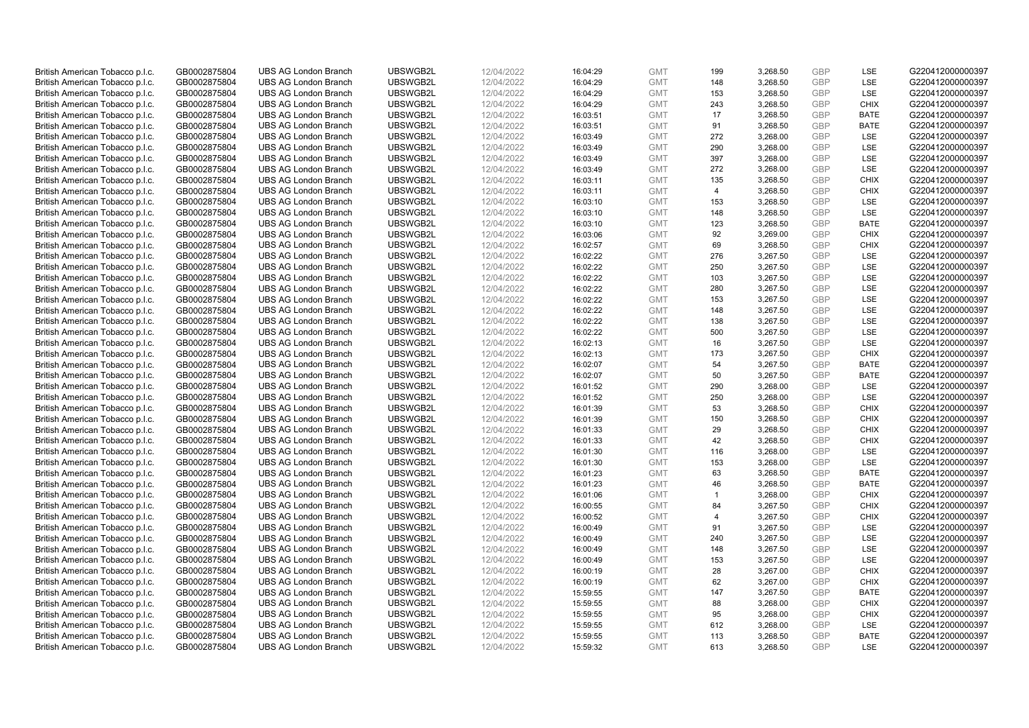| British American Tobacco p.l.c. | GB0002875804                 | <b>UBS AG London Branch</b> | UBSWGB2L | 12/04/2022               | 16:04:29 | <b>GMT</b> | 199            | 3,268.50 | <b>GBP</b> | <b>LSE</b>  | G220412000000397 |
|---------------------------------|------------------------------|-----------------------------|----------|--------------------------|----------|------------|----------------|----------|------------|-------------|------------------|
| British American Tobacco p.l.c. | GB0002875804                 | <b>UBS AG London Branch</b> | UBSWGB2L | 12/04/2022               | 16:04:29 | <b>GMT</b> | 148            | 3,268.50 | <b>GBP</b> | LSE         | G220412000000397 |
|                                 |                              | <b>UBS AG London Branch</b> | UBSWGB2L |                          |          | <b>GMT</b> | 153            | 3,268.50 | <b>GBP</b> | LSE         | G220412000000397 |
| British American Tobacco p.l.c. | GB0002875804                 |                             |          | 12/04/2022               | 16:04:29 |            |                |          |            |             |                  |
| British American Tobacco p.l.c. | GB0002875804                 | <b>UBS AG London Branch</b> | UBSWGB2L | 12/04/2022               | 16:04:29 | <b>GMT</b> | 243            | 3,268.50 | <b>GBP</b> | <b>CHIX</b> | G220412000000397 |
| British American Tobacco p.l.c. | GB0002875804                 | <b>UBS AG London Branch</b> | UBSWGB2L | 12/04/2022               | 16:03:51 | <b>GMT</b> | 17             | 3,268.50 | <b>GBP</b> | <b>BATE</b> | G220412000000397 |
| British American Tobacco p.l.c. | GB0002875804                 | <b>UBS AG London Branch</b> | UBSWGB2L | 12/04/2022               | 16:03:51 | <b>GMT</b> | 91             | 3,268.50 | <b>GBP</b> | BATE        | G220412000000397 |
| British American Tobacco p.l.c. | GB0002875804                 | <b>UBS AG London Branch</b> | UBSWGB2L | 12/04/2022               | 16:03:49 | <b>GMT</b> | 272            | 3,268.00 | <b>GBP</b> | LSE         | G220412000000397 |
| British American Tobacco p.l.c. | GB0002875804                 | <b>UBS AG London Branch</b> | UBSWGB2L | 12/04/2022               | 16:03:49 | <b>GMT</b> | 290            | 3,268.00 | <b>GBP</b> | LSE         | G220412000000397 |
| British American Tobacco p.l.c. | GB0002875804                 | <b>UBS AG London Branch</b> | UBSWGB2L | 12/04/2022               | 16:03:49 | <b>GMT</b> | 397            | 3,268.00 | <b>GBP</b> | LSE         | G220412000000397 |
| British American Tobacco p.l.c. | GB0002875804                 | <b>UBS AG London Branch</b> | UBSWGB2L | 12/04/2022               | 16:03:49 | <b>GMT</b> | 272            | 3,268.00 | <b>GBP</b> | LSE         | G220412000000397 |
| British American Tobacco p.l.c. | GB0002875804                 | <b>UBS AG London Branch</b> | UBSWGB2L | 12/04/2022               | 16:03:11 | <b>GMT</b> | 135            | 3,268.50 | <b>GBP</b> | <b>CHIX</b> | G220412000000397 |
| British American Tobacco p.l.c. | GB0002875804                 | <b>UBS AG London Branch</b> | UBSWGB2L | 12/04/2022               | 16:03:11 | <b>GMT</b> | $\overline{4}$ | 3,268.50 | <b>GBP</b> | <b>CHIX</b> | G220412000000397 |
| British American Tobacco p.l.c. | GB0002875804                 | <b>UBS AG London Branch</b> | UBSWGB2L | 12/04/2022               | 16:03:10 | <b>GMT</b> | 153            | 3,268.50 | <b>GBP</b> | LSE         | G220412000000397 |
| British American Tobacco p.l.c. | GB0002875804                 | <b>UBS AG London Branch</b> | UBSWGB2L | 12/04/2022               | 16:03:10 | <b>GMT</b> | 148            | 3,268.50 | <b>GBP</b> | <b>LSE</b>  | G220412000000397 |
| British American Tobacco p.l.c. | GB0002875804                 | <b>UBS AG London Branch</b> | UBSWGB2L | 12/04/2022               | 16:03:10 | <b>GMT</b> | 123            | 3,268.50 | <b>GBP</b> | <b>BATE</b> | G220412000000397 |
| British American Tobacco p.l.c. | GB0002875804                 | <b>UBS AG London Branch</b> | UBSWGB2L | 12/04/2022               | 16:03:06 | <b>GMT</b> | 92             | 3,269.00 | <b>GBP</b> | <b>CHIX</b> | G220412000000397 |
| British American Tobacco p.l.c. | GB0002875804                 | <b>UBS AG London Branch</b> | UBSWGB2L | 12/04/2022               | 16:02:57 | <b>GMT</b> | 69             | 3,268.50 | <b>GBP</b> | <b>CHIX</b> | G220412000000397 |
| British American Tobacco p.l.c. | GB0002875804                 | <b>UBS AG London Branch</b> | UBSWGB2L | 12/04/2022               | 16:02:22 | <b>GMT</b> | 276            | 3,267.50 | <b>GBP</b> | LSE         | G220412000000397 |
|                                 |                              | <b>UBS AG London Branch</b> | UBSWGB2L |                          | 16:02:22 | <b>GMT</b> | 250            | 3,267.50 | <b>GBP</b> | <b>LSE</b>  | G220412000000397 |
| British American Tobacco p.l.c. | GB0002875804<br>GB0002875804 | <b>UBS AG London Branch</b> | UBSWGB2L | 12/04/2022<br>12/04/2022 | 16:02:22 | <b>GMT</b> |                |          | <b>GBP</b> | LSE         | G220412000000397 |
| British American Tobacco p.l.c. |                              |                             |          |                          |          |            | 103            | 3,267.50 |            |             |                  |
| British American Tobacco p.l.c. | GB0002875804                 | <b>UBS AG London Branch</b> | UBSWGB2L | 12/04/2022               | 16:02:22 | <b>GMT</b> | 280            | 3,267.50 | <b>GBP</b> | LSE         | G220412000000397 |
| British American Tobacco p.l.c. | GB0002875804                 | <b>UBS AG London Branch</b> | UBSWGB2L | 12/04/2022               | 16:02:22 | <b>GMT</b> | 153            | 3,267.50 | <b>GBP</b> | LSE         | G220412000000397 |
| British American Tobacco p.l.c. | GB0002875804                 | <b>UBS AG London Branch</b> | UBSWGB2L | 12/04/2022               | 16:02:22 | <b>GMT</b> | 148            | 3,267.50 | <b>GBP</b> | LSE         | G220412000000397 |
| British American Tobacco p.l.c. | GB0002875804                 | <b>UBS AG London Branch</b> | UBSWGB2L | 12/04/2022               | 16:02:22 | <b>GMT</b> | 138            | 3,267.50 | <b>GBP</b> | <b>LSE</b>  | G220412000000397 |
| British American Tobacco p.l.c. | GB0002875804                 | <b>UBS AG London Branch</b> | UBSWGB2L | 12/04/2022               | 16:02:22 | <b>GMT</b> | 500            | 3,267.50 | <b>GBP</b> | LSE         | G220412000000397 |
| British American Tobacco p.l.c. | GB0002875804                 | <b>UBS AG London Branch</b> | UBSWGB2L | 12/04/2022               | 16:02:13 | <b>GMT</b> | 16             | 3,267.50 | <b>GBP</b> | LSE         | G220412000000397 |
| British American Tobacco p.l.c. | GB0002875804                 | <b>UBS AG London Branch</b> | UBSWGB2L | 12/04/2022               | 16:02:13 | <b>GMT</b> | 173            | 3,267.50 | <b>GBP</b> | <b>CHIX</b> | G220412000000397 |
| British American Tobacco p.l.c. | GB0002875804                 | <b>UBS AG London Branch</b> | UBSWGB2L | 12/04/2022               | 16:02:07 | <b>GMT</b> | 54             | 3,267.50 | <b>GBP</b> | <b>BATE</b> | G220412000000397 |
| British American Tobacco p.l.c. | GB0002875804                 | <b>UBS AG London Branch</b> | UBSWGB2L | 12/04/2022               | 16:02:07 | <b>GMT</b> | 50             | 3,267.50 | <b>GBP</b> | <b>BATE</b> | G220412000000397 |
| British American Tobacco p.l.c. | GB0002875804                 | UBS AG London Branch        | UBSWGB2L | 12/04/2022               | 16:01:52 | <b>GMT</b> | 290            | 3,268.00 | <b>GBP</b> | LSE         | G220412000000397 |
| British American Tobacco p.l.c. | GB0002875804                 | <b>UBS AG London Branch</b> | UBSWGB2L | 12/04/2022               | 16:01:52 | <b>GMT</b> | 250            | 3,268.00 | <b>GBP</b> | LSE         | G220412000000397 |
| British American Tobacco p.l.c. | GB0002875804                 | <b>UBS AG London Branch</b> | UBSWGB2L | 12/04/2022               | 16:01:39 | <b>GMT</b> | 53             | 3,268.50 | <b>GBP</b> | <b>CHIX</b> | G220412000000397 |
| British American Tobacco p.l.c. | GB0002875804                 | <b>UBS AG London Branch</b> | UBSWGB2L | 12/04/2022               | 16:01:39 | <b>GMT</b> | 150            | 3,268.50 | <b>GBP</b> | <b>CHIX</b> | G220412000000397 |
| British American Tobacco p.l.c. | GB0002875804                 | <b>UBS AG London Branch</b> | UBSWGB2L | 12/04/2022               | 16:01:33 | <b>GMT</b> | 29             | 3,268.50 | <b>GBP</b> | <b>CHIX</b> | G220412000000397 |
| British American Tobacco p.l.c. | GB0002875804                 | <b>UBS AG London Branch</b> | UBSWGB2L | 12/04/2022               | 16:01:33 | <b>GMT</b> | 42             | 3,268.50 | <b>GBP</b> | <b>CHIX</b> | G220412000000397 |
| British American Tobacco p.l.c. | GB0002875804                 | <b>UBS AG London Branch</b> | UBSWGB2L | 12/04/2022               | 16:01:30 | <b>GMT</b> | 116            | 3,268.00 | <b>GBP</b> | LSE         | G220412000000397 |
| British American Tobacco p.l.c. | GB0002875804                 | <b>UBS AG London Branch</b> | UBSWGB2L | 12/04/2022               | 16:01:30 | <b>GMT</b> | 153            | 3,268.00 | <b>GBP</b> | LSE         | G220412000000397 |
| British American Tobacco p.l.c. | GB0002875804                 | <b>UBS AG London Branch</b> | UBSWGB2L | 12/04/2022               | 16:01:23 | <b>GMT</b> | 63             | 3,268.50 | <b>GBP</b> | <b>BATE</b> | G220412000000397 |
| British American Tobacco p.l.c. | GB0002875804                 | <b>UBS AG London Branch</b> | UBSWGB2L | 12/04/2022               | 16:01:23 | <b>GMT</b> | 46             | 3,268.50 | <b>GBP</b> | <b>BATE</b> | G220412000000397 |
| British American Tobacco p.l.c. | GB0002875804                 | UBS AG London Branch        | UBSWGB2L | 12/04/2022               | 16:01:06 | <b>GMT</b> | $\mathbf{1}$   | 3,268.00 | <b>GBP</b> | <b>CHIX</b> | G220412000000397 |
| British American Tobacco p.l.c. | GB0002875804                 | <b>UBS AG London Branch</b> | UBSWGB2L | 12/04/2022               | 16:00:55 | <b>GMT</b> | 84             | 3,267.50 | <b>GBP</b> | <b>CHIX</b> | G220412000000397 |
| British American Tobacco p.l.c. | GB0002875804                 | <b>UBS AG London Branch</b> | UBSWGB2L | 12/04/2022               | 16:00:52 | <b>GMT</b> | $\overline{4}$ | 3,267.50 | <b>GBP</b> | <b>CHIX</b> | G220412000000397 |
| British American Tobacco p.l.c. | GB0002875804                 | <b>UBS AG London Branch</b> | UBSWGB2L | 12/04/2022               | 16:00:49 | <b>GMT</b> | 91             | 3,267.50 | <b>GBP</b> | LSE         | G220412000000397 |
| British American Tobacco p.l.c. | GB0002875804                 | <b>UBS AG London Branch</b> | UBSWGB2L | 12/04/2022               | 16:00:49 | <b>GMT</b> | 240            | 3,267.50 | <b>GBP</b> | LSE         | G220412000000397 |
| British American Tobacco p.l.c. | GB0002875804                 | UBS AG London Branch        | UBSWGB2L | 12/04/2022               | 16:00:49 | <b>GMT</b> | 148            | 3,267.50 | <b>GBP</b> | LSE         | G220412000000397 |
| British American Tobacco p.l.c. | GB0002875804                 | <b>UBS AG London Branch</b> | UBSWGB2L | 12/04/2022               | 16:00:49 | <b>GMT</b> | 153            | 3,267.50 | <b>GBP</b> | LSE         | G220412000000397 |
| British American Tobacco p.l.c. | GB0002875804                 | <b>UBS AG London Branch</b> | UBSWGB2L | 12/04/2022               | 16:00:19 | <b>GMT</b> | 28             | 3,267.00 | <b>GBP</b> | <b>CHIX</b> | G220412000000397 |
| British American Tobacco p.l.c. | GB0002875804                 | <b>UBS AG London Branch</b> | UBSWGB2L | 12/04/2022               | 16:00:19 | <b>GMT</b> | 62             | 3,267.00 | <b>GBP</b> | <b>CHIX</b> | G220412000000397 |
|                                 |                              |                             |          |                          |          |            |                |          | <b>GBP</b> |             |                  |
| British American Tobacco p.l.c. | GB0002875804                 | <b>UBS AG London Branch</b> | UBSWGB2L | 12/04/2022               | 15:59:55 | GMT        | 147            | 3,267.50 | <b>GBP</b> | <b>BATE</b> | G220412000000397 |
| British American Tobacco p.l.c. | GB0002875804                 | <b>UBS AG London Branch</b> | UBSWGB2L | 12/04/2022               | 15:59:55 | <b>GMT</b> | 88             | 3,268.00 |            | <b>CHIX</b> | G220412000000397 |
| British American Tobacco p.l.c. | GB0002875804                 | <b>UBS AG London Branch</b> | UBSWGB2L | 12/04/2022               | 15:59:55 | <b>GMT</b> | 95             | 3,268.00 | <b>GBP</b> | <b>CHIX</b> | G220412000000397 |
| British American Tobacco p.l.c. | GB0002875804                 | <b>UBS AG London Branch</b> | UBSWGB2L | 12/04/2022               | 15:59:55 | <b>GMT</b> | 612            | 3,268.00 | <b>GBP</b> | LSE         | G220412000000397 |
| British American Tobacco p.l.c. | GB0002875804                 | <b>UBS AG London Branch</b> | UBSWGB2L | 12/04/2022               | 15:59:55 | <b>GMT</b> | 113            | 3,268.50 | <b>GBP</b> | <b>BATE</b> | G220412000000397 |
| British American Tobacco p.l.c. | GB0002875804                 | <b>UBS AG London Branch</b> | UBSWGB2L | 12/04/2022               | 15:59:32 | <b>GMT</b> | 613            | 3,268.50 | GBP        | <b>LSE</b>  | G220412000000397 |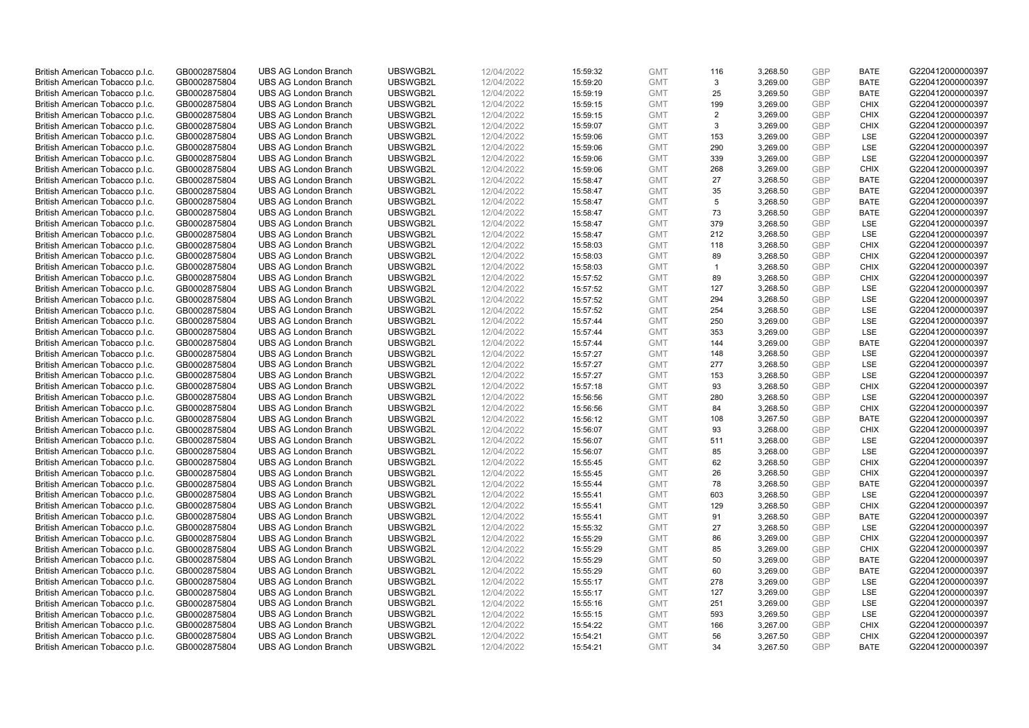| British American Tobacco p.l.c. | GB0002875804 | <b>UBS AG London Branch</b> | UBSWGB2L | 12/04/2022 | 15:59:32 | <b>GMT</b> | 116            | 3,268.50 | <b>GBP</b> | <b>BATE</b> | G220412000000397 |
|---------------------------------|--------------|-----------------------------|----------|------------|----------|------------|----------------|----------|------------|-------------|------------------|
| British American Tobacco p.l.c. | GB0002875804 | <b>UBS AG London Branch</b> | UBSWGB2L | 12/04/2022 | 15:59:20 | <b>GMT</b> | 3              | 3,269.00 | <b>GBP</b> | <b>BATE</b> | G220412000000397 |
|                                 |              | <b>UBS AG London Branch</b> | UBSWGB2L |            |          | <b>GMT</b> | 25             | 3,269.50 | <b>GBP</b> | <b>BATE</b> | G220412000000397 |
| British American Tobacco p.l.c. | GB0002875804 |                             |          | 12/04/2022 | 15:59:19 |            |                |          |            |             |                  |
| British American Tobacco p.l.c. | GB0002875804 | <b>UBS AG London Branch</b> | UBSWGB2L | 12/04/2022 | 15:59:15 | <b>GMT</b> | 199            | 3,269.00 | <b>GBP</b> | <b>CHIX</b> | G220412000000397 |
| British American Tobacco p.l.c. | GB0002875804 | <b>UBS AG London Branch</b> | UBSWGB2L | 12/04/2022 | 15:59:15 | <b>GMT</b> | 2              | 3,269.00 | <b>GBP</b> | <b>CHIX</b> | G220412000000397 |
| British American Tobacco p.l.c. | GB0002875804 | <b>UBS AG London Branch</b> | UBSWGB2L | 12/04/2022 | 15:59:07 | <b>GMT</b> | 3              | 3,269.00 | <b>GBP</b> | <b>CHIX</b> | G220412000000397 |
| British American Tobacco p.l.c. | GB0002875804 | <b>UBS AG London Branch</b> | UBSWGB2L | 12/04/2022 | 15:59:06 | <b>GMT</b> | 153            | 3,269.00 | <b>GBP</b> | LSE         | G220412000000397 |
| British American Tobacco p.l.c. | GB0002875804 | <b>UBS AG London Branch</b> | UBSWGB2L | 12/04/2022 | 15:59:06 | <b>GMT</b> | 290            | 3,269.00 | <b>GBP</b> | LSE         | G220412000000397 |
| British American Tobacco p.l.c. | GB0002875804 | <b>UBS AG London Branch</b> | UBSWGB2L | 12/04/2022 | 15:59:06 | <b>GMT</b> | 339            | 3,269.00 | <b>GBP</b> | LSE         | G220412000000397 |
| British American Tobacco p.l.c. | GB0002875804 | <b>UBS AG London Branch</b> | UBSWGB2L | 12/04/2022 | 15:59:06 | <b>GMT</b> | 268            | 3,269.00 | <b>GBP</b> | <b>CHIX</b> | G220412000000397 |
| British American Tobacco p.l.c. | GB0002875804 | <b>UBS AG London Branch</b> | UBSWGB2L | 12/04/2022 | 15:58:47 | <b>GMT</b> | 27             | 3,268.50 | <b>GBP</b> | <b>BATE</b> | G220412000000397 |
| British American Tobacco p.l.c. | GB0002875804 | <b>UBS AG London Branch</b> | UBSWGB2L | 12/04/2022 | 15:58:47 | <b>GMT</b> | 35             | 3,268.50 | <b>GBP</b> | <b>BATE</b> | G220412000000397 |
| British American Tobacco p.l.c. | GB0002875804 | <b>UBS AG London Branch</b> | UBSWGB2L | 12/04/2022 | 15:58:47 | <b>GMT</b> | 5              | 3,268.50 | <b>GBP</b> | <b>BATE</b> | G220412000000397 |
| British American Tobacco p.l.c. | GB0002875804 | <b>UBS AG London Branch</b> | UBSWGB2L | 12/04/2022 | 15:58:47 | <b>GMT</b> | 73             | 3,268.50 | <b>GBP</b> | <b>BATE</b> | G220412000000397 |
| British American Tobacco p.l.c. | GB0002875804 | <b>UBS AG London Branch</b> | UBSWGB2L | 12/04/2022 | 15:58:47 | <b>GMT</b> | 379            | 3,268.50 | <b>GBP</b> | LSE         | G220412000000397 |
| British American Tobacco p.l.c. | GB0002875804 | <b>UBS AG London Branch</b> | UBSWGB2L | 12/04/2022 | 15:58:47 | <b>GMT</b> | 212            | 3,268.50 | <b>GBP</b> | LSE         | G220412000000397 |
| British American Tobacco p.l.c. | GB0002875804 | <b>UBS AG London Branch</b> | UBSWGB2L | 12/04/2022 | 15:58:03 | <b>GMT</b> | 118            | 3,268.50 | <b>GBP</b> | <b>CHIX</b> | G220412000000397 |
| British American Tobacco p.l.c. | GB0002875804 | <b>UBS AG London Branch</b> | UBSWGB2L | 12/04/2022 | 15:58:03 | <b>GMT</b> | 89             | 3,268.50 | <b>GBP</b> | <b>CHIX</b> | G220412000000397 |
| British American Tobacco p.l.c. | GB0002875804 | <b>UBS AG London Branch</b> | UBSWGB2L | 12/04/2022 | 15:58:03 | <b>GMT</b> | $\overline{1}$ | 3,268.50 | <b>GBP</b> | <b>CHIX</b> | G220412000000397 |
| British American Tobacco p.l.c. | GB0002875804 | <b>UBS AG London Branch</b> | UBSWGB2L | 12/04/2022 | 15:57:52 | <b>GMT</b> | 89             | 3,268.50 | <b>GBP</b> | <b>CHIX</b> | G220412000000397 |
| British American Tobacco p.l.c. | GB0002875804 | <b>UBS AG London Branch</b> | UBSWGB2L | 12/04/2022 | 15:57:52 | <b>GMT</b> | 127            | 3,268.50 | <b>GBP</b> | LSE         | G220412000000397 |
| British American Tobacco p.l.c. | GB0002875804 | <b>UBS AG London Branch</b> | UBSWGB2L | 12/04/2022 | 15:57:52 | <b>GMT</b> | 294            | 3,268.50 | <b>GBP</b> | LSE         | G220412000000397 |
| British American Tobacco p.l.c. | GB0002875804 | <b>UBS AG London Branch</b> | UBSWGB2L | 12/04/2022 | 15:57:52 | <b>GMT</b> | 254            | 3,268.50 | <b>GBP</b> | LSE         | G220412000000397 |
| British American Tobacco p.l.c. | GB0002875804 | <b>UBS AG London Branch</b> | UBSWGB2L | 12/04/2022 | 15:57:44 | <b>GMT</b> | 250            | 3,269.00 | <b>GBP</b> | <b>LSE</b>  | G220412000000397 |
| British American Tobacco p.l.c. | GB0002875804 | <b>UBS AG London Branch</b> | UBSWGB2L | 12/04/2022 | 15:57:44 | <b>GMT</b> | 353            | 3,269.00 | <b>GBP</b> | LSE         | G220412000000397 |
| British American Tobacco p.l.c. | GB0002875804 | <b>UBS AG London Branch</b> | UBSWGB2L | 12/04/2022 | 15:57:44 | <b>GMT</b> | 144            | 3,269.00 | <b>GBP</b> | <b>BATE</b> | G220412000000397 |
| British American Tobacco p.l.c. | GB0002875804 | <b>UBS AG London Branch</b> | UBSWGB2L | 12/04/2022 | 15:57:27 | <b>GMT</b> | 148            | 3,268.50 | <b>GBP</b> | <b>LSE</b>  | G220412000000397 |
|                                 |              |                             | UBSWGB2L | 12/04/2022 |          | <b>GMT</b> | 277            | 3,268.50 | <b>GBP</b> | LSE         |                  |
| British American Tobacco p.l.c. | GB0002875804 | <b>UBS AG London Branch</b> |          |            | 15:57:27 |            |                |          |            |             | G220412000000397 |
| British American Tobacco p.l.c. | GB0002875804 | <b>UBS AG London Branch</b> | UBSWGB2L | 12/04/2022 | 15:57:27 | <b>GMT</b> | 153            | 3,268.50 | <b>GBP</b> | LSE         | G220412000000397 |
| British American Tobacco p.l.c. | GB0002875804 | UBS AG London Branch        | UBSWGB2L | 12/04/2022 | 15:57:18 | <b>GMT</b> | 93             | 3,268.50 | <b>GBP</b> | <b>CHIX</b> | G220412000000397 |
| British American Tobacco p.l.c. | GB0002875804 | <b>UBS AG London Branch</b> | UBSWGB2L | 12/04/2022 | 15:56:56 | <b>GMT</b> | 280            | 3,268.50 | <b>GBP</b> | <b>LSE</b>  | G220412000000397 |
| British American Tobacco p.l.c. | GB0002875804 | <b>UBS AG London Branch</b> | UBSWGB2L | 12/04/2022 | 15:56:56 | <b>GMT</b> | 84             | 3,268.50 | <b>GBP</b> | <b>CHIX</b> | G220412000000397 |
| British American Tobacco p.l.c. | GB0002875804 | <b>UBS AG London Branch</b> | UBSWGB2L | 12/04/2022 | 15:56:12 | <b>GMT</b> | 108            | 3,267.50 | <b>GBP</b> | <b>BATE</b> | G220412000000397 |
| British American Tobacco p.l.c. | GB0002875804 | <b>UBS AG London Branch</b> | UBSWGB2L | 12/04/2022 | 15:56:07 | <b>GMT</b> | 93             | 3,268.00 | <b>GBP</b> | <b>CHIX</b> | G220412000000397 |
| British American Tobacco p.l.c. | GB0002875804 | <b>UBS AG London Branch</b> | UBSWGB2L | 12/04/2022 | 15:56:07 | <b>GMT</b> | 511            | 3,268.00 | <b>GBP</b> | LSE         | G220412000000397 |
| British American Tobacco p.l.c. | GB0002875804 | <b>UBS AG London Branch</b> | UBSWGB2L | 12/04/2022 | 15:56:07 | <b>GMT</b> | 85             | 3,268.00 | <b>GBP</b> | LSE         | G220412000000397 |
| British American Tobacco p.l.c. | GB0002875804 | <b>UBS AG London Branch</b> | UBSWGB2L | 12/04/2022 | 15:55:45 | <b>GMT</b> | 62             | 3,268.50 | <b>GBP</b> | <b>CHIX</b> | G220412000000397 |
| British American Tobacco p.l.c. | GB0002875804 | <b>UBS AG London Branch</b> | UBSWGB2L | 12/04/2022 | 15:55:45 | <b>GMT</b> | 26             | 3,268.50 | <b>GBP</b> | <b>CHIX</b> | G220412000000397 |
| British American Tobacco p.l.c. | GB0002875804 | <b>UBS AG London Branch</b> | UBSWGB2L | 12/04/2022 | 15:55:44 | <b>GMT</b> | 78             | 3,268.50 | <b>GBP</b> | <b>BATE</b> | G220412000000397 |
| British American Tobacco p.l.c. | GB0002875804 | UBS AG London Branch        | UBSWGB2L | 12/04/2022 | 15:55:41 | <b>GMT</b> | 603            | 3,268.50 | <b>GBP</b> | <b>LSE</b>  | G220412000000397 |
| British American Tobacco p.l.c. | GB0002875804 | <b>UBS AG London Branch</b> | UBSWGB2L | 12/04/2022 | 15:55:41 | <b>GMT</b> | 129            | 3,268.50 | <b>GBP</b> | <b>CHIX</b> | G220412000000397 |
| British American Tobacco p.l.c. | GB0002875804 | <b>UBS AG London Branch</b> | UBSWGB2L | 12/04/2022 | 15:55:41 | <b>GMT</b> | 91             | 3,268.50 | <b>GBP</b> | <b>BATE</b> | G220412000000397 |
| British American Tobacco p.l.c. | GB0002875804 | <b>UBS AG London Branch</b> | UBSWGB2L | 12/04/2022 | 15:55:32 | <b>GMT</b> | 27             | 3,268.50 | <b>GBP</b> | LSE         | G220412000000397 |
| British American Tobacco p.l.c. | GB0002875804 | <b>UBS AG London Branch</b> | UBSWGB2L | 12/04/2022 | 15:55:29 | <b>GMT</b> | 86             | 3,269.00 | <b>GBP</b> | <b>CHIX</b> | G220412000000397 |
| British American Tobacco p.l.c. | GB0002875804 | UBS AG London Branch        | UBSWGB2L | 12/04/2022 | 15:55:29 | <b>GMT</b> | 85             | 3,269.00 | <b>GBP</b> | <b>CHIX</b> | G220412000000397 |
| British American Tobacco p.l.c. | GB0002875804 | <b>UBS AG London Branch</b> | UBSWGB2L | 12/04/2022 | 15:55:29 | <b>GMT</b> | 50             | 3,269.00 | <b>GBP</b> | <b>BATE</b> | G220412000000397 |
| British American Tobacco p.l.c. | GB0002875804 | <b>UBS AG London Branch</b> | UBSWGB2L | 12/04/2022 | 15:55:29 | <b>GMT</b> | 60             | 3,269.00 | <b>GBP</b> | <b>BATE</b> | G220412000000397 |
| British American Tobacco p.l.c. | GB0002875804 | <b>UBS AG London Branch</b> | UBSWGB2L | 12/04/2022 | 15:55:17 | <b>GMT</b> | 278            | 3,269.00 | <b>GBP</b> | LSE         | G220412000000397 |
| British American Tobacco p.l.c. | GB0002875804 | <b>UBS AG London Branch</b> | UBSWGB2L | 12/04/2022 | 15:55:17 | <b>GMT</b> | 127            | 3,269.00 | <b>GBP</b> | LSE         | G220412000000397 |
| British American Tobacco p.l.c. | GB0002875804 | <b>UBS AG London Branch</b> | UBSWGB2L | 12/04/2022 | 15:55:16 | <b>GMT</b> | 251            | 3,269.00 | <b>GBP</b> | LSE         | G220412000000397 |
| British American Tobacco p.l.c. | GB0002875804 | <b>UBS AG London Branch</b> | UBSWGB2L | 12/04/2022 | 15:55:15 | <b>GMT</b> | 593            | 3,269.50 | <b>GBP</b> | LSE         | G220412000000397 |
| British American Tobacco p.l.c. | GB0002875804 | <b>UBS AG London Branch</b> | UBSWGB2L | 12/04/2022 | 15:54:22 | <b>GMT</b> | 166            | 3,267.00 | <b>GBP</b> | <b>CHIX</b> | G220412000000397 |
| British American Tobacco p.l.c. | GB0002875804 | <b>UBS AG London Branch</b> | UBSWGB2L | 12/04/2022 | 15:54:21 | <b>GMT</b> | 56             | 3,267.50 | <b>GBP</b> | <b>CHIX</b> | G220412000000397 |
| British American Tobacco p.l.c. | GB0002875804 | <b>UBS AG London Branch</b> | UBSWGB2L | 12/04/2022 | 15:54:21 | <b>GMT</b> | 34             | 3,267.50 | GBP        | <b>BATE</b> | G220412000000397 |
|                                 |              |                             |          |            |          |            |                |          |            |             |                  |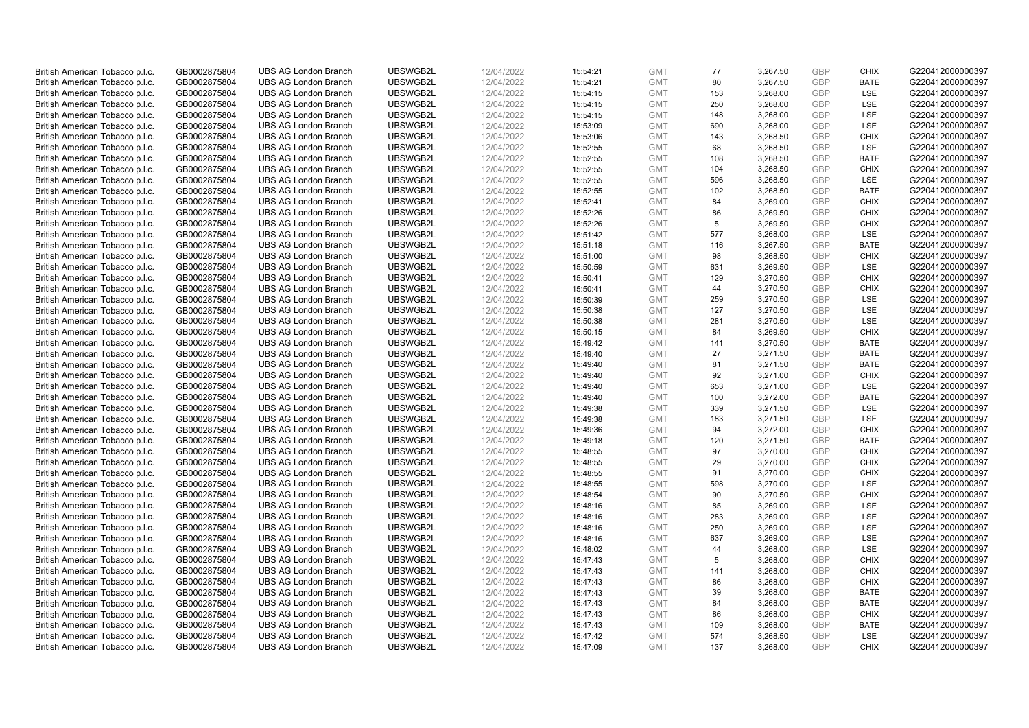| British American Tobacco p.l.c. | GB0002875804 | <b>UBS AG London Branch</b>                                | UBSWGB2L             | 12/04/2022 | 15:54:21 | <b>GMT</b>               | 77  | 3,267.50 | <b>GBP</b> | <b>CHIX</b> | G220412000000397 |
|---------------------------------|--------------|------------------------------------------------------------|----------------------|------------|----------|--------------------------|-----|----------|------------|-------------|------------------|
| British American Tobacco p.l.c. | GB0002875804 | <b>UBS AG London Branch</b>                                | UBSWGB2L             | 12/04/2022 | 15:54:21 | <b>GMT</b>               | 80  | 3,267.50 | <b>GBP</b> | <b>BATE</b> | G220412000000397 |
| British American Tobacco p.l.c. | GB0002875804 | <b>UBS AG London Branch</b>                                | UBSWGB2L             | 12/04/2022 | 15:54:15 | <b>GMT</b>               | 153 | 3,268.00 | <b>GBP</b> | LSE         | G220412000000397 |
| British American Tobacco p.l.c. | GB0002875804 | <b>UBS AG London Branch</b>                                | UBSWGB2L             | 12/04/2022 | 15:54:15 | <b>GMT</b>               | 250 | 3,268.00 | <b>GBP</b> | LSE         | G220412000000397 |
| British American Tobacco p.l.c. | GB0002875804 | <b>UBS AG London Branch</b>                                | UBSWGB2L             | 12/04/2022 | 15:54:15 | <b>GMT</b>               | 148 | 3,268.00 | <b>GBP</b> | LSE         | G220412000000397 |
| British American Tobacco p.l.c. | GB0002875804 | <b>UBS AG London Branch</b>                                | UBSWGB2L             | 12/04/2022 | 15:53:09 | <b>GMT</b>               | 690 | 3,268.00 | <b>GBP</b> | LSE         | G220412000000397 |
| British American Tobacco p.l.c. | GB0002875804 | <b>UBS AG London Branch</b>                                | UBSWGB2L             | 12/04/2022 | 15:53:06 | <b>GMT</b>               | 143 | 3,268.50 | <b>GBP</b> | <b>CHIX</b> | G220412000000397 |
| British American Tobacco p.l.c. | GB0002875804 | <b>UBS AG London Branch</b>                                | UBSWGB2L             | 12/04/2022 | 15:52:55 | <b>GMT</b>               | 68  | 3,268.50 | GBP        | LSE         | G220412000000397 |
| British American Tobacco p.l.c. | GB0002875804 | <b>UBS AG London Branch</b>                                | UBSWGB2L             | 12/04/2022 | 15:52:55 | <b>GMT</b>               | 108 | 3,268.50 | <b>GBP</b> | <b>BATE</b> | G220412000000397 |
| British American Tobacco p.l.c. | GB0002875804 | <b>UBS AG London Branch</b>                                | UBSWGB2L             | 12/04/2022 | 15:52:55 | <b>GMT</b>               | 104 | 3,268.50 | <b>GBP</b> | <b>CHIX</b> | G220412000000397 |
| British American Tobacco p.l.c. | GB0002875804 | <b>UBS AG London Branch</b>                                | UBSWGB2L             | 12/04/2022 |          | <b>GMT</b>               | 596 |          | <b>GBP</b> |             | G220412000000397 |
|                                 |              |                                                            |                      |            | 15:52:55 |                          |     | 3,268.50 |            | LSE         |                  |
| British American Tobacco p.l.c. | GB0002875804 | <b>UBS AG London Branch</b>                                | UBSWGB2L             | 12/04/2022 | 15:52:55 | <b>GMT</b>               | 102 | 3,268.50 | <b>GBP</b> | <b>BATE</b> | G220412000000397 |
| British American Tobacco p.l.c. | GB0002875804 | <b>UBS AG London Branch</b>                                | UBSWGB2L             | 12/04/2022 | 15:52:41 | <b>GMT</b>               | 84  | 3,269.00 | <b>GBP</b> | <b>CHIX</b> | G220412000000397 |
| British American Tobacco p.l.c. | GB0002875804 | <b>UBS AG London Branch</b>                                | UBSWGB2L             | 12/04/2022 | 15:52:26 | <b>GMT</b>               | 86  | 3,269.50 | <b>GBP</b> | <b>CHIX</b> | G220412000000397 |
| British American Tobacco p.l.c. | GB0002875804 | <b>UBS AG London Branch</b>                                | UBSWGB2L             | 12/04/2022 | 15:52:26 | <b>GMT</b>               | 5   | 3,269.50 | <b>GBP</b> | <b>CHIX</b> | G220412000000397 |
| British American Tobacco p.l.c. | GB0002875804 | <b>UBS AG London Branch</b>                                | UBSWGB2L             | 12/04/2022 | 15:51:42 | <b>GMT</b>               | 577 | 3,268.00 | <b>GBP</b> | LSE         | G220412000000397 |
| British American Tobacco p.l.c. | GB0002875804 | <b>UBS AG London Branch</b>                                | UBSWGB2L             | 12/04/2022 | 15:51:18 | <b>GMT</b>               | 116 | 3,267.50 | <b>GBP</b> | <b>BATE</b> | G220412000000397 |
| British American Tobacco p.l.c. | GB0002875804 | <b>UBS AG London Branch</b>                                | UBSWGB2L             | 12/04/2022 | 15:51:00 | <b>GMT</b>               | 98  | 3,268.50 | <b>GBP</b> | <b>CHIX</b> | G220412000000397 |
| British American Tobacco p.l.c. | GB0002875804 | <b>UBS AG London Branch</b>                                | UBSWGB2L             | 12/04/2022 | 15:50:59 | <b>GMT</b>               | 631 | 3,269.50 | <b>GBP</b> | LSE         | G220412000000397 |
| British American Tobacco p.l.c. | GB0002875804 | <b>UBS AG London Branch</b>                                | UBSWGB2L             | 12/04/2022 | 15:50:41 | <b>GMT</b>               | 129 | 3,270.50 | <b>GBP</b> | <b>CHIX</b> | G220412000000397 |
| British American Tobacco p.l.c. | GB0002875804 | <b>UBS AG London Branch</b>                                | UBSWGB2L             | 12/04/2022 | 15:50:41 | <b>GMT</b>               | 44  | 3,270.50 | <b>GBP</b> | <b>CHIX</b> | G220412000000397 |
| British American Tobacco p.l.c. | GB0002875804 | <b>UBS AG London Branch</b>                                | UBSWGB2L             | 12/04/2022 | 15:50:39 | <b>GMT</b>               | 259 | 3,270.50 | <b>GBP</b> | LSE         | G220412000000397 |
| British American Tobacco p.l.c. | GB0002875804 | <b>UBS AG London Branch</b>                                | UBSWGB2L             | 12/04/2022 | 15:50:38 | <b>GMT</b>               | 127 | 3,270.50 | <b>GBP</b> | LSE         | G220412000000397 |
| British American Tobacco p.l.c. | GB0002875804 | <b>UBS AG London Branch</b>                                | UBSWGB2L             | 12/04/2022 | 15:50:38 | <b>GMT</b>               | 281 | 3,270.50 | <b>GBP</b> | LSE         | G220412000000397 |
| British American Tobacco p.l.c. | GB0002875804 | <b>UBS AG London Branch</b>                                | UBSWGB2L             | 12/04/2022 | 15:50:15 | <b>GMT</b>               | 84  | 3,269.50 | <b>GBP</b> | <b>CHIX</b> | G220412000000397 |
| British American Tobacco p.l.c. | GB0002875804 | <b>UBS AG London Branch</b>                                | UBSWGB2L             | 12/04/2022 | 15:49:42 | <b>GMT</b>               | 141 | 3,270.50 | <b>GBP</b> | <b>BATE</b> | G220412000000397 |
| British American Tobacco p.l.c. | GB0002875804 | <b>UBS AG London Branch</b>                                | UBSWGB2L             | 12/04/2022 | 15:49:40 | <b>GMT</b>               | 27  | 3,271.50 | <b>GBP</b> | <b>BATE</b> | G220412000000397 |
| British American Tobacco p.l.c. | GB0002875804 | <b>UBS AG London Branch</b>                                | UBSWGB2L             | 12/04/2022 | 15:49:40 | <b>GMT</b>               | 81  | 3,271.50 | <b>GBP</b> | <b>BATE</b> | G220412000000397 |
| British American Tobacco p.l.c. | GB0002875804 | <b>UBS AG London Branch</b>                                | UBSWGB2L             | 12/04/2022 | 15:49:40 | <b>GMT</b>               | 92  | 3,271.00 | <b>GBP</b> | <b>CHIX</b> | G220412000000397 |
| British American Tobacco p.l.c. | GB0002875804 | <b>UBS AG London Branch</b>                                | UBSWGB2L             | 12/04/2022 | 15:49:40 | <b>GMT</b>               | 653 | 3,271.00 | <b>GBP</b> | LSE         | G220412000000397 |
| British American Tobacco p.l.c. | GB0002875804 | <b>UBS AG London Branch</b>                                | UBSWGB2L             | 12/04/2022 | 15:49:40 | <b>GMT</b>               | 100 | 3,272.00 | <b>GBP</b> | <b>BATE</b> | G220412000000397 |
| British American Tobacco p.l.c. | GB0002875804 | <b>UBS AG London Branch</b>                                | UBSWGB2L             | 12/04/2022 | 15:49:38 | <b>GMT</b>               | 339 | 3,271.50 | <b>GBP</b> | LSE         | G220412000000397 |
| British American Tobacco p.l.c. | GB0002875804 | <b>UBS AG London Branch</b>                                | UBSWGB2L             | 12/04/2022 | 15:49:38 | <b>GMT</b>               | 183 | 3,271.50 | <b>GBP</b> | <b>LSE</b>  | G220412000000397 |
| British American Tobacco p.l.c. | GB0002875804 | <b>UBS AG London Branch</b>                                | UBSWGB2L             | 12/04/2022 | 15:49:36 | <b>GMT</b>               | 94  | 3,272.00 | <b>GBP</b> | <b>CHIX</b> | G220412000000397 |
| British American Tobacco p.l.c. | GB0002875804 | <b>UBS AG London Branch</b>                                | UBSWGB2L             | 12/04/2022 | 15:49:18 | <b>GMT</b>               | 120 | 3,271.50 | <b>GBP</b> | <b>BATE</b> | G220412000000397 |
| British American Tobacco p.l.c. | GB0002875804 | <b>UBS AG London Branch</b>                                | UBSWGB2L             | 12/04/2022 | 15:48:55 | <b>GMT</b>               | 97  | 3,270.00 | <b>GBP</b> | <b>CHIX</b> | G220412000000397 |
| British American Tobacco p.l.c. | GB0002875804 | <b>UBS AG London Branch</b>                                | UBSWGB2L             | 12/04/2022 | 15:48:55 | <b>GMT</b>               | 29  | 3,270.00 | <b>GBP</b> | <b>CHIX</b> | G220412000000397 |
| British American Tobacco p.l.c. | GB0002875804 | <b>UBS AG London Branch</b>                                | UBSWGB2L             | 12/04/2022 | 15:48:55 | <b>GMT</b>               | 91  | 3,270.00 | <b>GBP</b> | <b>CHIX</b> | G220412000000397 |
| British American Tobacco p.l.c. | GB0002875804 | <b>UBS AG London Branch</b>                                | UBSWGB2L             | 12/04/2022 | 15:48:55 | <b>GMT</b>               | 598 | 3,270.00 | <b>GBP</b> | LSE         | G220412000000397 |
| British American Tobacco p.l.c. | GB0002875804 | <b>UBS AG London Branch</b>                                | UBSWGB2L             | 12/04/2022 | 15:48:54 | <b>GMT</b>               | 90  | 3,270.50 | <b>GBP</b> | <b>CHIX</b> | G220412000000397 |
| British American Tobacco p.l.c. | GB0002875804 | <b>UBS AG London Branch</b>                                | UBSWGB2L             | 12/04/2022 | 15:48:16 | <b>GMT</b>               | 85  | 3,269.00 | <b>GBP</b> | LSE         | G220412000000397 |
| British American Tobacco p.l.c. | GB0002875804 | <b>UBS AG London Branch</b>                                | UBSWGB2L             | 12/04/2022 | 15:48:16 | <b>GMT</b>               | 283 | 3,269.00 | <b>GBP</b> | LSE         | G220412000000397 |
| British American Tobacco p.l.c. | GB0002875804 | <b>UBS AG London Branch</b>                                | UBSWGB2L             | 12/04/2022 | 15:48:16 | <b>GMT</b>               | 250 | 3,269.00 | <b>GBP</b> | LSE         | G220412000000397 |
| British American Tobacco p.l.c. | GB0002875804 | <b>UBS AG London Branch</b>                                | UBSWGB2L             | 12/04/2022 | 15:48:16 | <b>GMT</b>               | 637 | 3,269.00 | <b>GBP</b> | LSE         | G220412000000397 |
| British American Tobacco p.l.c. | GB0002875804 | <b>UBS AG London Branch</b>                                | UBSWGB2L             | 12/04/2022 | 15:48:02 | <b>GMT</b>               | 44  | 3,268.00 | <b>GBP</b> | LSE         | G220412000000397 |
| British American Tobacco p.l.c. | GB0002875804 | <b>UBS AG London Branch</b>                                | UBSWGB2L             | 12/04/2022 | 15:47:43 | <b>GMT</b>               | 5   | 3,268.00 | <b>GBP</b> | <b>CHIX</b> | G220412000000397 |
|                                 |              |                                                            |                      |            |          |                          | 141 |          | <b>GBP</b> | <b>CHIX</b> | G220412000000397 |
| British American Tobacco p.l.c. | GB0002875804 | <b>UBS AG London Branch</b><br><b>UBS AG London Branch</b> | UBSWGB2L<br>UBSWGB2L | 12/04/2022 | 15:47:43 | <b>GMT</b><br><b>GMT</b> | 86  | 3,268.00 | <b>GBP</b> | <b>CHIX</b> | G220412000000397 |
| British American Tobacco p.l.c. | GB0002875804 |                                                            |                      | 12/04/2022 | 15:47:43 |                          |     | 3,268.00 |            |             |                  |
| British American Tobacco p.l.c. | GB0002875804 | <b>UBS AG London Branch</b>                                | UBSWGB2L             | 12/04/2022 | 15:47:43 | <b>GMT</b>               | 39  | 3,268.00 | <b>GBP</b> | <b>BATE</b> | G220412000000397 |
| British American Tobacco p.l.c. | GB0002875804 | <b>UBS AG London Branch</b>                                | UBSWGB2L             | 12/04/2022 | 15:47:43 | <b>GMT</b>               | 84  | 3,268.00 | <b>GBP</b> | <b>BATE</b> | G220412000000397 |
| British American Tobacco p.l.c. | GB0002875804 | <b>UBS AG London Branch</b>                                | UBSWGB2L             | 12/04/2022 | 15:47:43 | <b>GMT</b>               | 86  | 3,268.00 | <b>GBP</b> | <b>CHIX</b> | G220412000000397 |
| British American Tobacco p.l.c. | GB0002875804 | <b>UBS AG London Branch</b>                                | UBSWGB2L             | 12/04/2022 | 15:47:43 | <b>GMT</b>               | 109 | 3,268.00 | <b>GBP</b> | <b>BATE</b> | G220412000000397 |
| British American Tobacco p.l.c. | GB0002875804 | <b>UBS AG London Branch</b>                                | UBSWGB2L             | 12/04/2022 | 15:47:42 | <b>GMT</b>               | 574 | 3,268.50 | <b>GBP</b> | LSE         | G220412000000397 |
| British American Tobacco p.l.c. | GB0002875804 | <b>UBS AG London Branch</b>                                | UBSWGB2L             | 12/04/2022 | 15:47:09 | <b>GMT</b>               | 137 | 3,268.00 | GBP        | <b>CHIX</b> | G220412000000397 |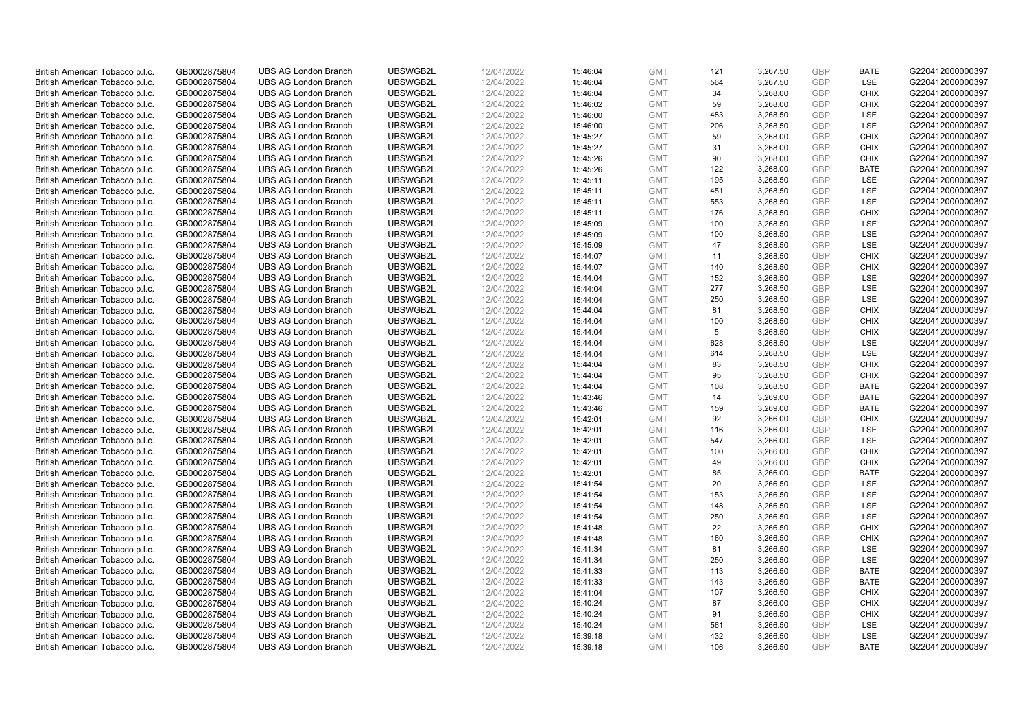| British American Tobacco p.l.c. | GB0002875804 | <b>UBS AG London Branch</b> | UBSWGB2L | 12/04/2022 | 15:46:04 | <b>GMT</b> | 121 | 3,267.50 | <b>GBP</b>               | <b>BATE</b> | G220412000000397 |
|---------------------------------|--------------|-----------------------------|----------|------------|----------|------------|-----|----------|--------------------------|-------------|------------------|
| British American Tobacco p.l.c. | GB0002875804 | <b>UBS AG London Branch</b> | UBSWGB2L | 12/04/2022 | 15:46:04 | <b>GMT</b> | 564 | 3,267.50 | <b>GBP</b>               | LSE         | G220412000000397 |
|                                 |              | <b>UBS AG London Branch</b> | UBSWGB2L |            |          | <b>GMT</b> | 34  | 3,268.00 | <b>GBP</b>               | <b>CHIX</b> | G220412000000397 |
| British American Tobacco p.l.c. | GB0002875804 |                             |          | 12/04/2022 | 15:46:04 |            |     |          |                          |             |                  |
| British American Tobacco p.l.c. | GB0002875804 | <b>UBS AG London Branch</b> | UBSWGB2L | 12/04/2022 | 15:46:02 | <b>GMT</b> | 59  | 3,268.00 | <b>GBP</b>               | <b>CHIX</b> | G220412000000397 |
| British American Tobacco p.l.c. | GB0002875804 | <b>UBS AG London Branch</b> | UBSWGB2L | 12/04/2022 | 15:46:00 | <b>GMT</b> | 483 | 3,268.50 | <b>GBP</b>               | LSE         | G220412000000397 |
| British American Tobacco p.l.c. | GB0002875804 | <b>UBS AG London Branch</b> | UBSWGB2L | 12/04/2022 | 15:46:00 | <b>GMT</b> | 206 | 3,268.50 | <b>GBP</b>               | LSE         | G220412000000397 |
| British American Tobacco p.l.c. | GB0002875804 | <b>UBS AG London Branch</b> | UBSWGB2L | 12/04/2022 | 15:45:27 | <b>GMT</b> | 59  | 3,268.00 | <b>GBP</b>               | <b>CHIX</b> | G220412000000397 |
| British American Tobacco p.l.c. | GB0002875804 | <b>UBS AG London Branch</b> | UBSWGB2L | 12/04/2022 | 15:45:27 | <b>GMT</b> | 31  | 3,268.00 | GBP                      | <b>CHIX</b> | G220412000000397 |
| British American Tobacco p.l.c. | GB0002875804 | <b>UBS AG London Branch</b> | UBSWGB2L | 12/04/2022 | 15:45:26 | <b>GMT</b> | 90  | 3,268.00 | <b>GBP</b>               | <b>CHIX</b> | G220412000000397 |
| British American Tobacco p.l.c. | GB0002875804 | <b>UBS AG London Branch</b> | UBSWGB2L | 12/04/2022 | 15:45:26 | <b>GMT</b> | 122 | 3,268.00 | <b>GBP</b>               | <b>BATE</b> | G220412000000397 |
| British American Tobacco p.l.c. | GB0002875804 | <b>UBS AG London Branch</b> | UBSWGB2L | 12/04/2022 | 15:45:11 | <b>GMT</b> | 195 | 3,268.50 | <b>GBP</b>               | <b>LSE</b>  | G220412000000397 |
| British American Tobacco p.l.c. | GB0002875804 | <b>UBS AG London Branch</b> | UBSWGB2L | 12/04/2022 | 15:45:11 | <b>GMT</b> | 451 | 3,268.50 | <b>GBP</b>               | LSE         | G220412000000397 |
| British American Tobacco p.l.c. | GB0002875804 | <b>UBS AG London Branch</b> | UBSWGB2L | 12/04/2022 | 15:45:11 | <b>GMT</b> | 553 | 3,268.50 | <b>GBP</b>               | LSE         | G220412000000397 |
| British American Tobacco p.l.c. | GB0002875804 | <b>UBS AG London Branch</b> | UBSWGB2L | 12/04/2022 | 15:45:11 | <b>GMT</b> | 176 | 3,268.50 | <b>GBP</b>               | <b>CHIX</b> | G220412000000397 |
| British American Tobacco p.l.c. | GB0002875804 | <b>UBS AG London Branch</b> | UBSWGB2L | 12/04/2022 | 15:45:09 | <b>GMT</b> | 100 | 3,268.50 | <b>GBP</b>               | <b>LSE</b>  | G220412000000397 |
| British American Tobacco p.l.c. | GB0002875804 | <b>UBS AG London Branch</b> | UBSWGB2L | 12/04/2022 | 15:45:09 | <b>GMT</b> | 100 | 3,268.50 | <b>GBP</b>               | LSE         | G220412000000397 |
| British American Tobacco p.l.c. | GB0002875804 | <b>UBS AG London Branch</b> | UBSWGB2L | 12/04/2022 | 15:45:09 | <b>GMT</b> | 47  | 3,268.50 | <b>GBP</b>               | LSE         | G220412000000397 |
| British American Tobacco p.l.c. | GB0002875804 | <b>UBS AG London Branch</b> | UBSWGB2L | 12/04/2022 | 15:44:07 | <b>GMT</b> | 11  | 3,268.50 | <b>GBP</b>               | <b>CHIX</b> | G220412000000397 |
| British American Tobacco p.l.c. | GB0002875804 | <b>UBS AG London Branch</b> | UBSWGB2L | 12/04/2022 | 15:44:07 | <b>GMT</b> | 140 | 3,268.50 | <b>GBP</b>               | <b>CHIX</b> | G220412000000397 |
|                                 |              |                             |          |            |          |            |     |          |                          |             |                  |
| British American Tobacco p.l.c. | GB0002875804 | <b>UBS AG London Branch</b> | UBSWGB2L | 12/04/2022 | 15:44:04 | <b>GMT</b> | 152 | 3,268.50 | <b>GBP</b>               | <b>LSE</b>  | G220412000000397 |
| British American Tobacco p.l.c. | GB0002875804 | <b>UBS AG London Branch</b> | UBSWGB2L | 12/04/2022 | 15:44:04 | <b>GMT</b> | 277 | 3,268.50 | <b>GBP</b>               | LSE         | G220412000000397 |
| British American Tobacco p.l.c. | GB0002875804 | <b>UBS AG London Branch</b> | UBSWGB2L | 12/04/2022 | 15:44:04 | <b>GMT</b> | 250 | 3,268.50 | <b>GBP</b>               | LSE         | G220412000000397 |
| British American Tobacco p.l.c. | GB0002875804 | <b>UBS AG London Branch</b> | UBSWGB2L | 12/04/2022 | 15:44:04 | <b>GMT</b> | 81  | 3,268.50 | <b>GBP</b>               | <b>CHIX</b> | G220412000000397 |
| British American Tobacco p.l.c. | GB0002875804 | <b>UBS AG London Branch</b> | UBSWGB2L | 12/04/2022 | 15:44:04 | <b>GMT</b> | 100 | 3,268.50 | <b>GBP</b>               | <b>CHIX</b> | G220412000000397 |
| British American Tobacco p.l.c. | GB0002875804 | <b>UBS AG London Branch</b> | UBSWGB2L | 12/04/2022 | 15:44:04 | <b>GMT</b> | 5   | 3,268.50 | <b>GBP</b>               | <b>CHIX</b> | G220412000000397 |
| British American Tobacco p.l.c. | GB0002875804 | <b>UBS AG London Branch</b> | UBSWGB2L | 12/04/2022 | 15:44:04 | <b>GMT</b> | 628 | 3,268.50 | <b>GBP</b>               | <b>LSE</b>  | G220412000000397 |
| British American Tobacco p.l.c. | GB0002875804 | <b>UBS AG London Branch</b> | UBSWGB2L | 12/04/2022 | 15:44:04 | <b>GMT</b> | 614 | 3,268.50 | <b>GBP</b>               | LSE         | G220412000000397 |
| British American Tobacco p.l.c. | GB0002875804 | <b>UBS AG London Branch</b> | UBSWGB2L | 12/04/2022 | 15:44:04 | <b>GMT</b> | 83  | 3,268.50 | <b>GBP</b>               | <b>CHIX</b> | G220412000000397 |
| British American Tobacco p.l.c. | GB0002875804 | <b>UBS AG London Branch</b> | UBSWGB2L | 12/04/2022 | 15:44:04 | <b>GMT</b> | 95  | 3,268.50 | <b>GBP</b>               | <b>CHIX</b> | G220412000000397 |
| British American Tobacco p.l.c. | GB0002875804 | <b>UBS AG London Branch</b> | UBSWGB2L | 12/04/2022 | 15:44:04 | <b>GMT</b> | 108 | 3,268.50 | <b>GBP</b>               | <b>BATE</b> | G220412000000397 |
| British American Tobacco p.l.c. | GB0002875804 | <b>UBS AG London Branch</b> | UBSWGB2L | 12/04/2022 | 15:43:46 | <b>GMT</b> | 14  | 3,269.00 | <b>GBP</b>               | <b>BATE</b> | G220412000000397 |
| British American Tobacco p.l.c. | GB0002875804 | <b>UBS AG London Branch</b> | UBSWGB2L | 12/04/2022 | 15:43:46 | <b>GMT</b> | 159 | 3,269.00 | <b>GBP</b>               | <b>BATE</b> | G220412000000397 |
| British American Tobacco p.l.c. | GB0002875804 | <b>UBS AG London Branch</b> | UBSWGB2L | 12/04/2022 | 15:42:01 | <b>GMT</b> | 92  | 3,266.00 | <b>GBP</b>               | <b>CHIX</b> | G220412000000397 |
| British American Tobacco p.l.c. | GB0002875804 | <b>UBS AG London Branch</b> | UBSWGB2L | 12/04/2022 | 15:42:01 | <b>GMT</b> | 116 | 3,266.00 | <b>GBP</b>               | LSE         | G220412000000397 |
| British American Tobacco p.l.c. | GB0002875804 | UBS AG London Branch        | UBSWGB2L | 12/04/2022 | 15:42:01 | <b>GMT</b> | 547 | 3,266.00 | <b>GBP</b>               | LSE         | G220412000000397 |
| British American Tobacco p.l.c. | GB0002875804 | <b>UBS AG London Branch</b> | UBSWGB2L | 12/04/2022 | 15:42:01 | <b>GMT</b> | 100 | 3,266.00 | <b>GBP</b>               | <b>CHIX</b> | G220412000000397 |
| British American Tobacco p.l.c. | GB0002875804 | <b>UBS AG London Branch</b> | UBSWGB2L | 12/04/2022 | 15:42:01 | <b>GMT</b> | 49  | 3,266.00 | <b>GBP</b>               | <b>CHIX</b> | G220412000000397 |
| British American Tobacco p.l.c. | GB0002875804 | <b>UBS AG London Branch</b> | UBSWGB2L | 12/04/2022 | 15:42:01 | <b>GMT</b> | 85  | 3,266.00 | <b>GBP</b>               | <b>BATE</b> | G220412000000397 |
| British American Tobacco p.l.c. | GB0002875804 | <b>UBS AG London Branch</b> | UBSWGB2L | 12/04/2022 | 15:41:54 | <b>GMT</b> | 20  | 3,266.50 | <b>GBP</b>               | LSE         | G220412000000397 |
| British American Tobacco p.l.c. | GB0002875804 | <b>UBS AG London Branch</b> | UBSWGB2L | 12/04/2022 | 15:41:54 | <b>GMT</b> | 153 | 3,266.50 | <b>GBP</b>               | LSE         | G220412000000397 |
| British American Tobacco p.l.c. | GB0002875804 | <b>UBS AG London Branch</b> | UBSWGB2L | 12/04/2022 | 15:41:54 | <b>GMT</b> | 148 | 3,266.50 | <b>GBP</b>               | LSE         | G220412000000397 |
| British American Tobacco p.l.c. | GB0002875804 | <b>UBS AG London Branch</b> | UBSWGB2L | 12/04/2022 | 15:41:54 | <b>GMT</b> | 250 | 3,266.50 | <b>GBP</b>               | LSE         | G220412000000397 |
| British American Tobacco p.l.c. | GB0002875804 | <b>UBS AG London Branch</b> | UBSWGB2L | 12/04/2022 | 15:41:48 | <b>GMT</b> | 22  | 3,266.50 | <b>GBP</b>               | <b>CHIX</b> | G220412000000397 |
| British American Tobacco p.l.c. | GB0002875804 | <b>UBS AG London Branch</b> | UBSWGB2L | 12/04/2022 | 15:41:48 | <b>GMT</b> | 160 | 3,266.50 | <b>GBP</b>               | <b>CHIX</b> | G220412000000397 |
|                                 |              |                             |          |            |          |            |     |          |                          |             |                  |
| British American Tobacco p.l.c. | GB0002875804 | <b>UBS AG London Branch</b> | UBSWGB2L | 12/04/2022 | 15:41:34 | <b>GMT</b> | 81  | 3,266.50 | <b>GBP</b><br><b>GBP</b> | LSE         | G220412000000397 |
| British American Tobacco p.l.c. | GB0002875804 | <b>UBS AG London Branch</b> | UBSWGB2L | 12/04/2022 | 15:41:34 | <b>GMT</b> | 250 | 3,266.50 |                          | LSE         | G220412000000397 |
| British American Tobacco p.l.c. | GB0002875804 | <b>UBS AG London Branch</b> | UBSWGB2L | 12/04/2022 | 15:41:33 | <b>GMT</b> | 113 | 3,266.50 | <b>GBP</b>               | <b>BATE</b> | G220412000000397 |
| British American Tobacco p.l.c. | GB0002875804 | <b>UBS AG London Branch</b> | UBSWGB2L | 12/04/2022 | 15:41:33 | <b>GMT</b> | 143 | 3,266.50 | <b>GBP</b>               | <b>BATE</b> | G220412000000397 |
| British American Tobacco p.l.c. | GB0002875804 | <b>UBS AG London Branch</b> | UBSWGB2L | 12/04/2022 | 15:41:04 | <b>GMT</b> | 107 | 3,266.50 | <b>GBP</b>               | <b>CHIX</b> | G220412000000397 |
| British American Tobacco p.l.c. | GB0002875804 | <b>UBS AG London Branch</b> | UBSWGB2L | 12/04/2022 | 15:40:24 | <b>GMT</b> | 87  | 3,266.00 | <b>GBP</b>               | <b>CHIX</b> | G220412000000397 |
| British American Tobacco p.l.c. | GB0002875804 | <b>UBS AG London Branch</b> | UBSWGB2L | 12/04/2022 | 15:40:24 | <b>GMT</b> | 91  | 3,266.50 | <b>GBP</b>               | <b>CHIX</b> | G220412000000397 |
| British American Tobacco p.l.c. | GB0002875804 | <b>UBS AG London Branch</b> | UBSWGB2L | 12/04/2022 | 15:40:24 | <b>GMT</b> | 561 | 3,266.50 | <b>GBP</b>               | LSE         | G220412000000397 |
| British American Tobacco p.l.c. | GB0002875804 | <b>UBS AG London Branch</b> | UBSWGB2L | 12/04/2022 | 15:39:18 | <b>GMT</b> | 432 | 3,266.50 | <b>GBP</b>               | LSE         | G220412000000397 |
| British American Tobacco p.l.c. | GB0002875804 | <b>UBS AG London Branch</b> | UBSWGB2L | 12/04/2022 | 15:39:18 | <b>GMT</b> | 106 | 3,266.50 | GBP                      | <b>BATE</b> | G220412000000397 |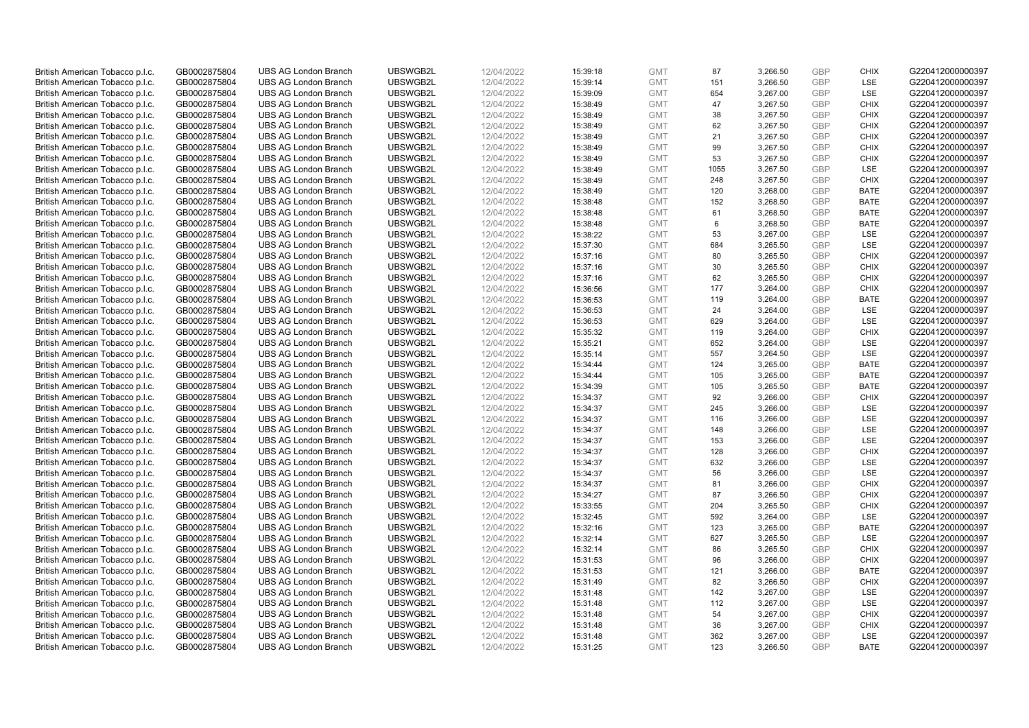| British American Tobacco p.l.c. | GB0002875804 | <b>UBS AG London Branch</b> | UBSWGB2L | 12/04/2022 | 15:39:18 | <b>GMT</b> | 87   | 3,266.50             | <b>GBP</b> | <b>CHIX</b> | G220412000000397 |
|---------------------------------|--------------|-----------------------------|----------|------------|----------|------------|------|----------------------|------------|-------------|------------------|
| British American Tobacco p.l.c. | GB0002875804 | <b>UBS AG London Branch</b> | UBSWGB2L | 12/04/2022 |          | <b>GMT</b> | 151  | 3,266.50             | <b>GBP</b> | LSE         | G220412000000397 |
|                                 |              |                             |          |            | 15:39:14 |            |      |                      |            |             |                  |
| British American Tobacco p.l.c. | GB0002875804 | <b>UBS AG London Branch</b> | UBSWGB2L | 12/04/2022 | 15:39:09 | <b>GMT</b> | 654  | 3,267.00             | <b>GBP</b> | LSE         | G220412000000397 |
| British American Tobacco p.l.c. | GB0002875804 | <b>UBS AG London Branch</b> | UBSWGB2L | 12/04/2022 | 15:38:49 | <b>GMT</b> | 47   | 3,267.50             | <b>GBP</b> | <b>CHIX</b> | G220412000000397 |
| British American Tobacco p.l.c. | GB0002875804 | <b>UBS AG London Branch</b> | UBSWGB2L | 12/04/2022 | 15:38:49 | <b>GMT</b> | 38   | 3,267.50             | <b>GBP</b> | <b>CHIX</b> | G220412000000397 |
| British American Tobacco p.l.c. | GB0002875804 | <b>UBS AG London Branch</b> | UBSWGB2L | 12/04/2022 | 15:38:49 | <b>GMT</b> | 62   | 3,267.50             | <b>GBP</b> | <b>CHIX</b> | G220412000000397 |
| British American Tobacco p.l.c. | GB0002875804 | <b>UBS AG London Branch</b> | UBSWGB2L | 12/04/2022 | 15:38:49 | <b>GMT</b> | 21   | 3,267.50             | <b>GBP</b> | <b>CHIX</b> | G220412000000397 |
| British American Tobacco p.l.c. | GB0002875804 | <b>UBS AG London Branch</b> | UBSWGB2L | 12/04/2022 | 15:38:49 | <b>GMT</b> | 99   | 3,267.50             | GBP        | <b>CHIX</b> | G220412000000397 |
| British American Tobacco p.l.c. | GB0002875804 | <b>UBS AG London Branch</b> | UBSWGB2L | 12/04/2022 | 15:38:49 | <b>GMT</b> | 53   | 3,267.50             | <b>GBP</b> | <b>CHIX</b> | G220412000000397 |
| British American Tobacco p.l.c. | GB0002875804 | <b>UBS AG London Branch</b> | UBSWGB2L | 12/04/2022 | 15:38:49 | <b>GMT</b> | 1055 | 3,267.50             | <b>GBP</b> | LSE         | G220412000000397 |
| British American Tobacco p.l.c. | GB0002875804 | <b>UBS AG London Branch</b> | UBSWGB2L | 12/04/2022 | 15:38:49 | <b>GMT</b> | 248  | 3,267.50             | <b>GBP</b> | <b>CHIX</b> | G220412000000397 |
| British American Tobacco p.l.c. | GB0002875804 | <b>UBS AG London Branch</b> | UBSWGB2L | 12/04/2022 | 15:38:49 | <b>GMT</b> | 120  | 3,268.00             | <b>GBP</b> | <b>BATE</b> | G220412000000397 |
| British American Tobacco p.l.c. | GB0002875804 | <b>UBS AG London Branch</b> | UBSWGB2L | 12/04/2022 | 15:38:48 | <b>GMT</b> | 152  | 3,268.50             | <b>GBP</b> | <b>BATE</b> | G220412000000397 |
| British American Tobacco p.l.c. | GB0002875804 | <b>UBS AG London Branch</b> | UBSWGB2L | 12/04/2022 | 15:38:48 | <b>GMT</b> | 61   | 3,268.50             | <b>GBP</b> | <b>BATE</b> | G220412000000397 |
| British American Tobacco p.l.c. | GB0002875804 | <b>UBS AG London Branch</b> | UBSWGB2L | 12/04/2022 | 15:38:48 | <b>GMT</b> | 6    | 3,268.50             | <b>GBP</b> | <b>BATE</b> | G220412000000397 |
| British American Tobacco p.l.c. | GB0002875804 | <b>UBS AG London Branch</b> | UBSWGB2L | 12/04/2022 | 15:38:22 | <b>GMT</b> | 53   | 3,267.00             | <b>GBP</b> | LSE         | G220412000000397 |
| British American Tobacco p.l.c. | GB0002875804 | <b>UBS AG London Branch</b> | UBSWGB2L | 12/04/2022 | 15:37:30 | <b>GMT</b> | 684  | 3,265.50             | <b>GBP</b> | LSE         | G220412000000397 |
| British American Tobacco p.l.c. | GB0002875804 | <b>UBS AG London Branch</b> | UBSWGB2L | 12/04/2022 |          | <b>GMT</b> | 80   | 3,265.50             | <b>GBP</b> | <b>CHIX</b> | G220412000000397 |
|                                 |              | <b>UBS AG London Branch</b> |          |            | 15:37:16 |            | 30   |                      |            |             |                  |
| British American Tobacco p.l.c. | GB0002875804 |                             | UBSWGB2L | 12/04/2022 | 15:37:16 | <b>GMT</b> |      | 3,265.50             | <b>GBP</b> | <b>CHIX</b> | G220412000000397 |
| British American Tobacco p.l.c. | GB0002875804 | <b>UBS AG London Branch</b> | UBSWGB2L | 12/04/2022 | 15:37:16 | <b>GMT</b> | 62   | 3,265.50             | <b>GBP</b> | <b>CHIX</b> | G220412000000397 |
| British American Tobacco p.l.c. | GB0002875804 | <b>UBS AG London Branch</b> | UBSWGB2L | 12/04/2022 | 15:36:56 | <b>GMT</b> | 177  | 3,264.00             | <b>GBP</b> | <b>CHIX</b> | G220412000000397 |
| British American Tobacco p.l.c. | GB0002875804 | <b>UBS AG London Branch</b> | UBSWGB2L | 12/04/2022 | 15:36:53 | <b>GMT</b> | 119  | 3,264.00             | <b>GBP</b> | <b>BATE</b> | G220412000000397 |
| British American Tobacco p.l.c. | GB0002875804 | <b>UBS AG London Branch</b> | UBSWGB2L | 12/04/2022 | 15:36:53 | <b>GMT</b> | 24   | 3,264.00             | <b>GBP</b> | LSE         | G220412000000397 |
| British American Tobacco p.l.c. | GB0002875804 | <b>UBS AG London Branch</b> | UBSWGB2L | 12/04/2022 | 15:36:53 | <b>GMT</b> | 629  | 3,264.00             | <b>GBP</b> | <b>LSE</b>  | G220412000000397 |
| British American Tobacco p.l.c. | GB0002875804 | <b>UBS AG London Branch</b> | UBSWGB2L | 12/04/2022 | 15:35:32 | <b>GMT</b> | 119  | 3,264.00             | <b>GBP</b> | <b>CHIX</b> | G220412000000397 |
| British American Tobacco p.l.c. | GB0002875804 | <b>UBS AG London Branch</b> | UBSWGB2L | 12/04/2022 | 15:35:21 | <b>GMT</b> | 652  | 3,264.00             | <b>GBP</b> | <b>LSE</b>  | G220412000000397 |
| British American Tobacco p.l.c. | GB0002875804 | <b>UBS AG London Branch</b> | UBSWGB2L | 12/04/2022 | 15:35:14 | <b>GMT</b> | 557  | 3,264.50             | <b>GBP</b> | LSE         | G220412000000397 |
| British American Tobacco p.l.c. | GB0002875804 | <b>UBS AG London Branch</b> | UBSWGB2L | 12/04/2022 | 15:34:44 | <b>GMT</b> | 124  | 3,265.00             | <b>GBP</b> | <b>BATE</b> | G220412000000397 |
| British American Tobacco p.l.c. | GB0002875804 | <b>UBS AG London Branch</b> | UBSWGB2L | 12/04/2022 | 15:34:44 | <b>GMT</b> | 105  | 3,265.00             | <b>GBP</b> | <b>BATE</b> | G220412000000397 |
| British American Tobacco p.l.c. | GB0002875804 | <b>UBS AG London Branch</b> | UBSWGB2L | 12/04/2022 | 15:34:39 | <b>GMT</b> | 105  | 3,265.50             | <b>GBP</b> | <b>BATE</b> | G220412000000397 |
| British American Tobacco p.l.c. | GB0002875804 | <b>UBS AG London Branch</b> | UBSWGB2L | 12/04/2022 | 15:34:37 | <b>GMT</b> | 92   | 3,266.00             | <b>GBP</b> | <b>CHIX</b> | G220412000000397 |
| British American Tobacco p.l.c. | GB0002875804 | <b>UBS AG London Branch</b> | UBSWGB2L | 12/04/2022 | 15:34:37 | <b>GMT</b> | 245  | 3,266.00             | <b>GBP</b> | <b>LSE</b>  | G220412000000397 |
| British American Tobacco p.l.c. | GB0002875804 | <b>UBS AG London Branch</b> | UBSWGB2L | 12/04/2022 | 15:34:37 | <b>GMT</b> | 116  | 3,266.00             | <b>GBP</b> | <b>LSE</b>  | G220412000000397 |
| British American Tobacco p.l.c. | GB0002875804 | <b>UBS AG London Branch</b> | UBSWGB2L | 12/04/2022 | 15:34:37 | <b>GMT</b> | 148  | 3,266.00             | <b>GBP</b> | LSE         | G220412000000397 |
| British American Tobacco p.l.c. | GB0002875804 | UBS AG London Branch        | UBSWGB2L | 12/04/2022 | 15:34:37 | <b>GMT</b> | 153  | 3,266.00             | <b>GBP</b> | LSE         | G220412000000397 |
| British American Tobacco p.l.c. | GB0002875804 | <b>UBS AG London Branch</b> | UBSWGB2L | 12/04/2022 | 15:34:37 | <b>GMT</b> | 128  | 3,266.00             | <b>GBP</b> | <b>CHIX</b> | G220412000000397 |
| British American Tobacco p.l.c. | GB0002875804 | <b>UBS AG London Branch</b> | UBSWGB2L | 12/04/2022 | 15:34:37 | <b>GMT</b> | 632  | 3,266.00             | <b>GBP</b> | <b>LSE</b>  | G220412000000397 |
| British American Tobacco p.l.c. | GB0002875804 | <b>UBS AG London Branch</b> | UBSWGB2L | 12/04/2022 | 15:34:37 | <b>GMT</b> | 56   | 3,266.00             | <b>GBP</b> | LSE         | G220412000000397 |
| British American Tobacco p.l.c. | GB0002875804 | <b>UBS AG London Branch</b> | UBSWGB2L | 12/04/2022 | 15:34:37 | <b>GMT</b> | 81   | 3,266.00             | <b>GBP</b> | <b>CHIX</b> | G220412000000397 |
| British American Tobacco p.l.c. | GB0002875804 | <b>UBS AG London Branch</b> | UBSWGB2L | 12/04/2022 | 15:34:27 | <b>GMT</b> | 87   | 3,266.50             | <b>GBP</b> | <b>CHIX</b> | G220412000000397 |
| British American Tobacco p.l.c. | GB0002875804 | <b>UBS AG London Branch</b> | UBSWGB2L | 12/04/2022 | 15:33:55 | <b>GMT</b> | 204  | 3,265.50             | <b>GBP</b> | <b>CHIX</b> | G220412000000397 |
| British American Tobacco p.l.c. | GB0002875804 | <b>UBS AG London Branch</b> | UBSWGB2L | 12/04/2022 | 15:32:45 | <b>GMT</b> | 592  | 3,264.00             | <b>GBP</b> | LSE         | G220412000000397 |
| British American Tobacco p.l.c. | GB0002875804 | <b>UBS AG London Branch</b> | UBSWGB2L | 12/04/2022 | 15:32:16 | <b>GMT</b> | 123  |                      | <b>GBP</b> | <b>BATE</b> | G220412000000397 |
| British American Tobacco p.l.c. | GB0002875804 | <b>UBS AG London Branch</b> | UBSWGB2L | 12/04/2022 |          | <b>GMT</b> | 627  | 3,265.00<br>3,265.50 | <b>GBP</b> | LSE         | G220412000000397 |
|                                 |              |                             |          |            | 15:32:14 |            |      |                      |            |             |                  |
| British American Tobacco p.l.c. | GB0002875804 | <b>UBS AG London Branch</b> | UBSWGB2L | 12/04/2022 | 15:32:14 | <b>GMT</b> | 86   | 3,265.50             | <b>GBP</b> | <b>CHIX</b> | G220412000000397 |
| British American Tobacco p.l.c. | GB0002875804 | <b>UBS AG London Branch</b> | UBSWGB2L | 12/04/2022 | 15:31:53 | <b>GMT</b> | 96   | 3,266.00             | <b>GBP</b> | <b>CHIX</b> | G220412000000397 |
| British American Tobacco p.l.c. | GB0002875804 | <b>UBS AG London Branch</b> | UBSWGB2L | 12/04/2022 | 15:31:53 | <b>GMT</b> | 121  | 3,266.00             | <b>GBP</b> | <b>BATE</b> | G220412000000397 |
| British American Tobacco p.l.c. | GB0002875804 | <b>UBS AG London Branch</b> | UBSWGB2L | 12/04/2022 | 15:31:49 | <b>GMT</b> | 82   | 3,266.50             | <b>GBP</b> | <b>CHIX</b> | G220412000000397 |
| British American Tobacco p.l.c. | GB0002875804 | <b>UBS AG London Branch</b> | UBSWGB2L | 12/04/2022 | 15:31:48 | <b>GMT</b> | 142  | 3,267.00             | <b>GBP</b> | LSE         | G220412000000397 |
| British American Tobacco p.l.c. | GB0002875804 | <b>UBS AG London Branch</b> | UBSWGB2L | 12/04/2022 | 15:31:48 | <b>GMT</b> | 112  | 3,267.00             | <b>GBP</b> | LSE         | G220412000000397 |
| British American Tobacco p.l.c. | GB0002875804 | <b>UBS AG London Branch</b> | UBSWGB2L | 12/04/2022 | 15:31:48 | <b>GMT</b> | 54   | 3,267.00             | <b>GBP</b> | <b>CHIX</b> | G220412000000397 |
| British American Tobacco p.l.c. | GB0002875804 | <b>UBS AG London Branch</b> | UBSWGB2L | 12/04/2022 | 15:31:48 | <b>GMT</b> | 36   | 3,267.00             | <b>GBP</b> | <b>CHIX</b> | G220412000000397 |
| British American Tobacco p.l.c. | GB0002875804 | <b>UBS AG London Branch</b> | UBSWGB2L | 12/04/2022 | 15:31:48 | <b>GMT</b> | 362  | 3,267.00             | <b>GBP</b> | LSE         | G220412000000397 |
| British American Tobacco p.l.c. | GB0002875804 | <b>UBS AG London Branch</b> | UBSWGB2L | 12/04/2022 | 15:31:25 | <b>GMT</b> | 123  | 3,266.50             | GBP        | <b>BATE</b> | G220412000000397 |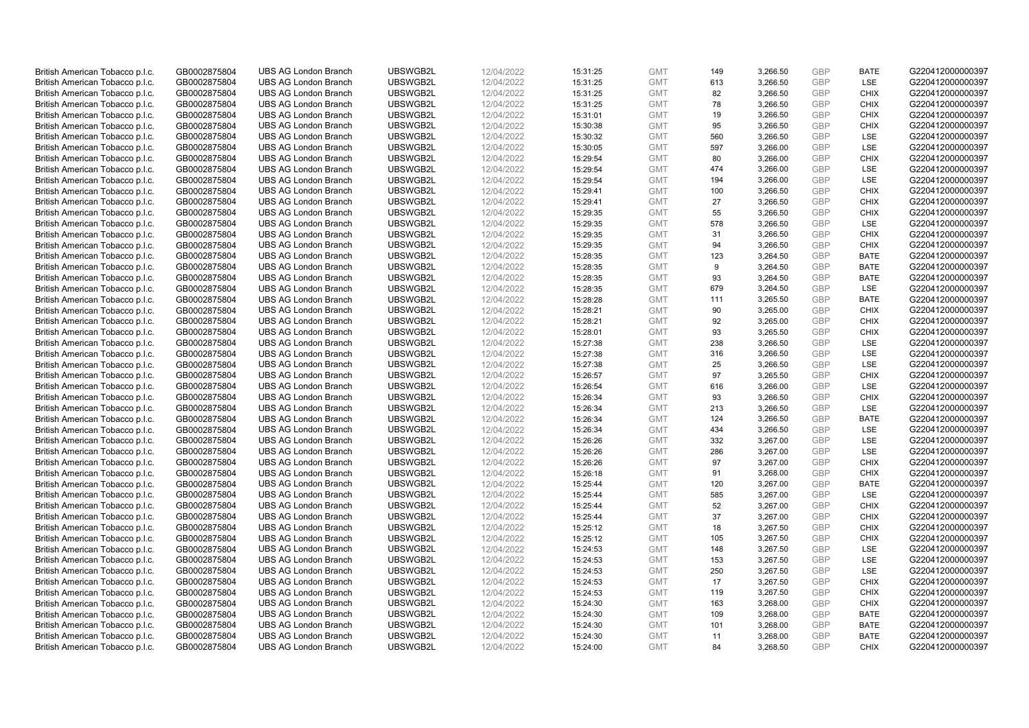| British American Tobacco p.l.c. | GB0002875804 | <b>UBS AG London Branch</b> | UBSWGB2L             | 12/04/2022 | 15:31:25 | <b>GMT</b> | 149 | 3,266.50 | <b>GBP</b> | <b>BATE</b> | G220412000000397 |
|---------------------------------|--------------|-----------------------------|----------------------|------------|----------|------------|-----|----------|------------|-------------|------------------|
| British American Tobacco p.l.c. | GB0002875804 | <b>UBS AG London Branch</b> | UBSWGB2L             | 12/04/2022 | 15:31:25 | <b>GMT</b> | 613 | 3,266.50 | <b>GBP</b> | LSE         | G220412000000397 |
| British American Tobacco p.l.c. | GB0002875804 | <b>UBS AG London Branch</b> | UBSWGB2L             | 12/04/2022 | 15:31:25 | <b>GMT</b> | 82  | 3,266.50 | <b>GBP</b> | <b>CHIX</b> | G220412000000397 |
|                                 |              |                             | UBSWGB2L             |            |          | <b>GMT</b> | 78  |          | <b>GBP</b> |             |                  |
| British American Tobacco p.l.c. | GB0002875804 | <b>UBS AG London Branch</b> |                      | 12/04/2022 | 15:31:25 |            |     | 3,266.50 |            | <b>CHIX</b> | G220412000000397 |
| British American Tobacco p.l.c. | GB0002875804 | <b>UBS AG London Branch</b> | UBSWGB2L             | 12/04/2022 | 15:31:01 | <b>GMT</b> | 19  | 3,266.50 | <b>GBP</b> | <b>CHIX</b> | G220412000000397 |
| British American Tobacco p.l.c. | GB0002875804 | <b>UBS AG London Branch</b> | UBSWGB2L             | 12/04/2022 | 15:30:38 | <b>GMT</b> | 95  | 3,266.50 | <b>GBP</b> | <b>CHIX</b> | G220412000000397 |
| British American Tobacco p.l.c. | GB0002875804 | <b>UBS AG London Branch</b> | UBSWGB2L             | 12/04/2022 | 15:30:32 | <b>GMT</b> | 560 | 3,266.50 | <b>GBP</b> | LSE         | G220412000000397 |
| British American Tobacco p.l.c. | GB0002875804 | <b>UBS AG London Branch</b> | UBSWGB2L             | 12/04/2022 | 15:30:05 | <b>GMT</b> | 597 | 3,266.00 | <b>GBP</b> | LSE         | G220412000000397 |
| British American Tobacco p.l.c. | GB0002875804 | <b>UBS AG London Branch</b> | UBSWGB2L             | 12/04/2022 | 15:29:54 | <b>GMT</b> | 80  | 3,266.00 | <b>GBP</b> | <b>CHIX</b> | G220412000000397 |
| British American Tobacco p.l.c. | GB0002875804 | <b>UBS AG London Branch</b> | UBSWGB2L             | 12/04/2022 | 15:29:54 | <b>GMT</b> | 474 | 3,266.00 | <b>GBP</b> | LSE         | G220412000000397 |
| British American Tobacco p.l.c. | GB0002875804 | <b>UBS AG London Branch</b> | UBSWGB2L             | 12/04/2022 | 15:29:54 | <b>GMT</b> | 194 | 3,266.00 | <b>GBP</b> | LSE         | G220412000000397 |
| British American Tobacco p.l.c. | GB0002875804 | <b>UBS AG London Branch</b> | UBSWGB2L             | 12/04/2022 | 15:29:41 | <b>GMT</b> | 100 | 3,266.50 | <b>GBP</b> | <b>CHIX</b> | G220412000000397 |
| British American Tobacco p.l.c. | GB0002875804 | <b>UBS AG London Branch</b> | UBSWGB2L             | 12/04/2022 | 15:29:41 | <b>GMT</b> | 27  | 3,266.50 | <b>GBP</b> | <b>CHIX</b> | G220412000000397 |
| British American Tobacco p.l.c. | GB0002875804 | <b>UBS AG London Branch</b> | UBSWGB2L             | 12/04/2022 | 15:29:35 | <b>GMT</b> | 55  | 3,266.50 | <b>GBP</b> | <b>CHIX</b> | G220412000000397 |
| British American Tobacco p.l.c. | GB0002875804 | <b>UBS AG London Branch</b> | UBSWGB2L             | 12/04/2022 | 15:29:35 | <b>GMT</b> | 578 | 3,266.50 | <b>GBP</b> | <b>LSE</b>  | G220412000000397 |
| British American Tobacco p.l.c. | GB0002875804 | <b>UBS AG London Branch</b> | UBSWGB2L             | 12/04/2022 | 15:29:35 | <b>GMT</b> | 31  | 3,266.50 | <b>GBP</b> | <b>CHIX</b> | G220412000000397 |
| British American Tobacco p.l.c. | GB0002875804 | <b>UBS AG London Branch</b> | UBSWGB2L             | 12/04/2022 | 15:29:35 | <b>GMT</b> | 94  | 3,266.50 | <b>GBP</b> | <b>CHIX</b> | G220412000000397 |
| British American Tobacco p.l.c. | GB0002875804 | <b>UBS AG London Branch</b> | UBSWGB2L             | 12/04/2022 | 15:28:35 | <b>GMT</b> | 123 | 3,264.50 | <b>GBP</b> | <b>BATE</b> | G220412000000397 |
| British American Tobacco p.l.c. | GB0002875804 | <b>UBS AG London Branch</b> | UBSWGB2L             | 12/04/2022 | 15:28:35 | <b>GMT</b> | 9   | 3,264.50 | <b>GBP</b> | <b>BATE</b> | G220412000000397 |
| British American Tobacco p.l.c. | GB0002875804 | <b>UBS AG London Branch</b> | UBSWGB2L             | 12/04/2022 | 15:28:35 | <b>GMT</b> | 93  | 3,264.50 | <b>GBP</b> | <b>BATE</b> | G220412000000397 |
| British American Tobacco p.l.c. | GB0002875804 | <b>UBS AG London Branch</b> | UBSWGB2L             | 12/04/2022 | 15:28:35 | <b>GMT</b> | 679 | 3,264.50 | <b>GBP</b> | <b>LSE</b>  | G220412000000397 |
| British American Tobacco p.l.c. | GB0002875804 | <b>UBS AG London Branch</b> | UBSWGB2L             | 12/04/2022 | 15:28:28 | <b>GMT</b> | 111 | 3,265.50 | <b>GBP</b> | <b>BATE</b> | G220412000000397 |
| British American Tobacco p.l.c. | GB0002875804 | <b>UBS AG London Branch</b> | UBSWGB2L             | 12/04/2022 | 15:28:21 | <b>GMT</b> | 90  | 3,265.00 | <b>GBP</b> | <b>CHIX</b> | G220412000000397 |
| British American Tobacco p.l.c. | GB0002875804 | <b>UBS AG London Branch</b> | UBSWGB2L             | 12/04/2022 |          | <b>GMT</b> | 92  |          | <b>GBP</b> | <b>CHIX</b> | G220412000000397 |
|                                 |              |                             |                      |            | 15:28:21 | <b>GMT</b> | 93  | 3,265.00 | <b>GBP</b> | <b>CHIX</b> |                  |
| British American Tobacco p.l.c. | GB0002875804 | <b>UBS AG London Branch</b> | UBSWGB2L<br>UBSWGB2L | 12/04/2022 | 15:28:01 |            |     | 3,265.50 |            |             | G220412000000397 |
| British American Tobacco p.l.c. | GB0002875804 | <b>UBS AG London Branch</b> |                      | 12/04/2022 | 15:27:38 | <b>GMT</b> | 238 | 3,266.50 | <b>GBP</b> | <b>LSE</b>  | G220412000000397 |
| British American Tobacco p.l.c. | GB0002875804 | <b>UBS AG London Branch</b> | UBSWGB2L             | 12/04/2022 | 15:27:38 | <b>GMT</b> | 316 | 3,266.50 | <b>GBP</b> | LSE         | G220412000000397 |
| British American Tobacco p.l.c. | GB0002875804 | <b>UBS AG London Branch</b> | UBSWGB2L             | 12/04/2022 | 15:27:38 | <b>GMT</b> | 25  | 3,266.50 | <b>GBP</b> | <b>LSE</b>  | G220412000000397 |
| British American Tobacco p.l.c. | GB0002875804 | <b>UBS AG London Branch</b> | UBSWGB2L             | 12/04/2022 | 15:26:57 | <b>GMT</b> | 97  | 3,265.50 | <b>GBP</b> | <b>CHIX</b> | G220412000000397 |
| British American Tobacco p.l.c. | GB0002875804 | <b>UBS AG London Branch</b> | UBSWGB2L             | 12/04/2022 | 15:26:54 | <b>GMT</b> | 616 | 3,266.00 | <b>GBP</b> | LSE         | G220412000000397 |
| British American Tobacco p.l.c. | GB0002875804 | <b>UBS AG London Branch</b> | UBSWGB2L             | 12/04/2022 | 15:26:34 | <b>GMT</b> | 93  | 3,266.50 | <b>GBP</b> | <b>CHIX</b> | G220412000000397 |
| British American Tobacco p.l.c. | GB0002875804 | <b>UBS AG London Branch</b> | UBSWGB2L             | 12/04/2022 | 15:26:34 | <b>GMT</b> | 213 | 3,266.50 | <b>GBP</b> | <b>LSE</b>  | G220412000000397 |
| British American Tobacco p.l.c. | GB0002875804 | <b>UBS AG London Branch</b> | UBSWGB2L             | 12/04/2022 | 15:26:34 | <b>GMT</b> | 124 | 3,266.50 | <b>GBP</b> | <b>BATE</b> | G220412000000397 |
| British American Tobacco p.l.c. | GB0002875804 | <b>UBS AG London Branch</b> | UBSWGB2L             | 12/04/2022 | 15:26:34 | <b>GMT</b> | 434 | 3,266.50 | <b>GBP</b> | LSE         | G220412000000397 |
| British American Tobacco p.l.c. | GB0002875804 | <b>UBS AG London Branch</b> | UBSWGB2L             | 12/04/2022 | 15:26:26 | <b>GMT</b> | 332 | 3,267.00 | <b>GBP</b> | LSE         | G220412000000397 |
| British American Tobacco p.l.c. | GB0002875804 | <b>UBS AG London Branch</b> | UBSWGB2L             | 12/04/2022 | 15:26:26 | <b>GMT</b> | 286 | 3,267.00 | <b>GBP</b> | <b>LSE</b>  | G220412000000397 |
| British American Tobacco p.l.c. | GB0002875804 | <b>UBS AG London Branch</b> | UBSWGB2L             | 12/04/2022 | 15:26:26 | <b>GMT</b> | 97  | 3,267.00 | <b>GBP</b> | <b>CHIX</b> | G220412000000397 |
| British American Tobacco p.l.c. | GB0002875804 | <b>UBS AG London Branch</b> | UBSWGB2L             | 12/04/2022 | 15:26:18 | <b>GMT</b> | 91  | 3,268.00 | <b>GBP</b> | <b>CHIX</b> | G220412000000397 |
| British American Tobacco p.l.c. | GB0002875804 | <b>UBS AG London Branch</b> | UBSWGB2L             | 12/04/2022 | 15:25:44 | <b>GMT</b> | 120 | 3,267.00 | <b>GBP</b> | <b>BATE</b> | G220412000000397 |
| British American Tobacco p.l.c. | GB0002875804 | <b>UBS AG London Branch</b> | UBSWGB2L             | 12/04/2022 | 15:25:44 | <b>GMT</b> | 585 | 3,267.00 | <b>GBP</b> | LSE         | G220412000000397 |
| British American Tobacco p.l.c. | GB0002875804 | <b>UBS AG London Branch</b> | UBSWGB2L             | 12/04/2022 | 15:25:44 | <b>GMT</b> | 52  | 3,267.00 | <b>GBP</b> | <b>CHIX</b> | G220412000000397 |
| British American Tobacco p.l.c. | GB0002875804 | <b>UBS AG London Branch</b> | UBSWGB2L             | 12/04/2022 | 15:25:44 | <b>GMT</b> | 37  | 3,267.00 | <b>GBP</b> | <b>CHIX</b> | G220412000000397 |
| British American Tobacco p.l.c. | GB0002875804 | <b>UBS AG London Branch</b> | UBSWGB2L             | 12/04/2022 | 15:25:12 | <b>GMT</b> | 18  | 3,267.50 | <b>GBP</b> | <b>CHIX</b> | G220412000000397 |
| British American Tobacco p.l.c. | GB0002875804 | <b>UBS AG London Branch</b> | UBSWGB2L             | 12/04/2022 | 15:25:12 | <b>GMT</b> | 105 | 3,267.50 | <b>GBP</b> | <b>CHIX</b> | G220412000000397 |
| British American Tobacco p.l.c. | GB0002875804 | <b>UBS AG London Branch</b> | UBSWGB2L             | 12/04/2022 | 15:24:53 | <b>GMT</b> | 148 | 3,267.50 | <b>GBP</b> | LSE         | G220412000000397 |
| British American Tobacco p.l.c. | GB0002875804 | <b>UBS AG London Branch</b> | UBSWGB2L             | 12/04/2022 | 15:24:53 | <b>GMT</b> | 153 | 3,267.50 | <b>GBP</b> | LSE         | G220412000000397 |
| British American Tobacco p.l.c. | GB0002875804 | <b>UBS AG London Branch</b> | UBSWGB2L             | 12/04/2022 | 15:24:53 | <b>GMT</b> | 250 | 3,267.50 | <b>GBP</b> | LSE         | G220412000000397 |
| British American Tobacco p.l.c. | GB0002875804 | <b>UBS AG London Branch</b> | UBSWGB2L             | 12/04/2022 | 15:24:53 | <b>GMT</b> | 17  | 3,267.50 | <b>GBP</b> | <b>CHIX</b> | G220412000000397 |
| British American Tobacco p.l.c. | GB0002875804 | <b>UBS AG London Branch</b> | UBSWGB2L             | 12/04/2022 | 15:24:53 | <b>GMT</b> | 119 | 3,267.50 | <b>GBP</b> | <b>CHIX</b> | G220412000000397 |
| British American Tobacco p.l.c. | GB0002875804 | <b>UBS AG London Branch</b> | UBSWGB2L             | 12/04/2022 | 15:24:30 | <b>GMT</b> | 163 | 3,268.00 | <b>GBP</b> | <b>CHIX</b> | G220412000000397 |
| British American Tobacco p.l.c. | GB0002875804 | <b>UBS AG London Branch</b> | UBSWGB2L             | 12/04/2022 | 15:24:30 | <b>GMT</b> | 109 | 3,268.00 | <b>GBP</b> | <b>BATE</b> | G220412000000397 |
| British American Tobacco p.l.c. | GB0002875804 | <b>UBS AG London Branch</b> | UBSWGB2L             | 12/04/2022 | 15:24:30 | <b>GMT</b> | 101 | 3,268.00 | <b>GBP</b> | <b>BATE</b> | G220412000000397 |
| British American Tobacco p.l.c. | GB0002875804 | <b>UBS AG London Branch</b> | UBSWGB2L             | 12/04/2022 | 15:24:30 | <b>GMT</b> | 11  | 3,268.00 | <b>GBP</b> | <b>BATE</b> | G220412000000397 |
| British American Tobacco p.l.c. | GB0002875804 | <b>UBS AG London Branch</b> | UBSWGB2L             | 12/04/2022 | 15:24:00 | <b>GMT</b> | 84  | 3,268.50 | GBP        | <b>CHIX</b> | G220412000000397 |
|                                 |              |                             |                      |            |          |            |     |          |            |             |                  |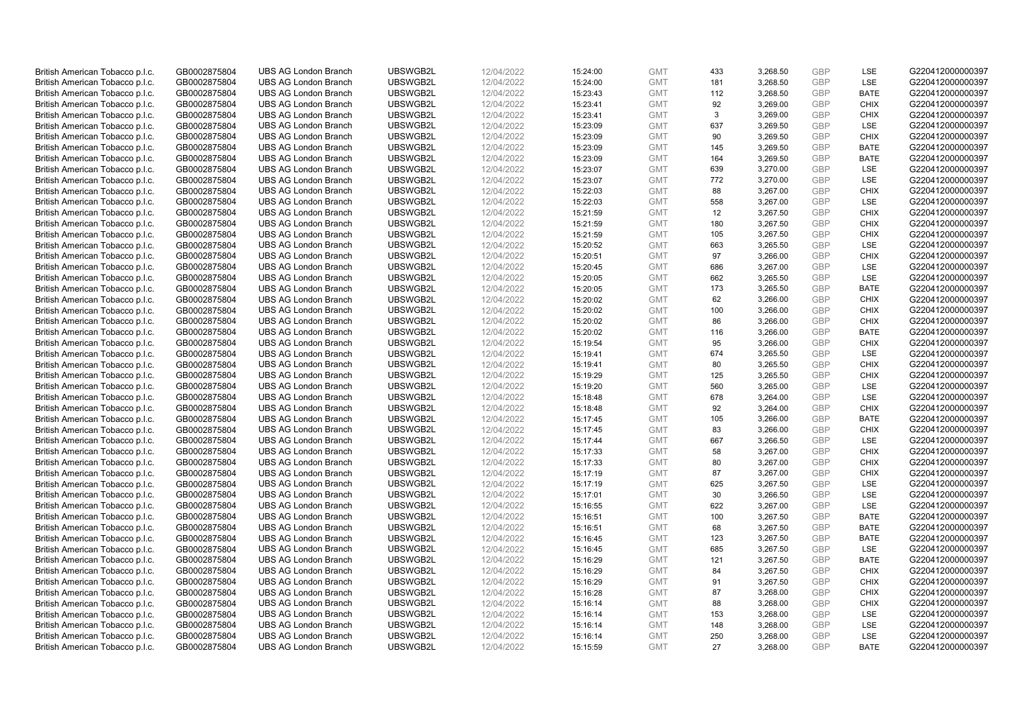| British American Tobacco p.l.c. | GB0002875804 | <b>UBS AG London Branch</b> | UBSWGB2L | 12/04/2022 | 15:24:00 | <b>GMT</b> | 433 | 3,268.50 | <b>GBP</b>               | <b>LSE</b>  | G220412000000397 |
|---------------------------------|--------------|-----------------------------|----------|------------|----------|------------|-----|----------|--------------------------|-------------|------------------|
| British American Tobacco p.l.c. | GB0002875804 | <b>UBS AG London Branch</b> | UBSWGB2L | 12/04/2022 | 15:24:00 | <b>GMT</b> | 181 | 3,268.50 | <b>GBP</b>               | LSE         | G220412000000397 |
|                                 |              |                             |          |            |          |            |     |          |                          |             |                  |
| British American Tobacco p.l.c. | GB0002875804 | <b>UBS AG London Branch</b> | UBSWGB2L | 12/04/2022 | 15:23:43 | <b>GMT</b> | 112 | 3,268.50 | <b>GBP</b>               | <b>BATE</b> | G220412000000397 |
| British American Tobacco p.l.c. | GB0002875804 | <b>UBS AG London Branch</b> | UBSWGB2L | 12/04/2022 | 15:23:41 | <b>GMT</b> | 92  | 3,269.00 | <b>GBP</b>               | <b>CHIX</b> | G220412000000397 |
| British American Tobacco p.l.c. | GB0002875804 | <b>UBS AG London Branch</b> | UBSWGB2L | 12/04/2022 | 15:23:41 | <b>GMT</b> | 3   | 3,269.00 | <b>GBP</b>               | <b>CHIX</b> | G220412000000397 |
| British American Tobacco p.l.c. | GB0002875804 | <b>UBS AG London Branch</b> | UBSWGB2L | 12/04/2022 | 15:23:09 | <b>GMT</b> | 637 | 3,269.50 | <b>GBP</b>               | LSE         | G220412000000397 |
| British American Tobacco p.l.c. | GB0002875804 | <b>UBS AG London Branch</b> | UBSWGB2L | 12/04/2022 | 15:23:09 | <b>GMT</b> | 90  | 3,269.50 | <b>GBP</b>               | <b>CHIX</b> | G220412000000397 |
| British American Tobacco p.l.c. | GB0002875804 | <b>UBS AG London Branch</b> | UBSWGB2L | 12/04/2022 | 15:23:09 | <b>GMT</b> | 145 | 3,269.50 | GBP                      | <b>BATE</b> | G220412000000397 |
| British American Tobacco p.l.c. | GB0002875804 | <b>UBS AG London Branch</b> | UBSWGB2L | 12/04/2022 | 15:23:09 | <b>GMT</b> | 164 | 3,269.50 | <b>GBP</b>               | <b>BATE</b> | G220412000000397 |
| British American Tobacco p.l.c. | GB0002875804 | <b>UBS AG London Branch</b> | UBSWGB2L | 12/04/2022 | 15:23:07 | <b>GMT</b> | 639 | 3,270.00 | <b>GBP</b>               | LSE         | G220412000000397 |
| British American Tobacco p.l.c. | GB0002875804 | <b>UBS AG London Branch</b> | UBSWGB2L | 12/04/2022 | 15:23:07 | <b>GMT</b> | 772 | 3,270.00 | <b>GBP</b>               | LSE         | G220412000000397 |
| British American Tobacco p.l.c. | GB0002875804 | <b>UBS AG London Branch</b> | UBSWGB2L | 12/04/2022 | 15:22:03 | <b>GMT</b> | 88  | 3,267.00 | <b>GBP</b>               | <b>CHIX</b> | G220412000000397 |
| British American Tobacco p.l.c. | GB0002875804 | <b>UBS AG London Branch</b> | UBSWGB2L | 12/04/2022 | 15:22:03 | <b>GMT</b> | 558 | 3,267.00 | <b>GBP</b>               | LSE         | G220412000000397 |
| British American Tobacco p.l.c. | GB0002875804 | <b>UBS AG London Branch</b> | UBSWGB2L | 12/04/2022 | 15:21:59 | <b>GMT</b> | 12  | 3,267.50 | <b>GBP</b>               | <b>CHIX</b> | G220412000000397 |
| British American Tobacco p.l.c. | GB0002875804 | <b>UBS AG London Branch</b> | UBSWGB2L | 12/04/2022 | 15:21:59 | <b>GMT</b> | 180 | 3,267.50 | <b>GBP</b>               | <b>CHIX</b> | G220412000000397 |
| British American Tobacco p.l.c. | GB0002875804 | <b>UBS AG London Branch</b> | UBSWGB2L | 12/04/2022 | 15:21:59 | <b>GMT</b> | 105 | 3,267.50 | <b>GBP</b>               | <b>CHIX</b> | G220412000000397 |
|                                 | GB0002875804 | <b>UBS AG London Branch</b> | UBSWGB2L | 12/04/2022 | 15:20:52 | <b>GMT</b> | 663 |          | <b>GBP</b>               | LSE         | G220412000000397 |
| British American Tobacco p.l.c. |              |                             |          |            |          |            |     | 3,265.50 |                          |             |                  |
| British American Tobacco p.l.c. | GB0002875804 | <b>UBS AG London Branch</b> | UBSWGB2L | 12/04/2022 | 15:20:51 | <b>GMT</b> | 97  | 3,266.00 | <b>GBP</b>               | <b>CHIX</b> | G220412000000397 |
| British American Tobacco p.l.c. | GB0002875804 | <b>UBS AG London Branch</b> | UBSWGB2L | 12/04/2022 | 15:20:45 | <b>GMT</b> | 686 | 3,267.00 | <b>GBP</b>               | <b>LSE</b>  | G220412000000397 |
| British American Tobacco p.l.c. | GB0002875804 | <b>UBS AG London Branch</b> | UBSWGB2L | 12/04/2022 | 15:20:05 | <b>GMT</b> | 662 | 3,265.50 | <b>GBP</b>               | LSE         | G220412000000397 |
| British American Tobacco p.l.c. | GB0002875804 | <b>UBS AG London Branch</b> | UBSWGB2L | 12/04/2022 | 15:20:05 | <b>GMT</b> | 173 | 3,265.50 | <b>GBP</b>               | <b>BATE</b> | G220412000000397 |
| British American Tobacco p.l.c. | GB0002875804 | <b>UBS AG London Branch</b> | UBSWGB2L | 12/04/2022 | 15:20:02 | <b>GMT</b> | 62  | 3,266.00 | <b>GBP</b>               | <b>CHIX</b> | G220412000000397 |
| British American Tobacco p.l.c. | GB0002875804 | <b>UBS AG London Branch</b> | UBSWGB2L | 12/04/2022 | 15:20:02 | <b>GMT</b> | 100 | 3,266.00 | <b>GBP</b>               | <b>CHIX</b> | G220412000000397 |
| British American Tobacco p.l.c. | GB0002875804 | <b>UBS AG London Branch</b> | UBSWGB2L | 12/04/2022 | 15:20:02 | <b>GMT</b> | 86  | 3,266.00 | <b>GBP</b>               | <b>CHIX</b> | G220412000000397 |
| British American Tobacco p.l.c. | GB0002875804 | <b>UBS AG London Branch</b> | UBSWGB2L | 12/04/2022 | 15:20:02 | <b>GMT</b> | 116 | 3,266.00 | <b>GBP</b>               | <b>BATE</b> | G220412000000397 |
| British American Tobacco p.l.c. | GB0002875804 | <b>UBS AG London Branch</b> | UBSWGB2L | 12/04/2022 | 15:19:54 | <b>GMT</b> | 95  | 3,266.00 | <b>GBP</b>               | <b>CHIX</b> | G220412000000397 |
| British American Tobacco p.l.c. | GB0002875804 | <b>UBS AG London Branch</b> | UBSWGB2L | 12/04/2022 | 15:19:41 | <b>GMT</b> | 674 | 3,265.50 | <b>GBP</b>               | LSE         | G220412000000397 |
| British American Tobacco p.l.c. | GB0002875804 | <b>UBS AG London Branch</b> | UBSWGB2L | 12/04/2022 | 15:19:41 | <b>GMT</b> | 80  | 3,265.50 | <b>GBP</b>               | <b>CHIX</b> | G220412000000397 |
| British American Tobacco p.l.c. | GB0002875804 | <b>UBS AG London Branch</b> | UBSWGB2L | 12/04/2022 | 15:19:29 | <b>GMT</b> | 125 | 3,265.50 | <b>GBP</b>               | <b>CHIX</b> | G220412000000397 |
| British American Tobacco p.l.c. | GB0002875804 | <b>UBS AG London Branch</b> | UBSWGB2L | 12/04/2022 | 15:19:20 | <b>GMT</b> | 560 | 3,265.00 | <b>GBP</b>               | LSE         | G220412000000397 |
| British American Tobacco p.l.c. | GB0002875804 | <b>UBS AG London Branch</b> | UBSWGB2L | 12/04/2022 | 15:18:48 | <b>GMT</b> | 678 | 3,264.00 | <b>GBP</b>               | LSE         | G220412000000397 |
| British American Tobacco p.l.c. | GB0002875804 | <b>UBS AG London Branch</b> | UBSWGB2L | 12/04/2022 | 15:18:48 | <b>GMT</b> | 92  | 3,264.00 | <b>GBP</b>               | <b>CHIX</b> | G220412000000397 |
| British American Tobacco p.l.c. | GB0002875804 | <b>UBS AG London Branch</b> | UBSWGB2L | 12/04/2022 | 15:17:45 | <b>GMT</b> | 105 | 3,266.00 | <b>GBP</b>               | <b>BATE</b> | G220412000000397 |
| British American Tobacco p.l.c. | GB0002875804 | <b>UBS AG London Branch</b> | UBSWGB2L | 12/04/2022 | 15:17:45 | <b>GMT</b> | 83  | 3,266.00 | <b>GBP</b>               | <b>CHIX</b> | G220412000000397 |
| British American Tobacco p.l.c. | GB0002875804 | <b>UBS AG London Branch</b> | UBSWGB2L | 12/04/2022 | 15:17:44 | <b>GMT</b> | 667 | 3,266.50 | <b>GBP</b>               | LSE         | G220412000000397 |
| British American Tobacco p.l.c. | GB0002875804 | <b>UBS AG London Branch</b> | UBSWGB2L | 12/04/2022 | 15:17:33 | <b>GMT</b> | 58  | 3,267.00 | <b>GBP</b>               | <b>CHIX</b> | G220412000000397 |
| British American Tobacco p.l.c. | GB0002875804 | <b>UBS AG London Branch</b> | UBSWGB2L | 12/04/2022 | 15:17:33 | <b>GMT</b> | 80  | 3,267.00 | <b>GBP</b>               | <b>CHIX</b> | G220412000000397 |
| British American Tobacco p.l.c. | GB0002875804 | <b>UBS AG London Branch</b> | UBSWGB2L | 12/04/2022 | 15:17:19 | <b>GMT</b> | 87  | 3,267.00 | <b>GBP</b>               | <b>CHIX</b> | G220412000000397 |
| British American Tobacco p.l.c. | GB0002875804 | <b>UBS AG London Branch</b> | UBSWGB2L | 12/04/2022 | 15:17:19 | <b>GMT</b> | 625 | 3,267.50 | <b>GBP</b>               | LSE         | G220412000000397 |
| British American Tobacco p.l.c. | GB0002875804 | <b>UBS AG London Branch</b> | UBSWGB2L | 12/04/2022 | 15:17:01 | <b>GMT</b> | 30  | 3,266.50 | <b>GBP</b>               | LSE         | G220412000000397 |
| British American Tobacco p.l.c. | GB0002875804 | <b>UBS AG London Branch</b> | UBSWGB2L | 12/04/2022 | 15:16:55 | <b>GMT</b> | 622 | 3,267.00 | <b>GBP</b>               | LSE         | G220412000000397 |
| British American Tobacco p.l.c. | GB0002875804 | <b>UBS AG London Branch</b> | UBSWGB2L | 12/04/2022 | 15:16:51 | <b>GMT</b> | 100 | 3,267.50 | <b>GBP</b>               | <b>BATE</b> | G220412000000397 |
| British American Tobacco p.l.c. | GB0002875804 | <b>UBS AG London Branch</b> | UBSWGB2L | 12/04/2022 | 15:16:51 | <b>GMT</b> | 68  | 3,267.50 | <b>GBP</b>               | <b>BATE</b> | G220412000000397 |
| British American Tobacco p.l.c. | GB0002875804 | <b>UBS AG London Branch</b> | UBSWGB2L | 12/04/2022 | 15:16:45 | <b>GMT</b> | 123 | 3,267.50 | <b>GBP</b>               | <b>BATE</b> | G220412000000397 |
|                                 |              |                             |          |            |          |            | 685 |          |                          |             |                  |
| British American Tobacco p.l.c. | GB0002875804 | <b>UBS AG London Branch</b> | UBSWGB2L | 12/04/2022 | 15:16:45 | <b>GMT</b> |     | 3,267.50 | <b>GBP</b><br><b>GBP</b> | LSE         | G220412000000397 |
| British American Tobacco p.l.c. | GB0002875804 | <b>UBS AG London Branch</b> | UBSWGB2L | 12/04/2022 | 15:16:29 | <b>GMT</b> | 121 | 3,267.50 |                          | <b>BATE</b> | G220412000000397 |
| British American Tobacco p.l.c. | GB0002875804 | <b>UBS AG London Branch</b> | UBSWGB2L | 12/04/2022 | 15:16:29 | <b>GMT</b> | 84  | 3,267.50 | <b>GBP</b>               | <b>CHIX</b> | G220412000000397 |
| British American Tobacco p.l.c. | GB0002875804 | <b>UBS AG London Branch</b> | UBSWGB2L | 12/04/2022 | 15:16:29 | <b>GMT</b> | 91  | 3,267.50 | <b>GBP</b>               | <b>CHIX</b> | G220412000000397 |
| British American Tobacco p.l.c. | GB0002875804 | <b>UBS AG London Branch</b> | UBSWGB2L | 12/04/2022 | 15:16:28 | <b>GMT</b> | 87  | 3,268.00 | <b>GBP</b>               | <b>CHIX</b> | G220412000000397 |
| British American Tobacco p.l.c. | GB0002875804 | <b>UBS AG London Branch</b> | UBSWGB2L | 12/04/2022 | 15:16:14 | <b>GMT</b> | 88  | 3,268.00 | <b>GBP</b>               | <b>CHIX</b> | G220412000000397 |
| British American Tobacco p.l.c. | GB0002875804 | <b>UBS AG London Branch</b> | UBSWGB2L | 12/04/2022 | 15:16:14 | <b>GMT</b> | 153 | 3,268.00 | <b>GBP</b>               | LSE         | G220412000000397 |
| British American Tobacco p.l.c. | GB0002875804 | <b>UBS AG London Branch</b> | UBSWGB2L | 12/04/2022 | 15:16:14 | <b>GMT</b> | 148 | 3,268.00 | <b>GBP</b>               | LSE         | G220412000000397 |
| British American Tobacco p.l.c. | GB0002875804 | <b>UBS AG London Branch</b> | UBSWGB2L | 12/04/2022 | 15:16:14 | <b>GMT</b> | 250 | 3,268.00 | <b>GBP</b>               | LSE         | G220412000000397 |
| British American Tobacco p.l.c. | GB0002875804 | <b>UBS AG London Branch</b> | UBSWGB2L | 12/04/2022 | 15:15:59 | <b>GMT</b> | 27  | 3,268.00 | GBP                      | <b>BATE</b> | G220412000000397 |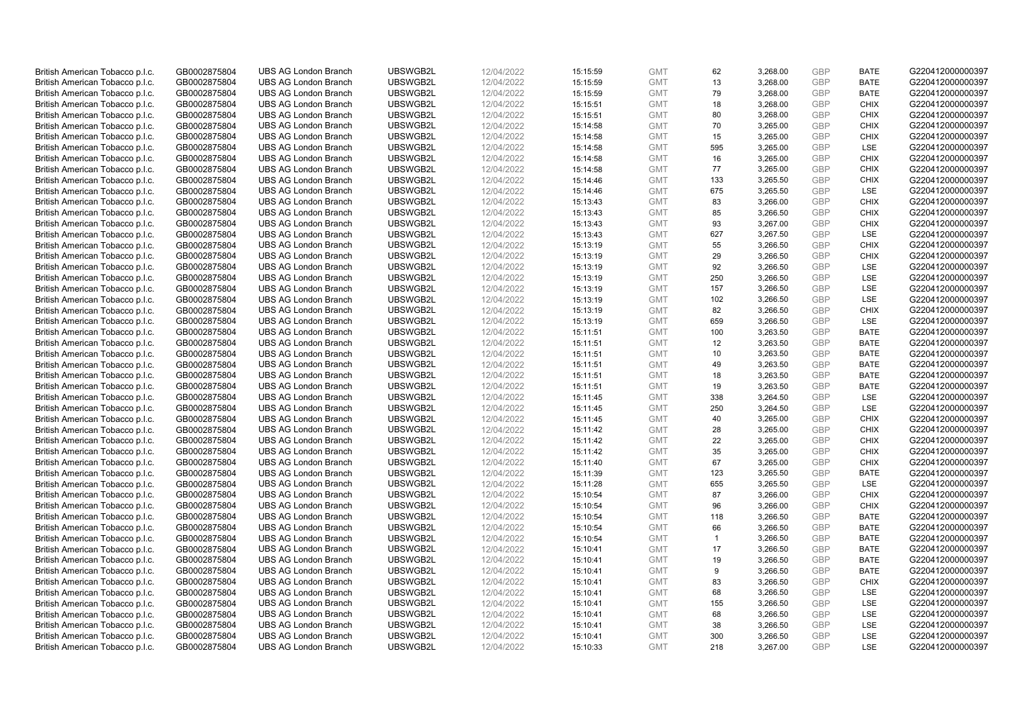| British American Tobacco p.l.c. | GB0002875804 | <b>UBS AG London Branch</b> | UBSWGB2L | 12/04/2022 | 15:15:59 | <b>GMT</b> | 62           | 3,268.00 | <b>GBP</b> | <b>BATE</b> | G220412000000397 |
|---------------------------------|--------------|-----------------------------|----------|------------|----------|------------|--------------|----------|------------|-------------|------------------|
|                                 |              |                             |          |            |          |            |              |          |            |             |                  |
| British American Tobacco p.l.c. | GB0002875804 | <b>UBS AG London Branch</b> | UBSWGB2L | 12/04/2022 | 15:15:59 | <b>GMT</b> | 13           | 3,268.00 | <b>GBP</b> | <b>BATE</b> | G220412000000397 |
| British American Tobacco p.l.c. | GB0002875804 | <b>UBS AG London Branch</b> | UBSWGB2L | 12/04/2022 | 15:15:59 | <b>GMT</b> | 79           | 3,268.00 | <b>GBP</b> | <b>BATE</b> | G220412000000397 |
| British American Tobacco p.l.c. | GB0002875804 | <b>UBS AG London Branch</b> | UBSWGB2L | 12/04/2022 | 15:15:51 | <b>GMT</b> | 18           | 3,268.00 | <b>GBP</b> | <b>CHIX</b> | G220412000000397 |
| British American Tobacco p.l.c. | GB0002875804 | <b>UBS AG London Branch</b> | UBSWGB2L | 12/04/2022 | 15:15:51 | <b>GMT</b> | 80           | 3,268.00 | <b>GBP</b> | <b>CHIX</b> | G220412000000397 |
| British American Tobacco p.l.c. | GB0002875804 | <b>UBS AG London Branch</b> | UBSWGB2L | 12/04/2022 | 15:14:58 | <b>GMT</b> | 70           | 3,265.00 | <b>GBP</b> | <b>CHIX</b> | G220412000000397 |
| British American Tobacco p.l.c. | GB0002875804 | <b>UBS AG London Branch</b> | UBSWGB2L | 12/04/2022 | 15:14:58 | <b>GMT</b> | 15           | 3,265.00 | <b>GBP</b> | <b>CHIX</b> | G220412000000397 |
| British American Tobacco p.l.c. | GB0002875804 | <b>UBS AG London Branch</b> | UBSWGB2L | 12/04/2022 | 15:14:58 | <b>GMT</b> | 595          | 3,265.00 | <b>GBP</b> | LSE         | G220412000000397 |
| British American Tobacco p.l.c. | GB0002875804 | <b>UBS AG London Branch</b> | UBSWGB2L | 12/04/2022 | 15:14:58 | <b>GMT</b> | 16           | 3,265.00 | <b>GBP</b> | <b>CHIX</b> | G220412000000397 |
| British American Tobacco p.l.c. | GB0002875804 | <b>UBS AG London Branch</b> | UBSWGB2L | 12/04/2022 | 15:14:58 | <b>GMT</b> | 77           | 3,265.00 | <b>GBP</b> | <b>CHIX</b> | G220412000000397 |
| British American Tobacco p.l.c. | GB0002875804 | <b>UBS AG London Branch</b> | UBSWGB2L | 12/04/2022 | 15:14:46 | <b>GMT</b> | 133          | 3,265.50 | <b>GBP</b> | <b>CHIX</b> | G220412000000397 |
| British American Tobacco p.l.c. | GB0002875804 | <b>UBS AG London Branch</b> | UBSWGB2L | 12/04/2022 | 15:14:46 | <b>GMT</b> | 675          | 3,265.50 | <b>GBP</b> | LSE         | G220412000000397 |
| British American Tobacco p.l.c. | GB0002875804 | <b>UBS AG London Branch</b> | UBSWGB2L | 12/04/2022 | 15:13:43 | <b>GMT</b> | 83           | 3,266.00 | <b>GBP</b> | <b>CHIX</b> | G220412000000397 |
| British American Tobacco p.l.c. | GB0002875804 | <b>UBS AG London Branch</b> | UBSWGB2L | 12/04/2022 | 15:13:43 | <b>GMT</b> | 85           | 3,266.50 | <b>GBP</b> | <b>CHIX</b> | G220412000000397 |
|                                 | GB0002875804 | <b>UBS AG London Branch</b> | UBSWGB2L | 12/04/2022 |          | <b>GMT</b> | 93           | 3,267.00 | <b>GBP</b> | <b>CHIX</b> |                  |
| British American Tobacco p.l.c. |              |                             |          |            | 15:13:43 |            |              |          |            |             | G220412000000397 |
| British American Tobacco p.l.c. | GB0002875804 | <b>UBS AG London Branch</b> | UBSWGB2L | 12/04/2022 | 15:13:43 | <b>GMT</b> | 627          | 3,267.50 | <b>GBP</b> | LSE         | G220412000000397 |
| British American Tobacco p.l.c. | GB0002875804 | <b>UBS AG London Branch</b> | UBSWGB2L | 12/04/2022 | 15:13:19 | <b>GMT</b> | 55           | 3,266.50 | <b>GBP</b> | <b>CHIX</b> | G220412000000397 |
| British American Tobacco p.l.c. | GB0002875804 | <b>UBS AG London Branch</b> | UBSWGB2L | 12/04/2022 | 15:13:19 | <b>GMT</b> | 29           | 3,266.50 | <b>GBP</b> | <b>CHIX</b> | G220412000000397 |
| British American Tobacco p.l.c. | GB0002875804 | <b>UBS AG London Branch</b> | UBSWGB2L | 12/04/2022 | 15:13:19 | <b>GMT</b> | 92           | 3,266.50 | <b>GBP</b> | <b>LSE</b>  | G220412000000397 |
| British American Tobacco p.l.c. | GB0002875804 | <b>UBS AG London Branch</b> | UBSWGB2L | 12/04/2022 | 15:13:19 | <b>GMT</b> | 250          | 3,266.50 | <b>GBP</b> | LSE         | G220412000000397 |
| British American Tobacco p.l.c. | GB0002875804 | <b>UBS AG London Branch</b> | UBSWGB2L | 12/04/2022 | 15:13:19 | <b>GMT</b> | 157          | 3,266.50 | <b>GBP</b> | LSE         | G220412000000397 |
| British American Tobacco p.l.c. | GB0002875804 | <b>UBS AG London Branch</b> | UBSWGB2L | 12/04/2022 | 15:13:19 | <b>GMT</b> | 102          | 3,266.50 | <b>GBP</b> | LSE         | G220412000000397 |
| British American Tobacco p.l.c. | GB0002875804 | <b>UBS AG London Branch</b> | UBSWGB2L | 12/04/2022 | 15:13:19 | <b>GMT</b> | 82           | 3,266.50 | <b>GBP</b> | <b>CHIX</b> | G220412000000397 |
| British American Tobacco p.l.c. | GB0002875804 | <b>UBS AG London Branch</b> | UBSWGB2L | 12/04/2022 | 15:13:19 | <b>GMT</b> | 659          | 3,266.50 | <b>GBP</b> | <b>LSE</b>  | G220412000000397 |
| British American Tobacco p.l.c. | GB0002875804 | <b>UBS AG London Branch</b> | UBSWGB2L | 12/04/2022 | 15:11:51 | <b>GMT</b> | 100          | 3,263.50 | <b>GBP</b> | <b>BATE</b> | G220412000000397 |
| British American Tobacco p.l.c. | GB0002875804 | <b>UBS AG London Branch</b> | UBSWGB2L | 12/04/2022 | 15:11:51 | <b>GMT</b> | 12           | 3,263.50 | <b>GBP</b> | <b>BATE</b> | G220412000000397 |
| British American Tobacco p.l.c. | GB0002875804 | <b>UBS AG London Branch</b> | UBSWGB2L | 12/04/2022 | 15:11:51 | <b>GMT</b> | 10           | 3,263.50 | <b>GBP</b> | <b>BATE</b> | G220412000000397 |
| British American Tobacco p.l.c. | GB0002875804 | <b>UBS AG London Branch</b> | UBSWGB2L | 12/04/2022 | 15:11:51 | <b>GMT</b> | 49           | 3,263.50 | <b>GBP</b> | <b>BATE</b> | G220412000000397 |
| British American Tobacco p.l.c. | GB0002875804 | <b>UBS AG London Branch</b> | UBSWGB2L | 12/04/2022 | 15:11:51 | <b>GMT</b> | 18           | 3,263.50 | <b>GBP</b> | <b>BATE</b> | G220412000000397 |
| British American Tobacco p.l.c. | GB0002875804 | <b>UBS AG London Branch</b> | UBSWGB2L | 12/04/2022 | 15:11:51 | <b>GMT</b> | 19           | 3,263.50 | <b>GBP</b> | <b>BATE</b> | G220412000000397 |
| British American Tobacco p.l.c. | GB0002875804 | <b>UBS AG London Branch</b> | UBSWGB2L | 12/04/2022 | 15:11:45 | <b>GMT</b> | 338          | 3,264.50 | <b>GBP</b> | LSE         | G220412000000397 |
| British American Tobacco p.l.c. | GB0002875804 | <b>UBS AG London Branch</b> | UBSWGB2L | 12/04/2022 | 15:11:45 | <b>GMT</b> | 250          | 3,264.50 | <b>GBP</b> | <b>LSE</b>  | G220412000000397 |
|                                 |              |                             | UBSWGB2L | 12/04/2022 |          | <b>GMT</b> |              |          | <b>GBP</b> | <b>CHIX</b> |                  |
| British American Tobacco p.l.c. | GB0002875804 | <b>UBS AG London Branch</b> |          |            | 15:11:45 |            | 40           | 3,265.00 |            |             | G220412000000397 |
| British American Tobacco p.l.c. | GB0002875804 | <b>UBS AG London Branch</b> | UBSWGB2L | 12/04/2022 | 15:11:42 | <b>GMT</b> | 28           | 3,265.00 | <b>GBP</b> | <b>CHIX</b> | G220412000000397 |
| British American Tobacco p.l.c. | GB0002875804 | <b>UBS AG London Branch</b> | UBSWGB2L | 12/04/2022 | 15:11:42 | <b>GMT</b> | 22           | 3,265.00 | <b>GBP</b> | <b>CHIX</b> | G220412000000397 |
| British American Tobacco p.l.c. | GB0002875804 | <b>UBS AG London Branch</b> | UBSWGB2L | 12/04/2022 | 15:11:42 | <b>GMT</b> | 35           | 3,265.00 | <b>GBP</b> | <b>CHIX</b> | G220412000000397 |
| British American Tobacco p.l.c. | GB0002875804 | <b>UBS AG London Branch</b> | UBSWGB2L | 12/04/2022 | 15:11:40 | <b>GMT</b> | 67           | 3,265.00 | <b>GBP</b> | <b>CHIX</b> | G220412000000397 |
| British American Tobacco p.l.c. | GB0002875804 | <b>UBS AG London Branch</b> | UBSWGB2L | 12/04/2022 | 15:11:39 | <b>GMT</b> | 123          | 3,265.50 | <b>GBP</b> | <b>BATE</b> | G220412000000397 |
| British American Tobacco p.l.c. | GB0002875804 | <b>UBS AG London Branch</b> | UBSWGB2L | 12/04/2022 | 15:11:28 | <b>GMT</b> | 655          | 3,265.50 | <b>GBP</b> | LSE         | G220412000000397 |
| British American Tobacco p.l.c. | GB0002875804 | <b>UBS AG London Branch</b> | UBSWGB2L | 12/04/2022 | 15:10:54 | <b>GMT</b> | 87           | 3,266.00 | <b>GBP</b> | <b>CHIX</b> | G220412000000397 |
| British American Tobacco p.l.c. | GB0002875804 | <b>UBS AG London Branch</b> | UBSWGB2L | 12/04/2022 | 15:10:54 | <b>GMT</b> | 96           | 3,266.00 | <b>GBP</b> | <b>CHIX</b> | G220412000000397 |
| British American Tobacco p.l.c. | GB0002875804 | <b>UBS AG London Branch</b> | UBSWGB2L | 12/04/2022 | 15:10:54 | <b>GMT</b> | 118          | 3,266.50 | <b>GBP</b> | <b>BATE</b> | G220412000000397 |
| British American Tobacco p.l.c. | GB0002875804 | <b>UBS AG London Branch</b> | UBSWGB2L | 12/04/2022 | 15:10:54 | <b>GMT</b> | 66           | 3,266.50 | <b>GBP</b> | <b>BATE</b> | G220412000000397 |
| British American Tobacco p.l.c. | GB0002875804 | <b>UBS AG London Branch</b> | UBSWGB2L | 12/04/2022 | 15:10:54 | <b>GMT</b> | $\mathbf{1}$ | 3,266.50 | <b>GBP</b> | <b>BATE</b> | G220412000000397 |
| British American Tobacco p.l.c. | GB0002875804 | <b>UBS AG London Branch</b> | UBSWGB2L | 12/04/2022 | 15:10:41 | <b>GMT</b> | 17           | 3,266.50 | <b>GBP</b> | <b>BATE</b> | G220412000000397 |
| British American Tobacco p.l.c. | GB0002875804 | <b>UBS AG London Branch</b> | UBSWGB2L | 12/04/2022 | 15:10:41 | <b>GMT</b> | 19           | 3,266.50 | <b>GBP</b> | <b>BATE</b> | G220412000000397 |
| British American Tobacco p.l.c. | GB0002875804 | <b>UBS AG London Branch</b> | UBSWGB2L | 12/04/2022 | 15:10:41 | <b>GMT</b> | 9            | 3,266.50 | <b>GBP</b> | <b>BATE</b> | G220412000000397 |
| British American Tobacco p.l.c. | GB0002875804 | <b>UBS AG London Branch</b> | UBSWGB2L | 12/04/2022 | 15:10:41 | <b>GMT</b> | 83           | 3,266.50 | <b>GBP</b> | <b>CHIX</b> | G220412000000397 |
| British American Tobacco p.l.c. | GB0002875804 | <b>UBS AG London Branch</b> | UBSWGB2L | 12/04/2022 | 15:10:41 | <b>GMT</b> | 68           | 3,266.50 | <b>GBP</b> | LSE         | G220412000000397 |
| British American Tobacco p.l.c. | GB0002875804 | <b>UBS AG London Branch</b> | UBSWGB2L | 12/04/2022 | 15:10:41 | <b>GMT</b> | 155          | 3,266.50 | <b>GBP</b> | LSE         | G220412000000397 |
| British American Tobacco p.l.c. | GB0002875804 | <b>UBS AG London Branch</b> | UBSWGB2L | 12/04/2022 | 15:10:41 | <b>GMT</b> | 68           | 3,266.50 | <b>GBP</b> | LSE         | G220412000000397 |
| British American Tobacco p.l.c. | GB0002875804 | <b>UBS AG London Branch</b> | UBSWGB2L | 12/04/2022 | 15:10:41 | <b>GMT</b> | 38           | 3,266.50 | <b>GBP</b> | LSE         | G220412000000397 |
| British American Tobacco p.l.c. | GB0002875804 | <b>UBS AG London Branch</b> | UBSWGB2L | 12/04/2022 | 15:10:41 | <b>GMT</b> | 300          | 3,266.50 | <b>GBP</b> | LSE         | G220412000000397 |
| British American Tobacco p.l.c. | GB0002875804 | <b>UBS AG London Branch</b> | UBSWGB2L | 12/04/2022 |          | <b>GMT</b> | 218          | 3,267.00 | GBP        | <b>LSE</b>  | G220412000000397 |
|                                 |              |                             |          |            | 15:10:33 |            |              |          |            |             |                  |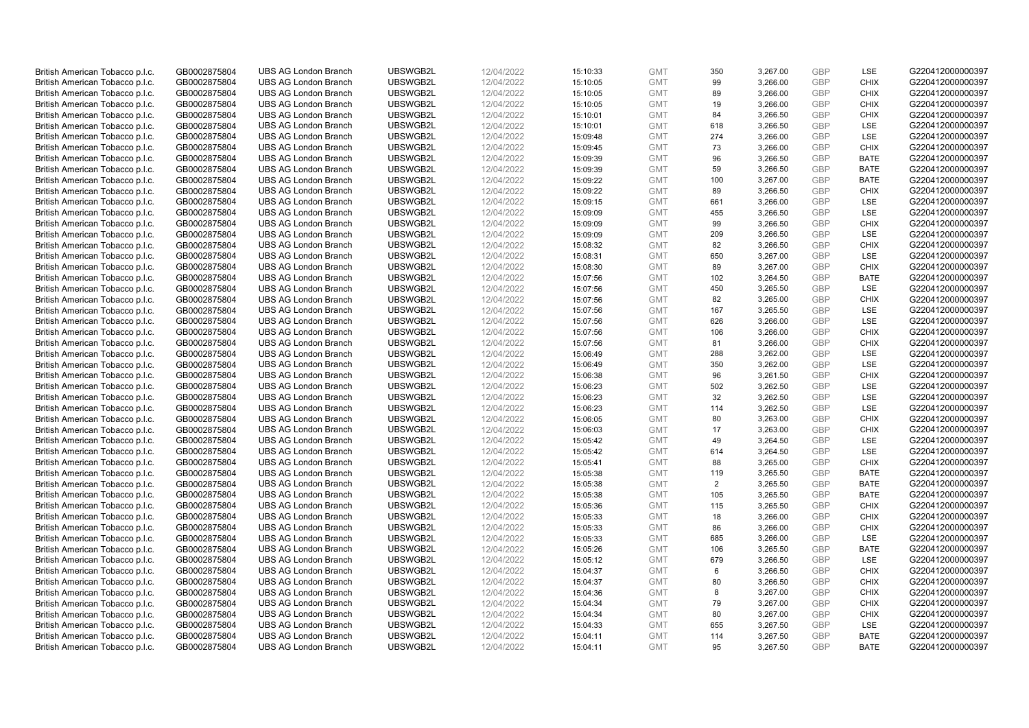| British American Tobacco p.l.c. | GB0002875804                 | <b>UBS AG London Branch</b> | UBSWGB2L | 12/04/2022               | 15:10:33 | <b>GMT</b> | 350 | 3,267.00 | <b>GBP</b> | LSE         | G220412000000397 |
|---------------------------------|------------------------------|-----------------------------|----------|--------------------------|----------|------------|-----|----------|------------|-------------|------------------|
| British American Tobacco p.l.c. | GB0002875804                 | <b>UBS AG London Branch</b> | UBSWGB2L | 12/04/2022               | 15:10:05 | <b>GMT</b> | 99  | 3,266.00 | <b>GBP</b> | <b>CHIX</b> | G220412000000397 |
|                                 |                              | <b>UBS AG London Branch</b> | UBSWGB2L |                          |          | <b>GMT</b> | 89  | 3,266.00 | <b>GBP</b> | <b>CHIX</b> | G220412000000397 |
| British American Tobacco p.l.c. | GB0002875804                 |                             |          | 12/04/2022               | 15:10:05 |            |     |          |            |             |                  |
| British American Tobacco p.l.c. | GB0002875804                 | <b>UBS AG London Branch</b> | UBSWGB2L | 12/04/2022               | 15:10:05 | <b>GMT</b> | 19  | 3,266.00 | <b>GBP</b> | <b>CHIX</b> | G220412000000397 |
| British American Tobacco p.l.c. | GB0002875804                 | <b>UBS AG London Branch</b> | UBSWGB2L | 12/04/2022               | 15:10:01 | <b>GMT</b> | 84  | 3,266.50 | <b>GBP</b> | <b>CHIX</b> | G220412000000397 |
| British American Tobacco p.l.c. | GB0002875804                 | <b>UBS AG London Branch</b> | UBSWGB2L | 12/04/2022               | 15:10:01 | <b>GMT</b> | 618 | 3,266.50 | <b>GBP</b> | <b>LSE</b>  | G220412000000397 |
| British American Tobacco p.l.c. | GB0002875804                 | <b>UBS AG London Branch</b> | UBSWGB2L | 12/04/2022               | 15:09:48 | <b>GMT</b> | 274 | 3,266.00 | <b>GBP</b> | LSE         | G220412000000397 |
| British American Tobacco p.l.c. | GB0002875804                 | <b>UBS AG London Branch</b> | UBSWGB2L | 12/04/2022               | 15:09:45 | <b>GMT</b> | 73  | 3,266.00 | <b>GBP</b> | <b>CHIX</b> | G220412000000397 |
| British American Tobacco p.l.c. | GB0002875804                 | <b>UBS AG London Branch</b> | UBSWGB2L | 12/04/2022               | 15:09:39 | <b>GMT</b> | 96  | 3,266.50 | <b>GBP</b> | <b>BATE</b> | G220412000000397 |
| British American Tobacco p.l.c. | GB0002875804                 | <b>UBS AG London Branch</b> | UBSWGB2L | 12/04/2022               | 15:09:39 | <b>GMT</b> | 59  | 3,266.50 | <b>GBP</b> | <b>BATE</b> | G220412000000397 |
| British American Tobacco p.l.c. | GB0002875804                 | <b>UBS AG London Branch</b> | UBSWGB2L | 12/04/2022               | 15:09:22 | <b>GMT</b> | 100 | 3,267.00 | <b>GBP</b> | <b>BATE</b> | G220412000000397 |
| British American Tobacco p.l.c. | GB0002875804                 | <b>UBS AG London Branch</b> | UBSWGB2L | 12/04/2022               | 15:09:22 | <b>GMT</b> | 89  | 3,266.50 | <b>GBP</b> | <b>CHIX</b> | G220412000000397 |
| British American Tobacco p.l.c. | GB0002875804                 | <b>UBS AG London Branch</b> | UBSWGB2L | 12/04/2022               | 15:09:15 | <b>GMT</b> | 661 | 3,266.00 | <b>GBP</b> | LSE         | G220412000000397 |
| British American Tobacco p.l.c. | GB0002875804                 | <b>UBS AG London Branch</b> | UBSWGB2L | 12/04/2022               | 15:09:09 | <b>GMT</b> | 455 | 3,266.50 | <b>GBP</b> | LSE         | G220412000000397 |
| British American Tobacco p.l.c. | GB0002875804                 | <b>UBS AG London Branch</b> | UBSWGB2L | 12/04/2022               | 15:09:09 | <b>GMT</b> | 99  | 3,266.50 | <b>GBP</b> | <b>CHIX</b> | G220412000000397 |
| British American Tobacco p.l.c. | GB0002875804                 | <b>UBS AG London Branch</b> | UBSWGB2L | 12/04/2022               | 15:09:09 | <b>GMT</b> | 209 | 3,266.50 | <b>GBP</b> | <b>LSE</b>  | G220412000000397 |
| British American Tobacco p.l.c. | GB0002875804                 | <b>UBS AG London Branch</b> | UBSWGB2L | 12/04/2022               | 15:08:32 | <b>GMT</b> | 82  | 3,266.50 | <b>GBP</b> | <b>CHIX</b> | G220412000000397 |
| British American Tobacco p.l.c. | GB0002875804                 | <b>UBS AG London Branch</b> | UBSWGB2L | 12/04/2022               | 15:08:31 | <b>GMT</b> | 650 | 3,267.00 | <b>GBP</b> | LSE         | G220412000000397 |
|                                 |                              | <b>UBS AG London Branch</b> | UBSWGB2L |                          | 15:08:30 | <b>GMT</b> | 89  | 3,267.00 | <b>GBP</b> | <b>CHIX</b> | G220412000000397 |
| British American Tobacco p.l.c. | GB0002875804<br>GB0002875804 | <b>UBS AG London Branch</b> | UBSWGB2L | 12/04/2022<br>12/04/2022 |          | <b>GMT</b> |     |          | <b>GBP</b> | <b>BATE</b> | G220412000000397 |
| British American Tobacco p.l.c. |                              |                             |          |                          | 15:07:56 |            | 102 | 3,264.50 |            |             |                  |
| British American Tobacco p.l.c. | GB0002875804                 | <b>UBS AG London Branch</b> | UBSWGB2L | 12/04/2022               | 15:07:56 | <b>GMT</b> | 450 | 3,265.50 | <b>GBP</b> | LSE         | G220412000000397 |
| British American Tobacco p.l.c. | GB0002875804                 | <b>UBS AG London Branch</b> | UBSWGB2L | 12/04/2022               | 15:07:56 | <b>GMT</b> | 82  | 3,265.00 | <b>GBP</b> | <b>CHIX</b> | G220412000000397 |
| British American Tobacco p.l.c. | GB0002875804                 | <b>UBS AG London Branch</b> | UBSWGB2L | 12/04/2022               | 15:07:56 | <b>GMT</b> | 167 | 3,265.50 | <b>GBP</b> | LSE         | G220412000000397 |
| British American Tobacco p.l.c. | GB0002875804                 | <b>UBS AG London Branch</b> | UBSWGB2L | 12/04/2022               | 15:07:56 | <b>GMT</b> | 626 | 3,266.00 | <b>GBP</b> | <b>LSE</b>  | G220412000000397 |
| British American Tobacco p.l.c. | GB0002875804                 | <b>UBS AG London Branch</b> | UBSWGB2L | 12/04/2022               | 15:07:56 | <b>GMT</b> | 106 | 3,266.00 | <b>GBP</b> | <b>CHIX</b> | G220412000000397 |
| British American Tobacco p.l.c. | GB0002875804                 | <b>UBS AG London Branch</b> | UBSWGB2L | 12/04/2022               | 15:07:56 | <b>GMT</b> | 81  | 3,266.00 | <b>GBP</b> | <b>CHIX</b> | G220412000000397 |
| British American Tobacco p.l.c. | GB0002875804                 | <b>UBS AG London Branch</b> | UBSWGB2L | 12/04/2022               | 15:06:49 | <b>GMT</b> | 288 | 3,262.00 | <b>GBP</b> | <b>LSE</b>  | G220412000000397 |
| British American Tobacco p.l.c. | GB0002875804                 | <b>UBS AG London Branch</b> | UBSWGB2L | 12/04/2022               | 15:06:49 | <b>GMT</b> | 350 | 3,262.00 | <b>GBP</b> | LSE         | G220412000000397 |
| British American Tobacco p.l.c. | GB0002875804                 | <b>UBS AG London Branch</b> | UBSWGB2L | 12/04/2022               | 15:06:38 | <b>GMT</b> | 96  | 3,261.50 | <b>GBP</b> | <b>CHIX</b> | G220412000000397 |
| British American Tobacco p.l.c. | GB0002875804                 | <b>UBS AG London Branch</b> | UBSWGB2L | 12/04/2022               | 15:06:23 | <b>GMT</b> | 502 | 3,262.50 | <b>GBP</b> | <b>LSE</b>  | G220412000000397 |
| British American Tobacco p.l.c. | GB0002875804                 | <b>UBS AG London Branch</b> | UBSWGB2L | 12/04/2022               | 15:06:23 | <b>GMT</b> | 32  | 3,262.50 | <b>GBP</b> | LSE         | G220412000000397 |
| British American Tobacco p.l.c. | GB0002875804                 | <b>UBS AG London Branch</b> | UBSWGB2L | 12/04/2022               | 15:06:23 | <b>GMT</b> | 114 | 3,262.50 | <b>GBP</b> | <b>LSE</b>  | G220412000000397 |
| British American Tobacco p.l.c. | GB0002875804                 | <b>UBS AG London Branch</b> | UBSWGB2L | 12/04/2022               | 15:06:05 | <b>GMT</b> | 80  | 3,263.00 | <b>GBP</b> | <b>CHIX</b> | G220412000000397 |
| British American Tobacco p.l.c. | GB0002875804                 | <b>UBS AG London Branch</b> | UBSWGB2L | 12/04/2022               | 15:06:03 | <b>GMT</b> | 17  | 3,263.00 | <b>GBP</b> | <b>CHIX</b> | G220412000000397 |
| British American Tobacco p.l.c. | GB0002875804                 | <b>UBS AG London Branch</b> | UBSWGB2L | 12/04/2022               | 15:05:42 | <b>GMT</b> | 49  | 3,264.50 | <b>GBP</b> | LSE         | G220412000000397 |
| British American Tobacco p.l.c. | GB0002875804                 | <b>UBS AG London Branch</b> | UBSWGB2L | 12/04/2022               | 15:05:42 | <b>GMT</b> | 614 | 3,264.50 | <b>GBP</b> | LSE         | G220412000000397 |
| British American Tobacco p.l.c. | GB0002875804                 | <b>UBS AG London Branch</b> | UBSWGB2L | 12/04/2022               | 15:05:41 | <b>GMT</b> | 88  | 3,265.00 | <b>GBP</b> | <b>CHIX</b> | G220412000000397 |
| British American Tobacco p.l.c. | GB0002875804                 | <b>UBS AG London Branch</b> | UBSWGB2L | 12/04/2022               | 15:05:38 | <b>GMT</b> | 119 | 3,265.50 | <b>GBP</b> | <b>BATE</b> | G220412000000397 |
| British American Tobacco p.l.c. | GB0002875804                 | <b>UBS AG London Branch</b> | UBSWGB2L | 12/04/2022               | 15:05:38 | <b>GMT</b> | 2   | 3,265.50 | <b>GBP</b> | <b>BATE</b> | G220412000000397 |
| British American Tobacco p.l.c. | GB0002875804                 | <b>UBS AG London Branch</b> | UBSWGB2L | 12/04/2022               | 15:05:38 | <b>GMT</b> | 105 | 3,265.50 | <b>GBP</b> | <b>BATE</b> | G220412000000397 |
| British American Tobacco p.l.c. | GB0002875804                 | <b>UBS AG London Branch</b> | UBSWGB2L | 12/04/2022               | 15:05:36 | <b>GMT</b> | 115 | 3,265.50 | <b>GBP</b> | <b>CHIX</b> | G220412000000397 |
| British American Tobacco p.l.c. | GB0002875804                 | <b>UBS AG London Branch</b> | UBSWGB2L | 12/04/2022               | 15:05:33 | <b>GMT</b> | 18  | 3,266.00 | <b>GBP</b> | <b>CHIX</b> | G220412000000397 |
| British American Tobacco p.l.c. | GB0002875804                 | <b>UBS AG London Branch</b> | UBSWGB2L | 12/04/2022               | 15:05:33 | <b>GMT</b> | 86  | 3,266.00 | <b>GBP</b> | <b>CHIX</b> | G220412000000397 |
| British American Tobacco p.l.c. | GB0002875804                 | <b>UBS AG London Branch</b> | UBSWGB2L | 12/04/2022               | 15:05:33 | <b>GMT</b> | 685 | 3,266.00 | <b>GBP</b> | LSE         | G220412000000397 |
| British American Tobacco p.l.c. | GB0002875804                 | UBS AG London Branch        | UBSWGB2L | 12/04/2022               | 15:05:26 | <b>GMT</b> | 106 | 3,265.50 | <b>GBP</b> | <b>BATE</b> | G220412000000397 |
|                                 |                              |                             |          |                          |          |            |     |          |            |             |                  |
| British American Tobacco p.l.c. | GB0002875804                 | <b>UBS AG London Branch</b> | UBSWGB2L | 12/04/2022               | 15:05:12 | <b>GMT</b> | 679 | 3,266.50 | <b>GBP</b> | LSE         | G220412000000397 |
| British American Tobacco p.l.c. | GB0002875804                 | <b>UBS AG London Branch</b> | UBSWGB2L | 12/04/2022               | 15:04:37 | <b>GMT</b> | 6   | 3,266.50 | <b>GBP</b> | <b>CHIX</b> | G220412000000397 |
| British American Tobacco p.l.c. | GB0002875804                 | <b>UBS AG London Branch</b> | UBSWGB2L | 12/04/2022               | 15:04:37 | <b>GMT</b> | 80  | 3,266.50 | <b>GBP</b> | <b>CHIX</b> | G220412000000397 |
| British American Tobacco p.l.c. | GB0002875804                 | <b>UBS AG London Branch</b> | UBSWGB2L | 12/04/2022               | 15:04:36 | <b>GMT</b> | 8   | 3,267.00 | <b>GBP</b> | <b>CHIX</b> | G220412000000397 |
| British American Tobacco p.l.c. | GB0002875804                 | <b>UBS AG London Branch</b> | UBSWGB2L | 12/04/2022               | 15:04:34 | <b>GMT</b> | 79  | 3,267.00 | <b>GBP</b> | <b>CHIX</b> | G220412000000397 |
| British American Tobacco p.l.c. | GB0002875804                 | <b>UBS AG London Branch</b> | UBSWGB2L | 12/04/2022               | 15:04:34 | <b>GMT</b> | 80  | 3,267.00 | <b>GBP</b> | <b>CHIX</b> | G220412000000397 |
| British American Tobacco p.l.c. | GB0002875804                 | <b>UBS AG London Branch</b> | UBSWGB2L | 12/04/2022               | 15:04:33 | <b>GMT</b> | 655 | 3,267.50 | <b>GBP</b> | LSE         | G220412000000397 |
| British American Tobacco p.l.c. | GB0002875804                 | <b>UBS AG London Branch</b> | UBSWGB2L | 12/04/2022               | 15:04:11 | <b>GMT</b> | 114 | 3,267.50 | <b>GBP</b> | <b>BATE</b> | G220412000000397 |
| British American Tobacco p.l.c. | GB0002875804                 | <b>UBS AG London Branch</b> | UBSWGB2L | 12/04/2022               | 15:04:11 | <b>GMT</b> | 95  | 3,267.50 | GBP        | <b>BATE</b> | G220412000000397 |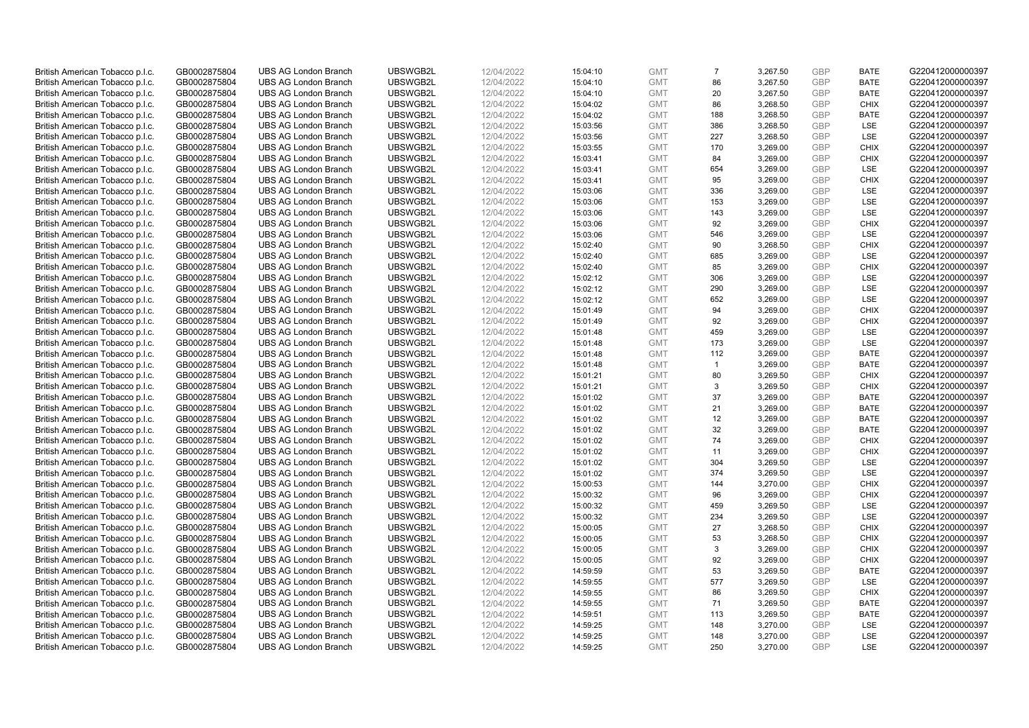| British American Tobacco p.l.c. | GB0002875804 | <b>UBS AG London Branch</b> | UBSWGB2L | 12/04/2022 | 15:04:10 | <b>GMT</b> | $\overline{7}$ | 3,267.50 | <b>GBP</b> | <b>BATE</b> | G220412000000397 |
|---------------------------------|--------------|-----------------------------|----------|------------|----------|------------|----------------|----------|------------|-------------|------------------|
| British American Tobacco p.l.c. | GB0002875804 | <b>UBS AG London Branch</b> | UBSWGB2L | 12/04/2022 | 15:04:10 | <b>GMT</b> | 86             | 3,267.50 | <b>GBP</b> | <b>BATE</b> | G220412000000397 |
| British American Tobacco p.l.c. | GB0002875804 | <b>UBS AG London Branch</b> | UBSWGB2L | 12/04/2022 | 15:04:10 | <b>GMT</b> | 20             | 3,267.50 | <b>GBP</b> | <b>BATE</b> | G220412000000397 |
| British American Tobacco p.l.c. | GB0002875804 | <b>UBS AG London Branch</b> | UBSWGB2L | 12/04/2022 | 15:04:02 | <b>GMT</b> | 86             | 3,268.50 | <b>GBP</b> | <b>CHIX</b> | G220412000000397 |
|                                 |              |                             |          |            |          |            | 188            |          | <b>GBP</b> | <b>BATE</b> |                  |
| British American Tobacco p.l.c. | GB0002875804 | <b>UBS AG London Branch</b> | UBSWGB2L | 12/04/2022 | 15:04:02 | <b>GMT</b> |                | 3,268.50 |            |             | G220412000000397 |
| British American Tobacco p.l.c. | GB0002875804 | <b>UBS AG London Branch</b> | UBSWGB2L | 12/04/2022 | 15:03:56 | <b>GMT</b> | 386            | 3,268.50 | <b>GBP</b> | <b>LSE</b>  | G220412000000397 |
| British American Tobacco p.l.c. | GB0002875804 | <b>UBS AG London Branch</b> | UBSWGB2L | 12/04/2022 | 15:03:56 | <b>GMT</b> | 227            | 3,268.50 | <b>GBP</b> | LSE         | G220412000000397 |
| British American Tobacco p.l.c. | GB0002875804 | <b>UBS AG London Branch</b> | UBSWGB2L | 12/04/2022 | 15:03:55 | <b>GMT</b> | 170            | 3,269.00 | <b>GBP</b> | <b>CHIX</b> | G220412000000397 |
| British American Tobacco p.l.c. | GB0002875804 | <b>UBS AG London Branch</b> | UBSWGB2L | 12/04/2022 | 15:03:41 | <b>GMT</b> | 84             | 3,269.00 | <b>GBP</b> | <b>CHIX</b> | G220412000000397 |
| British American Tobacco p.l.c. | GB0002875804 | <b>UBS AG London Branch</b> | UBSWGB2L | 12/04/2022 | 15:03:41 | <b>GMT</b> | 654            | 3,269.00 | <b>GBP</b> | LSE         | G220412000000397 |
| British American Tobacco p.l.c. | GB0002875804 | <b>UBS AG London Branch</b> | UBSWGB2L | 12/04/2022 | 15:03:41 | <b>GMT</b> | 95             | 3,269.00 | <b>GBP</b> | <b>CHIX</b> | G220412000000397 |
| British American Tobacco p.l.c. | GB0002875804 | <b>UBS AG London Branch</b> | UBSWGB2L | 12/04/2022 | 15:03:06 | <b>GMT</b> | 336            | 3,269.00 | <b>GBP</b> | LSE         | G220412000000397 |
| British American Tobacco p.l.c. | GB0002875804 | <b>UBS AG London Branch</b> | UBSWGB2L | 12/04/2022 | 15:03:06 | <b>GMT</b> | 153            | 3,269.00 | <b>GBP</b> | LSE         | G220412000000397 |
| British American Tobacco p.l.c. | GB0002875804 | <b>UBS AG London Branch</b> | UBSWGB2L | 12/04/2022 | 15:03:06 | <b>GMT</b> | 143            | 3,269.00 | <b>GBP</b> | LSE         | G220412000000397 |
| British American Tobacco p.l.c. | GB0002875804 | <b>UBS AG London Branch</b> | UBSWGB2L | 12/04/2022 | 15:03:06 | <b>GMT</b> | 92             | 3,269.00 | <b>GBP</b> | <b>CHIX</b> | G220412000000397 |
| British American Tobacco p.l.c. | GB0002875804 | <b>UBS AG London Branch</b> | UBSWGB2L | 12/04/2022 | 15:03:06 | <b>GMT</b> | 546            | 3,269.00 | <b>GBP</b> | <b>LSE</b>  | G220412000000397 |
| British American Tobacco p.l.c. | GB0002875804 | <b>UBS AG London Branch</b> | UBSWGB2L | 12/04/2022 | 15:02:40 | <b>GMT</b> | 90             | 3,268.50 | <b>GBP</b> | <b>CHIX</b> | G220412000000397 |
| British American Tobacco p.l.c. | GB0002875804 | <b>UBS AG London Branch</b> | UBSWGB2L | 12/04/2022 | 15:02:40 | <b>GMT</b> | 685            | 3,269.00 | <b>GBP</b> | <b>LSE</b>  | G220412000000397 |
| British American Tobacco p.l.c. | GB0002875804 | <b>UBS AG London Branch</b> | UBSWGB2L | 12/04/2022 | 15:02:40 | <b>GMT</b> | 85             | 3,269.00 | <b>GBP</b> | <b>CHIX</b> | G220412000000397 |
| British American Tobacco p.l.c. | GB0002875804 | <b>UBS AG London Branch</b> | UBSWGB2L | 12/04/2022 | 15:02:12 | <b>GMT</b> | 306            | 3,269.00 | <b>GBP</b> | LSE         | G220412000000397 |
| British American Tobacco p.l.c. | GB0002875804 | <b>UBS AG London Branch</b> | UBSWGB2L | 12/04/2022 | 15:02:12 | <b>GMT</b> | 290            | 3,269.00 | <b>GBP</b> | LSE         | G220412000000397 |
| British American Tobacco p.l.c. | GB0002875804 | <b>UBS AG London Branch</b> | UBSWGB2L | 12/04/2022 | 15:02:12 | <b>GMT</b> | 652            | 3,269.00 | <b>GBP</b> | LSE         | G220412000000397 |
| British American Tobacco p.l.c. | GB0002875804 | <b>UBS AG London Branch</b> | UBSWGB2L | 12/04/2022 | 15:01:49 | <b>GMT</b> | 94             | 3,269.00 | <b>GBP</b> | <b>CHIX</b> | G220412000000397 |
| British American Tobacco p.l.c. | GB0002875804 | <b>UBS AG London Branch</b> | UBSWGB2L | 12/04/2022 | 15:01:49 | <b>GMT</b> | 92             | 3,269.00 | <b>GBP</b> | <b>CHIX</b> | G220412000000397 |
| British American Tobacco p.l.c. | GB0002875804 | <b>UBS AG London Branch</b> | UBSWGB2L | 12/04/2022 | 15:01:48 | <b>GMT</b> | 459            | 3,269.00 | <b>GBP</b> | LSE         | G220412000000397 |
|                                 |              | <b>UBS AG London Branch</b> | UBSWGB2L |            |          | <b>GMT</b> | 173            | 3,269.00 | <b>GBP</b> | LSE         | G220412000000397 |
| British American Tobacco p.l.c. | GB0002875804 |                             |          | 12/04/2022 | 15:01:48 |            |                |          |            |             |                  |
| British American Tobacco p.l.c. | GB0002875804 | <b>UBS AG London Branch</b> | UBSWGB2L | 12/04/2022 | 15:01:48 | <b>GMT</b> | 112            | 3,269.00 | <b>GBP</b> | <b>BATE</b> | G220412000000397 |
| British American Tobacco p.l.c. | GB0002875804 | <b>UBS AG London Branch</b> | UBSWGB2L | 12/04/2022 | 15:01:48 | <b>GMT</b> | $\overline{1}$ | 3,269.00 | <b>GBP</b> | <b>BATE</b> | G220412000000397 |
| British American Tobacco p.l.c. | GB0002875804 | <b>UBS AG London Branch</b> | UBSWGB2L | 12/04/2022 | 15:01:21 | <b>GMT</b> | 80             | 3,269.50 | <b>GBP</b> | <b>CHIX</b> | G220412000000397 |
| British American Tobacco p.l.c. | GB0002875804 | <b>UBS AG London Branch</b> | UBSWGB2L | 12/04/2022 | 15:01:21 | <b>GMT</b> | 3              | 3,269.50 | <b>GBP</b> | <b>CHIX</b> | G220412000000397 |
| British American Tobacco p.l.c. | GB0002875804 | <b>UBS AG London Branch</b> | UBSWGB2L | 12/04/2022 | 15:01:02 | <b>GMT</b> | 37             | 3,269.00 | <b>GBP</b> | <b>BATE</b> | G220412000000397 |
| British American Tobacco p.l.c. | GB0002875804 | <b>UBS AG London Branch</b> | UBSWGB2L | 12/04/2022 | 15:01:02 | <b>GMT</b> | 21             | 3,269.00 | <b>GBP</b> | BATE        | G220412000000397 |
| British American Tobacco p.l.c. | GB0002875804 | <b>UBS AG London Branch</b> | UBSWGB2L | 12/04/2022 | 15:01:02 | <b>GMT</b> | 12             | 3,269.00 | <b>GBP</b> | <b>BATE</b> | G220412000000397 |
| British American Tobacco p.l.c. | GB0002875804 | <b>UBS AG London Branch</b> | UBSWGB2L | 12/04/2022 | 15:01:02 | <b>GMT</b> | 32             | 3,269.00 | <b>GBP</b> | <b>BATE</b> | G220412000000397 |
| British American Tobacco p.l.c. | GB0002875804 | <b>UBS AG London Branch</b> | UBSWGB2L | 12/04/2022 | 15:01:02 | <b>GMT</b> | 74             | 3,269.00 | <b>GBP</b> | <b>CHIX</b> | G220412000000397 |
| British American Tobacco p.l.c. | GB0002875804 | <b>UBS AG London Branch</b> | UBSWGB2L | 12/04/2022 | 15:01:02 | <b>GMT</b> | 11             | 3,269.00 | <b>GBP</b> | <b>CHIX</b> | G220412000000397 |
| British American Tobacco p.l.c. | GB0002875804 | <b>UBS AG London Branch</b> | UBSWGB2L | 12/04/2022 | 15:01:02 | <b>GMT</b> | 304            | 3,269.50 | <b>GBP</b> | LSE         | G220412000000397 |
| British American Tobacco p.l.c. | GB0002875804 | <b>UBS AG London Branch</b> | UBSWGB2L | 12/04/2022 | 15:01:02 | <b>GMT</b> | 374            | 3,269.50 | <b>GBP</b> | LSE         | G220412000000397 |
| British American Tobacco p.l.c. | GB0002875804 | <b>UBS AG London Branch</b> | UBSWGB2L | 12/04/2022 | 15:00:53 | <b>GMT</b> | 144            | 3,270.00 | <b>GBP</b> | <b>CHIX</b> | G220412000000397 |
| British American Tobacco p.l.c. | GB0002875804 | <b>UBS AG London Branch</b> | UBSWGB2L | 12/04/2022 | 15:00:32 | <b>GMT</b> | 96             | 3,269.00 | <b>GBP</b> | <b>CHIX</b> | G220412000000397 |
| British American Tobacco p.l.c. | GB0002875804 | <b>UBS AG London Branch</b> | UBSWGB2L | 12/04/2022 | 15:00:32 | <b>GMT</b> | 459            | 3,269.50 | <b>GBP</b> | LSE         | G220412000000397 |
| British American Tobacco p.l.c. | GB0002875804 | <b>UBS AG London Branch</b> | UBSWGB2L | 12/04/2022 | 15:00:32 | <b>GMT</b> | 234            | 3,269.50 | <b>GBP</b> | LSE         | G220412000000397 |
| British American Tobacco p.l.c. | GB0002875804 | <b>UBS AG London Branch</b> | UBSWGB2L | 12/04/2022 | 15:00:05 | <b>GMT</b> | 27             | 3,268.50 | <b>GBP</b> | <b>CHIX</b> | G220412000000397 |
| British American Tobacco p.l.c. | GB0002875804 | <b>UBS AG London Branch</b> | UBSWGB2L | 12/04/2022 | 15:00:05 | <b>GMT</b> | 53             | 3,268.50 | <b>GBP</b> | <b>CHIX</b> | G220412000000397 |
| British American Tobacco p.l.c. | GB0002875804 | UBS AG London Branch        | UBSWGB2L | 12/04/2022 | 15:00:05 | <b>GMT</b> | 3              | 3,269.00 | <b>GBP</b> | <b>CHIX</b> | G220412000000397 |
| British American Tobacco p.l.c. | GB0002875804 | <b>UBS AG London Branch</b> | UBSWGB2L | 12/04/2022 | 15:00:05 | <b>GMT</b> | 92             | 3,269.00 | <b>GBP</b> | <b>CHIX</b> | G220412000000397 |
| British American Tobacco p.l.c. | GB0002875804 | <b>UBS AG London Branch</b> | UBSWGB2L | 12/04/2022 | 14:59:59 | <b>GMT</b> | 53             | 3,269.50 | <b>GBP</b> | <b>BATE</b> | G220412000000397 |
| British American Tobacco p.l.c. | GB0002875804 | <b>UBS AG London Branch</b> | UBSWGB2L | 12/04/2022 | 14:59:55 | <b>GMT</b> | 577            | 3,269.50 | <b>GBP</b> | LSE         | G220412000000397 |
| British American Tobacco p.l.c. | GB0002875804 | <b>UBS AG London Branch</b> | UBSWGB2L | 12/04/2022 | 14:59:55 | <b>GMT</b> | 86             | 3,269.50 | <b>GBP</b> | <b>CHIX</b> | G220412000000397 |
| British American Tobacco p.l.c. | GB0002875804 | <b>UBS AG London Branch</b> | UBSWGB2L | 12/04/2022 | 14:59:55 | <b>GMT</b> | 71             | 3,269.50 | <b>GBP</b> | <b>BATE</b> | G220412000000397 |
| British American Tobacco p.l.c. | GB0002875804 | <b>UBS AG London Branch</b> | UBSWGB2L | 12/04/2022 | 14:59:51 | <b>GMT</b> | 113            | 3,269.50 | <b>GBP</b> | <b>BATE</b> | G220412000000397 |
| British American Tobacco p.l.c. | GB0002875804 | <b>UBS AG London Branch</b> | UBSWGB2L | 12/04/2022 | 14:59:25 | <b>GMT</b> | 148            | 3,270.00 | <b>GBP</b> | LSE         | G220412000000397 |
| British American Tobacco p.l.c. | GB0002875804 | <b>UBS AG London Branch</b> | UBSWGB2L | 12/04/2022 | 14:59:25 | <b>GMT</b> | 148            | 3,270.00 | <b>GBP</b> | <b>LSE</b>  | G220412000000397 |
| British American Tobacco p.l.c. | GB0002875804 | <b>UBS AG London Branch</b> | UBSWGB2L | 12/04/2022 | 14:59:25 | <b>GMT</b> | 250            | 3.270.00 | GBP        | <b>LSE</b>  | G220412000000397 |
|                                 |              |                             |          |            |          |            |                |          |            |             |                  |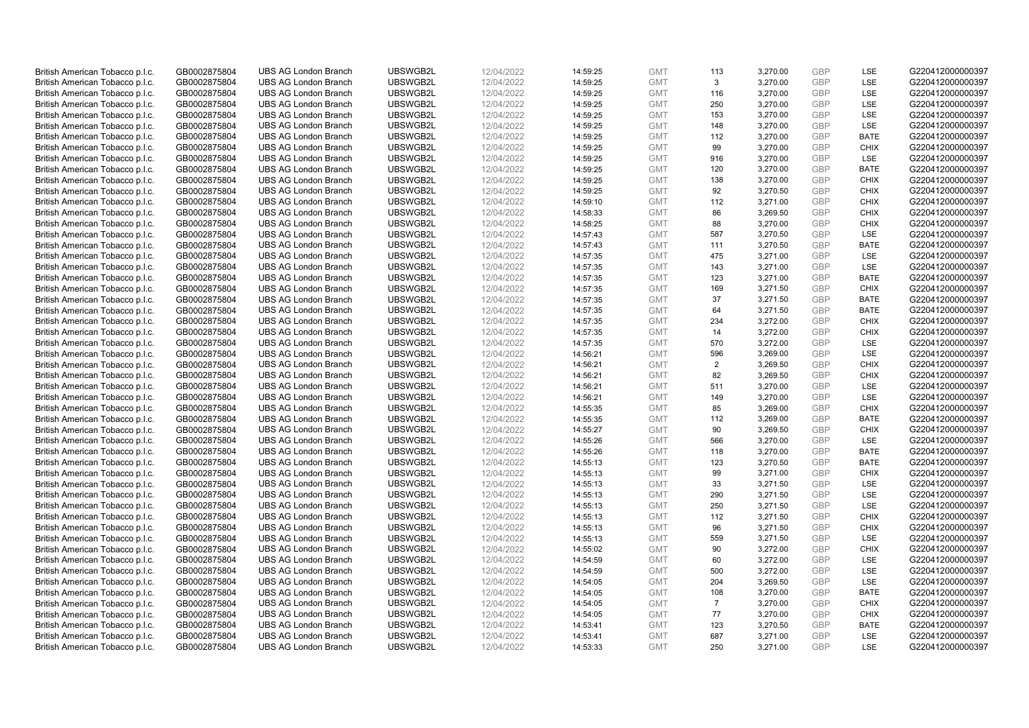| British American Tobacco p.l.c. | GB0002875804 | <b>UBS AG London Branch</b> | UBSWGB2L | 12/04/2022 | 14:59:25             | <b>GMT</b> | 113            | 3,270.00 | <b>GBP</b> | LSE         | G220412000000397 |
|---------------------------------|--------------|-----------------------------|----------|------------|----------------------|------------|----------------|----------|------------|-------------|------------------|
| British American Tobacco p.l.c. | GB0002875804 | <b>UBS AG London Branch</b> | UBSWGB2L | 12/04/2022 | 14:59:25             | <b>GMT</b> | 3              | 3,270.00 | <b>GBP</b> | LSE         | G220412000000397 |
| British American Tobacco p.l.c. | GB0002875804 | <b>UBS AG London Branch</b> | UBSWGB2L | 12/04/2022 | 14:59:25             | <b>GMT</b> | 116            | 3,270.00 | <b>GBP</b> | LSE         | G220412000000397 |
| British American Tobacco p.l.c. | GB0002875804 | <b>UBS AG London Branch</b> | UBSWGB2L | 12/04/2022 | 14:59:25             | <b>GMT</b> | 250            | 3,270.00 | <b>GBP</b> | LSE         | G220412000000397 |
|                                 |              |                             |          |            |                      |            |                |          | <b>GBP</b> | LSE         |                  |
| British American Tobacco p.l.c. | GB0002875804 | <b>UBS AG London Branch</b> | UBSWGB2L | 12/04/2022 | 14:59:25             | <b>GMT</b> | 153            | 3,270.00 |            |             | G220412000000397 |
| British American Tobacco p.l.c. | GB0002875804 | <b>UBS AG London Branch</b> | UBSWGB2L | 12/04/2022 | 14:59:25             | <b>GMT</b> | 148            | 3,270.00 | <b>GBP</b> | LSE         | G220412000000397 |
| British American Tobacco p.l.c. | GB0002875804 | <b>UBS AG London Branch</b> | UBSWGB2L | 12/04/2022 | 14:59:25             | <b>GMT</b> | 112            | 3,270.00 | <b>GBP</b> | <b>BATE</b> | G220412000000397 |
| British American Tobacco p.l.c. | GB0002875804 | <b>UBS AG London Branch</b> | UBSWGB2L | 12/04/2022 | 14:59:25             | <b>GMT</b> | 99             | 3,270.00 | GBP        | <b>CHIX</b> | G220412000000397 |
| British American Tobacco p.l.c. | GB0002875804 | <b>UBS AG London Branch</b> | UBSWGB2L | 12/04/2022 | 14:59:25             | <b>GMT</b> | 916            | 3,270.00 | <b>GBP</b> | LSE         | G220412000000397 |
| British American Tobacco p.l.c. | GB0002875804 | <b>UBS AG London Branch</b> | UBSWGB2L | 12/04/2022 | 14:59:25             | <b>GMT</b> | 120            | 3,270.00 | <b>GBP</b> | <b>BATE</b> | G220412000000397 |
| British American Tobacco p.l.c. | GB0002875804 | <b>UBS AG London Branch</b> | UBSWGB2L | 12/04/2022 | 14:59:25             | <b>GMT</b> | 138            | 3,270.00 | <b>GBP</b> | <b>CHIX</b> | G220412000000397 |
| British American Tobacco p.l.c. | GB0002875804 | <b>UBS AG London Branch</b> | UBSWGB2L | 12/04/2022 | 14:59:25             | <b>GMT</b> | 92             | 3,270.50 | <b>GBP</b> | <b>CHIX</b> | G220412000000397 |
| British American Tobacco p.l.c. | GB0002875804 | <b>UBS AG London Branch</b> | UBSWGB2L | 12/04/2022 | 14:59:10             | <b>GMT</b> | 112            | 3,271.00 | <b>GBP</b> | <b>CHIX</b> | G220412000000397 |
| British American Tobacco p.l.c. | GB0002875804 | <b>UBS AG London Branch</b> | UBSWGB2L | 12/04/2022 | 14:58:33             | <b>GMT</b> | 86             | 3,269.50 | <b>GBP</b> | <b>CHIX</b> | G220412000000397 |
| British American Tobacco p.l.c. | GB0002875804 | <b>UBS AG London Branch</b> | UBSWGB2L | 12/04/2022 | 14:58:25             | <b>GMT</b> | 88             | 3,270.00 | <b>GBP</b> | <b>CHIX</b> | G220412000000397 |
| British American Tobacco p.l.c. | GB0002875804 | <b>UBS AG London Branch</b> | UBSWGB2L | 12/04/2022 | 14:57:43             | <b>GMT</b> | 587            | 3,270.50 | <b>GBP</b> | LSE         | G220412000000397 |
| British American Tobacco p.l.c. | GB0002875804 | <b>UBS AG London Branch</b> | UBSWGB2L | 12/04/2022 | 14:57:43             | <b>GMT</b> | 111            | 3,270.50 | <b>GBP</b> | <b>BATE</b> | G220412000000397 |
| British American Tobacco p.l.c. | GB0002875804 | <b>UBS AG London Branch</b> | UBSWGB2L | 12/04/2022 | 14:57:35             | <b>GMT</b> | 475            | 3,271.00 | <b>GBP</b> | LSE         | G220412000000397 |
| British American Tobacco p.l.c. | GB0002875804 | <b>UBS AG London Branch</b> | UBSWGB2L | 12/04/2022 | 14:57:35             | <b>GMT</b> | 143            | 3,271.00 | <b>GBP</b> | LSE         | G220412000000397 |
| British American Tobacco p.l.c. | GB0002875804 | <b>UBS AG London Branch</b> | UBSWGB2L | 12/04/2022 | 14:57:35             | <b>GMT</b> | 123            | 3,271.00 | <b>GBP</b> | <b>BATE</b> | G220412000000397 |
| British American Tobacco p.l.c. | GB0002875804 | <b>UBS AG London Branch</b> | UBSWGB2L | 12/04/2022 | 14:57:35             | <b>GMT</b> | 169            | 3,271.50 | <b>GBP</b> | <b>CHIX</b> | G220412000000397 |
| British American Tobacco p.l.c. | GB0002875804 | <b>UBS AG London Branch</b> | UBSWGB2L | 12/04/2022 | 14:57:35             | <b>GMT</b> | 37             | 3,271.50 | <b>GBP</b> | <b>BATE</b> | G220412000000397 |
| British American Tobacco p.l.c. | GB0002875804 | <b>UBS AG London Branch</b> | UBSWGB2L | 12/04/2022 | 14:57:35             | <b>GMT</b> | 64             | 3,271.50 | <b>GBP</b> | <b>BATE</b> | G220412000000397 |
| British American Tobacco p.l.c. | GB0002875804 | <b>UBS AG London Branch</b> | UBSWGB2L | 12/04/2022 | 14:57:35             | <b>GMT</b> | 234            | 3,272.00 | <b>GBP</b> | <b>CHIX</b> | G220412000000397 |
| British American Tobacco p.l.c. | GB0002875804 | <b>UBS AG London Branch</b> | UBSWGB2L | 12/04/2022 | 14:57:35             | <b>GMT</b> | 14             | 3,272.00 | <b>GBP</b> | <b>CHIX</b> | G220412000000397 |
| British American Tobacco p.l.c. | GB0002875804 | <b>UBS AG London Branch</b> | UBSWGB2L | 12/04/2022 | 14:57:35             | <b>GMT</b> | 570            | 3,272.00 | <b>GBP</b> | LSE         | G220412000000397 |
| British American Tobacco p.l.c. | GB0002875804 | <b>UBS AG London Branch</b> | UBSWGB2L | 12/04/2022 | 14:56:21             | <b>GMT</b> | 596            | 3,269.00 | <b>GBP</b> | LSE         | G220412000000397 |
| British American Tobacco p.l.c. | GB0002875804 | <b>UBS AG London Branch</b> | UBSWGB2L | 12/04/2022 | 14:56:21             | <b>GMT</b> | $\overline{2}$ | 3,269.50 | <b>GBP</b> | <b>CHIX</b> | G220412000000397 |
| British American Tobacco p.l.c. | GB0002875804 | <b>UBS AG London Branch</b> | UBSWGB2L | 12/04/2022 | 14:56:21             | <b>GMT</b> | 82             | 3,269.50 | <b>GBP</b> | <b>CHIX</b> | G220412000000397 |
| British American Tobacco p.l.c. | GB0002875804 | <b>UBS AG London Branch</b> | UBSWGB2L | 12/04/2022 | 14:56:21             | <b>GMT</b> | 511            | 3,270.00 | <b>GBP</b> | LSE         | G220412000000397 |
| British American Tobacco p.l.c. | GB0002875804 | <b>UBS AG London Branch</b> | UBSWGB2L | 12/04/2022 | 14:56:21             | <b>GMT</b> | 149            | 3,270.00 | <b>GBP</b> | LSE         | G220412000000397 |
| British American Tobacco p.l.c. | GB0002875804 | <b>UBS AG London Branch</b> | UBSWGB2L | 12/04/2022 | 14:55:35             | <b>GMT</b> | 85             | 3,269.00 | <b>GBP</b> | <b>CHIX</b> | G220412000000397 |
| British American Tobacco p.l.c. | GB0002875804 | <b>UBS AG London Branch</b> | UBSWGB2L | 12/04/2022 | 14:55:35             | <b>GMT</b> | 112            | 3,269.00 | <b>GBP</b> | <b>BATE</b> | G220412000000397 |
|                                 |              | <b>UBS AG London Branch</b> | UBSWGB2L | 12/04/2022 |                      | <b>GMT</b> | 90             | 3,269.50 | <b>GBP</b> | <b>CHIX</b> | G220412000000397 |
| British American Tobacco p.l.c. | GB0002875804 | <b>UBS AG London Branch</b> | UBSWGB2L | 12/04/2022 | 14:55:27<br>14:55:26 |            | 566            |          | <b>GBP</b> | LSE         | G220412000000397 |
| British American Tobacco p.l.c. | GB0002875804 |                             |          |            |                      | <b>GMT</b> |                | 3,270.00 |            |             |                  |
| British American Tobacco p.l.c. | GB0002875804 | <b>UBS AG London Branch</b> | UBSWGB2L | 12/04/2022 | 14:55:26             | <b>GMT</b> | 118            | 3,270.00 | <b>GBP</b> | <b>BATE</b> | G220412000000397 |
| British American Tobacco p.l.c. | GB0002875804 | <b>UBS AG London Branch</b> | UBSWGB2L | 12/04/2022 | 14:55:13             | <b>GMT</b> | 123            | 3,270.50 | <b>GBP</b> | <b>BATE</b> | G220412000000397 |
| British American Tobacco p.l.c. | GB0002875804 | <b>UBS AG London Branch</b> | UBSWGB2L | 12/04/2022 | 14:55:13             | <b>GMT</b> | 99             | 3,271.00 | <b>GBP</b> | <b>CHIX</b> | G220412000000397 |
| British American Tobacco p.l.c. | GB0002875804 | <b>UBS AG London Branch</b> | UBSWGB2L | 12/04/2022 | 14:55:13             | <b>GMT</b> | 33             | 3,271.50 | <b>GBP</b> | LSE         | G220412000000397 |
| British American Tobacco p.l.c. | GB0002875804 | <b>UBS AG London Branch</b> | UBSWGB2L | 12/04/2022 | 14:55:13             | <b>GMT</b> | 290            | 3,271.50 | <b>GBP</b> | LSE         | G220412000000397 |
| British American Tobacco p.l.c. | GB0002875804 | <b>UBS AG London Branch</b> | UBSWGB2L | 12/04/2022 | 14:55:13             | <b>GMT</b> | 250            | 3,271.50 | <b>GBP</b> | LSE         | G220412000000397 |
| British American Tobacco p.l.c. | GB0002875804 | <b>UBS AG London Branch</b> | UBSWGB2L | 12/04/2022 | 14:55:13             | <b>GMT</b> | 112            | 3,271.50 | <b>GBP</b> | <b>CHIX</b> | G220412000000397 |
| British American Tobacco p.l.c. | GB0002875804 | <b>UBS AG London Branch</b> | UBSWGB2L | 12/04/2022 | 14:55:13             | <b>GMT</b> | 96             | 3,271.50 | <b>GBP</b> | <b>CHIX</b> | G220412000000397 |
| British American Tobacco p.l.c. | GB0002875804 | <b>UBS AG London Branch</b> | UBSWGB2L | 12/04/2022 | 14:55:13             | <b>GMT</b> | 559            | 3,271.50 | <b>GBP</b> | LSE         | G220412000000397 |
| British American Tobacco p.l.c. | GB0002875804 | <b>UBS AG London Branch</b> | UBSWGB2L | 12/04/2022 | 14:55:02             | <b>GMT</b> | 90             | 3,272.00 | <b>GBP</b> | <b>CHIX</b> | G220412000000397 |
| British American Tobacco p.l.c. | GB0002875804 | <b>UBS AG London Branch</b> | UBSWGB2L | 12/04/2022 | 14:54:59             | <b>GMT</b> | 60             | 3,272.00 | <b>GBP</b> | LSE         | G220412000000397 |
| British American Tobacco p.l.c. | GB0002875804 | <b>UBS AG London Branch</b> | UBSWGB2L | 12/04/2022 | 14:54:59             | <b>GMT</b> | 500            | 3,272.00 | <b>GBP</b> | LSE         | G220412000000397 |
| British American Tobacco p.l.c. | GB0002875804 | <b>UBS AG London Branch</b> | UBSWGB2L | 12/04/2022 | 14:54:05             | <b>GMT</b> | 204            | 3,269.50 | <b>GBP</b> | LSE         | G220412000000397 |
| British American Tobacco p.l.c. | GB0002875804 | <b>UBS AG London Branch</b> | UBSWGB2L | 12/04/2022 | 14:54:05             | <b>GMT</b> | 108            | 3,270.00 | <b>GBP</b> | <b>BATE</b> | G220412000000397 |
| British American Tobacco p.l.c. | GB0002875804 | <b>UBS AG London Branch</b> | UBSWGB2L | 12/04/2022 | 14:54:05             | <b>GMT</b> | $\overline{7}$ | 3,270.00 | <b>GBP</b> | <b>CHIX</b> | G220412000000397 |
| British American Tobacco p.l.c. | GB0002875804 | <b>UBS AG London Branch</b> | UBSWGB2L | 12/04/2022 | 14:54:05             | <b>GMT</b> | 77             | 3,270.00 | <b>GBP</b> | <b>CHIX</b> | G220412000000397 |
| British American Tobacco p.l.c. | GB0002875804 | <b>UBS AG London Branch</b> | UBSWGB2L | 12/04/2022 | 14:53:41             | <b>GMT</b> | 123            | 3,270.50 | <b>GBP</b> | <b>BATE</b> | G220412000000397 |
| British American Tobacco p.l.c. | GB0002875804 | <b>UBS AG London Branch</b> | UBSWGB2L | 12/04/2022 | 14:53:41             | <b>GMT</b> | 687            | 3,271.00 | <b>GBP</b> | LSE         | G220412000000397 |
| British American Tobacco p.l.c. | GB0002875804 | <b>UBS AG London Branch</b> | UBSWGB2L | 12/04/2022 | 14:53:33             | <b>GMT</b> | 250            | 3,271.00 | GBP        | LSE         | G220412000000397 |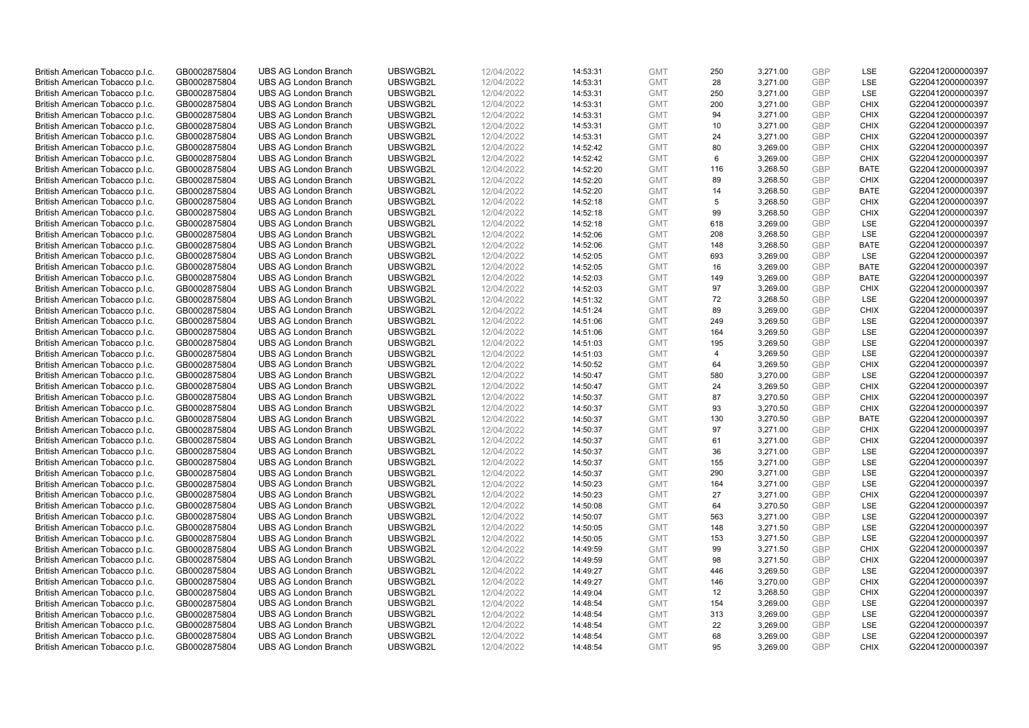| British American Tobacco p.l.c. | GB0002875804 | <b>UBS AG London Branch</b> | UBSWGB2L | 12/04/2022 | 14:53:31 | <b>GMT</b> | 250            | 3,271.00 | <b>GBP</b> | LSE         | G220412000000397 |
|---------------------------------|--------------|-----------------------------|----------|------------|----------|------------|----------------|----------|------------|-------------|------------------|
| British American Tobacco p.l.c. | GB0002875804 | <b>UBS AG London Branch</b> | UBSWGB2L | 12/04/2022 | 14:53:31 | <b>GMT</b> | 28             | 3,271.00 | <b>GBP</b> | LSE         | G220412000000397 |
| British American Tobacco p.l.c. | GB0002875804 | <b>UBS AG London Branch</b> | UBSWGB2L | 12/04/2022 | 14:53:31 | <b>GMT</b> | 250            | 3,271.00 | <b>GBP</b> | LSE         | G220412000000397 |
| British American Tobacco p.l.c. | GB0002875804 | <b>UBS AG London Branch</b> | UBSWGB2L | 12/04/2022 | 14:53:31 | <b>GMT</b> | 200            | 3,271.00 | GBP        | <b>CHIX</b> | G220412000000397 |
| British American Tobacco p.l.c. | GB0002875804 | <b>UBS AG London Branch</b> | UBSWGB2L | 12/04/2022 | 14:53:31 | <b>GMT</b> | 94             | 3,271.00 | <b>GBP</b> | <b>CHIX</b> | G220412000000397 |
| British American Tobacco p.l.c. | GB0002875804 | <b>UBS AG London Branch</b> | UBSWGB2L | 12/04/2022 | 14:53:31 | <b>GMT</b> | 10             | 3,271.00 | <b>GBP</b> | <b>CHIX</b> | G220412000000397 |
| British American Tobacco p.l.c. | GB0002875804 | <b>UBS AG London Branch</b> | UBSWGB2L | 12/04/2022 | 14:53:31 | <b>GMT</b> | 24             | 3,271.00 | <b>GBP</b> | <b>CHIX</b> | G220412000000397 |
| British American Tobacco p.l.c. | GB0002875804 | <b>UBS AG London Branch</b> | UBSWGB2L | 12/04/2022 | 14:52:42 | <b>GMT</b> | 80             | 3,269.00 | GBP        | <b>CHIX</b> | G220412000000397 |
| British American Tobacco p.l.c. | GB0002875804 | <b>UBS AG London Branch</b> | UBSWGB2L | 12/04/2022 | 14:52:42 | <b>GMT</b> | 6              | 3,269.00 | <b>GBP</b> | <b>CHIX</b> | G220412000000397 |
| British American Tobacco p.l.c. | GB0002875804 | <b>UBS AG London Branch</b> | UBSWGB2L | 12/04/2022 | 14:52:20 | <b>GMT</b> | 116            | 3,268.50 | <b>GBP</b> | <b>BATE</b> | G220412000000397 |
| British American Tobacco p.l.c. | GB0002875804 | <b>UBS AG London Branch</b> | UBSWGB2L | 12/04/2022 |          | <b>GMT</b> | 89             |          | <b>GBP</b> | <b>CHIX</b> | G220412000000397 |
|                                 |              |                             |          |            | 14:52:20 |            |                | 3,268.50 |            |             |                  |
| British American Tobacco p.l.c. | GB0002875804 | <b>UBS AG London Branch</b> | UBSWGB2L | 12/04/2022 | 14:52:20 | <b>GMT</b> | 14             | 3,268.50 | <b>GBP</b> | <b>BATE</b> | G220412000000397 |
| British American Tobacco p.l.c. | GB0002875804 | <b>UBS AG London Branch</b> | UBSWGB2L | 12/04/2022 | 14:52:18 | <b>GMT</b> | 5              | 3,268.50 | <b>GBP</b> | <b>CHIX</b> | G220412000000397 |
| British American Tobacco p.l.c. | GB0002875804 | <b>UBS AG London Branch</b> | UBSWGB2L | 12/04/2022 | 14:52:18 | <b>GMT</b> | 99             | 3,268.50 | <b>GBP</b> | <b>CHIX</b> | G220412000000397 |
| British American Tobacco p.l.c. | GB0002875804 | <b>UBS AG London Branch</b> | UBSWGB2L | 12/04/2022 | 14:52:18 | <b>GMT</b> | 618            | 3,269.00 | <b>GBP</b> | LSE         | G220412000000397 |
| British American Tobacco p.l.c. | GB0002875804 | <b>UBS AG London Branch</b> | UBSWGB2L | 12/04/2022 | 14:52:06 | <b>GMT</b> | 208            | 3,268.50 | <b>GBP</b> | LSE         | G220412000000397 |
| British American Tobacco p.l.c. | GB0002875804 | <b>UBS AG London Branch</b> | UBSWGB2L | 12/04/2022 | 14:52:06 | <b>GMT</b> | 148            | 3,268.50 | <b>GBP</b> | <b>BATE</b> | G220412000000397 |
| British American Tobacco p.l.c. | GB0002875804 | <b>UBS AG London Branch</b> | UBSWGB2L | 12/04/2022 | 14:52:05 | <b>GMT</b> | 693            | 3,269.00 | <b>GBP</b> | LSE         | G220412000000397 |
| British American Tobacco p.l.c. | GB0002875804 | <b>UBS AG London Branch</b> | UBSWGB2L | 12/04/2022 | 14:52:05 | <b>GMT</b> | 16             | 3,269.00 | <b>GBP</b> | <b>BATE</b> | G220412000000397 |
| British American Tobacco p.l.c. | GB0002875804 | <b>UBS AG London Branch</b> | UBSWGB2L | 12/04/2022 | 14:52:03 | <b>GMT</b> | 149            | 3,269.00 | <b>GBP</b> | <b>BATE</b> | G220412000000397 |
| British American Tobacco p.l.c. | GB0002875804 | <b>UBS AG London Branch</b> | UBSWGB2L | 12/04/2022 | 14:52:03 | <b>GMT</b> | 97             | 3,269.00 | <b>GBP</b> | <b>CHIX</b> | G220412000000397 |
| British American Tobacco p.l.c. | GB0002875804 | <b>UBS AG London Branch</b> | UBSWGB2L | 12/04/2022 | 14:51:32 | <b>GMT</b> | 72             | 3,268.50 | <b>GBP</b> | LSE         | G220412000000397 |
| British American Tobacco p.l.c. | GB0002875804 | <b>UBS AG London Branch</b> | UBSWGB2L | 12/04/2022 | 14:51:24 | <b>GMT</b> | 89             | 3,269.00 | <b>GBP</b> | <b>CHIX</b> | G220412000000397 |
| British American Tobacco p.l.c. | GB0002875804 | <b>UBS AG London Branch</b> | UBSWGB2L | 12/04/2022 | 14:51:06 | <b>GMT</b> | 249            | 3,269.50 | <b>GBP</b> | LSE         | G220412000000397 |
| British American Tobacco p.l.c. | GB0002875804 | <b>UBS AG London Branch</b> | UBSWGB2L | 12/04/2022 | 14:51:06 | <b>GMT</b> | 164            | 3,269.50 | <b>GBP</b> | LSE         | G220412000000397 |
| British American Tobacco p.l.c. | GB0002875804 | <b>UBS AG London Branch</b> | UBSWGB2L | 12/04/2022 | 14:51:03 | <b>GMT</b> | 195            | 3,269.50 | <b>GBP</b> | LSE         | G220412000000397 |
| British American Tobacco p.l.c. | GB0002875804 | <b>UBS AG London Branch</b> | UBSWGB2L | 12/04/2022 | 14:51:03 | <b>GMT</b> | $\overline{4}$ | 3,269.50 | <b>GBP</b> | LSE         | G220412000000397 |
| British American Tobacco p.l.c. | GB0002875804 | <b>UBS AG London Branch</b> | UBSWGB2L | 12/04/2022 | 14:50:52 | <b>GMT</b> | 64             | 3,269.50 | <b>GBP</b> | <b>CHIX</b> | G220412000000397 |
| British American Tobacco p.l.c. | GB0002875804 | <b>UBS AG London Branch</b> | UBSWGB2L | 12/04/2022 | 14:50:47 | <b>GMT</b> | 580            | 3,270.00 | <b>GBP</b> | LSE         | G220412000000397 |
| British American Tobacco p.l.c. | GB0002875804 | <b>UBS AG London Branch</b> | UBSWGB2L | 12/04/2022 | 14:50:47 | <b>GMT</b> | 24             | 3,269.50 | <b>GBP</b> | <b>CHIX</b> | G220412000000397 |
| British American Tobacco p.l.c. | GB0002875804 | <b>UBS AG London Branch</b> | UBSWGB2L | 12/04/2022 | 14:50:37 | <b>GMT</b> | 87             | 3,270.50 | <b>GBP</b> | <b>CHIX</b> | G220412000000397 |
| British American Tobacco p.l.c. | GB0002875804 | <b>UBS AG London Branch</b> | UBSWGB2L | 12/04/2022 | 14:50:37 | <b>GMT</b> | 93             | 3,270.50 | <b>GBP</b> | <b>CHIX</b> | G220412000000397 |
| British American Tobacco p.l.c. | GB0002875804 | <b>UBS AG London Branch</b> | UBSWGB2L | 12/04/2022 | 14:50:37 | <b>GMT</b> | 130            | 3,270.50 | <b>GBP</b> | <b>BATE</b> | G220412000000397 |
| British American Tobacco p.l.c. | GB0002875804 | <b>UBS AG London Branch</b> | UBSWGB2L | 12/04/2022 | 14:50:37 | <b>GMT</b> | 97             | 3,271.00 | <b>GBP</b> | <b>CHIX</b> | G220412000000397 |
| British American Tobacco p.l.c. | GB0002875804 | <b>UBS AG London Branch</b> | UBSWGB2L | 12/04/2022 | 14:50:37 | <b>GMT</b> | 61             | 3,271.00 | <b>GBP</b> | <b>CHIX</b> | G220412000000397 |
| British American Tobacco p.l.c. | GB0002875804 | <b>UBS AG London Branch</b> | UBSWGB2L | 12/04/2022 | 14:50:37 | <b>GMT</b> | 36             | 3,271.00 | <b>GBP</b> | LSE         | G220412000000397 |
| British American Tobacco p.l.c. | GB0002875804 | <b>UBS AG London Branch</b> | UBSWGB2L | 12/04/2022 | 14:50:37 | <b>GMT</b> | 155            | 3,271.00 | <b>GBP</b> | <b>LSE</b>  | G220412000000397 |
| British American Tobacco p.l.c. | GB0002875804 | <b>UBS AG London Branch</b> | UBSWGB2L | 12/04/2022 | 14:50:37 | <b>GMT</b> | 290            | 3,271.00 | <b>GBP</b> | LSE         | G220412000000397 |
| British American Tobacco p.l.c. | GB0002875804 | <b>UBS AG London Branch</b> | UBSWGB2L | 12/04/2022 | 14:50:23 | <b>GMT</b> | 164            | 3,271.00 | <b>GBP</b> | LSE         | G220412000000397 |
| British American Tobacco p.l.c. | GB0002875804 | <b>UBS AG London Branch</b> | UBSWGB2L | 12/04/2022 | 14:50:23 | <b>GMT</b> | 27             | 3,271.00 | <b>GBP</b> | <b>CHIX</b> | G220412000000397 |
| British American Tobacco p.l.c. | GB0002875804 | <b>UBS AG London Branch</b> | UBSWGB2L | 12/04/2022 | 14:50:08 | <b>GMT</b> | 64             | 3,270.50 | <b>GBP</b> | LSE         | G220412000000397 |
| British American Tobacco p.l.c. | GB0002875804 | <b>UBS AG London Branch</b> | UBSWGB2L | 12/04/2022 | 14:50:07 | <b>GMT</b> | 563            | 3,271.00 | <b>GBP</b> | LSE         | G220412000000397 |
| British American Tobacco p.l.c. | GB0002875804 | <b>UBS AG London Branch</b> | UBSWGB2L | 12/04/2022 | 14:50:05 | <b>GMT</b> | 148            | 3,271.50 | <b>GBP</b> | LSE         | G220412000000397 |
| British American Tobacco p.l.c. | GB0002875804 | <b>UBS AG London Branch</b> | UBSWGB2L | 12/04/2022 | 14:50:05 | <b>GMT</b> | 153            | 3,271.50 | <b>GBP</b> | LSE         | G220412000000397 |
| British American Tobacco p.l.c. | GB0002875804 | <b>UBS AG London Branch</b> | UBSWGB2L | 12/04/2022 | 14:49:59 | <b>GMT</b> | 99             | 3,271.50 | <b>GBP</b> | <b>CHIX</b> | G220412000000397 |
| British American Tobacco p.l.c. | GB0002875804 | <b>UBS AG London Branch</b> | UBSWGB2L | 12/04/2022 | 14:49:59 | <b>GMT</b> | 98             | 3,271.50 | <b>GBP</b> | <b>CHIX</b> | G220412000000397 |
| British American Tobacco p.l.c. | GB0002875804 | <b>UBS AG London Branch</b> | UBSWGB2L | 12/04/2022 | 14:49:27 | <b>GMT</b> | 446            | 3,269.50 | <b>GBP</b> | LSE         | G220412000000397 |
|                                 |              | <b>UBS AG London Branch</b> | UBSWGB2L |            |          |            | 146            |          | <b>GBP</b> | <b>CHIX</b> | G220412000000397 |
| British American Tobacco p.l.c. | GB0002875804 |                             |          | 12/04/2022 | 14:49:27 | <b>GMT</b> |                | 3,270.00 |            |             |                  |
| British American Tobacco p.l.c. | GB0002875804 | <b>UBS AG London Branch</b> | UBSWGB2L | 12/04/2022 | 14:49:04 | <b>GMT</b> | 12             | 3,268.50 | <b>GBP</b> | <b>CHIX</b> | G220412000000397 |
| British American Tobacco p.l.c. | GB0002875804 | <b>UBS AG London Branch</b> | UBSWGB2L | 12/04/2022 | 14:48:54 | <b>GMT</b> | 154            | 3,269.00 | <b>GBP</b> | LSE         | G220412000000397 |
| British American Tobacco p.l.c. | GB0002875804 | <b>UBS AG London Branch</b> | UBSWGB2L | 12/04/2022 | 14:48:54 | <b>GMT</b> | 313            | 3,269.00 | <b>GBP</b> | LSE         | G220412000000397 |
| British American Tobacco p.l.c. | GB0002875804 | <b>UBS AG London Branch</b> | UBSWGB2L | 12/04/2022 | 14:48:54 | <b>GMT</b> | 22             | 3,269.00 | <b>GBP</b> | LSE         | G220412000000397 |
| British American Tobacco p.l.c. | GB0002875804 | <b>UBS AG London Branch</b> | UBSWGB2L | 12/04/2022 | 14:48:54 | <b>GMT</b> | 68             | 3,269.00 | <b>GBP</b> | LSE         | G220412000000397 |
| British American Tobacco p.l.c. | GB0002875804 | <b>UBS AG London Branch</b> | UBSWGB2L | 12/04/2022 | 14:48:54 | <b>GMT</b> | 95             | 3,269.00 | GBP        | <b>CHIX</b> | G220412000000397 |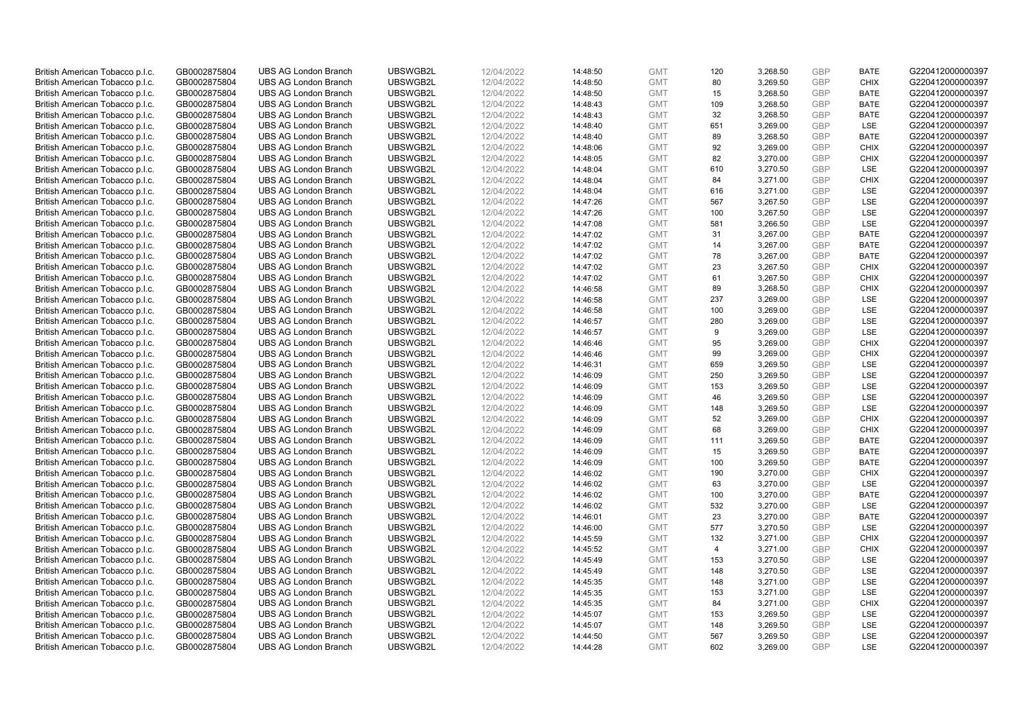| British American Tobacco p.l.c. | GB0002875804 | <b>UBS AG London Branch</b> | UBSWGB2L | 12/04/2022 | 14:48:50 | <b>GMT</b> | 120            | 3,268.50 | <b>GBP</b> | <b>BATE</b> | G220412000000397 |
|---------------------------------|--------------|-----------------------------|----------|------------|----------|------------|----------------|----------|------------|-------------|------------------|
| British American Tobacco p.l.c. | GB0002875804 | <b>UBS AG London Branch</b> | UBSWGB2L | 12/04/2022 | 14:48:50 | <b>GMT</b> | 80             | 3,269.50 | <b>GBP</b> | <b>CHIX</b> | G220412000000397 |
| British American Tobacco p.l.c. | GB0002875804 | <b>UBS AG London Branch</b> | UBSWGB2L | 12/04/2022 | 14:48:50 | <b>GMT</b> | 15             | 3,268.50 | <b>GBP</b> | <b>BATE</b> | G220412000000397 |
| British American Tobacco p.l.c. | GB0002875804 | <b>UBS AG London Branch</b> | UBSWGB2L | 12/04/2022 | 14:48:43 | <b>GMT</b> | 109            | 3,268.50 | <b>GBP</b> | <b>BATE</b> | G220412000000397 |
|                                 |              |                             |          |            |          |            | 32             |          | <b>GBP</b> | <b>BATE</b> |                  |
| British American Tobacco p.l.c. | GB0002875804 | <b>UBS AG London Branch</b> | UBSWGB2L | 12/04/2022 | 14:48:43 | <b>GMT</b> |                | 3,268.50 |            |             | G220412000000397 |
| British American Tobacco p.l.c. | GB0002875804 | <b>UBS AG London Branch</b> | UBSWGB2L | 12/04/2022 | 14:48:40 | <b>GMT</b> | 651            | 3,269.00 | <b>GBP</b> | <b>LSE</b>  | G220412000000397 |
| British American Tobacco p.l.c. | GB0002875804 | <b>UBS AG London Branch</b> | UBSWGB2L | 12/04/2022 | 14:48:40 | <b>GMT</b> | 89             | 3,268.50 | <b>GBP</b> | <b>BATE</b> | G220412000000397 |
| British American Tobacco p.l.c. | GB0002875804 | <b>UBS AG London Branch</b> | UBSWGB2L | 12/04/2022 | 14:48:06 | <b>GMT</b> | 92             | 3,269.00 | <b>GBP</b> | <b>CHIX</b> | G220412000000397 |
| British American Tobacco p.l.c. | GB0002875804 | <b>UBS AG London Branch</b> | UBSWGB2L | 12/04/2022 | 14:48:05 | <b>GMT</b> | 82             | 3,270.00 | <b>GBP</b> | <b>CHIX</b> | G220412000000397 |
| British American Tobacco p.l.c. | GB0002875804 | <b>UBS AG London Branch</b> | UBSWGB2L | 12/04/2022 | 14:48:04 | <b>GMT</b> | 610            | 3,270.50 | <b>GBP</b> | LSE         | G220412000000397 |
| British American Tobacco p.l.c. | GB0002875804 | <b>UBS AG London Branch</b> | UBSWGB2L | 12/04/2022 | 14:48:04 | <b>GMT</b> | 84             | 3.271.00 | <b>GBP</b> | <b>CHIX</b> | G220412000000397 |
| British American Tobacco p.l.c. | GB0002875804 | <b>UBS AG London Branch</b> | UBSWGB2L | 12/04/2022 | 14:48:04 | <b>GMT</b> | 616            | 3,271.00 | <b>GBP</b> | LSE         | G220412000000397 |
| British American Tobacco p.l.c. | GB0002875804 | <b>UBS AG London Branch</b> | UBSWGB2L | 12/04/2022 | 14:47:26 | <b>GMT</b> | 567            | 3,267.50 | <b>GBP</b> | LSE         | G220412000000397 |
| British American Tobacco p.l.c. | GB0002875804 | <b>UBS AG London Branch</b> | UBSWGB2L | 12/04/2022 | 14:47:26 | <b>GMT</b> | 100            | 3,267.50 | <b>GBP</b> | LSE         | G220412000000397 |
| British American Tobacco p.l.c. | GB0002875804 | <b>UBS AG London Branch</b> | UBSWGB2L | 12/04/2022 | 14:47:08 | <b>GMT</b> | 581            | 3,266.50 | <b>GBP</b> | LSE         | G220412000000397 |
| British American Tobacco p.l.c. | GB0002875804 | <b>UBS AG London Branch</b> | UBSWGB2L | 12/04/2022 | 14:47:02 | <b>GMT</b> | 31             | 3,267.00 | <b>GBP</b> | <b>BATE</b> | G220412000000397 |
| British American Tobacco p.l.c. | GB0002875804 | <b>UBS AG London Branch</b> | UBSWGB2L | 12/04/2022 | 14:47:02 | <b>GMT</b> | 14             | 3,267.00 | <b>GBP</b> | <b>BATE</b> | G220412000000397 |
| British American Tobacco p.l.c. | GB0002875804 | <b>UBS AG London Branch</b> | UBSWGB2L | 12/04/2022 | 14:47:02 | <b>GMT</b> | 78             | 3,267.00 | <b>GBP</b> | <b>BATE</b> | G220412000000397 |
| British American Tobacco p.l.c. | GB0002875804 | <b>UBS AG London Branch</b> | UBSWGB2L | 12/04/2022 | 14:47:02 | <b>GMT</b> | 23             | 3,267.50 | <b>GBP</b> | <b>CHIX</b> | G220412000000397 |
| British American Tobacco p.l.c. | GB0002875804 | <b>UBS AG London Branch</b> | UBSWGB2L | 12/04/2022 | 14:47:02 | <b>GMT</b> | 61             | 3,267.50 | <b>GBP</b> | <b>CHIX</b> | G220412000000397 |
| British American Tobacco p.l.c. | GB0002875804 | <b>UBS AG London Branch</b> | UBSWGB2L | 12/04/2022 | 14:46:58 | <b>GMT</b> | 89             | 3,268.50 | <b>GBP</b> | <b>CHIX</b> | G220412000000397 |
| British American Tobacco p.l.c. | GB0002875804 | <b>UBS AG London Branch</b> | UBSWGB2L | 12/04/2022 | 14:46:58 | <b>GMT</b> | 237            | 3,269.00 | <b>GBP</b> | LSE         | G220412000000397 |
|                                 |              |                             |          |            |          |            |                |          | <b>GBP</b> |             |                  |
| British American Tobacco p.l.c. | GB0002875804 | <b>UBS AG London Branch</b> | UBSWGB2L | 12/04/2022 | 14:46:58 | <b>GMT</b> | 100            | 3,269.00 | <b>GBP</b> | LSE         | G220412000000397 |
| British American Tobacco p.l.c. | GB0002875804 | <b>UBS AG London Branch</b> | UBSWGB2L | 12/04/2022 | 14:46:57 | <b>GMT</b> | 280            | 3,269.00 |            | <b>LSE</b>  | G220412000000397 |
| British American Tobacco p.l.c. | GB0002875804 | <b>UBS AG London Branch</b> | UBSWGB2L | 12/04/2022 | 14:46:57 | <b>GMT</b> | 9              | 3,269.00 | <b>GBP</b> | LSE         | G220412000000397 |
| British American Tobacco p.l.c. | GB0002875804 | <b>UBS AG London Branch</b> | UBSWGB2L | 12/04/2022 | 14:46:46 | <b>GMT</b> | 95             | 3,269.00 | <b>GBP</b> | <b>CHIX</b> | G220412000000397 |
| British American Tobacco p.l.c. | GB0002875804 | <b>UBS AG London Branch</b> | UBSWGB2L | 12/04/2022 | 14:46:46 | <b>GMT</b> | 99             | 3,269.00 | <b>GBP</b> | <b>CHIX</b> | G220412000000397 |
| British American Tobacco p.l.c. | GB0002875804 | <b>UBS AG London Branch</b> | UBSWGB2L | 12/04/2022 | 14:46:31 | <b>GMT</b> | 659            | 3,269.50 | <b>GBP</b> | LSE         | G220412000000397 |
| British American Tobacco p.l.c. | GB0002875804 | <b>UBS AG London Branch</b> | UBSWGB2L | 12/04/2022 | 14:46:09 | <b>GMT</b> | 250            | 3,269.50 | <b>GBP</b> | LSE         | G220412000000397 |
| British American Tobacco p.l.c. | GB0002875804 | <b>UBS AG London Branch</b> | UBSWGB2L | 12/04/2022 | 14:46:09 | <b>GMT</b> | 153            | 3,269.50 | <b>GBP</b> | LSE         | G220412000000397 |
| British American Tobacco p.l.c. | GB0002875804 | <b>UBS AG London Branch</b> | UBSWGB2L | 12/04/2022 | 14:46:09 | <b>GMT</b> | 46             | 3,269.50 | <b>GBP</b> | <b>LSE</b>  | G220412000000397 |
| British American Tobacco p.l.c. | GB0002875804 | <b>UBS AG London Branch</b> | UBSWGB2L | 12/04/2022 | 14:46:09 | <b>GMT</b> | 148            | 3,269.50 | <b>GBP</b> | LSE         | G220412000000397 |
| British American Tobacco p.l.c. | GB0002875804 | <b>UBS AG London Branch</b> | UBSWGB2L | 12/04/2022 | 14:46:09 | <b>GMT</b> | 52             | 3,269.00 | <b>GBP</b> | <b>CHIX</b> | G220412000000397 |
| British American Tobacco p.l.c. | GB0002875804 | <b>UBS AG London Branch</b> | UBSWGB2L | 12/04/2022 | 14:46:09 | <b>GMT</b> | 68             | 3,269.00 | <b>GBP</b> | <b>CHIX</b> | G220412000000397 |
| British American Tobacco p.l.c. | GB0002875804 | <b>UBS AG London Branch</b> | UBSWGB2L | 12/04/2022 | 14:46:09 | <b>GMT</b> | 111            | 3,269.50 | <b>GBP</b> | <b>BATE</b> | G220412000000397 |
| British American Tobacco p.l.c. | GB0002875804 | <b>UBS AG London Branch</b> | UBSWGB2L | 12/04/2022 | 14:46:09 | <b>GMT</b> | 15             | 3,269.50 | <b>GBP</b> | <b>BATE</b> | G220412000000397 |
| British American Tobacco p.l.c. | GB0002875804 | <b>UBS AG London Branch</b> | UBSWGB2L | 12/04/2022 | 14:46:09 | <b>GMT</b> | 100            | 3,269.50 | <b>GBP</b> | <b>BATE</b> | G220412000000397 |
| British American Tobacco p.l.c. | GB0002875804 | <b>UBS AG London Branch</b> | UBSWGB2L | 12/04/2022 | 14:46:02 | <b>GMT</b> | 190            | 3,270.00 | <b>GBP</b> | <b>CHIX</b> | G220412000000397 |
| British American Tobacco p.l.c. | GB0002875804 | <b>UBS AG London Branch</b> | UBSWGB2L | 12/04/2022 | 14:46:02 | <b>GMT</b> | 63             | 3,270.00 | <b>GBP</b> | LSE         | G220412000000397 |
| British American Tobacco p.l.c. | GB0002875804 | <b>UBS AG London Branch</b> | UBSWGB2L | 12/04/2022 | 14:46:02 | <b>GMT</b> | 100            | 3,270.00 | <b>GBP</b> | <b>BATE</b> | G220412000000397 |
| British American Tobacco p.l.c. | GB0002875804 | <b>UBS AG London Branch</b> | UBSWGB2L | 12/04/2022 | 14:46:02 | <b>GMT</b> | 532            | 3,270.00 | <b>GBP</b> | LSE         | G220412000000397 |
| British American Tobacco p.l.c. | GB0002875804 | <b>UBS AG London Branch</b> | UBSWGB2L | 12/04/2022 | 14:46:01 | <b>GMT</b> | 23             | 3,270.00 | <b>GBP</b> | <b>BATE</b> | G220412000000397 |
| British American Tobacco p.l.c. | GB0002875804 | <b>UBS AG London Branch</b> | UBSWGB2L | 12/04/2022 | 14:46:00 | <b>GMT</b> | 577            | 3,270.50 | <b>GBP</b> | LSE         | G220412000000397 |
| British American Tobacco p.l.c. | GB0002875804 | <b>UBS AG London Branch</b> | UBSWGB2L | 12/04/2022 | 14:45:59 | <b>GMT</b> | 132            | 3,271.00 | <b>GBP</b> | <b>CHIX</b> | G220412000000397 |
| British American Tobacco p.l.c. | GB0002875804 | UBS AG London Branch        | UBSWGB2L | 12/04/2022 | 14:45:52 | <b>GMT</b> | $\overline{4}$ | 3,271.00 | <b>GBP</b> | <b>CHIX</b> | G220412000000397 |
| British American Tobacco p.l.c. | GB0002875804 | <b>UBS AG London Branch</b> | UBSWGB2L | 12/04/2022 | 14:45:49 | <b>GMT</b> | 153            | 3,270.50 | <b>GBP</b> | LSE         | G220412000000397 |
| British American Tobacco p.l.c. | GB0002875804 | <b>UBS AG London Branch</b> | UBSWGB2L | 12/04/2022 | 14:45:49 | <b>GMT</b> | 148            | 3,270.50 | <b>GBP</b> | LSE         | G220412000000397 |
| British American Tobacco p.l.c. | GB0002875804 | <b>UBS AG London Branch</b> | UBSWGB2L | 12/04/2022 | 14:45:35 | <b>GMT</b> | 148            | 3,271.00 | <b>GBP</b> | LSE         | G220412000000397 |
| British American Tobacco p.l.c. | GB0002875804 | <b>UBS AG London Branch</b> | UBSWGB2L | 12/04/2022 | 14:45:35 | <b>GMT</b> | 153            | 3,271.00 | <b>GBP</b> | LSE         | G220412000000397 |
| British American Tobacco p.l.c. | GB0002875804 | <b>UBS AG London Branch</b> | UBSWGB2L | 12/04/2022 | 14:45:35 | <b>GMT</b> | 84             | 3,271.00 | <b>GBP</b> | <b>CHIX</b> | G220412000000397 |
| British American Tobacco p.l.c. | GB0002875804 | <b>UBS AG London Branch</b> | UBSWGB2L | 12/04/2022 | 14:45:07 | <b>GMT</b> | 153            | 3,269.50 | <b>GBP</b> | LSE         | G220412000000397 |
| British American Tobacco p.l.c. | GB0002875804 | <b>UBS AG London Branch</b> | UBSWGB2L | 12/04/2022 | 14:45:07 | <b>GMT</b> | 148            | 3,269.50 | <b>GBP</b> | LSE         | G220412000000397 |
| British American Tobacco p.l.c. | GB0002875804 | <b>UBS AG London Branch</b> | UBSWGB2L | 12/04/2022 | 14:44:50 | <b>GMT</b> | 567            | 3,269.50 | <b>GBP</b> | LSE         | G220412000000397 |
| British American Tobacco p.l.c. | GB0002875804 | <b>UBS AG London Branch</b> | UBSWGB2L | 12/04/2022 | 14:44:28 | <b>GMT</b> | 602            | 3,269.00 | GBP        | <b>LSE</b>  | G220412000000397 |
|                                 |              |                             |          |            |          |            |                |          |            |             |                  |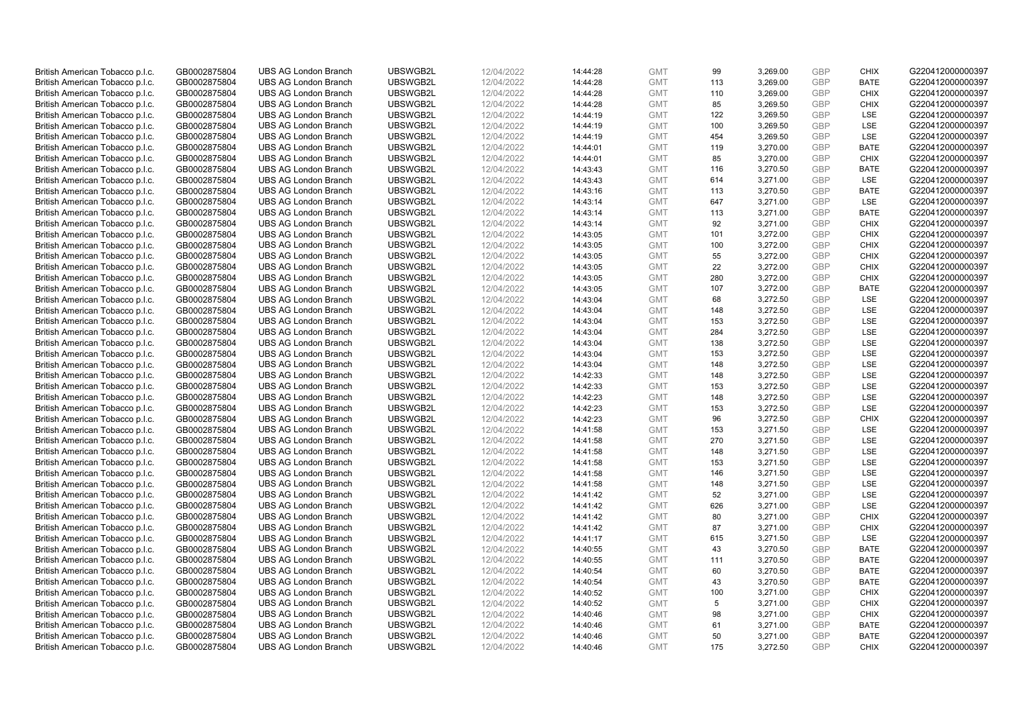| British American Tobacco p.l.c. | GB0002875804 | <b>UBS AG London Branch</b> | UBSWGB2L | 12/04/2022 | 14:44:28 | <b>GMT</b> | 99  | 3,269.00 | <b>GBP</b>               | <b>CHIX</b> | G220412000000397 |
|---------------------------------|--------------|-----------------------------|----------|------------|----------|------------|-----|----------|--------------------------|-------------|------------------|
| British American Tobacco p.l.c. | GB0002875804 | <b>UBS AG London Branch</b> | UBSWGB2L | 12/04/2022 | 14:44:28 | <b>GMT</b> | 113 | 3,269.00 | <b>GBP</b>               | <b>BATE</b> | G220412000000397 |
| British American Tobacco p.l.c. | GB0002875804 | <b>UBS AG London Branch</b> | UBSWGB2L | 12/04/2022 | 14:44:28 | <b>GMT</b> | 110 | 3,269.00 | <b>GBP</b>               | <b>CHIX</b> | G220412000000397 |
| British American Tobacco p.l.c. | GB0002875804 | <b>UBS AG London Branch</b> | UBSWGB2L | 12/04/2022 | 14:44:28 | <b>GMT</b> | 85  | 3,269.50 | <b>GBP</b>               | <b>CHIX</b> | G220412000000397 |
| British American Tobacco p.l.c. | GB0002875804 | <b>UBS AG London Branch</b> | UBSWGB2L | 12/04/2022 | 14:44:19 | <b>GMT</b> | 122 | 3,269.50 | <b>GBP</b>               | LSE         | G220412000000397 |
|                                 |              | <b>UBS AG London Branch</b> |          |            |          |            |     |          |                          |             |                  |
| British American Tobacco p.l.c. | GB0002875804 |                             | UBSWGB2L | 12/04/2022 | 14:44:19 | <b>GMT</b> | 100 | 3,269.50 | <b>GBP</b><br><b>GBP</b> | <b>LSE</b>  | G220412000000397 |
| British American Tobacco p.l.c. | GB0002875804 | <b>UBS AG London Branch</b> | UBSWGB2L | 12/04/2022 | 14:44:19 | <b>GMT</b> | 454 | 3,269.50 |                          | LSE         | G220412000000397 |
| British American Tobacco p.l.c. | GB0002875804 | <b>UBS AG London Branch</b> | UBSWGB2L | 12/04/2022 | 14:44:01 | <b>GMT</b> | 119 | 3,270.00 | <b>GBP</b>               | <b>BATE</b> | G220412000000397 |
| British American Tobacco p.l.c. | GB0002875804 | <b>UBS AG London Branch</b> | UBSWGB2L | 12/04/2022 | 14:44:01 | <b>GMT</b> | 85  | 3,270.00 | <b>GBP</b>               | <b>CHIX</b> | G220412000000397 |
| British American Tobacco p.l.c. | GB0002875804 | <b>UBS AG London Branch</b> | UBSWGB2L | 12/04/2022 | 14:43:43 | <b>GMT</b> | 116 | 3,270.50 | <b>GBP</b>               | <b>BATE</b> | G220412000000397 |
| British American Tobacco p.l.c. | GB0002875804 | <b>UBS AG London Branch</b> | UBSWGB2L | 12/04/2022 | 14:43:43 | <b>GMT</b> | 614 | 3.271.00 | <b>GBP</b>               | <b>LSE</b>  | G220412000000397 |
| British American Tobacco p.l.c. | GB0002875804 | <b>UBS AG London Branch</b> | UBSWGB2L | 12/04/2022 | 14:43:16 | <b>GMT</b> | 113 | 3,270.50 | <b>GBP</b>               | <b>BATE</b> | G220412000000397 |
| British American Tobacco p.l.c. | GB0002875804 | <b>UBS AG London Branch</b> | UBSWGB2L | 12/04/2022 | 14:43:14 | <b>GMT</b> | 647 | 3,271.00 | <b>GBP</b>               | LSE         | G220412000000397 |
| British American Tobacco p.l.c. | GB0002875804 | <b>UBS AG London Branch</b> | UBSWGB2L | 12/04/2022 | 14:43:14 | <b>GMT</b> | 113 | 3,271.00 | <b>GBP</b>               | <b>BATE</b> | G220412000000397 |
| British American Tobacco p.l.c. | GB0002875804 | <b>UBS AG London Branch</b> | UBSWGB2L | 12/04/2022 | 14:43:14 | <b>GMT</b> | 92  | 3,271.00 | <b>GBP</b>               | <b>CHIX</b> | G220412000000397 |
| British American Tobacco p.l.c. | GB0002875804 | <b>UBS AG London Branch</b> | UBSWGB2L | 12/04/2022 | 14:43:05 | <b>GMT</b> | 101 | 3,272.00 | <b>GBP</b>               | <b>CHIX</b> | G220412000000397 |
| British American Tobacco p.l.c. | GB0002875804 | <b>UBS AG London Branch</b> | UBSWGB2L | 12/04/2022 | 14:43:05 | <b>GMT</b> | 100 | 3,272.00 | <b>GBP</b>               | <b>CHIX</b> | G220412000000397 |
| British American Tobacco p.l.c. | GB0002875804 | <b>UBS AG London Branch</b> | UBSWGB2L | 12/04/2022 | 14:43:05 | <b>GMT</b> | 55  | 3,272.00 | <b>GBP</b>               | <b>CHIX</b> | G220412000000397 |
| British American Tobacco p.l.c. | GB0002875804 | <b>UBS AG London Branch</b> | UBSWGB2L | 12/04/2022 | 14:43:05 | <b>GMT</b> | 22  | 3,272.00 | <b>GBP</b>               | <b>CHIX</b> | G220412000000397 |
| British American Tobacco p.l.c. | GB0002875804 | <b>UBS AG London Branch</b> | UBSWGB2L | 12/04/2022 | 14:43:05 | <b>GMT</b> | 280 | 3,272.00 | <b>GBP</b>               | <b>CHIX</b> | G220412000000397 |
| British American Tobacco p.l.c. | GB0002875804 | <b>UBS AG London Branch</b> | UBSWGB2L | 12/04/2022 | 14:43:05 | <b>GMT</b> | 107 | 3,272.00 | <b>GBP</b>               | <b>BATE</b> | G220412000000397 |
| British American Tobacco p.l.c. | GB0002875804 | <b>UBS AG London Branch</b> | UBSWGB2L | 12/04/2022 | 14:43:04 | <b>GMT</b> | 68  | 3,272.50 | <b>GBP</b>               | LSE         | G220412000000397 |
| British American Tobacco p.l.c. | GB0002875804 | <b>UBS AG London Branch</b> | UBSWGB2L | 12/04/2022 | 14:43:04 | <b>GMT</b> | 148 | 3,272.50 | <b>GBP</b>               | LSE         | G220412000000397 |
| British American Tobacco p.l.c. | GB0002875804 | <b>UBS AG London Branch</b> | UBSWGB2L | 12/04/2022 | 14:43:04 | <b>GMT</b> | 153 | 3,272.50 | <b>GBP</b>               | <b>LSE</b>  | G220412000000397 |
| British American Tobacco p.l.c. | GB0002875804 | <b>UBS AG London Branch</b> | UBSWGB2L | 12/04/2022 | 14:43:04 | <b>GMT</b> | 284 | 3,272.50 | <b>GBP</b>               | LSE         | G220412000000397 |
| British American Tobacco p.l.c. | GB0002875804 | <b>UBS AG London Branch</b> | UBSWGB2L | 12/04/2022 | 14:43:04 | <b>GMT</b> | 138 | 3,272.50 | <b>GBP</b>               | LSE         | G220412000000397 |
| British American Tobacco p.l.c. | GB0002875804 | <b>UBS AG London Branch</b> | UBSWGB2L | 12/04/2022 | 14:43:04 | <b>GMT</b> | 153 | 3,272.50 | <b>GBP</b>               | LSE         | G220412000000397 |
| British American Tobacco p.l.c. | GB0002875804 | <b>UBS AG London Branch</b> | UBSWGB2L | 12/04/2022 | 14:43:04 | <b>GMT</b> | 148 | 3,272.50 | <b>GBP</b>               | LSE         | G220412000000397 |
| British American Tobacco p.l.c. | GB0002875804 | <b>UBS AG London Branch</b> | UBSWGB2L | 12/04/2022 | 14:42:33 | <b>GMT</b> | 148 | 3,272.50 | <b>GBP</b>               | LSE         | G220412000000397 |
| British American Tobacco p.l.c. | GB0002875804 | <b>UBS AG London Branch</b> | UBSWGB2L | 12/04/2022 | 14:42:33 | <b>GMT</b> | 153 | 3,272.50 | <b>GBP</b>               | LSE         | G220412000000397 |
| British American Tobacco p.l.c. | GB0002875804 | <b>UBS AG London Branch</b> | UBSWGB2L | 12/04/2022 | 14:42:23 | <b>GMT</b> | 148 | 3,272.50 | <b>GBP</b>               | LSE         | G220412000000397 |
| British American Tobacco p.l.c. | GB0002875804 | <b>UBS AG London Branch</b> | UBSWGB2L | 12/04/2022 | 14:42:23 | <b>GMT</b> | 153 | 3,272.50 | <b>GBP</b>               | LSE         | G220412000000397 |
| British American Tobacco p.l.c. | GB0002875804 | <b>UBS AG London Branch</b> | UBSWGB2L | 12/04/2022 | 14:42:23 | <b>GMT</b> | 96  | 3,272.50 | <b>GBP</b>               | <b>CHIX</b> | G220412000000397 |
| British American Tobacco p.l.c. | GB0002875804 | <b>UBS AG London Branch</b> | UBSWGB2L | 12/04/2022 | 14:41:58 | <b>GMT</b> | 153 | 3,271.50 | <b>GBP</b>               | LSE         | G220412000000397 |
| British American Tobacco p.l.c. | GB0002875804 | <b>UBS AG London Branch</b> | UBSWGB2L | 12/04/2022 | 14:41:58 | <b>GMT</b> | 270 | 3,271.50 | <b>GBP</b>               | LSE         | G220412000000397 |
| British American Tobacco p.l.c. | GB0002875804 | <b>UBS AG London Branch</b> | UBSWGB2L | 12/04/2022 | 14:41:58 | <b>GMT</b> | 148 | 3,271.50 | <b>GBP</b>               | LSE         | G220412000000397 |
| British American Tobacco p.l.c. | GB0002875804 | <b>UBS AG London Branch</b> | UBSWGB2L | 12/04/2022 | 14:41:58 | <b>GMT</b> | 153 | 3,271.50 | <b>GBP</b>               | <b>LSE</b>  | G220412000000397 |
| British American Tobacco p.l.c. | GB0002875804 | <b>UBS AG London Branch</b> | UBSWGB2L | 12/04/2022 | 14:41:58 | <b>GMT</b> | 146 | 3,271.50 | <b>GBP</b>               | LSE         | G220412000000397 |
| British American Tobacco p.l.c. | GB0002875804 | <b>UBS AG London Branch</b> | UBSWGB2L | 12/04/2022 | 14:41:58 | <b>GMT</b> | 148 | 3,271.50 | <b>GBP</b>               | LSE         | G220412000000397 |
| British American Tobacco p.l.c. | GB0002875804 | <b>UBS AG London Branch</b> | UBSWGB2L | 12/04/2022 | 14:41:42 | <b>GMT</b> | 52  | 3,271.00 | <b>GBP</b>               | <b>LSE</b>  | G220412000000397 |
| British American Tobacco p.l.c. | GB0002875804 | <b>UBS AG London Branch</b> | UBSWGB2L | 12/04/2022 | 14:41:42 | <b>GMT</b> | 626 | 3,271.00 | <b>GBP</b>               | LSE         | G220412000000397 |
|                                 |              |                             |          |            |          |            |     |          |                          |             |                  |
| British American Tobacco p.l.c. | GB0002875804 | <b>UBS AG London Branch</b> | UBSWGB2L | 12/04/2022 | 14:41:42 | <b>GMT</b> | 80  | 3,271.00 | <b>GBP</b>               | <b>CHIX</b> | G220412000000397 |
| British American Tobacco p.l.c. | GB0002875804 | <b>UBS AG London Branch</b> | UBSWGB2L | 12/04/2022 | 14:41:42 | <b>GMT</b> | 87  | 3,271.00 | <b>GBP</b>               | <b>CHIX</b> | G220412000000397 |
| British American Tobacco p.l.c. | GB0002875804 | <b>UBS AG London Branch</b> | UBSWGB2L | 12/04/2022 | 14:41:17 | <b>GMT</b> | 615 | 3,271.50 | <b>GBP</b>               | LSE         | G220412000000397 |
| British American Tobacco p.l.c. | GB0002875804 | UBS AG London Branch        | UBSWGB2L | 12/04/2022 | 14:40:55 | <b>GMT</b> | 43  | 3,270.50 | <b>GBP</b>               | <b>BATE</b> | G220412000000397 |
| British American Tobacco p.l.c. | GB0002875804 | <b>UBS AG London Branch</b> | UBSWGB2L | 12/04/2022 | 14:40:55 | <b>GMT</b> | 111 | 3,270.50 | <b>GBP</b>               | <b>BATE</b> | G220412000000397 |
| British American Tobacco p.l.c. | GB0002875804 | <b>UBS AG London Branch</b> | UBSWGB2L | 12/04/2022 | 14:40:54 | <b>GMT</b> | 60  | 3,270.50 | <b>GBP</b>               | <b>BATE</b> | G220412000000397 |
| British American Tobacco p.l.c. | GB0002875804 | <b>UBS AG London Branch</b> | UBSWGB2L | 12/04/2022 | 14:40:54 | <b>GMT</b> | 43  | 3,270.50 | <b>GBP</b>               | <b>BATE</b> | G220412000000397 |
| British American Tobacco p.l.c. | GB0002875804 | <b>UBS AG London Branch</b> | UBSWGB2L | 12/04/2022 | 14:40:52 | <b>GMT</b> | 100 | 3,271.00 | <b>GBP</b>               | <b>CHIX</b> | G220412000000397 |
| British American Tobacco p.l.c. | GB0002875804 | <b>UBS AG London Branch</b> | UBSWGB2L | 12/04/2022 | 14:40:52 | <b>GMT</b> | 5   | 3,271.00 | <b>GBP</b>               | <b>CHIX</b> | G220412000000397 |
| British American Tobacco p.l.c. | GB0002875804 | <b>UBS AG London Branch</b> | UBSWGB2L | 12/04/2022 | 14:40:46 | <b>GMT</b> | 98  | 3,271.00 | <b>GBP</b>               | <b>CHIX</b> | G220412000000397 |
| British American Tobacco p.l.c. | GB0002875804 | <b>UBS AG London Branch</b> | UBSWGB2L | 12/04/2022 | 14:40:46 | <b>GMT</b> | 61  | 3,271.00 | <b>GBP</b>               | <b>BATE</b> | G220412000000397 |
| British American Tobacco p.l.c. | GB0002875804 | <b>UBS AG London Branch</b> | UBSWGB2L | 12/04/2022 | 14:40:46 | <b>GMT</b> | 50  | 3,271.00 | <b>GBP</b>               | <b>BATE</b> | G220412000000397 |
| British American Tobacco p.l.c. | GB0002875804 | <b>UBS AG London Branch</b> | UBSWGB2L | 12/04/2022 | 14:40:46 | <b>GMT</b> | 175 | 3,272.50 | <b>GBP</b>               | <b>CHIX</b> | G220412000000397 |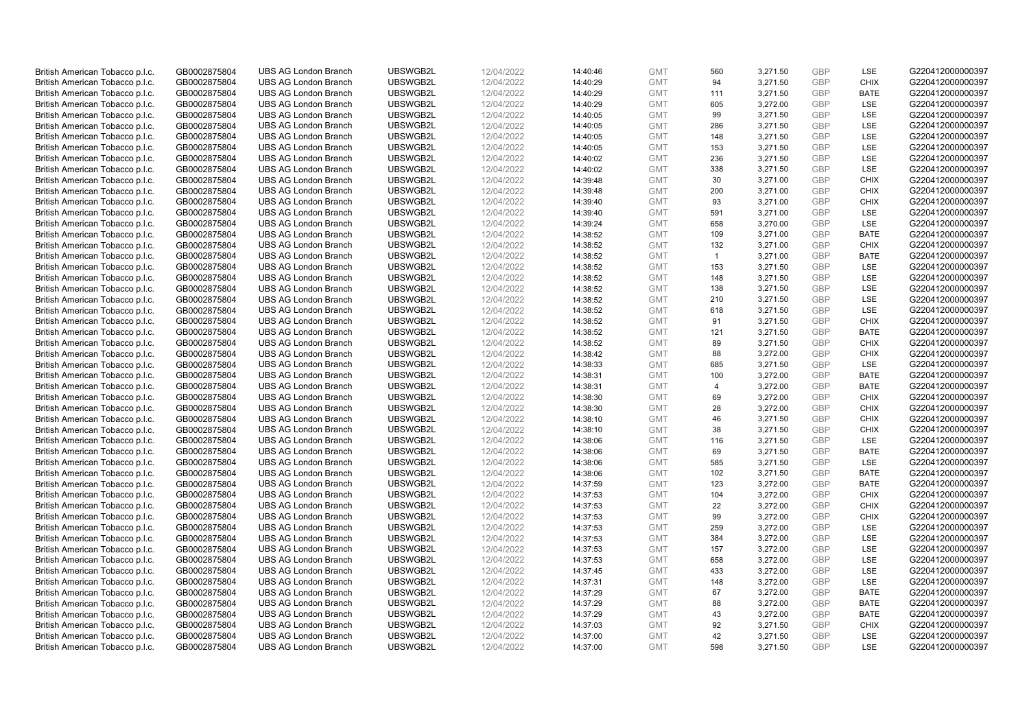| British American Tobacco p.l.c. | GB0002875804 | <b>UBS AG London Branch</b> | UBSWGB2L | 12/04/2022 | 14:40:46 | <b>GMT</b> | 560            | 3,271.50 | <b>GBP</b> | LSE         | G220412000000397 |
|---------------------------------|--------------|-----------------------------|----------|------------|----------|------------|----------------|----------|------------|-------------|------------------|
|                                 |              |                             |          |            |          |            |                |          |            |             |                  |
| British American Tobacco p.l.c. | GB0002875804 | <b>UBS AG London Branch</b> | UBSWGB2L | 12/04/2022 | 14:40:29 | <b>GMT</b> | 94             | 3,271.50 | <b>GBP</b> | <b>CHIX</b> | G220412000000397 |
| British American Tobacco p.l.c. | GB0002875804 | <b>UBS AG London Branch</b> | UBSWGB2L | 12/04/2022 | 14:40:29 | <b>GMT</b> | 111            | 3,271.50 | <b>GBP</b> | <b>BATE</b> | G220412000000397 |
| British American Tobacco p.l.c. | GB0002875804 | <b>UBS AG London Branch</b> | UBSWGB2L | 12/04/2022 | 14:40:29 | <b>GMT</b> | 605            | 3,272.00 | <b>GBP</b> | LSE         | G220412000000397 |
| British American Tobacco p.l.c. | GB0002875804 | <b>UBS AG London Branch</b> | UBSWGB2L | 12/04/2022 | 14:40:05 | <b>GMT</b> | 99             | 3,271.50 | <b>GBP</b> | LSE         | G220412000000397 |
| British American Tobacco p.l.c. | GB0002875804 | <b>UBS AG London Branch</b> | UBSWGB2L | 12/04/2022 | 14:40:05 | <b>GMT</b> | 286            | 3,271.50 | <b>GBP</b> | <b>LSE</b>  | G220412000000397 |
| British American Tobacco p.l.c. | GB0002875804 | <b>UBS AG London Branch</b> | UBSWGB2L | 12/04/2022 | 14:40:05 | <b>GMT</b> | 148            | 3,271.50 | <b>GBP</b> | LSE         | G220412000000397 |
| British American Tobacco p.l.c. | GB0002875804 | <b>UBS AG London Branch</b> | UBSWGB2L | 12/04/2022 | 14:40:05 | <b>GMT</b> | 153            | 3,271.50 | <b>GBP</b> | LSE         | G220412000000397 |
| British American Tobacco p.l.c. | GB0002875804 | <b>UBS AG London Branch</b> | UBSWGB2L | 12/04/2022 | 14:40:02 | <b>GMT</b> | 236            | 3,271.50 | <b>GBP</b> | LSE         | G220412000000397 |
| British American Tobacco p.l.c. | GB0002875804 | <b>UBS AG London Branch</b> | UBSWGB2L | 12/04/2022 | 14:40:02 | <b>GMT</b> | 338            | 3,271.50 | <b>GBP</b> | LSE         | G220412000000397 |
| British American Tobacco p.l.c. | GB0002875804 | <b>UBS AG London Branch</b> | UBSWGB2L | 12/04/2022 | 14:39:48 | <b>GMT</b> | 30             | 3,271.00 | <b>GBP</b> | <b>CHIX</b> | G220412000000397 |
| British American Tobacco p.l.c. | GB0002875804 | <b>UBS AG London Branch</b> | UBSWGB2L | 12/04/2022 | 14:39:48 | <b>GMT</b> | 200            | 3,271.00 | <b>GBP</b> | <b>CHIX</b> | G220412000000397 |
|                                 |              | <b>UBS AG London Branch</b> | UBSWGB2L |            |          | <b>GMT</b> | 93             | 3,271.00 |            | <b>CHIX</b> | G220412000000397 |
| British American Tobacco p.l.c. | GB0002875804 |                             |          | 12/04/2022 | 14:39:40 |            |                |          | <b>GBP</b> |             |                  |
| British American Tobacco p.l.c. | GB0002875804 | <b>UBS AG London Branch</b> | UBSWGB2L | 12/04/2022 | 14:39:40 | <b>GMT</b> | 591            | 3,271.00 | <b>GBP</b> | <b>LSE</b>  | G220412000000397 |
| British American Tobacco p.l.c. | GB0002875804 | <b>UBS AG London Branch</b> | UBSWGB2L | 12/04/2022 | 14:39:24 | <b>GMT</b> | 658            | 3,270.00 | <b>GBP</b> | <b>LSE</b>  | G220412000000397 |
| British American Tobacco p.l.c. | GB0002875804 | <b>UBS AG London Branch</b> | UBSWGB2L | 12/04/2022 | 14:38:52 | <b>GMT</b> | 109            | 3,271.00 | <b>GBP</b> | <b>BATE</b> | G220412000000397 |
| British American Tobacco p.l.c. | GB0002875804 | <b>UBS AG London Branch</b> | UBSWGB2L | 12/04/2022 | 14:38:52 | <b>GMT</b> | 132            | 3,271.00 | <b>GBP</b> | <b>CHIX</b> | G220412000000397 |
| British American Tobacco p.l.c. | GB0002875804 | <b>UBS AG London Branch</b> | UBSWGB2L | 12/04/2022 | 14:38:52 | <b>GMT</b> | $\overline{1}$ | 3,271.00 | <b>GBP</b> | <b>BATE</b> | G220412000000397 |
| British American Tobacco p.l.c. | GB0002875804 | <b>UBS AG London Branch</b> | UBSWGB2L | 12/04/2022 | 14:38:52 | <b>GMT</b> | 153            | 3,271.50 | <b>GBP</b> | <b>LSE</b>  | G220412000000397 |
| British American Tobacco p.l.c. | GB0002875804 | <b>UBS AG London Branch</b> | UBSWGB2L | 12/04/2022 | 14:38:52 | <b>GMT</b> | 148            | 3,271.50 | <b>GBP</b> | LSE         | G220412000000397 |
| British American Tobacco p.l.c. | GB0002875804 | <b>UBS AG London Branch</b> | UBSWGB2L | 12/04/2022 | 14:38:52 | <b>GMT</b> | 138            | 3,271.50 | <b>GBP</b> | LSE         | G220412000000397 |
| British American Tobacco p.l.c. | GB0002875804 | <b>UBS AG London Branch</b> | UBSWGB2L | 12/04/2022 | 14:38:52 | <b>GMT</b> | 210            | 3,271.50 | <b>GBP</b> | LSE         | G220412000000397 |
| British American Tobacco p.l.c. | GB0002875804 | <b>UBS AG London Branch</b> | UBSWGB2L | 12/04/2022 | 14:38:52 | <b>GMT</b> | 618            | 3,271.50 | <b>GBP</b> | LSE         | G220412000000397 |
| British American Tobacco p.l.c. | GB0002875804 | <b>UBS AG London Branch</b> | UBSWGB2L | 12/04/2022 | 14:38:52 | <b>GMT</b> | 91             | 3,271.50 | <b>GBP</b> | <b>CHIX</b> | G220412000000397 |
| British American Tobacco p.l.c. | GB0002875804 | <b>UBS AG London Branch</b> | UBSWGB2L | 12/04/2022 | 14:38:52 | <b>GMT</b> | 121            | 3,271.50 | <b>GBP</b> | <b>BATE</b> | G220412000000397 |
| British American Tobacco p.l.c. | GB0002875804 | <b>UBS AG London Branch</b> | UBSWGB2L | 12/04/2022 | 14:38:52 | <b>GMT</b> | 89             | 3,271.50 | <b>GBP</b> | <b>CHIX</b> | G220412000000397 |
| British American Tobacco p.l.c. | GB0002875804 | <b>UBS AG London Branch</b> | UBSWGB2L | 12/04/2022 | 14:38:42 | <b>GMT</b> | 88             | 3,272.00 | <b>GBP</b> | <b>CHIX</b> | G220412000000397 |
| British American Tobacco p.l.c. | GB0002875804 | <b>UBS AG London Branch</b> | UBSWGB2L | 12/04/2022 | 14:38:33 | <b>GMT</b> | 685            | 3,271.50 | <b>GBP</b> | <b>LSE</b>  | G220412000000397 |
|                                 | GB0002875804 | <b>UBS AG London Branch</b> | UBSWGB2L | 12/04/2022 | 14:38:31 | <b>GMT</b> | 100            | 3,272.00 | <b>GBP</b> | <b>BATE</b> | G220412000000397 |
| British American Tobacco p.l.c. |              |                             |          |            |          |            |                |          |            |             |                  |
| British American Tobacco p.l.c. | GB0002875804 | <b>UBS AG London Branch</b> | UBSWGB2L | 12/04/2022 | 14:38:31 | <b>GMT</b> | $\overline{4}$ | 3,272.00 | <b>GBP</b> | <b>BATE</b> | G220412000000397 |
| British American Tobacco p.l.c. | GB0002875804 | <b>UBS AG London Branch</b> | UBSWGB2L | 12/04/2022 | 14:38:30 | <b>GMT</b> | 69             | 3,272.00 | <b>GBP</b> | <b>CHIX</b> | G220412000000397 |
| British American Tobacco p.l.c. | GB0002875804 | <b>UBS AG London Branch</b> | UBSWGB2L | 12/04/2022 | 14:38:30 | <b>GMT</b> | 28             | 3,272.00 | <b>GBP</b> | <b>CHIX</b> | G220412000000397 |
| British American Tobacco p.l.c. | GB0002875804 | <b>UBS AG London Branch</b> | UBSWGB2L | 12/04/2022 | 14:38:10 | <b>GMT</b> | 46             | 3,271.50 | <b>GBP</b> | <b>CHIX</b> | G220412000000397 |
| British American Tobacco p.l.c. | GB0002875804 | <b>UBS AG London Branch</b> | UBSWGB2L | 12/04/2022 | 14:38:10 | <b>GMT</b> | 38             | 3,271.50 | <b>GBP</b> | <b>CHIX</b> | G220412000000397 |
| British American Tobacco p.l.c. | GB0002875804 | <b>UBS AG London Branch</b> | UBSWGB2L | 12/04/2022 | 14:38:06 | <b>GMT</b> | 116            | 3,271.50 | <b>GBP</b> | LSE         | G220412000000397 |
| British American Tobacco p.l.c. | GB0002875804 | <b>UBS AG London Branch</b> | UBSWGB2L | 12/04/2022 | 14:38:06 | <b>GMT</b> | 69             | 3,271.50 | <b>GBP</b> | <b>BATE</b> | G220412000000397 |
| British American Tobacco p.l.c. | GB0002875804 | <b>UBS AG London Branch</b> | UBSWGB2L | 12/04/2022 | 14:38:06 | <b>GMT</b> | 585            | 3,271.50 | <b>GBP</b> | <b>LSE</b>  | G220412000000397 |
| British American Tobacco p.l.c. | GB0002875804 | <b>UBS AG London Branch</b> | UBSWGB2L | 12/04/2022 | 14:38:06 | <b>GMT</b> | 102            | 3,271.50 | <b>GBP</b> | <b>BATE</b> | G220412000000397 |
| British American Tobacco p.l.c. | GB0002875804 | <b>UBS AG London Branch</b> | UBSWGB2L | 12/04/2022 | 14:37:59 | <b>GMT</b> | 123            | 3,272.00 | <b>GBP</b> | <b>BATE</b> | G220412000000397 |
| British American Tobacco p.l.c. | GB0002875804 | <b>UBS AG London Branch</b> | UBSWGB2L | 12/04/2022 | 14:37:53 | <b>GMT</b> | 104            | 3,272.00 | <b>GBP</b> | <b>CHIX</b> | G220412000000397 |
| British American Tobacco p.l.c. | GB0002875804 | <b>UBS AG London Branch</b> | UBSWGB2L | 12/04/2022 | 14:37:53 | <b>GMT</b> | 22             | 3,272.00 | <b>GBP</b> | <b>CHIX</b> | G220412000000397 |
| British American Tobacco p.l.c. | GB0002875804 | <b>UBS AG London Branch</b> | UBSWGB2L | 12/04/2022 | 14:37:53 | <b>GMT</b> | 99             | 3,272.00 | <b>GBP</b> | <b>CHIX</b> | G220412000000397 |
| British American Tobacco p.l.c. | GB0002875804 | <b>UBS AG London Branch</b> | UBSWGB2L | 12/04/2022 | 14:37:53 | <b>GMT</b> | 259            | 3,272.00 | <b>GBP</b> | LSE         | G220412000000397 |
| British American Tobacco p.l.c. | GB0002875804 | <b>UBS AG London Branch</b> | UBSWGB2L | 12/04/2022 | 14:37:53 | <b>GMT</b> | 384            | 3,272.00 | <b>GBP</b> | LSE         | G220412000000397 |
| British American Tobacco p.l.c. | GB0002875804 | <b>UBS AG London Branch</b> | UBSWGB2L | 12/04/2022 | 14:37:53 | <b>GMT</b> | 157            | 3,272.00 | <b>GBP</b> | LSE         | G220412000000397 |
|                                 | GB0002875804 | <b>UBS AG London Branch</b> | UBSWGB2L | 12/04/2022 | 14:37:53 | <b>GMT</b> | 658            | 3,272.00 | <b>GBP</b> | LSE         | G220412000000397 |
| British American Tobacco p.l.c. |              |                             |          |            |          |            |                |          |            |             |                  |
| British American Tobacco p.l.c. | GB0002875804 | <b>UBS AG London Branch</b> | UBSWGB2L | 12/04/2022 | 14:37:45 | <b>GMT</b> | 433            | 3,272.00 | <b>GBP</b> | LSE         | G220412000000397 |
| British American Tobacco p.l.c. | GB0002875804 | <b>UBS AG London Branch</b> | UBSWGB2L | 12/04/2022 | 14:37:31 | <b>GMT</b> | 148            | 3,272.00 | <b>GBP</b> | LSE         | G220412000000397 |
| British American Tobacco p.l.c. | GB0002875804 | <b>UBS AG London Branch</b> | UBSWGB2L | 12/04/2022 | 14:37:29 | <b>GMT</b> | 67             | 3,272.00 | <b>GBP</b> | <b>BATE</b> | G220412000000397 |
| British American Tobacco p.l.c. | GB0002875804 | <b>UBS AG London Branch</b> | UBSWGB2L | 12/04/2022 | 14:37:29 | <b>GMT</b> | 88             | 3,272.00 | <b>GBP</b> | <b>BATE</b> | G220412000000397 |
| British American Tobacco p.l.c. | GB0002875804 | <b>UBS AG London Branch</b> | UBSWGB2L | 12/04/2022 | 14:37:29 | <b>GMT</b> | 43             | 3,272.00 | <b>GBP</b> | <b>BATE</b> | G220412000000397 |
| British American Tobacco p.l.c. | GB0002875804 | <b>UBS AG London Branch</b> | UBSWGB2L | 12/04/2022 | 14:37:03 | <b>GMT</b> | 92             | 3,271.50 | <b>GBP</b> | <b>CHIX</b> | G220412000000397 |
| British American Tobacco p.l.c. | GB0002875804 | <b>UBS AG London Branch</b> | UBSWGB2L | 12/04/2022 | 14:37:00 | <b>GMT</b> | 42             | 3,271.50 | <b>GBP</b> | LSE         | G220412000000397 |
| British American Tobacco p.l.c. | GB0002875804 | <b>UBS AG London Branch</b> | UBSWGB2L | 12/04/2022 | 14:37:00 | <b>GMT</b> | 598            | 3,271.50 | GBP        | <b>LSE</b>  | G220412000000397 |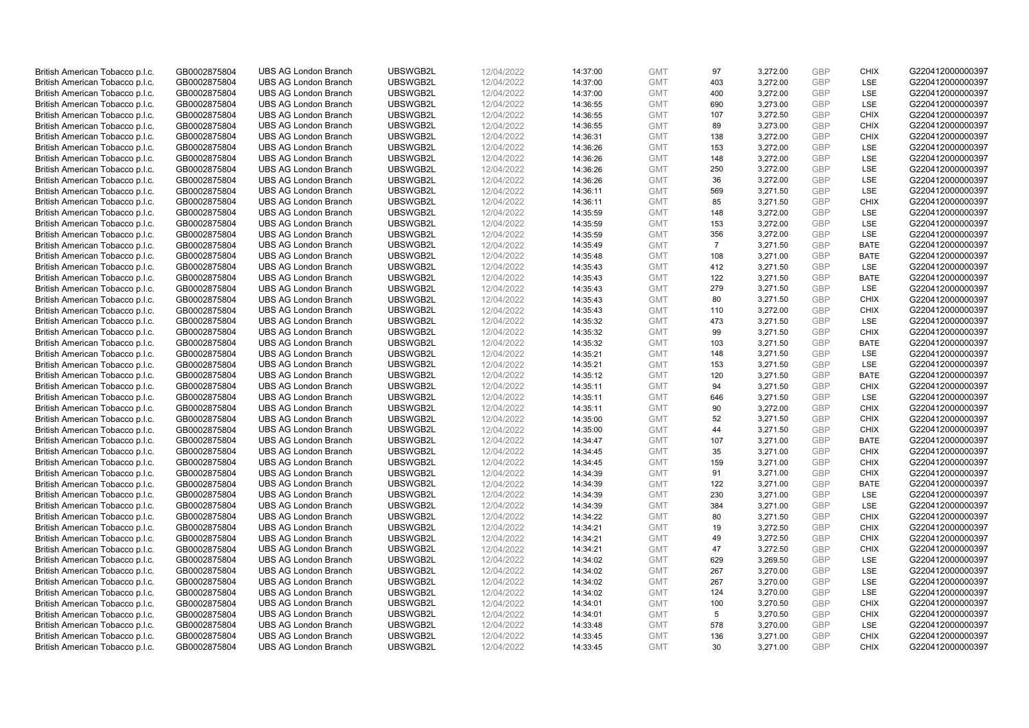| British American Tobacco p.l.c. | GB0002875804 | <b>UBS AG London Branch</b> | UBSWGB2L | 12/04/2022 | 14:37:00 | <b>GMT</b> | 97             | 3,272.00 | <b>GBP</b>               | <b>CHIX</b> | G220412000000397 |
|---------------------------------|--------------|-----------------------------|----------|------------|----------|------------|----------------|----------|--------------------------|-------------|------------------|
| British American Tobacco p.l.c. | GB0002875804 | <b>UBS AG London Branch</b> | UBSWGB2L | 12/04/2022 | 14:37:00 | <b>GMT</b> | 403            | 3,272.00 | <b>GBP</b>               | LSE         | G220412000000397 |
| British American Tobacco p.l.c. | GB0002875804 | <b>UBS AG London Branch</b> | UBSWGB2L | 12/04/2022 | 14:37:00 | <b>GMT</b> | 400            | 3,272.00 | <b>GBP</b>               | LSE         | G220412000000397 |
| British American Tobacco p.l.c. | GB0002875804 | <b>UBS AG London Branch</b> | UBSWGB2L | 12/04/2022 | 14:36:55 | <b>GMT</b> | 690            | 3,273.00 | <b>GBP</b>               | LSE         | G220412000000397 |
| British American Tobacco p.l.c. | GB0002875804 | <b>UBS AG London Branch</b> | UBSWGB2L | 12/04/2022 | 14:36:55 | <b>GMT</b> | 107            | 3,272.50 | <b>GBP</b>               | <b>CHIX</b> | G220412000000397 |
|                                 |              | <b>UBS AG London Branch</b> |          |            |          |            |                |          |                          |             |                  |
| British American Tobacco p.l.c. | GB0002875804 |                             | UBSWGB2L | 12/04/2022 | 14:36:55 | <b>GMT</b> | 89             | 3,273.00 | <b>GBP</b><br><b>GBP</b> | <b>CHIX</b> | G220412000000397 |
| British American Tobacco p.l.c. | GB0002875804 | <b>UBS AG London Branch</b> | UBSWGB2L | 12/04/2022 | 14:36:31 | <b>GMT</b> | 138            | 3,272.00 |                          | <b>CHIX</b> | G220412000000397 |
| British American Tobacco p.l.c. | GB0002875804 | <b>UBS AG London Branch</b> | UBSWGB2L | 12/04/2022 | 14:36:26 | <b>GMT</b> | 153            | 3,272.00 | <b>GBP</b>               | <b>LSE</b>  | G220412000000397 |
| British American Tobacco p.l.c. | GB0002875804 | <b>UBS AG London Branch</b> | UBSWGB2L | 12/04/2022 | 14:36:26 | <b>GMT</b> | 148            | 3,272.00 | <b>GBP</b>               | LSE         | G220412000000397 |
| British American Tobacco p.l.c. | GB0002875804 | <b>UBS AG London Branch</b> | UBSWGB2L | 12/04/2022 | 14:36:26 | <b>GMT</b> | 250            | 3,272.00 | <b>GBP</b>               | LSE         | G220412000000397 |
| British American Tobacco p.l.c. | GB0002875804 | <b>UBS AG London Branch</b> | UBSWGB2L | 12/04/2022 | 14:36:26 | <b>GMT</b> | 36             | 3,272.00 | <b>GBP</b>               | <b>LSE</b>  | G220412000000397 |
| British American Tobacco p.l.c. | GB0002875804 | <b>UBS AG London Branch</b> | UBSWGB2L | 12/04/2022 | 14:36:11 | <b>GMT</b> | 569            | 3,271.50 | <b>GBP</b>               | LSE         | G220412000000397 |
| British American Tobacco p.l.c. | GB0002875804 | <b>UBS AG London Branch</b> | UBSWGB2L | 12/04/2022 | 14:36:11 | <b>GMT</b> | 85             | 3,271.50 | <b>GBP</b>               | <b>CHIX</b> | G220412000000397 |
| British American Tobacco p.l.c. | GB0002875804 | <b>UBS AG London Branch</b> | UBSWGB2L | 12/04/2022 | 14:35:59 | <b>GMT</b> | 148            | 3,272.00 | <b>GBP</b>               | <b>LSE</b>  | G220412000000397 |
| British American Tobacco p.l.c. | GB0002875804 | <b>UBS AG London Branch</b> | UBSWGB2L | 12/04/2022 | 14:35:59 | <b>GMT</b> | 153            | 3,272.00 | <b>GBP</b>               | LSE         | G220412000000397 |
| British American Tobacco p.l.c. | GB0002875804 | <b>UBS AG London Branch</b> | UBSWGB2L | 12/04/2022 | 14:35:59 | <b>GMT</b> | 356            | 3,272.00 | <b>GBP</b>               | LSE         | G220412000000397 |
| British American Tobacco p.l.c. | GB0002875804 | <b>UBS AG London Branch</b> | UBSWGB2L | 12/04/2022 | 14:35:49 | <b>GMT</b> | $\overline{7}$ | 3,271.50 | <b>GBP</b>               | <b>BATE</b> | G220412000000397 |
| British American Tobacco p.l.c. | GB0002875804 | <b>UBS AG London Branch</b> | UBSWGB2L | 12/04/2022 | 14:35:48 | <b>GMT</b> | 108            | 3,271.00 | <b>GBP</b>               | <b>BATE</b> | G220412000000397 |
| British American Tobacco p.l.c. | GB0002875804 | <b>UBS AG London Branch</b> | UBSWGB2L | 12/04/2022 | 14:35:43 | <b>GMT</b> | 412            | 3,271.50 | <b>GBP</b>               | <b>LSE</b>  | G220412000000397 |
| British American Tobacco p.l.c. | GB0002875804 | <b>UBS AG London Branch</b> | UBSWGB2L | 12/04/2022 | 14:35:43 | <b>GMT</b> | 122            | 3,271.50 | <b>GBP</b>               | <b>BATE</b> | G220412000000397 |
| British American Tobacco p.l.c. | GB0002875804 | <b>UBS AG London Branch</b> | UBSWGB2L | 12/04/2022 | 14:35:43 | <b>GMT</b> | 279            | 3,271.50 | <b>GBP</b>               | LSE         | G220412000000397 |
| British American Tobacco p.l.c. | GB0002875804 | <b>UBS AG London Branch</b> | UBSWGB2L | 12/04/2022 | 14:35:43 | <b>GMT</b> | 80             | 3,271.50 | <b>GBP</b>               | <b>CHIX</b> | G220412000000397 |
| British American Tobacco p.l.c. | GB0002875804 | <b>UBS AG London Branch</b> | UBSWGB2L | 12/04/2022 | 14:35:43 | <b>GMT</b> | 110            | 3,272.00 | <b>GBP</b>               | <b>CHIX</b> | G220412000000397 |
| British American Tobacco p.l.c. | GB0002875804 | <b>UBS AG London Branch</b> | UBSWGB2L | 12/04/2022 | 14:35:32 | <b>GMT</b> | 473            | 3,271.50 | <b>GBP</b>               | <b>LSE</b>  | G220412000000397 |
| British American Tobacco p.l.c. | GB0002875804 | <b>UBS AG London Branch</b> | UBSWGB2L | 12/04/2022 | 14:35:32 | <b>GMT</b> | 99             | 3,271.50 | <b>GBP</b>               | <b>CHIX</b> | G220412000000397 |
| British American Tobacco p.l.c. | GB0002875804 | <b>UBS AG London Branch</b> | UBSWGB2L | 12/04/2022 | 14:35:32 | <b>GMT</b> | 103            | 3,271.50 | <b>GBP</b>               | <b>BATE</b> | G220412000000397 |
| British American Tobacco p.l.c. | GB0002875804 | <b>UBS AG London Branch</b> | UBSWGB2L | 12/04/2022 | 14:35:21 | <b>GMT</b> | 148            | 3,271.50 | <b>GBP</b>               | <b>LSE</b>  | G220412000000397 |
| British American Tobacco p.l.c. | GB0002875804 | <b>UBS AG London Branch</b> | UBSWGB2L | 12/04/2022 | 14:35:21 | <b>GMT</b> | 153            | 3,271.50 | <b>GBP</b>               | LSE         | G220412000000397 |
| British American Tobacco p.l.c. | GB0002875804 | <b>UBS AG London Branch</b> | UBSWGB2L | 12/04/2022 | 14:35:12 | <b>GMT</b> | 120            | 3,271.50 | <b>GBP</b>               | <b>BATE</b> | G220412000000397 |
| British American Tobacco p.l.c. | GB0002875804 | <b>UBS AG London Branch</b> | UBSWGB2L | 12/04/2022 | 14:35:11 | <b>GMT</b> | 94             | 3,271.50 | <b>GBP</b>               | <b>CHIX</b> | G220412000000397 |
| British American Tobacco p.l.c. | GB0002875804 | <b>UBS AG London Branch</b> | UBSWGB2L | 12/04/2022 | 14:35:11 | <b>GMT</b> | 646            | 3,271.50 | <b>GBP</b>               | LSE         | G220412000000397 |
| British American Tobacco p.l.c. | GB0002875804 | <b>UBS AG London Branch</b> | UBSWGB2L | 12/04/2022 | 14:35:11 | <b>GMT</b> | 90             | 3,272.00 | <b>GBP</b>               | <b>CHIX</b> | G220412000000397 |
| British American Tobacco p.l.c. | GB0002875804 | <b>UBS AG London Branch</b> | UBSWGB2L | 12/04/2022 | 14:35:00 | <b>GMT</b> | 52             | 3,271.50 | <b>GBP</b>               | <b>CHIX</b> | G220412000000397 |
| British American Tobacco p.l.c. | GB0002875804 | <b>UBS AG London Branch</b> | UBSWGB2L | 12/04/2022 | 14:35:00 | <b>GMT</b> | 44             | 3,271.50 | <b>GBP</b>               | <b>CHIX</b> | G220412000000397 |
| British American Tobacco p.l.c. | GB0002875804 | <b>UBS AG London Branch</b> | UBSWGB2L | 12/04/2022 | 14:34:47 | <b>GMT</b> | 107            | 3,271.00 | <b>GBP</b>               | <b>BATE</b> | G220412000000397 |
| British American Tobacco p.l.c. | GB0002875804 | <b>UBS AG London Branch</b> | UBSWGB2L | 12/04/2022 | 14:34:45 | <b>GMT</b> | 35             | 3,271.00 | <b>GBP</b>               | <b>CHIX</b> | G220412000000397 |
| British American Tobacco p.l.c. | GB0002875804 | <b>UBS AG London Branch</b> | UBSWGB2L | 12/04/2022 | 14:34:45 | <b>GMT</b> | 159            | 3,271.00 | <b>GBP</b>               | <b>CHIX</b> | G220412000000397 |
| British American Tobacco p.l.c. | GB0002875804 | <b>UBS AG London Branch</b> | UBSWGB2L | 12/04/2022 | 14:34:39 | <b>GMT</b> | 91             | 3,271.00 | <b>GBP</b>               | <b>CHIX</b> | G220412000000397 |
| British American Tobacco p.l.c. | GB0002875804 | <b>UBS AG London Branch</b> | UBSWGB2L | 12/04/2022 | 14:34:39 | <b>GMT</b> | 122            | 3,271.00 | <b>GBP</b>               | <b>BATE</b> | G220412000000397 |
| British American Tobacco p.l.c. | GB0002875804 | <b>UBS AG London Branch</b> | UBSWGB2L | 12/04/2022 | 14:34:39 | <b>GMT</b> | 230            | 3,271.00 | <b>GBP</b>               | <b>LSE</b>  | G220412000000397 |
| British American Tobacco p.l.c. | GB0002875804 | <b>UBS AG London Branch</b> | UBSWGB2L | 12/04/2022 | 14:34:39 | <b>GMT</b> | 384            | 3,271.00 | <b>GBP</b>               | LSE         | G220412000000397 |
| British American Tobacco p.l.c. | GB0002875804 | <b>UBS AG London Branch</b> | UBSWGB2L | 12/04/2022 | 14:34:22 | <b>GMT</b> | 80             | 3,271.50 | <b>GBP</b>               | <b>CHIX</b> | G220412000000397 |
|                                 | GB0002875804 | <b>UBS AG London Branch</b> | UBSWGB2L | 12/04/2022 | 14:34:21 | <b>GMT</b> |                | 3,272.50 | <b>GBP</b>               | <b>CHIX</b> | G220412000000397 |
| British American Tobacco p.l.c. |              |                             |          |            |          |            | 19             |          |                          | <b>CHIX</b> |                  |
| British American Tobacco p.l.c. | GB0002875804 | <b>UBS AG London Branch</b> | UBSWGB2L | 12/04/2022 | 14:34:21 | <b>GMT</b> | 49<br>47       | 3,272.50 | <b>GBP</b>               |             | G220412000000397 |
| British American Tobacco p.l.c. | GB0002875804 | UBS AG London Branch        | UBSWGB2L | 12/04/2022 | 14:34:21 | <b>GMT</b> |                | 3,272.50 | <b>GBP</b>               | <b>CHIX</b> | G220412000000397 |
| British American Tobacco p.l.c. | GB0002875804 | <b>UBS AG London Branch</b> | UBSWGB2L | 12/04/2022 | 14:34:02 | <b>GMT</b> | 629            | 3,269.50 | <b>GBP</b>               | LSE         | G220412000000397 |
| British American Tobacco p.l.c. | GB0002875804 | <b>UBS AG London Branch</b> | UBSWGB2L | 12/04/2022 | 14:34:02 | <b>GMT</b> | 267            | 3,270.00 | <b>GBP</b>               | LSE         | G220412000000397 |
| British American Tobacco p.l.c. | GB0002875804 | <b>UBS AG London Branch</b> | UBSWGB2L | 12/04/2022 | 14:34:02 | <b>GMT</b> | 267            | 3,270.00 | <b>GBP</b>               | LSE         | G220412000000397 |
| British American Tobacco p.l.c. | GB0002875804 | <b>UBS AG London Branch</b> | UBSWGB2L | 12/04/2022 | 14:34:02 | <b>GMT</b> | 124            | 3,270.00 | <b>GBP</b>               | LSE         | G220412000000397 |
| British American Tobacco p.l.c. | GB0002875804 | <b>UBS AG London Branch</b> | UBSWGB2L | 12/04/2022 | 14:34:01 | <b>GMT</b> | 100            | 3,270.50 | <b>GBP</b>               | <b>CHIX</b> | G220412000000397 |
| British American Tobacco p.l.c. | GB0002875804 | <b>UBS AG London Branch</b> | UBSWGB2L | 12/04/2022 | 14:34:01 | <b>GMT</b> | 5              | 3,270.50 | <b>GBP</b>               | <b>CHIX</b> | G220412000000397 |
| British American Tobacco p.l.c. | GB0002875804 | <b>UBS AG London Branch</b> | UBSWGB2L | 12/04/2022 | 14:33:48 | <b>GMT</b> | 578            | 3,270.00 | <b>GBP</b>               | LSE         | G220412000000397 |
| British American Tobacco p.l.c. | GB0002875804 | <b>UBS AG London Branch</b> | UBSWGB2L | 12/04/2022 | 14:33:45 | <b>GMT</b> | 136            | 3,271.00 | <b>GBP</b>               | <b>CHIX</b> | G220412000000397 |
| British American Tobacco p.l.c. | GB0002875804 | <b>UBS AG London Branch</b> | UBSWGB2L | 12/04/2022 | 14:33:45 | <b>GMT</b> | 30             | 3,271.00 | GBP                      | <b>CHIX</b> | G220412000000397 |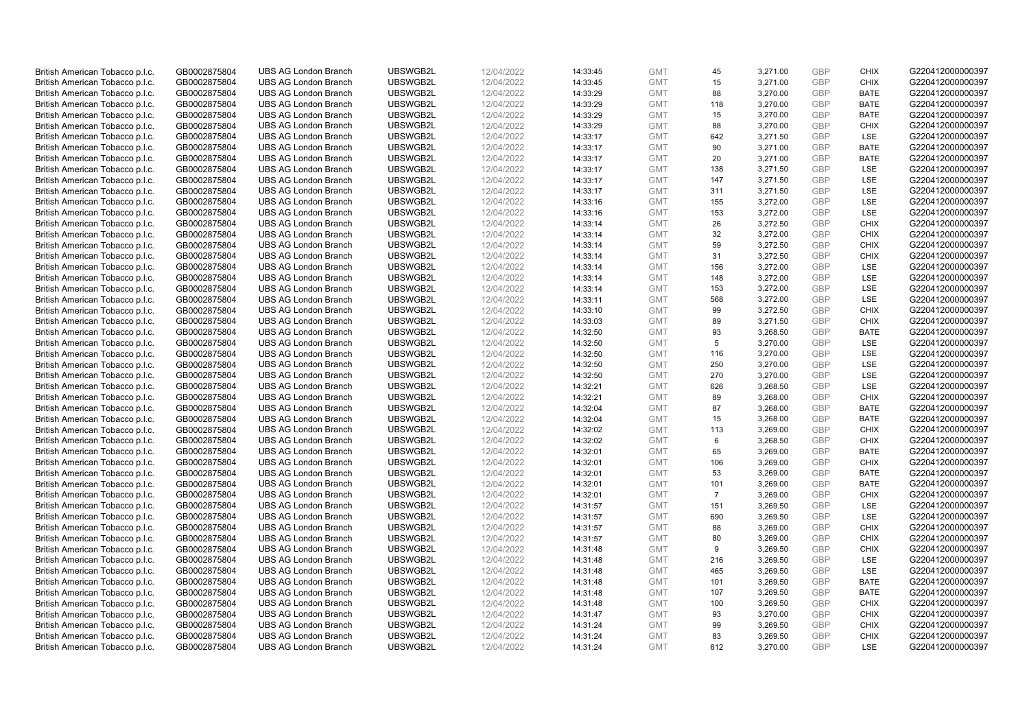| British American Tobacco p.l.c. | GB0002875804 | <b>UBS AG London Branch</b> | UBSWGB2L | 12/04/2022 | 14:33:45 | <b>GMT</b> | 45             | 3,271.00 | <b>GBP</b> | <b>CHIX</b>        | G220412000000397 |
|---------------------------------|--------------|-----------------------------|----------|------------|----------|------------|----------------|----------|------------|--------------------|------------------|
|                                 |              |                             |          |            |          |            |                |          |            |                    |                  |
| British American Tobacco p.l.c. | GB0002875804 | <b>UBS AG London Branch</b> | UBSWGB2L | 12/04/2022 | 14:33:45 | <b>GMT</b> | 15             | 3,271.00 | <b>GBP</b> | <b>CHIX</b>        | G220412000000397 |
| British American Tobacco p.l.c. | GB0002875804 | <b>UBS AG London Branch</b> | UBSWGB2L | 12/04/2022 | 14:33:29 | <b>GMT</b> | 88             | 3,270.00 | <b>GBP</b> | <b>BATE</b>        | G220412000000397 |
| British American Tobacco p.l.c. | GB0002875804 | <b>UBS AG London Branch</b> | UBSWGB2L | 12/04/2022 | 14:33:29 | <b>GMT</b> | 118            | 3,270.00 | <b>GBP</b> | <b>BATE</b>        | G220412000000397 |
| British American Tobacco p.l.c. | GB0002875804 | <b>UBS AG London Branch</b> | UBSWGB2L | 12/04/2022 | 14:33:29 | <b>GMT</b> | 15             | 3,270.00 | <b>GBP</b> | <b>BATE</b>        | G220412000000397 |
| British American Tobacco p.l.c. | GB0002875804 | <b>UBS AG London Branch</b> | UBSWGB2L | 12/04/2022 | 14:33:29 | <b>GMT</b> | 88             | 3,270.00 | <b>GBP</b> | <b>CHIX</b>        | G220412000000397 |
| British American Tobacco p.l.c. | GB0002875804 | <b>UBS AG London Branch</b> | UBSWGB2L | 12/04/2022 | 14:33:17 | <b>GMT</b> | 642            | 3,271.50 | <b>GBP</b> | LSE                | G220412000000397 |
| British American Tobacco p.l.c. | GB0002875804 | <b>UBS AG London Branch</b> | UBSWGB2L | 12/04/2022 | 14:33:17 | <b>GMT</b> | 90             | 3,271.00 | GBP        | <b>BATE</b>        | G220412000000397 |
| British American Tobacco p.l.c. | GB0002875804 | <b>UBS AG London Branch</b> | UBSWGB2L | 12/04/2022 | 14:33:17 | <b>GMT</b> | 20             | 3,271.00 | <b>GBP</b> | <b>BATE</b>        | G220412000000397 |
| British American Tobacco p.l.c. | GB0002875804 | <b>UBS AG London Branch</b> | UBSWGB2L | 12/04/2022 | 14:33:17 | <b>GMT</b> | 138            | 3,271.50 | <b>GBP</b> | LSE                | G220412000000397 |
| British American Tobacco p.l.c. | GB0002875804 | <b>UBS AG London Branch</b> | UBSWGB2L | 12/04/2022 | 14:33:17 | <b>GMT</b> | 147            | 3,271.50 | <b>GBP</b> | <b>LSE</b>         | G220412000000397 |
| British American Tobacco p.l.c. | GB0002875804 | <b>UBS AG London Branch</b> | UBSWGB2L | 12/04/2022 | 14:33:17 | <b>GMT</b> | 311            | 3,271.50 | <b>GBP</b> | LSE                | G220412000000397 |
| British American Tobacco p.l.c. | GB0002875804 | <b>UBS AG London Branch</b> | UBSWGB2L | 12/04/2022 | 14:33:16 | <b>GMT</b> | 155            | 3,272.00 | <b>GBP</b> | LSE                | G220412000000397 |
|                                 |              |                             |          |            |          |            |                |          |            |                    |                  |
| British American Tobacco p.l.c. | GB0002875804 | <b>UBS AG London Branch</b> | UBSWGB2L | 12/04/2022 | 14:33:16 | <b>GMT</b> | 153            | 3,272.00 | <b>GBP</b> | <b>LSE</b>         | G220412000000397 |
| British American Tobacco p.l.c. | GB0002875804 | <b>UBS AG London Branch</b> | UBSWGB2L | 12/04/2022 | 14:33:14 | <b>GMT</b> | 26             | 3,272.50 | <b>GBP</b> | <b>CHIX</b>        | G220412000000397 |
| British American Tobacco p.l.c. | GB0002875804 | <b>UBS AG London Branch</b> | UBSWGB2L | 12/04/2022 | 14:33:14 | <b>GMT</b> | 32             | 3,272.00 | <b>GBP</b> | <b>CHIX</b>        | G220412000000397 |
| British American Tobacco p.l.c. | GB0002875804 | <b>UBS AG London Branch</b> | UBSWGB2L | 12/04/2022 | 14:33:14 | <b>GMT</b> | 59             | 3,272.50 | <b>GBP</b> | <b>CHIX</b>        | G220412000000397 |
| British American Tobacco p.l.c. | GB0002875804 | <b>UBS AG London Branch</b> | UBSWGB2L | 12/04/2022 | 14:33:14 | <b>GMT</b> | 31             | 3,272.50 | <b>GBP</b> | <b>CHIX</b>        | G220412000000397 |
| British American Tobacco p.l.c. | GB0002875804 | <b>UBS AG London Branch</b> | UBSWGB2L | 12/04/2022 | 14:33:14 | <b>GMT</b> | 156            | 3,272.00 | <b>GBP</b> | <b>LSE</b>         | G220412000000397 |
| British American Tobacco p.l.c. | GB0002875804 | <b>UBS AG London Branch</b> | UBSWGB2L | 12/04/2022 | 14:33:14 | <b>GMT</b> | 148            | 3,272.00 | <b>GBP</b> | LSE                | G220412000000397 |
| British American Tobacco p.l.c. | GB0002875804 | <b>UBS AG London Branch</b> | UBSWGB2L | 12/04/2022 | 14:33:14 | <b>GMT</b> | 153            | 3,272.00 | <b>GBP</b> | LSE                | G220412000000397 |
| British American Tobacco p.l.c. | GB0002875804 | <b>UBS AG London Branch</b> | UBSWGB2L | 12/04/2022 | 14:33:11 | <b>GMT</b> | 568            | 3,272.00 | <b>GBP</b> | LSE                | G220412000000397 |
| British American Tobacco p.l.c. | GB0002875804 | <b>UBS AG London Branch</b> | UBSWGB2L | 12/04/2022 | 14:33:10 | <b>GMT</b> | 99             | 3,272.50 | <b>GBP</b> | <b>CHIX</b>        | G220412000000397 |
| British American Tobacco p.l.c. | GB0002875804 | <b>UBS AG London Branch</b> | UBSWGB2L | 12/04/2022 | 14:33:03 | <b>GMT</b> | 89             | 3,271.50 | <b>GBP</b> | <b>CHIX</b>        | G220412000000397 |
| British American Tobacco p.l.c. | GB0002875804 | <b>UBS AG London Branch</b> | UBSWGB2L | 12/04/2022 | 14:32:50 | <b>GMT</b> | 93             | 3,268.50 | <b>GBP</b> | <b>BATE</b>        | G220412000000397 |
| British American Tobacco p.l.c. | GB0002875804 | <b>UBS AG London Branch</b> | UBSWGB2L | 12/04/2022 | 14:32:50 | <b>GMT</b> | 5              | 3,270.00 | <b>GBP</b> | <b>LSE</b>         | G220412000000397 |
| British American Tobacco p.l.c. | GB0002875804 | <b>UBS AG London Branch</b> | UBSWGB2L | 12/04/2022 | 14:32:50 | <b>GMT</b> | 116            | 3,270.00 | <b>GBP</b> | LSE                | G220412000000397 |
| British American Tobacco p.l.c. | GB0002875804 | <b>UBS AG London Branch</b> | UBSWGB2L | 12/04/2022 | 14:32:50 | <b>GMT</b> | 250            | 3,270.00 | <b>GBP</b> | <b>LSE</b>         | G220412000000397 |
| British American Tobacco p.l.c. | GB0002875804 | <b>UBS AG London Branch</b> | UBSWGB2L | 12/04/2022 | 14:32:50 | <b>GMT</b> | 270            | 3,270.00 | <b>GBP</b> | LSE                | G220412000000397 |
|                                 |              | <b>UBS AG London Branch</b> | UBSWGB2L | 12/04/2022 |          | <b>GMT</b> |                |          | <b>GBP</b> |                    |                  |
| British American Tobacco p.l.c. | GB0002875804 |                             | UBSWGB2L | 12/04/2022 | 14:32:21 |            | 626<br>89      | 3,268.50 | <b>GBP</b> | LSE<br><b>CHIX</b> | G220412000000397 |
| British American Tobacco p.l.c. | GB0002875804 | <b>UBS AG London Branch</b> |          |            | 14:32:21 | <b>GMT</b> |                | 3,268.00 |            |                    | G220412000000397 |
| British American Tobacco p.l.c. | GB0002875804 | <b>UBS AG London Branch</b> | UBSWGB2L | 12/04/2022 | 14:32:04 | <b>GMT</b> | 87             | 3,268.00 | <b>GBP</b> | <b>BATE</b>        | G220412000000397 |
| British American Tobacco p.l.c. | GB0002875804 | <b>UBS AG London Branch</b> | UBSWGB2L | 12/04/2022 | 14:32:04 | <b>GMT</b> | 15             | 3,268.00 | <b>GBP</b> | <b>BATE</b>        | G220412000000397 |
| British American Tobacco p.l.c. | GB0002875804 | <b>UBS AG London Branch</b> | UBSWGB2L | 12/04/2022 | 14:32:02 | <b>GMT</b> | 113            | 3,269.00 | <b>GBP</b> | <b>CHIX</b>        | G220412000000397 |
| British American Tobacco p.l.c. | GB0002875804 | <b>UBS AG London Branch</b> | UBSWGB2L | 12/04/2022 | 14:32:02 | <b>GMT</b> | 6              | 3,268.50 | <b>GBP</b> | <b>CHIX</b>        | G220412000000397 |
| British American Tobacco p.l.c. | GB0002875804 | <b>UBS AG London Branch</b> | UBSWGB2L | 12/04/2022 | 14:32:01 | <b>GMT</b> | 65             | 3,269.00 | <b>GBP</b> | <b>BATE</b>        | G220412000000397 |
| British American Tobacco p.l.c. | GB0002875804 | <b>UBS AG London Branch</b> | UBSWGB2L | 12/04/2022 | 14:32:01 | <b>GMT</b> | 106            | 3,269.00 | <b>GBP</b> | <b>CHIX</b>        | G220412000000397 |
| British American Tobacco p.l.c. | GB0002875804 | <b>UBS AG London Branch</b> | UBSWGB2L | 12/04/2022 | 14:32:01 | <b>GMT</b> | 53             | 3,269.00 | <b>GBP</b> | <b>BATE</b>        | G220412000000397 |
| British American Tobacco p.l.c. | GB0002875804 | <b>UBS AG London Branch</b> | UBSWGB2L | 12/04/2022 | 14:32:01 | <b>GMT</b> | 101            | 3,269.00 | <b>GBP</b> | <b>BATE</b>        | G220412000000397 |
| British American Tobacco p.l.c. | GB0002875804 | <b>UBS AG London Branch</b> | UBSWGB2L | 12/04/2022 | 14:32:01 | <b>GMT</b> | $\overline{7}$ | 3,269.00 | <b>GBP</b> | <b>CHIX</b>        | G220412000000397 |
| British American Tobacco p.l.c. | GB0002875804 | <b>UBS AG London Branch</b> | UBSWGB2L | 12/04/2022 | 14:31:57 | <b>GMT</b> | 151            | 3,269.50 | <b>GBP</b> | LSE                | G220412000000397 |
| British American Tobacco p.l.c. | GB0002875804 | <b>UBS AG London Branch</b> | UBSWGB2L | 12/04/2022 | 14:31:57 | <b>GMT</b> | 690            | 3,269.50 | <b>GBP</b> | LSE                | G220412000000397 |
| British American Tobacco p.l.c. | GB0002875804 | <b>UBS AG London Branch</b> | UBSWGB2L | 12/04/2022 | 14:31:57 | <b>GMT</b> | 88             | 3,269.00 | <b>GBP</b> | <b>CHIX</b>        | G220412000000397 |
| British American Tobacco p.l.c. | GB0002875804 | <b>UBS AG London Branch</b> | UBSWGB2L | 12/04/2022 | 14:31:57 | <b>GMT</b> | 80             | 3,269.00 | <b>GBP</b> | <b>CHIX</b>        | G220412000000397 |
| British American Tobacco p.l.c. | GB0002875804 | <b>UBS AG London Branch</b> | UBSWGB2L | 12/04/2022 | 14:31:48 | <b>GMT</b> | 9              | 3,269.50 | <b>GBP</b> | <b>CHIX</b>        | G220412000000397 |
| British American Tobacco p.l.c. | GB0002875804 | <b>UBS AG London Branch</b> | UBSWGB2L | 12/04/2022 | 14:31:48 | <b>GMT</b> | 216            | 3,269.50 | <b>GBP</b> | LSE                | G220412000000397 |
| British American Tobacco p.l.c. | GB0002875804 | <b>UBS AG London Branch</b> | UBSWGB2L | 12/04/2022 | 14:31:48 | <b>GMT</b> | 465            | 3,269.50 | <b>GBP</b> | LSE                | G220412000000397 |
| British American Tobacco p.l.c. | GB0002875804 | <b>UBS AG London Branch</b> | UBSWGB2L | 12/04/2022 | 14:31:48 | <b>GMT</b> | 101            | 3,269.50 | <b>GBP</b> | <b>BATE</b>        | G220412000000397 |
| British American Tobacco p.l.c. | GB0002875804 | <b>UBS AG London Branch</b> | UBSWGB2L | 12/04/2022 | 14:31:48 | <b>GMT</b> | 107            | 3,269.50 | <b>GBP</b> | <b>BATE</b>        | G220412000000397 |
|                                 |              |                             |          |            |          |            |                |          | <b>GBP</b> |                    |                  |
| British American Tobacco p.l.c. | GB0002875804 | <b>UBS AG London Branch</b> | UBSWGB2L | 12/04/2022 | 14:31:48 | <b>GMT</b> | 100            | 3,269.50 |            | <b>CHIX</b>        | G220412000000397 |
| British American Tobacco p.l.c. | GB0002875804 | <b>UBS AG London Branch</b> | UBSWGB2L | 12/04/2022 | 14:31:47 | <b>GMT</b> | 93             | 3,270.00 | <b>GBP</b> | <b>CHIX</b>        | G220412000000397 |
| British American Tobacco p.l.c. | GB0002875804 | <b>UBS AG London Branch</b> | UBSWGB2L | 12/04/2022 | 14:31:24 | <b>GMT</b> | 99             | 3,269.50 | <b>GBP</b> | <b>CHIX</b>        | G220412000000397 |
| British American Tobacco p.l.c. | GB0002875804 | <b>UBS AG London Branch</b> | UBSWGB2L | 12/04/2022 | 14:31:24 | <b>GMT</b> | 83             | 3,269.50 | <b>GBP</b> | <b>CHIX</b>        | G220412000000397 |
| British American Tobacco p.l.c. | GB0002875804 | <b>UBS AG London Branch</b> | UBSWGB2L | 12/04/2022 | 14:31:24 | <b>GMT</b> | 612            | 3,270.00 | GBP        | LSE                | G220412000000397 |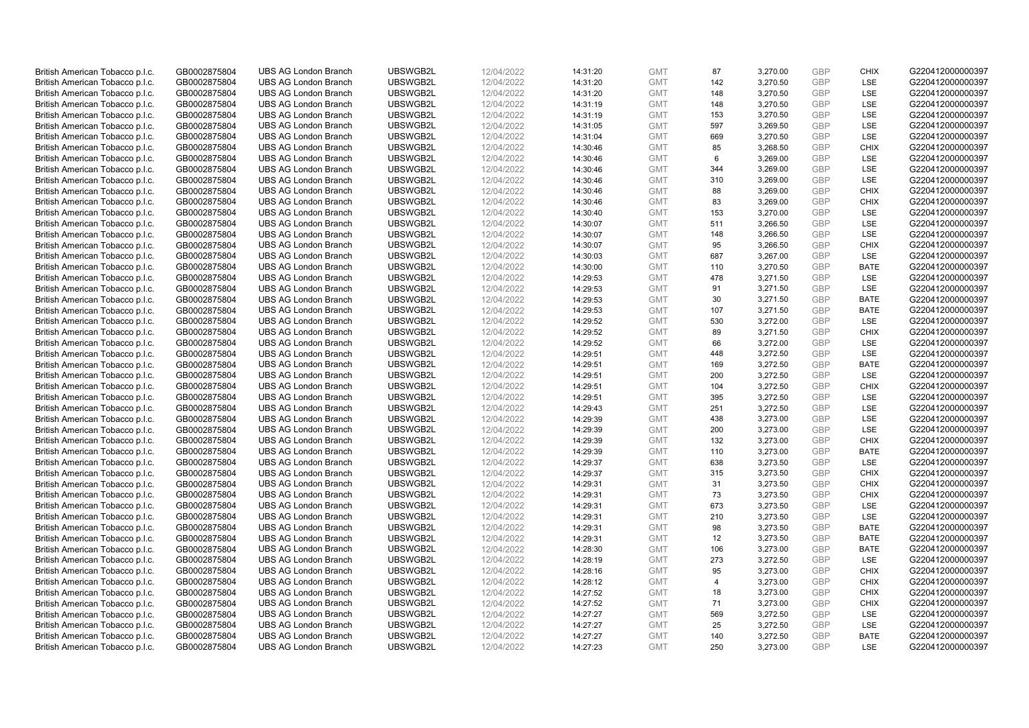| British American Tobacco p.l.c. | GB0002875804 | <b>UBS AG London Branch</b> | UBSWGB2L | 12/04/2022 | 14:31:20 | <b>GMT</b> | 87             | 3,270.00 | <b>GBP</b> | <b>CHIX</b> | G220412000000397 |
|---------------------------------|--------------|-----------------------------|----------|------------|----------|------------|----------------|----------|------------|-------------|------------------|
| British American Tobacco p.l.c. | GB0002875804 | <b>UBS AG London Branch</b> | UBSWGB2L | 12/04/2022 | 14:31:20 | <b>GMT</b> | 142            | 3,270.50 | <b>GBP</b> | LSE         | G220412000000397 |
| British American Tobacco p.l.c. | GB0002875804 | <b>UBS AG London Branch</b> | UBSWGB2L | 12/04/2022 | 14:31:20 | <b>GMT</b> | 148            | 3,270.50 | <b>GBP</b> | LSE         | G220412000000397 |
| British American Tobacco p.l.c. | GB0002875804 | <b>UBS AG London Branch</b> | UBSWGB2L | 12/04/2022 | 14:31:19 | <b>GMT</b> | 148            | 3,270.50 | <b>GBP</b> | LSE         | G220412000000397 |
| British American Tobacco p.l.c. | GB0002875804 | <b>UBS AG London Branch</b> | UBSWGB2L | 12/04/2022 | 14:31:19 | <b>GMT</b> | 153            | 3,270.50 | <b>GBP</b> | LSE         | G220412000000397 |
| British American Tobacco p.l.c. | GB0002875804 | <b>UBS AG London Branch</b> | UBSWGB2L | 12/04/2022 | 14:31:05 | <b>GMT</b> | 597            | 3,269.50 | <b>GBP</b> | LSE         | G220412000000397 |
| British American Tobacco p.l.c. | GB0002875804 | <b>UBS AG London Branch</b> | UBSWGB2L | 12/04/2022 | 14:31:04 | <b>GMT</b> | 669            | 3,270.50 | <b>GBP</b> | LSE         | G220412000000397 |
| British American Tobacco p.l.c. | GB0002875804 | <b>UBS AG London Branch</b> | UBSWGB2L | 12/04/2022 | 14:30:46 | <b>GMT</b> | 85             | 3,268.50 | <b>GBP</b> | <b>CHIX</b> | G220412000000397 |
| British American Tobacco p.l.c. | GB0002875804 | <b>UBS AG London Branch</b> | UBSWGB2L | 12/04/2022 | 14:30:46 | <b>GMT</b> | 6              | 3,269.00 | <b>GBP</b> | LSE         | G220412000000397 |
| British American Tobacco p.l.c. | GB0002875804 | <b>UBS AG London Branch</b> | UBSWGB2L | 12/04/2022 | 14:30:46 | <b>GMT</b> | 344            | 3,269.00 | <b>GBP</b> | LSE         | G220412000000397 |
| British American Tobacco p.l.c. | GB0002875804 | <b>UBS AG London Branch</b> | UBSWGB2L | 12/04/2022 | 14:30:46 | <b>GMT</b> | 310            | 3,269.00 | <b>GBP</b> | LSE         | G220412000000397 |
| British American Tobacco p.l.c. | GB0002875804 | <b>UBS AG London Branch</b> | UBSWGB2L | 12/04/2022 | 14:30:46 | <b>GMT</b> | 88             | 3,269.00 | <b>GBP</b> | <b>CHIX</b> | G220412000000397 |
| British American Tobacco p.l.c. | GB0002875804 | <b>UBS AG London Branch</b> | UBSWGB2L | 12/04/2022 | 14:30:46 | <b>GMT</b> | 83             | 3,269.00 | <b>GBP</b> | <b>CHIX</b> | G220412000000397 |
| British American Tobacco p.l.c. | GB0002875804 | <b>UBS AG London Branch</b> | UBSWGB2L | 12/04/2022 | 14:30:40 | <b>GMT</b> | 153            | 3,270.00 | <b>GBP</b> | LSE         | G220412000000397 |
| British American Tobacco p.l.c. | GB0002875804 | <b>UBS AG London Branch</b> | UBSWGB2L | 12/04/2022 | 14:30:07 | <b>GMT</b> | 511            | 3,266.50 | <b>GBP</b> | LSE         | G220412000000397 |
|                                 |              | <b>UBS AG London Branch</b> | UBSWGB2L |            |          |            | 148            |          | <b>GBP</b> | LSE         | G220412000000397 |
| British American Tobacco p.l.c. | GB0002875804 |                             |          | 12/04/2022 | 14:30:07 | <b>GMT</b> |                | 3,266.50 |            |             |                  |
| British American Tobacco p.l.c. | GB0002875804 | <b>UBS AG London Branch</b> | UBSWGB2L | 12/04/2022 | 14:30:07 | <b>GMT</b> | 95             | 3,266.50 | GBP        | <b>CHIX</b> | G220412000000397 |
| British American Tobacco p.l.c. | GB0002875804 | <b>UBS AG London Branch</b> | UBSWGB2L | 12/04/2022 | 14:30:03 | <b>GMT</b> | 687            | 3,267.00 | <b>GBP</b> | LSE         | G220412000000397 |
| British American Tobacco p.l.c. | GB0002875804 | <b>UBS AG London Branch</b> | UBSWGB2L | 12/04/2022 | 14:30:00 | <b>GMT</b> | 110            | 3,270.50 | <b>GBP</b> | <b>BATE</b> | G220412000000397 |
| British American Tobacco p.l.c. | GB0002875804 | <b>UBS AG London Branch</b> | UBSWGB2L | 12/04/2022 | 14:29:53 | <b>GMT</b> | 478            | 3,271.50 | <b>GBP</b> | LSE         | G220412000000397 |
| British American Tobacco p.l.c. | GB0002875804 | <b>UBS AG London Branch</b> | UBSWGB2L | 12/04/2022 | 14:29:53 | <b>GMT</b> | 91             | 3,271.50 | <b>GBP</b> | LSE         | G220412000000397 |
| British American Tobacco p.l.c. | GB0002875804 | <b>UBS AG London Branch</b> | UBSWGB2L | 12/04/2022 | 14:29:53 | <b>GMT</b> | 30             | 3,271.50 | <b>GBP</b> | <b>BATE</b> | G220412000000397 |
| British American Tobacco p.l.c. | GB0002875804 | <b>UBS AG London Branch</b> | UBSWGB2L | 12/04/2022 | 14:29:53 | <b>GMT</b> | 107            | 3,271.50 | <b>GBP</b> | <b>BATE</b> | G220412000000397 |
| British American Tobacco p.l.c. | GB0002875804 | <b>UBS AG London Branch</b> | UBSWGB2L | 12/04/2022 | 14:29:52 | <b>GMT</b> | 530            | 3,272.00 | <b>GBP</b> | <b>LSE</b>  | G220412000000397 |
| British American Tobacco p.l.c. | GB0002875804 | <b>UBS AG London Branch</b> | UBSWGB2L | 12/04/2022 | 14:29:52 | <b>GMT</b> | 89             | 3,271.50 | <b>GBP</b> | <b>CHIX</b> | G220412000000397 |
| British American Tobacco p.l.c. | GB0002875804 | <b>UBS AG London Branch</b> | UBSWGB2L | 12/04/2022 | 14:29:52 | <b>GMT</b> | 66             | 3,272.00 | <b>GBP</b> | LSE         | G220412000000397 |
| British American Tobacco p.l.c. | GB0002875804 | <b>UBS AG London Branch</b> | UBSWGB2L | 12/04/2022 | 14:29:51 | <b>GMT</b> | 448            | 3,272.50 | <b>GBP</b> | LSE         | G220412000000397 |
| British American Tobacco p.l.c. | GB0002875804 | <b>UBS AG London Branch</b> | UBSWGB2L | 12/04/2022 | 14:29:51 | <b>GMT</b> | 169            | 3,272.50 | <b>GBP</b> | <b>BATE</b> | G220412000000397 |
| British American Tobacco p.l.c. | GB0002875804 | <b>UBS AG London Branch</b> | UBSWGB2L | 12/04/2022 | 14:29:51 | <b>GMT</b> | 200            | 3,272.50 | <b>GBP</b> | LSE         | G220412000000397 |
| British American Tobacco p.l.c. | GB0002875804 | <b>UBS AG London Branch</b> | UBSWGB2L | 12/04/2022 | 14:29:51 | <b>GMT</b> | 104            | 3,272.50 | <b>GBP</b> | <b>CHIX</b> | G220412000000397 |
| British American Tobacco p.l.c. | GB0002875804 | <b>UBS AG London Branch</b> | UBSWGB2L | 12/04/2022 | 14:29:51 | <b>GMT</b> | 395            | 3,272.50 | <b>GBP</b> | LSE         | G220412000000397 |
| British American Tobacco p.l.c. | GB0002875804 | <b>UBS AG London Branch</b> | UBSWGB2L | 12/04/2022 | 14:29:43 | <b>GMT</b> | 251            | 3,272.50 | <b>GBP</b> | LSE         | G220412000000397 |
| British American Tobacco p.l.c. | GB0002875804 | <b>UBS AG London Branch</b> | UBSWGB2L | 12/04/2022 | 14:29:39 | <b>GMT</b> | 438            | 3,273.00 | <b>GBP</b> | LSE         | G220412000000397 |
| British American Tobacco p.l.c. | GB0002875804 | <b>UBS AG London Branch</b> | UBSWGB2L | 12/04/2022 | 14:29:39 | <b>GMT</b> | 200            | 3,273.00 | GBP        | LSE         | G220412000000397 |
| British American Tobacco p.l.c. | GB0002875804 | <b>UBS AG London Branch</b> | UBSWGB2L | 12/04/2022 | 14:29:39 | <b>GMT</b> | 132            | 3,273.00 | <b>GBP</b> | <b>CHIX</b> | G220412000000397 |
| British American Tobacco p.l.c. | GB0002875804 | <b>UBS AG London Branch</b> | UBSWGB2L | 12/04/2022 | 14:29:39 | <b>GMT</b> | 110            | 3,273.00 | <b>GBP</b> | <b>BATE</b> | G220412000000397 |
| British American Tobacco p.l.c. | GB0002875804 | <b>UBS AG London Branch</b> | UBSWGB2L | 12/04/2022 | 14:29:37 | <b>GMT</b> | 638            | 3,273.50 | <b>GBP</b> | LSE         | G220412000000397 |
| British American Tobacco p.l.c. | GB0002875804 | <b>UBS AG London Branch</b> | UBSWGB2L | 12/04/2022 | 14:29:37 | <b>GMT</b> | 315            | 3,273.50 | <b>GBP</b> | <b>CHIX</b> | G220412000000397 |
| British American Tobacco p.l.c. | GB0002875804 | <b>UBS AG London Branch</b> | UBSWGB2L | 12/04/2022 | 14:29:31 | <b>GMT</b> | 31             | 3,273.50 | <b>GBP</b> | <b>CHIX</b> | G220412000000397 |
| British American Tobacco p.l.c. | GB0002875804 | <b>UBS AG London Branch</b> | UBSWGB2L | 12/04/2022 | 14:29:31 | <b>GMT</b> | 73             | 3,273.50 | <b>GBP</b> | <b>CHIX</b> | G220412000000397 |
| British American Tobacco p.l.c. | GB0002875804 | <b>UBS AG London Branch</b> | UBSWGB2L | 12/04/2022 | 14:29:31 | <b>GMT</b> | 673            | 3,273.50 | <b>GBP</b> | LSE         | G220412000000397 |
| British American Tobacco p.l.c. | GB0002875804 | <b>UBS AG London Branch</b> | UBSWGB2L | 12/04/2022 | 14:29:31 | <b>GMT</b> | 210            | 3,273.50 | <b>GBP</b> | LSE         | G220412000000397 |
| British American Tobacco p.l.c. | GB0002875804 | <b>UBS AG London Branch</b> | UBSWGB2L | 12/04/2022 | 14:29:31 | <b>GMT</b> | 98             | 3,273.50 | <b>GBP</b> | <b>BATE</b> | G220412000000397 |
| British American Tobacco p.l.c. | GB0002875804 | <b>UBS AG London Branch</b> | UBSWGB2L | 12/04/2022 | 14:29:31 | <b>GMT</b> | 12             | 3,273.50 | <b>GBP</b> | <b>BATE</b> | G220412000000397 |
| British American Tobacco p.l.c. | GB0002875804 | <b>UBS AG London Branch</b> | UBSWGB2L | 12/04/2022 | 14:28:30 | <b>GMT</b> | 106            | 3,273.00 | <b>GBP</b> | <b>BATE</b> | G220412000000397 |
| British American Tobacco p.l.c. | GB0002875804 | <b>UBS AG London Branch</b> | UBSWGB2L | 12/04/2022 | 14:28:19 | <b>GMT</b> | 273            | 3,272.50 | <b>GBP</b> | LSE         | G220412000000397 |
| British American Tobacco p.l.c. | GB0002875804 | <b>UBS AG London Branch</b> | UBSWGB2L | 12/04/2022 | 14:28:16 | <b>GMT</b> | 95             | 3,273.00 | <b>GBP</b> | <b>CHIX</b> | G220412000000397 |
| British American Tobacco p.l.c. | GB0002875804 | <b>UBS AG London Branch</b> | UBSWGB2L | 12/04/2022 | 14:28:12 | <b>GMT</b> | $\overline{4}$ | 3,273.00 | <b>GBP</b> | <b>CHIX</b> | G220412000000397 |
| British American Tobacco p.l.c. | GB0002875804 | <b>UBS AG London Branch</b> | UBSWGB2L | 12/04/2022 | 14:27:52 | <b>GMT</b> | 18             | 3,273.00 | <b>GBP</b> | <b>CHIX</b> | G220412000000397 |
| British American Tobacco p.l.c. | GB0002875804 | <b>UBS AG London Branch</b> | UBSWGB2L | 12/04/2022 | 14:27:52 | <b>GMT</b> | 71             | 3,273.00 | <b>GBP</b> | <b>CHIX</b> | G220412000000397 |
| British American Tobacco p.l.c. | GB0002875804 | <b>UBS AG London Branch</b> | UBSWGB2L | 12/04/2022 | 14:27:27 | <b>GMT</b> | 569            | 3,272.50 | <b>GBP</b> | LSE         | G220412000000397 |
| British American Tobacco p.l.c. | GB0002875804 | <b>UBS AG London Branch</b> | UBSWGB2L | 12/04/2022 | 14:27:27 | <b>GMT</b> | 25             | 3,272.50 | <b>GBP</b> | LSE         | G220412000000397 |
| British American Tobacco p.l.c. | GB0002875804 | <b>UBS AG London Branch</b> | UBSWGB2L | 12/04/2022 | 14:27:27 | <b>GMT</b> | 140            | 3,272.50 | <b>GBP</b> | <b>BATE</b> | G220412000000397 |
| British American Tobacco p.l.c. | GB0002875804 | <b>UBS AG London Branch</b> | UBSWGB2L | 12/04/2022 | 14:27:23 | <b>GMT</b> | 250            | 3,273.00 | GBP        | <b>LSE</b>  | G220412000000397 |
|                                 |              |                             |          |            |          |            |                |          |            |             |                  |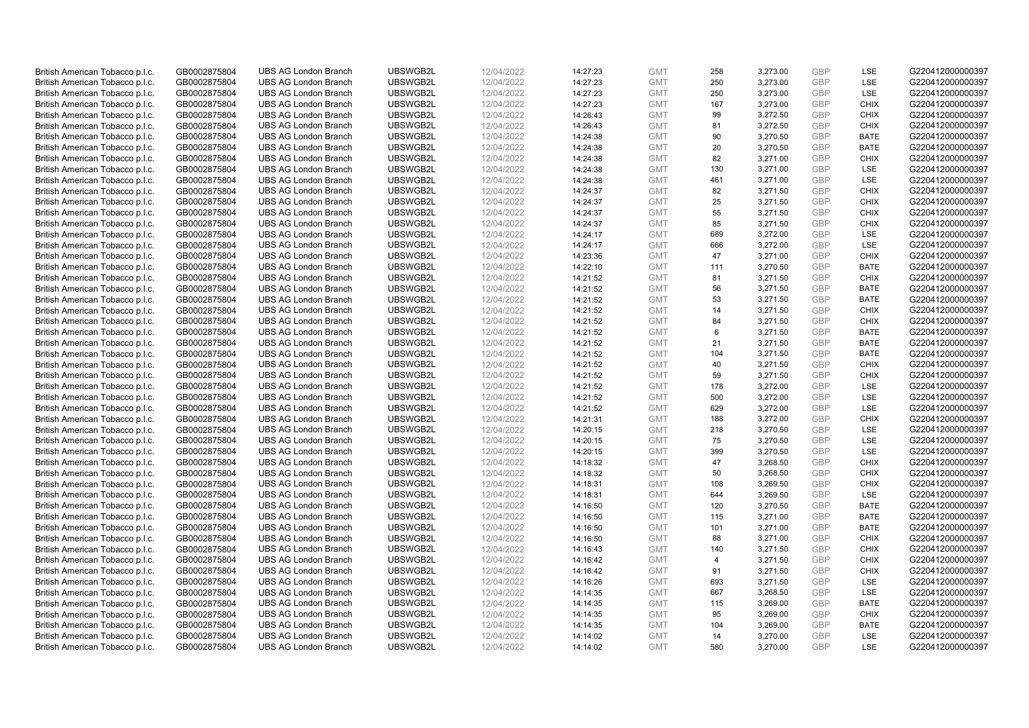| British American Tobacco p.l.c. | GB0002875804 | <b>UBS AG London Branch</b> | UBSWGB2L | 12/04/2022 | 14:27:23 | <b>GMT</b> | 258            | 3,273.00             | <b>GBP</b> | <b>LSE</b>  | G220412000000397 |
|---------------------------------|--------------|-----------------------------|----------|------------|----------|------------|----------------|----------------------|------------|-------------|------------------|
|                                 | GB0002875804 | <b>UBS AG London Branch</b> | UBSWGB2L | 12/04/2022 |          | <b>GMT</b> | 250            | 3,273.00             | <b>GBP</b> | LSE         | G220412000000397 |
| British American Tobacco p.l.c. |              |                             |          |            | 14:27:23 |            |                |                      |            |             |                  |
| British American Tobacco p.l.c. | GB0002875804 | <b>UBS AG London Branch</b> | UBSWGB2L | 12/04/2022 | 14:27:23 | <b>GMT</b> | 250            | 3,273.00             | <b>GBP</b> | LSE         | G220412000000397 |
| British American Tobacco p.l.c. | GB0002875804 | <b>UBS AG London Branch</b> | UBSWGB2L | 12/04/2022 | 14:27:23 | <b>GMT</b> | 167            | 3,273.00             | <b>GBP</b> | <b>CHIX</b> | G220412000000397 |
| British American Tobacco p.l.c. | GB0002875804 | <b>UBS AG London Branch</b> | UBSWGB2L | 12/04/2022 | 14:26:43 | <b>GMT</b> | 99             | 3,272.50             | <b>GBP</b> | <b>CHIX</b> | G220412000000397 |
| British American Tobacco p.l.c. | GB0002875804 | <b>UBS AG London Branch</b> | UBSWGB2L | 12/04/2022 | 14:26:43 | <b>GMT</b> | 81             | 3,272.50             | <b>GBP</b> | <b>CHIX</b> | G220412000000397 |
| British American Tobacco p.l.c. | GB0002875804 | <b>UBS AG London Branch</b> | UBSWGB2L | 12/04/2022 | 14:24:38 | <b>GMT</b> | 90             | 3,270.50             | <b>GBP</b> | <b>BATE</b> | G220412000000397 |
| British American Tobacco p.l.c. | GB0002875804 | <b>UBS AG London Branch</b> | UBSWGB2L | 12/04/2022 | 14:24:38 | <b>GMT</b> | 20             | 3,270.50             | GBP        | <b>BATE</b> | G220412000000397 |
| British American Tobacco p.l.c. | GB0002875804 | <b>UBS AG London Branch</b> | UBSWGB2L | 12/04/2022 | 14:24:38 | <b>GMT</b> | 82             | 3,271.00             | <b>GBP</b> | <b>CHIX</b> | G220412000000397 |
| British American Tobacco p.l.c. | GB0002875804 | <b>UBS AG London Branch</b> | UBSWGB2L | 12/04/2022 | 14:24:38 | <b>GMT</b> | 130            | 3,271.00             | <b>GBP</b> | LSE         | G220412000000397 |
| British American Tobacco p.l.c. | GB0002875804 | <b>UBS AG London Branch</b> | UBSWGB2L | 12/04/2022 | 14:24:38 | <b>GMT</b> | 461            | 3,271.00             | <b>GBP</b> | LSE         | G220412000000397 |
| British American Tobacco p.l.c. | GB0002875804 | <b>UBS AG London Branch</b> | UBSWGB2L | 12/04/2022 | 14:24:37 | <b>GMT</b> | 82             | 3,271.50             | <b>GBP</b> | <b>CHIX</b> | G220412000000397 |
| British American Tobacco p.l.c. | GB0002875804 | <b>UBS AG London Branch</b> | UBSWGB2L | 12/04/2022 | 14:24:37 | <b>GMT</b> | 25             | 3,271.50             | <b>GBP</b> | <b>CHIX</b> | G220412000000397 |
| British American Tobacco p.l.c. | GB0002875804 | <b>UBS AG London Branch</b> | UBSWGB2L | 12/04/2022 | 14:24:37 | <b>GMT</b> | 55             | 3,271.50             | <b>GBP</b> | <b>CHIX</b> | G220412000000397 |
|                                 |              |                             |          |            |          |            | 85             |                      | <b>GBP</b> | <b>CHIX</b> |                  |
| British American Tobacco p.l.c. | GB0002875804 | <b>UBS AG London Branch</b> | UBSWGB2L | 12/04/2022 | 14:24:37 | <b>GMT</b> |                | 3,271.50             |            |             | G220412000000397 |
| British American Tobacco p.l.c. | GB0002875804 | <b>UBS AG London Branch</b> | UBSWGB2L | 12/04/2022 | 14:24:17 | <b>GMT</b> | 689            | 3,272.00             | <b>GBP</b> | LSE         | G220412000000397 |
| British American Tobacco p.l.c. | GB0002875804 | <b>UBS AG London Branch</b> | UBSWGB2L | 12/04/2022 | 14:24:17 | <b>GMT</b> | 666            | 3,272.00             | <b>GBP</b> | LSE         | G220412000000397 |
| British American Tobacco p.l.c. | GB0002875804 | <b>UBS AG London Branch</b> | UBSWGB2L | 12/04/2022 | 14:23:36 | <b>GMT</b> | 47             | 3,271.00             | <b>GBP</b> | <b>CHIX</b> | G220412000000397 |
| British American Tobacco p.l.c. | GB0002875804 | <b>UBS AG London Branch</b> | UBSWGB2L | 12/04/2022 | 14:22:10 | <b>GMT</b> | 111            | 3,270.50             | <b>GBP</b> | <b>BATE</b> | G220412000000397 |
| British American Tobacco p.l.c. | GB0002875804 | <b>UBS AG London Branch</b> | UBSWGB2L | 12/04/2022 | 14:21:52 | <b>GMT</b> | 81             | 3,271.50             | <b>GBP</b> | <b>CHIX</b> | G220412000000397 |
| British American Tobacco p.l.c. | GB0002875804 | <b>UBS AG London Branch</b> | UBSWGB2L | 12/04/2022 | 14:21:52 | <b>GMT</b> | 56             | 3,271.50             | <b>GBP</b> | <b>BATE</b> | G220412000000397 |
| British American Tobacco p.l.c. | GB0002875804 | <b>UBS AG London Branch</b> | UBSWGB2L | 12/04/2022 | 14:21:52 | <b>GMT</b> | 53             | 3,271.50             | <b>GBP</b> | <b>BATE</b> | G220412000000397 |
| British American Tobacco p.l.c. | GB0002875804 | <b>UBS AG London Branch</b> | UBSWGB2L | 12/04/2022 | 14:21:52 | <b>GMT</b> | 14             | 3,271.50             | <b>GBP</b> | <b>CHIX</b> | G220412000000397 |
| British American Tobacco p.l.c. | GB0002875804 | <b>UBS AG London Branch</b> | UBSWGB2L | 12/04/2022 | 14:21:52 | <b>GMT</b> | 84             | 3,271.50             | <b>GBP</b> | <b>CHIX</b> | G220412000000397 |
| British American Tobacco p.l.c. | GB0002875804 | <b>UBS AG London Branch</b> | UBSWGB2L | 12/04/2022 | 14:21:52 | <b>GMT</b> | 6              | 3,271.50             | <b>GBP</b> | <b>BATE</b> | G220412000000397 |
| British American Tobacco p.l.c. | GB0002875804 | <b>UBS AG London Branch</b> | UBSWGB2L | 12/04/2022 | 14:21:52 | <b>GMT</b> | 21             | 3,271.50             | <b>GBP</b> | <b>BATE</b> | G220412000000397 |
| British American Tobacco p.l.c. | GB0002875804 | <b>UBS AG London Branch</b> | UBSWGB2L | 12/04/2022 | 14:21:52 | <b>GMT</b> | 104            | 3,271.50             | <b>GBP</b> | <b>BATE</b> | G220412000000397 |
| British American Tobacco p.l.c. | GB0002875804 | <b>UBS AG London Branch</b> | UBSWGB2L | 12/04/2022 | 14:21:52 | <b>GMT</b> | 40             | 3,271.50             | <b>GBP</b> | <b>CHIX</b> | G220412000000397 |
| British American Tobacco p.l.c. | GB0002875804 | <b>UBS AG London Branch</b> | UBSWGB2L | 12/04/2022 | 14:21:52 | <b>GMT</b> | 59             | 3,271.50             | <b>GBP</b> | <b>CHIX</b> | G220412000000397 |
|                                 |              | <b>UBS AG London Branch</b> | UBSWGB2L | 12/04/2022 |          | <b>GMT</b> |                |                      | <b>GBP</b> |             |                  |
| British American Tobacco p.l.c. | GB0002875804 |                             | UBSWGB2L | 12/04/2022 | 14:21:52 |            | 178<br>500     | 3,272.00<br>3,272.00 | <b>GBP</b> | LSE<br>LSE  | G220412000000397 |
| British American Tobacco p.l.c. | GB0002875804 | <b>UBS AG London Branch</b> |          |            | 14:21:52 | <b>GMT</b> |                |                      |            |             | G220412000000397 |
| British American Tobacco p.l.c. | GB0002875804 | <b>UBS AG London Branch</b> | UBSWGB2L | 12/04/2022 | 14:21:52 | <b>GMT</b> | 629            | 3,272.00             | <b>GBP</b> | <b>LSE</b>  | G220412000000397 |
| British American Tobacco p.l.c. | GB0002875804 | <b>UBS AG London Branch</b> | UBSWGB2L | 12/04/2022 | 14:21:31 | <b>GMT</b> | 188            | 3,272.00             | <b>GBP</b> | <b>CHIX</b> | G220412000000397 |
| British American Tobacco p.l.c. | GB0002875804 | <b>UBS AG London Branch</b> | UBSWGB2L | 12/04/2022 | 14:20:15 | <b>GMT</b> | 218            | 3,270.50             | <b>GBP</b> | <b>LSE</b>  | G220412000000397 |
| British American Tobacco p.l.c. | GB0002875804 | <b>UBS AG London Branch</b> | UBSWGB2L | 12/04/2022 | 14:20:15 | <b>GMT</b> | 75             | 3,270.50             | <b>GBP</b> | LSE         | G220412000000397 |
| British American Tobacco p.l.c. | GB0002875804 | <b>UBS AG London Branch</b> | UBSWGB2L | 12/04/2022 | 14:20:15 | <b>GMT</b> | 399            | 3,270.50             | <b>GBP</b> | <b>LSE</b>  | G220412000000397 |
| British American Tobacco p.l.c. | GB0002875804 | <b>UBS AG London Branch</b> | UBSWGB2L | 12/04/2022 | 14:18:32 | <b>GMT</b> | 47             | 3,268.50             | <b>GBP</b> | <b>CHIX</b> | G220412000000397 |
| British American Tobacco p.l.c. | GB0002875804 | <b>UBS AG London Branch</b> | UBSWGB2L | 12/04/2022 | 14:18:32 | <b>GMT</b> | 50             | 3,268.50             | <b>GBP</b> | <b>CHIX</b> | G220412000000397 |
| British American Tobacco p.l.c. | GB0002875804 | <b>UBS AG London Branch</b> | UBSWGB2L | 12/04/2022 | 14:18:31 | <b>GMT</b> | 108            | 3,269.50             | <b>GBP</b> | <b>CHIX</b> | G220412000000397 |
| British American Tobacco p.l.c. | GB0002875804 | <b>UBS AG London Branch</b> | UBSWGB2L | 12/04/2022 | 14:18:31 | <b>GMT</b> | 644            | 3,269.50             | <b>GBP</b> | LSE         | G220412000000397 |
| British American Tobacco p.l.c. | GB0002875804 | <b>UBS AG London Branch</b> | UBSWGB2L | 12/04/2022 | 14:16:50 | <b>GMT</b> | 120            | 3,270.50             | <b>GBP</b> | <b>BATE</b> | G220412000000397 |
| British American Tobacco p.l.c. | GB0002875804 | <b>UBS AG London Branch</b> | UBSWGB2L | 12/04/2022 | 14:16:50 | <b>GMT</b> | 115            | 3,271.00             | <b>GBP</b> | <b>BATE</b> | G220412000000397 |
| British American Tobacco p.l.c. | GB0002875804 | <b>UBS AG London Branch</b> | UBSWGB2L | 12/04/2022 | 14:16:50 | <b>GMT</b> | 101            | 3,271.00             | <b>GBP</b> | <b>BATE</b> | G220412000000397 |
| British American Tobacco p.l.c. | GB0002875804 | <b>UBS AG London Branch</b> | UBSWGB2L | 12/04/2022 | 14:16:50 | <b>GMT</b> | 88             | 3,271.00             | <b>GBP</b> | <b>CHIX</b> | G220412000000397 |
| British American Tobacco p.l.c. | GB0002875804 | <b>UBS AG London Branch</b> | UBSWGB2L | 12/04/2022 | 14:16:43 | <b>GMT</b> | 140            | 3,271.50             | <b>GBP</b> | <b>CHIX</b> | G220412000000397 |
| British American Tobacco p.l.c. | GB0002875804 | <b>UBS AG London Branch</b> | UBSWGB2L | 12/04/2022 | 14:16:42 | <b>GMT</b> | $\overline{4}$ | 3,271.50             | <b>GBP</b> | <b>CHIX</b> | G220412000000397 |
| British American Tobacco p.l.c. | GB0002875804 | <b>UBS AG London Branch</b> | UBSWGB2L | 12/04/2022 | 14:16:42 | <b>GMT</b> | 91             | 3,271.50             | <b>GBP</b> | <b>CHIX</b> | G220412000000397 |
| British American Tobacco p.l.c. | GB0002875804 | <b>UBS AG London Branch</b> | UBSWGB2L | 12/04/2022 | 14:16:26 | <b>GMT</b> | 693            | 3,271.50             | <b>GBP</b> | LSE         | G220412000000397 |
|                                 |              |                             |          |            |          |            |                |                      |            |             |                  |
| British American Tobacco p.l.c. | GB0002875804 | <b>UBS AG London Branch</b> | UBSWGB2L | 12/04/2022 | 14:14:35 | <b>GMT</b> | 667            | 3,268.50             | <b>GBP</b> | LSE         | G220412000000397 |
| British American Tobacco p.l.c. | GB0002875804 | <b>UBS AG London Branch</b> | UBSWGB2L | 12/04/2022 | 14:14:35 | <b>GMT</b> | 115            | 3,269.00             | <b>GBP</b> | <b>BATE</b> | G220412000000397 |
| British American Tobacco p.l.c. | GB0002875804 | <b>UBS AG London Branch</b> | UBSWGB2L | 12/04/2022 | 14:14:35 | <b>GMT</b> | 95             | 3,269.00             | <b>GBP</b> | <b>CHIX</b> | G220412000000397 |
| British American Tobacco p.l.c. | GB0002875804 | <b>UBS AG London Branch</b> | UBSWGB2L | 12/04/2022 | 14:14:35 | <b>GMT</b> | 104            | 3,269.00             | <b>GBP</b> | <b>BATE</b> | G220412000000397 |
| British American Tobacco p.l.c. | GB0002875804 | <b>UBS AG London Branch</b> | UBSWGB2L | 12/04/2022 | 14:14:02 | <b>GMT</b> | 14             | 3,270.00             | <b>GBP</b> | LSE         | G220412000000397 |
| British American Tobacco p.l.c. | GB0002875804 | <b>UBS AG London Branch</b> | UBSWGB2L | 12/04/2022 | 14:14:02 | <b>GMT</b> | 580            | 3,270.00             | GBP        | <b>LSE</b>  | G220412000000397 |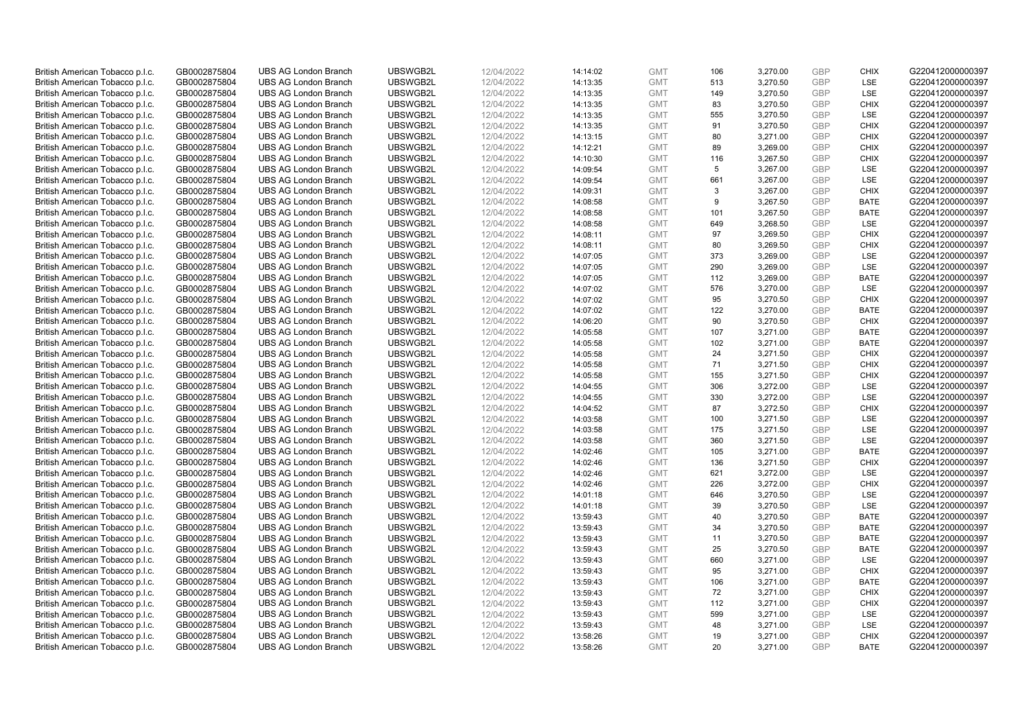| British American Tobacco p.l.c. | GB0002875804 | <b>UBS AG London Branch</b> | UBSWGB2L | 12/04/2022 | 14:14:02 | <b>GMT</b> | 106 | 3,270.00 | <b>GBP</b> | <b>CHIX</b> | G220412000000397 |
|---------------------------------|--------------|-----------------------------|----------|------------|----------|------------|-----|----------|------------|-------------|------------------|
| British American Tobacco p.l.c. | GB0002875804 | <b>UBS AG London Branch</b> | UBSWGB2L | 12/04/2022 | 14:13:35 | <b>GMT</b> | 513 | 3,270.50 | <b>GBP</b> | LSE         | G220412000000397 |
| British American Tobacco p.l.c. | GB0002875804 | <b>UBS AG London Branch</b> | UBSWGB2L | 12/04/2022 | 14:13:35 | <b>GMT</b> | 149 | 3,270.50 | <b>GBP</b> | LSE         | G220412000000397 |
| British American Tobacco p.l.c. | GB0002875804 | <b>UBS AG London Branch</b> | UBSWGB2L | 12/04/2022 | 14:13:35 | <b>GMT</b> | 83  | 3,270.50 | <b>GBP</b> | <b>CHIX</b> | G220412000000397 |
| British American Tobacco p.l.c. | GB0002875804 | <b>UBS AG London Branch</b> | UBSWGB2L | 12/04/2022 | 14:13:35 | <b>GMT</b> | 555 | 3,270.50 | <b>GBP</b> | LSE         | G220412000000397 |
|                                 |              | <b>UBS AG London Branch</b> |          |            |          |            |     |          |            |             |                  |
| British American Tobacco p.l.c. | GB0002875804 |                             | UBSWGB2L | 12/04/2022 | 14:13:35 | <b>GMT</b> | 91  | 3,270.50 | <b>GBP</b> | <b>CHIX</b> | G220412000000397 |
| British American Tobacco p.l.c. | GB0002875804 | <b>UBS AG London Branch</b> | UBSWGB2L | 12/04/2022 | 14:13:15 | <b>GMT</b> | 80  | 3,271.00 | <b>GBP</b> | <b>CHIX</b> | G220412000000397 |
| British American Tobacco p.l.c. | GB0002875804 | <b>UBS AG London Branch</b> | UBSWGB2L | 12/04/2022 | 14:12:21 | <b>GMT</b> | 89  | 3,269.00 | <b>GBP</b> | <b>CHIX</b> | G220412000000397 |
| British American Tobacco p.l.c. | GB0002875804 | <b>UBS AG London Branch</b> | UBSWGB2L | 12/04/2022 | 14:10:30 | <b>GMT</b> | 116 | 3,267.50 | <b>GBP</b> | <b>CHIX</b> | G220412000000397 |
| British American Tobacco p.l.c. | GB0002875804 | <b>UBS AG London Branch</b> | UBSWGB2L | 12/04/2022 | 14:09:54 | <b>GMT</b> | 5   | 3,267.00 | <b>GBP</b> | LSE         | G220412000000397 |
| British American Tobacco p.l.c. | GB0002875804 | <b>UBS AG London Branch</b> | UBSWGB2L | 12/04/2022 | 14:09:54 | <b>GMT</b> | 661 | 3,267.00 | <b>GBP</b> | <b>LSE</b>  | G220412000000397 |
| British American Tobacco p.l.c. | GB0002875804 | <b>UBS AG London Branch</b> | UBSWGB2L | 12/04/2022 | 14:09:31 | <b>GMT</b> | 3   | 3,267.00 | <b>GBP</b> | <b>CHIX</b> | G220412000000397 |
| British American Tobacco p.l.c. | GB0002875804 | <b>UBS AG London Branch</b> | UBSWGB2L | 12/04/2022 | 14:08:58 | <b>GMT</b> | 9   | 3,267.50 | <b>GBP</b> | <b>BATE</b> | G220412000000397 |
| British American Tobacco p.l.c. | GB0002875804 | <b>UBS AG London Branch</b> | UBSWGB2L | 12/04/2022 | 14:08:58 | <b>GMT</b> | 101 | 3,267.50 | <b>GBP</b> | <b>BATE</b> | G220412000000397 |
| British American Tobacco p.l.c. | GB0002875804 | <b>UBS AG London Branch</b> | UBSWGB2L | 12/04/2022 | 14:08:58 | <b>GMT</b> | 649 | 3,268.50 | <b>GBP</b> | LSE         | G220412000000397 |
| British American Tobacco p.l.c. | GB0002875804 | <b>UBS AG London Branch</b> | UBSWGB2L | 12/04/2022 | 14:08:11 | <b>GMT</b> | 97  | 3,269.50 | <b>GBP</b> | <b>CHIX</b> | G220412000000397 |
| British American Tobacco p.l.c. | GB0002875804 | <b>UBS AG London Branch</b> | UBSWGB2L | 12/04/2022 | 14:08:11 | <b>GMT</b> | 80  | 3,269.50 | <b>GBP</b> | <b>CHIX</b> | G220412000000397 |
| British American Tobacco p.l.c. | GB0002875804 | <b>UBS AG London Branch</b> | UBSWGB2L | 12/04/2022 | 14:07:05 | <b>GMT</b> | 373 | 3,269.00 | <b>GBP</b> | LSE         | G220412000000397 |
| British American Tobacco p.l.c. | GB0002875804 | <b>UBS AG London Branch</b> | UBSWGB2L | 12/04/2022 | 14:07:05 | <b>GMT</b> | 290 | 3,269.00 | <b>GBP</b> | <b>LSE</b>  | G220412000000397 |
| British American Tobacco p.l.c. | GB0002875804 | <b>UBS AG London Branch</b> | UBSWGB2L | 12/04/2022 | 14:07:05 | <b>GMT</b> | 112 | 3,269.00 | <b>GBP</b> | <b>BATE</b> | G220412000000397 |
| British American Tobacco p.l.c. | GB0002875804 | <b>UBS AG London Branch</b> | UBSWGB2L | 12/04/2022 | 14:07:02 | <b>GMT</b> | 576 | 3,270.00 | <b>GBP</b> | LSE         | G220412000000397 |
| British American Tobacco p.l.c. | GB0002875804 | <b>UBS AG London Branch</b> | UBSWGB2L | 12/04/2022 | 14:07:02 | <b>GMT</b> | 95  | 3,270.50 | <b>GBP</b> | <b>CHIX</b> | G220412000000397 |
| British American Tobacco p.l.c. | GB0002875804 | <b>UBS AG London Branch</b> | UBSWGB2L | 12/04/2022 | 14:07:02 | <b>GMT</b> | 122 | 3,270.00 | <b>GBP</b> | <b>BATE</b> | G220412000000397 |
| British American Tobacco p.l.c. | GB0002875804 | <b>UBS AG London Branch</b> | UBSWGB2L | 12/04/2022 | 14:06:20 | <b>GMT</b> | 90  | 3,270.50 | <b>GBP</b> | <b>CHIX</b> | G220412000000397 |
| British American Tobacco p.l.c. | GB0002875804 | <b>UBS AG London Branch</b> | UBSWGB2L | 12/04/2022 | 14:05:58 | <b>GMT</b> | 107 | 3,271.00 | <b>GBP</b> | <b>BATE</b> | G220412000000397 |
| British American Tobacco p.l.c. | GB0002875804 | <b>UBS AG London Branch</b> | UBSWGB2L | 12/04/2022 | 14:05:58 | <b>GMT</b> | 102 | 3,271.00 | <b>GBP</b> | <b>BATE</b> | G220412000000397 |
| British American Tobacco p.l.c. | GB0002875804 | <b>UBS AG London Branch</b> | UBSWGB2L | 12/04/2022 | 14:05:58 | <b>GMT</b> | 24  | 3,271.50 | <b>GBP</b> | <b>CHIX</b> | G220412000000397 |
| British American Tobacco p.l.c. | GB0002875804 | <b>UBS AG London Branch</b> | UBSWGB2L | 12/04/2022 | 14:05:58 | <b>GMT</b> | 71  | 3,271.50 | <b>GBP</b> | <b>CHIX</b> | G220412000000397 |
| British American Tobacco p.l.c. | GB0002875804 | <b>UBS AG London Branch</b> | UBSWGB2L | 12/04/2022 | 14:05:58 | <b>GMT</b> | 155 | 3,271.50 | <b>GBP</b> | <b>CHIX</b> | G220412000000397 |
| British American Tobacco p.l.c. | GB0002875804 | <b>UBS AG London Branch</b> | UBSWGB2L | 12/04/2022 | 14:04:55 | <b>GMT</b> | 306 | 3,272.00 | <b>GBP</b> | LSE         | G220412000000397 |
| British American Tobacco p.l.c. | GB0002875804 | <b>UBS AG London Branch</b> | UBSWGB2L | 12/04/2022 | 14:04:55 | <b>GMT</b> | 330 | 3,272.00 | <b>GBP</b> | LSE         | G220412000000397 |
| British American Tobacco p.l.c. | GB0002875804 | <b>UBS AG London Branch</b> | UBSWGB2L | 12/04/2022 | 14:04:52 | <b>GMT</b> | 87  | 3,272.50 | <b>GBP</b> | <b>CHIX</b> | G220412000000397 |
| British American Tobacco p.l.c. | GB0002875804 | <b>UBS AG London Branch</b> | UBSWGB2L | 12/04/2022 | 14:03:58 | <b>GMT</b> | 100 | 3,271.50 | <b>GBP</b> | LSE         | G220412000000397 |
| British American Tobacco p.l.c. | GB0002875804 | <b>UBS AG London Branch</b> | UBSWGB2L | 12/04/2022 | 14:03:58 | <b>GMT</b> | 175 | 3,271.50 | <b>GBP</b> | LSE         | G220412000000397 |
| British American Tobacco p.l.c. | GB0002875804 | <b>UBS AG London Branch</b> | UBSWGB2L | 12/04/2022 | 14:03:58 | <b>GMT</b> | 360 | 3,271.50 | <b>GBP</b> | LSE         | G220412000000397 |
| British American Tobacco p.l.c. | GB0002875804 | <b>UBS AG London Branch</b> | UBSWGB2L | 12/04/2022 | 14:02:46 | <b>GMT</b> | 105 | 3,271.00 | <b>GBP</b> | <b>BATE</b> | G220412000000397 |
| British American Tobacco p.l.c. | GB0002875804 | <b>UBS AG London Branch</b> | UBSWGB2L | 12/04/2022 | 14:02:46 | <b>GMT</b> | 136 | 3,271.50 | <b>GBP</b> | <b>CHIX</b> | G220412000000397 |
| British American Tobacco p.l.c. | GB0002875804 | <b>UBS AG London Branch</b> | UBSWGB2L | 12/04/2022 |          | <b>GMT</b> | 621 | 3,272.00 | <b>GBP</b> | LSE         | G220412000000397 |
|                                 |              | <b>UBS AG London Branch</b> | UBSWGB2L |            | 14:02:46 | <b>GMT</b> | 226 |          | <b>GBP</b> | <b>CHIX</b> | G220412000000397 |
| British American Tobacco p.l.c. | GB0002875804 |                             |          | 12/04/2022 | 14:02:46 |            |     | 3,272.00 |            |             |                  |
| British American Tobacco p.l.c. | GB0002875804 | <b>UBS AG London Branch</b> | UBSWGB2L | 12/04/2022 | 14:01:18 | <b>GMT</b> | 646 | 3,270.50 | <b>GBP</b> | <b>LSE</b>  | G220412000000397 |
| British American Tobacco p.l.c. | GB0002875804 | <b>UBS AG London Branch</b> | UBSWGB2L | 12/04/2022 | 14:01:18 | <b>GMT</b> | 39  | 3,270.50 | <b>GBP</b> | LSE         | G220412000000397 |
| British American Tobacco p.l.c. | GB0002875804 | <b>UBS AG London Branch</b> | UBSWGB2L | 12/04/2022 | 13:59:43 | <b>GMT</b> | 40  | 3,270.50 | <b>GBP</b> | <b>BATE</b> | G220412000000397 |
| British American Tobacco p.l.c. | GB0002875804 | <b>UBS AG London Branch</b> | UBSWGB2L | 12/04/2022 | 13:59:43 | <b>GMT</b> | 34  | 3,270.50 | <b>GBP</b> | <b>BATE</b> | G220412000000397 |
| British American Tobacco p.l.c. | GB0002875804 | <b>UBS AG London Branch</b> | UBSWGB2L | 12/04/2022 | 13:59:43 | <b>GMT</b> | 11  | 3,270.50 | <b>GBP</b> | <b>BATE</b> | G220412000000397 |
| British American Tobacco p.l.c. | GB0002875804 | UBS AG London Branch        | UBSWGB2L | 12/04/2022 | 13:59:43 | <b>GMT</b> | 25  | 3,270.50 | <b>GBP</b> | <b>BATE</b> | G220412000000397 |
| British American Tobacco p.l.c. | GB0002875804 | <b>UBS AG London Branch</b> | UBSWGB2L | 12/04/2022 | 13:59:43 | <b>GMT</b> | 660 | 3,271.00 | <b>GBP</b> | LSE         | G220412000000397 |
| British American Tobacco p.l.c. | GB0002875804 | <b>UBS AG London Branch</b> | UBSWGB2L | 12/04/2022 | 13:59:43 | <b>GMT</b> | 95  | 3,271.00 | <b>GBP</b> | <b>CHIX</b> | G220412000000397 |
| British American Tobacco p.l.c. | GB0002875804 | <b>UBS AG London Branch</b> | UBSWGB2L | 12/04/2022 | 13:59:43 | <b>GMT</b> | 106 | 3,271.00 | <b>GBP</b> | <b>BATE</b> | G220412000000397 |
| British American Tobacco p.l.c. | GB0002875804 | <b>UBS AG London Branch</b> | UBSWGB2L | 12/04/2022 | 13:59:43 | <b>GMT</b> | 72  | 3,271.00 | <b>GBP</b> | <b>CHIX</b> | G220412000000397 |
| British American Tobacco p.l.c. | GB0002875804 | <b>UBS AG London Branch</b> | UBSWGB2L | 12/04/2022 | 13:59:43 | <b>GMT</b> | 112 | 3,271.00 | <b>GBP</b> | <b>CHIX</b> | G220412000000397 |
| British American Tobacco p.l.c. | GB0002875804 | <b>UBS AG London Branch</b> | UBSWGB2L | 12/04/2022 | 13:59:43 | <b>GMT</b> | 599 | 3,271.00 | <b>GBP</b> | LSE         | G220412000000397 |
| British American Tobacco p.l.c. | GB0002875804 | <b>UBS AG London Branch</b> | UBSWGB2L | 12/04/2022 | 13:59:43 | <b>GMT</b> | 48  | 3,271.00 | <b>GBP</b> | LSE         | G220412000000397 |
| British American Tobacco p.l.c. | GB0002875804 | <b>UBS AG London Branch</b> | UBSWGB2L | 12/04/2022 | 13:58:26 | <b>GMT</b> | 19  | 3,271.00 | <b>GBP</b> | <b>CHIX</b> | G220412000000397 |
| British American Tobacco p.l.c. | GB0002875804 | <b>UBS AG London Branch</b> | UBSWGB2L | 12/04/2022 | 13:58:26 | <b>GMT</b> | 20  | 3,271.00 | GBP        | <b>BATE</b> | G220412000000397 |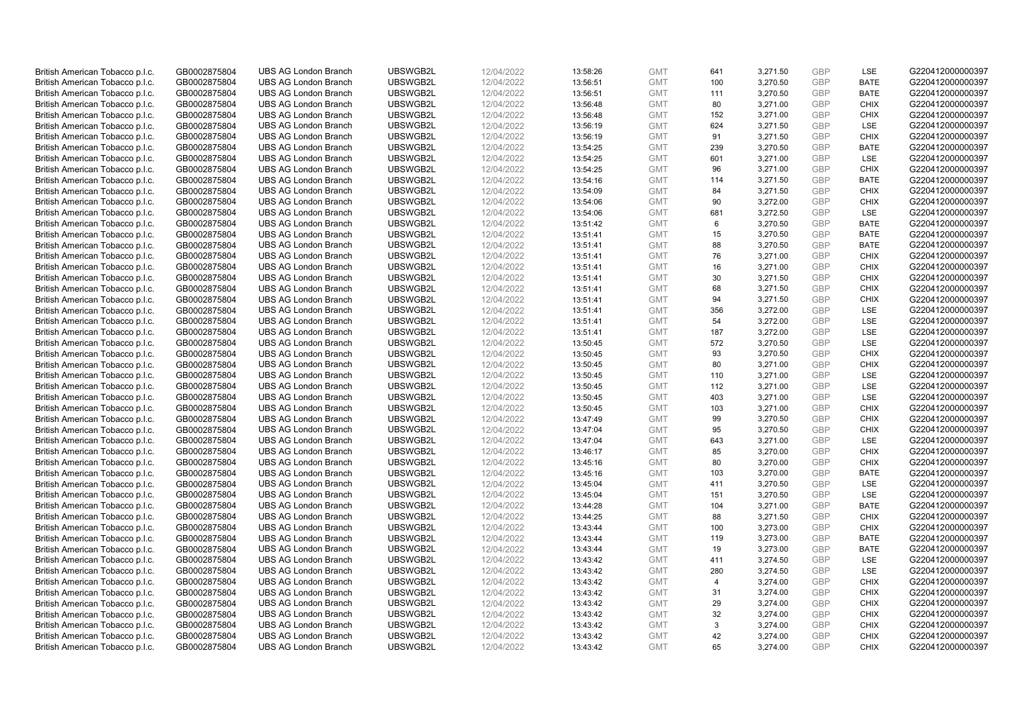| British American Tobacco p.l.c. | GB0002875804 | <b>UBS AG London Branch</b> | UBSWGB2L | 12/04/2022 | 13:58:26 | <b>GMT</b> | 641            | 3,271.50 | <b>GBP</b> | LSE         | G220412000000397 |
|---------------------------------|--------------|-----------------------------|----------|------------|----------|------------|----------------|----------|------------|-------------|------------------|
| British American Tobacco p.l.c. | GB0002875804 | <b>UBS AG London Branch</b> | UBSWGB2L | 12/04/2022 | 13:56:51 | <b>GMT</b> | 100            | 3,270.50 | <b>GBP</b> | <b>BATE</b> | G220412000000397 |
| British American Tobacco p.l.c. | GB0002875804 | <b>UBS AG London Branch</b> | UBSWGB2L | 12/04/2022 | 13:56:51 | <b>GMT</b> | 111            | 3,270.50 | <b>GBP</b> | <b>BATE</b> | G220412000000397 |
| British American Tobacco p.l.c. | GB0002875804 | <b>UBS AG London Branch</b> | UBSWGB2L | 12/04/2022 | 13:56:48 | <b>GMT</b> | 80             | 3,271.00 | <b>GBP</b> | <b>CHIX</b> | G220412000000397 |
| British American Tobacco p.l.c. | GB0002875804 | <b>UBS AG London Branch</b> | UBSWGB2L | 12/04/2022 | 13:56:48 | <b>GMT</b> | 152            | 3,271.00 | <b>GBP</b> | <b>CHIX</b> | G220412000000397 |
|                                 |              | <b>UBS AG London Branch</b> |          |            |          |            |                |          |            |             |                  |
| British American Tobacco p.l.c. | GB0002875804 |                             | UBSWGB2L | 12/04/2022 | 13:56:19 | <b>GMT</b> | 624            | 3,271.50 | <b>GBP</b> | <b>LSE</b>  | G220412000000397 |
| British American Tobacco p.l.c. | GB0002875804 | <b>UBS AG London Branch</b> | UBSWGB2L | 12/04/2022 | 13:56:19 | <b>GMT</b> | 91             | 3,271.50 | <b>GBP</b> | <b>CHIX</b> | G220412000000397 |
| British American Tobacco p.l.c. | GB0002875804 | <b>UBS AG London Branch</b> | UBSWGB2L | 12/04/2022 | 13:54:25 | <b>GMT</b> | 239            | 3,270.50 | <b>GBP</b> | <b>BATE</b> | G220412000000397 |
| British American Tobacco p.l.c. | GB0002875804 | <b>UBS AG London Branch</b> | UBSWGB2L | 12/04/2022 | 13:54:25 | <b>GMT</b> | 601            | 3,271.00 | <b>GBP</b> | LSE         | G220412000000397 |
| British American Tobacco p.l.c. | GB0002875804 | <b>UBS AG London Branch</b> | UBSWGB2L | 12/04/2022 | 13:54:25 | <b>GMT</b> | 96             | 3,271.00 | <b>GBP</b> | <b>CHIX</b> | G220412000000397 |
| British American Tobacco p.l.c. | GB0002875804 | <b>UBS AG London Branch</b> | UBSWGB2L | 12/04/2022 | 13:54:16 | <b>GMT</b> | 114            | 3,271.50 | <b>GBP</b> | <b>BATE</b> | G220412000000397 |
| British American Tobacco p.l.c. | GB0002875804 | <b>UBS AG London Branch</b> | UBSWGB2L | 12/04/2022 | 13:54:09 | <b>GMT</b> | 84             | 3,271.50 | <b>GBP</b> | <b>CHIX</b> | G220412000000397 |
| British American Tobacco p.l.c. | GB0002875804 | <b>UBS AG London Branch</b> | UBSWGB2L | 12/04/2022 | 13:54:06 | <b>GMT</b> | 90             | 3,272.00 | <b>GBP</b> | <b>CHIX</b> | G220412000000397 |
| British American Tobacco p.l.c. | GB0002875804 | <b>UBS AG London Branch</b> | UBSWGB2L | 12/04/2022 | 13:54:06 | <b>GMT</b> | 681            | 3,272.50 | <b>GBP</b> | <b>LSE</b>  | G220412000000397 |
| British American Tobacco p.l.c. | GB0002875804 | <b>UBS AG London Branch</b> | UBSWGB2L | 12/04/2022 | 13:51:42 | <b>GMT</b> | 6              | 3,270.50 | <b>GBP</b> | <b>BATE</b> | G220412000000397 |
| British American Tobacco p.l.c. | GB0002875804 | <b>UBS AG London Branch</b> | UBSWGB2L | 12/04/2022 | 13:51:41 | <b>GMT</b> | 15             | 3,270.50 | <b>GBP</b> | <b>BATE</b> | G220412000000397 |
| British American Tobacco p.l.c. | GB0002875804 | <b>UBS AG London Branch</b> | UBSWGB2L | 12/04/2022 | 13:51:41 | <b>GMT</b> | 88             | 3,270.50 | <b>GBP</b> | <b>BATE</b> | G220412000000397 |
| British American Tobacco p.l.c. | GB0002875804 | <b>UBS AG London Branch</b> | UBSWGB2L | 12/04/2022 | 13:51:41 | <b>GMT</b> | 76             | 3,271.00 | <b>GBP</b> | <b>CHIX</b> | G220412000000397 |
| British American Tobacco p.l.c. | GB0002875804 | <b>UBS AG London Branch</b> | UBSWGB2L | 12/04/2022 | 13:51:41 | <b>GMT</b> | 16             | 3,271.00 | <b>GBP</b> | <b>CHIX</b> | G220412000000397 |
| British American Tobacco p.l.c. | GB0002875804 | <b>UBS AG London Branch</b> | UBSWGB2L | 12/04/2022 | 13:51:41 | <b>GMT</b> | 30             | 3,271.50 | <b>GBP</b> | <b>CHIX</b> | G220412000000397 |
| British American Tobacco p.l.c. | GB0002875804 | <b>UBS AG London Branch</b> | UBSWGB2L | 12/04/2022 | 13:51:41 | <b>GMT</b> | 68             | 3,271.50 | <b>GBP</b> | <b>CHIX</b> | G220412000000397 |
| British American Tobacco p.l.c. | GB0002875804 | <b>UBS AG London Branch</b> | UBSWGB2L | 12/04/2022 | 13:51:41 | <b>GMT</b> | 94             | 3,271.50 | <b>GBP</b> | <b>CHIX</b> | G220412000000397 |
| British American Tobacco p.l.c. | GB0002875804 | <b>UBS AG London Branch</b> | UBSWGB2L | 12/04/2022 | 13:51:41 | <b>GMT</b> | 356            | 3,272.00 | <b>GBP</b> | LSE         | G220412000000397 |
| British American Tobacco p.l.c. | GB0002875804 | <b>UBS AG London Branch</b> | UBSWGB2L | 12/04/2022 | 13:51:41 | <b>GMT</b> | 54             | 3,272.00 | <b>GBP</b> | <b>LSE</b>  | G220412000000397 |
| British American Tobacco p.l.c. | GB0002875804 | <b>UBS AG London Branch</b> | UBSWGB2L | 12/04/2022 | 13:51:41 | <b>GMT</b> | 187            | 3,272.00 | <b>GBP</b> | LSE         | G220412000000397 |
| British American Tobacco p.l.c. | GB0002875804 | <b>UBS AG London Branch</b> | UBSWGB2L | 12/04/2022 | 13:50:45 | <b>GMT</b> | 572            | 3,270.50 | <b>GBP</b> | LSE         | G220412000000397 |
| British American Tobacco p.l.c. | GB0002875804 | <b>UBS AG London Branch</b> | UBSWGB2L | 12/04/2022 | 13:50:45 | <b>GMT</b> | 93             | 3,270.50 | <b>GBP</b> | <b>CHIX</b> | G220412000000397 |
| British American Tobacco p.l.c. | GB0002875804 | <b>UBS AG London Branch</b> | UBSWGB2L | 12/04/2022 | 13:50:45 | <b>GMT</b> | 80             | 3,271.00 | <b>GBP</b> | <b>CHIX</b> | G220412000000397 |
| British American Tobacco p.l.c. | GB0002875804 | <b>UBS AG London Branch</b> | UBSWGB2L | 12/04/2022 | 13:50:45 | <b>GMT</b> | 110            | 3,271.00 | <b>GBP</b> | <b>LSE</b>  | G220412000000397 |
| British American Tobacco p.l.c. | GB0002875804 | <b>UBS AG London Branch</b> | UBSWGB2L | 12/04/2022 | 13:50:45 | <b>GMT</b> | 112            | 3,271.00 | <b>GBP</b> | LSE         | G220412000000397 |
| British American Tobacco p.l.c. | GB0002875804 | <b>UBS AG London Branch</b> | UBSWGB2L | 12/04/2022 | 13:50:45 | <b>GMT</b> | 403            | 3,271.00 | <b>GBP</b> | LSE         | G220412000000397 |
| British American Tobacco p.l.c. | GB0002875804 | <b>UBS AG London Branch</b> | UBSWGB2L | 12/04/2022 | 13:50:45 | <b>GMT</b> | 103            | 3,271.00 | <b>GBP</b> | <b>CHIX</b> | G220412000000397 |
| British American Tobacco p.l.c. | GB0002875804 | <b>UBS AG London Branch</b> | UBSWGB2L | 12/04/2022 | 13:47:49 | <b>GMT</b> | 99             | 3,270.50 | <b>GBP</b> | <b>CHIX</b> | G220412000000397 |
| British American Tobacco p.l.c. | GB0002875804 | <b>UBS AG London Branch</b> | UBSWGB2L | 12/04/2022 | 13:47:04 | <b>GMT</b> | 95             | 3,270.50 | <b>GBP</b> | <b>CHIX</b> | G220412000000397 |
| British American Tobacco p.l.c. | GB0002875804 | <b>UBS AG London Branch</b> | UBSWGB2L | 12/04/2022 | 13:47:04 | <b>GMT</b> | 643            | 3,271.00 | <b>GBP</b> | LSE         | G220412000000397 |
| British American Tobacco p.l.c. | GB0002875804 | <b>UBS AG London Branch</b> | UBSWGB2L | 12/04/2022 | 13:46:17 | <b>GMT</b> | 85             | 3,270.00 | <b>GBP</b> | <b>CHIX</b> | G220412000000397 |
| British American Tobacco p.l.c. | GB0002875804 | <b>UBS AG London Branch</b> | UBSWGB2L | 12/04/2022 | 13:45:16 | <b>GMT</b> | 80             | 3,270.00 | <b>GBP</b> | <b>CHIX</b> | G220412000000397 |
| British American Tobacco p.l.c. | GB0002875804 | <b>UBS AG London Branch</b> | UBSWGB2L | 12/04/2022 | 13:45:16 | <b>GMT</b> | 103            | 3,270.00 | <b>GBP</b> | <b>BATE</b> | G220412000000397 |
| British American Tobacco p.l.c. | GB0002875804 | <b>UBS AG London Branch</b> | UBSWGB2L | 12/04/2022 | 13:45:04 | <b>GMT</b> | 411            | 3,270.50 | <b>GBP</b> | LSE         | G220412000000397 |
| British American Tobacco p.l.c. | GB0002875804 | <b>UBS AG London Branch</b> | UBSWGB2L | 12/04/2022 | 13:45:04 | <b>GMT</b> | 151            | 3,270.50 | <b>GBP</b> | <b>LSE</b>  | G220412000000397 |
| British American Tobacco p.l.c. | GB0002875804 | <b>UBS AG London Branch</b> | UBSWGB2L | 12/04/2022 | 13:44:28 | <b>GMT</b> | 104            | 3,271.00 | <b>GBP</b> | <b>BATE</b> | G220412000000397 |
| British American Tobacco p.l.c. | GB0002875804 | <b>UBS AG London Branch</b> | UBSWGB2L | 12/04/2022 | 13:44:25 | <b>GMT</b> | 88             | 3,271.50 | <b>GBP</b> | <b>CHIX</b> | G220412000000397 |
|                                 | GB0002875804 | <b>UBS AG London Branch</b> | UBSWGB2L | 12/04/2022 | 13:43:44 | <b>GMT</b> |                |          | <b>GBP</b> | <b>CHIX</b> | G220412000000397 |
| British American Tobacco p.l.c. |              |                             |          |            |          |            | 100            | 3,273.00 |            | <b>BATE</b> |                  |
| British American Tobacco p.l.c. | GB0002875804 | <b>UBS AG London Branch</b> | UBSWGB2L | 12/04/2022 | 13:43:44 | <b>GMT</b> | 119            | 3,273.00 | <b>GBP</b> |             | G220412000000397 |
| British American Tobacco p.l.c. | GB0002875804 | UBS AG London Branch        | UBSWGB2L | 12/04/2022 | 13:43:44 | <b>GMT</b> | 19             | 3,273.00 | <b>GBP</b> | <b>BATE</b> | G220412000000397 |
| British American Tobacco p.l.c. | GB0002875804 | <b>UBS AG London Branch</b> | UBSWGB2L | 12/04/2022 | 13:43:42 | <b>GMT</b> | 411            | 3,274.50 | <b>GBP</b> | LSE         | G220412000000397 |
| British American Tobacco p.l.c. | GB0002875804 | <b>UBS AG London Branch</b> | UBSWGB2L | 12/04/2022 | 13:43:42 | <b>GMT</b> | 280            | 3,274.50 | <b>GBP</b> | LSE         | G220412000000397 |
| British American Tobacco p.l.c. | GB0002875804 | <b>UBS AG London Branch</b> | UBSWGB2L | 12/04/2022 | 13:43:42 | <b>GMT</b> | $\overline{4}$ | 3,274.00 | <b>GBP</b> | <b>CHIX</b> | G220412000000397 |
| British American Tobacco p.l.c. | GB0002875804 | <b>UBS AG London Branch</b> | UBSWGB2L | 12/04/2022 | 13:43:42 | <b>GMT</b> | 31             | 3,274.00 | <b>GBP</b> | <b>CHIX</b> | G220412000000397 |
| British American Tobacco p.l.c. | GB0002875804 | <b>UBS AG London Branch</b> | UBSWGB2L | 12/04/2022 | 13:43:42 | <b>GMT</b> | 29             | 3,274.00 | <b>GBP</b> | <b>CHIX</b> | G220412000000397 |
| British American Tobacco p.l.c. | GB0002875804 | <b>UBS AG London Branch</b> | UBSWGB2L | 12/04/2022 | 13:43:42 | <b>GMT</b> | 32             | 3,274.00 | <b>GBP</b> | <b>CHIX</b> | G220412000000397 |
| British American Tobacco p.l.c. | GB0002875804 | <b>UBS AG London Branch</b> | UBSWGB2L | 12/04/2022 | 13:43:42 | <b>GMT</b> | 3              | 3,274.00 | <b>GBP</b> | <b>CHIX</b> | G220412000000397 |
| British American Tobacco p.l.c. | GB0002875804 | <b>UBS AG London Branch</b> | UBSWGB2L | 12/04/2022 | 13:43:42 | <b>GMT</b> | 42             | 3,274.00 | <b>GBP</b> | <b>CHIX</b> | G220412000000397 |
| British American Tobacco p.l.c. | GB0002875804 | <b>UBS AG London Branch</b> | UBSWGB2L | 12/04/2022 | 13:43:42 | <b>GMT</b> | 65             | 3.274.00 | GBP        | <b>CHIX</b> | G220412000000397 |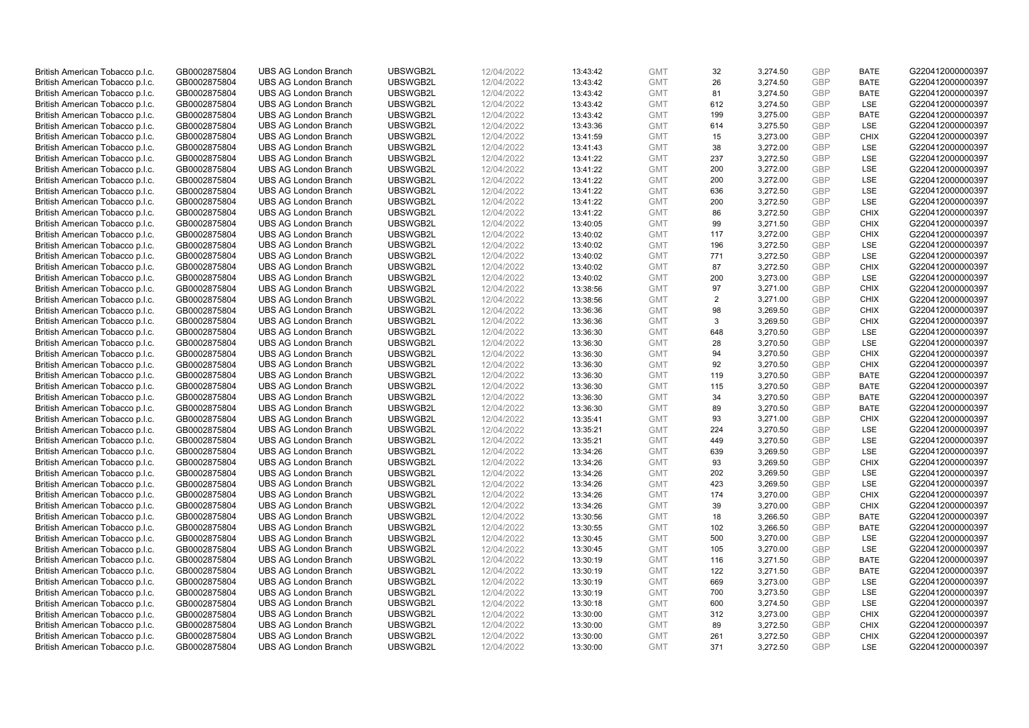| British American Tobacco p.l.c. | GB0002875804 | <b>UBS AG London Branch</b> | UBSWGB2L | 12/04/2022 | 13:43:42 | <b>GMT</b> | 32  | 3,274.50 | <b>GBP</b>               | <b>BATE</b> | G220412000000397 |
|---------------------------------|--------------|-----------------------------|----------|------------|----------|------------|-----|----------|--------------------------|-------------|------------------|
|                                 |              |                             |          |            |          |            |     |          |                          |             |                  |
| British American Tobacco p.l.c. | GB0002875804 | <b>UBS AG London Branch</b> | UBSWGB2L | 12/04/2022 | 13:43:42 | <b>GMT</b> | 26  | 3,274.50 | <b>GBP</b>               | <b>BATE</b> | G220412000000397 |
| British American Tobacco p.l.c. | GB0002875804 | <b>UBS AG London Branch</b> | UBSWGB2L | 12/04/2022 | 13:43:42 | <b>GMT</b> | 81  | 3,274.50 | <b>GBP</b>               | <b>BATE</b> | G220412000000397 |
| British American Tobacco p.l.c. | GB0002875804 | <b>UBS AG London Branch</b> | UBSWGB2L | 12/04/2022 | 13:43:42 | <b>GMT</b> | 612 | 3,274.50 | <b>GBP</b>               | LSE         | G220412000000397 |
| British American Tobacco p.l.c. | GB0002875804 | <b>UBS AG London Branch</b> | UBSWGB2L | 12/04/2022 | 13:43:42 | <b>GMT</b> | 199 | 3,275.00 | <b>GBP</b>               | <b>BATE</b> | G220412000000397 |
| British American Tobacco p.l.c. | GB0002875804 | <b>UBS AG London Branch</b> | UBSWGB2L | 12/04/2022 | 13:43:36 | <b>GMT</b> | 614 | 3,275.50 | <b>GBP</b>               | LSE         | G220412000000397 |
| British American Tobacco p.l.c. | GB0002875804 | <b>UBS AG London Branch</b> | UBSWGB2L | 12/04/2022 | 13:41:59 | <b>GMT</b> | 15  | 3,273.00 | <b>GBP</b>               | <b>CHIX</b> | G220412000000397 |
| British American Tobacco p.l.c. | GB0002875804 | <b>UBS AG London Branch</b> | UBSWGB2L | 12/04/2022 | 13:41:43 | <b>GMT</b> | 38  | 3,272.00 | <b>GBP</b>               | LSE         | G220412000000397 |
| British American Tobacco p.l.c. | GB0002875804 | <b>UBS AG London Branch</b> | UBSWGB2L | 12/04/2022 | 13:41:22 | <b>GMT</b> | 237 | 3,272.50 | <b>GBP</b>               | LSE         | G220412000000397 |
| British American Tobacco p.l.c. | GB0002875804 | <b>UBS AG London Branch</b> | UBSWGB2L | 12/04/2022 | 13:41:22 | <b>GMT</b> | 200 | 3,272.00 | <b>GBP</b>               | LSE         | G220412000000397 |
| British American Tobacco p.l.c. | GB0002875804 | <b>UBS AG London Branch</b> | UBSWGB2L | 12/04/2022 | 13:41:22 | <b>GMT</b> | 200 | 3,272.00 | <b>GBP</b>               | <b>LSE</b>  | G220412000000397 |
| British American Tobacco p.l.c. | GB0002875804 | <b>UBS AG London Branch</b> | UBSWGB2L | 12/04/2022 | 13:41:22 | <b>GMT</b> | 636 | 3,272.50 | <b>GBP</b>               | LSE         | G220412000000397 |
| British American Tobacco p.l.c. | GB0002875804 | <b>UBS AG London Branch</b> | UBSWGB2L | 12/04/2022 | 13:41:22 | <b>GMT</b> | 200 | 3,272.50 | <b>GBP</b>               | LSE         | G220412000000397 |
| British American Tobacco p.l.c. | GB0002875804 | <b>UBS AG London Branch</b> | UBSWGB2L | 12/04/2022 | 13:41:22 | <b>GMT</b> | 86  | 3,272.50 | <b>GBP</b>               | <b>CHIX</b> | G220412000000397 |
| British American Tobacco p.l.c. | GB0002875804 | <b>UBS AG London Branch</b> | UBSWGB2L | 12/04/2022 | 13:40:05 | <b>GMT</b> | 99  | 3,271.50 | <b>GBP</b>               | <b>CHIX</b> | G220412000000397 |
|                                 |              |                             |          |            |          |            |     |          |                          | <b>CHIX</b> |                  |
| British American Tobacco p.l.c. | GB0002875804 | <b>UBS AG London Branch</b> | UBSWGB2L | 12/04/2022 | 13:40:02 | <b>GMT</b> | 117 | 3,272.00 | <b>GBP</b><br><b>GBP</b> |             | G220412000000397 |
| British American Tobacco p.l.c. | GB0002875804 | <b>UBS AG London Branch</b> | UBSWGB2L | 12/04/2022 | 13:40:02 | <b>GMT</b> | 196 | 3,272.50 |                          | <b>LSE</b>  | G220412000000397 |
| British American Tobacco p.l.c. | GB0002875804 | <b>UBS AG London Branch</b> | UBSWGB2L | 12/04/2022 | 13:40:02 | <b>GMT</b> | 771 | 3,272.50 | <b>GBP</b>               | LSE         | G220412000000397 |
| British American Tobacco p.l.c. | GB0002875804 | <b>UBS AG London Branch</b> | UBSWGB2L | 12/04/2022 | 13:40:02 | <b>GMT</b> | 87  | 3,272.50 | <b>GBP</b>               | <b>CHIX</b> | G220412000000397 |
| British American Tobacco p.l.c. | GB0002875804 | <b>UBS AG London Branch</b> | UBSWGB2L | 12/04/2022 | 13:40:02 | <b>GMT</b> | 200 | 3,273.00 | <b>GBP</b>               | LSE         | G220412000000397 |
| British American Tobacco p.l.c. | GB0002875804 | <b>UBS AG London Branch</b> | UBSWGB2L | 12/04/2022 | 13:38:56 | <b>GMT</b> | 97  | 3,271.00 | <b>GBP</b>               | <b>CHIX</b> | G220412000000397 |
| British American Tobacco p.l.c. | GB0002875804 | <b>UBS AG London Branch</b> | UBSWGB2L | 12/04/2022 | 13:38:56 | <b>GMT</b> | 2   | 3,271.00 | <b>GBP</b>               | <b>CHIX</b> | G220412000000397 |
| British American Tobacco p.l.c. | GB0002875804 | <b>UBS AG London Branch</b> | UBSWGB2L | 12/04/2022 | 13:36:36 | <b>GMT</b> | 98  | 3,269.50 | <b>GBP</b>               | <b>CHIX</b> | G220412000000397 |
| British American Tobacco p.l.c. | GB0002875804 | <b>UBS AG London Branch</b> | UBSWGB2L | 12/04/2022 | 13:36:36 | <b>GMT</b> | 3   | 3,269.50 | <b>GBP</b>               | <b>CHIX</b> | G220412000000397 |
| British American Tobacco p.l.c. | GB0002875804 | <b>UBS AG London Branch</b> | UBSWGB2L | 12/04/2022 | 13:36:30 | <b>GMT</b> | 648 | 3,270.50 | <b>GBP</b>               | LSE         | G220412000000397 |
| British American Tobacco p.l.c. | GB0002875804 | <b>UBS AG London Branch</b> | UBSWGB2L | 12/04/2022 | 13:36:30 | <b>GMT</b> | 28  | 3,270.50 | <b>GBP</b>               | LSE         | G220412000000397 |
| British American Tobacco p.l.c. | GB0002875804 | <b>UBS AG London Branch</b> | UBSWGB2L | 12/04/2022 | 13:36:30 | <b>GMT</b> | 94  | 3,270.50 | <b>GBP</b>               | <b>CHIX</b> | G220412000000397 |
| British American Tobacco p.l.c. | GB0002875804 | <b>UBS AG London Branch</b> | UBSWGB2L | 12/04/2022 | 13:36:30 | <b>GMT</b> | 92  | 3,270.50 | <b>GBP</b>               | <b>CHIX</b> | G220412000000397 |
| British American Tobacco p.l.c. | GB0002875804 | <b>UBS AG London Branch</b> | UBSWGB2L | 12/04/2022 | 13:36:30 | <b>GMT</b> | 119 | 3,270.50 | <b>GBP</b>               | <b>BATE</b> | G220412000000397 |
| British American Tobacco p.l.c. | GB0002875804 | <b>UBS AG London Branch</b> | UBSWGB2L | 12/04/2022 | 13:36:30 | <b>GMT</b> | 115 | 3,270.50 | <b>GBP</b>               | <b>BATE</b> | G220412000000397 |
| British American Tobacco p.l.c. | GB0002875804 | <b>UBS AG London Branch</b> | UBSWGB2L | 12/04/2022 | 13:36:30 | <b>GMT</b> | 34  | 3,270.50 | <b>GBP</b>               | <b>BATE</b> | G220412000000397 |
| British American Tobacco p.l.c. | GB0002875804 | <b>UBS AG London Branch</b> | UBSWGB2L | 12/04/2022 | 13:36:30 | <b>GMT</b> | 89  | 3,270.50 | <b>GBP</b>               | <b>BATE</b> | G220412000000397 |
| British American Tobacco p.l.c. | GB0002875804 | <b>UBS AG London Branch</b> | UBSWGB2L | 12/04/2022 | 13:35:41 | <b>GMT</b> | 93  | 3,271.00 | <b>GBP</b>               | <b>CHIX</b> | G220412000000397 |
| British American Tobacco p.l.c. | GB0002875804 | <b>UBS AG London Branch</b> | UBSWGB2L | 12/04/2022 | 13:35:21 | <b>GMT</b> | 224 | 3,270.50 | <b>GBP</b>               | <b>LSE</b>  | G220412000000397 |
| British American Tobacco p.l.c. | GB0002875804 | <b>UBS AG London Branch</b> | UBSWGB2L | 12/04/2022 | 13:35:21 | <b>GMT</b> | 449 | 3,270.50 | <b>GBP</b>               | LSE         | G220412000000397 |
| British American Tobacco p.l.c. | GB0002875804 | <b>UBS AG London Branch</b> | UBSWGB2L | 12/04/2022 | 13:34:26 | <b>GMT</b> | 639 | 3,269.50 | <b>GBP</b>               | <b>LSE</b>  | G220412000000397 |
| British American Tobacco p.l.c. | GB0002875804 | <b>UBS AG London Branch</b> | UBSWGB2L | 12/04/2022 | 13:34:26 | <b>GMT</b> | 93  | 3,269.50 | <b>GBP</b>               | <b>CHIX</b> | G220412000000397 |
| British American Tobacco p.l.c. | GB0002875804 | <b>UBS AG London Branch</b> | UBSWGB2L | 12/04/2022 | 13:34:26 | <b>GMT</b> | 202 | 3,269.50 | <b>GBP</b>               | LSE         | G220412000000397 |
| British American Tobacco p.l.c. | GB0002875804 | <b>UBS AG London Branch</b> | UBSWGB2L | 12/04/2022 | 13:34:26 | <b>GMT</b> | 423 | 3,269.50 | <b>GBP</b>               | LSE         | G220412000000397 |
| British American Tobacco p.l.c. | GB0002875804 | <b>UBS AG London Branch</b> | UBSWGB2L | 12/04/2022 | 13:34:26 | <b>GMT</b> | 174 | 3,270.00 | <b>GBP</b>               | <b>CHIX</b> | G220412000000397 |
| British American Tobacco p.l.c. | GB0002875804 | <b>UBS AG London Branch</b> | UBSWGB2L | 12/04/2022 | 13:34:26 | <b>GMT</b> | 39  | 3,270.00 | <b>GBP</b>               | <b>CHIX</b> | G220412000000397 |
| British American Tobacco p.l.c. | GB0002875804 | <b>UBS AG London Branch</b> | UBSWGB2L | 12/04/2022 | 13:30:56 | <b>GMT</b> | 18  | 3,266.50 | <b>GBP</b>               | <b>BATE</b> | G220412000000397 |
| British American Tobacco p.l.c. | GB0002875804 | <b>UBS AG London Branch</b> | UBSWGB2L | 12/04/2022 | 13:30:55 | <b>GMT</b> | 102 | 3,266.50 | <b>GBP</b>               | <b>BATE</b> | G220412000000397 |
| British American Tobacco p.l.c. | GB0002875804 | <b>UBS AG London Branch</b> | UBSWGB2L | 12/04/2022 | 13:30:45 | <b>GMT</b> | 500 | 3,270.00 | <b>GBP</b>               | LSE         | G220412000000397 |
|                                 |              |                             |          |            |          |            |     |          |                          |             |                  |
| British American Tobacco p.l.c. | GB0002875804 | <b>UBS AG London Branch</b> | UBSWGB2L | 12/04/2022 | 13:30:45 | <b>GMT</b> | 105 | 3,270.00 | <b>GBP</b><br><b>GBP</b> | LSE         | G220412000000397 |
| British American Tobacco p.l.c. | GB0002875804 | <b>UBS AG London Branch</b> | UBSWGB2L | 12/04/2022 | 13:30:19 | <b>GMT</b> | 116 | 3,271.50 |                          | <b>BATE</b> | G220412000000397 |
| British American Tobacco p.l.c. | GB0002875804 | <b>UBS AG London Branch</b> | UBSWGB2L | 12/04/2022 | 13:30:19 | <b>GMT</b> | 122 | 3,271.50 | <b>GBP</b>               | <b>BATE</b> | G220412000000397 |
| British American Tobacco p.l.c. | GB0002875804 | <b>UBS AG London Branch</b> | UBSWGB2L | 12/04/2022 | 13:30:19 | <b>GMT</b> | 669 | 3,273.00 | <b>GBP</b>               | LSE         | G220412000000397 |
| British American Tobacco p.l.c. | GB0002875804 | <b>UBS AG London Branch</b> | UBSWGB2L | 12/04/2022 | 13:30:19 | <b>GMT</b> | 700 | 3,273.50 | <b>GBP</b>               | LSE         | G220412000000397 |
| British American Tobacco p.l.c. | GB0002875804 | <b>UBS AG London Branch</b> | UBSWGB2L | 12/04/2022 | 13:30:18 | <b>GMT</b> | 600 | 3,274.50 | <b>GBP</b>               | LSE         | G220412000000397 |
| British American Tobacco p.l.c. | GB0002875804 | <b>UBS AG London Branch</b> | UBSWGB2L | 12/04/2022 | 13:30:00 | <b>GMT</b> | 312 | 3,273.00 | <b>GBP</b>               | <b>CHIX</b> | G220412000000397 |
| British American Tobacco p.l.c. | GB0002875804 | <b>UBS AG London Branch</b> | UBSWGB2L | 12/04/2022 | 13:30:00 | <b>GMT</b> | 89  | 3,272.50 | <b>GBP</b>               | <b>CHIX</b> | G220412000000397 |
| British American Tobacco p.l.c. | GB0002875804 | <b>UBS AG London Branch</b> | UBSWGB2L | 12/04/2022 | 13:30:00 | <b>GMT</b> | 261 | 3,272.50 | <b>GBP</b>               | <b>CHIX</b> | G220412000000397 |
| British American Tobacco p.l.c. | GB0002875804 | <b>UBS AG London Branch</b> | UBSWGB2L | 12/04/2022 | 13:30:00 | <b>GMT</b> | 371 | 3,272.50 | GBP                      | LSE         | G220412000000397 |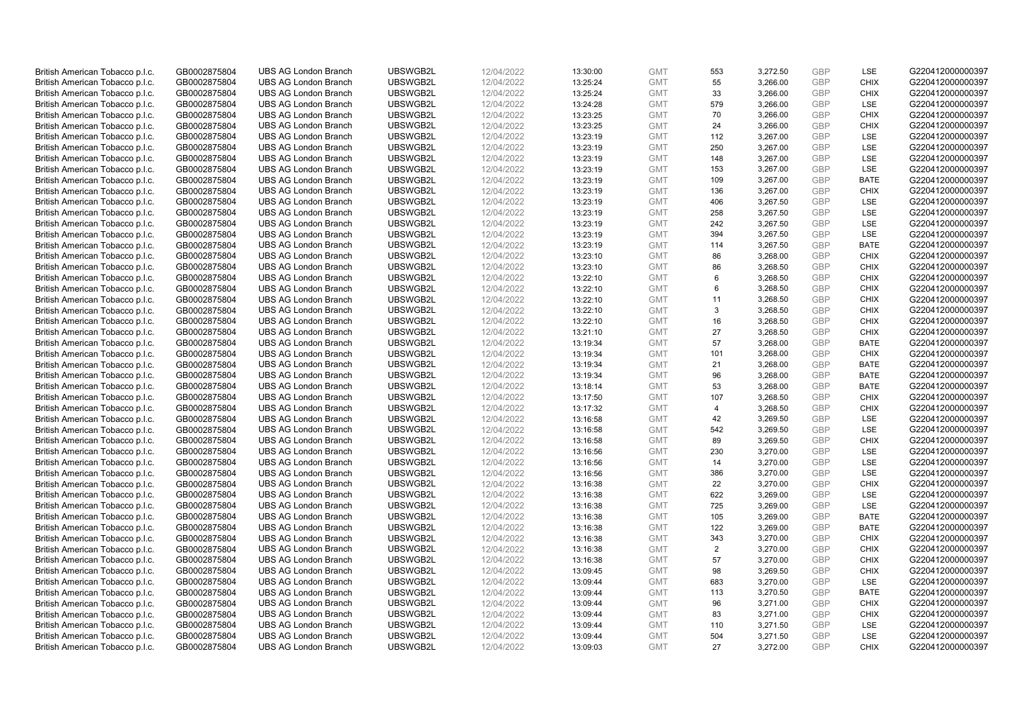| British American Tobacco p.l.c. | GB0002875804 | <b>UBS AG London Branch</b> | UBSWGB2L | 12/04/2022 | 13:30:00 | <b>GMT</b> | 553            | 3,272.50 | <b>GBP</b>               | LSE         | G220412000000397 |
|---------------------------------|--------------|-----------------------------|----------|------------|----------|------------|----------------|----------|--------------------------|-------------|------------------|
| British American Tobacco p.l.c. | GB0002875804 | <b>UBS AG London Branch</b> | UBSWGB2L | 12/04/2022 | 13:25:24 | <b>GMT</b> | 55             | 3,266.00 | <b>GBP</b>               | <b>CHIX</b> | G220412000000397 |
| British American Tobacco p.l.c. | GB0002875804 | <b>UBS AG London Branch</b> | UBSWGB2L | 12/04/2022 | 13:25:24 | <b>GMT</b> | 33             | 3,266.00 | <b>GBP</b>               | <b>CHIX</b> | G220412000000397 |
| British American Tobacco p.l.c. | GB0002875804 | <b>UBS AG London Branch</b> | UBSWGB2L | 12/04/2022 | 13:24:28 | <b>GMT</b> | 579            | 3,266.00 | <b>GBP</b>               | LSE         | G220412000000397 |
| British American Tobacco p.l.c. | GB0002875804 | <b>UBS AG London Branch</b> | UBSWGB2L | 12/04/2022 | 13:23:25 | <b>GMT</b> | 70             | 3,266.00 | <b>GBP</b>               | <b>CHIX</b> | G220412000000397 |
|                                 |              | <b>UBS AG London Branch</b> |          |            |          |            |                |          |                          |             |                  |
| British American Tobacco p.l.c. | GB0002875804 |                             | UBSWGB2L | 12/04/2022 | 13:23:25 | <b>GMT</b> | 24             | 3,266.00 | <b>GBP</b><br><b>GBP</b> | <b>CHIX</b> | G220412000000397 |
| British American Tobacco p.l.c. | GB0002875804 | <b>UBS AG London Branch</b> | UBSWGB2L | 12/04/2022 | 13:23:19 | <b>GMT</b> | 112            | 3,267.00 |                          | LSE         | G220412000000397 |
| British American Tobacco p.l.c. | GB0002875804 | <b>UBS AG London Branch</b> | UBSWGB2L | 12/04/2022 | 13:23:19 | <b>GMT</b> | 250            | 3,267.00 | <b>GBP</b>               | LSE         | G220412000000397 |
| British American Tobacco p.l.c. | GB0002875804 | <b>UBS AG London Branch</b> | UBSWGB2L | 12/04/2022 | 13:23:19 | <b>GMT</b> | 148            | 3,267.00 | <b>GBP</b>               | LSE         | G220412000000397 |
| British American Tobacco p.l.c. | GB0002875804 | <b>UBS AG London Branch</b> | UBSWGB2L | 12/04/2022 | 13:23:19 | <b>GMT</b> | 153            | 3,267.00 | <b>GBP</b>               | LSE         | G220412000000397 |
| British American Tobacco p.l.c. | GB0002875804 | <b>UBS AG London Branch</b> | UBSWGB2L | 12/04/2022 | 13:23:19 | <b>GMT</b> | 109            | 3,267.00 | <b>GBP</b>               | <b>BATE</b> | G220412000000397 |
| British American Tobacco p.l.c. | GB0002875804 | <b>UBS AG London Branch</b> | UBSWGB2L | 12/04/2022 | 13:23:19 | <b>GMT</b> | 136            | 3,267.00 | <b>GBP</b>               | <b>CHIX</b> | G220412000000397 |
| British American Tobacco p.l.c. | GB0002875804 | <b>UBS AG London Branch</b> | UBSWGB2L | 12/04/2022 | 13:23:19 | <b>GMT</b> | 406            | 3,267.50 | <b>GBP</b>               | LSE         | G220412000000397 |
| British American Tobacco p.l.c. | GB0002875804 | <b>UBS AG London Branch</b> | UBSWGB2L | 12/04/2022 | 13:23:19 | <b>GMT</b> | 258            | 3,267.50 | <b>GBP</b>               | <b>LSE</b>  | G220412000000397 |
| British American Tobacco p.l.c. | GB0002875804 | <b>UBS AG London Branch</b> | UBSWGB2L | 12/04/2022 | 13:23:19 | <b>GMT</b> | 242            | 3,267.50 | <b>GBP</b>               | LSE         | G220412000000397 |
| British American Tobacco p.l.c. | GB0002875804 | <b>UBS AG London Branch</b> | UBSWGB2L | 12/04/2022 | 13:23:19 | <b>GMT</b> | 394            | 3,267.50 | <b>GBP</b>               | LSE         | G220412000000397 |
| British American Tobacco p.l.c. | GB0002875804 | <b>UBS AG London Branch</b> | UBSWGB2L | 12/04/2022 | 13:23:19 | <b>GMT</b> | 114            | 3,267.50 | <b>GBP</b>               | <b>BATE</b> | G220412000000397 |
| British American Tobacco p.l.c. | GB0002875804 | <b>UBS AG London Branch</b> | UBSWGB2L | 12/04/2022 | 13:23:10 | <b>GMT</b> | 86             | 3,268.00 | <b>GBP</b>               | <b>CHIX</b> | G220412000000397 |
| British American Tobacco p.l.c. | GB0002875804 | <b>UBS AG London Branch</b> | UBSWGB2L | 12/04/2022 | 13:23:10 | <b>GMT</b> | 86             | 3,268.50 | <b>GBP</b>               | <b>CHIX</b> | G220412000000397 |
| British American Tobacco p.l.c. | GB0002875804 | <b>UBS AG London Branch</b> | UBSWGB2L | 12/04/2022 | 13:22:10 | <b>GMT</b> | 6              | 3,268.50 | <b>GBP</b>               | <b>CHIX</b> | G220412000000397 |
| British American Tobacco p.l.c. | GB0002875804 | <b>UBS AG London Branch</b> | UBSWGB2L | 12/04/2022 | 13:22:10 | <b>GMT</b> | 6              | 3,268.50 | <b>GBP</b>               | <b>CHIX</b> | G220412000000397 |
| British American Tobacco p.l.c. | GB0002875804 | <b>UBS AG London Branch</b> | UBSWGB2L | 12/04/2022 | 13:22:10 | <b>GMT</b> | 11             | 3,268.50 | <b>GBP</b>               | <b>CHIX</b> | G220412000000397 |
| British American Tobacco p.l.c. | GB0002875804 | <b>UBS AG London Branch</b> | UBSWGB2L | 12/04/2022 | 13:22:10 | <b>GMT</b> | 3              | 3,268.50 | <b>GBP</b>               | <b>CHIX</b> | G220412000000397 |
| British American Tobacco p.l.c. | GB0002875804 | <b>UBS AG London Branch</b> | UBSWGB2L | 12/04/2022 | 13:22:10 | <b>GMT</b> | 16             | 3,268.50 | <b>GBP</b>               | <b>CHIX</b> | G220412000000397 |
| British American Tobacco p.l.c. | GB0002875804 | <b>UBS AG London Branch</b> | UBSWGB2L | 12/04/2022 | 13:21:10 | <b>GMT</b> | 27             | 3,268.50 | <b>GBP</b>               | <b>CHIX</b> | G220412000000397 |
| British American Tobacco p.l.c. | GB0002875804 | <b>UBS AG London Branch</b> | UBSWGB2L | 12/04/2022 | 13:19:34 | <b>GMT</b> | 57             | 3,268.00 | <b>GBP</b>               | <b>BATE</b> | G220412000000397 |
| British American Tobacco p.l.c. | GB0002875804 | <b>UBS AG London Branch</b> | UBSWGB2L | 12/04/2022 | 13:19:34 | <b>GMT</b> | 101            | 3,268.00 | <b>GBP</b>               | <b>CHIX</b> | G220412000000397 |
| British American Tobacco p.l.c. | GB0002875804 | <b>UBS AG London Branch</b> | UBSWGB2L | 12/04/2022 | 13:19:34 | <b>GMT</b> | 21             | 3,268.00 | <b>GBP</b>               | <b>BATE</b> | G220412000000397 |
| British American Tobacco p.l.c. | GB0002875804 | <b>UBS AG London Branch</b> | UBSWGB2L | 12/04/2022 | 13:19:34 | <b>GMT</b> | 96             | 3,268.00 | <b>GBP</b>               | <b>BATE</b> | G220412000000397 |
| British American Tobacco p.l.c. | GB0002875804 | <b>UBS AG London Branch</b> | UBSWGB2L | 12/04/2022 | 13:18:14 | <b>GMT</b> | 53             | 3,268.00 | <b>GBP</b>               | <b>BATE</b> | G220412000000397 |
| British American Tobacco p.l.c. | GB0002875804 | <b>UBS AG London Branch</b> | UBSWGB2L | 12/04/2022 | 13:17:50 | <b>GMT</b> | 107            | 3,268.50 | <b>GBP</b>               | <b>CHIX</b> | G220412000000397 |
| British American Tobacco p.l.c. | GB0002875804 | <b>UBS AG London Branch</b> | UBSWGB2L | 12/04/2022 | 13:17:32 | <b>GMT</b> | $\overline{4}$ | 3,268.50 | <b>GBP</b>               | <b>CHIX</b> | G220412000000397 |
| British American Tobacco p.l.c. | GB0002875804 | <b>UBS AG London Branch</b> | UBSWGB2L | 12/04/2022 | 13:16:58 | <b>GMT</b> | 42             | 3,269.50 | <b>GBP</b>               | LSE         | G220412000000397 |
| British American Tobacco p.l.c. | GB0002875804 | <b>UBS AG London Branch</b> | UBSWGB2L | 12/04/2022 | 13:16:58 | <b>GMT</b> | 542            | 3,269.50 | <b>GBP</b>               | LSE         | G220412000000397 |
| British American Tobacco p.l.c. | GB0002875804 | <b>UBS AG London Branch</b> | UBSWGB2L | 12/04/2022 | 13:16:58 | <b>GMT</b> | 89             | 3,269.50 | <b>GBP</b>               | <b>CHIX</b> | G220412000000397 |
| British American Tobacco p.l.c. | GB0002875804 | <b>UBS AG London Branch</b> | UBSWGB2L | 12/04/2022 | 13:16:56 | <b>GMT</b> | 230            | 3,270.00 | <b>GBP</b>               | LSE         | G220412000000397 |
| British American Tobacco p.l.c. | GB0002875804 | <b>UBS AG London Branch</b> | UBSWGB2L | 12/04/2022 | 13:16:56 | <b>GMT</b> | 14             | 3,270.00 | <b>GBP</b>               | LSE         | G220412000000397 |
| British American Tobacco p.l.c. | GB0002875804 | <b>UBS AG London Branch</b> | UBSWGB2L | 12/04/2022 | 13:16:56 | <b>GMT</b> | 386            | 3,270.00 | <b>GBP</b>               | LSE         | G220412000000397 |
| British American Tobacco p.l.c. | GB0002875804 | <b>UBS AG London Branch</b> | UBSWGB2L | 12/04/2022 | 13:16:38 | <b>GMT</b> | 22             | 3,270.00 | <b>GBP</b>               | <b>CHIX</b> | G220412000000397 |
| British American Tobacco p.l.c. | GB0002875804 | <b>UBS AG London Branch</b> | UBSWGB2L | 12/04/2022 | 13:16:38 | <b>GMT</b> | 622            | 3,269.00 | <b>GBP</b>               | <b>LSE</b>  | G220412000000397 |
| British American Tobacco p.l.c. | GB0002875804 | <b>UBS AG London Branch</b> | UBSWGB2L | 12/04/2022 | 13:16:38 | <b>GMT</b> | 725            | 3,269.00 | <b>GBP</b>               | LSE         | G220412000000397 |
| British American Tobacco p.l.c. | GB0002875804 | <b>UBS AG London Branch</b> | UBSWGB2L | 12/04/2022 | 13:16:38 | <b>GMT</b> | 105            | 3,269.00 | <b>GBP</b>               | <b>BATE</b> | G220412000000397 |
|                                 | GB0002875804 | <b>UBS AG London Branch</b> | UBSWGB2L | 12/04/2022 | 13:16:38 | <b>GMT</b> |                |          | <b>GBP</b>               | <b>BATE</b> | G220412000000397 |
| British American Tobacco p.l.c. |              |                             |          |            |          |            | 122            | 3,269.00 |                          |             |                  |
| British American Tobacco p.l.c. | GB0002875804 | <b>UBS AG London Branch</b> | UBSWGB2L | 12/04/2022 | 13:16:38 | <b>GMT</b> | 343            | 3,270.00 | <b>GBP</b>               | <b>CHIX</b> | G220412000000397 |
| British American Tobacco p.l.c. | GB0002875804 | UBS AG London Branch        | UBSWGB2L | 12/04/2022 | 13:16:38 | <b>GMT</b> | 2              | 3,270.00 | <b>GBP</b>               | <b>CHIX</b> | G220412000000397 |
| British American Tobacco p.l.c. | GB0002875804 | <b>UBS AG London Branch</b> | UBSWGB2L | 12/04/2022 | 13:16:38 | <b>GMT</b> | 57             | 3,270.00 | <b>GBP</b>               | <b>CHIX</b> | G220412000000397 |
| British American Tobacco p.l.c. | GB0002875804 | <b>UBS AG London Branch</b> | UBSWGB2L | 12/04/2022 | 13:09:45 | <b>GMT</b> | 98             | 3,269.50 | <b>GBP</b>               | <b>CHIX</b> | G220412000000397 |
| British American Tobacco p.l.c. | GB0002875804 | <b>UBS AG London Branch</b> | UBSWGB2L | 12/04/2022 | 13:09:44 | <b>GMT</b> | 683            | 3,270.00 | <b>GBP</b>               | LSE         | G220412000000397 |
| British American Tobacco p.l.c. | GB0002875804 | <b>UBS AG London Branch</b> | UBSWGB2L | 12/04/2022 | 13:09:44 | GMT        | 113            | 3,270.50 | <b>GBP</b>               | <b>BATE</b> | G220412000000397 |
| British American Tobacco p.l.c. | GB0002875804 | <b>UBS AG London Branch</b> | UBSWGB2L | 12/04/2022 | 13:09:44 | <b>GMT</b> | 96             | 3,271.00 | <b>GBP</b>               | <b>CHIX</b> | G220412000000397 |
| British American Tobacco p.l.c. | GB0002875804 | <b>UBS AG London Branch</b> | UBSWGB2L | 12/04/2022 | 13:09:44 | <b>GMT</b> | 83             | 3,271.00 | <b>GBP</b>               | <b>CHIX</b> | G220412000000397 |
| British American Tobacco p.l.c. | GB0002875804 | <b>UBS AG London Branch</b> | UBSWGB2L | 12/04/2022 | 13:09:44 | <b>GMT</b> | 110            | 3,271.50 | <b>GBP</b>               | LSE         | G220412000000397 |
| British American Tobacco p.l.c. | GB0002875804 | <b>UBS AG London Branch</b> | UBSWGB2L | 12/04/2022 | 13:09:44 | <b>GMT</b> | 504            | 3,271.50 | <b>GBP</b>               | LSE         | G220412000000397 |
| British American Tobacco p.l.c. | GB0002875804 | <b>UBS AG London Branch</b> | UBSWGB2L | 12/04/2022 | 13:09:03 | <b>GMT</b> | 27             | 3,272.00 | GBP                      | <b>CHIX</b> | G220412000000397 |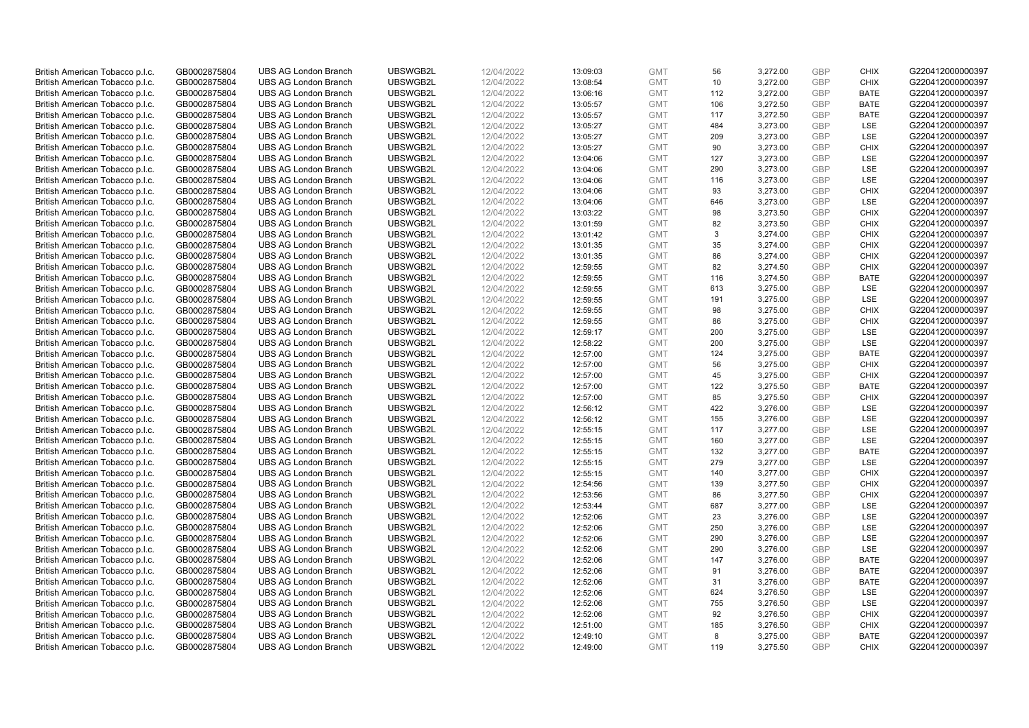| British American Tobacco p.l.c. | GB0002875804                 | <b>UBS AG London Branch</b>                                | UBSWGB2L | 12/04/2022               | 13:09:03 | <b>GMT</b> | 56  | 3,272.00 | <b>GBP</b> | <b>CHIX</b> | G220412000000397                     |
|---------------------------------|------------------------------|------------------------------------------------------------|----------|--------------------------|----------|------------|-----|----------|------------|-------------|--------------------------------------|
| British American Tobacco p.l.c. | GB0002875804                 | <b>UBS AG London Branch</b>                                | UBSWGB2L | 12/04/2022               | 13:08:54 | <b>GMT</b> | 10  | 3,272.00 | <b>GBP</b> | <b>CHIX</b> | G220412000000397                     |
|                                 |                              | <b>UBS AG London Branch</b>                                | UBSWGB2L |                          |          | <b>GMT</b> | 112 | 3,272.00 | <b>GBP</b> | <b>BATE</b> | G220412000000397                     |
| British American Tobacco p.l.c. | GB0002875804                 |                                                            |          | 12/04/2022               | 13:06:16 |            |     |          |            |             |                                      |
| British American Tobacco p.l.c. | GB0002875804                 | <b>UBS AG London Branch</b>                                | UBSWGB2L | 12/04/2022               | 13:05:57 | <b>GMT</b> | 106 | 3,272.50 | <b>GBP</b> | <b>BATE</b> | G220412000000397                     |
| British American Tobacco p.l.c. | GB0002875804                 | <b>UBS AG London Branch</b>                                | UBSWGB2L | 12/04/2022               | 13:05:57 | <b>GMT</b> | 117 | 3,272.50 | <b>GBP</b> | <b>BATE</b> | G220412000000397                     |
| British American Tobacco p.l.c. | GB0002875804                 | <b>UBS AG London Branch</b>                                | UBSWGB2L | 12/04/2022               | 13:05:27 | <b>GMT</b> | 484 | 3,273.00 | <b>GBP</b> | <b>LSE</b>  | G220412000000397                     |
| British American Tobacco p.l.c. | GB0002875804                 | <b>UBS AG London Branch</b>                                | UBSWGB2L | 12/04/2022               | 13:05:27 | <b>GMT</b> | 209 | 3,273.00 | <b>GBP</b> | LSE         | G220412000000397                     |
| British American Tobacco p.l.c. | GB0002875804                 | <b>UBS AG London Branch</b>                                | UBSWGB2L | 12/04/2022               | 13:05:27 | <b>GMT</b> | 90  | 3,273.00 | <b>GBP</b> | <b>CHIX</b> | G220412000000397                     |
| British American Tobacco p.l.c. | GB0002875804                 | <b>UBS AG London Branch</b>                                | UBSWGB2L | 12/04/2022               | 13:04:06 | <b>GMT</b> | 127 | 3,273.00 | <b>GBP</b> | LSE         | G220412000000397                     |
| British American Tobacco p.l.c. | GB0002875804                 | <b>UBS AG London Branch</b>                                | UBSWGB2L | 12/04/2022               | 13:04:06 | <b>GMT</b> | 290 | 3,273.00 | <b>GBP</b> | LSE         | G220412000000397                     |
| British American Tobacco p.l.c. | GB0002875804                 | <b>UBS AG London Branch</b>                                | UBSWGB2L | 12/04/2022               | 13:04:06 | <b>GMT</b> | 116 | 3,273.00 | <b>GBP</b> | <b>LSE</b>  | G220412000000397                     |
| British American Tobacco p.l.c. | GB0002875804                 | <b>UBS AG London Branch</b>                                | UBSWGB2L | 12/04/2022               | 13:04:06 | <b>GMT</b> | 93  | 3,273.00 | <b>GBP</b> | <b>CHIX</b> | G220412000000397                     |
| British American Tobacco p.l.c. | GB0002875804                 | <b>UBS AG London Branch</b>                                | UBSWGB2L | 12/04/2022               | 13:04:06 | <b>GMT</b> | 646 | 3,273.00 | <b>GBP</b> | LSE         | G220412000000397                     |
| British American Tobacco p.l.c. | GB0002875804                 | <b>UBS AG London Branch</b>                                | UBSWGB2L | 12/04/2022               | 13:03:22 | <b>GMT</b> | 98  | 3,273.50 | <b>GBP</b> | <b>CHIX</b> | G220412000000397                     |
| British American Tobacco p.l.c. | GB0002875804                 | <b>UBS AG London Branch</b>                                | UBSWGB2L | 12/04/2022               | 13:01:59 | <b>GMT</b> | 82  | 3,273.50 | <b>GBP</b> | <b>CHIX</b> | G220412000000397                     |
| British American Tobacco p.l.c. | GB0002875804                 | <b>UBS AG London Branch</b>                                | UBSWGB2L | 12/04/2022               | 13:01:42 | <b>GMT</b> | 3   | 3,274.00 | <b>GBP</b> | <b>CHIX</b> | G220412000000397                     |
| British American Tobacco p.l.c. | GB0002875804                 | <b>UBS AG London Branch</b>                                | UBSWGB2L | 12/04/2022               | 13:01:35 | <b>GMT</b> | 35  | 3,274.00 | <b>GBP</b> | <b>CHIX</b> | G220412000000397                     |
| British American Tobacco p.l.c. | GB0002875804                 | <b>UBS AG London Branch</b>                                | UBSWGB2L | 12/04/2022               | 13:01:35 | <b>GMT</b> | 86  | 3,274.00 | <b>GBP</b> | <b>CHIX</b> | G220412000000397                     |
|                                 |                              | <b>UBS AG London Branch</b>                                | UBSWGB2L |                          | 12:59:55 | <b>GMT</b> | 82  | 3,274.50 | <b>GBP</b> | <b>CHIX</b> | G220412000000397                     |
| British American Tobacco p.l.c. | GB0002875804<br>GB0002875804 | <b>UBS AG London Branch</b>                                | UBSWGB2L | 12/04/2022<br>12/04/2022 | 12:59:55 | <b>GMT</b> |     |          | <b>GBP</b> | <b>BATE</b> | G220412000000397                     |
| British American Tobacco p.l.c. |                              |                                                            |          |                          |          |            | 116 | 3,274.50 |            |             |                                      |
| British American Tobacco p.l.c. | GB0002875804                 | <b>UBS AG London Branch</b>                                | UBSWGB2L | 12/04/2022               | 12:59:55 | <b>GMT</b> | 613 | 3,275.00 | <b>GBP</b> | LSE         | G220412000000397                     |
| British American Tobacco p.l.c. | GB0002875804                 | <b>UBS AG London Branch</b>                                | UBSWGB2L | 12/04/2022               | 12:59:55 | <b>GMT</b> | 191 | 3,275.00 | <b>GBP</b> | LSE         | G220412000000397                     |
| British American Tobacco p.l.c. | GB0002875804                 | <b>UBS AG London Branch</b>                                | UBSWGB2L | 12/04/2022               | 12:59:55 | <b>GMT</b> | 98  | 3,275.00 | <b>GBP</b> | <b>CHIX</b> | G220412000000397                     |
| British American Tobacco p.l.c. | GB0002875804                 | <b>UBS AG London Branch</b>                                | UBSWGB2L | 12/04/2022               | 12:59:55 | <b>GMT</b> | 86  | 3,275.00 | <b>GBP</b> | <b>CHIX</b> | G220412000000397                     |
| British American Tobacco p.l.c. | GB0002875804                 | <b>UBS AG London Branch</b>                                | UBSWGB2L | 12/04/2022               | 12:59:17 | <b>GMT</b> | 200 | 3,275.00 | <b>GBP</b> | LSE         | G220412000000397                     |
| British American Tobacco p.l.c. | GB0002875804                 | <b>UBS AG London Branch</b>                                | UBSWGB2L | 12/04/2022               | 12:58:22 | <b>GMT</b> | 200 | 3,275.00 | <b>GBP</b> | LSE         | G220412000000397                     |
| British American Tobacco p.l.c. | GB0002875804                 | <b>UBS AG London Branch</b>                                | UBSWGB2L | 12/04/2022               | 12:57:00 | <b>GMT</b> | 124 | 3,275.00 | <b>GBP</b> | <b>BATE</b> | G220412000000397                     |
| British American Tobacco p.l.c. | GB0002875804                 | <b>UBS AG London Branch</b>                                | UBSWGB2L | 12/04/2022               | 12:57:00 | <b>GMT</b> | 56  | 3,275.00 | <b>GBP</b> | <b>CHIX</b> | G220412000000397                     |
| British American Tobacco p.l.c. | GB0002875804                 | <b>UBS AG London Branch</b>                                | UBSWGB2L | 12/04/2022               | 12:57:00 | <b>GMT</b> | 45  | 3,275.00 | <b>GBP</b> | <b>CHIX</b> | G220412000000397                     |
| British American Tobacco p.l.c. | GB0002875804                 | <b>UBS AG London Branch</b>                                | UBSWGB2L | 12/04/2022               | 12:57:00 | <b>GMT</b> | 122 | 3,275.50 | <b>GBP</b> | <b>BATE</b> | G220412000000397                     |
| British American Tobacco p.l.c. | GB0002875804                 | <b>UBS AG London Branch</b>                                | UBSWGB2L | 12/04/2022               | 12:57:00 | <b>GMT</b> | 85  | 3,275.50 | <b>GBP</b> | <b>CHIX</b> | G220412000000397                     |
| British American Tobacco p.l.c. | GB0002875804                 | <b>UBS AG London Branch</b>                                | UBSWGB2L | 12/04/2022               | 12:56:12 | <b>GMT</b> | 422 | 3,276.00 | <b>GBP</b> | <b>LSE</b>  | G220412000000397                     |
| British American Tobacco p.l.c. | GB0002875804                 | <b>UBS AG London Branch</b>                                | UBSWGB2L | 12/04/2022               | 12:56:12 | <b>GMT</b> | 155 | 3,276.00 | <b>GBP</b> | LSE         | G220412000000397                     |
| British American Tobacco p.l.c. | GB0002875804                 | <b>UBS AG London Branch</b>                                | UBSWGB2L | 12/04/2022               | 12:55:15 | <b>GMT</b> | 117 | 3,277.00 | <b>GBP</b> | LSE         | G220412000000397                     |
| British American Tobacco p.l.c. | GB0002875804                 | <b>UBS AG London Branch</b>                                | UBSWGB2L | 12/04/2022               | 12:55:15 | <b>GMT</b> | 160 | 3,277.00 | <b>GBP</b> | LSE         | G220412000000397                     |
| British American Tobacco p.l.c. | GB0002875804                 | <b>UBS AG London Branch</b>                                | UBSWGB2L | 12/04/2022               | 12:55:15 | <b>GMT</b> | 132 | 3,277.00 | <b>GBP</b> | <b>BATE</b> | G220412000000397                     |
| British American Tobacco p.l.c. | GB0002875804                 | <b>UBS AG London Branch</b>                                | UBSWGB2L | 12/04/2022               | 12:55:15 | <b>GMT</b> | 279 | 3,277.00 | <b>GBP</b> | <b>LSE</b>  | G220412000000397                     |
| British American Tobacco p.l.c. | GB0002875804                 | <b>UBS AG London Branch</b>                                | UBSWGB2L | 12/04/2022               | 12:55:15 | <b>GMT</b> | 140 | 3,277.00 | <b>GBP</b> | <b>CHIX</b> | G220412000000397                     |
| British American Tobacco p.l.c. | GB0002875804                 | <b>UBS AG London Branch</b>                                | UBSWGB2L | 12/04/2022               | 12:54:56 | <b>GMT</b> | 139 | 3,277.50 | <b>GBP</b> | <b>CHIX</b> | G220412000000397                     |
| British American Tobacco p.l.c. | GB0002875804                 | <b>UBS AG London Branch</b>                                | UBSWGB2L | 12/04/2022               | 12:53:56 | <b>GMT</b> | 86  | 3,277.50 | <b>GBP</b> | <b>CHIX</b> | G220412000000397                     |
| British American Tobacco p.l.c. | GB0002875804                 | <b>UBS AG London Branch</b>                                | UBSWGB2L | 12/04/2022               | 12:53:44 | <b>GMT</b> | 687 | 3,277.00 | <b>GBP</b> | LSE         | G220412000000397                     |
| British American Tobacco p.l.c. | GB0002875804                 | <b>UBS AG London Branch</b>                                | UBSWGB2L | 12/04/2022               | 12:52:06 | <b>GMT</b> | 23  | 3,276.00 | <b>GBP</b> | LSE         | G220412000000397                     |
| British American Tobacco p.l.c. | GB0002875804                 | <b>UBS AG London Branch</b>                                | UBSWGB2L | 12/04/2022               | 12:52:06 | <b>GMT</b> | 250 | 3,276.00 | <b>GBP</b> | LSE         | G220412000000397                     |
| British American Tobacco p.l.c. | GB0002875804                 | <b>UBS AG London Branch</b>                                | UBSWGB2L | 12/04/2022               | 12:52:06 | <b>GMT</b> | 290 | 3,276.00 | <b>GBP</b> | LSE         | G220412000000397                     |
| British American Tobacco p.l.c. | GB0002875804                 | UBS AG London Branch                                       | UBSWGB2L | 12/04/2022               | 12:52:06 | <b>GMT</b> | 290 | 3,276.00 | <b>GBP</b> | LSE         | G220412000000397                     |
| British American Tobacco p.l.c. | GB0002875804                 | <b>UBS AG London Branch</b>                                | UBSWGB2L | 12/04/2022               | 12:52:06 | <b>GMT</b> | 147 | 3,276.00 | <b>GBP</b> | <b>BATE</b> | G220412000000397                     |
| British American Tobacco p.l.c. | GB0002875804                 | <b>UBS AG London Branch</b>                                | UBSWGB2L | 12/04/2022               | 12:52:06 | <b>GMT</b> | 91  | 3,276.00 | <b>GBP</b> | <b>BATE</b> | G220412000000397                     |
| British American Tobacco p.l.c. | GB0002875804                 | <b>UBS AG London Branch</b>                                | UBSWGB2L | 12/04/2022               | 12:52:06 | <b>GMT</b> | 31  | 3,276.00 | <b>GBP</b> | <b>BATE</b> | G220412000000397                     |
| British American Tobacco p.l.c. | GB0002875804                 | <b>UBS AG London Branch</b>                                | UBSWGB2L | 12/04/2022               | 12:52:06 | <b>GMT</b> | 624 | 3,276.50 | <b>GBP</b> | LSE         | G220412000000397                     |
| British American Tobacco p.l.c. | GB0002875804                 | <b>UBS AG London Branch</b>                                | UBSWGB2L | 12/04/2022               | 12:52:06 | <b>GMT</b> | 755 | 3,276.50 | <b>GBP</b> | LSE         | G220412000000397                     |
|                                 |                              |                                                            | UBSWGB2L |                          |          |            | 92  |          | <b>GBP</b> | <b>CHIX</b> |                                      |
| British American Tobacco p.l.c. | GB0002875804                 | <b>UBS AG London Branch</b><br><b>UBS AG London Branch</b> | UBSWGB2L | 12/04/2022               | 12:52:06 | <b>GMT</b> |     | 3,276.50 |            | <b>CHIX</b> | G220412000000397<br>G220412000000397 |
| British American Tobacco p.l.c. | GB0002875804                 |                                                            |          | 12/04/2022               | 12:51:00 | <b>GMT</b> | 185 | 3,276.50 | <b>GBP</b> |             |                                      |
| British American Tobacco p.l.c. | GB0002875804                 | <b>UBS AG London Branch</b>                                | UBSWGB2L | 12/04/2022               | 12:49:10 | <b>GMT</b> | 8   | 3,275.00 | <b>GBP</b> | <b>BATE</b> | G220412000000397                     |
| British American Tobacco p.l.c. | GB0002875804                 | <b>UBS AG London Branch</b>                                | UBSWGB2L | 12/04/2022               | 12:49:00 | <b>GMT</b> | 119 | 3.275.50 | GBP        | <b>CHIX</b> | G220412000000397                     |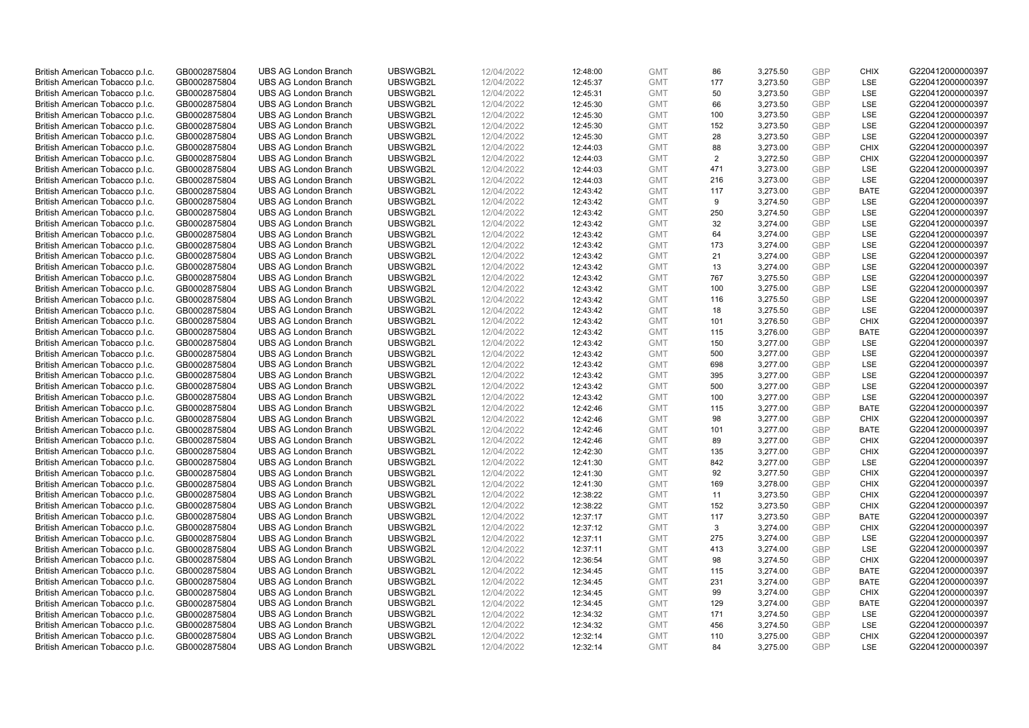| British American Tobacco p.l.c. | GB0002875804 | <b>UBS AG London Branch</b> | UBSWGB2L | 12/04/2022 | 12:48:00 | <b>GMT</b> | 86  | 3,275.50 | <b>GBP</b>               | <b>CHIX</b> | G220412000000397 |
|---------------------------------|--------------|-----------------------------|----------|------------|----------|------------|-----|----------|--------------------------|-------------|------------------|
| British American Tobacco p.l.c. | GB0002875804 | <b>UBS AG London Branch</b> | UBSWGB2L | 12/04/2022 | 12:45:37 | <b>GMT</b> | 177 | 3,273.50 | <b>GBP</b>               | LSE         | G220412000000397 |
| British American Tobacco p.l.c. | GB0002875804 | <b>UBS AG London Branch</b> | UBSWGB2L | 12/04/2022 | 12:45:31 | <b>GMT</b> | 50  | 3,273.50 | <b>GBP</b>               | LSE         | G220412000000397 |
| British American Tobacco p.l.c. | GB0002875804 | <b>UBS AG London Branch</b> | UBSWGB2L | 12/04/2022 | 12:45:30 | <b>GMT</b> | 66  | 3,273.50 | <b>GBP</b>               | LSE         | G220412000000397 |
| British American Tobacco p.l.c. | GB0002875804 | <b>UBS AG London Branch</b> | UBSWGB2L | 12/04/2022 | 12:45:30 | <b>GMT</b> | 100 | 3,273.50 | <b>GBP</b>               | LSE         | G220412000000397 |
|                                 |              | <b>UBS AG London Branch</b> |          |            |          |            |     |          |                          |             |                  |
| British American Tobacco p.l.c. | GB0002875804 |                             | UBSWGB2L | 12/04/2022 | 12:45:30 | <b>GMT</b> | 152 | 3,273.50 | <b>GBP</b><br><b>GBP</b> | <b>LSE</b>  | G220412000000397 |
| British American Tobacco p.l.c. | GB0002875804 | <b>UBS AG London Branch</b> | UBSWGB2L | 12/04/2022 | 12:45:30 | <b>GMT</b> | 28  | 3,273.50 |                          | LSE         | G220412000000397 |
| British American Tobacco p.l.c. | GB0002875804 | <b>UBS AG London Branch</b> | UBSWGB2L | 12/04/2022 | 12:44:03 | <b>GMT</b> | 88  | 3,273.00 | <b>GBP</b>               | <b>CHIX</b> | G220412000000397 |
| British American Tobacco p.l.c. | GB0002875804 | <b>UBS AG London Branch</b> | UBSWGB2L | 12/04/2022 | 12:44:03 | <b>GMT</b> | 2   | 3,272.50 | <b>GBP</b>               | <b>CHIX</b> | G220412000000397 |
| British American Tobacco p.l.c. | GB0002875804 | <b>UBS AG London Branch</b> | UBSWGB2L | 12/04/2022 | 12:44:03 | <b>GMT</b> | 471 | 3,273.00 | <b>GBP</b>               | LSE         | G220412000000397 |
| British American Tobacco p.l.c. | GB0002875804 | <b>UBS AG London Branch</b> | UBSWGB2L | 12/04/2022 | 12:44:03 | <b>GMT</b> | 216 | 3,273.00 | <b>GBP</b>               | <b>LSE</b>  | G220412000000397 |
| British American Tobacco p.l.c. | GB0002875804 | <b>UBS AG London Branch</b> | UBSWGB2L | 12/04/2022 | 12:43:42 | <b>GMT</b> | 117 | 3,273.00 | <b>GBP</b>               | <b>BATE</b> | G220412000000397 |
| British American Tobacco p.l.c. | GB0002875804 | <b>UBS AG London Branch</b> | UBSWGB2L | 12/04/2022 | 12:43:42 | <b>GMT</b> | 9   | 3,274.50 | <b>GBP</b>               | LSE         | G220412000000397 |
| British American Tobacco p.l.c. | GB0002875804 | <b>UBS AG London Branch</b> | UBSWGB2L | 12/04/2022 | 12:43:42 | <b>GMT</b> | 250 | 3,274.50 | <b>GBP</b>               | <b>LSE</b>  | G220412000000397 |
| British American Tobacco p.l.c. | GB0002875804 | <b>UBS AG London Branch</b> | UBSWGB2L | 12/04/2022 | 12:43:42 | <b>GMT</b> | 32  | 3,274.00 | <b>GBP</b>               | LSE         | G220412000000397 |
| British American Tobacco p.l.c. | GB0002875804 | <b>UBS AG London Branch</b> | UBSWGB2L | 12/04/2022 | 12:43:42 | <b>GMT</b> | 64  | 3,274.00 | <b>GBP</b>               | LSE         | G220412000000397 |
| British American Tobacco p.l.c. | GB0002875804 | <b>UBS AG London Branch</b> | UBSWGB2L | 12/04/2022 | 12:43:42 | <b>GMT</b> | 173 | 3,274.00 | <b>GBP</b>               | LSE         | G220412000000397 |
| British American Tobacco p.l.c. | GB0002875804 | <b>UBS AG London Branch</b> | UBSWGB2L | 12/04/2022 | 12:43:42 | <b>GMT</b> | 21  | 3,274.00 | <b>GBP</b>               | <b>LSE</b>  | G220412000000397 |
| British American Tobacco p.l.c. | GB0002875804 | <b>UBS AG London Branch</b> | UBSWGB2L | 12/04/2022 | 12:43:42 | <b>GMT</b> | 13  | 3,274.00 | <b>GBP</b>               | <b>LSE</b>  | G220412000000397 |
| British American Tobacco p.l.c. | GB0002875804 | <b>UBS AG London Branch</b> | UBSWGB2L | 12/04/2022 | 12:43:42 | <b>GMT</b> | 767 | 3,275.50 | <b>GBP</b>               | LSE         | G220412000000397 |
| British American Tobacco p.l.c. | GB0002875804 | <b>UBS AG London Branch</b> | UBSWGB2L | 12/04/2022 | 12:43:42 | <b>GMT</b> | 100 | 3,275.00 | <b>GBP</b>               | LSE         | G220412000000397 |
| British American Tobacco p.l.c. | GB0002875804 | <b>UBS AG London Branch</b> | UBSWGB2L | 12/04/2022 | 12:43:42 | <b>GMT</b> | 116 | 3,275.50 | <b>GBP</b>               | LSE         | G220412000000397 |
| British American Tobacco p.l.c. | GB0002875804 | <b>UBS AG London Branch</b> | UBSWGB2L | 12/04/2022 | 12:43:42 | <b>GMT</b> | 18  | 3,275.50 | <b>GBP</b>               | LSE         | G220412000000397 |
| British American Tobacco p.l.c. | GB0002875804 | <b>UBS AG London Branch</b> | UBSWGB2L | 12/04/2022 | 12:43:42 | <b>GMT</b> | 101 | 3,276.50 | <b>GBP</b>               | <b>CHIX</b> | G220412000000397 |
| British American Tobacco p.l.c. | GB0002875804 | <b>UBS AG London Branch</b> | UBSWGB2L | 12/04/2022 | 12:43:42 | <b>GMT</b> | 115 | 3,276.00 | <b>GBP</b>               | <b>BATE</b> | G220412000000397 |
| British American Tobacco p.l.c. | GB0002875804 | <b>UBS AG London Branch</b> | UBSWGB2L | 12/04/2022 | 12:43:42 | <b>GMT</b> | 150 | 3,277.00 | <b>GBP</b>               | LSE         | G220412000000397 |
| British American Tobacco p.l.c. | GB0002875804 | <b>UBS AG London Branch</b> | UBSWGB2L | 12/04/2022 | 12:43:42 | <b>GMT</b> | 500 | 3,277.00 | <b>GBP</b>               | <b>LSE</b>  | G220412000000397 |
| British American Tobacco p.l.c. | GB0002875804 | <b>UBS AG London Branch</b> | UBSWGB2L | 12/04/2022 | 12:43:42 | <b>GMT</b> | 698 | 3,277.00 | <b>GBP</b>               | LSE         | G220412000000397 |
| British American Tobacco p.l.c. | GB0002875804 | <b>UBS AG London Branch</b> | UBSWGB2L | 12/04/2022 | 12:43:42 | <b>GMT</b> | 395 | 3,277.00 | <b>GBP</b>               | LSE         | G220412000000397 |
| British American Tobacco p.l.c. | GB0002875804 | <b>UBS AG London Branch</b> | UBSWGB2L | 12/04/2022 | 12:43:42 | <b>GMT</b> | 500 | 3,277.00 | <b>GBP</b>               | LSE         | G220412000000397 |
| British American Tobacco p.l.c. | GB0002875804 | <b>UBS AG London Branch</b> | UBSWGB2L | 12/04/2022 | 12:43:42 | <b>GMT</b> | 100 | 3,277.00 | <b>GBP</b>               | LSE         | G220412000000397 |
| British American Tobacco p.l.c. | GB0002875804 | <b>UBS AG London Branch</b> | UBSWGB2L | 12/04/2022 | 12:42:46 | <b>GMT</b> | 115 | 3,277.00 | <b>GBP</b>               | BATE        | G220412000000397 |
| British American Tobacco p.l.c. | GB0002875804 | <b>UBS AG London Branch</b> | UBSWGB2L | 12/04/2022 | 12:42:46 | <b>GMT</b> | 98  | 3,277.00 | <b>GBP</b>               | <b>CHIX</b> | G220412000000397 |
| British American Tobacco p.l.c. | GB0002875804 | <b>UBS AG London Branch</b> | UBSWGB2L | 12/04/2022 | 12:42:46 | <b>GMT</b> | 101 | 3,277.00 | <b>GBP</b>               | <b>BATE</b> | G220412000000397 |
| British American Tobacco p.l.c. | GB0002875804 | <b>UBS AG London Branch</b> | UBSWGB2L | 12/04/2022 | 12:42:46 | <b>GMT</b> | 89  | 3,277.00 | <b>GBP</b>               | <b>CHIX</b> | G220412000000397 |
| British American Tobacco p.l.c. | GB0002875804 | <b>UBS AG London Branch</b> | UBSWGB2L | 12/04/2022 | 12:42:30 | <b>GMT</b> | 135 | 3,277.00 | <b>GBP</b>               | <b>CHIX</b> | G220412000000397 |
| British American Tobacco p.l.c. | GB0002875804 | <b>UBS AG London Branch</b> | UBSWGB2L | 12/04/2022 | 12:41:30 | <b>GMT</b> | 842 | 3,277.00 | <b>GBP</b>               | LSE         | G220412000000397 |
| British American Tobacco p.l.c. | GB0002875804 | <b>UBS AG London Branch</b> | UBSWGB2L | 12/04/2022 | 12:41:30 | <b>GMT</b> | 92  | 3,277.50 | <b>GBP</b>               | <b>CHIX</b> | G220412000000397 |
| British American Tobacco p.l.c. | GB0002875804 | <b>UBS AG London Branch</b> | UBSWGB2L | 12/04/2022 | 12:41:30 | <b>GMT</b> | 169 | 3,278.00 | <b>GBP</b>               | <b>CHIX</b> | G220412000000397 |
| British American Tobacco p.l.c. | GB0002875804 | <b>UBS AG London Branch</b> | UBSWGB2L | 12/04/2022 | 12:38:22 | <b>GMT</b> | 11  | 3,273.50 | <b>GBP</b>               | <b>CHIX</b> | G220412000000397 |
| British American Tobacco p.l.c. | GB0002875804 | <b>UBS AG London Branch</b> | UBSWGB2L | 12/04/2022 | 12:38:22 | <b>GMT</b> | 152 | 3,273.50 | <b>GBP</b>               | <b>CHIX</b> | G220412000000397 |
| British American Tobacco p.l.c. | GB0002875804 | <b>UBS AG London Branch</b> | UBSWGB2L | 12/04/2022 | 12:37:17 | <b>GMT</b> | 117 | 3,273.50 | <b>GBP</b>               | <b>BATE</b> | G220412000000397 |
|                                 | GB0002875804 | <b>UBS AG London Branch</b> | UBSWGB2L | 12/04/2022 | 12:37:12 | <b>GMT</b> | 3   |          | <b>GBP</b>               | <b>CHIX</b> | G220412000000397 |
| British American Tobacco p.l.c. |              |                             |          |            |          |            |     | 3,274.00 |                          |             |                  |
| British American Tobacco p.l.c. | GB0002875804 | <b>UBS AG London Branch</b> | UBSWGB2L | 12/04/2022 | 12:37:11 | <b>GMT</b> | 275 | 3,274.00 | <b>GBP</b>               | LSE         | G220412000000397 |
| British American Tobacco p.l.c. | GB0002875804 | UBS AG London Branch        | UBSWGB2L | 12/04/2022 | 12:37:11 | <b>GMT</b> | 413 | 3,274.00 | <b>GBP</b>               | LSE         | G220412000000397 |
| British American Tobacco p.l.c. | GB0002875804 | <b>UBS AG London Branch</b> | UBSWGB2L | 12/04/2022 | 12:36:54 | <b>GMT</b> | 98  | 3,274.50 | <b>GBP</b>               | <b>CHIX</b> | G220412000000397 |
| British American Tobacco p.l.c. | GB0002875804 | <b>UBS AG London Branch</b> | UBSWGB2L | 12/04/2022 | 12:34:45 | <b>GMT</b> | 115 | 3,274.00 | <b>GBP</b>               | <b>BATE</b> | G220412000000397 |
| British American Tobacco p.l.c. | GB0002875804 | <b>UBS AG London Branch</b> | UBSWGB2L | 12/04/2022 | 12:34:45 | <b>GMT</b> | 231 | 3,274.00 | <b>GBP</b>               | <b>BATE</b> | G220412000000397 |
| British American Tobacco p.l.c. | GB0002875804 | <b>UBS AG London Branch</b> | UBSWGB2L | 12/04/2022 | 12:34:45 | <b>GMT</b> | 99  | 3,274.00 | <b>GBP</b>               | <b>CHIX</b> | G220412000000397 |
| British American Tobacco p.l.c. | GB0002875804 | <b>UBS AG London Branch</b> | UBSWGB2L | 12/04/2022 | 12:34:45 | <b>GMT</b> | 129 | 3,274.00 | <b>GBP</b>               | <b>BATE</b> | G220412000000397 |
| British American Tobacco p.l.c. | GB0002875804 | <b>UBS AG London Branch</b> | UBSWGB2L | 12/04/2022 | 12:34:32 | <b>GMT</b> | 171 | 3,274.50 | <b>GBP</b>               | LSE         | G220412000000397 |
| British American Tobacco p.l.c. | GB0002875804 | <b>UBS AG London Branch</b> | UBSWGB2L | 12/04/2022 | 12:34:32 | <b>GMT</b> | 456 | 3,274.50 | <b>GBP</b>               | LSE         | G220412000000397 |
| British American Tobacco p.l.c. | GB0002875804 | <b>UBS AG London Branch</b> | UBSWGB2L | 12/04/2022 | 12:32:14 | <b>GMT</b> | 110 | 3,275.00 | <b>GBP</b>               | <b>CHIX</b> | G220412000000397 |
| British American Tobacco p.l.c. | GB0002875804 | <b>UBS AG London Branch</b> | UBSWGB2L | 12/04/2022 | 12:32:14 | <b>GMT</b> | 84  | 3.275.00 | GBP                      | <b>LSE</b>  | G220412000000397 |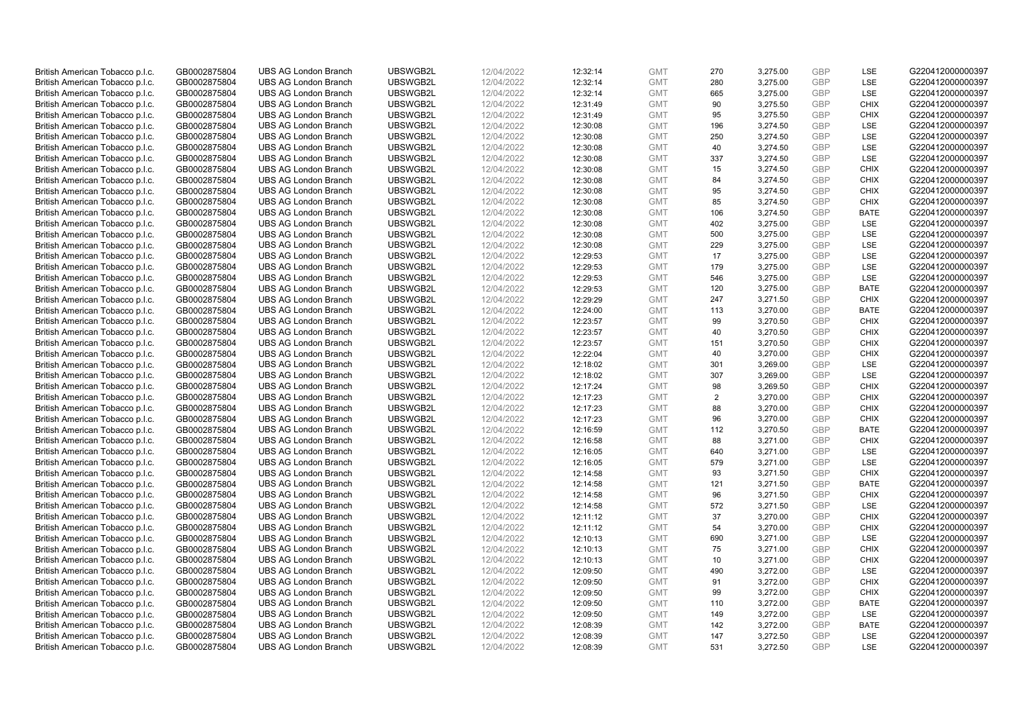| British American Tobacco p.l.c. | GB0002875804 | <b>UBS AG London Branch</b> | UBSWGB2L | 12/04/2022 | 12:32:14 | <b>GMT</b> | 270 | 3,275.00 | <b>GBP</b> | <b>LSE</b>  | G220412000000397 |
|---------------------------------|--------------|-----------------------------|----------|------------|----------|------------|-----|----------|------------|-------------|------------------|
|                                 |              |                             |          |            |          |            |     |          |            |             |                  |
| British American Tobacco p.l.c. | GB0002875804 | <b>UBS AG London Branch</b> | UBSWGB2L | 12/04/2022 | 12:32:14 | <b>GMT</b> | 280 | 3,275.00 | <b>GBP</b> | LSE         | G220412000000397 |
| British American Tobacco p.l.c. | GB0002875804 | <b>UBS AG London Branch</b> | UBSWGB2L | 12/04/2022 | 12:32:14 | <b>GMT</b> | 665 | 3,275.00 | <b>GBP</b> | LSE         | G220412000000397 |
| British American Tobacco p.l.c. | GB0002875804 | <b>UBS AG London Branch</b> | UBSWGB2L | 12/04/2022 | 12:31:49 | <b>GMT</b> | 90  | 3,275.50 | <b>GBP</b> | <b>CHIX</b> | G220412000000397 |
| British American Tobacco p.l.c. | GB0002875804 | <b>UBS AG London Branch</b> | UBSWGB2L | 12/04/2022 | 12:31:49 | <b>GMT</b> | 95  | 3,275.50 | <b>GBP</b> | <b>CHIX</b> | G220412000000397 |
| British American Tobacco p.l.c. | GB0002875804 | <b>UBS AG London Branch</b> | UBSWGB2L | 12/04/2022 | 12:30:08 | <b>GMT</b> | 196 | 3,274.50 | <b>GBP</b> | <b>LSE</b>  | G220412000000397 |
| British American Tobacco p.l.c. | GB0002875804 | <b>UBS AG London Branch</b> | UBSWGB2L | 12/04/2022 | 12:30:08 | <b>GMT</b> | 250 | 3,274.50 | <b>GBP</b> | LSE         | G220412000000397 |
| British American Tobacco p.l.c. | GB0002875804 | <b>UBS AG London Branch</b> | UBSWGB2L | 12/04/2022 | 12:30:08 | <b>GMT</b> | 40  | 3,274.50 | <b>GBP</b> | LSE         | G220412000000397 |
| British American Tobacco p.l.c. | GB0002875804 | <b>UBS AG London Branch</b> | UBSWGB2L | 12/04/2022 | 12:30:08 | <b>GMT</b> | 337 | 3,274.50 | <b>GBP</b> | LSE         | G220412000000397 |
| British American Tobacco p.l.c. | GB0002875804 | <b>UBS AG London Branch</b> | UBSWGB2L | 12/04/2022 | 12:30:08 | <b>GMT</b> | 15  | 3,274.50 | <b>GBP</b> | <b>CHIX</b> | G220412000000397 |
| British American Tobacco p.l.c. | GB0002875804 | <b>UBS AG London Branch</b> | UBSWGB2L | 12/04/2022 | 12:30:08 | <b>GMT</b> | 84  | 3,274.50 | <b>GBP</b> | <b>CHIX</b> | G220412000000397 |
| British American Tobacco p.l.c. | GB0002875804 | <b>UBS AG London Branch</b> | UBSWGB2L | 12/04/2022 | 12:30:08 | <b>GMT</b> | 95  | 3,274.50 | <b>GBP</b> | <b>CHIX</b> | G220412000000397 |
|                                 |              |                             |          |            |          |            |     |          |            |             |                  |
| British American Tobacco p.l.c. | GB0002875804 | <b>UBS AG London Branch</b> | UBSWGB2L | 12/04/2022 | 12:30:08 | <b>GMT</b> | 85  | 3,274.50 | <b>GBP</b> | <b>CHIX</b> | G220412000000397 |
| British American Tobacco p.l.c. | GB0002875804 | <b>UBS AG London Branch</b> | UBSWGB2L | 12/04/2022 | 12:30:08 | <b>GMT</b> | 106 | 3,274.50 | <b>GBP</b> | <b>BATE</b> | G220412000000397 |
| British American Tobacco p.l.c. | GB0002875804 | <b>UBS AG London Branch</b> | UBSWGB2L | 12/04/2022 | 12:30:08 | <b>GMT</b> | 402 | 3,275.00 | <b>GBP</b> | <b>LSE</b>  | G220412000000397 |
| British American Tobacco p.l.c. | GB0002875804 | <b>UBS AG London Branch</b> | UBSWGB2L | 12/04/2022 | 12:30:08 | <b>GMT</b> | 500 | 3,275.00 | <b>GBP</b> | LSE         | G220412000000397 |
| British American Tobacco p.l.c. | GB0002875804 | <b>UBS AG London Branch</b> | UBSWGB2L | 12/04/2022 | 12:30:08 | <b>GMT</b> | 229 | 3,275.00 | <b>GBP</b> | LSE         | G220412000000397 |
| British American Tobacco p.l.c. | GB0002875804 | <b>UBS AG London Branch</b> | UBSWGB2L | 12/04/2022 | 12:29:53 | <b>GMT</b> | 17  | 3,275.00 | <b>GBP</b> | LSE         | G220412000000397 |
| British American Tobacco p.l.c. | GB0002875804 | <b>UBS AG London Branch</b> | UBSWGB2L | 12/04/2022 | 12:29:53 | <b>GMT</b> | 179 | 3,275.00 | <b>GBP</b> | LSE         | G220412000000397 |
| British American Tobacco p.l.c. | GB0002875804 | <b>UBS AG London Branch</b> | UBSWGB2L | 12/04/2022 | 12:29:53 | <b>GMT</b> | 546 | 3,275.00 | <b>GBP</b> | LSE         | G220412000000397 |
| British American Tobacco p.l.c. | GB0002875804 | <b>UBS AG London Branch</b> | UBSWGB2L | 12/04/2022 | 12:29:53 | <b>GMT</b> | 120 | 3,275.00 | <b>GBP</b> | <b>BATE</b> | G220412000000397 |
| British American Tobacco p.l.c. | GB0002875804 | <b>UBS AG London Branch</b> | UBSWGB2L | 12/04/2022 | 12:29:29 | <b>GMT</b> | 247 | 3,271.50 | <b>GBP</b> | <b>CHIX</b> | G220412000000397 |
| British American Tobacco p.l.c. | GB0002875804 | <b>UBS AG London Branch</b> | UBSWGB2L | 12/04/2022 | 12:24:00 | <b>GMT</b> | 113 | 3,270.00 | <b>GBP</b> | <b>BATE</b> | G220412000000397 |
| British American Tobacco p.l.c. | GB0002875804 | <b>UBS AG London Branch</b> | UBSWGB2L | 12/04/2022 | 12:23:57 | <b>GMT</b> | 99  | 3,270.50 | <b>GBP</b> | <b>CHIX</b> | G220412000000397 |
| British American Tobacco p.l.c. | GB0002875804 | <b>UBS AG London Branch</b> | UBSWGB2L | 12/04/2022 | 12:23:57 | <b>GMT</b> | 40  | 3,270.50 | <b>GBP</b> | <b>CHIX</b> | G220412000000397 |
|                                 |              | <b>UBS AG London Branch</b> | UBSWGB2L | 12/04/2022 | 12:23:57 |            | 151 |          | <b>GBP</b> | <b>CHIX</b> | G220412000000397 |
| British American Tobacco p.l.c. | GB0002875804 |                             |          |            |          | <b>GMT</b> |     | 3,270.50 |            |             |                  |
| British American Tobacco p.l.c. | GB0002875804 | <b>UBS AG London Branch</b> | UBSWGB2L | 12/04/2022 | 12:22:04 | <b>GMT</b> | 40  | 3,270.00 | <b>GBP</b> | <b>CHIX</b> | G220412000000397 |
| British American Tobacco p.l.c. | GB0002875804 | <b>UBS AG London Branch</b> | UBSWGB2L | 12/04/2022 | 12:18:02 | <b>GMT</b> | 301 | 3,269.00 | <b>GBP</b> | <b>LSE</b>  | G220412000000397 |
| British American Tobacco p.l.c. | GB0002875804 | <b>UBS AG London Branch</b> | UBSWGB2L | 12/04/2022 | 12:18:02 | <b>GMT</b> | 307 | 3,269.00 | <b>GBP</b> | LSE         | G220412000000397 |
| British American Tobacco p.l.c. | GB0002875804 | <b>UBS AG London Branch</b> | UBSWGB2L | 12/04/2022 | 12:17:24 | <b>GMT</b> | 98  | 3,269.50 | <b>GBP</b> | <b>CHIX</b> | G220412000000397 |
| British American Tobacco p.l.c. | GB0002875804 | <b>UBS AG London Branch</b> | UBSWGB2L | 12/04/2022 | 12:17:23 | <b>GMT</b> | 2   | 3,270.00 | <b>GBP</b> | <b>CHIX</b> | G220412000000397 |
| British American Tobacco p.l.c. | GB0002875804 | <b>UBS AG London Branch</b> | UBSWGB2L | 12/04/2022 | 12:17:23 | <b>GMT</b> | 88  | 3,270.00 | <b>GBP</b> | <b>CHIX</b> | G220412000000397 |
| British American Tobacco p.l.c. | GB0002875804 | <b>UBS AG London Branch</b> | UBSWGB2L | 12/04/2022 | 12:17:23 | <b>GMT</b> | 96  | 3,270.00 | <b>GBP</b> | <b>CHIX</b> | G220412000000397 |
| British American Tobacco p.l.c. | GB0002875804 | <b>UBS AG London Branch</b> | UBSWGB2L | 12/04/2022 | 12:16:59 | <b>GMT</b> | 112 | 3,270.50 | <b>GBP</b> | <b>BATE</b> | G220412000000397 |
| British American Tobacco p.l.c. | GB0002875804 | <b>UBS AG London Branch</b> | UBSWGB2L | 12/04/2022 | 12:16:58 | <b>GMT</b> | 88  | 3,271.00 | <b>GBP</b> | <b>CHIX</b> | G220412000000397 |
| British American Tobacco p.l.c. | GB0002875804 | <b>UBS AG London Branch</b> | UBSWGB2L | 12/04/2022 | 12:16:05 | <b>GMT</b> | 640 | 3,271.00 | <b>GBP</b> | LSE         | G220412000000397 |
| British American Tobacco p.l.c. | GB0002875804 | <b>UBS AG London Branch</b> | UBSWGB2L | 12/04/2022 | 12:16:05 | <b>GMT</b> | 579 | 3,271.00 | <b>GBP</b> | <b>LSE</b>  | G220412000000397 |
| British American Tobacco p.l.c. | GB0002875804 | <b>UBS AG London Branch</b> | UBSWGB2L | 12/04/2022 | 12:14:58 | <b>GMT</b> | 93  | 3,271.50 | <b>GBP</b> | <b>CHIX</b> | G220412000000397 |
| British American Tobacco p.l.c. | GB0002875804 | <b>UBS AG London Branch</b> | UBSWGB2L | 12/04/2022 | 12:14:58 | <b>GMT</b> | 121 | 3,271.50 | <b>GBP</b> | <b>BATE</b> | G220412000000397 |
| British American Tobacco p.l.c. | GB0002875804 | <b>UBS AG London Branch</b> | UBSWGB2L | 12/04/2022 | 12:14:58 | <b>GMT</b> | 96  | 3,271.50 | <b>GBP</b> | <b>CHIX</b> | G220412000000397 |
|                                 |              |                             |          |            |          |            | 572 |          | <b>GBP</b> | LSE         |                  |
| British American Tobacco p.l.c. | GB0002875804 | <b>UBS AG London Branch</b> | UBSWGB2L | 12/04/2022 | 12:14:58 | <b>GMT</b> |     | 3,271.50 |            |             | G220412000000397 |
| British American Tobacco p.l.c. | GB0002875804 | <b>UBS AG London Branch</b> | UBSWGB2L | 12/04/2022 | 12:11:12 | <b>GMT</b> | 37  | 3,270.00 | <b>GBP</b> | <b>CHIX</b> | G220412000000397 |
| British American Tobacco p.l.c. | GB0002875804 | <b>UBS AG London Branch</b> | UBSWGB2L | 12/04/2022 | 12:11:12 | <b>GMT</b> | 54  | 3,270.00 | <b>GBP</b> | <b>CHIX</b> | G220412000000397 |
| British American Tobacco p.l.c. | GB0002875804 | <b>UBS AG London Branch</b> | UBSWGB2L | 12/04/2022 | 12:10:13 | <b>GMT</b> | 690 | 3,271.00 | <b>GBP</b> | LSE         | G220412000000397 |
| British American Tobacco p.l.c. | GB0002875804 | <b>UBS AG London Branch</b> | UBSWGB2L | 12/04/2022 | 12:10:13 | <b>GMT</b> | 75  | 3,271.00 | <b>GBP</b> | <b>CHIX</b> | G220412000000397 |
| British American Tobacco p.l.c. | GB0002875804 | <b>UBS AG London Branch</b> | UBSWGB2L | 12/04/2022 | 12:10:13 | <b>GMT</b> | 10  | 3,271.00 | <b>GBP</b> | <b>CHIX</b> | G220412000000397 |
| British American Tobacco p.l.c. | GB0002875804 | <b>UBS AG London Branch</b> | UBSWGB2L | 12/04/2022 | 12:09:50 | <b>GMT</b> | 490 | 3,272.00 | <b>GBP</b> | LSE         | G220412000000397 |
| British American Tobacco p.l.c. | GB0002875804 | <b>UBS AG London Branch</b> | UBSWGB2L | 12/04/2022 | 12:09:50 | <b>GMT</b> | 91  | 3,272.00 | <b>GBP</b> | <b>CHIX</b> | G220412000000397 |
| British American Tobacco p.l.c. | GB0002875804 | <b>UBS AG London Branch</b> | UBSWGB2L | 12/04/2022 | 12:09:50 | <b>GMT</b> | 99  | 3,272.00 | <b>GBP</b> | <b>CHIX</b> | G220412000000397 |
| British American Tobacco p.l.c. | GB0002875804 | <b>UBS AG London Branch</b> | UBSWGB2L | 12/04/2022 | 12:09:50 | <b>GMT</b> | 110 | 3,272.00 | <b>GBP</b> | <b>BATE</b> | G220412000000397 |
| British American Tobacco p.l.c. | GB0002875804 | <b>UBS AG London Branch</b> | UBSWGB2L | 12/04/2022 | 12:09:50 | <b>GMT</b> | 149 | 3,272.00 | <b>GBP</b> | LSE         | G220412000000397 |
| British American Tobacco p.l.c. | GB0002875804 | <b>UBS AG London Branch</b> | UBSWGB2L | 12/04/2022 | 12:08:39 | <b>GMT</b> | 142 | 3,272.00 | <b>GBP</b> | <b>BATE</b> | G220412000000397 |
| British American Tobacco p.l.c. | GB0002875804 | <b>UBS AG London Branch</b> | UBSWGB2L | 12/04/2022 | 12:08:39 | <b>GMT</b> | 147 | 3,272.50 | <b>GBP</b> | LSE         | G220412000000397 |
| British American Tobacco p.l.c. | GB0002875804 | <b>UBS AG London Branch</b> | UBSWGB2L | 12/04/2022 | 12:08:39 | <b>GMT</b> | 531 | 3,272.50 | GBP        | <b>LSE</b>  | G220412000000397 |
|                                 |              |                             |          |            |          |            |     |          |            |             |                  |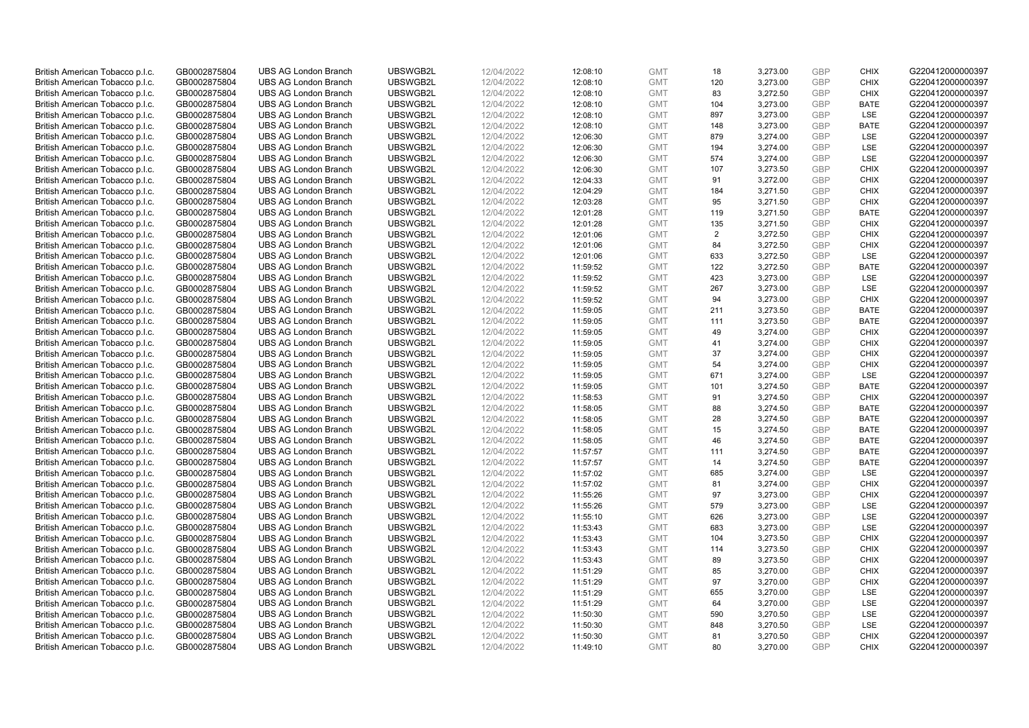| British American Tobacco p.l.c. | GB0002875804 | <b>UBS AG London Branch</b> | UBSWGB2L | 12/04/2022 | 12:08:10 | <b>GMT</b> | 18         | 3,273.00 | <b>GBP</b>               | <b>CHIX</b> | G220412000000397 |
|---------------------------------|--------------|-----------------------------|----------|------------|----------|------------|------------|----------|--------------------------|-------------|------------------|
| British American Tobacco p.l.c. | GB0002875804 | <b>UBS AG London Branch</b> | UBSWGB2L | 12/04/2022 | 12:08:10 | <b>GMT</b> | 120        | 3,273.00 | <b>GBP</b>               | <b>CHIX</b> | G220412000000397 |
| British American Tobacco p.l.c. | GB0002875804 | <b>UBS AG London Branch</b> | UBSWGB2L | 12/04/2022 | 12:08:10 | <b>GMT</b> | 83         | 3,272.50 | <b>GBP</b>               | <b>CHIX</b> | G220412000000397 |
| British American Tobacco p.l.c. | GB0002875804 | <b>UBS AG London Branch</b> | UBSWGB2L | 12/04/2022 | 12:08:10 | <b>GMT</b> | 104        | 3,273.00 | <b>GBP</b>               | <b>BATE</b> | G220412000000397 |
| British American Tobacco p.l.c. | GB0002875804 | <b>UBS AG London Branch</b> | UBSWGB2L | 12/04/2022 | 12:08:10 | <b>GMT</b> | 897        | 3,273.00 | <b>GBP</b>               | LSE         | G220412000000397 |
|                                 |              | <b>UBS AG London Branch</b> |          |            |          |            |            |          |                          |             |                  |
| British American Tobacco p.l.c. | GB0002875804 |                             | UBSWGB2L | 12/04/2022 | 12:08:10 | <b>GMT</b> | 148        | 3,273.00 | <b>GBP</b><br><b>GBP</b> | <b>BATE</b> | G220412000000397 |
| British American Tobacco p.l.c. | GB0002875804 | <b>UBS AG London Branch</b> | UBSWGB2L | 12/04/2022 | 12:06:30 | <b>GMT</b> | 879        | 3,274.00 |                          | LSE         | G220412000000397 |
| British American Tobacco p.l.c. | GB0002875804 | <b>UBS AG London Branch</b> | UBSWGB2L | 12/04/2022 | 12:06:30 | <b>GMT</b> | 194        | 3,274.00 | <b>GBP</b>               | LSE         | G220412000000397 |
| British American Tobacco p.l.c. | GB0002875804 | <b>UBS AG London Branch</b> | UBSWGB2L | 12/04/2022 | 12:06:30 | <b>GMT</b> | 574        | 3,274.00 | <b>GBP</b>               | LSE         | G220412000000397 |
| British American Tobacco p.l.c. | GB0002875804 | <b>UBS AG London Branch</b> | UBSWGB2L | 12/04/2022 | 12:06:30 | <b>GMT</b> | 107        | 3,273.50 | <b>GBP</b>               | <b>CHIX</b> | G220412000000397 |
| British American Tobacco p.l.c. | GB0002875804 | <b>UBS AG London Branch</b> | UBSWGB2L | 12/04/2022 | 12:04:33 | <b>GMT</b> | 91         | 3,272.00 | <b>GBP</b>               | <b>CHIX</b> | G220412000000397 |
| British American Tobacco p.l.c. | GB0002875804 | <b>UBS AG London Branch</b> | UBSWGB2L | 12/04/2022 | 12:04:29 | <b>GMT</b> | 184        | 3,271.50 | <b>GBP</b>               | <b>CHIX</b> | G220412000000397 |
| British American Tobacco p.l.c. | GB0002875804 | <b>UBS AG London Branch</b> | UBSWGB2L | 12/04/2022 | 12:03:28 | <b>GMT</b> | 95         | 3,271.50 | <b>GBP</b>               | <b>CHIX</b> | G220412000000397 |
| British American Tobacco p.l.c. | GB0002875804 | <b>UBS AG London Branch</b> | UBSWGB2L | 12/04/2022 | 12:01:28 | <b>GMT</b> | 119        | 3,271.50 | <b>GBP</b>               | <b>BATE</b> | G220412000000397 |
| British American Tobacco p.l.c. | GB0002875804 | <b>UBS AG London Branch</b> | UBSWGB2L | 12/04/2022 | 12:01:28 | <b>GMT</b> | 135        | 3,271.50 | <b>GBP</b>               | <b>CHIX</b> | G220412000000397 |
| British American Tobacco p.l.c. | GB0002875804 | <b>UBS AG London Branch</b> | UBSWGB2L | 12/04/2022 | 12:01:06 | <b>GMT</b> | 2          | 3,272.50 | <b>GBP</b>               | <b>CHIX</b> | G220412000000397 |
| British American Tobacco p.l.c. | GB0002875804 | <b>UBS AG London Branch</b> | UBSWGB2L | 12/04/2022 | 12:01:06 | <b>GMT</b> | 84         | 3,272.50 | <b>GBP</b>               | <b>CHIX</b> | G220412000000397 |
| British American Tobacco p.l.c. | GB0002875804 | <b>UBS AG London Branch</b> | UBSWGB2L | 12/04/2022 | 12:01:06 | <b>GMT</b> | 633        | 3,272.50 | <b>GBP</b>               | LSE         | G220412000000397 |
| British American Tobacco p.l.c. | GB0002875804 | <b>UBS AG London Branch</b> | UBSWGB2L | 12/04/2022 | 11:59:52 | <b>GMT</b> | 122        | 3,272.50 | <b>GBP</b>               | <b>BATE</b> | G220412000000397 |
| British American Tobacco p.l.c. | GB0002875804 | <b>UBS AG London Branch</b> | UBSWGB2L | 12/04/2022 | 11:59:52 | <b>GMT</b> | 423        | 3,273.00 | <b>GBP</b>               | LSE         | G220412000000397 |
| British American Tobacco p.l.c. | GB0002875804 | <b>UBS AG London Branch</b> | UBSWGB2L | 12/04/2022 | 11:59:52 | <b>GMT</b> | 267        | 3,273.00 | <b>GBP</b>               | LSE         | G220412000000397 |
| British American Tobacco p.l.c. | GB0002875804 | <b>UBS AG London Branch</b> | UBSWGB2L | 12/04/2022 | 11:59:52 | <b>GMT</b> | 94         | 3,273.00 | <b>GBP</b>               | <b>CHIX</b> | G220412000000397 |
| British American Tobacco p.l.c. | GB0002875804 | <b>UBS AG London Branch</b> | UBSWGB2L | 12/04/2022 | 11:59:05 | <b>GMT</b> | 211        | 3,273.50 | <b>GBP</b>               | <b>BATE</b> | G220412000000397 |
| British American Tobacco p.l.c. | GB0002875804 | <b>UBS AG London Branch</b> | UBSWGB2L | 12/04/2022 | 11:59:05 | <b>GMT</b> | 111        | 3,273.50 | <b>GBP</b>               | <b>BATE</b> | G220412000000397 |
| British American Tobacco p.l.c. | GB0002875804 | <b>UBS AG London Branch</b> | UBSWGB2L | 12/04/2022 | 11:59:05 | <b>GMT</b> | 49         | 3,274.00 | <b>GBP</b>               | <b>CHIX</b> | G220412000000397 |
| British American Tobacco p.l.c. | GB0002875804 | <b>UBS AG London Branch</b> | UBSWGB2L | 12/04/2022 | 11:59:05 | <b>GMT</b> | 41         | 3,274.00 | <b>GBP</b>               | <b>CHIX</b> | G220412000000397 |
| British American Tobacco p.l.c. | GB0002875804 | <b>UBS AG London Branch</b> | UBSWGB2L | 12/04/2022 | 11:59:05 | <b>GMT</b> | 37         | 3,274.00 | <b>GBP</b>               | <b>CHIX</b> | G220412000000397 |
| British American Tobacco p.l.c. | GB0002875804 | <b>UBS AG London Branch</b> | UBSWGB2L | 12/04/2022 | 11:59:05 | <b>GMT</b> | 54         | 3,274.00 | <b>GBP</b>               | <b>CHIX</b> | G220412000000397 |
| British American Tobacco p.l.c. | GB0002875804 | <b>UBS AG London Branch</b> | UBSWGB2L | 12/04/2022 | 11:59:05 | <b>GMT</b> | 671        | 3,274.00 | <b>GBP</b>               | <b>LSE</b>  | G220412000000397 |
| British American Tobacco p.l.c. | GB0002875804 | <b>UBS AG London Branch</b> | UBSWGB2L | 12/04/2022 | 11:59:05 | <b>GMT</b> | 101        | 3,274.50 | <b>GBP</b>               | <b>BATE</b> | G220412000000397 |
| British American Tobacco p.l.c. | GB0002875804 | <b>UBS AG London Branch</b> | UBSWGB2L | 12/04/2022 | 11:58:53 | <b>GMT</b> | 91         | 3,274.50 | <b>GBP</b>               | <b>CHIX</b> | G220412000000397 |
| British American Tobacco p.l.c. | GB0002875804 | <b>UBS AG London Branch</b> | UBSWGB2L | 12/04/2022 | 11:58:05 | <b>GMT</b> | 88         | 3,274.50 | <b>GBP</b>               | BATE        | G220412000000397 |
| British American Tobacco p.l.c. | GB0002875804 | <b>UBS AG London Branch</b> | UBSWGB2L | 12/04/2022 | 11:58:05 | <b>GMT</b> | 28         | 3,274.50 | <b>GBP</b>               | <b>BATE</b> | G220412000000397 |
| British American Tobacco p.l.c. | GB0002875804 | <b>UBS AG London Branch</b> | UBSWGB2L | 12/04/2022 | 11:58:05 | <b>GMT</b> | 15         | 3,274.50 | <b>GBP</b>               | <b>BATE</b> | G220412000000397 |
| British American Tobacco p.l.c. | GB0002875804 | <b>UBS AG London Branch</b> | UBSWGB2L | 12/04/2022 | 11:58:05 | <b>GMT</b> | 46         | 3,274.50 | <b>GBP</b>               | <b>BATE</b> | G220412000000397 |
| British American Tobacco p.l.c. | GB0002875804 | <b>UBS AG London Branch</b> | UBSWGB2L | 12/04/2022 | 11:57:57 | <b>GMT</b> | 111        | 3,274.50 | <b>GBP</b>               | <b>BATE</b> | G220412000000397 |
| British American Tobacco p.l.c. | GB0002875804 | <b>UBS AG London Branch</b> | UBSWGB2L | 12/04/2022 | 11:57:57 | <b>GMT</b> | 14         | 3,274.50 | <b>GBP</b>               | <b>BATE</b> | G220412000000397 |
| British American Tobacco p.l.c. | GB0002875804 | <b>UBS AG London Branch</b> | UBSWGB2L | 12/04/2022 | 11:57:02 | <b>GMT</b> | 685        | 3,274.00 | <b>GBP</b>               | LSE         | G220412000000397 |
| British American Tobacco p.l.c. | GB0002875804 | <b>UBS AG London Branch</b> | UBSWGB2L | 12/04/2022 | 11:57:02 | <b>GMT</b> | 81         | 3,274.00 | <b>GBP</b>               | <b>CHIX</b> | G220412000000397 |
| British American Tobacco p.l.c. | GB0002875804 | UBS AG London Branch        | UBSWGB2L | 12/04/2022 | 11:55:26 | <b>GMT</b> | 97         | 3,273.00 | <b>GBP</b>               | <b>CHIX</b> | G220412000000397 |
| British American Tobacco p.l.c. | GB0002875804 | <b>UBS AG London Branch</b> | UBSWGB2L | 12/04/2022 | 11:55:26 | <b>GMT</b> | 579        | 3,273.00 | <b>GBP</b>               | LSE         | G220412000000397 |
| British American Tobacco p.l.c. | GB0002875804 | <b>UBS AG London Branch</b> | UBSWGB2L | 12/04/2022 | 11:55:10 | <b>GMT</b> | 626        | 3,273.00 | <b>GBP</b>               | LSE         | G220412000000397 |
|                                 | GB0002875804 | <b>UBS AG London Branch</b> | UBSWGB2L | 12/04/2022 | 11:53:43 | <b>GMT</b> | 683        |          | <b>GBP</b>               | LSE         | G220412000000397 |
| British American Tobacco p.l.c. |              |                             |          |            |          |            |            | 3,273.00 |                          | <b>CHIX</b> |                  |
| British American Tobacco p.l.c. | GB0002875804 | <b>UBS AG London Branch</b> | UBSWGB2L | 12/04/2022 | 11:53:43 | <b>GMT</b> | 104<br>114 | 3,273.50 | <b>GBP</b>               |             | G220412000000397 |
| British American Tobacco p.l.c. | GB0002875804 | UBS AG London Branch        | UBSWGB2L | 12/04/2022 | 11:53:43 | <b>GMT</b> |            | 3,273.50 | <b>GBP</b>               | <b>CHIX</b> | G220412000000397 |
| British American Tobacco p.l.c. | GB0002875804 | <b>UBS AG London Branch</b> | UBSWGB2L | 12/04/2022 | 11:53:43 | <b>GMT</b> | 89         | 3,273.50 | <b>GBP</b>               | <b>CHIX</b> | G220412000000397 |
| British American Tobacco p.l.c. | GB0002875804 | <b>UBS AG London Branch</b> | UBSWGB2L | 12/04/2022 | 11:51:29 | <b>GMT</b> | 85         | 3,270.00 | <b>GBP</b>               | <b>CHIX</b> | G220412000000397 |
| British American Tobacco p.l.c. | GB0002875804 | <b>UBS AG London Branch</b> | UBSWGB2L | 12/04/2022 | 11:51:29 | <b>GMT</b> | 97         | 3,270.00 | <b>GBP</b>               | <b>CHIX</b> | G220412000000397 |
| British American Tobacco p.l.c. | GB0002875804 | <b>UBS AG London Branch</b> | UBSWGB2L | 12/04/2022 | 11:51:29 | GMT        | 655        | 3,270.00 | <b>GBP</b>               | LSE         | G220412000000397 |
| British American Tobacco p.l.c. | GB0002875804 | <b>UBS AG London Branch</b> | UBSWGB2L | 12/04/2022 | 11:51:29 | <b>GMT</b> | 64         | 3,270.00 | <b>GBP</b>               | LSE         | G220412000000397 |
| British American Tobacco p.l.c. | GB0002875804 | <b>UBS AG London Branch</b> | UBSWGB2L | 12/04/2022 | 11:50:30 | <b>GMT</b> | 590        | 3,270.50 | <b>GBP</b>               | LSE         | G220412000000397 |
| British American Tobacco p.l.c. | GB0002875804 | <b>UBS AG London Branch</b> | UBSWGB2L | 12/04/2022 | 11:50:30 | <b>GMT</b> | 848        | 3,270.50 | <b>GBP</b>               | LSE         | G220412000000397 |
| British American Tobacco p.l.c. | GB0002875804 | <b>UBS AG London Branch</b> | UBSWGB2L | 12/04/2022 | 11:50:30 | <b>GMT</b> | 81         | 3,270.50 | <b>GBP</b>               | <b>CHIX</b> | G220412000000397 |
| British American Tobacco p.l.c. | GB0002875804 | <b>UBS AG London Branch</b> | UBSWGB2L | 12/04/2022 | 11:49:10 | <b>GMT</b> | 80         | 3.270.00 | GBP                      | <b>CHIX</b> | G220412000000397 |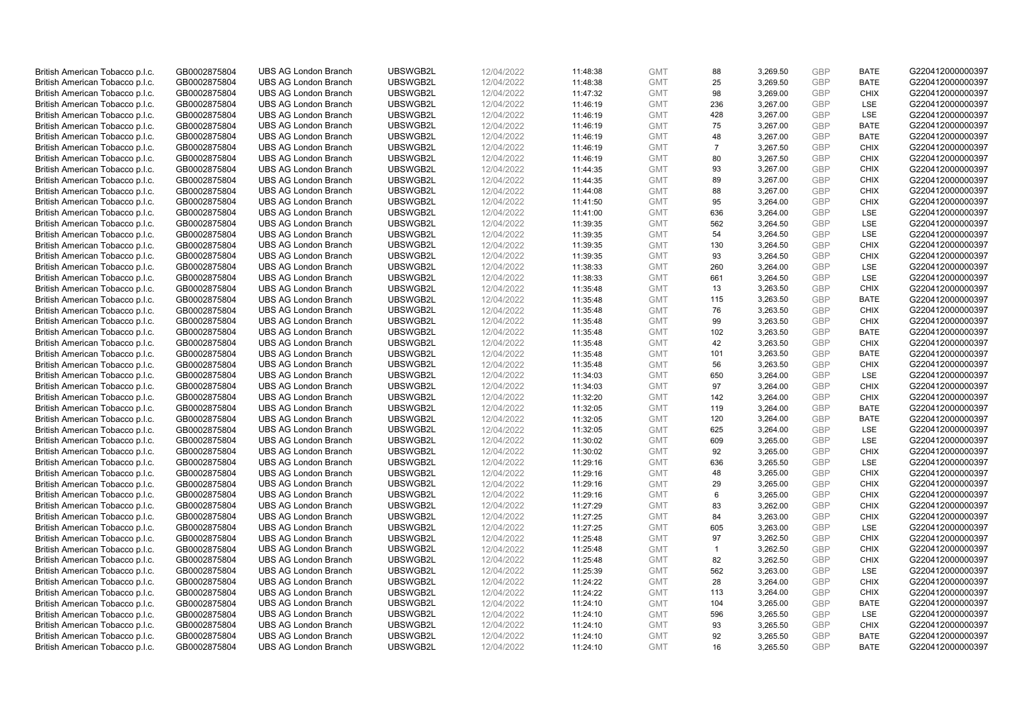| British American Tobacco p.l.c. | GB0002875804 | <b>UBS AG London Branch</b> | UBSWGB2L | 12/04/2022 | 11:48:38 | <b>GMT</b> | 88             | 3,269.50 | <b>GBP</b> | <b>BATE</b> | G220412000000397 |
|---------------------------------|--------------|-----------------------------|----------|------------|----------|------------|----------------|----------|------------|-------------|------------------|
| British American Tobacco p.l.c. | GB0002875804 | <b>UBS AG London Branch</b> | UBSWGB2L | 12/04/2022 | 11:48:38 | <b>GMT</b> | 25             | 3,269.50 | <b>GBP</b> | <b>BATE</b> | G220412000000397 |
| British American Tobacco p.l.c. | GB0002875804 | <b>UBS AG London Branch</b> | UBSWGB2L | 12/04/2022 | 11:47:32 | <b>GMT</b> | 98             | 3,269.00 | <b>GBP</b> | <b>CHIX</b> | G220412000000397 |
| British American Tobacco p.l.c. | GB0002875804 | <b>UBS AG London Branch</b> | UBSWGB2L | 12/04/2022 | 11:46:19 | <b>GMT</b> | 236            | 3,267.00 | <b>GBP</b> | LSE         | G220412000000397 |
| British American Tobacco p.l.c. | GB0002875804 | <b>UBS AG London Branch</b> | UBSWGB2L | 12/04/2022 | 11:46:19 | <b>GMT</b> | 428            | 3,267.00 | <b>GBP</b> | LSE         | G220412000000397 |
|                                 |              |                             |          |            |          |            |                |          |            |             |                  |
| British American Tobacco p.l.c. | GB0002875804 | <b>UBS AG London Branch</b> | UBSWGB2L | 12/04/2022 | 11:46:19 | <b>GMT</b> | 75             | 3,267.00 | <b>GBP</b> | <b>BATE</b> | G220412000000397 |
| British American Tobacco p.l.c. | GB0002875804 | <b>UBS AG London Branch</b> | UBSWGB2L | 12/04/2022 | 11:46:19 | <b>GMT</b> | 48             | 3,267.00 | <b>GBP</b> | <b>BATE</b> | G220412000000397 |
| British American Tobacco p.l.c. | GB0002875804 | <b>UBS AG London Branch</b> | UBSWGB2L | 12/04/2022 | 11:46:19 | <b>GMT</b> | $\overline{7}$ | 3,267.50 | <b>GBP</b> | <b>CHIX</b> | G220412000000397 |
| British American Tobacco p.l.c. | GB0002875804 | <b>UBS AG London Branch</b> | UBSWGB2L | 12/04/2022 | 11:46:19 | <b>GMT</b> | 80             | 3,267.50 | <b>GBP</b> | <b>CHIX</b> | G220412000000397 |
| British American Tobacco p.l.c. | GB0002875804 | <b>UBS AG London Branch</b> | UBSWGB2L | 12/04/2022 | 11:44:35 | <b>GMT</b> | 93             | 3,267.00 | <b>GBP</b> | <b>CHIX</b> | G220412000000397 |
| British American Tobacco p.l.c. | GB0002875804 | <b>UBS AG London Branch</b> | UBSWGB2L | 12/04/2022 | 11:44:35 | <b>GMT</b> | 89             | 3,267.00 | <b>GBP</b> | <b>CHIX</b> | G220412000000397 |
| British American Tobacco p.l.c. | GB0002875804 | <b>UBS AG London Branch</b> | UBSWGB2L | 12/04/2022 | 11:44:08 | <b>GMT</b> | 88             | 3,267.00 | <b>GBP</b> | <b>CHIX</b> | G220412000000397 |
| British American Tobacco p.l.c. | GB0002875804 | <b>UBS AG London Branch</b> | UBSWGB2L | 12/04/2022 | 11:41:50 | <b>GMT</b> | 95             | 3,264.00 | <b>GBP</b> | <b>CHIX</b> | G220412000000397 |
| British American Tobacco p.l.c. | GB0002875804 | <b>UBS AG London Branch</b> | UBSWGB2L | 12/04/2022 | 11:41:00 | <b>GMT</b> | 636            | 3,264.00 | <b>GBP</b> | <b>LSE</b>  | G220412000000397 |
| British American Tobacco p.l.c. | GB0002875804 | <b>UBS AG London Branch</b> | UBSWGB2L | 12/04/2022 | 11:39:35 | <b>GMT</b> | 562            | 3,264.50 | <b>GBP</b> | LSE         | G220412000000397 |
| British American Tobacco p.l.c. | GB0002875804 | <b>UBS AG London Branch</b> | UBSWGB2L | 12/04/2022 | 11:39:35 | <b>GMT</b> | 54             | 3,264.50 | <b>GBP</b> | LSE         | G220412000000397 |
| British American Tobacco p.l.c. | GB0002875804 | <b>UBS AG London Branch</b> | UBSWGB2L | 12/04/2022 | 11:39:35 | <b>GMT</b> | 130            | 3,264.50 | <b>GBP</b> | <b>CHIX</b> | G220412000000397 |
| British American Tobacco p.l.c. | GB0002875804 | <b>UBS AG London Branch</b> | UBSWGB2L | 12/04/2022 | 11:39:35 | <b>GMT</b> | 93             | 3,264.50 | <b>GBP</b> | <b>CHIX</b> | G220412000000397 |
| British American Tobacco p.l.c. | GB0002875804 | <b>UBS AG London Branch</b> | UBSWGB2L | 12/04/2022 | 11:38:33 | <b>GMT</b> | 260            | 3,264.00 | <b>GBP</b> | <b>LSE</b>  | G220412000000397 |
| British American Tobacco p.l.c. | GB0002875804 | <b>UBS AG London Branch</b> | UBSWGB2L | 12/04/2022 | 11:38:33 | <b>GMT</b> | 661            | 3,264.50 | <b>GBP</b> | LSE         | G220412000000397 |
| British American Tobacco p.l.c. | GB0002875804 | <b>UBS AG London Branch</b> | UBSWGB2L | 12/04/2022 | 11:35:48 | <b>GMT</b> | 13             | 3,263.50 | <b>GBP</b> | <b>CHIX</b> | G220412000000397 |
| British American Tobacco p.l.c. | GB0002875804 | <b>UBS AG London Branch</b> | UBSWGB2L | 12/04/2022 | 11:35:48 | <b>GMT</b> | 115            | 3,263.50 | <b>GBP</b> | <b>BATE</b> | G220412000000397 |
| British American Tobacco p.l.c. | GB0002875804 | <b>UBS AG London Branch</b> | UBSWGB2L | 12/04/2022 | 11:35:48 | <b>GMT</b> | 76             | 3,263.50 | <b>GBP</b> | <b>CHIX</b> | G220412000000397 |
| British American Tobacco p.l.c. | GB0002875804 | <b>UBS AG London Branch</b> | UBSWGB2L | 12/04/2022 | 11:35:48 | <b>GMT</b> | 99             | 3,263.50 | <b>GBP</b> | <b>CHIX</b> | G220412000000397 |
| British American Tobacco p.l.c. | GB0002875804 | <b>UBS AG London Branch</b> | UBSWGB2L | 12/04/2022 | 11:35:48 | <b>GMT</b> | 102            | 3,263.50 | <b>GBP</b> | <b>BATE</b> | G220412000000397 |
| British American Tobacco p.l.c. | GB0002875804 | <b>UBS AG London Branch</b> | UBSWGB2L | 12/04/2022 | 11:35:48 | <b>GMT</b> | 42             | 3,263.50 | <b>GBP</b> | <b>CHIX</b> | G220412000000397 |
| British American Tobacco p.l.c. | GB0002875804 | <b>UBS AG London Branch</b> | UBSWGB2L | 12/04/2022 | 11:35:48 | <b>GMT</b> | 101            | 3,263.50 | <b>GBP</b> | <b>BATE</b> | G220412000000397 |
| British American Tobacco p.l.c. | GB0002875804 | <b>UBS AG London Branch</b> | UBSWGB2L | 12/04/2022 | 11:35:48 | <b>GMT</b> | 56             | 3,263.50 | <b>GBP</b> | <b>CHIX</b> | G220412000000397 |
| British American Tobacco p.l.c. | GB0002875804 | <b>UBS AG London Branch</b> | UBSWGB2L | 12/04/2022 | 11:34:03 | <b>GMT</b> | 650            | 3,264.00 | <b>GBP</b> | <b>LSE</b>  | G220412000000397 |
| British American Tobacco p.l.c. | GB0002875804 | <b>UBS AG London Branch</b> | UBSWGB2L | 12/04/2022 | 11:34:03 | <b>GMT</b> | 97             | 3,264.00 | <b>GBP</b> | <b>CHIX</b> | G220412000000397 |
| British American Tobacco p.l.c. | GB0002875804 | <b>UBS AG London Branch</b> | UBSWGB2L | 12/04/2022 | 11:32:20 | <b>GMT</b> | 142            | 3,264.00 | <b>GBP</b> | <b>CHIX</b> | G220412000000397 |
| British American Tobacco p.l.c. | GB0002875804 | <b>UBS AG London Branch</b> | UBSWGB2L | 12/04/2022 | 11:32:05 | <b>GMT</b> | 119            | 3,264.00 | <b>GBP</b> | BATE        | G220412000000397 |
| British American Tobacco p.l.c. | GB0002875804 | <b>UBS AG London Branch</b> | UBSWGB2L | 12/04/2022 | 11:32:05 | <b>GMT</b> | 120            | 3,264.00 | <b>GBP</b> | <b>BATE</b> | G220412000000397 |
| British American Tobacco p.l.c. | GB0002875804 | <b>UBS AG London Branch</b> | UBSWGB2L | 12/04/2022 | 11:32:05 | <b>GMT</b> | 625            | 3,264.00 | <b>GBP</b> | LSE         | G220412000000397 |
| British American Tobacco p.l.c. | GB0002875804 | <b>UBS AG London Branch</b> | UBSWGB2L | 12/04/2022 | 11:30:02 | <b>GMT</b> | 609            | 3,265.00 | <b>GBP</b> | LSE         | G220412000000397 |
| British American Tobacco p.l.c. | GB0002875804 | <b>UBS AG London Branch</b> | UBSWGB2L | 12/04/2022 | 11:30:02 | <b>GMT</b> | 92             | 3,265.00 | <b>GBP</b> | <b>CHIX</b> | G220412000000397 |
| British American Tobacco p.l.c. | GB0002875804 | <b>UBS AG London Branch</b> | UBSWGB2L | 12/04/2022 | 11:29:16 | <b>GMT</b> | 636            | 3,265.50 | <b>GBP</b> | <b>LSE</b>  | G220412000000397 |
| British American Tobacco p.l.c. | GB0002875804 | <b>UBS AG London Branch</b> | UBSWGB2L | 12/04/2022 | 11:29:16 | <b>GMT</b> | 48             | 3,265.00 | <b>GBP</b> | <b>CHIX</b> | G220412000000397 |
| British American Tobacco p.l.c. | GB0002875804 | <b>UBS AG London Branch</b> | UBSWGB2L | 12/04/2022 | 11:29:16 | <b>GMT</b> | 29             | 3,265.00 | <b>GBP</b> | <b>CHIX</b> | G220412000000397 |
| British American Tobacco p.l.c. | GB0002875804 | UBS AG London Branch        | UBSWGB2L | 12/04/2022 | 11:29:16 | <b>GMT</b> | 6              | 3,265.00 | <b>GBP</b> | <b>CHIX</b> | G220412000000397 |
| British American Tobacco p.l.c. | GB0002875804 | <b>UBS AG London Branch</b> | UBSWGB2L | 12/04/2022 |          | <b>GMT</b> | 83             | 3,262.00 | <b>GBP</b> | <b>CHIX</b> | G220412000000397 |
|                                 |              |                             | UBSWGB2L |            | 11:27:29 |            | 84             |          |            | <b>CHIX</b> |                  |
| British American Tobacco p.l.c. | GB0002875804 | <b>UBS AG London Branch</b> |          | 12/04/2022 | 11:27:25 | <b>GMT</b> |                | 3,263.00 | <b>GBP</b> |             | G220412000000397 |
| British American Tobacco p.l.c. | GB0002875804 | <b>UBS AG London Branch</b> | UBSWGB2L | 12/04/2022 | 11:27:25 | <b>GMT</b> | 605            | 3,263.00 | <b>GBP</b> | LSE         | G220412000000397 |
| British American Tobacco p.l.c. | GB0002875804 | <b>UBS AG London Branch</b> | UBSWGB2L | 12/04/2022 | 11:25:48 | <b>GMT</b> | 97             | 3,262.50 | <b>GBP</b> | <b>CHIX</b> | G220412000000397 |
| British American Tobacco p.l.c. | GB0002875804 | UBS AG London Branch        | UBSWGB2L | 12/04/2022 | 11:25:48 | <b>GMT</b> | $\mathbf{1}$   | 3,262.50 | <b>GBP</b> | <b>CHIX</b> | G220412000000397 |
| British American Tobacco p.l.c. | GB0002875804 | <b>UBS AG London Branch</b> | UBSWGB2L | 12/04/2022 | 11:25:48 | <b>GMT</b> | 82             | 3,262.50 | <b>GBP</b> | <b>CHIX</b> | G220412000000397 |
| British American Tobacco p.l.c. | GB0002875804 | <b>UBS AG London Branch</b> | UBSWGB2L | 12/04/2022 | 11:25:39 | <b>GMT</b> | 562            | 3,263.00 | <b>GBP</b> | LSE         | G220412000000397 |
| British American Tobacco p.l.c. | GB0002875804 | <b>UBS AG London Branch</b> | UBSWGB2L | 12/04/2022 | 11:24:22 | <b>GMT</b> | 28             | 3,264.00 | <b>GBP</b> | <b>CHIX</b> | G220412000000397 |
| British American Tobacco p.l.c. | GB0002875804 | <b>UBS AG London Branch</b> | UBSWGB2L | 12/04/2022 | 11:24:22 | <b>GMT</b> | 113            | 3,264.00 | <b>GBP</b> | <b>CHIX</b> | G220412000000397 |
| British American Tobacco p.l.c. | GB0002875804 | <b>UBS AG London Branch</b> | UBSWGB2L | 12/04/2022 | 11:24:10 | <b>GMT</b> | 104            | 3,265.00 | <b>GBP</b> | <b>BATE</b> | G220412000000397 |
| British American Tobacco p.l.c. | GB0002875804 | <b>UBS AG London Branch</b> | UBSWGB2L | 12/04/2022 | 11:24:10 | <b>GMT</b> | 596            | 3,265.50 | <b>GBP</b> | LSE         | G220412000000397 |
| British American Tobacco p.l.c. | GB0002875804 | <b>UBS AG London Branch</b> | UBSWGB2L | 12/04/2022 | 11:24:10 | <b>GMT</b> | 93             | 3,265.50 | <b>GBP</b> | <b>CHIX</b> | G220412000000397 |
| British American Tobacco p.l.c. | GB0002875804 | <b>UBS AG London Branch</b> | UBSWGB2L | 12/04/2022 | 11:24:10 | <b>GMT</b> | 92             | 3,265.50 | <b>GBP</b> | <b>BATE</b> | G220412000000397 |
| British American Tobacco p.l.c. | GB0002875804 | <b>UBS AG London Branch</b> | UBSWGB2L | 12/04/2022 | 11:24:10 | <b>GMT</b> | 16             | 3,265.50 | GBP        | <b>BATE</b> | G220412000000397 |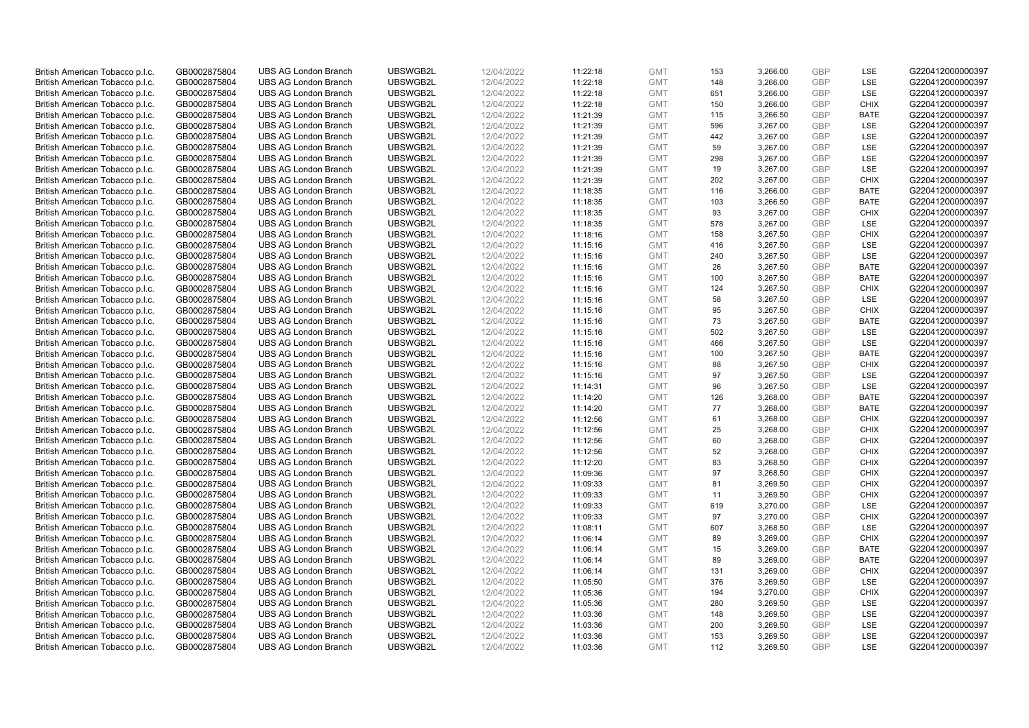| British American Tobacco p.l.c. | GB0002875804 | <b>UBS AG London Branch</b> | UBSWGB2L | 12/04/2022 | 11:22:18 | <b>GMT</b> | 153 | 3,266.00             | <b>GBP</b> | LSE         | G220412000000397 |
|---------------------------------|--------------|-----------------------------|----------|------------|----------|------------|-----|----------------------|------------|-------------|------------------|
|                                 |              | <b>UBS AG London Branch</b> |          |            |          | <b>GMT</b> |     |                      | <b>GBP</b> | LSE         |                  |
| British American Tobacco p.l.c. | GB0002875804 |                             | UBSWGB2L | 12/04/2022 | 11:22:18 |            | 148 | 3,266.00             |            |             | G220412000000397 |
| British American Tobacco p.l.c. | GB0002875804 | <b>UBS AG London Branch</b> | UBSWGB2L | 12/04/2022 | 11:22:18 | <b>GMT</b> | 651 | 3,266.00             | <b>GBP</b> | LSE         | G220412000000397 |
| British American Tobacco p.l.c. | GB0002875804 | <b>UBS AG London Branch</b> | UBSWGB2L | 12/04/2022 | 11:22:18 | <b>GMT</b> | 150 | 3,266.00             | <b>GBP</b> | <b>CHIX</b> | G220412000000397 |
| British American Tobacco p.l.c. | GB0002875804 | <b>UBS AG London Branch</b> | UBSWGB2L | 12/04/2022 | 11:21:39 | <b>GMT</b> | 115 | 3,266.50             | <b>GBP</b> | <b>BATE</b> | G220412000000397 |
| British American Tobacco p.l.c. | GB0002875804 | <b>UBS AG London Branch</b> | UBSWGB2L | 12/04/2022 | 11:21:39 | <b>GMT</b> | 596 | 3,267.00             | <b>GBP</b> | LSE         | G220412000000397 |
| British American Tobacco p.l.c. | GB0002875804 | <b>UBS AG London Branch</b> | UBSWGB2L | 12/04/2022 | 11:21:39 | <b>GMT</b> | 442 | 3,267.00             | <b>GBP</b> | LSE         | G220412000000397 |
| British American Tobacco p.l.c. | GB0002875804 | <b>UBS AG London Branch</b> | UBSWGB2L | 12/04/2022 | 11:21:39 | <b>GMT</b> | 59  | 3,267.00             | <b>GBP</b> | LSE         | G220412000000397 |
| British American Tobacco p.l.c. | GB0002875804 | <b>UBS AG London Branch</b> | UBSWGB2L | 12/04/2022 | 11:21:39 | <b>GMT</b> | 298 | 3,267.00             | <b>GBP</b> | LSE         | G220412000000397 |
| British American Tobacco p.l.c. | GB0002875804 | <b>UBS AG London Branch</b> | UBSWGB2L | 12/04/2022 | 11:21:39 | <b>GMT</b> | 19  | 3,267.00             | <b>GBP</b> | <b>LSE</b>  | G220412000000397 |
| British American Tobacco p.l.c. | GB0002875804 | <b>UBS AG London Branch</b> | UBSWGB2L | 12/04/2022 | 11:21:39 | <b>GMT</b> | 202 | 3,267.00             | <b>GBP</b> | <b>CHIX</b> | G220412000000397 |
| British American Tobacco p.l.c. | GB0002875804 | <b>UBS AG London Branch</b> | UBSWGB2L | 12/04/2022 | 11:18:35 | <b>GMT</b> | 116 | 3,266.00             | <b>GBP</b> | <b>BATE</b> | G220412000000397 |
| British American Tobacco p.l.c. | GB0002875804 | <b>UBS AG London Branch</b> | UBSWGB2L | 12/04/2022 | 11:18:35 | <b>GMT</b> | 103 | 3,266.50             | <b>GBP</b> | <b>BATE</b> | G220412000000397 |
| British American Tobacco p.l.c. | GB0002875804 | <b>UBS AG London Branch</b> | UBSWGB2L | 12/04/2022 | 11:18:35 | <b>GMT</b> | 93  | 3,267.00             | <b>GBP</b> | <b>CHIX</b> | G220412000000397 |
| British American Tobacco p.l.c. | GB0002875804 | <b>UBS AG London Branch</b> | UBSWGB2L | 12/04/2022 | 11:18:35 | <b>GMT</b> | 578 | 3,267.00             | <b>GBP</b> | LSE         | G220412000000397 |
| British American Tobacco p.l.c. | GB0002875804 | <b>UBS AG London Branch</b> | UBSWGB2L | 12/04/2022 | 11:18:16 | <b>GMT</b> | 158 | 3,267.50             | <b>GBP</b> | <b>CHIX</b> | G220412000000397 |
| British American Tobacco p.l.c. | GB0002875804 | <b>UBS AG London Branch</b> | UBSWGB2L | 12/04/2022 | 11:15:16 | <b>GMT</b> | 416 |                      | <b>GBP</b> | LSE         | G220412000000397 |
|                                 | GB0002875804 | <b>UBS AG London Branch</b> | UBSWGB2L | 12/04/2022 |          | <b>GMT</b> | 240 | 3,267.50<br>3,267.50 | <b>GBP</b> | LSE         | G220412000000397 |
| British American Tobacco p.l.c. |              |                             |          |            | 11:15:16 |            |     |                      |            |             |                  |
| British American Tobacco p.l.c. | GB0002875804 | <b>UBS AG London Branch</b> | UBSWGB2L | 12/04/2022 | 11:15:16 | <b>GMT</b> | 26  | 3,267.50             | <b>GBP</b> | <b>BATE</b> | G220412000000397 |
| British American Tobacco p.l.c. | GB0002875804 | <b>UBS AG London Branch</b> | UBSWGB2L | 12/04/2022 | 11:15:16 | <b>GMT</b> | 100 | 3,267.50             | <b>GBP</b> | <b>BATE</b> | G220412000000397 |
| British American Tobacco p.l.c. | GB0002875804 | <b>UBS AG London Branch</b> | UBSWGB2L | 12/04/2022 | 11:15:16 | <b>GMT</b> | 124 | 3,267.50             | <b>GBP</b> | <b>CHIX</b> | G220412000000397 |
| British American Tobacco p.l.c. | GB0002875804 | <b>UBS AG London Branch</b> | UBSWGB2L | 12/04/2022 | 11:15:16 | <b>GMT</b> | 58  | 3,267.50             | <b>GBP</b> | LSE         | G220412000000397 |
| British American Tobacco p.l.c. | GB0002875804 | <b>UBS AG London Branch</b> | UBSWGB2L | 12/04/2022 | 11:15:16 | <b>GMT</b> | 95  | 3,267.50             | <b>GBP</b> | <b>CHIX</b> | G220412000000397 |
| British American Tobacco p.l.c. | GB0002875804 | <b>UBS AG London Branch</b> | UBSWGB2L | 12/04/2022 | 11:15:16 | <b>GMT</b> | 73  | 3,267.50             | <b>GBP</b> | <b>BATE</b> | G220412000000397 |
| British American Tobacco p.l.c. | GB0002875804 | <b>UBS AG London Branch</b> | UBSWGB2L | 12/04/2022 | 11:15:16 | <b>GMT</b> | 502 | 3,267.50             | <b>GBP</b> | LSE         | G220412000000397 |
| British American Tobacco p.l.c. | GB0002875804 | <b>UBS AG London Branch</b> | UBSWGB2L | 12/04/2022 | 11:15:16 | <b>GMT</b> | 466 | 3,267.50             | <b>GBP</b> | LSE         | G220412000000397 |
| British American Tobacco p.l.c. | GB0002875804 | <b>UBS AG London Branch</b> | UBSWGB2L | 12/04/2022 | 11:15:16 | <b>GMT</b> | 100 | 3,267.50             | <b>GBP</b> | <b>BATE</b> | G220412000000397 |
| British American Tobacco p.l.c. | GB0002875804 | <b>UBS AG London Branch</b> | UBSWGB2L | 12/04/2022 | 11:15:16 | <b>GMT</b> | 88  | 3,267.50             | <b>GBP</b> | <b>CHIX</b> | G220412000000397 |
| British American Tobacco p.l.c. | GB0002875804 | UBS AG London Branch        | UBSWGB2L | 12/04/2022 | 11:15:16 | <b>GMT</b> | 97  | 3,267.50             | <b>GBP</b> | LSE         | G220412000000397 |
| British American Tobacco p.l.c. | GB0002875804 | <b>UBS AG London Branch</b> | UBSWGB2L | 12/04/2022 | 11:14:31 | <b>GMT</b> | 96  | 3,267.50             | <b>GBP</b> | LSE         | G220412000000397 |
| British American Tobacco p.l.c. | GB0002875804 | <b>UBS AG London Branch</b> | UBSWGB2L | 12/04/2022 | 11:14:20 | <b>GMT</b> | 126 | 3,268.00             | <b>GBP</b> | <b>BATE</b> | G220412000000397 |
| British American Tobacco p.l.c. | GB0002875804 | <b>UBS AG London Branch</b> | UBSWGB2L | 12/04/2022 | 11:14:20 | <b>GMT</b> | 77  | 3,268.00             | <b>GBP</b> | <b>BATE</b> | G220412000000397 |
| British American Tobacco p.l.c. | GB0002875804 | <b>UBS AG London Branch</b> | UBSWGB2L | 12/04/2022 | 11:12:56 | <b>GMT</b> | 61  | 3,268.00             | <b>GBP</b> | <b>CHIX</b> | G220412000000397 |
| British American Tobacco p.l.c. | GB0002875804 | <b>UBS AG London Branch</b> | UBSWGB2L | 12/04/2022 | 11:12:56 | <b>GMT</b> | 25  | 3,268.00             | <b>GBP</b> | <b>CHIX</b> | G220412000000397 |
| British American Tobacco p.l.c. | GB0002875804 | <b>UBS AG London Branch</b> | UBSWGB2L | 12/04/2022 | 11:12:56 | <b>GMT</b> | 60  | 3,268.00             | <b>GBP</b> | <b>CHIX</b> | G220412000000397 |
| British American Tobacco p.l.c. | GB0002875804 | <b>UBS AG London Branch</b> | UBSWGB2L | 12/04/2022 | 11:12:56 | <b>GMT</b> | 52  | 3,268.00             | <b>GBP</b> | <b>CHIX</b> | G220412000000397 |
| British American Tobacco p.l.c. | GB0002875804 | <b>UBS AG London Branch</b> | UBSWGB2L | 12/04/2022 | 11:12:20 | <b>GMT</b> | 83  | 3,268.50             | <b>GBP</b> | <b>CHIX</b> | G220412000000397 |
| British American Tobacco p.l.c. | GB0002875804 | <b>UBS AG London Branch</b> | UBSWGB2L | 12/04/2022 | 11:09:36 | <b>GMT</b> | 97  | 3,268.50             | <b>GBP</b> | <b>CHIX</b> | G220412000000397 |
| British American Tobacco p.l.c. | GB0002875804 | <b>UBS AG London Branch</b> | UBSWGB2L | 12/04/2022 | 11:09:33 | <b>GMT</b> | 81  | 3,269.50             | <b>GBP</b> | <b>CHIX</b> | G220412000000397 |
| British American Tobacco p.l.c. | GB0002875804 | <b>UBS AG London Branch</b> | UBSWGB2L | 12/04/2022 | 11:09:33 | <b>GMT</b> | 11  | 3,269.50             | <b>GBP</b> | <b>CHIX</b> | G220412000000397 |
| British American Tobacco p.l.c. | GB0002875804 | <b>UBS AG London Branch</b> | UBSWGB2L | 12/04/2022 | 11:09:33 | <b>GMT</b> | 619 | 3,270.00             | <b>GBP</b> | <b>LSE</b>  | G220412000000397 |
| British American Tobacco p.l.c. | GB0002875804 | <b>UBS AG London Branch</b> | UBSWGB2L | 12/04/2022 | 11:09:33 | <b>GMT</b> | 97  | 3,270.00             | <b>GBP</b> | <b>CHIX</b> | G220412000000397 |
| British American Tobacco p.l.c. | GB0002875804 | <b>UBS AG London Branch</b> | UBSWGB2L | 12/04/2022 | 11:08:11 | <b>GMT</b> | 607 | 3,268.50             | <b>GBP</b> | LSE         | G220412000000397 |
| British American Tobacco p.l.c. | GB0002875804 | <b>UBS AG London Branch</b> | UBSWGB2L | 12/04/2022 |          | <b>GMT</b> | 89  | 3,269.00             | <b>GBP</b> | <b>CHIX</b> | G220412000000397 |
|                                 |              | <b>UBS AG London Branch</b> | UBSWGB2L |            | 11:06:14 |            | 15  |                      | <b>GBP</b> | <b>BATE</b> | G220412000000397 |
| British American Tobacco p.l.c. | GB0002875804 |                             |          | 12/04/2022 | 11:06:14 | <b>GMT</b> |     | 3,269.00             |            |             |                  |
| British American Tobacco p.l.c. | GB0002875804 | <b>UBS AG London Branch</b> | UBSWGB2L | 12/04/2022 | 11:06:14 | <b>GMT</b> | 89  | 3,269.00             | <b>GBP</b> | <b>BATE</b> | G220412000000397 |
| British American Tobacco p.l.c. | GB0002875804 | <b>UBS AG London Branch</b> | UBSWGB2L | 12/04/2022 | 11:06:14 | <b>GMT</b> | 131 | 3,269.00             | <b>GBP</b> | <b>CHIX</b> | G220412000000397 |
| British American Tobacco p.l.c. | GB0002875804 | <b>UBS AG London Branch</b> | UBSWGB2L | 12/04/2022 | 11:05:50 | <b>GMT</b> | 376 | 3,269.50             | <b>GBP</b> | LSE         | G220412000000397 |
| British American Tobacco p.l.c. | GB0002875804 | <b>UBS AG London Branch</b> | UBSWGB2L | 12/04/2022 | 11:05:36 | <b>GMT</b> | 194 | 3,270.00             | <b>GBP</b> | <b>CHIX</b> | G220412000000397 |
| British American Tobacco p.l.c. | GB0002875804 | <b>UBS AG London Branch</b> | UBSWGB2L | 12/04/2022 | 11:05:36 | <b>GMT</b> | 280 | 3,269.50             | <b>GBP</b> | <b>LSE</b>  | G220412000000397 |
| British American Tobacco p.l.c. | GB0002875804 | <b>UBS AG London Branch</b> | UBSWGB2L | 12/04/2022 | 11:03:36 | <b>GMT</b> | 148 | 3,269.50             | <b>GBP</b> | LSE         | G220412000000397 |
| British American Tobacco p.l.c. | GB0002875804 | <b>UBS AG London Branch</b> | UBSWGB2L | 12/04/2022 | 11:03:36 | <b>GMT</b> | 200 | 3,269.50             | <b>GBP</b> | LSE         | G220412000000397 |
| British American Tobacco p.l.c. | GB0002875804 | <b>UBS AG London Branch</b> | UBSWGB2L | 12/04/2022 | 11:03:36 | <b>GMT</b> | 153 | 3,269.50             | <b>GBP</b> | LSE         | G220412000000397 |
| British American Tobacco p.l.c. | GB0002875804 | <b>UBS AG London Branch</b> | UBSWGB2L | 12/04/2022 | 11:03:36 | <b>GMT</b> | 112 | 3,269.50             | GBP        | <b>LSE</b>  | G220412000000397 |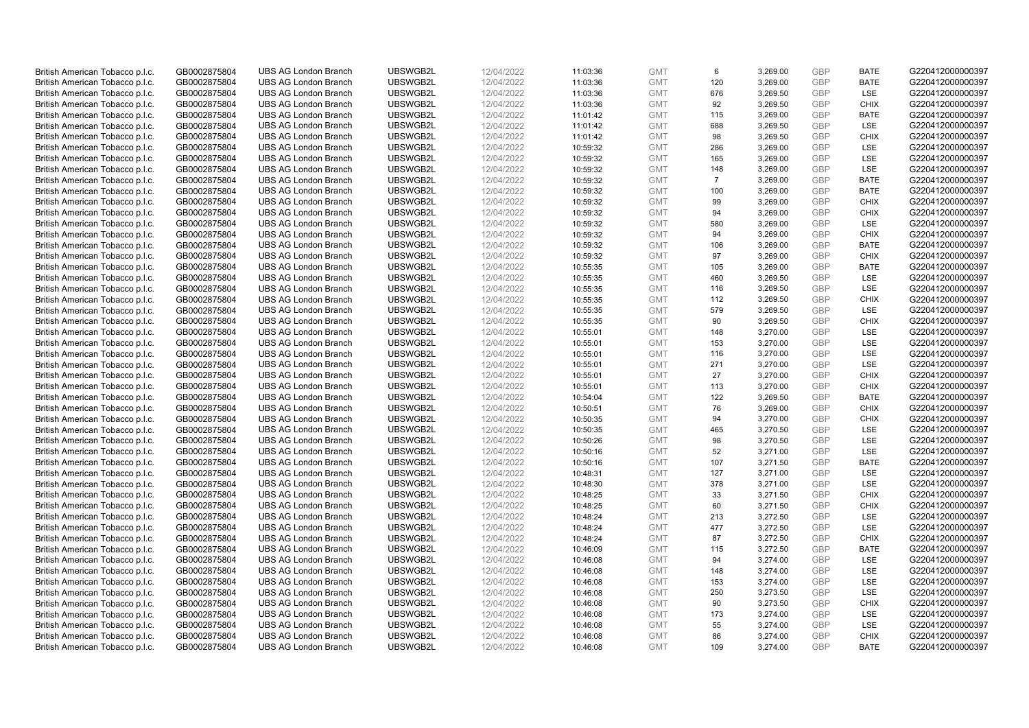| British American Tobacco p.l.c. | GB0002875804 | <b>UBS AG London Branch</b> | UBSWGB2L | 12/04/2022 | 11:03:36 | <b>GMT</b> | 6              | 3,269.00 | <b>GBP</b>               | <b>BATE</b> | G220412000000397 |
|---------------------------------|--------------|-----------------------------|----------|------------|----------|------------|----------------|----------|--------------------------|-------------|------------------|
| British American Tobacco p.l.c. | GB0002875804 | <b>UBS AG London Branch</b> | UBSWGB2L | 12/04/2022 | 11:03:36 | <b>GMT</b> | 120            | 3,269.00 | <b>GBP</b>               | <b>BATE</b> | G220412000000397 |
| British American Tobacco p.l.c. | GB0002875804 | <b>UBS AG London Branch</b> | UBSWGB2L | 12/04/2022 | 11:03:36 | <b>GMT</b> | 676            | 3,269.50 | <b>GBP</b>               | LSE         | G220412000000397 |
| British American Tobacco p.l.c. | GB0002875804 | <b>UBS AG London Branch</b> | UBSWGB2L | 12/04/2022 | 11:03:36 | <b>GMT</b> | 92             | 3,269.50 | <b>GBP</b>               | <b>CHIX</b> | G220412000000397 |
| British American Tobacco p.l.c. | GB0002875804 | <b>UBS AG London Branch</b> | UBSWGB2L | 12/04/2022 | 11:01:42 | <b>GMT</b> | 115            | 3,269.00 | <b>GBP</b>               | <b>BATE</b> | G220412000000397 |
|                                 |              | <b>UBS AG London Branch</b> |          |            |          |            |                |          |                          |             |                  |
| British American Tobacco p.l.c. | GB0002875804 |                             | UBSWGB2L | 12/04/2022 | 11:01:42 | <b>GMT</b> | 688            | 3,269.50 | <b>GBP</b><br><b>GBP</b> | <b>LSE</b>  | G220412000000397 |
| British American Tobacco p.l.c. | GB0002875804 | <b>UBS AG London Branch</b> | UBSWGB2L | 12/04/2022 | 11:01:42 | <b>GMT</b> | 98             | 3,269.50 |                          | <b>CHIX</b> | G220412000000397 |
| British American Tobacco p.l.c. | GB0002875804 | <b>UBS AG London Branch</b> | UBSWGB2L | 12/04/2022 | 10:59:32 | <b>GMT</b> | 286            | 3,269.00 | <b>GBP</b>               | <b>LSE</b>  | G220412000000397 |
| British American Tobacco p.l.c. | GB0002875804 | <b>UBS AG London Branch</b> | UBSWGB2L | 12/04/2022 | 10:59:32 | <b>GMT</b> | 165            | 3,269.00 | <b>GBP</b>               | LSE         | G220412000000397 |
| British American Tobacco p.l.c. | GB0002875804 | <b>UBS AG London Branch</b> | UBSWGB2L | 12/04/2022 | 10:59:32 | <b>GMT</b> | 148            | 3,269.00 | <b>GBP</b>               | LSE         | G220412000000397 |
| British American Tobacco p.l.c. | GB0002875804 | <b>UBS AG London Branch</b> | UBSWGB2L | 12/04/2022 | 10:59:32 | <b>GMT</b> | $\overline{7}$ | 3,269.00 | <b>GBP</b>               | <b>BATE</b> | G220412000000397 |
| British American Tobacco p.l.c. | GB0002875804 | <b>UBS AG London Branch</b> | UBSWGB2L | 12/04/2022 | 10:59:32 | <b>GMT</b> | 100            | 3,269.00 | <b>GBP</b>               | <b>BATE</b> | G220412000000397 |
| British American Tobacco p.l.c. | GB0002875804 | <b>UBS AG London Branch</b> | UBSWGB2L | 12/04/2022 | 10:59:32 | <b>GMT</b> | 99             | 3,269.00 | <b>GBP</b>               | <b>CHIX</b> | G220412000000397 |
| British American Tobacco p.l.c. | GB0002875804 | <b>UBS AG London Branch</b> | UBSWGB2L | 12/04/2022 | 10:59:32 | <b>GMT</b> | 94             | 3,269.00 | <b>GBP</b>               | <b>CHIX</b> | G220412000000397 |
| British American Tobacco p.l.c. | GB0002875804 | <b>UBS AG London Branch</b> | UBSWGB2L | 12/04/2022 | 10:59:32 | <b>GMT</b> | 580            | 3,269.00 | <b>GBP</b>               | LSE         | G220412000000397 |
| British American Tobacco p.l.c. | GB0002875804 | <b>UBS AG London Branch</b> | UBSWGB2L | 12/04/2022 | 10:59:32 | <b>GMT</b> | 94             | 3,269.00 | <b>GBP</b>               | <b>CHIX</b> | G220412000000397 |
| British American Tobacco p.l.c. | GB0002875804 | <b>UBS AG London Branch</b> | UBSWGB2L | 12/04/2022 | 10:59:32 | <b>GMT</b> | 106            | 3,269.00 | <b>GBP</b>               | <b>BATE</b> | G220412000000397 |
| British American Tobacco p.l.c. | GB0002875804 | <b>UBS AG London Branch</b> | UBSWGB2L | 12/04/2022 | 10:59:32 | <b>GMT</b> | 97             | 3,269.00 | <b>GBP</b>               | <b>CHIX</b> | G220412000000397 |
| British American Tobacco p.l.c. | GB0002875804 | <b>UBS AG London Branch</b> | UBSWGB2L | 12/04/2022 | 10:55:35 | <b>GMT</b> | 105            | 3,269.00 | <b>GBP</b>               | <b>BATE</b> | G220412000000397 |
| British American Tobacco p.l.c. | GB0002875804 | <b>UBS AG London Branch</b> | UBSWGB2L | 12/04/2022 | 10:55:35 | <b>GMT</b> | 460            | 3,269.50 | <b>GBP</b>               | LSE         | G220412000000397 |
| British American Tobacco p.l.c. | GB0002875804 | <b>UBS AG London Branch</b> | UBSWGB2L | 12/04/2022 | 10:55:35 | <b>GMT</b> | 116            | 3,269.50 | <b>GBP</b>               | LSE         | G220412000000397 |
| British American Tobacco p.l.c. | GB0002875804 | <b>UBS AG London Branch</b> | UBSWGB2L | 12/04/2022 | 10:55:35 | <b>GMT</b> | 112            | 3,269.50 | <b>GBP</b>               | <b>CHIX</b> | G220412000000397 |
| British American Tobacco p.l.c. | GB0002875804 | <b>UBS AG London Branch</b> | UBSWGB2L | 12/04/2022 | 10:55:35 | <b>GMT</b> | 579            | 3,269.50 | <b>GBP</b>               | LSE         | G220412000000397 |
| British American Tobacco p.l.c. | GB0002875804 | <b>UBS AG London Branch</b> | UBSWGB2L | 12/04/2022 | 10:55:35 | <b>GMT</b> | 90             | 3,269.50 | <b>GBP</b>               | <b>CHIX</b> | G220412000000397 |
| British American Tobacco p.l.c. | GB0002875804 | <b>UBS AG London Branch</b> | UBSWGB2L | 12/04/2022 | 10:55:01 | <b>GMT</b> | 148            | 3,270.00 | <b>GBP</b>               | LSE         | G220412000000397 |
| British American Tobacco p.l.c. | GB0002875804 | <b>UBS AG London Branch</b> | UBSWGB2L | 12/04/2022 | 10:55:01 | <b>GMT</b> | 153            | 3,270.00 | <b>GBP</b>               | LSE         | G220412000000397 |
| British American Tobacco p.l.c. | GB0002875804 | <b>UBS AG London Branch</b> | UBSWGB2L | 12/04/2022 | 10:55:01 | <b>GMT</b> | 116            | 3,270.00 | <b>GBP</b>               | <b>LSE</b>  | G220412000000397 |
| British American Tobacco p.l.c. | GB0002875804 | <b>UBS AG London Branch</b> | UBSWGB2L | 12/04/2022 | 10:55:01 | <b>GMT</b> | 271            | 3,270.00 | <b>GBP</b>               | LSE         | G220412000000397 |
| British American Tobacco p.l.c. | GB0002875804 | <b>UBS AG London Branch</b> | UBSWGB2L | 12/04/2022 | 10:55:01 | <b>GMT</b> | 27             | 3,270.00 | <b>GBP</b>               | <b>CHIX</b> | G220412000000397 |
| British American Tobacco p.l.c. | GB0002875804 | UBS AG London Branch        | UBSWGB2L | 12/04/2022 | 10:55:01 | <b>GMT</b> | 113            | 3,270.00 | <b>GBP</b>               | <b>CHIX</b> | G220412000000397 |
| British American Tobacco p.l.c. | GB0002875804 | <b>UBS AG London Branch</b> | UBSWGB2L | 12/04/2022 | 10:54:04 | <b>GMT</b> | 122            | 3,269.50 | <b>GBP</b>               | <b>BATE</b> | G220412000000397 |
| British American Tobacco p.l.c. | GB0002875804 | <b>UBS AG London Branch</b> | UBSWGB2L | 12/04/2022 | 10:50:51 | <b>GMT</b> | 76             | 3,269.00 | <b>GBP</b>               | <b>CHIX</b> | G220412000000397 |
| British American Tobacco p.l.c. | GB0002875804 | <b>UBS AG London Branch</b> | UBSWGB2L | 12/04/2022 | 10:50:35 | <b>GMT</b> | 94             | 3,270.00 | <b>GBP</b>               | <b>CHIX</b> | G220412000000397 |
| British American Tobacco p.l.c. | GB0002875804 | <b>UBS AG London Branch</b> | UBSWGB2L | 12/04/2022 | 10:50:35 | <b>GMT</b> | 465            | 3,270.50 | <b>GBP</b>               | LSE         | G220412000000397 |
| British American Tobacco p.l.c. | GB0002875804 | <b>UBS AG London Branch</b> | UBSWGB2L | 12/04/2022 | 10:50:26 | <b>GMT</b> | 98             | 3,270.50 | <b>GBP</b>               | LSE         | G220412000000397 |
| British American Tobacco p.l.c. | GB0002875804 | <b>UBS AG London Branch</b> | UBSWGB2L | 12/04/2022 | 10:50:16 | <b>GMT</b> | 52             | 3,271.00 | <b>GBP</b>               | LSE         | G220412000000397 |
| British American Tobacco p.l.c. | GB0002875804 | <b>UBS AG London Branch</b> | UBSWGB2L | 12/04/2022 | 10:50:16 | <b>GMT</b> | 107            | 3,271.50 | <b>GBP</b>               | <b>BATE</b> | G220412000000397 |
| British American Tobacco p.l.c. | GB0002875804 | <b>UBS AG London Branch</b> | UBSWGB2L | 12/04/2022 | 10:48:31 | <b>GMT</b> | 127            | 3,271.00 | <b>GBP</b>               | LSE         | G220412000000397 |
| British American Tobacco p.l.c. | GB0002875804 | <b>UBS AG London Branch</b> | UBSWGB2L | 12/04/2022 | 10:48:30 | <b>GMT</b> | 378            | 3,271.00 | <b>GBP</b>               | LSE         | G220412000000397 |
| British American Tobacco p.l.c. | GB0002875804 | UBS AG London Branch        | UBSWGB2L | 12/04/2022 | 10:48:25 | <b>GMT</b> | 33             | 3,271.50 | <b>GBP</b>               | <b>CHIX</b> | G220412000000397 |
| British American Tobacco p.l.c. | GB0002875804 | <b>UBS AG London Branch</b> | UBSWGB2L | 12/04/2022 |          | <b>GMT</b> | 60             | 3,271.50 | <b>GBP</b>               | <b>CHIX</b> | G220412000000397 |
|                                 |              |                             |          |            | 10:48:25 |            |                |          |                          |             |                  |
| British American Tobacco p.l.c. | GB0002875804 | <b>UBS AG London Branch</b> | UBSWGB2L | 12/04/2022 | 10:48:24 | <b>GMT</b> | 213            | 3,272.50 | <b>GBP</b>               | <b>LSE</b>  | G220412000000397 |
| British American Tobacco p.l.c. | GB0002875804 | <b>UBS AG London Branch</b> | UBSWGB2L | 12/04/2022 | 10:48:24 | <b>GMT</b> | 477            | 3,272.50 | <b>GBP</b>               | LSE         | G220412000000397 |
| British American Tobacco p.l.c. | GB0002875804 | <b>UBS AG London Branch</b> | UBSWGB2L | 12/04/2022 | 10:48:24 | <b>GMT</b> | 87             | 3,272.50 | <b>GBP</b>               | <b>CHIX</b> | G220412000000397 |
| British American Tobacco p.l.c. | GB0002875804 | UBS AG London Branch        | UBSWGB2L | 12/04/2022 | 10:46:09 | <b>GMT</b> | 115            | 3,272.50 | <b>GBP</b>               | <b>BATE</b> | G220412000000397 |
| British American Tobacco p.l.c. | GB0002875804 | <b>UBS AG London Branch</b> | UBSWGB2L | 12/04/2022 | 10:46:08 | <b>GMT</b> | 94             | 3,274.00 | <b>GBP</b>               | LSE         | G220412000000397 |
| British American Tobacco p.l.c. | GB0002875804 | <b>UBS AG London Branch</b> | UBSWGB2L | 12/04/2022 | 10:46:08 | <b>GMT</b> | 148            | 3,274.00 | <b>GBP</b>               | LSE         | G220412000000397 |
| British American Tobacco p.l.c. | GB0002875804 | <b>UBS AG London Branch</b> | UBSWGB2L | 12/04/2022 | 10:46:08 | <b>GMT</b> | 153            | 3,274.00 | <b>GBP</b>               | LSE         | G220412000000397 |
| British American Tobacco p.l.c. | GB0002875804 | <b>UBS AG London Branch</b> | UBSWGB2L | 12/04/2022 | 10:46:08 | <b>GMT</b> | 250            | 3,273.50 | <b>GBP</b>               | LSE         | G220412000000397 |
| British American Tobacco p.l.c. | GB0002875804 | <b>UBS AG London Branch</b> | UBSWGB2L | 12/04/2022 | 10:46:08 | <b>GMT</b> | 90             | 3,273.50 | <b>GBP</b>               | <b>CHIX</b> | G220412000000397 |
| British American Tobacco p.l.c. | GB0002875804 | <b>UBS AG London Branch</b> | UBSWGB2L | 12/04/2022 | 10:46:08 | <b>GMT</b> | 173            | 3,274.00 | <b>GBP</b>               | LSE         | G220412000000397 |
| British American Tobacco p.l.c. | GB0002875804 | <b>UBS AG London Branch</b> | UBSWGB2L | 12/04/2022 | 10:46:08 | <b>GMT</b> | 55             | 3,274.00 | <b>GBP</b>               | LSE         | G220412000000397 |
| British American Tobacco p.l.c. | GB0002875804 | <b>UBS AG London Branch</b> | UBSWGB2L | 12/04/2022 | 10:46:08 | <b>GMT</b> | 86             | 3,274.00 | <b>GBP</b>               | <b>CHIX</b> | G220412000000397 |
| British American Tobacco p.l.c. | GB0002875804 | <b>UBS AG London Branch</b> | UBSWGB2L | 12/04/2022 | 10:46:08 | <b>GMT</b> | 109            | 3.274.00 | GBP                      | <b>BATE</b> | G220412000000397 |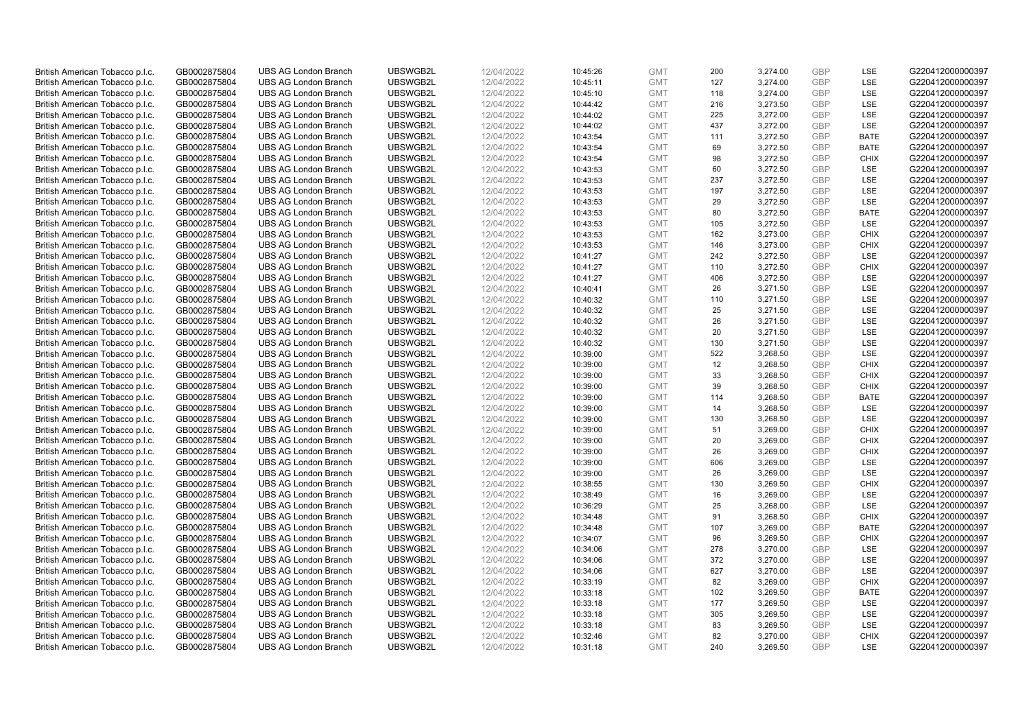| British American Tobacco p.l.c. | GB0002875804 | <b>UBS AG London Branch</b> | UBSWGB2L | 12/04/2022 | 10:45:26 | <b>GMT</b> | 200 | 3,274.00 | <b>GBP</b> | <b>LSE</b>  | G220412000000397 |
|---------------------------------|--------------|-----------------------------|----------|------------|----------|------------|-----|----------|------------|-------------|------------------|
| British American Tobacco p.l.c. | GB0002875804 | <b>UBS AG London Branch</b> | UBSWGB2L | 12/04/2022 | 10:45:11 | <b>GMT</b> | 127 | 3,274.00 | GBP        | LSE         | G220412000000397 |
| British American Tobacco p.l.c. | GB0002875804 | <b>UBS AG London Branch</b> | UBSWGB2L | 12/04/2022 | 10:45:10 | <b>GMT</b> | 118 | 3,274.00 | <b>GBP</b> | LSE         | G220412000000397 |
| British American Tobacco p.l.c. | GB0002875804 | <b>UBS AG London Branch</b> | UBSWGB2L | 12/04/2022 | 10:44:42 | <b>GMT</b> | 216 | 3,273.50 | <b>GBP</b> | LSE         | G220412000000397 |
|                                 |              |                             |          |            |          |            | 225 |          | <b>GBP</b> | LSE         |                  |
| British American Tobacco p.l.c. | GB0002875804 | <b>UBS AG London Branch</b> | UBSWGB2L | 12/04/2022 | 10:44:02 | <b>GMT</b> |     | 3,272.00 |            |             | G220412000000397 |
| British American Tobacco p.l.c. | GB0002875804 | <b>UBS AG London Branch</b> | UBSWGB2L | 12/04/2022 | 10:44:02 | <b>GMT</b> | 437 | 3,272.00 | <b>GBP</b> | <b>LSE</b>  | G220412000000397 |
| British American Tobacco p.l.c. | GB0002875804 | <b>UBS AG London Branch</b> | UBSWGB2L | 12/04/2022 | 10:43:54 | <b>GMT</b> | 111 | 3,272.50 | <b>GBP</b> | <b>BATE</b> | G220412000000397 |
| British American Tobacco p.l.c. | GB0002875804 | <b>UBS AG London Branch</b> | UBSWGB2L | 12/04/2022 | 10:43:54 | <b>GMT</b> | 69  | 3,272.50 | <b>GBP</b> | <b>BATE</b> | G220412000000397 |
| British American Tobacco p.l.c. | GB0002875804 | <b>UBS AG London Branch</b> | UBSWGB2L | 12/04/2022 | 10:43:54 | <b>GMT</b> | 98  | 3,272.50 | <b>GBP</b> | <b>CHIX</b> | G220412000000397 |
| British American Tobacco p.l.c. | GB0002875804 | <b>UBS AG London Branch</b> | UBSWGB2L | 12/04/2022 | 10:43:53 | <b>GMT</b> | 60  | 3,272.50 | <b>GBP</b> | LSE         | G220412000000397 |
| British American Tobacco p.l.c. | GB0002875804 | <b>UBS AG London Branch</b> | UBSWGB2L | 12/04/2022 | 10:43:53 | <b>GMT</b> | 237 | 3,272.50 | <b>GBP</b> | <b>LSE</b>  | G220412000000397 |
| British American Tobacco p.l.c. | GB0002875804 | <b>UBS AG London Branch</b> | UBSWGB2L | 12/04/2022 | 10:43:53 | <b>GMT</b> | 197 | 3,272.50 | <b>GBP</b> | LSE         | G220412000000397 |
| British American Tobacco p.l.c. | GB0002875804 | <b>UBS AG London Branch</b> | UBSWGB2L | 12/04/2022 | 10:43:53 | <b>GMT</b> | 29  | 3,272.50 | <b>GBP</b> | LSE         | G220412000000397 |
| British American Tobacco p.l.c. | GB0002875804 | <b>UBS AG London Branch</b> | UBSWGB2L | 12/04/2022 | 10:43:53 | <b>GMT</b> | 80  | 3,272.50 | <b>GBP</b> | <b>BATE</b> | G220412000000397 |
| British American Tobacco p.l.c. | GB0002875804 | <b>UBS AG London Branch</b> | UBSWGB2L | 12/04/2022 | 10:43:53 | <b>GMT</b> | 105 | 3,272.50 | <b>GBP</b> | LSE         | G220412000000397 |
| British American Tobacco p.l.c. | GB0002875804 | <b>UBS AG London Branch</b> | UBSWGB2L | 12/04/2022 | 10:43:53 | <b>GMT</b> | 162 | 3,273.00 | <b>GBP</b> | <b>CHIX</b> | G220412000000397 |
| British American Tobacco p.l.c. | GB0002875804 | <b>UBS AG London Branch</b> | UBSWGB2L | 12/04/2022 | 10:43:53 | <b>GMT</b> | 146 | 3,273.00 | <b>GBP</b> | <b>CHIX</b> | G220412000000397 |
| British American Tobacco p.l.c. | GB0002875804 | <b>UBS AG London Branch</b> | UBSWGB2L | 12/04/2022 | 10:41:27 | <b>GMT</b> | 242 | 3,272.50 | <b>GBP</b> | LSE         | G220412000000397 |
| British American Tobacco p.l.c. | GB0002875804 | <b>UBS AG London Branch</b> | UBSWGB2L | 12/04/2022 | 10:41:27 | <b>GMT</b> | 110 | 3,272.50 | <b>GBP</b> | <b>CHIX</b> | G220412000000397 |
| British American Tobacco p.l.c. | GB0002875804 | <b>UBS AG London Branch</b> | UBSWGB2L | 12/04/2022 | 10:41:27 | <b>GMT</b> | 406 | 3,272.50 | <b>GBP</b> | LSE         | G220412000000397 |
| British American Tobacco p.l.c. | GB0002875804 | <b>UBS AG London Branch</b> | UBSWGB2L | 12/04/2022 | 10:40:41 | <b>GMT</b> | 26  | 3,271.50 | <b>GBP</b> | LSE         | G220412000000397 |
| British American Tobacco p.l.c. | GB0002875804 | <b>UBS AG London Branch</b> | UBSWGB2L | 12/04/2022 | 10:40:32 | <b>GMT</b> | 110 | 3,271.50 | <b>GBP</b> | LSE         | G220412000000397 |
| British American Tobacco p.l.c. | GB0002875804 | <b>UBS AG London Branch</b> | UBSWGB2L | 12/04/2022 | 10:40:32 | <b>GMT</b> | 25  | 3,271.50 | <b>GBP</b> | LSE         | G220412000000397 |
|                                 |              |                             |          |            |          | <b>GMT</b> |     |          | <b>GBP</b> | <b>LSE</b>  |                  |
| British American Tobacco p.l.c. | GB0002875804 | <b>UBS AG London Branch</b> | UBSWGB2L | 12/04/2022 | 10:40:32 |            | 26  | 3,271.50 |            |             | G220412000000397 |
| British American Tobacco p.l.c. | GB0002875804 | <b>UBS AG London Branch</b> | UBSWGB2L | 12/04/2022 | 10:40:32 | <b>GMT</b> | 20  | 3,271.50 | <b>GBP</b> | LSE         | G220412000000397 |
| British American Tobacco p.l.c. | GB0002875804 | <b>UBS AG London Branch</b> | UBSWGB2L | 12/04/2022 | 10:40:32 | <b>GMT</b> | 130 | 3,271.50 | <b>GBP</b> | LSE         | G220412000000397 |
| British American Tobacco p.l.c. | GB0002875804 | <b>UBS AG London Branch</b> | UBSWGB2L | 12/04/2022 | 10:39:00 | <b>GMT</b> | 522 | 3,268.50 | <b>GBP</b> | LSE         | G220412000000397 |
| British American Tobacco p.l.c. | GB0002875804 | <b>UBS AG London Branch</b> | UBSWGB2L | 12/04/2022 | 10:39:00 | <b>GMT</b> | 12  | 3,268.50 | <b>GBP</b> | <b>CHIX</b> | G220412000000397 |
| British American Tobacco p.l.c. | GB0002875804 | <b>UBS AG London Branch</b> | UBSWGB2L | 12/04/2022 | 10:39:00 | <b>GMT</b> | 33  | 3,268.50 | <b>GBP</b> | <b>CHIX</b> | G220412000000397 |
| British American Tobacco p.l.c. | GB0002875804 | UBS AG London Branch        | UBSWGB2L | 12/04/2022 | 10:39:00 | <b>GMT</b> | 39  | 3,268.50 | <b>GBP</b> | <b>CHIX</b> | G220412000000397 |
| British American Tobacco p.l.c. | GB0002875804 | <b>UBS AG London Branch</b> | UBSWGB2L | 12/04/2022 | 10:39:00 | <b>GMT</b> | 114 | 3,268.50 | <b>GBP</b> | <b>BATE</b> | G220412000000397 |
| British American Tobacco p.l.c. | GB0002875804 | <b>UBS AG London Branch</b> | UBSWGB2L | 12/04/2022 | 10:39:00 | <b>GMT</b> | 14  | 3,268.50 | <b>GBP</b> | <b>LSE</b>  | G220412000000397 |
| British American Tobacco p.l.c. | GB0002875804 | <b>UBS AG London Branch</b> | UBSWGB2L | 12/04/2022 | 10:39:00 | <b>GMT</b> | 130 | 3,268.50 | <b>GBP</b> | LSE         | G220412000000397 |
| British American Tobacco p.l.c. | GB0002875804 | <b>UBS AG London Branch</b> | UBSWGB2L | 12/04/2022 | 10:39:00 | <b>GMT</b> | 51  | 3,269.00 | <b>GBP</b> | <b>CHIX</b> | G220412000000397 |
| British American Tobacco p.l.c. | GB0002875804 | <b>UBS AG London Branch</b> | UBSWGB2L | 12/04/2022 | 10:39:00 | <b>GMT</b> | 20  | 3,269.00 | <b>GBP</b> | <b>CHIX</b> | G220412000000397 |
| British American Tobacco p.l.c. | GB0002875804 | <b>UBS AG London Branch</b> | UBSWGB2L | 12/04/2022 | 10:39:00 | <b>GMT</b> | 26  | 3,269.00 | <b>GBP</b> | <b>CHIX</b> | G220412000000397 |
| British American Tobacco p.l.c. | GB0002875804 | <b>UBS AG London Branch</b> | UBSWGB2L | 12/04/2022 | 10:39:00 | <b>GMT</b> | 606 | 3,269.00 | <b>GBP</b> | <b>LSE</b>  | G220412000000397 |
| British American Tobacco p.l.c. | GB0002875804 | <b>UBS AG London Branch</b> | UBSWGB2L | 12/04/2022 | 10:39:00 | <b>GMT</b> | 26  | 3,269.00 | <b>GBP</b> | LSE         | G220412000000397 |
| British American Tobacco p.l.c. | GB0002875804 | <b>UBS AG London Branch</b> | UBSWGB2L | 12/04/2022 | 10:38:55 | <b>GMT</b> | 130 | 3,269.50 | <b>GBP</b> | <b>CHIX</b> | G220412000000397 |
| British American Tobacco p.l.c. | GB0002875804 | UBS AG London Branch        | UBSWGB2L | 12/04/2022 | 10:38:49 | <b>GMT</b> | 16  | 3,269.00 | <b>GBP</b> | <b>LSE</b>  | G220412000000397 |
| British American Tobacco p.l.c. | GB0002875804 | <b>UBS AG London Branch</b> | UBSWGB2L | 12/04/2022 | 10:36:29 | <b>GMT</b> | 25  | 3,268.00 | <b>GBP</b> | LSE         | G220412000000397 |
| British American Tobacco p.l.c. | GB0002875804 | <b>UBS AG London Branch</b> | UBSWGB2L | 12/04/2022 | 10:34:48 | <b>GMT</b> | 91  | 3,268.50 | <b>GBP</b> | <b>CHIX</b> | G220412000000397 |
| British American Tobacco p.l.c. | GB0002875804 | <b>UBS AG London Branch</b> | UBSWGB2L | 12/04/2022 | 10:34:48 | <b>GMT</b> | 107 | 3,269.00 | <b>GBP</b> | <b>BATE</b> | G220412000000397 |
| British American Tobacco p.l.c. | GB0002875804 | <b>UBS AG London Branch</b> | UBSWGB2L | 12/04/2022 | 10:34:07 | <b>GMT</b> | 96  | 3,269.50 | <b>GBP</b> | <b>CHIX</b> | G220412000000397 |
| British American Tobacco p.l.c. | GB0002875804 | UBS AG London Branch        | UBSWGB2L | 12/04/2022 | 10:34:06 | <b>GMT</b> | 278 | 3,270.00 | <b>GBP</b> | <b>LSE</b>  | G220412000000397 |
| British American Tobacco p.l.c. | GB0002875804 | <b>UBS AG London Branch</b> | UBSWGB2L | 12/04/2022 | 10:34:06 | <b>GMT</b> | 372 | 3,270.00 | <b>GBP</b> | LSE         | G220412000000397 |
| British American Tobacco p.l.c. | GB0002875804 | <b>UBS AG London Branch</b> | UBSWGB2L | 12/04/2022 | 10:34:06 | <b>GMT</b> | 627 | 3,270.00 | <b>GBP</b> | LSE         | G220412000000397 |
| British American Tobacco p.l.c. | GB0002875804 | <b>UBS AG London Branch</b> | UBSWGB2L | 12/04/2022 | 10:33:19 | <b>GMT</b> | 82  | 3,269.00 | <b>GBP</b> | <b>CHIX</b> | G220412000000397 |
| British American Tobacco p.l.c. | GB0002875804 | <b>UBS AG London Branch</b> | UBSWGB2L | 12/04/2022 | 10:33:18 | <b>GMT</b> | 102 | 3,269.50 | <b>GBP</b> | <b>BATE</b> | G220412000000397 |
| British American Tobacco p.l.c. | GB0002875804 | <b>UBS AG London Branch</b> | UBSWGB2L | 12/04/2022 | 10:33:18 | <b>GMT</b> | 177 | 3,269.50 | <b>GBP</b> | <b>LSE</b>  | G220412000000397 |
| British American Tobacco p.l.c. | GB0002875804 | <b>UBS AG London Branch</b> | UBSWGB2L | 12/04/2022 | 10:33:18 | <b>GMT</b> | 305 | 3,269.50 | <b>GBP</b> | LSE         | G220412000000397 |
| British American Tobacco p.l.c. | GB0002875804 | <b>UBS AG London Branch</b> | UBSWGB2L | 12/04/2022 | 10:33:18 | <b>GMT</b> | 83  | 3,269.50 | <b>GBP</b> | LSE         | G220412000000397 |
| British American Tobacco p.l.c. | GB0002875804 | <b>UBS AG London Branch</b> | UBSWGB2L | 12/04/2022 | 10:32:46 | <b>GMT</b> | 82  | 3,270.00 | <b>GBP</b> | <b>CHIX</b> | G220412000000397 |
| British American Tobacco p.l.c. | GB0002875804 | <b>UBS AG London Branch</b> | UBSWGB2L | 12/04/2022 | 10:31:18 | <b>GMT</b> | 240 | 3,269.50 | GBP        | <b>LSE</b>  | G220412000000397 |
|                                 |              |                             |          |            |          |            |     |          |            |             |                  |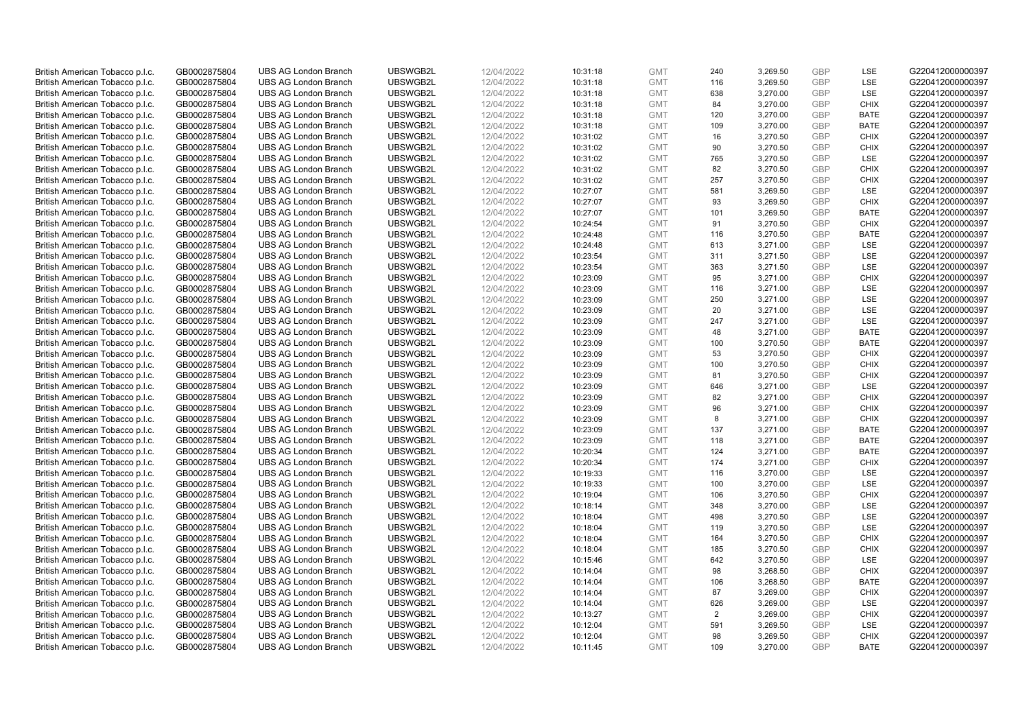| British American Tobacco p.l.c. | GB0002875804 | <b>UBS AG London Branch</b> | UBSWGB2L | 12/04/2022 | 10:31:18 | <b>GMT</b> | 240 | 3,269.50 | <b>GBP</b> | <b>LSE</b>  | G220412000000397 |
|---------------------------------|--------------|-----------------------------|----------|------------|----------|------------|-----|----------|------------|-------------|------------------|
| British American Tobacco p.l.c. | GB0002875804 | <b>UBS AG London Branch</b> | UBSWGB2L | 12/04/2022 | 10:31:18 | <b>GMT</b> | 116 | 3,269.50 | <b>GBP</b> | LSE         | G220412000000397 |
| British American Tobacco p.l.c. | GB0002875804 | <b>UBS AG London Branch</b> | UBSWGB2L | 12/04/2022 | 10:31:18 | <b>GMT</b> | 638 | 3,270.00 | <b>GBP</b> | LSE         | G220412000000397 |
| British American Tobacco p.l.c. | GB0002875804 | <b>UBS AG London Branch</b> | UBSWGB2L | 12/04/2022 | 10:31:18 | <b>GMT</b> | 84  | 3,270.00 | <b>GBP</b> | <b>CHIX</b> | G220412000000397 |
| British American Tobacco p.l.c. | GB0002875804 | <b>UBS AG London Branch</b> | UBSWGB2L | 12/04/2022 | 10:31:18 | <b>GMT</b> | 120 | 3,270.00 | <b>GBP</b> | <b>BATE</b> | G220412000000397 |
|                                 |              | <b>UBS AG London Branch</b> |          |            |          |            |     |          |            |             |                  |
| British American Tobacco p.l.c. | GB0002875804 |                             | UBSWGB2L | 12/04/2022 | 10:31:18 | <b>GMT</b> | 109 | 3,270.00 | <b>GBP</b> | BATE        | G220412000000397 |
| British American Tobacco p.l.c. | GB0002875804 | <b>UBS AG London Branch</b> | UBSWGB2L | 12/04/2022 | 10:31:02 | <b>GMT</b> | 16  | 3,270.50 | <b>GBP</b> | <b>CHIX</b> | G220412000000397 |
| British American Tobacco p.l.c. | GB0002875804 | <b>UBS AG London Branch</b> | UBSWGB2L | 12/04/2022 | 10:31:02 | <b>GMT</b> | 90  | 3,270.50 | <b>GBP</b> | <b>CHIX</b> | G220412000000397 |
| British American Tobacco p.l.c. | GB0002875804 | <b>UBS AG London Branch</b> | UBSWGB2L | 12/04/2022 | 10:31:02 | <b>GMT</b> | 765 | 3,270.50 | <b>GBP</b> | LSE         | G220412000000397 |
| British American Tobacco p.l.c. | GB0002875804 | <b>UBS AG London Branch</b> | UBSWGB2L | 12/04/2022 | 10:31:02 | <b>GMT</b> | 82  | 3,270.50 | <b>GBP</b> | <b>CHIX</b> | G220412000000397 |
| British American Tobacco p.l.c. | GB0002875804 | <b>UBS AG London Branch</b> | UBSWGB2L | 12/04/2022 | 10:31:02 | <b>GMT</b> | 257 | 3,270.50 | <b>GBP</b> | <b>CHIX</b> | G220412000000397 |
| British American Tobacco p.l.c. | GB0002875804 | <b>UBS AG London Branch</b> | UBSWGB2L | 12/04/2022 | 10:27:07 | <b>GMT</b> | 581 | 3,269.50 | <b>GBP</b> | LSE         | G220412000000397 |
| British American Tobacco p.l.c. | GB0002875804 | <b>UBS AG London Branch</b> | UBSWGB2L | 12/04/2022 | 10:27:07 | <b>GMT</b> | 93  | 3,269.50 | <b>GBP</b> | <b>CHIX</b> | G220412000000397 |
| British American Tobacco p.l.c. | GB0002875804 | <b>UBS AG London Branch</b> | UBSWGB2L | 12/04/2022 | 10:27:07 | <b>GMT</b> | 101 | 3,269.50 | <b>GBP</b> | <b>BATE</b> | G220412000000397 |
| British American Tobacco p.l.c. | GB0002875804 | <b>UBS AG London Branch</b> | UBSWGB2L | 12/04/2022 | 10:24:54 | <b>GMT</b> | 91  | 3,270.50 | <b>GBP</b> | <b>CHIX</b> | G220412000000397 |
| British American Tobacco p.l.c. | GB0002875804 | <b>UBS AG London Branch</b> | UBSWGB2L | 12/04/2022 | 10:24:48 | <b>GMT</b> | 116 | 3,270.50 | <b>GBP</b> | <b>BATE</b> | G220412000000397 |
| British American Tobacco p.l.c. | GB0002875804 | <b>UBS AG London Branch</b> | UBSWGB2L | 12/04/2022 | 10:24:48 | <b>GMT</b> | 613 | 3,271.00 | <b>GBP</b> | LSE         | G220412000000397 |
| British American Tobacco p.l.c. | GB0002875804 | <b>UBS AG London Branch</b> | UBSWGB2L | 12/04/2022 | 10:23:54 | <b>GMT</b> | 311 | 3,271.50 | <b>GBP</b> | LSE         | G220412000000397 |
| British American Tobacco p.l.c. | GB0002875804 | <b>UBS AG London Branch</b> | UBSWGB2L | 12/04/2022 | 10:23:54 | <b>GMT</b> | 363 | 3,271.50 | <b>GBP</b> | <b>LSE</b>  | G220412000000397 |
| British American Tobacco p.l.c. | GB0002875804 | <b>UBS AG London Branch</b> | UBSWGB2L | 12/04/2022 | 10:23:09 | <b>GMT</b> | 95  | 3,271.00 | <b>GBP</b> | <b>CHIX</b> | G220412000000397 |
| British American Tobacco p.l.c. | GB0002875804 | <b>UBS AG London Branch</b> | UBSWGB2L | 12/04/2022 | 10:23:09 | <b>GMT</b> | 116 | 3,271.00 | <b>GBP</b> | <b>LSE</b>  | G220412000000397 |
| British American Tobacco p.l.c. | GB0002875804 | <b>UBS AG London Branch</b> | UBSWGB2L | 12/04/2022 | 10:23:09 | <b>GMT</b> | 250 | 3,271.00 | <b>GBP</b> | LSE         | G220412000000397 |
| British American Tobacco p.l.c. | GB0002875804 | <b>UBS AG London Branch</b> | UBSWGB2L | 12/04/2022 | 10:23:09 | <b>GMT</b> | 20  | 3,271.00 | <b>GBP</b> | LSE         | G220412000000397 |
| British American Tobacco p.l.c. | GB0002875804 | <b>UBS AG London Branch</b> | UBSWGB2L | 12/04/2022 | 10:23:09 | <b>GMT</b> | 247 | 3.271.00 | <b>GBP</b> | <b>LSE</b>  | G220412000000397 |
| British American Tobacco p.l.c. | GB0002875804 | <b>UBS AG London Branch</b> | UBSWGB2L | 12/04/2022 | 10:23:09 | <b>GMT</b> | 48  | 3,271.00 | <b>GBP</b> | <b>BATE</b> | G220412000000397 |
| British American Tobacco p.l.c. | GB0002875804 | <b>UBS AG London Branch</b> | UBSWGB2L | 12/04/2022 | 10:23:09 | <b>GMT</b> | 100 | 3,270.50 | <b>GBP</b> | <b>BATE</b> | G220412000000397 |
| British American Tobacco p.l.c. | GB0002875804 | <b>UBS AG London Branch</b> | UBSWGB2L | 12/04/2022 | 10:23:09 | <b>GMT</b> | 53  | 3,270.50 | <b>GBP</b> | <b>CHIX</b> | G220412000000397 |
| British American Tobacco p.l.c. | GB0002875804 | <b>UBS AG London Branch</b> | UBSWGB2L | 12/04/2022 | 10:23:09 | <b>GMT</b> | 100 | 3,270.50 | <b>GBP</b> | <b>CHIX</b> | G220412000000397 |
| British American Tobacco p.l.c. | GB0002875804 | <b>UBS AG London Branch</b> | UBSWGB2L | 12/04/2022 | 10:23:09 | <b>GMT</b> | 81  | 3,270.50 | <b>GBP</b> | <b>CHIX</b> | G220412000000397 |
| British American Tobacco p.l.c. | GB0002875804 | UBS AG London Branch        | UBSWGB2L | 12/04/2022 | 10:23:09 | <b>GMT</b> | 646 | 3,271.00 | <b>GBP</b> | LSE         | G220412000000397 |
| British American Tobacco p.l.c. | GB0002875804 | <b>UBS AG London Branch</b> | UBSWGB2L | 12/04/2022 | 10:23:09 | <b>GMT</b> | 82  | 3,271.00 | <b>GBP</b> | <b>CHIX</b> | G220412000000397 |
| British American Tobacco p.l.c. | GB0002875804 | <b>UBS AG London Branch</b> | UBSWGB2L | 12/04/2022 | 10:23:09 | <b>GMT</b> | 96  | 3,271.00 | <b>GBP</b> | <b>CHIX</b> | G220412000000397 |
| British American Tobacco p.l.c. | GB0002875804 | <b>UBS AG London Branch</b> | UBSWGB2L | 12/04/2022 | 10:23:09 | <b>GMT</b> | 8   | 3,271.00 | <b>GBP</b> | <b>CHIX</b> | G220412000000397 |
| British American Tobacco p.l.c. | GB0002875804 | <b>UBS AG London Branch</b> | UBSWGB2L | 12/04/2022 | 10:23:09 | <b>GMT</b> | 137 | 3,271.00 | <b>GBP</b> | <b>BATE</b> | G220412000000397 |
| British American Tobacco p.l.c. | GB0002875804 | <b>UBS AG London Branch</b> | UBSWGB2L | 12/04/2022 | 10:23:09 | <b>GMT</b> | 118 | 3,271.00 | <b>GBP</b> | <b>BATE</b> | G220412000000397 |
| British American Tobacco p.l.c. | GB0002875804 | <b>UBS AG London Branch</b> | UBSWGB2L | 12/04/2022 | 10:20:34 | <b>GMT</b> | 124 | 3,271.00 | <b>GBP</b> | <b>BATE</b> | G220412000000397 |
| British American Tobacco p.l.c. | GB0002875804 | <b>UBS AG London Branch</b> | UBSWGB2L | 12/04/2022 | 10:20:34 | <b>GMT</b> | 174 | 3,271.00 | <b>GBP</b> | <b>CHIX</b> | G220412000000397 |
| British American Tobacco p.l.c. | GB0002875804 | <b>UBS AG London Branch</b> | UBSWGB2L | 12/04/2022 | 10:19:33 | <b>GMT</b> | 116 | 3,270.00 | <b>GBP</b> | LSE         | G220412000000397 |
| British American Tobacco p.l.c. | GB0002875804 | <b>UBS AG London Branch</b> | UBSWGB2L | 12/04/2022 | 10:19:33 | <b>GMT</b> | 100 | 3,270.00 | <b>GBP</b> | LSE         | G220412000000397 |
| British American Tobacco p.l.c. | GB0002875804 | UBS AG London Branch        | UBSWGB2L | 12/04/2022 | 10:19:04 | <b>GMT</b> | 106 | 3,270.50 | <b>GBP</b> | <b>CHIX</b> | G220412000000397 |
| British American Tobacco p.l.c. | GB0002875804 | <b>UBS AG London Branch</b> | UBSWGB2L | 12/04/2022 | 10:18:14 | <b>GMT</b> | 348 | 3,270.00 | <b>GBP</b> | LSE         | G220412000000397 |
| British American Tobacco p.l.c. | GB0002875804 | <b>UBS AG London Branch</b> | UBSWGB2L | 12/04/2022 | 10:18:04 | <b>GMT</b> | 498 | 3,270.50 | <b>GBP</b> | LSE         | G220412000000397 |
| British American Tobacco p.l.c. | GB0002875804 | <b>UBS AG London Branch</b> | UBSWGB2L | 12/04/2022 | 10:18:04 | <b>GMT</b> | 119 | 3,270.50 | <b>GBP</b> | LSE         | G220412000000397 |
| British American Tobacco p.l.c. | GB0002875804 | <b>UBS AG London Branch</b> | UBSWGB2L | 12/04/2022 |          | <b>GMT</b> | 164 | 3,270.50 | <b>GBP</b> | <b>CHIX</b> |                  |
|                                 |              |                             | UBSWGB2L |            | 10:18:04 |            |     |          | <b>GBP</b> | <b>CHIX</b> | G220412000000397 |
| British American Tobacco p.l.c. | GB0002875804 | UBS AG London Branch        |          | 12/04/2022 | 10:18:04 | <b>GMT</b> | 185 | 3,270.50 |            |             | G220412000000397 |
| British American Tobacco p.l.c. | GB0002875804 | <b>UBS AG London Branch</b> | UBSWGB2L | 12/04/2022 | 10:15:46 | <b>GMT</b> | 642 | 3,270.50 | <b>GBP</b> | LSE         | G220412000000397 |
| British American Tobacco p.l.c. | GB0002875804 | <b>UBS AG London Branch</b> | UBSWGB2L | 12/04/2022 | 10:14:04 | <b>GMT</b> | 98  | 3,268.50 | <b>GBP</b> | <b>CHIX</b> | G220412000000397 |
| British American Tobacco p.l.c. | GB0002875804 | <b>UBS AG London Branch</b> | UBSWGB2L | 12/04/2022 | 10:14:04 | <b>GMT</b> | 106 | 3,268.50 | <b>GBP</b> | <b>BATE</b> | G220412000000397 |
| British American Tobacco p.l.c. | GB0002875804 | <b>UBS AG London Branch</b> | UBSWGB2L | 12/04/2022 | 10:14:04 | <b>GMT</b> | 87  | 3,269.00 | <b>GBP</b> | <b>CHIX</b> | G220412000000397 |
| British American Tobacco p.l.c. | GB0002875804 | <b>UBS AG London Branch</b> | UBSWGB2L | 12/04/2022 | 10:14:04 | <b>GMT</b> | 626 | 3,269.00 | <b>GBP</b> | <b>LSE</b>  | G220412000000397 |
| British American Tobacco p.l.c. | GB0002875804 | <b>UBS AG London Branch</b> | UBSWGB2L | 12/04/2022 | 10:13:27 | <b>GMT</b> | 2   | 3,269.00 | <b>GBP</b> | <b>CHIX</b> | G220412000000397 |
| British American Tobacco p.l.c. | GB0002875804 | <b>UBS AG London Branch</b> | UBSWGB2L | 12/04/2022 | 10:12:04 | <b>GMT</b> | 591 | 3,269.50 | <b>GBP</b> | LSE         | G220412000000397 |
| British American Tobacco p.l.c. | GB0002875804 | <b>UBS AG London Branch</b> | UBSWGB2L | 12/04/2022 | 10:12:04 | <b>GMT</b> | 98  | 3,269.50 | <b>GBP</b> | <b>CHIX</b> | G220412000000397 |
| British American Tobacco p.l.c. | GB0002875804 | <b>UBS AG London Branch</b> | UBSWGB2L | 12/04/2022 | 10:11:45 | <b>GMT</b> | 109 | 3.270.00 | GBP        | <b>BATE</b> | G220412000000397 |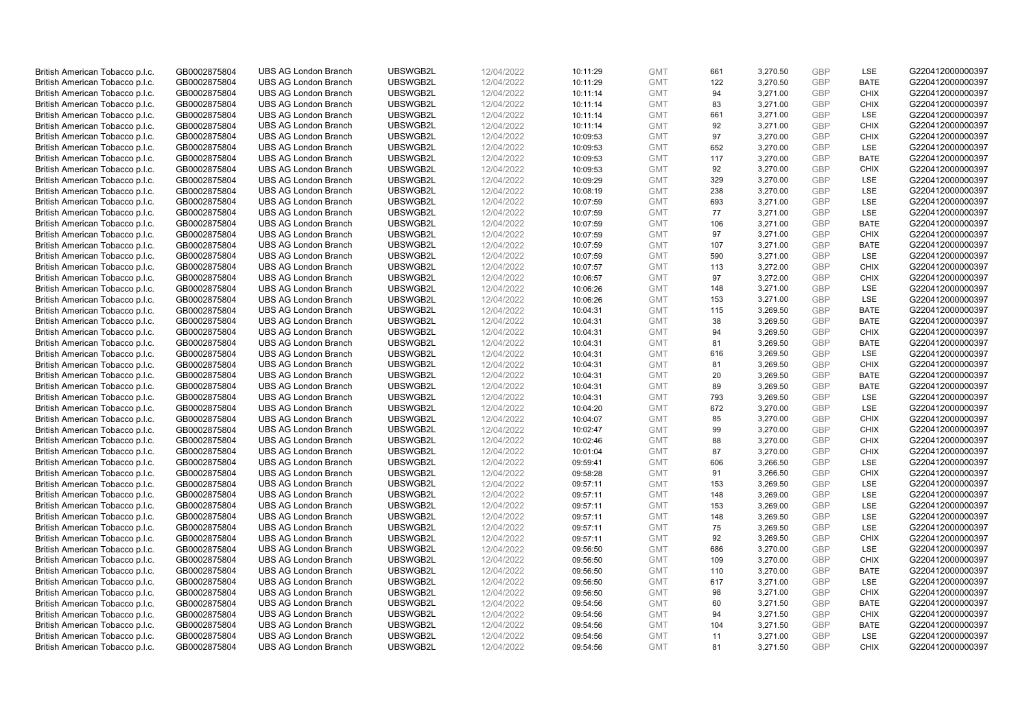| British American Tobacco p.l.c. | GB0002875804 | <b>UBS AG London Branch</b> | UBSWGB2L | 12/04/2022 | 10:11:29             | <b>GMT</b> | 661 | 3,270.50 | <b>GBP</b> | LSE         | G220412000000397 |
|---------------------------------|--------------|-----------------------------|----------|------------|----------------------|------------|-----|----------|------------|-------------|------------------|
| British American Tobacco p.l.c. | GB0002875804 | <b>UBS AG London Branch</b> | UBSWGB2L | 12/04/2022 | 10:11:29             | <b>GMT</b> | 122 | 3,270.50 | <b>GBP</b> | <b>BATE</b> | G220412000000397 |
| British American Tobacco p.l.c. | GB0002875804 | <b>UBS AG London Branch</b> | UBSWGB2L | 12/04/2022 | 10:11:14             | <b>GMT</b> | 94  | 3,271.00 | <b>GBP</b> | <b>CHIX</b> | G220412000000397 |
| British American Tobacco p.l.c. | GB0002875804 | <b>UBS AG London Branch</b> | UBSWGB2L | 12/04/2022 | 10:11:14             | <b>GMT</b> | 83  | 3,271.00 | <b>GBP</b> | <b>CHIX</b> | G220412000000397 |
| British American Tobacco p.l.c. | GB0002875804 | <b>UBS AG London Branch</b> | UBSWGB2L | 12/04/2022 |                      | <b>GMT</b> | 661 | 3,271.00 | <b>GBP</b> | LSE         | G220412000000397 |
|                                 |              |                             |          |            | 10:11:14             |            |     |          |            |             |                  |
| British American Tobacco p.l.c. | GB0002875804 | <b>UBS AG London Branch</b> | UBSWGB2L | 12/04/2022 | 10:11:14             | <b>GMT</b> | 92  | 3,271.00 | <b>GBP</b> | <b>CHIX</b> | G220412000000397 |
| British American Tobacco p.l.c. | GB0002875804 | <b>UBS AG London Branch</b> | UBSWGB2L | 12/04/2022 | 10:09:53             | <b>GMT</b> | 97  | 3,270.00 | <b>GBP</b> | <b>CHIX</b> | G220412000000397 |
| British American Tobacco p.l.c. | GB0002875804 | <b>UBS AG London Branch</b> | UBSWGB2L | 12/04/2022 | 10:09:53             | <b>GMT</b> | 652 | 3,270.00 | <b>GBP</b> | LSE         | G220412000000397 |
| British American Tobacco p.l.c. | GB0002875804 | <b>UBS AG London Branch</b> | UBSWGB2L | 12/04/2022 | 10:09:53             | <b>GMT</b> | 117 | 3,270.00 | <b>GBP</b> | <b>BATE</b> | G220412000000397 |
| British American Tobacco p.l.c. | GB0002875804 | <b>UBS AG London Branch</b> | UBSWGB2L | 12/04/2022 | 10:09:53             | <b>GMT</b> | 92  | 3,270.00 | <b>GBP</b> | <b>CHIX</b> | G220412000000397 |
| British American Tobacco p.l.c. | GB0002875804 | <b>UBS AG London Branch</b> | UBSWGB2L | 12/04/2022 | 10:09:29             | <b>GMT</b> | 329 | 3,270.00 | <b>GBP</b> | <b>LSE</b>  | G220412000000397 |
| British American Tobacco p.l.c. | GB0002875804 | <b>UBS AG London Branch</b> | UBSWGB2L | 12/04/2022 | 10:08:19             | <b>GMT</b> | 238 | 3,270.00 | <b>GBP</b> | LSE         | G220412000000397 |
| British American Tobacco p.l.c. | GB0002875804 | <b>UBS AG London Branch</b> | UBSWGB2L | 12/04/2022 | 10:07:59             | <b>GMT</b> | 693 | 3,271.00 | <b>GBP</b> | LSE         | G220412000000397 |
| British American Tobacco p.l.c. | GB0002875804 | <b>UBS AG London Branch</b> | UBSWGB2L | 12/04/2022 | 10:07:59             | <b>GMT</b> | 77  | 3,271.00 | <b>GBP</b> | LSE         | G220412000000397 |
| British American Tobacco p.l.c. | GB0002875804 | <b>UBS AG London Branch</b> | UBSWGB2L | 12/04/2022 | 10:07:59             | <b>GMT</b> | 106 | 3,271.00 | <b>GBP</b> | <b>BATE</b> | G220412000000397 |
| British American Tobacco p.l.c. | GB0002875804 | <b>UBS AG London Branch</b> | UBSWGB2L | 12/04/2022 | 10:07:59             | <b>GMT</b> | 97  | 3,271.00 | <b>GBP</b> | <b>CHIX</b> | G220412000000397 |
| British American Tobacco p.l.c. | GB0002875804 | <b>UBS AG London Branch</b> | UBSWGB2L | 12/04/2022 | 10:07:59             | <b>GMT</b> | 107 | 3,271.00 | <b>GBP</b> | <b>BATE</b> | G220412000000397 |
| British American Tobacco p.l.c. | GB0002875804 | <b>UBS AG London Branch</b> | UBSWGB2L | 12/04/2022 | 10:07:59             | <b>GMT</b> | 590 | 3,271.00 | <b>GBP</b> | LSE         | G220412000000397 |
| British American Tobacco p.l.c. | GB0002875804 | <b>UBS AG London Branch</b> | UBSWGB2L | 12/04/2022 | 10:07:57             | <b>GMT</b> | 113 | 3,272.00 | <b>GBP</b> | <b>CHIX</b> | G220412000000397 |
| British American Tobacco p.l.c. | GB0002875804 | <b>UBS AG London Branch</b> | UBSWGB2L | 12/04/2022 | 10:06:57             | <b>GMT</b> | 97  | 3,272.00 | <b>GBP</b> | <b>CHIX</b> | G220412000000397 |
| British American Tobacco p.l.c. | GB0002875804 | <b>UBS AG London Branch</b> | UBSWGB2L | 12/04/2022 | 10:06:26             | <b>GMT</b> | 148 | 3,271.00 | <b>GBP</b> | LSE         | G220412000000397 |
| British American Tobacco p.l.c. | GB0002875804 | <b>UBS AG London Branch</b> | UBSWGB2L | 12/04/2022 | 10:06:26             | <b>GMT</b> | 153 | 3,271.00 | <b>GBP</b> | LSE         | G220412000000397 |
| British American Tobacco p.l.c. | GB0002875804 | <b>UBS AG London Branch</b> | UBSWGB2L | 12/04/2022 | 10:04:31             | <b>GMT</b> | 115 | 3,269.50 | <b>GBP</b> | <b>BATE</b> | G220412000000397 |
| British American Tobacco p.l.c. | GB0002875804 | <b>UBS AG London Branch</b> | UBSWGB2L | 12/04/2022 | 10:04:31             | <b>GMT</b> | 38  | 3,269.50 | <b>GBP</b> | <b>BATE</b> | G220412000000397 |
| British American Tobacco p.l.c. | GB0002875804 | <b>UBS AG London Branch</b> | UBSWGB2L | 12/04/2022 | 10:04:31             | <b>GMT</b> | 94  | 3,269.50 | <b>GBP</b> | <b>CHIX</b> | G220412000000397 |
| British American Tobacco p.l.c. | GB0002875804 | <b>UBS AG London Branch</b> | UBSWGB2L | 12/04/2022 | 10:04:31             | <b>GMT</b> | 81  | 3,269.50 | <b>GBP</b> | <b>BATE</b> | G220412000000397 |
| British American Tobacco p.l.c. | GB0002875804 | <b>UBS AG London Branch</b> | UBSWGB2L | 12/04/2022 | 10:04:31             | <b>GMT</b> | 616 | 3,269.50 | <b>GBP</b> | LSE         | G220412000000397 |
| British American Tobacco p.l.c. | GB0002875804 | <b>UBS AG London Branch</b> | UBSWGB2L | 12/04/2022 | 10:04:31             | <b>GMT</b> | 81  | 3,269.50 | <b>GBP</b> | <b>CHIX</b> | G220412000000397 |
| British American Tobacco p.l.c. | GB0002875804 | <b>UBS AG London Branch</b> | UBSWGB2L | 12/04/2022 | 10:04:31             | <b>GMT</b> | 20  | 3,269.50 | <b>GBP</b> | <b>BATE</b> | G220412000000397 |
| British American Tobacco p.l.c. | GB0002875804 | <b>UBS AG London Branch</b> | UBSWGB2L | 12/04/2022 | 10:04:31             | <b>GMT</b> | 89  | 3,269.50 | <b>GBP</b> | <b>BATE</b> | G220412000000397 |
| British American Tobacco p.l.c. | GB0002875804 | <b>UBS AG London Branch</b> | UBSWGB2L | 12/04/2022 |                      | <b>GMT</b> | 793 | 3,269.50 | <b>GBP</b> | LSE         | G220412000000397 |
| British American Tobacco p.l.c. | GB0002875804 | <b>UBS AG London Branch</b> | UBSWGB2L | 12/04/2022 | 10:04:31<br>10:04:20 | <b>GMT</b> | 672 | 3,270.00 | <b>GBP</b> | <b>LSE</b>  | G220412000000397 |
|                                 |              |                             | UBSWGB2L |            |                      |            |     |          | <b>GBP</b> |             |                  |
| British American Tobacco p.l.c. | GB0002875804 | <b>UBS AG London Branch</b> |          | 12/04/2022 | 10:04:07             | <b>GMT</b> | 85  | 3,270.00 |            | <b>CHIX</b> | G220412000000397 |
| British American Tobacco p.l.c. | GB0002875804 | <b>UBS AG London Branch</b> | UBSWGB2L | 12/04/2022 | 10:02:47             | <b>GMT</b> | 99  | 3,270.00 | <b>GBP</b> | <b>CHIX</b> | G220412000000397 |
| British American Tobacco p.l.c. | GB0002875804 | <b>UBS AG London Branch</b> | UBSWGB2L | 12/04/2022 | 10:02:46             | <b>GMT</b> | 88  | 3,270.00 | <b>GBP</b> | <b>CHIX</b> | G220412000000397 |
| British American Tobacco p.l.c. | GB0002875804 | <b>UBS AG London Branch</b> | UBSWGB2L | 12/04/2022 | 10:01:04             | <b>GMT</b> | 87  | 3,270.00 | <b>GBP</b> | <b>CHIX</b> | G220412000000397 |
| British American Tobacco p.l.c. | GB0002875804 | <b>UBS AG London Branch</b> | UBSWGB2L | 12/04/2022 | 09:59:41             | <b>GMT</b> | 606 | 3,266.50 | <b>GBP</b> | <b>LSE</b>  | G220412000000397 |
| British American Tobacco p.l.c. | GB0002875804 | <b>UBS AG London Branch</b> | UBSWGB2L | 12/04/2022 | 09:58:28             | <b>GMT</b> | 91  | 3,266.50 | <b>GBP</b> | <b>CHIX</b> | G220412000000397 |
| British American Tobacco p.l.c. | GB0002875804 | <b>UBS AG London Branch</b> | UBSWGB2L | 12/04/2022 | 09:57:11             | <b>GMT</b> | 153 | 3,269.50 | <b>GBP</b> | LSE         | G220412000000397 |
| British American Tobacco p.l.c. | GB0002875804 | <b>UBS AG London Branch</b> | UBSWGB2L | 12/04/2022 | 09:57:11             | <b>GMT</b> | 148 | 3,269.00 | <b>GBP</b> | <b>LSE</b>  | G220412000000397 |
| British American Tobacco p.l.c. | GB0002875804 | <b>UBS AG London Branch</b> | UBSWGB2L | 12/04/2022 | 09:57:11             | <b>GMT</b> | 153 | 3,269.00 | <b>GBP</b> | <b>LSE</b>  | G220412000000397 |
| British American Tobacco p.l.c. | GB0002875804 | <b>UBS AG London Branch</b> | UBSWGB2L | 12/04/2022 | 09:57:11             | <b>GMT</b> | 148 | 3,269.50 | <b>GBP</b> | LSE         | G220412000000397 |
| British American Tobacco p.l.c. | GB0002875804 | <b>UBS AG London Branch</b> | UBSWGB2L | 12/04/2022 | 09:57:11             | <b>GMT</b> | 75  | 3,269.50 | <b>GBP</b> | LSE         | G220412000000397 |
| British American Tobacco p.l.c. | GB0002875804 | <b>UBS AG London Branch</b> | UBSWGB2L | 12/04/2022 | 09:57:11             | <b>GMT</b> | 92  | 3,269.50 | <b>GBP</b> | <b>CHIX</b> | G220412000000397 |
| British American Tobacco p.l.c. | GB0002875804 | <b>UBS AG London Branch</b> | UBSWGB2L | 12/04/2022 | 09:56:50             | <b>GMT</b> | 686 | 3,270.00 | <b>GBP</b> | <b>LSE</b>  | G220412000000397 |
| British American Tobacco p.l.c. | GB0002875804 | <b>UBS AG London Branch</b> | UBSWGB2L | 12/04/2022 | 09:56:50             | <b>GMT</b> | 109 | 3,270.00 | <b>GBP</b> | <b>CHIX</b> | G220412000000397 |
| British American Tobacco p.l.c. | GB0002875804 | <b>UBS AG London Branch</b> | UBSWGB2L | 12/04/2022 | 09:56:50             | <b>GMT</b> | 110 | 3,270.00 | <b>GBP</b> | <b>BATE</b> | G220412000000397 |
| British American Tobacco p.l.c. | GB0002875804 | <b>UBS AG London Branch</b> | UBSWGB2L | 12/04/2022 | 09:56:50             | <b>GMT</b> | 617 | 3,271.00 | <b>GBP</b> | LSE         | G220412000000397 |
| British American Tobacco p.l.c. | GB0002875804 | <b>UBS AG London Branch</b> | UBSWGB2L | 12/04/2022 | 09:56:50             | <b>GMT</b> | 98  | 3,271.00 | <b>GBP</b> | <b>CHIX</b> | G220412000000397 |
| British American Tobacco p.l.c. | GB0002875804 | <b>UBS AG London Branch</b> | UBSWGB2L | 12/04/2022 | 09:54:56             | <b>GMT</b> | 60  | 3,271.50 | <b>GBP</b> | <b>BATE</b> | G220412000000397 |
| British American Tobacco p.l.c. | GB0002875804 | <b>UBS AG London Branch</b> | UBSWGB2L | 12/04/2022 | 09:54:56             | <b>GMT</b> | 94  | 3,271.50 | <b>GBP</b> | <b>CHIX</b> | G220412000000397 |
| British American Tobacco p.l.c. | GB0002875804 | <b>UBS AG London Branch</b> | UBSWGB2L | 12/04/2022 | 09:54:56             | <b>GMT</b> | 104 | 3,271.50 | <b>GBP</b> | <b>BATE</b> | G220412000000397 |
| British American Tobacco p.l.c. | GB0002875804 | <b>UBS AG London Branch</b> | UBSWGB2L | 12/04/2022 | 09:54:56             | <b>GMT</b> | 11  | 3,271.00 | <b>GBP</b> | <b>LSE</b>  | G220412000000397 |
| British American Tobacco p.l.c. | GB0002875804 | <b>UBS AG London Branch</b> | UBSWGB2L | 12/04/2022 | 09:54:56             | <b>GMT</b> | 81  | 3,271.50 | GBP        | <b>CHIX</b> | G220412000000397 |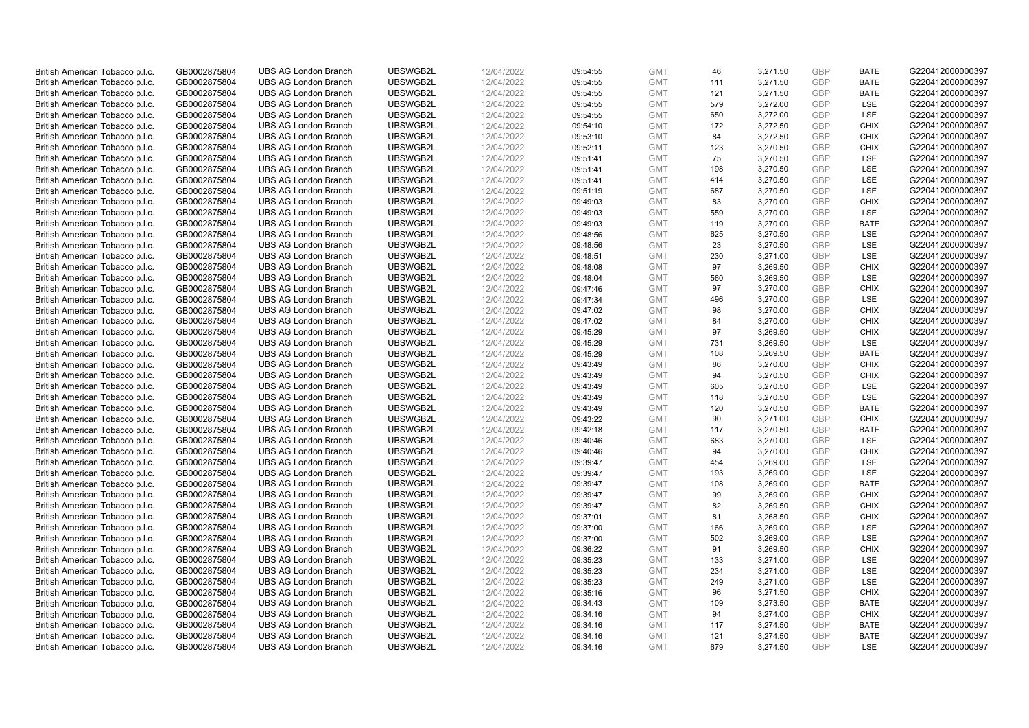| British American Tobacco p.l.c. | GB0002875804                 | <b>UBS AG London Branch</b>                                | UBSWGB2L             | 12/04/2022               | 09:54:55             | <b>GMT</b>               | 46  | 3,271.50             | <b>GBP</b> | <b>BATE</b> | G220412000000397                     |
|---------------------------------|------------------------------|------------------------------------------------------------|----------------------|--------------------------|----------------------|--------------------------|-----|----------------------|------------|-------------|--------------------------------------|
| British American Tobacco p.l.c. | GB0002875804                 | <b>UBS AG London Branch</b>                                | UBSWGB2L             | 12/04/2022               | 09:54:55             | <b>GMT</b>               | 111 | 3,271.50             | <b>GBP</b> | <b>BATE</b> | G220412000000397                     |
|                                 |                              | <b>UBS AG London Branch</b>                                | UBSWGB2L             |                          |                      | <b>GMT</b>               | 121 | 3,271.50             | <b>GBP</b> | <b>BATE</b> | G220412000000397                     |
| British American Tobacco p.l.c. | GB0002875804                 |                                                            |                      | 12/04/2022               | 09:54:55             |                          |     |                      |            |             |                                      |
| British American Tobacco p.l.c. | GB0002875804                 | <b>UBS AG London Branch</b>                                | UBSWGB2L             | 12/04/2022               | 09:54:55             | <b>GMT</b>               | 579 | 3,272.00             | <b>GBP</b> | LSE         | G220412000000397                     |
| British American Tobacco p.l.c. | GB0002875804                 | <b>UBS AG London Branch</b>                                | UBSWGB2L             | 12/04/2022               | 09:54:55             | <b>GMT</b>               | 650 | 3,272.00             | <b>GBP</b> | LSE         | G220412000000397                     |
| British American Tobacco p.l.c. | GB0002875804                 | <b>UBS AG London Branch</b>                                | UBSWGB2L             | 12/04/2022               | 09:54:10             | <b>GMT</b>               | 172 | 3,272.50             | <b>GBP</b> | <b>CHIX</b> | G220412000000397                     |
| British American Tobacco p.l.c. | GB0002875804                 | <b>UBS AG London Branch</b>                                | UBSWGB2L             | 12/04/2022               | 09:53:10             | <b>GMT</b>               | 84  | 3,272.50             | <b>GBP</b> | <b>CHIX</b> | G220412000000397                     |
| British American Tobacco p.l.c. | GB0002875804                 | <b>UBS AG London Branch</b>                                | UBSWGB2L             | 12/04/2022               | 09:52:11             | <b>GMT</b>               | 123 | 3,270.50             | <b>GBP</b> | <b>CHIX</b> | G220412000000397                     |
| British American Tobacco p.l.c. | GB0002875804                 | <b>UBS AG London Branch</b>                                | UBSWGB2L             | 12/04/2022               | 09:51:41             | <b>GMT</b>               | 75  | 3,270.50             | <b>GBP</b> | LSE         | G220412000000397                     |
| British American Tobacco p.l.c. | GB0002875804                 | <b>UBS AG London Branch</b>                                | UBSWGB2L             | 12/04/2022               | 09:51:41             | <b>GMT</b>               | 198 | 3,270.50             | <b>GBP</b> | LSE         | G220412000000397                     |
| British American Tobacco p.l.c. | GB0002875804                 | <b>UBS AG London Branch</b>                                | UBSWGB2L             | 12/04/2022               | 09:51:41             | <b>GMT</b>               | 414 | 3,270.50             | <b>GBP</b> | <b>LSE</b>  | G220412000000397                     |
| British American Tobacco p.l.c. | GB0002875804                 | <b>UBS AG London Branch</b>                                | UBSWGB2L             | 12/04/2022               | 09:51:19             | <b>GMT</b>               | 687 | 3,270.50             | <b>GBP</b> | LSE         | G220412000000397                     |
| British American Tobacco p.l.c. | GB0002875804                 | <b>UBS AG London Branch</b>                                | UBSWGB2L             | 12/04/2022               | 09:49:03             | <b>GMT</b>               | 83  | 3,270.00             | <b>GBP</b> | <b>CHIX</b> | G220412000000397                     |
| British American Tobacco p.l.c. | GB0002875804                 | <b>UBS AG London Branch</b>                                | UBSWGB2L             | 12/04/2022               | 09:49:03             | <b>GMT</b>               | 559 | 3,270.00             | <b>GBP</b> | <b>LSE</b>  | G220412000000397                     |
| British American Tobacco p.l.c. | GB0002875804                 | <b>UBS AG London Branch</b>                                | UBSWGB2L             | 12/04/2022               | 09:49:03             | <b>GMT</b>               | 119 | 3,270.00             | <b>GBP</b> | <b>BATE</b> | G220412000000397                     |
| British American Tobacco p.l.c. | GB0002875804                 | <b>UBS AG London Branch</b>                                | UBSWGB2L             | 12/04/2022               | 09:48:56             | <b>GMT</b>               | 625 | 3,270.50             | <b>GBP</b> | <b>LSE</b>  | G220412000000397                     |
| British American Tobacco p.l.c. | GB0002875804                 | <b>UBS AG London Branch</b>                                | UBSWGB2L             | 12/04/2022               | 09:48:56             | <b>GMT</b>               | 23  | 3,270.50             | <b>GBP</b> | LSE         | G220412000000397                     |
| British American Tobacco p.l.c. | GB0002875804                 | <b>UBS AG London Branch</b>                                | UBSWGB2L             | 12/04/2022               | 09:48:51             | <b>GMT</b>               | 230 | 3,271.00             | <b>GBP</b> | LSE         | G220412000000397                     |
| British American Tobacco p.l.c. | GB0002875804                 | <b>UBS AG London Branch</b>                                | UBSWGB2L             | 12/04/2022               | 09:48:08             | <b>GMT</b>               | 97  | 3,269.50             | <b>GBP</b> | <b>CHIX</b> | G220412000000397                     |
| British American Tobacco p.l.c. | GB0002875804                 | <b>UBS AG London Branch</b>                                | UBSWGB2L             | 12/04/2022               | 09:48:04             | <b>GMT</b>               | 560 | 3,269.50             | <b>GBP</b> | LSE         | G220412000000397                     |
| British American Tobacco p.l.c. | GB0002875804                 | <b>UBS AG London Branch</b>                                | UBSWGB2L             | 12/04/2022               | 09:47:46             | <b>GMT</b>               | 97  | 3,270.00             | <b>GBP</b> | <b>CHIX</b> | G220412000000397                     |
| British American Tobacco p.l.c. | GB0002875804                 | <b>UBS AG London Branch</b>                                | UBSWGB2L             | 12/04/2022               | 09:47:34             | <b>GMT</b>               | 496 | 3,270.00             | <b>GBP</b> | LSE         | G220412000000397                     |
| British American Tobacco p.l.c. | GB0002875804                 | <b>UBS AG London Branch</b>                                | UBSWGB2L             | 12/04/2022               | 09:47:02             | <b>GMT</b>               | 98  | 3,270.00             | <b>GBP</b> | <b>CHIX</b> | G220412000000397                     |
| British American Tobacco p.l.c. | GB0002875804                 | <b>UBS AG London Branch</b>                                | UBSWGB2L             | 12/04/2022               | 09:47:02             | <b>GMT</b>               | 84  | 3,270.00             | <b>GBP</b> | <b>CHIX</b> | G220412000000397                     |
| British American Tobacco p.l.c. | GB0002875804                 | <b>UBS AG London Branch</b>                                | UBSWGB2L             | 12/04/2022               | 09:45:29             | <b>GMT</b>               | 97  | 3,269.50             | <b>GBP</b> | <b>CHIX</b> | G220412000000397                     |
| British American Tobacco p.l.c. | GB0002875804                 | <b>UBS AG London Branch</b>                                | UBSWGB2L             | 12/04/2022               | 09:45:29             | <b>GMT</b>               | 731 | 3,269.50             | <b>GBP</b> | LSE         | G220412000000397                     |
| British American Tobacco p.l.c. | GB0002875804                 | <b>UBS AG London Branch</b>                                | UBSWGB2L             | 12/04/2022               | 09:45:29             | <b>GMT</b>               | 108 | 3,269.50             | <b>GBP</b> | <b>BATE</b> | G220412000000397                     |
| British American Tobacco p.l.c. | GB0002875804                 | <b>UBS AG London Branch</b>                                | UBSWGB2L             | 12/04/2022               | 09:43:49             | <b>GMT</b>               | 86  | 3,270.00             | <b>GBP</b> | <b>CHIX</b> | G220412000000397                     |
| British American Tobacco p.l.c. | GB0002875804                 | <b>UBS AG London Branch</b>                                | UBSWGB2L             | 12/04/2022               | 09:43:49             | <b>GMT</b>               | 94  | 3,270.50             | <b>GBP</b> | <b>CHIX</b> | G220412000000397                     |
| British American Tobacco p.l.c. | GB0002875804                 | UBS AG London Branch                                       | UBSWGB2L             | 12/04/2022               | 09:43:49             | <b>GMT</b>               | 605 | 3,270.50             | <b>GBP</b> | LSE         | G220412000000397                     |
| British American Tobacco p.l.c. | GB0002875804                 | <b>UBS AG London Branch</b>                                | UBSWGB2L             | 12/04/2022               | 09:43:49             | <b>GMT</b>               | 118 | 3,270.50             | <b>GBP</b> | LSE         | G220412000000397                     |
| British American Tobacco p.l.c. | GB0002875804                 | <b>UBS AG London Branch</b>                                | UBSWGB2L             | 12/04/2022               | 09:43:49             | <b>GMT</b>               | 120 | 3,270.50             | <b>GBP</b> | <b>BATE</b> | G220412000000397                     |
| British American Tobacco p.l.c. | GB0002875804                 | <b>UBS AG London Branch</b>                                | UBSWGB2L             | 12/04/2022               | 09:43:22             | <b>GMT</b>               | 90  | 3,271.00             | <b>GBP</b> | <b>CHIX</b> | G220412000000397                     |
|                                 |                              |                                                            |                      |                          |                      |                          | 117 |                      | <b>GBP</b> | <b>BATE</b> |                                      |
| British American Tobacco p.l.c. | GB0002875804<br>GB0002875804 | <b>UBS AG London Branch</b><br><b>UBS AG London Branch</b> | UBSWGB2L<br>UBSWGB2L | 12/04/2022<br>12/04/2022 | 09:42:18<br>09:40:46 | <b>GMT</b><br><b>GMT</b> | 683 | 3,270.50<br>3,270.00 | <b>GBP</b> | LSE         | G220412000000397<br>G220412000000397 |
| British American Tobacco p.l.c. |                              |                                                            |                      |                          |                      |                          |     |                      |            |             |                                      |
| British American Tobacco p.l.c. | GB0002875804                 | <b>UBS AG London Branch</b>                                | UBSWGB2L             | 12/04/2022               | 09:40:46             | <b>GMT</b>               | 94  | 3,270.00             | <b>GBP</b> | <b>CHIX</b> | G220412000000397                     |
| British American Tobacco p.l.c. | GB0002875804                 | <b>UBS AG London Branch</b>                                | UBSWGB2L             | 12/04/2022               | 09:39:47             | <b>GMT</b>               | 454 | 3,269.00             | <b>GBP</b> | <b>LSE</b>  | G220412000000397                     |
| British American Tobacco p.l.c. | GB0002875804                 | <b>UBS AG London Branch</b>                                | UBSWGB2L             | 12/04/2022               | 09:39:47             | <b>GMT</b>               | 193 | 3,269.00             | <b>GBP</b> | LSE         | G220412000000397                     |
| British American Tobacco p.l.c. | GB0002875804                 | <b>UBS AG London Branch</b>                                | UBSWGB2L             | 12/04/2022               | 09:39:47             | <b>GMT</b>               | 108 | 3,269.00             | <b>GBP</b> | <b>BATE</b> | G220412000000397                     |
| British American Tobacco p.l.c. | GB0002875804                 | UBS AG London Branch                                       | UBSWGB2L             | 12/04/2022               | 09:39:47             | <b>GMT</b>               | 99  | 3,269.00             | <b>GBP</b> | <b>CHIX</b> | G220412000000397                     |
| British American Tobacco p.l.c. | GB0002875804                 | <b>UBS AG London Branch</b>                                | UBSWGB2L             | 12/04/2022               | 09:39:47             | <b>GMT</b>               | 82  | 3,269.50             | <b>GBP</b> | <b>CHIX</b> | G220412000000397                     |
| British American Tobacco p.l.c. | GB0002875804                 | <b>UBS AG London Branch</b>                                | UBSWGB2L             | 12/04/2022               | 09:37:01             | <b>GMT</b>               | 81  | 3,268.50             | <b>GBP</b> | <b>CHIX</b> | G220412000000397                     |
| British American Tobacco p.l.c. | GB0002875804                 | <b>UBS AG London Branch</b>                                | UBSWGB2L             | 12/04/2022               | 09:37:00             | <b>GMT</b>               | 166 | 3,269.00             | <b>GBP</b> | LSE         | G220412000000397                     |
| British American Tobacco p.l.c. | GB0002875804                 | <b>UBS AG London Branch</b>                                | UBSWGB2L             | 12/04/2022               | 09:37:00             | <b>GMT</b>               | 502 | 3,269.00             | <b>GBP</b> | LSE         | G220412000000397                     |
| British American Tobacco p.l.c. | GB0002875804                 | UBS AG London Branch                                       | UBSWGB2L             | 12/04/2022               | 09:36:22             | <b>GMT</b>               | 91  | 3,269.50             | <b>GBP</b> | <b>CHIX</b> | G220412000000397                     |
| British American Tobacco p.l.c. | GB0002875804                 | <b>UBS AG London Branch</b>                                | UBSWGB2L             | 12/04/2022               | 09:35:23             | <b>GMT</b>               | 133 | 3,271.00             | <b>GBP</b> | LSE         | G220412000000397                     |
| British American Tobacco p.l.c. | GB0002875804                 | <b>UBS AG London Branch</b>                                | UBSWGB2L             | 12/04/2022               | 09:35:23             | <b>GMT</b>               | 234 | 3,271.00             | <b>GBP</b> | LSE         | G220412000000397                     |
| British American Tobacco p.l.c. | GB0002875804                 | <b>UBS AG London Branch</b>                                | UBSWGB2L             | 12/04/2022               | 09:35:23             | <b>GMT</b>               | 249 | 3,271.00             | <b>GBP</b> | LSE         | G220412000000397                     |
| British American Tobacco p.l.c. | GB0002875804                 | <b>UBS AG London Branch</b>                                | UBSWGB2L             | 12/04/2022               | 09:35:16             | <b>GMT</b>               | 96  | 3,271.50             | <b>GBP</b> | <b>CHIX</b> | G220412000000397                     |
| British American Tobacco p.l.c. | GB0002875804                 | <b>UBS AG London Branch</b>                                | UBSWGB2L             | 12/04/2022               | 09:34:43             | <b>GMT</b>               | 109 | 3,273.50             | <b>GBP</b> | <b>BATE</b> | G220412000000397                     |
| British American Tobacco p.l.c. | GB0002875804                 | <b>UBS AG London Branch</b>                                | UBSWGB2L             | 12/04/2022               | 09:34:16             | <b>GMT</b>               | 94  | 3,274.00             | <b>GBP</b> | <b>CHIX</b> | G220412000000397                     |
| British American Tobacco p.l.c. | GB0002875804                 | <b>UBS AG London Branch</b>                                | UBSWGB2L             | 12/04/2022               | 09:34:16             | <b>GMT</b>               | 117 | 3,274.50             | <b>GBP</b> | <b>BATE</b> | G220412000000397                     |
| British American Tobacco p.l.c. | GB0002875804                 | <b>UBS AG London Branch</b>                                | UBSWGB2L             | 12/04/2022               | 09:34:16             | <b>GMT</b>               | 121 | 3,274.50             | <b>GBP</b> | <b>BATE</b> | G220412000000397                     |
| British American Tobacco p.l.c. | GB0002875804                 | <b>UBS AG London Branch</b>                                | UBSWGB2L             | 12/04/2022               | 09:34:16             | <b>GMT</b>               | 679 | 3.274.50             | GBP        | <b>LSE</b>  | G220412000000397                     |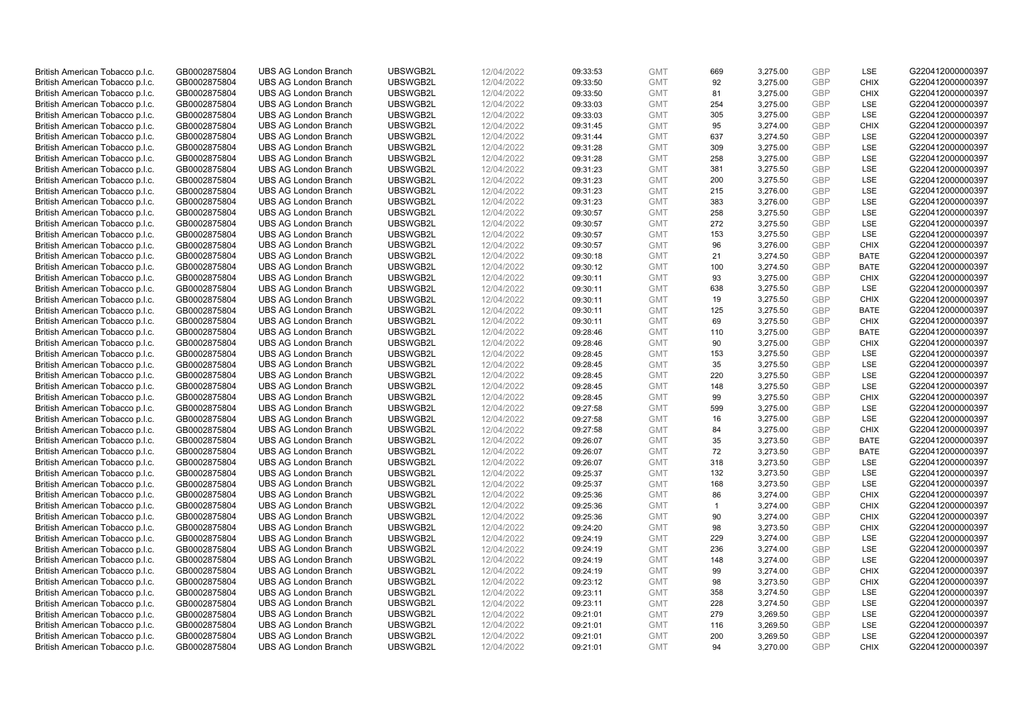| British American Tobacco p.l.c. | GB0002875804                 | <b>UBS AG London Branch</b> | UBSWGB2L | 12/04/2022               | 09:33:53 | <b>GMT</b> | 669            | 3,275.00 | <b>GBP</b> | LSE         | G220412000000397 |
|---------------------------------|------------------------------|-----------------------------|----------|--------------------------|----------|------------|----------------|----------|------------|-------------|------------------|
| British American Tobacco p.l.c. | GB0002875804                 | <b>UBS AG London Branch</b> | UBSWGB2L | 12/04/2022               | 09:33:50 | <b>GMT</b> | 92             | 3,275.00 | <b>GBP</b> | <b>CHIX</b> | G220412000000397 |
|                                 |                              | <b>UBS AG London Branch</b> | UBSWGB2L |                          |          | <b>GMT</b> | 81             | 3,275.00 | <b>GBP</b> | <b>CHIX</b> | G220412000000397 |
| British American Tobacco p.l.c. | GB0002875804                 |                             |          | 12/04/2022               | 09:33:50 |            |                |          |            |             |                  |
| British American Tobacco p.l.c. | GB0002875804                 | <b>UBS AG London Branch</b> | UBSWGB2L | 12/04/2022               | 09:33:03 | <b>GMT</b> | 254            | 3,275.00 | <b>GBP</b> | LSE         | G220412000000397 |
| British American Tobacco p.l.c. | GB0002875804                 | <b>UBS AG London Branch</b> | UBSWGB2L | 12/04/2022               | 09:33:03 | <b>GMT</b> | 305            | 3,275.00 | <b>GBP</b> | LSE         | G220412000000397 |
| British American Tobacco p.l.c. | GB0002875804                 | <b>UBS AG London Branch</b> | UBSWGB2L | 12/04/2022               | 09:31:45 | <b>GMT</b> | 95             | 3,274.00 | <b>GBP</b> | <b>CHIX</b> | G220412000000397 |
| British American Tobacco p.l.c. | GB0002875804                 | <b>UBS AG London Branch</b> | UBSWGB2L | 12/04/2022               | 09:31:44 | <b>GMT</b> | 637            | 3,274.50 | <b>GBP</b> | LSE         | G220412000000397 |
| British American Tobacco p.l.c. | GB0002875804                 | <b>UBS AG London Branch</b> | UBSWGB2L | 12/04/2022               | 09:31:28 | <b>GMT</b> | 309            | 3,275.00 | <b>GBP</b> | LSE         | G220412000000397 |
| British American Tobacco p.l.c. | GB0002875804                 | <b>UBS AG London Branch</b> | UBSWGB2L | 12/04/2022               | 09:31:28 | <b>GMT</b> | 258            | 3,275.00 | <b>GBP</b> | LSE         | G220412000000397 |
| British American Tobacco p.l.c. | GB0002875804                 | <b>UBS AG London Branch</b> | UBSWGB2L | 12/04/2022               | 09:31:23 | <b>GMT</b> | 381            | 3,275.50 | <b>GBP</b> | LSE         | G220412000000397 |
| British American Tobacco p.l.c. | GB0002875804                 | <b>UBS AG London Branch</b> | UBSWGB2L | 12/04/2022               | 09:31:23 | <b>GMT</b> | 200            | 3,275.50 | <b>GBP</b> | <b>LSE</b>  | G220412000000397 |
| British American Tobacco p.l.c. | GB0002875804                 | <b>UBS AG London Branch</b> | UBSWGB2L | 12/04/2022               | 09:31:23 | <b>GMT</b> | 215            | 3,276.00 | <b>GBP</b> | LSE         | G220412000000397 |
| British American Tobacco p.l.c. | GB0002875804                 | <b>UBS AG London Branch</b> | UBSWGB2L | 12/04/2022               | 09:31:23 | <b>GMT</b> | 383            | 3,276.00 | <b>GBP</b> | LSE         | G220412000000397 |
| British American Tobacco p.l.c. | GB0002875804                 | <b>UBS AG London Branch</b> | UBSWGB2L | 12/04/2022               | 09:30:57 | <b>GMT</b> | 258            | 3,275.50 | <b>GBP</b> | LSE         | G220412000000397 |
| British American Tobacco p.l.c. | GB0002875804                 | <b>UBS AG London Branch</b> | UBSWGB2L | 12/04/2022               | 09:30:57 | <b>GMT</b> | 272            | 3,275.50 | <b>GBP</b> | LSE         | G220412000000397 |
| British American Tobacco p.l.c. | GB0002875804                 | <b>UBS AG London Branch</b> | UBSWGB2L | 12/04/2022               | 09:30:57 | <b>GMT</b> | 153            | 3,275.50 | <b>GBP</b> | LSE         | G220412000000397 |
| British American Tobacco p.l.c. | GB0002875804                 | <b>UBS AG London Branch</b> | UBSWGB2L | 12/04/2022               | 09:30:57 | <b>GMT</b> | 96             | 3,276.00 | <b>GBP</b> | <b>CHIX</b> | G220412000000397 |
| British American Tobacco p.l.c. | GB0002875804                 | <b>UBS AG London Branch</b> | UBSWGB2L | 12/04/2022               | 09:30:18 | <b>GMT</b> | 21             | 3,274.50 | <b>GBP</b> | <b>BATE</b> | G220412000000397 |
|                                 |                              | <b>UBS AG London Branch</b> | UBSWGB2L |                          | 09:30:12 | <b>GMT</b> | 100            | 3,274.50 | <b>GBP</b> | <b>BATE</b> | G220412000000397 |
| British American Tobacco p.l.c. | GB0002875804<br>GB0002875804 | <b>UBS AG London Branch</b> | UBSWGB2L | 12/04/2022<br>12/04/2022 |          | <b>GMT</b> | 93             |          | <b>GBP</b> | <b>CHIX</b> | G220412000000397 |
| British American Tobacco p.l.c. |                              |                             |          |                          | 09:30:11 |            |                | 3,275.00 |            |             |                  |
| British American Tobacco p.l.c. | GB0002875804                 | <b>UBS AG London Branch</b> | UBSWGB2L | 12/04/2022               | 09:30:11 | <b>GMT</b> | 638            | 3,275.50 | <b>GBP</b> | LSE         | G220412000000397 |
| British American Tobacco p.l.c. | GB0002875804                 | <b>UBS AG London Branch</b> | UBSWGB2L | 12/04/2022               | 09:30:11 | <b>GMT</b> | 19             | 3,275.50 | <b>GBP</b> | <b>CHIX</b> | G220412000000397 |
| British American Tobacco p.l.c. | GB0002875804                 | <b>UBS AG London Branch</b> | UBSWGB2L | 12/04/2022               | 09:30:11 | <b>GMT</b> | 125            | 3,275.50 | <b>GBP</b> | <b>BATE</b> | G220412000000397 |
| British American Tobacco p.l.c. | GB0002875804                 | <b>UBS AG London Branch</b> | UBSWGB2L | 12/04/2022               | 09:30:11 | <b>GMT</b> | 69             | 3,275.50 | <b>GBP</b> | <b>CHIX</b> | G220412000000397 |
| British American Tobacco p.l.c. | GB0002875804                 | <b>UBS AG London Branch</b> | UBSWGB2L | 12/04/2022               | 09:28:46 | <b>GMT</b> | 110            | 3,275.00 | <b>GBP</b> | <b>BATE</b> | G220412000000397 |
| British American Tobacco p.l.c. | GB0002875804                 | <b>UBS AG London Branch</b> | UBSWGB2L | 12/04/2022               | 09:28:46 | <b>GMT</b> | 90             | 3,275.00 | <b>GBP</b> | <b>CHIX</b> | G220412000000397 |
| British American Tobacco p.l.c. | GB0002875804                 | <b>UBS AG London Branch</b> | UBSWGB2L | 12/04/2022               | 09:28:45 | <b>GMT</b> | 153            | 3,275.50 | <b>GBP</b> | <b>LSE</b>  | G220412000000397 |
| British American Tobacco p.l.c. | GB0002875804                 | <b>UBS AG London Branch</b> | UBSWGB2L | 12/04/2022               | 09:28:45 | <b>GMT</b> | 35             | 3,275.50 | <b>GBP</b> | LSE         | G220412000000397 |
| British American Tobacco p.l.c. | GB0002875804                 | <b>UBS AG London Branch</b> | UBSWGB2L | 12/04/2022               | 09:28:45 | <b>GMT</b> | 220            | 3,275.50 | <b>GBP</b> | LSE         | G220412000000397 |
| British American Tobacco p.l.c. | GB0002875804                 | UBS AG London Branch        | UBSWGB2L | 12/04/2022               | 09:28:45 | <b>GMT</b> | 148            | 3,275.50 | <b>GBP</b> | LSE         | G220412000000397 |
| British American Tobacco p.l.c. | GB0002875804                 | <b>UBS AG London Branch</b> | UBSWGB2L | 12/04/2022               | 09:28:45 | <b>GMT</b> | 99             | 3,275.50 | <b>GBP</b> | <b>CHIX</b> | G220412000000397 |
| British American Tobacco p.l.c. | GB0002875804                 | <b>UBS AG London Branch</b> | UBSWGB2L | 12/04/2022               | 09:27:58 | <b>GMT</b> | 599            | 3,275.00 | <b>GBP</b> | <b>LSE</b>  | G220412000000397 |
| British American Tobacco p.l.c. | GB0002875804                 | <b>UBS AG London Branch</b> | UBSWGB2L | 12/04/2022               | 09:27:58 | <b>GMT</b> | 16             | 3,275.00 | <b>GBP</b> | LSE         | G220412000000397 |
| British American Tobacco p.l.c. | GB0002875804                 | <b>UBS AG London Branch</b> | UBSWGB2L | 12/04/2022               | 09:27:58 | <b>GMT</b> | 84             | 3,275.00 | <b>GBP</b> | <b>CHIX</b> | G220412000000397 |
| British American Tobacco p.l.c. | GB0002875804                 | <b>UBS AG London Branch</b> | UBSWGB2L | 12/04/2022               | 09:26:07 | <b>GMT</b> | 35             | 3,273.50 | <b>GBP</b> | <b>BATE</b> | G220412000000397 |
| British American Tobacco p.l.c. | GB0002875804                 | <b>UBS AG London Branch</b> | UBSWGB2L | 12/04/2022               | 09:26:07 | <b>GMT</b> | 72             | 3,273.50 | <b>GBP</b> | <b>BATE</b> | G220412000000397 |
| British American Tobacco p.l.c. | GB0002875804                 | <b>UBS AG London Branch</b> | UBSWGB2L | 12/04/2022               | 09:26:07 | <b>GMT</b> | 318            | 3,273.50 | <b>GBP</b> | <b>LSE</b>  | G220412000000397 |
| British American Tobacco p.l.c. | GB0002875804                 | <b>UBS AG London Branch</b> | UBSWGB2L | 12/04/2022               | 09:25:37 | <b>GMT</b> | 132            | 3,273.50 | <b>GBP</b> | LSE         | G220412000000397 |
| British American Tobacco p.l.c. | GB0002875804                 | <b>UBS AG London Branch</b> | UBSWGB2L | 12/04/2022               | 09:25:37 | <b>GMT</b> | 168            | 3,273.50 | <b>GBP</b> | LSE         | G220412000000397 |
| British American Tobacco p.l.c. | GB0002875804                 | UBS AG London Branch        | UBSWGB2L | 12/04/2022               | 09:25:36 | <b>GMT</b> | 86             | 3,274.00 | <b>GBP</b> | <b>CHIX</b> | G220412000000397 |
| British American Tobacco p.l.c. | GB0002875804                 | <b>UBS AG London Branch</b> | UBSWGB2L | 12/04/2022               | 09:25:36 | <b>GMT</b> | $\overline{1}$ | 3,274.00 | <b>GBP</b> | <b>CHIX</b> | G220412000000397 |
| British American Tobacco p.l.c. | GB0002875804                 | <b>UBS AG London Branch</b> | UBSWGB2L | 12/04/2022               | 09:25:36 | <b>GMT</b> | 90             | 3,274.00 | <b>GBP</b> | <b>CHIX</b> | G220412000000397 |
| British American Tobacco p.l.c. | GB0002875804                 | <b>UBS AG London Branch</b> | UBSWGB2L | 12/04/2022               | 09:24:20 | <b>GMT</b> | 98             | 3,273.50 | <b>GBP</b> | <b>CHIX</b> | G220412000000397 |
| British American Tobacco p.l.c. | GB0002875804                 | <b>UBS AG London Branch</b> | UBSWGB2L | 12/04/2022               | 09:24:19 | <b>GMT</b> | 229            | 3,274.00 | <b>GBP</b> | LSE         | G220412000000397 |
| British American Tobacco p.l.c. | GB0002875804                 | UBS AG London Branch        | UBSWGB2L | 12/04/2022               | 09:24:19 | <b>GMT</b> | 236            | 3,274.00 | <b>GBP</b> | LSE         | G220412000000397 |
| British American Tobacco p.l.c. | GB0002875804                 | <b>UBS AG London Branch</b> | UBSWGB2L | 12/04/2022               | 09:24:19 | <b>GMT</b> | 148            | 3,274.00 | <b>GBP</b> | LSE         | G220412000000397 |
| British American Tobacco p.l.c. | GB0002875804                 | <b>UBS AG London Branch</b> | UBSWGB2L | 12/04/2022               | 09:24:19 | <b>GMT</b> | 99             | 3,274.00 | <b>GBP</b> | <b>CHIX</b> | G220412000000397 |
| British American Tobacco p.l.c. | GB0002875804                 | <b>UBS AG London Branch</b> | UBSWGB2L | 12/04/2022               | 09:23:12 | <b>GMT</b> | 98             | 3,273.50 | <b>GBP</b> | <b>CHIX</b> | G220412000000397 |
|                                 |                              |                             |          |                          |          | <b>GMT</b> |                |          | <b>GBP</b> |             |                  |
| British American Tobacco p.l.c. | GB0002875804                 | <b>UBS AG London Branch</b> | UBSWGB2L | 12/04/2022               | 09:23:11 |            | 358            | 3,274.50 | <b>GBP</b> | LSE         | G220412000000397 |
| British American Tobacco p.l.c. | GB0002875804                 | <b>UBS AG London Branch</b> | UBSWGB2L | 12/04/2022               | 09:23:11 | <b>GMT</b> | 228            | 3,274.50 |            | LSE         | G220412000000397 |
| British American Tobacco p.l.c. | GB0002875804                 | <b>UBS AG London Branch</b> | UBSWGB2L | 12/04/2022               | 09:21:01 | <b>GMT</b> | 279            | 3,269.50 | <b>GBP</b> | LSE         | G220412000000397 |
| British American Tobacco p.l.c. | GB0002875804                 | <b>UBS AG London Branch</b> | UBSWGB2L | 12/04/2022               | 09:21:01 | <b>GMT</b> | 116            | 3,269.50 | <b>GBP</b> | LSE         | G220412000000397 |
| British American Tobacco p.l.c. | GB0002875804                 | <b>UBS AG London Branch</b> | UBSWGB2L | 12/04/2022               | 09:21:01 | <b>GMT</b> | 200            | 3,269.50 | <b>GBP</b> | LSE         | G220412000000397 |
| British American Tobacco p.l.c. | GB0002875804                 | <b>UBS AG London Branch</b> | UBSWGB2L | 12/04/2022               | 09:21:01 | <b>GMT</b> | 94             | 3.270.00 | GBP        | <b>CHIX</b> | G220412000000397 |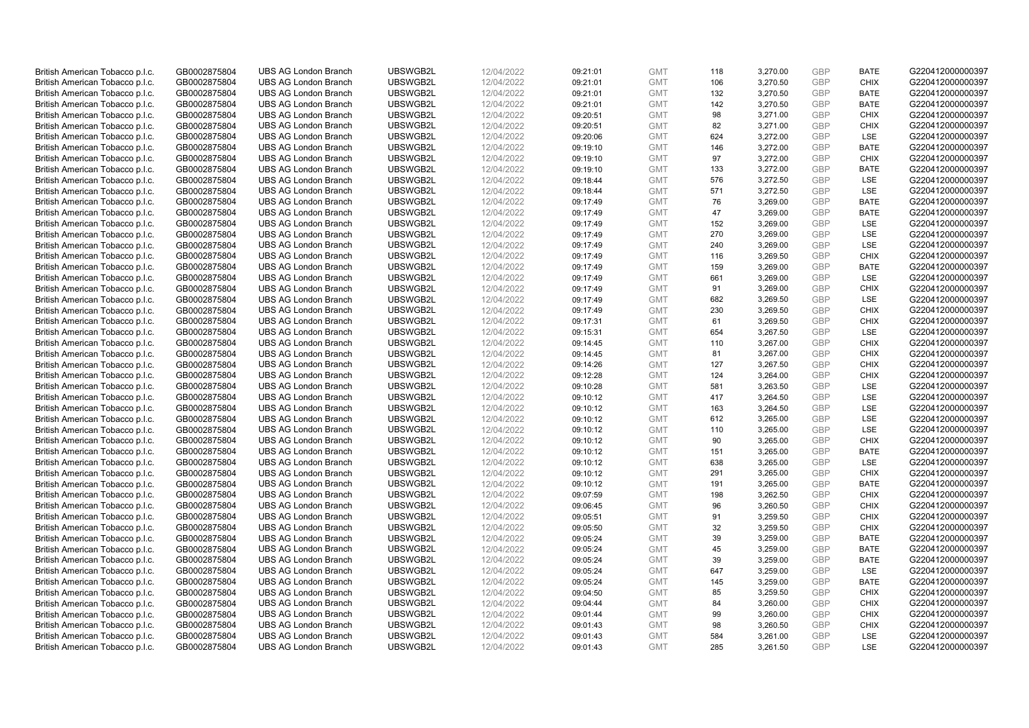| British American Tobacco p.l.c. | GB0002875804 | <b>UBS AG London Branch</b> | UBSWGB2L | 12/04/2022 | 09:21:01 | <b>GMT</b> | 118 | 3,270.00 | <b>GBP</b> | <b>BATE</b> | G220412000000397 |
|---------------------------------|--------------|-----------------------------|----------|------------|----------|------------|-----|----------|------------|-------------|------------------|
| British American Tobacco p.l.c. | GB0002875804 | <b>UBS AG London Branch</b> | UBSWGB2L | 12/04/2022 | 09:21:01 | <b>GMT</b> | 106 | 3,270.50 | <b>GBP</b> | <b>CHIX</b> | G220412000000397 |
|                                 |              | <b>UBS AG London Branch</b> | UBSWGB2L |            |          | <b>GMT</b> | 132 | 3,270.50 | <b>GBP</b> | <b>BATE</b> | G220412000000397 |
| British American Tobacco p.l.c. | GB0002875804 |                             |          | 12/04/2022 | 09:21:01 |            |     |          |            |             |                  |
| British American Tobacco p.l.c. | GB0002875804 | <b>UBS AG London Branch</b> | UBSWGB2L | 12/04/2022 | 09:21:01 | <b>GMT</b> | 142 | 3,270.50 | <b>GBP</b> | <b>BATE</b> | G220412000000397 |
| British American Tobacco p.l.c. | GB0002875804 | <b>UBS AG London Branch</b> | UBSWGB2L | 12/04/2022 | 09:20:51 | <b>GMT</b> | 98  | 3,271.00 | <b>GBP</b> | <b>CHIX</b> | G220412000000397 |
| British American Tobacco p.l.c. | GB0002875804 | <b>UBS AG London Branch</b> | UBSWGB2L | 12/04/2022 | 09:20:51 | <b>GMT</b> | 82  | 3,271.00 | <b>GBP</b> | <b>CHIX</b> | G220412000000397 |
| British American Tobacco p.l.c. | GB0002875804 | <b>UBS AG London Branch</b> | UBSWGB2L | 12/04/2022 | 09:20:06 | <b>GMT</b> | 624 | 3,272.00 | <b>GBP</b> | LSE         | G220412000000397 |
| British American Tobacco p.l.c. | GB0002875804 | <b>UBS AG London Branch</b> | UBSWGB2L | 12/04/2022 | 09:19:10 | <b>GMT</b> | 146 | 3,272.00 | <b>GBP</b> | <b>BATE</b> | G220412000000397 |
| British American Tobacco p.l.c. | GB0002875804 | <b>UBS AG London Branch</b> | UBSWGB2L | 12/04/2022 | 09:19:10 | <b>GMT</b> | 97  | 3,272.00 | <b>GBP</b> | <b>CHIX</b> | G220412000000397 |
| British American Tobacco p.l.c. | GB0002875804 | <b>UBS AG London Branch</b> | UBSWGB2L | 12/04/2022 | 09:19:10 | <b>GMT</b> | 133 | 3,272.00 | <b>GBP</b> | <b>BATE</b> | G220412000000397 |
| British American Tobacco p.l.c. | GB0002875804 | <b>UBS AG London Branch</b> | UBSWGB2L | 12/04/2022 | 09:18:44 | <b>GMT</b> | 576 | 3,272.50 | <b>GBP</b> | <b>LSE</b>  | G220412000000397 |
| British American Tobacco p.l.c. | GB0002875804 | <b>UBS AG London Branch</b> | UBSWGB2L | 12/04/2022 | 09:18:44 | <b>GMT</b> | 571 | 3,272.50 | <b>GBP</b> | LSE         | G220412000000397 |
| British American Tobacco p.l.c. | GB0002875804 | <b>UBS AG London Branch</b> | UBSWGB2L | 12/04/2022 | 09:17:49 | <b>GMT</b> | 76  | 3,269.00 | <b>GBP</b> | <b>BATE</b> | G220412000000397 |
| British American Tobacco p.l.c. | GB0002875804 | <b>UBS AG London Branch</b> | UBSWGB2L | 12/04/2022 | 09:17:49 | <b>GMT</b> | 47  | 3,269.00 | <b>GBP</b> | <b>BATE</b> | G220412000000397 |
| British American Tobacco p.l.c. | GB0002875804 | <b>UBS AG London Branch</b> | UBSWGB2L | 12/04/2022 | 09:17:49 | <b>GMT</b> | 152 | 3,269.00 | <b>GBP</b> | LSE         | G220412000000397 |
| British American Tobacco p.l.c. | GB0002875804 | <b>UBS AG London Branch</b> | UBSWGB2L | 12/04/2022 | 09:17:49 | <b>GMT</b> | 270 | 3,269.00 | <b>GBP</b> | LSE         | G220412000000397 |
| British American Tobacco p.l.c. | GB0002875804 | <b>UBS AG London Branch</b> | UBSWGB2L | 12/04/2022 | 09:17:49 | <b>GMT</b> | 240 | 3,269.00 | <b>GBP</b> | LSE         | G220412000000397 |
| British American Tobacco p.l.c. | GB0002875804 | <b>UBS AG London Branch</b> | UBSWGB2L | 12/04/2022 | 09:17:49 | <b>GMT</b> | 116 | 3,269.50 | <b>GBP</b> | <b>CHIX</b> | G220412000000397 |
| British American Tobacco p.l.c. | GB0002875804 | <b>UBS AG London Branch</b> | UBSWGB2L | 12/04/2022 | 09:17:49 | <b>GMT</b> | 159 | 3,269.00 | <b>GBP</b> | <b>BATE</b> | G220412000000397 |
| British American Tobacco p.l.c. | GB0002875804 | <b>UBS AG London Branch</b> | UBSWGB2L | 12/04/2022 | 09:17:49 | <b>GMT</b> | 661 | 3,269.00 | <b>GBP</b> | LSE         | G220412000000397 |
| British American Tobacco p.l.c. | GB0002875804 | <b>UBS AG London Branch</b> | UBSWGB2L | 12/04/2022 | 09:17:49 | <b>GMT</b> | 91  | 3,269.00 | <b>GBP</b> | <b>CHIX</b> | G220412000000397 |
| British American Tobacco p.l.c. | GB0002875804 | <b>UBS AG London Branch</b> | UBSWGB2L | 12/04/2022 | 09:17:49 | <b>GMT</b> | 682 | 3,269.50 | <b>GBP</b> | LSE         | G220412000000397 |
| British American Tobacco p.l.c. | GB0002875804 | <b>UBS AG London Branch</b> | UBSWGB2L | 12/04/2022 | 09:17:49 | <b>GMT</b> | 230 | 3,269.50 | <b>GBP</b> | <b>CHIX</b> | G220412000000397 |
| British American Tobacco p.l.c. | GB0002875804 | <b>UBS AG London Branch</b> | UBSWGB2L | 12/04/2022 | 09:17:31 | <b>GMT</b> | 61  | 3,269.50 | <b>GBP</b> | <b>CHIX</b> | G220412000000397 |
| British American Tobacco p.l.c. | GB0002875804 | <b>UBS AG London Branch</b> | UBSWGB2L | 12/04/2022 | 09:15:31 | <b>GMT</b> | 654 | 3,267.50 | <b>GBP</b> | LSE         | G220412000000397 |
| British American Tobacco p.l.c. | GB0002875804 | <b>UBS AG London Branch</b> | UBSWGB2L | 12/04/2022 | 09:14:45 | <b>GMT</b> | 110 | 3,267.00 | <b>GBP</b> | <b>CHIX</b> | G220412000000397 |
| British American Tobacco p.l.c. | GB0002875804 | <b>UBS AG London Branch</b> | UBSWGB2L | 12/04/2022 | 09:14:45 | <b>GMT</b> | 81  | 3,267.00 | <b>GBP</b> | <b>CHIX</b> | G220412000000397 |
|                                 |              |                             | UBSWGB2L | 12/04/2022 |          | <b>GMT</b> | 127 | 3,267.50 | <b>GBP</b> | <b>CHIX</b> |                  |
| British American Tobacco p.l.c. | GB0002875804 | <b>UBS AG London Branch</b> |          |            | 09:14:26 |            |     |          |            |             | G220412000000397 |
| British American Tobacco p.l.c. | GB0002875804 | <b>UBS AG London Branch</b> | UBSWGB2L | 12/04/2022 | 09:12:28 | <b>GMT</b> | 124 | 3,264.00 | <b>GBP</b> | <b>CHIX</b> | G220412000000397 |
| British American Tobacco p.l.c. | GB0002875804 | UBS AG London Branch        | UBSWGB2L | 12/04/2022 | 09:10:28 | <b>GMT</b> | 581 | 3,263.50 | <b>GBP</b> | LSE         | G220412000000397 |
| British American Tobacco p.l.c. | GB0002875804 | <b>UBS AG London Branch</b> | UBSWGB2L | 12/04/2022 | 09:10:12 | <b>GMT</b> | 417 | 3,264.50 | <b>GBP</b> | LSE         | G220412000000397 |
| British American Tobacco p.l.c. | GB0002875804 | <b>UBS AG London Branch</b> | UBSWGB2L | 12/04/2022 | 09:10:12 | <b>GMT</b> | 163 | 3,264.50 | <b>GBP</b> | <b>LSE</b>  | G220412000000397 |
| British American Tobacco p.l.c. | GB0002875804 | <b>UBS AG London Branch</b> | UBSWGB2L | 12/04/2022 | 09:10:12 | <b>GMT</b> | 612 | 3,265.00 | <b>GBP</b> | LSE         | G220412000000397 |
| British American Tobacco p.l.c. | GB0002875804 | <b>UBS AG London Branch</b> | UBSWGB2L | 12/04/2022 | 09:10:12 | <b>GMT</b> | 110 | 3,265.00 | <b>GBP</b> | LSE         | G220412000000397 |
| British American Tobacco p.l.c. | GB0002875804 | <b>UBS AG London Branch</b> | UBSWGB2L | 12/04/2022 | 09:10:12 | <b>GMT</b> | 90  | 3,265.00 | <b>GBP</b> | <b>CHIX</b> | G220412000000397 |
| British American Tobacco p.l.c. | GB0002875804 | <b>UBS AG London Branch</b> | UBSWGB2L | 12/04/2022 | 09:10:12 | <b>GMT</b> | 151 | 3,265.00 | <b>GBP</b> | <b>BATE</b> | G220412000000397 |
| British American Tobacco p.l.c. | GB0002875804 | <b>UBS AG London Branch</b> | UBSWGB2L | 12/04/2022 | 09:10:12 | <b>GMT</b> | 638 | 3,265.00 | <b>GBP</b> | <b>LSE</b>  | G220412000000397 |
| British American Tobacco p.l.c. | GB0002875804 | <b>UBS AG London Branch</b> | UBSWGB2L | 12/04/2022 | 09:10:12 | <b>GMT</b> | 291 | 3,265.00 | <b>GBP</b> | <b>CHIX</b> | G220412000000397 |
| British American Tobacco p.l.c. | GB0002875804 | <b>UBS AG London Branch</b> | UBSWGB2L | 12/04/2022 | 09:10:12 | <b>GMT</b> | 191 | 3,265.00 | <b>GBP</b> | <b>BATE</b> | G220412000000397 |
| British American Tobacco p.l.c. | GB0002875804 | UBS AG London Branch        | UBSWGB2L | 12/04/2022 | 09:07:59 | <b>GMT</b> | 198 | 3,262.50 | <b>GBP</b> | <b>CHIX</b> | G220412000000397 |
| British American Tobacco p.l.c. | GB0002875804 | <b>UBS AG London Branch</b> | UBSWGB2L | 12/04/2022 | 09:06:45 | <b>GMT</b> | 96  | 3,260.50 | <b>GBP</b> | <b>CHIX</b> | G220412000000397 |
| British American Tobacco p.l.c. | GB0002875804 | <b>UBS AG London Branch</b> | UBSWGB2L | 12/04/2022 | 09:05:51 | <b>GMT</b> | 91  | 3,259.50 | <b>GBP</b> | <b>CHIX</b> | G220412000000397 |
| British American Tobacco p.l.c. | GB0002875804 | <b>UBS AG London Branch</b> | UBSWGB2L | 12/04/2022 | 09:05:50 | <b>GMT</b> | 32  | 3,259.50 | <b>GBP</b> | <b>CHIX</b> | G220412000000397 |
| British American Tobacco p.l.c. | GB0002875804 | <b>UBS AG London Branch</b> | UBSWGB2L | 12/04/2022 | 09:05:24 | <b>GMT</b> | 39  | 3,259.00 | <b>GBP</b> | <b>BATE</b> | G220412000000397 |
| British American Tobacco p.l.c. | GB0002875804 | UBS AG London Branch        | UBSWGB2L | 12/04/2022 | 09:05:24 | <b>GMT</b> | 45  | 3,259.00 | <b>GBP</b> | <b>BATE</b> | G220412000000397 |
| British American Tobacco p.l.c. | GB0002875804 | <b>UBS AG London Branch</b> | UBSWGB2L | 12/04/2022 | 09:05:24 | <b>GMT</b> | 39  | 3,259.00 | <b>GBP</b> | <b>BATE</b> | G220412000000397 |
| British American Tobacco p.l.c. | GB0002875804 | <b>UBS AG London Branch</b> | UBSWGB2L | 12/04/2022 | 09:05:24 | <b>GMT</b> | 647 | 3,259.00 | <b>GBP</b> | <b>LSE</b>  | G220412000000397 |
| British American Tobacco p.l.c. | GB0002875804 | <b>UBS AG London Branch</b> | UBSWGB2L | 12/04/2022 | 09:05:24 | <b>GMT</b> | 145 | 3,259.00 | <b>GBP</b> | <b>BATE</b> | G220412000000397 |
| British American Tobacco p.l.c. | GB0002875804 | <b>UBS AG London Branch</b> | UBSWGB2L | 12/04/2022 | 09:04:50 | <b>GMT</b> | 85  | 3,259.50 | <b>GBP</b> | <b>CHIX</b> | G220412000000397 |
| British American Tobacco p.l.c. | GB0002875804 | <b>UBS AG London Branch</b> | UBSWGB2L | 12/04/2022 | 09:04:44 | <b>GMT</b> | 84  | 3,260.00 | <b>GBP</b> | <b>CHIX</b> | G220412000000397 |
| British American Tobacco p.l.c. | GB0002875804 | <b>UBS AG London Branch</b> | UBSWGB2L | 12/04/2022 | 09:01:44 | <b>GMT</b> | 99  | 3,260.00 | <b>GBP</b> | <b>CHIX</b> | G220412000000397 |
| British American Tobacco p.l.c. | GB0002875804 | <b>UBS AG London Branch</b> | UBSWGB2L | 12/04/2022 | 09:01:43 | <b>GMT</b> | 98  | 3,260.50 | <b>GBP</b> | <b>CHIX</b> | G220412000000397 |
| British American Tobacco p.l.c. | GB0002875804 | <b>UBS AG London Branch</b> | UBSWGB2L | 12/04/2022 | 09:01:43 | <b>GMT</b> | 584 | 3,261.00 | <b>GBP</b> | <b>LSE</b>  | G220412000000397 |
| British American Tobacco p.l.c. | GB0002875804 | <b>UBS AG London Branch</b> | UBSWGB2L | 12/04/2022 | 09:01:43 | <b>GMT</b> | 285 | 3,261.50 | GBP        | <b>LSE</b>  | G220412000000397 |
|                                 |              |                             |          |            |          |            |     |          |            |             |                  |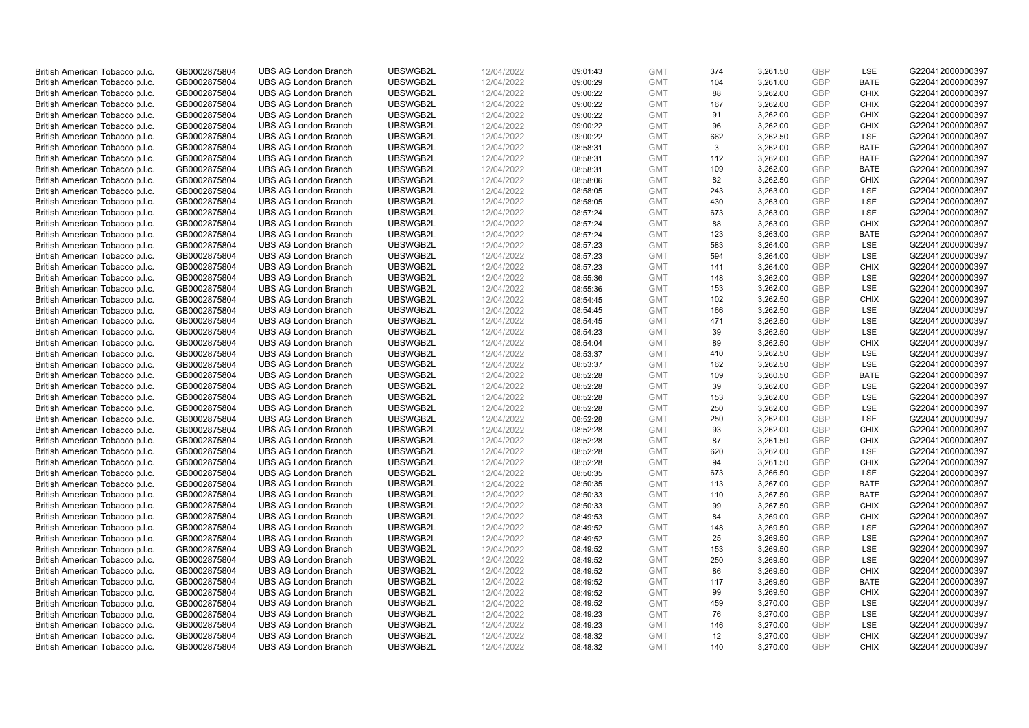| British American Tobacco p.l.c. | GB0002875804 | <b>UBS AG London Branch</b> | UBSWGB2L | 12/04/2022 | 09:01:43 | <b>GMT</b> | 374 | 3,261.50 | <b>GBP</b>               | LSE         | G220412000000397 |
|---------------------------------|--------------|-----------------------------|----------|------------|----------|------------|-----|----------|--------------------------|-------------|------------------|
| British American Tobacco p.l.c. | GB0002875804 | <b>UBS AG London Branch</b> | UBSWGB2L | 12/04/2022 | 09:00:29 | <b>GMT</b> | 104 | 3,261.00 | <b>GBP</b>               | <b>BATE</b> | G220412000000397 |
| British American Tobacco p.l.c. | GB0002875804 | <b>UBS AG London Branch</b> | UBSWGB2L | 12/04/2022 | 09:00:22 | <b>GMT</b> | 88  | 3,262.00 | <b>GBP</b>               | <b>CHIX</b> | G220412000000397 |
| British American Tobacco p.l.c. | GB0002875804 | <b>UBS AG London Branch</b> | UBSWGB2L | 12/04/2022 | 09:00:22 | <b>GMT</b> | 167 | 3,262.00 | <b>GBP</b>               | <b>CHIX</b> | G220412000000397 |
| British American Tobacco p.l.c. | GB0002875804 | <b>UBS AG London Branch</b> | UBSWGB2L | 12/04/2022 | 09:00:22 | <b>GMT</b> | 91  | 3,262.00 | <b>GBP</b>               | <b>CHIX</b> | G220412000000397 |
|                                 |              | <b>UBS AG London Branch</b> |          |            |          |            |     |          |                          |             |                  |
| British American Tobacco p.l.c. | GB0002875804 |                             | UBSWGB2L | 12/04/2022 | 09:00:22 | <b>GMT</b> | 96  | 3,262.00 | <b>GBP</b><br><b>GBP</b> | <b>CHIX</b> | G220412000000397 |
| British American Tobacco p.l.c. | GB0002875804 | <b>UBS AG London Branch</b> | UBSWGB2L | 12/04/2022 | 09:00:22 | <b>GMT</b> | 662 | 3,262.50 |                          | LSE         | G220412000000397 |
| British American Tobacco p.l.c. | GB0002875804 | <b>UBS AG London Branch</b> | UBSWGB2L | 12/04/2022 | 08:58:31 | <b>GMT</b> | 3   | 3,262.00 | <b>GBP</b>               | <b>BATE</b> | G220412000000397 |
| British American Tobacco p.l.c. | GB0002875804 | <b>UBS AG London Branch</b> | UBSWGB2L | 12/04/2022 | 08:58:31 | <b>GMT</b> | 112 | 3,262.00 | <b>GBP</b>               | <b>BATE</b> | G220412000000397 |
| British American Tobacco p.l.c. | GB0002875804 | <b>UBS AG London Branch</b> | UBSWGB2L | 12/04/2022 | 08:58:31 | <b>GMT</b> | 109 | 3,262.00 | <b>GBP</b>               | <b>BATE</b> | G220412000000397 |
| British American Tobacco p.l.c. | GB0002875804 | <b>UBS AG London Branch</b> | UBSWGB2L | 12/04/2022 | 08:58:06 | <b>GMT</b> | 82  | 3,262.50 | <b>GBP</b>               | <b>CHIX</b> | G220412000000397 |
| British American Tobacco p.l.c. | GB0002875804 | <b>UBS AG London Branch</b> | UBSWGB2L | 12/04/2022 | 08:58:05 | <b>GMT</b> | 243 | 3,263.00 | <b>GBP</b>               | LSE         | G220412000000397 |
| British American Tobacco p.l.c. | GB0002875804 | <b>UBS AG London Branch</b> | UBSWGB2L | 12/04/2022 | 08:58:05 | <b>GMT</b> | 430 | 3,263.00 | <b>GBP</b>               | LSE         | G220412000000397 |
| British American Tobacco p.l.c. | GB0002875804 | <b>UBS AG London Branch</b> | UBSWGB2L | 12/04/2022 | 08:57:24 | <b>GMT</b> | 673 | 3,263.00 | <b>GBP</b>               | LSE         | G220412000000397 |
| British American Tobacco p.l.c. | GB0002875804 | <b>UBS AG London Branch</b> | UBSWGB2L | 12/04/2022 | 08:57:24 | <b>GMT</b> | 88  | 3,263.00 | <b>GBP</b>               | <b>CHIX</b> | G220412000000397 |
| British American Tobacco p.l.c. | GB0002875804 | <b>UBS AG London Branch</b> | UBSWGB2L | 12/04/2022 | 08:57:24 | <b>GMT</b> | 123 | 3,263.00 | <b>GBP</b>               | <b>BATE</b> | G220412000000397 |
| British American Tobacco p.l.c. | GB0002875804 | <b>UBS AG London Branch</b> | UBSWGB2L | 12/04/2022 | 08:57:23 | <b>GMT</b> | 583 | 3,264.00 | <b>GBP</b>               | LSE         | G220412000000397 |
| British American Tobacco p.l.c. | GB0002875804 | <b>UBS AG London Branch</b> | UBSWGB2L | 12/04/2022 | 08:57:23 | <b>GMT</b> | 594 | 3,264.00 | <b>GBP</b>               | LSE         | G220412000000397 |
| British American Tobacco p.l.c. | GB0002875804 | <b>UBS AG London Branch</b> | UBSWGB2L | 12/04/2022 | 08:57:23 | <b>GMT</b> | 141 | 3,264.00 | <b>GBP</b>               | <b>CHIX</b> | G220412000000397 |
| British American Tobacco p.l.c. | GB0002875804 | <b>UBS AG London Branch</b> | UBSWGB2L | 12/04/2022 | 08:55:36 | <b>GMT</b> | 148 | 3,262.00 | <b>GBP</b>               | LSE         | G220412000000397 |
| British American Tobacco p.l.c. | GB0002875804 | <b>UBS AG London Branch</b> | UBSWGB2L | 12/04/2022 | 08:55:36 | <b>GMT</b> | 153 | 3,262.00 | <b>GBP</b>               | LSE         | G220412000000397 |
| British American Tobacco p.l.c. | GB0002875804 | <b>UBS AG London Branch</b> | UBSWGB2L | 12/04/2022 | 08:54:45 | <b>GMT</b> | 102 | 3,262.50 | <b>GBP</b>               | <b>CHIX</b> | G220412000000397 |
| British American Tobacco p.l.c. | GB0002875804 | <b>UBS AG London Branch</b> | UBSWGB2L | 12/04/2022 | 08:54:45 | <b>GMT</b> | 166 | 3,262.50 | <b>GBP</b>               | LSE         | G220412000000397 |
| British American Tobacco p.l.c. | GB0002875804 | <b>UBS AG London Branch</b> | UBSWGB2L | 12/04/2022 | 08:54:45 | <b>GMT</b> | 471 | 3,262.50 | <b>GBP</b>               | <b>LSE</b>  | G220412000000397 |
| British American Tobacco p.l.c. | GB0002875804 | <b>UBS AG London Branch</b> | UBSWGB2L | 12/04/2022 | 08:54:23 | <b>GMT</b> | 39  | 3,262.50 | <b>GBP</b>               | LSE         | G220412000000397 |
| British American Tobacco p.l.c. | GB0002875804 | <b>UBS AG London Branch</b> | UBSWGB2L | 12/04/2022 | 08:54:04 | <b>GMT</b> | 89  | 3,262.50 | <b>GBP</b>               | <b>CHIX</b> | G220412000000397 |
| British American Tobacco p.l.c. | GB0002875804 | <b>UBS AG London Branch</b> | UBSWGB2L | 12/04/2022 | 08:53:37 | <b>GMT</b> | 410 | 3,262.50 | <b>GBP</b>               | <b>LSE</b>  | G220412000000397 |
| British American Tobacco p.l.c. | GB0002875804 | <b>UBS AG London Branch</b> | UBSWGB2L | 12/04/2022 | 08:53:37 | <b>GMT</b> | 162 | 3,262.50 | <b>GBP</b>               | LSE         | G220412000000397 |
| British American Tobacco p.l.c. | GB0002875804 | <b>UBS AG London Branch</b> | UBSWGB2L | 12/04/2022 | 08:52:28 | <b>GMT</b> | 109 | 3,260.50 | <b>GBP</b>               | <b>BATE</b> | G220412000000397 |
| British American Tobacco p.l.c. | GB0002875804 | UBS AG London Branch        | UBSWGB2L | 12/04/2022 | 08:52:28 | <b>GMT</b> | 39  | 3,262.00 | <b>GBP</b>               | <b>LSE</b>  | G220412000000397 |
| British American Tobacco p.l.c. | GB0002875804 | <b>UBS AG London Branch</b> | UBSWGB2L | 12/04/2022 | 08:52:28 | <b>GMT</b> | 153 | 3,262.00 | <b>GBP</b>               | LSE         | G220412000000397 |
| British American Tobacco p.l.c. | GB0002875804 | <b>UBS AG London Branch</b> | UBSWGB2L | 12/04/2022 | 08:52:28 | <b>GMT</b> | 250 | 3,262.00 | <b>GBP</b>               | <b>LSE</b>  | G220412000000397 |
| British American Tobacco p.l.c. | GB0002875804 | <b>UBS AG London Branch</b> | UBSWGB2L | 12/04/2022 | 08:52:28 | <b>GMT</b> | 250 | 3,262.00 | <b>GBP</b>               | LSE         | G220412000000397 |
| British American Tobacco p.l.c. | GB0002875804 | <b>UBS AG London Branch</b> | UBSWGB2L | 12/04/2022 | 08:52:28 | <b>GMT</b> | 93  | 3,262.00 | <b>GBP</b>               | <b>CHIX</b> | G220412000000397 |
| British American Tobacco p.l.c. | GB0002875804 | <b>UBS AG London Branch</b> | UBSWGB2L | 12/04/2022 | 08:52:28 | <b>GMT</b> | 87  | 3,261.50 | <b>GBP</b>               | <b>CHIX</b> | G220412000000397 |
| British American Tobacco p.l.c. | GB0002875804 | <b>UBS AG London Branch</b> | UBSWGB2L | 12/04/2022 | 08:52:28 | <b>GMT</b> | 620 | 3,262.00 | <b>GBP</b>               | LSE         | G220412000000397 |
| British American Tobacco p.l.c. | GB0002875804 | <b>UBS AG London Branch</b> | UBSWGB2L | 12/04/2022 | 08:52:28 | <b>GMT</b> | 94  | 3,261.50 | <b>GBP</b>               | <b>CHIX</b> | G220412000000397 |
| British American Tobacco p.l.c. | GB0002875804 | <b>UBS AG London Branch</b> | UBSWGB2L | 12/04/2022 | 08:50:35 | <b>GMT</b> | 673 | 3,266.50 | <b>GBP</b>               | LSE         | G220412000000397 |
| British American Tobacco p.l.c. | GB0002875804 | <b>UBS AG London Branch</b> | UBSWGB2L | 12/04/2022 | 08:50:35 | <b>GMT</b> | 113 | 3,267.00 | <b>GBP</b>               | <b>BATE</b> | G220412000000397 |
| British American Tobacco p.l.c. | GB0002875804 | UBS AG London Branch        | UBSWGB2L | 12/04/2022 | 08:50:33 | <b>GMT</b> | 110 | 3,267.50 | <b>GBP</b>               | <b>BATE</b> | G220412000000397 |
| British American Tobacco p.l.c. | GB0002875804 | <b>UBS AG London Branch</b> | UBSWGB2L | 12/04/2022 |          | <b>GMT</b> | 99  | 3,267.50 | <b>GBP</b>               | <b>CHIX</b> | G220412000000397 |
|                                 |              |                             | UBSWGB2L |            | 08:50:33 |            | 84  |          |                          | <b>CHIX</b> |                  |
| British American Tobacco p.l.c. | GB0002875804 | <b>UBS AG London Branch</b> |          | 12/04/2022 | 08:49:53 | <b>GMT</b> |     | 3,269.00 | <b>GBP</b><br><b>GBP</b> |             | G220412000000397 |
| British American Tobacco p.l.c. | GB0002875804 | <b>UBS AG London Branch</b> | UBSWGB2L | 12/04/2022 | 08:49:52 | <b>GMT</b> | 148 | 3,269.50 |                          | LSE         | G220412000000397 |
| British American Tobacco p.l.c. | GB0002875804 | <b>UBS AG London Branch</b> | UBSWGB2L | 12/04/2022 | 08:49:52 | <b>GMT</b> | 25  | 3,269.50 | <b>GBP</b>               | LSE         | G220412000000397 |
| British American Tobacco p.l.c. | GB0002875804 | UBS AG London Branch        | UBSWGB2L | 12/04/2022 | 08:49:52 | <b>GMT</b> | 153 | 3,269.50 | <b>GBP</b>               | LSE         | G220412000000397 |
| British American Tobacco p.l.c. | GB0002875804 | <b>UBS AG London Branch</b> | UBSWGB2L | 12/04/2022 | 08:49:52 | <b>GMT</b> | 250 | 3,269.50 | <b>GBP</b>               | LSE         | G220412000000397 |
| British American Tobacco p.l.c. | GB0002875804 | <b>UBS AG London Branch</b> | UBSWGB2L | 12/04/2022 | 08:49:52 | <b>GMT</b> | 86  | 3,269.50 | <b>GBP</b>               | <b>CHIX</b> | G220412000000397 |
| British American Tobacco p.l.c. | GB0002875804 | <b>UBS AG London Branch</b> | UBSWGB2L | 12/04/2022 | 08:49:52 | <b>GMT</b> | 117 | 3,269.50 | <b>GBP</b>               | <b>BATE</b> | G220412000000397 |
| British American Tobacco p.l.c. | GB0002875804 | <b>UBS AG London Branch</b> | UBSWGB2L | 12/04/2022 | 08:49:52 | <b>GMT</b> | 99  | 3,269.50 | <b>GBP</b>               | <b>CHIX</b> | G220412000000397 |
| British American Tobacco p.l.c. | GB0002875804 | <b>UBS AG London Branch</b> | UBSWGB2L | 12/04/2022 | 08:49:52 | <b>GMT</b> | 459 | 3,270.00 | <b>GBP</b>               | <b>LSE</b>  | G220412000000397 |
| British American Tobacco p.l.c. | GB0002875804 | <b>UBS AG London Branch</b> | UBSWGB2L | 12/04/2022 | 08:49:23 | <b>GMT</b> | 76  | 3,270.00 | <b>GBP</b>               | LSE         | G220412000000397 |
| British American Tobacco p.l.c. | GB0002875804 | <b>UBS AG London Branch</b> | UBSWGB2L | 12/04/2022 | 08:49:23 | <b>GMT</b> | 146 | 3,270.00 | <b>GBP</b>               | LSE         | G220412000000397 |
| British American Tobacco p.l.c. | GB0002875804 | <b>UBS AG London Branch</b> | UBSWGB2L | 12/04/2022 | 08:48:32 | <b>GMT</b> | 12  | 3,270.00 | <b>GBP</b>               | <b>CHIX</b> | G220412000000397 |
| British American Tobacco p.l.c. | GB0002875804 | <b>UBS AG London Branch</b> | UBSWGB2L | 12/04/2022 | 08:48:32 | <b>GMT</b> | 140 | 3.270.00 | GBP                      | <b>CHIX</b> | G220412000000397 |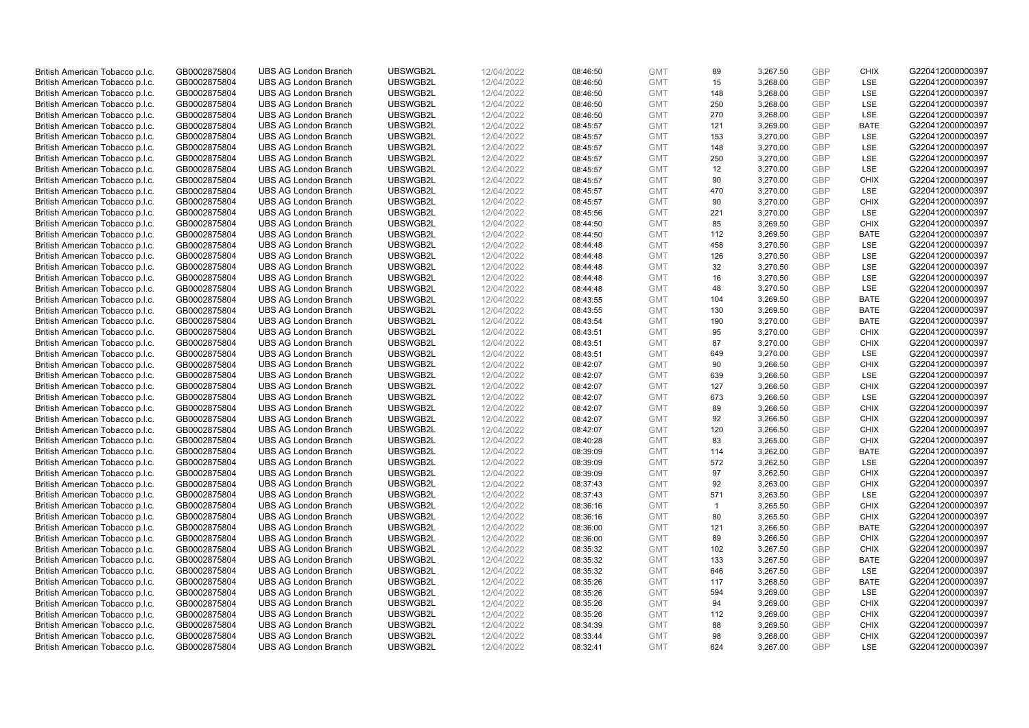| British American Tobacco p.l.c. | GB0002875804 | <b>UBS AG London Branch</b> | UBSWGB2L | 12/04/2022 | 08:46:50 | <b>GMT</b> | 89             | 3,267.50 | <b>GBP</b>               | <b>CHIX</b> | G220412000000397 |
|---------------------------------|--------------|-----------------------------|----------|------------|----------|------------|----------------|----------|--------------------------|-------------|------------------|
| British American Tobacco p.l.c. | GB0002875804 | <b>UBS AG London Branch</b> | UBSWGB2L | 12/04/2022 | 08:46:50 | <b>GMT</b> | 15             | 3,268.00 | <b>GBP</b>               | <b>LSE</b>  | G220412000000397 |
| British American Tobacco p.l.c. | GB0002875804 | <b>UBS AG London Branch</b> | UBSWGB2L | 12/04/2022 | 08:46:50 | <b>GMT</b> | 148            | 3,268.00 | <b>GBP</b>               | LSE         | G220412000000397 |
| British American Tobacco p.l.c. | GB0002875804 | <b>UBS AG London Branch</b> | UBSWGB2L | 12/04/2022 | 08:46:50 | <b>GMT</b> | 250            | 3,268.00 | <b>GBP</b>               | LSE         | G220412000000397 |
| British American Tobacco p.l.c. | GB0002875804 | <b>UBS AG London Branch</b> | UBSWGB2L | 12/04/2022 | 08:46:50 | <b>GMT</b> | 270            | 3,268.00 | <b>GBP</b>               | LSE         | G220412000000397 |
|                                 |              | <b>UBS AG London Branch</b> |          |            |          |            |                |          |                          |             |                  |
| British American Tobacco p.l.c. | GB0002875804 |                             | UBSWGB2L | 12/04/2022 | 08:45:57 | <b>GMT</b> | 121            | 3,269.00 | <b>GBP</b><br><b>GBP</b> | <b>BATE</b> | G220412000000397 |
| British American Tobacco p.l.c. | GB0002875804 | <b>UBS AG London Branch</b> | UBSWGB2L | 12/04/2022 | 08:45:57 | <b>GMT</b> | 153            | 3,270.00 |                          | LSE         | G220412000000397 |
| British American Tobacco p.l.c. | GB0002875804 | <b>UBS AG London Branch</b> | UBSWGB2L | 12/04/2022 | 08:45:57 | <b>GMT</b> | 148            | 3,270.00 | <b>GBP</b>               | LSE         | G220412000000397 |
| British American Tobacco p.l.c. | GB0002875804 | <b>UBS AG London Branch</b> | UBSWGB2L | 12/04/2022 | 08:45:57 | <b>GMT</b> | 250            | 3,270.00 | <b>GBP</b>               | LSE         | G220412000000397 |
| British American Tobacco p.l.c. | GB0002875804 | <b>UBS AG London Branch</b> | UBSWGB2L | 12/04/2022 | 08:45:57 | <b>GMT</b> | 12             | 3,270.00 | <b>GBP</b>               | LSE         | G220412000000397 |
| British American Tobacco p.l.c. | GB0002875804 | <b>UBS AG London Branch</b> | UBSWGB2L | 12/04/2022 | 08:45:57 | <b>GMT</b> | 90             | 3,270.00 | <b>GBP</b>               | <b>CHIX</b> | G220412000000397 |
| British American Tobacco p.l.c. | GB0002875804 | <b>UBS AG London Branch</b> | UBSWGB2L | 12/04/2022 | 08:45:57 | <b>GMT</b> | 470            | 3,270.00 | <b>GBP</b>               | LSE         | G220412000000397 |
| British American Tobacco p.l.c. | GB0002875804 | <b>UBS AG London Branch</b> | UBSWGB2L | 12/04/2022 | 08:45:57 | <b>GMT</b> | 90             | 3,270.00 | <b>GBP</b>               | <b>CHIX</b> | G220412000000397 |
| British American Tobacco p.l.c. | GB0002875804 | <b>UBS AG London Branch</b> | UBSWGB2L | 12/04/2022 | 08:45:56 | <b>GMT</b> | 221            | 3,270.00 | <b>GBP</b>               | <b>LSE</b>  | G220412000000397 |
| British American Tobacco p.l.c. | GB0002875804 | <b>UBS AG London Branch</b> | UBSWGB2L | 12/04/2022 | 08:44:50 | <b>GMT</b> | 85             | 3,269.50 | <b>GBP</b>               | <b>CHIX</b> | G220412000000397 |
| British American Tobacco p.l.c. | GB0002875804 | <b>UBS AG London Branch</b> | UBSWGB2L | 12/04/2022 | 08:44:50 | <b>GMT</b> | 112            | 3,269.50 | <b>GBP</b>               | <b>BATE</b> | G220412000000397 |
| British American Tobacco p.l.c. | GB0002875804 | <b>UBS AG London Branch</b> | UBSWGB2L | 12/04/2022 | 08:44:48 | <b>GMT</b> | 458            | 3,270.50 | <b>GBP</b>               | LSE         | G220412000000397 |
| British American Tobacco p.l.c. | GB0002875804 | <b>UBS AG London Branch</b> | UBSWGB2L | 12/04/2022 | 08:44:48 | <b>GMT</b> | 126            | 3,270.50 | <b>GBP</b>               | LSE         | G220412000000397 |
| British American Tobacco p.l.c. | GB0002875804 | <b>UBS AG London Branch</b> | UBSWGB2L | 12/04/2022 | 08:44:48 | <b>GMT</b> | 32             | 3,270.50 | <b>GBP</b>               | <b>LSE</b>  | G220412000000397 |
| British American Tobacco p.l.c. | GB0002875804 | <b>UBS AG London Branch</b> | UBSWGB2L | 12/04/2022 | 08:44:48 | <b>GMT</b> | 16             | 3,270.50 | <b>GBP</b>               | LSE         | G220412000000397 |
| British American Tobacco p.l.c. | GB0002875804 | <b>UBS AG London Branch</b> | UBSWGB2L | 12/04/2022 | 08:44:48 | <b>GMT</b> | 48             | 3,270.50 | <b>GBP</b>               | LSE         | G220412000000397 |
| British American Tobacco p.l.c. | GB0002875804 | <b>UBS AG London Branch</b> | UBSWGB2L | 12/04/2022 | 08:43:55 | <b>GMT</b> | 104            | 3,269.50 | <b>GBP</b>               | <b>BATE</b> | G220412000000397 |
| British American Tobacco p.l.c. | GB0002875804 | <b>UBS AG London Branch</b> | UBSWGB2L | 12/04/2022 | 08:43:55 | <b>GMT</b> | 130            | 3,269.50 | <b>GBP</b>               | <b>BATE</b> | G220412000000397 |
| British American Tobacco p.l.c. | GB0002875804 | <b>UBS AG London Branch</b> | UBSWGB2L | 12/04/2022 | 08:43:54 | <b>GMT</b> | 190            | 3,270.00 | <b>GBP</b>               | <b>BATE</b> | G220412000000397 |
| British American Tobacco p.l.c. | GB0002875804 | <b>UBS AG London Branch</b> | UBSWGB2L | 12/04/2022 | 08:43:51 | <b>GMT</b> | 95             | 3,270.00 | <b>GBP</b>               | <b>CHIX</b> | G220412000000397 |
| British American Tobacco p.l.c. | GB0002875804 | <b>UBS AG London Branch</b> | UBSWGB2L | 12/04/2022 | 08:43:51 | <b>GMT</b> | 87             | 3,270.00 | <b>GBP</b>               | <b>CHIX</b> | G220412000000397 |
| British American Tobacco p.l.c. | GB0002875804 | <b>UBS AG London Branch</b> | UBSWGB2L | 12/04/2022 | 08:43:51 | <b>GMT</b> | 649            | 3,270.00 | <b>GBP</b>               | <b>LSE</b>  | G220412000000397 |
| British American Tobacco p.l.c. | GB0002875804 | <b>UBS AG London Branch</b> | UBSWGB2L | 12/04/2022 | 08:42:07 | <b>GMT</b> | 90             | 3,266.50 | <b>GBP</b>               | <b>CHIX</b> | G220412000000397 |
| British American Tobacco p.l.c. | GB0002875804 | <b>UBS AG London Branch</b> | UBSWGB2L | 12/04/2022 | 08:42:07 | <b>GMT</b> | 639            | 3,266.50 | <b>GBP</b>               | <b>LSE</b>  | G220412000000397 |
| British American Tobacco p.l.c. | GB0002875804 | UBS AG London Branch        | UBSWGB2L | 12/04/2022 | 08:42:07 | <b>GMT</b> | 127            | 3,266.50 | <b>GBP</b>               | <b>CHIX</b> | G220412000000397 |
| British American Tobacco p.l.c. | GB0002875804 | <b>UBS AG London Branch</b> | UBSWGB2L | 12/04/2022 | 08:42:07 | <b>GMT</b> | 673            | 3,266.50 | <b>GBP</b>               | <b>LSE</b>  | G220412000000397 |
| British American Tobacco p.l.c. | GB0002875804 | <b>UBS AG London Branch</b> | UBSWGB2L | 12/04/2022 | 08:42:07 | <b>GMT</b> | 89             | 3,266.50 | <b>GBP</b>               | <b>CHIX</b> | G220412000000397 |
| British American Tobacco p.l.c. | GB0002875804 | <b>UBS AG London Branch</b> | UBSWGB2L | 12/04/2022 | 08:42:07 | <b>GMT</b> | 92             | 3,266.50 | <b>GBP</b>               | <b>CHIX</b> | G220412000000397 |
| British American Tobacco p.l.c. | GB0002875804 | <b>UBS AG London Branch</b> | UBSWGB2L | 12/04/2022 | 08:42:07 | <b>GMT</b> | 120            | 3,266.50 | <b>GBP</b>               | <b>CHIX</b> | G220412000000397 |
| British American Tobacco p.l.c. | GB0002875804 | <b>UBS AG London Branch</b> | UBSWGB2L | 12/04/2022 | 08:40:28 | <b>GMT</b> | 83             | 3,265.00 | <b>GBP</b>               | <b>CHIX</b> | G220412000000397 |
| British American Tobacco p.l.c. | GB0002875804 | <b>UBS AG London Branch</b> | UBSWGB2L | 12/04/2022 | 08:39:09 | <b>GMT</b> | 114            | 3,262.00 | <b>GBP</b>               | <b>BATE</b> | G220412000000397 |
| British American Tobacco p.l.c. | GB0002875804 | <b>UBS AG London Branch</b> | UBSWGB2L | 12/04/2022 | 08:39:09 | <b>GMT</b> | 572            | 3,262.50 | <b>GBP</b>               | LSE         | G220412000000397 |
|                                 |              | <b>UBS AG London Branch</b> | UBSWGB2L | 12/04/2022 |          | <b>GMT</b> | 97             | 3,262.50 | <b>GBP</b>               | <b>CHIX</b> |                  |
| British American Tobacco p.l.c. | GB0002875804 | <b>UBS AG London Branch</b> | UBSWGB2L |            | 08:39:09 |            | 92             |          | <b>GBP</b>               | <b>CHIX</b> | G220412000000397 |
| British American Tobacco p.l.c. | GB0002875804 |                             |          | 12/04/2022 | 08:37:43 | <b>GMT</b> |                | 3,263.00 |                          |             | G220412000000397 |
| British American Tobacco p.l.c. | GB0002875804 | UBS AG London Branch        | UBSWGB2L | 12/04/2022 | 08:37:43 | <b>GMT</b> | 571            | 3,263.50 | <b>GBP</b>               | <b>LSE</b>  | G220412000000397 |
| British American Tobacco p.l.c. | GB0002875804 | <b>UBS AG London Branch</b> | UBSWGB2L | 12/04/2022 | 08:36:16 | <b>GMT</b> | $\overline{1}$ | 3,265.50 | <b>GBP</b>               | <b>CHIX</b> | G220412000000397 |
| British American Tobacco p.l.c. | GB0002875804 | <b>UBS AG London Branch</b> | UBSWGB2L | 12/04/2022 | 08:36:16 | <b>GMT</b> | 80             | 3,265.50 | <b>GBP</b>               | <b>CHIX</b> | G220412000000397 |
| British American Tobacco p.l.c. | GB0002875804 | <b>UBS AG London Branch</b> | UBSWGB2L | 12/04/2022 | 08:36:00 | <b>GMT</b> | 121            | 3,266.50 | <b>GBP</b>               | <b>BATE</b> | G220412000000397 |
| British American Tobacco p.l.c. | GB0002875804 | <b>UBS AG London Branch</b> | UBSWGB2L | 12/04/2022 | 08:36:00 | <b>GMT</b> | 89             | 3,266.50 | <b>GBP</b>               | <b>CHIX</b> | G220412000000397 |
| British American Tobacco p.l.c. | GB0002875804 | UBS AG London Branch        | UBSWGB2L | 12/04/2022 | 08:35:32 | <b>GMT</b> | 102            | 3,267.50 | <b>GBP</b>               | <b>CHIX</b> | G220412000000397 |
| British American Tobacco p.l.c. | GB0002875804 | <b>UBS AG London Branch</b> | UBSWGB2L | 12/04/2022 | 08:35:32 | <b>GMT</b> | 133            | 3,267.50 | <b>GBP</b>               | <b>BATE</b> | G220412000000397 |
| British American Tobacco p.l.c. | GB0002875804 | <b>UBS AG London Branch</b> | UBSWGB2L | 12/04/2022 | 08:35:32 | <b>GMT</b> | 646            | 3,267.50 | <b>GBP</b>               | <b>LSE</b>  | G220412000000397 |
| British American Tobacco p.l.c. | GB0002875804 | <b>UBS AG London Branch</b> | UBSWGB2L | 12/04/2022 | 08:35:26 | <b>GMT</b> | 117            | 3,268.50 | <b>GBP</b>               | <b>BATE</b> | G220412000000397 |
| British American Tobacco p.l.c. | GB0002875804 | <b>UBS AG London Branch</b> | UBSWGB2L | 12/04/2022 | 08:35:26 | <b>GMT</b> | 594            | 3,269.00 | <b>GBP</b>               | LSE         | G220412000000397 |
| British American Tobacco p.l.c. | GB0002875804 | <b>UBS AG London Branch</b> | UBSWGB2L | 12/04/2022 | 08:35:26 | <b>GMT</b> | 94             | 3,269.00 | <b>GBP</b>               | <b>CHIX</b> | G220412000000397 |
| British American Tobacco p.l.c. | GB0002875804 | <b>UBS AG London Branch</b> | UBSWGB2L | 12/04/2022 | 08:35:26 | <b>GMT</b> | 112            | 3,269.00 | <b>GBP</b>               | <b>CHIX</b> | G220412000000397 |
| British American Tobacco p.l.c. | GB0002875804 | <b>UBS AG London Branch</b> | UBSWGB2L | 12/04/2022 | 08:34:39 | <b>GMT</b> | 88             | 3,269.50 | <b>GBP</b>               | <b>CHIX</b> | G220412000000397 |
| British American Tobacco p.l.c. | GB0002875804 | <b>UBS AG London Branch</b> | UBSWGB2L | 12/04/2022 | 08:33:44 | <b>GMT</b> | 98             | 3,268.00 | <b>GBP</b>               | <b>CHIX</b> | G220412000000397 |
| British American Tobacco p.l.c. | GB0002875804 | <b>UBS AG London Branch</b> | UBSWGB2L | 12/04/2022 | 08:32:41 | <b>GMT</b> | 624            | 3,267.00 | GBP                      | <b>LSE</b>  | G220412000000397 |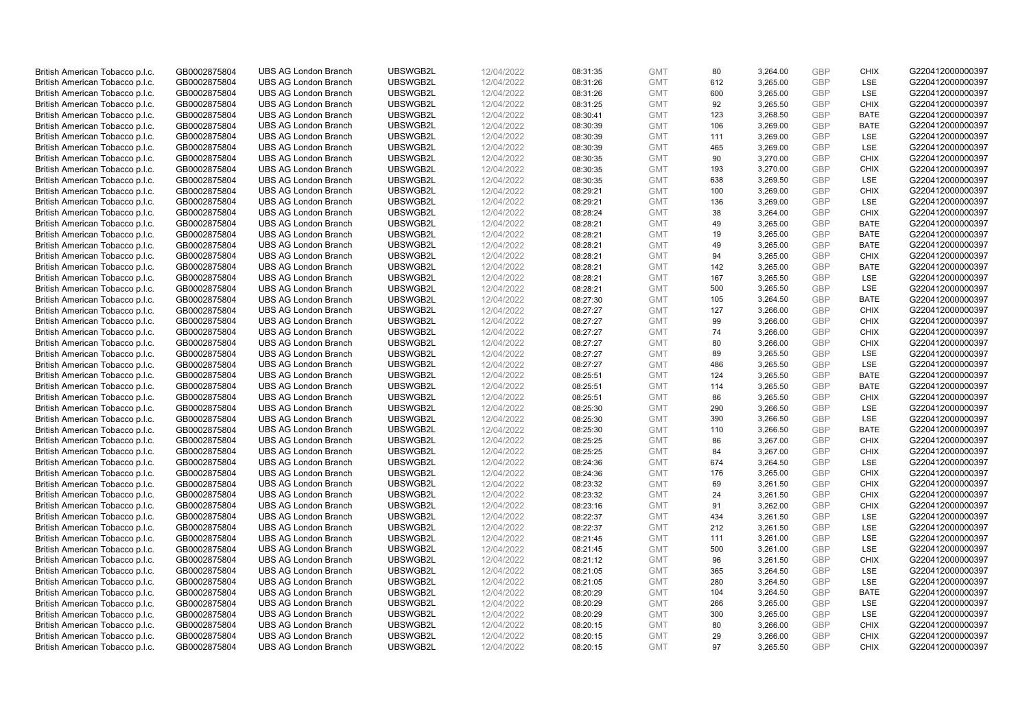| British American Tobacco p.l.c. | GB0002875804 | <b>UBS AG London Branch</b> | UBSWGB2L | 12/04/2022 | 08:31:35 | <b>GMT</b> | 80  | 3,264.00 | <b>GBP</b>               | <b>CHIX</b> | G220412000000397 |
|---------------------------------|--------------|-----------------------------|----------|------------|----------|------------|-----|----------|--------------------------|-------------|------------------|
| British American Tobacco p.l.c. | GB0002875804 | <b>UBS AG London Branch</b> | UBSWGB2L | 12/04/2022 | 08:31:26 | <b>GMT</b> | 612 | 3,265.00 | <b>GBP</b>               | LSE         | G220412000000397 |
| British American Tobacco p.l.c. | GB0002875804 | <b>UBS AG London Branch</b> | UBSWGB2L | 12/04/2022 | 08:31:26 | <b>GMT</b> | 600 | 3,265.00 | <b>GBP</b>               | LSE         | G220412000000397 |
| British American Tobacco p.l.c. | GB0002875804 | <b>UBS AG London Branch</b> | UBSWGB2L | 12/04/2022 | 08:31:25 | <b>GMT</b> | 92  | 3,265.50 | <b>GBP</b>               | <b>CHIX</b> | G220412000000397 |
| British American Tobacco p.l.c. | GB0002875804 | <b>UBS AG London Branch</b> | UBSWGB2L | 12/04/2022 | 08:30:41 | <b>GMT</b> | 123 | 3,268.50 | <b>GBP</b>               | <b>BATE</b> | G220412000000397 |
|                                 |              | <b>UBS AG London Branch</b> |          |            |          |            |     |          |                          |             |                  |
| British American Tobacco p.l.c. | GB0002875804 |                             | UBSWGB2L | 12/04/2022 | 08:30:39 | <b>GMT</b> | 106 | 3,269.00 | <b>GBP</b><br><b>GBP</b> | BATE        | G220412000000397 |
| British American Tobacco p.l.c. | GB0002875804 | <b>UBS AG London Branch</b> | UBSWGB2L | 12/04/2022 | 08:30:39 | <b>GMT</b> | 111 | 3,269.00 |                          | LSE         | G220412000000397 |
| British American Tobacco p.l.c. | GB0002875804 | <b>UBS AG London Branch</b> | UBSWGB2L | 12/04/2022 | 08:30:39 | <b>GMT</b> | 465 | 3,269.00 | <b>GBP</b>               | LSE         | G220412000000397 |
| British American Tobacco p.l.c. | GB0002875804 | <b>UBS AG London Branch</b> | UBSWGB2L | 12/04/2022 | 08:30:35 | <b>GMT</b> | 90  | 3,270.00 | <b>GBP</b>               | <b>CHIX</b> | G220412000000397 |
| British American Tobacco p.l.c. | GB0002875804 | <b>UBS AG London Branch</b> | UBSWGB2L | 12/04/2022 | 08:30:35 | <b>GMT</b> | 193 | 3,270.00 | <b>GBP</b>               | <b>CHIX</b> | G220412000000397 |
| British American Tobacco p.l.c. | GB0002875804 | <b>UBS AG London Branch</b> | UBSWGB2L | 12/04/2022 | 08:30:35 | <b>GMT</b> | 638 | 3,269.50 | <b>GBP</b>               | <b>LSE</b>  | G220412000000397 |
| British American Tobacco p.l.c. | GB0002875804 | <b>UBS AG London Branch</b> | UBSWGB2L | 12/04/2022 | 08:29:21 | <b>GMT</b> | 100 | 3,269.00 | <b>GBP</b>               | <b>CHIX</b> | G220412000000397 |
| British American Tobacco p.l.c. | GB0002875804 | <b>UBS AG London Branch</b> | UBSWGB2L | 12/04/2022 | 08:29:21 | <b>GMT</b> | 136 | 3,269.00 | <b>GBP</b>               | LSE         | G220412000000397 |
| British American Tobacco p.l.c. | GB0002875804 | <b>UBS AG London Branch</b> | UBSWGB2L | 12/04/2022 | 08:28:24 | <b>GMT</b> | 38  | 3,264.00 | <b>GBP</b>               | <b>CHIX</b> | G220412000000397 |
| British American Tobacco p.l.c. | GB0002875804 | <b>UBS AG London Branch</b> | UBSWGB2L | 12/04/2022 | 08:28:21 | <b>GMT</b> | 49  | 3,265.00 | <b>GBP</b>               | <b>BATE</b> | G220412000000397 |
| British American Tobacco p.l.c. | GB0002875804 | <b>UBS AG London Branch</b> | UBSWGB2L | 12/04/2022 | 08:28:21 | <b>GMT</b> | 19  | 3,265.00 | <b>GBP</b>               | <b>BATE</b> | G220412000000397 |
| British American Tobacco p.l.c. | GB0002875804 | <b>UBS AG London Branch</b> | UBSWGB2L | 12/04/2022 | 08:28:21 | <b>GMT</b> | 49  | 3,265.00 | <b>GBP</b>               | <b>BATE</b> | G220412000000397 |
| British American Tobacco p.l.c. | GB0002875804 | <b>UBS AG London Branch</b> | UBSWGB2L | 12/04/2022 | 08:28:21 | <b>GMT</b> | 94  | 3,265.00 | <b>GBP</b>               | <b>CHIX</b> | G220412000000397 |
| British American Tobacco p.l.c. | GB0002875804 | <b>UBS AG London Branch</b> | UBSWGB2L | 12/04/2022 | 08:28:21 | <b>GMT</b> | 142 | 3,265.00 | <b>GBP</b>               | <b>BATE</b> | G220412000000397 |
| British American Tobacco p.l.c. | GB0002875804 | <b>UBS AG London Branch</b> | UBSWGB2L | 12/04/2022 | 08:28:21 | <b>GMT</b> | 167 | 3,265.50 | <b>GBP</b>               | LSE         | G220412000000397 |
| British American Tobacco p.l.c. | GB0002875804 | <b>UBS AG London Branch</b> | UBSWGB2L | 12/04/2022 | 08:28:21 | <b>GMT</b> | 500 | 3,265.50 | <b>GBP</b>               | LSE         | G220412000000397 |
| British American Tobacco p.l.c. | GB0002875804 | <b>UBS AG London Branch</b> | UBSWGB2L | 12/04/2022 | 08:27:30 | <b>GMT</b> | 105 | 3,264.50 | <b>GBP</b>               | <b>BATE</b> | G220412000000397 |
| British American Tobacco p.l.c. | GB0002875804 | <b>UBS AG London Branch</b> | UBSWGB2L | 12/04/2022 | 08:27:27 | <b>GMT</b> | 127 | 3,266.00 | <b>GBP</b>               | <b>CHIX</b> | G220412000000397 |
| British American Tobacco p.l.c. | GB0002875804 | <b>UBS AG London Branch</b> | UBSWGB2L | 12/04/2022 | 08:27:27 | <b>GMT</b> | 99  | 3,266.00 | <b>GBP</b>               | <b>CHIX</b> | G220412000000397 |
| British American Tobacco p.l.c. | GB0002875804 | <b>UBS AG London Branch</b> | UBSWGB2L | 12/04/2022 | 08:27:27 | <b>GMT</b> | 74  | 3,266.00 | <b>GBP</b>               | <b>CHIX</b> | G220412000000397 |
| British American Tobacco p.l.c. | GB0002875804 | <b>UBS AG London Branch</b> | UBSWGB2L | 12/04/2022 | 08:27:27 | <b>GMT</b> | 80  | 3,266.00 | <b>GBP</b>               | <b>CHIX</b> | G220412000000397 |
| British American Tobacco p.l.c. | GB0002875804 | <b>UBS AG London Branch</b> | UBSWGB2L | 12/04/2022 | 08:27:27 | <b>GMT</b> | 89  | 3,265.50 | <b>GBP</b>               | <b>LSE</b>  | G220412000000397 |
| British American Tobacco p.l.c. | GB0002875804 | <b>UBS AG London Branch</b> | UBSWGB2L | 12/04/2022 | 08:27:27 | <b>GMT</b> | 486 | 3,265.50 | <b>GBP</b>               | LSE         | G220412000000397 |
| British American Tobacco p.l.c. | GB0002875804 | <b>UBS AG London Branch</b> | UBSWGB2L | 12/04/2022 | 08:25:51 | <b>GMT</b> | 124 | 3,265.50 | <b>GBP</b>               | <b>BATE</b> | G220412000000397 |
| British American Tobacco p.l.c. | GB0002875804 | UBS AG London Branch        | UBSWGB2L | 12/04/2022 | 08:25:51 | <b>GMT</b> | 114 | 3,265.50 | <b>GBP</b>               | <b>BATE</b> | G220412000000397 |
| British American Tobacco p.l.c. | GB0002875804 | <b>UBS AG London Branch</b> | UBSWGB2L | 12/04/2022 | 08:25:51 | <b>GMT</b> | 86  | 3,265.50 | <b>GBP</b>               | <b>CHIX</b> | G220412000000397 |
| British American Tobacco p.l.c. | GB0002875804 | <b>UBS AG London Branch</b> | UBSWGB2L | 12/04/2022 | 08:25:30 | <b>GMT</b> | 290 | 3,266.50 | <b>GBP</b>               | <b>LSE</b>  | G220412000000397 |
| British American Tobacco p.l.c. | GB0002875804 | <b>UBS AG London Branch</b> | UBSWGB2L | 12/04/2022 | 08:25:30 | <b>GMT</b> | 390 | 3,266.50 | <b>GBP</b>               | LSE         | G220412000000397 |
| British American Tobacco p.l.c. | GB0002875804 | <b>UBS AG London Branch</b> | UBSWGB2L | 12/04/2022 | 08:25:30 | <b>GMT</b> | 110 | 3,266.50 | <b>GBP</b>               | <b>BATE</b> | G220412000000397 |
| British American Tobacco p.l.c. | GB0002875804 | <b>UBS AG London Branch</b> | UBSWGB2L | 12/04/2022 | 08:25:25 | <b>GMT</b> | 86  | 3,267.00 | <b>GBP</b>               | <b>CHIX</b> | G220412000000397 |
|                                 |              |                             |          |            |          |            |     |          |                          |             |                  |
| British American Tobacco p.l.c. | GB0002875804 | <b>UBS AG London Branch</b> | UBSWGB2L | 12/04/2022 | 08:25:25 | <b>GMT</b> | 84  | 3,267.00 | <b>GBP</b>               | <b>CHIX</b> | G220412000000397 |
| British American Tobacco p.l.c. | GB0002875804 | <b>UBS AG London Branch</b> | UBSWGB2L | 12/04/2022 | 08:24:36 | <b>GMT</b> | 674 | 3,264.50 | <b>GBP</b>               | LSE         | G220412000000397 |
| British American Tobacco p.l.c. | GB0002875804 | <b>UBS AG London Branch</b> | UBSWGB2L | 12/04/2022 | 08:24:36 | <b>GMT</b> | 176 | 3,265.00 | <b>GBP</b>               | <b>CHIX</b> | G220412000000397 |
| British American Tobacco p.l.c. | GB0002875804 | <b>UBS AG London Branch</b> | UBSWGB2L | 12/04/2022 | 08:23:32 | <b>GMT</b> | 69  | 3,261.50 | <b>GBP</b>               | <b>CHIX</b> | G220412000000397 |
| British American Tobacco p.l.c. | GB0002875804 | UBS AG London Branch        | UBSWGB2L | 12/04/2022 | 08:23:32 | <b>GMT</b> | 24  | 3,261.50 | <b>GBP</b>               | <b>CHIX</b> | G220412000000397 |
| British American Tobacco p.l.c. | GB0002875804 | <b>UBS AG London Branch</b> | UBSWGB2L | 12/04/2022 | 08:23:16 | <b>GMT</b> | 91  | 3,262.00 | <b>GBP</b>               | <b>CHIX</b> | G220412000000397 |
| British American Tobacco p.l.c. | GB0002875804 | <b>UBS AG London Branch</b> | UBSWGB2L | 12/04/2022 | 08:22:37 | <b>GMT</b> | 434 | 3,261.50 | <b>GBP</b>               | <b>LSE</b>  | G220412000000397 |
| British American Tobacco p.l.c. | GB0002875804 | <b>UBS AG London Branch</b> | UBSWGB2L | 12/04/2022 | 08:22:37 | <b>GMT</b> | 212 | 3,261.50 | <b>GBP</b>               | LSE         | G220412000000397 |
| British American Tobacco p.l.c. | GB0002875804 | <b>UBS AG London Branch</b> | UBSWGB2L | 12/04/2022 | 08:21:45 | <b>GMT</b> | 111 | 3,261.00 | <b>GBP</b>               | LSE         | G220412000000397 |
| British American Tobacco p.l.c. | GB0002875804 | UBS AG London Branch        | UBSWGB2L | 12/04/2022 | 08:21:45 | <b>GMT</b> | 500 | 3,261.00 | <b>GBP</b>               | LSE         | G220412000000397 |
| British American Tobacco p.l.c. | GB0002875804 | <b>UBS AG London Branch</b> | UBSWGB2L | 12/04/2022 | 08:21:12 | <b>GMT</b> | 96  | 3,261.50 | <b>GBP</b>               | <b>CHIX</b> | G220412000000397 |
| British American Tobacco p.l.c. | GB0002875804 | <b>UBS AG London Branch</b> | UBSWGB2L | 12/04/2022 | 08:21:05 | <b>GMT</b> | 365 | 3,264.50 | <b>GBP</b>               | LSE         | G220412000000397 |
| British American Tobacco p.l.c. | GB0002875804 | <b>UBS AG London Branch</b> | UBSWGB2L | 12/04/2022 | 08:21:05 | <b>GMT</b> | 280 | 3,264.50 | <b>GBP</b>               | LSE         | G220412000000397 |
| British American Tobacco p.l.c. | GB0002875804 | <b>UBS AG London Branch</b> | UBSWGB2L | 12/04/2022 | 08:20:29 | <b>GMT</b> | 104 | 3,264.50 | <b>GBP</b>               | <b>BATE</b> | G220412000000397 |
| British American Tobacco p.l.c. | GB0002875804 | <b>UBS AG London Branch</b> | UBSWGB2L | 12/04/2022 | 08:20:29 | <b>GMT</b> | 266 | 3,265.00 | <b>GBP</b>               | <b>LSE</b>  | G220412000000397 |
| British American Tobacco p.l.c. | GB0002875804 | <b>UBS AG London Branch</b> | UBSWGB2L | 12/04/2022 | 08:20:29 | <b>GMT</b> | 300 | 3,265.00 | <b>GBP</b>               | LSE         | G220412000000397 |
| British American Tobacco p.l.c. | GB0002875804 | <b>UBS AG London Branch</b> | UBSWGB2L | 12/04/2022 | 08:20:15 | <b>GMT</b> | 80  | 3,266.00 | <b>GBP</b>               | <b>CHIX</b> | G220412000000397 |
| British American Tobacco p.l.c. | GB0002875804 | <b>UBS AG London Branch</b> | UBSWGB2L | 12/04/2022 | 08:20:15 | <b>GMT</b> | 29  | 3,266.00 | <b>GBP</b>               | <b>CHIX</b> | G220412000000397 |
| British American Tobacco p.l.c. | GB0002875804 | <b>UBS AG London Branch</b> | UBSWGB2L | 12/04/2022 | 08:20:15 | <b>GMT</b> | 97  | 3.265.50 | GBP                      | <b>CHIX</b> | G220412000000397 |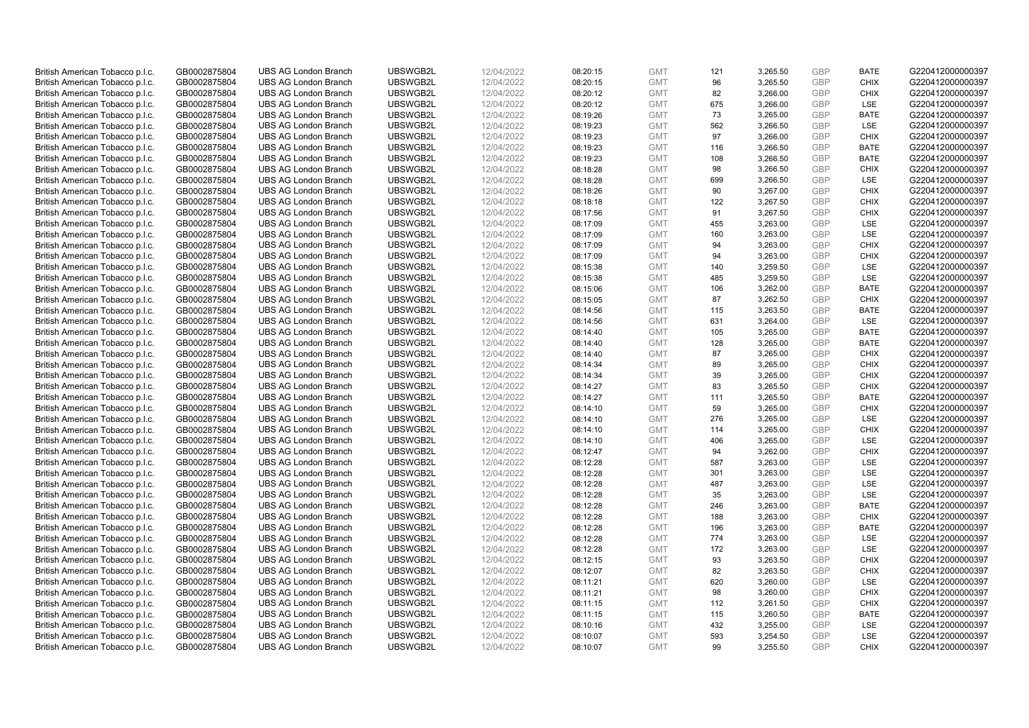| British American Tobacco p.l.c. | GB0002875804                 | <b>UBS AG London Branch</b> | UBSWGB2L | 12/04/2022               | 08:20:15 | <b>GMT</b> | 121 | 3,265.50 | <b>GBP</b> | <b>BATE</b> | G220412000000397 |
|---------------------------------|------------------------------|-----------------------------|----------|--------------------------|----------|------------|-----|----------|------------|-------------|------------------|
| British American Tobacco p.l.c. | GB0002875804                 | <b>UBS AG London Branch</b> | UBSWGB2L | 12/04/2022               | 08:20:15 | <b>GMT</b> | 96  | 3,265.50 | <b>GBP</b> | <b>CHIX</b> | G220412000000397 |
|                                 |                              | <b>UBS AG London Branch</b> | UBSWGB2L |                          |          | <b>GMT</b> | 82  | 3,266.00 | <b>GBP</b> | <b>CHIX</b> | G220412000000397 |
| British American Tobacco p.l.c. | GB0002875804                 |                             |          | 12/04/2022               | 08:20:12 |            |     |          |            |             |                  |
| British American Tobacco p.l.c. | GB0002875804                 | <b>UBS AG London Branch</b> | UBSWGB2L | 12/04/2022               | 08:20:12 | <b>GMT</b> | 675 | 3,266.00 | <b>GBP</b> | LSE         | G220412000000397 |
| British American Tobacco p.l.c. | GB0002875804                 | <b>UBS AG London Branch</b> | UBSWGB2L | 12/04/2022               | 08:19:26 | <b>GMT</b> | 73  | 3,265.00 | <b>GBP</b> | <b>BATE</b> | G220412000000397 |
| British American Tobacco p.l.c. | GB0002875804                 | <b>UBS AG London Branch</b> | UBSWGB2L | 12/04/2022               | 08:19:23 | <b>GMT</b> | 562 | 3,266.50 | <b>GBP</b> | <b>LSE</b>  | G220412000000397 |
| British American Tobacco p.l.c. | GB0002875804                 | <b>UBS AG London Branch</b> | UBSWGB2L | 12/04/2022               | 08:19:23 | <b>GMT</b> | 97  | 3,266.00 | <b>GBP</b> | <b>CHIX</b> | G220412000000397 |
| British American Tobacco p.l.c. | GB0002875804                 | <b>UBS AG London Branch</b> | UBSWGB2L | 12/04/2022               | 08:19:23 | <b>GMT</b> | 116 | 3,266.50 | <b>GBP</b> | <b>BATE</b> | G220412000000397 |
| British American Tobacco p.l.c. | GB0002875804                 | <b>UBS AG London Branch</b> | UBSWGB2L | 12/04/2022               | 08:19:23 | <b>GMT</b> | 108 | 3,266.50 | <b>GBP</b> | <b>BATE</b> | G220412000000397 |
| British American Tobacco p.l.c. | GB0002875804                 | <b>UBS AG London Branch</b> | UBSWGB2L | 12/04/2022               | 08:18:28 | <b>GMT</b> | 98  | 3,266.50 | <b>GBP</b> | <b>CHIX</b> | G220412000000397 |
| British American Tobacco p.l.c. | GB0002875804                 | <b>UBS AG London Branch</b> | UBSWGB2L | 12/04/2022               | 08:18:28 | <b>GMT</b> | 699 | 3,266.50 | <b>GBP</b> | <b>LSE</b>  | G220412000000397 |
| British American Tobacco p.l.c. | GB0002875804                 | <b>UBS AG London Branch</b> | UBSWGB2L | 12/04/2022               | 08:18:26 | <b>GMT</b> | 90  | 3,267.00 | <b>GBP</b> | <b>CHIX</b> | G220412000000397 |
| British American Tobacco p.l.c. | GB0002875804                 | <b>UBS AG London Branch</b> | UBSWGB2L | 12/04/2022               | 08:18:18 | <b>GMT</b> | 122 | 3,267.50 | <b>GBP</b> | <b>CHIX</b> | G220412000000397 |
| British American Tobacco p.l.c. | GB0002875804                 | <b>UBS AG London Branch</b> | UBSWGB2L | 12/04/2022               | 08:17:56 | <b>GMT</b> | 91  | 3,267.50 | <b>GBP</b> | <b>CHIX</b> | G220412000000397 |
| British American Tobacco p.l.c. | GB0002875804                 | <b>UBS AG London Branch</b> | UBSWGB2L | 12/04/2022               | 08:17:09 | <b>GMT</b> | 455 | 3,263.00 | <b>GBP</b> | LSE         | G220412000000397 |
| British American Tobacco p.l.c. | GB0002875804                 | <b>UBS AG London Branch</b> | UBSWGB2L | 12/04/2022               | 08:17:09 | <b>GMT</b> | 160 | 3,263.00 | <b>GBP</b> | LSE         | G220412000000397 |
| British American Tobacco p.l.c. | GB0002875804                 | <b>UBS AG London Branch</b> | UBSWGB2L | 12/04/2022               | 08:17:09 | <b>GMT</b> | 94  | 3,263.00 | <b>GBP</b> | <b>CHIX</b> | G220412000000397 |
| British American Tobacco p.l.c. | GB0002875804                 | <b>UBS AG London Branch</b> | UBSWGB2L | 12/04/2022               | 08:17:09 | <b>GMT</b> | 94  | 3,263.00 | <b>GBP</b> | <b>CHIX</b> | G220412000000397 |
|                                 |                              | <b>UBS AG London Branch</b> | UBSWGB2L |                          | 08:15:38 | <b>GMT</b> | 140 | 3,259.50 | <b>GBP</b> | <b>LSE</b>  | G220412000000397 |
| British American Tobacco p.l.c. | GB0002875804<br>GB0002875804 | <b>UBS AG London Branch</b> | UBSWGB2L | 12/04/2022<br>12/04/2022 |          | <b>GMT</b> |     |          | <b>GBP</b> | LSE         | G220412000000397 |
| British American Tobacco p.l.c. |                              |                             |          |                          | 08:15:38 |            | 485 | 3,259.50 |            |             |                  |
| British American Tobacco p.l.c. | GB0002875804                 | <b>UBS AG London Branch</b> | UBSWGB2L | 12/04/2022               | 08:15:06 | <b>GMT</b> | 106 | 3,262.00 | <b>GBP</b> | <b>BATE</b> | G220412000000397 |
| British American Tobacco p.l.c. | GB0002875804                 | <b>UBS AG London Branch</b> | UBSWGB2L | 12/04/2022               | 08:15:05 | <b>GMT</b> | 87  | 3,262.50 | <b>GBP</b> | <b>CHIX</b> | G220412000000397 |
| British American Tobacco p.l.c. | GB0002875804                 | <b>UBS AG London Branch</b> | UBSWGB2L | 12/04/2022               | 08:14:56 | <b>GMT</b> | 115 | 3,263.50 | <b>GBP</b> | <b>BATE</b> | G220412000000397 |
| British American Tobacco p.l.c. | GB0002875804                 | <b>UBS AG London Branch</b> | UBSWGB2L | 12/04/2022               | 08:14:56 | <b>GMT</b> | 631 | 3,264.00 | <b>GBP</b> | <b>LSE</b>  | G220412000000397 |
| British American Tobacco p.l.c. | GB0002875804                 | <b>UBS AG London Branch</b> | UBSWGB2L | 12/04/2022               | 08:14:40 | <b>GMT</b> | 105 | 3,265.00 | <b>GBP</b> | <b>BATE</b> | G220412000000397 |
| British American Tobacco p.l.c. | GB0002875804                 | <b>UBS AG London Branch</b> | UBSWGB2L | 12/04/2022               | 08:14:40 | <b>GMT</b> | 128 | 3,265.00 | <b>GBP</b> | <b>BATE</b> | G220412000000397 |
| British American Tobacco p.l.c. | GB0002875804                 | <b>UBS AG London Branch</b> | UBSWGB2L | 12/04/2022               | 08:14:40 | <b>GMT</b> | 87  | 3,265.00 | <b>GBP</b> | <b>CHIX</b> | G220412000000397 |
| British American Tobacco p.l.c. | GB0002875804                 | <b>UBS AG London Branch</b> | UBSWGB2L | 12/04/2022               | 08:14:34 | <b>GMT</b> | 89  | 3,265.00 | <b>GBP</b> | <b>CHIX</b> | G220412000000397 |
| British American Tobacco p.l.c. | GB0002875804                 | <b>UBS AG London Branch</b> | UBSWGB2L | 12/04/2022               | 08:14:34 | <b>GMT</b> | 39  | 3,265.00 | <b>GBP</b> | <b>CHIX</b> | G220412000000397 |
| British American Tobacco p.l.c. | GB0002875804                 | UBS AG London Branch        | UBSWGB2L | 12/04/2022               | 08:14:27 | <b>GMT</b> | 83  | 3,265.50 | <b>GBP</b> | <b>CHIX</b> | G220412000000397 |
| British American Tobacco p.l.c. | GB0002875804                 | <b>UBS AG London Branch</b> | UBSWGB2L | 12/04/2022               | 08:14:27 | <b>GMT</b> | 111 | 3,265.50 | <b>GBP</b> | <b>BATE</b> | G220412000000397 |
| British American Tobacco p.l.c. | GB0002875804                 | <b>UBS AG London Branch</b> | UBSWGB2L | 12/04/2022               | 08:14:10 | <b>GMT</b> | 59  | 3,265.00 | <b>GBP</b> | <b>CHIX</b> | G220412000000397 |
| British American Tobacco p.l.c. | GB0002875804                 | <b>UBS AG London Branch</b> | UBSWGB2L | 12/04/2022               | 08:14:10 | <b>GMT</b> | 276 | 3,265.00 | <b>GBP</b> | LSE         | G220412000000397 |
| British American Tobacco p.l.c. | GB0002875804                 | <b>UBS AG London Branch</b> | UBSWGB2L | 12/04/2022               | 08:14:10 | <b>GMT</b> | 114 | 3,265.00 | <b>GBP</b> | <b>CHIX</b> | G220412000000397 |
| British American Tobacco p.l.c. | GB0002875804                 | <b>UBS AG London Branch</b> | UBSWGB2L | 12/04/2022               | 08:14:10 | <b>GMT</b> | 406 | 3,265.00 | <b>GBP</b> | LSE         | G220412000000397 |
| British American Tobacco p.l.c. | GB0002875804                 | <b>UBS AG London Branch</b> | UBSWGB2L | 12/04/2022               | 08:12:47 | <b>GMT</b> | 94  | 3,262.00 | <b>GBP</b> | <b>CHIX</b> | G220412000000397 |
| British American Tobacco p.l.c. | GB0002875804                 | <b>UBS AG London Branch</b> | UBSWGB2L | 12/04/2022               | 08:12:28 | <b>GMT</b> | 587 | 3,263.00 | <b>GBP</b> | <b>LSE</b>  | G220412000000397 |
| British American Tobacco p.l.c. | GB0002875804                 | <b>UBS AG London Branch</b> | UBSWGB2L | 12/04/2022               | 08:12:28 | <b>GMT</b> | 301 | 3,263.00 | <b>GBP</b> | LSE         | G220412000000397 |
| British American Tobacco p.l.c. | GB0002875804                 | <b>UBS AG London Branch</b> | UBSWGB2L | 12/04/2022               | 08:12:28 | <b>GMT</b> | 487 | 3,263.00 | <b>GBP</b> | LSE         | G220412000000397 |
| British American Tobacco p.l.c. | GB0002875804                 | UBS AG London Branch        | UBSWGB2L | 12/04/2022               | 08:12:28 | <b>GMT</b> | 35  | 3,263.00 | <b>GBP</b> | <b>LSE</b>  | G220412000000397 |
| British American Tobacco p.l.c. | GB0002875804                 | <b>UBS AG London Branch</b> | UBSWGB2L | 12/04/2022               | 08:12:28 | <b>GMT</b> | 246 | 3,263.00 | <b>GBP</b> | <b>BATE</b> | G220412000000397 |
| British American Tobacco p.l.c. | GB0002875804                 | <b>UBS AG London Branch</b> | UBSWGB2L | 12/04/2022               | 08:12:28 | <b>GMT</b> | 188 | 3,263.00 | <b>GBP</b> | <b>CHIX</b> | G220412000000397 |
| British American Tobacco p.l.c. | GB0002875804                 | <b>UBS AG London Branch</b> | UBSWGB2L | 12/04/2022               | 08:12:28 | <b>GMT</b> | 196 | 3,263.00 | <b>GBP</b> | <b>BATE</b> | G220412000000397 |
| British American Tobacco p.l.c. | GB0002875804                 | <b>UBS AG London Branch</b> | UBSWGB2L | 12/04/2022               | 08:12:28 | <b>GMT</b> | 774 | 3,263.00 | <b>GBP</b> | LSE         | G220412000000397 |
| British American Tobacco p.l.c. | GB0002875804                 | UBS AG London Branch        | UBSWGB2L | 12/04/2022               | 08:12:28 | <b>GMT</b> | 172 | 3,263.00 | <b>GBP</b> | LSE         | G220412000000397 |
| British American Tobacco p.l.c. | GB0002875804                 | <b>UBS AG London Branch</b> | UBSWGB2L | 12/04/2022               | 08:12:15 | <b>GMT</b> | 93  | 3,263.50 | <b>GBP</b> | <b>CHIX</b> | G220412000000397 |
| British American Tobacco p.l.c. | GB0002875804                 | <b>UBS AG London Branch</b> | UBSWGB2L | 12/04/2022               | 08:12:07 | <b>GMT</b> | 82  | 3,263.50 | <b>GBP</b> | <b>CHIX</b> | G220412000000397 |
| British American Tobacco p.l.c. | GB0002875804                 | <b>UBS AG London Branch</b> | UBSWGB2L | 12/04/2022               | 08:11:21 | <b>GMT</b> | 620 | 3,260.00 | <b>GBP</b> | LSE         | G220412000000397 |
|                                 |                              |                             |          |                          |          | <b>GMT</b> |     |          | <b>GBP</b> |             |                  |
| British American Tobacco p.l.c. | GB0002875804                 | <b>UBS AG London Branch</b> | UBSWGB2L | 12/04/2022               | 08:11:21 |            | 98  | 3,260.00 |            | <b>CHIX</b> | G220412000000397 |
| British American Tobacco p.l.c. | GB0002875804                 | <b>UBS AG London Branch</b> | UBSWGB2L | 12/04/2022               | 08:11:15 | <b>GMT</b> | 112 | 3,261.50 | <b>GBP</b> | <b>CHIX</b> | G220412000000397 |
| British American Tobacco p.l.c. | GB0002875804                 | <b>UBS AG London Branch</b> | UBSWGB2L | 12/04/2022               | 08:11:15 | <b>GMT</b> | 115 | 3,260.50 | <b>GBP</b> | <b>BATE</b> | G220412000000397 |
| British American Tobacco p.l.c. | GB0002875804                 | <b>UBS AG London Branch</b> | UBSWGB2L | 12/04/2022               | 08:10:16 | <b>GMT</b> | 432 | 3,255.00 | <b>GBP</b> | LSE         | G220412000000397 |
| British American Tobacco p.l.c. | GB0002875804                 | <b>UBS AG London Branch</b> | UBSWGB2L | 12/04/2022               | 08:10:07 | <b>GMT</b> | 593 | 3,254.50 | <b>GBP</b> | <b>LSE</b>  | G220412000000397 |
| British American Tobacco p.l.c. | GB0002875804                 | <b>UBS AG London Branch</b> | UBSWGB2L | 12/04/2022               | 08:10:07 | <b>GMT</b> | 99  | 3.255.50 | GBP        | <b>CHIX</b> | G220412000000397 |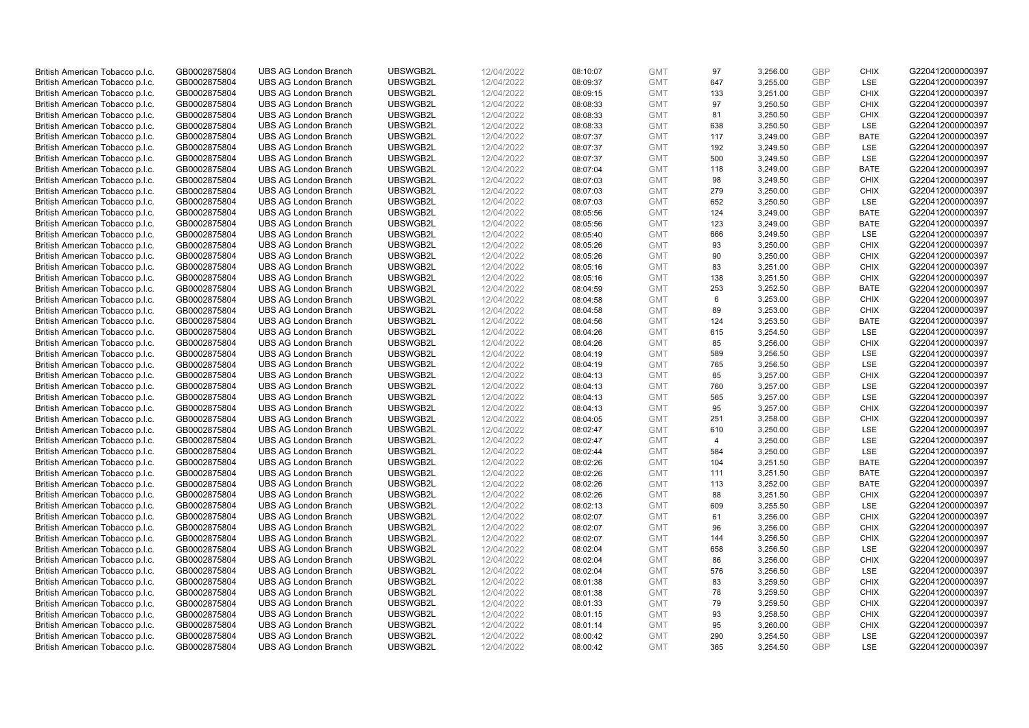| British American Tobacco p.l.c. | GB0002875804 | <b>UBS AG London Branch</b> | UBSWGB2L | 12/04/2022 | 08:10:07 | <b>GMT</b> | 97             | 3,256.00 | <b>GBP</b>               | <b>CHIX</b> | G220412000000397 |
|---------------------------------|--------------|-----------------------------|----------|------------|----------|------------|----------------|----------|--------------------------|-------------|------------------|
| British American Tobacco p.l.c. | GB0002875804 | <b>UBS AG London Branch</b> | UBSWGB2L | 12/04/2022 | 08:09:37 | <b>GMT</b> | 647            | 3,255.00 | <b>GBP</b>               | LSE         | G220412000000397 |
| British American Tobacco p.l.c. | GB0002875804 | <b>UBS AG London Branch</b> | UBSWGB2L | 12/04/2022 | 08:09:15 | <b>GMT</b> | 133            | 3,251.00 | <b>GBP</b>               | <b>CHIX</b> | G220412000000397 |
| British American Tobacco p.l.c. | GB0002875804 | <b>UBS AG London Branch</b> | UBSWGB2L | 12/04/2022 | 08:08:33 | <b>GMT</b> | 97             | 3,250.50 | <b>GBP</b>               | <b>CHIX</b> | G220412000000397 |
| British American Tobacco p.l.c. | GB0002875804 | <b>UBS AG London Branch</b> | UBSWGB2L | 12/04/2022 | 08:08:33 | <b>GMT</b> | 81             | 3,250.50 | <b>GBP</b>               | <b>CHIX</b> | G220412000000397 |
|                                 |              | <b>UBS AG London Branch</b> |          |            |          |            |                |          |                          |             |                  |
| British American Tobacco p.l.c. | GB0002875804 |                             | UBSWGB2L | 12/04/2022 | 08:08:33 | <b>GMT</b> | 638            | 3,250.50 | <b>GBP</b><br><b>GBP</b> | <b>LSE</b>  | G220412000000397 |
| British American Tobacco p.l.c. | GB0002875804 | <b>UBS AG London Branch</b> | UBSWGB2L | 12/04/2022 | 08:07:37 | <b>GMT</b> | 117            | 3,249.00 |                          | <b>BATE</b> | G220412000000397 |
| British American Tobacco p.l.c. | GB0002875804 | <b>UBS AG London Branch</b> | UBSWGB2L | 12/04/2022 | 08:07:37 | <b>GMT</b> | 192            | 3,249.50 | <b>GBP</b>               | <b>LSE</b>  | G220412000000397 |
| British American Tobacco p.l.c. | GB0002875804 | <b>UBS AG London Branch</b> | UBSWGB2L | 12/04/2022 | 08:07:37 | <b>GMT</b> | 500            | 3,249.50 | <b>GBP</b>               | LSE         | G220412000000397 |
| British American Tobacco p.l.c. | GB0002875804 | <b>UBS AG London Branch</b> | UBSWGB2L | 12/04/2022 | 08:07:04 | <b>GMT</b> | 118            | 3,249.00 | <b>GBP</b>               | <b>BATE</b> | G220412000000397 |
| British American Tobacco p.l.c. | GB0002875804 | <b>UBS AG London Branch</b> | UBSWGB2L | 12/04/2022 | 08:07:03 | <b>GMT</b> | 98             | 3,249.50 | <b>GBP</b>               | <b>CHIX</b> | G220412000000397 |
| British American Tobacco p.l.c. | GB0002875804 | <b>UBS AG London Branch</b> | UBSWGB2L | 12/04/2022 | 08:07:03 | <b>GMT</b> | 279            | 3,250.00 | <b>GBP</b>               | <b>CHIX</b> | G220412000000397 |
| British American Tobacco p.l.c. | GB0002875804 | <b>UBS AG London Branch</b> | UBSWGB2L | 12/04/2022 | 08:07:03 | <b>GMT</b> | 652            | 3,250.50 | <b>GBP</b>               | LSE         | G220412000000397 |
| British American Tobacco p.l.c. | GB0002875804 | <b>UBS AG London Branch</b> | UBSWGB2L | 12/04/2022 | 08:05:56 | <b>GMT</b> | 124            | 3,249.00 | <b>GBP</b>               | <b>BATE</b> | G220412000000397 |
| British American Tobacco p.l.c. | GB0002875804 | <b>UBS AG London Branch</b> | UBSWGB2L | 12/04/2022 | 08:05:56 | <b>GMT</b> | 123            | 3,249.00 | <b>GBP</b>               | <b>BATE</b> | G220412000000397 |
| British American Tobacco p.l.c. | GB0002875804 | <b>UBS AG London Branch</b> | UBSWGB2L | 12/04/2022 | 08:05:40 | <b>GMT</b> | 666            | 3,249.50 | <b>GBP</b>               | <b>LSE</b>  | G220412000000397 |
| British American Tobacco p.l.c. | GB0002875804 | <b>UBS AG London Branch</b> | UBSWGB2L | 12/04/2022 | 08:05:26 | <b>GMT</b> | 93             | 3,250.00 | <b>GBP</b>               | <b>CHIX</b> | G220412000000397 |
| British American Tobacco p.l.c. | GB0002875804 | <b>UBS AG London Branch</b> | UBSWGB2L | 12/04/2022 | 08:05:26 | <b>GMT</b> | 90             | 3,250.00 | <b>GBP</b>               | <b>CHIX</b> | G220412000000397 |
| British American Tobacco p.l.c. | GB0002875804 | <b>UBS AG London Branch</b> | UBSWGB2L | 12/04/2022 | 08:05:16 | <b>GMT</b> | 83             | 3,251.00 | <b>GBP</b>               | <b>CHIX</b> | G220412000000397 |
| British American Tobacco p.l.c. | GB0002875804 | <b>UBS AG London Branch</b> | UBSWGB2L | 12/04/2022 | 08:05:16 | <b>GMT</b> | 138            | 3,251.50 | <b>GBP</b>               | <b>CHIX</b> | G220412000000397 |
| British American Tobacco p.l.c. | GB0002875804 | <b>UBS AG London Branch</b> | UBSWGB2L | 12/04/2022 | 08:04:59 | <b>GMT</b> | 253            | 3,252.50 | <b>GBP</b>               | <b>BATE</b> | G220412000000397 |
| British American Tobacco p.l.c. | GB0002875804 | <b>UBS AG London Branch</b> | UBSWGB2L | 12/04/2022 | 08:04:58 | <b>GMT</b> | 6              | 3,253.00 | <b>GBP</b>               | <b>CHIX</b> | G220412000000397 |
| British American Tobacco p.l.c. | GB0002875804 | <b>UBS AG London Branch</b> | UBSWGB2L | 12/04/2022 | 08:04:58 | <b>GMT</b> | 89             | 3,253.00 | <b>GBP</b>               | <b>CHIX</b> | G220412000000397 |
| British American Tobacco p.l.c. | GB0002875804 | <b>UBS AG London Branch</b> | UBSWGB2L | 12/04/2022 | 08:04:56 | <b>GMT</b> | 124            | 3,253.50 | <b>GBP</b>               | <b>BATE</b> | G220412000000397 |
| British American Tobacco p.l.c. | GB0002875804 | <b>UBS AG London Branch</b> | UBSWGB2L | 12/04/2022 | 08:04:26 | <b>GMT</b> | 615            | 3,254.50 | <b>GBP</b>               | LSE         | G220412000000397 |
| British American Tobacco p.l.c. | GB0002875804 | <b>UBS AG London Branch</b> | UBSWGB2L | 12/04/2022 | 08:04:26 | <b>GMT</b> | 85             | 3,256.00 | <b>GBP</b>               | <b>CHIX</b> | G220412000000397 |
| British American Tobacco p.l.c. | GB0002875804 | <b>UBS AG London Branch</b> | UBSWGB2L | 12/04/2022 | 08:04:19 | <b>GMT</b> | 589            | 3,256.50 | <b>GBP</b>               | <b>LSE</b>  | G220412000000397 |
| British American Tobacco p.l.c. | GB0002875804 | <b>UBS AG London Branch</b> | UBSWGB2L | 12/04/2022 | 08:04:19 | <b>GMT</b> | 765            | 3,256.50 | <b>GBP</b>               | LSE         | G220412000000397 |
| British American Tobacco p.l.c. | GB0002875804 | <b>UBS AG London Branch</b> | UBSWGB2L | 12/04/2022 | 08:04:13 | <b>GMT</b> | 85             | 3,257.00 | <b>GBP</b>               | <b>CHIX</b> | G220412000000397 |
| British American Tobacco p.l.c. | GB0002875804 | UBS AG London Branch        | UBSWGB2L | 12/04/2022 | 08:04:13 | <b>GMT</b> | 760            | 3,257.00 | <b>GBP</b>               | <b>LSE</b>  | G220412000000397 |
| British American Tobacco p.l.c. | GB0002875804 | <b>UBS AG London Branch</b> | UBSWGB2L | 12/04/2022 | 08:04:13 | <b>GMT</b> | 565            | 3,257.00 | <b>GBP</b>               | LSE         | G220412000000397 |
| British American Tobacco p.l.c. | GB0002875804 | <b>UBS AG London Branch</b> | UBSWGB2L | 12/04/2022 | 08:04:13 | <b>GMT</b> | 95             | 3,257.00 | <b>GBP</b>               | <b>CHIX</b> | G220412000000397 |
| British American Tobacco p.l.c. | GB0002875804 | <b>UBS AG London Branch</b> | UBSWGB2L | 12/04/2022 | 08:04:05 | <b>GMT</b> | 251            | 3,258.00 | <b>GBP</b>               | <b>CHIX</b> | G220412000000397 |
| British American Tobacco p.l.c. | GB0002875804 | <b>UBS AG London Branch</b> | UBSWGB2L | 12/04/2022 | 08:02:47 | <b>GMT</b> | 610            | 3,250.00 | <b>GBP</b>               | LSE         | G220412000000397 |
| British American Tobacco p.l.c. | GB0002875804 | <b>UBS AG London Branch</b> | UBSWGB2L | 12/04/2022 | 08:02:47 | <b>GMT</b> | $\overline{4}$ | 3,250.00 | <b>GBP</b>               | LSE         | G220412000000397 |
| British American Tobacco p.l.c. | GB0002875804 | <b>UBS AG London Branch</b> | UBSWGB2L | 12/04/2022 | 08:02:44 | <b>GMT</b> | 584            | 3,250.00 | <b>GBP</b>               | LSE         | G220412000000397 |
| British American Tobacco p.l.c. | GB0002875804 | <b>UBS AG London Branch</b> | UBSWGB2L | 12/04/2022 | 08:02:26 | <b>GMT</b> | 104            | 3,251.50 | <b>GBP</b>               | <b>BATE</b> | G220412000000397 |
| British American Tobacco p.l.c. | GB0002875804 | <b>UBS AG London Branch</b> | UBSWGB2L | 12/04/2022 | 08:02:26 | <b>GMT</b> | 111            | 3,251.50 | <b>GBP</b>               | <b>BATE</b> | G220412000000397 |
| British American Tobacco p.l.c. | GB0002875804 | <b>UBS AG London Branch</b> | UBSWGB2L | 12/04/2022 | 08:02:26 | <b>GMT</b> | 113            | 3,252.00 | <b>GBP</b>               | <b>BATE</b> | G220412000000397 |
| British American Tobacco p.l.c. | GB0002875804 | <b>UBS AG London Branch</b> | UBSWGB2L | 12/04/2022 | 08:02:26 | <b>GMT</b> | 88             | 3,251.50 | <b>GBP</b>               | <b>CHIX</b> | G220412000000397 |
| British American Tobacco p.l.c. | GB0002875804 | <b>UBS AG London Branch</b> | UBSWGB2L | 12/04/2022 | 08:02:13 | <b>GMT</b> | 609            | 3,255.50 | <b>GBP</b>               | LSE         | G220412000000397 |
| British American Tobacco p.l.c. | GB0002875804 | <b>UBS AG London Branch</b> | UBSWGB2L | 12/04/2022 | 08:02:07 | <b>GMT</b> | 61             | 3,256.00 | <b>GBP</b>               | <b>CHIX</b> | G220412000000397 |
| British American Tobacco p.l.c. | GB0002875804 | <b>UBS AG London Branch</b> | UBSWGB2L | 12/04/2022 | 08:02:07 | <b>GMT</b> | 96             | 3,256.00 | <b>GBP</b>               | <b>CHIX</b> | G220412000000397 |
| British American Tobacco p.l.c. | GB0002875804 | <b>UBS AG London Branch</b> | UBSWGB2L | 12/04/2022 |          | <b>GMT</b> | 144            | 3,256.50 | <b>GBP</b>               | <b>CHIX</b> |                  |
|                                 |              |                             | UBSWGB2L |            | 08:02:07 |            | 658            |          |                          |             | G220412000000397 |
| British American Tobacco p.l.c. | GB0002875804 | UBS AG London Branch        |          | 12/04/2022 | 08:02:04 | <b>GMT</b> |                | 3,256.50 | <b>GBP</b>               | <b>LSE</b>  | G220412000000397 |
| British American Tobacco p.l.c. | GB0002875804 | <b>UBS AG London Branch</b> | UBSWGB2L | 12/04/2022 | 08:02:04 | <b>GMT</b> | 86             | 3,256.00 | <b>GBP</b>               | <b>CHIX</b> | G220412000000397 |
| British American Tobacco p.l.c. | GB0002875804 | <b>UBS AG London Branch</b> | UBSWGB2L | 12/04/2022 | 08:02:04 | <b>GMT</b> | 576            | 3,256.50 | <b>GBP</b>               | LSE         | G220412000000397 |
| British American Tobacco p.l.c. | GB0002875804 | <b>UBS AG London Branch</b> | UBSWGB2L | 12/04/2022 | 08:01:38 | <b>GMT</b> | 83             | 3,259.50 | <b>GBP</b>               | <b>CHIX</b> | G220412000000397 |
| British American Tobacco p.l.c. | GB0002875804 | <b>UBS AG London Branch</b> | UBSWGB2L | 12/04/2022 | 08:01:38 | <b>GMT</b> | 78             | 3,259.50 | <b>GBP</b>               | <b>CHIX</b> | G220412000000397 |
| British American Tobacco p.l.c. | GB0002875804 | <b>UBS AG London Branch</b> | UBSWGB2L | 12/04/2022 | 08:01:33 | <b>GMT</b> | 79             | 3,259.50 | <b>GBP</b>               | <b>CHIX</b> | G220412000000397 |
| British American Tobacco p.l.c. | GB0002875804 | <b>UBS AG London Branch</b> | UBSWGB2L | 12/04/2022 | 08:01:15 | <b>GMT</b> | 93             | 3,258.50 | <b>GBP</b>               | <b>CHIX</b> | G220412000000397 |
| British American Tobacco p.l.c. | GB0002875804 | <b>UBS AG London Branch</b> | UBSWGB2L | 12/04/2022 | 08:01:14 | <b>GMT</b> | 95             | 3,260.00 | <b>GBP</b>               | <b>CHIX</b> | G220412000000397 |
| British American Tobacco p.l.c. | GB0002875804 | <b>UBS AG London Branch</b> | UBSWGB2L | 12/04/2022 | 08:00:42 | <b>GMT</b> | 290            | 3,254.50 | <b>GBP</b>               | <b>LSE</b>  | G220412000000397 |
| British American Tobacco p.l.c. | GB0002875804 | <b>UBS AG London Branch</b> | UBSWGB2L | 12/04/2022 | 08:00:42 | <b>GMT</b> | 365            | 3,254.50 | GBP                      | <b>LSE</b>  | G220412000000397 |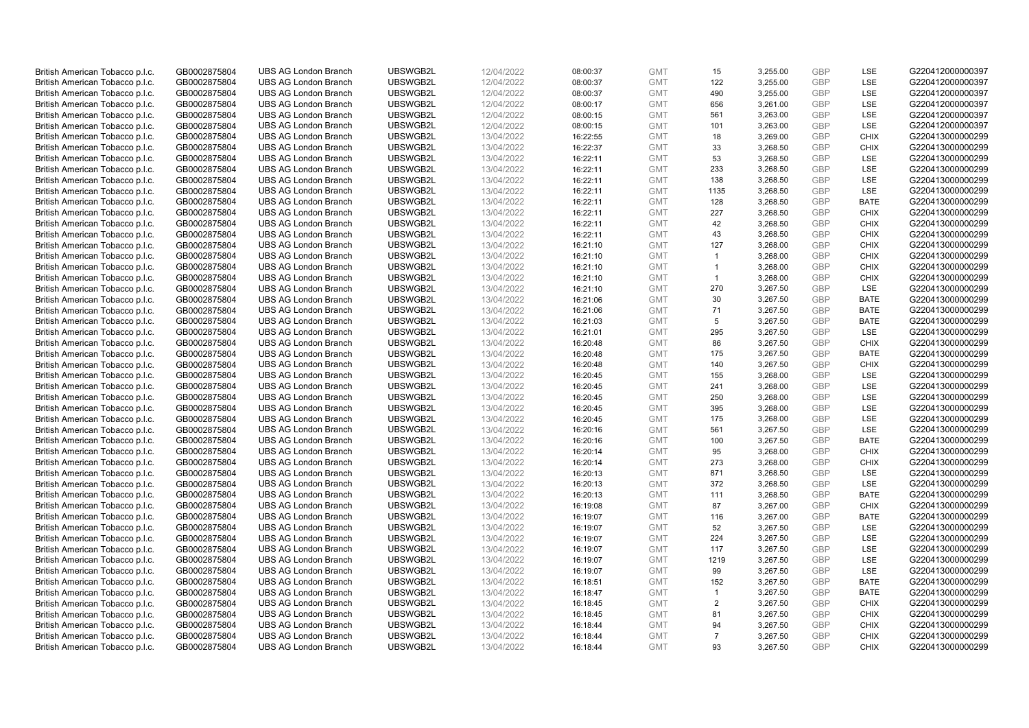| British American Tobacco p.l.c. | GB0002875804 | <b>UBS AG London Branch</b> | UBSWGB2L | 12/04/2022 | 08:00:37 | <b>GMT</b> | 15             | 3,255.00 | <b>GBP</b> | <b>LSE</b>  | G220412000000397 |
|---------------------------------|--------------|-----------------------------|----------|------------|----------|------------|----------------|----------|------------|-------------|------------------|
|                                 | GB0002875804 | <b>UBS AG London Branch</b> | UBSWGB2L | 12/04/2022 |          | <b>GMT</b> | 122            | 3,255.00 | GBP        | LSE         | G220412000000397 |
| British American Tobacco p.l.c. |              |                             |          |            | 08:00:37 |            |                |          |            |             |                  |
| British American Tobacco p.l.c. | GB0002875804 | <b>UBS AG London Branch</b> | UBSWGB2L | 12/04/2022 | 08:00:37 | <b>GMT</b> | 490            | 3,255.00 | <b>GBP</b> | LSE         | G220412000000397 |
| British American Tobacco p.l.c. | GB0002875804 | <b>UBS AG London Branch</b> | UBSWGB2L | 12/04/2022 | 08:00:17 | <b>GMT</b> | 656            | 3,261.00 | <b>GBP</b> | LSE         | G220412000000397 |
| British American Tobacco p.l.c. | GB0002875804 | <b>UBS AG London Branch</b> | UBSWGB2L | 12/04/2022 | 08:00:15 | <b>GMT</b> | 561            | 3,263.00 | <b>GBP</b> | LSE         | G220412000000397 |
| British American Tobacco p.l.c. | GB0002875804 | <b>UBS AG London Branch</b> | UBSWGB2L | 12/04/2022 | 08:00:15 | <b>GMT</b> | 101            | 3,263.00 | <b>GBP</b> | <b>LSE</b>  | G220412000000397 |
| British American Tobacco p.l.c. | GB0002875804 | <b>UBS AG London Branch</b> | UBSWGB2L | 13/04/2022 | 16:22:55 | <b>GMT</b> | 18             | 3,269.00 | <b>GBP</b> | <b>CHIX</b> | G220413000000299 |
| British American Tobacco p.l.c. | GB0002875804 | <b>UBS AG London Branch</b> | UBSWGB2L | 13/04/2022 | 16:22:37 | <b>GMT</b> | 33             | 3,268.50 | <b>GBP</b> | <b>CHIX</b> | G220413000000299 |
| British American Tobacco p.l.c. | GB0002875804 | <b>UBS AG London Branch</b> | UBSWGB2L | 13/04/2022 | 16:22:11 | <b>GMT</b> | 53             | 3,268.50 | <b>GBP</b> | LSE         | G220413000000299 |
| British American Tobacco p.l.c. | GB0002875804 | <b>UBS AG London Branch</b> | UBSWGB2L | 13/04/2022 | 16:22:11 | <b>GMT</b> | 233            | 3,268.50 | <b>GBP</b> | LSE         | G220413000000299 |
| British American Tobacco p.l.c. | GB0002875804 | <b>UBS AG London Branch</b> | UBSWGB2L | 13/04/2022 | 16:22:11 | <b>GMT</b> | 138            | 3,268.50 | <b>GBP</b> | <b>LSE</b>  | G220413000000299 |
| British American Tobacco p.l.c. | GB0002875804 | <b>UBS AG London Branch</b> | UBSWGB2L | 13/04/2022 | 16:22:11 | <b>GMT</b> | 1135           | 3,268.50 | <b>GBP</b> | LSE         | G220413000000299 |
| British American Tobacco p.l.c. | GB0002875804 | <b>UBS AG London Branch</b> | UBSWGB2L | 13/04/2022 | 16:22:11 | <b>GMT</b> | 128            | 3,268.50 | <b>GBP</b> | <b>BATE</b> | G220413000000299 |
| British American Tobacco p.l.c. | GB0002875804 | <b>UBS AG London Branch</b> | UBSWGB2L | 13/04/2022 | 16:22:11 | <b>GMT</b> | 227            | 3,268.50 | <b>GBP</b> | <b>CHIX</b> | G220413000000299 |
| British American Tobacco p.l.c. | GB0002875804 | <b>UBS AG London Branch</b> | UBSWGB2L | 13/04/2022 |          | <b>GMT</b> | 42             | 3,268.50 | <b>GBP</b> | <b>CHIX</b> | G220413000000299 |
|                                 |              |                             |          |            | 16:22:11 |            |                |          |            |             |                  |
| British American Tobacco p.l.c. | GB0002875804 | <b>UBS AG London Branch</b> | UBSWGB2L | 13/04/2022 | 16:22:11 | <b>GMT</b> | 43             | 3,268.50 | <b>GBP</b> | <b>CHIX</b> | G220413000000299 |
| British American Tobacco p.l.c. | GB0002875804 | <b>UBS AG London Branch</b> | UBSWGB2L | 13/04/2022 | 16:21:10 | <b>GMT</b> | 127            | 3,268.00 | <b>GBP</b> | <b>CHIX</b> | G220413000000299 |
| British American Tobacco p.l.c. | GB0002875804 | <b>UBS AG London Branch</b> | UBSWGB2L | 13/04/2022 | 16:21:10 | <b>GMT</b> | $\overline{1}$ | 3,268.00 | <b>GBP</b> | <b>CHIX</b> | G220413000000299 |
| British American Tobacco p.l.c. | GB0002875804 | <b>UBS AG London Branch</b> | UBSWGB2L | 13/04/2022 | 16:21:10 | <b>GMT</b> | $\overline{1}$ | 3,268.00 | <b>GBP</b> | <b>CHIX</b> | G220413000000299 |
| British American Tobacco p.l.c. | GB0002875804 | <b>UBS AG London Branch</b> | UBSWGB2L | 13/04/2022 | 16:21:10 | <b>GMT</b> | $\mathbf{1}$   | 3,268.00 | <b>GBP</b> | <b>CHIX</b> | G220413000000299 |
| British American Tobacco p.l.c. | GB0002875804 | <b>UBS AG London Branch</b> | UBSWGB2L | 13/04/2022 | 16:21:10 | <b>GMT</b> | 270            | 3,267.50 | <b>GBP</b> | LSE         | G220413000000299 |
| British American Tobacco p.l.c. | GB0002875804 | <b>UBS AG London Branch</b> | UBSWGB2L | 13/04/2022 | 16:21:06 | <b>GMT</b> | 30             | 3,267.50 | <b>GBP</b> | <b>BATE</b> | G220413000000299 |
| British American Tobacco p.l.c. | GB0002875804 | <b>UBS AG London Branch</b> | UBSWGB2L | 13/04/2022 | 16:21:06 | <b>GMT</b> | 71             | 3,267.50 | <b>GBP</b> | <b>BATE</b> | G220413000000299 |
| British American Tobacco p.l.c. | GB0002875804 | <b>UBS AG London Branch</b> | UBSWGB2L | 13/04/2022 | 16:21:03 | <b>GMT</b> | 5              | 3,267.50 | <b>GBP</b> | <b>BATE</b> | G220413000000299 |
| British American Tobacco p.l.c. | GB0002875804 | <b>UBS AG London Branch</b> | UBSWGB2L | 13/04/2022 | 16:21:01 | <b>GMT</b> | 295            | 3,267.50 | <b>GBP</b> | LSE         | G220413000000299 |
| British American Tobacco p.l.c. | GB0002875804 | <b>UBS AG London Branch</b> | UBSWGB2L | 13/04/2022 | 16:20:48 | <b>GMT</b> | 86             | 3,267.50 | <b>GBP</b> | <b>CHIX</b> | G220413000000299 |
| British American Tobacco p.l.c. | GB0002875804 | <b>UBS AG London Branch</b> | UBSWGB2L | 13/04/2022 | 16:20:48 | <b>GMT</b> | 175            | 3,267.50 | <b>GBP</b> | <b>BATE</b> | G220413000000299 |
| British American Tobacco p.l.c. | GB0002875804 | <b>UBS AG London Branch</b> | UBSWGB2L | 13/04/2022 | 16:20:48 | <b>GMT</b> | 140            | 3,267.50 | <b>GBP</b> | <b>CHIX</b> | G220413000000299 |
| British American Tobacco p.l.c. | GB0002875804 | <b>UBS AG London Branch</b> | UBSWGB2L | 13/04/2022 | 16:20:45 | <b>GMT</b> | 155            | 3,268.00 | <b>GBP</b> | <b>LSE</b>  | G220413000000299 |
| British American Tobacco p.l.c. | GB0002875804 | <b>UBS AG London Branch</b> | UBSWGB2L | 13/04/2022 | 16:20:45 | <b>GMT</b> | 241            | 3,268.00 | <b>GBP</b> | LSE         | G220413000000299 |
| British American Tobacco p.l.c. | GB0002875804 | <b>UBS AG London Branch</b> | UBSWGB2L | 13/04/2022 |          | <b>GMT</b> | 250            | 3,268.00 | <b>GBP</b> | <b>LSE</b>  | G220413000000299 |
|                                 |              |                             | UBSWGB2L |            | 16:20:45 |            | 395            |          | <b>GBP</b> | <b>LSE</b>  |                  |
| British American Tobacco p.l.c. | GB0002875804 | <b>UBS AG London Branch</b> |          | 13/04/2022 | 16:20:45 | <b>GMT</b> |                | 3,268.00 |            |             | G220413000000299 |
| British American Tobacco p.l.c. | GB0002875804 | <b>UBS AG London Branch</b> | UBSWGB2L | 13/04/2022 | 16:20:45 | <b>GMT</b> | 175            | 3,268.00 | <b>GBP</b> | LSE         | G220413000000299 |
| British American Tobacco p.l.c. | GB0002875804 | <b>UBS AG London Branch</b> | UBSWGB2L | 13/04/2022 | 16:20:16 | <b>GMT</b> | 561            | 3,267.50 | <b>GBP</b> | LSE         | G220413000000299 |
| British American Tobacco p.l.c. | GB0002875804 | <b>UBS AG London Branch</b> | UBSWGB2L | 13/04/2022 | 16:20:16 | <b>GMT</b> | 100            | 3,267.50 | <b>GBP</b> | <b>BATE</b> | G220413000000299 |
| British American Tobacco p.l.c. | GB0002875804 | <b>UBS AG London Branch</b> | UBSWGB2L | 13/04/2022 | 16:20:14 | <b>GMT</b> | 95             | 3,268.00 | <b>GBP</b> | <b>CHIX</b> | G220413000000299 |
| British American Tobacco p.l.c. | GB0002875804 | <b>UBS AG London Branch</b> | UBSWGB2L | 13/04/2022 | 16:20:14 | <b>GMT</b> | 273            | 3,268.00 | <b>GBP</b> | <b>CHIX</b> | G220413000000299 |
| British American Tobacco p.l.c. | GB0002875804 | <b>UBS AG London Branch</b> | UBSWGB2L | 13/04/2022 | 16:20:13 | <b>GMT</b> | 871            | 3,268.50 | <b>GBP</b> | LSE         | G220413000000299 |
| British American Tobacco p.l.c. | GB0002875804 | <b>UBS AG London Branch</b> | UBSWGB2L | 13/04/2022 | 16:20:13 | <b>GMT</b> | 372            | 3,268.50 | <b>GBP</b> | LSE         | G220413000000299 |
| British American Tobacco p.l.c. | GB0002875804 | <b>UBS AG London Branch</b> | UBSWGB2L | 13/04/2022 | 16:20:13 | <b>GMT</b> | 111            | 3,268.50 | <b>GBP</b> | <b>BATE</b> | G220413000000299 |
| British American Tobacco p.l.c. | GB0002875804 | <b>UBS AG London Branch</b> | UBSWGB2L | 13/04/2022 | 16:19:08 | <b>GMT</b> | 87             | 3,267.00 | <b>GBP</b> | <b>CHIX</b> | G220413000000299 |
| British American Tobacco p.l.c. | GB0002875804 | <b>UBS AG London Branch</b> | UBSWGB2L | 13/04/2022 | 16:19:07 | <b>GMT</b> | 116            | 3,267.00 | <b>GBP</b> | <b>BATE</b> | G220413000000299 |
| British American Tobacco p.l.c. | GB0002875804 | <b>UBS AG London Branch</b> | UBSWGB2L | 13/04/2022 | 16:19:07 | <b>GMT</b> | 52             | 3,267.50 | <b>GBP</b> | LSE         | G220413000000299 |
| British American Tobacco p.l.c. | GB0002875804 | <b>UBS AG London Branch</b> | UBSWGB2L | 13/04/2022 | 16:19:07 | <b>GMT</b> | 224            | 3,267.50 | <b>GBP</b> | LSE         | G220413000000299 |
| British American Tobacco p.l.c. | GB0002875804 | UBS AG London Branch        | UBSWGB2L | 13/04/2022 | 16:19:07 | <b>GMT</b> | 117            | 3,267.50 | <b>GBP</b> | LSE         | G220413000000299 |
| British American Tobacco p.l.c. | GB0002875804 | <b>UBS AG London Branch</b> | UBSWGB2L | 13/04/2022 | 16:19:07 | <b>GMT</b> | 1219           | 3,267.50 | <b>GBP</b> | LSE         | G220413000000299 |
| British American Tobacco p.l.c. | GB0002875804 | <b>UBS AG London Branch</b> | UBSWGB2L | 13/04/2022 | 16:19:07 | <b>GMT</b> | 99             | 3,267.50 | <b>GBP</b> | LSE         | G220413000000299 |
| British American Tobacco p.l.c. | GB0002875804 | <b>UBS AG London Branch</b> | UBSWGB2L | 13/04/2022 | 16:18:51 | <b>GMT</b> | 152            | 3,267.50 | <b>GBP</b> | <b>BATE</b> | G220413000000299 |
| British American Tobacco p.l.c. | GB0002875804 | <b>UBS AG London Branch</b> | UBSWGB2L | 13/04/2022 | 16:18:47 | <b>GMT</b> | $\overline{1}$ | 3,267.50 | <b>GBP</b> | <b>BATE</b> | G220413000000299 |
| British American Tobacco p.l.c. | GB0002875804 | <b>UBS AG London Branch</b> | UBSWGB2L | 13/04/2022 | 16:18:45 | <b>GMT</b> | 2              | 3,267.50 | <b>GBP</b> | <b>CHIX</b> | G220413000000299 |
| British American Tobacco p.l.c. | GB0002875804 | <b>UBS AG London Branch</b> | UBSWGB2L | 13/04/2022 | 16:18:45 | <b>GMT</b> | 81             | 3,267.50 | <b>GBP</b> | <b>CHIX</b> | G220413000000299 |
| British American Tobacco p.l.c. | GB0002875804 | <b>UBS AG London Branch</b> | UBSWGB2L | 13/04/2022 | 16:18:44 | <b>GMT</b> | 94             | 3,267.50 | <b>GBP</b> | <b>CHIX</b> | G220413000000299 |
| British American Tobacco p.l.c. | GB0002875804 | <b>UBS AG London Branch</b> | UBSWGB2L | 13/04/2022 | 16:18:44 | <b>GMT</b> | $\overline{7}$ | 3,267.50 | <b>GBP</b> | <b>CHIX</b> | G220413000000299 |
|                                 | GB0002875804 |                             | UBSWGB2L | 13/04/2022 |          | <b>GMT</b> | 93             | 3,267.50 | GBP        | <b>CHIX</b> |                  |
| British American Tobacco p.l.c. |              | <b>UBS AG London Branch</b> |          |            | 16:18:44 |            |                |          |            |             | G220413000000299 |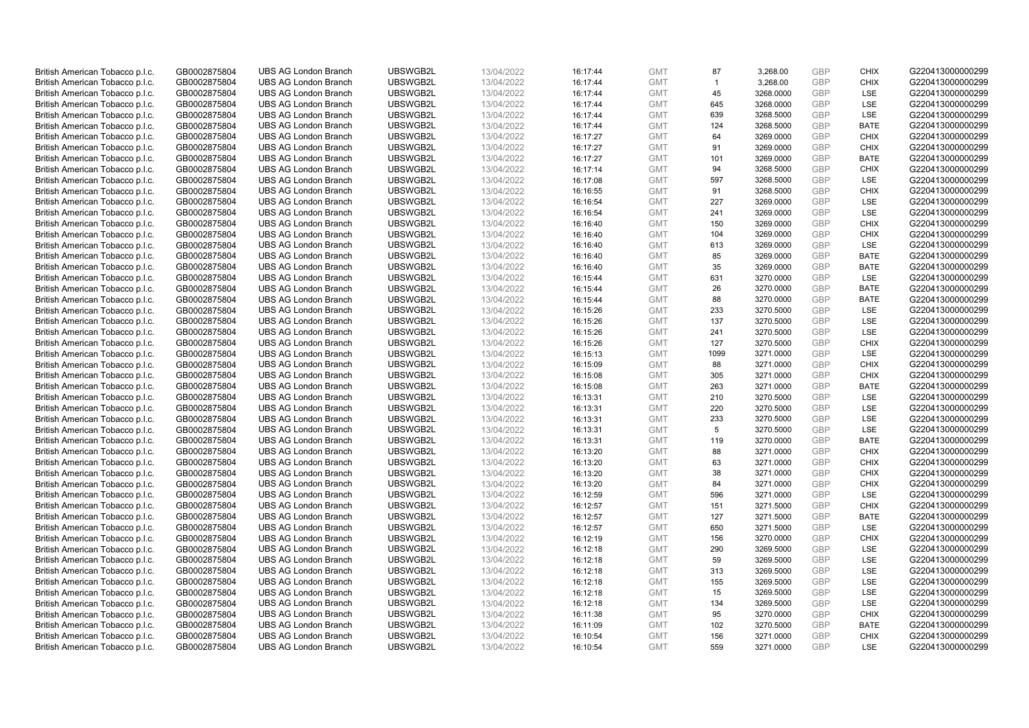| British American Tobacco p.l.c. | GB0002875804 | <b>UBS AG London Branch</b> | UBSWGB2L | 13/04/2022 | 16:17:44 | <b>GMT</b> | 87             | 3,268.00  | <b>GBP</b> | <b>CHIX</b> | G220413000000299 |
|---------------------------------|--------------|-----------------------------|----------|------------|----------|------------|----------------|-----------|------------|-------------|------------------|
| British American Tobacco p.l.c. | GB0002875804 | <b>UBS AG London Branch</b> | UBSWGB2L | 13/04/2022 | 16:17:44 | <b>GMT</b> | $\overline{1}$ | 3,268.00  | <b>GBP</b> | <b>CHIX</b> | G220413000000299 |
|                                 |              |                             |          |            |          |            |                |           |            |             |                  |
| British American Tobacco p.l.c. | GB0002875804 | <b>UBS AG London Branch</b> | UBSWGB2L | 13/04/2022 | 16:17:44 | <b>GMT</b> | 45             | 3268.0000 | <b>GBP</b> | LSE         | G220413000000299 |
| British American Tobacco p.l.c. | GB0002875804 | <b>UBS AG London Branch</b> | UBSWGB2L | 13/04/2022 | 16:17:44 | <b>GMT</b> | 645            | 3268.0000 | <b>GBP</b> | LSE         | G220413000000299 |
| British American Tobacco p.l.c. | GB0002875804 | <b>UBS AG London Branch</b> | UBSWGB2L | 13/04/2022 | 16:17:44 | <b>GMT</b> | 639            | 3268.5000 | <b>GBP</b> | LSE         | G220413000000299 |
| British American Tobacco p.l.c. | GB0002875804 | <b>UBS AG London Branch</b> | UBSWGB2L | 13/04/2022 | 16:17:44 | <b>GMT</b> | 124            | 3268.5000 | <b>GBP</b> | <b>BATE</b> | G220413000000299 |
| British American Tobacco p.l.c. | GB0002875804 | <b>UBS AG London Branch</b> | UBSWGB2L | 13/04/2022 | 16:17:27 | <b>GMT</b> | 64             | 3269.0000 | <b>GBP</b> | <b>CHIX</b> | G220413000000299 |
| British American Tobacco p.l.c. | GB0002875804 | <b>UBS AG London Branch</b> | UBSWGB2L | 13/04/2022 | 16:17:27 | <b>GMT</b> | 91             | 3269.0000 | <b>GBP</b> | <b>CHIX</b> | G220413000000299 |
| British American Tobacco p.l.c. | GB0002875804 | <b>UBS AG London Branch</b> | UBSWGB2L | 13/04/2022 | 16:17:27 | <b>GMT</b> | 101            | 3269.0000 | <b>GBP</b> | <b>BATE</b> | G220413000000299 |
| British American Tobacco p.l.c. | GB0002875804 | <b>UBS AG London Branch</b> | UBSWGB2L | 13/04/2022 | 16:17:14 | <b>GMT</b> | 94             | 3268.5000 | <b>GBP</b> | <b>CHIX</b> | G220413000000299 |
| British American Tobacco p.l.c. | GB0002875804 | <b>UBS AG London Branch</b> | UBSWGB2L | 13/04/2022 | 16:17:08 | <b>GMT</b> | 597            | 3268.5000 | <b>GBP</b> | <b>LSE</b>  | G220413000000299 |
| British American Tobacco p.l.c. | GB0002875804 | <b>UBS AG London Branch</b> | UBSWGB2L | 13/04/2022 | 16:16:55 | <b>GMT</b> | 91             | 3268.5000 | <b>GBP</b> | <b>CHIX</b> | G220413000000299 |
| British American Tobacco p.l.c. | GB0002875804 | <b>UBS AG London Branch</b> | UBSWGB2L | 13/04/2022 | 16:16:54 | <b>GMT</b> | 227            | 3269.0000 | <b>GBP</b> | LSE         | G220413000000299 |
| British American Tobacco p.l.c. | GB0002875804 | <b>UBS AG London Branch</b> | UBSWGB2L | 13/04/2022 | 16:16:54 | <b>GMT</b> | 241            | 3269.0000 | <b>GBP</b> | LSE         | G220413000000299 |
| British American Tobacco p.l.c. | GB0002875804 | <b>UBS AG London Branch</b> | UBSWGB2L | 13/04/2022 | 16:16:40 | <b>GMT</b> | 150            | 3269.0000 | <b>GBP</b> | <b>CHIX</b> | G220413000000299 |
| British American Tobacco p.l.c. | GB0002875804 | <b>UBS AG London Branch</b> | UBSWGB2L | 13/04/2022 | 16:16:40 | <b>GMT</b> | 104            | 3269.0000 | <b>GBP</b> | <b>CHIX</b> | G220413000000299 |
| British American Tobacco p.l.c. | GB0002875804 | <b>UBS AG London Branch</b> | UBSWGB2L | 13/04/2022 | 16:16:40 | <b>GMT</b> | 613            | 3269.0000 | <b>GBP</b> | LSE         | G220413000000299 |
| British American Tobacco p.l.c. | GB0002875804 | <b>UBS AG London Branch</b> | UBSWGB2L | 13/04/2022 | 16:16:40 | <b>GMT</b> | 85             | 3269.0000 | <b>GBP</b> | <b>BATE</b> | G220413000000299 |
|                                 |              | <b>UBS AG London Branch</b> | UBSWGB2L |            |          |            |                |           |            | <b>BATE</b> |                  |
| British American Tobacco p.l.c. | GB0002875804 |                             |          | 13/04/2022 | 16:16:40 | <b>GMT</b> | 35             | 3269.0000 | <b>GBP</b> |             | G220413000000299 |
| British American Tobacco p.l.c. | GB0002875804 | <b>UBS AG London Branch</b> | UBSWGB2L | 13/04/2022 | 16:15:44 | <b>GMT</b> | 631            | 3270.0000 | <b>GBP</b> | LSE         | G220413000000299 |
| British American Tobacco p.l.c. | GB0002875804 | <b>UBS AG London Branch</b> | UBSWGB2L | 13/04/2022 | 16:15:44 | <b>GMT</b> | 26             | 3270.0000 | <b>GBP</b> | <b>BATE</b> | G220413000000299 |
| British American Tobacco p.l.c. | GB0002875804 | <b>UBS AG London Branch</b> | UBSWGB2L | 13/04/2022 | 16:15:44 | <b>GMT</b> | 88             | 3270.0000 | <b>GBP</b> | <b>BATE</b> | G220413000000299 |
| British American Tobacco p.l.c. | GB0002875804 | <b>UBS AG London Branch</b> | UBSWGB2L | 13/04/2022 | 16:15:26 | <b>GMT</b> | 233            | 3270.5000 | <b>GBP</b> | LSE         | G220413000000299 |
| British American Tobacco p.l.c. | GB0002875804 | <b>UBS AG London Branch</b> | UBSWGB2L | 13/04/2022 | 16:15:26 | <b>GMT</b> | 137            | 3270.5000 | <b>GBP</b> | <b>LSE</b>  | G220413000000299 |
| British American Tobacco p.l.c. | GB0002875804 | <b>UBS AG London Branch</b> | UBSWGB2L | 13/04/2022 | 16:15:26 | <b>GMT</b> | 241            | 3270.5000 | <b>GBP</b> | LSE         | G220413000000299 |
| British American Tobacco p.l.c. | GB0002875804 | <b>UBS AG London Branch</b> | UBSWGB2L | 13/04/2022 | 16:15:26 | <b>GMT</b> | 127            | 3270.5000 | <b>GBP</b> | <b>CHIX</b> | G220413000000299 |
| British American Tobacco p.l.c. | GB0002875804 | <b>UBS AG London Branch</b> | UBSWGB2L | 13/04/2022 | 16:15:13 | <b>GMT</b> | 1099           | 3271.0000 | <b>GBP</b> | <b>LSE</b>  | G220413000000299 |
| British American Tobacco p.l.c. | GB0002875804 | <b>UBS AG London Branch</b> | UBSWGB2L | 13/04/2022 | 16:15:09 | <b>GMT</b> | 88             | 3271.0000 | <b>GBP</b> | <b>CHIX</b> | G220413000000299 |
| British American Tobacco p.l.c. | GB0002875804 | <b>UBS AG London Branch</b> | UBSWGB2L | 13/04/2022 | 16:15:08 | <b>GMT</b> | 305            | 3271.0000 | <b>GBP</b> | <b>CHIX</b> | G220413000000299 |
| British American Tobacco p.l.c. | GB0002875804 | <b>UBS AG London Branch</b> | UBSWGB2L | 13/04/2022 | 16:15:08 | <b>GMT</b> | 263            | 3271.0000 | <b>GBP</b> | <b>BATE</b> | G220413000000299 |
| British American Tobacco p.l.c. | GB0002875804 | <b>UBS AG London Branch</b> | UBSWGB2L | 13/04/2022 | 16:13:31 | <b>GMT</b> | 210            | 3270.5000 | <b>GBP</b> | LSE         | G220413000000299 |
| British American Tobacco p.l.c. | GB0002875804 | <b>UBS AG London Branch</b> | UBSWGB2L | 13/04/2022 | 16:13:31 | <b>GMT</b> | 220            | 3270.5000 | <b>GBP</b> | <b>LSE</b>  | G220413000000299 |
| British American Tobacco p.l.c. | GB0002875804 | <b>UBS AG London Branch</b> | UBSWGB2L | 13/04/2022 | 16:13:31 | <b>GMT</b> | 233            | 3270.5000 | <b>GBP</b> | LSE         | G220413000000299 |
| British American Tobacco p.l.c. | GB0002875804 | <b>UBS AG London Branch</b> | UBSWGB2L | 13/04/2022 | 16:13:31 | <b>GMT</b> | 5              | 3270.5000 | <b>GBP</b> | LSE         | G220413000000299 |
| British American Tobacco p.l.c. | GB0002875804 | <b>UBS AG London Branch</b> | UBSWGB2L | 13/04/2022 | 16:13:31 | <b>GMT</b> | 119            | 3270.0000 | <b>GBP</b> | <b>BATE</b> | G220413000000299 |
| British American Tobacco p.l.c. | GB0002875804 | <b>UBS AG London Branch</b> | UBSWGB2L | 13/04/2022 | 16:13:20 | <b>GMT</b> | 88             | 3271.0000 | <b>GBP</b> | <b>CHIX</b> | G220413000000299 |
| British American Tobacco p.l.c. | GB0002875804 | <b>UBS AG London Branch</b> | UBSWGB2L | 13/04/2022 | 16:13:20 | <b>GMT</b> | 63             | 3271.0000 | <b>GBP</b> | <b>CHIX</b> | G220413000000299 |
| British American Tobacco p.l.c. | GB0002875804 | <b>UBS AG London Branch</b> | UBSWGB2L | 13/04/2022 | 16:13:20 | <b>GMT</b> | 38             | 3271.0000 | <b>GBP</b> | <b>CHIX</b> | G220413000000299 |
| British American Tobacco p.l.c. | GB0002875804 | <b>UBS AG London Branch</b> | UBSWGB2L | 13/04/2022 | 16:13:20 | <b>GMT</b> | 84             | 3271.0000 | <b>GBP</b> | <b>CHIX</b> | G220413000000299 |
| British American Tobacco p.l.c. | GB0002875804 | <b>UBS AG London Branch</b> | UBSWGB2L | 13/04/2022 | 16:12:59 | <b>GMT</b> | 596            | 3271.0000 | <b>GBP</b> | <b>LSE</b>  | G220413000000299 |
| British American Tobacco p.l.c. | GB0002875804 | <b>UBS AG London Branch</b> | UBSWGB2L | 13/04/2022 | 16:12:57 | <b>GMT</b> | 151            | 3271.5000 | <b>GBP</b> | <b>CHIX</b> | G220413000000299 |
| British American Tobacco p.l.c. | GB0002875804 | <b>UBS AG London Branch</b> | UBSWGB2L | 13/04/2022 | 16:12:57 | <b>GMT</b> | 127            | 3271.5000 | <b>GBP</b> | <b>BATE</b> | G220413000000299 |
| British American Tobacco p.l.c. | GB0002875804 | <b>UBS AG London Branch</b> | UBSWGB2L | 13/04/2022 | 16:12:57 | <b>GMT</b> | 650            | 3271.5000 | <b>GBP</b> | LSE         | G220413000000299 |
| British American Tobacco p.l.c. | GB0002875804 | <b>UBS AG London Branch</b> | UBSWGB2L | 13/04/2022 |          | <b>GMT</b> | 156            | 3270.0000 | <b>GBP</b> | <b>CHIX</b> | G220413000000299 |
|                                 |              |                             | UBSWGB2L |            | 16:12:19 |            |                |           | <b>GBP</b> | LSE         |                  |
| British American Tobacco p.l.c. | GB0002875804 | UBS AG London Branch        |          | 13/04/2022 | 16:12:18 | <b>GMT</b> | 290            | 3269.5000 |            |             | G220413000000299 |
| British American Tobacco p.l.c. | GB0002875804 | <b>UBS AG London Branch</b> | UBSWGB2L | 13/04/2022 | 16:12:18 | <b>GMT</b> | 59             | 3269.5000 | <b>GBP</b> | LSE         | G220413000000299 |
| British American Tobacco p.l.c. | GB0002875804 | <b>UBS AG London Branch</b> | UBSWGB2L | 13/04/2022 | 16:12:18 | <b>GMT</b> | 313            | 3269.5000 | <b>GBP</b> | LSE         | G220413000000299 |
| British American Tobacco p.l.c. | GB0002875804 | <b>UBS AG London Branch</b> | UBSWGB2L | 13/04/2022 | 16:12:18 | <b>GMT</b> | 155            | 3269.5000 | <b>GBP</b> | LSE         | G220413000000299 |
| British American Tobacco p.l.c. | GB0002875804 | <b>UBS AG London Branch</b> | UBSWGB2L | 13/04/2022 | 16:12:18 | <b>GMT</b> | 15             | 3269.5000 | <b>GBP</b> | LSE         | G220413000000299 |
| British American Tobacco p.l.c. | GB0002875804 | <b>UBS AG London Branch</b> | UBSWGB2L | 13/04/2022 | 16:12:18 | <b>GMT</b> | 134            | 3269.5000 | <b>GBP</b> | LSE         | G220413000000299 |
| British American Tobacco p.l.c. | GB0002875804 | <b>UBS AG London Branch</b> | UBSWGB2L | 13/04/2022 | 16:11:38 | <b>GMT</b> | 95             | 3270.0000 | <b>GBP</b> | <b>CHIX</b> | G220413000000299 |
| British American Tobacco p.l.c. | GB0002875804 | <b>UBS AG London Branch</b> | UBSWGB2L | 13/04/2022 | 16:11:09 | <b>GMT</b> | 102            | 3270.5000 | <b>GBP</b> | <b>BATE</b> | G220413000000299 |
| British American Tobacco p.l.c. | GB0002875804 | <b>UBS AG London Branch</b> | UBSWGB2L | 13/04/2022 | 16:10:54 | <b>GMT</b> | 156            | 3271.0000 | <b>GBP</b> | <b>CHIX</b> | G220413000000299 |
| British American Tobacco p.l.c. | GB0002875804 | <b>UBS AG London Branch</b> | UBSWGB2L | 13/04/2022 | 16:10:54 | <b>GMT</b> | 559            | 3271.0000 | <b>GBP</b> | <b>LSE</b>  | G220413000000299 |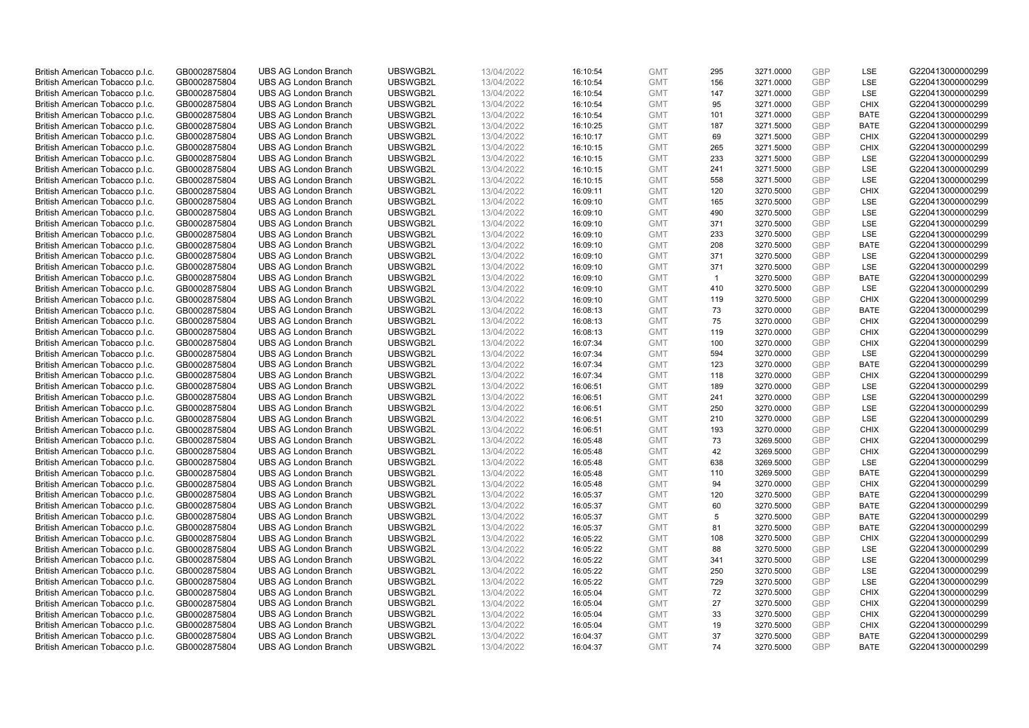| British American Tobacco p.l.c. | GB0002875804 | <b>UBS AG London Branch</b>                                | UBSWGB2L             | 13/04/2022 | 16:10:54 | <b>GMT</b>               | 295          | 3271.0000              | <b>GBP</b> | LSE         | G220413000000299                     |
|---------------------------------|--------------|------------------------------------------------------------|----------------------|------------|----------|--------------------------|--------------|------------------------|------------|-------------|--------------------------------------|
| British American Tobacco p.l.c. | GB0002875804 | <b>UBS AG London Branch</b>                                | UBSWGB2L             | 13/04/2022 | 16:10:54 | <b>GMT</b>               | 156          | 3271.0000              | <b>GBP</b> | LSE         | G220413000000299                     |
| British American Tobacco p.l.c. | GB0002875804 | <b>UBS AG London Branch</b>                                | UBSWGB2L             | 13/04/2022 | 16:10:54 | <b>GMT</b>               | 147          | 3271.0000              | GBP        | LSE         | G220413000000299                     |
| British American Tobacco p.l.c. | GB0002875804 | <b>UBS AG London Branch</b>                                | UBSWGB2L             | 13/04/2022 | 16:10:54 | <b>GMT</b>               | 95           | 3271.0000              | <b>GBP</b> | <b>CHIX</b> | G220413000000299                     |
| British American Tobacco p.l.c. | GB0002875804 | <b>UBS AG London Branch</b>                                | UBSWGB2L             | 13/04/2022 | 16:10:54 | <b>GMT</b>               | 101          | 3271.0000              | GBP        | <b>BATE</b> | G220413000000299                     |
| British American Tobacco p.l.c. | GB0002875804 | <b>UBS AG London Branch</b>                                | UBSWGB2L             | 13/04/2022 | 16:10:25 | <b>GMT</b>               | 187          | 3271.5000              | GBP        | <b>BATE</b> | G220413000000299                     |
| British American Tobacco p.l.c. | GB0002875804 | <b>UBS AG London Branch</b>                                | UBSWGB2L             | 13/04/2022 | 16:10:17 | <b>GMT</b>               | 69           | 3271.5000              | GBP        | <b>CHIX</b> | G220413000000299                     |
| British American Tobacco p.l.c. | GB0002875804 | <b>UBS AG London Branch</b>                                | UBSWGB2L             | 13/04/2022 | 16:10:15 | <b>GMT</b>               | 265          | 3271.5000              | GBP        | <b>CHIX</b> | G220413000000299                     |
| British American Tobacco p.l.c. | GB0002875804 | <b>UBS AG London Branch</b>                                | UBSWGB2L             | 13/04/2022 | 16:10:15 | <b>GMT</b>               | 233          | 3271.5000              | GBP        | LSE         | G220413000000299                     |
| British American Tobacco p.l.c. | GB0002875804 | <b>UBS AG London Branch</b>                                | UBSWGB2L             | 13/04/2022 | 16:10:15 | <b>GMT</b>               | 241          | 3271.5000              | GBP        | LSE         | G220413000000299                     |
| British American Tobacco p.l.c. | GB0002875804 | <b>UBS AG London Branch</b>                                | UBSWGB2L             | 13/04/2022 | 16:10:15 | <b>GMT</b>               | 558          | 3271.5000              | GBP        | LSE         | G220413000000299                     |
| British American Tobacco p.l.c. | GB0002875804 | <b>UBS AG London Branch</b>                                | UBSWGB2L             | 13/04/2022 | 16:09:11 | <b>GMT</b>               | 120          | 3270.5000              | GBP        | <b>CHIX</b> | G220413000000299                     |
| British American Tobacco p.l.c. | GB0002875804 | <b>UBS AG London Branch</b>                                | UBSWGB2L             | 13/04/2022 | 16:09:10 | <b>GMT</b>               | 165          | 3270.5000              | GBP        | LSE         | G220413000000299                     |
| British American Tobacco p.l.c. | GB0002875804 | <b>UBS AG London Branch</b>                                | UBSWGB2L             | 13/04/2022 | 16:09:10 | <b>GMT</b>               | 490          | 3270.5000              | GBP        | LSE         | G220413000000299                     |
| British American Tobacco p.l.c. | GB0002875804 | <b>UBS AG London Branch</b>                                | UBSWGB2L             | 13/04/2022 | 16:09:10 | <b>GMT</b>               | 371          | 3270.5000              | GBP        | LSE         | G220413000000299                     |
| British American Tobacco p.l.c. | GB0002875804 | <b>UBS AG London Branch</b>                                | UBSWGB2L             | 13/04/2022 | 16:09:10 | <b>GMT</b>               | 233          | 3270.5000              | GBP        | LSE         | G220413000000299                     |
| British American Tobacco p.l.c. | GB0002875804 | <b>UBS AG London Branch</b>                                | UBSWGB2L             | 13/04/2022 | 16:09:10 | <b>GMT</b>               | 208          | 3270.5000              | GBP        | <b>BATE</b> | G220413000000299                     |
| British American Tobacco p.l.c. | GB0002875804 | <b>UBS AG London Branch</b>                                | UBSWGB2L             | 13/04/2022 | 16:09:10 | <b>GMT</b>               | 371          | 3270.5000              | GBP        | LSE         | G220413000000299                     |
| British American Tobacco p.l.c. | GB0002875804 | <b>UBS AG London Branch</b>                                | UBSWGB2L             | 13/04/2022 | 16:09:10 | <b>GMT</b>               | 371          | 3270.5000              | GBP        | <b>LSE</b>  | G220413000000299                     |
| British American Tobacco p.l.c. | GB0002875804 | <b>UBS AG London Branch</b>                                | UBSWGB2L             | 13/04/2022 | 16:09:10 | <b>GMT</b>               | $\mathbf{1}$ | 3270.5000              | GBP        | <b>BATE</b> | G220413000000299                     |
| British American Tobacco p.l.c. | GB0002875804 | <b>UBS AG London Branch</b>                                | UBSWGB2L             | 13/04/2022 | 16:09:10 | <b>GMT</b>               | 410          | 3270.5000              | GBP        | LSE         | G220413000000299                     |
| British American Tobacco p.l.c. | GB0002875804 | <b>UBS AG London Branch</b>                                | UBSWGB2L             | 13/04/2022 | 16:09:10 | <b>GMT</b>               | 119          | 3270.5000              | GBP        | <b>CHIX</b> | G220413000000299                     |
| British American Tobacco p.l.c. | GB0002875804 | <b>UBS AG London Branch</b>                                | UBSWGB2L             | 13/04/2022 | 16:08:13 | <b>GMT</b>               | 73           | 3270.0000              | GBP        | <b>BATE</b> | G220413000000299                     |
| British American Tobacco p.l.c. | GB0002875804 | <b>UBS AG London Branch</b>                                | UBSWGB2L             | 13/04/2022 | 16:08:13 | <b>GMT</b>               | 75           | 3270.0000              | GBP        | <b>CHIX</b> | G220413000000299                     |
| British American Tobacco p.l.c. | GB0002875804 | <b>UBS AG London Branch</b>                                | UBSWGB2L             | 13/04/2022 | 16:08:13 | <b>GMT</b>               | 119          | 3270.0000              | GBP        | <b>CHIX</b> | G220413000000299                     |
| British American Tobacco p.l.c. | GB0002875804 | <b>UBS AG London Branch</b>                                | UBSWGB2L             | 13/04/2022 | 16:07:34 | <b>GMT</b>               | 100          | 3270.0000              | GBP        | <b>CHIX</b> | G220413000000299                     |
| British American Tobacco p.l.c. | GB0002875804 | <b>UBS AG London Branch</b>                                | UBSWGB2L             | 13/04/2022 | 16:07:34 | <b>GMT</b>               | 594          | 3270.0000              | GBP        | <b>LSE</b>  | G220413000000299                     |
| British American Tobacco p.l.c. | GB0002875804 | <b>UBS AG London Branch</b>                                | UBSWGB2L             | 13/04/2022 | 16:07:34 | <b>GMT</b>               | 123          | 3270.0000              | GBP        | <b>BATE</b> | G220413000000299                     |
| British American Tobacco p.l.c. | GB0002875804 | <b>UBS AG London Branch</b>                                | UBSWGB2L             | 13/04/2022 | 16:07:34 | <b>GMT</b>               | 118          | 3270.0000              | GBP        | <b>CHIX</b> | G220413000000299                     |
| British American Tobacco p.l.c. | GB0002875804 | <b>UBS AG London Branch</b>                                | UBSWGB2L             | 13/04/2022 | 16:06:51 | <b>GMT</b>               | 189          | 3270.0000              | GBP        | LSE         | G220413000000299                     |
| British American Tobacco p.l.c. | GB0002875804 | <b>UBS AG London Branch</b>                                | UBSWGB2L             | 13/04/2022 | 16:06:51 | <b>GMT</b>               | 241          | 3270.0000              | GBP        | LSE         | G220413000000299                     |
| British American Tobacco p.l.c. | GB0002875804 | <b>UBS AG London Branch</b>                                | UBSWGB2L             | 13/04/2022 | 16:06:51 | <b>GMT</b>               | 250          | 3270.0000              | GBP        | LSE         | G220413000000299                     |
| British American Tobacco p.l.c. | GB0002875804 | <b>UBS AG London Branch</b>                                | UBSWGB2L             | 13/04/2022 | 16:06:51 | <b>GMT</b>               | 210          | 3270.0000              | GBP        | LSE         | G220413000000299                     |
|                                 |              |                                                            |                      |            |          |                          | 193          |                        | GBP        | <b>CHIX</b> |                                      |
| British American Tobacco p.l.c. | GB0002875804 | <b>UBS AG London Branch</b><br><b>UBS AG London Branch</b> | UBSWGB2L<br>UBSWGB2L | 13/04/2022 | 16:06:51 | <b>GMT</b><br><b>GMT</b> | 73           | 3270.0000<br>3269.5000 | <b>GBP</b> | <b>CHIX</b> | G220413000000299<br>G220413000000299 |
| British American Tobacco p.l.c. | GB0002875804 |                                                            |                      | 13/04/2022 | 16:05:48 |                          |              |                        |            |             |                                      |
| British American Tobacco p.l.c. | GB0002875804 | <b>UBS AG London Branch</b>                                | UBSWGB2L             | 13/04/2022 | 16:05:48 | <b>GMT</b>               | 42           | 3269.5000              | GBP        | <b>CHIX</b> | G220413000000299                     |
| British American Tobacco p.l.c. | GB0002875804 | <b>UBS AG London Branch</b>                                | UBSWGB2L             | 13/04/2022 | 16:05:48 | <b>GMT</b>               | 638          | 3269.5000              | <b>GBP</b> | LSE         | G220413000000299                     |
| British American Tobacco p.l.c. | GB0002875804 | <b>UBS AG London Branch</b>                                | UBSWGB2L             | 13/04/2022 | 16:05:48 | <b>GMT</b>               | 110          | 3269.5000              | GBP        | <b>BATE</b> | G220413000000299                     |
| British American Tobacco p.l.c. | GB0002875804 | <b>UBS AG London Branch</b>                                | UBSWGB2L             | 13/04/2022 | 16:05:48 | <b>GMT</b>               | 94           | 3270.0000              | GBP        | <b>CHIX</b> | G220413000000299                     |
| British American Tobacco p.l.c. | GB0002875804 | <b>UBS AG London Branch</b>                                | UBSWGB2L             | 13/04/2022 | 16:05:37 | <b>GMT</b>               | 120          | 3270.5000              | GBP        | <b>BATE</b> | G220413000000299                     |
| British American Tobacco p.l.c. | GB0002875804 | <b>UBS AG London Branch</b>                                | UBSWGB2L             | 13/04/2022 | 16:05:37 | <b>GMT</b>               | 60           | 3270.5000              | <b>GBP</b> | <b>BATE</b> | G220413000000299                     |
| British American Tobacco p.l.c. | GB0002875804 | <b>UBS AG London Branch</b>                                | UBSWGB2L             | 13/04/2022 | 16:05:37 | <b>GMT</b>               | 5            | 3270.5000              | GBP        | <b>BATE</b> | G220413000000299                     |
| British American Tobacco p.l.c. | GB0002875804 | <b>UBS AG London Branch</b>                                | UBSWGB2L             | 13/04/2022 | 16:05:37 | <b>GMT</b>               | 81           | 3270.5000              | GBP        | <b>BATE</b> | G220413000000299                     |
| British American Tobacco p.l.c. | GB0002875804 | <b>UBS AG London Branch</b>                                | UBSWGB2L             | 13/04/2022 | 16:05:22 | <b>GMT</b>               | 108          | 3270.5000              | GBP        | <b>CHIX</b> | G220413000000299                     |
| British American Tobacco p.l.c. | GB0002875804 | <b>UBS AG London Branch</b>                                | UBSWGB2L             | 13/04/2022 | 16:05:22 | <b>GMT</b>               | 88           | 3270.5000              | <b>GBP</b> | <b>LSE</b>  | G220413000000299                     |
| British American Tobacco p.l.c. | GB0002875804 | <b>UBS AG London Branch</b>                                | UBSWGB2L             | 13/04/2022 | 16:05:22 | <b>GMT</b>               | 341          | 3270.5000              | GBP        | LSE         | G220413000000299                     |
| British American Tobacco p.l.c. | GB0002875804 | <b>UBS AG London Branch</b>                                | UBSWGB2L             | 13/04/2022 | 16:05:22 | <b>GMT</b>               | 250          | 3270.5000              | GBP        | LSE         | G220413000000299                     |
| British American Tobacco p.l.c. | GB0002875804 | <b>UBS AG London Branch</b>                                | UBSWGB2L             | 13/04/2022 | 16:05:22 | <b>GMT</b>               | 729          | 3270.5000              | <b>GBP</b> | LSE         | G220413000000299                     |
| British American Tobacco p.l.c. | GB0002875804 | <b>UBS AG London Branch</b>                                | UBSWGB2L             | 13/04/2022 | 16:05:04 | <b>GMT</b>               | 72           | 3270.5000              | GBP        | <b>CHIX</b> | G220413000000299                     |
| British American Tobacco p.l.c. | GB0002875804 | <b>UBS AG London Branch</b>                                | UBSWGB2L             | 13/04/2022 | 16:05:04 | <b>GMT</b>               | 27           | 3270.5000              | GBP        | <b>CHIX</b> | G220413000000299                     |
| British American Tobacco p.l.c. | GB0002875804 | <b>UBS AG London Branch</b>                                | UBSWGB2L             | 13/04/2022 | 16:05:04 | <b>GMT</b>               | 33           | 3270.5000              | GBP        | <b>CHIX</b> | G220413000000299                     |
| British American Tobacco p.l.c. | GB0002875804 | <b>UBS AG London Branch</b>                                | UBSWGB2L             | 13/04/2022 | 16:05:04 | <b>GMT</b>               | 19           | 3270.5000              | <b>GBP</b> | <b>CHIX</b> | G220413000000299                     |
| British American Tobacco p.l.c. | GB0002875804 | <b>UBS AG London Branch</b>                                | UBSWGB2L             | 13/04/2022 | 16:04:37 | <b>GMT</b>               | 37           | 3270.5000              | GBP        | <b>BATE</b> | G220413000000299                     |
| British American Tobacco p.l.c. | GB0002875804 | <b>UBS AG London Branch</b>                                | UBSWGB2L             | 13/04/2022 | 16:04:37 | <b>GMT</b>               | 74           | 3270.5000              | <b>GBP</b> | <b>BATE</b> | G220413000000299                     |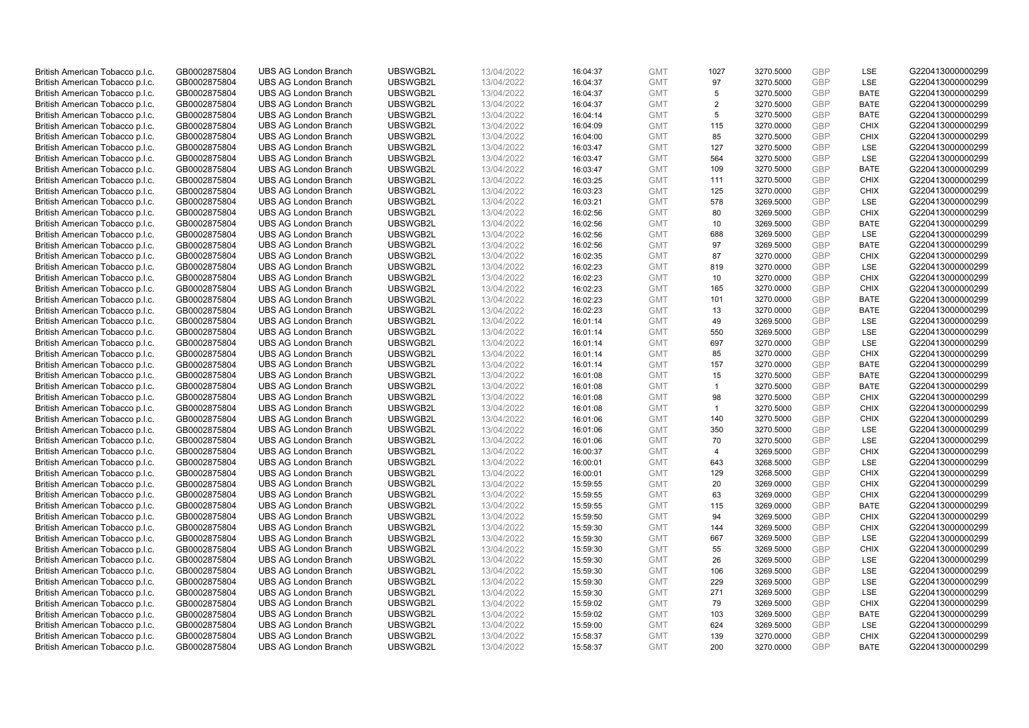| British American Tobacco p.l.c. | GB0002875804                 | <b>UBS AG London Branch</b>                                | UBSWGB2L             | 13/04/2022 | 16:04:37             | <b>GMT</b>               | 1027           | 3270.5000              | GBP        | LSE         | G220413000000299                     |
|---------------------------------|------------------------------|------------------------------------------------------------|----------------------|------------|----------------------|--------------------------|----------------|------------------------|------------|-------------|--------------------------------------|
| British American Tobacco p.l.c. | GB0002875804                 | <b>UBS AG London Branch</b>                                | UBSWGB2L             | 13/04/2022 | 16:04:37             | <b>GMT</b>               | 97             | 3270.5000              | <b>GBP</b> | LSE         | G220413000000299                     |
| British American Tobacco p.l.c. | GB0002875804                 | <b>UBS AG London Branch</b>                                | UBSWGB2L             | 13/04/2022 | 16:04:37             | <b>GMT</b>               | 5              | 3270.5000              | GBP        | <b>BATE</b> | G220413000000299                     |
| British American Tobacco p.l.c. | GB0002875804                 | <b>UBS AG London Branch</b>                                | UBSWGB2L             | 13/04/2022 | 16:04:37             | <b>GMT</b>               | $\overline{2}$ | 3270.5000              | GBP        | <b>BATE</b> | G220413000000299                     |
| British American Tobacco p.l.c. | GB0002875804                 | <b>UBS AG London Branch</b>                                | UBSWGB2L             | 13/04/2022 | 16:04:14             | <b>GMT</b>               | 5              | 3270.5000              | GBP        | <b>BATE</b> | G220413000000299                     |
| British American Tobacco p.l.c. | GB0002875804                 | <b>UBS AG London Branch</b>                                | UBSWGB2L             | 13/04/2022 | 16:04:09             | <b>GMT</b>               | 115            | 3270.0000              | GBP        | <b>CHIX</b> | G220413000000299                     |
| British American Tobacco p.l.c. | GB0002875804                 | <b>UBS AG London Branch</b>                                | UBSWGB2L             | 13/04/2022 | 16:04:00             | <b>GMT</b>               | 85             | 3270.5000              | GBP        | <b>CHIX</b> | G220413000000299                     |
| British American Tobacco p.l.c. | GB0002875804                 | <b>UBS AG London Branch</b>                                | UBSWGB2L             | 13/04/2022 | 16:03:47             | <b>GMT</b>               | 127            | 3270.5000              | GBP        | LSE         | G220413000000299                     |
| British American Tobacco p.l.c. | GB0002875804                 | <b>UBS AG London Branch</b>                                | UBSWGB2L             | 13/04/2022 | 16:03:47             | <b>GMT</b>               | 564            | 3270.5000              | GBP        | LSE         | G220413000000299                     |
| British American Tobacco p.l.c. | GB0002875804                 | <b>UBS AG London Branch</b>                                | UBSWGB2L             | 13/04/2022 | 16:03:47             | <b>GMT</b>               | 109            | 3270.5000              | GBP        | <b>BATE</b> | G220413000000299                     |
| British American Tobacco p.l.c. | GB0002875804                 | <b>UBS AG London Branch</b>                                | UBSWGB2L             | 13/04/2022 | 16:03:25             | <b>GMT</b>               | 111            | 3270.5000              | GBP        | <b>CHIX</b> | G220413000000299                     |
| British American Tobacco p.l.c. | GB0002875804                 | <b>UBS AG London Branch</b>                                | UBSWGB2L             | 13/04/2022 | 16:03:23             | <b>GMT</b>               | 125            | 3270.0000              | GBP        | <b>CHIX</b> | G220413000000299                     |
| British American Tobacco p.l.c. | GB0002875804                 | <b>UBS AG London Branch</b>                                | UBSWGB2L             | 13/04/2022 | 16:03:21             | <b>GMT</b>               | 578            | 3269.5000              | GBP        | LSE         | G220413000000299                     |
| British American Tobacco p.l.c. | GB0002875804                 | <b>UBS AG London Branch</b>                                | UBSWGB2L             | 13/04/2022 | 16:02:56             | <b>GMT</b>               | 80             | 3269.5000              | GBP        | <b>CHIX</b> | G220413000000299                     |
| British American Tobacco p.l.c. | GB0002875804                 | <b>UBS AG London Branch</b>                                | UBSWGB2L             | 13/04/2022 | 16:02:56             | <b>GMT</b>               | 10             | 3269.5000              | <b>GBP</b> | <b>BATE</b> | G220413000000299                     |
| British American Tobacco p.l.c. | GB0002875804                 | <b>UBS AG London Branch</b>                                | UBSWGB2L             | 13/04/2022 | 16:02:56             | <b>GMT</b>               | 688            | 3269.5000              | GBP        | LSE         | G220413000000299                     |
| British American Tobacco p.l.c. | GB0002875804                 | <b>UBS AG London Branch</b>                                | UBSWGB2L             | 13/04/2022 | 16:02:56             | <b>GMT</b>               | 97             | 3269.5000              | GBP        | <b>BATE</b> | G220413000000299                     |
| British American Tobacco p.l.c. | GB0002875804                 | <b>UBS AG London Branch</b>                                | UBSWGB2L             | 13/04/2022 | 16:02:35             | <b>GMT</b>               | 87             | 3270.0000              | GBP        | <b>CHIX</b> | G220413000000299                     |
| British American Tobacco p.l.c. | GB0002875804                 | <b>UBS AG London Branch</b>                                | UBSWGB2L             | 13/04/2022 | 16:02:23             | <b>GMT</b>               | 819            | 3270.0000              | GBP        | <b>LSE</b>  | G220413000000299                     |
| British American Tobacco p.l.c. | GB0002875804                 | <b>UBS AG London Branch</b>                                | UBSWGB2L             | 13/04/2022 | 16:02:23             | <b>GMT</b>               | 10             | 3270.0000              | GBP        | <b>CHIX</b> | G220413000000299                     |
| British American Tobacco p.l.c. | GB0002875804                 | <b>UBS AG London Branch</b>                                | UBSWGB2L             | 13/04/2022 | 16:02:23             | <b>GMT</b>               | 165            | 3270.0000              | GBP        | <b>CHIX</b> | G220413000000299                     |
| British American Tobacco p.l.c. | GB0002875804                 | <b>UBS AG London Branch</b>                                | UBSWGB2L             | 13/04/2022 | 16:02:23             | <b>GMT</b>               | 101            | 3270.0000              | GBP        | <b>BATE</b> | G220413000000299                     |
| British American Tobacco p.l.c. | GB0002875804                 | <b>UBS AG London Branch</b>                                | UBSWGB2L             | 13/04/2022 | 16:02:23             | <b>GMT</b>               | 13             | 3270.0000              | GBP        | <b>BATE</b> | G220413000000299                     |
| British American Tobacco p.l.c. | GB0002875804                 | <b>UBS AG London Branch</b>                                | UBSWGB2L             | 13/04/2022 | 16:01:14             | <b>GMT</b>               | 49             | 3269.5000              | GBP        | <b>LSE</b>  | G220413000000299                     |
| British American Tobacco p.l.c. | GB0002875804                 | <b>UBS AG London Branch</b>                                | UBSWGB2L             | 13/04/2022 | 16:01:14             | <b>GMT</b>               | 550            | 3269.5000              | GBP        | LSE         | G220413000000299                     |
| British American Tobacco p.l.c. | GB0002875804                 | <b>UBS AG London Branch</b>                                | UBSWGB2L             | 13/04/2022 | 16:01:14             | <b>GMT</b>               | 697            | 3270.0000              | GBP        | LSE         | G220413000000299                     |
| British American Tobacco p.l.c. | GB0002875804                 | <b>UBS AG London Branch</b>                                | UBSWGB2L             | 13/04/2022 | 16:01:14             | <b>GMT</b>               | 85             | 3270.0000              | GBP        | <b>CHIX</b> | G220413000000299                     |
| British American Tobacco p.l.c. | GB0002875804                 | <b>UBS AG London Branch</b>                                | UBSWGB2L             | 13/04/2022 | 16:01:14             | <b>GMT</b>               | 157            | 3270.0000              | <b>GBP</b> | <b>BATE</b> | G220413000000299                     |
| British American Tobacco p.l.c. | GB0002875804                 | <b>UBS AG London Branch</b>                                | UBSWGB2L             | 13/04/2022 | 16:01:08             | <b>GMT</b>               | 15             | 3270.5000              | GBP        | <b>BATE</b> | G220413000000299                     |
| British American Tobacco p.l.c. | GB0002875804                 | <b>UBS AG London Branch</b>                                | UBSWGB2L             | 13/04/2022 | 16:01:08             | <b>GMT</b>               | $\mathbf{1}$   | 3270.5000              | GBP        | <b>BATE</b> | G220413000000299                     |
| British American Tobacco p.l.c. | GB0002875804                 | <b>UBS AG London Branch</b>                                | UBSWGB2L             | 13/04/2022 | 16:01:08             | <b>GMT</b>               | 98             | 3270.5000              | GBP        | <b>CHIX</b> | G220413000000299                     |
| British American Tobacco p.l.c. | GB0002875804                 | <b>UBS AG London Branch</b>                                | UBSWGB2L             | 13/04/2022 | 16:01:08             | <b>GMT</b>               | $\overline{1}$ | 3270.5000              | GBP        | <b>CHIX</b> | G220413000000299                     |
| British American Tobacco p.l.c. | GB0002875804                 | <b>UBS AG London Branch</b>                                | UBSWGB2L             | 13/04/2022 | 16:01:06             | <b>GMT</b>               | 140            | 3270.5000              | <b>GBP</b> | <b>CHIX</b> | G220413000000299                     |
|                                 |                              |                                                            |                      |            |                      |                          | 350            |                        |            | LSE         |                                      |
| British American Tobacco p.l.c. | GB0002875804<br>GB0002875804 | <b>UBS AG London Branch</b><br><b>UBS AG London Branch</b> | UBSWGB2L<br>UBSWGB2L | 13/04/2022 | 16:01:06<br>16:01:06 | <b>GMT</b><br><b>GMT</b> | 70             | 3270.5000<br>3270.5000 | GBP<br>GBP | LSE         | G220413000000299<br>G220413000000299 |
| British American Tobacco p.l.c. |                              |                                                            |                      | 13/04/2022 |                      |                          |                |                        |            |             |                                      |
| British American Tobacco p.l.c. | GB0002875804                 | <b>UBS AG London Branch</b>                                | UBSWGB2L             | 13/04/2022 | 16:00:37             | <b>GMT</b>               | 4              | 3269.5000              | GBP        | <b>CHIX</b> | G220413000000299                     |
| British American Tobacco p.l.c. | GB0002875804                 | <b>UBS AG London Branch</b>                                | UBSWGB2L             | 13/04/2022 | 16:00:01             | <b>GMT</b>               | 643            | 3268.5000              | GBP        | <b>LSE</b>  | G220413000000299                     |
| British American Tobacco p.l.c. | GB0002875804                 | <b>UBS AG London Branch</b>                                | UBSWGB2L             | 13/04/2022 | 16:00:01             | <b>GMT</b>               | 129            | 3268.5000              | GBP        | <b>CHIX</b> | G220413000000299                     |
| British American Tobacco p.l.c. | GB0002875804                 | <b>UBS AG London Branch</b>                                | UBSWGB2L             | 13/04/2022 | 15:59:55             | <b>GMT</b>               | 20             | 3269.0000              | GBP        | <b>CHIX</b> | G220413000000299                     |
| British American Tobacco p.l.c. | GB0002875804                 | <b>UBS AG London Branch</b>                                | UBSWGB2L             | 13/04/2022 | 15:59:55             | <b>GMT</b>               | 63             | 3269.0000              | GBP        | <b>CHIX</b> | G220413000000299                     |
| British American Tobacco p.l.c. | GB0002875804                 | <b>UBS AG London Branch</b>                                | UBSWGB2L             | 13/04/2022 | 15:59:55             | <b>GMT</b>               | 115            | 3269.0000              | <b>GBP</b> | <b>BATE</b> | G220413000000299                     |
| British American Tobacco p.l.c. | GB0002875804                 | <b>UBS AG London Branch</b>                                | UBSWGB2L             | 13/04/2022 | 15:59:50             | <b>GMT</b>               | 94             | 3269.5000              | GBP        | <b>CHIX</b> | G220413000000299                     |
| British American Tobacco p.l.c. | GB0002875804                 | <b>UBS AG London Branch</b>                                | UBSWGB2L             | 13/04/2022 | 15:59:30             | <b>GMT</b>               | 144            | 3269.5000              | GBP        | <b>CHIX</b> | G220413000000299                     |
| British American Tobacco p.l.c. | GB0002875804                 | <b>UBS AG London Branch</b>                                | UBSWGB2L             | 13/04/2022 | 15:59:30             | <b>GMT</b>               | 667            | 3269.5000              | GBP        | LSE         | G220413000000299                     |
| British American Tobacco p.l.c. | GB0002875804                 | <b>UBS AG London Branch</b>                                | UBSWGB2L             | 13/04/2022 | 15:59:30             | <b>GMT</b>               | 55             | 3269.5000              | GBP        | <b>CHIX</b> | G220413000000299                     |
| British American Tobacco p.l.c. | GB0002875804                 | <b>UBS AG London Branch</b>                                | UBSWGB2L             | 13/04/2022 | 15:59:30             | <b>GMT</b>               | 26             | 3269.5000              | <b>GBP</b> | LSE         | G220413000000299                     |
| British American Tobacco p.l.c. | GB0002875804                 | <b>UBS AG London Branch</b>                                | UBSWGB2L             | 13/04/2022 | 15:59:30             | <b>GMT</b>               | 106            | 3269.5000              | <b>GBP</b> | LSE         | G220413000000299                     |
| British American Tobacco p.l.c. | GB0002875804                 | <b>UBS AG London Branch</b>                                | UBSWGB2L             | 13/04/2022 | 15:59:30             | <b>GMT</b>               | 229            | 3269.5000              | GBP        | LSE         | G220413000000299                     |
| British American Tobacco p.l.c. | GB0002875804                 | <b>UBS AG London Branch</b>                                | UBSWGB2L             | 13/04/2022 | 15:59:30             | <b>GMT</b>               | 271            | 3269.5000              | GBP        | LSE         | G220413000000299                     |
| British American Tobacco p.l.c. | GB0002875804                 | <b>UBS AG London Branch</b>                                | UBSWGB2L             | 13/04/2022 | 15:59:02             | <b>GMT</b>               | 79             | 3269.5000              | GBP        | <b>CHIX</b> | G220413000000299                     |
| British American Tobacco p.l.c. | GB0002875804                 | <b>UBS AG London Branch</b>                                | UBSWGB2L             | 13/04/2022 | 15:59:02             | <b>GMT</b>               | 103            | 3269.5000              | GBP        | <b>BATE</b> | G220413000000299                     |
| British American Tobacco p.l.c. | GB0002875804                 | <b>UBS AG London Branch</b>                                | UBSWGB2L             | 13/04/2022 | 15:59:00             | <b>GMT</b>               | 624            | 3269.5000              | <b>GBP</b> | LSE         | G220413000000299                     |
| British American Tobacco p.l.c. | GB0002875804                 | <b>UBS AG London Branch</b>                                | UBSWGB2L             | 13/04/2022 | 15:58:37             | <b>GMT</b>               | 139            | 3270.0000              | GBP        | <b>CHIX</b> | G220413000000299                     |
| British American Tobacco p.l.c. | GB0002875804                 | <b>UBS AG London Branch</b>                                | UBSWGB2L             | 13/04/2022 | 15:58:37             | <b>GMT</b>               | 200            | 3270.0000              | GBP        | <b>BATE</b> | G220413000000299                     |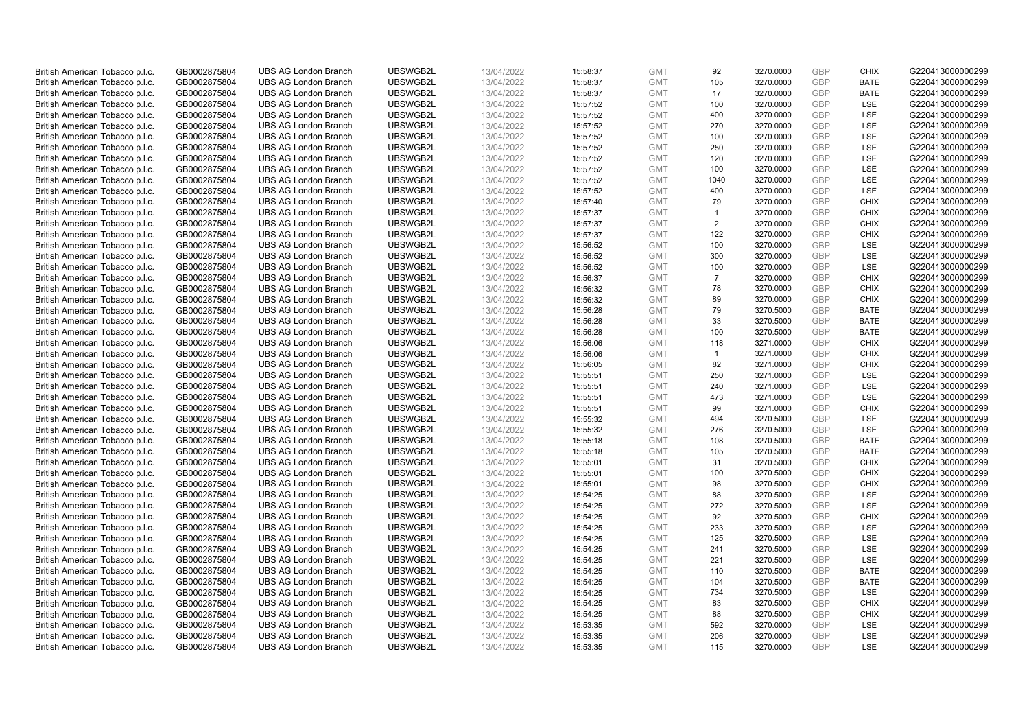| British American Tobacco p.l.c. | GB0002875804 | <b>UBS AG London Branch</b> | UBSWGB2L | 13/04/2022 |          | <b>GMT</b> |                | 3270.0000 | <b>GBP</b> | <b>CHIX</b> | G220413000000299 |
|---------------------------------|--------------|-----------------------------|----------|------------|----------|------------|----------------|-----------|------------|-------------|------------------|
|                                 |              |                             |          |            | 15:58:37 |            | 92             |           |            |             |                  |
| British American Tobacco p.l.c. | GB0002875804 | <b>UBS AG London Branch</b> | UBSWGB2L | 13/04/2022 | 15:58:37 | <b>GMT</b> | 105            | 3270.0000 | <b>GBP</b> | <b>BATE</b> | G220413000000299 |
| British American Tobacco p.l.c. | GB0002875804 | <b>UBS AG London Branch</b> | UBSWGB2L | 13/04/2022 | 15:58:37 | <b>GMT</b> | 17             | 3270.0000 | GBP        | <b>BATE</b> | G220413000000299 |
| British American Tobacco p.l.c. | GB0002875804 | <b>UBS AG London Branch</b> | UBSWGB2L | 13/04/2022 | 15:57:52 | <b>GMT</b> | 100            | 3270.0000 | GBP        | LSE         | G220413000000299 |
| British American Tobacco p.l.c. | GB0002875804 | <b>UBS AG London Branch</b> | UBSWGB2L | 13/04/2022 | 15:57:52 | <b>GMT</b> | 400            | 3270.0000 | GBP        | LSE         | G220413000000299 |
| British American Tobacco p.l.c. | GB0002875804 | <b>UBS AG London Branch</b> | UBSWGB2L | 13/04/2022 | 15:57:52 | <b>GMT</b> | 270            | 3270.0000 | GBP        | LSE         | G220413000000299 |
| British American Tobacco p.l.c. | GB0002875804 | <b>UBS AG London Branch</b> | UBSWGB2L | 13/04/2022 | 15:57:52 | <b>GMT</b> | 100            | 3270.0000 | GBP        | LSE         | G220413000000299 |
| British American Tobacco p.l.c. | GB0002875804 | <b>UBS AG London Branch</b> | UBSWGB2L | 13/04/2022 | 15:57:52 | <b>GMT</b> | 250            | 3270.0000 | GBP        | LSE         | G220413000000299 |
| British American Tobacco p.l.c. | GB0002875804 | <b>UBS AG London Branch</b> | UBSWGB2L | 13/04/2022 | 15:57:52 | <b>GMT</b> | 120            | 3270.0000 | GBP        | LSE         | G220413000000299 |
| British American Tobacco p.l.c. | GB0002875804 | <b>UBS AG London Branch</b> | UBSWGB2L | 13/04/2022 | 15:57:52 | <b>GMT</b> | 100            | 3270.0000 | GBP        | LSE         | G220413000000299 |
| British American Tobacco p.l.c. | GB0002875804 | <b>UBS AG London Branch</b> | UBSWGB2L | 13/04/2022 | 15:57:52 | <b>GMT</b> | 1040           | 3270.0000 | GBP        | LSE         | G220413000000299 |
| British American Tobacco p.l.c. | GB0002875804 | <b>UBS AG London Branch</b> | UBSWGB2L | 13/04/2022 | 15:57:52 | <b>GMT</b> | 400            | 3270.0000 | GBP        | LSE         | G220413000000299 |
| British American Tobacco p.l.c. | GB0002875804 | <b>UBS AG London Branch</b> | UBSWGB2L | 13/04/2022 | 15:57:40 | <b>GMT</b> | 79             | 3270.0000 | GBP        | <b>CHIX</b> | G220413000000299 |
|                                 |              |                             |          |            |          |            |                |           |            |             |                  |
| British American Tobacco p.l.c. | GB0002875804 | <b>UBS AG London Branch</b> | UBSWGB2L | 13/04/2022 | 15:57:37 | <b>GMT</b> | $\mathbf{1}$   | 3270.0000 | GBP        | <b>CHIX</b> | G220413000000299 |
| British American Tobacco p.l.c. | GB0002875804 | <b>UBS AG London Branch</b> | UBSWGB2L | 13/04/2022 | 15:57:37 | <b>GMT</b> | 2              | 3270.0000 | GBP        | <b>CHIX</b> | G220413000000299 |
| British American Tobacco p.l.c. | GB0002875804 | <b>UBS AG London Branch</b> | UBSWGB2L | 13/04/2022 | 15:57:37 | <b>GMT</b> | 122            | 3270.0000 | GBP        | <b>CHIX</b> | G220413000000299 |
| British American Tobacco p.l.c. | GB0002875804 | <b>UBS AG London Branch</b> | UBSWGB2L | 13/04/2022 | 15:56:52 | <b>GMT</b> | 100            | 3270.0000 | GBP        | LSE         | G220413000000299 |
| British American Tobacco p.l.c. | GB0002875804 | <b>UBS AG London Branch</b> | UBSWGB2L | 13/04/2022 | 15:56:52 | <b>GMT</b> | 300            | 3270.0000 | GBP        | LSE         | G220413000000299 |
| British American Tobacco p.l.c. | GB0002875804 | <b>UBS AG London Branch</b> | UBSWGB2L | 13/04/2022 | 15:56:52 | <b>GMT</b> | 100            | 3270.0000 | GBP        | <b>LSE</b>  | G220413000000299 |
| British American Tobacco p.l.c. | GB0002875804 | <b>UBS AG London Branch</b> | UBSWGB2L | 13/04/2022 | 15:56:37 | <b>GMT</b> | $\overline{7}$ | 3270.0000 | GBP        | <b>CHIX</b> | G220413000000299 |
| British American Tobacco p.l.c. | GB0002875804 | <b>UBS AG London Branch</b> | UBSWGB2L | 13/04/2022 | 15:56:32 | <b>GMT</b> | 78             | 3270.0000 | GBP        | <b>CHIX</b> | G220413000000299 |
| British American Tobacco p.l.c. | GB0002875804 | <b>UBS AG London Branch</b> | UBSWGB2L | 13/04/2022 | 15:56:32 | <b>GMT</b> | 89             | 3270.0000 | GBP        | <b>CHIX</b> | G220413000000299 |
| British American Tobacco p.l.c. | GB0002875804 | <b>UBS AG London Branch</b> | UBSWGB2L | 13/04/2022 | 15:56:28 | <b>GMT</b> | 79             | 3270.5000 | GBP        | <b>BATE</b> | G220413000000299 |
| British American Tobacco p.l.c. | GB0002875804 | <b>UBS AG London Branch</b> | UBSWGB2L | 13/04/2022 | 15:56:28 | <b>GMT</b> | 33             | 3270.5000 | GBP        | <b>BATE</b> | G220413000000299 |
| British American Tobacco p.l.c. | GB0002875804 | <b>UBS AG London Branch</b> | UBSWGB2L | 13/04/2022 | 15:56:28 | <b>GMT</b> | 100            | 3270.5000 | GBP        | <b>BATE</b> | G220413000000299 |
| British American Tobacco p.l.c. | GB0002875804 | <b>UBS AG London Branch</b> | UBSWGB2L | 13/04/2022 | 15:56:06 | <b>GMT</b> | 118            | 3271.0000 | GBP        | <b>CHIX</b> | G220413000000299 |
| British American Tobacco p.l.c. | GB0002875804 | <b>UBS AG London Branch</b> | UBSWGB2L | 13/04/2022 | 15:56:06 | <b>GMT</b> | $\mathbf{1}$   | 3271.0000 | GBP        | <b>CHIX</b> | G220413000000299 |
|                                 |              |                             |          |            |          |            |                |           |            |             |                  |
| British American Tobacco p.l.c. | GB0002875804 | <b>UBS AG London Branch</b> | UBSWGB2L | 13/04/2022 | 15:56:05 | <b>GMT</b> | 82             | 3271.0000 | GBP        | <b>CHIX</b> | G220413000000299 |
| British American Tobacco p.l.c. | GB0002875804 | <b>UBS AG London Branch</b> | UBSWGB2L | 13/04/2022 | 15:55:51 | <b>GMT</b> | 250            | 3271.0000 | GBP        | LSE         | G220413000000299 |
| British American Tobacco p.l.c. | GB0002875804 | <b>UBS AG London Branch</b> | UBSWGB2L | 13/04/2022 | 15:55:51 | <b>GMT</b> | 240            | 3271.0000 | GBP        | LSE         | G220413000000299 |
| British American Tobacco p.l.c. | GB0002875804 | <b>UBS AG London Branch</b> | UBSWGB2L | 13/04/2022 | 15:55:51 | <b>GMT</b> | 473            | 3271.0000 | GBP        | LSE         | G220413000000299 |
| British American Tobacco p.l.c. | GB0002875804 | <b>UBS AG London Branch</b> | UBSWGB2L | 13/04/2022 | 15:55:51 | <b>GMT</b> | 99             | 3271.0000 | GBP        | <b>CHIX</b> | G220413000000299 |
| British American Tobacco p.l.c. | GB0002875804 | <b>UBS AG London Branch</b> | UBSWGB2L | 13/04/2022 | 15:55:32 | <b>GMT</b> | 494            | 3270.5000 | GBP        | LSE         | G220413000000299 |
| British American Tobacco p.l.c. | GB0002875804 | <b>UBS AG London Branch</b> | UBSWGB2L | 13/04/2022 | 15:55:32 | <b>GMT</b> | 276            | 3270.5000 | GBP        | LSE         | G220413000000299 |
| British American Tobacco p.l.c. | GB0002875804 | <b>UBS AG London Branch</b> | UBSWGB2L | 13/04/2022 | 15:55:18 | <b>GMT</b> | 108            | 3270.5000 | GBP        | <b>BATE</b> | G220413000000299 |
| British American Tobacco p.l.c. | GB0002875804 | <b>UBS AG London Branch</b> | UBSWGB2L | 13/04/2022 | 15:55:18 | <b>GMT</b> | 105            | 3270.5000 | GBP        | <b>BATE</b> | G220413000000299 |
| British American Tobacco p.l.c. | GB0002875804 | <b>UBS AG London Branch</b> | UBSWGB2L | 13/04/2022 | 15:55:01 | <b>GMT</b> | 31             | 3270.5000 | GBP        | <b>CHIX</b> | G220413000000299 |
| British American Tobacco p.l.c. | GB0002875804 | <b>UBS AG London Branch</b> | UBSWGB2L | 13/04/2022 | 15:55:01 | <b>GMT</b> | 100            | 3270.5000 | GBP        | <b>CHIX</b> | G220413000000299 |
| British American Tobacco p.l.c. | GB0002875804 | <b>UBS AG London Branch</b> | UBSWGB2L | 13/04/2022 | 15:55:01 | <b>GMT</b> | 98             | 3270.5000 | GBP        | <b>CHIX</b> | G220413000000299 |
| British American Tobacco p.l.c. | GB0002875804 | <b>UBS AG London Branch</b> | UBSWGB2L | 13/04/2022 | 15:54:25 | <b>GMT</b> | 88             | 3270.5000 | GBP        | <b>LSE</b>  | G220413000000299 |
| British American Tobacco p.l.c. | GB0002875804 | <b>UBS AG London Branch</b> | UBSWGB2L | 13/04/2022 | 15:54:25 | <b>GMT</b> | 272            | 3270.5000 | GBP        | LSE         | G220413000000299 |
|                                 |              |                             |          |            |          |            |                |           |            |             |                  |
| British American Tobacco p.l.c. | GB0002875804 | <b>UBS AG London Branch</b> | UBSWGB2L | 13/04/2022 | 15:54:25 | <b>GMT</b> | 92             | 3270.5000 | GBP        | <b>CHIX</b> | G220413000000299 |
| British American Tobacco p.l.c. | GB0002875804 | <b>UBS AG London Branch</b> | UBSWGB2L | 13/04/2022 | 15:54:25 | <b>GMT</b> | 233            | 3270.5000 | GBP        | LSE         | G220413000000299 |
| British American Tobacco p.l.c. | GB0002875804 | <b>UBS AG London Branch</b> | UBSWGB2L | 13/04/2022 | 15:54:25 | <b>GMT</b> | 125            | 3270.5000 | GBP        | LSE         | G220413000000299 |
| British American Tobacco p.l.c. | GB0002875804 | <b>UBS AG London Branch</b> | UBSWGB2L | 13/04/2022 | 15:54:25 | <b>GMT</b> | 241            | 3270.5000 | GBP        | LSE         | G220413000000299 |
| British American Tobacco p.l.c. | GB0002875804 | <b>UBS AG London Branch</b> | UBSWGB2L | 13/04/2022 | 15:54:25 | <b>GMT</b> | 221            | 3270.5000 | GBP        | LSE         | G220413000000299 |
| British American Tobacco p.l.c. | GB0002875804 | <b>UBS AG London Branch</b> | UBSWGB2L | 13/04/2022 | 15:54:25 | <b>GMT</b> | 110            | 3270.5000 | GBP        | <b>BATE</b> | G220413000000299 |
| British American Tobacco p.l.c. | GB0002875804 | <b>UBS AG London Branch</b> | UBSWGB2L | 13/04/2022 | 15:54:25 | <b>GMT</b> | 104            | 3270.5000 | GBP        | <b>BATE</b> | G220413000000299 |
| British American Tobacco p.l.c. | GB0002875804 | <b>UBS AG London Branch</b> | UBSWGB2L | 13/04/2022 | 15:54:25 | <b>GMT</b> | 734            | 3270.5000 | GBP        | LSE         | G220413000000299 |
| British American Tobacco p.l.c. | GB0002875804 | <b>UBS AG London Branch</b> | UBSWGB2L | 13/04/2022 | 15:54:25 | <b>GMT</b> | 83             | 3270.5000 | GBP        | <b>CHIX</b> | G220413000000299 |
| British American Tobacco p.l.c. | GB0002875804 | <b>UBS AG London Branch</b> | UBSWGB2L | 13/04/2022 | 15:54:25 | <b>GMT</b> | 88             | 3270.5000 | GBP        | <b>CHIX</b> | G220413000000299 |
| British American Tobacco p.l.c. | GB0002875804 | <b>UBS AG London Branch</b> | UBSWGB2L | 13/04/2022 | 15:53:35 | <b>GMT</b> | 592            | 3270.0000 | <b>GBP</b> | LSE         | G220413000000299 |
| British American Tobacco p.l.c. | GB0002875804 | <b>UBS AG London Branch</b> | UBSWGB2L | 13/04/2022 | 15:53:35 | <b>GMT</b> | 206            | 3270.0000 | <b>GBP</b> | LSE         | G220413000000299 |
| British American Tobacco p.l.c. | GB0002875804 | <b>UBS AG London Branch</b> | UBSWGB2L | 13/04/2022 | 15:53:35 | <b>GMT</b> | 115            | 3270.0000 | GBP        | LSE         | G220413000000299 |
|                                 |              |                             |          |            |          |            |                |           |            |             |                  |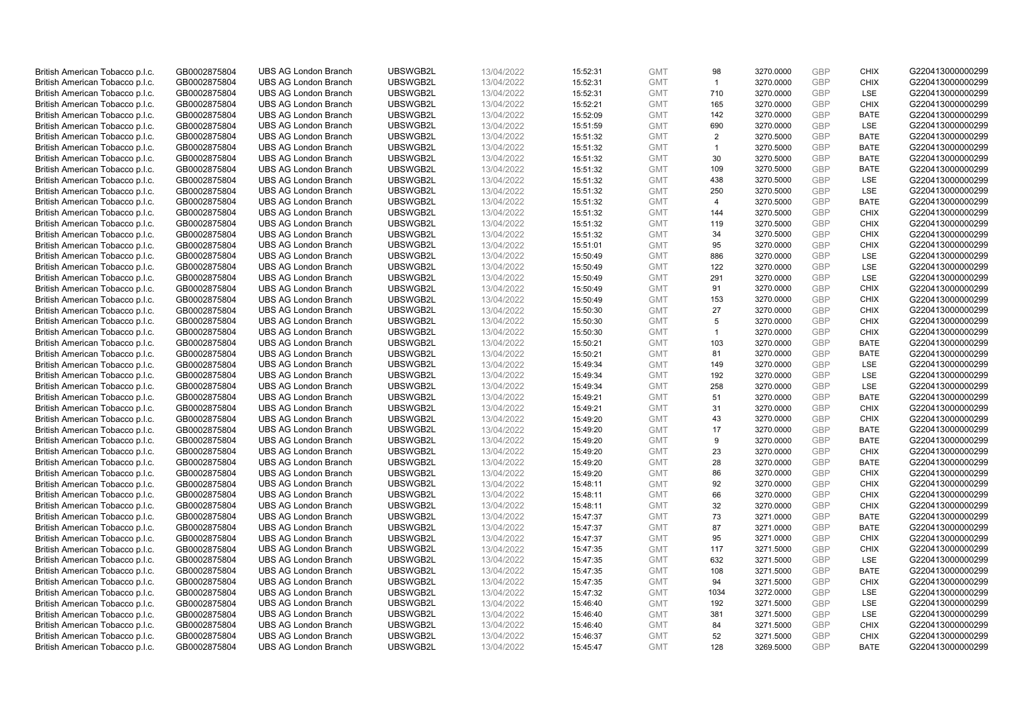| British American Tobacco p.l.c.                                    | GB0002875804                 | <b>UBS AG London Branch</b>                                | UBSWGB2L             | 13/04/2022               | 15:52:31             | <b>GMT</b>               | 98             | 3270.0000              | <b>GBP</b>               | <b>CHIX</b>                | G220413000000299                     |
|--------------------------------------------------------------------|------------------------------|------------------------------------------------------------|----------------------|--------------------------|----------------------|--------------------------|----------------|------------------------|--------------------------|----------------------------|--------------------------------------|
| British American Tobacco p.l.c.                                    | GB0002875804                 | <b>UBS AG London Branch</b>                                | UBSWGB2L             | 13/04/2022               | 15:52:31             | <b>GMT</b>               | $\overline{1}$ | 3270.0000              | <b>GBP</b>               | <b>CHIX</b>                | G220413000000299                     |
|                                                                    |                              | <b>UBS AG London Branch</b>                                | UBSWGB2L             |                          |                      | <b>GMT</b>               | 710            | 3270.0000              | <b>GBP</b>               | LSE                        | G220413000000299                     |
| British American Tobacco p.l.c.                                    | GB0002875804                 |                                                            |                      | 13/04/2022               | 15:52:31             |                          |                |                        |                          |                            |                                      |
| British American Tobacco p.l.c.                                    | GB0002875804                 | <b>UBS AG London Branch</b>                                | UBSWGB2L             | 13/04/2022               | 15:52:21             | <b>GMT</b>               | 165            | 3270.0000              | GBP                      | <b>CHIX</b>                | G220413000000299                     |
| British American Tobacco p.l.c.                                    | GB0002875804                 | <b>UBS AG London Branch</b>                                | UBSWGB2L             | 13/04/2022               | 15:52:09             | <b>GMT</b>               | 142            | 3270.0000              | <b>GBP</b>               | <b>BATE</b>                | G220413000000299                     |
| British American Tobacco p.l.c.                                    | GB0002875804                 | <b>UBS AG London Branch</b>                                | UBSWGB2L             | 13/04/2022               | 15:51:59             | <b>GMT</b>               | 690            | 3270.0000              | <b>GBP</b>               | <b>LSE</b>                 | G220413000000299                     |
| British American Tobacco p.l.c.                                    | GB0002875804                 | <b>UBS AG London Branch</b>                                | UBSWGB2L             | 13/04/2022               | 15:51:32             | <b>GMT</b>               | 2              | 3270.5000              | <b>GBP</b>               | <b>BATE</b>                | G220413000000299                     |
| British American Tobacco p.l.c.                                    | GB0002875804                 | <b>UBS AG London Branch</b>                                | UBSWGB2L             | 13/04/2022               | 15:51:32             | <b>GMT</b>               | $\overline{1}$ | 3270.5000              | <b>GBP</b>               | <b>BATE</b>                | G220413000000299                     |
| British American Tobacco p.l.c.                                    | GB0002875804                 | <b>UBS AG London Branch</b>                                | UBSWGB2L             | 13/04/2022               | 15:51:32             | <b>GMT</b>               | 30             | 3270.5000              | <b>GBP</b>               | <b>BATE</b>                | G220413000000299                     |
| British American Tobacco p.l.c.                                    | GB0002875804                 | <b>UBS AG London Branch</b>                                | UBSWGB2L             | 13/04/2022               | 15:51:32             | <b>GMT</b>               | 109            | 3270.5000              | <b>GBP</b>               | <b>BATE</b>                | G220413000000299                     |
| British American Tobacco p.l.c.                                    | GB0002875804                 | <b>UBS AG London Branch</b>                                | UBSWGB2L             | 13/04/2022               | 15:51:32             | <b>GMT</b>               | 438            | 3270.5000              | <b>GBP</b>               | <b>LSE</b>                 | G220413000000299                     |
| British American Tobacco p.l.c.                                    | GB0002875804                 | <b>UBS AG London Branch</b>                                | UBSWGB2L             | 13/04/2022               | 15:51:32             | <b>GMT</b>               | 250            | 3270.5000              | <b>GBP</b>               | LSE                        | G220413000000299                     |
| British American Tobacco p.l.c.                                    | GB0002875804                 | <b>UBS AG London Branch</b>                                | UBSWGB2L             | 13/04/2022               | 15:51:32             | <b>GMT</b>               | $\overline{4}$ | 3270.5000              | <b>GBP</b>               | <b>BATE</b>                | G220413000000299                     |
| British American Tobacco p.l.c.                                    | GB0002875804                 | <b>UBS AG London Branch</b>                                | UBSWGB2L             | 13/04/2022               | 15:51:32             | <b>GMT</b>               | 144            | 3270.5000              | <b>GBP</b>               | <b>CHIX</b>                | G220413000000299                     |
| British American Tobacco p.l.c.                                    | GB0002875804                 | <b>UBS AG London Branch</b>                                | UBSWGB2L             | 13/04/2022               | 15:51:32             | <b>GMT</b>               | 119            | 3270.5000              | <b>GBP</b>               | <b>CHIX</b>                | G220413000000299                     |
| British American Tobacco p.l.c.                                    | GB0002875804                 | <b>UBS AG London Branch</b>                                | UBSWGB2L             | 13/04/2022               | 15:51:32             | <b>GMT</b>               | 34             | 3270.5000              | <b>GBP</b>               | <b>CHIX</b>                | G220413000000299                     |
| British American Tobacco p.l.c.                                    | GB0002875804                 | <b>UBS AG London Branch</b>                                | UBSWGB2L             | 13/04/2022               | 15:51:01             | <b>GMT</b>               | 95             | 3270.0000              | <b>GBP</b>               | <b>CHIX</b>                | G220413000000299                     |
| British American Tobacco p.l.c.                                    | GB0002875804                 | <b>UBS AG London Branch</b>                                | UBSWGB2L             | 13/04/2022               | 15:50:49             | <b>GMT</b>               | 886            | 3270.0000              | <b>GBP</b>               | LSE                        | G220413000000299                     |
| British American Tobacco p.l.c.                                    | GB0002875804                 | <b>UBS AG London Branch</b>                                | UBSWGB2L             | 13/04/2022               | 15:50:49             | <b>GMT</b>               | 122            | 3270.0000              | <b>GBP</b>               | <b>LSE</b>                 | G220413000000299                     |
| British American Tobacco p.l.c.                                    | GB0002875804                 | <b>UBS AG London Branch</b>                                | UBSWGB2L             | 13/04/2022               | 15:50:49             | <b>GMT</b>               | 291            | 3270.0000              | <b>GBP</b>               | LSE                        | G220413000000299                     |
| British American Tobacco p.l.c.                                    | GB0002875804                 | <b>UBS AG London Branch</b>                                | UBSWGB2L             | 13/04/2022               | 15:50:49             | <b>GMT</b>               | 91             | 3270.0000              | <b>GBP</b>               | <b>CHIX</b>                | G220413000000299                     |
| British American Tobacco p.l.c.                                    | GB0002875804                 | <b>UBS AG London Branch</b>                                | UBSWGB2L             | 13/04/2022               | 15:50:49             | <b>GMT</b>               | 153            | 3270.0000              | <b>GBP</b>               | <b>CHIX</b>                | G220413000000299                     |
| British American Tobacco p.l.c.                                    | GB0002875804                 | <b>UBS AG London Branch</b>                                | UBSWGB2L             | 13/04/2022               | 15:50:30             | <b>GMT</b>               | 27             | 3270.0000              | <b>GBP</b>               | <b>CHIX</b>                | G220413000000299                     |
| British American Tobacco p.l.c.                                    | GB0002875804                 | <b>UBS AG London Branch</b>                                | UBSWGB2L             | 13/04/2022               | 15:50:30             | <b>GMT</b>               | 5              | 3270.0000              | <b>GBP</b>               | <b>CHIX</b>                | G220413000000299                     |
| British American Tobacco p.l.c.                                    | GB0002875804                 | <b>UBS AG London Branch</b>                                | UBSWGB2L             | 13/04/2022               | 15:50:30             | <b>GMT</b>               | $\overline{1}$ | 3270.0000              | <b>GBP</b>               | <b>CHIX</b>                | G220413000000299                     |
| British American Tobacco p.l.c.                                    | GB0002875804                 | <b>UBS AG London Branch</b>                                | UBSWGB2L             | 13/04/2022               | 15:50:21             | <b>GMT</b>               | 103            | 3270.0000              | <b>GBP</b>               | <b>BATE</b>                | G220413000000299                     |
| British American Tobacco p.l.c.                                    | GB0002875804                 | <b>UBS AG London Branch</b>                                | UBSWGB2L             | 13/04/2022               | 15:50:21             | <b>GMT</b>               | 81             | 3270.0000              | <b>GBP</b>               | <b>BATE</b>                | G220413000000299                     |
| British American Tobacco p.l.c.                                    | GB0002875804                 | <b>UBS AG London Branch</b>                                | UBSWGB2L             | 13/04/2022               | 15:49:34             | <b>GMT</b>               | 149            | 3270.0000              | <b>GBP</b>               | LSE                        | G220413000000299                     |
| British American Tobacco p.l.c.                                    | GB0002875804                 | <b>UBS AG London Branch</b>                                | UBSWGB2L             | 13/04/2022               | 15:49:34             | <b>GMT</b>               | 192            | 3270.0000              | <b>GBP</b>               | LSE                        | G220413000000299                     |
| British American Tobacco p.l.c.                                    | GB0002875804                 | <b>UBS AG London Branch</b>                                | UBSWGB2L             | 13/04/2022               | 15:49:34             | <b>GMT</b>               | 258            | 3270.0000              | <b>GBP</b>               | LSE                        | G220413000000299                     |
| British American Tobacco p.l.c.                                    | GB0002875804                 | <b>UBS AG London Branch</b>                                | UBSWGB2L             | 13/04/2022               | 15:49:21             | <b>GMT</b>               | 51             | 3270.0000              | <b>GBP</b>               | <b>BATE</b>                | G220413000000299                     |
| British American Tobacco p.l.c.                                    | GB0002875804                 | <b>UBS AG London Branch</b>                                | UBSWGB2L             | 13/04/2022               | 15:49:21             | <b>GMT</b>               | 31             | 3270.0000              | <b>GBP</b>               | <b>CHIX</b>                | G220413000000299                     |
| British American Tobacco p.l.c.                                    |                              |                                                            |                      |                          |                      |                          |                |                        |                          |                            |                                      |
|                                                                    |                              |                                                            |                      |                          |                      |                          |                |                        |                          |                            |                                      |
|                                                                    | GB0002875804                 | <b>UBS AG London Branch</b>                                | UBSWGB2L             | 13/04/2022               | 15:49:20             | <b>GMT</b>               | 43             | 3270.0000              | <b>GBP</b>               | <b>CHIX</b>                | G220413000000299                     |
| British American Tobacco p.l.c.                                    | GB0002875804                 | <b>UBS AG London Branch</b>                                | UBSWGB2L             | 13/04/2022               | 15:49:20             | <b>GMT</b>               | 17             | 3270.0000              | <b>GBP</b>               | <b>BATE</b>                | G220413000000299                     |
| British American Tobacco p.l.c.                                    | GB0002875804                 | <b>UBS AG London Branch</b>                                | UBSWGB2L             | 13/04/2022               | 15:49:20             | <b>GMT</b>               | 9              | 3270.0000              | <b>GBP</b>               | <b>BATE</b>                | G220413000000299                     |
| British American Tobacco p.l.c.                                    | GB0002875804                 | <b>UBS AG London Branch</b>                                | UBSWGB2L             | 13/04/2022               | 15:49:20             | <b>GMT</b>               | 23             | 3270.0000              | <b>GBP</b>               | <b>CHIX</b>                | G220413000000299                     |
| British American Tobacco p.l.c.                                    | GB0002875804                 | <b>UBS AG London Branch</b>                                | UBSWGB2L             | 13/04/2022               | 15:49:20             | <b>GMT</b>               | 28             | 3270.0000              | <b>GBP</b>               | <b>BATE</b>                | G220413000000299                     |
| British American Tobacco p.l.c.                                    | GB0002875804                 | <b>UBS AG London Branch</b>                                | UBSWGB2L             | 13/04/2022               | 15:49:20             | <b>GMT</b>               | 86             | 3270.0000              | <b>GBP</b>               | <b>CHIX</b>                | G220413000000299                     |
| British American Tobacco p.l.c.                                    | GB0002875804                 | <b>UBS AG London Branch</b>                                | UBSWGB2L             | 13/04/2022               | 15:48:11             | <b>GMT</b>               | 92             | 3270.0000              | <b>GBP</b>               | <b>CHIX</b>                | G220413000000299                     |
| British American Tobacco p.l.c.                                    | GB0002875804                 | <b>UBS AG London Branch</b>                                | UBSWGB2L             | 13/04/2022               | 15:48:11             | <b>GMT</b>               | 66             | 3270.0000              | <b>GBP</b>               | <b>CHIX</b>                | G220413000000299                     |
| British American Tobacco p.l.c.                                    | GB0002875804                 | <b>UBS AG London Branch</b>                                | UBSWGB2L             | 13/04/2022               | 15:48:11             | <b>GMT</b>               | 32             | 3270.0000              | <b>GBP</b>               | <b>CHIX</b>                | G220413000000299                     |
| British American Tobacco p.l.c.                                    | GB0002875804                 | <b>UBS AG London Branch</b>                                | UBSWGB2L             | 13/04/2022               | 15:47:37             | <b>GMT</b>               | 73             | 3271.0000              | <b>GBP</b>               | <b>BATE</b>                | G220413000000299                     |
| British American Tobacco p.l.c.                                    | GB0002875804                 | <b>UBS AG London Branch</b>                                | UBSWGB2L             | 13/04/2022               | 15:47:37             | <b>GMT</b>               | 87             | 3271.0000              | <b>GBP</b>               | <b>BATE</b>                | G220413000000299                     |
| British American Tobacco p.l.c.                                    | GB0002875804                 | <b>UBS AG London Branch</b>                                | UBSWGB2L             | 13/04/2022               | 15:47:37             | <b>GMT</b>               | 95             | 3271.0000              | <b>GBP</b>               | <b>CHIX</b>                | G220413000000299                     |
| British American Tobacco p.l.c.                                    | GB0002875804                 | UBS AG London Branch                                       | UBSWGB2L             | 13/04/2022               | 15:47:35             | <b>GMT</b>               | 117            | 3271.5000              | <b>GBP</b>               | <b>CHIX</b>                | G220413000000299                     |
| British American Tobacco p.l.c.                                    | GB0002875804                 | <b>UBS AG London Branch</b>                                | UBSWGB2L             | 13/04/2022               | 15:47:35             | <b>GMT</b>               | 632            | 3271.5000              | <b>GBP</b>               | LSE                        | G220413000000299                     |
| British American Tobacco p.l.c.                                    | GB0002875804                 | <b>UBS AG London Branch</b>                                | UBSWGB2L             | 13/04/2022               | 15:47:35             | <b>GMT</b>               | 108            | 3271.5000              | <b>GBP</b>               | <b>BATE</b>                | G220413000000299                     |
| British American Tobacco p.l.c.                                    | GB0002875804                 | <b>UBS AG London Branch</b>                                | UBSWGB2L             | 13/04/2022               | 15:47:35             | <b>GMT</b>               | 94             | 3271.5000              | <b>GBP</b>               | <b>CHIX</b>                | G220413000000299                     |
| British American Tobacco p.l.c.                                    | GB0002875804                 | <b>UBS AG London Branch</b>                                | UBSWGB2L             | 13/04/2022               | 15:47:32             | <b>GMT</b>               | 1034           | 3272.0000              | <b>GBP</b>               | LSE                        | G220413000000299                     |
| British American Tobacco p.l.c.                                    | GB0002875804                 | <b>UBS AG London Branch</b>                                | UBSWGB2L             | 13/04/2022               | 15:46:40             | <b>GMT</b>               | 192            | 3271.5000              | <b>GBP</b>               | LSE                        | G220413000000299                     |
| British American Tobacco p.l.c.                                    | GB0002875804                 | <b>UBS AG London Branch</b>                                | UBSWGB2L             | 13/04/2022               | 15:46:40             | <b>GMT</b>               | 381            | 3271.5000              | <b>GBP</b>               | LSE                        | G220413000000299                     |
| British American Tobacco p.l.c.                                    | GB0002875804                 | <b>UBS AG London Branch</b>                                | UBSWGB2L             | 13/04/2022               | 15:46:40             | <b>GMT</b>               | 84             | 3271.5000              | <b>GBP</b>               | <b>CHIX</b>                | G220413000000299                     |
| British American Tobacco p.l.c.<br>British American Tobacco p.l.c. | GB0002875804<br>GB0002875804 | <b>UBS AG London Branch</b><br><b>UBS AG London Branch</b> | UBSWGB2L<br>UBSWGB2L | 13/04/2022<br>13/04/2022 | 15:46:37<br>15:45:47 | <b>GMT</b><br><b>GMT</b> | 52<br>128      | 3271.5000<br>3269.5000 | <b>GBP</b><br><b>GBP</b> | <b>CHIX</b><br><b>BATE</b> | G220413000000299<br>G220413000000299 |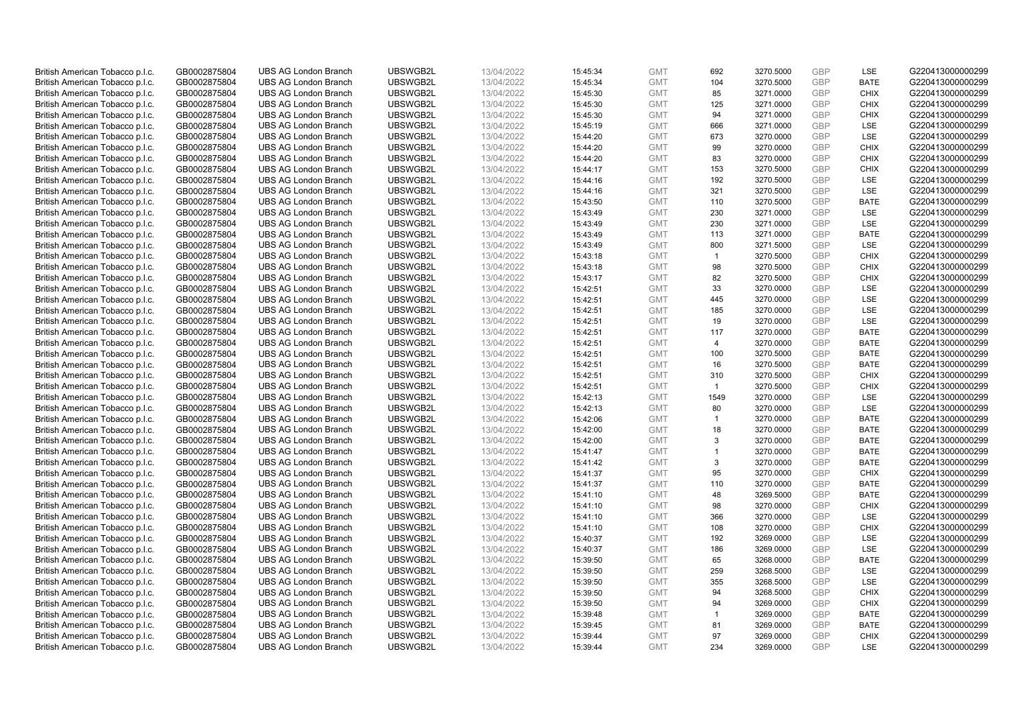| British American Tobacco p.l.c. | GB0002875804                 | <b>UBS AG London Branch</b> | UBSWGB2L | 13/04/2022               | 15:45:34             | <b>GMT</b>               | 692            | 3270.5000 | <b>GBP</b> | LSE                       | G220413000000299 |
|---------------------------------|------------------------------|-----------------------------|----------|--------------------------|----------------------|--------------------------|----------------|-----------|------------|---------------------------|------------------|
| British American Tobacco p.l.c. | GB0002875804                 | <b>UBS AG London Branch</b> | UBSWGB2L | 13/04/2022               | 15:45:34             | <b>GMT</b>               | 104            | 3270.5000 | <b>GBP</b> | <b>BATE</b>               | G220413000000299 |
|                                 |                              | <b>UBS AG London Branch</b> | UBSWGB2L |                          |                      | <b>GMT</b>               | 85             | 3271.0000 | <b>GBP</b> | <b>CHIX</b>               | G220413000000299 |
| British American Tobacco p.l.c. | GB0002875804                 |                             |          | 13/04/2022               | 15:45:30             |                          |                |           |            |                           |                  |
| British American Tobacco p.l.c. | GB0002875804                 | <b>UBS AG London Branch</b> | UBSWGB2L | 13/04/2022               | 15:45:30             | <b>GMT</b>               | 125            | 3271.0000 | <b>GBP</b> | <b>CHIX</b>               | G220413000000299 |
| British American Tobacco p.l.c. | GB0002875804                 | <b>UBS AG London Branch</b> | UBSWGB2L | 13/04/2022               | 15:45:30             | <b>GMT</b>               | 94             | 3271.0000 | <b>GBP</b> | <b>CHIX</b>               | G220413000000299 |
| British American Tobacco p.l.c. | GB0002875804                 | <b>UBS AG London Branch</b> | UBSWGB2L | 13/04/2022               | 15:45:19             | <b>GMT</b>               | 666            | 3271.0000 | <b>GBP</b> | <b>LSE</b>                | G220413000000299 |
| British American Tobacco p.l.c. | GB0002875804                 | <b>UBS AG London Branch</b> | UBSWGB2L | 13/04/2022               | 15:44:20             | <b>GMT</b>               | 673            | 3270.0000 | <b>GBP</b> | LSE                       | G220413000000299 |
| British American Tobacco p.l.c. | GB0002875804                 | <b>UBS AG London Branch</b> | UBSWGB2L | 13/04/2022               | 15:44:20             | <b>GMT</b>               | 99             | 3270.0000 | <b>GBP</b> | <b>CHIX</b>               | G220413000000299 |
| British American Tobacco p.l.c. | GB0002875804                 | <b>UBS AG London Branch</b> | UBSWGB2L | 13/04/2022               | 15:44:20             | <b>GMT</b>               | 83             | 3270.0000 | <b>GBP</b> | <b>CHIX</b>               | G220413000000299 |
| British American Tobacco p.l.c. | GB0002875804                 | <b>UBS AG London Branch</b> | UBSWGB2L | 13/04/2022               | 15:44:17             | <b>GMT</b>               | 153            | 3270.5000 | <b>GBP</b> | <b>CHIX</b>               | G220413000000299 |
| British American Tobacco p.l.c. | GB0002875804                 | <b>UBS AG London Branch</b> | UBSWGB2L | 13/04/2022               | 15:44:16             | <b>GMT</b>               | 192            | 3270.5000 | <b>GBP</b> | <b>LSE</b>                | G220413000000299 |
| British American Tobacco p.l.c. | GB0002875804                 | <b>UBS AG London Branch</b> | UBSWGB2L | 13/04/2022               | 15:44:16             | <b>GMT</b>               | 321            | 3270.5000 | <b>GBP</b> | LSE                       | G220413000000299 |
| British American Tobacco p.l.c. | GB0002875804                 | <b>UBS AG London Branch</b> | UBSWGB2L | 13/04/2022               | 15:43:50             | <b>GMT</b>               | 110            | 3270.5000 | <b>GBP</b> | <b>BATE</b>               | G220413000000299 |
| British American Tobacco p.l.c. | GB0002875804                 | <b>UBS AG London Branch</b> | UBSWGB2L | 13/04/2022               | 15:43:49             | <b>GMT</b>               | 230            | 3271.0000 | <b>GBP</b> | <b>LSE</b>                | G220413000000299 |
| British American Tobacco p.l.c. | GB0002875804                 | <b>UBS AG London Branch</b> | UBSWGB2L | 13/04/2022               | 15:43:49             | <b>GMT</b>               | 230            | 3271.0000 | <b>GBP</b> | LSE                       | G220413000000299 |
| British American Tobacco p.l.c. | GB0002875804                 | <b>UBS AG London Branch</b> | UBSWGB2L | 13/04/2022               | 15:43:49             | <b>GMT</b>               | 113            | 3271.0000 | <b>GBP</b> | <b>BATE</b>               | G220413000000299 |
| British American Tobacco p.l.c. | GB0002875804                 | <b>UBS AG London Branch</b> | UBSWGB2L | 13/04/2022               | 15:43:49             | <b>GMT</b>               | 800            | 3271.5000 | <b>GBP</b> | LSE                       | G220413000000299 |
| British American Tobacco p.l.c. | GB0002875804                 | <b>UBS AG London Branch</b> | UBSWGB2L | 13/04/2022               | 15:43:18             | <b>GMT</b>               | $\mathbf{1}$   | 3270.5000 | <b>GBP</b> | <b>CHIX</b>               | G220413000000299 |
|                                 |                              | <b>UBS AG London Branch</b> | UBSWGB2L |                          | 15:43:18             | <b>GMT</b>               | 98             | 3270.5000 | <b>GBP</b> | <b>CHIX</b>               | G220413000000299 |
| British American Tobacco p.l.c. | GB0002875804<br>GB0002875804 | <b>UBS AG London Branch</b> | UBSWGB2L | 13/04/2022<br>13/04/2022 |                      | <b>GMT</b>               | 82             |           | <b>GBP</b> | <b>CHIX</b>               | G220413000000299 |
| British American Tobacco p.l.c. |                              |                             |          |                          | 15:43:17             |                          |                | 3270.5000 |            |                           |                  |
| British American Tobacco p.l.c. | GB0002875804                 | <b>UBS AG London Branch</b> | UBSWGB2L | 13/04/2022               | 15:42:51             | <b>GMT</b>               | 33             | 3270.0000 | <b>GBP</b> | LSE                       | G220413000000299 |
| British American Tobacco p.l.c. | GB0002875804                 | <b>UBS AG London Branch</b> | UBSWGB2L | 13/04/2022               | 15:42:51             | <b>GMT</b>               | 445            | 3270.0000 | <b>GBP</b> | LSE                       | G220413000000299 |
| British American Tobacco p.l.c. | GB0002875804                 | <b>UBS AG London Branch</b> | UBSWGB2L | 13/04/2022               | 15:42:51             | <b>GMT</b>               | 185            | 3270.0000 | <b>GBP</b> | LSE                       | G220413000000299 |
| British American Tobacco p.l.c. | GB0002875804                 | <b>UBS AG London Branch</b> | UBSWGB2L | 13/04/2022               | 15:42:51             | <b>GMT</b>               | 19             | 3270.0000 | <b>GBP</b> | <b>LSE</b>                | G220413000000299 |
| British American Tobacco p.l.c. | GB0002875804                 | <b>UBS AG London Branch</b> | UBSWGB2L | 13/04/2022               | 15:42:51             | <b>GMT</b>               | 117            | 3270.0000 | <b>GBP</b> | <b>BATE</b>               | G220413000000299 |
| British American Tobacco p.l.c. | GB0002875804                 | <b>UBS AG London Branch</b> | UBSWGB2L | 13/04/2022               | 15:42:51             | <b>GMT</b>               | $\overline{4}$ | 3270.0000 | <b>GBP</b> | <b>BATE</b>               | G220413000000299 |
| British American Tobacco p.l.c. | GB0002875804                 | <b>UBS AG London Branch</b> | UBSWGB2L | 13/04/2022               | 15:42:51             | <b>GMT</b>               | 100            | 3270.5000 | <b>GBP</b> | <b>BATE</b>               | G220413000000299 |
| British American Tobacco p.l.c. | GB0002875804                 | <b>UBS AG London Branch</b> | UBSWGB2L | 13/04/2022               | 15:42:51             | <b>GMT</b>               | 16             | 3270.5000 | <b>GBP</b> | <b>BATE</b>               | G220413000000299 |
| British American Tobacco p.l.c. | GB0002875804                 | <b>UBS AG London Branch</b> | UBSWGB2L | 13/04/2022               | 15:42:51             | <b>GMT</b>               | 310            | 3270.5000 | <b>GBP</b> | <b>CHIX</b>               | G220413000000299 |
| British American Tobacco p.l.c. | GB0002875804                 | <b>UBS AG London Branch</b> | UBSWGB2L | 13/04/2022               | 15:42:51             | <b>GMT</b>               | $\overline{1}$ | 3270.5000 | <b>GBP</b> | <b>CHIX</b>               | G220413000000299 |
| British American Tobacco p.l.c. | GB0002875804                 | <b>UBS AG London Branch</b> | UBSWGB2L | 13/04/2022               | 15:42:13             | <b>GMT</b>               | 1549           | 3270.0000 | <b>GBP</b> | <b>LSE</b>                | G220413000000299 |
| British American Tobacco p.l.c. | GB0002875804                 | <b>UBS AG London Branch</b> | UBSWGB2L | 13/04/2022               | 15:42:13             | <b>GMT</b>               | 80             | 3270.0000 | <b>GBP</b> | LSE                       | G220413000000299 |
| British American Tobacco p.l.c. | GB0002875804                 | <b>UBS AG London Branch</b> | UBSWGB2L | 13/04/2022               | 15:42:06             | <b>GMT</b>               | $\mathbf{1}$   | 3270.0000 | <b>GBP</b> | <b>BATE</b>               | G220413000000299 |
| British American Tobacco p.l.c. | GB0002875804                 | <b>UBS AG London Branch</b> | UBSWGB2L | 13/04/2022               | 15:42:00             | <b>GMT</b>               | 18             | 3270.0000 | <b>GBP</b> | <b>BATE</b>               | G220413000000299 |
| British American Tobacco p.l.c. | GB0002875804                 | <b>UBS AG London Branch</b> | UBSWGB2L | 13/04/2022               | 15:42:00             | <b>GMT</b>               | 3              | 3270.0000 | <b>GBP</b> | <b>BATE</b>               | G220413000000299 |
| British American Tobacco p.l.c. | GB0002875804                 | <b>UBS AG London Branch</b> | UBSWGB2L | 13/04/2022               | 15:41:47             | <b>GMT</b>               | $\mathbf{1}$   | 3270.0000 | <b>GBP</b> | <b>BATE</b>               | G220413000000299 |
| British American Tobacco p.l.c. | GB0002875804                 | <b>UBS AG London Branch</b> | UBSWGB2L | 13/04/2022               | 15:41:42             | <b>GMT</b>               | 3              | 3270.0000 | <b>GBP</b> | <b>BATE</b>               | G220413000000299 |
| British American Tobacco p.l.c. | GB0002875804                 | <b>UBS AG London Branch</b> | UBSWGB2L | 13/04/2022               | 15:41:37             | <b>GMT</b>               | 95             | 3270.0000 | <b>GBP</b> | <b>CHIX</b>               | G220413000000299 |
| British American Tobacco p.l.c. | GB0002875804                 | <b>UBS AG London Branch</b> | UBSWGB2L | 13/04/2022               | 15:41:37             | <b>GMT</b>               | 110            | 3270.0000 | <b>GBP</b> | <b>BATE</b>               | G220413000000299 |
| British American Tobacco p.l.c. | GB0002875804                 | <b>UBS AG London Branch</b> | UBSWGB2L | 13/04/2022               | 15:41:10             | <b>GMT</b>               | 48             | 3269.5000 | <b>GBP</b> | <b>BATE</b>               | G220413000000299 |
| British American Tobacco p.l.c. | GB0002875804                 | <b>UBS AG London Branch</b> | UBSWGB2L | 13/04/2022               | 15:41:10             | <b>GMT</b>               | 98             | 3270.0000 | <b>GBP</b> | <b>CHIX</b>               | G220413000000299 |
| British American Tobacco p.l.c. | GB0002875804                 | <b>UBS AG London Branch</b> | UBSWGB2L | 13/04/2022               | 15:41:10             | <b>GMT</b>               | 366            | 3270.0000 | <b>GBP</b> | <b>LSE</b>                | G220413000000299 |
| British American Tobacco p.l.c. | GB0002875804                 | <b>UBS AG London Branch</b> | UBSWGB2L | 13/04/2022               | 15:41:10             | <b>GMT</b>               | 108            | 3270.0000 | <b>GBP</b> | <b>CHIX</b>               | G220413000000299 |
| British American Tobacco p.l.c. | GB0002875804                 | <b>UBS AG London Branch</b> | UBSWGB2L | 13/04/2022               | 15:40:37             | <b>GMT</b>               | 192            | 3269.0000 | <b>GBP</b> | LSE                       | G220413000000299 |
| British American Tobacco p.l.c. | GB0002875804                 | UBS AG London Branch        | UBSWGB2L | 13/04/2022               | 15:40:37             | <b>GMT</b>               | 186            | 3269.0000 | <b>GBP</b> | LSE                       | G220413000000299 |
| British American Tobacco p.l.c. | GB0002875804                 | <b>UBS AG London Branch</b> | UBSWGB2L | 13/04/2022               | 15:39:50             | <b>GMT</b>               | 65             | 3268.0000 | <b>GBP</b> | <b>BATE</b>               | G220413000000299 |
| British American Tobacco p.l.c. | GB0002875804                 | <b>UBS AG London Branch</b> | UBSWGB2L | 13/04/2022               | 15:39:50             | <b>GMT</b>               | 259            | 3268.5000 | <b>GBP</b> | <b>LSE</b>                | G220413000000299 |
| British American Tobacco p.l.c. | GB0002875804                 | <b>UBS AG London Branch</b> | UBSWGB2L | 13/04/2022               | 15:39:50             | <b>GMT</b>               | 355            | 3268.5000 | <b>GBP</b> | LSE                       | G220413000000299 |
| British American Tobacco p.l.c. | GB0002875804                 | <b>UBS AG London Branch</b> | UBSWGB2L | 13/04/2022               | 15:39:50             | <b>GMT</b>               | 94             | 3268.5000 | <b>GBP</b> | <b>CHIX</b>               | G220413000000299 |
| British American Tobacco p.l.c. | GB0002875804                 | <b>UBS AG London Branch</b> | UBSWGB2L | 13/04/2022               | 15:39:50             | <b>GMT</b>               | 94             | 3269.0000 | <b>GBP</b> | <b>CHIX</b>               | G220413000000299 |
| British American Tobacco p.l.c. | GB0002875804                 | <b>UBS AG London Branch</b> | UBSWGB2L |                          |                      | <b>GMT</b>               | $\overline{1}$ | 3269.0000 | <b>GBP</b> | <b>BATE</b>               | G220413000000299 |
| British American Tobacco p.l.c. | GB0002875804                 | <b>UBS AG London Branch</b> | UBSWGB2L | 13/04/2022<br>13/04/2022 | 15:39:48<br>15:39:45 | <b>GMT</b>               | 81             | 3269.0000 | <b>GBP</b> | <b>BATE</b>               | G220413000000299 |
|                                 | GB0002875804                 |                             |          |                          |                      |                          | 97             |           | <b>GBP</b> |                           |                  |
| British American Tobacco p.l.c. |                              | <b>UBS AG London Branch</b> | UBSWGB2L | 13/04/2022               | 15:39:44             | <b>GMT</b><br><b>GMT</b> | 234            | 3269.0000 | <b>GBP</b> | <b>CHIX</b><br><b>LSE</b> | G220413000000299 |
| British American Tobacco p.l.c. | GB0002875804                 | <b>UBS AG London Branch</b> | UBSWGB2L | 13/04/2022               | 15:39:44             |                          |                | 3269.0000 |            |                           | G220413000000299 |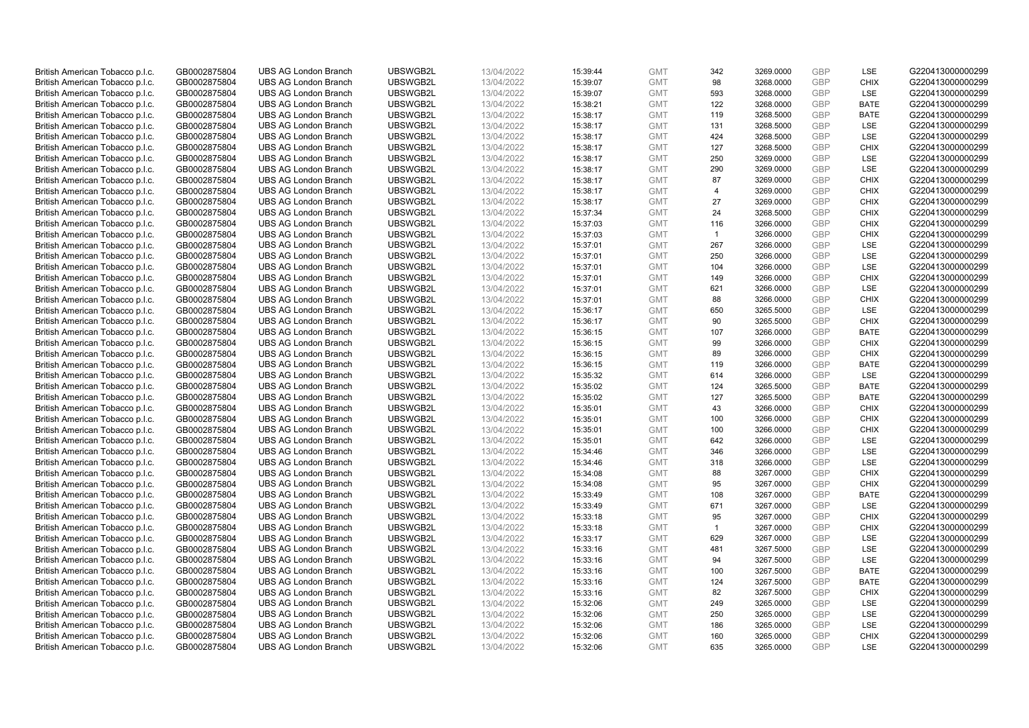| British American Tobacco p.l.c.                                    | GB0002875804 | <b>UBS AG London Branch</b> | UBSWGB2L | 13/04/2022 | 15:39:44 | <b>GMT</b> | 342            | 3269.0000 | <b>GBP</b>               | LSE         | G220413000000299 |
|--------------------------------------------------------------------|--------------|-----------------------------|----------|------------|----------|------------|----------------|-----------|--------------------------|-------------|------------------|
| British American Tobacco p.l.c.                                    | GB0002875804 | <b>UBS AG London Branch</b> | UBSWGB2L | 13/04/2022 | 15:39:07 | <b>GMT</b> | 98             | 3268.0000 | <b>GBP</b>               | <b>CHIX</b> | G220413000000299 |
| British American Tobacco p.l.c.                                    | GB0002875804 | <b>UBS AG London Branch</b> | UBSWGB2L | 13/04/2022 | 15:39:07 | <b>GMT</b> | 593            | 3268.0000 | <b>GBP</b>               | LSE         | G220413000000299 |
| British American Tobacco p.l.c.                                    | GB0002875804 | <b>UBS AG London Branch</b> | UBSWGB2L | 13/04/2022 | 15:38:21 | <b>GMT</b> | 122            | 3268.0000 | GBP                      | <b>BATE</b> | G220413000000299 |
| British American Tobacco p.l.c.                                    | GB0002875804 | <b>UBS AG London Branch</b> | UBSWGB2L | 13/04/2022 | 15:38:17 | <b>GMT</b> | 119            | 3268.5000 | <b>GBP</b>               | <b>BATE</b> | G220413000000299 |
|                                                                    |              | <b>UBS AG London Branch</b> |          |            |          |            |                |           |                          |             |                  |
| British American Tobacco p.l.c.                                    | GB0002875804 |                             | UBSWGB2L | 13/04/2022 | 15:38:17 | <b>GMT</b> | 131            | 3268.5000 | <b>GBP</b><br><b>GBP</b> | <b>LSE</b>  | G220413000000299 |
| British American Tobacco p.l.c.                                    | GB0002875804 | <b>UBS AG London Branch</b> | UBSWGB2L | 13/04/2022 | 15:38:17 | <b>GMT</b> | 424            | 3268.5000 |                          | LSE         | G220413000000299 |
| British American Tobacco p.l.c.                                    | GB0002875804 | <b>UBS AG London Branch</b> | UBSWGB2L | 13/04/2022 | 15:38:17 | <b>GMT</b> | 127            | 3268.5000 | <b>GBP</b>               | <b>CHIX</b> | G220413000000299 |
| British American Tobacco p.l.c.                                    | GB0002875804 | <b>UBS AG London Branch</b> | UBSWGB2L | 13/04/2022 | 15:38:17 | <b>GMT</b> | 250            | 3269.0000 | <b>GBP</b>               | LSE         | G220413000000299 |
| British American Tobacco p.l.c.                                    | GB0002875804 | <b>UBS AG London Branch</b> | UBSWGB2L | 13/04/2022 | 15:38:17 | <b>GMT</b> | 290            | 3269.0000 | <b>GBP</b>               | LSE         | G220413000000299 |
| British American Tobacco p.l.c.                                    | GB0002875804 | <b>UBS AG London Branch</b> | UBSWGB2L | 13/04/2022 | 15:38:17 | <b>GMT</b> | 87             | 3269.0000 | <b>GBP</b>               | <b>CHIX</b> | G220413000000299 |
| British American Tobacco p.l.c.                                    | GB0002875804 | <b>UBS AG London Branch</b> | UBSWGB2L | 13/04/2022 | 15:38:17 | <b>GMT</b> | $\overline{4}$ | 3269.0000 | <b>GBP</b>               | <b>CHIX</b> | G220413000000299 |
| British American Tobacco p.l.c.                                    | GB0002875804 | <b>UBS AG London Branch</b> | UBSWGB2L | 13/04/2022 | 15:38:17 | <b>GMT</b> | 27             | 3269.0000 | <b>GBP</b>               | <b>CHIX</b> | G220413000000299 |
| British American Tobacco p.l.c.                                    | GB0002875804 | <b>UBS AG London Branch</b> | UBSWGB2L | 13/04/2022 | 15:37:34 | <b>GMT</b> | 24             | 3268.5000 | <b>GBP</b>               | <b>CHIX</b> | G220413000000299 |
| British American Tobacco p.l.c.                                    | GB0002875804 | <b>UBS AG London Branch</b> | UBSWGB2L | 13/04/2022 | 15:37:03 | <b>GMT</b> | 116            | 3266.0000 | <b>GBP</b>               | <b>CHIX</b> | G220413000000299 |
| British American Tobacco p.l.c.                                    | GB0002875804 | <b>UBS AG London Branch</b> | UBSWGB2L | 13/04/2022 | 15:37:03 | <b>GMT</b> | $\overline{1}$ | 3266.0000 | <b>GBP</b>               | <b>CHIX</b> | G220413000000299 |
| British American Tobacco p.l.c.                                    | GB0002875804 | <b>UBS AG London Branch</b> | UBSWGB2L | 13/04/2022 | 15:37:01 | <b>GMT</b> | 267            | 3266.0000 | <b>GBP</b>               | LSE         | G220413000000299 |
| British American Tobacco p.l.c.                                    | GB0002875804 | <b>UBS AG London Branch</b> | UBSWGB2L | 13/04/2022 | 15:37:01 | <b>GMT</b> | 250            | 3266.0000 | <b>GBP</b>               | LSE         | G220413000000299 |
| British American Tobacco p.l.c.                                    | GB0002875804 | <b>UBS AG London Branch</b> | UBSWGB2L | 13/04/2022 | 15:37:01 | <b>GMT</b> | 104            | 3266.0000 | <b>GBP</b>               | <b>LSE</b>  | G220413000000299 |
| British American Tobacco p.l.c.                                    | GB0002875804 | <b>UBS AG London Branch</b> | UBSWGB2L | 13/04/2022 | 15:37:01 | <b>GMT</b> | 149            | 3266.0000 | <b>GBP</b>               | <b>CHIX</b> | G220413000000299 |
| British American Tobacco p.l.c.                                    | GB0002875804 | <b>UBS AG London Branch</b> | UBSWGB2L | 13/04/2022 | 15:37:01 | <b>GMT</b> | 621            | 3266.0000 | <b>GBP</b>               | LSE         | G220413000000299 |
| British American Tobacco p.l.c.                                    | GB0002875804 | <b>UBS AG London Branch</b> | UBSWGB2L | 13/04/2022 | 15:37:01 | <b>GMT</b> | 88             | 3266.0000 | <b>GBP</b>               | <b>CHIX</b> | G220413000000299 |
| British American Tobacco p.l.c.                                    | GB0002875804 | <b>UBS AG London Branch</b> | UBSWGB2L | 13/04/2022 | 15:36:17 | <b>GMT</b> | 650            | 3265.5000 | <b>GBP</b>               | LSE         | G220413000000299 |
| British American Tobacco p.l.c.                                    | GB0002875804 | <b>UBS AG London Branch</b> | UBSWGB2L | 13/04/2022 | 15:36:17 | <b>GMT</b> | 90             | 3265.5000 | <b>GBP</b>               | <b>CHIX</b> | G220413000000299 |
| British American Tobacco p.l.c.                                    | GB0002875804 | <b>UBS AG London Branch</b> | UBSWGB2L | 13/04/2022 | 15:36:15 | <b>GMT</b> | 107            | 3266.0000 | <b>GBP</b>               | <b>BATE</b> | G220413000000299 |
| British American Tobacco p.l.c.                                    | GB0002875804 | <b>UBS AG London Branch</b> | UBSWGB2L | 13/04/2022 | 15:36:15 | <b>GMT</b> | 99             | 3266.0000 | <b>GBP</b>               | <b>CHIX</b> | G220413000000299 |
| British American Tobacco p.l.c.                                    | GB0002875804 | <b>UBS AG London Branch</b> | UBSWGB2L | 13/04/2022 | 15:36:15 | <b>GMT</b> | 89             | 3266.0000 | <b>GBP</b>               | <b>CHIX</b> | G220413000000299 |
| British American Tobacco p.l.c.                                    | GB0002875804 | <b>UBS AG London Branch</b> | UBSWGB2L | 13/04/2022 | 15:36:15 | <b>GMT</b> | 119            | 3266.0000 | <b>GBP</b>               | <b>BATE</b> | G220413000000299 |
| British American Tobacco p.l.c.                                    | GB0002875804 | <b>UBS AG London Branch</b> | UBSWGB2L | 13/04/2022 | 15:35:32 | <b>GMT</b> | 614            | 3266.0000 | <b>GBP</b>               | LSE         | G220413000000299 |
| British American Tobacco p.l.c.                                    | GB0002875804 | <b>UBS AG London Branch</b> | UBSWGB2L | 13/04/2022 | 15:35:02 | <b>GMT</b> | 124            | 3265.5000 | <b>GBP</b>               | <b>BATE</b> | G220413000000299 |
| British American Tobacco p.l.c.                                    | GB0002875804 | <b>UBS AG London Branch</b> | UBSWGB2L | 13/04/2022 | 15:35:02 | <b>GMT</b> | 127            | 3265.5000 | <b>GBP</b>               | <b>BATE</b> | G220413000000299 |
| British American Tobacco p.l.c.                                    | GB0002875804 | <b>UBS AG London Branch</b> | UBSWGB2L | 13/04/2022 | 15:35:01 | <b>GMT</b> | 43             | 3266.0000 | <b>GBP</b>               | <b>CHIX</b> | G220413000000299 |
| British American Tobacco p.l.c.                                    | GB0002875804 | <b>UBS AG London Branch</b> | UBSWGB2L | 13/04/2022 | 15:35:01 | <b>GMT</b> | 100            | 3266.0000 | <b>GBP</b>               | <b>CHIX</b> | G220413000000299 |
| British American Tobacco p.l.c.                                    | GB0002875804 | <b>UBS AG London Branch</b> | UBSWGB2L | 13/04/2022 | 15:35:01 | <b>GMT</b> | 100            | 3266.0000 | <b>GBP</b>               | <b>CHIX</b> | G220413000000299 |
| British American Tobacco p.l.c.                                    | GB0002875804 | <b>UBS AG London Branch</b> | UBSWGB2L | 13/04/2022 | 15:35:01 | <b>GMT</b> | 642            | 3266.0000 | <b>GBP</b>               | LSE         | G220413000000299 |
| British American Tobacco p.l.c.                                    | GB0002875804 | <b>UBS AG London Branch</b> | UBSWGB2L | 13/04/2022 | 15:34:46 | <b>GMT</b> | 346            | 3266.0000 | <b>GBP</b>               | LSE         | G220413000000299 |
| British American Tobacco p.l.c.                                    | GB0002875804 | <b>UBS AG London Branch</b> | UBSWGB2L | 13/04/2022 | 15:34:46 | <b>GMT</b> | 318            | 3266.0000 | <b>GBP</b>               | LSE         | G220413000000299 |
| British American Tobacco p.l.c.                                    | GB0002875804 | <b>UBS AG London Branch</b> | UBSWGB2L | 13/04/2022 | 15:34:08 | <b>GMT</b> | 88             | 3267.0000 | <b>GBP</b>               | <b>CHIX</b> | G220413000000299 |
| British American Tobacco p.l.c.                                    | GB0002875804 | <b>UBS AG London Branch</b> | UBSWGB2L | 13/04/2022 | 15:34:08 | <b>GMT</b> | 95             | 3267.0000 | <b>GBP</b>               | <b>CHIX</b> | G220413000000299 |
| British American Tobacco p.l.c.                                    | GB0002875804 | <b>UBS AG London Branch</b> | UBSWGB2L | 13/04/2022 | 15:33:49 | <b>GMT</b> | 108            | 3267.0000 | <b>GBP</b>               | <b>BATE</b> | G220413000000299 |
| British American Tobacco p.l.c.                                    | GB0002875804 | <b>UBS AG London Branch</b> | UBSWGB2L | 13/04/2022 | 15:33:49 | <b>GMT</b> | 671            | 3267.0000 | <b>GBP</b>               | <b>LSE</b>  | G220413000000299 |
| British American Tobacco p.l.c.                                    | GB0002875804 | <b>UBS AG London Branch</b> | UBSWGB2L | 13/04/2022 | 15:33:18 | <b>GMT</b> | 95             | 3267.0000 | <b>GBP</b>               | <b>CHIX</b> | G220413000000299 |
|                                                                    | GB0002875804 | <b>UBS AG London Branch</b> | UBSWGB2L | 13/04/2022 | 15:33:18 | <b>GMT</b> | $\mathbf{1}$   | 3267.0000 | <b>GBP</b>               | <b>CHIX</b> | G220413000000299 |
| British American Tobacco p.l.c.<br>British American Tobacco p.l.c. | GB0002875804 | <b>UBS AG London Branch</b> | UBSWGB2L | 13/04/2022 |          | <b>GMT</b> | 629            | 3267.0000 | <b>GBP</b>               | LSE         |                  |
|                                                                    |              |                             | UBSWGB2L |            | 15:33:17 |            | 481            |           | <b>GBP</b>               | LSE         | G220413000000299 |
| British American Tobacco p.l.c.                                    | GB0002875804 | UBS AG London Branch        |          | 13/04/2022 | 15:33:16 | <b>GMT</b> |                | 3267.5000 |                          |             | G220413000000299 |
| British American Tobacco p.l.c.                                    | GB0002875804 | <b>UBS AG London Branch</b> | UBSWGB2L | 13/04/2022 | 15:33:16 | <b>GMT</b> | 94             | 3267.5000 | <b>GBP</b>               | LSE         | G220413000000299 |
| British American Tobacco p.l.c.                                    | GB0002875804 | <b>UBS AG London Branch</b> | UBSWGB2L | 13/04/2022 | 15:33:16 | <b>GMT</b> | 100            | 3267.5000 | <b>GBP</b>               | <b>BATE</b> | G220413000000299 |
| British American Tobacco p.l.c.                                    | GB0002875804 | <b>UBS AG London Branch</b> | UBSWGB2L | 13/04/2022 | 15:33:16 | <b>GMT</b> | 124            | 3267.5000 | <b>GBP</b>               | <b>BATE</b> | G220413000000299 |
| British American Tobacco p.l.c.                                    | GB0002875804 | <b>UBS AG London Branch</b> | UBSWGB2L | 13/04/2022 | 15:33:16 | <b>GMT</b> | 82             | 3267.5000 | <b>GBP</b>               | <b>CHIX</b> | G220413000000299 |
| British American Tobacco p.l.c.                                    | GB0002875804 | <b>UBS AG London Branch</b> | UBSWGB2L | 13/04/2022 | 15:32:06 | <b>GMT</b> | 249            | 3265.0000 | <b>GBP</b>               | <b>LSE</b>  | G220413000000299 |
| British American Tobacco p.l.c.                                    | GB0002875804 | <b>UBS AG London Branch</b> | UBSWGB2L | 13/04/2022 | 15:32:06 | <b>GMT</b> | 250            | 3265.0000 | <b>GBP</b>               | LSE         | G220413000000299 |
| British American Tobacco p.l.c.                                    | GB0002875804 | <b>UBS AG London Branch</b> | UBSWGB2L | 13/04/2022 | 15:32:06 | <b>GMT</b> | 186            | 3265.0000 | <b>GBP</b>               | LSE         | G220413000000299 |
| British American Tobacco p.l.c.                                    | GB0002875804 | <b>UBS AG London Branch</b> | UBSWGB2L | 13/04/2022 | 15:32:06 | <b>GMT</b> | 160            | 3265.0000 | <b>GBP</b>               | <b>CHIX</b> | G220413000000299 |
| British American Tobacco p.l.c.                                    | GB0002875804 | <b>UBS AG London Branch</b> | UBSWGB2L | 13/04/2022 | 15:32:06 | <b>GMT</b> | 635            | 3265.0000 | GBP                      | <b>LSE</b>  | G220413000000299 |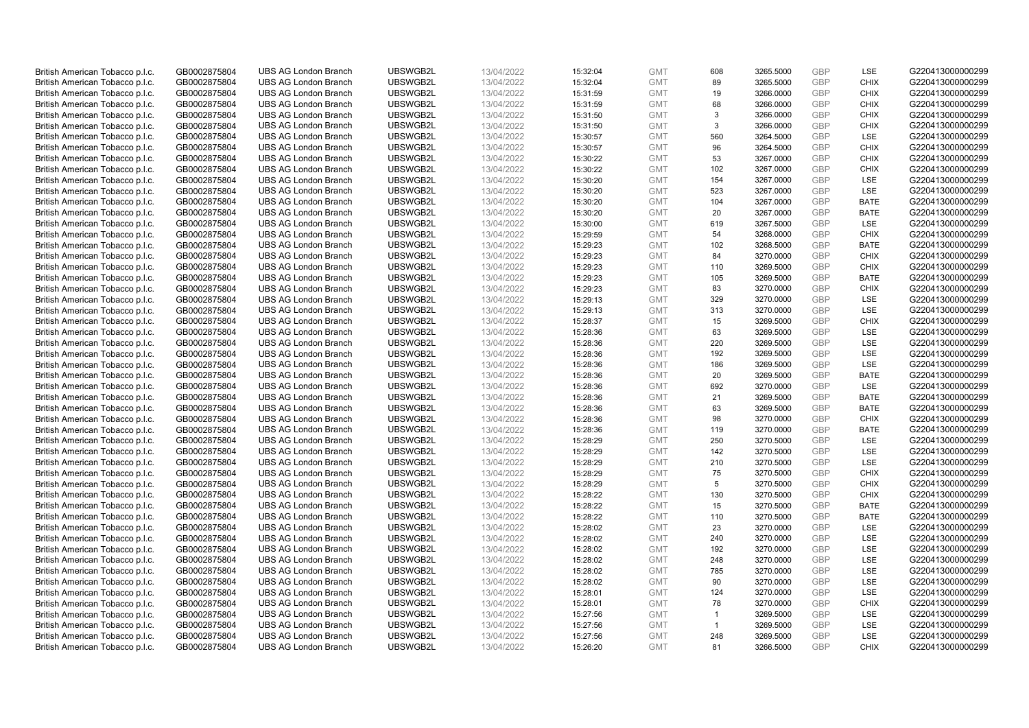| British American Tobacco p.l.c. | GB0002875804 | <b>UBS AG London Branch</b> | UBSWGB2L | 13/04/2022 | 15:32:04 | <b>GMT</b> | 608            | 3265.5000 | <b>GBP</b>               | LSE         | G220413000000299 |
|---------------------------------|--------------|-----------------------------|----------|------------|----------|------------|----------------|-----------|--------------------------|-------------|------------------|
| British American Tobacco p.l.c. | GB0002875804 | <b>UBS AG London Branch</b> | UBSWGB2L | 13/04/2022 | 15:32:04 | <b>GMT</b> | 89             | 3265.5000 | <b>GBP</b>               | <b>CHIX</b> | G220413000000299 |
| British American Tobacco p.l.c. | GB0002875804 | <b>UBS AG London Branch</b> | UBSWGB2L | 13/04/2022 | 15:31:59 | <b>GMT</b> | 19             | 3266.0000 | <b>GBP</b>               | <b>CHIX</b> | G220413000000299 |
| British American Tobacco p.l.c. | GB0002875804 | <b>UBS AG London Branch</b> | UBSWGB2L | 13/04/2022 | 15:31:59 | <b>GMT</b> | 68             | 3266.0000 | <b>GBP</b>               | <b>CHIX</b> | G220413000000299 |
| British American Tobacco p.l.c. | GB0002875804 | <b>UBS AG London Branch</b> | UBSWGB2L | 13/04/2022 | 15:31:50 | <b>GMT</b> | 3              | 3266.0000 | <b>GBP</b>               | <b>CHIX</b> | G220413000000299 |
|                                 |              | <b>UBS AG London Branch</b> |          |            |          |            | 3              |           |                          |             |                  |
| British American Tobacco p.l.c. | GB0002875804 |                             | UBSWGB2L | 13/04/2022 | 15:31:50 | <b>GMT</b> |                | 3266.0000 | <b>GBP</b><br><b>GBP</b> | <b>CHIX</b> | G220413000000299 |
| British American Tobacco p.l.c. | GB0002875804 | <b>UBS AG London Branch</b> | UBSWGB2L | 13/04/2022 | 15:30:57 | <b>GMT</b> | 560            | 3264.5000 |                          | LSE         | G220413000000299 |
| British American Tobacco p.l.c. | GB0002875804 | <b>UBS AG London Branch</b> | UBSWGB2L | 13/04/2022 | 15:30:57 | <b>GMT</b> | 96             | 3264.5000 | <b>GBP</b>               | <b>CHIX</b> | G220413000000299 |
| British American Tobacco p.l.c. | GB0002875804 | <b>UBS AG London Branch</b> | UBSWGB2L | 13/04/2022 | 15:30:22 | <b>GMT</b> | 53             | 3267.0000 | <b>GBP</b>               | <b>CHIX</b> | G220413000000299 |
| British American Tobacco p.l.c. | GB0002875804 | <b>UBS AG London Branch</b> | UBSWGB2L | 13/04/2022 | 15:30:22 | <b>GMT</b> | 102            | 3267.0000 | <b>GBP</b>               | <b>CHIX</b> | G220413000000299 |
| British American Tobacco p.l.c. | GB0002875804 | <b>UBS AG London Branch</b> | UBSWGB2L | 13/04/2022 | 15:30:20 | <b>GMT</b> | 154            | 3267.0000 | <b>GBP</b>               | <b>LSE</b>  | G220413000000299 |
| British American Tobacco p.l.c. | GB0002875804 | <b>UBS AG London Branch</b> | UBSWGB2L | 13/04/2022 | 15:30:20 | <b>GMT</b> | 523            | 3267.0000 | <b>GBP</b>               | LSE         | G220413000000299 |
| British American Tobacco p.l.c. | GB0002875804 | <b>UBS AG London Branch</b> | UBSWGB2L | 13/04/2022 | 15:30:20 | <b>GMT</b> | 104            | 3267.0000 | <b>GBP</b>               | <b>BATE</b> | G220413000000299 |
| British American Tobacco p.l.c. | GB0002875804 | <b>UBS AG London Branch</b> | UBSWGB2L | 13/04/2022 | 15:30:20 | <b>GMT</b> | 20             | 3267.0000 | <b>GBP</b>               | <b>BATE</b> | G220413000000299 |
| British American Tobacco p.l.c. | GB0002875804 | <b>UBS AG London Branch</b> | UBSWGB2L | 13/04/2022 | 15:30:00 | <b>GMT</b> | 619            | 3267.5000 | <b>GBP</b>               | LSE         | G220413000000299 |
| British American Tobacco p.l.c. | GB0002875804 | <b>UBS AG London Branch</b> | UBSWGB2L | 13/04/2022 | 15:29:59 | <b>GMT</b> | 54             | 3268.0000 | <b>GBP</b>               | <b>CHIX</b> | G220413000000299 |
| British American Tobacco p.l.c. | GB0002875804 | <b>UBS AG London Branch</b> | UBSWGB2L | 13/04/2022 | 15:29:23 | <b>GMT</b> | 102            | 3268.5000 | <b>GBP</b>               | <b>BATE</b> | G220413000000299 |
| British American Tobacco p.l.c. | GB0002875804 | <b>UBS AG London Branch</b> | UBSWGB2L | 13/04/2022 | 15:29:23 | <b>GMT</b> | 84             | 3270.0000 | <b>GBP</b>               | <b>CHIX</b> | G220413000000299 |
| British American Tobacco p.l.c. | GB0002875804 | <b>UBS AG London Branch</b> | UBSWGB2L | 13/04/2022 | 15:29:23 | <b>GMT</b> | 110            | 3269.5000 | <b>GBP</b>               | <b>CHIX</b> | G220413000000299 |
| British American Tobacco p.l.c. | GB0002875804 | <b>UBS AG London Branch</b> | UBSWGB2L | 13/04/2022 | 15:29:23 | <b>GMT</b> | 105            | 3269.5000 | <b>GBP</b>               | <b>BATE</b> | G220413000000299 |
| British American Tobacco p.l.c. | GB0002875804 | <b>UBS AG London Branch</b> | UBSWGB2L | 13/04/2022 | 15:29:23 | <b>GMT</b> | 83             | 3270.0000 | <b>GBP</b>               | <b>CHIX</b> | G220413000000299 |
| British American Tobacco p.l.c. | GB0002875804 | <b>UBS AG London Branch</b> | UBSWGB2L | 13/04/2022 | 15:29:13 | <b>GMT</b> | 329            | 3270.0000 | <b>GBP</b>               | LSE         | G220413000000299 |
| British American Tobacco p.l.c. | GB0002875804 | <b>UBS AG London Branch</b> | UBSWGB2L | 13/04/2022 | 15:29:13 | <b>GMT</b> | 313            | 3270.0000 | <b>GBP</b>               | LSE         | G220413000000299 |
| British American Tobacco p.l.c. | GB0002875804 | <b>UBS AG London Branch</b> | UBSWGB2L | 13/04/2022 | 15:28:37 | <b>GMT</b> | 15             | 3269.5000 | <b>GBP</b>               | <b>CHIX</b> | G220413000000299 |
| British American Tobacco p.l.c. | GB0002875804 | <b>UBS AG London Branch</b> | UBSWGB2L | 13/04/2022 | 15:28:36 | <b>GMT</b> | 63             | 3269.5000 | <b>GBP</b>               | LSE         | G220413000000299 |
| British American Tobacco p.l.c. | GB0002875804 | <b>UBS AG London Branch</b> | UBSWGB2L | 13/04/2022 | 15:28:36 | <b>GMT</b> | 220            | 3269.5000 | <b>GBP</b>               | LSE         | G220413000000299 |
| British American Tobacco p.l.c. | GB0002875804 | <b>UBS AG London Branch</b> | UBSWGB2L | 13/04/2022 | 15:28:36 | <b>GMT</b> | 192            | 3269.5000 | <b>GBP</b>               | <b>LSE</b>  | G220413000000299 |
| British American Tobacco p.l.c. | GB0002875804 | <b>UBS AG London Branch</b> | UBSWGB2L | 13/04/2022 | 15:28:36 | <b>GMT</b> | 186            | 3269.5000 | <b>GBP</b>               | LSE         | G220413000000299 |
| British American Tobacco p.l.c. | GB0002875804 | <b>UBS AG London Branch</b> | UBSWGB2L | 13/04/2022 | 15:28:36 | <b>GMT</b> | 20             | 3269.5000 | <b>GBP</b>               | <b>BATE</b> | G220413000000299 |
| British American Tobacco p.l.c. | GB0002875804 | <b>UBS AG London Branch</b> | UBSWGB2L | 13/04/2022 | 15:28:36 | <b>GMT</b> | 692            | 3270.0000 | <b>GBP</b>               | LSE         | G220413000000299 |
| British American Tobacco p.l.c. | GB0002875804 | <b>UBS AG London Branch</b> | UBSWGB2L | 13/04/2022 | 15:28:36 | <b>GMT</b> | 21             | 3269.5000 | <b>GBP</b>               | <b>BATE</b> | G220413000000299 |
| British American Tobacco p.l.c. | GB0002875804 | <b>UBS AG London Branch</b> | UBSWGB2L | 13/04/2022 | 15:28:36 | <b>GMT</b> | 63             | 3269.5000 | <b>GBP</b>               | BATE        | G220413000000299 |
| British American Tobacco p.l.c. | GB0002875804 | <b>UBS AG London Branch</b> | UBSWGB2L | 13/04/2022 | 15:28:36 | <b>GMT</b> | 98             | 3270.0000 | <b>GBP</b>               | <b>CHIX</b> | G220413000000299 |
| British American Tobacco p.l.c. | GB0002875804 | <b>UBS AG London Branch</b> | UBSWGB2L | 13/04/2022 | 15:28:36 | <b>GMT</b> | 119            | 3270.0000 | <b>GBP</b>               | <b>BATE</b> | G220413000000299 |
| British American Tobacco p.l.c. | GB0002875804 | <b>UBS AG London Branch</b> | UBSWGB2L | 13/04/2022 | 15:28:29 | <b>GMT</b> | 250            | 3270.5000 | <b>GBP</b>               | LSE         | G220413000000299 |
| British American Tobacco p.l.c. | GB0002875804 | <b>UBS AG London Branch</b> | UBSWGB2L | 13/04/2022 | 15:28:29 | <b>GMT</b> | 142            | 3270.5000 | <b>GBP</b>               | LSE         | G220413000000299 |
| British American Tobacco p.l.c. | GB0002875804 | <b>UBS AG London Branch</b> | UBSWGB2L | 13/04/2022 | 15:28:29 | <b>GMT</b> | 210            | 3270.5000 | <b>GBP</b>               | LSE         | G220413000000299 |
| British American Tobacco p.l.c. | GB0002875804 | <b>UBS AG London Branch</b> | UBSWGB2L | 13/04/2022 | 15:28:29 | <b>GMT</b> | 75             | 3270.5000 | <b>GBP</b>               | <b>CHIX</b> | G220413000000299 |
| British American Tobacco p.l.c. | GB0002875804 | <b>UBS AG London Branch</b> | UBSWGB2L | 13/04/2022 | 15:28:29 | <b>GMT</b> | 5              | 3270.5000 | <b>GBP</b>               | <b>CHIX</b> | G220413000000299 |
| British American Tobacco p.l.c. | GB0002875804 | <b>UBS AG London Branch</b> | UBSWGB2L | 13/04/2022 | 15:28:22 | <b>GMT</b> | 130            | 3270.5000 | <b>GBP</b>               | <b>CHIX</b> | G220413000000299 |
| British American Tobacco p.l.c. | GB0002875804 | <b>UBS AG London Branch</b> | UBSWGB2L | 13/04/2022 | 15:28:22 | <b>GMT</b> | 15             | 3270.5000 | <b>GBP</b>               | <b>BATE</b> | G220413000000299 |
| British American Tobacco p.l.c. | GB0002875804 | <b>UBS AG London Branch</b> | UBSWGB2L | 13/04/2022 | 15:28:22 | <b>GMT</b> | 110            | 3270.5000 | <b>GBP</b>               | <b>BATE</b> | G220413000000299 |
| British American Tobacco p.l.c. | GB0002875804 | <b>UBS AG London Branch</b> | UBSWGB2L | 13/04/2022 | 15:28:02 | <b>GMT</b> | 23             | 3270.0000 | <b>GBP</b>               | LSE         | G220413000000299 |
| British American Tobacco p.l.c. | GB0002875804 | <b>UBS AG London Branch</b> | UBSWGB2L | 13/04/2022 |          | <b>GMT</b> | 240            | 3270.0000 | <b>GBP</b>               | LSE         |                  |
|                                 |              |                             | UBSWGB2L |            | 15:28:02 |            | 192            |           | <b>GBP</b>               | LSE         | G220413000000299 |
| British American Tobacco p.l.c. | GB0002875804 | UBS AG London Branch        |          | 13/04/2022 | 15:28:02 | <b>GMT</b> |                | 3270.0000 |                          |             | G220413000000299 |
| British American Tobacco p.l.c. | GB0002875804 | <b>UBS AG London Branch</b> | UBSWGB2L | 13/04/2022 | 15:28:02 | <b>GMT</b> | 248            | 3270.0000 | <b>GBP</b>               | LSE         | G220413000000299 |
| British American Tobacco p.l.c. | GB0002875804 | <b>UBS AG London Branch</b> | UBSWGB2L | 13/04/2022 | 15:28:02 | <b>GMT</b> | 785            | 3270.0000 | <b>GBP</b>               | LSE         | G220413000000299 |
| British American Tobacco p.l.c. | GB0002875804 | <b>UBS AG London Branch</b> | UBSWGB2L | 13/04/2022 | 15:28:02 | <b>GMT</b> | 90             | 3270.0000 | <b>GBP</b>               | LSE         | G220413000000299 |
| British American Tobacco p.l.c. | GB0002875804 | <b>UBS AG London Branch</b> | UBSWGB2L | 13/04/2022 | 15:28:01 | <b>GMT</b> | 124            | 3270.0000 | <b>GBP</b>               | LSE         | G220413000000299 |
| British American Tobacco p.l.c. | GB0002875804 | <b>UBS AG London Branch</b> | UBSWGB2L | 13/04/2022 | 15:28:01 | <b>GMT</b> | 78             | 3270.0000 | <b>GBP</b>               | <b>CHIX</b> | G220413000000299 |
| British American Tobacco p.l.c. | GB0002875804 | <b>UBS AG London Branch</b> | UBSWGB2L | 13/04/2022 | 15:27:56 | <b>GMT</b> | $\overline{1}$ | 3269.5000 | <b>GBP</b>               | LSE         | G220413000000299 |
| British American Tobacco p.l.c. | GB0002875804 | <b>UBS AG London Branch</b> | UBSWGB2L | 13/04/2022 | 15:27:56 | <b>GMT</b> | $\mathbf{1}$   | 3269.5000 | <b>GBP</b>               | LSE         | G220413000000299 |
| British American Tobacco p.l.c. | GB0002875804 | <b>UBS AG London Branch</b> | UBSWGB2L | 13/04/2022 | 15:27:56 | <b>GMT</b> | 248            | 3269.5000 | <b>GBP</b>               | LSE         | G220413000000299 |
| British American Tobacco p.l.c. | GB0002875804 | <b>UBS AG London Branch</b> | UBSWGB2L | 13/04/2022 | 15:26:20 | <b>GMT</b> | 81             | 3266.5000 | GBP                      | <b>CHIX</b> | G220413000000299 |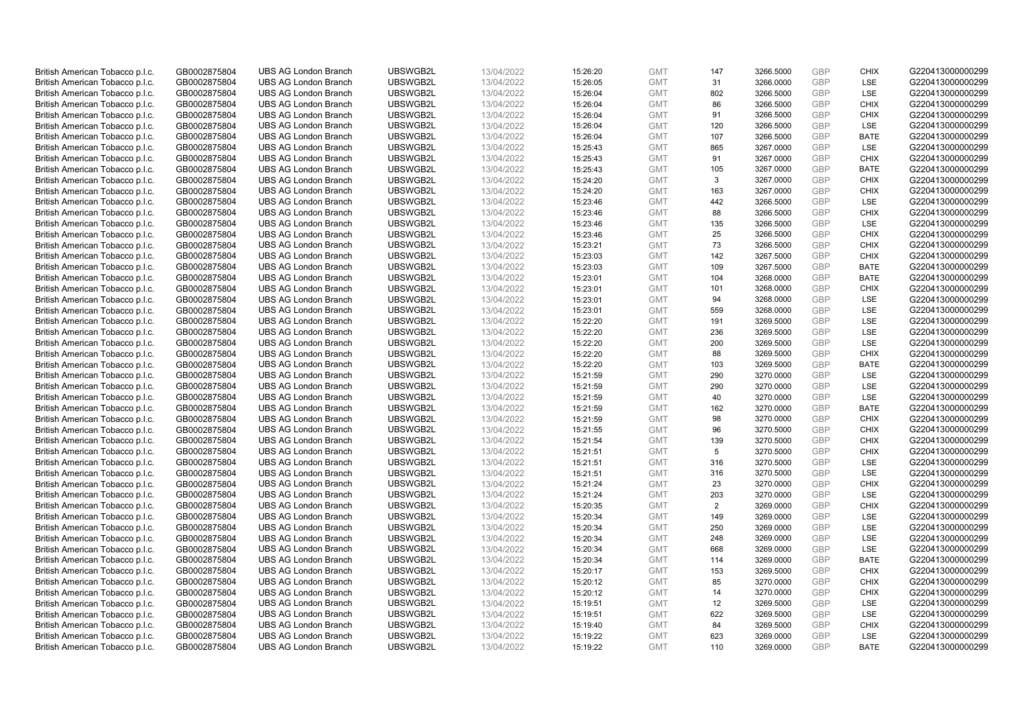| British American Tobacco p.l.c. | GB0002875804                 | <b>UBS AG London Branch</b> | UBSWGB2L | 13/04/2022               | 15:26:20 | <b>GMT</b> | 147 | 3266.5000 | <b>GBP</b> | <b>CHIX</b> | G220413000000299 |
|---------------------------------|------------------------------|-----------------------------|----------|--------------------------|----------|------------|-----|-----------|------------|-------------|------------------|
| British American Tobacco p.l.c. | GB0002875804                 | <b>UBS AG London Branch</b> | UBSWGB2L | 13/04/2022               | 15:26:05 | <b>GMT</b> | 31  | 3266.0000 | <b>GBP</b> | LSE         | G220413000000299 |
|                                 |                              | <b>UBS AG London Branch</b> | UBSWGB2L |                          |          | <b>GMT</b> | 802 | 3266.5000 | <b>GBP</b> | LSE         | G220413000000299 |
| British American Tobacco p.l.c. | GB0002875804                 |                             |          | 13/04/2022               | 15:26:04 |            |     |           |            |             |                  |
| British American Tobacco p.l.c. | GB0002875804                 | <b>UBS AG London Branch</b> | UBSWGB2L | 13/04/2022               | 15:26:04 | <b>GMT</b> | 86  | 3266.5000 | <b>GBP</b> | <b>CHIX</b> | G220413000000299 |
| British American Tobacco p.l.c. | GB0002875804                 | <b>UBS AG London Branch</b> | UBSWGB2L | 13/04/2022               | 15:26:04 | <b>GMT</b> | 91  | 3266.5000 | <b>GBP</b> | <b>CHIX</b> | G220413000000299 |
| British American Tobacco p.l.c. | GB0002875804                 | <b>UBS AG London Branch</b> | UBSWGB2L | 13/04/2022               | 15:26:04 | <b>GMT</b> | 120 | 3266.5000 | <b>GBP</b> | <b>LSE</b>  | G220413000000299 |
| British American Tobacco p.l.c. | GB0002875804                 | <b>UBS AG London Branch</b> | UBSWGB2L | 13/04/2022               | 15:26:04 | <b>GMT</b> | 107 | 3266.5000 | <b>GBP</b> | <b>BATE</b> | G220413000000299 |
| British American Tobacco p.l.c. | GB0002875804                 | <b>UBS AG London Branch</b> | UBSWGB2L | 13/04/2022               | 15:25:43 | <b>GMT</b> | 865 | 3267.0000 | <b>GBP</b> | LSE         | G220413000000299 |
| British American Tobacco p.l.c. | GB0002875804                 | <b>UBS AG London Branch</b> | UBSWGB2L | 13/04/2022               | 15:25:43 | <b>GMT</b> | 91  | 3267.0000 | <b>GBP</b> | <b>CHIX</b> | G220413000000299 |
| British American Tobacco p.l.c. | GB0002875804                 | <b>UBS AG London Branch</b> | UBSWGB2L | 13/04/2022               | 15:25:43 | <b>GMT</b> | 105 | 3267.0000 | <b>GBP</b> | <b>BATE</b> | G220413000000299 |
| British American Tobacco p.l.c. | GB0002875804                 | <b>UBS AG London Branch</b> | UBSWGB2L | 13/04/2022               | 15:24:20 | <b>GMT</b> | 3   | 3267.0000 | <b>GBP</b> | <b>CHIX</b> | G220413000000299 |
| British American Tobacco p.l.c. | GB0002875804                 | <b>UBS AG London Branch</b> | UBSWGB2L | 13/04/2022               | 15:24:20 | <b>GMT</b> | 163 | 3267.0000 | <b>GBP</b> | <b>CHIX</b> | G220413000000299 |
| British American Tobacco p.l.c. | GB0002875804                 | <b>UBS AG London Branch</b> | UBSWGB2L | 13/04/2022               | 15:23:46 | <b>GMT</b> | 442 | 3266.5000 | <b>GBP</b> | LSE         | G220413000000299 |
| British American Tobacco p.l.c. | GB0002875804                 | <b>UBS AG London Branch</b> | UBSWGB2L | 13/04/2022               | 15:23:46 | <b>GMT</b> | 88  | 3266.5000 | <b>GBP</b> | <b>CHIX</b> | G220413000000299 |
| British American Tobacco p.l.c. | GB0002875804                 | <b>UBS AG London Branch</b> | UBSWGB2L | 13/04/2022               | 15:23:46 | <b>GMT</b> | 135 | 3266.5000 | <b>GBP</b> | LSE         | G220413000000299 |
| British American Tobacco p.l.c. | GB0002875804                 | <b>UBS AG London Branch</b> | UBSWGB2L | 13/04/2022               | 15:23:46 | <b>GMT</b> | 25  | 3266.5000 | <b>GBP</b> | <b>CHIX</b> | G220413000000299 |
| British American Tobacco p.l.c. | GB0002875804                 | <b>UBS AG London Branch</b> | UBSWGB2L | 13/04/2022               | 15:23:21 | <b>GMT</b> | 73  | 3266.5000 | <b>GBP</b> | <b>CHIX</b> | G220413000000299 |
| British American Tobacco p.l.c. | GB0002875804                 | <b>UBS AG London Branch</b> | UBSWGB2L | 13/04/2022               | 15:23:03 | <b>GMT</b> | 142 | 3267.5000 | <b>GBP</b> | <b>CHIX</b> | G220413000000299 |
|                                 |                              | <b>UBS AG London Branch</b> | UBSWGB2L |                          | 15:23:03 | <b>GMT</b> | 109 | 3267.5000 | <b>GBP</b> | <b>BATE</b> | G220413000000299 |
| British American Tobacco p.l.c. | GB0002875804<br>GB0002875804 | <b>UBS AG London Branch</b> | UBSWGB2L | 13/04/2022<br>13/04/2022 |          | <b>GMT</b> |     |           | <b>GBP</b> | <b>BATE</b> | G220413000000299 |
| British American Tobacco p.l.c. |                              |                             |          |                          | 15:23:01 |            | 104 | 3268.0000 |            |             |                  |
| British American Tobacco p.l.c. | GB0002875804                 | <b>UBS AG London Branch</b> | UBSWGB2L | 13/04/2022               | 15:23:01 | <b>GMT</b> | 101 | 3268.0000 | <b>GBP</b> | <b>CHIX</b> | G220413000000299 |
| British American Tobacco p.l.c. | GB0002875804                 | <b>UBS AG London Branch</b> | UBSWGB2L | 13/04/2022               | 15:23:01 | <b>GMT</b> | 94  | 3268.0000 | <b>GBP</b> | LSE         | G220413000000299 |
| British American Tobacco p.l.c. | GB0002875804                 | <b>UBS AG London Branch</b> | UBSWGB2L | 13/04/2022               | 15:23:01 | <b>GMT</b> | 559 | 3268.0000 | <b>GBP</b> | LSE         | G220413000000299 |
| British American Tobacco p.l.c. | GB0002875804                 | <b>UBS AG London Branch</b> | UBSWGB2L | 13/04/2022               | 15:22:20 | <b>GMT</b> | 191 | 3269.5000 | <b>GBP</b> | <b>LSE</b>  | G220413000000299 |
| British American Tobacco p.l.c. | GB0002875804                 | <b>UBS AG London Branch</b> | UBSWGB2L | 13/04/2022               | 15:22:20 | <b>GMT</b> | 236 | 3269.5000 | <b>GBP</b> | LSE         | G220413000000299 |
| British American Tobacco p.l.c. | GB0002875804                 | <b>UBS AG London Branch</b> | UBSWGB2L | 13/04/2022               | 15:22:20 | <b>GMT</b> | 200 | 3269.5000 | <b>GBP</b> | LSE         | G220413000000299 |
| British American Tobacco p.l.c. | GB0002875804                 | <b>UBS AG London Branch</b> | UBSWGB2L | 13/04/2022               | 15:22:20 | <b>GMT</b> | 88  | 3269.5000 | <b>GBP</b> | <b>CHIX</b> | G220413000000299 |
| British American Tobacco p.l.c. | GB0002875804                 | <b>UBS AG London Branch</b> | UBSWGB2L | 13/04/2022               | 15:22:20 | <b>GMT</b> | 103 | 3269.5000 | <b>GBP</b> | <b>BATE</b> | G220413000000299 |
| British American Tobacco p.l.c. | GB0002875804                 | <b>UBS AG London Branch</b> | UBSWGB2L | 13/04/2022               | 15:21:59 | <b>GMT</b> | 290 | 3270.0000 | <b>GBP</b> | <b>LSE</b>  | G220413000000299 |
| British American Tobacco p.l.c. | GB0002875804                 | <b>UBS AG London Branch</b> | UBSWGB2L | 13/04/2022               | 15:21:59 | <b>GMT</b> | 290 | 3270.0000 | <b>GBP</b> | LSE         | G220413000000299 |
| British American Tobacco p.l.c. | GB0002875804                 | <b>UBS AG London Branch</b> | UBSWGB2L | 13/04/2022               | 15:21:59 | <b>GMT</b> | 40  | 3270.0000 | <b>GBP</b> | LSE         | G220413000000299 |
| British American Tobacco p.l.c. | GB0002875804                 | <b>UBS AG London Branch</b> | UBSWGB2L | 13/04/2022               | 15:21:59 | <b>GMT</b> | 162 | 3270.0000 | <b>GBP</b> | <b>BATE</b> | G220413000000299 |
| British American Tobacco p.l.c. | GB0002875804                 | <b>UBS AG London Branch</b> | UBSWGB2L | 13/04/2022               | 15:21:59 | <b>GMT</b> | 98  | 3270.0000 | <b>GBP</b> | <b>CHIX</b> | G220413000000299 |
| British American Tobacco p.l.c. | GB0002875804                 | <b>UBS AG London Branch</b> | UBSWGB2L | 13/04/2022               | 15:21:55 | <b>GMT</b> | 96  | 3270.5000 | <b>GBP</b> | <b>CHIX</b> | G220413000000299 |
| British American Tobacco p.l.c. | GB0002875804                 | <b>UBS AG London Branch</b> | UBSWGB2L | 13/04/2022               | 15:21:54 | <b>GMT</b> | 139 | 3270.5000 | <b>GBP</b> | <b>CHIX</b> | G220413000000299 |
| British American Tobacco p.l.c. | GB0002875804                 | <b>UBS AG London Branch</b> | UBSWGB2L | 13/04/2022               | 15:21:51 | <b>GMT</b> | 5   | 3270.5000 | <b>GBP</b> | <b>CHIX</b> | G220413000000299 |
| British American Tobacco p.l.c. | GB0002875804                 | <b>UBS AG London Branch</b> | UBSWGB2L | 13/04/2022               | 15:21:51 | <b>GMT</b> | 316 | 3270.5000 | <b>GBP</b> | LSE         | G220413000000299 |
| British American Tobacco p.l.c. | GB0002875804                 | <b>UBS AG London Branch</b> | UBSWGB2L | 13/04/2022               | 15:21:51 | <b>GMT</b> | 316 | 3270.5000 | <b>GBP</b> | LSE         | G220413000000299 |
| British American Tobacco p.l.c. | GB0002875804                 | <b>UBS AG London Branch</b> | UBSWGB2L | 13/04/2022               | 15:21:24 | <b>GMT</b> | 23  | 3270.0000 | <b>GBP</b> | <b>CHIX</b> | G220413000000299 |
| British American Tobacco p.l.c. | GB0002875804                 | <b>UBS AG London Branch</b> | UBSWGB2L | 13/04/2022               | 15:21:24 | <b>GMT</b> | 203 | 3270.0000 | <b>GBP</b> | <b>LSE</b>  | G220413000000299 |
| British American Tobacco p.l.c. | GB0002875804                 | <b>UBS AG London Branch</b> | UBSWGB2L | 13/04/2022               | 15:20:35 | <b>GMT</b> | 2   | 3269.0000 | <b>GBP</b> | <b>CHIX</b> | G220413000000299 |
| British American Tobacco p.l.c. | GB0002875804                 | <b>UBS AG London Branch</b> | UBSWGB2L | 13/04/2022               | 15:20:34 | <b>GMT</b> | 149 | 3269.0000 | <b>GBP</b> | <b>LSE</b>  | G220413000000299 |
| British American Tobacco p.l.c. | GB0002875804                 | <b>UBS AG London Branch</b> | UBSWGB2L | 13/04/2022               | 15:20:34 | <b>GMT</b> | 250 | 3269.0000 | <b>GBP</b> | LSE         | G220413000000299 |
| British American Tobacco p.l.c. | GB0002875804                 | <b>UBS AG London Branch</b> | UBSWGB2L | 13/04/2022               | 15:20:34 | <b>GMT</b> | 248 | 3269.0000 | <b>GBP</b> | LSE         | G220413000000299 |
| British American Tobacco p.l.c. | GB0002875804                 | UBS AG London Branch        | UBSWGB2L | 13/04/2022               | 15:20:34 | <b>GMT</b> | 668 | 3269.0000 | <b>GBP</b> | LSE         | G220413000000299 |
|                                 | GB0002875804                 | <b>UBS AG London Branch</b> | UBSWGB2L | 13/04/2022               |          | <b>GMT</b> |     |           | <b>GBP</b> | <b>BATE</b> | G220413000000299 |
| British American Tobacco p.l.c. |                              |                             |          |                          | 15:20:34 |            | 114 | 3269.0000 |            |             |                  |
| British American Tobacco p.l.c. | GB0002875804                 | <b>UBS AG London Branch</b> | UBSWGB2L | 13/04/2022               | 15:20:17 | <b>GMT</b> | 153 | 3269.5000 | <b>GBP</b> | <b>CHIX</b> | G220413000000299 |
| British American Tobacco p.l.c. | GB0002875804                 | <b>UBS AG London Branch</b> | UBSWGB2L | 13/04/2022               | 15:20:12 | <b>GMT</b> | 85  | 3270.0000 | <b>GBP</b> | <b>CHIX</b> | G220413000000299 |
| British American Tobacco p.l.c. | GB0002875804                 | <b>UBS AG London Branch</b> | UBSWGB2L | 13/04/2022               | 15:20:12 | <b>GMT</b> | 14  | 3270.0000 | <b>GBP</b> | <b>CHIX</b> | G220413000000299 |
| British American Tobacco p.l.c. | GB0002875804                 | <b>UBS AG London Branch</b> | UBSWGB2L | 13/04/2022               | 15:19:51 | <b>GMT</b> | 12  | 3269.5000 | <b>GBP</b> | <b>LSE</b>  | G220413000000299 |
| British American Tobacco p.l.c. | GB0002875804                 | <b>UBS AG London Branch</b> | UBSWGB2L | 13/04/2022               | 15:19:51 | <b>GMT</b> | 622 | 3269.5000 | <b>GBP</b> | LSE         | G220413000000299 |
| British American Tobacco p.l.c. | GB0002875804                 | <b>UBS AG London Branch</b> | UBSWGB2L | 13/04/2022               | 15:19:40 | <b>GMT</b> | 84  | 3269.5000 | <b>GBP</b> | <b>CHIX</b> | G220413000000299 |
| British American Tobacco p.l.c. | GB0002875804                 | <b>UBS AG London Branch</b> | UBSWGB2L | 13/04/2022               | 15:19:22 | <b>GMT</b> | 623 | 3269.0000 | <b>GBP</b> | <b>LSE</b>  | G220413000000299 |
| British American Tobacco p.l.c. | GB0002875804                 | <b>UBS AG London Branch</b> | UBSWGB2L | 13/04/2022               | 15:19:22 | <b>GMT</b> | 110 | 3269.0000 | <b>GBP</b> | <b>BATE</b> | G220413000000299 |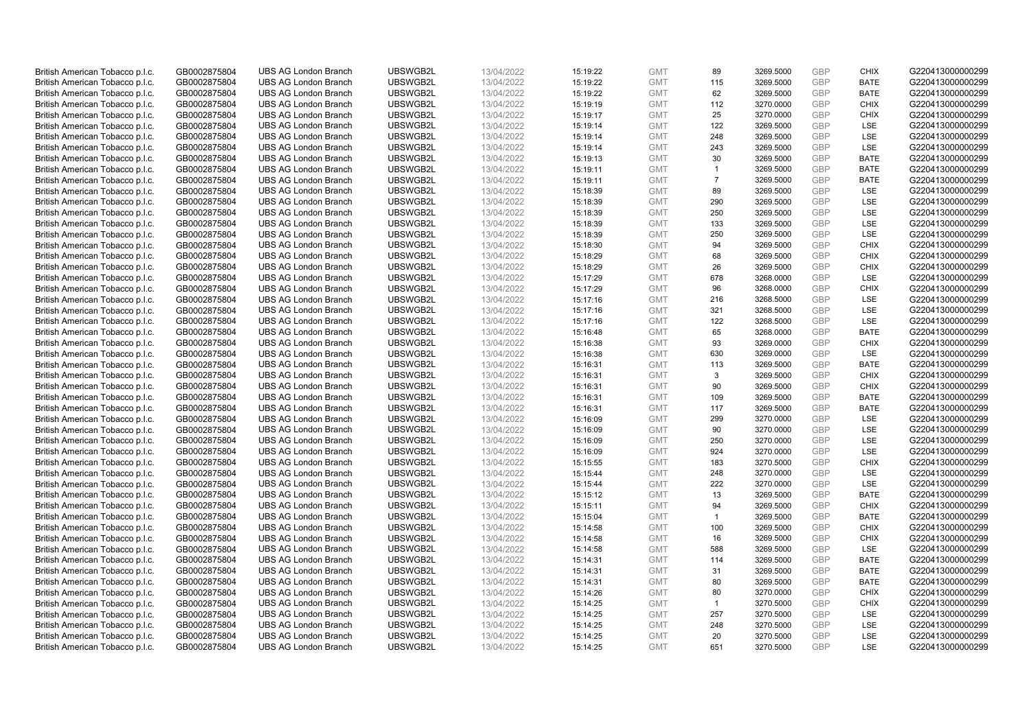| British American Tobacco p.l.c. | GB0002875804                 | <b>UBS AG London Branch</b> | UBSWGB2L | 13/04/2022               | 15:19:22 | <b>GMT</b> | 89             | 3269.5000 | <b>GBP</b> | <b>CHIX</b> | G220413000000299 |
|---------------------------------|------------------------------|-----------------------------|----------|--------------------------|----------|------------|----------------|-----------|------------|-------------|------------------|
| British American Tobacco p.l.c. | GB0002875804                 | <b>UBS AG London Branch</b> | UBSWGB2L | 13/04/2022               | 15:19:22 | <b>GMT</b> | 115            | 3269.5000 | <b>GBP</b> | <b>BATE</b> | G220413000000299 |
|                                 |                              | <b>UBS AG London Branch</b> | UBSWGB2L |                          |          | <b>GMT</b> | 62             | 3269.5000 | <b>GBP</b> | <b>BATE</b> | G220413000000299 |
| British American Tobacco p.l.c. | GB0002875804                 |                             |          | 13/04/2022               | 15:19:22 |            |                |           |            |             |                  |
| British American Tobacco p.l.c. | GB0002875804                 | <b>UBS AG London Branch</b> | UBSWGB2L | 13/04/2022               | 15:19:19 | <b>GMT</b> | 112            | 3270.0000 | <b>GBP</b> | <b>CHIX</b> | G220413000000299 |
| British American Tobacco p.l.c. | GB0002875804                 | <b>UBS AG London Branch</b> | UBSWGB2L | 13/04/2022               | 15:19:17 | <b>GMT</b> | 25             | 3270.0000 | <b>GBP</b> | <b>CHIX</b> | G220413000000299 |
| British American Tobacco p.l.c. | GB0002875804                 | <b>UBS AG London Branch</b> | UBSWGB2L | 13/04/2022               | 15:19:14 | <b>GMT</b> | 122            | 3269.5000 | <b>GBP</b> | <b>LSE</b>  | G220413000000299 |
| British American Tobacco p.l.c. | GB0002875804                 | <b>UBS AG London Branch</b> | UBSWGB2L | 13/04/2022               | 15:19:14 | <b>GMT</b> | 248            | 3269.5000 | <b>GBP</b> | LSE         | G220413000000299 |
| British American Tobacco p.l.c. | GB0002875804                 | <b>UBS AG London Branch</b> | UBSWGB2L | 13/04/2022               | 15:19:14 | <b>GMT</b> | 243            | 3269.5000 | <b>GBP</b> | LSE         | G220413000000299 |
| British American Tobacco p.l.c. | GB0002875804                 | <b>UBS AG London Branch</b> | UBSWGB2L | 13/04/2022               | 15:19:13 | <b>GMT</b> | 30             | 3269.5000 | <b>GBP</b> | <b>BATE</b> | G220413000000299 |
| British American Tobacco p.l.c. | GB0002875804                 | <b>UBS AG London Branch</b> | UBSWGB2L | 13/04/2022               | 15:19:11 | <b>GMT</b> | $\overline{1}$ | 3269.5000 | <b>GBP</b> | <b>BATE</b> | G220413000000299 |
| British American Tobacco p.l.c. | GB0002875804                 | <b>UBS AG London Branch</b> | UBSWGB2L | 13/04/2022               | 15:19:11 | <b>GMT</b> | $\overline{7}$ | 3269.5000 | <b>GBP</b> | <b>BATE</b> | G220413000000299 |
| British American Tobacco p.l.c. | GB0002875804                 | <b>UBS AG London Branch</b> | UBSWGB2L | 13/04/2022               | 15:18:39 | <b>GMT</b> | 89             | 3269.5000 | <b>GBP</b> | LSE         | G220413000000299 |
| British American Tobacco p.l.c. | GB0002875804                 | <b>UBS AG London Branch</b> | UBSWGB2L | 13/04/2022               | 15:18:39 | <b>GMT</b> | 290            | 3269.5000 | <b>GBP</b> | LSE         | G220413000000299 |
| British American Tobacco p.l.c. | GB0002875804                 | <b>UBS AG London Branch</b> | UBSWGB2L | 13/04/2022               | 15:18:39 | <b>GMT</b> | 250            | 3269.5000 | <b>GBP</b> | LSE         | G220413000000299 |
| British American Tobacco p.l.c. | GB0002875804                 | <b>UBS AG London Branch</b> | UBSWGB2L | 13/04/2022               | 15:18:39 | <b>GMT</b> | 133            | 3269.5000 | <b>GBP</b> | LSE         | G220413000000299 |
| British American Tobacco p.l.c. | GB0002875804                 | <b>UBS AG London Branch</b> | UBSWGB2L | 13/04/2022               | 15:18:39 | <b>GMT</b> | 250            | 3269.5000 | <b>GBP</b> | LSE         | G220413000000299 |
| British American Tobacco p.l.c. | GB0002875804                 | <b>UBS AG London Branch</b> | UBSWGB2L | 13/04/2022               | 15:18:30 | <b>GMT</b> | 94             | 3269.5000 | <b>GBP</b> | <b>CHIX</b> | G220413000000299 |
| British American Tobacco p.l.c. | GB0002875804                 | <b>UBS AG London Branch</b> | UBSWGB2L | 13/04/2022               | 15:18:29 | <b>GMT</b> | 68             | 3269.5000 | <b>GBP</b> | <b>CHIX</b> | G220413000000299 |
|                                 |                              | <b>UBS AG London Branch</b> | UBSWGB2L |                          | 15:18:29 | <b>GMT</b> | 26             | 3269.5000 | <b>GBP</b> | <b>CHIX</b> | G220413000000299 |
| British American Tobacco p.l.c. | GB0002875804<br>GB0002875804 | <b>UBS AG London Branch</b> | UBSWGB2L | 13/04/2022<br>13/04/2022 |          | <b>GMT</b> | 678            | 3268.0000 | <b>GBP</b> | LSE         | G220413000000299 |
| British American Tobacco p.l.c. |                              |                             |          |                          | 15:17:29 |            |                |           |            |             |                  |
| British American Tobacco p.l.c. | GB0002875804                 | <b>UBS AG London Branch</b> | UBSWGB2L | 13/04/2022               | 15:17:29 | <b>GMT</b> | 96             | 3268.0000 | <b>GBP</b> | <b>CHIX</b> | G220413000000299 |
| British American Tobacco p.l.c. | GB0002875804                 | <b>UBS AG London Branch</b> | UBSWGB2L | 13/04/2022               | 15:17:16 | <b>GMT</b> | 216            | 3268.5000 | <b>GBP</b> | LSE         | G220413000000299 |
| British American Tobacco p.l.c. | GB0002875804                 | <b>UBS AG London Branch</b> | UBSWGB2L | 13/04/2022               | 15:17:16 | <b>GMT</b> | 321            | 3268.5000 | <b>GBP</b> | LSE         | G220413000000299 |
| British American Tobacco p.l.c. | GB0002875804                 | <b>UBS AG London Branch</b> | UBSWGB2L | 13/04/2022               | 15:17:16 | <b>GMT</b> | 122            | 3268.5000 | <b>GBP</b> | <b>LSE</b>  | G220413000000299 |
| British American Tobacco p.l.c. | GB0002875804                 | <b>UBS AG London Branch</b> | UBSWGB2L | 13/04/2022               | 15:16:48 | <b>GMT</b> | 65             | 3268.0000 | <b>GBP</b> | <b>BATE</b> | G220413000000299 |
| British American Tobacco p.l.c. | GB0002875804                 | <b>UBS AG London Branch</b> | UBSWGB2L | 13/04/2022               | 15:16:38 | <b>GMT</b> | 93             | 3269.0000 | <b>GBP</b> | <b>CHIX</b> | G220413000000299 |
| British American Tobacco p.l.c. | GB0002875804                 | <b>UBS AG London Branch</b> | UBSWGB2L | 13/04/2022               | 15:16:38 | <b>GMT</b> | 630            | 3269.0000 | <b>GBP</b> | <b>LSE</b>  | G220413000000299 |
| British American Tobacco p.l.c. | GB0002875804                 | <b>UBS AG London Branch</b> | UBSWGB2L | 13/04/2022               | 15:16:31 | <b>GMT</b> | 113            | 3269.5000 | <b>GBP</b> | <b>BATE</b> | G220413000000299 |
| British American Tobacco p.l.c. | GB0002875804                 | <b>UBS AG London Branch</b> | UBSWGB2L | 13/04/2022               | 15:16:31 | <b>GMT</b> | 3              | 3269.5000 | <b>GBP</b> | <b>CHIX</b> | G220413000000299 |
| British American Tobacco p.l.c. | GB0002875804                 | <b>UBS AG London Branch</b> | UBSWGB2L | 13/04/2022               | 15:16:31 | <b>GMT</b> | 90             | 3269.5000 | <b>GBP</b> | <b>CHIX</b> | G220413000000299 |
| British American Tobacco p.l.c. | GB0002875804                 | <b>UBS AG London Branch</b> | UBSWGB2L | 13/04/2022               | 15:16:31 | <b>GMT</b> | 109            | 3269.5000 | <b>GBP</b> | <b>BATE</b> | G220413000000299 |
| British American Tobacco p.l.c. | GB0002875804                 | <b>UBS AG London Branch</b> | UBSWGB2L | 13/04/2022               | 15:16:31 | <b>GMT</b> | 117            | 3269.5000 | <b>GBP</b> | <b>BATE</b> | G220413000000299 |
| British American Tobacco p.l.c. | GB0002875804                 | <b>UBS AG London Branch</b> | UBSWGB2L | 13/04/2022               | 15:16:09 | <b>GMT</b> | 299            | 3270.0000 | <b>GBP</b> | LSE         | G220413000000299 |
| British American Tobacco p.l.c. | GB0002875804                 | <b>UBS AG London Branch</b> | UBSWGB2L | 13/04/2022               | 15:16:09 | <b>GMT</b> | 90             | 3270.0000 | <b>GBP</b> | LSE         | G220413000000299 |
| British American Tobacco p.l.c. | GB0002875804                 | <b>UBS AG London Branch</b> | UBSWGB2L | 13/04/2022               | 15:16:09 | <b>GMT</b> | 250            | 3270.0000 | <b>GBP</b> | LSE         | G220413000000299 |
| British American Tobacco p.l.c. | GB0002875804                 | <b>UBS AG London Branch</b> | UBSWGB2L | 13/04/2022               | 15:16:09 | <b>GMT</b> | 924            | 3270.0000 | <b>GBP</b> | LSE         | G220413000000299 |
| British American Tobacco p.l.c. | GB0002875804                 | <b>UBS AG London Branch</b> | UBSWGB2L | 13/04/2022               | 15:15:55 | <b>GMT</b> | 183            | 3270.5000 | <b>GBP</b> | <b>CHIX</b> | G220413000000299 |
| British American Tobacco p.l.c. | GB0002875804                 | <b>UBS AG London Branch</b> | UBSWGB2L | 13/04/2022               | 15:15:44 | <b>GMT</b> | 248            | 3270.0000 | <b>GBP</b> | LSE         | G220413000000299 |
| British American Tobacco p.l.c. | GB0002875804                 | <b>UBS AG London Branch</b> | UBSWGB2L | 13/04/2022               | 15:15:44 | <b>GMT</b> | 222            | 3270.0000 | <b>GBP</b> | LSE         | G220413000000299 |
| British American Tobacco p.l.c. | GB0002875804                 | <b>UBS AG London Branch</b> | UBSWGB2L | 13/04/2022               | 15:15:12 | <b>GMT</b> | 13             | 3269.5000 | <b>GBP</b> | <b>BATE</b> | G220413000000299 |
| British American Tobacco p.l.c. | GB0002875804                 | <b>UBS AG London Branch</b> | UBSWGB2L | 13/04/2022               | 15:15:11 | <b>GMT</b> | 94             | 3269.5000 | <b>GBP</b> | <b>CHIX</b> | G220413000000299 |
| British American Tobacco p.l.c. | GB0002875804                 | <b>UBS AG London Branch</b> | UBSWGB2L | 13/04/2022               | 15:15:04 | <b>GMT</b> | $\overline{1}$ | 3269.5000 | <b>GBP</b> | <b>BATE</b> | G220413000000299 |
| British American Tobacco p.l.c. | GB0002875804                 | <b>UBS AG London Branch</b> | UBSWGB2L | 13/04/2022               | 15:14:58 | <b>GMT</b> | 100            | 3269.5000 | <b>GBP</b> | <b>CHIX</b> | G220413000000299 |
| British American Tobacco p.l.c. | GB0002875804                 | <b>UBS AG London Branch</b> | UBSWGB2L | 13/04/2022               | 15:14:58 | <b>GMT</b> | 16             | 3269.5000 | <b>GBP</b> | <b>CHIX</b> | G220413000000299 |
| British American Tobacco p.l.c. | GB0002875804                 | UBS AG London Branch        | UBSWGB2L | 13/04/2022               | 15:14:58 | <b>GMT</b> | 588            | 3269.5000 | <b>GBP</b> | LSE         | G220413000000299 |
| British American Tobacco p.l.c. | GB0002875804                 | <b>UBS AG London Branch</b> | UBSWGB2L | 13/04/2022               | 15:14:31 | <b>GMT</b> | 114            | 3269.5000 | <b>GBP</b> | <b>BATE</b> | G220413000000299 |
| British American Tobacco p.l.c. | GB0002875804                 | <b>UBS AG London Branch</b> | UBSWGB2L | 13/04/2022               | 15:14:31 | <b>GMT</b> | 31             | 3269.5000 | <b>GBP</b> | <b>BATE</b> | G220413000000299 |
| British American Tobacco p.l.c. | GB0002875804                 | <b>UBS AG London Branch</b> | UBSWGB2L | 13/04/2022               | 15:14:31 | <b>GMT</b> | 80             | 3269.5000 | <b>GBP</b> | <b>BATE</b> | G220413000000299 |
| British American Tobacco p.l.c. | GB0002875804                 | <b>UBS AG London Branch</b> | UBSWGB2L | 13/04/2022               |          | <b>GMT</b> | 80             | 3270.0000 | <b>GBP</b> | <b>CHIX</b> | G220413000000299 |
| British American Tobacco p.l.c. | GB0002875804                 | <b>UBS AG London Branch</b> | UBSWGB2L | 13/04/2022               | 15:14:26 | <b>GMT</b> | $\overline{1}$ |           | <b>GBP</b> | <b>CHIX</b> | G220413000000299 |
|                                 |                              |                             |          |                          | 15:14:25 |            |                | 3270.5000 |            |             |                  |
| British American Tobacco p.l.c. | GB0002875804                 | <b>UBS AG London Branch</b> | UBSWGB2L | 13/04/2022               | 15:14:25 | <b>GMT</b> | 257            | 3270.5000 | <b>GBP</b> | LSE         | G220413000000299 |
| British American Tobacco p.l.c. | GB0002875804                 | <b>UBS AG London Branch</b> | UBSWGB2L | 13/04/2022               | 15:14:25 | <b>GMT</b> | 248            | 3270.5000 | <b>GBP</b> | LSE         | G220413000000299 |
| British American Tobacco p.l.c. | GB0002875804                 | <b>UBS AG London Branch</b> | UBSWGB2L | 13/04/2022               | 15:14:25 | <b>GMT</b> | 20             | 3270.5000 | <b>GBP</b> | LSE         | G220413000000299 |
| British American Tobacco p.l.c. | GB0002875804                 | <b>UBS AG London Branch</b> | UBSWGB2L | 13/04/2022               | 15:14:25 | <b>GMT</b> | 651            | 3270.5000 | GBP        | <b>LSE</b>  | G220413000000299 |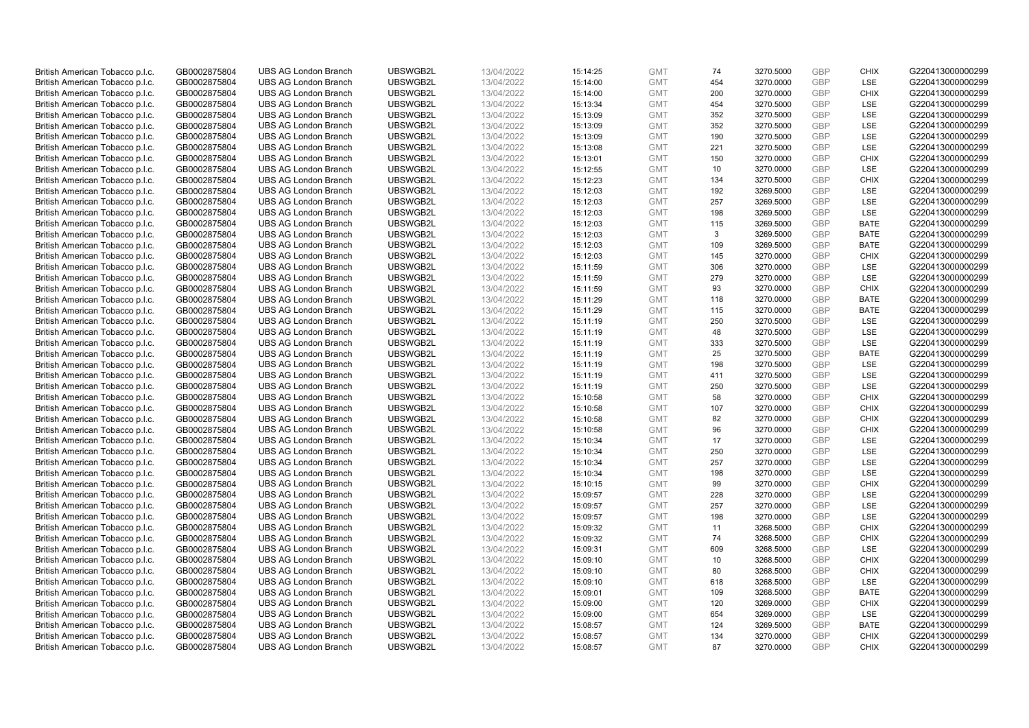| British American Tobacco p.l.c. | GB0002875804                 | <b>UBS AG London Branch</b> | UBSWGB2L | 13/04/2022               | 15:14:25 | <b>GMT</b> | 74  | 3270.5000 | <b>GBP</b> | <b>CHIX</b> | G220413000000299 |
|---------------------------------|------------------------------|-----------------------------|----------|--------------------------|----------|------------|-----|-----------|------------|-------------|------------------|
| British American Tobacco p.l.c. | GB0002875804                 | <b>UBS AG London Branch</b> | UBSWGB2L | 13/04/2022               | 15:14:00 | <b>GMT</b> | 454 | 3270.0000 | <b>GBP</b> | LSE         | G220413000000299 |
|                                 |                              | <b>UBS AG London Branch</b> | UBSWGB2L |                          |          | <b>GMT</b> | 200 | 3270.0000 | <b>GBP</b> | <b>CHIX</b> | G220413000000299 |
| British American Tobacco p.l.c. | GB0002875804                 |                             |          | 13/04/2022               | 15:14:00 |            |     |           |            |             |                  |
| British American Tobacco p.l.c. | GB0002875804                 | <b>UBS AG London Branch</b> | UBSWGB2L | 13/04/2022               | 15:13:34 | <b>GMT</b> | 454 | 3270.5000 | <b>GBP</b> | LSE         | G220413000000299 |
| British American Tobacco p.l.c. | GB0002875804                 | <b>UBS AG London Branch</b> | UBSWGB2L | 13/04/2022               | 15:13:09 | <b>GMT</b> | 352 | 3270.5000 | <b>GBP</b> | LSE         | G220413000000299 |
| British American Tobacco p.l.c. | GB0002875804                 | <b>UBS AG London Branch</b> | UBSWGB2L | 13/04/2022               | 15:13:09 | <b>GMT</b> | 352 | 3270.5000 | <b>GBP</b> | <b>LSE</b>  | G220413000000299 |
| British American Tobacco p.l.c. | GB0002875804                 | <b>UBS AG London Branch</b> | UBSWGB2L | 13/04/2022               | 15:13:09 | <b>GMT</b> | 190 | 3270.5000 | <b>GBP</b> | LSE         | G220413000000299 |
| British American Tobacco p.l.c. | GB0002875804                 | <b>UBS AG London Branch</b> | UBSWGB2L | 13/04/2022               | 15:13:08 | <b>GMT</b> | 221 | 3270.5000 | <b>GBP</b> | LSE         | G220413000000299 |
| British American Tobacco p.l.c. | GB0002875804                 | <b>UBS AG London Branch</b> | UBSWGB2L | 13/04/2022               | 15:13:01 | <b>GMT</b> | 150 | 3270.0000 | <b>GBP</b> | <b>CHIX</b> | G220413000000299 |
| British American Tobacco p.l.c. | GB0002875804                 | <b>UBS AG London Branch</b> | UBSWGB2L | 13/04/2022               | 15:12:55 | <b>GMT</b> | 10  | 3270.0000 | <b>GBP</b> | LSE         | G220413000000299 |
| British American Tobacco p.l.c. | GB0002875804                 | <b>UBS AG London Branch</b> | UBSWGB2L | 13/04/2022               | 15:12:23 | <b>GMT</b> | 134 | 3270.5000 | <b>GBP</b> | <b>CHIX</b> | G220413000000299 |
| British American Tobacco p.l.c. | GB0002875804                 | <b>UBS AG London Branch</b> | UBSWGB2L | 13/04/2022               | 15:12:03 | <b>GMT</b> | 192 | 3269.5000 | <b>GBP</b> | LSE         | G220413000000299 |
| British American Tobacco p.l.c. | GB0002875804                 | <b>UBS AG London Branch</b> | UBSWGB2L | 13/04/2022               | 15:12:03 | <b>GMT</b> | 257 | 3269.5000 | <b>GBP</b> | LSE         | G220413000000299 |
| British American Tobacco p.l.c. | GB0002875804                 | <b>UBS AG London Branch</b> | UBSWGB2L | 13/04/2022               | 15:12:03 | <b>GMT</b> | 198 | 3269.5000 | <b>GBP</b> | LSE         | G220413000000299 |
| British American Tobacco p.l.c. | GB0002875804                 | <b>UBS AG London Branch</b> | UBSWGB2L | 13/04/2022               | 15:12:03 | <b>GMT</b> | 115 | 3269.5000 | <b>GBP</b> | <b>BATE</b> | G220413000000299 |
| British American Tobacco p.l.c. | GB0002875804                 | <b>UBS AG London Branch</b> | UBSWGB2L | 13/04/2022               | 15:12:03 | <b>GMT</b> | 3   | 3269.5000 | <b>GBP</b> | <b>BATE</b> | G220413000000299 |
| British American Tobacco p.l.c. | GB0002875804                 | <b>UBS AG London Branch</b> | UBSWGB2L | 13/04/2022               | 15:12:03 | <b>GMT</b> | 109 | 3269.5000 | <b>GBP</b> | <b>BATE</b> | G220413000000299 |
| British American Tobacco p.l.c. | GB0002875804                 | <b>UBS AG London Branch</b> | UBSWGB2L | 13/04/2022               | 15:12:03 | <b>GMT</b> | 145 | 3270.0000 | <b>GBP</b> | <b>CHIX</b> | G220413000000299 |
|                                 |                              | <b>UBS AG London Branch</b> | UBSWGB2L |                          | 15:11:59 | <b>GMT</b> | 306 | 3270.0000 | <b>GBP</b> | <b>LSE</b>  | G220413000000299 |
| British American Tobacco p.l.c. | GB0002875804<br>GB0002875804 | <b>UBS AG London Branch</b> | UBSWGB2L | 13/04/2022<br>13/04/2022 |          | <b>GMT</b> | 279 |           | <b>GBP</b> | LSE         | G220413000000299 |
| British American Tobacco p.l.c. |                              |                             |          |                          | 15:11:59 |            |     | 3270.0000 |            |             |                  |
| British American Tobacco p.l.c. | GB0002875804                 | <b>UBS AG London Branch</b> | UBSWGB2L | 13/04/2022               | 15:11:59 | <b>GMT</b> | 93  | 3270.0000 | <b>GBP</b> | <b>CHIX</b> | G220413000000299 |
| British American Tobacco p.l.c. | GB0002875804                 | <b>UBS AG London Branch</b> | UBSWGB2L | 13/04/2022               | 15:11:29 | <b>GMT</b> | 118 | 3270.0000 | <b>GBP</b> | <b>BATE</b> | G220413000000299 |
| British American Tobacco p.l.c. | GB0002875804                 | <b>UBS AG London Branch</b> | UBSWGB2L | 13/04/2022               | 15:11:29 | <b>GMT</b> | 115 | 3270.0000 | <b>GBP</b> | <b>BATE</b> | G220413000000299 |
| British American Tobacco p.l.c. | GB0002875804                 | <b>UBS AG London Branch</b> | UBSWGB2L | 13/04/2022               | 15:11:19 | <b>GMT</b> | 250 | 3270.5000 | <b>GBP</b> | <b>LSE</b>  | G220413000000299 |
| British American Tobacco p.l.c. | GB0002875804                 | <b>UBS AG London Branch</b> | UBSWGB2L | 13/04/2022               | 15:11:19 | <b>GMT</b> | 48  | 3270.5000 | <b>GBP</b> | LSE         | G220413000000299 |
| British American Tobacco p.l.c. | GB0002875804                 | <b>UBS AG London Branch</b> | UBSWGB2L | 13/04/2022               | 15:11:19 | <b>GMT</b> | 333 | 3270.5000 | <b>GBP</b> | LSE         | G220413000000299 |
| British American Tobacco p.l.c. | GB0002875804                 | <b>UBS AG London Branch</b> | UBSWGB2L | 13/04/2022               | 15:11:19 | <b>GMT</b> | 25  | 3270.5000 | <b>GBP</b> | <b>BATE</b> | G220413000000299 |
| British American Tobacco p.l.c. | GB0002875804                 | <b>UBS AG London Branch</b> | UBSWGB2L | 13/04/2022               | 15:11:19 | <b>GMT</b> | 198 | 3270.5000 | <b>GBP</b> | LSE         | G220413000000299 |
| British American Tobacco p.l.c. | GB0002875804                 | <b>UBS AG London Branch</b> | UBSWGB2L | 13/04/2022               | 15:11:19 | <b>GMT</b> | 411 | 3270.5000 | <b>GBP</b> | LSE         | G220413000000299 |
| British American Tobacco p.l.c. | GB0002875804                 | <b>UBS AG London Branch</b> | UBSWGB2L | 13/04/2022               | 15:11:19 | <b>GMT</b> | 250 | 3270.5000 | <b>GBP</b> | LSE         | G220413000000299 |
| British American Tobacco p.l.c. | GB0002875804                 | <b>UBS AG London Branch</b> | UBSWGB2L | 13/04/2022               | 15:10:58 | <b>GMT</b> | 58  | 3270.0000 | <b>GBP</b> | <b>CHIX</b> | G220413000000299 |
| British American Tobacco p.l.c. | GB0002875804                 | <b>UBS AG London Branch</b> | UBSWGB2L | 13/04/2022               | 15:10:58 | <b>GMT</b> | 107 | 3270.0000 | <b>GBP</b> | <b>CHIX</b> | G220413000000299 |
| British American Tobacco p.l.c. | GB0002875804                 | <b>UBS AG London Branch</b> | UBSWGB2L | 13/04/2022               | 15:10:58 | <b>GMT</b> | 82  | 3270.0000 | <b>GBP</b> | <b>CHIX</b> | G220413000000299 |
| British American Tobacco p.l.c. | GB0002875804                 | <b>UBS AG London Branch</b> | UBSWGB2L | 13/04/2022               | 15:10:58 | <b>GMT</b> | 96  | 3270.0000 | <b>GBP</b> | <b>CHIX</b> | G220413000000299 |
| British American Tobacco p.l.c. | GB0002875804                 | <b>UBS AG London Branch</b> | UBSWGB2L | 13/04/2022               | 15:10:34 | <b>GMT</b> | 17  | 3270.0000 | <b>GBP</b> | LSE         | G220413000000299 |
| British American Tobacco p.l.c. | GB0002875804                 | <b>UBS AG London Branch</b> | UBSWGB2L | 13/04/2022               | 15:10:34 | <b>GMT</b> | 250 | 3270.0000 | <b>GBP</b> | LSE         | G220413000000299 |
| British American Tobacco p.l.c. | GB0002875804                 | <b>UBS AG London Branch</b> | UBSWGB2L | 13/04/2022               | 15:10:34 | <b>GMT</b> | 257 | 3270.0000 | <b>GBP</b> | <b>LSE</b>  | G220413000000299 |
| British American Tobacco p.l.c. | GB0002875804                 | <b>UBS AG London Branch</b> | UBSWGB2L | 13/04/2022               | 15:10:34 | <b>GMT</b> | 198 | 3270.0000 | <b>GBP</b> | LSE         | G220413000000299 |
| British American Tobacco p.l.c. | GB0002875804                 | <b>UBS AG London Branch</b> | UBSWGB2L | 13/04/2022               | 15:10:15 | <b>GMT</b> | 99  | 3270.0000 | <b>GBP</b> | <b>CHIX</b> | G220413000000299 |
| British American Tobacco p.l.c. | GB0002875804                 | <b>UBS AG London Branch</b> | UBSWGB2L | 13/04/2022               | 15:09:57 | <b>GMT</b> | 228 | 3270.0000 | <b>GBP</b> | <b>LSE</b>  | G220413000000299 |
| British American Tobacco p.l.c. | GB0002875804                 | <b>UBS AG London Branch</b> | UBSWGB2L | 13/04/2022               | 15:09:57 | <b>GMT</b> | 257 | 3270.0000 | <b>GBP</b> | LSE         | G220413000000299 |
| British American Tobacco p.l.c. | GB0002875804                 | <b>UBS AG London Branch</b> | UBSWGB2L | 13/04/2022               | 15:09:57 | <b>GMT</b> | 198 | 3270.0000 | <b>GBP</b> | LSE         | G220413000000299 |
| British American Tobacco p.l.c. | GB0002875804                 | <b>UBS AG London Branch</b> | UBSWGB2L | 13/04/2022               | 15:09:32 | <b>GMT</b> | 11  | 3268.5000 | <b>GBP</b> | <b>CHIX</b> | G220413000000299 |
| British American Tobacco p.l.c. | GB0002875804                 | <b>UBS AG London Branch</b> | UBSWGB2L | 13/04/2022               |          | <b>GMT</b> | 74  | 3268.5000 | <b>GBP</b> | <b>CHIX</b> |                  |
|                                 |                              |                             | UBSWGB2L |                          | 15:09:32 |            | 609 |           | <b>GBP</b> |             | G220413000000299 |
| British American Tobacco p.l.c. | GB0002875804                 | UBS AG London Branch        |          | 13/04/2022               | 15:09:31 | <b>GMT</b> |     | 3268.5000 |            | <b>LSE</b>  | G220413000000299 |
| British American Tobacco p.l.c. | GB0002875804                 | <b>UBS AG London Branch</b> | UBSWGB2L | 13/04/2022               | 15:09:10 | <b>GMT</b> | 10  | 3268.5000 | <b>GBP</b> | <b>CHIX</b> | G220413000000299 |
| British American Tobacco p.l.c. | GB0002875804                 | <b>UBS AG London Branch</b> | UBSWGB2L | 13/04/2022               | 15:09:10 | <b>GMT</b> | 80  | 3268.5000 | <b>GBP</b> | <b>CHIX</b> | G220413000000299 |
| British American Tobacco p.l.c. | GB0002875804                 | <b>UBS AG London Branch</b> | UBSWGB2L | 13/04/2022               | 15:09:10 | <b>GMT</b> | 618 | 3268.5000 | <b>GBP</b> | LSE         | G220413000000299 |
| British American Tobacco p.l.c. | GB0002875804                 | <b>UBS AG London Branch</b> | UBSWGB2L | 13/04/2022               | 15:09:01 | <b>GMT</b> | 109 | 3268.5000 | <b>GBP</b> | <b>BATE</b> | G220413000000299 |
| British American Tobacco p.l.c. | GB0002875804                 | <b>UBS AG London Branch</b> | UBSWGB2L | 13/04/2022               | 15:09:00 | <b>GMT</b> | 120 | 3269.0000 | <b>GBP</b> | <b>CHIX</b> | G220413000000299 |
| British American Tobacco p.l.c. | GB0002875804                 | <b>UBS AG London Branch</b> | UBSWGB2L | 13/04/2022               | 15:09:00 | <b>GMT</b> | 654 | 3269.0000 | <b>GBP</b> | LSE         | G220413000000299 |
| British American Tobacco p.l.c. | GB0002875804                 | <b>UBS AG London Branch</b> | UBSWGB2L | 13/04/2022               | 15:08:57 | <b>GMT</b> | 124 | 3269.5000 | <b>GBP</b> | <b>BATE</b> | G220413000000299 |
| British American Tobacco p.l.c. | GB0002875804                 | <b>UBS AG London Branch</b> | UBSWGB2L | 13/04/2022               | 15:08:57 | <b>GMT</b> | 134 | 3270.0000 | <b>GBP</b> | <b>CHIX</b> | G220413000000299 |
| British American Tobacco p.l.c. | GB0002875804                 | <b>UBS AG London Branch</b> | UBSWGB2L | 13/04/2022               | 15:08:57 | <b>GMT</b> | 87  | 3270.0000 | <b>GBP</b> | <b>CHIX</b> | G220413000000299 |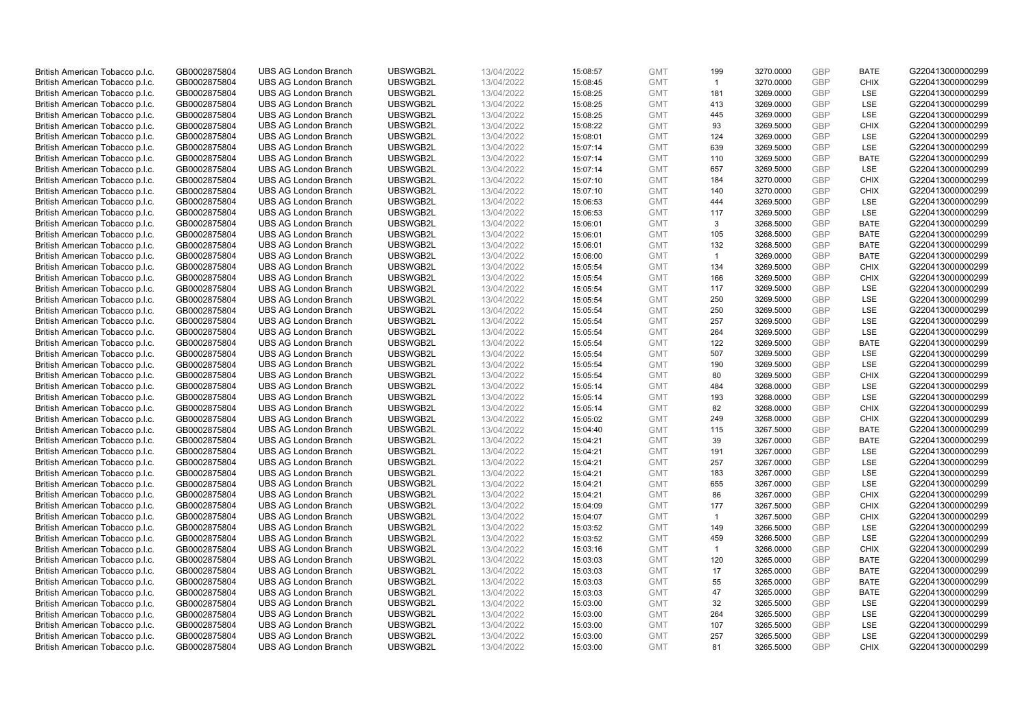| British American Tobacco p.l.c. | GB0002875804                 | <b>UBS AG London Branch</b> | UBSWGB2L | 13/04/2022               | 15:08:57 | <b>GMT</b> | 199            | 3270.0000 | <b>GBP</b> | <b>BATE</b> | G220413000000299 |
|---------------------------------|------------------------------|-----------------------------|----------|--------------------------|----------|------------|----------------|-----------|------------|-------------|------------------|
| British American Tobacco p.l.c. | GB0002875804                 | <b>UBS AG London Branch</b> | UBSWGB2L | 13/04/2022               | 15:08:45 | <b>GMT</b> | $\overline{1}$ | 3270.0000 | <b>GBP</b> | <b>CHIX</b> | G220413000000299 |
|                                 |                              | <b>UBS AG London Branch</b> | UBSWGB2L |                          |          | <b>GMT</b> | 181            | 3269.0000 | <b>GBP</b> | LSE         | G220413000000299 |
| British American Tobacco p.l.c. | GB0002875804                 |                             |          | 13/04/2022               | 15:08:25 |            |                |           |            |             |                  |
| British American Tobacco p.l.c. | GB0002875804                 | <b>UBS AG London Branch</b> | UBSWGB2L | 13/04/2022               | 15:08:25 | <b>GMT</b> | 413            | 3269.0000 | <b>GBP</b> | LSE         | G220413000000299 |
| British American Tobacco p.l.c. | GB0002875804                 | <b>UBS AG London Branch</b> | UBSWGB2L | 13/04/2022               | 15:08:25 | <b>GMT</b> | 445            | 3269.0000 | <b>GBP</b> | LSE         | G220413000000299 |
| British American Tobacco p.l.c. | GB0002875804                 | <b>UBS AG London Branch</b> | UBSWGB2L | 13/04/2022               | 15:08:22 | <b>GMT</b> | 93             | 3269.5000 | <b>GBP</b> | <b>CHIX</b> | G220413000000299 |
| British American Tobacco p.l.c. | GB0002875804                 | <b>UBS AG London Branch</b> | UBSWGB2L | 13/04/2022               | 15:08:01 | <b>GMT</b> | 124            | 3269.0000 | <b>GBP</b> | LSE         | G220413000000299 |
| British American Tobacco p.l.c. | GB0002875804                 | <b>UBS AG London Branch</b> | UBSWGB2L | 13/04/2022               | 15:07:14 | <b>GMT</b> | 639            | 3269.5000 | <b>GBP</b> | LSE         | G220413000000299 |
| British American Tobacco p.l.c. | GB0002875804                 | <b>UBS AG London Branch</b> | UBSWGB2L | 13/04/2022               | 15:07:14 | <b>GMT</b> | 110            | 3269.5000 | <b>GBP</b> | <b>BATE</b> | G220413000000299 |
| British American Tobacco p.l.c. | GB0002875804                 | <b>UBS AG London Branch</b> | UBSWGB2L | 13/04/2022               | 15:07:14 | <b>GMT</b> | 657            | 3269.5000 | <b>GBP</b> | LSE         | G220413000000299 |
| British American Tobacco p.l.c. | GB0002875804                 | <b>UBS AG London Branch</b> | UBSWGB2L | 13/04/2022               | 15:07:10 | <b>GMT</b> | 184            | 3270.0000 | <b>GBP</b> | <b>CHIX</b> | G220413000000299 |
| British American Tobacco p.l.c. | GB0002875804                 | <b>UBS AG London Branch</b> | UBSWGB2L | 13/04/2022               | 15:07:10 | <b>GMT</b> | 140            | 3270.0000 | <b>GBP</b> | <b>CHIX</b> | G220413000000299 |
| British American Tobacco p.l.c. | GB0002875804                 | <b>UBS AG London Branch</b> | UBSWGB2L | 13/04/2022               | 15:06:53 | <b>GMT</b> | 444            | 3269.5000 | <b>GBP</b> | LSE         | G220413000000299 |
| British American Tobacco p.l.c. | GB0002875804                 | <b>UBS AG London Branch</b> | UBSWGB2L | 13/04/2022               | 15:06:53 | <b>GMT</b> | 117            | 3269.5000 | <b>GBP</b> | LSE         | G220413000000299 |
| British American Tobacco p.l.c. | GB0002875804                 | <b>UBS AG London Branch</b> | UBSWGB2L | 13/04/2022               | 15:06:01 | <b>GMT</b> | 3              | 3268.5000 | <b>GBP</b> | <b>BATE</b> | G220413000000299 |
| British American Tobacco p.l.c. | GB0002875804                 | <b>UBS AG London Branch</b> | UBSWGB2L | 13/04/2022               | 15:06:01 | <b>GMT</b> | 105            | 3268.5000 | <b>GBP</b> | <b>BATE</b> | G220413000000299 |
| British American Tobacco p.l.c. | GB0002875804                 | <b>UBS AG London Branch</b> | UBSWGB2L | 13/04/2022               | 15:06:01 | <b>GMT</b> | 132            | 3268.5000 | <b>GBP</b> | <b>BATE</b> | G220413000000299 |
| British American Tobacco p.l.c. | GB0002875804                 | <b>UBS AG London Branch</b> | UBSWGB2L | 13/04/2022               | 15:06:00 | <b>GMT</b> | $\mathbf{1}$   | 3269.0000 | <b>GBP</b> | <b>BATE</b> | G220413000000299 |
|                                 |                              | <b>UBS AG London Branch</b> | UBSWGB2L |                          | 15:05:54 | <b>GMT</b> | 134            | 3269.5000 | <b>GBP</b> | <b>CHIX</b> | G220413000000299 |
| British American Tobacco p.l.c. | GB0002875804<br>GB0002875804 | <b>UBS AG London Branch</b> | UBSWGB2L | 13/04/2022<br>13/04/2022 |          | <b>GMT</b> |                |           | <b>GBP</b> | <b>CHIX</b> | G220413000000299 |
| British American Tobacco p.l.c. |                              |                             |          |                          | 15:05:54 |            | 166            | 3269.5000 |            |             |                  |
| British American Tobacco p.l.c. | GB0002875804                 | <b>UBS AG London Branch</b> | UBSWGB2L | 13/04/2022               | 15:05:54 | <b>GMT</b> | 117            | 3269.5000 | <b>GBP</b> | LSE         | G220413000000299 |
| British American Tobacco p.l.c. | GB0002875804                 | <b>UBS AG London Branch</b> | UBSWGB2L | 13/04/2022               | 15:05:54 | <b>GMT</b> | 250            | 3269.5000 | <b>GBP</b> | LSE         | G220413000000299 |
| British American Tobacco p.l.c. | GB0002875804                 | <b>UBS AG London Branch</b> | UBSWGB2L | 13/04/2022               | 15:05:54 | <b>GMT</b> | 250            | 3269.5000 | <b>GBP</b> | LSE         | G220413000000299 |
| British American Tobacco p.l.c. | GB0002875804                 | <b>UBS AG London Branch</b> | UBSWGB2L | 13/04/2022               | 15:05:54 | <b>GMT</b> | 257            | 3269.5000 | <b>GBP</b> | <b>LSE</b>  | G220413000000299 |
| British American Tobacco p.l.c. | GB0002875804                 | <b>UBS AG London Branch</b> | UBSWGB2L | 13/04/2022               | 15:05:54 | <b>GMT</b> | 264            | 3269.5000 | <b>GBP</b> | LSE         | G220413000000299 |
| British American Tobacco p.l.c. | GB0002875804                 | <b>UBS AG London Branch</b> | UBSWGB2L | 13/04/2022               | 15:05:54 | <b>GMT</b> | 122            | 3269.5000 | <b>GBP</b> | <b>BATE</b> | G220413000000299 |
| British American Tobacco p.l.c. | GB0002875804                 | <b>UBS AG London Branch</b> | UBSWGB2L | 13/04/2022               | 15:05:54 | <b>GMT</b> | 507            | 3269.5000 | <b>GBP</b> | <b>LSE</b>  | G220413000000299 |
| British American Tobacco p.l.c. | GB0002875804                 | <b>UBS AG London Branch</b> | UBSWGB2L | 13/04/2022               | 15:05:54 | <b>GMT</b> | 190            | 3269.5000 | <b>GBP</b> | LSE         | G220413000000299 |
| British American Tobacco p.l.c. | GB0002875804                 | <b>UBS AG London Branch</b> | UBSWGB2L | 13/04/2022               | 15:05:54 | <b>GMT</b> | 80             | 3269.5000 | <b>GBP</b> | <b>CHIX</b> | G220413000000299 |
| British American Tobacco p.l.c. | GB0002875804                 | <b>UBS AG London Branch</b> | UBSWGB2L | 13/04/2022               | 15:05:14 | <b>GMT</b> | 484            | 3268.0000 | <b>GBP</b> | <b>LSE</b>  | G220413000000299 |
| British American Tobacco p.l.c. | GB0002875804                 | <b>UBS AG London Branch</b> | UBSWGB2L | 13/04/2022               | 15:05:14 | <b>GMT</b> | 193            | 3268.0000 | <b>GBP</b> | LSE         | G220413000000299 |
| British American Tobacco p.l.c. | GB0002875804                 | <b>UBS AG London Branch</b> | UBSWGB2L | 13/04/2022               | 15:05:14 | <b>GMT</b> | 82             | 3268.0000 | <b>GBP</b> | <b>CHIX</b> | G220413000000299 |
| British American Tobacco p.l.c. | GB0002875804                 | <b>UBS AG London Branch</b> | UBSWGB2L | 13/04/2022               | 15:05:02 | <b>GMT</b> | 249            | 3268.0000 | <b>GBP</b> | <b>CHIX</b> | G220413000000299 |
| British American Tobacco p.l.c. | GB0002875804                 | <b>UBS AG London Branch</b> | UBSWGB2L | 13/04/2022               | 15:04:40 | <b>GMT</b> | 115            | 3267.5000 | <b>GBP</b> | <b>BATE</b> | G220413000000299 |
| British American Tobacco p.l.c. | GB0002875804                 | <b>UBS AG London Branch</b> | UBSWGB2L | 13/04/2022               | 15:04:21 | <b>GMT</b> | 39             | 3267.0000 | <b>GBP</b> | <b>BATE</b> | G220413000000299 |
| British American Tobacco p.l.c. | GB0002875804                 | <b>UBS AG London Branch</b> | UBSWGB2L | 13/04/2022               | 15:04:21 | <b>GMT</b> | 191            | 3267.0000 | <b>GBP</b> | LSE         | G220413000000299 |
| British American Tobacco p.l.c. | GB0002875804                 | <b>UBS AG London Branch</b> | UBSWGB2L | 13/04/2022               | 15:04:21 | <b>GMT</b> | 257            | 3267.0000 | <b>GBP</b> | LSE         | G220413000000299 |
| British American Tobacco p.l.c. | GB0002875804                 | <b>UBS AG London Branch</b> | UBSWGB2L | 13/04/2022               | 15:04:21 | <b>GMT</b> | 183            | 3267.0000 | <b>GBP</b> | LSE         | G220413000000299 |
| British American Tobacco p.l.c. | GB0002875804                 | <b>UBS AG London Branch</b> | UBSWGB2L | 13/04/2022               | 15:04:21 | <b>GMT</b> | 655            | 3267.0000 | <b>GBP</b> | LSE         | G220413000000299 |
| British American Tobacco p.l.c. | GB0002875804                 | <b>UBS AG London Branch</b> | UBSWGB2L | 13/04/2022               | 15:04:21 | <b>GMT</b> | 86             | 3267.0000 | <b>GBP</b> | <b>CHIX</b> | G220413000000299 |
| British American Tobacco p.l.c. | GB0002875804                 | <b>UBS AG London Branch</b> | UBSWGB2L | 13/04/2022               | 15:04:09 | <b>GMT</b> | 177            | 3267.5000 | <b>GBP</b> | <b>CHIX</b> | G220413000000299 |
|                                 |                              |                             | UBSWGB2L |                          |          |            | $\overline{1}$ |           | <b>GBP</b> | <b>CHIX</b> |                  |
| British American Tobacco p.l.c. | GB0002875804                 | <b>UBS AG London Branch</b> |          | 13/04/2022               | 15:04:07 | <b>GMT</b> |                | 3267.5000 | <b>GBP</b> |             | G220413000000299 |
| British American Tobacco p.l.c. | GB0002875804                 | <b>UBS AG London Branch</b> | UBSWGB2L | 13/04/2022               | 15:03:52 | <b>GMT</b> | 149            | 3266.5000 |            | LSE         | G220413000000299 |
| British American Tobacco p.l.c. | GB0002875804                 | <b>UBS AG London Branch</b> | UBSWGB2L | 13/04/2022               | 15:03:52 | <b>GMT</b> | 459            | 3266.5000 | <b>GBP</b> | LSE         | G220413000000299 |
| British American Tobacco p.l.c. | GB0002875804                 | UBS AG London Branch        | UBSWGB2L | 13/04/2022               | 15:03:16 | <b>GMT</b> | $\overline{1}$ | 3266.0000 | <b>GBP</b> | <b>CHIX</b> | G220413000000299 |
| British American Tobacco p.l.c. | GB0002875804                 | <b>UBS AG London Branch</b> | UBSWGB2L | 13/04/2022               | 15:03:03 | <b>GMT</b> | 120            | 3265.0000 | <b>GBP</b> | <b>BATE</b> | G220413000000299 |
| British American Tobacco p.l.c. | GB0002875804                 | <b>UBS AG London Branch</b> | UBSWGB2L | 13/04/2022               | 15:03:03 | <b>GMT</b> | 17             | 3265.0000 | <b>GBP</b> | <b>BATE</b> | G220413000000299 |
| British American Tobacco p.l.c. | GB0002875804                 | <b>UBS AG London Branch</b> | UBSWGB2L | 13/04/2022               | 15:03:03 | <b>GMT</b> | 55             | 3265.0000 | <b>GBP</b> | <b>BATE</b> | G220413000000299 |
| British American Tobacco p.l.c. | GB0002875804                 | <b>UBS AG London Branch</b> | UBSWGB2L | 13/04/2022               | 15:03:03 | <b>GMT</b> | 47             | 3265.0000 | <b>GBP</b> | <b>BATE</b> | G220413000000299 |
| British American Tobacco p.l.c. | GB0002875804                 | <b>UBS AG London Branch</b> | UBSWGB2L | 13/04/2022               | 15:03:00 | <b>GMT</b> | 32             | 3265.5000 | <b>GBP</b> | <b>LSE</b>  | G220413000000299 |
| British American Tobacco p.l.c. | GB0002875804                 | <b>UBS AG London Branch</b> | UBSWGB2L | 13/04/2022               | 15:03:00 | <b>GMT</b> | 264            | 3265.5000 | <b>GBP</b> | LSE         | G220413000000299 |
| British American Tobacco p.l.c. | GB0002875804                 | <b>UBS AG London Branch</b> | UBSWGB2L | 13/04/2022               | 15:03:00 | <b>GMT</b> | 107            | 3265.5000 | <b>GBP</b> | LSE         | G220413000000299 |
| British American Tobacco p.l.c. | GB0002875804                 | <b>UBS AG London Branch</b> | UBSWGB2L | 13/04/2022               | 15:03:00 | <b>GMT</b> | 257            | 3265.5000 | <b>GBP</b> | LSE         | G220413000000299 |
| British American Tobacco p.l.c. | GB0002875804                 | <b>UBS AG London Branch</b> | UBSWGB2L | 13/04/2022               | 15:03:00 | <b>GMT</b> | 81             | 3265.5000 | GBP        | <b>CHIX</b> | G220413000000299 |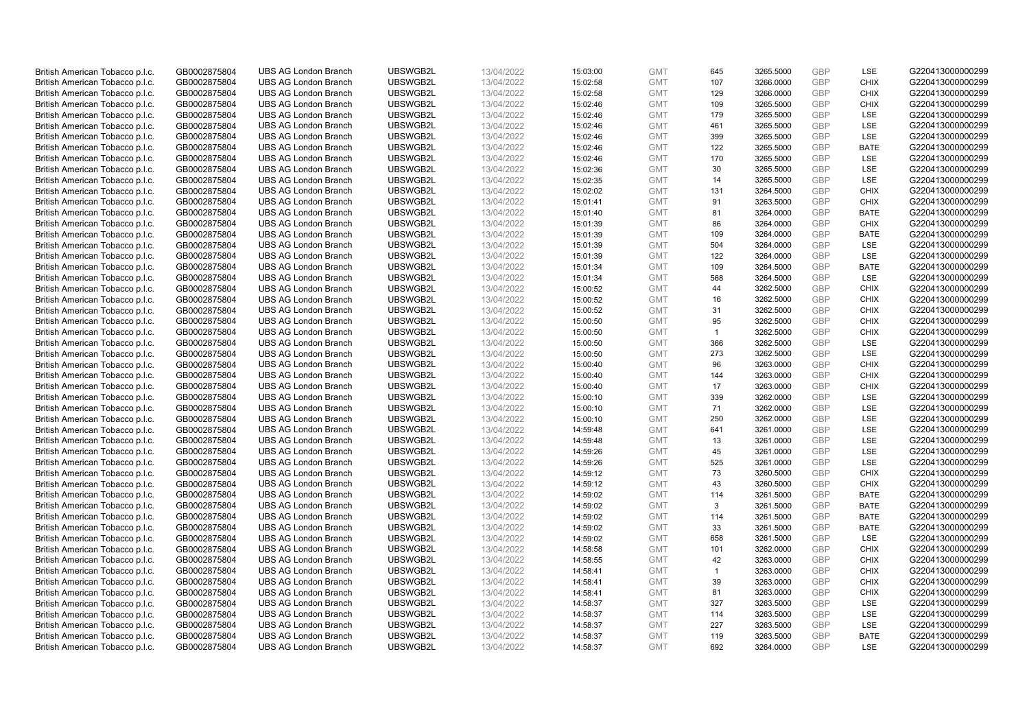| British American Tobacco p.l.c. | GB0002875804                 | <b>UBS AG London Branch</b> | UBSWGB2L | 13/04/2022               | 15:03:00 | <b>GMT</b> | 645            | 3265.5000 | <b>GBP</b> | LSE         | G220413000000299 |
|---------------------------------|------------------------------|-----------------------------|----------|--------------------------|----------|------------|----------------|-----------|------------|-------------|------------------|
| British American Tobacco p.l.c. | GB0002875804                 | <b>UBS AG London Branch</b> | UBSWGB2L | 13/04/2022               | 15:02:58 | <b>GMT</b> | 107            | 3266.0000 | <b>GBP</b> | <b>CHIX</b> | G220413000000299 |
|                                 |                              | <b>UBS AG London Branch</b> | UBSWGB2L |                          |          | <b>GMT</b> | 129            | 3266.0000 | <b>GBP</b> | <b>CHIX</b> | G220413000000299 |
| British American Tobacco p.l.c. | GB0002875804                 |                             |          | 13/04/2022               | 15:02:58 |            |                |           |            |             |                  |
| British American Tobacco p.l.c. | GB0002875804                 | <b>UBS AG London Branch</b> | UBSWGB2L | 13/04/2022               | 15:02:46 | <b>GMT</b> | 109            | 3265.5000 | <b>GBP</b> | <b>CHIX</b> | G220413000000299 |
| British American Tobacco p.l.c. | GB0002875804                 | <b>UBS AG London Branch</b> | UBSWGB2L | 13/04/2022               | 15:02:46 | <b>GMT</b> | 179            | 3265.5000 | <b>GBP</b> | LSE         | G220413000000299 |
| British American Tobacco p.l.c. | GB0002875804                 | <b>UBS AG London Branch</b> | UBSWGB2L | 13/04/2022               | 15:02:46 | <b>GMT</b> | 461            | 3265.5000 | <b>GBP</b> | <b>LSE</b>  | G220413000000299 |
| British American Tobacco p.l.c. | GB0002875804                 | <b>UBS AG London Branch</b> | UBSWGB2L | 13/04/2022               | 15:02:46 | <b>GMT</b> | 399            | 3265.5000 | <b>GBP</b> | LSE         | G220413000000299 |
| British American Tobacco p.l.c. | GB0002875804                 | <b>UBS AG London Branch</b> | UBSWGB2L | 13/04/2022               | 15:02:46 | <b>GMT</b> | 122            | 3265.5000 | <b>GBP</b> | <b>BATE</b> | G220413000000299 |
| British American Tobacco p.l.c. | GB0002875804                 | <b>UBS AG London Branch</b> | UBSWGB2L | 13/04/2022               | 15:02:46 | <b>GMT</b> | 170            | 3265.5000 | <b>GBP</b> | LSE         | G220413000000299 |
| British American Tobacco p.l.c. | GB0002875804                 | <b>UBS AG London Branch</b> | UBSWGB2L | 13/04/2022               | 15:02:36 | <b>GMT</b> | 30             | 3265.5000 | <b>GBP</b> | LSE         | G220413000000299 |
| British American Tobacco p.l.c. | GB0002875804                 | <b>UBS AG London Branch</b> | UBSWGB2L | 13/04/2022               | 15:02:35 | <b>GMT</b> | 14             | 3265.5000 | <b>GBP</b> | <b>LSE</b>  | G220413000000299 |
| British American Tobacco p.l.c. | GB0002875804                 | <b>UBS AG London Branch</b> | UBSWGB2L | 13/04/2022               | 15:02:02 | <b>GMT</b> | 131            | 3264.5000 | <b>GBP</b> | <b>CHIX</b> | G220413000000299 |
| British American Tobacco p.l.c. | GB0002875804                 | <b>UBS AG London Branch</b> | UBSWGB2L | 13/04/2022               | 15:01:41 | <b>GMT</b> | 91             | 3263.5000 | <b>GBP</b> | <b>CHIX</b> | G220413000000299 |
| British American Tobacco p.l.c. | GB0002875804                 | <b>UBS AG London Branch</b> | UBSWGB2L | 13/04/2022               | 15:01:40 | <b>GMT</b> | 81             | 3264.0000 | <b>GBP</b> | <b>BATE</b> | G220413000000299 |
| British American Tobacco p.l.c. | GB0002875804                 | <b>UBS AG London Branch</b> | UBSWGB2L | 13/04/2022               | 15:01:39 | <b>GMT</b> | 86             | 3264.0000 | <b>GBP</b> | <b>CHIX</b> | G220413000000299 |
| British American Tobacco p.l.c. | GB0002875804                 | <b>UBS AG London Branch</b> | UBSWGB2L | 13/04/2022               | 15:01:39 | <b>GMT</b> | 109            | 3264.0000 | <b>GBP</b> | <b>BATE</b> | G220413000000299 |
| British American Tobacco p.l.c. | GB0002875804                 | <b>UBS AG London Branch</b> | UBSWGB2L | 13/04/2022               | 15:01:39 | <b>GMT</b> | 504            | 3264.0000 | <b>GBP</b> | LSE         | G220413000000299 |
| British American Tobacco p.l.c. | GB0002875804                 | <b>UBS AG London Branch</b> | UBSWGB2L | 13/04/2022               | 15:01:39 | <b>GMT</b> | 122            | 3264.0000 | <b>GBP</b> | LSE         | G220413000000299 |
|                                 |                              | <b>UBS AG London Branch</b> | UBSWGB2L |                          | 15:01:34 | <b>GMT</b> | 109            | 3264.5000 | <b>GBP</b> | <b>BATE</b> | G220413000000299 |
| British American Tobacco p.l.c. | GB0002875804<br>GB0002875804 | <b>UBS AG London Branch</b> | UBSWGB2L | 13/04/2022<br>13/04/2022 |          | <b>GMT</b> | 568            |           | <b>GBP</b> | LSE         | G220413000000299 |
| British American Tobacco p.l.c. |                              |                             |          |                          | 15:01:34 |            |                | 3264.5000 |            |             |                  |
| British American Tobacco p.l.c. | GB0002875804                 | <b>UBS AG London Branch</b> | UBSWGB2L | 13/04/2022               | 15:00:52 | <b>GMT</b> | 44             | 3262.5000 | <b>GBP</b> | <b>CHIX</b> | G220413000000299 |
| British American Tobacco p.l.c. | GB0002875804                 | <b>UBS AG London Branch</b> | UBSWGB2L | 13/04/2022               | 15:00:52 | <b>GMT</b> | 16             | 3262.5000 | <b>GBP</b> | <b>CHIX</b> | G220413000000299 |
| British American Tobacco p.l.c. | GB0002875804                 | <b>UBS AG London Branch</b> | UBSWGB2L | 13/04/2022               | 15:00:52 | <b>GMT</b> | 31             | 3262.5000 | <b>GBP</b> | <b>CHIX</b> | G220413000000299 |
| British American Tobacco p.l.c. | GB0002875804                 | <b>UBS AG London Branch</b> | UBSWGB2L | 13/04/2022               | 15:00:50 | <b>GMT</b> | 95             | 3262.5000 | <b>GBP</b> | <b>CHIX</b> | G220413000000299 |
| British American Tobacco p.l.c. | GB0002875804                 | <b>UBS AG London Branch</b> | UBSWGB2L | 13/04/2022               | 15:00:50 | <b>GMT</b> | $\overline{1}$ | 3262.5000 | <b>GBP</b> | <b>CHIX</b> | G220413000000299 |
| British American Tobacco p.l.c. | GB0002875804                 | <b>UBS AG London Branch</b> | UBSWGB2L | 13/04/2022               | 15:00:50 | <b>GMT</b> | 366            | 3262.5000 | <b>GBP</b> | LSE         | G220413000000299 |
| British American Tobacco p.l.c. | GB0002875804                 | <b>UBS AG London Branch</b> | UBSWGB2L | 13/04/2022               | 15:00:50 | <b>GMT</b> | 273            | 3262.5000 | <b>GBP</b> | LSE         | G220413000000299 |
| British American Tobacco p.l.c. | GB0002875804                 | <b>UBS AG London Branch</b> | UBSWGB2L | 13/04/2022               | 15:00:40 | <b>GMT</b> | 96             | 3263.0000 | <b>GBP</b> | <b>CHIX</b> | G220413000000299 |
| British American Tobacco p.l.c. | GB0002875804                 | <b>UBS AG London Branch</b> | UBSWGB2L | 13/04/2022               | 15:00:40 | <b>GMT</b> | 144            | 3263.0000 | <b>GBP</b> | <b>CHIX</b> | G220413000000299 |
| British American Tobacco p.l.c. | GB0002875804                 | <b>UBS AG London Branch</b> | UBSWGB2L | 13/04/2022               | 15:00:40 | <b>GMT</b> | 17             | 3263.0000 | <b>GBP</b> | <b>CHIX</b> | G220413000000299 |
| British American Tobacco p.l.c. | GB0002875804                 | <b>UBS AG London Branch</b> | UBSWGB2L | 13/04/2022               | 15:00:10 | <b>GMT</b> | 339            | 3262.0000 | <b>GBP</b> | <b>LSE</b>  | G220413000000299 |
| British American Tobacco p.l.c. | GB0002875804                 | <b>UBS AG London Branch</b> | UBSWGB2L | 13/04/2022               | 15:00:10 | <b>GMT</b> | 71             | 3262.0000 | <b>GBP</b> | <b>LSE</b>  | G220413000000299 |
| British American Tobacco p.l.c. | GB0002875804                 | <b>UBS AG London Branch</b> | UBSWGB2L | 13/04/2022               | 15:00:10 | <b>GMT</b> | 250            | 3262.0000 | <b>GBP</b> | LSE         | G220413000000299 |
| British American Tobacco p.l.c. | GB0002875804                 | <b>UBS AG London Branch</b> | UBSWGB2L | 13/04/2022               | 14:59:48 | <b>GMT</b> | 641            | 3261.0000 | <b>GBP</b> | LSE         | G220413000000299 |
| British American Tobacco p.l.c. | GB0002875804                 | <b>UBS AG London Branch</b> | UBSWGB2L | 13/04/2022               | 14:59:48 | <b>GMT</b> | 13             | 3261.0000 | <b>GBP</b> | LSE         | G220413000000299 |
| British American Tobacco p.l.c. | GB0002875804                 | <b>UBS AG London Branch</b> | UBSWGB2L | 13/04/2022               | 14:59:26 | <b>GMT</b> | 45             | 3261.0000 | <b>GBP</b> | LSE         | G220413000000299 |
| British American Tobacco p.l.c. | GB0002875804                 | <b>UBS AG London Branch</b> | UBSWGB2L | 13/04/2022               | 14:59:26 | <b>GMT</b> | 525            | 3261.0000 | <b>GBP</b> | LSE         | G220413000000299 |
| British American Tobacco p.l.c. | GB0002875804                 | <b>UBS AG London Branch</b> | UBSWGB2L | 13/04/2022               | 14:59:12 | <b>GMT</b> | 73             | 3260.5000 | <b>GBP</b> | <b>CHIX</b> | G220413000000299 |
| British American Tobacco p.l.c. | GB0002875804                 | <b>UBS AG London Branch</b> | UBSWGB2L | 13/04/2022               | 14:59:12 | <b>GMT</b> | 43             | 3260.5000 | <b>GBP</b> | <b>CHIX</b> | G220413000000299 |
| British American Tobacco p.l.c. | GB0002875804                 | <b>UBS AG London Branch</b> | UBSWGB2L | 13/04/2022               | 14:59:02 | <b>GMT</b> | 114            | 3261.5000 | <b>GBP</b> | <b>BATE</b> | G220413000000299 |
| British American Tobacco p.l.c. | GB0002875804                 | <b>UBS AG London Branch</b> | UBSWGB2L | 13/04/2022               | 14:59:02 | <b>GMT</b> | 3              | 3261.5000 | <b>GBP</b> | <b>BATE</b> | G220413000000299 |
| British American Tobacco p.l.c. | GB0002875804                 | <b>UBS AG London Branch</b> | UBSWGB2L | 13/04/2022               | 14:59:02 | <b>GMT</b> | 114            | 3261.5000 | <b>GBP</b> | <b>BATE</b> | G220413000000299 |
| British American Tobacco p.l.c. | GB0002875804                 | <b>UBS AG London Branch</b> | UBSWGB2L | 13/04/2022               | 14:59:02 | <b>GMT</b> | 33             | 3261.5000 | <b>GBP</b> | <b>BATE</b> | G220413000000299 |
| British American Tobacco p.l.c. | GB0002875804                 | <b>UBS AG London Branch</b> | UBSWGB2L | 13/04/2022               | 14:59:02 | <b>GMT</b> | 658            | 3261.5000 | <b>GBP</b> | LSE         | G220413000000299 |
| British American Tobacco p.l.c. | GB0002875804                 | UBS AG London Branch        | UBSWGB2L | 13/04/2022               | 14:58:58 | <b>GMT</b> | 101            | 3262.0000 | <b>GBP</b> | <b>CHIX</b> | G220413000000299 |
| British American Tobacco p.l.c. | GB0002875804                 | <b>UBS AG London Branch</b> | UBSWGB2L | 13/04/2022               | 14:58:55 | <b>GMT</b> | 42             | 3263.0000 | <b>GBP</b> | <b>CHIX</b> | G220413000000299 |
| British American Tobacco p.l.c. | GB0002875804                 | <b>UBS AG London Branch</b> | UBSWGB2L | 13/04/2022               | 14:58:41 | <b>GMT</b> | $\mathbf{1}$   | 3263.0000 | <b>GBP</b> | <b>CHIX</b> | G220413000000299 |
| British American Tobacco p.l.c. | GB0002875804                 | <b>UBS AG London Branch</b> | UBSWGB2L | 13/04/2022               | 14:58:41 | <b>GMT</b> | 39             | 3263.0000 | <b>GBP</b> | <b>CHIX</b> | G220413000000299 |
|                                 |                              |                             |          |                          |          | <b>GMT</b> |                |           | <b>GBP</b> |             |                  |
| British American Tobacco p.l.c. | GB0002875804                 | <b>UBS AG London Branch</b> | UBSWGB2L | 13/04/2022               | 14:58:41 |            | 81             | 3263.0000 | <b>GBP</b> | <b>CHIX</b> | G220413000000299 |
| British American Tobacco p.l.c. | GB0002875804                 | <b>UBS AG London Branch</b> | UBSWGB2L | 13/04/2022               | 14:58:37 | <b>GMT</b> | 327            | 3263.5000 |            | <b>LSE</b>  | G220413000000299 |
| British American Tobacco p.l.c. | GB0002875804                 | <b>UBS AG London Branch</b> | UBSWGB2L | 13/04/2022               | 14:58:37 | <b>GMT</b> | 114            | 3263.5000 | <b>GBP</b> | LSE         | G220413000000299 |
| British American Tobacco p.l.c. | GB0002875804                 | <b>UBS AG London Branch</b> | UBSWGB2L | 13/04/2022               | 14:58:37 | <b>GMT</b> | 227            | 3263.5000 | <b>GBP</b> | LSE         | G220413000000299 |
| British American Tobacco p.l.c. | GB0002875804                 | <b>UBS AG London Branch</b> | UBSWGB2L | 13/04/2022               | 14:58:37 | <b>GMT</b> | 119            | 3263.5000 | <b>GBP</b> | <b>BATE</b> | G220413000000299 |
| British American Tobacco p.l.c. | GB0002875804                 | <b>UBS AG London Branch</b> | UBSWGB2L | 13/04/2022               | 14:58:37 | <b>GMT</b> | 692            | 3264.0000 | <b>GBP</b> | <b>LSE</b>  | G220413000000299 |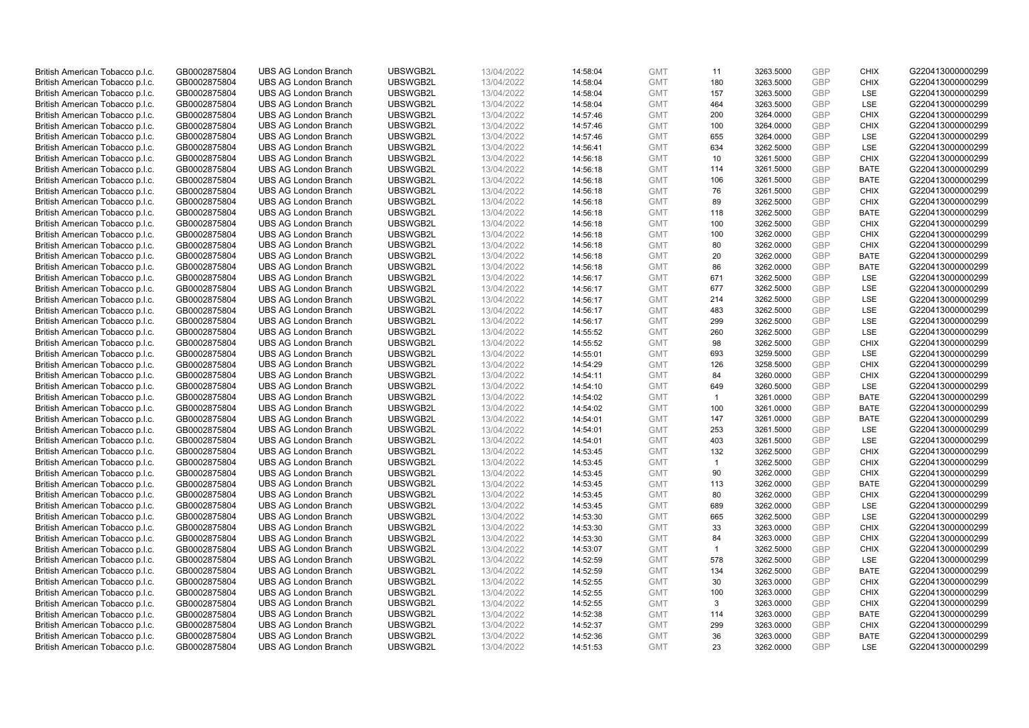| British American Tobacco p.l.c. | GB0002875804 | <b>UBS AG London Branch</b> | UBSWGB2L | 13/04/2022 | 14:58:04 | <b>GMT</b> | 11             | 3263.5000 | <b>GBP</b> | <b>CHIX</b> | G220413000000299                     |
|---------------------------------|--------------|-----------------------------|----------|------------|----------|------------|----------------|-----------|------------|-------------|--------------------------------------|
| British American Tobacco p.l.c. | GB0002875804 | <b>UBS AG London Branch</b> | UBSWGB2L | 13/04/2022 |          | <b>GMT</b> | 180            | 3263.5000 | <b>GBP</b> | <b>CHIX</b> | G220413000000299                     |
|                                 |              |                             |          |            | 14:58:04 |            |                |           |            |             |                                      |
| British American Tobacco p.l.c. | GB0002875804 | <b>UBS AG London Branch</b> | UBSWGB2L | 13/04/2022 | 14:58:04 | <b>GMT</b> | 157            | 3263.5000 | <b>GBP</b> | LSE         | G220413000000299                     |
| British American Tobacco p.l.c. | GB0002875804 | <b>UBS AG London Branch</b> | UBSWGB2L | 13/04/2022 | 14:58:04 | <b>GMT</b> | 464            | 3263.5000 | <b>GBP</b> | LSE         | G220413000000299                     |
| British American Tobacco p.l.c. | GB0002875804 | <b>UBS AG London Branch</b> | UBSWGB2L | 13/04/2022 | 14:57:46 | <b>GMT</b> | 200            | 3264.0000 | <b>GBP</b> | <b>CHIX</b> | G220413000000299                     |
| British American Tobacco p.l.c. | GB0002875804 | <b>UBS AG London Branch</b> | UBSWGB2L | 13/04/2022 | 14:57:46 | <b>GMT</b> | 100            | 3264.0000 | <b>GBP</b> | <b>CHIX</b> | G220413000000299                     |
| British American Tobacco p.l.c. | GB0002875804 | <b>UBS AG London Branch</b> | UBSWGB2L | 13/04/2022 | 14:57:46 | <b>GMT</b> | 655            | 3264.0000 | <b>GBP</b> | LSE         | G220413000000299                     |
| British American Tobacco p.l.c. | GB0002875804 | <b>UBS AG London Branch</b> | UBSWGB2L | 13/04/2022 | 14:56:41 | <b>GMT</b> | 634            | 3262.5000 | <b>GBP</b> | LSE         | G220413000000299                     |
| British American Tobacco p.l.c. | GB0002875804 | <b>UBS AG London Branch</b> | UBSWGB2L | 13/04/2022 | 14:56:18 | <b>GMT</b> | 10             | 3261.5000 | <b>GBP</b> | <b>CHIX</b> | G220413000000299                     |
| British American Tobacco p.l.c. | GB0002875804 | <b>UBS AG London Branch</b> | UBSWGB2L | 13/04/2022 | 14:56:18 | <b>GMT</b> | 114            | 3261.5000 | <b>GBP</b> | <b>BATE</b> | G220413000000299                     |
| British American Tobacco p.l.c. | GB0002875804 | <b>UBS AG London Branch</b> | UBSWGB2L | 13/04/2022 | 14:56:18 | <b>GMT</b> | 106            | 3261.5000 | <b>GBP</b> | <b>BATE</b> | G220413000000299                     |
| British American Tobacco p.l.c. | GB0002875804 | <b>UBS AG London Branch</b> | UBSWGB2L | 13/04/2022 | 14:56:18 | <b>GMT</b> | 76             | 3261.5000 | <b>GBP</b> | <b>CHIX</b> | G220413000000299                     |
| British American Tobacco p.l.c. | GB0002875804 | <b>UBS AG London Branch</b> | UBSWGB2L | 13/04/2022 | 14:56:18 | <b>GMT</b> | 89             | 3262.5000 | <b>GBP</b> | <b>CHIX</b> | G220413000000299                     |
| British American Tobacco p.l.c. | GB0002875804 | <b>UBS AG London Branch</b> | UBSWGB2L | 13/04/2022 | 14:56:18 | <b>GMT</b> | 118            | 3262.5000 | <b>GBP</b> | <b>BATE</b> | G220413000000299                     |
| British American Tobacco p.l.c. | GB0002875804 | <b>UBS AG London Branch</b> | UBSWGB2L | 13/04/2022 | 14:56:18 | <b>GMT</b> | 100            | 3262.5000 | <b>GBP</b> | <b>CHIX</b> | G220413000000299                     |
| British American Tobacco p.l.c. | GB0002875804 | <b>UBS AG London Branch</b> | UBSWGB2L | 13/04/2022 | 14:56:18 | <b>GMT</b> | 100            | 3262.0000 | <b>GBP</b> | <b>CHIX</b> | G220413000000299                     |
| British American Tobacco p.l.c. | GB0002875804 | <b>UBS AG London Branch</b> | UBSWGB2L | 13/04/2022 | 14:56:18 | <b>GMT</b> | 80             | 3262.0000 | <b>GBP</b> | <b>CHIX</b> | G220413000000299                     |
| British American Tobacco p.l.c. | GB0002875804 | <b>UBS AG London Branch</b> | UBSWGB2L | 13/04/2022 | 14:56:18 | <b>GMT</b> | 20             | 3262.0000 | <b>GBP</b> | <b>BATE</b> | G220413000000299                     |
|                                 |              | <b>UBS AG London Branch</b> | UBSWGB2L |            |          |            | 86             |           |            |             |                                      |
| British American Tobacco p.l.c. | GB0002875804 |                             |          | 13/04/2022 | 14:56:18 | <b>GMT</b> |                | 3262.0000 | <b>GBP</b> | <b>BATE</b> | G220413000000299                     |
| British American Tobacco p.l.c. | GB0002875804 | <b>UBS AG London Branch</b> | UBSWGB2L | 13/04/2022 | 14:56:17 | <b>GMT</b> | 671            | 3262.5000 | <b>GBP</b> | LSE         | G220413000000299                     |
| British American Tobacco p.l.c. | GB0002875804 | <b>UBS AG London Branch</b> | UBSWGB2L | 13/04/2022 | 14:56:17 | <b>GMT</b> | 677            | 3262.5000 | <b>GBP</b> | LSE         | G220413000000299                     |
| British American Tobacco p.l.c. | GB0002875804 | <b>UBS AG London Branch</b> | UBSWGB2L | 13/04/2022 | 14:56:17 | <b>GMT</b> | 214            | 3262.5000 | <b>GBP</b> | LSE         | G220413000000299                     |
| British American Tobacco p.l.c. | GB0002875804 | <b>UBS AG London Branch</b> | UBSWGB2L | 13/04/2022 | 14:56:17 | <b>GMT</b> | 483            | 3262.5000 | <b>GBP</b> | LSE         | G220413000000299                     |
| British American Tobacco p.l.c. | GB0002875804 | <b>UBS AG London Branch</b> | UBSWGB2L | 13/04/2022 | 14:56:17 | <b>GMT</b> | 299            | 3262.5000 | <b>GBP</b> | <b>LSE</b>  | G220413000000299                     |
| British American Tobacco p.l.c. | GB0002875804 | <b>UBS AG London Branch</b> | UBSWGB2L | 13/04/2022 | 14:55:52 | <b>GMT</b> | 260            | 3262.5000 | <b>GBP</b> | LSE         | G220413000000299                     |
| British American Tobacco p.l.c. | GB0002875804 | <b>UBS AG London Branch</b> | UBSWGB2L | 13/04/2022 | 14:55:52 | <b>GMT</b> | 98             | 3262.5000 | <b>GBP</b> | <b>CHIX</b> | G220413000000299                     |
| British American Tobacco p.l.c. | GB0002875804 | <b>UBS AG London Branch</b> | UBSWGB2L | 13/04/2022 | 14:55:01 | <b>GMT</b> | 693            | 3259.5000 | <b>GBP</b> | <b>LSE</b>  | G220413000000299                     |
| British American Tobacco p.l.c. | GB0002875804 | <b>UBS AG London Branch</b> | UBSWGB2L | 13/04/2022 | 14:54:29 | <b>GMT</b> | 126            | 3258.5000 | <b>GBP</b> | <b>CHIX</b> | G220413000000299                     |
| British American Tobacco p.l.c. | GB0002875804 | <b>UBS AG London Branch</b> | UBSWGB2L | 13/04/2022 | 14:54:11 | <b>GMT</b> | 84             | 3260.0000 | <b>GBP</b> | <b>CHIX</b> | G220413000000299                     |
| British American Tobacco p.l.c. | GB0002875804 | <b>UBS AG London Branch</b> | UBSWGB2L | 13/04/2022 | 14:54:10 | <b>GMT</b> | 649            | 3260.5000 | <b>GBP</b> | LSE         | G220413000000299                     |
| British American Tobacco p.l.c. | GB0002875804 | <b>UBS AG London Branch</b> | UBSWGB2L | 13/04/2022 | 14:54:02 | <b>GMT</b> | $\overline{1}$ | 3261.0000 | <b>GBP</b> | <b>BATE</b> | G220413000000299                     |
| British American Tobacco p.l.c. | GB0002875804 | <b>UBS AG London Branch</b> | UBSWGB2L | 13/04/2022 | 14:54:02 | <b>GMT</b> | 100            | 3261.0000 | <b>GBP</b> | BATE        | G220413000000299                     |
| British American Tobacco p.l.c. | GB0002875804 | <b>UBS AG London Branch</b> | UBSWGB2L | 13/04/2022 | 14:54:01 | <b>GMT</b> | 147            | 3261.0000 | <b>GBP</b> | <b>BATE</b> | G220413000000299                     |
| British American Tobacco p.l.c. | GB0002875804 | <b>UBS AG London Branch</b> | UBSWGB2L | 13/04/2022 | 14:54:01 | <b>GMT</b> | 253            | 3261.5000 | <b>GBP</b> | LSE         | G220413000000299                     |
| British American Tobacco p.l.c. | GB0002875804 | <b>UBS AG London Branch</b> | UBSWGB2L | 13/04/2022 | 14:54:01 | <b>GMT</b> | 403            | 3261.5000 | <b>GBP</b> | LSE         | G220413000000299                     |
| British American Tobacco p.l.c. | GB0002875804 | <b>UBS AG London Branch</b> | UBSWGB2L | 13/04/2022 | 14:53:45 | <b>GMT</b> | 132            | 3262.5000 | <b>GBP</b> | <b>CHIX</b> | G220413000000299                     |
| British American Tobacco p.l.c. | GB0002875804 | <b>UBS AG London Branch</b> | UBSWGB2L | 13/04/2022 | 14:53:45 | <b>GMT</b> | $\mathbf{1}$   | 3262.5000 | <b>GBP</b> | <b>CHIX</b> | G220413000000299                     |
| British American Tobacco p.l.c. | GB0002875804 | <b>UBS AG London Branch</b> | UBSWGB2L | 13/04/2022 | 14:53:45 | <b>GMT</b> | 90             | 3262.0000 | <b>GBP</b> | <b>CHIX</b> | G220413000000299                     |
| British American Tobacco p.l.c. | GB0002875804 | <b>UBS AG London Branch</b> | UBSWGB2L | 13/04/2022 | 14:53:45 | <b>GMT</b> | 113            | 3262.0000 | <b>GBP</b> | <b>BATE</b> | G220413000000299                     |
| British American Tobacco p.l.c. | GB0002875804 | <b>UBS AG London Branch</b> | UBSWGB2L | 13/04/2022 | 14:53:45 | <b>GMT</b> | 80             | 3262.0000 | <b>GBP</b> | <b>CHIX</b> | G220413000000299                     |
| British American Tobacco p.l.c. | GB0002875804 | <b>UBS AG London Branch</b> | UBSWGB2L | 13/04/2022 | 14:53:45 | <b>GMT</b> | 689            | 3262.0000 | <b>GBP</b> | LSE         | G220413000000299                     |
| British American Tobacco p.l.c. | GB0002875804 | <b>UBS AG London Branch</b> | UBSWGB2L | 13/04/2022 | 14:53:30 | <b>GMT</b> | 665            | 3262.5000 | <b>GBP</b> | LSE         | G220413000000299                     |
| British American Tobacco p.l.c. | GB0002875804 | <b>UBS AG London Branch</b> | UBSWGB2L | 13/04/2022 | 14:53:30 | <b>GMT</b> | 33             | 3263.0000 | <b>GBP</b> | <b>CHIX</b> | G220413000000299                     |
| British American Tobacco p.l.c. | GB0002875804 | <b>UBS AG London Branch</b> | UBSWGB2L | 13/04/2022 | 14:53:30 | <b>GMT</b> | 84             | 3263.0000 | <b>GBP</b> | <b>CHIX</b> | G220413000000299                     |
| British American Tobacco p.l.c. | GB0002875804 | UBS AG London Branch        | UBSWGB2L | 13/04/2022 | 14:53:07 | <b>GMT</b> | $\overline{1}$ | 3262.5000 | <b>GBP</b> | <b>CHIX</b> | G220413000000299                     |
| British American Tobacco p.l.c. | GB0002875804 | <b>UBS AG London Branch</b> | UBSWGB2L | 13/04/2022 | 14:52:59 | <b>GMT</b> | 578            | 3262.5000 | <b>GBP</b> | LSE         | G220413000000299                     |
| British American Tobacco p.l.c. | GB0002875804 | <b>UBS AG London Branch</b> | UBSWGB2L | 13/04/2022 | 14:52:59 | <b>GMT</b> | 134            | 3262.5000 | <b>GBP</b> | <b>BATE</b> | G220413000000299                     |
| British American Tobacco p.l.c. | GB0002875804 | <b>UBS AG London Branch</b> | UBSWGB2L | 13/04/2022 | 14:52:55 | <b>GMT</b> | 30             | 3263.0000 | <b>GBP</b> | <b>CHIX</b> | G220413000000299                     |
| British American Tobacco p.l.c. | GB0002875804 | <b>UBS AG London Branch</b> | UBSWGB2L | 13/04/2022 | 14:52:55 | <b>GMT</b> | 100            | 3263.0000 | <b>GBP</b> | <b>CHIX</b> | G220413000000299                     |
| British American Tobacco p.l.c. | GB0002875804 | <b>UBS AG London Branch</b> | UBSWGB2L | 13/04/2022 | 14:52:55 | <b>GMT</b> | 3              | 3263.0000 | <b>GBP</b> | <b>CHIX</b> | G220413000000299                     |
|                                 |              |                             | UBSWGB2L |            |          |            | 114            | 3263.0000 | <b>GBP</b> | <b>BATE</b> |                                      |
| British American Tobacco p.l.c. | GB0002875804 | <b>UBS AG London Branch</b> | UBSWGB2L | 13/04/2022 | 14:52:38 | <b>GMT</b> | 299            |           | <b>GBP</b> | <b>CHIX</b> | G220413000000299<br>G220413000000299 |
| British American Tobacco p.l.c. | GB0002875804 | <b>UBS AG London Branch</b> |          | 13/04/2022 | 14:52:37 | <b>GMT</b> |                | 3263.0000 |            |             |                                      |
| British American Tobacco p.l.c. | GB0002875804 | <b>UBS AG London Branch</b> | UBSWGB2L | 13/04/2022 | 14:52:36 | <b>GMT</b> | 36             | 3263.0000 | <b>GBP</b> | <b>BATE</b> | G220413000000299                     |
| British American Tobacco p.l.c. | GB0002875804 | <b>UBS AG London Branch</b> | UBSWGB2L | 13/04/2022 | 14:51:53 | <b>GMT</b> | 23             | 3262.0000 | <b>GBP</b> | <b>LSE</b>  | G220413000000299                     |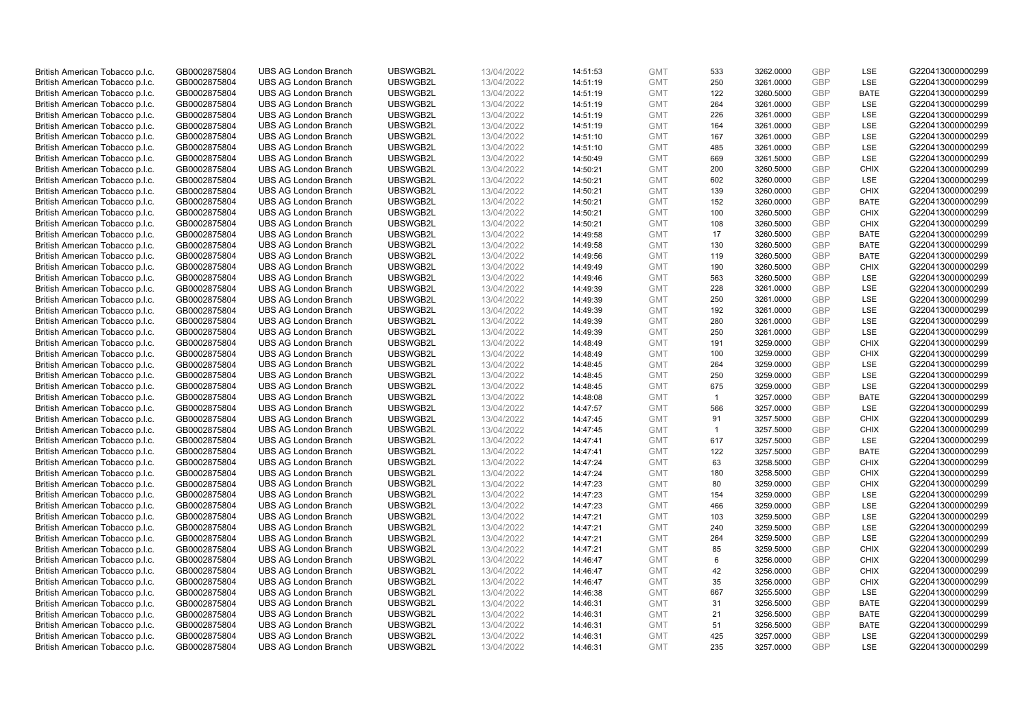| British American Tobacco p.l.c. | GB0002875804                 | <b>UBS AG London Branch</b> | UBSWGB2L | 13/04/2022               | 14:51:53 | <b>GMT</b> | 533            | 3262.0000 | <b>GBP</b> | <b>LSE</b>  | G220413000000299 |
|---------------------------------|------------------------------|-----------------------------|----------|--------------------------|----------|------------|----------------|-----------|------------|-------------|------------------|
| British American Tobacco p.l.c. | GB0002875804                 | <b>UBS AG London Branch</b> | UBSWGB2L | 13/04/2022               | 14:51:19 | <b>GMT</b> | 250            | 3261.0000 | <b>GBP</b> | LSE         | G220413000000299 |
|                                 |                              | <b>UBS AG London Branch</b> | UBSWGB2L |                          |          | <b>GMT</b> | 122            | 3260.5000 | <b>GBP</b> | <b>BATE</b> | G220413000000299 |
| British American Tobacco p.l.c. | GB0002875804                 |                             |          | 13/04/2022               | 14:51:19 |            |                |           |            |             |                  |
| British American Tobacco p.l.c. | GB0002875804                 | <b>UBS AG London Branch</b> | UBSWGB2L | 13/04/2022               | 14:51:19 | <b>GMT</b> | 264            | 3261.0000 | <b>GBP</b> | LSE         | G220413000000299 |
| British American Tobacco p.l.c. | GB0002875804                 | <b>UBS AG London Branch</b> | UBSWGB2L | 13/04/2022               | 14:51:19 | <b>GMT</b> | 226            | 3261.0000 | <b>GBP</b> | LSE         | G220413000000299 |
| British American Tobacco p.l.c. | GB0002875804                 | <b>UBS AG London Branch</b> | UBSWGB2L | 13/04/2022               | 14:51:19 | <b>GMT</b> | 164            | 3261.0000 | <b>GBP</b> | <b>LSE</b>  | G220413000000299 |
| British American Tobacco p.l.c. | GB0002875804                 | <b>UBS AG London Branch</b> | UBSWGB2L | 13/04/2022               | 14:51:10 | <b>GMT</b> | 167            | 3261.0000 | <b>GBP</b> | LSE         | G220413000000299 |
| British American Tobacco p.l.c. | GB0002875804                 | <b>UBS AG London Branch</b> | UBSWGB2L | 13/04/2022               | 14:51:10 | <b>GMT</b> | 485            | 3261.0000 | <b>GBP</b> | LSE         | G220413000000299 |
| British American Tobacco p.l.c. | GB0002875804                 | <b>UBS AG London Branch</b> | UBSWGB2L | 13/04/2022               | 14:50:49 | <b>GMT</b> | 669            | 3261.5000 | <b>GBP</b> | LSE         | G220413000000299 |
| British American Tobacco p.l.c. | GB0002875804                 | <b>UBS AG London Branch</b> | UBSWGB2L | 13/04/2022               | 14:50:21 | <b>GMT</b> | 200            | 3260.5000 | <b>GBP</b> | <b>CHIX</b> | G220413000000299 |
| British American Tobacco p.l.c. | GB0002875804                 | <b>UBS AG London Branch</b> | UBSWGB2L | 13/04/2022               | 14:50:21 | <b>GMT</b> | 602            | 3260.0000 | <b>GBP</b> | <b>LSE</b>  | G220413000000299 |
| British American Tobacco p.l.c. | GB0002875804                 | <b>UBS AG London Branch</b> | UBSWGB2L | 13/04/2022               | 14:50:21 | <b>GMT</b> | 139            | 3260.0000 | <b>GBP</b> | <b>CHIX</b> | G220413000000299 |
| British American Tobacco p.l.c. | GB0002875804                 | <b>UBS AG London Branch</b> | UBSWGB2L | 13/04/2022               | 14:50:21 | <b>GMT</b> | 152            | 3260.0000 | <b>GBP</b> | <b>BATE</b> | G220413000000299 |
| British American Tobacco p.l.c. | GB0002875804                 | <b>UBS AG London Branch</b> | UBSWGB2L | 13/04/2022               | 14:50:21 | <b>GMT</b> | 100            | 3260.5000 | <b>GBP</b> | <b>CHIX</b> | G220413000000299 |
| British American Tobacco p.l.c. | GB0002875804                 | <b>UBS AG London Branch</b> | UBSWGB2L | 13/04/2022               | 14:50:21 | <b>GMT</b> | 108            | 3260.5000 | <b>GBP</b> | <b>CHIX</b> | G220413000000299 |
| British American Tobacco p.l.c. | GB0002875804                 | <b>UBS AG London Branch</b> | UBSWGB2L | 13/04/2022               | 14:49:58 | <b>GMT</b> | 17             | 3260.5000 | <b>GBP</b> | <b>BATE</b> | G220413000000299 |
| British American Tobacco p.l.c. | GB0002875804                 | <b>UBS AG London Branch</b> | UBSWGB2L | 13/04/2022               | 14:49:58 | <b>GMT</b> | 130            | 3260.5000 | <b>GBP</b> | <b>BATE</b> | G220413000000299 |
| British American Tobacco p.l.c. | GB0002875804                 | <b>UBS AG London Branch</b> | UBSWGB2L | 13/04/2022               | 14:49:56 | <b>GMT</b> | 119            | 3260.5000 | <b>GBP</b> | <b>BATE</b> | G220413000000299 |
|                                 |                              | <b>UBS AG London Branch</b> | UBSWGB2L |                          | 14:49:49 | <b>GMT</b> | 190            | 3260.5000 | <b>GBP</b> | <b>CHIX</b> | G220413000000299 |
| British American Tobacco p.l.c. | GB0002875804<br>GB0002875804 | <b>UBS AG London Branch</b> | UBSWGB2L | 13/04/2022<br>13/04/2022 |          | <b>GMT</b> | 563            |           | <b>GBP</b> | LSE         | G220413000000299 |
| British American Tobacco p.l.c. |                              |                             |          |                          | 14:49:46 |            |                | 3260.5000 |            |             |                  |
| British American Tobacco p.l.c. | GB0002875804                 | <b>UBS AG London Branch</b> | UBSWGB2L | 13/04/2022               | 14:49:39 | <b>GMT</b> | 228            | 3261.0000 | <b>GBP</b> | LSE         | G220413000000299 |
| British American Tobacco p.l.c. | GB0002875804                 | <b>UBS AG London Branch</b> | UBSWGB2L | 13/04/2022               | 14:49:39 | <b>GMT</b> | 250            | 3261.0000 | <b>GBP</b> | LSE         | G220413000000299 |
| British American Tobacco p.l.c. | GB0002875804                 | <b>UBS AG London Branch</b> | UBSWGB2L | 13/04/2022               | 14:49:39 | <b>GMT</b> | 192            | 3261.0000 | <b>GBP</b> | LSE         | G220413000000299 |
| British American Tobacco p.l.c. | GB0002875804                 | <b>UBS AG London Branch</b> | UBSWGB2L | 13/04/2022               | 14:49:39 | <b>GMT</b> | 280            | 3261.0000 | <b>GBP</b> | <b>LSE</b>  | G220413000000299 |
| British American Tobacco p.l.c. | GB0002875804                 | <b>UBS AG London Branch</b> | UBSWGB2L | 13/04/2022               | 14:49:39 | <b>GMT</b> | 250            | 3261.0000 | <b>GBP</b> | LSE         | G220413000000299 |
| British American Tobacco p.l.c. | GB0002875804                 | <b>UBS AG London Branch</b> | UBSWGB2L | 13/04/2022               | 14:48:49 | <b>GMT</b> | 191            | 3259.0000 | <b>GBP</b> | <b>CHIX</b> | G220413000000299 |
| British American Tobacco p.l.c. | GB0002875804                 | <b>UBS AG London Branch</b> | UBSWGB2L | 13/04/2022               | 14:48:49 | <b>GMT</b> | 100            | 3259.0000 | <b>GBP</b> | <b>CHIX</b> | G220413000000299 |
| British American Tobacco p.l.c. | GB0002875804                 | <b>UBS AG London Branch</b> | UBSWGB2L | 13/04/2022               | 14:48:45 | <b>GMT</b> | 264            | 3259.0000 | <b>GBP</b> | LSE         | G220413000000299 |
| British American Tobacco p.l.c. | GB0002875804                 | <b>UBS AG London Branch</b> | UBSWGB2L | 13/04/2022               | 14:48:45 | <b>GMT</b> | 250            | 3259.0000 | <b>GBP</b> | LSE         | G220413000000299 |
| British American Tobacco p.l.c. | GB0002875804                 | <b>UBS AG London Branch</b> | UBSWGB2L | 13/04/2022               | 14:48:45 | <b>GMT</b> | 675            | 3259.0000 | <b>GBP</b> | LSE         | G220413000000299 |
| British American Tobacco p.l.c. | GB0002875804                 | <b>UBS AG London Branch</b> | UBSWGB2L | 13/04/2022               | 14:48:08 | <b>GMT</b> | $\overline{1}$ | 3257.0000 | <b>GBP</b> | <b>BATE</b> | G220413000000299 |
| British American Tobacco p.l.c. | GB0002875804                 | <b>UBS AG London Branch</b> | UBSWGB2L | 13/04/2022               | 14:47:57 | <b>GMT</b> | 566            | 3257.0000 | <b>GBP</b> | LSE         | G220413000000299 |
| British American Tobacco p.l.c. | GB0002875804                 | <b>UBS AG London Branch</b> | UBSWGB2L | 13/04/2022               | 14:47:45 | <b>GMT</b> | 91             | 3257.5000 | <b>GBP</b> | <b>CHIX</b> | G220413000000299 |
| British American Tobacco p.l.c. | GB0002875804                 | <b>UBS AG London Branch</b> | UBSWGB2L | 13/04/2022               | 14:47:45 | <b>GMT</b> | $\overline{1}$ | 3257.5000 | <b>GBP</b> | <b>CHIX</b> | G220413000000299 |
| British American Tobacco p.l.c. | GB0002875804                 | <b>UBS AG London Branch</b> | UBSWGB2L | 13/04/2022               | 14:47:41 | <b>GMT</b> | 617            | 3257.5000 | <b>GBP</b> | LSE         | G220413000000299 |
| British American Tobacco p.l.c. | GB0002875804                 | <b>UBS AG London Branch</b> | UBSWGB2L | 13/04/2022               | 14:47:41 | <b>GMT</b> | 122            | 3257.5000 | <b>GBP</b> | <b>BATE</b> | G220413000000299 |
| British American Tobacco p.l.c. | GB0002875804                 | <b>UBS AG London Branch</b> | UBSWGB2L | 13/04/2022               | 14:47:24 | <b>GMT</b> | 63             | 3258.5000 | <b>GBP</b> | <b>CHIX</b> | G220413000000299 |
| British American Tobacco p.l.c. | GB0002875804                 | <b>UBS AG London Branch</b> | UBSWGB2L | 13/04/2022               | 14:47:24 | <b>GMT</b> | 180            | 3258.5000 | <b>GBP</b> | <b>CHIX</b> | G220413000000299 |
| British American Tobacco p.l.c. | GB0002875804                 | <b>UBS AG London Branch</b> | UBSWGB2L | 13/04/2022               | 14:47:23 | <b>GMT</b> | 80             | 3259.0000 | <b>GBP</b> | <b>CHIX</b> | G220413000000299 |
| British American Tobacco p.l.c. | GB0002875804                 | <b>UBS AG London Branch</b> | UBSWGB2L | 13/04/2022               | 14:47:23 | <b>GMT</b> | 154            | 3259.0000 | <b>GBP</b> | <b>LSE</b>  | G220413000000299 |
| British American Tobacco p.l.c. | GB0002875804                 | <b>UBS AG London Branch</b> | UBSWGB2L | 13/04/2022               | 14:47:23 | <b>GMT</b> | 466            | 3259.0000 | <b>GBP</b> | LSE         | G220413000000299 |
| British American Tobacco p.l.c. | GB0002875804                 | <b>UBS AG London Branch</b> | UBSWGB2L | 13/04/2022               | 14:47:21 | <b>GMT</b> | 103            | 3259.5000 | <b>GBP</b> | LSE         | G220413000000299 |
| British American Tobacco p.l.c. | GB0002875804                 | <b>UBS AG London Branch</b> | UBSWGB2L | 13/04/2022               | 14:47:21 | <b>GMT</b> | 240            | 3259.5000 | <b>GBP</b> | LSE         | G220413000000299 |
| British American Tobacco p.l.c. | GB0002875804                 | <b>UBS AG London Branch</b> | UBSWGB2L | 13/04/2022               | 14:47:21 | <b>GMT</b> | 264            | 3259.5000 | <b>GBP</b> | LSE         | G220413000000299 |
| British American Tobacco p.l.c. | GB0002875804                 | UBS AG London Branch        | UBSWGB2L | 13/04/2022               | 14:47:21 | <b>GMT</b> | 85             | 3259.5000 | <b>GBP</b> | <b>CHIX</b> | G220413000000299 |
|                                 |                              |                             |          |                          |          |            |                |           | <b>GBP</b> |             |                  |
| British American Tobacco p.l.c. | GB0002875804                 | <b>UBS AG London Branch</b> | UBSWGB2L | 13/04/2022               | 14:46:47 | <b>GMT</b> | 6<br>42        | 3256.0000 |            | <b>CHIX</b> | G220413000000299 |
| British American Tobacco p.l.c. | GB0002875804                 | <b>UBS AG London Branch</b> | UBSWGB2L | 13/04/2022               | 14:46:47 | <b>GMT</b> |                | 3256.0000 | <b>GBP</b> | <b>CHIX</b> | G220413000000299 |
| British American Tobacco p.l.c. | GB0002875804                 | <b>UBS AG London Branch</b> | UBSWGB2L | 13/04/2022               | 14:46:47 | <b>GMT</b> | 35             | 3256.0000 | <b>GBP</b> | <b>CHIX</b> | G220413000000299 |
| British American Tobacco p.l.c. | GB0002875804                 | <b>UBS AG London Branch</b> | UBSWGB2L | 13/04/2022               | 14:46:38 | <b>GMT</b> | 667            | 3255.5000 | <b>GBP</b> | LSE         | G220413000000299 |
| British American Tobacco p.l.c. | GB0002875804                 | <b>UBS AG London Branch</b> | UBSWGB2L | 13/04/2022               | 14:46:31 | <b>GMT</b> | 31             | 3256.5000 | <b>GBP</b> | <b>BATE</b> | G220413000000299 |
| British American Tobacco p.l.c. | GB0002875804                 | <b>UBS AG London Branch</b> | UBSWGB2L | 13/04/2022               | 14:46:31 | <b>GMT</b> | 21             | 3256.5000 | <b>GBP</b> | <b>BATE</b> | G220413000000299 |
| British American Tobacco p.l.c. | GB0002875804                 | <b>UBS AG London Branch</b> | UBSWGB2L | 13/04/2022               | 14:46:31 | <b>GMT</b> | 51             | 3256.5000 | <b>GBP</b> | <b>BATE</b> | G220413000000299 |
| British American Tobacco p.l.c. | GB0002875804                 | <b>UBS AG London Branch</b> | UBSWGB2L | 13/04/2022               | 14:46:31 | <b>GMT</b> | 425            | 3257.0000 | <b>GBP</b> | <b>LSE</b>  | G220413000000299 |
| British American Tobacco p.l.c. | GB0002875804                 | <b>UBS AG London Branch</b> | UBSWGB2L | 13/04/2022               | 14:46:31 | <b>GMT</b> | 235            | 3257.0000 | GBP        | <b>LSE</b>  | G220413000000299 |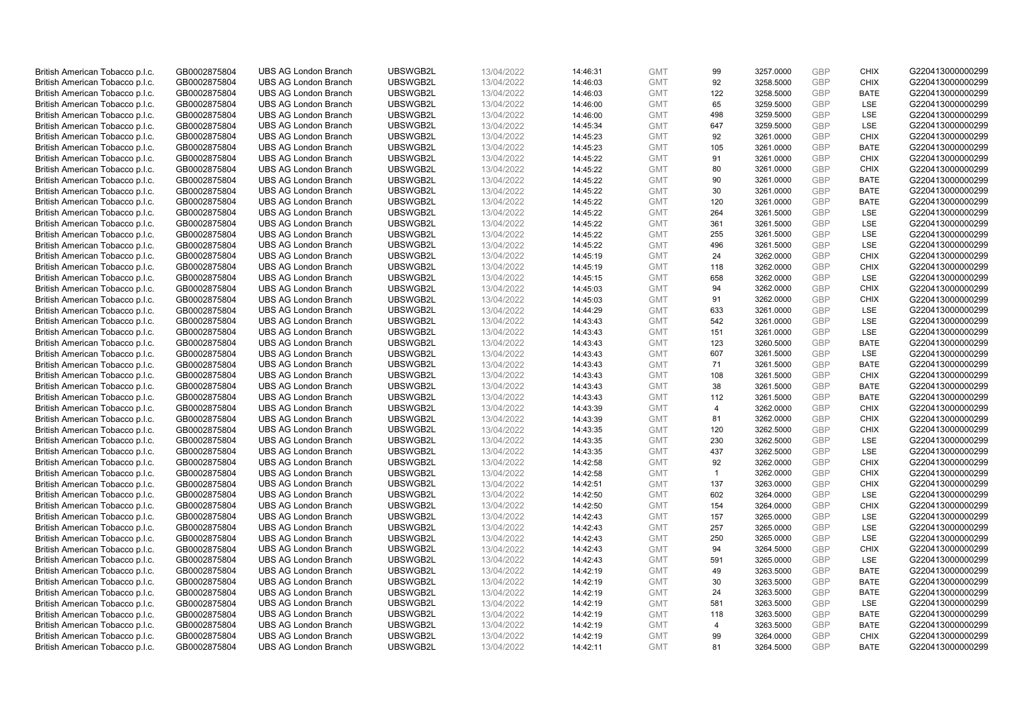| British American Tobacco p.l.c. | GB0002875804 | <b>UBS AG London Branch</b> | UBSWGB2L | 13/04/2022 | 14:46:31 | <b>GMT</b> | 99             | 3257.0000 | <b>GBP</b> | <b>CHIX</b> | G220413000000299 |
|---------------------------------|--------------|-----------------------------|----------|------------|----------|------------|----------------|-----------|------------|-------------|------------------|
|                                 | GB0002875804 | <b>UBS AG London Branch</b> | UBSWGB2L | 13/04/2022 |          | <b>GMT</b> | 92             | 3258.5000 | <b>GBP</b> | <b>CHIX</b> | G220413000000299 |
| British American Tobacco p.l.c. |              |                             |          |            | 14:46:03 |            |                |           |            |             |                  |
| British American Tobacco p.l.c. | GB0002875804 | <b>UBS AG London Branch</b> | UBSWGB2L | 13/04/2022 | 14:46:03 | <b>GMT</b> | 122            | 3258.5000 | <b>GBP</b> | <b>BATE</b> | G220413000000299 |
| British American Tobacco p.l.c. | GB0002875804 | <b>UBS AG London Branch</b> | UBSWGB2L | 13/04/2022 | 14:46:00 | <b>GMT</b> | 65             | 3259.5000 | <b>GBP</b> | LSE         | G220413000000299 |
| British American Tobacco p.l.c. | GB0002875804 | <b>UBS AG London Branch</b> | UBSWGB2L | 13/04/2022 | 14:46:00 | <b>GMT</b> | 498            | 3259.5000 | <b>GBP</b> | LSE         | G220413000000299 |
| British American Tobacco p.l.c. | GB0002875804 | <b>UBS AG London Branch</b> | UBSWGB2L | 13/04/2022 | 14:45:34 | <b>GMT</b> | 647            | 3259.5000 | <b>GBP</b> | <b>LSE</b>  | G220413000000299 |
| British American Tobacco p.l.c. | GB0002875804 | <b>UBS AG London Branch</b> | UBSWGB2L | 13/04/2022 | 14:45:23 | <b>GMT</b> | 92             | 3261.0000 | <b>GBP</b> | <b>CHIX</b> | G220413000000299 |
| British American Tobacco p.l.c. | GB0002875804 | <b>UBS AG London Branch</b> | UBSWGB2L | 13/04/2022 | 14:45:23 | <b>GMT</b> | 105            | 3261.0000 | <b>GBP</b> | <b>BATE</b> | G220413000000299 |
| British American Tobacco p.l.c. | GB0002875804 | <b>UBS AG London Branch</b> | UBSWGB2L | 13/04/2022 | 14:45:22 | <b>GMT</b> | 91             | 3261.0000 | <b>GBP</b> | <b>CHIX</b> | G220413000000299 |
| British American Tobacco p.l.c. | GB0002875804 | <b>UBS AG London Branch</b> | UBSWGB2L | 13/04/2022 | 14:45:22 | <b>GMT</b> | 80             | 3261.0000 | <b>GBP</b> | <b>CHIX</b> | G220413000000299 |
| British American Tobacco p.l.c. | GB0002875804 | <b>UBS AG London Branch</b> | UBSWGB2L | 13/04/2022 | 14:45:22 | <b>GMT</b> | 90             | 3261.0000 | <b>GBP</b> | <b>BATE</b> | G220413000000299 |
| British American Tobacco p.l.c. | GB0002875804 | <b>UBS AG London Branch</b> | UBSWGB2L | 13/04/2022 | 14:45:22 | <b>GMT</b> | 30             | 3261.0000 | <b>GBP</b> | <b>BATE</b> | G220413000000299 |
| British American Tobacco p.l.c. | GB0002875804 | <b>UBS AG London Branch</b> | UBSWGB2L | 13/04/2022 | 14:45:22 | <b>GMT</b> | 120            | 3261.0000 | <b>GBP</b> | <b>BATE</b> | G220413000000299 |
| British American Tobacco p.l.c. | GB0002875804 | <b>UBS AG London Branch</b> | UBSWGB2L | 13/04/2022 | 14:45:22 | <b>GMT</b> | 264            | 3261.5000 | <b>GBP</b> | <b>LSE</b>  | G220413000000299 |
|                                 |              |                             | UBSWGB2L | 13/04/2022 |          | <b>GMT</b> | 361            | 3261.5000 | <b>GBP</b> | LSE         |                  |
| British American Tobacco p.l.c. | GB0002875804 | <b>UBS AG London Branch</b> |          |            | 14:45:22 |            |                |           |            |             | G220413000000299 |
| British American Tobacco p.l.c. | GB0002875804 | <b>UBS AG London Branch</b> | UBSWGB2L | 13/04/2022 | 14:45:22 | <b>GMT</b> | 255            | 3261.5000 | <b>GBP</b> | LSE         | G220413000000299 |
| British American Tobacco p.l.c. | GB0002875804 | <b>UBS AG London Branch</b> | UBSWGB2L | 13/04/2022 | 14:45:22 | <b>GMT</b> | 496            | 3261.5000 | <b>GBP</b> | LSE         | G220413000000299 |
| British American Tobacco p.l.c. | GB0002875804 | <b>UBS AG London Branch</b> | UBSWGB2L | 13/04/2022 | 14:45:19 | <b>GMT</b> | 24             | 3262.0000 | <b>GBP</b> | <b>CHIX</b> | G220413000000299 |
| British American Tobacco p.l.c. | GB0002875804 | <b>UBS AG London Branch</b> | UBSWGB2L | 13/04/2022 | 14:45:19 | <b>GMT</b> | 118            | 3262.0000 | <b>GBP</b> | <b>CHIX</b> | G220413000000299 |
| British American Tobacco p.l.c. | GB0002875804 | <b>UBS AG London Branch</b> | UBSWGB2L | 13/04/2022 | 14:45:15 | <b>GMT</b> | 658            | 3262.0000 | <b>GBP</b> | LSE         | G220413000000299 |
| British American Tobacco p.l.c. | GB0002875804 | <b>UBS AG London Branch</b> | UBSWGB2L | 13/04/2022 | 14:45:03 | <b>GMT</b> | 94             | 3262.0000 | <b>GBP</b> | <b>CHIX</b> | G220413000000299 |
| British American Tobacco p.l.c. | GB0002875804 | <b>UBS AG London Branch</b> | UBSWGB2L | 13/04/2022 | 14:45:03 | <b>GMT</b> | 91             | 3262.0000 | <b>GBP</b> | <b>CHIX</b> | G220413000000299 |
| British American Tobacco p.l.c. | GB0002875804 | <b>UBS AG London Branch</b> | UBSWGB2L | 13/04/2022 | 14:44:29 | <b>GMT</b> | 633            | 3261.0000 | <b>GBP</b> | LSE         | G220413000000299 |
| British American Tobacco p.l.c. | GB0002875804 | <b>UBS AG London Branch</b> | UBSWGB2L | 13/04/2022 | 14:43:43 | <b>GMT</b> | 542            | 3261.0000 | <b>GBP</b> | <b>LSE</b>  | G220413000000299 |
| British American Tobacco p.l.c. | GB0002875804 | <b>UBS AG London Branch</b> | UBSWGB2L | 13/04/2022 | 14:43:43 | <b>GMT</b> | 151            | 3261.0000 | <b>GBP</b> | LSE         | G220413000000299 |
| British American Tobacco p.l.c. | GB0002875804 | <b>UBS AG London Branch</b> | UBSWGB2L | 13/04/2022 | 14:43:43 | <b>GMT</b> | 123            | 3260.5000 | <b>GBP</b> | <b>BATE</b> | G220413000000299 |
| British American Tobacco p.l.c. | GB0002875804 | UBS AG London Branch        | UBSWGB2L | 13/04/2022 | 14:43:43 | <b>GMT</b> | 607            | 3261.5000 | <b>GBP</b> | <b>LSE</b>  | G220413000000299 |
| British American Tobacco p.l.c. | GB0002875804 | <b>UBS AG London Branch</b> | UBSWGB2L | 13/04/2022 | 14:43:43 | <b>GMT</b> | 71             | 3261.5000 | <b>GBP</b> | <b>BATE</b> | G220413000000299 |
|                                 |              | <b>UBS AG London Branch</b> | UBSWGB2L |            |          |            |                |           | <b>GBP</b> | <b>CHIX</b> | G220413000000299 |
| British American Tobacco p.l.c. | GB0002875804 |                             |          | 13/04/2022 | 14:43:43 | <b>GMT</b> | 108            | 3261.5000 |            |             |                  |
| British American Tobacco p.l.c. | GB0002875804 | <b>UBS AG London Branch</b> | UBSWGB2L | 13/04/2022 | 14:43:43 | <b>GMT</b> | 38             | 3261.5000 | <b>GBP</b> | <b>BATE</b> | G220413000000299 |
| British American Tobacco p.l.c. | GB0002875804 | <b>UBS AG London Branch</b> | UBSWGB2L | 13/04/2022 | 14:43:43 | <b>GMT</b> | 112            | 3261.5000 | <b>GBP</b> | <b>BATE</b> | G220413000000299 |
| British American Tobacco p.l.c. | GB0002875804 | <b>UBS AG London Branch</b> | UBSWGB2L | 13/04/2022 | 14:43:39 | <b>GMT</b> | $\overline{4}$ | 3262.0000 | <b>GBP</b> | <b>CHIX</b> | G220413000000299 |
| British American Tobacco p.l.c. | GB0002875804 | <b>UBS AG London Branch</b> | UBSWGB2L | 13/04/2022 | 14:43:39 | <b>GMT</b> | 81             | 3262.0000 | <b>GBP</b> | <b>CHIX</b> | G220413000000299 |
| British American Tobacco p.l.c. | GB0002875804 | <b>UBS AG London Branch</b> | UBSWGB2L | 13/04/2022 | 14:43:35 | <b>GMT</b> | 120            | 3262.5000 | <b>GBP</b> | <b>CHIX</b> | G220413000000299 |
| British American Tobacco p.l.c. | GB0002875804 | <b>UBS AG London Branch</b> | UBSWGB2L | 13/04/2022 | 14:43:35 | <b>GMT</b> | 230            | 3262.5000 | <b>GBP</b> | LSE         | G220413000000299 |
| British American Tobacco p.l.c. | GB0002875804 | <b>UBS AG London Branch</b> | UBSWGB2L | 13/04/2022 | 14:43:35 | <b>GMT</b> | 437            | 3262.5000 | <b>GBP</b> | LSE         | G220413000000299 |
| British American Tobacco p.l.c. | GB0002875804 | <b>UBS AG London Branch</b> | UBSWGB2L | 13/04/2022 | 14:42:58 | <b>GMT</b> | 92             | 3262.0000 | <b>GBP</b> | <b>CHIX</b> | G220413000000299 |
| British American Tobacco p.l.c. | GB0002875804 | <b>UBS AG London Branch</b> | UBSWGB2L | 13/04/2022 | 14:42:58 | <b>GMT</b> | $\overline{1}$ | 3262.0000 | <b>GBP</b> | <b>CHIX</b> | G220413000000299 |
| British American Tobacco p.l.c. | GB0002875804 | <b>UBS AG London Branch</b> | UBSWGB2L | 13/04/2022 | 14:42:51 | <b>GMT</b> | 137            | 3263.0000 | <b>GBP</b> | <b>CHIX</b> | G220413000000299 |
| British American Tobacco p.l.c. | GB0002875804 | <b>UBS AG London Branch</b> | UBSWGB2L | 13/04/2022 | 14:42:50 | <b>GMT</b> | 602            | 3264.0000 | <b>GBP</b> | <b>LSE</b>  | G220413000000299 |
| British American Tobacco p.l.c. | GB0002875804 | <b>UBS AG London Branch</b> | UBSWGB2L | 13/04/2022 | 14:42:50 | <b>GMT</b> | 154            | 3264.0000 | <b>GBP</b> | <b>CHIX</b> | G220413000000299 |
| British American Tobacco p.l.c. | GB0002875804 | <b>UBS AG London Branch</b> | UBSWGB2L | 13/04/2022 | 14:42:43 | <b>GMT</b> | 157            | 3265.0000 | <b>GBP</b> | <b>LSE</b>  | G220413000000299 |
| British American Tobacco p.l.c. | GB0002875804 | <b>UBS AG London Branch</b> | UBSWGB2L | 13/04/2022 | 14:42:43 | <b>GMT</b> | 257            | 3265.0000 | <b>GBP</b> | LSE         | G220413000000299 |
| British American Tobacco p.l.c. | GB0002875804 | <b>UBS AG London Branch</b> | UBSWGB2L | 13/04/2022 |          | <b>GMT</b> | 250            | 3265.0000 | <b>GBP</b> | LSE         | G220413000000299 |
|                                 |              |                             | UBSWGB2L |            | 14:42:43 |            | 94             |           | <b>GBP</b> | <b>CHIX</b> |                  |
| British American Tobacco p.l.c. | GB0002875804 | UBS AG London Branch        |          | 13/04/2022 | 14:42:43 | <b>GMT</b> |                | 3264.5000 |            |             | G220413000000299 |
| British American Tobacco p.l.c. | GB0002875804 | <b>UBS AG London Branch</b> | UBSWGB2L | 13/04/2022 | 14:42:43 | <b>GMT</b> | 591            | 3265.0000 | <b>GBP</b> | LSE         | G220413000000299 |
| British American Tobacco p.l.c. | GB0002875804 | <b>UBS AG London Branch</b> | UBSWGB2L | 13/04/2022 | 14:42:19 | <b>GMT</b> | 49             | 3263.5000 | <b>GBP</b> | <b>BATE</b> | G220413000000299 |
| British American Tobacco p.l.c. | GB0002875804 | <b>UBS AG London Branch</b> | UBSWGB2L | 13/04/2022 | 14:42:19 | <b>GMT</b> | 30             | 3263.5000 | <b>GBP</b> | <b>BATE</b> | G220413000000299 |
| British American Tobacco p.l.c. | GB0002875804 | <b>UBS AG London Branch</b> | UBSWGB2L | 13/04/2022 | 14:42:19 | <b>GMT</b> | 24             | 3263.5000 | <b>GBP</b> | <b>BATE</b> | G220413000000299 |
| British American Tobacco p.l.c. | GB0002875804 | <b>UBS AG London Branch</b> | UBSWGB2L | 13/04/2022 | 14:42:19 | <b>GMT</b> | 581            | 3263.5000 | <b>GBP</b> | <b>LSE</b>  | G220413000000299 |
| British American Tobacco p.l.c. | GB0002875804 | <b>UBS AG London Branch</b> | UBSWGB2L | 13/04/2022 | 14:42:19 | <b>GMT</b> | 118            | 3263.5000 | <b>GBP</b> | <b>BATE</b> | G220413000000299 |
| British American Tobacco p.l.c. | GB0002875804 | <b>UBS AG London Branch</b> | UBSWGB2L | 13/04/2022 | 14:42:19 | <b>GMT</b> | $\overline{4}$ | 3263.5000 | <b>GBP</b> | <b>BATE</b> | G220413000000299 |
| British American Tobacco p.l.c. | GB0002875804 | <b>UBS AG London Branch</b> | UBSWGB2L | 13/04/2022 | 14:42:19 | <b>GMT</b> | 99             | 3264.0000 | <b>GBP</b> | <b>CHIX</b> | G220413000000299 |
| British American Tobacco p.l.c. | GB0002875804 | <b>UBS AG London Branch</b> | UBSWGB2L | 13/04/2022 | 14:42:11 | <b>GMT</b> | 81             | 3264.5000 | <b>GBP</b> | <b>BATE</b> | G220413000000299 |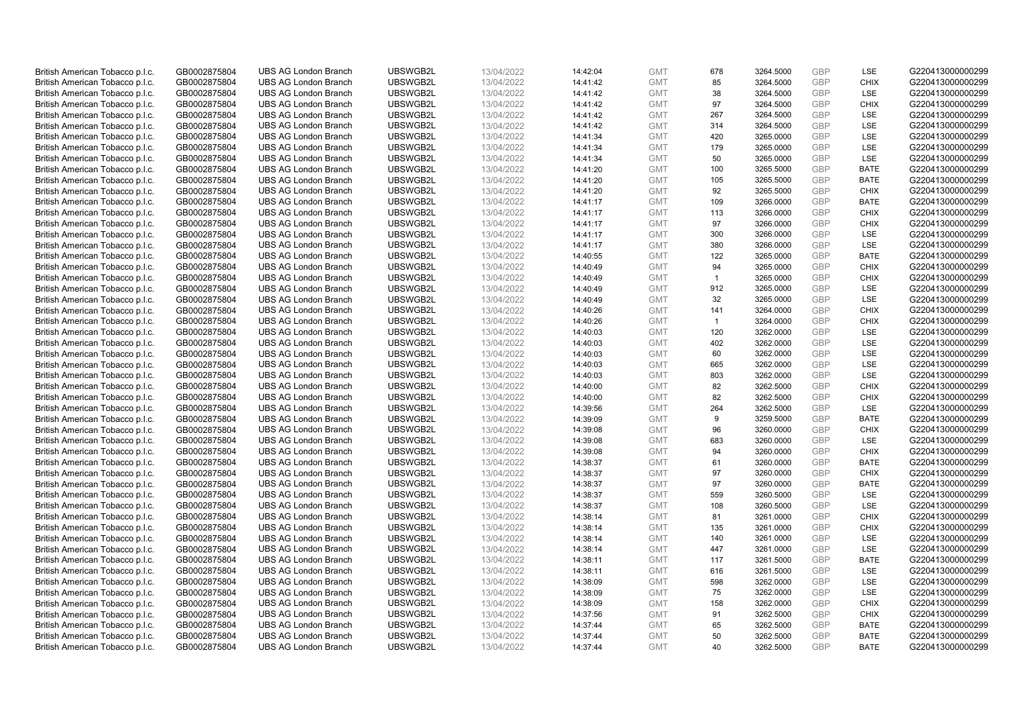| British American Tobacco p.l.c. | GB0002875804                 | <b>UBS AG London Branch</b> | UBSWGB2L | 13/04/2022               | 14:42:04             | <b>GMT</b> | 678            | 3264.5000 | <b>GBP</b> | LSE         | G220413000000299 |
|---------------------------------|------------------------------|-----------------------------|----------|--------------------------|----------------------|------------|----------------|-----------|------------|-------------|------------------|
| British American Tobacco p.l.c. | GB0002875804                 | <b>UBS AG London Branch</b> | UBSWGB2L | 13/04/2022               | 14:41:42             | <b>GMT</b> | 85             | 3264.5000 | <b>GBP</b> | <b>CHIX</b> | G220413000000299 |
|                                 |                              | <b>UBS AG London Branch</b> | UBSWGB2L |                          |                      | <b>GMT</b> | 38             | 3264.5000 | <b>GBP</b> | LSE         | G220413000000299 |
| British American Tobacco p.l.c. | GB0002875804                 |                             |          | 13/04/2022               | 14:41:42             |            |                |           |            |             |                  |
| British American Tobacco p.l.c. | GB0002875804                 | <b>UBS AG London Branch</b> | UBSWGB2L | 13/04/2022               | 14:41:42             | <b>GMT</b> | 97             | 3264.5000 | <b>GBP</b> | <b>CHIX</b> | G220413000000299 |
| British American Tobacco p.l.c. | GB0002875804                 | <b>UBS AG London Branch</b> | UBSWGB2L | 13/04/2022               | 14:41:42             | <b>GMT</b> | 267            | 3264.5000 | <b>GBP</b> | LSE         | G220413000000299 |
| British American Tobacco p.l.c. | GB0002875804                 | <b>UBS AG London Branch</b> | UBSWGB2L | 13/04/2022               | 14:41:42             | <b>GMT</b> | 314            | 3264.5000 | <b>GBP</b> | <b>LSE</b>  | G220413000000299 |
| British American Tobacco p.l.c. | GB0002875804                 | <b>UBS AG London Branch</b> | UBSWGB2L | 13/04/2022               | 14:41:34             | <b>GMT</b> | 420            | 3265.0000 | <b>GBP</b> | LSE         | G220413000000299 |
| British American Tobacco p.l.c. | GB0002875804                 | <b>UBS AG London Branch</b> | UBSWGB2L | 13/04/2022               | 14:41:34             | <b>GMT</b> | 179            | 3265.0000 | <b>GBP</b> | LSE         | G220413000000299 |
| British American Tobacco p.l.c. | GB0002875804                 | <b>UBS AG London Branch</b> | UBSWGB2L | 13/04/2022               | 14:41:34             | <b>GMT</b> | 50             | 3265.0000 | <b>GBP</b> | LSE         | G220413000000299 |
| British American Tobacco p.l.c. | GB0002875804                 | <b>UBS AG London Branch</b> | UBSWGB2L | 13/04/2022               | 14:41:20             | <b>GMT</b> | 100            | 3265.5000 | <b>GBP</b> | <b>BATE</b> | G220413000000299 |
| British American Tobacco p.l.c. | GB0002875804                 | <b>UBS AG London Branch</b> | UBSWGB2L | 13/04/2022               | 14:41:20             | <b>GMT</b> | 105            | 3265.5000 | <b>GBP</b> | <b>BATE</b> | G220413000000299 |
| British American Tobacco p.l.c. | GB0002875804                 | <b>UBS AG London Branch</b> | UBSWGB2L | 13/04/2022               | 14:41:20             | <b>GMT</b> | 92             | 3265.5000 | <b>GBP</b> | <b>CHIX</b> | G220413000000299 |
| British American Tobacco p.l.c. | GB0002875804                 | <b>UBS AG London Branch</b> | UBSWGB2L | 13/04/2022               | 14:41:17             | <b>GMT</b> | 109            | 3266.0000 | <b>GBP</b> | <b>BATE</b> | G220413000000299 |
| British American Tobacco p.l.c. | GB0002875804                 | <b>UBS AG London Branch</b> | UBSWGB2L | 13/04/2022               | 14:41:17             | <b>GMT</b> | 113            | 3266.0000 | <b>GBP</b> | <b>CHIX</b> | G220413000000299 |
| British American Tobacco p.l.c. | GB0002875804                 | <b>UBS AG London Branch</b> | UBSWGB2L | 13/04/2022               | 14:41:17             | <b>GMT</b> | 97             | 3266.0000 | <b>GBP</b> | <b>CHIX</b> | G220413000000299 |
| British American Tobacco p.l.c. | GB0002875804                 | <b>UBS AG London Branch</b> | UBSWGB2L | 13/04/2022               | 14:41:17             | <b>GMT</b> | 300            | 3266.0000 | <b>GBP</b> | LSE         | G220413000000299 |
| British American Tobacco p.l.c. | GB0002875804                 | <b>UBS AG London Branch</b> | UBSWGB2L | 13/04/2022               | 14:41:17             | <b>GMT</b> | 380            | 3266.0000 | <b>GBP</b> | LSE         | G220413000000299 |
| British American Tobacco p.l.c. | GB0002875804                 | <b>UBS AG London Branch</b> | UBSWGB2L | 13/04/2022               | 14:40:55             | <b>GMT</b> | 122            | 3265.0000 | <b>GBP</b> | <b>BATE</b> | G220413000000299 |
|                                 |                              | <b>UBS AG London Branch</b> | UBSWGB2L |                          | 14:40:49             | <b>GMT</b> | 94             | 3265.0000 | <b>GBP</b> | <b>CHIX</b> | G220413000000299 |
| British American Tobacco p.l.c. | GB0002875804<br>GB0002875804 | <b>UBS AG London Branch</b> | UBSWGB2L | 13/04/2022<br>13/04/2022 | 14:40:49             | <b>GMT</b> |                |           | <b>GBP</b> | <b>CHIX</b> | G220413000000299 |
| British American Tobacco p.l.c. |                              |                             |          |                          |                      |            | $\overline{1}$ | 3265.0000 |            |             |                  |
| British American Tobacco p.l.c. | GB0002875804                 | <b>UBS AG London Branch</b> | UBSWGB2L | 13/04/2022               | 14:40:49             | <b>GMT</b> | 912            | 3265.0000 | <b>GBP</b> | LSE         | G220413000000299 |
| British American Tobacco p.l.c. | GB0002875804                 | <b>UBS AG London Branch</b> | UBSWGB2L | 13/04/2022               | 14:40:49             | <b>GMT</b> | 32             | 3265.0000 | <b>GBP</b> | LSE         | G220413000000299 |
| British American Tobacco p.l.c. | GB0002875804                 | <b>UBS AG London Branch</b> | UBSWGB2L | 13/04/2022               | 14:40:26             | <b>GMT</b> | 141            | 3264.0000 | <b>GBP</b> | <b>CHIX</b> | G220413000000299 |
| British American Tobacco p.l.c. | GB0002875804                 | <b>UBS AG London Branch</b> | UBSWGB2L | 13/04/2022               | 14:40:26             | <b>GMT</b> | $\overline{1}$ | 3264.0000 | <b>GBP</b> | <b>CHIX</b> | G220413000000299 |
| British American Tobacco p.l.c. | GB0002875804                 | <b>UBS AG London Branch</b> | UBSWGB2L | 13/04/2022               | 14:40:03             | <b>GMT</b> | 120            | 3262.0000 | <b>GBP</b> | LSE         | G220413000000299 |
| British American Tobacco p.l.c. | GB0002875804                 | <b>UBS AG London Branch</b> | UBSWGB2L | 13/04/2022               | 14:40:03             | <b>GMT</b> | 402            | 3262.0000 | <b>GBP</b> | LSE         | G220413000000299 |
| British American Tobacco p.l.c. | GB0002875804                 | UBS AG London Branch        | UBSWGB2L | 13/04/2022               | 14:40:03             | <b>GMT</b> | 60             | 3262.0000 | <b>GBP</b> | LSE         | G220413000000299 |
| British American Tobacco p.l.c. | GB0002875804                 | <b>UBS AG London Branch</b> | UBSWGB2L | 13/04/2022               | 14:40:03             | <b>GMT</b> | 665            | 3262.0000 | <b>GBP</b> | LSE         | G220413000000299 |
| British American Tobacco p.l.c. | GB0002875804                 | <b>UBS AG London Branch</b> | UBSWGB2L | 13/04/2022               | 14:40:03             | <b>GMT</b> | 803            | 3262.0000 | <b>GBP</b> | LSE         | G220413000000299 |
| British American Tobacco p.l.c. | GB0002875804                 | <b>UBS AG London Branch</b> | UBSWGB2L | 13/04/2022               | 14:40:00             | <b>GMT</b> | 82             | 3262.5000 | <b>GBP</b> | <b>CHIX</b> | G220413000000299 |
| British American Tobacco p.l.c. | GB0002875804                 | <b>UBS AG London Branch</b> | UBSWGB2L | 13/04/2022               | 14:40:00             | <b>GMT</b> | 82             | 3262.5000 | <b>GBP</b> | <b>CHIX</b> | G220413000000299 |
| British American Tobacco p.l.c. | GB0002875804                 | <b>UBS AG London Branch</b> | UBSWGB2L | 13/04/2022               | 14:39:56             | <b>GMT</b> | 264            | 3262.5000 | <b>GBP</b> | LSE         | G220413000000299 |
| British American Tobacco p.l.c. | GB0002875804                 | <b>UBS AG London Branch</b> | UBSWGB2L | 13/04/2022               | 14:39:09             | <b>GMT</b> | 9              | 3259.5000 | <b>GBP</b> | <b>BATE</b> | G220413000000299 |
| British American Tobacco p.l.c. | GB0002875804                 | <b>UBS AG London Branch</b> | UBSWGB2L | 13/04/2022               | 14:39:08             | <b>GMT</b> | 96             | 3260.0000 | <b>GBP</b> | <b>CHIX</b> | G220413000000299 |
| British American Tobacco p.l.c. | GB0002875804                 | <b>UBS AG London Branch</b> | UBSWGB2L | 13/04/2022               | 14:39:08             | <b>GMT</b> | 683            | 3260.0000 | <b>GBP</b> | LSE         | G220413000000299 |
| British American Tobacco p.l.c. | GB0002875804                 | <b>UBS AG London Branch</b> | UBSWGB2L | 13/04/2022               | 14:39:08             | <b>GMT</b> | 94             | 3260.0000 | <b>GBP</b> | <b>CHIX</b> | G220413000000299 |
| British American Tobacco p.l.c. | GB0002875804                 | <b>UBS AG London Branch</b> | UBSWGB2L | 13/04/2022               | 14:38:37             | <b>GMT</b> | 61             | 3260.0000 | <b>GBP</b> | <b>BATE</b> | G220413000000299 |
| British American Tobacco p.l.c. | GB0002875804                 | <b>UBS AG London Branch</b> | UBSWGB2L | 13/04/2022               | 14:38:37             | <b>GMT</b> | 97             | 3260.0000 | <b>GBP</b> | <b>CHIX</b> | G220413000000299 |
| British American Tobacco p.l.c. | GB0002875804                 | <b>UBS AG London Branch</b> | UBSWGB2L | 13/04/2022               | 14:38:37             | <b>GMT</b> | 97             | 3260.0000 | <b>GBP</b> | <b>BATE</b> | G220413000000299 |
| British American Tobacco p.l.c. | GB0002875804                 | <b>UBS AG London Branch</b> | UBSWGB2L | 13/04/2022               | 14:38:37             | <b>GMT</b> | 559            | 3260.5000 | <b>GBP</b> | <b>LSE</b>  | G220413000000299 |
| British American Tobacco p.l.c. | GB0002875804                 | <b>UBS AG London Branch</b> | UBSWGB2L | 13/04/2022               | 14:38:37             | <b>GMT</b> | 108            | 3260.5000 | <b>GBP</b> | LSE         | G220413000000299 |
| British American Tobacco p.l.c. | GB0002875804                 | <b>UBS AG London Branch</b> | UBSWGB2L | 13/04/2022               | 14:38:14             | <b>GMT</b> | 81             | 3261.0000 | <b>GBP</b> | <b>CHIX</b> | G220413000000299 |
| British American Tobacco p.l.c. | GB0002875804                 | <b>UBS AG London Branch</b> | UBSWGB2L | 13/04/2022               | 14:38:14             | <b>GMT</b> | 135            | 3261.0000 | <b>GBP</b> | <b>CHIX</b> | G220413000000299 |
| British American Tobacco p.l.c. | GB0002875804                 | <b>UBS AG London Branch</b> | UBSWGB2L | 13/04/2022               | 14:38:14             | <b>GMT</b> | 140            | 3261.0000 | <b>GBP</b> | LSE         | G220413000000299 |
| British American Tobacco p.l.c. | GB0002875804                 | UBS AG London Branch        | UBSWGB2L | 13/04/2022               | 14:38:14             | <b>GMT</b> | 447            | 3261.0000 | <b>GBP</b> | LSE         | G220413000000299 |
| British American Tobacco p.l.c. | GB0002875804                 | <b>UBS AG London Branch</b> | UBSWGB2L | 13/04/2022               | 14:38:11             | <b>GMT</b> | 117            | 3261.5000 | <b>GBP</b> | <b>BATE</b> | G220413000000299 |
| British American Tobacco p.l.c. | GB0002875804                 | <b>UBS AG London Branch</b> | UBSWGB2L | 13/04/2022               |                      | <b>GMT</b> | 616            | 3261.5000 | <b>GBP</b> | <b>LSE</b>  | G220413000000299 |
| British American Tobacco p.l.c. | GB0002875804                 | <b>UBS AG London Branch</b> | UBSWGB2L | 13/04/2022               | 14:38:11<br>14:38:09 | <b>GMT</b> | 598            | 3262.0000 | <b>GBP</b> | LSE         | G220413000000299 |
|                                 |                              |                             |          |                          |                      | <b>GMT</b> |                |           | <b>GBP</b> |             |                  |
| British American Tobacco p.l.c. | GB0002875804                 | <b>UBS AG London Branch</b> | UBSWGB2L | 13/04/2022               | 14:38:09             |            | 75             | 3262.0000 |            | LSE         | G220413000000299 |
| British American Tobacco p.l.c. | GB0002875804                 | <b>UBS AG London Branch</b> | UBSWGB2L | 13/04/2022               | 14:38:09             | <b>GMT</b> | 158            | 3262.0000 | <b>GBP</b> | <b>CHIX</b> | G220413000000299 |
| British American Tobacco p.l.c. | GB0002875804                 | <b>UBS AG London Branch</b> | UBSWGB2L | 13/04/2022               | 14:37:56             | <b>GMT</b> | 91             | 3262.5000 | <b>GBP</b> | <b>CHIX</b> | G220413000000299 |
| British American Tobacco p.l.c. | GB0002875804                 | <b>UBS AG London Branch</b> | UBSWGB2L | 13/04/2022               | 14:37:44             | <b>GMT</b> | 65             | 3262.5000 | <b>GBP</b> | <b>BATE</b> | G220413000000299 |
| British American Tobacco p.l.c. | GB0002875804                 | <b>UBS AG London Branch</b> | UBSWGB2L | 13/04/2022               | 14:37:44             | <b>GMT</b> | 50             | 3262.5000 | <b>GBP</b> | <b>BATE</b> | G220413000000299 |
| British American Tobacco p.l.c. | GB0002875804                 | <b>UBS AG London Branch</b> | UBSWGB2L | 13/04/2022               | 14:37:44             | <b>GMT</b> | 40             | 3262.5000 | <b>GBP</b> | <b>BATE</b> | G220413000000299 |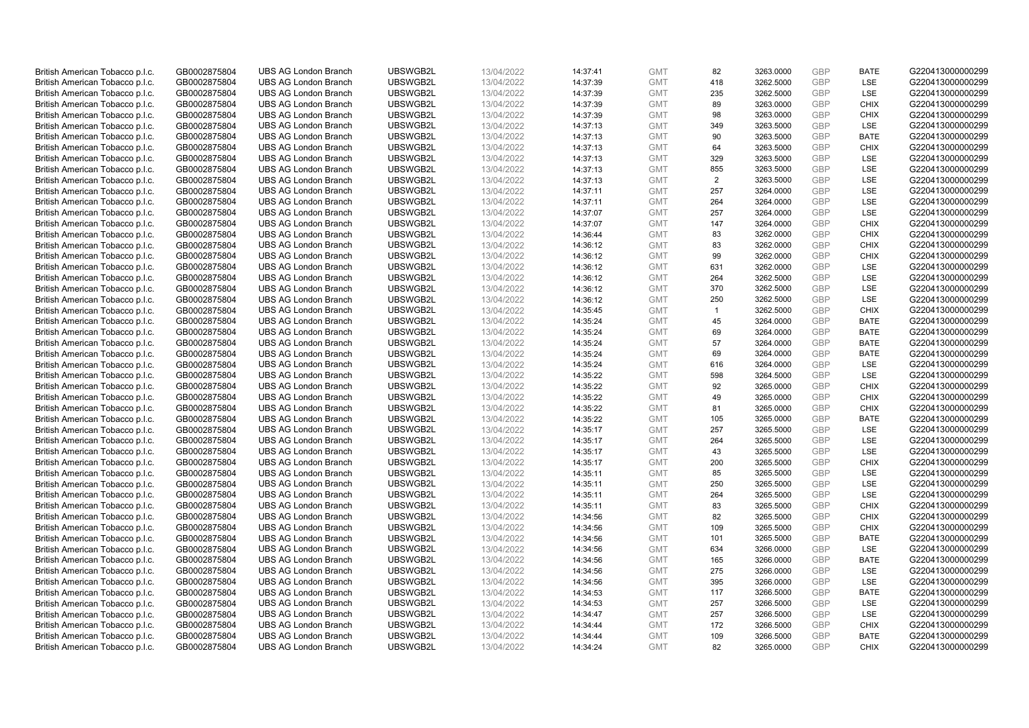| British American Tobacco p.l.c. | GB0002875804 | <b>UBS AG London Branch</b> | UBSWGB2L | 13/04/2022 | 14:37:41 | <b>GMT</b> | 82             | 3263.0000 | <b>GBP</b> | <b>BATE</b> | G220413000000299 |
|---------------------------------|--------------|-----------------------------|----------|------------|----------|------------|----------------|-----------|------------|-------------|------------------|
|                                 |              |                             |          |            |          |            | 418            |           | <b>GBP</b> | LSE         |                  |
| British American Tobacco p.l.c. | GB0002875804 | <b>UBS AG London Branch</b> | UBSWGB2L | 13/04/2022 | 14:37:39 | <b>GMT</b> |                | 3262.5000 |            |             | G220413000000299 |
| British American Tobacco p.l.c. | GB0002875804 | <b>UBS AG London Branch</b> | UBSWGB2L | 13/04/2022 | 14:37:39 | <b>GMT</b> | 235            | 3262.5000 | GBP        | LSE         | G220413000000299 |
| British American Tobacco p.l.c. | GB0002875804 | <b>UBS AG London Branch</b> | UBSWGB2L | 13/04/2022 | 14:37:39 | <b>GMT</b> | 89             | 3263.0000 | GBP        | <b>CHIX</b> | G220413000000299 |
| British American Tobacco p.l.c. | GB0002875804 | <b>UBS AG London Branch</b> | UBSWGB2L | 13/04/2022 | 14:37:39 | <b>GMT</b> | 98             | 3263.0000 | GBP        | <b>CHIX</b> | G220413000000299 |
| British American Tobacco p.l.c. | GB0002875804 | <b>UBS AG London Branch</b> | UBSWGB2L | 13/04/2022 | 14:37:13 | <b>GMT</b> | 349            | 3263.5000 | GBP        | LSE         | G220413000000299 |
| British American Tobacco p.l.c. | GB0002875804 | <b>UBS AG London Branch</b> | UBSWGB2L | 13/04/2022 | 14:37:13 | <b>GMT</b> | 90             | 3263.5000 | GBP        | <b>BATE</b> | G220413000000299 |
| British American Tobacco p.l.c. | GB0002875804 | <b>UBS AG London Branch</b> | UBSWGB2L | 13/04/2022 | 14:37:13 | <b>GMT</b> | 64             | 3263.5000 | GBP        | <b>CHIX</b> | G220413000000299 |
| British American Tobacco p.l.c. | GB0002875804 | <b>UBS AG London Branch</b> | UBSWGB2L | 13/04/2022 | 14:37:13 | <b>GMT</b> | 329            | 3263.5000 | <b>GBP</b> | LSE         | G220413000000299 |
| British American Tobacco p.l.c. | GB0002875804 | <b>UBS AG London Branch</b> | UBSWGB2L | 13/04/2022 | 14:37:13 | <b>GMT</b> | 855            | 3263.5000 | GBP        | LSE         | G220413000000299 |
| British American Tobacco p.l.c. | GB0002875804 | <b>UBS AG London Branch</b> | UBSWGB2L | 13/04/2022 | 14:37:13 | <b>GMT</b> | 2              | 3263.5000 | <b>GBP</b> | LSE         | G220413000000299 |
| British American Tobacco p.l.c. | GB0002875804 | <b>UBS AG London Branch</b> | UBSWGB2L | 13/04/2022 | 14:37:11 | <b>GMT</b> | 257            | 3264.0000 | GBP        | LSE         | G220413000000299 |
| British American Tobacco p.l.c. | GB0002875804 | <b>UBS AG London Branch</b> | UBSWGB2L | 13/04/2022 | 14:37:11 | <b>GMT</b> | 264            | 3264.0000 | <b>GBP</b> | LSE         | G220413000000299 |
| British American Tobacco p.l.c. | GB0002875804 | <b>UBS AG London Branch</b> | UBSWGB2L | 13/04/2022 | 14:37:07 | <b>GMT</b> | 257            | 3264.0000 | GBP        | LSE         | G220413000000299 |
|                                 |              |                             |          |            |          |            | 147            |           | <b>GBP</b> | <b>CHIX</b> |                  |
| British American Tobacco p.l.c. | GB0002875804 | <b>UBS AG London Branch</b> | UBSWGB2L | 13/04/2022 | 14:37:07 | <b>GMT</b> |                | 3264.0000 |            |             | G220413000000299 |
| British American Tobacco p.l.c. | GB0002875804 | <b>UBS AG London Branch</b> | UBSWGB2L | 13/04/2022 | 14:36:44 | <b>GMT</b> | 83             | 3262.0000 | GBP        | <b>CHIX</b> | G220413000000299 |
| British American Tobacco p.l.c. | GB0002875804 | <b>UBS AG London Branch</b> | UBSWGB2L | 13/04/2022 | 14:36:12 | <b>GMT</b> | 83             | 3262.0000 | <b>GBP</b> | <b>CHIX</b> | G220413000000299 |
| British American Tobacco p.l.c. | GB0002875804 | <b>UBS AG London Branch</b> | UBSWGB2L | 13/04/2022 | 14:36:12 | <b>GMT</b> | 99             | 3262.0000 | GBP        | <b>CHIX</b> | G220413000000299 |
| British American Tobacco p.l.c. | GB0002875804 | <b>UBS AG London Branch</b> | UBSWGB2L | 13/04/2022 | 14:36:12 | <b>GMT</b> | 631            | 3262.0000 | GBP        | <b>LSE</b>  | G220413000000299 |
| British American Tobacco p.l.c. | GB0002875804 | <b>UBS AG London Branch</b> | UBSWGB2L | 13/04/2022 | 14:36:12 | <b>GMT</b> | 264            | 3262.5000 | <b>GBP</b> | LSE         | G220413000000299 |
| British American Tobacco p.l.c. | GB0002875804 | <b>UBS AG London Branch</b> | UBSWGB2L | 13/04/2022 | 14:36:12 | <b>GMT</b> | 370            | 3262.5000 | GBP        | LSE         | G220413000000299 |
| British American Tobacco p.l.c. | GB0002875804 | <b>UBS AG London Branch</b> | UBSWGB2L | 13/04/2022 | 14:36:12 | <b>GMT</b> | 250            | 3262.5000 | <b>GBP</b> | LSE         | G220413000000299 |
| British American Tobacco p.l.c. | GB0002875804 | <b>UBS AG London Branch</b> | UBSWGB2L | 13/04/2022 | 14:35:45 | <b>GMT</b> | $\overline{1}$ | 3262.5000 | GBP        | <b>CHIX</b> | G220413000000299 |
| British American Tobacco p.l.c. | GB0002875804 | <b>UBS AG London Branch</b> | UBSWGB2L | 13/04/2022 | 14:35:24 | <b>GMT</b> | 45             | 3264.0000 | GBP        | <b>BATE</b> | G220413000000299 |
| British American Tobacco p.l.c. | GB0002875804 | <b>UBS AG London Branch</b> | UBSWGB2L | 13/04/2022 | 14:35:24 | <b>GMT</b> | 69             | 3264.0000 | GBP        | <b>BATE</b> | G220413000000299 |
| British American Tobacco p.l.c. | GB0002875804 | <b>UBS AG London Branch</b> | UBSWGB2L | 13/04/2022 | 14:35:24 | <b>GMT</b> | 57             | 3264.0000 | <b>GBP</b> | <b>BATE</b> | G220413000000299 |
| British American Tobacco p.l.c. | GB0002875804 | <b>UBS AG London Branch</b> | UBSWGB2L | 13/04/2022 | 14:35:24 | <b>GMT</b> | 69             | 3264.0000 | GBP        | <b>BATE</b> | G220413000000299 |
| British American Tobacco p.l.c. | GB0002875804 | <b>UBS AG London Branch</b> | UBSWGB2L | 13/04/2022 | 14:35:24 | <b>GMT</b> | 616            | 3264.0000 | <b>GBP</b> | LSE         | G220413000000299 |
|                                 |              |                             |          |            |          |            |                |           |            | LSE         |                  |
| British American Tobacco p.l.c. | GB0002875804 | <b>UBS AG London Branch</b> | UBSWGB2L | 13/04/2022 | 14:35:22 | <b>GMT</b> | 598            | 3264.5000 | GBP        |             | G220413000000299 |
| British American Tobacco p.l.c. | GB0002875804 | <b>UBS AG London Branch</b> | UBSWGB2L | 13/04/2022 | 14:35:22 | <b>GMT</b> | 92             | 3265.0000 | GBP        | <b>CHIX</b> | G220413000000299 |
| British American Tobacco p.l.c. | GB0002875804 | <b>UBS AG London Branch</b> | UBSWGB2L | 13/04/2022 | 14:35:22 | <b>GMT</b> | 49             | 3265.0000 | GBP        | <b>CHIX</b> | G220413000000299 |
| British American Tobacco p.l.c. | GB0002875804 | <b>UBS AG London Branch</b> | UBSWGB2L | 13/04/2022 | 14:35:22 | <b>GMT</b> | 81             | 3265.0000 | <b>GBP</b> | <b>CHIX</b> | G220413000000299 |
| British American Tobacco p.l.c. | GB0002875804 | <b>UBS AG London Branch</b> | UBSWGB2L | 13/04/2022 | 14:35:22 | <b>GMT</b> | 105            | 3265.0000 | GBP        | <b>BATE</b> | G220413000000299 |
| British American Tobacco p.l.c. | GB0002875804 | <b>UBS AG London Branch</b> | UBSWGB2L | 13/04/2022 | 14:35:17 | <b>GMT</b> | 257            | 3265.5000 | GBP        | LSE         | G220413000000299 |
| British American Tobacco p.l.c. | GB0002875804 | <b>UBS AG London Branch</b> | UBSWGB2L | 13/04/2022 | 14:35:17 | <b>GMT</b> | 264            | 3265.5000 | <b>GBP</b> | LSE         | G220413000000299 |
| British American Tobacco p.l.c. | GB0002875804 | <b>UBS AG London Branch</b> | UBSWGB2L | 13/04/2022 | 14:35:17 | <b>GMT</b> | 43             | 3265.5000 | GBP        | LSE         | G220413000000299 |
| British American Tobacco p.l.c. | GB0002875804 | <b>UBS AG London Branch</b> | UBSWGB2L | 13/04/2022 | 14:35:17 | <b>GMT</b> | 200            | 3265.5000 | <b>GBP</b> | <b>CHIX</b> | G220413000000299 |
| British American Tobacco p.l.c. | GB0002875804 | <b>UBS AG London Branch</b> | UBSWGB2L | 13/04/2022 | 14:35:11 | <b>GMT</b> | 85             | 3265.5000 | GBP        | LSE         | G220413000000299 |
| British American Tobacco p.l.c. | GB0002875804 | <b>UBS AG London Branch</b> | UBSWGB2L | 13/04/2022 | 14:35:11 | <b>GMT</b> | 250            | 3265.5000 | <b>GBP</b> | LSE         | G220413000000299 |
| British American Tobacco p.l.c. | GB0002875804 | <b>UBS AG London Branch</b> | UBSWGB2L | 13/04/2022 | 14:35:11 | <b>GMT</b> | 264            | 3265.5000 | GBP        | LSE         | G220413000000299 |
| British American Tobacco p.l.c. | GB0002875804 | <b>UBS AG London Branch</b> | UBSWGB2L | 13/04/2022 | 14:35:11 | <b>GMT</b> | 83             | 3265.5000 | GBP        | <b>CHIX</b> | G220413000000299 |
| British American Tobacco p.l.c. | GB0002875804 | <b>UBS AG London Branch</b> | UBSWGB2L | 13/04/2022 | 14:34:56 | <b>GMT</b> | 82             | 3265.5000 | GBP        | <b>CHIX</b> | G220413000000299 |
| British American Tobacco p.l.c. | GB0002875804 | <b>UBS AG London Branch</b> | UBSWGB2L | 13/04/2022 | 14:34:56 | <b>GMT</b> | 109            | 3265.5000 | GBP        | <b>CHIX</b> | G220413000000299 |
| British American Tobacco p.l.c. | GB0002875804 | <b>UBS AG London Branch</b> | UBSWGB2L | 13/04/2022 |          | <b>GMT</b> | 101            | 3265.5000 | GBP        | <b>BATE</b> | G220413000000299 |
|                                 |              |                             |          |            | 14:34:56 |            |                |           |            |             |                  |
| British American Tobacco p.l.c. | GB0002875804 | <b>UBS AG London Branch</b> | UBSWGB2L | 13/04/2022 | 14:34:56 | <b>GMT</b> | 634            | 3266.0000 | GBP        | <b>LSE</b>  | G220413000000299 |
| British American Tobacco p.l.c. | GB0002875804 | <b>UBS AG London Branch</b> | UBSWGB2L | 13/04/2022 | 14:34:56 | <b>GMT</b> | 165            | 3266.0000 | GBP        | <b>BATE</b> | G220413000000299 |
| British American Tobacco p.l.c. | GB0002875804 | <b>UBS AG London Branch</b> | UBSWGB2L | 13/04/2022 | 14:34:56 | <b>GMT</b> | 275            | 3266.0000 | GBP        | LSE         | G220413000000299 |
| British American Tobacco p.l.c. | GB0002875804 | <b>UBS AG London Branch</b> | UBSWGB2L | 13/04/2022 | 14:34:56 | <b>GMT</b> | 395            | 3266.0000 | GBP        | LSE         | G220413000000299 |
| British American Tobacco p.l.c. | GB0002875804 | <b>UBS AG London Branch</b> | UBSWGB2L | 13/04/2022 | 14:34:53 | <b>GMT</b> | 117            | 3266.5000 | GBP        | <b>BATE</b> | G220413000000299 |
| British American Tobacco p.l.c. | GB0002875804 | <b>UBS AG London Branch</b> | UBSWGB2L | 13/04/2022 | 14:34:53 | <b>GMT</b> | 257            | 3266.5000 | GBP        | LSE         | G220413000000299 |
| British American Tobacco p.l.c. | GB0002875804 | <b>UBS AG London Branch</b> | UBSWGB2L | 13/04/2022 | 14:34:47 | <b>GMT</b> | 257            | 3266.5000 | GBP        | LSE         | G220413000000299 |
| British American Tobacco p.l.c. | GB0002875804 | <b>UBS AG London Branch</b> | UBSWGB2L | 13/04/2022 | 14:34:44 | <b>GMT</b> | 172            | 3266.5000 | GBP        | <b>CHIX</b> | G220413000000299 |
| British American Tobacco p.l.c. | GB0002875804 | <b>UBS AG London Branch</b> | UBSWGB2L | 13/04/2022 | 14:34:44 | <b>GMT</b> | 109            | 3266.5000 | GBP        | <b>BATE</b> | G220413000000299 |
| British American Tobacco p.l.c. | GB0002875804 | <b>UBS AG London Branch</b> | UBSWGB2L | 13/04/2022 | 14:34:24 | <b>GMT</b> | 82             | 3265.0000 | GBP        | <b>CHIX</b> | G220413000000299 |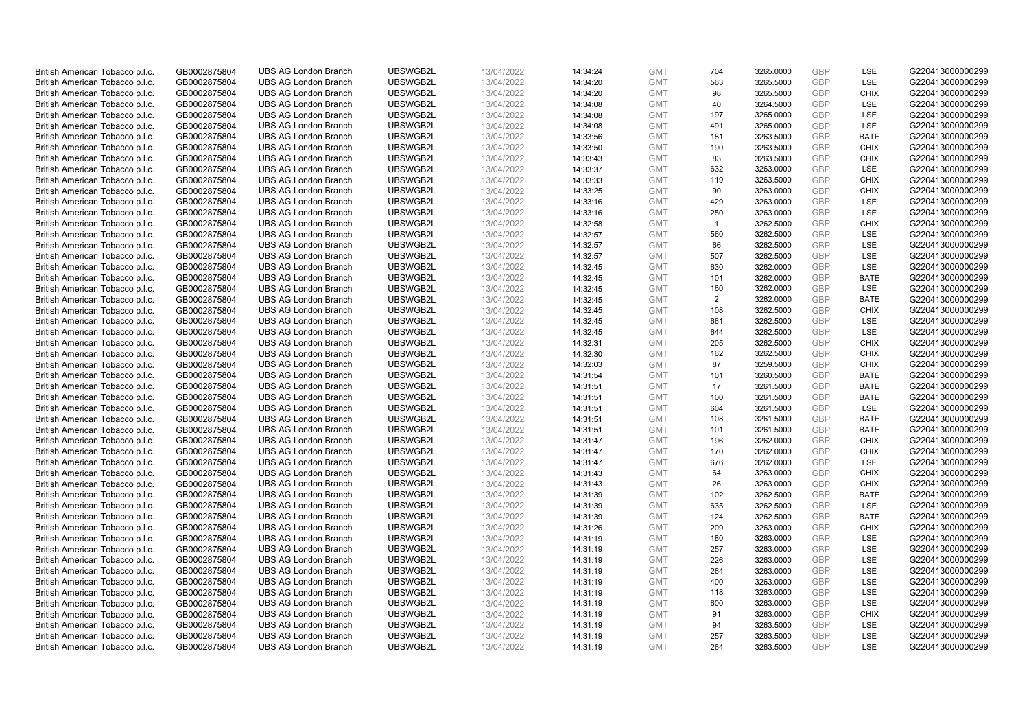| British American Tobacco p.l.c. | GB0002875804                 | <b>UBS AG London Branch</b> | UBSWGB2L | 13/04/2022               | 14:34:24 | <b>GMT</b> | 704            | 3265.0000 | <b>GBP</b> | <b>LSE</b>  | G220413000000299 |
|---------------------------------|------------------------------|-----------------------------|----------|--------------------------|----------|------------|----------------|-----------|------------|-------------|------------------|
| British American Tobacco p.l.c. | GB0002875804                 | <b>UBS AG London Branch</b> | UBSWGB2L | 13/04/2022               | 14:34:20 | <b>GMT</b> | 563            | 3265.5000 | <b>GBP</b> | LSE         | G220413000000299 |
|                                 |                              | <b>UBS AG London Branch</b> | UBSWGB2L |                          |          | <b>GMT</b> | 98             | 3265.5000 | <b>GBP</b> | <b>CHIX</b> | G220413000000299 |
| British American Tobacco p.l.c. | GB0002875804                 |                             |          | 13/04/2022               | 14:34:20 |            |                |           |            |             |                  |
| British American Tobacco p.l.c. | GB0002875804                 | <b>UBS AG London Branch</b> | UBSWGB2L | 13/04/2022               | 14:34:08 | <b>GMT</b> | 40             | 3264.5000 | <b>GBP</b> | LSE         | G220413000000299 |
| British American Tobacco p.l.c. | GB0002875804                 | <b>UBS AG London Branch</b> | UBSWGB2L | 13/04/2022               | 14:34:08 | <b>GMT</b> | 197            | 3265.0000 | <b>GBP</b> | LSE         | G220413000000299 |
| British American Tobacco p.l.c. | GB0002875804                 | <b>UBS AG London Branch</b> | UBSWGB2L | 13/04/2022               | 14:34:08 | <b>GMT</b> | 491            | 3265.0000 | <b>GBP</b> | <b>LSE</b>  | G220413000000299 |
| British American Tobacco p.l.c. | GB0002875804                 | <b>UBS AG London Branch</b> | UBSWGB2L | 13/04/2022               | 14:33:56 | <b>GMT</b> | 181            | 3263.5000 | <b>GBP</b> | <b>BATE</b> | G220413000000299 |
| British American Tobacco p.l.c. | GB0002875804                 | <b>UBS AG London Branch</b> | UBSWGB2L | 13/04/2022               | 14:33:50 | <b>GMT</b> | 190            | 3263.5000 | <b>GBP</b> | <b>CHIX</b> | G220413000000299 |
| British American Tobacco p.l.c. | GB0002875804                 | <b>UBS AG London Branch</b> | UBSWGB2L | 13/04/2022               | 14:33:43 | <b>GMT</b> | 83             | 3263.5000 | <b>GBP</b> | <b>CHIX</b> | G220413000000299 |
| British American Tobacco p.l.c. | GB0002875804                 | <b>UBS AG London Branch</b> | UBSWGB2L | 13/04/2022               | 14:33:37 | <b>GMT</b> | 632            | 3263.0000 | <b>GBP</b> | LSE         | G220413000000299 |
| British American Tobacco p.l.c. | GB0002875804                 | <b>UBS AG London Branch</b> | UBSWGB2L | 13/04/2022               | 14:33:33 | <b>GMT</b> | 119            | 3263.5000 | <b>GBP</b> | <b>CHIX</b> | G220413000000299 |
| British American Tobacco p.l.c. | GB0002875804                 | <b>UBS AG London Branch</b> | UBSWGB2L | 13/04/2022               | 14:33:25 | <b>GMT</b> | 90             | 3263.0000 | <b>GBP</b> | <b>CHIX</b> | G220413000000299 |
| British American Tobacco p.l.c. | GB0002875804                 | <b>UBS AG London Branch</b> | UBSWGB2L | 13/04/2022               | 14:33:16 | <b>GMT</b> | 429            | 3263.0000 | <b>GBP</b> | LSE         | G220413000000299 |
| British American Tobacco p.l.c. | GB0002875804                 | <b>UBS AG London Branch</b> | UBSWGB2L | 13/04/2022               | 14:33:16 | <b>GMT</b> | 250            | 3263.0000 | <b>GBP</b> | LSE         | G220413000000299 |
| British American Tobacco p.l.c. | GB0002875804                 | <b>UBS AG London Branch</b> | UBSWGB2L | 13/04/2022               | 14:32:58 | <b>GMT</b> | $\overline{1}$ | 3262.5000 | <b>GBP</b> | <b>CHIX</b> | G220413000000299 |
| British American Tobacco p.l.c. | GB0002875804                 | <b>UBS AG London Branch</b> | UBSWGB2L | 13/04/2022               | 14:32:57 | <b>GMT</b> | 560            | 3262.5000 | <b>GBP</b> | <b>LSE</b>  | G220413000000299 |
| British American Tobacco p.l.c. | GB0002875804                 | <b>UBS AG London Branch</b> | UBSWGB2L | 13/04/2022               | 14:32:57 | <b>GMT</b> | 66             | 3262.5000 | <b>GBP</b> | LSE         | G220413000000299 |
| British American Tobacco p.l.c. | GB0002875804                 | <b>UBS AG London Branch</b> | UBSWGB2L | 13/04/2022               | 14:32:57 | <b>GMT</b> | 507            | 3262.5000 | <b>GBP</b> | LSE         | G220413000000299 |
|                                 |                              | <b>UBS AG London Branch</b> | UBSWGB2L |                          | 14:32:45 | <b>GMT</b> | 630            | 3262.0000 | <b>GBP</b> | <b>LSE</b>  | G220413000000299 |
| British American Tobacco p.l.c. | GB0002875804<br>GB0002875804 | <b>UBS AG London Branch</b> | UBSWGB2L | 13/04/2022<br>13/04/2022 | 14:32:45 | <b>GMT</b> |                |           | <b>GBP</b> | <b>BATE</b> | G220413000000299 |
| British American Tobacco p.l.c. |                              |                             |          |                          |          |            | 101            | 3262.0000 |            |             |                  |
| British American Tobacco p.l.c. | GB0002875804                 | <b>UBS AG London Branch</b> | UBSWGB2L | 13/04/2022               | 14:32:45 | <b>GMT</b> | 160            | 3262.0000 | <b>GBP</b> | LSE         | G220413000000299 |
| British American Tobacco p.l.c. | GB0002875804                 | <b>UBS AG London Branch</b> | UBSWGB2L | 13/04/2022               | 14:32:45 | <b>GMT</b> | 2              | 3262.0000 | <b>GBP</b> | <b>BATE</b> | G220413000000299 |
| British American Tobacco p.l.c. | GB0002875804                 | <b>UBS AG London Branch</b> | UBSWGB2L | 13/04/2022               | 14:32:45 | <b>GMT</b> | 108            | 3262.5000 | <b>GBP</b> | <b>CHIX</b> | G220413000000299 |
| British American Tobacco p.l.c. | GB0002875804                 | <b>UBS AG London Branch</b> | UBSWGB2L | 13/04/2022               | 14:32:45 | <b>GMT</b> | 661            | 3262.5000 | <b>GBP</b> | <b>LSE</b>  | G220413000000299 |
| British American Tobacco p.l.c. | GB0002875804                 | <b>UBS AG London Branch</b> | UBSWGB2L | 13/04/2022               | 14:32:45 | <b>GMT</b> | 644            | 3262.5000 | <b>GBP</b> | LSE         | G220413000000299 |
| British American Tobacco p.l.c. | GB0002875804                 | <b>UBS AG London Branch</b> | UBSWGB2L | 13/04/2022               | 14:32:31 | <b>GMT</b> | 205            | 3262.5000 | <b>GBP</b> | <b>CHIX</b> | G220413000000299 |
| British American Tobacco p.l.c. | GB0002875804                 | UBS AG London Branch        | UBSWGB2L | 13/04/2022               | 14:32:30 | <b>GMT</b> | 162            | 3262.5000 | <b>GBP</b> | <b>CHIX</b> | G220413000000299 |
| British American Tobacco p.l.c. | GB0002875804                 | <b>UBS AG London Branch</b> | UBSWGB2L | 13/04/2022               | 14:32:03 | <b>GMT</b> | 87             | 3259.5000 | <b>GBP</b> | <b>CHIX</b> | G220413000000299 |
| British American Tobacco p.l.c. | GB0002875804                 | <b>UBS AG London Branch</b> | UBSWGB2L | 13/04/2022               | 14:31:54 | <b>GMT</b> | 101            | 3260.5000 | <b>GBP</b> | <b>BATE</b> | G220413000000299 |
| British American Tobacco p.l.c. | GB0002875804                 | <b>UBS AG London Branch</b> | UBSWGB2L | 13/04/2022               | 14:31:51 | <b>GMT</b> | 17             | 3261.5000 | <b>GBP</b> | <b>BATE</b> | G220413000000299 |
| British American Tobacco p.l.c. | GB0002875804                 | <b>UBS AG London Branch</b> | UBSWGB2L | 13/04/2022               | 14:31:51 | <b>GMT</b> | 100            | 3261.5000 | <b>GBP</b> | <b>BATE</b> | G220413000000299 |
| British American Tobacco p.l.c. | GB0002875804                 | <b>UBS AG London Branch</b> | UBSWGB2L | 13/04/2022               | 14:31:51 | <b>GMT</b> | 604            | 3261.5000 | <b>GBP</b> | LSE         | G220413000000299 |
| British American Tobacco p.l.c. | GB0002875804                 | <b>UBS AG London Branch</b> | UBSWGB2L | 13/04/2022               | 14:31:51 | <b>GMT</b> | 108            | 3261.5000 | <b>GBP</b> | <b>BATE</b> | G220413000000299 |
| British American Tobacco p.l.c. | GB0002875804                 | <b>UBS AG London Branch</b> | UBSWGB2L | 13/04/2022               | 14:31:51 | <b>GMT</b> | 101            | 3261.5000 | <b>GBP</b> | <b>BATE</b> | G220413000000299 |
| British American Tobacco p.l.c. | GB0002875804                 | <b>UBS AG London Branch</b> | UBSWGB2L | 13/04/2022               | 14:31:47 | <b>GMT</b> | 196            | 3262.0000 | <b>GBP</b> | <b>CHIX</b> | G220413000000299 |
| British American Tobacco p.l.c. | GB0002875804                 | <b>UBS AG London Branch</b> | UBSWGB2L | 13/04/2022               | 14:31:47 | <b>GMT</b> | 170            | 3262.0000 | <b>GBP</b> | <b>CHIX</b> | G220413000000299 |
| British American Tobacco p.l.c. | GB0002875804                 | <b>UBS AG London Branch</b> | UBSWGB2L | 13/04/2022               | 14:31:47 | <b>GMT</b> | 676            | 3262.0000 | <b>GBP</b> | LSE         | G220413000000299 |
| British American Tobacco p.l.c. | GB0002875804                 | <b>UBS AG London Branch</b> | UBSWGB2L | 13/04/2022               | 14:31:43 | <b>GMT</b> | 64             | 3263.0000 | <b>GBP</b> | <b>CHIX</b> | G220413000000299 |
| British American Tobacco p.l.c. | GB0002875804                 | <b>UBS AG London Branch</b> | UBSWGB2L | 13/04/2022               | 14:31:43 | <b>GMT</b> | 26             | 3263.0000 | <b>GBP</b> | <b>CHIX</b> | G220413000000299 |
| British American Tobacco p.l.c. | GB0002875804                 | <b>UBS AG London Branch</b> | UBSWGB2L | 13/04/2022               | 14:31:39 | <b>GMT</b> | 102            | 3262.5000 | <b>GBP</b> | <b>BATE</b> | G220413000000299 |
| British American Tobacco p.l.c. | GB0002875804                 | <b>UBS AG London Branch</b> | UBSWGB2L | 13/04/2022               | 14:31:39 | <b>GMT</b> | 635            | 3262.5000 | <b>GBP</b> | LSE         | G220413000000299 |
| British American Tobacco p.l.c. | GB0002875804                 | <b>UBS AG London Branch</b> | UBSWGB2L | 13/04/2022               | 14:31:39 | <b>GMT</b> | 124            | 3262.5000 | <b>GBP</b> | <b>BATE</b> | G220413000000299 |
| British American Tobacco p.l.c. | GB0002875804                 | <b>UBS AG London Branch</b> | UBSWGB2L | 13/04/2022               | 14:31:26 | <b>GMT</b> | 209            | 3263.0000 | <b>GBP</b> | <b>CHIX</b> | G220413000000299 |
| British American Tobacco p.l.c. | GB0002875804                 | <b>UBS AG London Branch</b> | UBSWGB2L | 13/04/2022               | 14:31:19 | <b>GMT</b> | 180            | 3263.0000 | <b>GBP</b> | LSE         | G220413000000299 |
| British American Tobacco p.l.c. | GB0002875804                 | UBS AG London Branch        | UBSWGB2L | 13/04/2022               | 14:31:19 | <b>GMT</b> | 257            | 3263.0000 | <b>GBP</b> | LSE         | G220413000000299 |
|                                 |                              |                             |          |                          |          |            |                |           |            |             |                  |
| British American Tobacco p.l.c. | GB0002875804                 | <b>UBS AG London Branch</b> | UBSWGB2L | 13/04/2022               | 14:31:19 | <b>GMT</b> | 226            | 3263.0000 | <b>GBP</b> | LSE         | G220413000000299 |
| British American Tobacco p.l.c. | GB0002875804                 | <b>UBS AG London Branch</b> | UBSWGB2L | 13/04/2022               | 14:31:19 | <b>GMT</b> | 264            | 3263.0000 | <b>GBP</b> | LSE         | G220413000000299 |
| British American Tobacco p.l.c. | GB0002875804                 | <b>UBS AG London Branch</b> | UBSWGB2L | 13/04/2022               | 14:31:19 | <b>GMT</b> | 400            | 3263.0000 | <b>GBP</b> | LSE         | G220413000000299 |
| British American Tobacco p.l.c. | GB0002875804                 | <b>UBS AG London Branch</b> | UBSWGB2L | 13/04/2022               | 14:31:19 | <b>GMT</b> | 118            | 3263.0000 | <b>GBP</b> | LSE         | G220413000000299 |
| British American Tobacco p.l.c. | GB0002875804                 | <b>UBS AG London Branch</b> | UBSWGB2L | 13/04/2022               | 14:31:19 | <b>GMT</b> | 600            | 3263.0000 | <b>GBP</b> | LSE         | G220413000000299 |
| British American Tobacco p.l.c. | GB0002875804                 | <b>UBS AG London Branch</b> | UBSWGB2L | 13/04/2022               | 14:31:19 | <b>GMT</b> | 91             | 3263.0000 | <b>GBP</b> | <b>CHIX</b> | G220413000000299 |
| British American Tobacco p.l.c. | GB0002875804                 | <b>UBS AG London Branch</b> | UBSWGB2L | 13/04/2022               | 14:31:19 | <b>GMT</b> | 94             | 3263.5000 | <b>GBP</b> | LSE         | G220413000000299 |
| British American Tobacco p.l.c. | GB0002875804                 | <b>UBS AG London Branch</b> | UBSWGB2L | 13/04/2022               | 14:31:19 | <b>GMT</b> | 257            | 3263.5000 | <b>GBP</b> | <b>LSE</b>  | G220413000000299 |
| British American Tobacco p.l.c. | GB0002875804                 | <b>UBS AG London Branch</b> | UBSWGB2L | 13/04/2022               | 14:31:19 | <b>GMT</b> | 264            | 3263.5000 | GBP        | <b>LSE</b>  | G220413000000299 |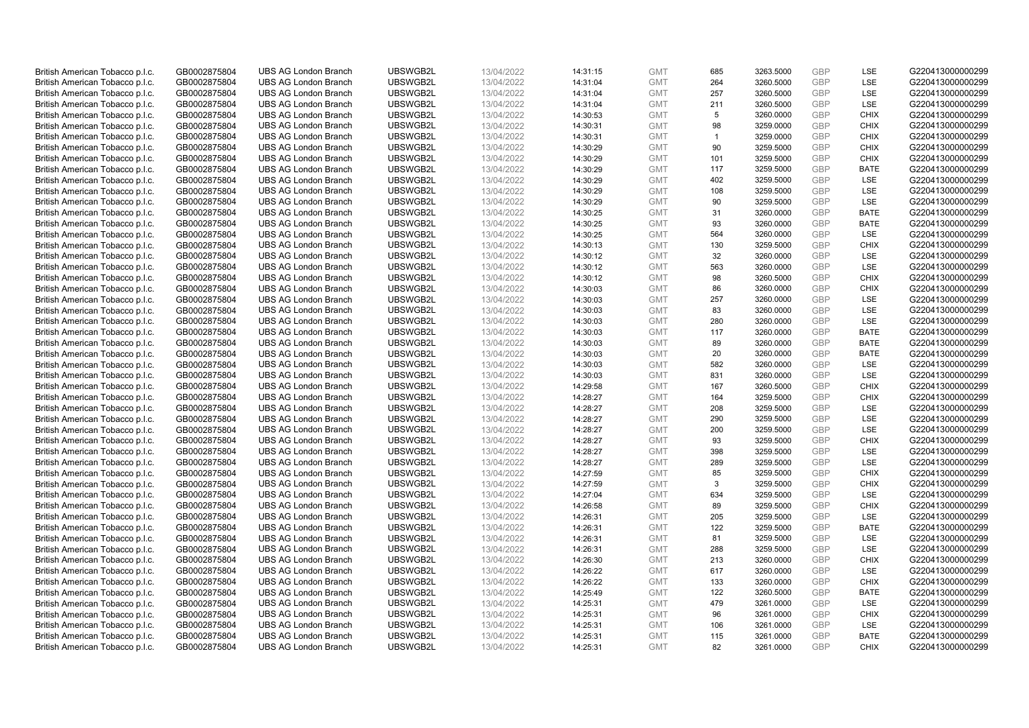| British American Tobacco p.l.c. | GB0002875804                 | <b>UBS AG London Branch</b> | UBSWGB2L | 13/04/2022               | 14:31:15 | <b>GMT</b> | 685            | 3263.5000 | <b>GBP</b> | <b>LSE</b>  | G220413000000299 |
|---------------------------------|------------------------------|-----------------------------|----------|--------------------------|----------|------------|----------------|-----------|------------|-------------|------------------|
| British American Tobacco p.l.c. | GB0002875804                 | <b>UBS AG London Branch</b> | UBSWGB2L | 13/04/2022               | 14:31:04 | <b>GMT</b> | 264            | 3260.5000 | <b>GBP</b> | LSE         | G220413000000299 |
|                                 |                              | <b>UBS AG London Branch</b> | UBSWGB2L |                          |          | <b>GMT</b> |                | 3260.5000 | <b>GBP</b> | LSE         | G220413000000299 |
| British American Tobacco p.l.c. | GB0002875804                 |                             |          | 13/04/2022               | 14:31:04 |            | 257            |           |            |             |                  |
| British American Tobacco p.l.c. | GB0002875804                 | <b>UBS AG London Branch</b> | UBSWGB2L | 13/04/2022               | 14:31:04 | <b>GMT</b> | 211            | 3260.5000 | <b>GBP</b> | LSE         | G220413000000299 |
| British American Tobacco p.l.c. | GB0002875804                 | <b>UBS AG London Branch</b> | UBSWGB2L | 13/04/2022               | 14:30:53 | <b>GMT</b> | 5              | 3260.0000 | <b>GBP</b> | <b>CHIX</b> | G220413000000299 |
| British American Tobacco p.l.c. | GB0002875804                 | <b>UBS AG London Branch</b> | UBSWGB2L | 13/04/2022               | 14:30:31 | <b>GMT</b> | 98             | 3259.0000 | <b>GBP</b> | <b>CHIX</b> | G220413000000299 |
| British American Tobacco p.l.c. | GB0002875804                 | <b>UBS AG London Branch</b> | UBSWGB2L | 13/04/2022               | 14:30:31 | <b>GMT</b> | $\overline{1}$ | 3259.0000 | <b>GBP</b> | <b>CHIX</b> | G220413000000299 |
| British American Tobacco p.l.c. | GB0002875804                 | <b>UBS AG London Branch</b> | UBSWGB2L | 13/04/2022               | 14:30:29 | <b>GMT</b> | 90             | 3259.5000 | <b>GBP</b> | <b>CHIX</b> | G220413000000299 |
| British American Tobacco p.l.c. | GB0002875804                 | <b>UBS AG London Branch</b> | UBSWGB2L | 13/04/2022               | 14:30:29 | <b>GMT</b> | 101            | 3259.5000 | <b>GBP</b> | <b>CHIX</b> | G220413000000299 |
| British American Tobacco p.l.c. | GB0002875804                 | <b>UBS AG London Branch</b> | UBSWGB2L | 13/04/2022               | 14:30:29 | <b>GMT</b> | 117            | 3259.5000 | <b>GBP</b> | <b>BATE</b> | G220413000000299 |
| British American Tobacco p.l.c. | GB0002875804                 | <b>UBS AG London Branch</b> | UBSWGB2L | 13/04/2022               | 14:30:29 | <b>GMT</b> | 402            | 3259.5000 | <b>GBP</b> | <b>LSE</b>  | G220413000000299 |
| British American Tobacco p.l.c. | GB0002875804                 | <b>UBS AG London Branch</b> | UBSWGB2L | 13/04/2022               | 14:30:29 | <b>GMT</b> | 108            | 3259.5000 | <b>GBP</b> | LSE         | G220413000000299 |
| British American Tobacco p.l.c. | GB0002875804                 | <b>UBS AG London Branch</b> | UBSWGB2L | 13/04/2022               | 14:30:29 | <b>GMT</b> | 90             | 3259.5000 | <b>GBP</b> | LSE         | G220413000000299 |
| British American Tobacco p.l.c. | GB0002875804                 | <b>UBS AG London Branch</b> | UBSWGB2L | 13/04/2022               | 14:30:25 | <b>GMT</b> | 31             | 3260.0000 | <b>GBP</b> | <b>BATE</b> | G220413000000299 |
| British American Tobacco p.l.c. | GB0002875804                 | <b>UBS AG London Branch</b> | UBSWGB2L | 13/04/2022               | 14:30:25 | <b>GMT</b> | 93             | 3260.0000 | <b>GBP</b> | <b>BATE</b> | G220413000000299 |
| British American Tobacco p.l.c. | GB0002875804                 | <b>UBS AG London Branch</b> | UBSWGB2L | 13/04/2022               | 14:30:25 | <b>GMT</b> | 564            | 3260.0000 | <b>GBP</b> | <b>LSE</b>  | G220413000000299 |
| British American Tobacco p.l.c. | GB0002875804                 | <b>UBS AG London Branch</b> | UBSWGB2L | 13/04/2022               | 14:30:13 | <b>GMT</b> | 130            | 3259.5000 | <b>GBP</b> | <b>CHIX</b> | G220413000000299 |
| British American Tobacco p.l.c. | GB0002875804                 | <b>UBS AG London Branch</b> | UBSWGB2L | 13/04/2022               | 14:30:12 | <b>GMT</b> | 32             | 3260.0000 | <b>GBP</b> | <b>LSE</b>  | G220413000000299 |
|                                 |                              | <b>UBS AG London Branch</b> | UBSWGB2L |                          | 14:30:12 | <b>GMT</b> | 563            | 3260.0000 | <b>GBP</b> | <b>LSE</b>  | G220413000000299 |
| British American Tobacco p.l.c. | GB0002875804<br>GB0002875804 | <b>UBS AG London Branch</b> | UBSWGB2L | 13/04/2022<br>13/04/2022 |          | <b>GMT</b> | 98             |           | <b>GBP</b> | <b>CHIX</b> | G220413000000299 |
| British American Tobacco p.l.c. |                              |                             |          |                          | 14:30:12 |            |                | 3260.5000 |            |             |                  |
| British American Tobacco p.l.c. | GB0002875804                 | <b>UBS AG London Branch</b> | UBSWGB2L | 13/04/2022               | 14:30:03 | <b>GMT</b> | 86             | 3260.0000 | <b>GBP</b> | <b>CHIX</b> | G220413000000299 |
| British American Tobacco p.l.c. | GB0002875804                 | <b>UBS AG London Branch</b> | UBSWGB2L | 13/04/2022               | 14:30:03 | <b>GMT</b> | 257            | 3260.0000 | <b>GBP</b> | LSE         | G220413000000299 |
| British American Tobacco p.l.c. | GB0002875804                 | <b>UBS AG London Branch</b> | UBSWGB2L | 13/04/2022               | 14:30:03 | <b>GMT</b> | 83             | 3260.0000 | <b>GBP</b> | LSE         | G220413000000299 |
| British American Tobacco p.l.c. | GB0002875804                 | <b>UBS AG London Branch</b> | UBSWGB2L | 13/04/2022               | 14:30:03 | <b>GMT</b> | 280            | 3260.0000 | <b>GBP</b> | <b>LSE</b>  | G220413000000299 |
| British American Tobacco p.l.c. | GB0002875804                 | <b>UBS AG London Branch</b> | UBSWGB2L | 13/04/2022               | 14:30:03 | <b>GMT</b> | 117            | 3260.0000 | <b>GBP</b> | <b>BATE</b> | G220413000000299 |
| British American Tobacco p.l.c. | GB0002875804                 | <b>UBS AG London Branch</b> | UBSWGB2L | 13/04/2022               | 14:30:03 | <b>GMT</b> | 89             | 3260.0000 | <b>GBP</b> | <b>BATE</b> | G220413000000299 |
| British American Tobacco p.l.c. | GB0002875804                 | <b>UBS AG London Branch</b> | UBSWGB2L | 13/04/2022               | 14:30:03 | <b>GMT</b> | 20             | 3260.0000 | <b>GBP</b> | <b>BATE</b> | G220413000000299 |
| British American Tobacco p.l.c. | GB0002875804                 | <b>UBS AG London Branch</b> | UBSWGB2L | 13/04/2022               | 14:30:03 | <b>GMT</b> | 582            | 3260.0000 | <b>GBP</b> | LSE         | G220413000000299 |
| British American Tobacco p.l.c. | GB0002875804                 | <b>UBS AG London Branch</b> | UBSWGB2L | 13/04/2022               | 14:30:03 | <b>GMT</b> | 831            | 3260.0000 | <b>GBP</b> | LSE         | G220413000000299 |
| British American Tobacco p.l.c. | GB0002875804                 | <b>UBS AG London Branch</b> | UBSWGB2L | 13/04/2022               | 14:29:58 | <b>GMT</b> | 167            | 3260.5000 | <b>GBP</b> | <b>CHIX</b> | G220413000000299 |
| British American Tobacco p.l.c. | GB0002875804                 | <b>UBS AG London Branch</b> | UBSWGB2L | 13/04/2022               | 14:28:27 | <b>GMT</b> | 164            | 3259.5000 | <b>GBP</b> | <b>CHIX</b> | G220413000000299 |
| British American Tobacco p.l.c. | GB0002875804                 | <b>UBS AG London Branch</b> | UBSWGB2L | 13/04/2022               | 14:28:27 | <b>GMT</b> | 208            | 3259.5000 | <b>GBP</b> | <b>LSE</b>  | G220413000000299 |
| British American Tobacco p.l.c. | GB0002875804                 | <b>UBS AG London Branch</b> | UBSWGB2L | 13/04/2022               | 14:28:27 | <b>GMT</b> | 290            | 3259.5000 | <b>GBP</b> | LSE         | G220413000000299 |
| British American Tobacco p.l.c. | GB0002875804                 | <b>UBS AG London Branch</b> | UBSWGB2L | 13/04/2022               | 14:28:27 | <b>GMT</b> | 200            | 3259.5000 | <b>GBP</b> | LSE         | G220413000000299 |
| British American Tobacco p.l.c. | GB0002875804                 | <b>UBS AG London Branch</b> | UBSWGB2L | 13/04/2022               | 14:28:27 | <b>GMT</b> | 93             | 3259.5000 | <b>GBP</b> | <b>CHIX</b> | G220413000000299 |
| British American Tobacco p.l.c. | GB0002875804                 | <b>UBS AG London Branch</b> | UBSWGB2L | 13/04/2022               | 14:28:27 | <b>GMT</b> | 398            | 3259.5000 | <b>GBP</b> | LSE         | G220413000000299 |
| British American Tobacco p.l.c. | GB0002875804                 | <b>UBS AG London Branch</b> | UBSWGB2L | 13/04/2022               | 14:28:27 | <b>GMT</b> | 289            | 3259.5000 | <b>GBP</b> | LSE         | G220413000000299 |
| British American Tobacco p.l.c. | GB0002875804                 | <b>UBS AG London Branch</b> | UBSWGB2L | 13/04/2022               | 14:27:59 | <b>GMT</b> | 85             | 3259.5000 | <b>GBP</b> | <b>CHIX</b> | G220413000000299 |
| British American Tobacco p.l.c. | GB0002875804                 | <b>UBS AG London Branch</b> | UBSWGB2L | 13/04/2022               | 14:27:59 | <b>GMT</b> | 3              | 3259.5000 | <b>GBP</b> | <b>CHIX</b> | G220413000000299 |
| British American Tobacco p.l.c. | GB0002875804                 | <b>UBS AG London Branch</b> | UBSWGB2L | 13/04/2022               | 14:27:04 | <b>GMT</b> | 634            | 3259.5000 | <b>GBP</b> | <b>LSE</b>  | G220413000000299 |
| British American Tobacco p.l.c. | GB0002875804                 | <b>UBS AG London Branch</b> | UBSWGB2L | 13/04/2022               | 14:26:58 | <b>GMT</b> | 89             | 3259.5000 | <b>GBP</b> | <b>CHIX</b> | G220413000000299 |
| British American Tobacco p.l.c. | GB0002875804                 | <b>UBS AG London Branch</b> | UBSWGB2L | 13/04/2022               | 14:26:31 | <b>GMT</b> | 205            | 3259.5000 | <b>GBP</b> | <b>LSE</b>  | G220413000000299 |
| British American Tobacco p.l.c. | GB0002875804                 | <b>UBS AG London Branch</b> | UBSWGB2L | 13/04/2022               | 14:26:31 | <b>GMT</b> | 122            | 3259.5000 | <b>GBP</b> | <b>BATE</b> | G220413000000299 |
| British American Tobacco p.l.c. | GB0002875804                 | <b>UBS AG London Branch</b> | UBSWGB2L | 13/04/2022               | 14:26:31 | <b>GMT</b> | 81             | 3259.5000 | <b>GBP</b> | LSE         | G220413000000299 |
| British American Tobacco p.l.c. | GB0002875804                 | UBS AG London Branch        | UBSWGB2L | 13/04/2022               | 14:26:31 | <b>GMT</b> | 288            | 3259.5000 | <b>GBP</b> | LSE         | G220413000000299 |
| British American Tobacco p.l.c. | GB0002875804                 | <b>UBS AG London Branch</b> | UBSWGB2L | 13/04/2022               | 14:26:30 | <b>GMT</b> | 213            | 3260.0000 | <b>GBP</b> | <b>CHIX</b> | G220413000000299 |
| British American Tobacco p.l.c. | GB0002875804                 | <b>UBS AG London Branch</b> | UBSWGB2L | 13/04/2022               | 14:26:22 | <b>GMT</b> | 617            | 3260.0000 | <b>GBP</b> | LSE         | G220413000000299 |
| British American Tobacco p.l.c. | GB0002875804                 | <b>UBS AG London Branch</b> | UBSWGB2L | 13/04/2022               | 14:26:22 | <b>GMT</b> | 133            | 3260.0000 | <b>GBP</b> | <b>CHIX</b> | G220413000000299 |
|                                 |                              |                             |          |                          |          | <b>GMT</b> |                |           | <b>GBP</b> |             |                  |
| British American Tobacco p.l.c. | GB0002875804                 | <b>UBS AG London Branch</b> | UBSWGB2L | 13/04/2022               | 14:25:49 |            | 122            | 3260.5000 |            | <b>BATE</b> | G220413000000299 |
| British American Tobacco p.l.c. | GB0002875804                 | <b>UBS AG London Branch</b> | UBSWGB2L | 13/04/2022               | 14:25:31 | <b>GMT</b> | 479            | 3261.0000 | <b>GBP</b> | <b>LSE</b>  | G220413000000299 |
| British American Tobacco p.l.c. | GB0002875804                 | <b>UBS AG London Branch</b> | UBSWGB2L | 13/04/2022               | 14:25:31 | <b>GMT</b> | 96             | 3261.0000 | <b>GBP</b> | <b>CHIX</b> | G220413000000299 |
| British American Tobacco p.l.c. | GB0002875804                 | <b>UBS AG London Branch</b> | UBSWGB2L | 13/04/2022               | 14:25:31 | <b>GMT</b> | 106            | 3261.0000 | <b>GBP</b> | LSE         | G220413000000299 |
| British American Tobacco p.l.c. | GB0002875804                 | <b>UBS AG London Branch</b> | UBSWGB2L | 13/04/2022               | 14:25:31 | <b>GMT</b> | 115            | 3261.0000 | <b>GBP</b> | <b>BATE</b> | G220413000000299 |
| British American Tobacco p.l.c. | GB0002875804                 | <b>UBS AG London Branch</b> | UBSWGB2L | 13/04/2022               | 14:25:31 | <b>GMT</b> | 82             | 3261.0000 | <b>GBP</b> | <b>CHIX</b> | G220413000000299 |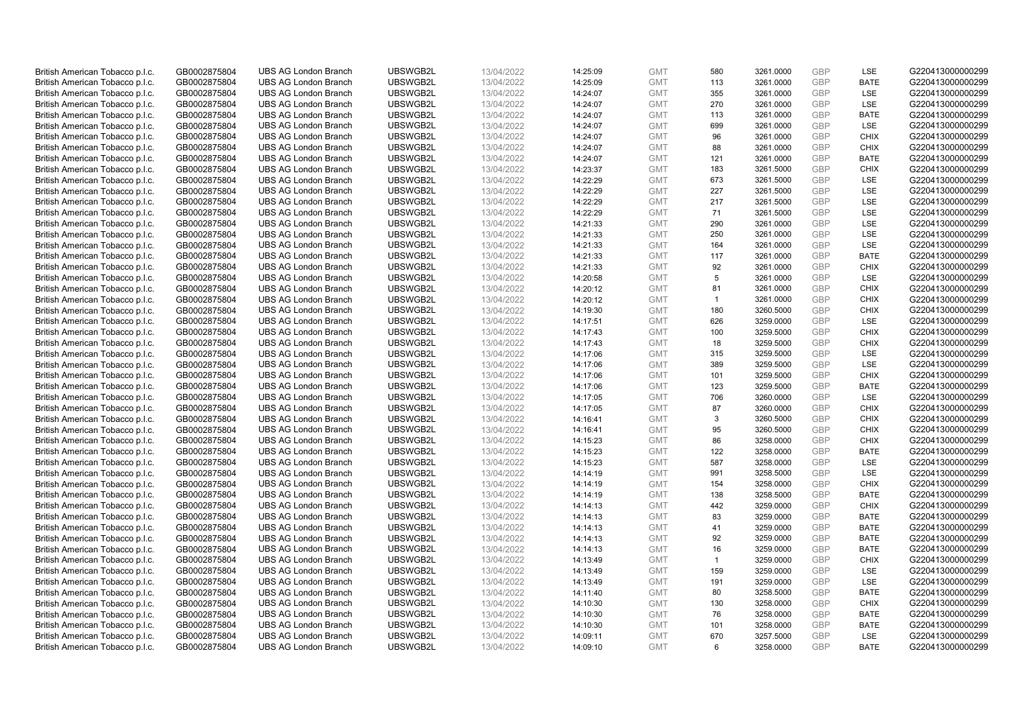| British American Tobacco p.l.c. | GB0002875804                 | <b>UBS AG London Branch</b> | UBSWGB2L | 13/04/2022               | 14:25:09 | <b>GMT</b> | 580            | 3261.0000 | <b>GBP</b> | LSE         | G220413000000299 |
|---------------------------------|------------------------------|-----------------------------|----------|--------------------------|----------|------------|----------------|-----------|------------|-------------|------------------|
| British American Tobacco p.l.c. | GB0002875804                 | <b>UBS AG London Branch</b> | UBSWGB2L | 13/04/2022               | 14:25:09 | <b>GMT</b> | 113            | 3261.0000 | <b>GBP</b> | <b>BATE</b> | G220413000000299 |
|                                 |                              | <b>UBS AG London Branch</b> | UBSWGB2L |                          |          | <b>GMT</b> | 355            | 3261.0000 | <b>GBP</b> | LSE         | G220413000000299 |
| British American Tobacco p.l.c. | GB0002875804                 |                             |          | 13/04/2022               | 14:24:07 |            |                |           |            |             |                  |
| British American Tobacco p.l.c. | GB0002875804                 | <b>UBS AG London Branch</b> | UBSWGB2L | 13/04/2022               | 14:24:07 | <b>GMT</b> | 270            | 3261.0000 | GBP        | LSE         | G220413000000299 |
| British American Tobacco p.l.c. | GB0002875804                 | <b>UBS AG London Branch</b> | UBSWGB2L | 13/04/2022               | 14:24:07 | <b>GMT</b> | 113            | 3261.0000 | <b>GBP</b> | <b>BATE</b> | G220413000000299 |
| British American Tobacco p.l.c. | GB0002875804                 | <b>UBS AG London Branch</b> | UBSWGB2L | 13/04/2022               | 14:24:07 | <b>GMT</b> | 699            | 3261.0000 | <b>GBP</b> | <b>LSE</b>  | G220413000000299 |
| British American Tobacco p.l.c. | GB0002875804                 | <b>UBS AG London Branch</b> | UBSWGB2L | 13/04/2022               | 14:24:07 | <b>GMT</b> | 96             | 3261.0000 | <b>GBP</b> | <b>CHIX</b> | G220413000000299 |
| British American Tobacco p.l.c. | GB0002875804                 | <b>UBS AG London Branch</b> | UBSWGB2L | 13/04/2022               | 14:24:07 | <b>GMT</b> | 88             | 3261.0000 | <b>GBP</b> | <b>CHIX</b> | G220413000000299 |
| British American Tobacco p.l.c. | GB0002875804                 | <b>UBS AG London Branch</b> | UBSWGB2L | 13/04/2022               | 14:24:07 | <b>GMT</b> | 121            | 3261.0000 | <b>GBP</b> | <b>BATE</b> | G220413000000299 |
| British American Tobacco p.l.c. | GB0002875804                 | <b>UBS AG London Branch</b> | UBSWGB2L | 13/04/2022               | 14:23:37 | <b>GMT</b> | 183            | 3261.5000 | <b>GBP</b> | <b>CHIX</b> | G220413000000299 |
| British American Tobacco p.l.c. | GB0002875804                 | <b>UBS AG London Branch</b> | UBSWGB2L | 13/04/2022               | 14:22:29 | <b>GMT</b> | 673            | 3261.5000 | <b>GBP</b> | <b>LSE</b>  | G220413000000299 |
| British American Tobacco p.l.c. | GB0002875804                 | <b>UBS AG London Branch</b> | UBSWGB2L | 13/04/2022               | 14:22:29 | <b>GMT</b> | 227            | 3261.5000 | <b>GBP</b> | LSE         | G220413000000299 |
| British American Tobacco p.l.c. | GB0002875804                 | <b>UBS AG London Branch</b> | UBSWGB2L | 13/04/2022               | 14:22:29 | <b>GMT</b> | 217            | 3261.5000 | <b>GBP</b> | LSE         | G220413000000299 |
| British American Tobacco p.l.c. | GB0002875804                 | <b>UBS AG London Branch</b> | UBSWGB2L | 13/04/2022               | 14:22:29 | <b>GMT</b> | 71             | 3261.5000 | <b>GBP</b> | LSE         | G220413000000299 |
| British American Tobacco p.l.c. | GB0002875804                 | <b>UBS AG London Branch</b> | UBSWGB2L | 13/04/2022               | 14:21:33 | <b>GMT</b> | 290            | 3261.0000 | <b>GBP</b> | LSE         | G220413000000299 |
| British American Tobacco p.l.c. | GB0002875804                 | <b>UBS AG London Branch</b> | UBSWGB2L | 13/04/2022               | 14:21:33 | <b>GMT</b> | 250            | 3261.0000 | <b>GBP</b> | LSE         | G220413000000299 |
| British American Tobacco p.l.c. | GB0002875804                 | <b>UBS AG London Branch</b> | UBSWGB2L | 13/04/2022               | 14:21:33 | <b>GMT</b> | 164            | 3261.0000 | <b>GBP</b> | LSE         | G220413000000299 |
| British American Tobacco p.l.c. | GB0002875804                 | <b>UBS AG London Branch</b> | UBSWGB2L | 13/04/2022               | 14:21:33 | <b>GMT</b> | 117            | 3261.0000 | <b>GBP</b> | <b>BATE</b> | G220413000000299 |
|                                 |                              | <b>UBS AG London Branch</b> | UBSWGB2L |                          | 14:21:33 | <b>GMT</b> | 92             | 3261.0000 | <b>GBP</b> | <b>CHIX</b> | G220413000000299 |
| British American Tobacco p.l.c. | GB0002875804<br>GB0002875804 | <b>UBS AG London Branch</b> | UBSWGB2L | 13/04/2022<br>13/04/2022 | 14:20:58 | <b>GMT</b> |                |           | <b>GBP</b> | LSE         | G220413000000299 |
| British American Tobacco p.l.c. |                              |                             |          |                          |          |            | 5              | 3261.0000 |            |             |                  |
| British American Tobacco p.l.c. | GB0002875804                 | <b>UBS AG London Branch</b> | UBSWGB2L | 13/04/2022               | 14:20:12 | <b>GMT</b> | 81             | 3261.0000 | <b>GBP</b> | <b>CHIX</b> | G220413000000299 |
| British American Tobacco p.l.c. | GB0002875804                 | <b>UBS AG London Branch</b> | UBSWGB2L | 13/04/2022               | 14:20:12 | <b>GMT</b> | $\mathbf{1}$   | 3261.0000 | <b>GBP</b> | <b>CHIX</b> | G220413000000299 |
| British American Tobacco p.l.c. | GB0002875804                 | <b>UBS AG London Branch</b> | UBSWGB2L | 13/04/2022               | 14:19:30 | <b>GMT</b> | 180            | 3260.5000 | <b>GBP</b> | <b>CHIX</b> | G220413000000299 |
| British American Tobacco p.l.c. | GB0002875804                 | <b>UBS AG London Branch</b> | UBSWGB2L | 13/04/2022               | 14:17:51 | <b>GMT</b> | 626            | 3259.0000 | <b>GBP</b> | <b>LSE</b>  | G220413000000299 |
| British American Tobacco p.l.c. | GB0002875804                 | <b>UBS AG London Branch</b> | UBSWGB2L | 13/04/2022               | 14:17:43 | <b>GMT</b> | 100            | 3259.5000 | <b>GBP</b> | <b>CHIX</b> | G220413000000299 |
| British American Tobacco p.l.c. | GB0002875804                 | <b>UBS AG London Branch</b> | UBSWGB2L | 13/04/2022               | 14:17:43 | <b>GMT</b> | 18             | 3259.5000 | <b>GBP</b> | <b>CHIX</b> | G220413000000299 |
| British American Tobacco p.l.c. | GB0002875804                 | <b>UBS AG London Branch</b> | UBSWGB2L | 13/04/2022               | 14:17:06 | <b>GMT</b> | 315            | 3259.5000 | <b>GBP</b> | <b>LSE</b>  | G220413000000299 |
| British American Tobacco p.l.c. | GB0002875804                 | <b>UBS AG London Branch</b> | UBSWGB2L | 13/04/2022               | 14:17:06 | <b>GMT</b> | 389            | 3259.5000 | <b>GBP</b> | LSE         | G220413000000299 |
| British American Tobacco p.l.c. | GB0002875804                 | <b>UBS AG London Branch</b> | UBSWGB2L | 13/04/2022               | 14:17:06 | <b>GMT</b> | 101            | 3259.5000 | <b>GBP</b> | <b>CHIX</b> | G220413000000299 |
| British American Tobacco p.l.c. | GB0002875804                 | <b>UBS AG London Branch</b> | UBSWGB2L | 13/04/2022               | 14:17:06 | <b>GMT</b> | 123            | 3259.5000 | <b>GBP</b> | <b>BATE</b> | G220413000000299 |
| British American Tobacco p.l.c. | GB0002875804                 | <b>UBS AG London Branch</b> | UBSWGB2L | 13/04/2022               | 14:17:05 | <b>GMT</b> | 706            | 3260.0000 | <b>GBP</b> | LSE         | G220413000000299 |
| British American Tobacco p.l.c. | GB0002875804                 | <b>UBS AG London Branch</b> | UBSWGB2L | 13/04/2022               | 14:17:05 | <b>GMT</b> | 87             | 3260.0000 | <b>GBP</b> | <b>CHIX</b> | G220413000000299 |
| British American Tobacco p.l.c. | GB0002875804                 | <b>UBS AG London Branch</b> | UBSWGB2L | 13/04/2022               | 14:16:41 | <b>GMT</b> | 3              | 3260.5000 | <b>GBP</b> | <b>CHIX</b> | G220413000000299 |
| British American Tobacco p.l.c. | GB0002875804                 | <b>UBS AG London Branch</b> | UBSWGB2L | 13/04/2022               | 14:16:41 | <b>GMT</b> | 95             | 3260.5000 | <b>GBP</b> | <b>CHIX</b> | G220413000000299 |
| British American Tobacco p.l.c. | GB0002875804                 | <b>UBS AG London Branch</b> | UBSWGB2L | 13/04/2022               | 14:15:23 | <b>GMT</b> | 86             | 3258.0000 | <b>GBP</b> | <b>CHIX</b> | G220413000000299 |
| British American Tobacco p.l.c. | GB0002875804                 | <b>UBS AG London Branch</b> | UBSWGB2L | 13/04/2022               | 14:15:23 | <b>GMT</b> | 122            | 3258.0000 | <b>GBP</b> | <b>BATE</b> | G220413000000299 |
| British American Tobacco p.l.c. | GB0002875804                 | <b>UBS AG London Branch</b> | UBSWGB2L | 13/04/2022               | 14:15:23 | <b>GMT</b> | 587            | 3258.0000 | <b>GBP</b> | LSE         | G220413000000299 |
| British American Tobacco p.l.c. | GB0002875804                 | <b>UBS AG London Branch</b> | UBSWGB2L | 13/04/2022               | 14:14:19 | <b>GMT</b> | 991            | 3258.5000 | <b>GBP</b> | LSE         | G220413000000299 |
| British American Tobacco p.l.c. | GB0002875804                 | <b>UBS AG London Branch</b> | UBSWGB2L | 13/04/2022               | 14:14:19 | <b>GMT</b> | 154            | 3258.0000 | <b>GBP</b> | <b>CHIX</b> | G220413000000299 |
| British American Tobacco p.l.c. | GB0002875804                 | UBS AG London Branch        | UBSWGB2L | 13/04/2022               | 14:14:19 | <b>GMT</b> | 138            | 3258.5000 | <b>GBP</b> | <b>BATE</b> | G220413000000299 |
| British American Tobacco p.l.c. | GB0002875804                 | <b>UBS AG London Branch</b> | UBSWGB2L | 13/04/2022               | 14:14:13 | <b>GMT</b> | 442            | 3259.0000 | <b>GBP</b> | <b>CHIX</b> | G220413000000299 |
|                                 |                              |                             | UBSWGB2L |                          |          |            | 83             |           | <b>GBP</b> | <b>BATE</b> |                  |
| British American Tobacco p.l.c. | GB0002875804                 | <b>UBS AG London Branch</b> |          | 13/04/2022               | 14:14:13 | <b>GMT</b> |                | 3259.0000 | <b>GBP</b> |             | G220413000000299 |
| British American Tobacco p.l.c. | GB0002875804                 | <b>UBS AG London Branch</b> | UBSWGB2L | 13/04/2022               | 14:14:13 | <b>GMT</b> | 41             | 3259.0000 |            | <b>BATE</b> | G220413000000299 |
| British American Tobacco p.l.c. | GB0002875804                 | <b>UBS AG London Branch</b> | UBSWGB2L | 13/04/2022               | 14:14:13 | <b>GMT</b> | 92             | 3259.0000 | <b>GBP</b> | <b>BATE</b> | G220413000000299 |
| British American Tobacco p.l.c. | GB0002875804                 | UBS AG London Branch        | UBSWGB2L | 13/04/2022               | 14:14:13 | <b>GMT</b> | 16             | 3259.0000 | <b>GBP</b> | <b>BATE</b> | G220413000000299 |
| British American Tobacco p.l.c. | GB0002875804                 | <b>UBS AG London Branch</b> | UBSWGB2L | 13/04/2022               | 14:13:49 | <b>GMT</b> | $\overline{1}$ | 3259.0000 | <b>GBP</b> | <b>CHIX</b> | G220413000000299 |
| British American Tobacco p.l.c. | GB0002875804                 | <b>UBS AG London Branch</b> | UBSWGB2L | 13/04/2022               | 14:13:49 | <b>GMT</b> | 159            | 3259.0000 | <b>GBP</b> | LSE         | G220413000000299 |
| British American Tobacco p.l.c. | GB0002875804                 | <b>UBS AG London Branch</b> | UBSWGB2L | 13/04/2022               | 14:13:49 | <b>GMT</b> | 191            | 3259.0000 | <b>GBP</b> | LSE         | G220413000000299 |
| British American Tobacco p.l.c. | GB0002875804                 | <b>UBS AG London Branch</b> | UBSWGB2L | 13/04/2022               | 14:11:40 | <b>GMT</b> | 80             | 3258.5000 | <b>GBP</b> | <b>BATE</b> | G220413000000299 |
| British American Tobacco p.l.c. | GB0002875804                 | <b>UBS AG London Branch</b> | UBSWGB2L | 13/04/2022               | 14:10:30 | <b>GMT</b> | 130            | 3258.0000 | <b>GBP</b> | <b>CHIX</b> | G220413000000299 |
| British American Tobacco p.l.c. | GB0002875804                 | <b>UBS AG London Branch</b> | UBSWGB2L | 13/04/2022               | 14:10:30 | <b>GMT</b> | 76             | 3258.0000 | <b>GBP</b> | <b>BATE</b> | G220413000000299 |
| British American Tobacco p.l.c. | GB0002875804                 | <b>UBS AG London Branch</b> | UBSWGB2L | 13/04/2022               | 14:10:30 | <b>GMT</b> | 101            | 3258.0000 | <b>GBP</b> | <b>BATE</b> | G220413000000299 |
| British American Tobacco p.l.c. | GB0002875804                 | <b>UBS AG London Branch</b> | UBSWGB2L | 13/04/2022               | 14:09:11 | <b>GMT</b> | 670            | 3257.5000 | <b>GBP</b> | <b>LSE</b>  | G220413000000299 |
| British American Tobacco p.l.c. | GB0002875804                 | <b>UBS AG London Branch</b> | UBSWGB2L | 13/04/2022               | 14:09:10 | <b>GMT</b> | 6              | 3258.0000 | <b>GBP</b> | <b>BATE</b> | G220413000000299 |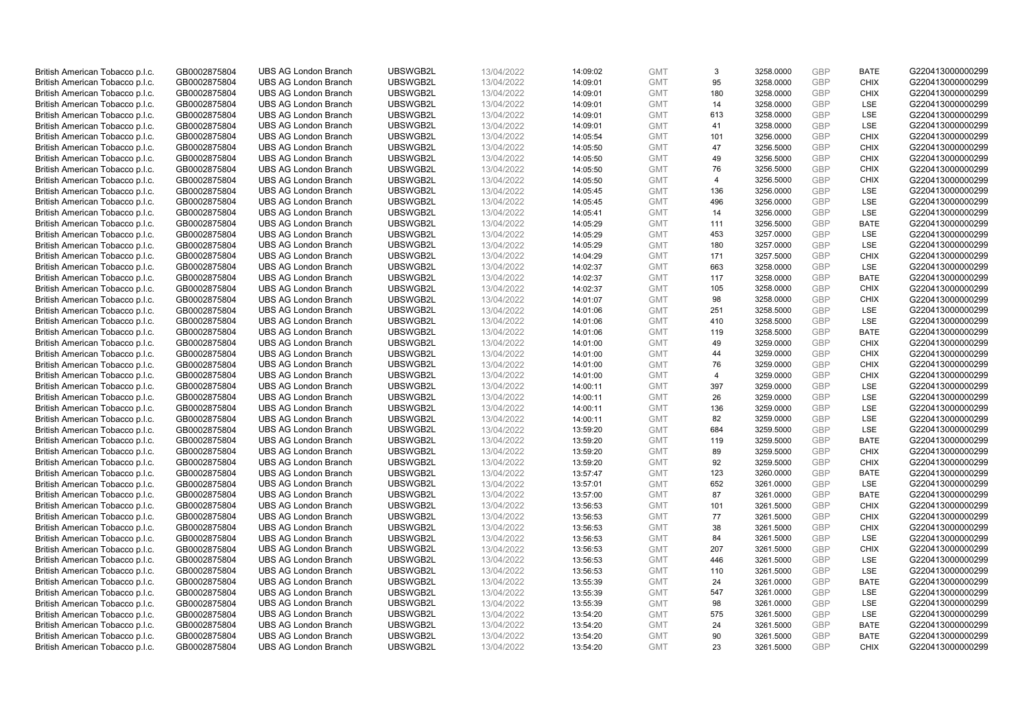| British American Tobacco p.l.c. | GB0002875804 | <b>UBS AG London Branch</b> | UBSWGB2L | 13/04/2022 | 14:09:02 | <b>GMT</b> | 3              | 3258.0000 | <b>GBP</b> | <b>BATE</b> | G220413000000299 |
|---------------------------------|--------------|-----------------------------|----------|------------|----------|------------|----------------|-----------|------------|-------------|------------------|
| British American Tobacco p.l.c. | GB0002875804 | <b>UBS AG London Branch</b> | UBSWGB2L | 13/04/2022 | 14:09:01 | <b>GMT</b> | 95             | 3258.0000 | <b>GBP</b> | <b>CHIX</b> | G220413000000299 |
|                                 |              | <b>UBS AG London Branch</b> | UBSWGB2L |            |          | <b>GMT</b> | 180            | 3258.0000 | <b>GBP</b> | <b>CHIX</b> | G220413000000299 |
| British American Tobacco p.l.c. | GB0002875804 |                             |          | 13/04/2022 | 14:09:01 |            |                |           |            |             |                  |
| British American Tobacco p.l.c. | GB0002875804 | <b>UBS AG London Branch</b> | UBSWGB2L | 13/04/2022 | 14:09:01 | <b>GMT</b> | 14             | 3258.0000 | <b>GBP</b> | LSE         | G220413000000299 |
| British American Tobacco p.l.c. | GB0002875804 | <b>UBS AG London Branch</b> | UBSWGB2L | 13/04/2022 | 14:09:01 | <b>GMT</b> | 613            | 3258.0000 | <b>GBP</b> | LSE         | G220413000000299 |
| British American Tobacco p.l.c. | GB0002875804 | <b>UBS AG London Branch</b> | UBSWGB2L | 13/04/2022 | 14:09:01 | <b>GMT</b> | 41             | 3258.0000 | <b>GBP</b> | <b>LSE</b>  | G220413000000299 |
| British American Tobacco p.l.c. | GB0002875804 | <b>UBS AG London Branch</b> | UBSWGB2L | 13/04/2022 | 14:05:54 | <b>GMT</b> | 101            | 3256.0000 | <b>GBP</b> | <b>CHIX</b> | G220413000000299 |
| British American Tobacco p.l.c. | GB0002875804 | <b>UBS AG London Branch</b> | UBSWGB2L | 13/04/2022 | 14:05:50 | <b>GMT</b> | 47             | 3256.5000 | <b>GBP</b> | <b>CHIX</b> | G220413000000299 |
| British American Tobacco p.l.c. | GB0002875804 | <b>UBS AG London Branch</b> | UBSWGB2L | 13/04/2022 | 14:05:50 | <b>GMT</b> | 49             | 3256.5000 | <b>GBP</b> | <b>CHIX</b> | G220413000000299 |
| British American Tobacco p.l.c. | GB0002875804 | <b>UBS AG London Branch</b> | UBSWGB2L | 13/04/2022 | 14:05:50 | <b>GMT</b> | 76             | 3256.5000 | <b>GBP</b> | <b>CHIX</b> | G220413000000299 |
| British American Tobacco p.l.c. | GB0002875804 | <b>UBS AG London Branch</b> | UBSWGB2L | 13/04/2022 | 14:05:50 | <b>GMT</b> | $\overline{4}$ | 3256.5000 | <b>GBP</b> | <b>CHIX</b> | G220413000000299 |
| British American Tobacco p.l.c. | GB0002875804 | <b>UBS AG London Branch</b> | UBSWGB2L | 13/04/2022 | 14:05:45 | <b>GMT</b> | 136            | 3256.0000 | <b>GBP</b> | LSE         | G220413000000299 |
| British American Tobacco p.l.c. | GB0002875804 | <b>UBS AG London Branch</b> | UBSWGB2L | 13/04/2022 | 14:05:45 | <b>GMT</b> | 496            | 3256.0000 | <b>GBP</b> | LSE         | G220413000000299 |
| British American Tobacco p.l.c. | GB0002875804 | <b>UBS AG London Branch</b> | UBSWGB2L | 13/04/2022 | 14:05:41 | <b>GMT</b> | 14             | 3256.0000 | <b>GBP</b> | LSE         | G220413000000299 |
| British American Tobacco p.l.c. | GB0002875804 | <b>UBS AG London Branch</b> | UBSWGB2L | 13/04/2022 | 14:05:29 | <b>GMT</b> | 111            | 3256.5000 | <b>GBP</b> | <b>BATE</b> | G220413000000299 |
| British American Tobacco p.l.c. | GB0002875804 | <b>UBS AG London Branch</b> | UBSWGB2L | 13/04/2022 | 14:05:29 | <b>GMT</b> | 453            | 3257.0000 | <b>GBP</b> | LSE         | G220413000000299 |
| British American Tobacco p.l.c. | GB0002875804 | <b>UBS AG London Branch</b> | UBSWGB2L | 13/04/2022 | 14:05:29 | <b>GMT</b> | 180            | 3257.0000 | <b>GBP</b> | LSE         | G220413000000299 |
| British American Tobacco p.l.c. | GB0002875804 | <b>UBS AG London Branch</b> | UBSWGB2L | 13/04/2022 | 14:04:29 | <b>GMT</b> | 171            | 3257.5000 | <b>GBP</b> | <b>CHIX</b> | G220413000000299 |
|                                 |              | <b>UBS AG London Branch</b> | UBSWGB2L |            |          |            | 663            |           |            | <b>LSE</b>  |                  |
| British American Tobacco p.l.c. | GB0002875804 |                             |          | 13/04/2022 | 14:02:37 | <b>GMT</b> |                | 3258.0000 | <b>GBP</b> |             | G220413000000299 |
| British American Tobacco p.l.c. | GB0002875804 | <b>UBS AG London Branch</b> | UBSWGB2L | 13/04/2022 | 14:02:37 | <b>GMT</b> | 117            | 3258.0000 | <b>GBP</b> | <b>BATE</b> | G220413000000299 |
| British American Tobacco p.l.c. | GB0002875804 | <b>UBS AG London Branch</b> | UBSWGB2L | 13/04/2022 | 14:02:37 | <b>GMT</b> | 105            | 3258.0000 | <b>GBP</b> | <b>CHIX</b> | G220413000000299 |
| British American Tobacco p.l.c. | GB0002875804 | <b>UBS AG London Branch</b> | UBSWGB2L | 13/04/2022 | 14:01:07 | <b>GMT</b> | 98             | 3258.0000 | <b>GBP</b> | <b>CHIX</b> | G220413000000299 |
| British American Tobacco p.l.c. | GB0002875804 | <b>UBS AG London Branch</b> | UBSWGB2L | 13/04/2022 | 14:01:06 | <b>GMT</b> | 251            | 3258.5000 | <b>GBP</b> | LSE         | G220413000000299 |
| British American Tobacco p.l.c. | GB0002875804 | <b>UBS AG London Branch</b> | UBSWGB2L | 13/04/2022 | 14:01:06 | <b>GMT</b> | 410            | 3258.5000 | <b>GBP</b> | <b>LSE</b>  | G220413000000299 |
| British American Tobacco p.l.c. | GB0002875804 | <b>UBS AG London Branch</b> | UBSWGB2L | 13/04/2022 | 14:01:06 | <b>GMT</b> | 119            | 3258.5000 | <b>GBP</b> | <b>BATE</b> | G220413000000299 |
| British American Tobacco p.l.c. | GB0002875804 | <b>UBS AG London Branch</b> | UBSWGB2L | 13/04/2022 | 14:01:00 | <b>GMT</b> | 49             | 3259.0000 | <b>GBP</b> | <b>CHIX</b> | G220413000000299 |
| British American Tobacco p.l.c. | GB0002875804 | <b>UBS AG London Branch</b> | UBSWGB2L | 13/04/2022 | 14:01:00 | <b>GMT</b> | 44             | 3259.0000 | <b>GBP</b> | <b>CHIX</b> | G220413000000299 |
| British American Tobacco p.l.c. | GB0002875804 | <b>UBS AG London Branch</b> | UBSWGB2L | 13/04/2022 | 14:01:00 | <b>GMT</b> | 76             | 3259.0000 | <b>GBP</b> | <b>CHIX</b> | G220413000000299 |
| British American Tobacco p.l.c. | GB0002875804 | <b>UBS AG London Branch</b> | UBSWGB2L | 13/04/2022 | 14:01:00 | <b>GMT</b> | $\overline{4}$ | 3259.0000 | <b>GBP</b> | <b>CHIX</b> | G220413000000299 |
| British American Tobacco p.l.c. | GB0002875804 | UBS AG London Branch        | UBSWGB2L | 13/04/2022 | 14:00:11 | <b>GMT</b> | 397            | 3259.0000 | <b>GBP</b> | LSE         | G220413000000299 |
| British American Tobacco p.l.c. | GB0002875804 | <b>UBS AG London Branch</b> | UBSWGB2L | 13/04/2022 | 14:00:11 | <b>GMT</b> | 26             | 3259.0000 | <b>GBP</b> | LSE         | G220413000000299 |
| British American Tobacco p.l.c. | GB0002875804 | <b>UBS AG London Branch</b> | UBSWGB2L | 13/04/2022 | 14:00:11 | <b>GMT</b> | 136            | 3259.0000 | <b>GBP</b> | <b>LSE</b>  | G220413000000299 |
| British American Tobacco p.l.c. | GB0002875804 | <b>UBS AG London Branch</b> | UBSWGB2L | 13/04/2022 | 14:00:11 | <b>GMT</b> | 82             | 3259.0000 | <b>GBP</b> | LSE         | G220413000000299 |
| British American Tobacco p.l.c. | GB0002875804 | <b>UBS AG London Branch</b> | UBSWGB2L | 13/04/2022 | 13:59:20 | <b>GMT</b> | 684            | 3259.5000 | <b>GBP</b> | LSE         | G220413000000299 |
| British American Tobacco p.l.c. | GB0002875804 | <b>UBS AG London Branch</b> | UBSWGB2L | 13/04/2022 | 13:59:20 | <b>GMT</b> | 119            | 3259.5000 | <b>GBP</b> | <b>BATE</b> | G220413000000299 |
| British American Tobacco p.l.c. | GB0002875804 | <b>UBS AG London Branch</b> | UBSWGB2L | 13/04/2022 | 13:59:20 | <b>GMT</b> | 89             | 3259.5000 | <b>GBP</b> | <b>CHIX</b> | G220413000000299 |
| British American Tobacco p.l.c. | GB0002875804 | <b>UBS AG London Branch</b> | UBSWGB2L | 13/04/2022 | 13:59:20 | <b>GMT</b> | 92             | 3259.5000 | <b>GBP</b> | <b>CHIX</b> | G220413000000299 |
| British American Tobacco p.l.c. | GB0002875804 | <b>UBS AG London Branch</b> | UBSWGB2L | 13/04/2022 | 13:57:47 | <b>GMT</b> | 123            | 3260.0000 | <b>GBP</b> | <b>BATE</b> | G220413000000299 |
| British American Tobacco p.l.c. | GB0002875804 | <b>UBS AG London Branch</b> | UBSWGB2L | 13/04/2022 | 13:57:01 | <b>GMT</b> | 652            | 3261.0000 | <b>GBP</b> | LSE         | G220413000000299 |
| British American Tobacco p.l.c. | GB0002875804 | UBS AG London Branch        | UBSWGB2L | 13/04/2022 | 13:57:00 | <b>GMT</b> | 87             | 3261.0000 | <b>GBP</b> | <b>BATE</b> | G220413000000299 |
| British American Tobacco p.l.c. | GB0002875804 | <b>UBS AG London Branch</b> | UBSWGB2L | 13/04/2022 | 13:56:53 | <b>GMT</b> | 101            | 3261.5000 | <b>GBP</b> | <b>CHIX</b> | G220413000000299 |
| British American Tobacco p.l.c. | GB0002875804 | <b>UBS AG London Branch</b> | UBSWGB2L | 13/04/2022 | 13:56:53 | <b>GMT</b> | 77             | 3261.5000 | <b>GBP</b> | <b>CHIX</b> | G220413000000299 |
|                                 | GB0002875804 | <b>UBS AG London Branch</b> | UBSWGB2L | 13/04/2022 | 13:56:53 | <b>GMT</b> | 38             |           | <b>GBP</b> | <b>CHIX</b> | G220413000000299 |
| British American Tobacco p.l.c. |              |                             |          |            |          |            |                | 3261.5000 |            |             |                  |
| British American Tobacco p.l.c. | GB0002875804 | <b>UBS AG London Branch</b> | UBSWGB2L | 13/04/2022 | 13:56:53 | <b>GMT</b> | 84             | 3261.5000 | <b>GBP</b> | LSE         | G220413000000299 |
| British American Tobacco p.l.c. | GB0002875804 | UBS AG London Branch        | UBSWGB2L | 13/04/2022 | 13:56:53 | <b>GMT</b> | 207            | 3261.5000 | <b>GBP</b> | <b>CHIX</b> | G220413000000299 |
| British American Tobacco p.l.c. | GB0002875804 | <b>UBS AG London Branch</b> | UBSWGB2L | 13/04/2022 | 13:56:53 | <b>GMT</b> | 446            | 3261.5000 | <b>GBP</b> | LSE         | G220413000000299 |
| British American Tobacco p.l.c. | GB0002875804 | <b>UBS AG London Branch</b> | UBSWGB2L | 13/04/2022 | 13:56:53 | <b>GMT</b> | 110            | 3261.5000 | GBP        | LSE         | G220413000000299 |
| British American Tobacco p.l.c. | GB0002875804 | <b>UBS AG London Branch</b> | UBSWGB2L | 13/04/2022 | 13:55:39 | <b>GMT</b> | 24             | 3261.0000 | <b>GBP</b> | <b>BATE</b> | G220413000000299 |
| British American Tobacco p.l.c. | GB0002875804 | <b>UBS AG London Branch</b> | UBSWGB2L | 13/04/2022 | 13:55:39 | <b>GMT</b> | 547            | 3261.0000 | <b>GBP</b> | LSE         | G220413000000299 |
| British American Tobacco p.l.c. | GB0002875804 | <b>UBS AG London Branch</b> | UBSWGB2L | 13/04/2022 | 13:55:39 | <b>GMT</b> | 98             | 3261.0000 | <b>GBP</b> | LSE         | G220413000000299 |
| British American Tobacco p.l.c. | GB0002875804 | <b>UBS AG London Branch</b> | UBSWGB2L | 13/04/2022 | 13:54:20 | <b>GMT</b> | 575            | 3261.5000 | <b>GBP</b> | LSE         | G220413000000299 |
| British American Tobacco p.l.c. | GB0002875804 | <b>UBS AG London Branch</b> | UBSWGB2L | 13/04/2022 | 13:54:20 | <b>GMT</b> | 24             | 3261.5000 | <b>GBP</b> | <b>BATE</b> | G220413000000299 |
| British American Tobacco p.l.c. | GB0002875804 | <b>UBS AG London Branch</b> | UBSWGB2L | 13/04/2022 | 13:54:20 | <b>GMT</b> | 90             | 3261.5000 | <b>GBP</b> | <b>BATE</b> | G220413000000299 |
| British American Tobacco p.l.c. | GB0002875804 | <b>UBS AG London Branch</b> | UBSWGB2L | 13/04/2022 | 13:54:20 | <b>GMT</b> | 23             | 3261.5000 | <b>GBP</b> | <b>CHIX</b> | G220413000000299 |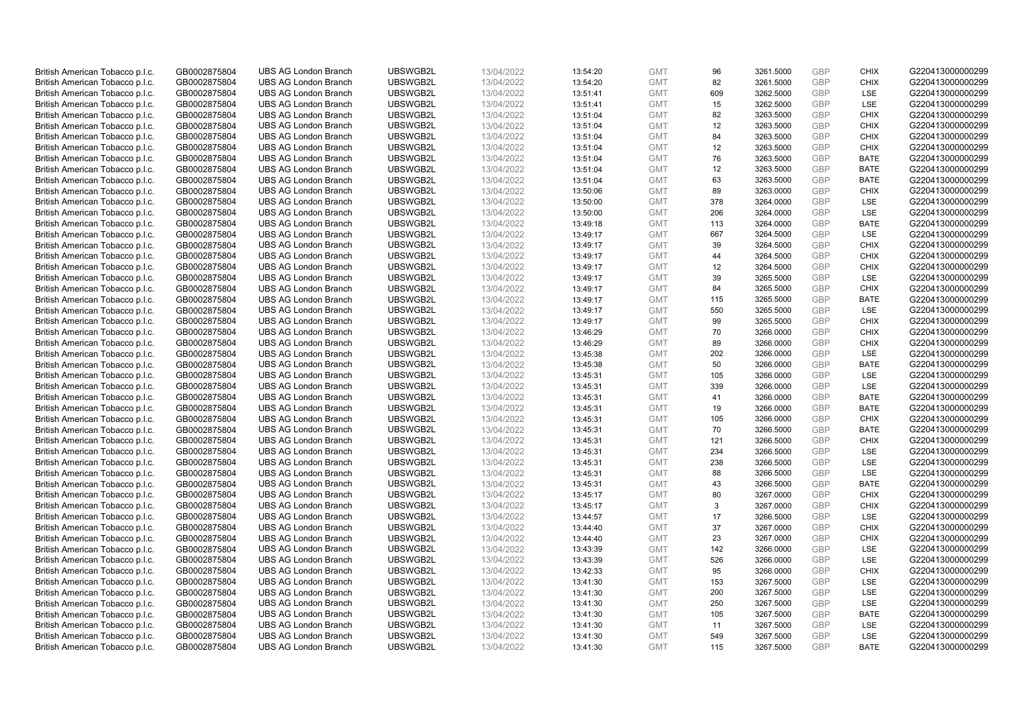| British American Tobacco p.l.c. | GB0002875804                 | <b>UBS AG London Branch</b> | UBSWGB2L | 13/04/2022               | 13:54:20             | <b>GMT</b>               | 96         | 3261.5000 | <b>GBP</b> | <b>CHIX</b>               | G220413000000299 |
|---------------------------------|------------------------------|-----------------------------|----------|--------------------------|----------------------|--------------------------|------------|-----------|------------|---------------------------|------------------|
| British American Tobacco p.l.c. | GB0002875804                 | <b>UBS AG London Branch</b> | UBSWGB2L | 13/04/2022               | 13:54:20             | <b>GMT</b>               | 82         | 3261.5000 | <b>GBP</b> | <b>CHIX</b>               | G220413000000299 |
|                                 |                              | <b>UBS AG London Branch</b> | UBSWGB2L |                          |                      | <b>GMT</b>               | 609        | 3262.5000 | <b>GBP</b> | LSE                       | G220413000000299 |
| British American Tobacco p.l.c. | GB0002875804                 |                             |          | 13/04/2022               | 13:51:41             |                          |            |           |            |                           |                  |
| British American Tobacco p.l.c. | GB0002875804                 | <b>UBS AG London Branch</b> | UBSWGB2L | 13/04/2022               | 13:51:41             | <b>GMT</b>               | 15         | 3262.5000 | <b>GBP</b> | LSE                       | G220413000000299 |
| British American Tobacco p.l.c. | GB0002875804                 | <b>UBS AG London Branch</b> | UBSWGB2L | 13/04/2022               | 13:51:04             | <b>GMT</b>               | 82         | 3263.5000 | <b>GBP</b> | <b>CHIX</b>               | G220413000000299 |
| British American Tobacco p.l.c. | GB0002875804                 | <b>UBS AG London Branch</b> | UBSWGB2L | 13/04/2022               | 13:51:04             | <b>GMT</b>               | 12         | 3263.5000 | <b>GBP</b> | <b>CHIX</b>               | G220413000000299 |
| British American Tobacco p.l.c. | GB0002875804                 | <b>UBS AG London Branch</b> | UBSWGB2L | 13/04/2022               | 13:51:04             | <b>GMT</b>               | 84         | 3263.5000 | <b>GBP</b> | <b>CHIX</b>               | G220413000000299 |
| British American Tobacco p.l.c. | GB0002875804                 | <b>UBS AG London Branch</b> | UBSWGB2L | 13/04/2022               | 13:51:04             | <b>GMT</b>               | 12         | 3263.5000 | <b>GBP</b> | <b>CHIX</b>               | G220413000000299 |
| British American Tobacco p.l.c. | GB0002875804                 | <b>UBS AG London Branch</b> | UBSWGB2L | 13/04/2022               | 13:51:04             | <b>GMT</b>               | 76         | 3263.5000 | <b>GBP</b> | <b>BATE</b>               | G220413000000299 |
| British American Tobacco p.l.c. | GB0002875804                 | <b>UBS AG London Branch</b> | UBSWGB2L | 13/04/2022               | 13:51:04             | <b>GMT</b>               | 12         | 3263.5000 | <b>GBP</b> | <b>BATE</b>               | G220413000000299 |
| British American Tobacco p.l.c. | GB0002875804                 | <b>UBS AG London Branch</b> | UBSWGB2L | 13/04/2022               | 13:51:04             | <b>GMT</b>               | 63         | 3263.5000 | <b>GBP</b> | <b>BATE</b>               | G220413000000299 |
| British American Tobacco p.l.c. | GB0002875804                 | <b>UBS AG London Branch</b> | UBSWGB2L | 13/04/2022               | 13:50:06             | <b>GMT</b>               | 89         | 3263.0000 | <b>GBP</b> | <b>CHIX</b>               | G220413000000299 |
| British American Tobacco p.l.c. | GB0002875804                 | <b>UBS AG London Branch</b> | UBSWGB2L | 13/04/2022               | 13:50:00             | <b>GMT</b>               | 378        | 3264.0000 | <b>GBP</b> | LSE                       | G220413000000299 |
| British American Tobacco p.l.c. | GB0002875804                 | <b>UBS AG London Branch</b> | UBSWGB2L | 13/04/2022               | 13:50:00             | <b>GMT</b>               | 206        | 3264.0000 | <b>GBP</b> | LSE                       | G220413000000299 |
| British American Tobacco p.l.c. | GB0002875804                 | <b>UBS AG London Branch</b> | UBSWGB2L | 13/04/2022               | 13:49:18             | <b>GMT</b>               | 113        | 3264.0000 | <b>GBP</b> | <b>BATE</b>               | G220413000000299 |
| British American Tobacco p.l.c. | GB0002875804                 | <b>UBS AG London Branch</b> | UBSWGB2L | 13/04/2022               | 13:49:17             | <b>GMT</b>               | 667        | 3264.5000 | <b>GBP</b> | LSE                       | G220413000000299 |
| British American Tobacco p.l.c. | GB0002875804                 | <b>UBS AG London Branch</b> | UBSWGB2L | 13/04/2022               | 13:49:17             | <b>GMT</b>               | 39         | 3264.5000 | <b>GBP</b> | <b>CHIX</b>               | G220413000000299 |
| British American Tobacco p.l.c. | GB0002875804                 | <b>UBS AG London Branch</b> | UBSWGB2L | 13/04/2022               | 13:49:17             | <b>GMT</b>               | 44         | 3264.5000 | <b>GBP</b> | <b>CHIX</b>               | G220413000000299 |
|                                 |                              | <b>UBS AG London Branch</b> | UBSWGB2L |                          | 13:49:17             | <b>GMT</b>               | 12         | 3264.5000 | <b>GBP</b> | <b>CHIX</b>               | G220413000000299 |
| British American Tobacco p.l.c. | GB0002875804<br>GB0002875804 | <b>UBS AG London Branch</b> | UBSWGB2L | 13/04/2022<br>13/04/2022 |                      | <b>GMT</b>               | 39         |           | <b>GBP</b> | LSE                       | G220413000000299 |
| British American Tobacco p.l.c. |                              |                             |          |                          | 13:49:17             |                          |            | 3265.5000 |            |                           |                  |
| British American Tobacco p.l.c. | GB0002875804                 | <b>UBS AG London Branch</b> | UBSWGB2L | 13/04/2022               | 13:49:17             | <b>GMT</b>               | 84         | 3265.5000 | <b>GBP</b> | <b>CHIX</b>               | G220413000000299 |
| British American Tobacco p.l.c. | GB0002875804                 | <b>UBS AG London Branch</b> | UBSWGB2L | 13/04/2022               | 13:49:17             | <b>GMT</b>               | 115        | 3265.5000 | <b>GBP</b> | <b>BATE</b>               | G220413000000299 |
| British American Tobacco p.l.c. | GB0002875804                 | <b>UBS AG London Branch</b> | UBSWGB2L | 13/04/2022               | 13:49:17             | <b>GMT</b>               | 550        | 3265.5000 | <b>GBP</b> | LSE                       | G220413000000299 |
| British American Tobacco p.l.c. | GB0002875804                 | <b>UBS AG London Branch</b> | UBSWGB2L | 13/04/2022               | 13:49:17             | <b>GMT</b>               | 99         | 3265.5000 | <b>GBP</b> | <b>CHIX</b>               | G220413000000299 |
| British American Tobacco p.l.c. | GB0002875804                 | <b>UBS AG London Branch</b> | UBSWGB2L | 13/04/2022               | 13:46:29             | <b>GMT</b>               | 70         | 3266.0000 | <b>GBP</b> | <b>CHIX</b>               | G220413000000299 |
| British American Tobacco p.l.c. | GB0002875804                 | <b>UBS AG London Branch</b> | UBSWGB2L | 13/04/2022               | 13:46:29             | <b>GMT</b>               | 89         | 3266.0000 | <b>GBP</b> | <b>CHIX</b>               | G220413000000299 |
| British American Tobacco p.l.c. | GB0002875804                 | <b>UBS AG London Branch</b> | UBSWGB2L | 13/04/2022               | 13:45:38             | <b>GMT</b>               | 202        | 3266.0000 | <b>GBP</b> | <b>LSE</b>                | G220413000000299 |
| British American Tobacco p.l.c. | GB0002875804                 | <b>UBS AG London Branch</b> | UBSWGB2L | 13/04/2022               | 13:45:38             | <b>GMT</b>               | 50         | 3266.0000 | <b>GBP</b> | <b>BATE</b>               | G220413000000299 |
| British American Tobacco p.l.c. | GB0002875804                 | <b>UBS AG London Branch</b> | UBSWGB2L | 13/04/2022               | 13:45:31             | <b>GMT</b>               | 105        | 3266.0000 | <b>GBP</b> | <b>LSE</b>                | G220413000000299 |
| British American Tobacco p.l.c. | GB0002875804                 | UBS AG London Branch        | UBSWGB2L | 13/04/2022               | 13:45:31             | <b>GMT</b>               | 339        | 3266.0000 | <b>GBP</b> | LSE                       | G220413000000299 |
| British American Tobacco p.l.c. | GB0002875804                 | <b>UBS AG London Branch</b> | UBSWGB2L | 13/04/2022               | 13:45:31             | <b>GMT</b>               | 41         | 3266.0000 | <b>GBP</b> | <b>BATE</b>               | G220413000000299 |
| British American Tobacco p.l.c. | GB0002875804                 | <b>UBS AG London Branch</b> | UBSWGB2L | 13/04/2022               | 13:45:31             | <b>GMT</b>               | 19         | 3266.0000 | <b>GBP</b> | BATE                      | G220413000000299 |
| British American Tobacco p.l.c. | GB0002875804                 | <b>UBS AG London Branch</b> | UBSWGB2L | 13/04/2022               | 13:45:31             | <b>GMT</b>               | 105        | 3266.0000 | <b>GBP</b> | <b>CHIX</b>               | G220413000000299 |
| British American Tobacco p.l.c. | GB0002875804                 | <b>UBS AG London Branch</b> | UBSWGB2L | 13/04/2022               | 13:45:31             | <b>GMT</b>               | 70         | 3266.5000 | <b>GBP</b> | <b>BATE</b>               | G220413000000299 |
| British American Tobacco p.l.c. | GB0002875804                 | <b>UBS AG London Branch</b> | UBSWGB2L | 13/04/2022               | 13:45:31             | <b>GMT</b>               | 121        | 3266.5000 | <b>GBP</b> | <b>CHIX</b>               | G220413000000299 |
| British American Tobacco p.l.c. | GB0002875804                 | <b>UBS AG London Branch</b> | UBSWGB2L | 13/04/2022               | 13:45:31             | <b>GMT</b>               | 234        | 3266.5000 | <b>GBP</b> | LSE                       | G220413000000299 |
| British American Tobacco p.l.c. | GB0002875804                 | <b>UBS AG London Branch</b> | UBSWGB2L | 13/04/2022               | 13:45:31             | <b>GMT</b>               | 238        | 3266.5000 | <b>GBP</b> | LSE                       | G220413000000299 |
| British American Tobacco p.l.c. | GB0002875804                 | <b>UBS AG London Branch</b> | UBSWGB2L | 13/04/2022               | 13:45:31             | <b>GMT</b>               | 88         | 3266.5000 | <b>GBP</b> | LSE                       | G220413000000299 |
| British American Tobacco p.l.c. | GB0002875804                 | <b>UBS AG London Branch</b> | UBSWGB2L | 13/04/2022               | 13:45:31             | <b>GMT</b>               | 43         | 3266.5000 | <b>GBP</b> | <b>BATE</b>               | G220413000000299 |
| British American Tobacco p.l.c. | GB0002875804                 | UBS AG London Branch        | UBSWGB2L | 13/04/2022               | 13:45:17             | <b>GMT</b>               | 80         | 3267.0000 | <b>GBP</b> | <b>CHIX</b>               | G220413000000299 |
| British American Tobacco p.l.c. | GB0002875804                 | <b>UBS AG London Branch</b> | UBSWGB2L | 13/04/2022               | 13:45:17             | <b>GMT</b>               | 3          | 3267.0000 | <b>GBP</b> | <b>CHIX</b>               | G220413000000299 |
| British American Tobacco p.l.c. | GB0002875804                 | <b>UBS AG London Branch</b> | UBSWGB2L | 13/04/2022               | 13:44:57             | <b>GMT</b>               | 17         | 3266.5000 | <b>GBP</b> | <b>LSE</b>                | G220413000000299 |
| British American Tobacco p.l.c. | GB0002875804                 | <b>UBS AG London Branch</b> | UBSWGB2L | 13/04/2022               | 13:44:40             | <b>GMT</b>               | 37         | 3267.0000 | <b>GBP</b> | <b>CHIX</b>               | G220413000000299 |
| British American Tobacco p.l.c. | GB0002875804                 | <b>UBS AG London Branch</b> | UBSWGB2L | 13/04/2022               | 13:44:40             | <b>GMT</b>               | 23         | 3267.0000 | <b>GBP</b> | <b>CHIX</b>               | G220413000000299 |
| British American Tobacco p.l.c. | GB0002875804                 | UBS AG London Branch        | UBSWGB2L | 13/04/2022               | 13:43:39             | <b>GMT</b>               | 142        | 3266.0000 | <b>GBP</b> | LSE                       | G220413000000299 |
| British American Tobacco p.l.c. | GB0002875804                 | <b>UBS AG London Branch</b> | UBSWGB2L | 13/04/2022               | 13:43:39             | <b>GMT</b>               | 526        | 3266.0000 | <b>GBP</b> | LSE                       | G220413000000299 |
| British American Tobacco p.l.c. | GB0002875804                 | <b>UBS AG London Branch</b> | UBSWGB2L | 13/04/2022               | 13:42:33             | <b>GMT</b>               | 95         | 3266.0000 | <b>GBP</b> | <b>CHIX</b>               | G220413000000299 |
| British American Tobacco p.l.c. | GB0002875804                 | <b>UBS AG London Branch</b> | UBSWGB2L | 13/04/2022               | 13:41:30             | <b>GMT</b>               | 153        | 3267.5000 | <b>GBP</b> | LSE                       | G220413000000299 |
| British American Tobacco p.l.c. | GB0002875804                 | <b>UBS AG London Branch</b> | UBSWGB2L | 13/04/2022               | 13:41:30             | <b>GMT</b>               | 200        | 3267.5000 | <b>GBP</b> | LSE                       | G220413000000299 |
| British American Tobacco p.l.c. | GB0002875804                 | <b>UBS AG London Branch</b> | UBSWGB2L | 13/04/2022               | 13:41:30             | <b>GMT</b>               | 250        | 3267.5000 | <b>GBP</b> | LSE                       | G220413000000299 |
| British American Tobacco p.l.c. | GB0002875804                 | <b>UBS AG London Branch</b> | UBSWGB2L |                          |                      | <b>GMT</b>               | 105        | 3267.5000 | <b>GBP</b> | <b>BATE</b>               | G220413000000299 |
| British American Tobacco p.l.c. | GB0002875804                 | <b>UBS AG London Branch</b> | UBSWGB2L | 13/04/2022<br>13/04/2022 | 13:41:30<br>13:41:30 | <b>GMT</b>               | 11         | 3267.5000 | <b>GBP</b> | LSE                       | G220413000000299 |
|                                 | GB0002875804                 |                             |          |                          |                      |                          |            |           | <b>GBP</b> |                           |                  |
| British American Tobacco p.l.c. |                              | <b>UBS AG London Branch</b> | UBSWGB2L | 13/04/2022               | 13:41:30             | <b>GMT</b><br><b>GMT</b> | 549<br>115 | 3267.5000 | <b>GBP</b> | <b>LSE</b><br><b>BATE</b> | G220413000000299 |
| British American Tobacco p.l.c. | GB0002875804                 | <b>UBS AG London Branch</b> | UBSWGB2L | 13/04/2022               | 13:41:30             |                          |            | 3267.5000 |            |                           | G220413000000299 |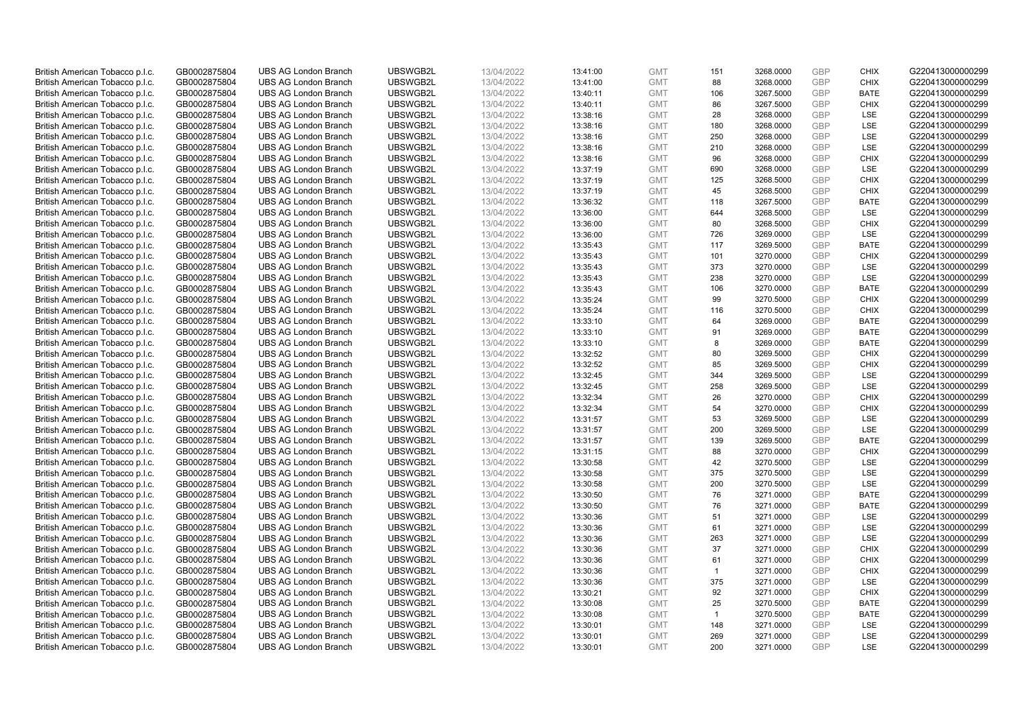| British American Tobacco p.l.c. | GB0002875804                 | <b>UBS AG London Branch</b> | UBSWGB2L | 13/04/2022               | 13:41:00 | <b>GMT</b> | 151            | 3268.0000 | <b>GBP</b> | <b>CHIX</b> | G220413000000299 |
|---------------------------------|------------------------------|-----------------------------|----------|--------------------------|----------|------------|----------------|-----------|------------|-------------|------------------|
| British American Tobacco p.l.c. | GB0002875804                 | <b>UBS AG London Branch</b> | UBSWGB2L | 13/04/2022               | 13:41:00 | <b>GMT</b> | 88             | 3268.0000 | <b>GBP</b> | <b>CHIX</b> | G220413000000299 |
|                                 |                              | <b>UBS AG London Branch</b> | UBSWGB2L |                          |          | <b>GMT</b> |                | 3267.5000 | <b>GBP</b> | <b>BATE</b> | G220413000000299 |
| British American Tobacco p.l.c. | GB0002875804                 |                             |          | 13/04/2022               | 13:40:11 |            | 106            |           |            |             |                  |
| British American Tobacco p.l.c. | GB0002875804                 | <b>UBS AG London Branch</b> | UBSWGB2L | 13/04/2022               | 13:40:11 | <b>GMT</b> | 86             | 3267.5000 | <b>GBP</b> | <b>CHIX</b> | G220413000000299 |
| British American Tobacco p.l.c. | GB0002875804                 | <b>UBS AG London Branch</b> | UBSWGB2L | 13/04/2022               | 13:38:16 | <b>GMT</b> | 28             | 3268.0000 | <b>GBP</b> | LSE         | G220413000000299 |
| British American Tobacco p.l.c. | GB0002875804                 | <b>UBS AG London Branch</b> | UBSWGB2L | 13/04/2022               | 13:38:16 | <b>GMT</b> | 180            | 3268.0000 | <b>GBP</b> | <b>LSE</b>  | G220413000000299 |
| British American Tobacco p.l.c. | GB0002875804                 | <b>UBS AG London Branch</b> | UBSWGB2L | 13/04/2022               | 13:38:16 | <b>GMT</b> | 250            | 3268.0000 | <b>GBP</b> | LSE         | G220413000000299 |
| British American Tobacco p.l.c. | GB0002875804                 | <b>UBS AG London Branch</b> | UBSWGB2L | 13/04/2022               | 13:38:16 | <b>GMT</b> | 210            | 3268.0000 | <b>GBP</b> | LSE         | G220413000000299 |
| British American Tobacco p.l.c. | GB0002875804                 | <b>UBS AG London Branch</b> | UBSWGB2L | 13/04/2022               | 13:38:16 | <b>GMT</b> | 96             | 3268.0000 | <b>GBP</b> | <b>CHIX</b> | G220413000000299 |
| British American Tobacco p.l.c. | GB0002875804                 | <b>UBS AG London Branch</b> | UBSWGB2L | 13/04/2022               | 13:37:19 | <b>GMT</b> | 690            | 3268.0000 | <b>GBP</b> | LSE         | G220413000000299 |
| British American Tobacco p.l.c. | GB0002875804                 | <b>UBS AG London Branch</b> | UBSWGB2L | 13/04/2022               | 13:37:19 | <b>GMT</b> | 125            | 3268.5000 | <b>GBP</b> | <b>CHIX</b> | G220413000000299 |
| British American Tobacco p.l.c. | GB0002875804                 | <b>UBS AG London Branch</b> | UBSWGB2L | 13/04/2022               | 13:37:19 | <b>GMT</b> | 45             | 3268.5000 | <b>GBP</b> | <b>CHIX</b> | G220413000000299 |
| British American Tobacco p.l.c. | GB0002875804                 | <b>UBS AG London Branch</b> | UBSWGB2L | 13/04/2022               | 13:36:32 | <b>GMT</b> | 118            | 3267.5000 | <b>GBP</b> | <b>BATE</b> | G220413000000299 |
| British American Tobacco p.l.c. | GB0002875804                 | <b>UBS AG London Branch</b> | UBSWGB2L | 13/04/2022               | 13:36:00 | <b>GMT</b> | 644            | 3268.5000 | <b>GBP</b> | <b>LSE</b>  | G220413000000299 |
| British American Tobacco p.l.c. | GB0002875804                 | <b>UBS AG London Branch</b> | UBSWGB2L | 13/04/2022               | 13:36:00 | <b>GMT</b> | 80             | 3268.5000 | <b>GBP</b> | <b>CHIX</b> | G220413000000299 |
| British American Tobacco p.l.c. | GB0002875804                 | <b>UBS AG London Branch</b> | UBSWGB2L | 13/04/2022               | 13:36:00 | <b>GMT</b> | 726            | 3269.0000 | <b>GBP</b> | LSE         | G220413000000299 |
| British American Tobacco p.l.c. | GB0002875804                 | <b>UBS AG London Branch</b> | UBSWGB2L | 13/04/2022               | 13:35:43 | <b>GMT</b> | 117            | 3269.5000 | <b>GBP</b> | <b>BATE</b> | G220413000000299 |
| British American Tobacco p.l.c. | GB0002875804                 | <b>UBS AG London Branch</b> | UBSWGB2L | 13/04/2022               | 13:35:43 | <b>GMT</b> | 101            | 3270.0000 | <b>GBP</b> | <b>CHIX</b> | G220413000000299 |
|                                 |                              | <b>UBS AG London Branch</b> | UBSWGB2L |                          | 13:35:43 | <b>GMT</b> | 373            | 3270.0000 | <b>GBP</b> | <b>LSE</b>  | G220413000000299 |
| British American Tobacco p.l.c. | GB0002875804<br>GB0002875804 | <b>UBS AG London Branch</b> | UBSWGB2L | 13/04/2022<br>13/04/2022 |          | <b>GMT</b> | 238            |           | <b>GBP</b> | LSE         | G220413000000299 |
| British American Tobacco p.l.c. |                              |                             |          |                          | 13:35:43 |            |                | 3270.0000 |            |             |                  |
| British American Tobacco p.l.c. | GB0002875804                 | <b>UBS AG London Branch</b> | UBSWGB2L | 13/04/2022               | 13:35:43 | <b>GMT</b> | 106            | 3270.0000 | <b>GBP</b> | <b>BATE</b> | G220413000000299 |
| British American Tobacco p.l.c. | GB0002875804                 | <b>UBS AG London Branch</b> | UBSWGB2L | 13/04/2022               | 13:35:24 | <b>GMT</b> | 99             | 3270.5000 | <b>GBP</b> | <b>CHIX</b> | G220413000000299 |
| British American Tobacco p.l.c. | GB0002875804                 | <b>UBS AG London Branch</b> | UBSWGB2L | 13/04/2022               | 13:35:24 | <b>GMT</b> | 116            | 3270.5000 | <b>GBP</b> | <b>CHIX</b> | G220413000000299 |
| British American Tobacco p.l.c. | GB0002875804                 | <b>UBS AG London Branch</b> | UBSWGB2L | 13/04/2022               | 13:33:10 | <b>GMT</b> | 64             | 3269.0000 | <b>GBP</b> | <b>BATE</b> | G220413000000299 |
| British American Tobacco p.l.c. | GB0002875804                 | <b>UBS AG London Branch</b> | UBSWGB2L | 13/04/2022               | 13:33:10 | <b>GMT</b> | 91             | 3269.0000 | <b>GBP</b> | <b>BATE</b> | G220413000000299 |
| British American Tobacco p.l.c. | GB0002875804                 | <b>UBS AG London Branch</b> | UBSWGB2L | 13/04/2022               | 13:33:10 | <b>GMT</b> | 8              | 3269.0000 | <b>GBP</b> | <b>BATE</b> | G220413000000299 |
| British American Tobacco p.l.c. | GB0002875804                 | <b>UBS AG London Branch</b> | UBSWGB2L | 13/04/2022               | 13:32:52 | <b>GMT</b> | 80             | 3269.5000 | <b>GBP</b> | <b>CHIX</b> | G220413000000299 |
| British American Tobacco p.l.c. | GB0002875804                 | <b>UBS AG London Branch</b> | UBSWGB2L | 13/04/2022               | 13:32:52 | <b>GMT</b> | 85             | 3269.5000 | <b>GBP</b> | <b>CHIX</b> | G220413000000299 |
| British American Tobacco p.l.c. | GB0002875804                 | <b>UBS AG London Branch</b> | UBSWGB2L | 13/04/2022               | 13:32:45 | <b>GMT</b> | 344            | 3269.5000 | <b>GBP</b> | <b>LSE</b>  | G220413000000299 |
| British American Tobacco p.l.c. | GB0002875804                 | UBS AG London Branch        | UBSWGB2L | 13/04/2022               | 13:32:45 | <b>GMT</b> | 258            | 3269.5000 | <b>GBP</b> | LSE         | G220413000000299 |
| British American Tobacco p.l.c. | GB0002875804                 | <b>UBS AG London Branch</b> | UBSWGB2L | 13/04/2022               | 13:32:34 | <b>GMT</b> | 26             | 3270.0000 | <b>GBP</b> | <b>CHIX</b> | G220413000000299 |
| British American Tobacco p.l.c. | GB0002875804                 | <b>UBS AG London Branch</b> | UBSWGB2L | 13/04/2022               | 13:32:34 | <b>GMT</b> | 54             | 3270.0000 | <b>GBP</b> | <b>CHIX</b> | G220413000000299 |
| British American Tobacco p.l.c. | GB0002875804                 | <b>UBS AG London Branch</b> | UBSWGB2L | 13/04/2022               | 13:31:57 | <b>GMT</b> | 53             | 3269.5000 | <b>GBP</b> | LSE         | G220413000000299 |
| British American Tobacco p.l.c. | GB0002875804                 | <b>UBS AG London Branch</b> | UBSWGB2L | 13/04/2022               | 13:31:57 | <b>GMT</b> | 200            | 3269.5000 | <b>GBP</b> | LSE         | G220413000000299 |
| British American Tobacco p.l.c. | GB0002875804                 | <b>UBS AG London Branch</b> | UBSWGB2L | 13/04/2022               | 13:31:57 | <b>GMT</b> | 139            | 3269.5000 | <b>GBP</b> | <b>BATE</b> | G220413000000299 |
| British American Tobacco p.l.c. | GB0002875804                 | <b>UBS AG London Branch</b> | UBSWGB2L | 13/04/2022               | 13:31:15 | <b>GMT</b> | 88             | 3270.0000 | <b>GBP</b> | <b>CHIX</b> | G220413000000299 |
| British American Tobacco p.l.c. | GB0002875804                 | <b>UBS AG London Branch</b> | UBSWGB2L | 13/04/2022               | 13:30:58 | <b>GMT</b> | 42             | 3270.5000 | <b>GBP</b> | <b>LSE</b>  | G220413000000299 |
| British American Tobacco p.l.c. | GB0002875804                 | <b>UBS AG London Branch</b> | UBSWGB2L | 13/04/2022               | 13:30:58 | <b>GMT</b> | 375            | 3270.5000 | <b>GBP</b> | LSE         | G220413000000299 |
| British American Tobacco p.l.c. | GB0002875804                 | <b>UBS AG London Branch</b> | UBSWGB2L | 13/04/2022               | 13:30:58 | <b>GMT</b> | 200            | 3270.5000 | <b>GBP</b> | LSE         | G220413000000299 |
| British American Tobacco p.l.c. | GB0002875804                 | UBS AG London Branch        | UBSWGB2L | 13/04/2022               | 13:30:50 | <b>GMT</b> | 76             | 3271.0000 | <b>GBP</b> | <b>BATE</b> | G220413000000299 |
| British American Tobacco p.l.c. | GB0002875804                 | <b>UBS AG London Branch</b> | UBSWGB2L | 13/04/2022               | 13:30:50 | <b>GMT</b> | 76             | 3271.0000 | <b>GBP</b> | <b>BATE</b> | G220413000000299 |
| British American Tobacco p.l.c. | GB0002875804                 | <b>UBS AG London Branch</b> | UBSWGB2L | 13/04/2022               | 13:30:36 | <b>GMT</b> | 51             | 3271.0000 | <b>GBP</b> | <b>LSE</b>  | G220413000000299 |
| British American Tobacco p.l.c. | GB0002875804                 | <b>UBS AG London Branch</b> | UBSWGB2L | 13/04/2022               | 13:30:36 | <b>GMT</b> | 61             | 3271.0000 | <b>GBP</b> | LSE         | G220413000000299 |
| British American Tobacco p.l.c. | GB0002875804                 | <b>UBS AG London Branch</b> | UBSWGB2L | 13/04/2022               | 13:30:36 | <b>GMT</b> | 263            | 3271.0000 | <b>GBP</b> | LSE         | G220413000000299 |
| British American Tobacco p.l.c. | GB0002875804                 | UBS AG London Branch        | UBSWGB2L | 13/04/2022               | 13:30:36 | <b>GMT</b> | 37             | 3271.0000 | <b>GBP</b> | <b>CHIX</b> | G220413000000299 |
| British American Tobacco p.l.c. | GB0002875804                 | <b>UBS AG London Branch</b> | UBSWGB2L | 13/04/2022               | 13:30:36 | <b>GMT</b> | 61             | 3271.0000 | <b>GBP</b> | <b>CHIX</b> | G220413000000299 |
| British American Tobacco p.l.c. | GB0002875804                 | <b>UBS AG London Branch</b> | UBSWGB2L | 13/04/2022               | 13:30:36 | <b>GMT</b> | $\mathbf{1}$   | 3271.0000 | <b>GBP</b> | <b>CHIX</b> | G220413000000299 |
| British American Tobacco p.l.c. | GB0002875804                 | <b>UBS AG London Branch</b> | UBSWGB2L | 13/04/2022               | 13:30:36 | <b>GMT</b> | 375            | 3271.0000 | <b>GBP</b> | LSE         | G220413000000299 |
|                                 |                              |                             |          |                          |          | <b>GMT</b> |                |           | <b>GBP</b> |             |                  |
| British American Tobacco p.l.c. | GB0002875804                 | <b>UBS AG London Branch</b> | UBSWGB2L | 13/04/2022               | 13:30:21 |            | 92             | 3271.0000 |            | <b>CHIX</b> | G220413000000299 |
| British American Tobacco p.l.c. | GB0002875804                 | <b>UBS AG London Branch</b> | UBSWGB2L | 13/04/2022               | 13:30:08 | <b>GMT</b> | 25             | 3270.5000 | <b>GBP</b> | <b>BATE</b> | G220413000000299 |
| British American Tobacco p.l.c. | GB0002875804                 | <b>UBS AG London Branch</b> | UBSWGB2L | 13/04/2022               | 13:30:08 | <b>GMT</b> | $\overline{1}$ | 3270.5000 | <b>GBP</b> | <b>BATE</b> | G220413000000299 |
| British American Tobacco p.l.c. | GB0002875804                 | <b>UBS AG London Branch</b> | UBSWGB2L | 13/04/2022               | 13:30:01 | <b>GMT</b> | 148            | 3271.0000 | <b>GBP</b> | LSE         | G220413000000299 |
| British American Tobacco p.l.c. | GB0002875804                 | <b>UBS AG London Branch</b> | UBSWGB2L | 13/04/2022               | 13:30:01 | <b>GMT</b> | 269            | 3271.0000 | <b>GBP</b> | <b>LSE</b>  | G220413000000299 |
| British American Tobacco p.l.c. | GB0002875804                 | <b>UBS AG London Branch</b> | UBSWGB2L | 13/04/2022               | 13:30:01 | <b>GMT</b> | 200            | 3271.0000 | GBP        | <b>LSE</b>  | G220413000000299 |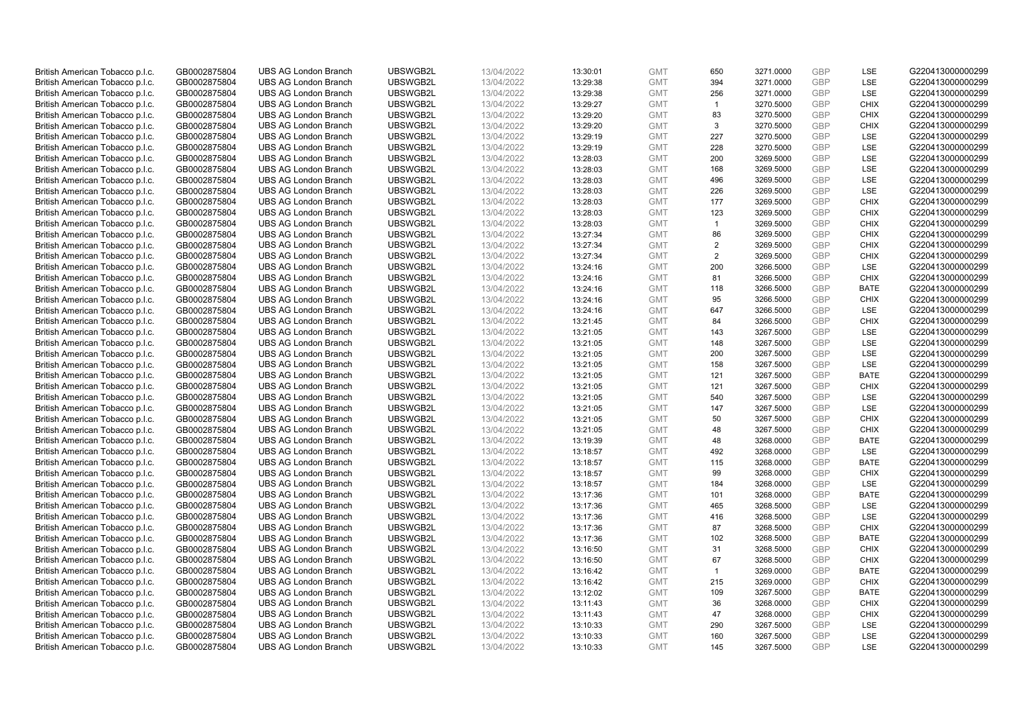| British American Tobacco p.l.c. | GB0002875804 | <b>UBS AG London Branch</b> | UBSWGB2L | 13/04/2022 | 13:30:01 | <b>GMT</b> | 650            | 3271.0000 | <b>GBP</b>               | <b>LSE</b>  | G220413000000299 |
|---------------------------------|--------------|-----------------------------|----------|------------|----------|------------|----------------|-----------|--------------------------|-------------|------------------|
| British American Tobacco p.l.c. | GB0002875804 | <b>UBS AG London Branch</b> | UBSWGB2L | 13/04/2022 | 13:29:38 | <b>GMT</b> | 394            | 3271.0000 | <b>GBP</b>               | LSE         | G220413000000299 |
| British American Tobacco p.l.c. | GB0002875804 | <b>UBS AG London Branch</b> | UBSWGB2L | 13/04/2022 | 13:29:38 | <b>GMT</b> | 256            | 3271.0000 | <b>GBP</b>               | LSE         | G220413000000299 |
| British American Tobacco p.l.c. | GB0002875804 | <b>UBS AG London Branch</b> | UBSWGB2L | 13/04/2022 | 13:29:27 | <b>GMT</b> | $\overline{1}$ | 3270.5000 | <b>GBP</b>               | <b>CHIX</b> | G220413000000299 |
| British American Tobacco p.l.c. | GB0002875804 | <b>UBS AG London Branch</b> | UBSWGB2L | 13/04/2022 | 13:29:20 | <b>GMT</b> | 83             | 3270.5000 | <b>GBP</b>               | <b>CHIX</b> | G220413000000299 |
|                                 |              | <b>UBS AG London Branch</b> |          |            |          |            |                |           |                          |             |                  |
| British American Tobacco p.l.c. | GB0002875804 |                             | UBSWGB2L | 13/04/2022 | 13:29:20 | <b>GMT</b> | 3              | 3270.5000 | <b>GBP</b><br><b>GBP</b> | <b>CHIX</b> | G220413000000299 |
| British American Tobacco p.l.c. | GB0002875804 | <b>UBS AG London Branch</b> | UBSWGB2L | 13/04/2022 | 13:29:19 | <b>GMT</b> | 227            | 3270.5000 |                          | LSE         | G220413000000299 |
| British American Tobacco p.l.c. | GB0002875804 | <b>UBS AG London Branch</b> | UBSWGB2L | 13/04/2022 | 13:29:19 | <b>GMT</b> | 228            | 3270.5000 | <b>GBP</b>               | LSE         | G220413000000299 |
| British American Tobacco p.l.c. | GB0002875804 | <b>UBS AG London Branch</b> | UBSWGB2L | 13/04/2022 | 13:28:03 | <b>GMT</b> | 200            | 3269.5000 | <b>GBP</b>               | LSE         | G220413000000299 |
| British American Tobacco p.l.c. | GB0002875804 | <b>UBS AG London Branch</b> | UBSWGB2L | 13/04/2022 | 13:28:03 | <b>GMT</b> | 168            | 3269.5000 | <b>GBP</b>               | LSE         | G220413000000299 |
| British American Tobacco p.l.c. | GB0002875804 | <b>UBS AG London Branch</b> | UBSWGB2L | 13/04/2022 | 13:28:03 | <b>GMT</b> | 496            | 3269.5000 | <b>GBP</b>               | <b>LSE</b>  | G220413000000299 |
| British American Tobacco p.l.c. | GB0002875804 | <b>UBS AG London Branch</b> | UBSWGB2L | 13/04/2022 | 13:28:03 | <b>GMT</b> | 226            | 3269.5000 | <b>GBP</b>               | LSE         | G220413000000299 |
| British American Tobacco p.l.c. | GB0002875804 | <b>UBS AG London Branch</b> | UBSWGB2L | 13/04/2022 | 13:28:03 | <b>GMT</b> | 177            | 3269.5000 | <b>GBP</b>               | <b>CHIX</b> | G220413000000299 |
| British American Tobacco p.l.c. | GB0002875804 | <b>UBS AG London Branch</b> | UBSWGB2L | 13/04/2022 | 13:28:03 | <b>GMT</b> | 123            | 3269.5000 | <b>GBP</b>               | <b>CHIX</b> | G220413000000299 |
| British American Tobacco p.l.c. | GB0002875804 | <b>UBS AG London Branch</b> | UBSWGB2L | 13/04/2022 | 13:28:03 | <b>GMT</b> | $\overline{1}$ | 3269.5000 | <b>GBP</b>               | <b>CHIX</b> | G220413000000299 |
| British American Tobacco p.l.c. | GB0002875804 | <b>UBS AG London Branch</b> | UBSWGB2L | 13/04/2022 | 13:27:34 | <b>GMT</b> | 86             | 3269.5000 | <b>GBP</b>               | <b>CHIX</b> | G220413000000299 |
| British American Tobacco p.l.c. | GB0002875804 | <b>UBS AG London Branch</b> | UBSWGB2L | 13/04/2022 | 13:27:34 | <b>GMT</b> | $\overline{2}$ | 3269.5000 | <b>GBP</b>               | <b>CHIX</b> | G220413000000299 |
| British American Tobacco p.l.c. | GB0002875804 | <b>UBS AG London Branch</b> | UBSWGB2L | 13/04/2022 | 13:27:34 | <b>GMT</b> | 2              | 3269.5000 | <b>GBP</b>               | <b>CHIX</b> | G220413000000299 |
| British American Tobacco p.l.c. | GB0002875804 | <b>UBS AG London Branch</b> | UBSWGB2L | 13/04/2022 | 13:24:16 | <b>GMT</b> | 200            | 3266.5000 | <b>GBP</b>               | <b>LSE</b>  | G220413000000299 |
| British American Tobacco p.l.c. | GB0002875804 | <b>UBS AG London Branch</b> | UBSWGB2L | 13/04/2022 | 13:24:16 | <b>GMT</b> | 81             | 3266.5000 | <b>GBP</b>               | <b>CHIX</b> | G220413000000299 |
| British American Tobacco p.l.c. | GB0002875804 | <b>UBS AG London Branch</b> | UBSWGB2L | 13/04/2022 | 13:24:16 | <b>GMT</b> | 118            | 3266.5000 | <b>GBP</b>               | <b>BATE</b> | G220413000000299 |
| British American Tobacco p.l.c. | GB0002875804 | <b>UBS AG London Branch</b> | UBSWGB2L | 13/04/2022 | 13:24:16 | <b>GMT</b> | 95             | 3266.5000 | <b>GBP</b>               | <b>CHIX</b> | G220413000000299 |
| British American Tobacco p.l.c. | GB0002875804 | <b>UBS AG London Branch</b> | UBSWGB2L | 13/04/2022 | 13:24:16 | <b>GMT</b> | 647            | 3266.5000 | <b>GBP</b>               | LSE         | G220413000000299 |
| British American Tobacco p.l.c. | GB0002875804 | <b>UBS AG London Branch</b> | UBSWGB2L | 13/04/2022 | 13:21:45 | <b>GMT</b> | 84             | 3266.5000 | <b>GBP</b>               | <b>CHIX</b> | G220413000000299 |
| British American Tobacco p.l.c. | GB0002875804 | <b>UBS AG London Branch</b> | UBSWGB2L | 13/04/2022 | 13:21:05 | <b>GMT</b> | 143            | 3267.5000 | <b>GBP</b>               | LSE         | G220413000000299 |
| British American Tobacco p.l.c. | GB0002875804 | <b>UBS AG London Branch</b> | UBSWGB2L | 13/04/2022 | 13:21:05 | <b>GMT</b> | 148            | 3267.5000 | <b>GBP</b>               | LSE         | G220413000000299 |
| British American Tobacco p.l.c. | GB0002875804 | <b>UBS AG London Branch</b> | UBSWGB2L | 13/04/2022 | 13:21:05 | <b>GMT</b> | 200            | 3267.5000 | <b>GBP</b>               | LSE         | G220413000000299 |
| British American Tobacco p.l.c. | GB0002875804 | <b>UBS AG London Branch</b> | UBSWGB2L | 13/04/2022 | 13:21:05 | <b>GMT</b> | 158            | 3267.5000 | <b>GBP</b>               | LSE         | G220413000000299 |
| British American Tobacco p.l.c. | GB0002875804 | <b>UBS AG London Branch</b> | UBSWGB2L | 13/04/2022 | 13:21:05 | <b>GMT</b> | 121            | 3267.5000 | <b>GBP</b>               | <b>BATE</b> | G220413000000299 |
| British American Tobacco p.l.c. | GB0002875804 | <b>UBS AG London Branch</b> | UBSWGB2L | 13/04/2022 | 13:21:05 | <b>GMT</b> | 121            | 3267.5000 | <b>GBP</b>               | <b>CHIX</b> | G220413000000299 |
| British American Tobacco p.l.c. | GB0002875804 | <b>UBS AG London Branch</b> | UBSWGB2L | 13/04/2022 | 13:21:05 | <b>GMT</b> | 540            | 3267.5000 | <b>GBP</b>               | LSE         | G220413000000299 |
| British American Tobacco p.l.c. | GB0002875804 | <b>UBS AG London Branch</b> | UBSWGB2L | 13/04/2022 | 13:21:05 | <b>GMT</b> | 147            | 3267.5000 | <b>GBP</b>               | LSE         | G220413000000299 |
| British American Tobacco p.l.c. | GB0002875804 | <b>UBS AG London Branch</b> | UBSWGB2L | 13/04/2022 | 13:21:05 | <b>GMT</b> | 50             | 3267.5000 | <b>GBP</b>               | <b>CHIX</b> | G220413000000299 |
| British American Tobacco p.l.c. | GB0002875804 | <b>UBS AG London Branch</b> | UBSWGB2L | 13/04/2022 | 13:21:05 | <b>GMT</b> | 48             | 3267.5000 | <b>GBP</b>               | <b>CHIX</b> | G220413000000299 |
| British American Tobacco p.l.c. | GB0002875804 | <b>UBS AG London Branch</b> | UBSWGB2L | 13/04/2022 | 13:19:39 | <b>GMT</b> | 48             | 3268.0000 | <b>GBP</b>               | <b>BATE</b> | G220413000000299 |
| British American Tobacco p.l.c. | GB0002875804 | <b>UBS AG London Branch</b> | UBSWGB2L | 13/04/2022 | 13:18:57 | <b>GMT</b> | 492            | 3268.0000 | <b>GBP</b>               | LSE         | G220413000000299 |
| British American Tobacco p.l.c. | GB0002875804 | <b>UBS AG London Branch</b> | UBSWGB2L | 13/04/2022 | 13:18:57 | <b>GMT</b> | 115            | 3268.0000 | <b>GBP</b>               | <b>BATE</b> | G220413000000299 |
| British American Tobacco p.l.c. | GB0002875804 | <b>UBS AG London Branch</b> | UBSWGB2L | 13/04/2022 | 13:18:57 | <b>GMT</b> | 99             | 3268.0000 | <b>GBP</b>               | <b>CHIX</b> | G220413000000299 |
| British American Tobacco p.l.c. | GB0002875804 | <b>UBS AG London Branch</b> | UBSWGB2L | 13/04/2022 | 13:18:57 | <b>GMT</b> | 184            | 3268.0000 | <b>GBP</b>               | LSE         | G220413000000299 |
| British American Tobacco p.l.c. | GB0002875804 | UBS AG London Branch        | UBSWGB2L | 13/04/2022 | 13:17:36 | <b>GMT</b> | 101            | 3268.0000 | <b>GBP</b>               | <b>BATE</b> | G220413000000299 |
| British American Tobacco p.l.c. | GB0002875804 | <b>UBS AG London Branch</b> | UBSWGB2L | 13/04/2022 | 13:17:36 | <b>GMT</b> | 465            | 3268.5000 | <b>GBP</b>               | LSE         | G220413000000299 |
| British American Tobacco p.l.c. | GB0002875804 | <b>UBS AG London Branch</b> | UBSWGB2L | 13/04/2022 | 13:17:36 | <b>GMT</b> | 416            | 3268.5000 | <b>GBP</b>               | LSE         | G220413000000299 |
| British American Tobacco p.l.c. | GB0002875804 | <b>UBS AG London Branch</b> | UBSWGB2L | 13/04/2022 | 13:17:36 | <b>GMT</b> | 87             | 3268.5000 | <b>GBP</b>               | <b>CHIX</b> | G220413000000299 |
| British American Tobacco p.l.c. | GB0002875804 | <b>UBS AG London Branch</b> | UBSWGB2L | 13/04/2022 |          | <b>GMT</b> | 102            | 3268.5000 | <b>GBP</b>               | <b>BATE</b> |                  |
|                                 |              |                             | UBSWGB2L |            | 13:17:36 |            | 31             |           | <b>GBP</b>               |             | G220413000000299 |
| British American Tobacco p.l.c. | GB0002875804 | UBS AG London Branch        |          | 13/04/2022 | 13:16:50 | <b>GMT</b> |                | 3268.5000 | <b>GBP</b>               | <b>CHIX</b> | G220413000000299 |
| British American Tobacco p.l.c. | GB0002875804 | <b>UBS AG London Branch</b> | UBSWGB2L | 13/04/2022 | 13:16:50 | <b>GMT</b> | 67             | 3268.5000 |                          | <b>CHIX</b> | G220413000000299 |
| British American Tobacco p.l.c. | GB0002875804 | <b>UBS AG London Branch</b> | UBSWGB2L | 13/04/2022 | 13:16:42 | <b>GMT</b> | $\mathbf{1}$   | 3269.0000 | <b>GBP</b>               | <b>BATE</b> | G220413000000299 |
| British American Tobacco p.l.c. | GB0002875804 | <b>UBS AG London Branch</b> | UBSWGB2L | 13/04/2022 | 13:16:42 | <b>GMT</b> | 215            | 3269.0000 | <b>GBP</b>               | <b>CHIX</b> | G220413000000299 |
| British American Tobacco p.l.c. | GB0002875804 | <b>UBS AG London Branch</b> | UBSWGB2L | 13/04/2022 | 13:12:02 | <b>GMT</b> | 109            | 3267.5000 | <b>GBP</b>               | <b>BATE</b> | G220413000000299 |
| British American Tobacco p.l.c. | GB0002875804 | <b>UBS AG London Branch</b> | UBSWGB2L | 13/04/2022 | 13:11:43 | <b>GMT</b> | 36             | 3268.0000 | <b>GBP</b>               | <b>CHIX</b> | G220413000000299 |
| British American Tobacco p.l.c. | GB0002875804 | <b>UBS AG London Branch</b> | UBSWGB2L | 13/04/2022 | 13:11:43 | <b>GMT</b> | 47             | 3268.0000 | <b>GBP</b>               | <b>CHIX</b> | G220413000000299 |
| British American Tobacco p.l.c. | GB0002875804 | <b>UBS AG London Branch</b> | UBSWGB2L | 13/04/2022 | 13:10:33 | <b>GMT</b> | 290            | 3267.5000 | <b>GBP</b>               | LSE         | G220413000000299 |
| British American Tobacco p.l.c. | GB0002875804 | <b>UBS AG London Branch</b> | UBSWGB2L | 13/04/2022 | 13:10:33 | <b>GMT</b> | 160            | 3267.5000 | <b>GBP</b>               | LSE         | G220413000000299 |
| British American Tobacco p.l.c. | GB0002875804 | <b>UBS AG London Branch</b> | UBSWGB2L | 13/04/2022 | 13:10:33 | <b>GMT</b> | 145            | 3267.5000 | GBP                      | <b>LSE</b>  | G220413000000299 |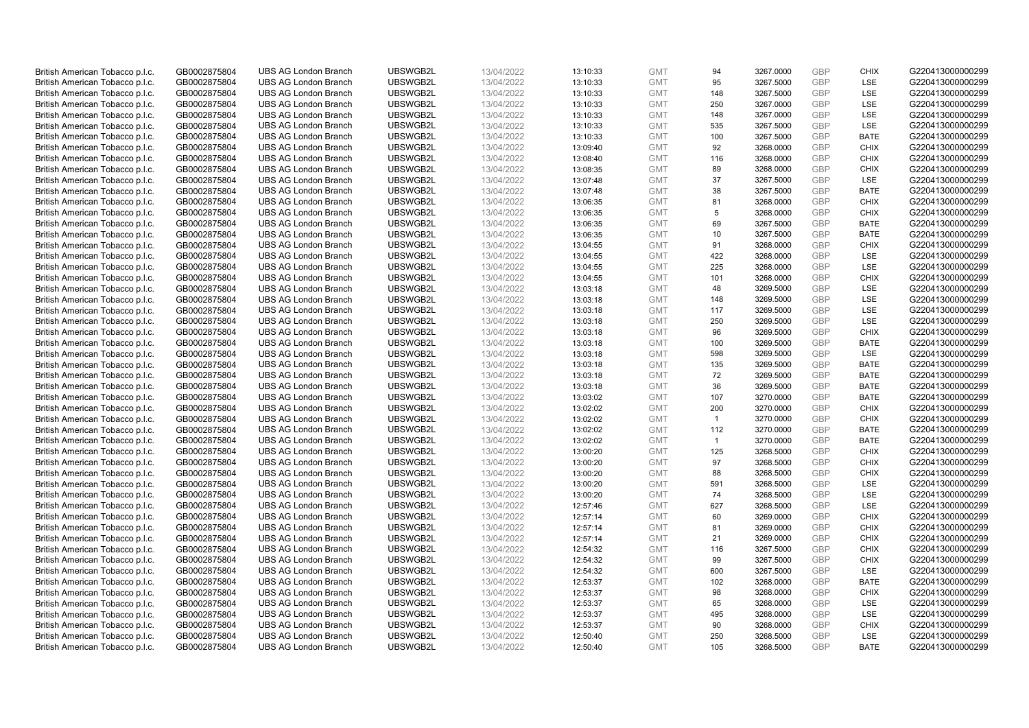| British American Tobacco p.l.c. | GB0002875804 | <b>UBS AG London Branch</b>                                | UBSWGB2L             | 13/04/2022 | 13:10:33             | <b>GMT</b>               | 94             | 3267.0000              | <b>GBP</b> | <b>CHIX</b>                | G220413000000299                     |
|---------------------------------|--------------|------------------------------------------------------------|----------------------|------------|----------------------|--------------------------|----------------|------------------------|------------|----------------------------|--------------------------------------|
| British American Tobacco p.l.c. | GB0002875804 | <b>UBS AG London Branch</b>                                | UBSWGB2L             | 13/04/2022 | 13:10:33             | <b>GMT</b>               | 95             | 3267.5000              | <b>GBP</b> | LSE                        | G220413000000299                     |
| British American Tobacco p.l.c. | GB0002875804 | <b>UBS AG London Branch</b>                                | UBSWGB2L             | 13/04/2022 | 13:10:33             | <b>GMT</b>               | 148            | 3267.5000              | GBP        | LSE                        | G220413000000299                     |
| British American Tobacco p.l.c. | GB0002875804 | <b>UBS AG London Branch</b>                                | UBSWGB2L             | 13/04/2022 | 13:10:33             | <b>GMT</b>               | 250            | 3267.0000              | GBP        | LSE                        | G220413000000299                     |
| British American Tobacco p.l.c. | GB0002875804 | <b>UBS AG London Branch</b>                                | UBSWGB2L             | 13/04/2022 | 13:10:33             | <b>GMT</b>               | 148            | 3267.0000              | GBP        | LSE                        | G220413000000299                     |
| British American Tobacco p.l.c. | GB0002875804 | <b>UBS AG London Branch</b>                                | UBSWGB2L             | 13/04/2022 | 13:10:33             | <b>GMT</b>               | 535            | 3267.5000              | <b>GBP</b> | LSE                        | G220413000000299                     |
| British American Tobacco p.l.c. | GB0002875804 | <b>UBS AG London Branch</b>                                | UBSWGB2L             | 13/04/2022 | 13:10:33             | <b>GMT</b>               | 100            | 3267.5000              | GBP        | <b>BATE</b>                | G220413000000299                     |
| British American Tobacco p.l.c. | GB0002875804 | <b>UBS AG London Branch</b>                                | UBSWGB2L             | 13/04/2022 | 13:09:40             | <b>GMT</b>               | 92             | 3268.0000              | <b>GBP</b> | <b>CHIX</b>                | G220413000000299                     |
| British American Tobacco p.l.c. | GB0002875804 | <b>UBS AG London Branch</b>                                | UBSWGB2L             | 13/04/2022 | 13:08:40             | <b>GMT</b>               | 116            | 3268.0000              | <b>GBP</b> | <b>CHIX</b>                | G220413000000299                     |
| British American Tobacco p.l.c. | GB0002875804 | <b>UBS AG London Branch</b>                                | UBSWGB2L             | 13/04/2022 | 13:08:35             | <b>GMT</b>               | 89             | 3268.0000              | <b>GBP</b> | <b>CHIX</b>                | G220413000000299                     |
| British American Tobacco p.l.c. | GB0002875804 | <b>UBS AG London Branch</b>                                | UBSWGB2L             | 13/04/2022 | 13:07:48             | <b>GMT</b>               | 37             | 3267.5000              | <b>GBP</b> | LSE                        | G220413000000299                     |
| British American Tobacco p.l.c. | GB0002875804 | <b>UBS AG London Branch</b>                                | UBSWGB2L             | 13/04/2022 | 13:07:48             | <b>GMT</b>               | 38             | 3267.5000              | <b>GBP</b> | <b>BATE</b>                | G220413000000299                     |
| British American Tobacco p.l.c. | GB0002875804 | <b>UBS AG London Branch</b>                                | UBSWGB2L             | 13/04/2022 | 13:06:35             | <b>GMT</b>               | 81             | 3268.0000              | <b>GBP</b> | <b>CHIX</b>                | G220413000000299                     |
| British American Tobacco p.l.c. | GB0002875804 | <b>UBS AG London Branch</b>                                | UBSWGB2L             | 13/04/2022 | 13:06:35             | <b>GMT</b>               | 5              | 3268.0000              | <b>GBP</b> | <b>CHIX</b>                | G220413000000299                     |
| British American Tobacco p.l.c. | GB0002875804 | <b>UBS AG London Branch</b>                                | UBSWGB2L             | 13/04/2022 | 13:06:35             | <b>GMT</b>               | 69             | 3267.5000              | <b>GBP</b> | <b>BATE</b>                | G220413000000299                     |
| British American Tobacco p.l.c. | GB0002875804 | <b>UBS AG London Branch</b>                                | UBSWGB2L             | 13/04/2022 | 13:06:35             | <b>GMT</b>               | 10             | 3267.5000              | GBP        | <b>BATE</b>                | G220413000000299                     |
| British American Tobacco p.l.c. | GB0002875804 | <b>UBS AG London Branch</b>                                | UBSWGB2L             | 13/04/2022 | 13:04:55             | <b>GMT</b>               | 91             | 3268.0000              | <b>GBP</b> | <b>CHIX</b>                | G220413000000299                     |
| British American Tobacco p.l.c. | GB0002875804 | <b>UBS AG London Branch</b>                                | UBSWGB2L             | 13/04/2022 | 13:04:55             | <b>GMT</b>               | 422            | 3268.0000              | GBP        | LSE                        | G220413000000299                     |
| British American Tobacco p.l.c. | GB0002875804 | <b>UBS AG London Branch</b>                                | UBSWGB2L             | 13/04/2022 | 13:04:55             | <b>GMT</b>               | 225            | 3268.0000              | GBP        | <b>LSE</b>                 | G220413000000299                     |
| British American Tobacco p.l.c. | GB0002875804 | <b>UBS AG London Branch</b>                                | UBSWGB2L             | 13/04/2022 | 13:04:55             | <b>GMT</b>               | 101            | 3268.0000              | GBP        | <b>CHIX</b>                | G220413000000299                     |
| British American Tobacco p.l.c. | GB0002875804 | <b>UBS AG London Branch</b>                                | UBSWGB2L             | 13/04/2022 | 13:03:18             | <b>GMT</b>               | 48             | 3269.5000              | GBP        | LSE                        | G220413000000299                     |
| British American Tobacco p.l.c. | GB0002875804 | <b>UBS AG London Branch</b>                                | UBSWGB2L             | 13/04/2022 | 13:03:18             | <b>GMT</b>               | 148            | 3269.5000              | GBP        | LSE                        | G220413000000299                     |
| British American Tobacco p.l.c. | GB0002875804 | <b>UBS AG London Branch</b>                                | UBSWGB2L             | 13/04/2022 | 13:03:18             | <b>GMT</b>               | 117            | 3269.5000              | GBP        | LSE                        | G220413000000299                     |
| British American Tobacco p.l.c. | GB0002875804 | <b>UBS AG London Branch</b>                                | UBSWGB2L             | 13/04/2022 | 13:03:18             | <b>GMT</b>               | 250            | 3269.5000              | GBP        | LSE                        | G220413000000299                     |
| British American Tobacco p.l.c. | GB0002875804 | <b>UBS AG London Branch</b>                                | UBSWGB2L             | 13/04/2022 | 13:03:18             | <b>GMT</b>               | 96             | 3269.5000              | GBP        | <b>CHIX</b>                | G220413000000299                     |
| British American Tobacco p.l.c. | GB0002875804 | <b>UBS AG London Branch</b>                                | UBSWGB2L             | 13/04/2022 | 13:03:18             | <b>GMT</b>               | 100            | 3269.5000              | GBP        | <b>BATE</b>                | G220413000000299                     |
| British American Tobacco p.l.c. | GB0002875804 | <b>UBS AG London Branch</b>                                | UBSWGB2L             | 13/04/2022 | 13:03:18             | <b>GMT</b>               | 598            | 3269.5000              | GBP        | <b>LSE</b>                 | G220413000000299                     |
| British American Tobacco p.l.c. | GB0002875804 | <b>UBS AG London Branch</b>                                | UBSWGB2L             | 13/04/2022 | 13:03:18             | <b>GMT</b>               | 135            | 3269.5000              | GBP        | <b>BATE</b>                | G220413000000299                     |
| British American Tobacco p.l.c. | GB0002875804 | <b>UBS AG London Branch</b>                                | UBSWGB2L             | 13/04/2022 | 13:03:18             | <b>GMT</b>               | 72             | 3269.5000              | GBP        | <b>BATE</b>                | G220413000000299                     |
| British American Tobacco p.l.c. | GB0002875804 | <b>UBS AG London Branch</b>                                | UBSWGB2L             | 13/04/2022 | 13:03:18             | <b>GMT</b>               | 36             | 3269.5000              | GBP        | <b>BATE</b>                | G220413000000299                     |
| British American Tobacco p.l.c. | GB0002875804 | <b>UBS AG London Branch</b>                                | UBSWGB2L             | 13/04/2022 | 13:03:02             | <b>GMT</b>               | 107            | 3270.0000              | GBP        | <b>BATE</b>                | G220413000000299                     |
| British American Tobacco p.l.c. | GB0002875804 | <b>UBS AG London Branch</b>                                | UBSWGB2L             | 13/04/2022 | 13:02:02             | <b>GMT</b>               | 200            | 3270.0000              | GBP        | <b>CHIX</b>                | G220413000000299                     |
| British American Tobacco p.l.c. | GB0002875804 | <b>UBS AG London Branch</b>                                | UBSWGB2L             | 13/04/2022 | 13:02:02             | <b>GMT</b>               | $\mathbf{1}$   | 3270.0000              | GBP        | <b>CHIX</b>                | G220413000000299                     |
|                                 |              |                                                            |                      |            |                      |                          | 112            |                        | GBP        |                            |                                      |
| British American Tobacco p.l.c. | GB0002875804 | <b>UBS AG London Branch</b><br><b>UBS AG London Branch</b> | UBSWGB2L<br>UBSWGB2L | 13/04/2022 | 13:02:02<br>13:02:02 | <b>GMT</b><br><b>GMT</b> | $\overline{1}$ | 3270.0000<br>3270.0000 | GBP        | <b>BATE</b><br><b>BATE</b> | G220413000000299<br>G220413000000299 |
| British American Tobacco p.l.c. | GB0002875804 |                                                            |                      | 13/04/2022 |                      |                          |                |                        |            |                            |                                      |
| British American Tobacco p.l.c. | GB0002875804 | <b>UBS AG London Branch</b>                                | UBSWGB2L             | 13/04/2022 | 13:00:20             | <b>GMT</b>               | 125            | 3268.5000              | GBP        | <b>CHIX</b>                | G220413000000299                     |
| British American Tobacco p.l.c. | GB0002875804 | <b>UBS AG London Branch</b>                                | UBSWGB2L             | 13/04/2022 | 13:00:20             | <b>GMT</b>               | 97             | 3268.5000              | GBP        | <b>CHIX</b>                | G220413000000299                     |
| British American Tobacco p.l.c. | GB0002875804 | <b>UBS AG London Branch</b>                                | UBSWGB2L             | 13/04/2022 | 13:00:20             | <b>GMT</b>               | 88             | 3268.5000              | GBP        | <b>CHIX</b>                | G220413000000299                     |
| British American Tobacco p.l.c. | GB0002875804 | <b>UBS AG London Branch</b>                                | UBSWGB2L             | 13/04/2022 | 13:00:20             | <b>GMT</b>               | 591            | 3268.5000              | GBP        | LSE                        | G220413000000299                     |
| British American Tobacco p.l.c. | GB0002875804 | <b>UBS AG London Branch</b>                                | UBSWGB2L             | 13/04/2022 | 13:00:20             | <b>GMT</b>               | 74             | 3268.5000              | GBP        | LSE                        | G220413000000299                     |
| British American Tobacco p.l.c. | GB0002875804 | <b>UBS AG London Branch</b>                                | UBSWGB2L             | 13/04/2022 | 12:57:46             | <b>GMT</b>               | 627            | 3268.5000              | GBP        | LSE                        | G220413000000299                     |
| British American Tobacco p.l.c. | GB0002875804 | <b>UBS AG London Branch</b>                                | UBSWGB2L             | 13/04/2022 | 12:57:14             | <b>GMT</b>               | 60             | 3269.0000              | GBP        | <b>CHIX</b>                | G220413000000299                     |
| British American Tobacco p.l.c. | GB0002875804 | <b>UBS AG London Branch</b>                                | UBSWGB2L             | 13/04/2022 | 12:57:14             | <b>GMT</b>               | 81             | 3269.0000              | GBP        | <b>CHIX</b>                | G220413000000299                     |
| British American Tobacco p.l.c. | GB0002875804 | <b>UBS AG London Branch</b>                                | UBSWGB2L             | 13/04/2022 | 12:57:14             | <b>GMT</b>               | 21             | 3269.0000              | GBP        | <b>CHIX</b>                | G220413000000299                     |
| British American Tobacco p.l.c. | GB0002875804 | <b>UBS AG London Branch</b>                                | UBSWGB2L             | 13/04/2022 | 12:54:32             | <b>GMT</b>               | 116            | 3267.5000              | GBP        | <b>CHIX</b>                | G220413000000299                     |
| British American Tobacco p.l.c. | GB0002875804 | <b>UBS AG London Branch</b>                                | UBSWGB2L             | 13/04/2022 | 12:54:32             | <b>GMT</b>               | 99             | 3267.5000              | GBP        | <b>CHIX</b>                | G220413000000299                     |
| British American Tobacco p.l.c. | GB0002875804 | <b>UBS AG London Branch</b>                                | UBSWGB2L             | 13/04/2022 | 12:54:32             | <b>GMT</b>               | 600            | 3267.5000              | GBP        | LSE                        | G220413000000299                     |
| British American Tobacco p.l.c. | GB0002875804 | <b>UBS AG London Branch</b>                                | UBSWGB2L             | 13/04/2022 | 12:53:37             | <b>GMT</b>               | 102            | 3268.0000              | GBP        | <b>BATE</b>                | G220413000000299                     |
| British American Tobacco p.l.c. | GB0002875804 | <b>UBS AG London Branch</b>                                | UBSWGB2L             | 13/04/2022 | 12:53:37             | <b>GMT</b>               | 98             | 3268.0000              | GBP        | <b>CHIX</b>                | G220413000000299                     |
| British American Tobacco p.l.c. | GB0002875804 | <b>UBS AG London Branch</b>                                | UBSWGB2L             | 13/04/2022 | 12:53:37             | <b>GMT</b>               | 65             | 3268.0000              | GBP        | LSE                        | G220413000000299                     |
| British American Tobacco p.l.c. | GB0002875804 | <b>UBS AG London Branch</b>                                | UBSWGB2L             | 13/04/2022 | 12:53:37             | <b>GMT</b>               | 495            | 3268.0000              | GBP        | LSE                        | G220413000000299                     |
| British American Tobacco p.l.c. | GB0002875804 | <b>UBS AG London Branch</b>                                | UBSWGB2L             | 13/04/2022 | 12:53:37             | <b>GMT</b>               | 90             | 3268.0000              | GBP        | <b>CHIX</b>                | G220413000000299                     |
| British American Tobacco p.l.c. | GB0002875804 | <b>UBS AG London Branch</b>                                | UBSWGB2L             | 13/04/2022 | 12:50:40             | <b>GMT</b>               | 250            | 3268.5000              | GBP        | LSE                        | G220413000000299                     |
| British American Tobacco p.l.c. | GB0002875804 | <b>UBS AG London Branch</b>                                | UBSWGB2L             | 13/04/2022 | 12:50:40             | <b>GMT</b>               | 105            | 3268.5000              | GBP        | <b>BATE</b>                | G220413000000299                     |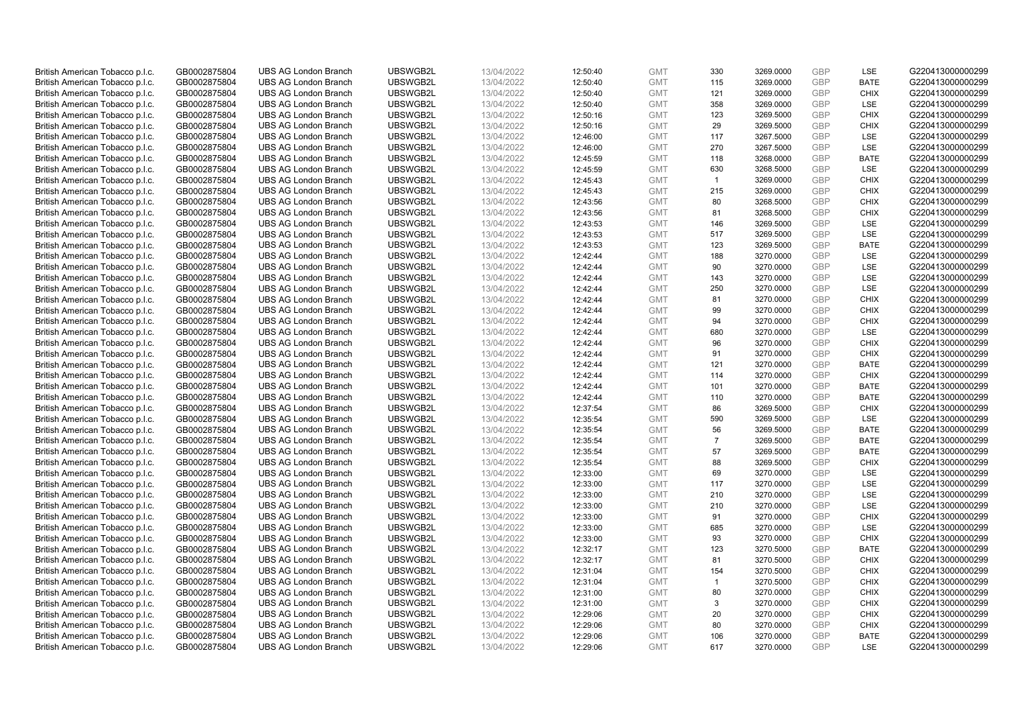| British American Tobacco p.l.c. | GB0002875804 | <b>UBS AG London Branch</b> | UBSWGB2L | 13/04/2022 | 12:50:40 | <b>GMT</b> | 330            | 3269.0000 | <b>GBP</b> | LSE         | G220413000000299 |
|---------------------------------|--------------|-----------------------------|----------|------------|----------|------------|----------------|-----------|------------|-------------|------------------|
| British American Tobacco p.l.c. | GB0002875804 | <b>UBS AG London Branch</b> | UBSWGB2L | 13/04/2022 | 12:50:40 | <b>GMT</b> | 115            | 3269.0000 | <b>GBP</b> | <b>BATE</b> | G220413000000299 |
|                                 |              |                             |          |            |          |            |                |           |            |             |                  |
| British American Tobacco p.l.c. | GB0002875804 | <b>UBS AG London Branch</b> | UBSWGB2L | 13/04/2022 | 12:50:40 | <b>GMT</b> | 121            | 3269.0000 | <b>GBP</b> | <b>CHIX</b> | G220413000000299 |
| British American Tobacco p.l.c. | GB0002875804 | <b>UBS AG London Branch</b> | UBSWGB2L | 13/04/2022 | 12:50:40 | <b>GMT</b> | 358            | 3269.0000 | <b>GBP</b> | LSE         | G220413000000299 |
| British American Tobacco p.l.c. | GB0002875804 | <b>UBS AG London Branch</b> | UBSWGB2L | 13/04/2022 | 12:50:16 | <b>GMT</b> | 123            | 3269.5000 | <b>GBP</b> | <b>CHIX</b> | G220413000000299 |
| British American Tobacco p.l.c. | GB0002875804 | <b>UBS AG London Branch</b> | UBSWGB2L | 13/04/2022 | 12:50:16 | <b>GMT</b> | 29             | 3269.5000 | <b>GBP</b> | <b>CHIX</b> | G220413000000299 |
| British American Tobacco p.l.c. | GB0002875804 | <b>UBS AG London Branch</b> | UBSWGB2L | 13/04/2022 | 12:46:00 | <b>GMT</b> | 117            | 3267.5000 | <b>GBP</b> | LSE         | G220413000000299 |
| British American Tobacco p.l.c. | GB0002875804 | <b>UBS AG London Branch</b> | UBSWGB2L | 13/04/2022 | 12:46:00 | <b>GMT</b> | 270            | 3267.5000 | <b>GBP</b> | LSE         | G220413000000299 |
| British American Tobacco p.l.c. | GB0002875804 | <b>UBS AG London Branch</b> | UBSWGB2L | 13/04/2022 | 12:45:59 | <b>GMT</b> | 118            | 3268.0000 | <b>GBP</b> | <b>BATE</b> | G220413000000299 |
| British American Tobacco p.l.c. | GB0002875804 | <b>UBS AG London Branch</b> | UBSWGB2L | 13/04/2022 | 12:45:59 | <b>GMT</b> | 630            | 3268.5000 | <b>GBP</b> | LSE         | G220413000000299 |
| British American Tobacco p.l.c. | GB0002875804 | <b>UBS AG London Branch</b> | UBSWGB2L | 13/04/2022 | 12:45:43 | <b>GMT</b> | $\overline{1}$ | 3269.0000 | <b>GBP</b> | <b>CHIX</b> | G220413000000299 |
| British American Tobacco p.l.c. | GB0002875804 | <b>UBS AG London Branch</b> | UBSWGB2L | 13/04/2022 | 12:45:43 | <b>GMT</b> | 215            | 3269.0000 | <b>GBP</b> | <b>CHIX</b> | G220413000000299 |
| British American Tobacco p.l.c. | GB0002875804 | <b>UBS AG London Branch</b> | UBSWGB2L | 13/04/2022 | 12:43:56 | <b>GMT</b> | 80             | 3268.5000 | <b>GBP</b> | <b>CHIX</b> | G220413000000299 |
| British American Tobacco p.l.c. | GB0002875804 | <b>UBS AG London Branch</b> | UBSWGB2L | 13/04/2022 | 12:43:56 | <b>GMT</b> | 81             | 3268.5000 | <b>GBP</b> | <b>CHIX</b> | G220413000000299 |
| British American Tobacco p.l.c. | GB0002875804 | <b>UBS AG London Branch</b> | UBSWGB2L | 13/04/2022 | 12:43:53 | <b>GMT</b> | 146            | 3269.5000 | <b>GBP</b> | LSE         | G220413000000299 |
| British American Tobacco p.l.c. | GB0002875804 | <b>UBS AG London Branch</b> | UBSWGB2L | 13/04/2022 | 12:43:53 | <b>GMT</b> | 517            | 3269.5000 | <b>GBP</b> | LSE         | G220413000000299 |
| British American Tobacco p.l.c. | GB0002875804 | <b>UBS AG London Branch</b> | UBSWGB2L | 13/04/2022 | 12:43:53 | <b>GMT</b> | 123            | 3269.5000 | <b>GBP</b> | <b>BATE</b> | G220413000000299 |
| British American Tobacco p.l.c. | GB0002875804 | <b>UBS AG London Branch</b> | UBSWGB2L | 13/04/2022 | 12:42:44 | <b>GMT</b> | 188            | 3270.0000 | <b>GBP</b> | LSE         | G220413000000299 |
|                                 |              | <b>UBS AG London Branch</b> | UBSWGB2L |            |          |            | 90             |           |            | <b>LSE</b>  |                  |
| British American Tobacco p.l.c. | GB0002875804 |                             |          | 13/04/2022 | 12:42:44 | <b>GMT</b> |                | 3270.0000 | <b>GBP</b> |             | G220413000000299 |
| British American Tobacco p.l.c. | GB0002875804 | <b>UBS AG London Branch</b> | UBSWGB2L | 13/04/2022 | 12:42:44 | <b>GMT</b> | 143            | 3270.0000 | <b>GBP</b> | LSE         | G220413000000299 |
| British American Tobacco p.l.c. | GB0002875804 | <b>UBS AG London Branch</b> | UBSWGB2L | 13/04/2022 | 12:42:44 | <b>GMT</b> | 250            | 3270.0000 | <b>GBP</b> | LSE         | G220413000000299 |
| British American Tobacco p.l.c. | GB0002875804 | <b>UBS AG London Branch</b> | UBSWGB2L | 13/04/2022 | 12:42:44 | <b>GMT</b> | 81             | 3270.0000 | <b>GBP</b> | <b>CHIX</b> | G220413000000299 |
| British American Tobacco p.l.c. | GB0002875804 | <b>UBS AG London Branch</b> | UBSWGB2L | 13/04/2022 | 12:42:44 | <b>GMT</b> | 99             | 3270.0000 | <b>GBP</b> | <b>CHIX</b> | G220413000000299 |
| British American Tobacco p.l.c. | GB0002875804 | <b>UBS AG London Branch</b> | UBSWGB2L | 13/04/2022 | 12:42:44 | <b>GMT</b> | 94             | 3270.0000 | <b>GBP</b> | <b>CHIX</b> | G220413000000299 |
| British American Tobacco p.l.c. | GB0002875804 | <b>UBS AG London Branch</b> | UBSWGB2L | 13/04/2022 | 12:42:44 | <b>GMT</b> | 680            | 3270.0000 | <b>GBP</b> | LSE         | G220413000000299 |
| British American Tobacco p.l.c. | GB0002875804 | <b>UBS AG London Branch</b> | UBSWGB2L | 13/04/2022 | 12:42:44 | <b>GMT</b> | 96             | 3270.0000 | <b>GBP</b> | <b>CHIX</b> | G220413000000299 |
| British American Tobacco p.l.c. | GB0002875804 | <b>UBS AG London Branch</b> | UBSWGB2L | 13/04/2022 | 12:42:44 | <b>GMT</b> | 91             | 3270.0000 | <b>GBP</b> | <b>CHIX</b> | G220413000000299 |
| British American Tobacco p.l.c. | GB0002875804 | <b>UBS AG London Branch</b> | UBSWGB2L | 13/04/2022 | 12:42:44 | <b>GMT</b> | 121            | 3270.0000 | <b>GBP</b> | <b>BATE</b> | G220413000000299 |
| British American Tobacco p.l.c. | GB0002875804 | <b>UBS AG London Branch</b> | UBSWGB2L | 13/04/2022 | 12:42:44 | <b>GMT</b> | 114            | 3270.0000 | <b>GBP</b> | <b>CHIX</b> | G220413000000299 |
| British American Tobacco p.l.c. | GB0002875804 | <b>UBS AG London Branch</b> | UBSWGB2L | 13/04/2022 | 12:42:44 | <b>GMT</b> | 101            | 3270.0000 | <b>GBP</b> | <b>BATE</b> | G220413000000299 |
| British American Tobacco p.l.c. | GB0002875804 | <b>UBS AG London Branch</b> | UBSWGB2L | 13/04/2022 | 12:42:44 | <b>GMT</b> | 110            | 3270.0000 | <b>GBP</b> | <b>BATE</b> | G220413000000299 |
| British American Tobacco p.l.c. | GB0002875804 | <b>UBS AG London Branch</b> | UBSWGB2L | 13/04/2022 | 12:37:54 | <b>GMT</b> | 86             | 3269.5000 | <b>GBP</b> | <b>CHIX</b> | G220413000000299 |
| British American Tobacco p.l.c. | GB0002875804 | <b>UBS AG London Branch</b> | UBSWGB2L | 13/04/2022 | 12:35:54 | <b>GMT</b> | 590            | 3269.5000 | <b>GBP</b> | LSE         | G220413000000299 |
| British American Tobacco p.l.c. | GB0002875804 | <b>UBS AG London Branch</b> | UBSWGB2L | 13/04/2022 | 12:35:54 | <b>GMT</b> | 56             | 3269.5000 | <b>GBP</b> | <b>BATE</b> | G220413000000299 |
| British American Tobacco p.l.c. | GB0002875804 | <b>UBS AG London Branch</b> | UBSWGB2L | 13/04/2022 | 12:35:54 | <b>GMT</b> | $\overline{7}$ | 3269.5000 | <b>GBP</b> | <b>BATE</b> | G220413000000299 |
| British American Tobacco p.l.c. | GB0002875804 | <b>UBS AG London Branch</b> | UBSWGB2L | 13/04/2022 | 12:35:54 | <b>GMT</b> | 57             | 3269.5000 | <b>GBP</b> | <b>BATE</b> | G220413000000299 |
| British American Tobacco p.l.c. | GB0002875804 | <b>UBS AG London Branch</b> | UBSWGB2L | 13/04/2022 | 12:35:54 | <b>GMT</b> | 88             | 3269.5000 | <b>GBP</b> | <b>CHIX</b> | G220413000000299 |
| British American Tobacco p.l.c. | GB0002875804 | <b>UBS AG London Branch</b> | UBSWGB2L | 13/04/2022 | 12:33:00 | <b>GMT</b> | 69             | 3270.0000 | <b>GBP</b> | LSE         | G220413000000299 |
| British American Tobacco p.l.c. | GB0002875804 | <b>UBS AG London Branch</b> | UBSWGB2L | 13/04/2022 | 12:33:00 | <b>GMT</b> | 117            | 3270.0000 | <b>GBP</b> | LSE         | G220413000000299 |
| British American Tobacco p.l.c. | GB0002875804 | UBS AG London Branch        | UBSWGB2L | 13/04/2022 | 12:33:00 | <b>GMT</b> | 210            | 3270.0000 | <b>GBP</b> | <b>LSE</b>  | G220413000000299 |
| British American Tobacco p.l.c. | GB0002875804 | <b>UBS AG London Branch</b> | UBSWGB2L | 13/04/2022 | 12:33:00 | <b>GMT</b> | 210            | 3270.0000 | <b>GBP</b> | LSE         | G220413000000299 |
| British American Tobacco p.l.c. | GB0002875804 | <b>UBS AG London Branch</b> | UBSWGB2L | 13/04/2022 | 12:33:00 | <b>GMT</b> | 91             | 3270.0000 | <b>GBP</b> | <b>CHIX</b> | G220413000000299 |
| British American Tobacco p.l.c. | GB0002875804 | <b>UBS AG London Branch</b> | UBSWGB2L | 13/04/2022 | 12:33:00 | <b>GMT</b> | 685            | 3270.0000 | <b>GBP</b> | LSE         | G220413000000299 |
| British American Tobacco p.l.c. | GB0002875804 | <b>UBS AG London Branch</b> | UBSWGB2L | 13/04/2022 |          | <b>GMT</b> | 93             | 3270.0000 | <b>GBP</b> | <b>CHIX</b> | G220413000000299 |
|                                 |              |                             | UBSWGB2L |            | 12:33:00 |            | 123            |           | <b>GBP</b> |             |                  |
| British American Tobacco p.l.c. | GB0002875804 | UBS AG London Branch        |          | 13/04/2022 | 12:32:17 | <b>GMT</b> |                | 3270.5000 | <b>GBP</b> | <b>BATE</b> | G220413000000299 |
| British American Tobacco p.l.c. | GB0002875804 | <b>UBS AG London Branch</b> | UBSWGB2L | 13/04/2022 | 12:32:17 | <b>GMT</b> | 81             | 3270.5000 |            | <b>CHIX</b> | G220413000000299 |
| British American Tobacco p.l.c. | GB0002875804 | <b>UBS AG London Branch</b> | UBSWGB2L | 13/04/2022 | 12:31:04 | <b>GMT</b> | 154            | 3270.5000 | <b>GBP</b> | <b>CHIX</b> | G220413000000299 |
| British American Tobacco p.l.c. | GB0002875804 | <b>UBS AG London Branch</b> | UBSWGB2L | 13/04/2022 | 12:31:04 | <b>GMT</b> | $\mathbf{1}$   | 3270.5000 | <b>GBP</b> | <b>CHIX</b> | G220413000000299 |
| British American Tobacco p.l.c. | GB0002875804 | <b>UBS AG London Branch</b> | UBSWGB2L | 13/04/2022 | 12:31:00 | <b>GMT</b> | 80             | 3270.0000 | <b>GBP</b> | <b>CHIX</b> | G220413000000299 |
| British American Tobacco p.l.c. | GB0002875804 | <b>UBS AG London Branch</b> | UBSWGB2L | 13/04/2022 | 12:31:00 | <b>GMT</b> | 3              | 3270.0000 | <b>GBP</b> | <b>CHIX</b> | G220413000000299 |
| British American Tobacco p.l.c. | GB0002875804 | <b>UBS AG London Branch</b> | UBSWGB2L | 13/04/2022 | 12:29:06 | <b>GMT</b> | 20             | 3270.0000 | <b>GBP</b> | <b>CHIX</b> | G220413000000299 |
| British American Tobacco p.l.c. | GB0002875804 | <b>UBS AG London Branch</b> | UBSWGB2L | 13/04/2022 | 12:29:06 | <b>GMT</b> | 80             | 3270.0000 | <b>GBP</b> | <b>CHIX</b> | G220413000000299 |
| British American Tobacco p.l.c. | GB0002875804 | <b>UBS AG London Branch</b> | UBSWGB2L | 13/04/2022 | 12:29:06 | <b>GMT</b> | 106            | 3270.0000 | <b>GBP</b> | <b>BATE</b> | G220413000000299 |
| British American Tobacco p.l.c. | GB0002875804 | <b>UBS AG London Branch</b> | UBSWGB2L | 13/04/2022 | 12:29:06 | <b>GMT</b> | 617            | 3270.0000 | <b>GBP</b> | <b>LSE</b>  | G220413000000299 |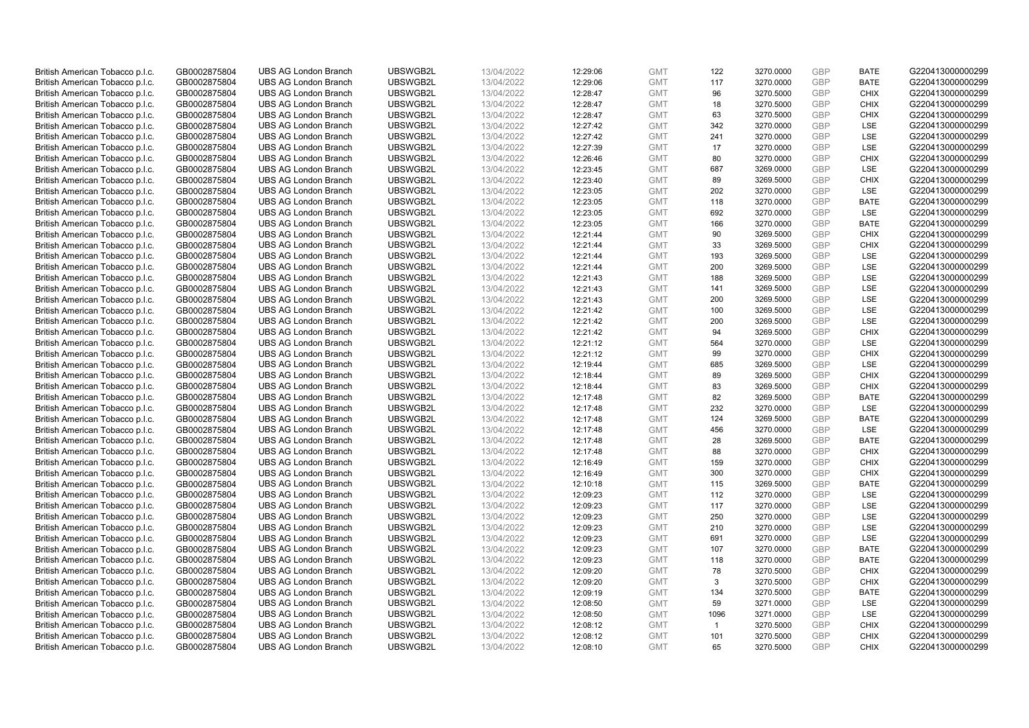| British American Tobacco p.l.c. | GB0002875804                 | <b>UBS AG London Branch</b> | UBSWGB2L | 13/04/2022               | 12:29:06 | <b>GMT</b> | 122            | 3270.0000 | <b>GBP</b> | <b>BATE</b> | G220413000000299 |
|---------------------------------|------------------------------|-----------------------------|----------|--------------------------|----------|------------|----------------|-----------|------------|-------------|------------------|
| British American Tobacco p.l.c. | GB0002875804                 | <b>UBS AG London Branch</b> | UBSWGB2L | 13/04/2022               | 12:29:06 | <b>GMT</b> | 117            | 3270.0000 | <b>GBP</b> | <b>BATE</b> | G220413000000299 |
|                                 |                              | <b>UBS AG London Branch</b> | UBSWGB2L |                          |          | <b>GMT</b> | 96             | 3270.5000 | <b>GBP</b> | <b>CHIX</b> | G220413000000299 |
| British American Tobacco p.l.c. | GB0002875804                 |                             |          | 13/04/2022               | 12:28:47 |            |                |           |            |             |                  |
| British American Tobacco p.l.c. | GB0002875804                 | <b>UBS AG London Branch</b> | UBSWGB2L | 13/04/2022               | 12:28:47 | <b>GMT</b> | 18             | 3270.5000 | <b>GBP</b> | <b>CHIX</b> | G220413000000299 |
| British American Tobacco p.l.c. | GB0002875804                 | <b>UBS AG London Branch</b> | UBSWGB2L | 13/04/2022               | 12:28:47 | <b>GMT</b> | 63             | 3270.5000 | <b>GBP</b> | <b>CHIX</b> | G220413000000299 |
| British American Tobacco p.l.c. | GB0002875804                 | <b>UBS AG London Branch</b> | UBSWGB2L | 13/04/2022               | 12:27:42 | <b>GMT</b> | 342            | 3270.0000 | <b>GBP</b> | <b>LSE</b>  | G220413000000299 |
| British American Tobacco p.l.c. | GB0002875804                 | <b>UBS AG London Branch</b> | UBSWGB2L | 13/04/2022               | 12:27:42 | <b>GMT</b> | 241            | 3270.0000 | <b>GBP</b> | LSE         | G220413000000299 |
| British American Tobacco p.l.c. | GB0002875804                 | <b>UBS AG London Branch</b> | UBSWGB2L | 13/04/2022               | 12:27:39 | <b>GMT</b> | 17             | 3270.0000 | <b>GBP</b> | LSE         | G220413000000299 |
| British American Tobacco p.l.c. | GB0002875804                 | <b>UBS AG London Branch</b> | UBSWGB2L | 13/04/2022               | 12:26:46 | <b>GMT</b> | 80             | 3270.0000 | <b>GBP</b> | <b>CHIX</b> | G220413000000299 |
| British American Tobacco p.l.c. | GB0002875804                 | <b>UBS AG London Branch</b> | UBSWGB2L | 13/04/2022               | 12:23:45 | <b>GMT</b> | 687            | 3269.0000 | <b>GBP</b> | LSE         | G220413000000299 |
| British American Tobacco p.l.c. | GB0002875804                 | <b>UBS AG London Branch</b> | UBSWGB2L | 13/04/2022               | 12:23:40 | <b>GMT</b> | 89             | 3269.5000 | <b>GBP</b> | <b>CHIX</b> | G220413000000299 |
| British American Tobacco p.l.c. | GB0002875804                 | <b>UBS AG London Branch</b> | UBSWGB2L | 13/04/2022               | 12:23:05 | <b>GMT</b> | 202            | 3270.0000 | <b>GBP</b> | LSE         | G220413000000299 |
| British American Tobacco p.l.c. | GB0002875804                 | <b>UBS AG London Branch</b> | UBSWGB2L | 13/04/2022               | 12:23:05 | <b>GMT</b> | 118            | 3270.0000 | <b>GBP</b> | <b>BATE</b> | G220413000000299 |
| British American Tobacco p.l.c. | GB0002875804                 | <b>UBS AG London Branch</b> | UBSWGB2L | 13/04/2022               | 12:23:05 | <b>GMT</b> | 692            | 3270.0000 | <b>GBP</b> | <b>LSE</b>  | G220413000000299 |
| British American Tobacco p.l.c. | GB0002875804                 | <b>UBS AG London Branch</b> | UBSWGB2L | 13/04/2022               | 12:23:05 | <b>GMT</b> | 166            | 3270.0000 | <b>GBP</b> | <b>BATE</b> | G220413000000299 |
| British American Tobacco p.l.c. | GB0002875804                 | <b>UBS AG London Branch</b> | UBSWGB2L | 13/04/2022               | 12:21:44 | <b>GMT</b> | 90             | 3269.5000 | <b>GBP</b> | <b>CHIX</b> | G220413000000299 |
| British American Tobacco p.l.c. | GB0002875804                 | <b>UBS AG London Branch</b> | UBSWGB2L | 13/04/2022               | 12:21:44 | <b>GMT</b> | 33             | 3269.5000 | <b>GBP</b> | <b>CHIX</b> | G220413000000299 |
| British American Tobacco p.l.c. | GB0002875804                 | <b>UBS AG London Branch</b> | UBSWGB2L | 13/04/2022               | 12:21:44 | <b>GMT</b> | 193            | 3269.5000 | <b>GBP</b> | LSE         | G220413000000299 |
|                                 |                              | <b>UBS AG London Branch</b> | UBSWGB2L |                          | 12:21:44 | <b>GMT</b> | 200            | 3269.5000 | <b>GBP</b> | <b>LSE</b>  | G220413000000299 |
| British American Tobacco p.l.c. | GB0002875804<br>GB0002875804 | <b>UBS AG London Branch</b> | UBSWGB2L | 13/04/2022<br>13/04/2022 |          | <b>GMT</b> | 188            |           | <b>GBP</b> | LSE         | G220413000000299 |
| British American Tobacco p.l.c. |                              |                             |          |                          | 12:21:43 |            |                | 3269.5000 |            |             |                  |
| British American Tobacco p.l.c. | GB0002875804                 | <b>UBS AG London Branch</b> | UBSWGB2L | 13/04/2022               | 12:21:43 | <b>GMT</b> | 141            | 3269.5000 | <b>GBP</b> | LSE         | G220413000000299 |
| British American Tobacco p.l.c. | GB0002875804                 | <b>UBS AG London Branch</b> | UBSWGB2L | 13/04/2022               | 12:21:43 | <b>GMT</b> | 200            | 3269.5000 | <b>GBP</b> | LSE         | G220413000000299 |
| British American Tobacco p.l.c. | GB0002875804                 | <b>UBS AG London Branch</b> | UBSWGB2L | 13/04/2022               | 12:21:42 | <b>GMT</b> | 100            | 3269.5000 | <b>GBP</b> | LSE         | G220413000000299 |
| British American Tobacco p.l.c. | GB0002875804                 | <b>UBS AG London Branch</b> | UBSWGB2L | 13/04/2022               | 12:21:42 | <b>GMT</b> | 200            | 3269.5000 | <b>GBP</b> | <b>LSE</b>  | G220413000000299 |
| British American Tobacco p.l.c. | GB0002875804                 | <b>UBS AG London Branch</b> | UBSWGB2L | 13/04/2022               | 12:21:42 | <b>GMT</b> | 94             | 3269.5000 | <b>GBP</b> | <b>CHIX</b> | G220413000000299 |
| British American Tobacco p.l.c. | GB0002875804                 | <b>UBS AG London Branch</b> | UBSWGB2L | 13/04/2022               | 12:21:12 | <b>GMT</b> | 564            | 3270.0000 | <b>GBP</b> | LSE         | G220413000000299 |
| British American Tobacco p.l.c. | GB0002875804                 | <b>UBS AG London Branch</b> | UBSWGB2L | 13/04/2022               | 12:21:12 | <b>GMT</b> | 99             | 3270.0000 | <b>GBP</b> | <b>CHIX</b> | G220413000000299 |
| British American Tobacco p.l.c. | GB0002875804                 | <b>UBS AG London Branch</b> | UBSWGB2L | 13/04/2022               | 12:19:44 | <b>GMT</b> | 685            | 3269.5000 | <b>GBP</b> | LSE         | G220413000000299 |
| British American Tobacco p.l.c. | GB0002875804                 | <b>UBS AG London Branch</b> | UBSWGB2L | 13/04/2022               | 12:18:44 | <b>GMT</b> | 89             | 3269.5000 | <b>GBP</b> | <b>CHIX</b> | G220413000000299 |
| British American Tobacco p.l.c. | GB0002875804                 | <b>UBS AG London Branch</b> | UBSWGB2L | 13/04/2022               | 12:18:44 | <b>GMT</b> | 83             | 3269.5000 | <b>GBP</b> | <b>CHIX</b> | G220413000000299 |
| British American Tobacco p.l.c. | GB0002875804                 | <b>UBS AG London Branch</b> | UBSWGB2L | 13/04/2022               | 12:17:48 | <b>GMT</b> | 82             | 3269.5000 | <b>GBP</b> | <b>BATE</b> | G220413000000299 |
| British American Tobacco p.l.c. | GB0002875804                 | <b>UBS AG London Branch</b> | UBSWGB2L | 13/04/2022               | 12:17:48 | <b>GMT</b> | 232            | 3270.0000 | <b>GBP</b> | LSE         | G220413000000299 |
| British American Tobacco p.l.c. | GB0002875804                 | <b>UBS AG London Branch</b> | UBSWGB2L | 13/04/2022               | 12:17:48 | <b>GMT</b> | 124            | 3269.5000 | <b>GBP</b> | <b>BATE</b> | G220413000000299 |
| British American Tobacco p.l.c. | GB0002875804                 | <b>UBS AG London Branch</b> | UBSWGB2L | 13/04/2022               | 12:17:48 | <b>GMT</b> | 456            | 3270.0000 | <b>GBP</b> | LSE         | G220413000000299 |
| British American Tobacco p.l.c. | GB0002875804                 | <b>UBS AG London Branch</b> | UBSWGB2L | 13/04/2022               | 12:17:48 | <b>GMT</b> | 28             | 3269.5000 | <b>GBP</b> | <b>BATE</b> | G220413000000299 |
| British American Tobacco p.l.c. | GB0002875804                 | <b>UBS AG London Branch</b> | UBSWGB2L | 13/04/2022               | 12:17:48 | <b>GMT</b> | 88             | 3270.0000 | <b>GBP</b> | <b>CHIX</b> | G220413000000299 |
| British American Tobacco p.l.c. | GB0002875804                 | <b>UBS AG London Branch</b> | UBSWGB2L | 13/04/2022               | 12:16:49 | <b>GMT</b> | 159            | 3270.0000 | <b>GBP</b> | <b>CHIX</b> | G220413000000299 |
| British American Tobacco p.l.c. | GB0002875804                 | <b>UBS AG London Branch</b> | UBSWGB2L | 13/04/2022               | 12:16:49 | <b>GMT</b> | 300            | 3270.0000 | <b>GBP</b> | <b>CHIX</b> | G220413000000299 |
| British American Tobacco p.l.c. | GB0002875804                 | <b>UBS AG London Branch</b> | UBSWGB2L | 13/04/2022               | 12:10:18 | <b>GMT</b> | 115            | 3269.5000 | <b>GBP</b> | <b>BATE</b> | G220413000000299 |
| British American Tobacco p.l.c. | GB0002875804                 | UBS AG London Branch        | UBSWGB2L | 13/04/2022               | 12:09:23 | <b>GMT</b> | 112            | 3270.0000 | <b>GBP</b> | <b>LSE</b>  | G220413000000299 |
| British American Tobacco p.l.c. | GB0002875804                 | <b>UBS AG London Branch</b> | UBSWGB2L | 13/04/2022               | 12:09:23 | <b>GMT</b> | 117            | 3270.0000 | <b>GBP</b> | LSE         | G220413000000299 |
| British American Tobacco p.l.c. | GB0002875804                 | <b>UBS AG London Branch</b> | UBSWGB2L | 13/04/2022               | 12:09:23 | <b>GMT</b> | 250            | 3270.0000 | <b>GBP</b> | LSE         | G220413000000299 |
| British American Tobacco p.l.c. | GB0002875804                 | <b>UBS AG London Branch</b> | UBSWGB2L | 13/04/2022               | 12:09:23 | <b>GMT</b> | 210            | 3270.0000 | <b>GBP</b> | LSE         | G220413000000299 |
| British American Tobacco p.l.c. | GB0002875804                 | <b>UBS AG London Branch</b> | UBSWGB2L | 13/04/2022               | 12:09:23 | <b>GMT</b> | 691            | 3270.0000 | <b>GBP</b> | LSE         | G220413000000299 |
| British American Tobacco p.l.c. | GB0002875804                 | UBS AG London Branch        | UBSWGB2L | 13/04/2022               | 12:09:23 | <b>GMT</b> | 107            | 3270.0000 | <b>GBP</b> | <b>BATE</b> | G220413000000299 |
| British American Tobacco p.l.c. | GB0002875804                 | <b>UBS AG London Branch</b> | UBSWGB2L | 13/04/2022               | 12:09:23 | <b>GMT</b> | 118            | 3270.0000 | <b>GBP</b> | <b>BATE</b> | G220413000000299 |
| British American Tobacco p.l.c. | GB0002875804                 | <b>UBS AG London Branch</b> | UBSWGB2L | 13/04/2022               | 12:09:20 | <b>GMT</b> | 78             | 3270.5000 | <b>GBP</b> | <b>CHIX</b> | G220413000000299 |
| British American Tobacco p.l.c. | GB0002875804                 | <b>UBS AG London Branch</b> | UBSWGB2L | 13/04/2022               | 12:09:20 | <b>GMT</b> | 3              | 3270.5000 | <b>GBP</b> | <b>CHIX</b> | G220413000000299 |
| British American Tobacco p.l.c. | GB0002875804                 | <b>UBS AG London Branch</b> | UBSWGB2L | 13/04/2022               |          | GMT        | 134            | 3270.5000 | <b>GBP</b> | <b>BATE</b> | G220413000000299 |
| British American Tobacco p.l.c. | GB0002875804                 | <b>UBS AG London Branch</b> | UBSWGB2L | 13/04/2022               | 12:09:19 | <b>GMT</b> | 59             |           | <b>GBP</b> |             | G220413000000299 |
|                                 |                              |                             |          |                          | 12:08:50 |            |                | 3271.0000 |            | <b>LSE</b>  |                  |
| British American Tobacco p.l.c. | GB0002875804                 | <b>UBS AG London Branch</b> | UBSWGB2L | 13/04/2022               | 12:08:50 | <b>GMT</b> | 1096           | 3271.0000 | <b>GBP</b> | LSE         | G220413000000299 |
| British American Tobacco p.l.c. | GB0002875804                 | <b>UBS AG London Branch</b> | UBSWGB2L | 13/04/2022               | 12:08:12 | <b>GMT</b> | $\overline{1}$ | 3270.5000 | <b>GBP</b> | <b>CHIX</b> | G220413000000299 |
| British American Tobacco p.l.c. | GB0002875804                 | <b>UBS AG London Branch</b> | UBSWGB2L | 13/04/2022               | 12:08:12 | <b>GMT</b> | 101            | 3270.5000 | <b>GBP</b> | <b>CHIX</b> | G220413000000299 |
| British American Tobacco p.l.c. | GB0002875804                 | <b>UBS AG London Branch</b> | UBSWGB2L | 13/04/2022               | 12:08:10 | <b>GMT</b> | 65             | 3270.5000 | <b>GBP</b> | <b>CHIX</b> | G220413000000299 |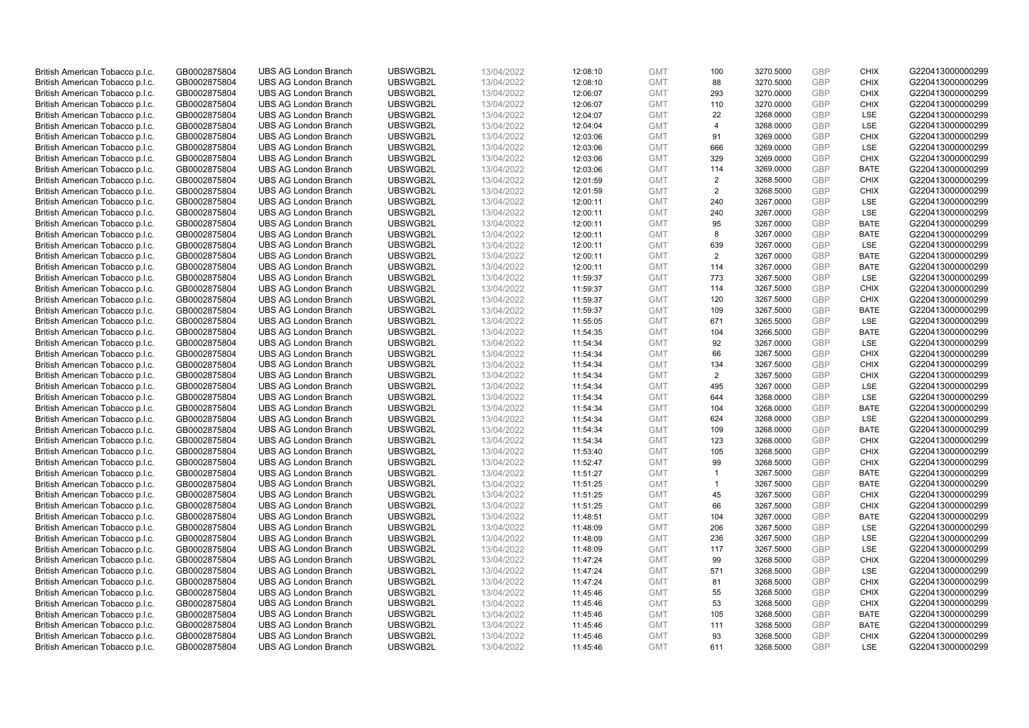| British American Tobacco p.l.c. | GB0002875804                 | <b>UBS AG London Branch</b> | UBSWGB2L | 13/04/2022               | 12:08:10             | <b>GMT</b>               | 100            | 3270.5000 | <b>GBP</b> | <b>CHIX</b>               | G220413000000299 |
|---------------------------------|------------------------------|-----------------------------|----------|--------------------------|----------------------|--------------------------|----------------|-----------|------------|---------------------------|------------------|
| British American Tobacco p.l.c. | GB0002875804                 | <b>UBS AG London Branch</b> | UBSWGB2L | 13/04/2022               | 12:08:10             | <b>GMT</b>               | 88             | 3270.5000 | <b>GBP</b> | <b>CHIX</b>               | G220413000000299 |
|                                 |                              | <b>UBS AG London Branch</b> | UBSWGB2L |                          |                      | <b>GMT</b>               | 293            | 3270.0000 | <b>GBP</b> | <b>CHIX</b>               | G220413000000299 |
| British American Tobacco p.l.c. | GB0002875804                 |                             |          | 13/04/2022               | 12:06:07             |                          |                |           |            |                           |                  |
| British American Tobacco p.l.c. | GB0002875804                 | <b>UBS AG London Branch</b> | UBSWGB2L | 13/04/2022               | 12:06:07             | <b>GMT</b>               | 110            | 3270.0000 | <b>GBP</b> | <b>CHIX</b>               | G220413000000299 |
| British American Tobacco p.l.c. | GB0002875804                 | <b>UBS AG London Branch</b> | UBSWGB2L | 13/04/2022               | 12:04:07             | <b>GMT</b>               | 22             | 3268.0000 | <b>GBP</b> | LSE                       | G220413000000299 |
| British American Tobacco p.l.c. | GB0002875804                 | <b>UBS AG London Branch</b> | UBSWGB2L | 13/04/2022               | 12:04:04             | <b>GMT</b>               | $\overline{4}$ | 3268.0000 | <b>GBP</b> | <b>LSE</b>                | G220413000000299 |
| British American Tobacco p.l.c. | GB0002875804                 | <b>UBS AG London Branch</b> | UBSWGB2L | 13/04/2022               | 12:03:06             | <b>GMT</b>               | 91             | 3269.0000 | <b>GBP</b> | <b>CHIX</b>               | G220413000000299 |
| British American Tobacco p.l.c. | GB0002875804                 | <b>UBS AG London Branch</b> | UBSWGB2L | 13/04/2022               | 12:03:06             | <b>GMT</b>               | 666            | 3269.0000 | <b>GBP</b> | <b>LSE</b>                | G220413000000299 |
| British American Tobacco p.l.c. | GB0002875804                 | <b>UBS AG London Branch</b> | UBSWGB2L | 13/04/2022               | 12:03:06             | <b>GMT</b>               | 329            | 3269.0000 | <b>GBP</b> | <b>CHIX</b>               | G220413000000299 |
| British American Tobacco p.l.c. | GB0002875804                 | <b>UBS AG London Branch</b> | UBSWGB2L | 13/04/2022               | 12:03:06             | <b>GMT</b>               | 114            | 3269.0000 | <b>GBP</b> | <b>BATE</b>               | G220413000000299 |
| British American Tobacco p.l.c. | GB0002875804                 | <b>UBS AG London Branch</b> | UBSWGB2L | 13/04/2022               | 12:01:59             | <b>GMT</b>               | 2              | 3268.5000 | <b>GBP</b> | <b>CHIX</b>               | G220413000000299 |
| British American Tobacco p.l.c. | GB0002875804                 | <b>UBS AG London Branch</b> | UBSWGB2L | 13/04/2022               | 12:01:59             | <b>GMT</b>               | $\overline{2}$ | 3268.5000 | <b>GBP</b> | <b>CHIX</b>               | G220413000000299 |
| British American Tobacco p.l.c. | GB0002875804                 | <b>UBS AG London Branch</b> | UBSWGB2L | 13/04/2022               | 12:00:11             | <b>GMT</b>               | 240            | 3267.0000 | <b>GBP</b> | LSE                       | G220413000000299 |
| British American Tobacco p.l.c. | GB0002875804                 | <b>UBS AG London Branch</b> | UBSWGB2L | 13/04/2022               | 12:00:11             | <b>GMT</b>               | 240            | 3267.0000 | <b>GBP</b> | LSE                       | G220413000000299 |
| British American Tobacco p.l.c. | GB0002875804                 | <b>UBS AG London Branch</b> | UBSWGB2L | 13/04/2022               | 12:00:11             | <b>GMT</b>               | 95             | 3267.0000 | <b>GBP</b> | <b>BATE</b>               | G220413000000299 |
| British American Tobacco p.l.c. | GB0002875804                 | <b>UBS AG London Branch</b> | UBSWGB2L | 13/04/2022               | 12:00:11             | <b>GMT</b>               | 8              | 3267.0000 | <b>GBP</b> | <b>BATE</b>               | G220413000000299 |
| British American Tobacco p.l.c. | GB0002875804                 | <b>UBS AG London Branch</b> | UBSWGB2L | 13/04/2022               | 12:00:11             | <b>GMT</b>               | 639            | 3267.0000 | <b>GBP</b> | LSE                       | G220413000000299 |
| British American Tobacco p.l.c. | GB0002875804                 | <b>UBS AG London Branch</b> | UBSWGB2L | 13/04/2022               | 12:00:11             | <b>GMT</b>               | 2              | 3267.0000 | <b>GBP</b> | <b>BATE</b>               | G220413000000299 |
|                                 |                              | <b>UBS AG London Branch</b> | UBSWGB2L |                          | 12:00:11             | <b>GMT</b>               | 114            | 3267.0000 | <b>GBP</b> | <b>BATE</b>               | G220413000000299 |
| British American Tobacco p.l.c. | GB0002875804<br>GB0002875804 | <b>UBS AG London Branch</b> | UBSWGB2L | 13/04/2022<br>13/04/2022 |                      | <b>GMT</b>               | 773            |           | <b>GBP</b> | LSE                       | G220413000000299 |
| British American Tobacco p.l.c. |                              |                             |          |                          | 11:59:37             |                          |                | 3267.5000 |            |                           |                  |
| British American Tobacco p.l.c. | GB0002875804                 | <b>UBS AG London Branch</b> | UBSWGB2L | 13/04/2022               | 11:59:37             | <b>GMT</b>               | 114            | 3267.5000 | <b>GBP</b> | <b>CHIX</b>               | G220413000000299 |
| British American Tobacco p.l.c. | GB0002875804                 | <b>UBS AG London Branch</b> | UBSWGB2L | 13/04/2022               | 11:59:37             | <b>GMT</b>               | 120            | 3267.5000 | <b>GBP</b> | <b>CHIX</b>               | G220413000000299 |
| British American Tobacco p.l.c. | GB0002875804                 | <b>UBS AG London Branch</b> | UBSWGB2L | 13/04/2022               | 11:59:37             | <b>GMT</b>               | 109            | 3267.5000 | <b>GBP</b> | <b>BATE</b>               | G220413000000299 |
| British American Tobacco p.l.c. | GB0002875804                 | <b>UBS AG London Branch</b> | UBSWGB2L | 13/04/2022               | 11:55:05             | <b>GMT</b>               | 671            | 3265.5000 | <b>GBP</b> | <b>LSE</b>                | G220413000000299 |
| British American Tobacco p.l.c. | GB0002875804                 | <b>UBS AG London Branch</b> | UBSWGB2L | 13/04/2022               | 11:54:35             | <b>GMT</b>               | 104            | 3266.5000 | <b>GBP</b> | <b>BATE</b>               | G220413000000299 |
| British American Tobacco p.l.c. | GB0002875804                 | <b>UBS AG London Branch</b> | UBSWGB2L | 13/04/2022               | 11:54:34             | <b>GMT</b>               | 92             | 3267.0000 | <b>GBP</b> | LSE                       | G220413000000299 |
| British American Tobacco p.l.c. | GB0002875804                 | <b>UBS AG London Branch</b> | UBSWGB2L | 13/04/2022               | 11:54:34             | <b>GMT</b>               | 66             | 3267.5000 | <b>GBP</b> | <b>CHIX</b>               | G220413000000299 |
| British American Tobacco p.l.c. | GB0002875804                 | <b>UBS AG London Branch</b> | UBSWGB2L | 13/04/2022               | 11:54:34             | <b>GMT</b>               | 134            | 3267.5000 | <b>GBP</b> | <b>CHIX</b>               | G220413000000299 |
| British American Tobacco p.l.c. | GB0002875804                 | <b>UBS AG London Branch</b> | UBSWGB2L | 13/04/2022               | 11:54:34             | <b>GMT</b>               | 2              | 3267.5000 | <b>GBP</b> | <b>CHIX</b>               | G220413000000299 |
| British American Tobacco p.l.c. | GB0002875804                 | <b>UBS AG London Branch</b> | UBSWGB2L | 13/04/2022               | 11:54:34             | <b>GMT</b>               | 495            | 3267.0000 | <b>GBP</b> | LSE                       | G220413000000299 |
| British American Tobacco p.l.c. | GB0002875804                 | <b>UBS AG London Branch</b> | UBSWGB2L | 13/04/2022               | 11:54:34             | <b>GMT</b>               | 644            | 3268.0000 | <b>GBP</b> | LSE                       | G220413000000299 |
| British American Tobacco p.l.c. | GB0002875804                 | <b>UBS AG London Branch</b> | UBSWGB2L | 13/04/2022               | 11:54:34             | <b>GMT</b>               | 104            | 3268.0000 | <b>GBP</b> | <b>BATE</b>               | G220413000000299 |
| British American Tobacco p.l.c. | GB0002875804                 | <b>UBS AG London Branch</b> | UBSWGB2L | 13/04/2022               | 11:54:34             | <b>GMT</b>               | 624            | 3268.0000 | <b>GBP</b> | LSE                       | G220413000000299 |
| British American Tobacco p.l.c. | GB0002875804                 | <b>UBS AG London Branch</b> | UBSWGB2L | 13/04/2022               | 11:54:34             | <b>GMT</b>               | 109            | 3268.0000 | <b>GBP</b> | <b>BATE</b>               | G220413000000299 |
| British American Tobacco p.l.c. | GB0002875804                 | <b>UBS AG London Branch</b> | UBSWGB2L | 13/04/2022               | 11:54:34             | <b>GMT</b>               | 123            | 3268.0000 | <b>GBP</b> | <b>CHIX</b>               | G220413000000299 |
| British American Tobacco p.l.c. | GB0002875804                 | <b>UBS AG London Branch</b> | UBSWGB2L | 13/04/2022               | 11:53:40             | <b>GMT</b>               | 105            | 3268.5000 | <b>GBP</b> | <b>CHIX</b>               | G220413000000299 |
| British American Tobacco p.l.c. | GB0002875804                 | <b>UBS AG London Branch</b> | UBSWGB2L | 13/04/2022               | 11:52:47             | <b>GMT</b>               | 99             | 3268.5000 | <b>GBP</b> | <b>CHIX</b>               | G220413000000299 |
| British American Tobacco p.l.c. | GB0002875804                 | <b>UBS AG London Branch</b> | UBSWGB2L | 13/04/2022               | 11:51:27             | <b>GMT</b>               | $\mathbf{1}$   | 3267.5000 | <b>GBP</b> | <b>BATE</b>               | G220413000000299 |
| British American Tobacco p.l.c. | GB0002875804                 | <b>UBS AG London Branch</b> | UBSWGB2L | 13/04/2022               | 11:51:25             | <b>GMT</b>               | $\mathbf{1}$   | 3267.5000 | <b>GBP</b> | <b>BATE</b>               | G220413000000299 |
| British American Tobacco p.l.c. | GB0002875804                 | UBS AG London Branch        | UBSWGB2L | 13/04/2022               | 11:51:25             | <b>GMT</b>               | 45             | 3267.5000 | <b>GBP</b> | <b>CHIX</b>               | G220413000000299 |
| British American Tobacco p.l.c. | GB0002875804                 | <b>UBS AG London Branch</b> | UBSWGB2L | 13/04/2022               | 11:51:25             | <b>GMT</b>               | 66             | 3267.5000 | <b>GBP</b> | <b>CHIX</b>               | G220413000000299 |
| British American Tobacco p.l.c. | GB0002875804                 | <b>UBS AG London Branch</b> | UBSWGB2L | 13/04/2022               | 11:48:51             | <b>GMT</b>               | 104            | 3267.0000 | <b>GBP</b> | <b>BATE</b>               | G220413000000299 |
| British American Tobacco p.l.c. | GB0002875804                 | <b>UBS AG London Branch</b> | UBSWGB2L | 13/04/2022               | 11:48:09             | <b>GMT</b>               | 206            | 3267.5000 | <b>GBP</b> | LSE                       | G220413000000299 |
| British American Tobacco p.l.c. | GB0002875804                 | <b>UBS AG London Branch</b> | UBSWGB2L | 13/04/2022               | 11:48:09             | <b>GMT</b>               | 236            | 3267.5000 | <b>GBP</b> | LSE                       | G220413000000299 |
| British American Tobacco p.l.c. | GB0002875804                 | UBS AG London Branch        | UBSWGB2L | 13/04/2022               | 11:48:09             | <b>GMT</b>               | 117            | 3267.5000 | <b>GBP</b> | LSE                       | G220413000000299 |
| British American Tobacco p.l.c. | GB0002875804                 | <b>UBS AG London Branch</b> | UBSWGB2L | 13/04/2022               | 11:47:24             | <b>GMT</b>               | 99             | 3268.5000 | <b>GBP</b> | <b>CHIX</b>               | G220413000000299 |
| British American Tobacco p.l.c. | GB0002875804                 | <b>UBS AG London Branch</b> | UBSWGB2L | 13/04/2022               | 11:47:24             | <b>GMT</b>               | 571            | 3268.5000 | <b>GBP</b> | LSE                       | G220413000000299 |
| British American Tobacco p.l.c. | GB0002875804                 | <b>UBS AG London Branch</b> | UBSWGB2L | 13/04/2022               | 11:47:24             | <b>GMT</b>               | 81             | 3268.5000 | <b>GBP</b> | <b>CHIX</b>               | G220413000000299 |
| British American Tobacco p.l.c. | GB0002875804                 | <b>UBS AG London Branch</b> | UBSWGB2L | 13/04/2022               | 11:45:46             | <b>GMT</b>               | 55             | 3268.5000 | <b>GBP</b> | <b>CHIX</b>               | G220413000000299 |
| British American Tobacco p.l.c. | GB0002875804                 | <b>UBS AG London Branch</b> | UBSWGB2L | 13/04/2022               | 11:45:46             | <b>GMT</b>               | 53             | 3268.5000 | <b>GBP</b> | <b>CHIX</b>               | G220413000000299 |
| British American Tobacco p.l.c. | GB0002875804                 | <b>UBS AG London Branch</b> | UBSWGB2L |                          |                      | <b>GMT</b>               | 105            | 3268.5000 | <b>GBP</b> | <b>BATE</b>               | G220413000000299 |
| British American Tobacco p.l.c. | GB0002875804                 | <b>UBS AG London Branch</b> | UBSWGB2L | 13/04/2022<br>13/04/2022 | 11:45:46<br>11:45:46 | <b>GMT</b>               | 111            | 3268.5000 | <b>GBP</b> | <b>BATE</b>               | G220413000000299 |
|                                 | GB0002875804                 |                             |          |                          |                      |                          |                |           | <b>GBP</b> |                           |                  |
| British American Tobacco p.l.c. |                              | <b>UBS AG London Branch</b> | UBSWGB2L | 13/04/2022               | 11:45:46             | <b>GMT</b><br><b>GMT</b> | 93<br>611      | 3268.5000 | <b>GBP</b> | <b>CHIX</b><br><b>LSE</b> | G220413000000299 |
| British American Tobacco p.l.c. | GB0002875804                 | <b>UBS AG London Branch</b> | UBSWGB2L | 13/04/2022               | 11:45:46             |                          |                | 3268.5000 |            |                           | G220413000000299 |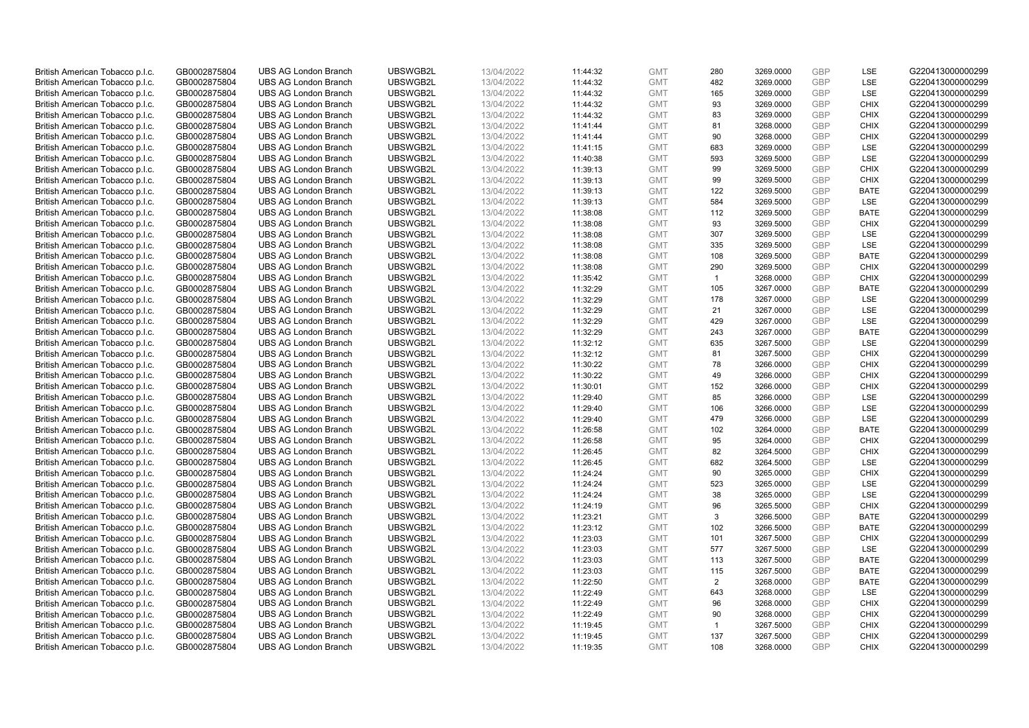| British American Tobacco p.l.c. | GB0002875804 | <b>UBS AG London Branch</b> | UBSWGB2L | 13/04/2022 | 11:44:32 | <b>GMT</b> | 280            | 3269.0000 | <b>GBP</b> | <b>LSE</b>  | G220413000000299 |
|---------------------------------|--------------|-----------------------------|----------|------------|----------|------------|----------------|-----------|------------|-------------|------------------|
| British American Tobacco p.l.c. | GB0002875804 | <b>UBS AG London Branch</b> | UBSWGB2L | 13/04/2022 | 11:44:32 | <b>GMT</b> | 482            | 3269.0000 | <b>GBP</b> | LSE         | G220413000000299 |
|                                 |              |                             |          |            |          |            |                |           |            |             |                  |
| British American Tobacco p.l.c. | GB0002875804 | <b>UBS AG London Branch</b> | UBSWGB2L | 13/04/2022 | 11:44:32 | <b>GMT</b> | 165            | 3269.0000 | <b>GBP</b> | LSE         | G220413000000299 |
| British American Tobacco p.l.c. | GB0002875804 | <b>UBS AG London Branch</b> | UBSWGB2L | 13/04/2022 | 11:44:32 | <b>GMT</b> | 93             | 3269.0000 | <b>GBP</b> | <b>CHIX</b> | G220413000000299 |
| British American Tobacco p.l.c. | GB0002875804 | <b>UBS AG London Branch</b> | UBSWGB2L | 13/04/2022 | 11:44:32 | <b>GMT</b> | 83             | 3269.0000 | <b>GBP</b> | <b>CHIX</b> | G220413000000299 |
| British American Tobacco p.l.c. | GB0002875804 | <b>UBS AG London Branch</b> | UBSWGB2L | 13/04/2022 | 11:41:44 | <b>GMT</b> | 81             | 3268.0000 | <b>GBP</b> | <b>CHIX</b> | G220413000000299 |
| British American Tobacco p.l.c. | GB0002875804 | <b>UBS AG London Branch</b> | UBSWGB2L | 13/04/2022 | 11:41:44 | <b>GMT</b> | 90             | 3268.0000 | <b>GBP</b> | <b>CHIX</b> | G220413000000299 |
| British American Tobacco p.l.c. | GB0002875804 | <b>UBS AG London Branch</b> | UBSWGB2L | 13/04/2022 | 11:41:15 | <b>GMT</b> | 683            | 3269.0000 | <b>GBP</b> | LSE         | G220413000000299 |
| British American Tobacco p.l.c. | GB0002875804 | <b>UBS AG London Branch</b> | UBSWGB2L | 13/04/2022 | 11:40:38 | <b>GMT</b> | 593            | 3269.5000 | <b>GBP</b> | LSE         | G220413000000299 |
| British American Tobacco p.l.c. | GB0002875804 | <b>UBS AG London Branch</b> | UBSWGB2L | 13/04/2022 | 11:39:13 | <b>GMT</b> | 99             | 3269.5000 | <b>GBP</b> | <b>CHIX</b> | G220413000000299 |
| British American Tobacco p.l.c. | GB0002875804 | <b>UBS AG London Branch</b> | UBSWGB2L | 13/04/2022 | 11:39:13 | <b>GMT</b> | 99             | 3269.5000 | <b>GBP</b> | <b>CHIX</b> | G220413000000299 |
| British American Tobacco p.l.c. | GB0002875804 | <b>UBS AG London Branch</b> | UBSWGB2L | 13/04/2022 | 11:39:13 | <b>GMT</b> | 122            | 3269.5000 | <b>GBP</b> | <b>BATE</b> | G220413000000299 |
| British American Tobacco p.l.c. | GB0002875804 | <b>UBS AG London Branch</b> | UBSWGB2L | 13/04/2022 | 11:39:13 | <b>GMT</b> | 584            | 3269.5000 | <b>GBP</b> | LSE         | G220413000000299 |
| British American Tobacco p.l.c. | GB0002875804 | <b>UBS AG London Branch</b> | UBSWGB2L | 13/04/2022 | 11:38:08 | <b>GMT</b> | 112            | 3269.5000 | <b>GBP</b> | <b>BATE</b> | G220413000000299 |
| British American Tobacco p.l.c. | GB0002875804 | <b>UBS AG London Branch</b> | UBSWGB2L | 13/04/2022 | 11:38:08 | <b>GMT</b> | 93             | 3269.5000 | <b>GBP</b> | <b>CHIX</b> | G220413000000299 |
| British American Tobacco p.l.c. | GB0002875804 | <b>UBS AG London Branch</b> | UBSWGB2L | 13/04/2022 | 11:38:08 | <b>GMT</b> | 307            | 3269.5000 | <b>GBP</b> | LSE         | G220413000000299 |
| British American Tobacco p.l.c. | GB0002875804 | <b>UBS AG London Branch</b> | UBSWGB2L | 13/04/2022 | 11:38:08 | <b>GMT</b> | 335            | 3269.5000 | <b>GBP</b> | LSE         | G220413000000299 |
| British American Tobacco p.l.c. | GB0002875804 | <b>UBS AG London Branch</b> | UBSWGB2L | 13/04/2022 | 11:38:08 | <b>GMT</b> | 108            | 3269.5000 | <b>GBP</b> | <b>BATE</b> | G220413000000299 |
|                                 |              | <b>UBS AG London Branch</b> | UBSWGB2L |            |          |            |                |           |            | <b>CHIX</b> |                  |
| British American Tobacco p.l.c. | GB0002875804 |                             |          | 13/04/2022 | 11:38:08 | <b>GMT</b> | 290            | 3269.5000 | <b>GBP</b> |             | G220413000000299 |
| British American Tobacco p.l.c. | GB0002875804 | <b>UBS AG London Branch</b> | UBSWGB2L | 13/04/2022 | 11:35:42 | <b>GMT</b> | $\overline{1}$ | 3268.0000 | <b>GBP</b> | <b>CHIX</b> | G220413000000299 |
| British American Tobacco p.l.c. | GB0002875804 | <b>UBS AG London Branch</b> | UBSWGB2L | 13/04/2022 | 11:32:29 | <b>GMT</b> | 105            | 3267.0000 | <b>GBP</b> | <b>BATE</b> | G220413000000299 |
| British American Tobacco p.l.c. | GB0002875804 | <b>UBS AG London Branch</b> | UBSWGB2L | 13/04/2022 | 11:32:29 | <b>GMT</b> | 178            | 3267.0000 | <b>GBP</b> | LSE         | G220413000000299 |
| British American Tobacco p.l.c. | GB0002875804 | <b>UBS AG London Branch</b> | UBSWGB2L | 13/04/2022 | 11:32:29 | <b>GMT</b> | 21             | 3267.0000 | <b>GBP</b> | LSE         | G220413000000299 |
| British American Tobacco p.l.c. | GB0002875804 | <b>UBS AG London Branch</b> | UBSWGB2L | 13/04/2022 | 11:32:29 | <b>GMT</b> | 429            | 3267.0000 | <b>GBP</b> | <b>LSE</b>  | G220413000000299 |
| British American Tobacco p.l.c. | GB0002875804 | <b>UBS AG London Branch</b> | UBSWGB2L | 13/04/2022 | 11:32:29 | <b>GMT</b> | 243            | 3267.0000 | <b>GBP</b> | <b>BATE</b> | G220413000000299 |
| British American Tobacco p.l.c. | GB0002875804 | <b>UBS AG London Branch</b> | UBSWGB2L | 13/04/2022 | 11:32:12 | <b>GMT</b> | 635            | 3267.5000 | <b>GBP</b> | LSE         | G220413000000299 |
| British American Tobacco p.l.c. | GB0002875804 | <b>UBS AG London Branch</b> | UBSWGB2L | 13/04/2022 | 11:32:12 | <b>GMT</b> | 81             | 3267.5000 | <b>GBP</b> | <b>CHIX</b> | G220413000000299 |
| British American Tobacco p.l.c. | GB0002875804 | <b>UBS AG London Branch</b> | UBSWGB2L | 13/04/2022 | 11:30:22 | <b>GMT</b> | 78             | 3266.0000 | <b>GBP</b> | <b>CHIX</b> | G220413000000299 |
| British American Tobacco p.l.c. | GB0002875804 | <b>UBS AG London Branch</b> | UBSWGB2L | 13/04/2022 | 11:30:22 | <b>GMT</b> | 49             | 3266.0000 | <b>GBP</b> | <b>CHIX</b> | G220413000000299 |
| British American Tobacco p.l.c. | GB0002875804 | UBS AG London Branch        | UBSWGB2L | 13/04/2022 | 11:30:01 | <b>GMT</b> | 152            | 3266.0000 | <b>GBP</b> | <b>CHIX</b> | G220413000000299 |
| British American Tobacco p.l.c. | GB0002875804 | <b>UBS AG London Branch</b> | UBSWGB2L | 13/04/2022 | 11:29:40 | <b>GMT</b> | 85             | 3266.0000 | <b>GBP</b> | <b>LSE</b>  | G220413000000299 |
| British American Tobacco p.l.c. | GB0002875804 | <b>UBS AG London Branch</b> | UBSWGB2L | 13/04/2022 | 11:29:40 | <b>GMT</b> | 106            | 3266.0000 | <b>GBP</b> | <b>LSE</b>  | G220413000000299 |
| British American Tobacco p.l.c. | GB0002875804 | <b>UBS AG London Branch</b> | UBSWGB2L | 13/04/2022 | 11:29:40 | <b>GMT</b> | 479            | 3266.0000 | <b>GBP</b> | LSE         | G220413000000299 |
| British American Tobacco p.l.c. | GB0002875804 | <b>UBS AG London Branch</b> | UBSWGB2L | 13/04/2022 | 11:26:58 | <b>GMT</b> | 102            | 3264.0000 | <b>GBP</b> | <b>BATE</b> | G220413000000299 |
| British American Tobacco p.l.c. | GB0002875804 | <b>UBS AG London Branch</b> | UBSWGB2L | 13/04/2022 | 11:26:58 | <b>GMT</b> | 95             | 3264.0000 | <b>GBP</b> | <b>CHIX</b> | G220413000000299 |
| British American Tobacco p.l.c. | GB0002875804 | <b>UBS AG London Branch</b> | UBSWGB2L | 13/04/2022 | 11:26:45 | <b>GMT</b> | 82             | 3264.5000 | <b>GBP</b> | <b>CHIX</b> | G220413000000299 |
| British American Tobacco p.l.c. | GB0002875804 | <b>UBS AG London Branch</b> | UBSWGB2L | 13/04/2022 | 11:26:45 | <b>GMT</b> | 682            | 3264.5000 | <b>GBP</b> | <b>LSE</b>  | G220413000000299 |
| British American Tobacco p.l.c. | GB0002875804 | <b>UBS AG London Branch</b> | UBSWGB2L | 13/04/2022 | 11:24:24 | <b>GMT</b> | 90             | 3265.0000 | <b>GBP</b> | <b>CHIX</b> | G220413000000299 |
| British American Tobacco p.l.c. | GB0002875804 | <b>UBS AG London Branch</b> | UBSWGB2L | 13/04/2022 | 11:24:24 | <b>GMT</b> | 523            | 3265.0000 | <b>GBP</b> | LSE         | G220413000000299 |
| British American Tobacco p.l.c. | GB0002875804 | UBS AG London Branch        | UBSWGB2L | 13/04/2022 | 11:24:24 | <b>GMT</b> | 38             | 3265.0000 | <b>GBP</b> | <b>LSE</b>  | G220413000000299 |
| British American Tobacco p.l.c. | GB0002875804 | <b>UBS AG London Branch</b> | UBSWGB2L | 13/04/2022 | 11:24:19 | <b>GMT</b> | 96             | 3265.5000 | <b>GBP</b> | <b>CHIX</b> | G220413000000299 |
| British American Tobacco p.l.c. | GB0002875804 | <b>UBS AG London Branch</b> | UBSWGB2L | 13/04/2022 | 11:23:21 | <b>GMT</b> | 3              | 3266.5000 | <b>GBP</b> | <b>BATE</b> | G220413000000299 |
| British American Tobacco p.l.c. | GB0002875804 | <b>UBS AG London Branch</b> | UBSWGB2L | 13/04/2022 | 11:23:12 | <b>GMT</b> | 102            | 3266.5000 | <b>GBP</b> | <b>BATE</b> | G220413000000299 |
| British American Tobacco p.l.c. | GB0002875804 | <b>UBS AG London Branch</b> | UBSWGB2L | 13/04/2022 |          | <b>GMT</b> | 101            | 3267.5000 | <b>GBP</b> | <b>CHIX</b> |                  |
|                                 |              |                             | UBSWGB2L |            | 11:23:03 |            | 577            |           | <b>GBP</b> |             | G220413000000299 |
| British American Tobacco p.l.c. | GB0002875804 | UBS AG London Branch        |          | 13/04/2022 | 11:23:03 | <b>GMT</b> |                | 3267.5000 |            | <b>LSE</b>  | G220413000000299 |
| British American Tobacco p.l.c. | GB0002875804 | <b>UBS AG London Branch</b> | UBSWGB2L | 13/04/2022 | 11:23:03 | <b>GMT</b> | 113            | 3267.5000 | <b>GBP</b> | <b>BATE</b> | G220413000000299 |
| British American Tobacco p.l.c. | GB0002875804 | <b>UBS AG London Branch</b> | UBSWGB2L | 13/04/2022 | 11:23:03 | <b>GMT</b> | 115            | 3267.5000 | <b>GBP</b> | <b>BATE</b> | G220413000000299 |
| British American Tobacco p.l.c. | GB0002875804 | <b>UBS AG London Branch</b> | UBSWGB2L | 13/04/2022 | 11:22:50 | <b>GMT</b> | 2              | 3268.0000 | <b>GBP</b> | <b>BATE</b> | G220413000000299 |
| British American Tobacco p.l.c. | GB0002875804 | <b>UBS AG London Branch</b> | UBSWGB2L | 13/04/2022 | 11:22:49 | <b>GMT</b> | 643            | 3268.0000 | <b>GBP</b> | LSE         | G220413000000299 |
| British American Tobacco p.l.c. | GB0002875804 | <b>UBS AG London Branch</b> | UBSWGB2L | 13/04/2022 | 11:22:49 | <b>GMT</b> | 96             | 3268.0000 | <b>GBP</b> | <b>CHIX</b> | G220413000000299 |
| British American Tobacco p.l.c. | GB0002875804 | <b>UBS AG London Branch</b> | UBSWGB2L | 13/04/2022 | 11:22:49 | <b>GMT</b> | 90             | 3268.0000 | <b>GBP</b> | <b>CHIX</b> | G220413000000299 |
| British American Tobacco p.l.c. | GB0002875804 | <b>UBS AG London Branch</b> | UBSWGB2L | 13/04/2022 | 11:19:45 | <b>GMT</b> | $\mathbf{1}$   | 3267.5000 | <b>GBP</b> | <b>CHIX</b> | G220413000000299 |
| British American Tobacco p.l.c. | GB0002875804 | <b>UBS AG London Branch</b> | UBSWGB2L | 13/04/2022 | 11:19:45 | <b>GMT</b> | 137            | 3267.5000 | <b>GBP</b> | <b>CHIX</b> | G220413000000299 |
| British American Tobacco p.l.c. | GB0002875804 | <b>UBS AG London Branch</b> | UBSWGB2L | 13/04/2022 | 11:19:35 | <b>GMT</b> | 108            | 3268.0000 | <b>GBP</b> | <b>CHIX</b> | G220413000000299 |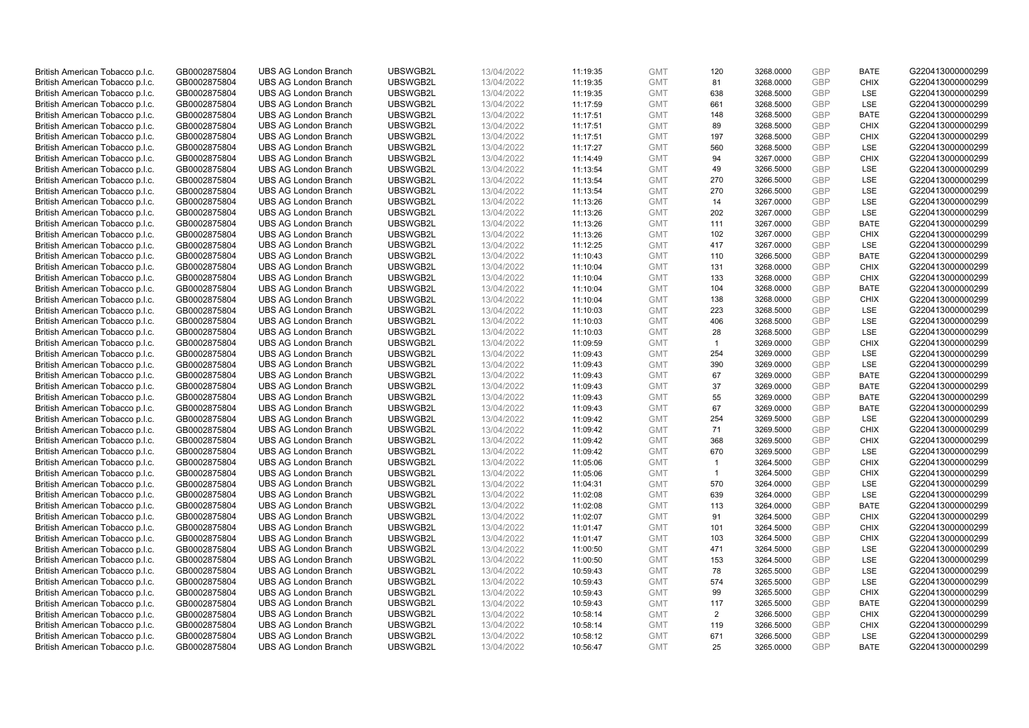| British American Tobacco p.l.c. | GB0002875804 | <b>UBS AG London Branch</b> | UBSWGB2L | 13/04/2022 | 11:19:35 | <b>GMT</b> | 120            | 3268.0000 | <b>GBP</b> | <b>BATE</b> | G220413000000299 |
|---------------------------------|--------------|-----------------------------|----------|------------|----------|------------|----------------|-----------|------------|-------------|------------------|
| British American Tobacco p.l.c. | GB0002875804 | <b>UBS AG London Branch</b> | UBSWGB2L | 13/04/2022 | 11:19:35 | <b>GMT</b> | 81             | 3268.0000 | <b>GBP</b> | <b>CHIX</b> | G220413000000299 |
|                                 |              |                             |          |            |          |            |                |           |            |             |                  |
| British American Tobacco p.l.c. | GB0002875804 | <b>UBS AG London Branch</b> | UBSWGB2L | 13/04/2022 | 11:19:35 | <b>GMT</b> | 638            | 3268.5000 | <b>GBP</b> | LSE         | G220413000000299 |
| British American Tobacco p.l.c. | GB0002875804 | <b>UBS AG London Branch</b> | UBSWGB2L | 13/04/2022 | 11:17:59 | <b>GMT</b> | 661            | 3268.5000 | <b>GBP</b> | LSE         | G220413000000299 |
| British American Tobacco p.l.c. | GB0002875804 | <b>UBS AG London Branch</b> | UBSWGB2L | 13/04/2022 | 11:17:51 | <b>GMT</b> | 148            | 3268.5000 | <b>GBP</b> | <b>BATE</b> | G220413000000299 |
| British American Tobacco p.l.c. | GB0002875804 | <b>UBS AG London Branch</b> | UBSWGB2L | 13/04/2022 | 11:17:51 | <b>GMT</b> | 89             | 3268.5000 | <b>GBP</b> | <b>CHIX</b> | G220413000000299 |
| British American Tobacco p.l.c. | GB0002875804 | <b>UBS AG London Branch</b> | UBSWGB2L | 13/04/2022 | 11:17:51 | <b>GMT</b> | 197            | 3268.5000 | <b>GBP</b> | <b>CHIX</b> | G220413000000299 |
| British American Tobacco p.l.c. | GB0002875804 | <b>UBS AG London Branch</b> | UBSWGB2L | 13/04/2022 | 11:17:27 | <b>GMT</b> | 560            | 3268.5000 | <b>GBP</b> | LSE         | G220413000000299 |
| British American Tobacco p.l.c. | GB0002875804 | <b>UBS AG London Branch</b> | UBSWGB2L | 13/04/2022 | 11:14:49 | <b>GMT</b> | 94             | 3267.0000 | <b>GBP</b> | <b>CHIX</b> | G220413000000299 |
| British American Tobacco p.l.c. | GB0002875804 | <b>UBS AG London Branch</b> | UBSWGB2L | 13/04/2022 | 11:13:54 | <b>GMT</b> | 49             | 3266.5000 | <b>GBP</b> | LSE         | G220413000000299 |
| British American Tobacco p.l.c. | GB0002875804 | <b>UBS AG London Branch</b> | UBSWGB2L | 13/04/2022 | 11:13:54 | <b>GMT</b> | 270            | 3266.5000 | <b>GBP</b> | <b>LSE</b>  | G220413000000299 |
| British American Tobacco p.l.c. | GB0002875804 | <b>UBS AG London Branch</b> | UBSWGB2L | 13/04/2022 | 11:13:54 | <b>GMT</b> | 270            | 3266.5000 | <b>GBP</b> | LSE         | G220413000000299 |
| British American Tobacco p.l.c. | GB0002875804 | <b>UBS AG London Branch</b> | UBSWGB2L | 13/04/2022 | 11:13:26 | <b>GMT</b> | 14             | 3267.0000 | <b>GBP</b> | LSE         | G220413000000299 |
| British American Tobacco p.l.c. | GB0002875804 | <b>UBS AG London Branch</b> | UBSWGB2L | 13/04/2022 | 11:13:26 | <b>GMT</b> | 202            | 3267.0000 | <b>GBP</b> | LSE         | G220413000000299 |
| British American Tobacco p.l.c. | GB0002875804 | <b>UBS AG London Branch</b> | UBSWGB2L | 13/04/2022 | 11:13:26 | <b>GMT</b> | 111            | 3267.0000 | <b>GBP</b> | <b>BATE</b> | G220413000000299 |
| British American Tobacco p.l.c. | GB0002875804 | <b>UBS AG London Branch</b> | UBSWGB2L | 13/04/2022 | 11:13:26 | <b>GMT</b> | 102            | 3267.0000 | <b>GBP</b> | <b>CHIX</b> | G220413000000299 |
| British American Tobacco p.l.c. | GB0002875804 | <b>UBS AG London Branch</b> | UBSWGB2L | 13/04/2022 | 11:12:25 | <b>GMT</b> | 417            | 3267.0000 | <b>GBP</b> | LSE         | G220413000000299 |
| British American Tobacco p.l.c. | GB0002875804 | <b>UBS AG London Branch</b> | UBSWGB2L | 13/04/2022 | 11:10:43 | <b>GMT</b> | 110            | 3266.5000 | <b>GBP</b> | <b>BATE</b> | G220413000000299 |
|                                 |              | <b>UBS AG London Branch</b> | UBSWGB2L |            |          |            |                |           |            |             |                  |
| British American Tobacco p.l.c. | GB0002875804 |                             |          | 13/04/2022 | 11:10:04 | <b>GMT</b> | 131            | 3268.0000 | <b>GBP</b> | <b>CHIX</b> | G220413000000299 |
| British American Tobacco p.l.c. | GB0002875804 | <b>UBS AG London Branch</b> | UBSWGB2L | 13/04/2022 | 11:10:04 | <b>GMT</b> | 133            | 3268.0000 | <b>GBP</b> | <b>CHIX</b> | G220413000000299 |
| British American Tobacco p.l.c. | GB0002875804 | <b>UBS AG London Branch</b> | UBSWGB2L | 13/04/2022 | 11:10:04 | <b>GMT</b> | 104            | 3268.0000 | <b>GBP</b> | <b>BATE</b> | G220413000000299 |
| British American Tobacco p.l.c. | GB0002875804 | <b>UBS AG London Branch</b> | UBSWGB2L | 13/04/2022 | 11:10:04 | <b>GMT</b> | 138            | 3268.0000 | <b>GBP</b> | <b>CHIX</b> | G220413000000299 |
| British American Tobacco p.l.c. | GB0002875804 | <b>UBS AG London Branch</b> | UBSWGB2L | 13/04/2022 | 11:10:03 | <b>GMT</b> | 223            | 3268.5000 | <b>GBP</b> | LSE         | G220413000000299 |
| British American Tobacco p.l.c. | GB0002875804 | <b>UBS AG London Branch</b> | UBSWGB2L | 13/04/2022 | 11:10:03 | <b>GMT</b> | 406            | 3268.5000 | <b>GBP</b> | <b>LSE</b>  | G220413000000299 |
| British American Tobacco p.l.c. | GB0002875804 | <b>UBS AG London Branch</b> | UBSWGB2L | 13/04/2022 | 11:10:03 | <b>GMT</b> | 28             | 3268.5000 | <b>GBP</b> | LSE         | G220413000000299 |
| British American Tobacco p.l.c. | GB0002875804 | <b>UBS AG London Branch</b> | UBSWGB2L | 13/04/2022 | 11:09:59 | <b>GMT</b> | $\mathbf{1}$   | 3269.0000 | <b>GBP</b> | <b>CHIX</b> | G220413000000299 |
| British American Tobacco p.l.c. | GB0002875804 | <b>UBS AG London Branch</b> | UBSWGB2L | 13/04/2022 | 11:09:43 | <b>GMT</b> | 254            | 3269.0000 | <b>GBP</b> | <b>LSE</b>  | G220413000000299 |
| British American Tobacco p.l.c. | GB0002875804 | <b>UBS AG London Branch</b> | UBSWGB2L | 13/04/2022 | 11:09:43 | <b>GMT</b> | 390            | 3269.0000 | <b>GBP</b> | LSE         | G220413000000299 |
| British American Tobacco p.l.c. | GB0002875804 | <b>UBS AG London Branch</b> | UBSWGB2L | 13/04/2022 | 11:09:43 | <b>GMT</b> | 67             | 3269.0000 | <b>GBP</b> | <b>BATE</b> | G220413000000299 |
| British American Tobacco p.l.c. | GB0002875804 | <b>UBS AG London Branch</b> | UBSWGB2L | 13/04/2022 | 11:09:43 | <b>GMT</b> | 37             | 3269.0000 | <b>GBP</b> | <b>BATE</b> | G220413000000299 |
| British American Tobacco p.l.c. | GB0002875804 | <b>UBS AG London Branch</b> | UBSWGB2L | 13/04/2022 | 11:09:43 | <b>GMT</b> | 55             | 3269.0000 | <b>GBP</b> | <b>BATE</b> | G220413000000299 |
| British American Tobacco p.l.c. | GB0002875804 | <b>UBS AG London Branch</b> | UBSWGB2L | 13/04/2022 | 11:09:43 | <b>GMT</b> | 67             | 3269.0000 | <b>GBP</b> | <b>BATE</b> | G220413000000299 |
| British American Tobacco p.l.c. | GB0002875804 | <b>UBS AG London Branch</b> | UBSWGB2L | 13/04/2022 | 11:09:42 | <b>GMT</b> | 254            | 3269.5000 | <b>GBP</b> | LSE         | G220413000000299 |
| British American Tobacco p.l.c. | GB0002875804 | <b>UBS AG London Branch</b> | UBSWGB2L | 13/04/2022 | 11:09:42 | <b>GMT</b> | 71             | 3269.5000 | <b>GBP</b> | <b>CHIX</b> | G220413000000299 |
| British American Tobacco p.l.c. | GB0002875804 | <b>UBS AG London Branch</b> | UBSWGB2L | 13/04/2022 | 11:09:42 | <b>GMT</b> | 368            | 3269.5000 | <b>GBP</b> | <b>CHIX</b> | G220413000000299 |
| British American Tobacco p.l.c. | GB0002875804 | <b>UBS AG London Branch</b> | UBSWGB2L | 13/04/2022 | 11:09:42 | <b>GMT</b> | 670            | 3269.5000 | <b>GBP</b> | LSE         | G220413000000299 |
| British American Tobacco p.l.c. | GB0002875804 | <b>UBS AG London Branch</b> | UBSWGB2L | 13/04/2022 | 11:05:06 | <b>GMT</b> | $\mathbf{1}$   | 3264.5000 | <b>GBP</b> | <b>CHIX</b> | G220413000000299 |
| British American Tobacco p.l.c. | GB0002875804 | <b>UBS AG London Branch</b> | UBSWGB2L | 13/04/2022 | 11:05:06 | <b>GMT</b> | $\overline{1}$ | 3264.5000 | <b>GBP</b> | <b>CHIX</b> | G220413000000299 |
| British American Tobacco p.l.c. | GB0002875804 | <b>UBS AG London Branch</b> | UBSWGB2L | 13/04/2022 | 11:04:31 | <b>GMT</b> | 570            | 3264.0000 | <b>GBP</b> | LSE         | G220413000000299 |
| British American Tobacco p.l.c. | GB0002875804 | UBS AG London Branch        | UBSWGB2L | 13/04/2022 | 11:02:08 | <b>GMT</b> | 639            | 3264.0000 | <b>GBP</b> | <b>LSE</b>  | G220413000000299 |
| British American Tobacco p.l.c. | GB0002875804 | <b>UBS AG London Branch</b> | UBSWGB2L | 13/04/2022 | 11:02:08 | <b>GMT</b> | 113            | 3264.0000 | <b>GBP</b> | <b>BATE</b> | G220413000000299 |
| British American Tobacco p.l.c. | GB0002875804 | <b>UBS AG London Branch</b> | UBSWGB2L | 13/04/2022 | 11:02:07 | <b>GMT</b> | 91             | 3264.5000 | <b>GBP</b> | <b>CHIX</b> | G220413000000299 |
| British American Tobacco p.l.c. | GB0002875804 | <b>UBS AG London Branch</b> | UBSWGB2L | 13/04/2022 | 11:01:47 | <b>GMT</b> | 101            | 3264.5000 | <b>GBP</b> | <b>CHIX</b> | G220413000000299 |
| British American Tobacco p.l.c. | GB0002875804 | <b>UBS AG London Branch</b> | UBSWGB2L | 13/04/2022 | 11:01:47 | <b>GMT</b> | 103            | 3264.5000 | <b>GBP</b> | <b>CHIX</b> | G220413000000299 |
|                                 |              |                             | UBSWGB2L |            |          |            | 471            |           | <b>GBP</b> |             |                  |
| British American Tobacco p.l.c. | GB0002875804 | UBS AG London Branch        |          | 13/04/2022 | 11:00:50 | <b>GMT</b> |                | 3264.5000 |            | <b>LSE</b>  | G220413000000299 |
| British American Tobacco p.l.c. | GB0002875804 | <b>UBS AG London Branch</b> | UBSWGB2L | 13/04/2022 | 11:00:50 | <b>GMT</b> | 153            | 3264.5000 | <b>GBP</b> | LSE         | G220413000000299 |
| British American Tobacco p.l.c. | GB0002875804 | <b>UBS AG London Branch</b> | UBSWGB2L | 13/04/2022 | 10:59:43 | <b>GMT</b> | 78             | 3265.5000 | <b>GBP</b> | LSE         | G220413000000299 |
| British American Tobacco p.l.c. | GB0002875804 | <b>UBS AG London Branch</b> | UBSWGB2L | 13/04/2022 | 10:59:43 | <b>GMT</b> | 574            | 3265.5000 | <b>GBP</b> | LSE         | G220413000000299 |
| British American Tobacco p.l.c. | GB0002875804 | <b>UBS AG London Branch</b> | UBSWGB2L | 13/04/2022 | 10:59:43 | <b>GMT</b> | 99             | 3265.5000 | <b>GBP</b> | <b>CHIX</b> | G220413000000299 |
| British American Tobacco p.l.c. | GB0002875804 | <b>UBS AG London Branch</b> | UBSWGB2L | 13/04/2022 | 10:59:43 | <b>GMT</b> | 117            | 3265.5000 | <b>GBP</b> | <b>BATE</b> | G220413000000299 |
| British American Tobacco p.l.c. | GB0002875804 | <b>UBS AG London Branch</b> | UBSWGB2L | 13/04/2022 | 10:58:14 | <b>GMT</b> | $\overline{2}$ | 3266.5000 | <b>GBP</b> | <b>CHIX</b> | G220413000000299 |
| British American Tobacco p.l.c. | GB0002875804 | <b>UBS AG London Branch</b> | UBSWGB2L | 13/04/2022 | 10:58:14 | <b>GMT</b> | 119            | 3266.5000 | <b>GBP</b> | <b>CHIX</b> | G220413000000299 |
| British American Tobacco p.l.c. | GB0002875804 | <b>UBS AG London Branch</b> | UBSWGB2L | 13/04/2022 | 10:58:12 | <b>GMT</b> | 671            | 3266.5000 | <b>GBP</b> | <b>LSE</b>  | G220413000000299 |
| British American Tobacco p.l.c. | GB0002875804 | <b>UBS AG London Branch</b> | UBSWGB2L | 13/04/2022 | 10:56:47 | <b>GMT</b> | 25             | 3265.0000 | <b>GBP</b> | <b>BATE</b> | G220413000000299 |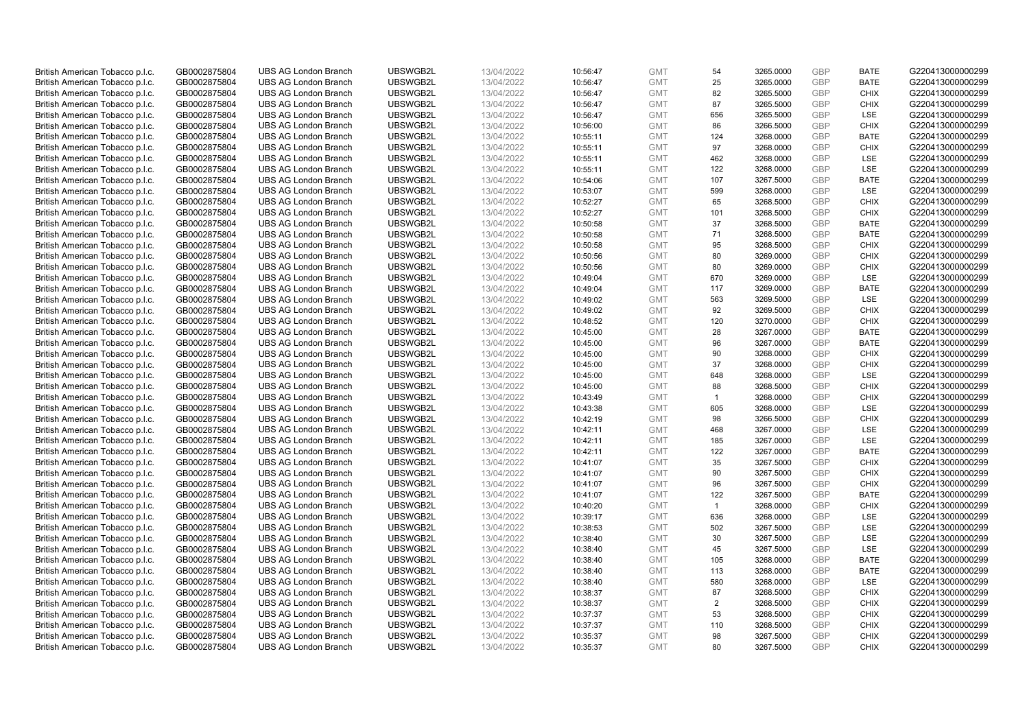| British American Tobacco p.l.c. | GB0002875804 | <b>UBS AG London Branch</b> | UBSWGB2L | 13/04/2022 | 10:56:47 | <b>GMT</b> | 54             | 3265.0000 | <b>GBP</b> | <b>BATE</b> | G220413000000299 |
|---------------------------------|--------------|-----------------------------|----------|------------|----------|------------|----------------|-----------|------------|-------------|------------------|
|                                 | GB0002875804 | <b>UBS AG London Branch</b> | UBSWGB2L | 13/04/2022 |          | <b>GMT</b> | 25             | 3265.0000 | <b>GBP</b> | <b>BATE</b> | G220413000000299 |
| British American Tobacco p.l.c. |              |                             |          |            | 10:56:47 |            |                |           |            |             |                  |
| British American Tobacco p.l.c. | GB0002875804 | <b>UBS AG London Branch</b> | UBSWGB2L | 13/04/2022 | 10:56:47 | <b>GMT</b> | 82             | 3265.5000 | <b>GBP</b> | <b>CHIX</b> | G220413000000299 |
| British American Tobacco p.l.c. | GB0002875804 | <b>UBS AG London Branch</b> | UBSWGB2L | 13/04/2022 | 10:56:47 | <b>GMT</b> | 87             | 3265.5000 | <b>GBP</b> | <b>CHIX</b> | G220413000000299 |
| British American Tobacco p.l.c. | GB0002875804 | <b>UBS AG London Branch</b> | UBSWGB2L | 13/04/2022 | 10:56:47 | <b>GMT</b> | 656            | 3265.5000 | <b>GBP</b> | LSE         | G220413000000299 |
| British American Tobacco p.l.c. | GB0002875804 | <b>UBS AG London Branch</b> | UBSWGB2L | 13/04/2022 | 10:56:00 | <b>GMT</b> | 86             | 3266.5000 | <b>GBP</b> | <b>CHIX</b> | G220413000000299 |
| British American Tobacco p.l.c. | GB0002875804 | <b>UBS AG London Branch</b> | UBSWGB2L | 13/04/2022 | 10:55:11 | <b>GMT</b> | 124            | 3268.0000 | <b>GBP</b> | <b>BATE</b> | G220413000000299 |
| British American Tobacco p.l.c. | GB0002875804 | <b>UBS AG London Branch</b> | UBSWGB2L | 13/04/2022 | 10:55:11 | <b>GMT</b> | 97             | 3268.0000 | <b>GBP</b> | <b>CHIX</b> | G220413000000299 |
| British American Tobacco p.l.c. | GB0002875804 | <b>UBS AG London Branch</b> | UBSWGB2L | 13/04/2022 | 10:55:11 | <b>GMT</b> | 462            | 3268.0000 | <b>GBP</b> | LSE         | G220413000000299 |
| British American Tobacco p.l.c. | GB0002875804 | <b>UBS AG London Branch</b> | UBSWGB2L | 13/04/2022 | 10:55:11 | <b>GMT</b> | 122            | 3268.0000 | <b>GBP</b> | LSE         | G220413000000299 |
| British American Tobacco p.l.c. | GB0002875804 | <b>UBS AG London Branch</b> | UBSWGB2L | 13/04/2022 | 10:54:06 | <b>GMT</b> | 107            | 3267.5000 | <b>GBP</b> | <b>BATE</b> | G220413000000299 |
| British American Tobacco p.l.c. | GB0002875804 | <b>UBS AG London Branch</b> | UBSWGB2L | 13/04/2022 | 10:53:07 | <b>GMT</b> | 599            | 3268.0000 | <b>GBP</b> | LSE         | G220413000000299 |
| British American Tobacco p.l.c. | GB0002875804 | <b>UBS AG London Branch</b> | UBSWGB2L | 13/04/2022 | 10:52:27 | <b>GMT</b> | 65             | 3268.5000 | <b>GBP</b> | <b>CHIX</b> | G220413000000299 |
| British American Tobacco p.l.c. | GB0002875804 | <b>UBS AG London Branch</b> | UBSWGB2L | 13/04/2022 | 10:52:27 | <b>GMT</b> | 101            | 3268.5000 | <b>GBP</b> | <b>CHIX</b> | G220413000000299 |
| British American Tobacco p.l.c. | GB0002875804 | <b>UBS AG London Branch</b> | UBSWGB2L | 13/04/2022 |          | <b>GMT</b> | 37             | 3268.5000 | <b>GBP</b> | <b>BATE</b> | G220413000000299 |
|                                 |              |                             |          |            | 10:50:58 |            |                |           |            |             |                  |
| British American Tobacco p.l.c. | GB0002875804 | <b>UBS AG London Branch</b> | UBSWGB2L | 13/04/2022 | 10:50:58 | <b>GMT</b> | 71             | 3268.5000 | <b>GBP</b> | <b>BATE</b> | G220413000000299 |
| British American Tobacco p.l.c. | GB0002875804 | <b>UBS AG London Branch</b> | UBSWGB2L | 13/04/2022 | 10:50:58 | <b>GMT</b> | 95             | 3268.5000 | <b>GBP</b> | <b>CHIX</b> | G220413000000299 |
| British American Tobacco p.l.c. | GB0002875804 | <b>UBS AG London Branch</b> | UBSWGB2L | 13/04/2022 | 10:50:56 | <b>GMT</b> | 80             | 3269.0000 | <b>GBP</b> | <b>CHIX</b> | G220413000000299 |
| British American Tobacco p.l.c. | GB0002875804 | <b>UBS AG London Branch</b> | UBSWGB2L | 13/04/2022 | 10:50:56 | <b>GMT</b> | 80             | 3269.0000 | <b>GBP</b> | <b>CHIX</b> | G220413000000299 |
| British American Tobacco p.l.c. | GB0002875804 | <b>UBS AG London Branch</b> | UBSWGB2L | 13/04/2022 | 10:49:04 | <b>GMT</b> | 670            | 3269.0000 | <b>GBP</b> | LSE         | G220413000000299 |
| British American Tobacco p.l.c. | GB0002875804 | <b>UBS AG London Branch</b> | UBSWGB2L | 13/04/2022 | 10:49:04 | <b>GMT</b> | 117            | 3269.0000 | <b>GBP</b> | <b>BATE</b> | G220413000000299 |
| British American Tobacco p.l.c. | GB0002875804 | <b>UBS AG London Branch</b> | UBSWGB2L | 13/04/2022 | 10:49:02 | <b>GMT</b> | 563            | 3269.5000 | <b>GBP</b> | LSE         | G220413000000299 |
| British American Tobacco p.l.c. | GB0002875804 | <b>UBS AG London Branch</b> | UBSWGB2L | 13/04/2022 | 10:49:02 | <b>GMT</b> | 92             | 3269.5000 | <b>GBP</b> | <b>CHIX</b> | G220413000000299 |
| British American Tobacco p.l.c. | GB0002875804 | <b>UBS AG London Branch</b> | UBSWGB2L | 13/04/2022 | 10:48:52 | <b>GMT</b> | 120            | 3270.0000 | <b>GBP</b> | <b>CHIX</b> | G220413000000299 |
| British American Tobacco p.l.c. | GB0002875804 | <b>UBS AG London Branch</b> | UBSWGB2L | 13/04/2022 | 10:45:00 | <b>GMT</b> | 28             | 3267.0000 | <b>GBP</b> | <b>BATE</b> | G220413000000299 |
| British American Tobacco p.l.c. | GB0002875804 | <b>UBS AG London Branch</b> | UBSWGB2L | 13/04/2022 | 10:45:00 | <b>GMT</b> | 96             | 3267.0000 | <b>GBP</b> | <b>BATE</b> | G220413000000299 |
| British American Tobacco p.l.c. | GB0002875804 | <b>UBS AG London Branch</b> | UBSWGB2L | 13/04/2022 | 10:45:00 | <b>GMT</b> | 90             | 3268.0000 | <b>GBP</b> | <b>CHIX</b> | G220413000000299 |
| British American Tobacco p.l.c. | GB0002875804 | <b>UBS AG London Branch</b> | UBSWGB2L | 13/04/2022 | 10:45:00 | <b>GMT</b> | 37             | 3268.0000 | <b>GBP</b> | <b>CHIX</b> | G220413000000299 |
| British American Tobacco p.l.c. | GB0002875804 | <b>UBS AG London Branch</b> | UBSWGB2L | 13/04/2022 | 10:45:00 | <b>GMT</b> | 648            | 3268.0000 | <b>GBP</b> | <b>LSE</b>  | G220413000000299 |
| British American Tobacco p.l.c. | GB0002875804 | UBS AG London Branch        | UBSWGB2L | 13/04/2022 | 10:45:00 | <b>GMT</b> | 88             | 3268.5000 | <b>GBP</b> | <b>CHIX</b> | G220413000000299 |
|                                 |              |                             |          |            |          |            | $\mathbf{1}$   |           | <b>GBP</b> | <b>CHIX</b> |                  |
| British American Tobacco p.l.c. | GB0002875804 | <b>UBS AG London Branch</b> | UBSWGB2L | 13/04/2022 | 10:43:49 | <b>GMT</b> |                | 3268.0000 |            |             | G220413000000299 |
| British American Tobacco p.l.c. | GB0002875804 | <b>UBS AG London Branch</b> | UBSWGB2L | 13/04/2022 | 10:43:38 | <b>GMT</b> | 605            | 3268.0000 | <b>GBP</b> | LSE         | G220413000000299 |
| British American Tobacco p.l.c. | GB0002875804 | <b>UBS AG London Branch</b> | UBSWGB2L | 13/04/2022 | 10:42:19 | <b>GMT</b> | 98             | 3266.5000 | <b>GBP</b> | <b>CHIX</b> | G220413000000299 |
| British American Tobacco p.l.c. | GB0002875804 | <b>UBS AG London Branch</b> | UBSWGB2L | 13/04/2022 | 10:42:11 | <b>GMT</b> | 468            | 3267.0000 | <b>GBP</b> | LSE         | G220413000000299 |
| British American Tobacco p.l.c. | GB0002875804 | <b>UBS AG London Branch</b> | UBSWGB2L | 13/04/2022 | 10:42:11 | <b>GMT</b> | 185            | 3267.0000 | <b>GBP</b> | LSE         | G220413000000299 |
| British American Tobacco p.l.c. | GB0002875804 | <b>UBS AG London Branch</b> | UBSWGB2L | 13/04/2022 | 10:42:11 | <b>GMT</b> | 122            | 3267.0000 | <b>GBP</b> | <b>BATE</b> | G220413000000299 |
| British American Tobacco p.l.c. | GB0002875804 | <b>UBS AG London Branch</b> | UBSWGB2L | 13/04/2022 | 10:41:07 | <b>GMT</b> | 35             | 3267.5000 | <b>GBP</b> | <b>CHIX</b> | G220413000000299 |
| British American Tobacco p.l.c. | GB0002875804 | <b>UBS AG London Branch</b> | UBSWGB2L | 13/04/2022 | 10:41:07 | <b>GMT</b> | 90             | 3267.5000 | <b>GBP</b> | <b>CHIX</b> | G220413000000299 |
| British American Tobacco p.l.c. | GB0002875804 | <b>UBS AG London Branch</b> | UBSWGB2L | 13/04/2022 | 10:41:07 | <b>GMT</b> | 96             | 3267.5000 | <b>GBP</b> | <b>CHIX</b> | G220413000000299 |
| British American Tobacco p.l.c. | GB0002875804 | UBS AG London Branch        | UBSWGB2L | 13/04/2022 | 10:41:07 | <b>GMT</b> | 122            | 3267.5000 | <b>GBP</b> | <b>BATE</b> | G220413000000299 |
| British American Tobacco p.l.c. | GB0002875804 | <b>UBS AG London Branch</b> | UBSWGB2L | 13/04/2022 | 10:40:20 | <b>GMT</b> | $\overline{1}$ | 3268.0000 | <b>GBP</b> | <b>CHIX</b> | G220413000000299 |
| British American Tobacco p.l.c. | GB0002875804 | <b>UBS AG London Branch</b> | UBSWGB2L | 13/04/2022 | 10:39:17 | <b>GMT</b> | 636            | 3268.0000 | <b>GBP</b> | <b>LSE</b>  | G220413000000299 |
| British American Tobacco p.l.c. | GB0002875804 | <b>UBS AG London Branch</b> | UBSWGB2L | 13/04/2022 | 10:38:53 | <b>GMT</b> | 502            | 3267.5000 | <b>GBP</b> | LSE         | G220413000000299 |
| British American Tobacco p.l.c. | GB0002875804 | <b>UBS AG London Branch</b> | UBSWGB2L | 13/04/2022 | 10:38:40 | <b>GMT</b> | 30             | 3267.5000 | <b>GBP</b> | LSE         | G220413000000299 |
| British American Tobacco p.l.c. | GB0002875804 | UBS AG London Branch        | UBSWGB2L | 13/04/2022 | 10:38:40 | <b>GMT</b> | 45             | 3267.5000 | <b>GBP</b> | LSE         | G220413000000299 |
| British American Tobacco p.l.c. | GB0002875804 | <b>UBS AG London Branch</b> | UBSWGB2L | 13/04/2022 | 10:38:40 | <b>GMT</b> | 105            | 3268.0000 | <b>GBP</b> | <b>BATE</b> | G220413000000299 |
| British American Tobacco p.l.c. | GB0002875804 | <b>UBS AG London Branch</b> | UBSWGB2L | 13/04/2022 | 10:38:40 | <b>GMT</b> | 113            | 3268.0000 | <b>GBP</b> | <b>BATE</b> | G220413000000299 |
| British American Tobacco p.l.c. | GB0002875804 | <b>UBS AG London Branch</b> | UBSWGB2L | 13/04/2022 | 10:38:40 | <b>GMT</b> | 580            | 3268.0000 | <b>GBP</b> | LSE         | G220413000000299 |
|                                 |              |                             |          |            |          | <b>GMT</b> |                |           | <b>GBP</b> |             |                  |
| British American Tobacco p.l.c. | GB0002875804 | <b>UBS AG London Branch</b> | UBSWGB2L | 13/04/2022 | 10:38:37 |            | 87             | 3268.5000 |            | <b>CHIX</b> | G220413000000299 |
| British American Tobacco p.l.c. | GB0002875804 | <b>UBS AG London Branch</b> | UBSWGB2L | 13/04/2022 | 10:38:37 | <b>GMT</b> | 2              | 3268.5000 | <b>GBP</b> | <b>CHIX</b> | G220413000000299 |
| British American Tobacco p.l.c. | GB0002875804 | <b>UBS AG London Branch</b> | UBSWGB2L | 13/04/2022 | 10:37:37 | <b>GMT</b> | 53             | 3268.5000 | <b>GBP</b> | <b>CHIX</b> | G220413000000299 |
| British American Tobacco p.l.c. | GB0002875804 | <b>UBS AG London Branch</b> | UBSWGB2L | 13/04/2022 | 10:37:37 | <b>GMT</b> | 110            | 3268.5000 | <b>GBP</b> | <b>CHIX</b> | G220413000000299 |
| British American Tobacco p.l.c. | GB0002875804 | <b>UBS AG London Branch</b> | UBSWGB2L | 13/04/2022 | 10:35:37 | <b>GMT</b> | 98             | 3267.5000 | <b>GBP</b> | <b>CHIX</b> | G220413000000299 |
| British American Tobacco p.l.c. | GB0002875804 | <b>UBS AG London Branch</b> | UBSWGB2L | 13/04/2022 | 10:35:37 | <b>GMT</b> | 80             | 3267.5000 | <b>GBP</b> | <b>CHIX</b> | G220413000000299 |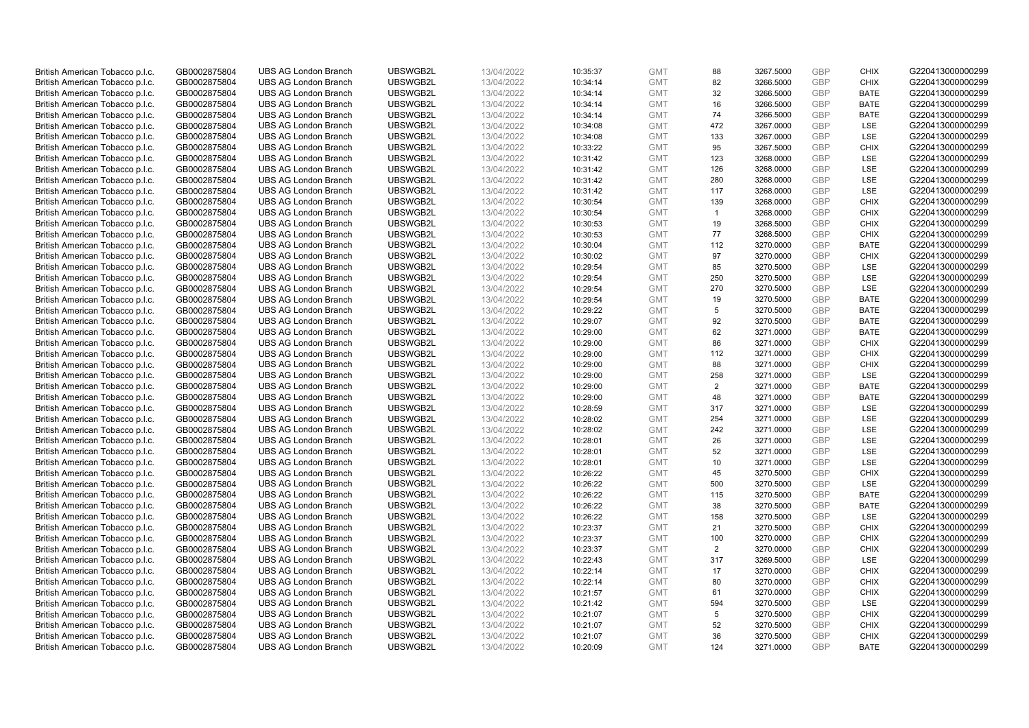| British American Tobacco p.l.c. | GB0002875804 | <b>UBS AG London Branch</b> | UBSWGB2L | 13/04/2022 | 10:35:37 | <b>GMT</b> | 88           | 3267.5000 | <b>GBP</b> | <b>CHIX</b> | G220413000000299 |
|---------------------------------|--------------|-----------------------------|----------|------------|----------|------------|--------------|-----------|------------|-------------|------------------|
|                                 | GB0002875804 | <b>UBS AG London Branch</b> | UBSWGB2L | 13/04/2022 |          | <b>GMT</b> | 82           | 3266.5000 | <b>GBP</b> | <b>CHIX</b> | G220413000000299 |
| British American Tobacco p.l.c. |              |                             |          |            | 10:34:14 |            |              |           |            |             |                  |
| British American Tobacco p.l.c. | GB0002875804 | <b>UBS AG London Branch</b> | UBSWGB2L | 13/04/2022 | 10:34:14 | <b>GMT</b> | 32           | 3266.5000 | <b>GBP</b> | <b>BATE</b> | G220413000000299 |
| British American Tobacco p.l.c. | GB0002875804 | <b>UBS AG London Branch</b> | UBSWGB2L | 13/04/2022 | 10:34:14 | <b>GMT</b> | 16           | 3266.5000 | <b>GBP</b> | <b>BATE</b> | G220413000000299 |
| British American Tobacco p.l.c. | GB0002875804 | <b>UBS AG London Branch</b> | UBSWGB2L | 13/04/2022 | 10:34:14 | <b>GMT</b> | 74           | 3266.5000 | <b>GBP</b> | <b>BATE</b> | G220413000000299 |
| British American Tobacco p.l.c. | GB0002875804 | <b>UBS AG London Branch</b> | UBSWGB2L | 13/04/2022 | 10:34:08 | <b>GMT</b> | 472          | 3267.0000 | <b>GBP</b> | <b>LSE</b>  | G220413000000299 |
| British American Tobacco p.l.c. | GB0002875804 | <b>UBS AG London Branch</b> | UBSWGB2L | 13/04/2022 | 10:34:08 | <b>GMT</b> | 133          | 3267.0000 | <b>GBP</b> | LSE         | G220413000000299 |
| British American Tobacco p.l.c. | GB0002875804 | <b>UBS AG London Branch</b> | UBSWGB2L | 13/04/2022 | 10:33:22 | <b>GMT</b> | 95           | 3267.5000 | <b>GBP</b> | <b>CHIX</b> | G220413000000299 |
| British American Tobacco p.l.c. | GB0002875804 | <b>UBS AG London Branch</b> | UBSWGB2L | 13/04/2022 | 10:31:42 | <b>GMT</b> | 123          | 3268.0000 | <b>GBP</b> | LSE         | G220413000000299 |
| British American Tobacco p.l.c. | GB0002875804 | <b>UBS AG London Branch</b> | UBSWGB2L | 13/04/2022 | 10:31:42 | <b>GMT</b> | 126          | 3268.0000 | <b>GBP</b> | LSE         | G220413000000299 |
| British American Tobacco p.l.c. | GB0002875804 | <b>UBS AG London Branch</b> | UBSWGB2L | 13/04/2022 | 10:31:42 | <b>GMT</b> | 280          | 3268.0000 | <b>GBP</b> | <b>LSE</b>  | G220413000000299 |
| British American Tobacco p.l.c. | GB0002875804 | <b>UBS AG London Branch</b> | UBSWGB2L | 13/04/2022 | 10:31:42 | <b>GMT</b> | 117          | 3268.0000 | <b>GBP</b> | LSE         | G220413000000299 |
| British American Tobacco p.l.c. | GB0002875804 | <b>UBS AG London Branch</b> | UBSWGB2L | 13/04/2022 | 10:30:54 | <b>GMT</b> | 139          | 3268.0000 | <b>GBP</b> | <b>CHIX</b> | G220413000000299 |
| British American Tobacco p.l.c. | GB0002875804 | <b>UBS AG London Branch</b> | UBSWGB2L | 13/04/2022 | 10:30:54 | <b>GMT</b> | $\mathbf{1}$ | 3268.0000 | <b>GBP</b> | <b>CHIX</b> | G220413000000299 |
|                                 |              |                             |          |            |          |            | 19           |           | <b>GBP</b> |             |                  |
| British American Tobacco p.l.c. | GB0002875804 | <b>UBS AG London Branch</b> | UBSWGB2L | 13/04/2022 | 10:30:53 | <b>GMT</b> |              | 3268.5000 |            | <b>CHIX</b> | G220413000000299 |
| British American Tobacco p.l.c. | GB0002875804 | <b>UBS AG London Branch</b> | UBSWGB2L | 13/04/2022 | 10:30:53 | <b>GMT</b> | 77           | 3268.5000 | <b>GBP</b> | <b>CHIX</b> | G220413000000299 |
| British American Tobacco p.l.c. | GB0002875804 | <b>UBS AG London Branch</b> | UBSWGB2L | 13/04/2022 | 10:30:04 | <b>GMT</b> | 112          | 3270.0000 | <b>GBP</b> | <b>BATE</b> | G220413000000299 |
| British American Tobacco p.l.c. | GB0002875804 | <b>UBS AG London Branch</b> | UBSWGB2L | 13/04/2022 | 10:30:02 | <b>GMT</b> | 97           | 3270.0000 | <b>GBP</b> | <b>CHIX</b> | G220413000000299 |
| British American Tobacco p.l.c. | GB0002875804 | <b>UBS AG London Branch</b> | UBSWGB2L | 13/04/2022 | 10:29:54 | <b>GMT</b> | 85           | 3270.5000 | <b>GBP</b> | <b>LSE</b>  | G220413000000299 |
| British American Tobacco p.l.c. | GB0002875804 | <b>UBS AG London Branch</b> | UBSWGB2L | 13/04/2022 | 10:29:54 | <b>GMT</b> | 250          | 3270.5000 | <b>GBP</b> | LSE         | G220413000000299 |
| British American Tobacco p.l.c. | GB0002875804 | <b>UBS AG London Branch</b> | UBSWGB2L | 13/04/2022 | 10:29:54 | <b>GMT</b> | 270          | 3270.5000 | <b>GBP</b> | LSE         | G220413000000299 |
| British American Tobacco p.l.c. | GB0002875804 | <b>UBS AG London Branch</b> | UBSWGB2L | 13/04/2022 | 10:29:54 | <b>GMT</b> | 19           | 3270.5000 | <b>GBP</b> | <b>BATE</b> | G220413000000299 |
| British American Tobacco p.l.c. | GB0002875804 | <b>UBS AG London Branch</b> | UBSWGB2L | 13/04/2022 | 10:29:22 | <b>GMT</b> | 5            | 3270.5000 | <b>GBP</b> | <b>BATE</b> | G220413000000299 |
| British American Tobacco p.l.c. | GB0002875804 | <b>UBS AG London Branch</b> | UBSWGB2L | 13/04/2022 | 10:29:07 | <b>GMT</b> | 92           | 3270.5000 | <b>GBP</b> | <b>BATE</b> | G220413000000299 |
| British American Tobacco p.l.c. | GB0002875804 | <b>UBS AG London Branch</b> | UBSWGB2L | 13/04/2022 | 10:29:00 | <b>GMT</b> | 62           | 3271.0000 | <b>GBP</b> | <b>BATE</b> | G220413000000299 |
| British American Tobacco p.l.c. | GB0002875804 | <b>UBS AG London Branch</b> | UBSWGB2L | 13/04/2022 | 10:29:00 | <b>GMT</b> | 86           | 3271.0000 | <b>GBP</b> | <b>CHIX</b> | G220413000000299 |
| British American Tobacco p.l.c. | GB0002875804 | <b>UBS AG London Branch</b> | UBSWGB2L | 13/04/2022 | 10:29:00 | <b>GMT</b> | 112          | 3271.0000 | <b>GBP</b> | <b>CHIX</b> | G220413000000299 |
| British American Tobacco p.l.c. | GB0002875804 | <b>UBS AG London Branch</b> | UBSWGB2L | 13/04/2022 | 10:29:00 | <b>GMT</b> | 88           | 3271.0000 | <b>GBP</b> | <b>CHIX</b> | G220413000000299 |
|                                 |              | <b>UBS AG London Branch</b> | UBSWGB2L |            |          |            | 258          |           | <b>GBP</b> | <b>LSE</b>  | G220413000000299 |
| British American Tobacco p.l.c. | GB0002875804 |                             |          | 13/04/2022 | 10:29:00 | <b>GMT</b> |              | 3271.0000 |            |             |                  |
| British American Tobacco p.l.c. | GB0002875804 | UBS AG London Branch        | UBSWGB2L | 13/04/2022 | 10:29:00 | <b>GMT</b> | 2            | 3271.0000 | <b>GBP</b> | <b>BATE</b> | G220413000000299 |
| British American Tobacco p.l.c. | GB0002875804 | <b>UBS AG London Branch</b> | UBSWGB2L | 13/04/2022 | 10:29:00 | <b>GMT</b> | 48           | 3271.0000 | <b>GBP</b> | <b>BATE</b> | G220413000000299 |
| British American Tobacco p.l.c. | GB0002875804 | <b>UBS AG London Branch</b> | UBSWGB2L | 13/04/2022 | 10:28:59 | <b>GMT</b> | 317          | 3271.0000 | <b>GBP</b> | <b>LSE</b>  | G220413000000299 |
| British American Tobacco p.l.c. | GB0002875804 | <b>UBS AG London Branch</b> | UBSWGB2L | 13/04/2022 | 10:28:02 | <b>GMT</b> | 254          | 3271.0000 | <b>GBP</b> | LSE         | G220413000000299 |
| British American Tobacco p.l.c. | GB0002875804 | <b>UBS AG London Branch</b> | UBSWGB2L | 13/04/2022 | 10:28:02 | <b>GMT</b> | 242          | 3271.0000 | <b>GBP</b> | LSE         | G220413000000299 |
| British American Tobacco p.l.c. | GB0002875804 | <b>UBS AG London Branch</b> | UBSWGB2L | 13/04/2022 | 10:28:01 | <b>GMT</b> | 26           | 3271.0000 | <b>GBP</b> | LSE         | G220413000000299 |
| British American Tobacco p.l.c. | GB0002875804 | <b>UBS AG London Branch</b> | UBSWGB2L | 13/04/2022 | 10:28:01 | <b>GMT</b> | 52           | 3271.0000 | <b>GBP</b> | LSE         | G220413000000299 |
| British American Tobacco p.l.c. | GB0002875804 | <b>UBS AG London Branch</b> | UBSWGB2L | 13/04/2022 | 10:28:01 | <b>GMT</b> | 10           | 3271.0000 | <b>GBP</b> | LSE         | G220413000000299 |
| British American Tobacco p.l.c. | GB0002875804 | <b>UBS AG London Branch</b> | UBSWGB2L | 13/04/2022 | 10:26:22 | <b>GMT</b> | 45           | 3270.5000 | <b>GBP</b> | <b>CHIX</b> | G220413000000299 |
| British American Tobacco p.l.c. | GB0002875804 | <b>UBS AG London Branch</b> | UBSWGB2L | 13/04/2022 | 10:26:22 | <b>GMT</b> | 500          | 3270.5000 | <b>GBP</b> | LSE         | G220413000000299 |
| British American Tobacco p.l.c. | GB0002875804 | UBS AG London Branch        | UBSWGB2L | 13/04/2022 | 10:26:22 | <b>GMT</b> | 115          | 3270.5000 | <b>GBP</b> | <b>BATE</b> | G220413000000299 |
| British American Tobacco p.l.c. | GB0002875804 | <b>UBS AG London Branch</b> | UBSWGB2L | 13/04/2022 | 10:26:22 | <b>GMT</b> | 38           | 3270.5000 | <b>GBP</b> | <b>BATE</b> | G220413000000299 |
| British American Tobacco p.l.c. | GB0002875804 | <b>UBS AG London Branch</b> | UBSWGB2L | 13/04/2022 | 10:26:22 | <b>GMT</b> | 158          | 3270.5000 | <b>GBP</b> | <b>LSE</b>  | G220413000000299 |
| British American Tobacco p.l.c. | GB0002875804 | <b>UBS AG London Branch</b> | UBSWGB2L | 13/04/2022 | 10:23:37 | <b>GMT</b> | 21           | 3270.5000 | <b>GBP</b> | <b>CHIX</b> | G220413000000299 |
| British American Tobacco p.l.c. | GB0002875804 | <b>UBS AG London Branch</b> | UBSWGB2L | 13/04/2022 | 10:23:37 | <b>GMT</b> | 100          | 3270.0000 | <b>GBP</b> | <b>CHIX</b> | G220413000000299 |
|                                 |              |                             |          |            |          |            |              |           |            |             |                  |
| British American Tobacco p.l.c. | GB0002875804 | UBS AG London Branch        | UBSWGB2L | 13/04/2022 | 10:23:37 | <b>GMT</b> | 2            | 3270.0000 | <b>GBP</b> | <b>CHIX</b> | G220413000000299 |
| British American Tobacco p.l.c. | GB0002875804 | <b>UBS AG London Branch</b> | UBSWGB2L | 13/04/2022 | 10:22:43 | <b>GMT</b> | 317          | 3269.5000 | <b>GBP</b> | LSE         | G220413000000299 |
| British American Tobacco p.l.c. | GB0002875804 | <b>UBS AG London Branch</b> | UBSWGB2L | 13/04/2022 | 10:22:14 | <b>GMT</b> | 17           | 3270.0000 | <b>GBP</b> | <b>CHIX</b> | G220413000000299 |
| British American Tobacco p.l.c. | GB0002875804 | <b>UBS AG London Branch</b> | UBSWGB2L | 13/04/2022 | 10:22:14 | <b>GMT</b> | 80           | 3270.0000 | <b>GBP</b> | <b>CHIX</b> | G220413000000299 |
| British American Tobacco p.l.c. | GB0002875804 | <b>UBS AG London Branch</b> | UBSWGB2L | 13/04/2022 | 10:21:57 | <b>GMT</b> | 61           | 3270.0000 | <b>GBP</b> | <b>CHIX</b> | G220413000000299 |
| British American Tobacco p.l.c. | GB0002875804 | <b>UBS AG London Branch</b> | UBSWGB2L | 13/04/2022 | 10:21:42 | <b>GMT</b> | 594          | 3270.5000 | <b>GBP</b> | <b>LSE</b>  | G220413000000299 |
| British American Tobacco p.l.c. | GB0002875804 | <b>UBS AG London Branch</b> | UBSWGB2L | 13/04/2022 | 10:21:07 | <b>GMT</b> | 5            | 3270.5000 | <b>GBP</b> | <b>CHIX</b> | G220413000000299 |
| British American Tobacco p.l.c. | GB0002875804 | <b>UBS AG London Branch</b> | UBSWGB2L | 13/04/2022 | 10:21:07 | <b>GMT</b> | 52           | 3270.5000 | <b>GBP</b> | <b>CHIX</b> | G220413000000299 |
| British American Tobacco p.l.c. | GB0002875804 | <b>UBS AG London Branch</b> | UBSWGB2L | 13/04/2022 | 10:21:07 | <b>GMT</b> | 36           | 3270.5000 | <b>GBP</b> | <b>CHIX</b> | G220413000000299 |
| British American Tobacco p.l.c. | GB0002875804 | <b>UBS AG London Branch</b> | UBSWGB2L | 13/04/2022 | 10:20:09 | <b>GMT</b> | 124          | 3271.0000 | <b>GBP</b> | <b>BATE</b> | G220413000000299 |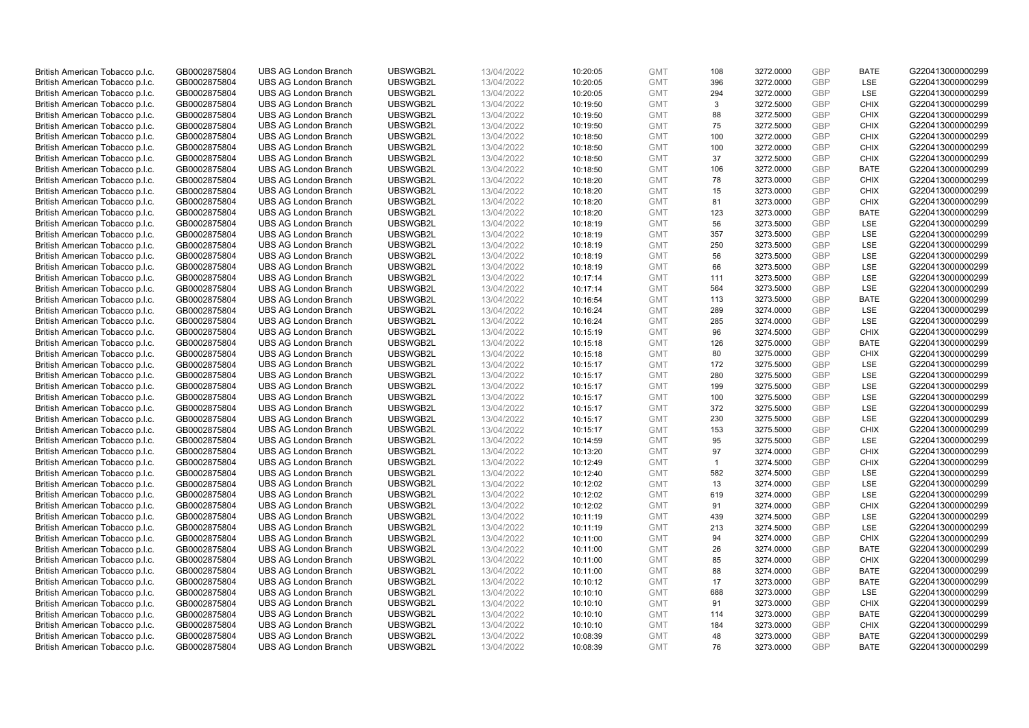| British American Tobacco p.l.c. | GB0002875804 | <b>UBS AG London Branch</b> | UBSWGB2L | 13/04/2022 | 10:20:05 | <b>GMT</b> | 108            | 3272.0000 | <b>GBP</b> | <b>BATE</b> | G220413000000299 |
|---------------------------------|--------------|-----------------------------|----------|------------|----------|------------|----------------|-----------|------------|-------------|------------------|
| British American Tobacco p.l.c. | GB0002875804 | <b>UBS AG London Branch</b> | UBSWGB2L | 13/04/2022 | 10:20:05 | <b>GMT</b> | 396            | 3272.0000 | <b>GBP</b> | LSE         | G220413000000299 |
| British American Tobacco p.l.c. | GB0002875804 | <b>UBS AG London Branch</b> | UBSWGB2L | 13/04/2022 | 10:20:05 | <b>GMT</b> | 294            | 3272.0000 | <b>GBP</b> | LSE         | G220413000000299 |
| British American Tobacco p.l.c. | GB0002875804 | <b>UBS AG London Branch</b> | UBSWGB2L | 13/04/2022 | 10:19:50 | <b>GMT</b> | 3              | 3272.5000 | <b>GBP</b> | <b>CHIX</b> | G220413000000299 |
| British American Tobacco p.l.c. | GB0002875804 | <b>UBS AG London Branch</b> | UBSWGB2L | 13/04/2022 | 10:19:50 | <b>GMT</b> | 88             | 3272.5000 | <b>GBP</b> | <b>CHIX</b> | G220413000000299 |
|                                 |              | <b>UBS AG London Branch</b> |          |            |          |            |                |           |            |             |                  |
| British American Tobacco p.l.c. | GB0002875804 |                             | UBSWGB2L | 13/04/2022 | 10:19:50 | <b>GMT</b> | 75             | 3272.5000 | <b>GBP</b> | <b>CHIX</b> | G220413000000299 |
| British American Tobacco p.l.c. | GB0002875804 | <b>UBS AG London Branch</b> | UBSWGB2L | 13/04/2022 | 10:18:50 | <b>GMT</b> | 100            | 3272.0000 | <b>GBP</b> | <b>CHIX</b> | G220413000000299 |
| British American Tobacco p.l.c. | GB0002875804 | <b>UBS AG London Branch</b> | UBSWGB2L | 13/04/2022 | 10:18:50 | <b>GMT</b> | 100            | 3272.0000 | <b>GBP</b> | <b>CHIX</b> | G220413000000299 |
| British American Tobacco p.l.c. | GB0002875804 | <b>UBS AG London Branch</b> | UBSWGB2L | 13/04/2022 | 10:18:50 | <b>GMT</b> | 37             | 3272.5000 | <b>GBP</b> | <b>CHIX</b> | G220413000000299 |
| British American Tobacco p.l.c. | GB0002875804 | <b>UBS AG London Branch</b> | UBSWGB2L | 13/04/2022 | 10:18:50 | <b>GMT</b> | 106            | 3272.0000 | <b>GBP</b> | <b>BATE</b> | G220413000000299 |
| British American Tobacco p.l.c. | GB0002875804 | <b>UBS AG London Branch</b> | UBSWGB2L | 13/04/2022 | 10:18:20 | <b>GMT</b> | 78             | 3273.0000 | <b>GBP</b> | <b>CHIX</b> | G220413000000299 |
| British American Tobacco p.l.c. | GB0002875804 | <b>UBS AG London Branch</b> | UBSWGB2L | 13/04/2022 | 10:18:20 | <b>GMT</b> | 15             | 3273.0000 | <b>GBP</b> | <b>CHIX</b> | G220413000000299 |
| British American Tobacco p.l.c. | GB0002875804 | <b>UBS AG London Branch</b> | UBSWGB2L | 13/04/2022 | 10:18:20 | <b>GMT</b> | 81             | 3273.0000 | <b>GBP</b> | <b>CHIX</b> | G220413000000299 |
| British American Tobacco p.l.c. | GB0002875804 | <b>UBS AG London Branch</b> | UBSWGB2L | 13/04/2022 | 10:18:20 | <b>GMT</b> | 123            | 3273.0000 | <b>GBP</b> | <b>BATE</b> | G220413000000299 |
| British American Tobacco p.l.c. | GB0002875804 | <b>UBS AG London Branch</b> | UBSWGB2L | 13/04/2022 | 10:18:19 | <b>GMT</b> | 56             | 3273.5000 | <b>GBP</b> | LSE         | G220413000000299 |
| British American Tobacco p.l.c. | GB0002875804 | <b>UBS AG London Branch</b> | UBSWGB2L | 13/04/2022 | 10:18:19 | <b>GMT</b> | 357            | 3273.5000 | <b>GBP</b> | LSE         | G220413000000299 |
| British American Tobacco p.l.c. | GB0002875804 | <b>UBS AG London Branch</b> | UBSWGB2L | 13/04/2022 | 10:18:19 | <b>GMT</b> | 250            | 3273.5000 | <b>GBP</b> | LSE         | G220413000000299 |
| British American Tobacco p.l.c. | GB0002875804 | <b>UBS AG London Branch</b> | UBSWGB2L | 13/04/2022 | 10:18:19 | <b>GMT</b> | 56             | 3273.5000 | <b>GBP</b> | LSE         | G220413000000299 |
| British American Tobacco p.l.c. | GB0002875804 | <b>UBS AG London Branch</b> | UBSWGB2L | 13/04/2022 | 10:18:19 | <b>GMT</b> | 66             | 3273.5000 | <b>GBP</b> | <b>LSE</b>  | G220413000000299 |
| British American Tobacco p.l.c. | GB0002875804 | <b>UBS AG London Branch</b> | UBSWGB2L | 13/04/2022 | 10:17:14 | <b>GMT</b> | 111            | 3273.5000 | <b>GBP</b> | LSE         | G220413000000299 |
| British American Tobacco p.l.c. | GB0002875804 | <b>UBS AG London Branch</b> | UBSWGB2L | 13/04/2022 | 10:17:14 | <b>GMT</b> | 564            | 3273.5000 | <b>GBP</b> | LSE         | G220413000000299 |
| British American Tobacco p.l.c. | GB0002875804 | <b>UBS AG London Branch</b> | UBSWGB2L | 13/04/2022 | 10:16:54 | <b>GMT</b> | 113            | 3273.5000 | <b>GBP</b> | <b>BATE</b> | G220413000000299 |
| British American Tobacco p.l.c. | GB0002875804 | <b>UBS AG London Branch</b> | UBSWGB2L | 13/04/2022 | 10:16:24 | <b>GMT</b> | 289            | 3274.0000 | <b>GBP</b> | LSE         | G220413000000299 |
| British American Tobacco p.l.c. | GB0002875804 | <b>UBS AG London Branch</b> | UBSWGB2L | 13/04/2022 | 10:16:24 | <b>GMT</b> | 285            | 3274.0000 | <b>GBP</b> | <b>LSE</b>  | G220413000000299 |
| British American Tobacco p.l.c. | GB0002875804 | <b>UBS AG London Branch</b> | UBSWGB2L | 13/04/2022 | 10:15:19 | <b>GMT</b> | 96             | 3274.5000 | <b>GBP</b> | <b>CHIX</b> | G220413000000299 |
| British American Tobacco p.l.c. | GB0002875804 | <b>UBS AG London Branch</b> | UBSWGB2L | 13/04/2022 | 10:15:18 | <b>GMT</b> | 126            | 3275.0000 | <b>GBP</b> | <b>BATE</b> | G220413000000299 |
| British American Tobacco p.l.c. | GB0002875804 | <b>UBS AG London Branch</b> | UBSWGB2L | 13/04/2022 | 10:15:18 | <b>GMT</b> | 80             | 3275.0000 | <b>GBP</b> | <b>CHIX</b> | G220413000000299 |
| British American Tobacco p.l.c. | GB0002875804 | <b>UBS AG London Branch</b> | UBSWGB2L | 13/04/2022 | 10:15:17 | <b>GMT</b> | 172            | 3275.5000 | <b>GBP</b> | LSE         | G220413000000299 |
| British American Tobacco p.l.c. | GB0002875804 | <b>UBS AG London Branch</b> | UBSWGB2L | 13/04/2022 | 10:15:17 | <b>GMT</b> | 280            | 3275.5000 | <b>GBP</b> | LSE         | G220413000000299 |
| British American Tobacco p.l.c. | GB0002875804 | UBS AG London Branch        | UBSWGB2L | 13/04/2022 | 10:15:17 | <b>GMT</b> | 199            | 3275.5000 | <b>GBP</b> | LSE         | G220413000000299 |
| British American Tobacco p.l.c. | GB0002875804 | <b>UBS AG London Branch</b> | UBSWGB2L | 13/04/2022 | 10:15:17 | <b>GMT</b> | 100            | 3275.5000 | <b>GBP</b> | <b>LSE</b>  | G220413000000299 |
| British American Tobacco p.l.c. | GB0002875804 | <b>UBS AG London Branch</b> | UBSWGB2L | 13/04/2022 | 10:15:17 | <b>GMT</b> | 372            | 3275.5000 | <b>GBP</b> | <b>LSE</b>  | G220413000000299 |
| British American Tobacco p.l.c. | GB0002875804 | <b>UBS AG London Branch</b> | UBSWGB2L | 13/04/2022 | 10:15:17 | <b>GMT</b> | 230            | 3275.5000 | <b>GBP</b> | LSE         | G220413000000299 |
| British American Tobacco p.l.c. | GB0002875804 | <b>UBS AG London Branch</b> | UBSWGB2L | 13/04/2022 | 10:15:17 | <b>GMT</b> | 153            | 3275.5000 | <b>GBP</b> | <b>CHIX</b> | G220413000000299 |
| British American Tobacco p.l.c. | GB0002875804 | <b>UBS AG London Branch</b> | UBSWGB2L | 13/04/2022 | 10:14:59 | <b>GMT</b> | 95             | 3275.5000 | <b>GBP</b> | LSE         | G220413000000299 |
| British American Tobacco p.l.c. | GB0002875804 | <b>UBS AG London Branch</b> | UBSWGB2L | 13/04/2022 | 10:13:20 | <b>GMT</b> | 97             | 3274.0000 | <b>GBP</b> | <b>CHIX</b> | G220413000000299 |
| British American Tobacco p.l.c. | GB0002875804 | <b>UBS AG London Branch</b> | UBSWGB2L | 13/04/2022 | 10:12:49 | <b>GMT</b> | $\overline{1}$ | 3274.5000 | <b>GBP</b> | <b>CHIX</b> | G220413000000299 |
| British American Tobacco p.l.c. | GB0002875804 | <b>UBS AG London Branch</b> | UBSWGB2L | 13/04/2022 | 10:12:40 | <b>GMT</b> | 582            | 3274.5000 | <b>GBP</b> | LSE         | G220413000000299 |
| British American Tobacco p.l.c. | GB0002875804 | <b>UBS AG London Branch</b> | UBSWGB2L | 13/04/2022 | 10:12:02 | <b>GMT</b> | 13             | 3274.0000 | <b>GBP</b> | LSE         | G220413000000299 |
| British American Tobacco p.l.c. | GB0002875804 | UBS AG London Branch        | UBSWGB2L | 13/04/2022 | 10:12:02 | <b>GMT</b> | 619            | 3274.0000 | <b>GBP</b> | <b>LSE</b>  | G220413000000299 |
| British American Tobacco p.l.c. | GB0002875804 | <b>UBS AG London Branch</b> | UBSWGB2L | 13/04/2022 |          | <b>GMT</b> | 91             | 3274.0000 | <b>GBP</b> | <b>CHIX</b> | G220413000000299 |
|                                 |              |                             | UBSWGB2L |            | 10:12:02 |            |                |           | <b>GBP</b> | <b>LSE</b>  |                  |
| British American Tobacco p.l.c. | GB0002875804 | <b>UBS AG London Branch</b> |          | 13/04/2022 | 10:11:19 | <b>GMT</b> | 439            | 3274.5000 | <b>GBP</b> |             | G220413000000299 |
| British American Tobacco p.l.c. | GB0002875804 | <b>UBS AG London Branch</b> | UBSWGB2L | 13/04/2022 | 10:11:19 | <b>GMT</b> | 213            | 3274.5000 |            | LSE         | G220413000000299 |
| British American Tobacco p.l.c. | GB0002875804 | <b>UBS AG London Branch</b> | UBSWGB2L | 13/04/2022 | 10:11:00 | <b>GMT</b> | 94             | 3274.0000 | <b>GBP</b> | <b>CHIX</b> | G220413000000299 |
| British American Tobacco p.l.c. | GB0002875804 | UBS AG London Branch        | UBSWGB2L | 13/04/2022 | 10:11:00 | <b>GMT</b> | 26             | 3274.0000 | <b>GBP</b> | <b>BATE</b> | G220413000000299 |
| British American Tobacco p.l.c. | GB0002875804 | <b>UBS AG London Branch</b> | UBSWGB2L | 13/04/2022 | 10:11:00 | <b>GMT</b> | 85             | 3274.0000 | <b>GBP</b> | <b>CHIX</b> | G220413000000299 |
| British American Tobacco p.l.c. | GB0002875804 | <b>UBS AG London Branch</b> | UBSWGB2L | 13/04/2022 | 10:11:00 | <b>GMT</b> | 88             | 3274.0000 | <b>GBP</b> | <b>BATE</b> | G220413000000299 |
| British American Tobacco p.l.c. | GB0002875804 | <b>UBS AG London Branch</b> | UBSWGB2L | 13/04/2022 | 10:10:12 | <b>GMT</b> | 17             | 3273.0000 | <b>GBP</b> | <b>BATE</b> | G220413000000299 |
| British American Tobacco p.l.c. | GB0002875804 | <b>UBS AG London Branch</b> | UBSWGB2L | 13/04/2022 | 10:10:10 | <b>GMT</b> | 688            | 3273.0000 | <b>GBP</b> | LSE         | G220413000000299 |
| British American Tobacco p.l.c. | GB0002875804 | <b>UBS AG London Branch</b> | UBSWGB2L | 13/04/2022 | 10:10:10 | <b>GMT</b> | 91             | 3273.0000 | <b>GBP</b> | <b>CHIX</b> | G220413000000299 |
| British American Tobacco p.l.c. | GB0002875804 | <b>UBS AG London Branch</b> | UBSWGB2L | 13/04/2022 | 10:10:10 | <b>GMT</b> | 114            | 3273.0000 | <b>GBP</b> | <b>BATE</b> | G220413000000299 |
| British American Tobacco p.l.c. | GB0002875804 | <b>UBS AG London Branch</b> | UBSWGB2L | 13/04/2022 | 10:10:10 | <b>GMT</b> | 184            | 3273.0000 | <b>GBP</b> | <b>CHIX</b> | G220413000000299 |
| British American Tobacco p.l.c. | GB0002875804 | <b>UBS AG London Branch</b> | UBSWGB2L | 13/04/2022 | 10:08:39 | <b>GMT</b> | 48             | 3273.0000 | <b>GBP</b> | <b>BATE</b> | G220413000000299 |
| British American Tobacco p.l.c. | GB0002875804 | <b>UBS AG London Branch</b> | UBSWGB2L | 13/04/2022 | 10:08:39 | <b>GMT</b> | 76             | 3273.0000 | <b>GBP</b> | <b>BATE</b> | G220413000000299 |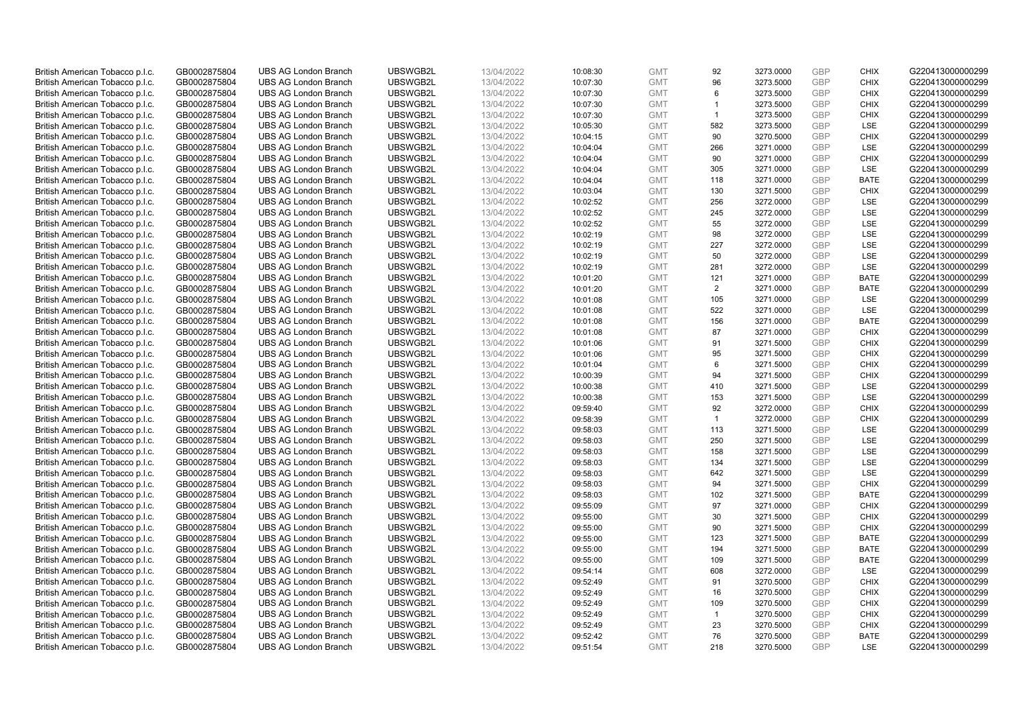| British American Tobacco p.l.c. | GB0002875804 | <b>UBS AG London Branch</b> | UBSWGB2L | 13/04/2022 | 10:08:30 | <b>GMT</b> | 92             | 3273.0000 | <b>GBP</b> | <b>CHIX</b> | G220413000000299 |
|---------------------------------|--------------|-----------------------------|----------|------------|----------|------------|----------------|-----------|------------|-------------|------------------|
| British American Tobacco p.l.c. | GB0002875804 | <b>UBS AG London Branch</b> | UBSWGB2L | 13/04/2022 | 10:07:30 | <b>GMT</b> | 96             | 3273.5000 | <b>GBP</b> | <b>CHIX</b> | G220413000000299 |
|                                 |              |                             |          |            |          |            |                |           |            |             |                  |
| British American Tobacco p.l.c. | GB0002875804 | <b>UBS AG London Branch</b> | UBSWGB2L | 13/04/2022 | 10:07:30 | <b>GMT</b> | 6              | 3273.5000 | <b>GBP</b> | <b>CHIX</b> | G220413000000299 |
| British American Tobacco p.l.c. | GB0002875804 | <b>UBS AG London Branch</b> | UBSWGB2L | 13/04/2022 | 10:07:30 | <b>GMT</b> |                | 3273.5000 | <b>GBP</b> | <b>CHIX</b> | G220413000000299 |
| British American Tobacco p.l.c. | GB0002875804 | <b>UBS AG London Branch</b> | UBSWGB2L | 13/04/2022 | 10:07:30 | <b>GMT</b> | $\mathbf{1}$   | 3273.5000 | <b>GBP</b> | <b>CHIX</b> | G220413000000299 |
| British American Tobacco p.l.c. | GB0002875804 | <b>UBS AG London Branch</b> | UBSWGB2L | 13/04/2022 | 10:05:30 | <b>GMT</b> | 582            | 3273.5000 | <b>GBP</b> | <b>LSE</b>  | G220413000000299 |
| British American Tobacco p.l.c. | GB0002875804 | <b>UBS AG London Branch</b> | UBSWGB2L | 13/04/2022 | 10:04:15 | <b>GMT</b> | 90             | 3270.5000 | <b>GBP</b> | <b>CHIX</b> | G220413000000299 |
| British American Tobacco p.l.c. | GB0002875804 | <b>UBS AG London Branch</b> | UBSWGB2L | 13/04/2022 | 10:04:04 | <b>GMT</b> | 266            | 3271.0000 | <b>GBP</b> | <b>LSE</b>  | G220413000000299 |
| British American Tobacco p.l.c. | GB0002875804 | <b>UBS AG London Branch</b> | UBSWGB2L | 13/04/2022 | 10:04:04 | <b>GMT</b> | 90             | 3271.0000 | <b>GBP</b> | <b>CHIX</b> | G220413000000299 |
| British American Tobacco p.l.c. | GB0002875804 | <b>UBS AG London Branch</b> | UBSWGB2L | 13/04/2022 | 10:04:04 | <b>GMT</b> | 305            | 3271.0000 | <b>GBP</b> | LSE         | G220413000000299 |
| British American Tobacco p.l.c. | GB0002875804 | <b>UBS AG London Branch</b> | UBSWGB2L | 13/04/2022 | 10:04:04 | <b>GMT</b> | 118            | 3271.0000 | <b>GBP</b> | <b>BATE</b> | G220413000000299 |
| British American Tobacco p.l.c. | GB0002875804 | <b>UBS AG London Branch</b> | UBSWGB2L | 13/04/2022 | 10:03:04 | <b>GMT</b> | 130            | 3271.5000 | <b>GBP</b> | <b>CHIX</b> | G220413000000299 |
| British American Tobacco p.l.c. | GB0002875804 | <b>UBS AG London Branch</b> | UBSWGB2L | 13/04/2022 | 10:02:52 | <b>GMT</b> | 256            | 3272.0000 | <b>GBP</b> | LSE         | G220413000000299 |
| British American Tobacco p.l.c. | GB0002875804 | <b>UBS AG London Branch</b> | UBSWGB2L | 13/04/2022 | 10:02:52 | <b>GMT</b> | 245            | 3272.0000 | <b>GBP</b> | <b>LSE</b>  | G220413000000299 |
| British American Tobacco p.l.c. | GB0002875804 | <b>UBS AG London Branch</b> | UBSWGB2L | 13/04/2022 | 10:02:52 | <b>GMT</b> | 55             | 3272.0000 | <b>GBP</b> | LSE         | G220413000000299 |
| British American Tobacco p.l.c. | GB0002875804 | <b>UBS AG London Branch</b> | UBSWGB2L | 13/04/2022 | 10:02:19 | <b>GMT</b> | 98             | 3272.0000 | <b>GBP</b> | LSE         | G220413000000299 |
| British American Tobacco p.l.c. | GB0002875804 | <b>UBS AG London Branch</b> | UBSWGB2L | 13/04/2022 | 10:02:19 | <b>GMT</b> | 227            | 3272.0000 | <b>GBP</b> | LSE         | G220413000000299 |
| British American Tobacco p.l.c. | GB0002875804 | <b>UBS AG London Branch</b> | UBSWGB2L | 13/04/2022 | 10:02:19 | <b>GMT</b> | 50             | 3272.0000 | <b>GBP</b> | <b>LSE</b>  | G220413000000299 |
| British American Tobacco p.l.c. | GB0002875804 | <b>UBS AG London Branch</b> | UBSWGB2L | 13/04/2022 | 10:02:19 | <b>GMT</b> | 281            | 3272.0000 | <b>GBP</b> | <b>LSE</b>  | G220413000000299 |
|                                 | GB0002875804 | <b>UBS AG London Branch</b> | UBSWGB2L | 13/04/2022 |          | <b>GMT</b> |                | 3271.0000 | <b>GBP</b> | <b>BATE</b> | G220413000000299 |
| British American Tobacco p.l.c. |              |                             |          |            | 10:01:20 |            | 121            |           |            |             |                  |
| British American Tobacco p.l.c. | GB0002875804 | <b>UBS AG London Branch</b> | UBSWGB2L | 13/04/2022 | 10:01:20 | <b>GMT</b> | $\overline{2}$ | 3271.0000 | <b>GBP</b> | <b>BATE</b> | G220413000000299 |
| British American Tobacco p.l.c. | GB0002875804 | <b>UBS AG London Branch</b> | UBSWGB2L | 13/04/2022 | 10:01:08 | <b>GMT</b> | 105            | 3271.0000 | <b>GBP</b> | LSE         | G220413000000299 |
| British American Tobacco p.l.c. | GB0002875804 | <b>UBS AG London Branch</b> | UBSWGB2L | 13/04/2022 | 10:01:08 | <b>GMT</b> | 522            | 3271.0000 | <b>GBP</b> | LSE         | G220413000000299 |
| British American Tobacco p.l.c. | GB0002875804 | <b>UBS AG London Branch</b> | UBSWGB2L | 13/04/2022 | 10:01:08 | <b>GMT</b> | 156            | 3271.0000 | <b>GBP</b> | <b>BATE</b> | G220413000000299 |
| British American Tobacco p.l.c. | GB0002875804 | <b>UBS AG London Branch</b> | UBSWGB2L | 13/04/2022 | 10:01:08 | <b>GMT</b> | 87             | 3271.0000 | <b>GBP</b> | <b>CHIX</b> | G220413000000299 |
| British American Tobacco p.l.c. | GB0002875804 | <b>UBS AG London Branch</b> | UBSWGB2L | 13/04/2022 | 10:01:06 | <b>GMT</b> | 91             | 3271.5000 | <b>GBP</b> | <b>CHIX</b> | G220413000000299 |
| British American Tobacco p.l.c. | GB0002875804 | <b>UBS AG London Branch</b> | UBSWGB2L | 13/04/2022 | 10:01:06 | <b>GMT</b> | 95             | 3271.5000 | <b>GBP</b> | <b>CHIX</b> | G220413000000299 |
| British American Tobacco p.l.c. | GB0002875804 | <b>UBS AG London Branch</b> | UBSWGB2L | 13/04/2022 | 10:01:04 | <b>GMT</b> | 6              | 3271.5000 | <b>GBP</b> | <b>CHIX</b> | G220413000000299 |
| British American Tobacco p.l.c. | GB0002875804 | <b>UBS AG London Branch</b> | UBSWGB2L | 13/04/2022 | 10:00:39 | <b>GMT</b> | 94             | 3271.5000 | <b>GBP</b> | <b>CHIX</b> | G220413000000299 |
| British American Tobacco p.l.c. | GB0002875804 | <b>UBS AG London Branch</b> | UBSWGB2L | 13/04/2022 | 10:00:38 | <b>GMT</b> | 410            | 3271.5000 | <b>GBP</b> | LSE         | G220413000000299 |
| British American Tobacco p.l.c. | GB0002875804 | <b>UBS AG London Branch</b> | UBSWGB2L | 13/04/2022 | 10:00:38 | <b>GMT</b> | 153            | 3271.5000 | <b>GBP</b> | LSE         | G220413000000299 |
| British American Tobacco p.l.c. | GB0002875804 | <b>UBS AG London Branch</b> | UBSWGB2L | 13/04/2022 | 09:59:40 | <b>GMT</b> | 92             | 3272.0000 | <b>GBP</b> | <b>CHIX</b> | G220413000000299 |
| British American Tobacco p.l.c. | GB0002875804 | <b>UBS AG London Branch</b> | UBSWGB2L | 13/04/2022 | 09:58:39 | <b>GMT</b> | $\overline{1}$ | 3272.0000 | <b>GBP</b> | <b>CHIX</b> | G220413000000299 |
| British American Tobacco p.l.c. | GB0002875804 | <b>UBS AG London Branch</b> | UBSWGB2L | 13/04/2022 | 09:58:03 | <b>GMT</b> | 113            | 3271.5000 | <b>GBP</b> | LSE         | G220413000000299 |
| British American Tobacco p.l.c. | GB0002875804 | <b>UBS AG London Branch</b> | UBSWGB2L | 13/04/2022 | 09:58:03 | <b>GMT</b> | 250            | 3271.5000 | <b>GBP</b> | LSE         | G220413000000299 |
| British American Tobacco p.l.c. | GB0002875804 | <b>UBS AG London Branch</b> | UBSWGB2L | 13/04/2022 | 09:58:03 | <b>GMT</b> | 158            | 3271.5000 | <b>GBP</b> | LSE         | G220413000000299 |
| British American Tobacco p.l.c. | GB0002875804 | <b>UBS AG London Branch</b> | UBSWGB2L | 13/04/2022 | 09:58:03 | <b>GMT</b> | 134            | 3271.5000 | <b>GBP</b> | LSE         | G220413000000299 |
| British American Tobacco p.l.c. | GB0002875804 | <b>UBS AG London Branch</b> | UBSWGB2L | 13/04/2022 | 09:58:03 | <b>GMT</b> | 642            | 3271.5000 | <b>GBP</b> | LSE         | G220413000000299 |
| British American Tobacco p.l.c. | GB0002875804 | <b>UBS AG London Branch</b> | UBSWGB2L | 13/04/2022 | 09:58:03 | <b>GMT</b> | 94             | 3271.5000 | <b>GBP</b> | <b>CHIX</b> | G220413000000299 |
| British American Tobacco p.l.c. | GB0002875804 | <b>UBS AG London Branch</b> | UBSWGB2L | 13/04/2022 | 09:58:03 | <b>GMT</b> | 102            | 3271.5000 | <b>GBP</b> | <b>BATE</b> | G220413000000299 |
| British American Tobacco p.l.c. | GB0002875804 | <b>UBS AG London Branch</b> | UBSWGB2L | 13/04/2022 | 09:55:09 | <b>GMT</b> | 97             | 3271.0000 | <b>GBP</b> | <b>CHIX</b> | G220413000000299 |
| British American Tobacco p.l.c. | GB0002875804 | <b>UBS AG London Branch</b> | UBSWGB2L | 13/04/2022 | 09:55:00 | <b>GMT</b> | 30             | 3271.5000 | <b>GBP</b> | <b>CHIX</b> | G220413000000299 |
| British American Tobacco p.l.c. | GB0002875804 | <b>UBS AG London Branch</b> | UBSWGB2L | 13/04/2022 | 09:55:00 | <b>GMT</b> | 90             | 3271.5000 | <b>GBP</b> | <b>CHIX</b> | G220413000000299 |
| British American Tobacco p.l.c. | GB0002875804 | <b>UBS AG London Branch</b> | UBSWGB2L | 13/04/2022 | 09:55:00 | <b>GMT</b> | 123            | 3271.5000 | <b>GBP</b> | <b>BATE</b> | G220413000000299 |
|                                 |              |                             | UBSWGB2L |            |          |            | 194            |           | <b>GBP</b> |             |                  |
| British American Tobacco p.l.c. | GB0002875804 | UBS AG London Branch        |          | 13/04/2022 | 09:55:00 | <b>GMT</b> |                | 3271.5000 |            | <b>BATE</b> | G220413000000299 |
| British American Tobacco p.l.c. | GB0002875804 | <b>UBS AG London Branch</b> | UBSWGB2L | 13/04/2022 | 09:55:00 | <b>GMT</b> | 109            | 3271.5000 | <b>GBP</b> | <b>BATE</b> | G220413000000299 |
| British American Tobacco p.l.c. | GB0002875804 | <b>UBS AG London Branch</b> | UBSWGB2L | 13/04/2022 | 09:54:14 | <b>GMT</b> | 608            | 3272.0000 | <b>GBP</b> | <b>LSE</b>  | G220413000000299 |
| British American Tobacco p.l.c. | GB0002875804 | <b>UBS AG London Branch</b> | UBSWGB2L | 13/04/2022 | 09:52:49 | <b>GMT</b> | 91             | 3270.5000 | <b>GBP</b> | <b>CHIX</b> | G220413000000299 |
| British American Tobacco p.l.c. | GB0002875804 | <b>UBS AG London Branch</b> | UBSWGB2L | 13/04/2022 | 09:52:49 | <b>GMT</b> | 16             | 3270.5000 | <b>GBP</b> | <b>CHIX</b> | G220413000000299 |
| British American Tobacco p.l.c. | GB0002875804 | <b>UBS AG London Branch</b> | UBSWGB2L | 13/04/2022 | 09:52:49 | <b>GMT</b> | 109            | 3270.5000 | <b>GBP</b> | <b>CHIX</b> | G220413000000299 |
| British American Tobacco p.l.c. | GB0002875804 | <b>UBS AG London Branch</b> | UBSWGB2L | 13/04/2022 | 09:52:49 | <b>GMT</b> | $\overline{1}$ | 3270.5000 | <b>GBP</b> | <b>CHIX</b> | G220413000000299 |
| British American Tobacco p.l.c. | GB0002875804 | <b>UBS AG London Branch</b> | UBSWGB2L | 13/04/2022 | 09:52:49 | <b>GMT</b> | 23             | 3270.5000 | <b>GBP</b> | <b>CHIX</b> | G220413000000299 |
| British American Tobacco p.l.c. | GB0002875804 | <b>UBS AG London Branch</b> | UBSWGB2L | 13/04/2022 | 09:52:42 | <b>GMT</b> | 76             | 3270.5000 | <b>GBP</b> | <b>BATE</b> | G220413000000299 |
| British American Tobacco p.l.c. | GB0002875804 | <b>UBS AG London Branch</b> | UBSWGB2L | 13/04/2022 | 09:51:54 | <b>GMT</b> | 218            | 3270.5000 | <b>GBP</b> | <b>LSE</b>  | G220413000000299 |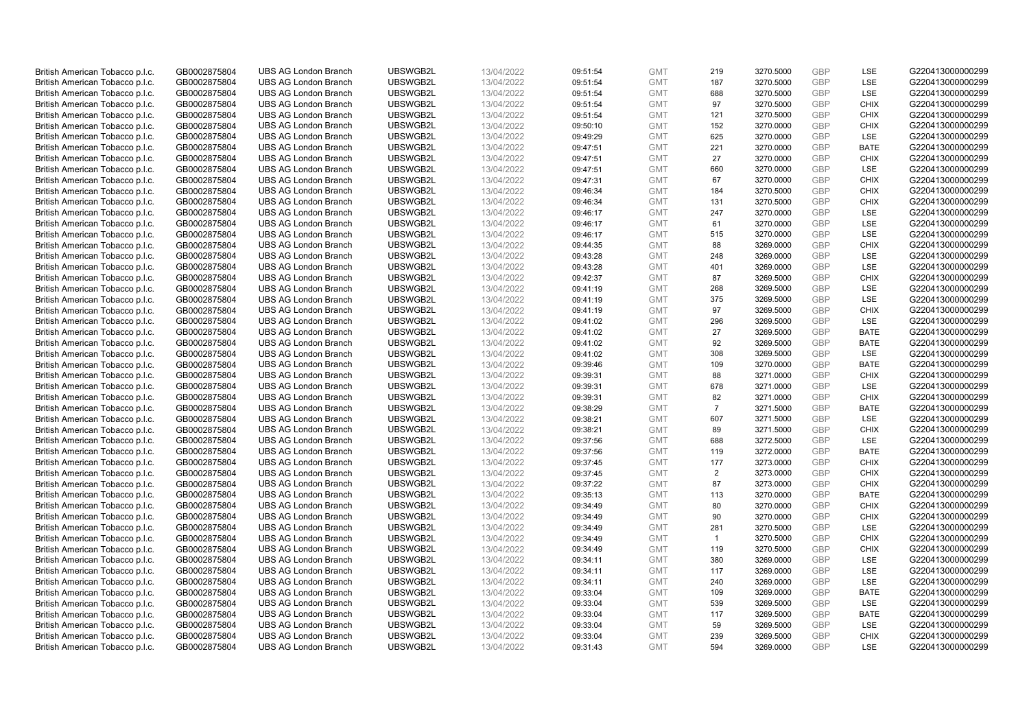| British American Tobacco p.l.c. | GB0002875804 | <b>UBS AG London Branch</b> | UBSWGB2L | 13/04/2022 | 09:51:54 | <b>GMT</b> | 219            | 3270.5000 | <b>GBP</b> | <b>LSE</b>  | G220413000000299 |
|---------------------------------|--------------|-----------------------------|----------|------------|----------|------------|----------------|-----------|------------|-------------|------------------|
| British American Tobacco p.l.c. | GB0002875804 | <b>UBS AG London Branch</b> | UBSWGB2L | 13/04/2022 | 09:51:54 | <b>GMT</b> | 187            | 3270.5000 | <b>GBP</b> | LSE         | G220413000000299 |
|                                 |              | <b>UBS AG London Branch</b> | UBSWGB2L |            |          | <b>GMT</b> | 688            | 3270.5000 | <b>GBP</b> | LSE         | G220413000000299 |
| British American Tobacco p.l.c. | GB0002875804 |                             |          | 13/04/2022 | 09:51:54 |            |                |           |            |             |                  |
| British American Tobacco p.l.c. | GB0002875804 | <b>UBS AG London Branch</b> | UBSWGB2L | 13/04/2022 | 09:51:54 | <b>GMT</b> | 97             | 3270.5000 | <b>GBP</b> | <b>CHIX</b> | G220413000000299 |
| British American Tobacco p.l.c. | GB0002875804 | <b>UBS AG London Branch</b> | UBSWGB2L | 13/04/2022 | 09:51:54 | <b>GMT</b> | 121            | 3270.5000 | <b>GBP</b> | <b>CHIX</b> | G220413000000299 |
| British American Tobacco p.l.c. | GB0002875804 | <b>UBS AG London Branch</b> | UBSWGB2L | 13/04/2022 | 09:50:10 | <b>GMT</b> | 152            | 3270.0000 | <b>GBP</b> | <b>CHIX</b> | G220413000000299 |
| British American Tobacco p.l.c. | GB0002875804 | <b>UBS AG London Branch</b> | UBSWGB2L | 13/04/2022 | 09:49:29 | <b>GMT</b> | 625            | 3270.0000 | <b>GBP</b> | LSE         | G220413000000299 |
| British American Tobacco p.l.c. | GB0002875804 | <b>UBS AG London Branch</b> | UBSWGB2L | 13/04/2022 | 09:47:51 | <b>GMT</b> | 221            | 3270.0000 | <b>GBP</b> | <b>BATE</b> | G220413000000299 |
| British American Tobacco p.l.c. | GB0002875804 | <b>UBS AG London Branch</b> | UBSWGB2L | 13/04/2022 | 09:47:51 | <b>GMT</b> | 27             | 3270.0000 | <b>GBP</b> | <b>CHIX</b> | G220413000000299 |
| British American Tobacco p.l.c. | GB0002875804 | <b>UBS AG London Branch</b> | UBSWGB2L | 13/04/2022 | 09:47:51 | <b>GMT</b> | 660            | 3270.0000 | <b>GBP</b> | LSE         | G220413000000299 |
| British American Tobacco p.l.c. | GB0002875804 | <b>UBS AG London Branch</b> | UBSWGB2L | 13/04/2022 | 09:47:31 | <b>GMT</b> | 67             | 3270.0000 | <b>GBP</b> | <b>CHIX</b> | G220413000000299 |
| British American Tobacco p.l.c. | GB0002875804 | <b>UBS AG London Branch</b> | UBSWGB2L | 13/04/2022 | 09:46:34 | <b>GMT</b> | 184            | 3270.5000 | <b>GBP</b> | <b>CHIX</b> | G220413000000299 |
| British American Tobacco p.l.c. | GB0002875804 | <b>UBS AG London Branch</b> | UBSWGB2L | 13/04/2022 | 09:46:34 | <b>GMT</b> | 131            | 3270.5000 | <b>GBP</b> | <b>CHIX</b> | G220413000000299 |
| British American Tobacco p.l.c. | GB0002875804 | <b>UBS AG London Branch</b> | UBSWGB2L | 13/04/2022 | 09:46:17 | <b>GMT</b> | 247            | 3270.0000 | <b>GBP</b> | <b>LSE</b>  | G220413000000299 |
| British American Tobacco p.l.c. | GB0002875804 | <b>UBS AG London Branch</b> | UBSWGB2L | 13/04/2022 | 09:46:17 | <b>GMT</b> | 61             | 3270.0000 | <b>GBP</b> | LSE         | G220413000000299 |
| British American Tobacco p.l.c. | GB0002875804 | <b>UBS AG London Branch</b> | UBSWGB2L | 13/04/2022 | 09:46:17 | <b>GMT</b> | 515            | 3270.0000 | <b>GBP</b> | LSE         | G220413000000299 |
| British American Tobacco p.l.c. | GB0002875804 | <b>UBS AG London Branch</b> | UBSWGB2L | 13/04/2022 | 09:44:35 | <b>GMT</b> | 88             | 3269.0000 | <b>GBP</b> | <b>CHIX</b> | G220413000000299 |
| British American Tobacco p.l.c. | GB0002875804 | <b>UBS AG London Branch</b> | UBSWGB2L | 13/04/2022 | 09:43:28 | <b>GMT</b> | 248            | 3269.0000 | <b>GBP</b> | <b>LSE</b>  | G220413000000299 |
| British American Tobacco p.l.c. | GB0002875804 | <b>UBS AG London Branch</b> | UBSWGB2L | 13/04/2022 | 09:43:28 | <b>GMT</b> | 401            | 3269.0000 | <b>GBP</b> | <b>LSE</b>  | G220413000000299 |
| British American Tobacco p.l.c. | GB0002875804 | <b>UBS AG London Branch</b> | UBSWGB2L | 13/04/2022 | 09:42:37 | <b>GMT</b> | 87             | 3269.5000 | <b>GBP</b> | <b>CHIX</b> | G220413000000299 |
| British American Tobacco p.l.c. | GB0002875804 | <b>UBS AG London Branch</b> | UBSWGB2L | 13/04/2022 | 09:41:19 | <b>GMT</b> | 268            | 3269.5000 | <b>GBP</b> | LSE         | G220413000000299 |
| British American Tobacco p.l.c. | GB0002875804 | <b>UBS AG London Branch</b> | UBSWGB2L | 13/04/2022 | 09:41:19 | <b>GMT</b> | 375            | 3269.5000 | <b>GBP</b> | LSE         | G220413000000299 |
| British American Tobacco p.l.c. | GB0002875804 | <b>UBS AG London Branch</b> | UBSWGB2L | 13/04/2022 | 09:41:19 | <b>GMT</b> | 97             | 3269.5000 | <b>GBP</b> | <b>CHIX</b> | G220413000000299 |
| British American Tobacco p.l.c. | GB0002875804 | <b>UBS AG London Branch</b> | UBSWGB2L | 13/04/2022 |          | <b>GMT</b> | 296            |           | <b>GBP</b> | <b>LSE</b>  | G220413000000299 |
|                                 |              |                             |          |            | 09:41:02 |            |                | 3269.5000 |            |             |                  |
| British American Tobacco p.l.c. | GB0002875804 | <b>UBS AG London Branch</b> | UBSWGB2L | 13/04/2022 | 09:41:02 | <b>GMT</b> | 27             | 3269.5000 | <b>GBP</b> | <b>BATE</b> | G220413000000299 |
| British American Tobacco p.l.c. | GB0002875804 | <b>UBS AG London Branch</b> | UBSWGB2L | 13/04/2022 | 09:41:02 | <b>GMT</b> | 92             | 3269.5000 | <b>GBP</b> | <b>BATE</b> | G220413000000299 |
| British American Tobacco p.l.c. | GB0002875804 | <b>UBS AG London Branch</b> | UBSWGB2L | 13/04/2022 | 09:41:02 | <b>GMT</b> | 308            | 3269.5000 | <b>GBP</b> | <b>LSE</b>  | G220413000000299 |
| British American Tobacco p.l.c. | GB0002875804 | <b>UBS AG London Branch</b> | UBSWGB2L | 13/04/2022 | 09:39:46 | <b>GMT</b> | 109            | 3270.0000 | <b>GBP</b> | <b>BATE</b> | G220413000000299 |
| British American Tobacco p.l.c. | GB0002875804 | <b>UBS AG London Branch</b> | UBSWGB2L | 13/04/2022 | 09:39:31 | <b>GMT</b> | 88             | 3271.0000 | <b>GBP</b> | <b>CHIX</b> | G220413000000299 |
| British American Tobacco p.l.c. | GB0002875804 | <b>UBS AG London Branch</b> | UBSWGB2L | 13/04/2022 | 09:39:31 | <b>GMT</b> | 678            | 3271.0000 | <b>GBP</b> | LSE         | G220413000000299 |
| British American Tobacco p.l.c. | GB0002875804 | <b>UBS AG London Branch</b> | UBSWGB2L | 13/04/2022 | 09:39:31 | <b>GMT</b> | 82             | 3271.0000 | <b>GBP</b> | <b>CHIX</b> | G220413000000299 |
| British American Tobacco p.l.c. | GB0002875804 | <b>UBS AG London Branch</b> | UBSWGB2L | 13/04/2022 | 09:38:29 | <b>GMT</b> | $\overline{7}$ | 3271.5000 | <b>GBP</b> | <b>BATE</b> | G220413000000299 |
| British American Tobacco p.l.c. | GB0002875804 | <b>UBS AG London Branch</b> | UBSWGB2L | 13/04/2022 | 09:38:21 | <b>GMT</b> | 607            | 3271.5000 | <b>GBP</b> | LSE         | G220413000000299 |
| British American Tobacco p.l.c. | GB0002875804 | <b>UBS AG London Branch</b> | UBSWGB2L | 13/04/2022 | 09:38:21 | <b>GMT</b> | 89             | 3271.5000 | <b>GBP</b> | <b>CHIX</b> | G220413000000299 |
| British American Tobacco p.l.c. | GB0002875804 | <b>UBS AG London Branch</b> | UBSWGB2L | 13/04/2022 | 09:37:56 | <b>GMT</b> | 688            | 3272.5000 | <b>GBP</b> | LSE         | G220413000000299 |
| British American Tobacco p.l.c. | GB0002875804 | <b>UBS AG London Branch</b> | UBSWGB2L | 13/04/2022 | 09:37:56 | <b>GMT</b> | 119            | 3272.0000 | <b>GBP</b> | <b>BATE</b> | G220413000000299 |
| British American Tobacco p.l.c. | GB0002875804 | <b>UBS AG London Branch</b> | UBSWGB2L | 13/04/2022 | 09:37:45 | <b>GMT</b> | 177            | 3273.0000 | <b>GBP</b> | <b>CHIX</b> | G220413000000299 |
| British American Tobacco p.l.c. | GB0002875804 | <b>UBS AG London Branch</b> | UBSWGB2L | 13/04/2022 | 09:37:45 | <b>GMT</b> | $\overline{2}$ | 3273.0000 | <b>GBP</b> | <b>CHIX</b> | G220413000000299 |
| British American Tobacco p.l.c. | GB0002875804 | <b>UBS AG London Branch</b> | UBSWGB2L | 13/04/2022 | 09:37:22 | <b>GMT</b> | 87             | 3273.0000 | <b>GBP</b> | <b>CHIX</b> | G220413000000299 |
| British American Tobacco p.l.c. | GB0002875804 | <b>UBS AG London Branch</b> | UBSWGB2L | 13/04/2022 | 09:35:13 | <b>GMT</b> | 113            | 3270.0000 | <b>GBP</b> | <b>BATE</b> | G220413000000299 |
| British American Tobacco p.l.c. | GB0002875804 | <b>UBS AG London Branch</b> | UBSWGB2L | 13/04/2022 | 09:34:49 | <b>GMT</b> | 80             | 3270.0000 | <b>GBP</b> | <b>CHIX</b> | G220413000000299 |
| British American Tobacco p.l.c. | GB0002875804 | <b>UBS AG London Branch</b> | UBSWGB2L | 13/04/2022 | 09:34:49 | <b>GMT</b> | 90             | 3270.0000 | <b>GBP</b> | <b>CHIX</b> | G220413000000299 |
| British American Tobacco p.l.c. | GB0002875804 | <b>UBS AG London Branch</b> | UBSWGB2L | 13/04/2022 | 09:34:49 | <b>GMT</b> | 281            | 3270.5000 | <b>GBP</b> | LSE         | G220413000000299 |
| British American Tobacco p.l.c. | GB0002875804 | <b>UBS AG London Branch</b> | UBSWGB2L | 13/04/2022 | 09:34:49 | <b>GMT</b> | $\overline{1}$ | 3270.5000 | <b>GBP</b> | <b>CHIX</b> | G220413000000299 |
| British American Tobacco p.l.c. | GB0002875804 | UBS AG London Branch        | UBSWGB2L | 13/04/2022 | 09:34:49 | <b>GMT</b> | 119            | 3270.5000 | <b>GBP</b> | <b>CHIX</b> | G220413000000299 |
| British American Tobacco p.l.c. | GB0002875804 | <b>UBS AG London Branch</b> | UBSWGB2L | 13/04/2022 | 09:34:11 | <b>GMT</b> | 380            | 3269.0000 | <b>GBP</b> | LSE         | G220413000000299 |
| British American Tobacco p.l.c. | GB0002875804 | <b>UBS AG London Branch</b> | UBSWGB2L | 13/04/2022 | 09:34:11 | <b>GMT</b> | 117            | 3269.0000 | <b>GBP</b> | LSE         | G220413000000299 |
| British American Tobacco p.l.c. | GB0002875804 | <b>UBS AG London Branch</b> | UBSWGB2L | 13/04/2022 | 09:34:11 | <b>GMT</b> | 240            | 3269.0000 | <b>GBP</b> | LSE         | G220413000000299 |
| British American Tobacco p.l.c. | GB0002875804 | <b>UBS AG London Branch</b> | UBSWGB2L | 13/04/2022 | 09:33:04 | <b>GMT</b> | 109            | 3269.0000 | <b>GBP</b> | <b>BATE</b> | G220413000000299 |
| British American Tobacco p.l.c. | GB0002875804 | <b>UBS AG London Branch</b> | UBSWGB2L | 13/04/2022 | 09:33:04 | <b>GMT</b> | 539            | 3269.5000 | <b>GBP</b> | LSE         | G220413000000299 |
| British American Tobacco p.l.c. | GB0002875804 | <b>UBS AG London Branch</b> | UBSWGB2L | 13/04/2022 | 09:33:04 | <b>GMT</b> | 117            | 3269.5000 | <b>GBP</b> | <b>BATE</b> | G220413000000299 |
| British American Tobacco p.l.c. | GB0002875804 | <b>UBS AG London Branch</b> | UBSWGB2L | 13/04/2022 | 09:33:04 | <b>GMT</b> | 59             | 3269.5000 | <b>GBP</b> | LSE         | G220413000000299 |
| British American Tobacco p.l.c. | GB0002875804 | <b>UBS AG London Branch</b> | UBSWGB2L | 13/04/2022 | 09:33:04 | <b>GMT</b> | 239            | 3269.5000 | <b>GBP</b> | <b>CHIX</b> | G220413000000299 |
| British American Tobacco p.l.c. | GB0002875804 | <b>UBS AG London Branch</b> | UBSWGB2L | 13/04/2022 | 09:31:43 | <b>GMT</b> | 594            | 3269.0000 | GBP        | <b>LSE</b>  | G220413000000299 |
|                                 |              |                             |          |            |          |            |                |           |            |             |                  |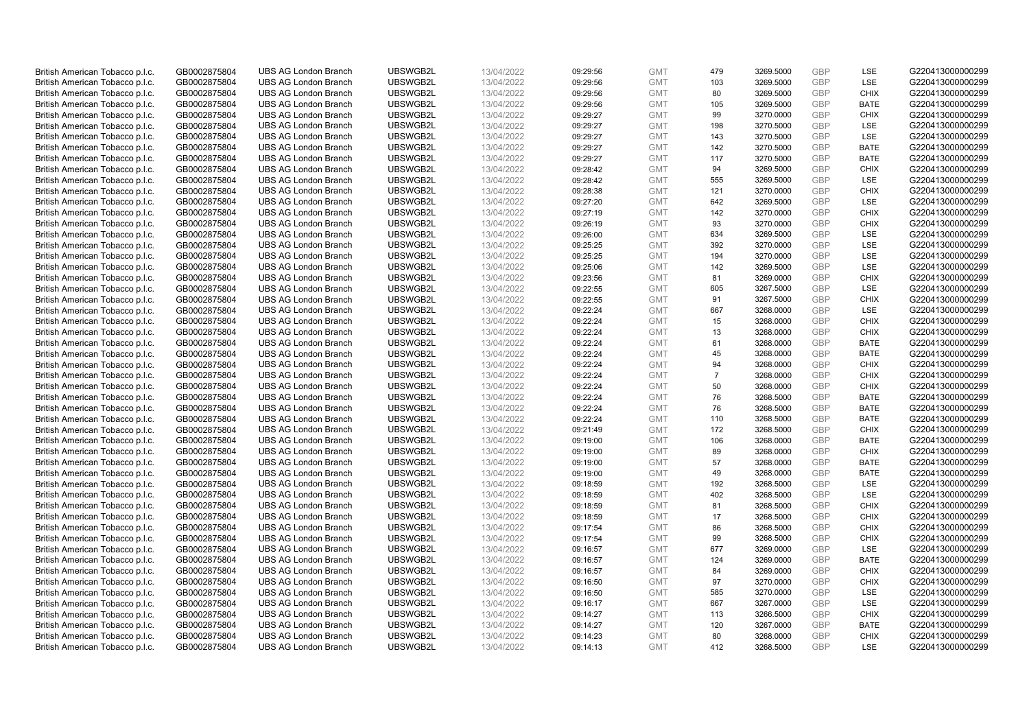| British American Tobacco p.l.c. | GB0002875804                 | <b>UBS AG London Branch</b> | UBSWGB2L | 13/04/2022               | 09:29:56 | <b>GMT</b> | 479            | 3269.5000 | <b>GBP</b> | <b>LSE</b>  | G220413000000299                     |
|---------------------------------|------------------------------|-----------------------------|----------|--------------------------|----------|------------|----------------|-----------|------------|-------------|--------------------------------------|
| British American Tobacco p.l.c. | GB0002875804                 | <b>UBS AG London Branch</b> | UBSWGB2L | 13/04/2022               | 09:29:56 | <b>GMT</b> | 103            | 3269.5000 | <b>GBP</b> | LSE         | G220413000000299                     |
|                                 |                              | <b>UBS AG London Branch</b> | UBSWGB2L |                          |          | <b>GMT</b> | 80             | 3269.5000 | <b>GBP</b> | <b>CHIX</b> | G220413000000299                     |
| British American Tobacco p.l.c. | GB0002875804                 |                             |          | 13/04/2022               | 09:29:56 |            |                |           |            |             |                                      |
| British American Tobacco p.l.c. | GB0002875804                 | <b>UBS AG London Branch</b> | UBSWGB2L | 13/04/2022               | 09:29:56 | <b>GMT</b> | 105            | 3269.5000 | <b>GBP</b> | <b>BATE</b> | G220413000000299                     |
| British American Tobacco p.l.c. | GB0002875804                 | <b>UBS AG London Branch</b> | UBSWGB2L | 13/04/2022               | 09:29:27 | <b>GMT</b> | 99             | 3270.0000 | <b>GBP</b> | <b>CHIX</b> | G220413000000299                     |
| British American Tobacco p.l.c. | GB0002875804                 | <b>UBS AG London Branch</b> | UBSWGB2L | 13/04/2022               | 09:29:27 | <b>GMT</b> | 198            | 3270.5000 | <b>GBP</b> | <b>LSE</b>  | G220413000000299                     |
| British American Tobacco p.l.c. | GB0002875804                 | <b>UBS AG London Branch</b> | UBSWGB2L | 13/04/2022               | 09:29:27 | <b>GMT</b> | 143            | 3270.5000 | <b>GBP</b> | LSE         | G220413000000299                     |
| British American Tobacco p.l.c. | GB0002875804                 | <b>UBS AG London Branch</b> | UBSWGB2L | 13/04/2022               | 09:29:27 | <b>GMT</b> | 142            | 3270.5000 | <b>GBP</b> | <b>BATE</b> | G220413000000299                     |
| British American Tobacco p.l.c. | GB0002875804                 | <b>UBS AG London Branch</b> | UBSWGB2L | 13/04/2022               | 09:29:27 | <b>GMT</b> | 117            | 3270.5000 | <b>GBP</b> | <b>BATE</b> | G220413000000299                     |
| British American Tobacco p.l.c. | GB0002875804                 | <b>UBS AG London Branch</b> | UBSWGB2L | 13/04/2022               | 09:28:42 | <b>GMT</b> | 94             | 3269.5000 | <b>GBP</b> | <b>CHIX</b> | G220413000000299                     |
| British American Tobacco p.l.c. | GB0002875804                 | <b>UBS AG London Branch</b> | UBSWGB2L | 13/04/2022               | 09:28:42 | <b>GMT</b> | 555            | 3269.5000 | <b>GBP</b> | <b>LSE</b>  | G220413000000299                     |
| British American Tobacco p.l.c. | GB0002875804                 | <b>UBS AG London Branch</b> | UBSWGB2L | 13/04/2022               | 09:28:38 | <b>GMT</b> | 121            | 3270.0000 | <b>GBP</b> | <b>CHIX</b> | G220413000000299                     |
| British American Tobacco p.l.c. | GB0002875804                 | <b>UBS AG London Branch</b> | UBSWGB2L | 13/04/2022               | 09:27:20 | <b>GMT</b> | 642            | 3269.5000 | <b>GBP</b> | LSE         | G220413000000299                     |
| British American Tobacco p.l.c. | GB0002875804                 | <b>UBS AG London Branch</b> | UBSWGB2L | 13/04/2022               | 09:27:19 | <b>GMT</b> | 142            | 3270.0000 | <b>GBP</b> | <b>CHIX</b> | G220413000000299                     |
| British American Tobacco p.l.c. | GB0002875804                 | <b>UBS AG London Branch</b> | UBSWGB2L | 13/04/2022               | 09:26:19 | <b>GMT</b> | 93             | 3270.0000 | <b>GBP</b> | <b>CHIX</b> | G220413000000299                     |
| British American Tobacco p.l.c. | GB0002875804                 | <b>UBS AG London Branch</b> | UBSWGB2L | 13/04/2022               | 09:26:00 | <b>GMT</b> | 634            | 3269.5000 | <b>GBP</b> | <b>LSE</b>  | G220413000000299                     |
| British American Tobacco p.l.c. | GB0002875804                 | <b>UBS AG London Branch</b> | UBSWGB2L | 13/04/2022               | 09:25:25 | <b>GMT</b> | 392            | 3270.0000 | <b>GBP</b> | LSE         | G220413000000299                     |
| British American Tobacco p.l.c. | GB0002875804                 | <b>UBS AG London Branch</b> | UBSWGB2L | 13/04/2022               | 09:25:25 | <b>GMT</b> | 194            | 3270.0000 | <b>GBP</b> | <b>LSE</b>  | G220413000000299                     |
|                                 |                              | <b>UBS AG London Branch</b> | UBSWGB2L |                          | 09:25:06 | <b>GMT</b> | 142            | 3269.5000 | <b>GBP</b> | <b>LSE</b>  | G220413000000299                     |
| British American Tobacco p.l.c. | GB0002875804<br>GB0002875804 | <b>UBS AG London Branch</b> | UBSWGB2L | 13/04/2022<br>13/04/2022 |          | <b>GMT</b> |                |           | <b>GBP</b> | <b>CHIX</b> | G220413000000299                     |
| British American Tobacco p.l.c. |                              |                             |          |                          | 09:23:56 |            | 81             | 3269.0000 |            |             |                                      |
| British American Tobacco p.l.c. | GB0002875804                 | <b>UBS AG London Branch</b> | UBSWGB2L | 13/04/2022               | 09:22:55 | <b>GMT</b> | 605            | 3267.5000 | <b>GBP</b> | LSE         | G220413000000299                     |
| British American Tobacco p.l.c. | GB0002875804                 | <b>UBS AG London Branch</b> | UBSWGB2L | 13/04/2022               | 09:22:55 | <b>GMT</b> | 91             | 3267.5000 | <b>GBP</b> | <b>CHIX</b> | G220413000000299                     |
| British American Tobacco p.l.c. | GB0002875804                 | <b>UBS AG London Branch</b> | UBSWGB2L | 13/04/2022               | 09:22:24 | <b>GMT</b> | 667            | 3268.0000 | <b>GBP</b> | LSE         | G220413000000299                     |
| British American Tobacco p.l.c. | GB0002875804                 | <b>UBS AG London Branch</b> | UBSWGB2L | 13/04/2022               | 09:22:24 | <b>GMT</b> | 15             | 3268.0000 | <b>GBP</b> | <b>CHIX</b> | G220413000000299                     |
| British American Tobacco p.l.c. | GB0002875804                 | <b>UBS AG London Branch</b> | UBSWGB2L | 13/04/2022               | 09:22:24 | <b>GMT</b> | 13             | 3268.0000 | <b>GBP</b> | <b>CHIX</b> | G220413000000299                     |
| British American Tobacco p.l.c. | GB0002875804                 | <b>UBS AG London Branch</b> | UBSWGB2L | 13/04/2022               | 09:22:24 | <b>GMT</b> | 61             | 3268.0000 | <b>GBP</b> | <b>BATE</b> | G220413000000299                     |
| British American Tobacco p.l.c. | GB0002875804                 | <b>UBS AG London Branch</b> | UBSWGB2L | 13/04/2022               | 09:22:24 | <b>GMT</b> | 45             | 3268.0000 | <b>GBP</b> | <b>BATE</b> | G220413000000299                     |
| British American Tobacco p.l.c. | GB0002875804                 | <b>UBS AG London Branch</b> | UBSWGB2L | 13/04/2022               | 09:22:24 | <b>GMT</b> | 94             | 3268.0000 | <b>GBP</b> | <b>CHIX</b> | G220413000000299                     |
| British American Tobacco p.l.c. | GB0002875804                 | <b>UBS AG London Branch</b> | UBSWGB2L | 13/04/2022               | 09:22:24 | <b>GMT</b> | $\overline{7}$ | 3268.0000 | <b>GBP</b> | <b>CHIX</b> | G220413000000299                     |
| British American Tobacco p.l.c. | GB0002875804                 | <b>UBS AG London Branch</b> | UBSWGB2L | 13/04/2022               | 09:22:24 | <b>GMT</b> | 50             | 3268.0000 | <b>GBP</b> | <b>CHIX</b> | G220413000000299                     |
| British American Tobacco p.l.c. | GB0002875804                 | <b>UBS AG London Branch</b> | UBSWGB2L | 13/04/2022               | 09:22:24 | <b>GMT</b> | 76             | 3268.5000 | <b>GBP</b> | <b>BATE</b> | G220413000000299                     |
| British American Tobacco p.l.c. | GB0002875804                 | <b>UBS AG London Branch</b> | UBSWGB2L | 13/04/2022               | 09:22:24 | <b>GMT</b> | 76             | 3268.5000 | <b>GBP</b> | BATE        | G220413000000299                     |
| British American Tobacco p.l.c. | GB0002875804                 | <b>UBS AG London Branch</b> | UBSWGB2L | 13/04/2022               | 09:22:24 | <b>GMT</b> | 110            | 3268.5000 | <b>GBP</b> | <b>BATE</b> | G220413000000299                     |
| British American Tobacco p.l.c. | GB0002875804                 | <b>UBS AG London Branch</b> | UBSWGB2L | 13/04/2022               | 09:21:49 | <b>GMT</b> | 172            | 3268.5000 | <b>GBP</b> | <b>CHIX</b> | G220413000000299                     |
| British American Tobacco p.l.c. | GB0002875804                 | <b>UBS AG London Branch</b> | UBSWGB2L | 13/04/2022               | 09:19:00 | <b>GMT</b> | 106            | 3268.0000 | <b>GBP</b> | <b>BATE</b> | G220413000000299                     |
| British American Tobacco p.l.c. | GB0002875804                 | <b>UBS AG London Branch</b> | UBSWGB2L | 13/04/2022               | 09:19:00 | <b>GMT</b> | 89             | 3268.0000 | <b>GBP</b> | <b>CHIX</b> | G220413000000299                     |
| British American Tobacco p.l.c. | GB0002875804                 | <b>UBS AG London Branch</b> | UBSWGB2L | 13/04/2022               | 09:19:00 | <b>GMT</b> | 57             | 3268.0000 | <b>GBP</b> | <b>BATE</b> | G220413000000299                     |
| British American Tobacco p.l.c. | GB0002875804                 | <b>UBS AG London Branch</b> | UBSWGB2L | 13/04/2022               | 09:19:00 | <b>GMT</b> | 49             | 3268.0000 | <b>GBP</b> | <b>BATE</b> | G220413000000299                     |
| British American Tobacco p.l.c. | GB0002875804                 | <b>UBS AG London Branch</b> | UBSWGB2L | 13/04/2022               | 09:18:59 | <b>GMT</b> | 192            | 3268.5000 | <b>GBP</b> | LSE         | G220413000000299                     |
| British American Tobacco p.l.c. | GB0002875804                 | <b>UBS AG London Branch</b> | UBSWGB2L | 13/04/2022               | 09:18:59 | <b>GMT</b> | 402            | 3268.5000 | <b>GBP</b> | <b>LSE</b>  | G220413000000299                     |
| British American Tobacco p.l.c. | GB0002875804                 | <b>UBS AG London Branch</b> | UBSWGB2L | 13/04/2022               | 09:18:59 | <b>GMT</b> | 81             | 3268.5000 | <b>GBP</b> | <b>CHIX</b> | G220413000000299                     |
| British American Tobacco p.l.c. | GB0002875804                 | <b>UBS AG London Branch</b> | UBSWGB2L | 13/04/2022               | 09:18:59 | <b>GMT</b> | 17             | 3268.5000 | <b>GBP</b> | <b>CHIX</b> | G220413000000299                     |
| British American Tobacco p.l.c. | GB0002875804                 | <b>UBS AG London Branch</b> | UBSWGB2L | 13/04/2022               | 09:17:54 | <b>GMT</b> | 86             | 3268.5000 | <b>GBP</b> | <b>CHIX</b> | G220413000000299                     |
| British American Tobacco p.l.c. | GB0002875804                 | <b>UBS AG London Branch</b> | UBSWGB2L | 13/04/2022               | 09:17:54 | <b>GMT</b> | 99             | 3268.5000 | <b>GBP</b> | <b>CHIX</b> | G220413000000299                     |
| British American Tobacco p.l.c. | GB0002875804                 | UBS AG London Branch        | UBSWGB2L | 13/04/2022               | 09:16:57 | <b>GMT</b> | 677            | 3269.0000 | <b>GBP</b> | <b>LSE</b>  | G220413000000299                     |
| British American Tobacco p.l.c. | GB0002875804                 | <b>UBS AG London Branch</b> | UBSWGB2L | 13/04/2022               | 09:16:57 | <b>GMT</b> | 124            | 3269.0000 | <b>GBP</b> | <b>BATE</b> | G220413000000299                     |
| British American Tobacco p.l.c. | GB0002875804                 | <b>UBS AG London Branch</b> | UBSWGB2L | 13/04/2022               | 09:16:57 | <b>GMT</b> | 84             | 3269.0000 | <b>GBP</b> | <b>CHIX</b> | G220413000000299                     |
| British American Tobacco p.l.c. | GB0002875804                 | <b>UBS AG London Branch</b> | UBSWGB2L | 13/04/2022               | 09:16:50 | <b>GMT</b> | 97             | 3270.0000 | <b>GBP</b> | <b>CHIX</b> | G220413000000299                     |
| British American Tobacco p.l.c. | GB0002875804                 | <b>UBS AG London Branch</b> | UBSWGB2L | 13/04/2022               | 09:16:50 | <b>GMT</b> | 585            | 3270.0000 | <b>GBP</b> | LSE         | G220413000000299                     |
| British American Tobacco p.l.c. | GB0002875804                 | <b>UBS AG London Branch</b> | UBSWGB2L | 13/04/2022               | 09:16:17 | <b>GMT</b> | 667            | 3267.0000 | <b>GBP</b> | LSE         | G220413000000299                     |
|                                 |                              |                             | UBSWGB2L |                          |          |            | 113            | 3266.5000 | <b>GBP</b> | <b>CHIX</b> |                                      |
| British American Tobacco p.l.c. | GB0002875804                 | <b>UBS AG London Branch</b> | UBSWGB2L | 13/04/2022               | 09:14:27 | <b>GMT</b> |                |           |            | <b>BATE</b> | G220413000000299<br>G220413000000299 |
| British American Tobacco p.l.c. | GB0002875804                 | <b>UBS AG London Branch</b> |          | 13/04/2022               | 09:14:27 | <b>GMT</b> | 120            | 3267.0000 | <b>GBP</b> |             |                                      |
| British American Tobacco p.l.c. | GB0002875804                 | <b>UBS AG London Branch</b> | UBSWGB2L | 13/04/2022               | 09:14:23 | <b>GMT</b> | 80             | 3268.0000 | <b>GBP</b> | <b>CHIX</b> | G220413000000299                     |
| British American Tobacco p.l.c. | GB0002875804                 | <b>UBS AG London Branch</b> | UBSWGB2L | 13/04/2022               | 09:14:13 | <b>GMT</b> | 412            | 3268.5000 | <b>GBP</b> | <b>LSE</b>  | G220413000000299                     |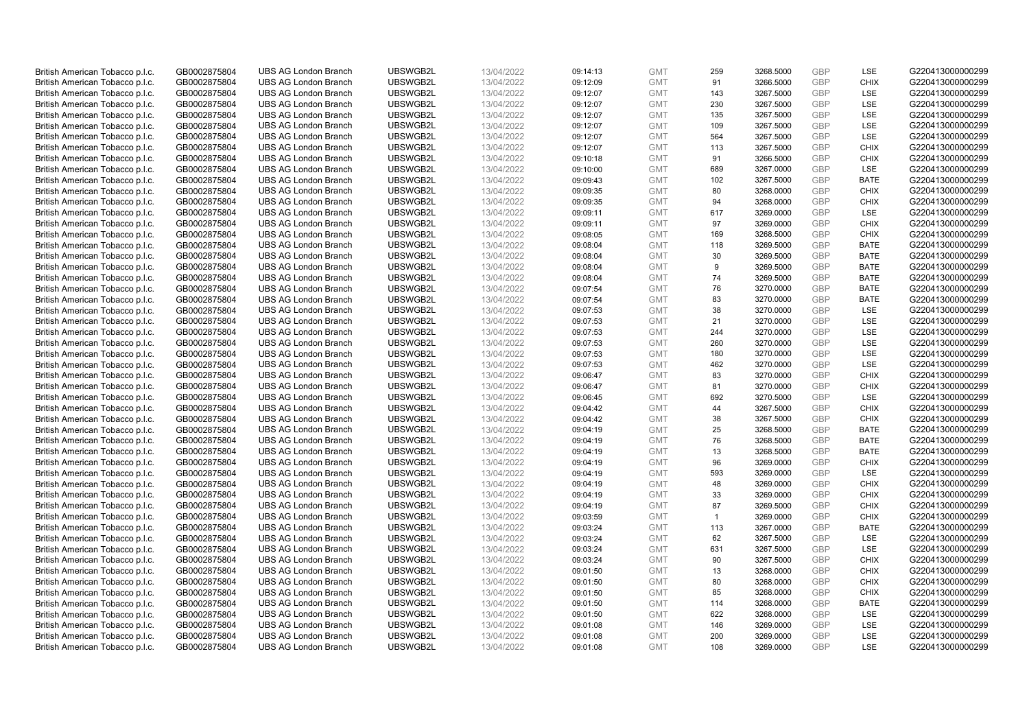| British American Tobacco p.l.c. | GB0002875804                 | <b>UBS AG London Branch</b> | UBSWGB2L | 13/04/2022               | 09:14:13 | <b>GMT</b> | 259            | 3268.5000 | <b>GBP</b> | LSE         | G220413000000299 |
|---------------------------------|------------------------------|-----------------------------|----------|--------------------------|----------|------------|----------------|-----------|------------|-------------|------------------|
| British American Tobacco p.l.c. | GB0002875804                 | <b>UBS AG London Branch</b> | UBSWGB2L | 13/04/2022               | 09:12:09 | <b>GMT</b> | 91             | 3266.5000 | <b>GBP</b> | <b>CHIX</b> | G220413000000299 |
|                                 |                              | <b>UBS AG London Branch</b> | UBSWGB2L |                          |          | <b>GMT</b> | 143            | 3267.5000 | <b>GBP</b> | LSE         | G220413000000299 |
| British American Tobacco p.l.c. | GB0002875804                 |                             |          | 13/04/2022               | 09:12:07 |            |                |           |            |             |                  |
| British American Tobacco p.l.c. | GB0002875804                 | <b>UBS AG London Branch</b> | UBSWGB2L | 13/04/2022               | 09:12:07 | <b>GMT</b> | 230            | 3267.5000 | <b>GBP</b> | LSE         | G220413000000299 |
| British American Tobacco p.l.c. | GB0002875804                 | <b>UBS AG London Branch</b> | UBSWGB2L | 13/04/2022               | 09:12:07 | <b>GMT</b> | 135            | 3267.5000 | <b>GBP</b> | LSE         | G220413000000299 |
| British American Tobacco p.l.c. | GB0002875804                 | <b>UBS AG London Branch</b> | UBSWGB2L | 13/04/2022               | 09:12:07 | <b>GMT</b> | 109            | 3267.5000 | <b>GBP</b> | <b>LSE</b>  | G220413000000299 |
| British American Tobacco p.l.c. | GB0002875804                 | <b>UBS AG London Branch</b> | UBSWGB2L | 13/04/2022               | 09:12:07 | <b>GMT</b> | 564            | 3267.5000 | <b>GBP</b> | LSE         | G220413000000299 |
| British American Tobacco p.l.c. | GB0002875804                 | <b>UBS AG London Branch</b> | UBSWGB2L | 13/04/2022               | 09:12:07 | <b>GMT</b> | 113            | 3267.5000 | <b>GBP</b> | <b>CHIX</b> | G220413000000299 |
| British American Tobacco p.l.c. | GB0002875804                 | <b>UBS AG London Branch</b> | UBSWGB2L | 13/04/2022               | 09:10:18 | <b>GMT</b> | 91             | 3266.5000 | <b>GBP</b> | <b>CHIX</b> | G220413000000299 |
| British American Tobacco p.l.c. | GB0002875804                 | <b>UBS AG London Branch</b> | UBSWGB2L | 13/04/2022               | 09:10:00 | <b>GMT</b> | 689            | 3267.0000 | <b>GBP</b> | LSE         | G220413000000299 |
| British American Tobacco p.l.c. | GB0002875804                 | <b>UBS AG London Branch</b> | UBSWGB2L | 13/04/2022               | 09:09:43 | <b>GMT</b> | 102            | 3267.5000 | <b>GBP</b> | <b>BATE</b> | G220413000000299 |
| British American Tobacco p.l.c. | GB0002875804                 | <b>UBS AG London Branch</b> | UBSWGB2L | 13/04/2022               | 09:09:35 | <b>GMT</b> | 80             | 3268.0000 | <b>GBP</b> | <b>CHIX</b> | G220413000000299 |
| British American Tobacco p.l.c. | GB0002875804                 | <b>UBS AG London Branch</b> | UBSWGB2L | 13/04/2022               | 09:09:35 | <b>GMT</b> | 94             | 3268.0000 | <b>GBP</b> | <b>CHIX</b> | G220413000000299 |
| British American Tobacco p.l.c. | GB0002875804                 | <b>UBS AG London Branch</b> | UBSWGB2L | 13/04/2022               | 09:09:11 | <b>GMT</b> | 617            | 3269.0000 | <b>GBP</b> | <b>LSE</b>  | G220413000000299 |
| British American Tobacco p.l.c. | GB0002875804                 | <b>UBS AG London Branch</b> | UBSWGB2L | 13/04/2022               | 09:09:11 | <b>GMT</b> | 97             | 3269.0000 | <b>GBP</b> | <b>CHIX</b> | G220413000000299 |
| British American Tobacco p.l.c. | GB0002875804                 | <b>UBS AG London Branch</b> | UBSWGB2L | 13/04/2022               | 09:08:05 | <b>GMT</b> | 169            | 3268.5000 | <b>GBP</b> | <b>CHIX</b> | G220413000000299 |
| British American Tobacco p.l.c. | GB0002875804                 | <b>UBS AG London Branch</b> | UBSWGB2L | 13/04/2022               | 09:08:04 | <b>GMT</b> | 118            | 3269.5000 | <b>GBP</b> | <b>BATE</b> | G220413000000299 |
| British American Tobacco p.l.c. | GB0002875804                 | <b>UBS AG London Branch</b> | UBSWGB2L | 13/04/2022               | 09:08:04 | <b>GMT</b> | 30             | 3269.5000 | <b>GBP</b> | <b>BATE</b> | G220413000000299 |
|                                 |                              | <b>UBS AG London Branch</b> | UBSWGB2L |                          | 09:08:04 | <b>GMT</b> | 9              | 3269.5000 | <b>GBP</b> | <b>BATE</b> | G220413000000299 |
| British American Tobacco p.l.c. | GB0002875804<br>GB0002875804 | <b>UBS AG London Branch</b> | UBSWGB2L | 13/04/2022<br>13/04/2022 |          | <b>GMT</b> |                |           | <b>GBP</b> | <b>BATE</b> | G220413000000299 |
| British American Tobacco p.l.c. |                              |                             |          |                          | 09:08:04 |            | 74             | 3269.5000 |            |             |                  |
| British American Tobacco p.l.c. | GB0002875804                 | <b>UBS AG London Branch</b> | UBSWGB2L | 13/04/2022               | 09:07:54 | <b>GMT</b> | 76             | 3270.0000 | <b>GBP</b> | <b>BATE</b> | G220413000000299 |
| British American Tobacco p.l.c. | GB0002875804                 | <b>UBS AG London Branch</b> | UBSWGB2L | 13/04/2022               | 09:07:54 | <b>GMT</b> | 83             | 3270.0000 | <b>GBP</b> | <b>BATE</b> | G220413000000299 |
| British American Tobacco p.l.c. | GB0002875804                 | <b>UBS AG London Branch</b> | UBSWGB2L | 13/04/2022               | 09:07:53 | <b>GMT</b> | 38             | 3270.0000 | <b>GBP</b> | LSE         | G220413000000299 |
| British American Tobacco p.l.c. | GB0002875804                 | <b>UBS AG London Branch</b> | UBSWGB2L | 13/04/2022               | 09:07:53 | <b>GMT</b> | 21             | 3270.0000 | <b>GBP</b> | <b>LSE</b>  | G220413000000299 |
| British American Tobacco p.l.c. | GB0002875804                 | <b>UBS AG London Branch</b> | UBSWGB2L | 13/04/2022               | 09:07:53 | <b>GMT</b> | 244            | 3270.0000 | <b>GBP</b> | LSE         | G220413000000299 |
| British American Tobacco p.l.c. | GB0002875804                 | <b>UBS AG London Branch</b> | UBSWGB2L | 13/04/2022               | 09:07:53 | <b>GMT</b> | 260            | 3270.0000 | <b>GBP</b> | LSE         | G220413000000299 |
| British American Tobacco p.l.c. | GB0002875804                 | <b>UBS AG London Branch</b> | UBSWGB2L | 13/04/2022               | 09:07:53 | <b>GMT</b> | 180            | 3270.0000 | <b>GBP</b> | LSE         | G220413000000299 |
| British American Tobacco p.l.c. | GB0002875804                 | <b>UBS AG London Branch</b> | UBSWGB2L | 13/04/2022               | 09:07:53 | <b>GMT</b> | 462            | 3270.0000 | <b>GBP</b> | LSE         | G220413000000299 |
| British American Tobacco p.l.c. | GB0002875804                 | <b>UBS AG London Branch</b> | UBSWGB2L | 13/04/2022               | 09:06:47 | <b>GMT</b> | 83             | 3270.0000 | <b>GBP</b> | <b>CHIX</b> | G220413000000299 |
| British American Tobacco p.l.c. | GB0002875804                 | <b>UBS AG London Branch</b> | UBSWGB2L | 13/04/2022               | 09:06:47 | <b>GMT</b> | 81             | 3270.0000 | <b>GBP</b> | <b>CHIX</b> | G220413000000299 |
| British American Tobacco p.l.c. | GB0002875804                 | <b>UBS AG London Branch</b> | UBSWGB2L | 13/04/2022               | 09:06:45 | <b>GMT</b> | 692            | 3270.5000 | <b>GBP</b> | LSE         | G220413000000299 |
| British American Tobacco p.l.c. | GB0002875804                 | <b>UBS AG London Branch</b> | UBSWGB2L | 13/04/2022               | 09:04:42 | <b>GMT</b> | 44             | 3267.5000 | <b>GBP</b> | <b>CHIX</b> | G220413000000299 |
| British American Tobacco p.l.c. | GB0002875804                 | <b>UBS AG London Branch</b> | UBSWGB2L | 13/04/2022               | 09:04:42 | <b>GMT</b> | 38             | 3267.5000 | <b>GBP</b> | <b>CHIX</b> | G220413000000299 |
| British American Tobacco p.l.c. | GB0002875804                 | <b>UBS AG London Branch</b> | UBSWGB2L | 13/04/2022               | 09:04:19 | <b>GMT</b> | 25             | 3268.5000 | <b>GBP</b> | <b>BATE</b> | G220413000000299 |
| British American Tobacco p.l.c. | GB0002875804                 | <b>UBS AG London Branch</b> | UBSWGB2L | 13/04/2022               | 09:04:19 | <b>GMT</b> | 76             | 3268.5000 | <b>GBP</b> | <b>BATE</b> | G220413000000299 |
| British American Tobacco p.l.c. | GB0002875804                 | <b>UBS AG London Branch</b> | UBSWGB2L | 13/04/2022               | 09:04:19 | <b>GMT</b> | 13             | 3268.5000 | <b>GBP</b> | <b>BATE</b> | G220413000000299 |
| British American Tobacco p.l.c. | GB0002875804                 | <b>UBS AG London Branch</b> | UBSWGB2L | 13/04/2022               | 09:04:19 | <b>GMT</b> | 96             | 3269.0000 | <b>GBP</b> | <b>CHIX</b> | G220413000000299 |
| British American Tobacco p.l.c. | GB0002875804                 | <b>UBS AG London Branch</b> | UBSWGB2L | 13/04/2022               | 09:04:19 | <b>GMT</b> | 593            | 3269.0000 | <b>GBP</b> | LSE         | G220413000000299 |
| British American Tobacco p.l.c. | GB0002875804                 | <b>UBS AG London Branch</b> | UBSWGB2L | 13/04/2022               | 09:04:19 | <b>GMT</b> | 48             | 3269.0000 | <b>GBP</b> | <b>CHIX</b> | G220413000000299 |
| British American Tobacco p.l.c. | GB0002875804                 | <b>UBS AG London Branch</b> | UBSWGB2L | 13/04/2022               | 09:04:19 | <b>GMT</b> | 33             | 3269.0000 | <b>GBP</b> | <b>CHIX</b> | G220413000000299 |
| British American Tobacco p.l.c. | GB0002875804                 | <b>UBS AG London Branch</b> | UBSWGB2L | 13/04/2022               | 09:04:19 | <b>GMT</b> | 87             | 3269.5000 | <b>GBP</b> | <b>CHIX</b> | G220413000000299 |
| British American Tobacco p.l.c. | GB0002875804                 | <b>UBS AG London Branch</b> | UBSWGB2L | 13/04/2022               | 09:03:59 | <b>GMT</b> | $\overline{1}$ | 3269.0000 | <b>GBP</b> | <b>CHIX</b> | G220413000000299 |
| British American Tobacco p.l.c. | GB0002875804                 | <b>UBS AG London Branch</b> | UBSWGB2L | 13/04/2022               | 09:03:24 | <b>GMT</b> | 113            | 3267.0000 | <b>GBP</b> | <b>BATE</b> | G220413000000299 |
| British American Tobacco p.l.c. | GB0002875804                 | <b>UBS AG London Branch</b> | UBSWGB2L | 13/04/2022               |          | <b>GMT</b> | 62             | 3267.5000 | <b>GBP</b> | LSE         |                  |
|                                 |                              |                             | UBSWGB2L |                          | 09:03:24 |            | 631            |           | <b>GBP</b> | LSE         | G220413000000299 |
| British American Tobacco p.l.c. | GB0002875804                 | UBS AG London Branch        |          | 13/04/2022               | 09:03:24 | <b>GMT</b> |                | 3267.5000 |            |             | G220413000000299 |
| British American Tobacco p.l.c. | GB0002875804                 | <b>UBS AG London Branch</b> | UBSWGB2L | 13/04/2022               | 09:03:24 | <b>GMT</b> | 90             | 3267.5000 | <b>GBP</b> | <b>CHIX</b> | G220413000000299 |
| British American Tobacco p.l.c. | GB0002875804                 | <b>UBS AG London Branch</b> | UBSWGB2L | 13/04/2022               | 09:01:50 | <b>GMT</b> | 13             | 3268.0000 | <b>GBP</b> | <b>CHIX</b> | G220413000000299 |
| British American Tobacco p.l.c. | GB0002875804                 | <b>UBS AG London Branch</b> | UBSWGB2L | 13/04/2022               | 09:01:50 | <b>GMT</b> | 80             | 3268.0000 | <b>GBP</b> | <b>CHIX</b> | G220413000000299 |
| British American Tobacco p.l.c. | GB0002875804                 | <b>UBS AG London Branch</b> | UBSWGB2L | 13/04/2022               | 09:01:50 | <b>GMT</b> | 85             | 3268.0000 | <b>GBP</b> | <b>CHIX</b> | G220413000000299 |
| British American Tobacco p.l.c. | GB0002875804                 | <b>UBS AG London Branch</b> | UBSWGB2L | 13/04/2022               | 09:01:50 | <b>GMT</b> | 114            | 3268.0000 | <b>GBP</b> | <b>BATE</b> | G220413000000299 |
| British American Tobacco p.l.c. | GB0002875804                 | <b>UBS AG London Branch</b> | UBSWGB2L | 13/04/2022               | 09:01:50 | <b>GMT</b> | 622            | 3268.0000 | <b>GBP</b> | LSE         | G220413000000299 |
| British American Tobacco p.l.c. | GB0002875804                 | <b>UBS AG London Branch</b> | UBSWGB2L | 13/04/2022               | 09:01:08 | <b>GMT</b> | 146            | 3269.0000 | <b>GBP</b> | LSE         | G220413000000299 |
| British American Tobacco p.l.c. | GB0002875804                 | <b>UBS AG London Branch</b> | UBSWGB2L | 13/04/2022               | 09:01:08 | <b>GMT</b> | 200            | 3269.0000 | <b>GBP</b> | LSE         | G220413000000299 |
| British American Tobacco p.l.c. | GB0002875804                 | <b>UBS AG London Branch</b> | UBSWGB2L | 13/04/2022               | 09:01:08 | <b>GMT</b> | 108            | 3269.0000 | GBP        | <b>LSE</b>  | G220413000000299 |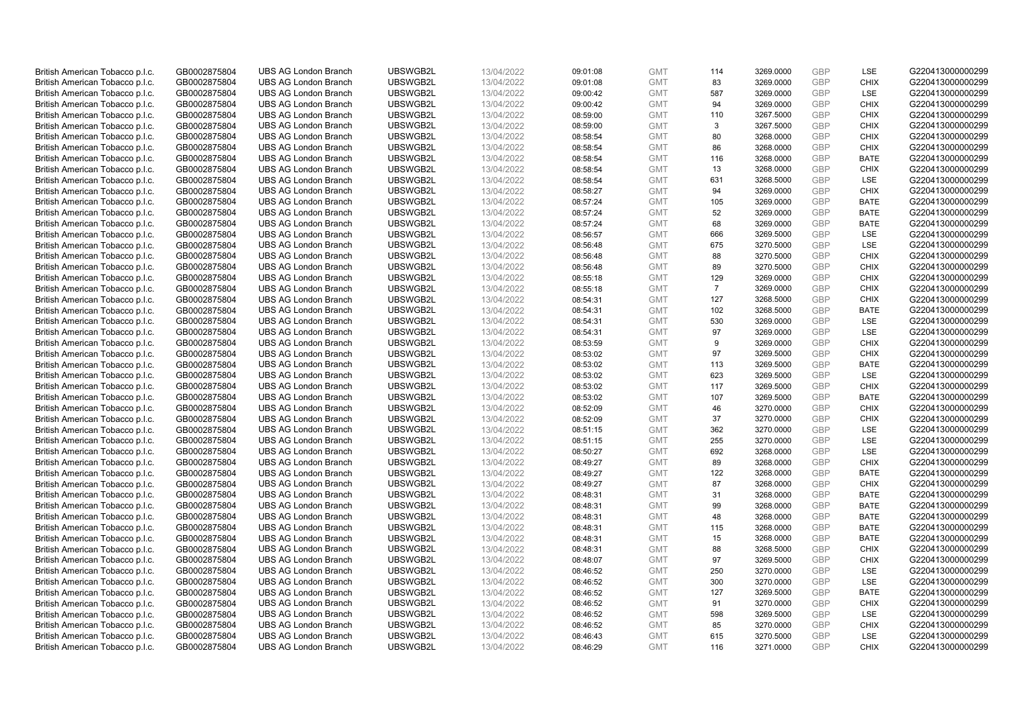| British American Tobacco p.l.c. | GB0002875804 | <b>UBS AG London Branch</b> | UBSWGB2L | 13/04/2022 | 09:01:08 | <b>GMT</b> | 114 | 3269.0000 | <b>GBP</b> | LSE         | G220413000000299 |
|---------------------------------|--------------|-----------------------------|----------|------------|----------|------------|-----|-----------|------------|-------------|------------------|
| British American Tobacco p.l.c. | GB0002875804 | <b>UBS AG London Branch</b> | UBSWGB2L | 13/04/2022 | 09:01:08 | <b>GMT</b> | 83  | 3269.0000 | <b>GBP</b> | <b>CHIX</b> | G220413000000299 |
|                                 |              |                             |          |            |          |            |     |           |            |             |                  |
| British American Tobacco p.l.c. | GB0002875804 | <b>UBS AG London Branch</b> | UBSWGB2L | 13/04/2022 | 09:00:42 | <b>GMT</b> | 587 | 3269.0000 | <b>GBP</b> | LSE         | G220413000000299 |
| British American Tobacco p.l.c. | GB0002875804 | <b>UBS AG London Branch</b> | UBSWGB2L | 13/04/2022 | 09:00:42 | <b>GMT</b> | 94  | 3269.0000 | GBP        | <b>CHIX</b> | G220413000000299 |
| British American Tobacco p.l.c. | GB0002875804 | <b>UBS AG London Branch</b> | UBSWGB2L | 13/04/2022 | 08:59:00 | <b>GMT</b> | 110 | 3267.5000 | <b>GBP</b> | <b>CHIX</b> | G220413000000299 |
| British American Tobacco p.l.c. | GB0002875804 | <b>UBS AG London Branch</b> | UBSWGB2L | 13/04/2022 | 08:59:00 | <b>GMT</b> | 3   | 3267.5000 | <b>GBP</b> | <b>CHIX</b> | G220413000000299 |
| British American Tobacco p.l.c. | GB0002875804 | <b>UBS AG London Branch</b> | UBSWGB2L | 13/04/2022 | 08:58:54 | <b>GMT</b> | 80  | 3268.0000 | <b>GBP</b> | <b>CHIX</b> | G220413000000299 |
| British American Tobacco p.l.c. | GB0002875804 | <b>UBS AG London Branch</b> | UBSWGB2L | 13/04/2022 | 08:58:54 | <b>GMT</b> | 86  | 3268.0000 | <b>GBP</b> | <b>CHIX</b> | G220413000000299 |
| British American Tobacco p.l.c. | GB0002875804 | <b>UBS AG London Branch</b> | UBSWGB2L | 13/04/2022 | 08:58:54 | <b>GMT</b> | 116 | 3268.0000 | <b>GBP</b> | <b>BATE</b> | G220413000000299 |
| British American Tobacco p.l.c. | GB0002875804 | <b>UBS AG London Branch</b> | UBSWGB2L | 13/04/2022 | 08:58:54 | <b>GMT</b> | 13  | 3268.0000 | <b>GBP</b> | <b>CHIX</b> | G220413000000299 |
| British American Tobacco p.l.c. | GB0002875804 | <b>UBS AG London Branch</b> | UBSWGB2L | 13/04/2022 | 08:58:54 | <b>GMT</b> | 631 | 3268.5000 | <b>GBP</b> | <b>LSE</b>  | G220413000000299 |
| British American Tobacco p.l.c. | GB0002875804 | <b>UBS AG London Branch</b> | UBSWGB2L | 13/04/2022 | 08:58:27 | <b>GMT</b> | 94  | 3269.0000 | <b>GBP</b> | <b>CHIX</b> | G220413000000299 |
| British American Tobacco p.l.c. | GB0002875804 | <b>UBS AG London Branch</b> | UBSWGB2L | 13/04/2022 | 08:57:24 | <b>GMT</b> | 105 | 3269.0000 | <b>GBP</b> | <b>BATE</b> | G220413000000299 |
| British American Tobacco p.l.c. | GB0002875804 | <b>UBS AG London Branch</b> | UBSWGB2L | 13/04/2022 | 08:57:24 | <b>GMT</b> | 52  | 3269.0000 | <b>GBP</b> | <b>BATE</b> | G220413000000299 |
| British American Tobacco p.l.c. | GB0002875804 | <b>UBS AG London Branch</b> | UBSWGB2L | 13/04/2022 | 08:57:24 | <b>GMT</b> | 68  | 3269.0000 | <b>GBP</b> | <b>BATE</b> | G220413000000299 |
| British American Tobacco p.l.c. | GB0002875804 | <b>UBS AG London Branch</b> | UBSWGB2L | 13/04/2022 | 08:56:57 | <b>GMT</b> | 666 | 3269.5000 | <b>GBP</b> | LSE         | G220413000000299 |
| British American Tobacco p.l.c. | GB0002875804 | <b>UBS AG London Branch</b> | UBSWGB2L | 13/04/2022 | 08:56:48 | <b>GMT</b> | 675 | 3270.5000 | <b>GBP</b> | LSE         | G220413000000299 |
| British American Tobacco p.l.c. | GB0002875804 | <b>UBS AG London Branch</b> | UBSWGB2L | 13/04/2022 | 08:56:48 | <b>GMT</b> | 88  | 3270.5000 | <b>GBP</b> | <b>CHIX</b> | G220413000000299 |
|                                 |              | <b>UBS AG London Branch</b> | UBSWGB2L |            |          |            | 89  |           |            |             |                  |
| British American Tobacco p.l.c. | GB0002875804 |                             |          | 13/04/2022 | 08:56:48 | <b>GMT</b> |     | 3270.5000 | <b>GBP</b> | <b>CHIX</b> | G220413000000299 |
| British American Tobacco p.l.c. | GB0002875804 | <b>UBS AG London Branch</b> | UBSWGB2L | 13/04/2022 | 08:55:18 | <b>GMT</b> | 129 | 3269.0000 | <b>GBP</b> | <b>CHIX</b> | G220413000000299 |
| British American Tobacco p.l.c. | GB0002875804 | <b>UBS AG London Branch</b> | UBSWGB2L | 13/04/2022 | 08:55:18 | <b>GMT</b> | 7   | 3269.0000 | <b>GBP</b> | <b>CHIX</b> | G220413000000299 |
| British American Tobacco p.l.c. | GB0002875804 | <b>UBS AG London Branch</b> | UBSWGB2L | 13/04/2022 | 08:54:31 | <b>GMT</b> | 127 | 3268.5000 | <b>GBP</b> | <b>CHIX</b> | G220413000000299 |
| British American Tobacco p.l.c. | GB0002875804 | <b>UBS AG London Branch</b> | UBSWGB2L | 13/04/2022 | 08:54:31 | <b>GMT</b> | 102 | 3268.5000 | <b>GBP</b> | <b>BATE</b> | G220413000000299 |
| British American Tobacco p.l.c. | GB0002875804 | <b>UBS AG London Branch</b> | UBSWGB2L | 13/04/2022 | 08:54:31 | <b>GMT</b> | 530 | 3269.0000 | <b>GBP</b> | <b>LSE</b>  | G220413000000299 |
| British American Tobacco p.l.c. | GB0002875804 | <b>UBS AG London Branch</b> | UBSWGB2L | 13/04/2022 | 08:54:31 | <b>GMT</b> | 97  | 3269.0000 | <b>GBP</b> | LSE         | G220413000000299 |
| British American Tobacco p.l.c. | GB0002875804 | <b>UBS AG London Branch</b> | UBSWGB2L | 13/04/2022 | 08:53:59 | <b>GMT</b> | 9   | 3269.0000 | <b>GBP</b> | <b>CHIX</b> | G220413000000299 |
| British American Tobacco p.l.c. | GB0002875804 | <b>UBS AG London Branch</b> | UBSWGB2L | 13/04/2022 | 08:53:02 | <b>GMT</b> | 97  | 3269.5000 | <b>GBP</b> | <b>CHIX</b> | G220413000000299 |
| British American Tobacco p.l.c. | GB0002875804 | <b>UBS AG London Branch</b> | UBSWGB2L | 13/04/2022 | 08:53:02 | <b>GMT</b> | 113 | 3269.5000 | <b>GBP</b> | <b>BATE</b> | G220413000000299 |
| British American Tobacco p.l.c. | GB0002875804 | <b>UBS AG London Branch</b> | UBSWGB2L | 13/04/2022 | 08:53:02 | <b>GMT</b> | 623 | 3269.5000 | <b>GBP</b> | <b>LSE</b>  | G220413000000299 |
| British American Tobacco p.l.c. | GB0002875804 | <b>UBS AG London Branch</b> | UBSWGB2L | 13/04/2022 | 08:53:02 | <b>GMT</b> | 117 | 3269.5000 | <b>GBP</b> | <b>CHIX</b> | G220413000000299 |
| British American Tobacco p.l.c. | GB0002875804 | <b>UBS AG London Branch</b> | UBSWGB2L | 13/04/2022 | 08:53:02 | <b>GMT</b> | 107 | 3269.5000 | <b>GBP</b> | <b>BATE</b> | G220413000000299 |
| British American Tobacco p.l.c. | GB0002875804 | <b>UBS AG London Branch</b> | UBSWGB2L | 13/04/2022 | 08:52:09 | <b>GMT</b> | 46  | 3270.0000 | <b>GBP</b> | <b>CHIX</b> | G220413000000299 |
| British American Tobacco p.l.c. | GB0002875804 | <b>UBS AG London Branch</b> | UBSWGB2L | 13/04/2022 | 08:52:09 | <b>GMT</b> | 37  | 3270.0000 | <b>GBP</b> | <b>CHIX</b> | G220413000000299 |
| British American Tobacco p.l.c. | GB0002875804 | <b>UBS AG London Branch</b> | UBSWGB2L | 13/04/2022 | 08:51:15 | <b>GMT</b> | 362 | 3270.0000 | <b>GBP</b> | LSE         | G220413000000299 |
| British American Tobacco p.l.c. | GB0002875804 | <b>UBS AG London Branch</b> | UBSWGB2L | 13/04/2022 | 08:51:15 | <b>GMT</b> | 255 | 3270.0000 | <b>GBP</b> | LSE         | G220413000000299 |
| British American Tobacco p.l.c. | GB0002875804 | <b>UBS AG London Branch</b> | UBSWGB2L | 13/04/2022 | 08:50:27 | <b>GMT</b> | 692 | 3268.0000 | <b>GBP</b> | LSE         | G220413000000299 |
| British American Tobacco p.l.c. | GB0002875804 | <b>UBS AG London Branch</b> | UBSWGB2L | 13/04/2022 | 08:49:27 | <b>GMT</b> | 89  | 3268.0000 | <b>GBP</b> | <b>CHIX</b> | G220413000000299 |
| British American Tobacco p.l.c. | GB0002875804 | <b>UBS AG London Branch</b> | UBSWGB2L | 13/04/2022 | 08:49:27 | <b>GMT</b> | 122 | 3268.0000 | <b>GBP</b> | <b>BATE</b> | G220413000000299 |
| British American Tobacco p.l.c. | GB0002875804 | <b>UBS AG London Branch</b> | UBSWGB2L | 13/04/2022 | 08:49:27 | <b>GMT</b> | 87  | 3268.0000 | <b>GBP</b> | <b>CHIX</b> | G220413000000299 |
| British American Tobacco p.l.c. | GB0002875804 | <b>UBS AG London Branch</b> | UBSWGB2L | 13/04/2022 | 08:48:31 | <b>GMT</b> | 31  | 3268.0000 | <b>GBP</b> | <b>BATE</b> | G220413000000299 |
| British American Tobacco p.l.c. | GB0002875804 | <b>UBS AG London Branch</b> | UBSWGB2L | 13/04/2022 | 08:48:31 | <b>GMT</b> | 99  | 3268.0000 | <b>GBP</b> | <b>BATE</b> | G220413000000299 |
| British American Tobacco p.l.c. | GB0002875804 | <b>UBS AG London Branch</b> | UBSWGB2L | 13/04/2022 | 08:48:31 | <b>GMT</b> | 48  | 3268.0000 | <b>GBP</b> | <b>BATE</b> | G220413000000299 |
| British American Tobacco p.l.c. | GB0002875804 | <b>UBS AG London Branch</b> | UBSWGB2L | 13/04/2022 | 08:48:31 | <b>GMT</b> | 115 | 3268.0000 | <b>GBP</b> | <b>BATE</b> | G220413000000299 |
| British American Tobacco p.l.c. | GB0002875804 | <b>UBS AG London Branch</b> | UBSWGB2L | 13/04/2022 |          | <b>GMT</b> | 15  | 3268.0000 | <b>GBP</b> | <b>BATE</b> | G220413000000299 |
|                                 |              |                             | UBSWGB2L |            | 08:48:31 |            | 88  |           | <b>GBP</b> |             |                  |
| British American Tobacco p.l.c. | GB0002875804 | UBS AG London Branch        |          | 13/04/2022 | 08:48:31 | <b>GMT</b> |     | 3268.5000 | <b>GBP</b> | <b>CHIX</b> | G220413000000299 |
| British American Tobacco p.l.c. | GB0002875804 | <b>UBS AG London Branch</b> | UBSWGB2L | 13/04/2022 | 08:48:07 | <b>GMT</b> | 97  | 3269.5000 |            | <b>CHIX</b> | G220413000000299 |
| British American Tobacco p.l.c. | GB0002875804 | <b>UBS AG London Branch</b> | UBSWGB2L | 13/04/2022 | 08:46:52 | <b>GMT</b> | 250 | 3270.0000 | <b>GBP</b> | LSE         | G220413000000299 |
| British American Tobacco p.l.c. | GB0002875804 | <b>UBS AG London Branch</b> | UBSWGB2L | 13/04/2022 | 08:46:52 | <b>GMT</b> | 300 | 3270.0000 | <b>GBP</b> | LSE         | G220413000000299 |
| British American Tobacco p.l.c. | GB0002875804 | <b>UBS AG London Branch</b> | UBSWGB2L | 13/04/2022 | 08:46:52 | <b>GMT</b> | 127 | 3269.5000 | <b>GBP</b> | <b>BATE</b> | G220413000000299 |
| British American Tobacco p.l.c. | GB0002875804 | <b>UBS AG London Branch</b> | UBSWGB2L | 13/04/2022 | 08:46:52 | <b>GMT</b> | 91  | 3270.0000 | <b>GBP</b> | <b>CHIX</b> | G220413000000299 |
| British American Tobacco p.l.c. | GB0002875804 | <b>UBS AG London Branch</b> | UBSWGB2L | 13/04/2022 | 08:46:52 | <b>GMT</b> | 598 | 3269.5000 | <b>GBP</b> | LSE         | G220413000000299 |
| British American Tobacco p.l.c. | GB0002875804 | <b>UBS AG London Branch</b> | UBSWGB2L | 13/04/2022 | 08:46:52 | <b>GMT</b> | 85  | 3270.0000 | <b>GBP</b> | <b>CHIX</b> | G220413000000299 |
| British American Tobacco p.l.c. | GB0002875804 | <b>UBS AG London Branch</b> | UBSWGB2L | 13/04/2022 | 08:46:43 | <b>GMT</b> | 615 | 3270.5000 | <b>GBP</b> | LSE         | G220413000000299 |
| British American Tobacco p.l.c. | GB0002875804 | <b>UBS AG London Branch</b> | UBSWGB2L | 13/04/2022 | 08:46:29 | <b>GMT</b> | 116 | 3271.0000 | GBP        | <b>CHIX</b> | G220413000000299 |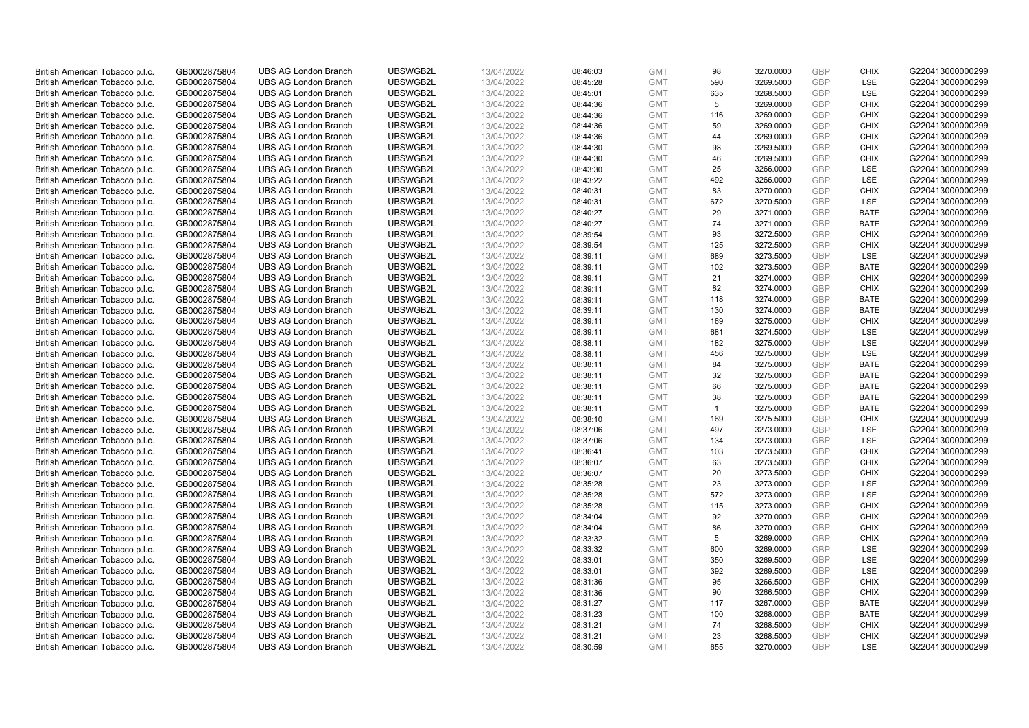| British American Tobacco p.l.c. | GB0002875804 | <b>UBS AG London Branch</b> | UBSWGB2L | 13/04/2022 | 08:46:03 | <b>GMT</b> | 98             | 3270.0000 | <b>GBP</b> | <b>CHIX</b> | G220413000000299 |
|---------------------------------|--------------|-----------------------------|----------|------------|----------|------------|----------------|-----------|------------|-------------|------------------|
| British American Tobacco p.l.c. | GB0002875804 | <b>UBS AG London Branch</b> | UBSWGB2L | 13/04/2022 | 08:45:28 | <b>GMT</b> | 590            | 3269.5000 | <b>GBP</b> | LSE         | G220413000000299 |
| British American Tobacco p.l.c. | GB0002875804 | <b>UBS AG London Branch</b> | UBSWGB2L | 13/04/2022 | 08:45:01 | <b>GMT</b> | 635            | 3268.5000 | <b>GBP</b> | LSE         | G220413000000299 |
| British American Tobacco p.l.c. | GB0002875804 | <b>UBS AG London Branch</b> | UBSWGB2L | 13/04/2022 | 08:44:36 | <b>GMT</b> | 5              | 3269.0000 | <b>GBP</b> | <b>CHIX</b> | G220413000000299 |
| British American Tobacco p.l.c. | GB0002875804 | <b>UBS AG London Branch</b> | UBSWGB2L | 13/04/2022 | 08:44:36 | <b>GMT</b> | 116            | 3269.0000 | <b>GBP</b> | <b>CHIX</b> | G220413000000299 |
|                                 |              | <b>UBS AG London Branch</b> |          |            |          |            |                |           |            |             |                  |
| British American Tobacco p.l.c. | GB0002875804 |                             | UBSWGB2L | 13/04/2022 | 08:44:36 | <b>GMT</b> | 59             | 3269.0000 | <b>GBP</b> | <b>CHIX</b> | G220413000000299 |
| British American Tobacco p.l.c. | GB0002875804 | <b>UBS AG London Branch</b> | UBSWGB2L | 13/04/2022 | 08:44:36 | <b>GMT</b> | 44             | 3269.0000 | <b>GBP</b> | <b>CHIX</b> | G220413000000299 |
| British American Tobacco p.l.c. | GB0002875804 | <b>UBS AG London Branch</b> | UBSWGB2L | 13/04/2022 | 08:44:30 | <b>GMT</b> | 98             | 3269.5000 | <b>GBP</b> | <b>CHIX</b> | G220413000000299 |
| British American Tobacco p.l.c. | GB0002875804 | <b>UBS AG London Branch</b> | UBSWGB2L | 13/04/2022 | 08:44:30 | <b>GMT</b> | 46             | 3269.5000 | <b>GBP</b> | <b>CHIX</b> | G220413000000299 |
| British American Tobacco p.l.c. | GB0002875804 | <b>UBS AG London Branch</b> | UBSWGB2L | 13/04/2022 | 08:43:30 | <b>GMT</b> | 25             | 3266.0000 | <b>GBP</b> | LSE         | G220413000000299 |
| British American Tobacco p.l.c. | GB0002875804 | <b>UBS AG London Branch</b> | UBSWGB2L | 13/04/2022 | 08:43:22 | <b>GMT</b> | 492            | 3266.0000 | <b>GBP</b> | <b>LSE</b>  | G220413000000299 |
| British American Tobacco p.l.c. | GB0002875804 | <b>UBS AG London Branch</b> | UBSWGB2L | 13/04/2022 | 08:40:31 | <b>GMT</b> | 83             | 3270.0000 | <b>GBP</b> | <b>CHIX</b> | G220413000000299 |
| British American Tobacco p.l.c. | GB0002875804 | <b>UBS AG London Branch</b> | UBSWGB2L | 13/04/2022 | 08:40:31 | <b>GMT</b> | 672            | 3270.5000 | <b>GBP</b> | LSE         | G220413000000299 |
| British American Tobacco p.l.c. | GB0002875804 | <b>UBS AG London Branch</b> | UBSWGB2L | 13/04/2022 | 08:40:27 | <b>GMT</b> | 29             | 3271.0000 | <b>GBP</b> | <b>BATE</b> | G220413000000299 |
| British American Tobacco p.l.c. | GB0002875804 | <b>UBS AG London Branch</b> | UBSWGB2L | 13/04/2022 | 08:40:27 | <b>GMT</b> | 74             | 3271.0000 | <b>GBP</b> | <b>BATE</b> | G220413000000299 |
| British American Tobacco p.l.c. | GB0002875804 | <b>UBS AG London Branch</b> | UBSWGB2L | 13/04/2022 | 08:39:54 | <b>GMT</b> | 93             | 3272.5000 | <b>GBP</b> | <b>CHIX</b> | G220413000000299 |
| British American Tobacco p.l.c. | GB0002875804 | <b>UBS AG London Branch</b> | UBSWGB2L | 13/04/2022 | 08:39:54 | <b>GMT</b> | 125            | 3272.5000 | <b>GBP</b> | <b>CHIX</b> | G220413000000299 |
| British American Tobacco p.l.c. | GB0002875804 | <b>UBS AG London Branch</b> | UBSWGB2L | 13/04/2022 | 08:39:11 | <b>GMT</b> | 689            | 3273.5000 | <b>GBP</b> | LSE         | G220413000000299 |
| British American Tobacco p.l.c. | GB0002875804 | <b>UBS AG London Branch</b> | UBSWGB2L | 13/04/2022 | 08:39:11 | <b>GMT</b> | 102            | 3273.5000 | <b>GBP</b> | <b>BATE</b> | G220413000000299 |
| British American Tobacco p.l.c. | GB0002875804 | <b>UBS AG London Branch</b> | UBSWGB2L | 13/04/2022 | 08:39:11 | <b>GMT</b> | 21             | 3274.0000 | <b>GBP</b> | <b>CHIX</b> | G220413000000299 |
| British American Tobacco p.l.c. | GB0002875804 | <b>UBS AG London Branch</b> | UBSWGB2L | 13/04/2022 | 08:39:11 | <b>GMT</b> | 82             | 3274.0000 | <b>GBP</b> | <b>CHIX</b> | G220413000000299 |
| British American Tobacco p.l.c. | GB0002875804 | <b>UBS AG London Branch</b> | UBSWGB2L | 13/04/2022 | 08:39:11 | <b>GMT</b> | 118            | 3274.0000 | <b>GBP</b> | <b>BATE</b> | G220413000000299 |
| British American Tobacco p.l.c. | GB0002875804 | <b>UBS AG London Branch</b> | UBSWGB2L | 13/04/2022 | 08:39:11 | <b>GMT</b> | 130            | 3274.0000 | <b>GBP</b> | <b>BATE</b> | G220413000000299 |
| British American Tobacco p.l.c. | GB0002875804 | <b>UBS AG London Branch</b> | UBSWGB2L | 13/04/2022 | 08:39:11 | <b>GMT</b> | 169            | 3275.0000 | <b>GBP</b> | <b>CHIX</b> | G220413000000299 |
| British American Tobacco p.l.c. | GB0002875804 | <b>UBS AG London Branch</b> | UBSWGB2L | 13/04/2022 | 08:39:11 | <b>GMT</b> | 681            | 3274.5000 | <b>GBP</b> | LSE         | G220413000000299 |
| British American Tobacco p.l.c. | GB0002875804 | <b>UBS AG London Branch</b> | UBSWGB2L | 13/04/2022 | 08:38:11 | <b>GMT</b> | 182            | 3275.0000 | <b>GBP</b> | LSE         | G220413000000299 |
| British American Tobacco p.l.c. | GB0002875804 | <b>UBS AG London Branch</b> | UBSWGB2L | 13/04/2022 | 08:38:11 | <b>GMT</b> | 456            | 3275.0000 | <b>GBP</b> | LSE         | G220413000000299 |
| British American Tobacco p.l.c. | GB0002875804 | <b>UBS AG London Branch</b> | UBSWGB2L | 13/04/2022 | 08:38:11 | <b>GMT</b> | 84             | 3275.0000 | <b>GBP</b> | <b>BATE</b> | G220413000000299 |
| British American Tobacco p.l.c. | GB0002875804 | <b>UBS AG London Branch</b> | UBSWGB2L | 13/04/2022 | 08:38:11 | <b>GMT</b> | 32             | 3275.0000 | <b>GBP</b> | <b>BATE</b> | G220413000000299 |
| British American Tobacco p.l.c. | GB0002875804 | <b>UBS AG London Branch</b> | UBSWGB2L | 13/04/2022 | 08:38:11 | <b>GMT</b> | 66             | 3275.0000 | <b>GBP</b> | <b>BATE</b> | G220413000000299 |
| British American Tobacco p.l.c. | GB0002875804 | <b>UBS AG London Branch</b> | UBSWGB2L | 13/04/2022 | 08:38:11 | <b>GMT</b> | 38             | 3275.0000 | <b>GBP</b> | <b>BATE</b> | G220413000000299 |
| British American Tobacco p.l.c. | GB0002875804 | <b>UBS AG London Branch</b> | UBSWGB2L | 13/04/2022 | 08:38:11 | <b>GMT</b> | $\overline{1}$ | 3275.0000 | <b>GBP</b> | BATE        | G220413000000299 |
| British American Tobacco p.l.c. | GB0002875804 | <b>UBS AG London Branch</b> | UBSWGB2L | 13/04/2022 | 08:38:10 | <b>GMT</b> | 169            | 3275.5000 | <b>GBP</b> | <b>CHIX</b> | G220413000000299 |
| British American Tobacco p.l.c. | GB0002875804 | <b>UBS AG London Branch</b> | UBSWGB2L | 13/04/2022 | 08:37:06 | <b>GMT</b> | 497            | 3273.0000 | <b>GBP</b> | LSE         | G220413000000299 |
| British American Tobacco p.l.c. | GB0002875804 | <b>UBS AG London Branch</b> | UBSWGB2L | 13/04/2022 | 08:37:06 | <b>GMT</b> | 134            | 3273.0000 | <b>GBP</b> | LSE         | G220413000000299 |
| British American Tobacco p.l.c. | GB0002875804 | <b>UBS AG London Branch</b> | UBSWGB2L | 13/04/2022 | 08:36:41 | <b>GMT</b> | 103            | 3273.5000 | <b>GBP</b> | <b>CHIX</b> | G220413000000299 |
| British American Tobacco p.l.c. | GB0002875804 | <b>UBS AG London Branch</b> | UBSWGB2L | 13/04/2022 | 08:36:07 | <b>GMT</b> | 63             | 3273.5000 | <b>GBP</b> | <b>CHIX</b> | G220413000000299 |
|                                 |              | <b>UBS AG London Branch</b> | UBSWGB2L | 13/04/2022 |          | <b>GMT</b> | 20             | 3273.5000 | <b>GBP</b> | <b>CHIX</b> | G220413000000299 |
| British American Tobacco p.l.c. | GB0002875804 | <b>UBS AG London Branch</b> | UBSWGB2L |            | 08:36:07 |            |                |           | <b>GBP</b> | LSE         |                  |
| British American Tobacco p.l.c. | GB0002875804 |                             |          | 13/04/2022 | 08:35:28 | <b>GMT</b> | 23             | 3273.0000 |            |             | G220413000000299 |
| British American Tobacco p.l.c. | GB0002875804 | <b>UBS AG London Branch</b> | UBSWGB2L | 13/04/2022 | 08:35:28 | <b>GMT</b> | 572            | 3273.0000 | <b>GBP</b> | <b>LSE</b>  | G220413000000299 |
| British American Tobacco p.l.c. | GB0002875804 | <b>UBS AG London Branch</b> | UBSWGB2L | 13/04/2022 | 08:35:28 | <b>GMT</b> | 115            | 3273.0000 | <b>GBP</b> | <b>CHIX</b> | G220413000000299 |
| British American Tobacco p.l.c. | GB0002875804 | <b>UBS AG London Branch</b> | UBSWGB2L | 13/04/2022 | 08:34:04 | <b>GMT</b> | 92             | 3270.0000 | <b>GBP</b> | <b>CHIX</b> | G220413000000299 |
| British American Tobacco p.l.c. | GB0002875804 | <b>UBS AG London Branch</b> | UBSWGB2L | 13/04/2022 | 08:34:04 | <b>GMT</b> | 86             | 3270.0000 | <b>GBP</b> | <b>CHIX</b> | G220413000000299 |
| British American Tobacco p.l.c. | GB0002875804 | <b>UBS AG London Branch</b> | UBSWGB2L | 13/04/2022 | 08:33:32 | <b>GMT</b> | 5              | 3269.0000 | <b>GBP</b> | <b>CHIX</b> | G220413000000299 |
| British American Tobacco p.l.c. | GB0002875804 | UBS AG London Branch        | UBSWGB2L | 13/04/2022 | 08:33:32 | <b>GMT</b> | 600            | 3269.0000 | <b>GBP</b> | <b>LSE</b>  | G220413000000299 |
| British American Tobacco p.l.c. | GB0002875804 | <b>UBS AG London Branch</b> | UBSWGB2L | 13/04/2022 | 08:33:01 | <b>GMT</b> | 350            | 3269.5000 | <b>GBP</b> | LSE         | G220413000000299 |
| British American Tobacco p.l.c. | GB0002875804 | <b>UBS AG London Branch</b> | UBSWGB2L | 13/04/2022 | 08:33:01 | <b>GMT</b> | 392            | 3269.5000 | <b>GBP</b> | LSE         | G220413000000299 |
| British American Tobacco p.l.c. | GB0002875804 | <b>UBS AG London Branch</b> | UBSWGB2L | 13/04/2022 | 08:31:36 | <b>GMT</b> | 95             | 3266.5000 | <b>GBP</b> | <b>CHIX</b> | G220413000000299 |
| British American Tobacco p.l.c. | GB0002875804 | <b>UBS AG London Branch</b> | UBSWGB2L | 13/04/2022 | 08:31:36 | <b>GMT</b> | 90             | 3266.5000 | <b>GBP</b> | <b>CHIX</b> | G220413000000299 |
| British American Tobacco p.l.c. | GB0002875804 | <b>UBS AG London Branch</b> | UBSWGB2L | 13/04/2022 | 08:31:27 | <b>GMT</b> | 117            | 3267.0000 | <b>GBP</b> | <b>BATE</b> | G220413000000299 |
| British American Tobacco p.l.c. | GB0002875804 | <b>UBS AG London Branch</b> | UBSWGB2L | 13/04/2022 | 08:31:23 | <b>GMT</b> | 100            | 3268.0000 | <b>GBP</b> | <b>BATE</b> | G220413000000299 |
| British American Tobacco p.l.c. | GB0002875804 | <b>UBS AG London Branch</b> | UBSWGB2L | 13/04/2022 | 08:31:21 | <b>GMT</b> | 74             | 3268.5000 | <b>GBP</b> | <b>CHIX</b> | G220413000000299 |
| British American Tobacco p.l.c. | GB0002875804 | <b>UBS AG London Branch</b> | UBSWGB2L | 13/04/2022 | 08:31:21 | <b>GMT</b> | 23             | 3268.5000 | <b>GBP</b> | <b>CHIX</b> | G220413000000299 |
| British American Tobacco p.l.c. | GB0002875804 | <b>UBS AG London Branch</b> | UBSWGB2L | 13/04/2022 | 08:30:59 | <b>GMT</b> | 655            | 3270.0000 | GBP        | <b>LSE</b>  | G220413000000299 |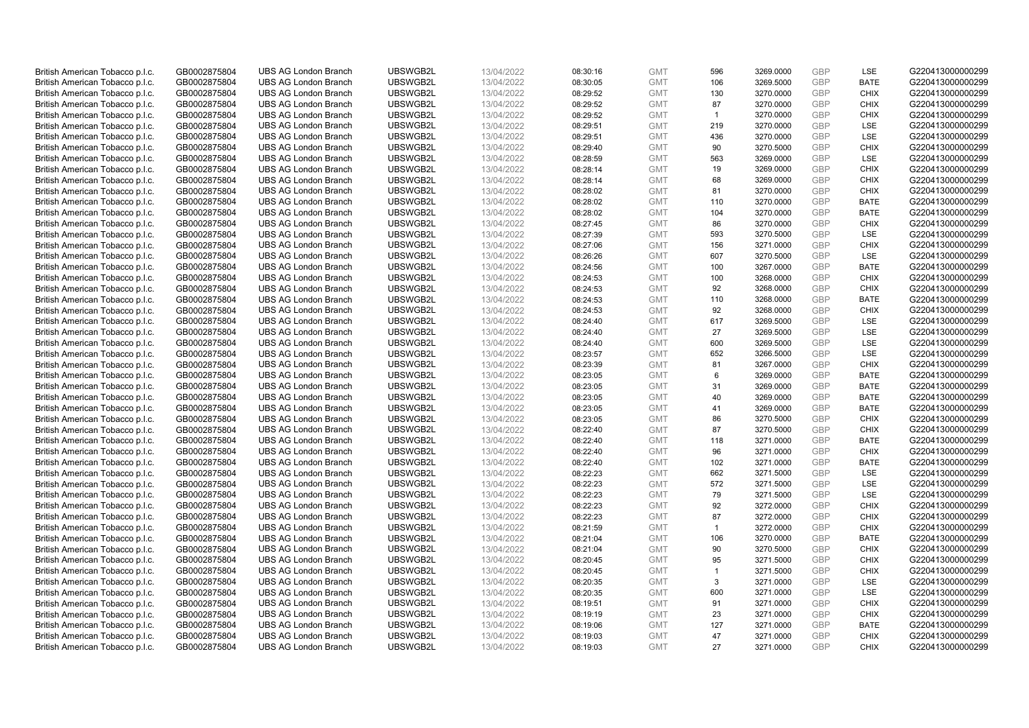| British American Tobacco p.l.c. | GB0002875804 | <b>UBS AG London Branch</b> | UBSWGB2L | 13/04/2022 | 08:30:16 | <b>GMT</b> | 596            | 3269.0000 | <b>GBP</b> | LSE         | G220413000000299 |
|---------------------------------|--------------|-----------------------------|----------|------------|----------|------------|----------------|-----------|------------|-------------|------------------|
| British American Tobacco p.l.c. | GB0002875804 | <b>UBS AG London Branch</b> | UBSWGB2L | 13/04/2022 | 08:30:05 | <b>GMT</b> | 106            | 3269.5000 | <b>GBP</b> | <b>BATE</b> | G220413000000299 |
|                                 |              | <b>UBS AG London Branch</b> | UBSWGB2L |            |          | <b>GMT</b> |                | 3270.0000 | <b>GBP</b> | <b>CHIX</b> | G220413000000299 |
| British American Tobacco p.l.c. | GB0002875804 |                             |          | 13/04/2022 | 08:29:52 |            | 130            |           |            |             |                  |
| British American Tobacco p.l.c. | GB0002875804 | <b>UBS AG London Branch</b> | UBSWGB2L | 13/04/2022 | 08:29:52 | <b>GMT</b> | 87             | 3270.0000 | <b>GBP</b> | <b>CHIX</b> | G220413000000299 |
| British American Tobacco p.l.c. | GB0002875804 | <b>UBS AG London Branch</b> | UBSWGB2L | 13/04/2022 | 08:29:52 | <b>GMT</b> | $\mathbf{1}$   | 3270.0000 | <b>GBP</b> | <b>CHIX</b> | G220413000000299 |
| British American Tobacco p.l.c. | GB0002875804 | <b>UBS AG London Branch</b> | UBSWGB2L | 13/04/2022 | 08:29:51 | <b>GMT</b> | 219            | 3270.0000 | <b>GBP</b> | <b>LSE</b>  | G220413000000299 |
| British American Tobacco p.l.c. | GB0002875804 | <b>UBS AG London Branch</b> | UBSWGB2L | 13/04/2022 | 08:29:51 | <b>GMT</b> | 436            | 3270.0000 | <b>GBP</b> | LSE         | G220413000000299 |
| British American Tobacco p.l.c. | GB0002875804 | <b>UBS AG London Branch</b> | UBSWGB2L | 13/04/2022 | 08:29:40 | <b>GMT</b> | 90             | 3270.5000 | <b>GBP</b> | <b>CHIX</b> | G220413000000299 |
| British American Tobacco p.l.c. | GB0002875804 | <b>UBS AG London Branch</b> | UBSWGB2L | 13/04/2022 | 08:28:59 | <b>GMT</b> | 563            | 3269.0000 | <b>GBP</b> | LSE         | G220413000000299 |
| British American Tobacco p.l.c. | GB0002875804 | <b>UBS AG London Branch</b> | UBSWGB2L | 13/04/2022 | 08:28:14 | <b>GMT</b> | 19             | 3269.0000 | <b>GBP</b> | <b>CHIX</b> | G220413000000299 |
| British American Tobacco p.l.c. | GB0002875804 | <b>UBS AG London Branch</b> | UBSWGB2L | 13/04/2022 | 08:28:14 | <b>GMT</b> | 68             | 3269.0000 | <b>GBP</b> | <b>CHIX</b> | G220413000000299 |
| British American Tobacco p.l.c. | GB0002875804 | <b>UBS AG London Branch</b> | UBSWGB2L | 13/04/2022 | 08:28:02 | <b>GMT</b> | 81             | 3270.0000 | <b>GBP</b> | <b>CHIX</b> | G220413000000299 |
| British American Tobacco p.l.c. | GB0002875804 | <b>UBS AG London Branch</b> | UBSWGB2L | 13/04/2022 | 08:28:02 | <b>GMT</b> | 110            | 3270.0000 | <b>GBP</b> | <b>BATE</b> | G220413000000299 |
| British American Tobacco p.l.c. | GB0002875804 | <b>UBS AG London Branch</b> | UBSWGB2L | 13/04/2022 | 08:28:02 | <b>GMT</b> | 104            | 3270.0000 | <b>GBP</b> | <b>BATE</b> | G220413000000299 |
| British American Tobacco p.l.c. | GB0002875804 | <b>UBS AG London Branch</b> | UBSWGB2L | 13/04/2022 | 08:27:45 | <b>GMT</b> | 86             | 3270.0000 | <b>GBP</b> | <b>CHIX</b> | G220413000000299 |
| British American Tobacco p.l.c. | GB0002875804 | <b>UBS AG London Branch</b> | UBSWGB2L | 13/04/2022 | 08:27:39 | <b>GMT</b> | 593            | 3270.5000 | <b>GBP</b> | <b>LSE</b>  | G220413000000299 |
| British American Tobacco p.l.c. | GB0002875804 | <b>UBS AG London Branch</b> | UBSWGB2L | 13/04/2022 | 08:27:06 | <b>GMT</b> | 156            | 3271.0000 | <b>GBP</b> | <b>CHIX</b> | G220413000000299 |
|                                 |              |                             |          |            |          |            |                |           |            |             |                  |
| British American Tobacco p.l.c. | GB0002875804 | <b>UBS AG London Branch</b> | UBSWGB2L | 13/04/2022 | 08:26:26 | <b>GMT</b> | 607            | 3270.5000 | <b>GBP</b> | LSE         | G220413000000299 |
| British American Tobacco p.l.c. | GB0002875804 | <b>UBS AG London Branch</b> | UBSWGB2L | 13/04/2022 | 08:24:56 | <b>GMT</b> | 100            | 3267.0000 | <b>GBP</b> | <b>BATE</b> | G220413000000299 |
| British American Tobacco p.l.c. | GB0002875804 | <b>UBS AG London Branch</b> | UBSWGB2L | 13/04/2022 | 08:24:53 | <b>GMT</b> | 100            | 3268.0000 | <b>GBP</b> | <b>CHIX</b> | G220413000000299 |
| British American Tobacco p.l.c. | GB0002875804 | <b>UBS AG London Branch</b> | UBSWGB2L | 13/04/2022 | 08:24:53 | <b>GMT</b> | 92             | 3268.0000 | <b>GBP</b> | <b>CHIX</b> | G220413000000299 |
| British American Tobacco p.l.c. | GB0002875804 | <b>UBS AG London Branch</b> | UBSWGB2L | 13/04/2022 | 08:24:53 | <b>GMT</b> | 110            | 3268.0000 | <b>GBP</b> | <b>BATE</b> | G220413000000299 |
| British American Tobacco p.l.c. | GB0002875804 | <b>UBS AG London Branch</b> | UBSWGB2L | 13/04/2022 | 08:24:53 | <b>GMT</b> | 92             | 3268.0000 | <b>GBP</b> | <b>CHIX</b> | G220413000000299 |
| British American Tobacco p.l.c. | GB0002875804 | <b>UBS AG London Branch</b> | UBSWGB2L | 13/04/2022 | 08:24:40 | <b>GMT</b> | 617            | 3269.5000 | <b>GBP</b> | <b>LSE</b>  | G220413000000299 |
| British American Tobacco p.l.c. | GB0002875804 | <b>UBS AG London Branch</b> | UBSWGB2L | 13/04/2022 | 08:24:40 | <b>GMT</b> | 27             | 3269.5000 | <b>GBP</b> | LSE         | G220413000000299 |
| British American Tobacco p.l.c. | GB0002875804 | <b>UBS AG London Branch</b> | UBSWGB2L | 13/04/2022 | 08:24:40 | <b>GMT</b> | 600            | 3269.5000 | <b>GBP</b> | LSE         | G220413000000299 |
| British American Tobacco p.l.c. | GB0002875804 | <b>UBS AG London Branch</b> | UBSWGB2L | 13/04/2022 | 08:23:57 | <b>GMT</b> | 652            | 3266.5000 | <b>GBP</b> | LSE         | G220413000000299 |
| British American Tobacco p.l.c. | GB0002875804 | <b>UBS AG London Branch</b> | UBSWGB2L | 13/04/2022 | 08:23:39 | <b>GMT</b> | 81             | 3267.0000 | <b>GBP</b> | <b>CHIX</b> | G220413000000299 |
| British American Tobacco p.l.c. | GB0002875804 | <b>UBS AG London Branch</b> | UBSWGB2L | 13/04/2022 | 08:23:05 | <b>GMT</b> | 6              | 3269.0000 | <b>GBP</b> | <b>BATE</b> | G220413000000299 |
| British American Tobacco p.l.c. | GB0002875804 | <b>UBS AG London Branch</b> | UBSWGB2L | 13/04/2022 | 08:23:05 | <b>GMT</b> | 31             | 3269.0000 | <b>GBP</b> | <b>BATE</b> | G220413000000299 |
| British American Tobacco p.l.c. | GB0002875804 | <b>UBS AG London Branch</b> | UBSWGB2L | 13/04/2022 | 08:23:05 | <b>GMT</b> | 40             | 3269.0000 | <b>GBP</b> | <b>BATE</b> | G220413000000299 |
| British American Tobacco p.l.c. | GB0002875804 | <b>UBS AG London Branch</b> | UBSWGB2L | 13/04/2022 | 08:23:05 | <b>GMT</b> | 41             | 3269.0000 | <b>GBP</b> | BATE        | G220413000000299 |
| British American Tobacco p.l.c. | GB0002875804 | <b>UBS AG London Branch</b> | UBSWGB2L | 13/04/2022 | 08:23:05 | <b>GMT</b> | 86             | 3270.5000 | <b>GBP</b> | <b>CHIX</b> | G220413000000299 |
|                                 |              |                             |          |            |          |            | 87             |           | <b>GBP</b> |             |                  |
| British American Tobacco p.l.c. | GB0002875804 | <b>UBS AG London Branch</b> | UBSWGB2L | 13/04/2022 | 08:22:40 | <b>GMT</b> |                | 3270.5000 |            | <b>CHIX</b> | G220413000000299 |
| British American Tobacco p.l.c. | GB0002875804 | <b>UBS AG London Branch</b> | UBSWGB2L | 13/04/2022 | 08:22:40 | <b>GMT</b> | 118            | 3271.0000 | <b>GBP</b> | <b>BATE</b> | G220413000000299 |
| British American Tobacco p.l.c. | GB0002875804 | <b>UBS AG London Branch</b> | UBSWGB2L | 13/04/2022 | 08:22:40 | <b>GMT</b> | 96             | 3271.0000 | <b>GBP</b> | <b>CHIX</b> | G220413000000299 |
| British American Tobacco p.l.c. | GB0002875804 | <b>UBS AG London Branch</b> | UBSWGB2L | 13/04/2022 | 08:22:40 | <b>GMT</b> | 102            | 3271.0000 | <b>GBP</b> | <b>BATE</b> | G220413000000299 |
| British American Tobacco p.l.c. | GB0002875804 | <b>UBS AG London Branch</b> | UBSWGB2L | 13/04/2022 | 08:22:23 | <b>GMT</b> | 662            | 3271.5000 | <b>GBP</b> | LSE         | G220413000000299 |
| British American Tobacco p.l.c. | GB0002875804 | <b>UBS AG London Branch</b> | UBSWGB2L | 13/04/2022 | 08:22:23 | <b>GMT</b> | 572            | 3271.5000 | <b>GBP</b> | LSE         | G220413000000299 |
| British American Tobacco p.l.c. | GB0002875804 | <b>UBS AG London Branch</b> | UBSWGB2L | 13/04/2022 | 08:22:23 | <b>GMT</b> | 79             | 3271.5000 | <b>GBP</b> | <b>LSE</b>  | G220413000000299 |
| British American Tobacco p.l.c. | GB0002875804 | <b>UBS AG London Branch</b> | UBSWGB2L | 13/04/2022 | 08:22:23 | <b>GMT</b> | 92             | 3272.0000 | <b>GBP</b> | <b>CHIX</b> | G220413000000299 |
| British American Tobacco p.l.c. | GB0002875804 | <b>UBS AG London Branch</b> | UBSWGB2L | 13/04/2022 | 08:22:23 | <b>GMT</b> | 87             | 3272.0000 | <b>GBP</b> | <b>CHIX</b> | G220413000000299 |
| British American Tobacco p.l.c. | GB0002875804 | <b>UBS AG London Branch</b> | UBSWGB2L | 13/04/2022 | 08:21:59 | <b>GMT</b> | $\mathbf{1}$   | 3272.0000 | <b>GBP</b> | <b>CHIX</b> | G220413000000299 |
| British American Tobacco p.l.c. | GB0002875804 | <b>UBS AG London Branch</b> | UBSWGB2L | 13/04/2022 | 08:21:04 | <b>GMT</b> | 106            | 3270.0000 | <b>GBP</b> | <b>BATE</b> | G220413000000299 |
| British American Tobacco p.l.c. | GB0002875804 | UBS AG London Branch        | UBSWGB2L | 13/04/2022 | 08:21:04 | <b>GMT</b> | 90             | 3270.5000 | <b>GBP</b> | <b>CHIX</b> | G220413000000299 |
| British American Tobacco p.l.c. | GB0002875804 | <b>UBS AG London Branch</b> | UBSWGB2L | 13/04/2022 | 08:20:45 | <b>GMT</b> | 95             | 3271.5000 | <b>GBP</b> | <b>CHIX</b> | G220413000000299 |
| British American Tobacco p.l.c. | GB0002875804 | <b>UBS AG London Branch</b> | UBSWGB2L | 13/04/2022 | 08:20:45 | <b>GMT</b> | $\overline{1}$ | 3271.5000 | <b>GBP</b> | <b>CHIX</b> | G220413000000299 |
| British American Tobacco p.l.c. | GB0002875804 | <b>UBS AG London Branch</b> | UBSWGB2L | 13/04/2022 | 08:20:35 | <b>GMT</b> | 3              | 3271.0000 | <b>GBP</b> | LSE         | G220413000000299 |
| British American Tobacco p.l.c. | GB0002875804 | <b>UBS AG London Branch</b> | UBSWGB2L | 13/04/2022 | 08:20:35 | <b>GMT</b> | 600            | 3271.0000 | <b>GBP</b> | LSE         | G220413000000299 |
| British American Tobacco p.l.c. | GB0002875804 | <b>UBS AG London Branch</b> | UBSWGB2L | 13/04/2022 | 08:19:51 | <b>GMT</b> | 91             | 3271.0000 | <b>GBP</b> | <b>CHIX</b> | G220413000000299 |
| British American Tobacco p.l.c. | GB0002875804 | <b>UBS AG London Branch</b> | UBSWGB2L | 13/04/2022 | 08:19:19 | <b>GMT</b> | 23             | 3271.0000 | <b>GBP</b> | <b>CHIX</b> | G220413000000299 |
| British American Tobacco p.l.c. | GB0002875804 | <b>UBS AG London Branch</b> | UBSWGB2L | 13/04/2022 | 08:19:06 | <b>GMT</b> | 127            | 3271.0000 | <b>GBP</b> | <b>BATE</b> | G220413000000299 |
|                                 | GB0002875804 |                             |          |            |          |            |                |           | <b>GBP</b> |             |                  |
| British American Tobacco p.l.c. |              | <b>UBS AG London Branch</b> | UBSWGB2L | 13/04/2022 | 08:19:03 | <b>GMT</b> | 47             | 3271.0000 |            | <b>CHIX</b> | G220413000000299 |
| British American Tobacco p.l.c. | GB0002875804 | <b>UBS AG London Branch</b> | UBSWGB2L | 13/04/2022 | 08:19:03 | <b>GMT</b> | 27             | 3271.0000 | GBP        | <b>CHIX</b> | G220413000000299 |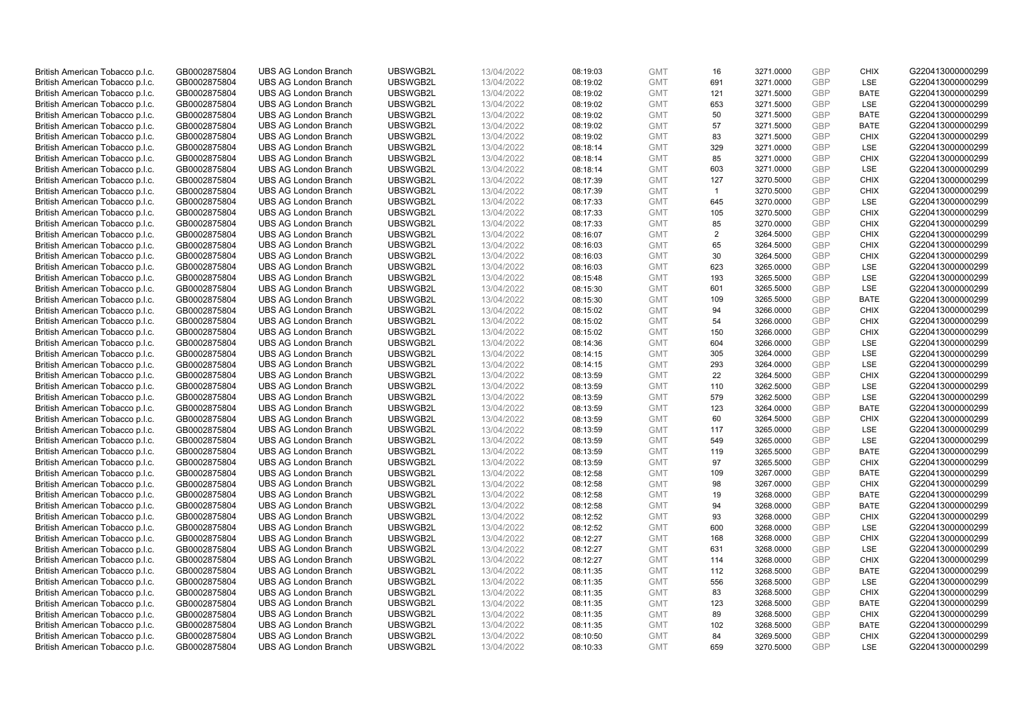| British American Tobacco p.l.c. | GB0002875804 | <b>UBS AG London Branch</b> | UBSWGB2L | 13/04/2022               | 08:19:03             | <b>GMT</b>               | 16             | 3271.0000 | <b>GBP</b> | <b>CHIX</b>               | G220413000000299 |
|---------------------------------|--------------|-----------------------------|----------|--------------------------|----------------------|--------------------------|----------------|-----------|------------|---------------------------|------------------|
| British American Tobacco p.l.c. | GB0002875804 | <b>UBS AG London Branch</b> | UBSWGB2L | 13/04/2022               | 08:19:02             | <b>GMT</b>               | 691            | 3271.0000 | <b>GBP</b> | LSE                       | G220413000000299 |
|                                 |              | <b>UBS AG London Branch</b> | UBSWGB2L |                          |                      | <b>GMT</b>               |                | 3271.5000 | <b>GBP</b> | <b>BATE</b>               | G220413000000299 |
| British American Tobacco p.l.c. | GB0002875804 |                             |          | 13/04/2022               | 08:19:02             |                          | 121            |           |            |                           |                  |
| British American Tobacco p.l.c. | GB0002875804 | <b>UBS AG London Branch</b> | UBSWGB2L | 13/04/2022               | 08:19:02             | <b>GMT</b>               | 653            | 3271.5000 | <b>GBP</b> | LSE                       | G220413000000299 |
| British American Tobacco p.l.c. | GB0002875804 | <b>UBS AG London Branch</b> | UBSWGB2L | 13/04/2022               | 08:19:02             | <b>GMT</b>               | 50             | 3271.5000 | <b>GBP</b> | <b>BATE</b>               | G220413000000299 |
| British American Tobacco p.l.c. | GB0002875804 | <b>UBS AG London Branch</b> | UBSWGB2L | 13/04/2022               | 08:19:02             | <b>GMT</b>               | 57             | 3271.5000 | <b>GBP</b> | BATE                      | G220413000000299 |
| British American Tobacco p.l.c. | GB0002875804 | <b>UBS AG London Branch</b> | UBSWGB2L | 13/04/2022               | 08:19:02             | <b>GMT</b>               | 83             | 3271.5000 | <b>GBP</b> | <b>CHIX</b>               | G220413000000299 |
| British American Tobacco p.l.c. | GB0002875804 | <b>UBS AG London Branch</b> | UBSWGB2L | 13/04/2022               | 08:18:14             | <b>GMT</b>               | 329            | 3271.0000 | <b>GBP</b> | LSE                       | G220413000000299 |
| British American Tobacco p.l.c. | GB0002875804 | <b>UBS AG London Branch</b> | UBSWGB2L | 13/04/2022               | 08:18:14             | <b>GMT</b>               | 85             | 3271.0000 | <b>GBP</b> | <b>CHIX</b>               | G220413000000299 |
| British American Tobacco p.l.c. | GB0002875804 | <b>UBS AG London Branch</b> | UBSWGB2L | 13/04/2022               | 08:18:14             | <b>GMT</b>               | 603            | 3271.0000 | <b>GBP</b> | LSE                       | G220413000000299 |
| British American Tobacco p.l.c. | GB0002875804 | <b>UBS AG London Branch</b> | UBSWGB2L | 13/04/2022               | 08:17:39             | <b>GMT</b>               | 127            | 3270.5000 | <b>GBP</b> | <b>CHIX</b>               | G220413000000299 |
| British American Tobacco p.l.c. | GB0002875804 | <b>UBS AG London Branch</b> | UBSWGB2L | 13/04/2022               | 08:17:39             | <b>GMT</b>               | $\overline{1}$ | 3270.5000 | <b>GBP</b> | <b>CHIX</b>               | G220413000000299 |
| British American Tobacco p.l.c. | GB0002875804 | <b>UBS AG London Branch</b> | UBSWGB2L | 13/04/2022               | 08:17:33             | <b>GMT</b>               | 645            | 3270.0000 | <b>GBP</b> | LSE                       | G220413000000299 |
| British American Tobacco p.l.c. | GB0002875804 | <b>UBS AG London Branch</b> | UBSWGB2L | 13/04/2022               | 08:17:33             | <b>GMT</b>               | 105            | 3270.5000 | <b>GBP</b> | <b>CHIX</b>               | G220413000000299 |
| British American Tobacco p.l.c. | GB0002875804 | <b>UBS AG London Branch</b> | UBSWGB2L | 13/04/2022               | 08:17:33             | <b>GMT</b>               | 85             | 3270.0000 | <b>GBP</b> | <b>CHIX</b>               | G220413000000299 |
| British American Tobacco p.l.c. | GB0002875804 | <b>UBS AG London Branch</b> | UBSWGB2L | 13/04/2022               | 08:16:07             | <b>GMT</b>               | 2              | 3264.5000 | <b>GBP</b> | <b>CHIX</b>               | G220413000000299 |
| British American Tobacco p.l.c. | GB0002875804 | <b>UBS AG London Branch</b> | UBSWGB2L | 13/04/2022               | 08:16:03             | <b>GMT</b>               | 65             | 3264.5000 | <b>GBP</b> | <b>CHIX</b>               | G220413000000299 |
| British American Tobacco p.l.c. | GB0002875804 | <b>UBS AG London Branch</b> | UBSWGB2L | 13/04/2022               | 08:16:03             | <b>GMT</b>               | 30             | 3264.5000 | <b>GBP</b> | <b>CHIX</b>               | G220413000000299 |
| British American Tobacco p.l.c. | GB0002875804 | <b>UBS AG London Branch</b> | UBSWGB2L | 13/04/2022               | 08:16:03             | <b>GMT</b>               | 623            | 3265.0000 | <b>GBP</b> | <b>LSE</b>                | G220413000000299 |
| British American Tobacco p.l.c. | GB0002875804 | <b>UBS AG London Branch</b> | UBSWGB2L | 13/04/2022               | 08:15:48             | <b>GMT</b>               | 193            | 3265.5000 | <b>GBP</b> | LSE                       | G220413000000299 |
| British American Tobacco p.l.c. | GB0002875804 | <b>UBS AG London Branch</b> | UBSWGB2L | 13/04/2022               | 08:15:30             | <b>GMT</b>               | 601            | 3265.5000 | <b>GBP</b> | LSE                       | G220413000000299 |
|                                 | GB0002875804 | <b>UBS AG London Branch</b> | UBSWGB2L | 13/04/2022               |                      | <b>GMT</b>               | 109            | 3265.5000 | <b>GBP</b> | <b>BATE</b>               | G220413000000299 |
| British American Tobacco p.l.c. |              |                             |          |                          | 08:15:30             |                          |                |           |            |                           |                  |
| British American Tobacco p.l.c. | GB0002875804 | <b>UBS AG London Branch</b> | UBSWGB2L | 13/04/2022               | 08:15:02             | <b>GMT</b>               | 94             | 3266.0000 | <b>GBP</b> | <b>CHIX</b>               | G220413000000299 |
| British American Tobacco p.l.c. | GB0002875804 | <b>UBS AG London Branch</b> | UBSWGB2L | 13/04/2022               | 08:15:02             | <b>GMT</b>               | 54             | 3266.0000 | <b>GBP</b> | <b>CHIX</b>               | G220413000000299 |
| British American Tobacco p.l.c. | GB0002875804 | <b>UBS AG London Branch</b> | UBSWGB2L | 13/04/2022               | 08:15:02             | <b>GMT</b>               | 150            | 3266.0000 | <b>GBP</b> | <b>CHIX</b>               | G220413000000299 |
| British American Tobacco p.l.c. | GB0002875804 | <b>UBS AG London Branch</b> | UBSWGB2L | 13/04/2022               | 08:14:36             | <b>GMT</b>               | 604            | 3266.0000 | <b>GBP</b> | LSE                       | G220413000000299 |
| British American Tobacco p.l.c. | GB0002875804 | <b>UBS AG London Branch</b> | UBSWGB2L | 13/04/2022               | 08:14:15             | <b>GMT</b>               | 305            | 3264.0000 | <b>GBP</b> | <b>LSE</b>                | G220413000000299 |
| British American Tobacco p.l.c. | GB0002875804 | <b>UBS AG London Branch</b> | UBSWGB2L | 13/04/2022               | 08:14:15             | <b>GMT</b>               | 293            | 3264.0000 | <b>GBP</b> | LSE                       | G220413000000299 |
| British American Tobacco p.l.c. | GB0002875804 | <b>UBS AG London Branch</b> | UBSWGB2L | 13/04/2022               | 08:13:59             | <b>GMT</b>               | 22             | 3264.5000 | <b>GBP</b> | <b>CHIX</b>               | G220413000000299 |
| British American Tobacco p.l.c. | GB0002875804 | <b>UBS AG London Branch</b> | UBSWGB2L | 13/04/2022               | 08:13:59             | <b>GMT</b>               | 110            | 3262.5000 | <b>GBP</b> | <b>LSE</b>                | G220413000000299 |
| British American Tobacco p.l.c. | GB0002875804 | <b>UBS AG London Branch</b> | UBSWGB2L | 13/04/2022               | 08:13:59             | <b>GMT</b>               | 579            | 3262.5000 | <b>GBP</b> | LSE                       | G220413000000299 |
| British American Tobacco p.l.c. | GB0002875804 | <b>UBS AG London Branch</b> | UBSWGB2L | 13/04/2022               | 08:13:59             | <b>GMT</b>               | 123            | 3264.0000 | <b>GBP</b> | BATE                      | G220413000000299 |
| British American Tobacco p.l.c. | GB0002875804 | <b>UBS AG London Branch</b> | UBSWGB2L | 13/04/2022               | 08:13:59             | <b>GMT</b>               | 60             | 3264.5000 | <b>GBP</b> | <b>CHIX</b>               | G220413000000299 |
| British American Tobacco p.l.c. | GB0002875804 | <b>UBS AG London Branch</b> | UBSWGB2L | 13/04/2022               | 08:13:59             | <b>GMT</b>               | 117            | 3265.0000 | <b>GBP</b> | LSE                       | G220413000000299 |
| British American Tobacco p.l.c. | GB0002875804 | <b>UBS AG London Branch</b> | UBSWGB2L | 13/04/2022               | 08:13:59             | <b>GMT</b>               | 549            | 3265.0000 | <b>GBP</b> | LSE                       | G220413000000299 |
| British American Tobacco p.l.c. | GB0002875804 | <b>UBS AG London Branch</b> | UBSWGB2L | 13/04/2022               | 08:13:59             | <b>GMT</b>               | 119            | 3265.5000 | <b>GBP</b> | <b>BATE</b>               | G220413000000299 |
| British American Tobacco p.l.c. | GB0002875804 | <b>UBS AG London Branch</b> | UBSWGB2L | 13/04/2022               | 08:13:59             | <b>GMT</b>               | 97             | 3265.5000 | <b>GBP</b> | <b>CHIX</b>               | G220413000000299 |
| British American Tobacco p.l.c. | GB0002875804 | <b>UBS AG London Branch</b> | UBSWGB2L | 13/04/2022               | 08:12:58             | <b>GMT</b>               | 109            | 3267.0000 | <b>GBP</b> | <b>BATE</b>               | G220413000000299 |
| British American Tobacco p.l.c. | GB0002875804 | <b>UBS AG London Branch</b> | UBSWGB2L | 13/04/2022               | 08:12:58             | <b>GMT</b>               | 98             | 3267.0000 | <b>GBP</b> | <b>CHIX</b>               | G220413000000299 |
| British American Tobacco p.l.c. | GB0002875804 | <b>UBS AG London Branch</b> | UBSWGB2L | 13/04/2022               | 08:12:58             | <b>GMT</b>               | 19             | 3268.0000 | <b>GBP</b> | <b>BATE</b>               | G220413000000299 |
| British American Tobacco p.l.c. | GB0002875804 | <b>UBS AG London Branch</b> | UBSWGB2L | 13/04/2022               | 08:12:58             | <b>GMT</b>               | 94             | 3268.0000 | <b>GBP</b> | <b>BATE</b>               | G220413000000299 |
| British American Tobacco p.l.c. | GB0002875804 | <b>UBS AG London Branch</b> | UBSWGB2L | 13/04/2022               | 08:12:52             | <b>GMT</b>               | 93             | 3268.0000 | <b>GBP</b> | <b>CHIX</b>               | G220413000000299 |
| British American Tobacco p.l.c. | GB0002875804 | <b>UBS AG London Branch</b> | UBSWGB2L | 13/04/2022               | 08:12:52             | <b>GMT</b>               | 600            | 3268.0000 | <b>GBP</b> | LSE                       | G220413000000299 |
| British American Tobacco p.l.c. | GB0002875804 | <b>UBS AG London Branch</b> | UBSWGB2L | 13/04/2022               | 08:12:27             | <b>GMT</b>               | 168            | 3268.0000 | <b>GBP</b> | <b>CHIX</b>               | G220413000000299 |
| British American Tobacco p.l.c. | GB0002875804 | UBS AG London Branch        | UBSWGB2L | 13/04/2022               | 08:12:27             | <b>GMT</b>               | 631            | 3268.0000 | <b>GBP</b> | LSE                       | G220413000000299 |
| British American Tobacco p.l.c. | GB0002875804 | <b>UBS AG London Branch</b> | UBSWGB2L | 13/04/2022               | 08:12:27             | <b>GMT</b>               | 114            | 3268.0000 | <b>GBP</b> | <b>CHIX</b>               | G220413000000299 |
| British American Tobacco p.l.c. | GB0002875804 | <b>UBS AG London Branch</b> | UBSWGB2L | 13/04/2022               | 08:11:35             | <b>GMT</b>               | 112            | 3268.5000 | <b>GBP</b> | <b>BATE</b>               | G220413000000299 |
| British American Tobacco p.l.c. | GB0002875804 | <b>UBS AG London Branch</b> | UBSWGB2L | 13/04/2022               | 08:11:35             | <b>GMT</b>               | 556            | 3268.5000 | <b>GBP</b> | LSE                       | G220413000000299 |
| British American Tobacco p.l.c. | GB0002875804 | <b>UBS AG London Branch</b> | UBSWGB2L | 13/04/2022               | 08:11:35             | <b>GMT</b>               | 83             | 3268.5000 | <b>GBP</b> | <b>CHIX</b>               | G220413000000299 |
| British American Tobacco p.l.c. | GB0002875804 | <b>UBS AG London Branch</b> | UBSWGB2L | 13/04/2022               | 08:11:35             | <b>GMT</b>               | 123            | 3268.5000 | <b>GBP</b> | <b>BATE</b>               | G220413000000299 |
| British American Tobacco p.l.c. | GB0002875804 | <b>UBS AG London Branch</b> | UBSWGB2L |                          |                      | <b>GMT</b>               | 89             | 3268.5000 | <b>GBP</b> | <b>CHIX</b>               | G220413000000299 |
| British American Tobacco p.l.c. | GB0002875804 | <b>UBS AG London Branch</b> | UBSWGB2L | 13/04/2022<br>13/04/2022 | 08:11:35<br>08:11:35 | <b>GMT</b>               | 102            | 3268.5000 | <b>GBP</b> | <b>BATE</b>               | G220413000000299 |
|                                 | GB0002875804 |                             |          |                          |                      |                          |                |           | <b>GBP</b> |                           | G220413000000299 |
| British American Tobacco p.l.c. |              | <b>UBS AG London Branch</b> | UBSWGB2L | 13/04/2022               | 08:10:50             | <b>GMT</b><br><b>GMT</b> | 84<br>659      | 3269.5000 | GBP        | <b>CHIX</b><br><b>LSE</b> |                  |
| British American Tobacco p.l.c. | GB0002875804 | <b>UBS AG London Branch</b> | UBSWGB2L | 13/04/2022               | 08:10:33             |                          |                | 3270.5000 |            |                           | G220413000000299 |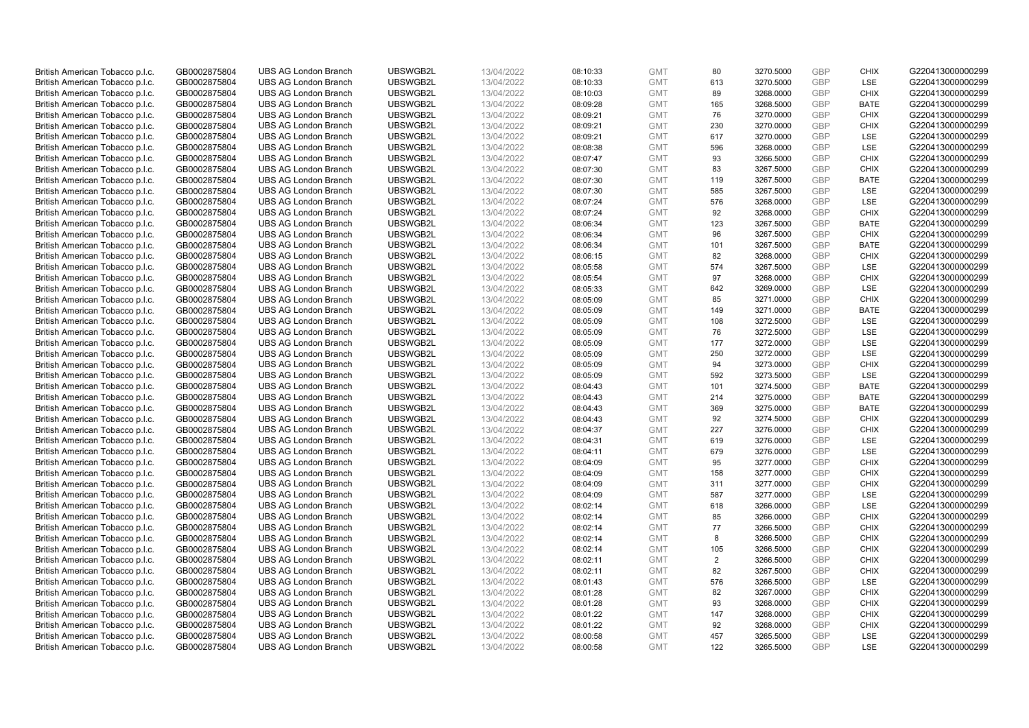| British American Tobacco p.l.c. | GB0002875804                 | <b>UBS AG London Branch</b> | UBSWGB2L | 13/04/2022               | 08:10:33 | <b>GMT</b> | 80  | 3270.5000 | <b>GBP</b> | <b>CHIX</b> | G220413000000299 |
|---------------------------------|------------------------------|-----------------------------|----------|--------------------------|----------|------------|-----|-----------|------------|-------------|------------------|
| British American Tobacco p.l.c. | GB0002875804                 | <b>UBS AG London Branch</b> | UBSWGB2L | 13/04/2022               | 08:10:33 | <b>GMT</b> | 613 | 3270.5000 | <b>GBP</b> | LSE         | G220413000000299 |
|                                 |                              | <b>UBS AG London Branch</b> | UBSWGB2L |                          |          | <b>GMT</b> | 89  | 3268.0000 | <b>GBP</b> | <b>CHIX</b> | G220413000000299 |
| British American Tobacco p.l.c. | GB0002875804                 |                             |          | 13/04/2022               | 08:10:03 |            |     |           |            |             |                  |
| British American Tobacco p.l.c. | GB0002875804                 | <b>UBS AG London Branch</b> | UBSWGB2L | 13/04/2022               | 08:09:28 | <b>GMT</b> | 165 | 3268.5000 | <b>GBP</b> | <b>BATE</b> | G220413000000299 |
| British American Tobacco p.l.c. | GB0002875804                 | <b>UBS AG London Branch</b> | UBSWGB2L | 13/04/2022               | 08:09:21 | <b>GMT</b> | 76  | 3270.0000 | <b>GBP</b> | <b>CHIX</b> | G220413000000299 |
| British American Tobacco p.l.c. | GB0002875804                 | <b>UBS AG London Branch</b> | UBSWGB2L | 13/04/2022               | 08:09:21 | <b>GMT</b> | 230 | 3270.0000 | <b>GBP</b> | <b>CHIX</b> | G220413000000299 |
| British American Tobacco p.l.c. | GB0002875804                 | <b>UBS AG London Branch</b> | UBSWGB2L | 13/04/2022               | 08:09:21 | <b>GMT</b> | 617 | 3270.0000 | <b>GBP</b> | LSE         | G220413000000299 |
| British American Tobacco p.l.c. | GB0002875804                 | <b>UBS AG London Branch</b> | UBSWGB2L | 13/04/2022               | 08:08:38 | <b>GMT</b> | 596 | 3268.0000 | <b>GBP</b> | LSE         | G220413000000299 |
| British American Tobacco p.l.c. | GB0002875804                 | <b>UBS AG London Branch</b> | UBSWGB2L | 13/04/2022               | 08:07:47 | <b>GMT</b> | 93  | 3266.5000 | <b>GBP</b> | <b>CHIX</b> | G220413000000299 |
| British American Tobacco p.l.c. | GB0002875804                 | <b>UBS AG London Branch</b> | UBSWGB2L | 13/04/2022               | 08:07:30 | <b>GMT</b> | 83  | 3267.5000 | <b>GBP</b> | <b>CHIX</b> | G220413000000299 |
| British American Tobacco p.l.c. | GB0002875804                 | <b>UBS AG London Branch</b> | UBSWGB2L | 13/04/2022               | 08:07:30 | <b>GMT</b> | 119 | 3267.5000 | <b>GBP</b> | <b>BATE</b> | G220413000000299 |
| British American Tobacco p.l.c. | GB0002875804                 | <b>UBS AG London Branch</b> | UBSWGB2L | 13/04/2022               | 08:07:30 | <b>GMT</b> | 585 | 3267.5000 | <b>GBP</b> | LSE         | G220413000000299 |
| British American Tobacco p.l.c. | GB0002875804                 | <b>UBS AG London Branch</b> | UBSWGB2L | 13/04/2022               | 08:07:24 | <b>GMT</b> | 576 | 3268.0000 | <b>GBP</b> | LSE         | G220413000000299 |
| British American Tobacco p.l.c. | GB0002875804                 | <b>UBS AG London Branch</b> | UBSWGB2L | 13/04/2022               | 08:07:24 | <b>GMT</b> | 92  | 3268.0000 | <b>GBP</b> | <b>CHIX</b> | G220413000000299 |
| British American Tobacco p.l.c. | GB0002875804                 | <b>UBS AG London Branch</b> | UBSWGB2L | 13/04/2022               | 08:06:34 | <b>GMT</b> | 123 | 3267.5000 | <b>GBP</b> | <b>BATE</b> | G220413000000299 |
| British American Tobacco p.l.c. | GB0002875804                 | <b>UBS AG London Branch</b> | UBSWGB2L | 13/04/2022               | 08:06:34 | <b>GMT</b> | 96  | 3267.5000 | <b>GBP</b> | <b>CHIX</b> | G220413000000299 |
| British American Tobacco p.l.c. | GB0002875804                 | <b>UBS AG London Branch</b> | UBSWGB2L | 13/04/2022               | 08:06:34 | <b>GMT</b> | 101 | 3267.5000 | <b>GBP</b> | <b>BATE</b> | G220413000000299 |
| British American Tobacco p.l.c. | GB0002875804                 | <b>UBS AG London Branch</b> | UBSWGB2L | 13/04/2022               | 08:06:15 | <b>GMT</b> | 82  | 3268.0000 | <b>GBP</b> | <b>CHIX</b> | G220413000000299 |
|                                 |                              | <b>UBS AG London Branch</b> | UBSWGB2L |                          | 08:05:58 | <b>GMT</b> | 574 | 3267.5000 | <b>GBP</b> | <b>LSE</b>  | G220413000000299 |
| British American Tobacco p.l.c. | GB0002875804<br>GB0002875804 | <b>UBS AG London Branch</b> | UBSWGB2L | 13/04/2022<br>13/04/2022 |          | <b>GMT</b> | 97  | 3268.0000 | <b>GBP</b> | <b>CHIX</b> | G220413000000299 |
| British American Tobacco p.l.c. |                              |                             |          |                          | 08:05:54 |            |     |           |            |             |                  |
| British American Tobacco p.l.c. | GB0002875804                 | <b>UBS AG London Branch</b> | UBSWGB2L | 13/04/2022               | 08:05:33 | <b>GMT</b> | 642 | 3269.0000 | <b>GBP</b> | LSE         | G220413000000299 |
| British American Tobacco p.l.c. | GB0002875804                 | <b>UBS AG London Branch</b> | UBSWGB2L | 13/04/2022               | 08:05:09 | <b>GMT</b> | 85  | 3271.0000 | <b>GBP</b> | <b>CHIX</b> | G220413000000299 |
| British American Tobacco p.l.c. | GB0002875804                 | <b>UBS AG London Branch</b> | UBSWGB2L | 13/04/2022               | 08:05:09 | <b>GMT</b> | 149 | 3271.0000 | <b>GBP</b> | <b>BATE</b> | G220413000000299 |
| British American Tobacco p.l.c. | GB0002875804                 | <b>UBS AG London Branch</b> | UBSWGB2L | 13/04/2022               | 08:05:09 | <b>GMT</b> | 108 | 3272.5000 | <b>GBP</b> | <b>LSE</b>  | G220413000000299 |
| British American Tobacco p.l.c. | GB0002875804                 | <b>UBS AG London Branch</b> | UBSWGB2L | 13/04/2022               | 08:05:09 | <b>GMT</b> | 76  | 3272.5000 | <b>GBP</b> | LSE         | G220413000000299 |
| British American Tobacco p.l.c. | GB0002875804                 | <b>UBS AG London Branch</b> | UBSWGB2L | 13/04/2022               | 08:05:09 | <b>GMT</b> | 177 | 3272.0000 | <b>GBP</b> | LSE         | G220413000000299 |
| British American Tobacco p.l.c. | GB0002875804                 | <b>UBS AG London Branch</b> | UBSWGB2L | 13/04/2022               | 08:05:09 | <b>GMT</b> | 250 | 3272.0000 | <b>GBP</b> | LSE         | G220413000000299 |
| British American Tobacco p.l.c. | GB0002875804                 | <b>UBS AG London Branch</b> | UBSWGB2L | 13/04/2022               | 08:05:09 | <b>GMT</b> | 94  | 3273.0000 | <b>GBP</b> | <b>CHIX</b> | G220413000000299 |
| British American Tobacco p.l.c. | GB0002875804                 | <b>UBS AG London Branch</b> | UBSWGB2L | 13/04/2022               | 08:05:09 | <b>GMT</b> | 592 | 3273.5000 | <b>GBP</b> | <b>LSE</b>  | G220413000000299 |
| British American Tobacco p.l.c. | GB0002875804                 | <b>UBS AG London Branch</b> | UBSWGB2L | 13/04/2022               | 08:04:43 | <b>GMT</b> | 101 | 3274.5000 | <b>GBP</b> | <b>BATE</b> | G220413000000299 |
| British American Tobacco p.l.c. | GB0002875804                 | <b>UBS AG London Branch</b> | UBSWGB2L | 13/04/2022               | 08:04:43 | <b>GMT</b> | 214 | 3275.0000 | <b>GBP</b> | <b>BATE</b> | G220413000000299 |
| British American Tobacco p.l.c. | GB0002875804                 | <b>UBS AG London Branch</b> | UBSWGB2L | 13/04/2022               | 08:04:43 | <b>GMT</b> | 369 | 3275.0000 | <b>GBP</b> | BATE        | G220413000000299 |
| British American Tobacco p.l.c. | GB0002875804                 | <b>UBS AG London Branch</b> | UBSWGB2L | 13/04/2022               | 08:04:43 | <b>GMT</b> | 92  | 3274.5000 | <b>GBP</b> | <b>CHIX</b> | G220413000000299 |
| British American Tobacco p.l.c. | GB0002875804                 | <b>UBS AG London Branch</b> | UBSWGB2L | 13/04/2022               | 08:04:37 | <b>GMT</b> | 227 | 3276.0000 | <b>GBP</b> | <b>CHIX</b> | G220413000000299 |
| British American Tobacco p.l.c. | GB0002875804                 | <b>UBS AG London Branch</b> | UBSWGB2L | 13/04/2022               | 08:04:31 | <b>GMT</b> | 619 | 3276.0000 | <b>GBP</b> | LSE         | G220413000000299 |
| British American Tobacco p.l.c. | GB0002875804                 | <b>UBS AG London Branch</b> | UBSWGB2L | 13/04/2022               | 08:04:11 | <b>GMT</b> | 679 | 3276.0000 | <b>GBP</b> | LSE         | G220413000000299 |
| British American Tobacco p.l.c. | GB0002875804                 | <b>UBS AG London Branch</b> | UBSWGB2L | 13/04/2022               | 08:04:09 | <b>GMT</b> | 95  | 3277.0000 | <b>GBP</b> | <b>CHIX</b> | G220413000000299 |
| British American Tobacco p.l.c. | GB0002875804                 | <b>UBS AG London Branch</b> | UBSWGB2L | 13/04/2022               | 08:04:09 | <b>GMT</b> | 158 | 3277.0000 | <b>GBP</b> | <b>CHIX</b> | G220413000000299 |
| British American Tobacco p.l.c. | GB0002875804                 | <b>UBS AG London Branch</b> | UBSWGB2L | 13/04/2022               | 08:04:09 | <b>GMT</b> | 311 | 3277.0000 | <b>GBP</b> | <b>CHIX</b> | G220413000000299 |
| British American Tobacco p.l.c. | GB0002875804                 | <b>UBS AG London Branch</b> | UBSWGB2L | 13/04/2022               | 08:04:09 | <b>GMT</b> | 587 | 3277.0000 | <b>GBP</b> | <b>LSE</b>  | G220413000000299 |
| British American Tobacco p.l.c. | GB0002875804                 | <b>UBS AG London Branch</b> | UBSWGB2L | 13/04/2022               | 08:02:14 | <b>GMT</b> | 618 | 3266.0000 | <b>GBP</b> | LSE         | G220413000000299 |
| British American Tobacco p.l.c. | GB0002875804                 | <b>UBS AG London Branch</b> | UBSWGB2L | 13/04/2022               | 08:02:14 | <b>GMT</b> | 85  | 3266.0000 | <b>GBP</b> | <b>CHIX</b> | G220413000000299 |
| British American Tobacco p.l.c. | GB0002875804                 | <b>UBS AG London Branch</b> | UBSWGB2L | 13/04/2022               | 08:02:14 | <b>GMT</b> | 77  | 3266.5000 | <b>GBP</b> | <b>CHIX</b> | G220413000000299 |
| British American Tobacco p.l.c. | GB0002875804                 | <b>UBS AG London Branch</b> | UBSWGB2L | 13/04/2022               | 08:02:14 | <b>GMT</b> | 8   | 3266.5000 | <b>GBP</b> | <b>CHIX</b> | G220413000000299 |
| British American Tobacco p.l.c. | GB0002875804                 | UBS AG London Branch        | UBSWGB2L | 13/04/2022               | 08:02:14 | <b>GMT</b> | 105 | 3266.5000 | <b>GBP</b> | <b>CHIX</b> | G220413000000299 |
| British American Tobacco p.l.c. | GB0002875804                 | <b>UBS AG London Branch</b> | UBSWGB2L | 13/04/2022               | 08:02:11 | <b>GMT</b> | 2   | 3266.5000 | <b>GBP</b> | <b>CHIX</b> | G220413000000299 |
| British American Tobacco p.l.c. | GB0002875804                 | <b>UBS AG London Branch</b> | UBSWGB2L | 13/04/2022               | 08:02:11 | <b>GMT</b> | 82  | 3267.5000 | <b>GBP</b> | <b>CHIX</b> | G220413000000299 |
| British American Tobacco p.l.c. | GB0002875804                 | <b>UBS AG London Branch</b> | UBSWGB2L | 13/04/2022               | 08:01:43 | <b>GMT</b> | 576 | 3266.5000 | <b>GBP</b> | LSE         | G220413000000299 |
|                                 |                              |                             |          |                          |          | <b>GMT</b> |     |           | <b>GBP</b> |             |                  |
| British American Tobacco p.l.c. | GB0002875804                 | <b>UBS AG London Branch</b> | UBSWGB2L | 13/04/2022               | 08:01:28 |            | 82  | 3267.0000 |            | <b>CHIX</b> | G220413000000299 |
| British American Tobacco p.l.c. | GB0002875804                 | <b>UBS AG London Branch</b> | UBSWGB2L | 13/04/2022               | 08:01:28 | <b>GMT</b> | 93  | 3268.0000 | <b>GBP</b> | <b>CHIX</b> | G220413000000299 |
| British American Tobacco p.l.c. | GB0002875804                 | <b>UBS AG London Branch</b> | UBSWGB2L | 13/04/2022               | 08:01:22 | <b>GMT</b> | 147 | 3268.0000 | <b>GBP</b> | <b>CHIX</b> | G220413000000299 |
| British American Tobacco p.l.c. | GB0002875804                 | <b>UBS AG London Branch</b> | UBSWGB2L | 13/04/2022               | 08:01:22 | <b>GMT</b> | 92  | 3268.0000 | <b>GBP</b> | <b>CHIX</b> | G220413000000299 |
| British American Tobacco p.l.c. | GB0002875804                 | <b>UBS AG London Branch</b> | UBSWGB2L | 13/04/2022               | 08:00:58 | <b>GMT</b> | 457 | 3265.5000 | <b>GBP</b> | <b>LSE</b>  | G220413000000299 |
| British American Tobacco p.l.c. | GB0002875804                 | <b>UBS AG London Branch</b> | UBSWGB2L | 13/04/2022               | 08:00:58 | <b>GMT</b> | 122 | 3265.5000 | GBP        | <b>LSE</b>  | G220413000000299 |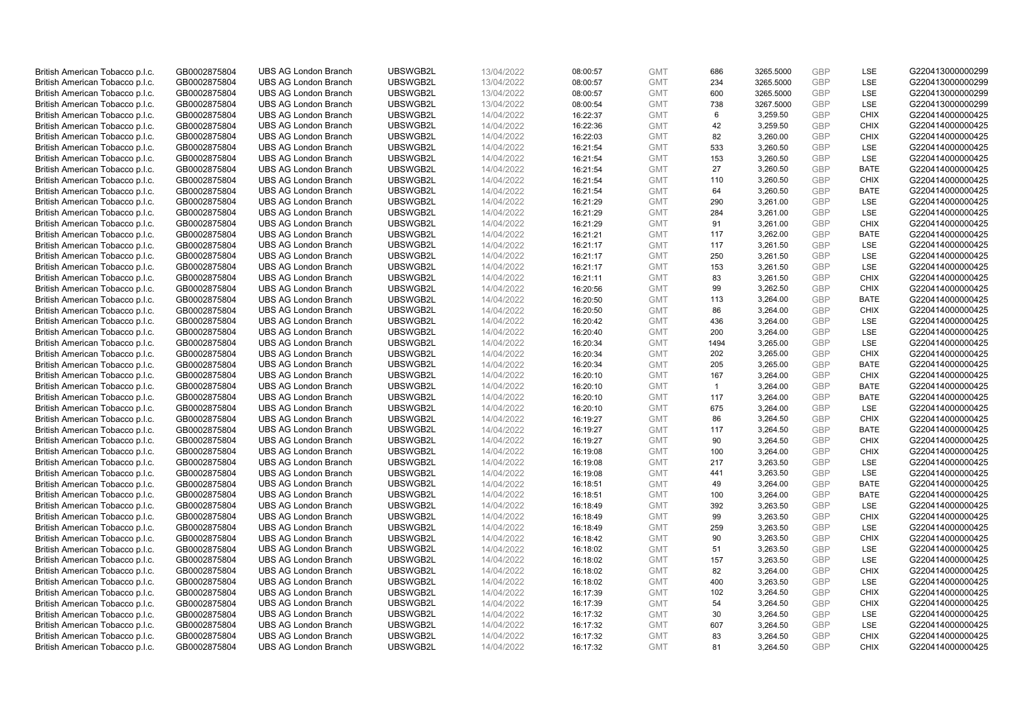| British American Tobacco p.l.c. | GB0002875804 | <b>UBS AG London Branch</b> | UBSWGB2L | 13/04/2022 | 08:00:57 | <b>GMT</b> | 686            | 3265.5000 | <b>GBP</b> | <b>LSE</b>  | G220413000000299 |
|---------------------------------|--------------|-----------------------------|----------|------------|----------|------------|----------------|-----------|------------|-------------|------------------|
| British American Tobacco p.l.c. | GB0002875804 | <b>UBS AG London Branch</b> | UBSWGB2L | 13/04/2022 | 08:00:57 | <b>GMT</b> | 234            | 3265.5000 | <b>GBP</b> | LSE         | G220413000000299 |
| British American Tobacco p.l.c. | GB0002875804 | <b>UBS AG London Branch</b> | UBSWGB2L | 13/04/2022 | 08:00:57 | <b>GMT</b> | 600            | 3265.5000 | <b>GBP</b> | LSE         | G220413000000299 |
| British American Tobacco p.l.c. | GB0002875804 | <b>UBS AG London Branch</b> | UBSWGB2L | 13/04/2022 | 08:00:54 | <b>GMT</b> | 738            | 3267.5000 | <b>GBP</b> | LSE         | G220413000000299 |
| British American Tobacco p.l.c. | GB0002875804 | <b>UBS AG London Branch</b> | UBSWGB2L | 14/04/2022 | 16:22:37 | <b>GMT</b> | 6              | 3,259.50  | <b>GBP</b> | <b>CHIX</b> | G220414000000425 |
|                                 |              | <b>UBS AG London Branch</b> |          |            |          |            |                |           |            |             |                  |
| British American Tobacco p.l.c. | GB0002875804 |                             | UBSWGB2L | 14/04/2022 | 16:22:36 | <b>GMT</b> | 42             | 3,259.50  | <b>GBP</b> | <b>CHIX</b> | G220414000000425 |
| British American Tobacco p.l.c. | GB0002875804 | <b>UBS AG London Branch</b> | UBSWGB2L | 14/04/2022 | 16:22:03 | <b>GMT</b> | 82             | 3,260.00  | <b>GBP</b> | <b>CHIX</b> | G220414000000425 |
| British American Tobacco p.l.c. | GB0002875804 | <b>UBS AG London Branch</b> | UBSWGB2L | 14/04/2022 | 16:21:54 | <b>GMT</b> | 533            | 3,260.50  | <b>GBP</b> | <b>LSE</b>  | G220414000000425 |
| British American Tobacco p.l.c. | GB0002875804 | <b>UBS AG London Branch</b> | UBSWGB2L | 14/04/2022 | 16:21:54 | <b>GMT</b> | 153            | 3,260.50  | <b>GBP</b> | LSE         | G220414000000425 |
| British American Tobacco p.l.c. | GB0002875804 | <b>UBS AG London Branch</b> | UBSWGB2L | 14/04/2022 | 16:21:54 | <b>GMT</b> | 27             | 3,260.50  | <b>GBP</b> | <b>BATE</b> | G220414000000425 |
| British American Tobacco p.l.c. | GB0002875804 | <b>UBS AG London Branch</b> | UBSWGB2L | 14/04/2022 | 16:21:54 | <b>GMT</b> | 110            | 3,260.50  | <b>GBP</b> | <b>CHIX</b> | G220414000000425 |
| British American Tobacco p.l.c. | GB0002875804 | <b>UBS AG London Branch</b> | UBSWGB2L | 14/04/2022 | 16:21:54 | <b>GMT</b> | 64             | 3,260.50  | <b>GBP</b> | <b>BATE</b> | G220414000000425 |
| British American Tobacco p.l.c. | GB0002875804 | <b>UBS AG London Branch</b> | UBSWGB2L | 14/04/2022 | 16:21:29 | <b>GMT</b> | 290            | 3,261.00  | <b>GBP</b> | LSE         | G220414000000425 |
| British American Tobacco p.l.c. | GB0002875804 | <b>UBS AG London Branch</b> | UBSWGB2L | 14/04/2022 | 16:21:29 | <b>GMT</b> | 284            | 3,261.00  | <b>GBP</b> | <b>LSE</b>  | G220414000000425 |
| British American Tobacco p.l.c. | GB0002875804 | <b>UBS AG London Branch</b> | UBSWGB2L | 14/04/2022 | 16:21:29 | <b>GMT</b> | 91             | 3,261.00  | <b>GBP</b> | <b>CHIX</b> | G220414000000425 |
| British American Tobacco p.l.c. | GB0002875804 | <b>UBS AG London Branch</b> | UBSWGB2L | 14/04/2022 | 16:21:21 | <b>GMT</b> | 117            | 3,262.00  | <b>GBP</b> | <b>BATE</b> | G220414000000425 |
| British American Tobacco p.l.c. | GB0002875804 | <b>UBS AG London Branch</b> | UBSWGB2L | 14/04/2022 | 16:21:17 | <b>GMT</b> | 117            | 3,261.50  | <b>GBP</b> | LSE         | G220414000000425 |
| British American Tobacco p.l.c. | GB0002875804 | <b>UBS AG London Branch</b> | UBSWGB2L | 14/04/2022 | 16:21:17 | <b>GMT</b> | 250            | 3,261.50  | <b>GBP</b> | LSE         | G220414000000425 |
| British American Tobacco p.l.c. | GB0002875804 | <b>UBS AG London Branch</b> | UBSWGB2L | 14/04/2022 | 16:21:17 | <b>GMT</b> | 153            | 3,261.50  | <b>GBP</b> | <b>LSE</b>  | G220414000000425 |
| British American Tobacco p.l.c. | GB0002875804 | <b>UBS AG London Branch</b> | UBSWGB2L | 14/04/2022 | 16:21:11 | <b>GMT</b> | 83             | 3,261.50  | <b>GBP</b> | <b>CHIX</b> | G220414000000425 |
| British American Tobacco p.l.c. | GB0002875804 | <b>UBS AG London Branch</b> | UBSWGB2L | 14/04/2022 | 16:20:56 | <b>GMT</b> | 99             | 3,262.50  | <b>GBP</b> | <b>CHIX</b> | G220414000000425 |
| British American Tobacco p.l.c. | GB0002875804 | <b>UBS AG London Branch</b> | UBSWGB2L | 14/04/2022 | 16:20:50 | <b>GMT</b> | 113            | 3,264.00  | <b>GBP</b> | <b>BATE</b> | G220414000000425 |
| British American Tobacco p.l.c. | GB0002875804 | <b>UBS AG London Branch</b> | UBSWGB2L | 14/04/2022 | 16:20:50 | <b>GMT</b> | 86             | 3,264.00  | <b>GBP</b> | <b>CHIX</b> | G220414000000425 |
| British American Tobacco p.l.c. | GB0002875804 | <b>UBS AG London Branch</b> | UBSWGB2L | 14/04/2022 | 16:20:42 | <b>GMT</b> | 436            | 3,264.00  | <b>GBP</b> | <b>LSE</b>  | G220414000000425 |
| British American Tobacco p.l.c. | GB0002875804 | <b>UBS AG London Branch</b> | UBSWGB2L | 14/04/2022 | 16:20:40 | <b>GMT</b> | 200            | 3,264.00  | <b>GBP</b> | LSE         | G220414000000425 |
| British American Tobacco p.l.c. | GB0002875804 | <b>UBS AG London Branch</b> | UBSWGB2L | 14/04/2022 | 16:20:34 | <b>GMT</b> | 1494           | 3,265.00  | <b>GBP</b> | LSE         | G220414000000425 |
| British American Tobacco p.l.c. | GB0002875804 | <b>UBS AG London Branch</b> | UBSWGB2L | 14/04/2022 | 16:20:34 | <b>GMT</b> | 202            | 3,265.00  | <b>GBP</b> | <b>CHIX</b> | G220414000000425 |
| British American Tobacco p.l.c. | GB0002875804 | <b>UBS AG London Branch</b> | UBSWGB2L | 14/04/2022 | 16:20:34 | <b>GMT</b> | 205            | 3,265.00  | <b>GBP</b> | <b>BATE</b> | G220414000000425 |
| British American Tobacco p.l.c. | GB0002875804 | <b>UBS AG London Branch</b> | UBSWGB2L | 14/04/2022 | 16:20:10 | <b>GMT</b> | 167            | 3,264.00  | <b>GBP</b> | <b>CHIX</b> | G220414000000425 |
| British American Tobacco p.l.c. | GB0002875804 | <b>UBS AG London Branch</b> | UBSWGB2L | 14/04/2022 | 16:20:10 | <b>GMT</b> | $\overline{1}$ | 3,264.00  | <b>GBP</b> | <b>BATE</b> | G220414000000425 |
| British American Tobacco p.l.c. | GB0002875804 | <b>UBS AG London Branch</b> | UBSWGB2L | 14/04/2022 | 16:20:10 | <b>GMT</b> | 117            | 3,264.00  | <b>GBP</b> | <b>BATE</b> | G220414000000425 |
| British American Tobacco p.l.c. | GB0002875804 | <b>UBS AG London Branch</b> | UBSWGB2L | 14/04/2022 | 16:20:10 | <b>GMT</b> | 675            | 3,264.00  | <b>GBP</b> | LSE         | G220414000000425 |
| British American Tobacco p.l.c. | GB0002875804 | <b>UBS AG London Branch</b> | UBSWGB2L | 14/04/2022 | 16:19:27 | <b>GMT</b> | 86             | 3,264.50  | <b>GBP</b> | <b>CHIX</b> | G220414000000425 |
| British American Tobacco p.l.c. | GB0002875804 | <b>UBS AG London Branch</b> | UBSWGB2L | 14/04/2022 | 16:19:27 | <b>GMT</b> | 117            | 3,264.50  | <b>GBP</b> | <b>BATE</b> | G220414000000425 |
| British American Tobacco p.l.c. | GB0002875804 | <b>UBS AG London Branch</b> | UBSWGB2L | 14/04/2022 | 16:19:27 | <b>GMT</b> | 90             | 3,264.50  | <b>GBP</b> | <b>CHIX</b> | G220414000000425 |
| British American Tobacco p.l.c. | GB0002875804 | <b>UBS AG London Branch</b> | UBSWGB2L | 14/04/2022 | 16:19:08 | <b>GMT</b> | 100            | 3,264.00  | <b>GBP</b> | <b>CHIX</b> | G220414000000425 |
| British American Tobacco p.l.c. | GB0002875804 | <b>UBS AG London Branch</b> | UBSWGB2L | 14/04/2022 | 16:19:08 | <b>GMT</b> | 217            | 3,263.50  | <b>GBP</b> | <b>LSE</b>  | G220414000000425 |
| British American Tobacco p.l.c. | GB0002875804 | <b>UBS AG London Branch</b> | UBSWGB2L | 14/04/2022 | 16:19:08 | <b>GMT</b> | 441            | 3,263.50  | <b>GBP</b> | LSE         | G220414000000425 |
| British American Tobacco p.l.c. | GB0002875804 | <b>UBS AG London Branch</b> | UBSWGB2L | 14/04/2022 | 16:18:51 | <b>GMT</b> | 49             | 3,264.00  | <b>GBP</b> | <b>BATE</b> | G220414000000425 |
| British American Tobacco p.l.c. | GB0002875804 | <b>UBS AG London Branch</b> | UBSWGB2L | 14/04/2022 | 16:18:51 | <b>GMT</b> | 100            | 3,264.00  | <b>GBP</b> | <b>BATE</b> | G220414000000425 |
| British American Tobacco p.l.c. | GB0002875804 | <b>UBS AG London Branch</b> | UBSWGB2L | 14/04/2022 |          | <b>GMT</b> | 392            | 3,263.50  | <b>GBP</b> | <b>LSE</b>  | G220414000000425 |
|                                 |              |                             | UBSWGB2L |            | 16:18:49 |            | 99             |           |            | <b>CHIX</b> |                  |
| British American Tobacco p.l.c. | GB0002875804 | <b>UBS AG London Branch</b> |          | 14/04/2022 | 16:18:49 | <b>GMT</b> |                | 3,263.50  | <b>GBP</b> |             | G220414000000425 |
| British American Tobacco p.l.c. | GB0002875804 | <b>UBS AG London Branch</b> | UBSWGB2L | 14/04/2022 | 16:18:49 | <b>GMT</b> | 259            | 3,263.50  | <b>GBP</b> | LSE         | G220414000000425 |
| British American Tobacco p.l.c. | GB0002875804 | <b>UBS AG London Branch</b> | UBSWGB2L | 14/04/2022 | 16:18:42 | <b>GMT</b> | 90             | 3,263.50  | <b>GBP</b> | <b>CHIX</b> | G220414000000425 |
| British American Tobacco p.l.c. | GB0002875804 | UBS AG London Branch        | UBSWGB2L | 14/04/2022 | 16:18:02 | <b>GMT</b> | 51             | 3,263.50  | <b>GBP</b> | <b>LSE</b>  | G220414000000425 |
| British American Tobacco p.l.c. | GB0002875804 | <b>UBS AG London Branch</b> | UBSWGB2L | 14/04/2022 | 16:18:02 | <b>GMT</b> | 157            | 3,263.50  | <b>GBP</b> | LSE         | G220414000000425 |
| British American Tobacco p.l.c. | GB0002875804 | <b>UBS AG London Branch</b> | UBSWGB2L | 14/04/2022 | 16:18:02 | <b>GMT</b> | 82             | 3,264.00  | <b>GBP</b> | <b>CHIX</b> | G220414000000425 |
| British American Tobacco p.l.c. | GB0002875804 | <b>UBS AG London Branch</b> | UBSWGB2L | 14/04/2022 | 16:18:02 | <b>GMT</b> | 400            | 3,263.50  | <b>GBP</b> | LSE         | G220414000000425 |
| British American Tobacco p.l.c. | GB0002875804 | <b>UBS AG London Branch</b> | UBSWGB2L | 14/04/2022 | 16:17:39 | <b>GMT</b> | 102            | 3,264.50  | <b>GBP</b> | <b>CHIX</b> | G220414000000425 |
| British American Tobacco p.l.c. | GB0002875804 | <b>UBS AG London Branch</b> | UBSWGB2L | 14/04/2022 | 16:17:39 | <b>GMT</b> | 54             | 3,264.50  | <b>GBP</b> | <b>CHIX</b> | G220414000000425 |
| British American Tobacco p.l.c. | GB0002875804 | <b>UBS AG London Branch</b> | UBSWGB2L | 14/04/2022 | 16:17:32 | <b>GMT</b> | 30             | 3,264.50  | <b>GBP</b> | LSE         | G220414000000425 |
| British American Tobacco p.l.c. | GB0002875804 | <b>UBS AG London Branch</b> | UBSWGB2L | 14/04/2022 | 16:17:32 | <b>GMT</b> | 607            | 3,264.50  | <b>GBP</b> | LSE         | G220414000000425 |
| British American Tobacco p.l.c. | GB0002875804 | <b>UBS AG London Branch</b> | UBSWGB2L | 14/04/2022 | 16:17:32 | <b>GMT</b> | 83             | 3,264.50  | <b>GBP</b> | <b>CHIX</b> | G220414000000425 |
| British American Tobacco p.l.c. | GB0002875804 | <b>UBS AG London Branch</b> | UBSWGB2L | 14/04/2022 | 16:17:32 | <b>GMT</b> | 81             | 3,264.50  | GBP        | <b>CHIX</b> | G220414000000425 |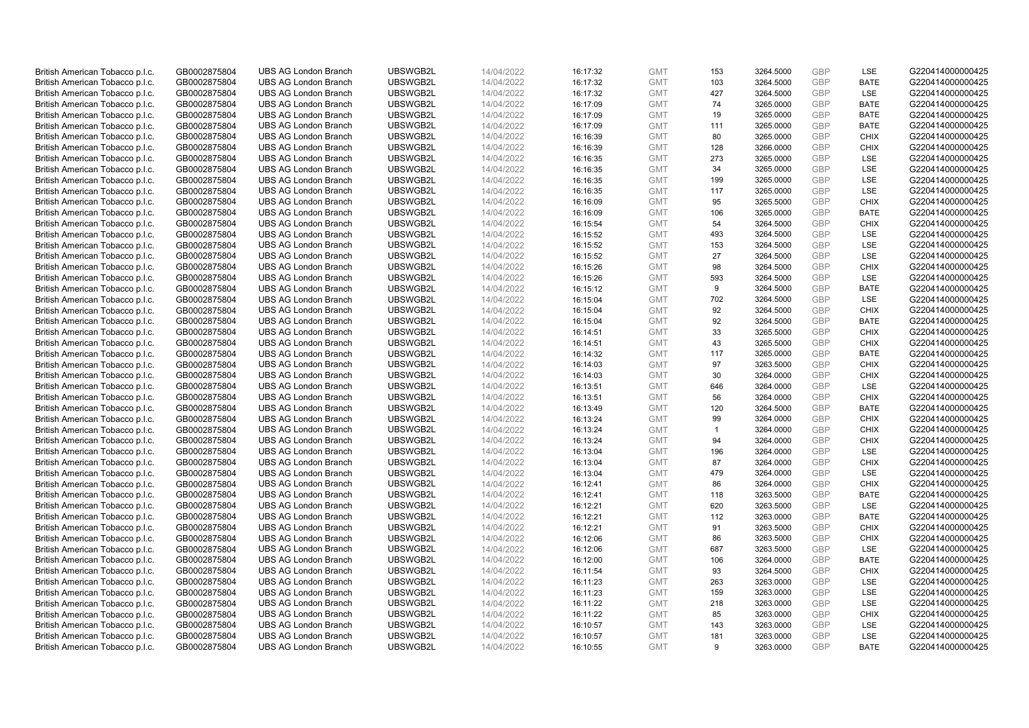| British American Tobacco p.l.c. | GB0002875804 | <b>UBS AG London Branch</b> | UBSWGB2L | 14/04/2022 | 16:17:32 | <b>GMT</b> | 153          | 3264.5000 | GBP        | LSE         | G220414000000425 |
|---------------------------------|--------------|-----------------------------|----------|------------|----------|------------|--------------|-----------|------------|-------------|------------------|
| British American Tobacco p.l.c. | GB0002875804 | <b>UBS AG London Branch</b> | UBSWGB2L | 14/04/2022 | 16:17:32 | <b>GMT</b> | 103          | 3264.5000 | <b>GBP</b> | <b>BATE</b> | G220414000000425 |
| British American Tobacco p.l.c. | GB0002875804 | <b>UBS AG London Branch</b> | UBSWGB2L | 14/04/2022 | 16:17:32 | <b>GMT</b> | 427          | 3264.5000 | GBP        | LSE         | G220414000000425 |
| British American Tobacco p.l.c. | GB0002875804 | <b>UBS AG London Branch</b> | UBSWGB2L | 14/04/2022 | 16:17:09 | <b>GMT</b> | 74           | 3265.0000 | <b>GBP</b> | <b>BATE</b> | G220414000000425 |
| British American Tobacco p.l.c. | GB0002875804 | <b>UBS AG London Branch</b> | UBSWGB2L | 14/04/2022 | 16:17:09 | <b>GMT</b> | 19           | 3265.0000 | GBP        | <b>BATE</b> | G220414000000425 |
| British American Tobacco p.l.c. | GB0002875804 | <b>UBS AG London Branch</b> | UBSWGB2L | 14/04/2022 | 16:17:09 | <b>GMT</b> | 111          | 3265.0000 | <b>GBP</b> | <b>BATE</b> | G220414000000425 |
| British American Tobacco p.l.c. | GB0002875804 | <b>UBS AG London Branch</b> | UBSWGB2L | 14/04/2022 | 16:16:39 | <b>GMT</b> | 80           | 3265.0000 | GBP        | <b>CHIX</b> | G220414000000425 |
| British American Tobacco p.l.c. | GB0002875804 | <b>UBS AG London Branch</b> | UBSWGB2L | 14/04/2022 | 16:16:39 | <b>GMT</b> | 128          | 3266.0000 | <b>GBP</b> | <b>CHIX</b> | G220414000000425 |
| British American Tobacco p.l.c. | GB0002875804 | <b>UBS AG London Branch</b> | UBSWGB2L | 14/04/2022 | 16:16:35 | <b>GMT</b> | 273          | 3265.0000 | GBP        | LSE         | G220414000000425 |
| British American Tobacco p.l.c. | GB0002875804 | <b>UBS AG London Branch</b> | UBSWGB2L | 14/04/2022 | 16:16:35 | <b>GMT</b> | 34           | 3265.0000 | <b>GBP</b> | LSE         | G220414000000425 |
| British American Tobacco p.l.c. | GB0002875804 | <b>UBS AG London Branch</b> | UBSWGB2L | 14/04/2022 | 16:16:35 | <b>GMT</b> | 199          | 3265.0000 | GBP        | LSE         | G220414000000425 |
| British American Tobacco p.l.c. | GB0002875804 | <b>UBS AG London Branch</b> | UBSWGB2L | 14/04/2022 | 16:16:35 | <b>GMT</b> | 117          | 3265.0000 | <b>GBP</b> | LSE         | G220414000000425 |
| British American Tobacco p.l.c. | GB0002875804 | <b>UBS AG London Branch</b> | UBSWGB2L | 14/04/2022 | 16:16:09 | <b>GMT</b> | 95           | 3265.5000 | <b>GBP</b> | <b>CHIX</b> | G220414000000425 |
| British American Tobacco p.l.c. | GB0002875804 | <b>UBS AG London Branch</b> | UBSWGB2L | 14/04/2022 | 16:16:09 | <b>GMT</b> | 106          | 3265.0000 | GBP        | <b>BATE</b> | G220414000000425 |
| British American Tobacco p.l.c. | GB0002875804 | <b>UBS AG London Branch</b> | UBSWGB2L | 14/04/2022 | 16:15:54 | <b>GMT</b> | 54           | 3264.5000 | <b>GBP</b> | <b>CHIX</b> | G220414000000425 |
| British American Tobacco p.l.c. | GB0002875804 | <b>UBS AG London Branch</b> | UBSWGB2L | 14/04/2022 | 16:15:52 | <b>GMT</b> | 493          | 3264.5000 | GBP        | LSE         | G220414000000425 |
| British American Tobacco p.l.c. | GB0002875804 | <b>UBS AG London Branch</b> | UBSWGB2L | 14/04/2022 | 16:15:52 | <b>GMT</b> | 153          | 3264.5000 | <b>GBP</b> | LSE         | G220414000000425 |
| British American Tobacco p.l.c. | GB0002875804 | <b>UBS AG London Branch</b> | UBSWGB2L | 14/04/2022 | 16:15:52 | <b>GMT</b> | 27           | 3264.5000 | GBP        | LSE         | G220414000000425 |
| British American Tobacco p.l.c. | GB0002875804 | <b>UBS AG London Branch</b> | UBSWGB2L | 14/04/2022 | 16:15:26 | <b>GMT</b> | 98           | 3264.5000 | <b>GBP</b> | <b>CHIX</b> | G220414000000425 |
| British American Tobacco p.l.c. | GB0002875804 | <b>UBS AG London Branch</b> | UBSWGB2L | 14/04/2022 | 16:15:26 | <b>GMT</b> | 593          | 3264.5000 | GBP        | LSE         | G220414000000425 |
| British American Tobacco p.l.c. | GB0002875804 | <b>UBS AG London Branch</b> | UBSWGB2L | 14/04/2022 | 16:15:12 | <b>GMT</b> | 9            | 3264.5000 | GBP        | <b>BATE</b> | G220414000000425 |
| British American Tobacco p.l.c. | GB0002875804 | <b>UBS AG London Branch</b> | UBSWGB2L | 14/04/2022 | 16:15:04 | <b>GMT</b> | 702          | 3264.5000 | <b>GBP</b> | LSE         | G220414000000425 |
| British American Tobacco p.l.c. | GB0002875804 | <b>UBS AG London Branch</b> | UBSWGB2L | 14/04/2022 | 16:15:04 | <b>GMT</b> | 92           | 3264.5000 | <b>GBP</b> | <b>CHIX</b> | G220414000000425 |
| British American Tobacco p.l.c. | GB0002875804 | <b>UBS AG London Branch</b> | UBSWGB2L | 14/04/2022 | 16:15:04 | <b>GMT</b> | 92           | 3264.5000 | GBP        | <b>BATE</b> | G220414000000425 |
| British American Tobacco p.l.c. | GB0002875804 | <b>UBS AG London Branch</b> | UBSWGB2L | 14/04/2022 | 16:14:51 | <b>GMT</b> | 33           | 3265.5000 | <b>GBP</b> | <b>CHIX</b> | G220414000000425 |
| British American Tobacco p.l.c. | GB0002875804 | <b>UBS AG London Branch</b> | UBSWGB2L | 14/04/2022 | 16:14:51 | <b>GMT</b> | 43           | 3265.5000 | <b>GBP</b> | <b>CHIX</b> | G220414000000425 |
| British American Tobacco p.l.c. | GB0002875804 | <b>UBS AG London Branch</b> | UBSWGB2L | 14/04/2022 | 16:14:32 | <b>GMT</b> | 117          | 3265.0000 | GBP        | <b>BATE</b> | G220414000000425 |
| British American Tobacco p.l.c. | GB0002875804 | <b>UBS AG London Branch</b> | UBSWGB2L | 14/04/2022 | 16:14:03 | <b>GMT</b> | 97           | 3263.5000 | <b>GBP</b> | <b>CHIX</b> | G220414000000425 |
| British American Tobacco p.l.c. | GB0002875804 | <b>UBS AG London Branch</b> | UBSWGB2L | 14/04/2022 | 16:14:03 | <b>GMT</b> | 30           | 3264.0000 | GBP        | <b>CHIX</b> | G220414000000425 |
| British American Tobacco p.l.c. | GB0002875804 | <b>UBS AG London Branch</b> | UBSWGB2L | 14/04/2022 | 16:13:51 | <b>GMT</b> | 646          | 3264.0000 | <b>GBP</b> | LSE         | G220414000000425 |
| British American Tobacco p.l.c. | GB0002875804 | <b>UBS AG London Branch</b> | UBSWGB2L | 14/04/2022 | 16:13:51 | <b>GMT</b> | 56           | 3264.0000 | GBP        | <b>CHIX</b> | G220414000000425 |
| British American Tobacco p.l.c. | GB0002875804 | <b>UBS AG London Branch</b> | UBSWGB2L | 14/04/2022 | 16:13:49 | <b>GMT</b> | 120          | 3264.5000 | <b>GBP</b> | <b>BATE</b> | G220414000000425 |
| British American Tobacco p.l.c. | GB0002875804 | <b>UBS AG London Branch</b> | UBSWGB2L | 14/04/2022 | 16:13:24 | <b>GMT</b> | 99           | 3264.0000 | GBP        | <b>CHIX</b> | G220414000000425 |
| British American Tobacco p.l.c. | GB0002875804 | <b>UBS AG London Branch</b> | UBSWGB2L | 14/04/2022 | 16:13:24 | <b>GMT</b> | $\mathbf{1}$ | 3264.0000 | GBP        | <b>CHIX</b> | G220414000000425 |
| British American Tobacco p.l.c. | GB0002875804 | <b>UBS AG London Branch</b> | UBSWGB2L | 14/04/2022 | 16:13:24 | <b>GMT</b> | 94           | 3264.0000 | <b>GBP</b> | <b>CHIX</b> | G220414000000425 |
| British American Tobacco p.l.c. | GB0002875804 | <b>UBS AG London Branch</b> | UBSWGB2L | 14/04/2022 | 16:13:04 | <b>GMT</b> | 196          | 3264.0000 | <b>GBP</b> | LSE         | G220414000000425 |
| British American Tobacco p.l.c. | GB0002875804 | <b>UBS AG London Branch</b> | UBSWGB2L | 14/04/2022 | 16:13:04 | <b>GMT</b> | 87           | 3264.0000 | GBP        | <b>CHIX</b> | G220414000000425 |
| British American Tobacco p.l.c. | GB0002875804 | <b>UBS AG London Branch</b> | UBSWGB2L | 14/04/2022 | 16:13:04 | <b>GMT</b> | 479          | 3264.0000 | <b>GBP</b> | LSE         | G220414000000425 |
| British American Tobacco p.l.c. | GB0002875804 | <b>UBS AG London Branch</b> | UBSWGB2L | 14/04/2022 | 16:12:41 | <b>GMT</b> | 86           | 3264.0000 | <b>GBP</b> | <b>CHIX</b> | G220414000000425 |
| British American Tobacco p.l.c. | GB0002875804 | <b>UBS AG London Branch</b> | UBSWGB2L | 14/04/2022 | 16:12:41 | <b>GMT</b> | 118          | 3263.5000 | GBP        | <b>BATE</b> | G220414000000425 |
| British American Tobacco p.l.c. | GB0002875804 | <b>UBS AG London Branch</b> | UBSWGB2L | 14/04/2022 | 16:12:21 | <b>GMT</b> | 620          | 3263.5000 | <b>GBP</b> | LSE         | G220414000000425 |
| British American Tobacco p.l.c. | GB0002875804 | <b>UBS AG London Branch</b> | UBSWGB2L | 14/04/2022 | 16:12:21 | <b>GMT</b> | 112          | 3263.0000 | GBP        | <b>BATE</b> | G220414000000425 |
| British American Tobacco p.l.c. | GB0002875804 | <b>UBS AG London Branch</b> | UBSWGB2L | 14/04/2022 | 16:12:21 | <b>GMT</b> | 91           | 3263.5000 | GBP        | <b>CHIX</b> | G220414000000425 |
| British American Tobacco p.l.c. | GB0002875804 | <b>UBS AG London Branch</b> | UBSWGB2L | 14/04/2022 | 16:12:06 | <b>GMT</b> | 86           | 3263.5000 | GBP        | <b>CHIX</b> | G220414000000425 |
| British American Tobacco p.l.c. | GB0002875804 | <b>UBS AG London Branch</b> | UBSWGB2L | 14/04/2022 | 16:12:06 | <b>GMT</b> | 687          | 3263.5000 | <b>GBP</b> | <b>LSE</b>  | G220414000000425 |
| British American Tobacco p.l.c. | GB0002875804 | <b>UBS AG London Branch</b> | UBSWGB2L | 14/04/2022 | 16:12:00 | <b>GMT</b> | 106          | 3264.0000 | GBP        | <b>BATE</b> | G220414000000425 |
| British American Tobacco p.l.c. | GB0002875804 | <b>UBS AG London Branch</b> | UBSWGB2L | 14/04/2022 | 16:11:54 | <b>GMT</b> | 93           | 3264.5000 | GBP        | <b>CHIX</b> | G220414000000425 |
| British American Tobacco p.l.c. | GB0002875804 | <b>UBS AG London Branch</b> | UBSWGB2L | 14/04/2022 | 16:11:23 | <b>GMT</b> | 263          | 3263.0000 | <b>GBP</b> | LSE         | G220414000000425 |
| British American Tobacco p.l.c. | GB0002875804 | <b>UBS AG London Branch</b> | UBSWGB2L | 14/04/2022 | 16:11:23 | <b>GMT</b> | 159          | 3263.0000 | <b>GBP</b> | LSE         | G220414000000425 |
| British American Tobacco p.l.c. | GB0002875804 | <b>UBS AG London Branch</b> | UBSWGB2L | 14/04/2022 | 16:11:22 | <b>GMT</b> | 218          | 3263.0000 | GBP        | <b>LSE</b>  | G220414000000425 |
| British American Tobacco p.l.c. | GB0002875804 | <b>UBS AG London Branch</b> | UBSWGB2L | 14/04/2022 | 16:11:22 | <b>GMT</b> | 85           | 3263.0000 | <b>GBP</b> | <b>CHIX</b> | G220414000000425 |
| British American Tobacco p.l.c. | GB0002875804 | <b>UBS AG London Branch</b> | UBSWGB2L | 14/04/2022 | 16:10:57 | <b>GMT</b> | 143          | 3263.0000 | <b>GBP</b> | LSE         | G220414000000425 |
| British American Tobacco p.l.c. | GB0002875804 | <b>UBS AG London Branch</b> | UBSWGB2L | 14/04/2022 | 16:10:57 | <b>GMT</b> | 181          | 3263.0000 | GBP        | LSE         | G220414000000425 |
| British American Tobacco p.l.c. | GB0002875804 | <b>UBS AG London Branch</b> | UBSWGB2L | 14/04/2022 | 16:10:55 | <b>GMT</b> | 9            | 3263.0000 | <b>GBP</b> | <b>BATE</b> | G220414000000425 |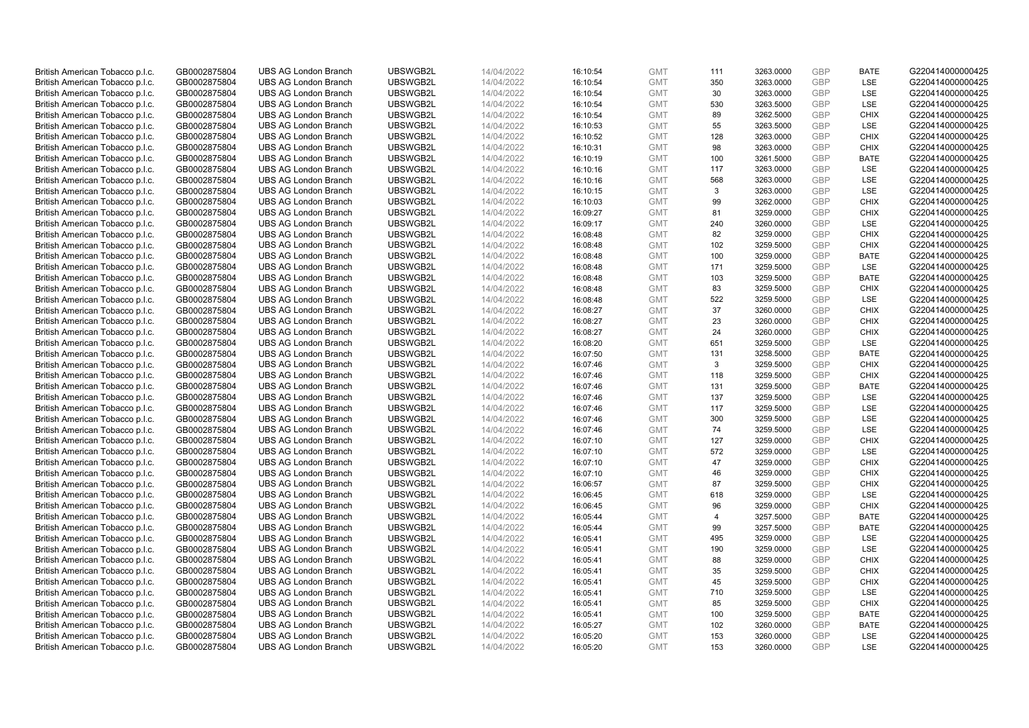| British American Tobacco p.l.c.                                    | GB0002875804                 | <b>UBS AG London Branch</b>                                | UBSWGB2L             | 14/04/2022               | 16:10:54             | <b>GMT</b>               | 111            | 3263.0000              | GBP                      | <b>BATE</b>                | G220414000000425                     |
|--------------------------------------------------------------------|------------------------------|------------------------------------------------------------|----------------------|--------------------------|----------------------|--------------------------|----------------|------------------------|--------------------------|----------------------------|--------------------------------------|
| British American Tobacco p.l.c.                                    | GB0002875804                 | <b>UBS AG London Branch</b>                                | UBSWGB2L             | 14/04/2022               | 16:10:54             | <b>GMT</b>               | 350            | 3263.0000              | <b>GBP</b>               | <b>LSE</b>                 | G220414000000425                     |
| British American Tobacco p.l.c.                                    | GB0002875804                 | <b>UBS AG London Branch</b>                                | UBSWGB2L             | 14/04/2022               | 16:10:54             | <b>GMT</b>               | 30             | 3263.0000              | GBP                      | LSE                        | G220414000000425                     |
| British American Tobacco p.l.c.                                    | GB0002875804                 | <b>UBS AG London Branch</b>                                | UBSWGB2L             | 14/04/2022               | 16:10:54             | <b>GMT</b>               | 530            | 3263.5000              | <b>GBP</b>               | LSE                        | G220414000000425                     |
| British American Tobacco p.l.c.                                    | GB0002875804                 | <b>UBS AG London Branch</b>                                | UBSWGB2L             | 14/04/2022               | 16:10:54             | <b>GMT</b>               | 89             | 3262.5000              | GBP                      | <b>CHIX</b>                | G220414000000425                     |
| British American Tobacco p.l.c.                                    | GB0002875804                 | <b>UBS AG London Branch</b>                                | UBSWGB2L             | 14/04/2022               | 16:10:53             | <b>GMT</b>               | 55             | 3263.5000              | <b>GBP</b>               | LSE                        | G220414000000425                     |
| British American Tobacco p.l.c.                                    | GB0002875804                 | <b>UBS AG London Branch</b>                                | UBSWGB2L             | 14/04/2022               | 16:10:52             | <b>GMT</b>               | 128            | 3263.0000              | <b>GBP</b>               | <b>CHIX</b>                | G220414000000425                     |
| British American Tobacco p.l.c.                                    | GB0002875804                 | <b>UBS AG London Branch</b>                                | UBSWGB2L             | 14/04/2022               | 16:10:31             | <b>GMT</b>               | 98             | 3263.0000              | <b>GBP</b>               | <b>CHIX</b>                | G220414000000425                     |
| British American Tobacco p.l.c.                                    | GB0002875804                 | <b>UBS AG London Branch</b>                                | UBSWGB2L             | 14/04/2022               | 16:10:19             | <b>GMT</b>               | 100            | 3261.5000              | GBP                      | <b>BATE</b>                | G220414000000425                     |
| British American Tobacco p.l.c.                                    | GB0002875804                 | <b>UBS AG London Branch</b>                                | UBSWGB2L             | 14/04/2022               | 16:10:16             | <b>GMT</b>               | 117            | 3263.0000              | <b>GBP</b>               | LSE                        | G220414000000425                     |
| British American Tobacco p.l.c.                                    | GB0002875804                 | <b>UBS AG London Branch</b>                                | UBSWGB2L             | 14/04/2022               | 16:10:16             | <b>GMT</b>               | 568            | 3263.0000              | GBP                      | LSE                        | G220414000000425                     |
| British American Tobacco p.l.c.                                    | GB0002875804                 | <b>UBS AG London Branch</b>                                | UBSWGB2L             | 14/04/2022               | 16:10:15             | <b>GMT</b>               | 3              | 3263.0000              | <b>GBP</b>               | LSE                        | G220414000000425                     |
| British American Tobacco p.l.c.                                    | GB0002875804                 | <b>UBS AG London Branch</b>                                | UBSWGB2L             | 14/04/2022               | 16:10:03             | <b>GMT</b>               | 99             | 3262.0000              | <b>GBP</b>               | <b>CHIX</b>                | G220414000000425                     |
| British American Tobacco p.l.c.                                    | GB0002875804                 | <b>UBS AG London Branch</b>                                | UBSWGB2L             | 14/04/2022               | 16:09:27             | <b>GMT</b>               | 81             | 3259.0000              | GBP                      | <b>CHIX</b>                | G220414000000425                     |
| British American Tobacco p.l.c.                                    | GB0002875804                 | <b>UBS AG London Branch</b>                                | UBSWGB2L             | 14/04/2022               | 16:09:17             | <b>GMT</b>               | 240            | 3260.0000              | <b>GBP</b>               | <b>LSE</b>                 | G220414000000425                     |
| British American Tobacco p.l.c.                                    | GB0002875804                 | <b>UBS AG London Branch</b>                                | UBSWGB2L             | 14/04/2022               | 16:08:48             | <b>GMT</b>               | 82             | 3259.0000              | GBP                      | <b>CHIX</b>                | G220414000000425                     |
| British American Tobacco p.l.c.                                    | GB0002875804                 | <b>UBS AG London Branch</b>                                | UBSWGB2L             | 14/04/2022               | 16:08:48             | <b>GMT</b>               | 102            | 3259.5000              | <b>GBP</b>               | <b>CHIX</b>                | G220414000000425                     |
| British American Tobacco p.l.c.                                    | GB0002875804                 | <b>UBS AG London Branch</b>                                | UBSWGB2L             | 14/04/2022               | 16:08:48             | <b>GMT</b>               | 100            | 3259.0000              | GBP                      | <b>BATE</b>                | G220414000000425                     |
| British American Tobacco p.l.c.                                    | GB0002875804                 | <b>UBS AG London Branch</b>                                | UBSWGB2L             | 14/04/2022               | 16:08:48             | <b>GMT</b>               | 171            | 3259.5000              | <b>GBP</b>               | <b>LSE</b>                 | G220414000000425                     |
| British American Tobacco p.l.c.                                    | GB0002875804                 | <b>UBS AG London Branch</b>                                | UBSWGB2L             | 14/04/2022               | 16:08:48             | <b>GMT</b>               | 103            | 3259.5000              | GBP                      | <b>BATE</b>                | G220414000000425                     |
| British American Tobacco p.l.c.                                    | GB0002875804                 | <b>UBS AG London Branch</b>                                | UBSWGB2L             | 14/04/2022               | 16:08:48             | <b>GMT</b>               | 83             | 3259.5000              | <b>GBP</b>               | <b>CHIX</b>                | G220414000000425                     |
| British American Tobacco p.l.c.                                    | GB0002875804                 | <b>UBS AG London Branch</b>                                | UBSWGB2L             | 14/04/2022               | 16:08:48             | <b>GMT</b>               | 522            | 3259.5000              | GBP                      | LSE                        | G220414000000425                     |
| British American Tobacco p.l.c.                                    | GB0002875804                 | <b>UBS AG London Branch</b>                                | UBSWGB2L             | 14/04/2022               | 16:08:27             | <b>GMT</b>               | 37             | 3260.0000              | <b>GBP</b>               | <b>CHIX</b>                | G220414000000425                     |
| British American Tobacco p.l.c.                                    | GB0002875804                 | <b>UBS AG London Branch</b>                                | UBSWGB2L             | 14/04/2022               | 16:08:27             | <b>GMT</b>               | 23             | 3260.0000              | GBP                      | <b>CHIX</b>                | G220414000000425                     |
| British American Tobacco p.l.c.                                    | GB0002875804                 | <b>UBS AG London Branch</b>                                | UBSWGB2L             | 14/04/2022               | 16:08:27             | <b>GMT</b>               | 24             | 3260.0000              | <b>GBP</b>               | <b>CHIX</b>                | G220414000000425                     |
| British American Tobacco p.l.c.                                    | GB0002875804                 | <b>UBS AG London Branch</b>                                | UBSWGB2L             | 14/04/2022               | 16:08:20             | <b>GMT</b>               | 651            | 3259.5000              | <b>GBP</b>               | LSE                        | G220414000000425                     |
| British American Tobacco p.l.c.                                    | GB0002875804                 | <b>UBS AG London Branch</b>                                | UBSWGB2L             | 14/04/2022               | 16:07:50             | <b>GMT</b>               | 131            | 3258.5000              | GBP                      | <b>BATE</b>                | G220414000000425                     |
| British American Tobacco p.l.c.                                    | GB0002875804                 | <b>UBS AG London Branch</b>                                | UBSWGB2L             | 14/04/2022               | 16:07:46             | <b>GMT</b>               | 3              | 3259.5000              | <b>GBP</b>               | <b>CHIX</b>                | G220414000000425                     |
| British American Tobacco p.l.c.                                    | GB0002875804                 | <b>UBS AG London Branch</b>                                | UBSWGB2L             | 14/04/2022               | 16:07:46             | <b>GMT</b>               | 118            | 3259.5000              | GBP                      | <b>CHIX</b>                | G220414000000425                     |
| British American Tobacco p.l.c.                                    | GB0002875804                 | <b>UBS AG London Branch</b>                                | UBSWGB2L             | 14/04/2022               | 16:07:46             | <b>GMT</b>               | 131            | 3259.5000              | <b>GBP</b>               | <b>BATE</b>                | G220414000000425                     |
| British American Tobacco p.l.c.                                    | GB0002875804                 | <b>UBS AG London Branch</b>                                | UBSWGB2L             | 14/04/2022               | 16:07:46             | <b>GMT</b>               | 137            | 3259.5000              | GBP                      | LSE                        | G220414000000425                     |
| British American Tobacco p.l.c.                                    | GB0002875804                 | <b>UBS AG London Branch</b>                                | UBSWGB2L             | 14/04/2022               | 16:07:46             | <b>GMT</b>               | 117            | 3259.5000              | <b>GBP</b>               | <b>LSE</b>                 | G220414000000425                     |
| British American Tobacco p.l.c.                                    | GB0002875804                 | <b>UBS AG London Branch</b>                                | UBSWGB2L             | 14/04/2022               | 16:07:46             | <b>GMT</b>               | 300            | 3259.5000              | GBP                      | LSE                        | G220414000000425                     |
| British American Tobacco p.l.c.                                    | GB0002875804                 | <b>UBS AG London Branch</b>                                | UBSWGB2L             | 14/04/2022               | 16:07:46             | <b>GMT</b>               | 74             | 3259.5000              | GBP                      | LSE                        | G220414000000425                     |
| British American Tobacco p.l.c.                                    | GB0002875804                 | <b>UBS AG London Branch</b>                                | UBSWGB2L             | 14/04/2022               | 16:07:10             | <b>GMT</b>               | 127            | 3259.0000              | <b>GBP</b>               | <b>CHIX</b>                | G220414000000425                     |
| British American Tobacco p.l.c.                                    | GB0002875804                 | <b>UBS AG London Branch</b>                                | UBSWGB2L             | 14/04/2022               | 16:07:10             | <b>GMT</b>               | 572            | 3259.0000              | <b>GBP</b>               | LSE                        | G220414000000425                     |
| British American Tobacco p.l.c.                                    | GB0002875804                 | <b>UBS AG London Branch</b>                                | UBSWGB2L             | 14/04/2022               | 16:07:10             | <b>GMT</b>               | 47             | 3259.0000              | GBP                      | <b>CHIX</b>                | G220414000000425                     |
| British American Tobacco p.l.c.                                    | GB0002875804                 | <b>UBS AG London Branch</b>                                | UBSWGB2L             | 14/04/2022               | 16:07:10             | <b>GMT</b>               | 46             | 3259.0000              | <b>GBP</b>               | <b>CHIX</b>                | G220414000000425                     |
| British American Tobacco p.l.c.                                    | GB0002875804                 | <b>UBS AG London Branch</b>                                | UBSWGB2L             | 14/04/2022               | 16:06:57             | <b>GMT</b>               | 87             | 3259.5000              | <b>GBP</b>               | <b>CHIX</b>                | G220414000000425                     |
| British American Tobacco p.l.c.                                    | GB0002875804                 | <b>UBS AG London Branch</b>                                | UBSWGB2L             | 14/04/2022               | 16:06:45             | <b>GMT</b>               | 618            | 3259.0000              | GBP                      | LSE                        | G220414000000425                     |
| British American Tobacco p.l.c.                                    | GB0002875804                 | <b>UBS AG London Branch</b>                                | UBSWGB2L             | 14/04/2022               | 16:06:45             | <b>GMT</b>               | 96             | 3259.0000              | <b>GBP</b>               | <b>CHIX</b>                | G220414000000425                     |
| British American Tobacco p.l.c.                                    | GB0002875804                 | <b>UBS AG London Branch</b>                                | UBSWGB2L             | 14/04/2022               | 16:05:44             | <b>GMT</b>               | $\overline{4}$ | 3257.5000              | GBP                      | <b>BATE</b>                | G220414000000425                     |
| British American Tobacco p.l.c.                                    | GB0002875804                 | <b>UBS AG London Branch</b>                                | UBSWGB2L             | 14/04/2022               | 16:05:44             | <b>GMT</b>               | 99             | 3257.5000              | GBP                      | <b>BATE</b>                | G220414000000425                     |
| British American Tobacco p.l.c.                                    | GB0002875804                 | <b>UBS AG London Branch</b>                                | UBSWGB2L             | 14/04/2022               | 16:05:41             | <b>GMT</b>               | 495            | 3259.0000              | GBP                      | LSE                        | G220414000000425                     |
| British American Tobacco p.l.c.                                    | GB0002875804                 | <b>UBS AG London Branch</b>                                | UBSWGB2L             | 14/04/2022               | 16:05:41             | <b>GMT</b>               | 190            | 3259.0000              | <b>GBP</b>               | <b>LSE</b>                 | G220414000000425                     |
| British American Tobacco p.l.c.                                    | GB0002875804                 | <b>UBS AG London Branch</b>                                | UBSWGB2L             | 14/04/2022               | 16:05:41             | <b>GMT</b>               | 88             | 3259.0000              | GBP                      | <b>CHIX</b>                | G220414000000425                     |
| British American Tobacco p.l.c.                                    | GB0002875804                 | <b>UBS AG London Branch</b>                                | UBSWGB2L             | 14/04/2022               | 16:05:41             | <b>GMT</b>               | 35             | 3259.5000              | GBP                      | <b>CHIX</b>                | G220414000000425                     |
| British American Tobacco p.l.c.                                    | GB0002875804                 | <b>UBS AG London Branch</b>                                | UBSWGB2L             | 14/04/2022               | 16:05:41             | <b>GMT</b>               | 45             | 3259.5000              | GBP                      | <b>CHIX</b>                | G220414000000425                     |
| British American Tobacco p.l.c.                                    | GB0002875804                 | <b>UBS AG London Branch</b>                                | UBSWGB2L             | 14/04/2022               | 16:05:41             | <b>GMT</b>               | 710            | 3259.5000              | <b>GBP</b><br>GBP        | LSE                        | G220414000000425                     |
| British American Tobacco p.l.c.                                    | GB0002875804                 | <b>UBS AG London Branch</b>                                | UBSWGB2L             | 14/04/2022               | 16:05:41             | <b>GMT</b>               | 85             | 3259.5000              |                          | <b>CHIX</b>                | G220414000000425                     |
| British American Tobacco p.l.c.                                    | GB0002875804                 | <b>UBS AG London Branch</b><br><b>UBS AG London Branch</b> | UBSWGB2L<br>UBSWGB2L | 14/04/2022               | 16:05:41             | <b>GMT</b>               | 100            | 3259.5000              | <b>GBP</b><br><b>GBP</b> | <b>BATE</b><br><b>BATE</b> | G220414000000425<br>G220414000000425 |
| British American Tobacco p.l.c.                                    | GB0002875804<br>GB0002875804 | <b>UBS AG London Branch</b>                                | UBSWGB2L             | 14/04/2022<br>14/04/2022 | 16:05:27             | <b>GMT</b><br><b>GMT</b> | 102<br>153     | 3260.0000              | GBP                      | LSE                        | G220414000000425                     |
| British American Tobacco p.l.c.<br>British American Tobacco p.l.c. | GB0002875804                 | <b>UBS AG London Branch</b>                                | UBSWGB2L             | 14/04/2022               | 16:05:20<br>16:05:20 | <b>GMT</b>               | 153            | 3260.0000<br>3260.0000 | <b>GBP</b>               | <b>LSE</b>                 | G220414000000425                     |
|                                                                    |                              |                                                            |                      |                          |                      |                          |                |                        |                          |                            |                                      |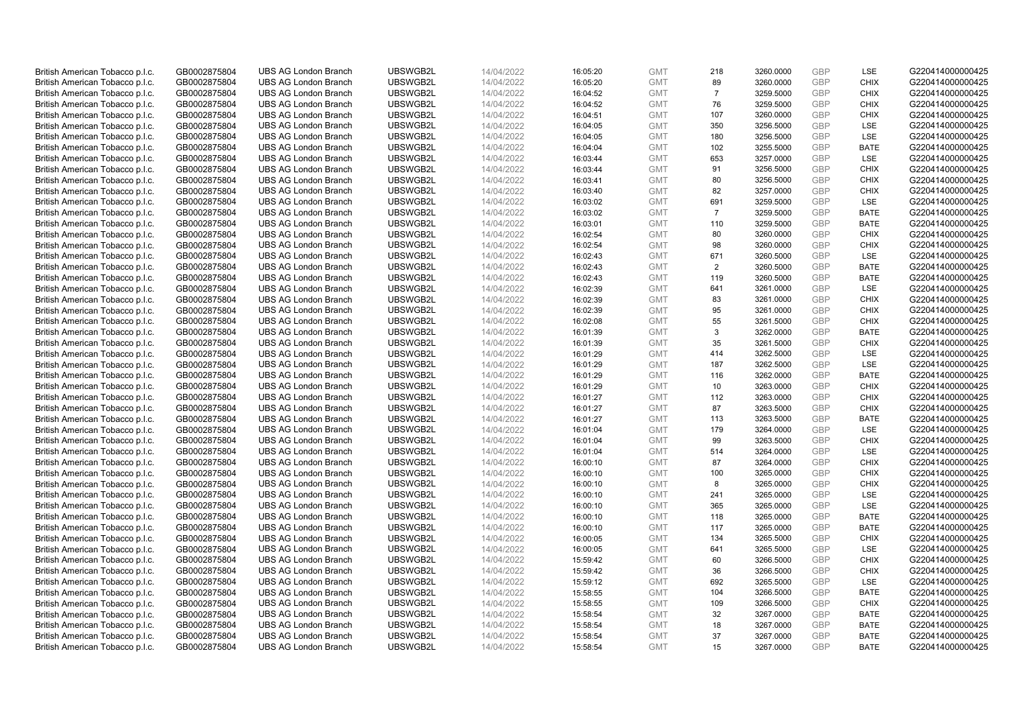| British American Tobacco p.l.c.                                    | GB0002875804                 | <b>UBS AG London Branch</b>                                | UBSWGB2L             | 14/04/2022               | 16:05:20             | <b>GMT</b>               | 218            | 3260.0000              | GBP                      | LSE                        | G220414000000425                     |
|--------------------------------------------------------------------|------------------------------|------------------------------------------------------------|----------------------|--------------------------|----------------------|--------------------------|----------------|------------------------|--------------------------|----------------------------|--------------------------------------|
| British American Tobacco p.l.c.                                    | GB0002875804                 | <b>UBS AG London Branch</b>                                | UBSWGB2L             | 14/04/2022               | 16:05:20             | <b>GMT</b>               | 89             | 3260.0000              | <b>GBP</b>               | <b>CHIX</b>                | G220414000000425                     |
| British American Tobacco p.l.c.                                    | GB0002875804                 | <b>UBS AG London Branch</b>                                | UBSWGB2L             | 14/04/2022               | 16:04:52             | <b>GMT</b>               | $\overline{7}$ | 3259.5000              | GBP                      | <b>CHIX</b>                | G220414000000425                     |
| British American Tobacco p.l.c.                                    | GB0002875804                 | <b>UBS AG London Branch</b>                                | UBSWGB2L             | 14/04/2022               | 16:04:52             | <b>GMT</b>               | 76             | 3259.5000              | <b>GBP</b>               | <b>CHIX</b>                | G220414000000425                     |
| British American Tobacco p.l.c.                                    | GB0002875804                 | <b>UBS AG London Branch</b>                                | UBSWGB2L             | 14/04/2022               | 16:04:51             | <b>GMT</b>               | 107            | 3260.0000              | GBP                      | <b>CHIX</b>                | G220414000000425                     |
| British American Tobacco p.l.c.                                    | GB0002875804                 | <b>UBS AG London Branch</b>                                | UBSWGB2L             | 14/04/2022               | 16:04:05             | <b>GMT</b>               | 350            | 3256.5000              | <b>GBP</b>               | LSE                        | G220414000000425                     |
| British American Tobacco p.l.c.                                    | GB0002875804                 | <b>UBS AG London Branch</b>                                | UBSWGB2L             | 14/04/2022               | 16:04:05             | <b>GMT</b>               | 180            | 3256.5000              | <b>GBP</b>               | LSE                        | G220414000000425                     |
| British American Tobacco p.l.c.                                    | GB0002875804                 | <b>UBS AG London Branch</b>                                | UBSWGB2L             | 14/04/2022               | 16:04:04             | <b>GMT</b>               | 102            | 3255.5000              | <b>GBP</b>               | <b>BATE</b>                | G220414000000425                     |
| British American Tobacco p.l.c.                                    | GB0002875804                 | <b>UBS AG London Branch</b>                                | UBSWGB2L             | 14/04/2022               | 16:03:44             | <b>GMT</b>               | 653            | 3257.0000              | <b>GBP</b>               | LSE                        | G220414000000425                     |
| British American Tobacco p.l.c.                                    | GB0002875804                 | <b>UBS AG London Branch</b>                                | UBSWGB2L             | 14/04/2022               | 16:03:44             | <b>GMT</b>               | 91             | 3256.5000              | <b>GBP</b>               | <b>CHIX</b>                | G220414000000425                     |
| British American Tobacco p.l.c.                                    | GB0002875804                 | <b>UBS AG London Branch</b>                                | UBSWGB2L             | 14/04/2022               | 16:03:41             | <b>GMT</b>               | 80             | 3256.5000              | GBP                      | <b>CHIX</b>                | G220414000000425                     |
| British American Tobacco p.l.c.                                    | GB0002875804                 | <b>UBS AG London Branch</b>                                | UBSWGB2L             | 14/04/2022               | 16:03:40             | <b>GMT</b>               | 82             | 3257.0000              | <b>GBP</b>               | <b>CHIX</b>                | G220414000000425                     |
| British American Tobacco p.l.c.                                    | GB0002875804                 | <b>UBS AG London Branch</b>                                | UBSWGB2L             | 14/04/2022               | 16:03:02             | <b>GMT</b>               | 691            | 3259.5000              | <b>GBP</b>               | LSE                        | G220414000000425                     |
| British American Tobacco p.l.c.                                    | GB0002875804                 | <b>UBS AG London Branch</b>                                | UBSWGB2L             | 14/04/2022               | 16:03:02             | <b>GMT</b>               | $\overline{7}$ | 3259.5000              | GBP                      | <b>BATE</b>                | G220414000000425                     |
| British American Tobacco p.l.c.                                    | GB0002875804                 | <b>UBS AG London Branch</b>                                | UBSWGB2L             | 14/04/2022               | 16:03:01             | <b>GMT</b>               | 110            | 3259.5000              | <b>GBP</b>               | <b>BATE</b>                | G220414000000425                     |
| British American Tobacco p.l.c.                                    | GB0002875804                 | <b>UBS AG London Branch</b>                                | UBSWGB2L             | 14/04/2022               | 16:02:54             | <b>GMT</b>               | 80             | 3260.0000              | GBP                      | <b>CHIX</b>                | G220414000000425                     |
| British American Tobacco p.l.c.                                    | GB0002875804                 | <b>UBS AG London Branch</b>                                | UBSWGB2L             | 14/04/2022               | 16:02:54             | <b>GMT</b>               | 98             | 3260.0000              | <b>GBP</b>               | <b>CHIX</b>                | G220414000000425                     |
| British American Tobacco p.l.c.                                    | GB0002875804                 | <b>UBS AG London Branch</b>                                | UBSWGB2L             | 14/04/2022               | 16:02:43             | <b>GMT</b>               | 671            | 3260.5000              | GBP                      | LSE                        | G220414000000425                     |
| British American Tobacco p.l.c.                                    | GB0002875804                 | <b>UBS AG London Branch</b>                                | UBSWGB2L             | 14/04/2022               | 16:02:43             | <b>GMT</b>               | $\overline{2}$ | 3260.5000              | <b>GBP</b>               | <b>BATE</b>                | G220414000000425                     |
| British American Tobacco p.l.c.                                    | GB0002875804                 | <b>UBS AG London Branch</b>                                | UBSWGB2L             | 14/04/2022               | 16:02:43             | <b>GMT</b>               | 119            | 3260.5000              | GBP                      | <b>BATE</b>                | G220414000000425                     |
| British American Tobacco p.l.c.                                    | GB0002875804                 | <b>UBS AG London Branch</b>                                | UBSWGB2L             | 14/04/2022               | 16:02:39             | <b>GMT</b>               | 641            | 3261.0000              | <b>GBP</b>               | LSE                        | G220414000000425                     |
| British American Tobacco p.l.c.                                    | GB0002875804                 | <b>UBS AG London Branch</b>                                | UBSWGB2L             | 14/04/2022               | 16:02:39             | <b>GMT</b>               | 83             | 3261.0000              | GBP                      | <b>CHIX</b>                | G220414000000425                     |
| British American Tobacco p.l.c.                                    | GB0002875804                 | <b>UBS AG London Branch</b>                                | UBSWGB2L             | 14/04/2022               | 16:02:39             | <b>GMT</b>               | 95             | 3261.0000              | <b>GBP</b>               | <b>CHIX</b>                | G220414000000425                     |
| British American Tobacco p.l.c.                                    | GB0002875804                 | <b>UBS AG London Branch</b>                                | UBSWGB2L             | 14/04/2022               | 16:02:08             | <b>GMT</b>               | 55             | 3261.5000              | GBP                      | <b>CHIX</b>                | G220414000000425                     |
| British American Tobacco p.l.c.                                    | GB0002875804                 | <b>UBS AG London Branch</b>                                | UBSWGB2L             | 14/04/2022               | 16:01:39             | <b>GMT</b>               | 3              | 3262.0000              | <b>GBP</b>               | <b>BATE</b>                | G220414000000425                     |
| British American Tobacco p.l.c.                                    | GB0002875804                 | <b>UBS AG London Branch</b>                                | UBSWGB2L             | 14/04/2022               | 16:01:39             | <b>GMT</b>               | 35             | 3261.5000              | <b>GBP</b>               | <b>CHIX</b>                | G220414000000425                     |
| British American Tobacco p.l.c.                                    | GB0002875804                 | <b>UBS AG London Branch</b>                                | UBSWGB2L             | 14/04/2022               | 16:01:29             | <b>GMT</b>               | 414            | 3262.5000              | GBP                      | LSE                        | G220414000000425                     |
| British American Tobacco p.l.c.                                    | GB0002875804                 | <b>UBS AG London Branch</b>                                | UBSWGB2L             | 14/04/2022               | 16:01:29             | <b>GMT</b>               | 187            | 3262.5000              | <b>GBP</b>               | LSE                        | G220414000000425                     |
| British American Tobacco p.l.c.                                    | GB0002875804                 | <b>UBS AG London Branch</b>                                | UBSWGB2L             | 14/04/2022               | 16:01:29             | <b>GMT</b>               | 116            | 3262.0000              | GBP                      | <b>BATE</b>                | G220414000000425                     |
| British American Tobacco p.l.c.                                    | GB0002875804                 | <b>UBS AG London Branch</b>                                | UBSWGB2L             | 14/04/2022               | 16:01:29             | <b>GMT</b>               | 10             | 3263.0000              | <b>GBP</b>               | <b>CHIX</b>                | G220414000000425                     |
| British American Tobacco p.l.c.                                    | GB0002875804                 | <b>UBS AG London Branch</b>                                | UBSWGB2L             | 14/04/2022               | 16:01:27             | <b>GMT</b>               | 112            | 3263.0000              | GBP                      | <b>CHIX</b>                | G220414000000425                     |
| British American Tobacco p.l.c.                                    | GB0002875804                 | <b>UBS AG London Branch</b>                                | UBSWGB2L             | 14/04/2022               | 16:01:27             | <b>GMT</b>               | 87             | 3263.5000              | <b>GBP</b>               | <b>CHIX</b>                | G220414000000425                     |
| British American Tobacco p.l.c.                                    | GB0002875804                 | <b>UBS AG London Branch</b>                                | UBSWGB2L             | 14/04/2022               | 16:01:27             | <b>GMT</b>               | 113            | 3263.5000              | GBP                      | <b>BATE</b>                | G220414000000425                     |
| British American Tobacco p.l.c.                                    | GB0002875804                 | <b>UBS AG London Branch</b>                                | UBSWGB2L             | 14/04/2022               | 16:01:04             | <b>GMT</b>               | 179            | 3264.0000              | GBP                      | LSE                        | G220414000000425                     |
| British American Tobacco p.l.c.                                    | GB0002875804                 | <b>UBS AG London Branch</b>                                | UBSWGB2L             | 14/04/2022               | 16:01:04             | <b>GMT</b>               | 99             | 3263.5000              | <b>GBP</b>               | <b>CHIX</b>                | G220414000000425                     |
| British American Tobacco p.l.c.                                    | GB0002875804                 | <b>UBS AG London Branch</b>                                | UBSWGB2L             | 14/04/2022               | 16:01:04             | <b>GMT</b>               | 514            | 3264.0000              | <b>GBP</b>               | LSE                        | G220414000000425                     |
| British American Tobacco p.l.c.                                    | GB0002875804                 | <b>UBS AG London Branch</b>                                | UBSWGB2L             | 14/04/2022               | 16:00:10             | <b>GMT</b>               | 87             | 3264.0000              | GBP                      | <b>CHIX</b>                | G220414000000425                     |
| British American Tobacco p.l.c.                                    | GB0002875804                 | <b>UBS AG London Branch</b>                                | UBSWGB2L             | 14/04/2022               | 16:00:10             | <b>GMT</b>               | 100            | 3265.0000              | <b>GBP</b>               | <b>CHIX</b>                | G220414000000425                     |
| British American Tobacco p.l.c.                                    | GB0002875804                 | <b>UBS AG London Branch</b>                                | UBSWGB2L             | 14/04/2022               | 16:00:10             | <b>GMT</b>               | 8              | 3265.0000              | <b>GBP</b>               | <b>CHIX</b>                | G220414000000425                     |
| British American Tobacco p.l.c.                                    | GB0002875804                 | <b>UBS AG London Branch</b>                                | UBSWGB2L             | 14/04/2022               | 16:00:10             | <b>GMT</b>               | 241            | 3265.0000              | GBP                      | LSE                        | G220414000000425                     |
| British American Tobacco p.l.c.                                    | GB0002875804                 | <b>UBS AG London Branch</b>                                | UBSWGB2L             | 14/04/2022               | 16:00:10             | <b>GMT</b>               | 365            | 3265.0000              | <b>GBP</b>               | LSE                        | G220414000000425                     |
| British American Tobacco p.l.c.                                    | GB0002875804                 | <b>UBS AG London Branch</b>                                | UBSWGB2L             | 14/04/2022               | 16:00:10             | <b>GMT</b>               | 118            | 3265.0000              | GBP                      | <b>BATE</b>                | G220414000000425                     |
| British American Tobacco p.l.c.                                    | GB0002875804                 | <b>UBS AG London Branch</b>                                | UBSWGB2L             | 14/04/2022               | 16:00:10             | <b>GMT</b>               | 117            | 3265.0000              | GBP                      | <b>BATE</b>                | G220414000000425                     |
| British American Tobacco p.l.c.                                    | GB0002875804                 | <b>UBS AG London Branch</b>                                | UBSWGB2L             | 14/04/2022               | 16:00:05             | <b>GMT</b>               | 134            | 3265.5000              | GBP                      | <b>CHIX</b>                | G220414000000425                     |
| British American Tobacco p.l.c.                                    | GB0002875804                 | <b>UBS AG London Branch</b>                                | UBSWGB2L             | 14/04/2022               | 16:00:05             | <b>GMT</b>               | 641            | 3265.5000              | <b>GBP</b>               | <b>LSE</b>                 | G220414000000425                     |
| British American Tobacco p.l.c.                                    | GB0002875804                 | <b>UBS AG London Branch</b>                                | UBSWGB2L             | 14/04/2022               | 15:59:42             | <b>GMT</b>               | 60             | 3266.5000              | GBP                      | <b>CHIX</b>                | G220414000000425                     |
| British American Tobacco p.l.c.                                    | GB0002875804                 | <b>UBS AG London Branch</b>                                | UBSWGB2L             | 14/04/2022               | 15:59:42             | <b>GMT</b>               | 36             | 3266.5000              | GBP                      | <b>CHIX</b>                | G220414000000425                     |
| British American Tobacco p.l.c.                                    | GB0002875804                 | <b>UBS AG London Branch</b>                                | UBSWGB2L             | 14/04/2022               | 15:59:12             | <b>GMT</b>               | 692            | 3265.5000              | <b>GBP</b>               | LSE                        | G220414000000425                     |
| British American Tobacco p.l.c.                                    | GB0002875804                 | <b>UBS AG London Branch</b>                                | UBSWGB2L             | 14/04/2022               | 15:58:55             | <b>GMT</b><br><b>GMT</b> | 104            | 3266.5000              | GBP<br>GBP               | <b>BATE</b>                | G220414000000425                     |
| British American Tobacco p.l.c.                                    | GB0002875804                 | <b>UBS AG London Branch</b>                                | UBSWGB2L             | 14/04/2022               | 15:58:55             |                          | 109            | 3266.5000              |                          | <b>CHIX</b>                | G220414000000425                     |
| British American Tobacco p.l.c.<br>British American Tobacco p.l.c. | GB0002875804<br>GB0002875804 | <b>UBS AG London Branch</b><br><b>UBS AG London Branch</b> | UBSWGB2L<br>UBSWGB2L | 14/04/2022<br>14/04/2022 | 15:58:54<br>15:58:54 | <b>GMT</b><br><b>GMT</b> | 32<br>18       | 3267.0000<br>3267.0000 | <b>GBP</b><br><b>GBP</b> | <b>BATE</b><br><b>BATE</b> | G220414000000425<br>G220414000000425 |
| British American Tobacco p.l.c.                                    | GB0002875804                 | <b>UBS AG London Branch</b>                                | UBSWGB2L             | 14/04/2022               | 15:58:54             | <b>GMT</b>               | 37             | 3267.0000              | GBP                      | <b>BATE</b>                | G220414000000425                     |
| British American Tobacco p.l.c.                                    | GB0002875804                 | <b>UBS AG London Branch</b>                                | UBSWGB2L             | 14/04/2022               | 15:58:54             | <b>GMT</b>               | 15             | 3267.0000              | <b>GBP</b>               | <b>BATE</b>                | G220414000000425                     |
|                                                                    |                              |                                                            |                      |                          |                      |                          |                |                        |                          |                            |                                      |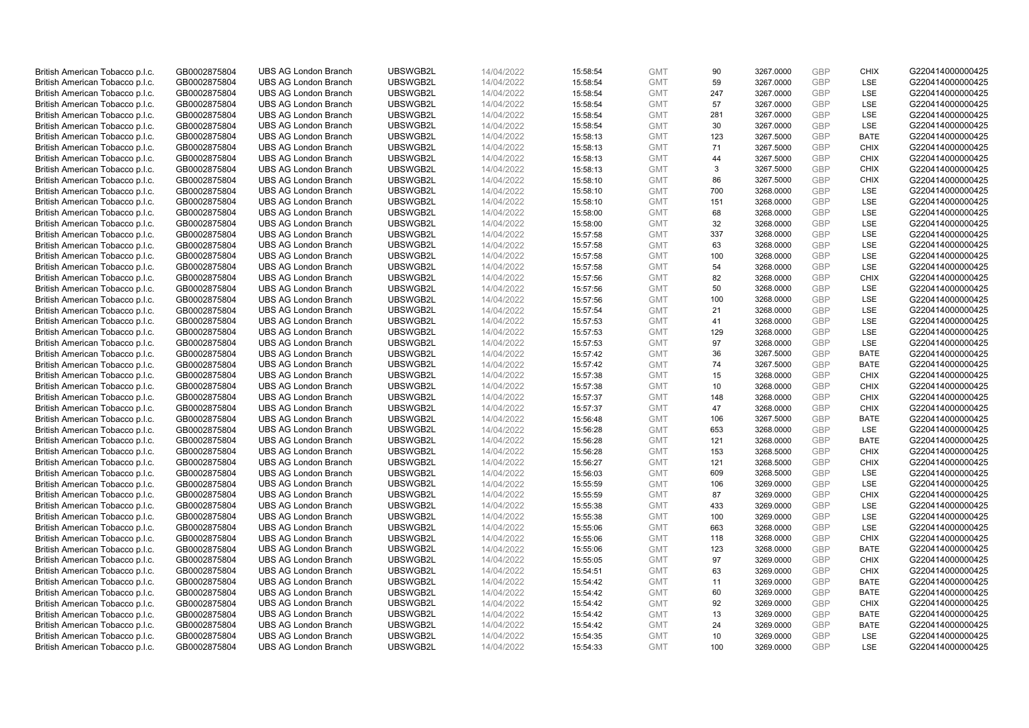| British American Tobacco p.l.c.                                    | GB0002875804                 | <b>UBS AG London Branch</b>                                | UBSWGB2L             | 14/04/2022               | 15:58:54             | <b>GMT</b>               | 90       | 3267.0000              | GBP                      | <b>CHIX</b>                | G220414000000425                     |
|--------------------------------------------------------------------|------------------------------|------------------------------------------------------------|----------------------|--------------------------|----------------------|--------------------------|----------|------------------------|--------------------------|----------------------------|--------------------------------------|
| British American Tobacco p.l.c.                                    | GB0002875804                 | <b>UBS AG London Branch</b>                                | UBSWGB2L             | 14/04/2022               | 15:58:54             | <b>GMT</b>               | 59       | 3267.0000              | <b>GBP</b>               | <b>LSE</b>                 | G220414000000425                     |
| British American Tobacco p.l.c.                                    | GB0002875804                 | <b>UBS AG London Branch</b>                                | UBSWGB2L             | 14/04/2022               | 15:58:54             | <b>GMT</b>               | 247      | 3267.0000              | GBP                      | LSE                        | G220414000000425                     |
| British American Tobacco p.l.c.                                    | GB0002875804                 | <b>UBS AG London Branch</b>                                | UBSWGB2L             | 14/04/2022               | 15:58:54             | <b>GMT</b>               | 57       | 3267.0000              | <b>GBP</b>               | LSE                        | G220414000000425                     |
| British American Tobacco p.l.c.                                    | GB0002875804                 | <b>UBS AG London Branch</b>                                | UBSWGB2L             | 14/04/2022               | 15:58:54             | <b>GMT</b>               | 281      | 3267.0000              | GBP                      | LSE                        | G220414000000425                     |
| British American Tobacco p.l.c.                                    | GB0002875804                 | <b>UBS AG London Branch</b>                                | UBSWGB2L             | 14/04/2022               | 15:58:54             | <b>GMT</b>               | 30       | 3267.0000              | <b>GBP</b>               | LSE                        | G220414000000425                     |
| British American Tobacco p.l.c.                                    | GB0002875804                 | <b>UBS AG London Branch</b>                                | UBSWGB2L             | 14/04/2022               | 15:58:13             | <b>GMT</b>               | 123      | 3267.5000              | GBP                      | <b>BATE</b>                | G220414000000425                     |
| British American Tobacco p.l.c.                                    | GB0002875804                 | <b>UBS AG London Branch</b>                                | UBSWGB2L             | 14/04/2022               | 15:58:13             | <b>GMT</b>               | 71       | 3267.5000              | <b>GBP</b>               | <b>CHIX</b>                | G220414000000425                     |
| British American Tobacco p.l.c.                                    | GB0002875804                 | <b>UBS AG London Branch</b>                                | UBSWGB2L             | 14/04/2022               | 15:58:13             | <b>GMT</b>               | 44       | 3267.5000              | GBP                      | <b>CHIX</b>                | G220414000000425                     |
| British American Tobacco p.l.c.                                    | GB0002875804                 | <b>UBS AG London Branch</b>                                | UBSWGB2L             | 14/04/2022               | 15:58:13             | <b>GMT</b>               | 3        | 3267.5000              | <b>GBP</b>               | <b>CHIX</b>                | G220414000000425                     |
| British American Tobacco p.l.c.                                    | GB0002875804                 | <b>UBS AG London Branch</b>                                | UBSWGB2L             | 14/04/2022               | 15:58:10             | <b>GMT</b>               | 86       | 3267.5000              | GBP                      | <b>CHIX</b>                | G220414000000425                     |
| British American Tobacco p.l.c.                                    | GB0002875804                 | <b>UBS AG London Branch</b>                                | UBSWGB2L             | 14/04/2022               | 15:58:10             | <b>GMT</b>               | 700      | 3268.0000              | <b>GBP</b>               | LSE                        | G220414000000425                     |
| British American Tobacco p.l.c.                                    | GB0002875804                 | <b>UBS AG London Branch</b>                                | UBSWGB2L             | 14/04/2022               | 15:58:10             | <b>GMT</b>               | 151      | 3268.0000              | <b>GBP</b>               | LSE                        | G220414000000425                     |
| British American Tobacco p.l.c.                                    | GB0002875804                 | <b>UBS AG London Branch</b>                                | UBSWGB2L             | 14/04/2022               | 15:58:00             | <b>GMT</b>               | 68       | 3268.0000              | GBP                      | LSE                        | G220414000000425                     |
| British American Tobacco p.l.c.                                    | GB0002875804                 | <b>UBS AG London Branch</b>                                | UBSWGB2L             | 14/04/2022               | 15:58:00             | <b>GMT</b>               | 32       | 3268.0000              | <b>GBP</b>               | <b>LSE</b>                 | G220414000000425                     |
| British American Tobacco p.l.c.                                    | GB0002875804                 | <b>UBS AG London Branch</b>                                | UBSWGB2L             | 14/04/2022               | 15:57:58             | <b>GMT</b>               | 337      | 3268.0000              | GBP                      | LSE                        | G220414000000425                     |
| British American Tobacco p.l.c.                                    | GB0002875804                 | <b>UBS AG London Branch</b>                                | UBSWGB2L             | 14/04/2022               | 15:57:58             | <b>GMT</b>               | 63       | 3268.0000              | <b>GBP</b>               | LSE                        | G220414000000425                     |
| British American Tobacco p.l.c.                                    | GB0002875804                 | <b>UBS AG London Branch</b>                                | UBSWGB2L             | 14/04/2022               | 15:57:58             | <b>GMT</b>               | 100      | 3268.0000              | GBP                      | LSE                        | G220414000000425                     |
| British American Tobacco p.l.c.                                    | GB0002875804                 | <b>UBS AG London Branch</b>                                | UBSWGB2L             | 14/04/2022               | 15:57:58             | <b>GMT</b>               | 54       | 3268.0000              | <b>GBP</b>               | <b>LSE</b>                 | G220414000000425                     |
| British American Tobacco p.l.c.                                    | GB0002875804                 | <b>UBS AG London Branch</b>                                | UBSWGB2L             | 14/04/2022               | 15:57:56             | <b>GMT</b>               | 82       | 3268.0000              | <b>GBP</b>               | <b>CHIX</b>                | G220414000000425                     |
| British American Tobacco p.l.c.                                    | GB0002875804                 | <b>UBS AG London Branch</b>                                | UBSWGB2L             | 14/04/2022               | 15:57:56             | <b>GMT</b>               | 50       | 3268.0000              | <b>GBP</b>               | LSE                        | G220414000000425                     |
| British American Tobacco p.l.c.                                    | GB0002875804                 | <b>UBS AG London Branch</b>                                | UBSWGB2L             | 14/04/2022               | 15:57:56             | <b>GMT</b>               | 100      | 3268.0000              | GBP                      | LSE                        | G220414000000425                     |
| British American Tobacco p.l.c.                                    | GB0002875804                 | <b>UBS AG London Branch</b>                                | UBSWGB2L             | 14/04/2022               | 15:57:54             | <b>GMT</b>               | 21       | 3268.0000              | <b>GBP</b>               | LSE                        | G220414000000425                     |
| British American Tobacco p.l.c.                                    | GB0002875804                 | <b>UBS AG London Branch</b>                                | UBSWGB2L             | 14/04/2022               | 15:57:53             | <b>GMT</b>               | 41       | 3268.0000              | GBP                      | LSE                        | G220414000000425                     |
| British American Tobacco p.l.c.                                    | GB0002875804                 | <b>UBS AG London Branch</b>                                | UBSWGB2L             | 14/04/2022               | 15:57:53             | <b>GMT</b>               | 129      | 3268.0000              | <b>GBP</b>               | LSE                        | G220414000000425                     |
| British American Tobacco p.l.c.                                    | GB0002875804                 | <b>UBS AG London Branch</b>                                | UBSWGB2L             | 14/04/2022               | 15:57:53             | <b>GMT</b>               | 97       | 3268.0000              | <b>GBP</b>               | LSE                        | G220414000000425                     |
| British American Tobacco p.l.c.                                    | GB0002875804                 | <b>UBS AG London Branch</b>                                | UBSWGB2L             | 14/04/2022               | 15:57:42             | <b>GMT</b>               | 36       | 3267.5000              | GBP                      | <b>BATE</b>                | G220414000000425                     |
| British American Tobacco p.l.c.                                    | GB0002875804                 | <b>UBS AG London Branch</b>                                | UBSWGB2L             | 14/04/2022               | 15:57:42             | <b>GMT</b>               | 74       | 3267.5000              | <b>GBP</b>               | <b>BATE</b>                | G220414000000425                     |
| British American Tobacco p.l.c.                                    | GB0002875804                 | <b>UBS AG London Branch</b>                                | UBSWGB2L             | 14/04/2022               | 15:57:38             | <b>GMT</b>               | 15       | 3268.0000              | GBP                      | <b>CHIX</b>                | G220414000000425                     |
| British American Tobacco p.l.c.                                    | GB0002875804                 | <b>UBS AG London Branch</b>                                | UBSWGB2L             | 14/04/2022               | 15:57:38             | <b>GMT</b>               | 10       | 3268.0000              | <b>GBP</b>               | <b>CHIX</b>                | G220414000000425                     |
| British American Tobacco p.l.c.                                    | GB0002875804                 | <b>UBS AG London Branch</b>                                | UBSWGB2L             | 14/04/2022               | 15:57:37             | <b>GMT</b>               | 148      | 3268.0000              | GBP                      | <b>CHIX</b>                | G220414000000425                     |
| British American Tobacco p.l.c.                                    | GB0002875804                 | <b>UBS AG London Branch</b>                                | UBSWGB2L             | 14/04/2022               | 15:57:37             | <b>GMT</b>               | 47       | 3268.0000              | <b>GBP</b>               | <b>CHIX</b>                | G220414000000425                     |
| British American Tobacco p.l.c.                                    | GB0002875804                 | <b>UBS AG London Branch</b>                                | UBSWGB2L             | 14/04/2022               | 15:56:48             | <b>GMT</b>               | 106      | 3267.5000              | GBP                      | <b>BATE</b>                | G220414000000425                     |
| British American Tobacco p.l.c.                                    | GB0002875804                 | <b>UBS AG London Branch</b>                                | UBSWGB2L             | 14/04/2022               | 15:56:28             | <b>GMT</b>               | 653      | 3268.0000              | GBP                      | LSE                        | G220414000000425                     |
| British American Tobacco p.l.c.                                    | GB0002875804                 | <b>UBS AG London Branch</b>                                | UBSWGB2L             | 14/04/2022               | 15:56:28             | <b>GMT</b>               | 121      | 3268.0000              | <b>GBP</b>               | <b>BATE</b>                | G220414000000425                     |
| British American Tobacco p.l.c.                                    | GB0002875804                 | <b>UBS AG London Branch</b>                                | UBSWGB2L             | 14/04/2022               | 15:56:28             | <b>GMT</b>               | 153      | 3268.5000              | <b>GBP</b>               | <b>CHIX</b>                | G220414000000425                     |
| British American Tobacco p.l.c.                                    | GB0002875804                 | <b>UBS AG London Branch</b>                                | UBSWGB2L             | 14/04/2022               | 15:56:27             | <b>GMT</b>               | 121      | 3268.5000              | GBP                      | <b>CHIX</b>                | G220414000000425                     |
| British American Tobacco p.l.c.                                    | GB0002875804                 | <b>UBS AG London Branch</b>                                | UBSWGB2L             | 14/04/2022               | 15:56:03             | <b>GMT</b>               | 609      | 3268.5000              | <b>GBP</b>               | LSE                        | G220414000000425                     |
| British American Tobacco p.l.c.                                    | GB0002875804                 | <b>UBS AG London Branch</b>                                | UBSWGB2L             | 14/04/2022               | 15:55:59             | <b>GMT</b>               | 106      | 3269.0000              | <b>GBP</b>               | LSE                        | G220414000000425                     |
| British American Tobacco p.l.c.                                    | GB0002875804                 | <b>UBS AG London Branch</b>                                | UBSWGB2L             | 14/04/2022               | 15:55:59             | <b>GMT</b>               | 87       | 3269.0000              | GBP                      | <b>CHIX</b>                | G220414000000425                     |
| British American Tobacco p.l.c.                                    | GB0002875804                 | <b>UBS AG London Branch</b>                                | UBSWGB2L             | 14/04/2022               | 15:55:38             | <b>GMT</b>               | 433      | 3269.0000              | <b>GBP</b>               | <b>LSE</b>                 | G220414000000425                     |
| British American Tobacco p.l.c.                                    | GB0002875804                 | <b>UBS AG London Branch</b>                                | UBSWGB2L             | 14/04/2022               | 15:55:38             | <b>GMT</b>               | 100      | 3269.0000              | GBP                      | LSE                        | G220414000000425                     |
| British American Tobacco p.l.c.                                    | GB0002875804                 | <b>UBS AG London Branch</b>                                | UBSWGB2L             | 14/04/2022               | 15:55:06             | <b>GMT</b>               | 663      | 3268.0000              | <b>GBP</b>               | LSE                        | G220414000000425                     |
| British American Tobacco p.l.c.                                    | GB0002875804                 | <b>UBS AG London Branch</b>                                | UBSWGB2L             | 14/04/2022               | 15:55:06             | <b>GMT</b>               | 118      | 3268.0000              | GBP                      | <b>CHIX</b>                | G220414000000425                     |
| British American Tobacco p.l.c.                                    | GB0002875804                 | <b>UBS AG London Branch</b>                                | UBSWGB2L             | 14/04/2022               | 15:55:06             | <b>GMT</b>               | 123      | 3268.0000              | GBP                      | <b>BATE</b>                | G220414000000425                     |
| British American Tobacco p.l.c.                                    | GB0002875804                 | <b>UBS AG London Branch</b>                                | UBSWGB2L             | 14/04/2022               | 15:55:05             | <b>GMT</b>               | 97       | 3269.0000              | GBP                      | <b>CHIX</b>                | G220414000000425                     |
| British American Tobacco p.l.c.                                    | GB0002875804                 | <b>UBS AG London Branch</b>                                | UBSWGB2L             | 14/04/2022               | 15:54:51             | <b>GMT</b>               | 63       | 3269.0000              | GBP                      | <b>CHIX</b>                | G220414000000425                     |
| British American Tobacco p.l.c.                                    | GB0002875804                 | <b>UBS AG London Branch</b>                                | UBSWGB2L             | 14/04/2022               | 15:54:42             | <b>GMT</b>               | 11       | 3269.0000              | <b>GBP</b>               | <b>BATE</b>                | G220414000000425                     |
| British American Tobacco p.l.c.                                    | GB0002875804                 | <b>UBS AG London Branch</b>                                | UBSWGB2L             | 14/04/2022               | 15:54:42             | <b>GMT</b>               | 60       | 3269.0000              | GBP                      | <b>BATE</b>                | G220414000000425                     |
| British American Tobacco p.l.c.                                    | GB0002875804                 | <b>UBS AG London Branch</b>                                | UBSWGB2L             | 14/04/2022               | 15:54:42             | <b>GMT</b>               | 92       | 3269.0000              | GBP                      | <b>CHIX</b>                | G220414000000425                     |
| British American Tobacco p.l.c.                                    | GB0002875804                 | <b>UBS AG London Branch</b><br><b>UBS AG London Branch</b> | UBSWGB2L<br>UBSWGB2L | 14/04/2022               | 15:54:42             | <b>GMT</b>               | 13<br>24 | 3269.0000              | <b>GBP</b><br><b>GBP</b> | <b>BATE</b><br><b>BATE</b> | G220414000000425<br>G220414000000425 |
| British American Tobacco p.l.c.                                    | GB0002875804<br>GB0002875804 | <b>UBS AG London Branch</b>                                | UBSWGB2L             | 14/04/2022<br>14/04/2022 | 15:54:42             | <b>GMT</b><br><b>GMT</b> | 10       | 3269.0000              | GBP                      | LSE                        | G220414000000425                     |
| British American Tobacco p.l.c.<br>British American Tobacco p.l.c. | GB0002875804                 | <b>UBS AG London Branch</b>                                | UBSWGB2L             | 14/04/2022               | 15:54:35<br>15:54:33 | <b>GMT</b>               | 100      | 3269.0000<br>3269.0000 | <b>GBP</b>               | <b>LSE</b>                 | G220414000000425                     |
|                                                                    |                              |                                                            |                      |                          |                      |                          |          |                        |                          |                            |                                      |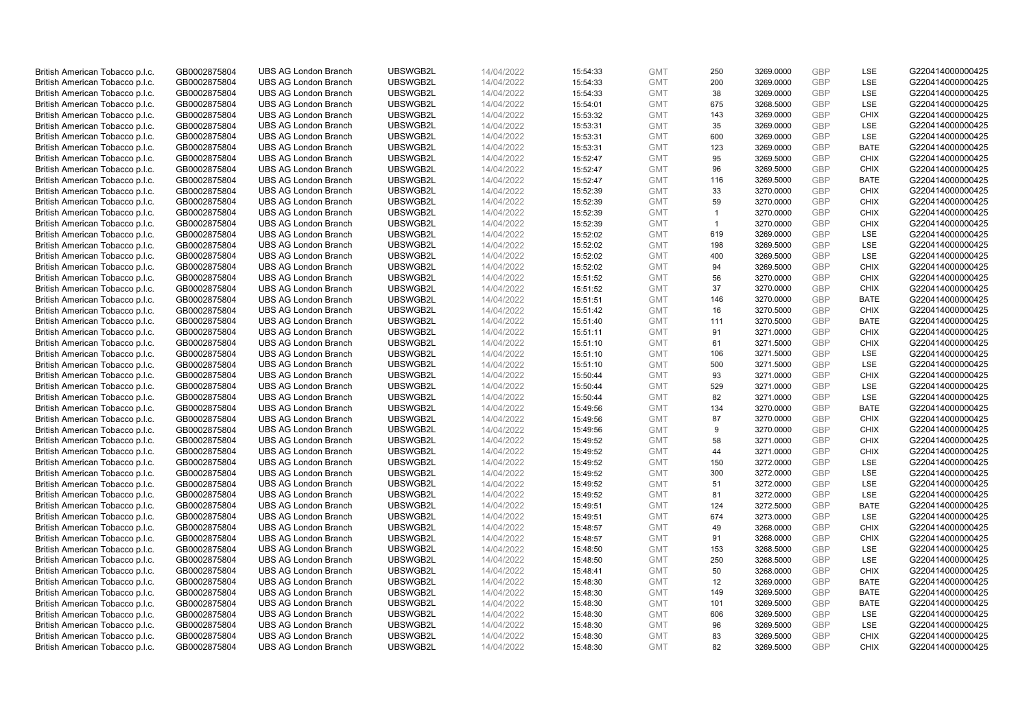| British American Tobacco p.l.c.                                    | GB0002875804                 | <b>UBS AG London Branch</b>                                | UBSWGB2L             | 14/04/2022               | 15:54:33             | <b>GMT</b>               | 250          | 3269.0000              | GBP               | LSE                        | G220414000000425                     |
|--------------------------------------------------------------------|------------------------------|------------------------------------------------------------|----------------------|--------------------------|----------------------|--------------------------|--------------|------------------------|-------------------|----------------------------|--------------------------------------|
| British American Tobacco p.l.c.                                    | GB0002875804                 | <b>UBS AG London Branch</b>                                | UBSWGB2L             | 14/04/2022               | 15:54:33             | <b>GMT</b>               | 200          | 3269.0000              | <b>GBP</b>        | LSE                        | G220414000000425                     |
| British American Tobacco p.l.c.                                    | GB0002875804                 | <b>UBS AG London Branch</b>                                | UBSWGB2L             | 14/04/2022               | 15:54:33             | <b>GMT</b>               | 38           | 3269.0000              | GBP               | LSE                        | G220414000000425                     |
| British American Tobacco p.l.c.                                    | GB0002875804                 | <b>UBS AG London Branch</b>                                | UBSWGB2L             | 14/04/2022               | 15:54:01             | <b>GMT</b>               | 675          | 3268.5000              | <b>GBP</b>        | LSE                        | G220414000000425                     |
| British American Tobacco p.l.c.                                    | GB0002875804                 | <b>UBS AG London Branch</b>                                | UBSWGB2L             | 14/04/2022               | 15:53:32             | <b>GMT</b>               | 143          | 3269.0000              | GBP               | <b>CHIX</b>                | G220414000000425                     |
| British American Tobacco p.l.c.                                    | GB0002875804                 | <b>UBS AG London Branch</b>                                | UBSWGB2L             | 14/04/2022               | 15:53:31             | <b>GMT</b>               | 35           | 3269.0000              | <b>GBP</b>        | LSE                        | G220414000000425                     |
| British American Tobacco p.l.c.                                    | GB0002875804                 | <b>UBS AG London Branch</b>                                | UBSWGB2L             | 14/04/2022               | 15:53:31             | <b>GMT</b>               | 600          | 3269.0000              | <b>GBP</b>        | LSE                        | G220414000000425                     |
| British American Tobacco p.l.c.                                    | GB0002875804                 | <b>UBS AG London Branch</b>                                | UBSWGB2L             | 14/04/2022               | 15:53:31             | <b>GMT</b>               | 123          | 3269.0000              | <b>GBP</b>        | <b>BATE</b>                | G220414000000425                     |
| British American Tobacco p.l.c.                                    | GB0002875804                 | <b>UBS AG London Branch</b>                                | UBSWGB2L             | 14/04/2022               | 15:52:47             | <b>GMT</b>               | 95           | 3269.5000              | <b>GBP</b>        | <b>CHIX</b>                | G220414000000425                     |
| British American Tobacco p.l.c.                                    | GB0002875804                 | <b>UBS AG London Branch</b>                                | UBSWGB2L             | 14/04/2022               | 15:52:47             | <b>GMT</b>               | 96           | 3269.5000              | <b>GBP</b>        | <b>CHIX</b>                | G220414000000425                     |
| British American Tobacco p.l.c.                                    | GB0002875804                 | <b>UBS AG London Branch</b>                                | UBSWGB2L             | 14/04/2022               | 15:52:47             | <b>GMT</b>               | 116          | 3269.5000              | GBP               | <b>BATE</b>                | G220414000000425                     |
| British American Tobacco p.l.c.                                    | GB0002875804                 | <b>UBS AG London Branch</b>                                | UBSWGB2L             | 14/04/2022               | 15:52:39             | <b>GMT</b>               | 33           | 3270.0000              | <b>GBP</b>        | <b>CHIX</b>                | G220414000000425                     |
| British American Tobacco p.l.c.                                    | GB0002875804                 | <b>UBS AG London Branch</b>                                | UBSWGB2L             | 14/04/2022               | 15:52:39             | <b>GMT</b>               | 59           | 3270.0000              | <b>GBP</b>        | <b>CHIX</b>                | G220414000000425                     |
| British American Tobacco p.l.c.                                    | GB0002875804                 | <b>UBS AG London Branch</b>                                | UBSWGB2L             | 14/04/2022               | 15:52:39             | <b>GMT</b>               | $\mathbf{1}$ | 3270.0000              | GBP               | <b>CHIX</b>                | G220414000000425                     |
| British American Tobacco p.l.c.                                    | GB0002875804                 | <b>UBS AG London Branch</b>                                | UBSWGB2L             | 14/04/2022               | 15:52:39             | <b>GMT</b>               | $\mathbf{1}$ | 3270.0000              | <b>GBP</b>        | <b>CHIX</b>                | G220414000000425                     |
| British American Tobacco p.l.c.                                    | GB0002875804                 | <b>UBS AG London Branch</b>                                | UBSWGB2L             | 14/04/2022               | 15:52:02             | <b>GMT</b>               | 619          | 3269.0000              | GBP               | LSE                        | G220414000000425                     |
| British American Tobacco p.l.c.                                    | GB0002875804                 | <b>UBS AG London Branch</b>                                | UBSWGB2L             | 14/04/2022               | 15:52:02             | <b>GMT</b>               | 198          | 3269.5000              | <b>GBP</b>        | LSE                        | G220414000000425                     |
| British American Tobacco p.l.c.                                    | GB0002875804                 | <b>UBS AG London Branch</b>                                | UBSWGB2L             | 14/04/2022               | 15:52:02             | <b>GMT</b>               | 400          | 3269.5000              | GBP               | LSE                        | G220414000000425                     |
| British American Tobacco p.l.c.                                    | GB0002875804                 | <b>UBS AG London Branch</b>                                | UBSWGB2L             | 14/04/2022               | 15:52:02             | <b>GMT</b>               | 94           | 3269.5000              | <b>GBP</b>        | <b>CHIX</b>                | G220414000000425                     |
| British American Tobacco p.l.c.                                    | GB0002875804                 | <b>UBS AG London Branch</b>                                | UBSWGB2L             | 14/04/2022               | 15:51:52             | <b>GMT</b>               | 56           | 3270.0000              | GBP               | <b>CHIX</b>                | G220414000000425                     |
| British American Tobacco p.l.c.                                    | GB0002875804                 | <b>UBS AG London Branch</b>                                | UBSWGB2L             | 14/04/2022               | 15:51:52             | <b>GMT</b>               | 37           | 3270.0000              | GBP               | <b>CHIX</b>                | G220414000000425                     |
| British American Tobacco p.l.c.                                    | GB0002875804                 | <b>UBS AG London Branch</b>                                | UBSWGB2L             | 14/04/2022               | 15:51:51             | <b>GMT</b>               | 146          | 3270.0000              | GBP               | <b>BATE</b>                | G220414000000425                     |
| British American Tobacco p.l.c.                                    | GB0002875804                 | <b>UBS AG London Branch</b>                                | UBSWGB2L             | 14/04/2022               | 15:51:42             | <b>GMT</b>               | 16           | 3270.5000              | <b>GBP</b>        | <b>CHIX</b>                | G220414000000425                     |
| British American Tobacco p.l.c.                                    | GB0002875804                 | <b>UBS AG London Branch</b>                                | UBSWGB2L             | 14/04/2022               | 15:51:40             | <b>GMT</b>               | 111          | 3270.5000              | GBP               | <b>BATE</b>                | G220414000000425                     |
| British American Tobacco p.l.c.                                    | GB0002875804                 | <b>UBS AG London Branch</b>                                | UBSWGB2L             | 14/04/2022               | 15:51:11             | <b>GMT</b>               | 91           | 3271.0000              | <b>GBP</b>        | <b>CHIX</b>                | G220414000000425                     |
| British American Tobacco p.l.c.                                    | GB0002875804                 | <b>UBS AG London Branch</b>                                | UBSWGB2L             | 14/04/2022               | 15:51:10             | <b>GMT</b>               | 61           | 3271.5000              | <b>GBP</b>        | <b>CHIX</b>                | G220414000000425                     |
| British American Tobacco p.l.c.                                    | GB0002875804                 | <b>UBS AG London Branch</b>                                | UBSWGB2L             | 14/04/2022               | 15:51:10             | <b>GMT</b>               | 106          | 3271.5000              | GBP               | LSE                        | G220414000000425                     |
| British American Tobacco p.l.c.                                    | GB0002875804                 | <b>UBS AG London Branch</b>                                | UBSWGB2L             | 14/04/2022               | 15:51:10             | <b>GMT</b>               | 500          | 3271.5000              | <b>GBP</b>        | <b>LSE</b>                 | G220414000000425                     |
| British American Tobacco p.l.c.                                    | GB0002875804                 | <b>UBS AG London Branch</b>                                | UBSWGB2L             | 14/04/2022               | 15:50:44             | <b>GMT</b>               | 93           | 3271.0000              | GBP               | <b>CHIX</b>                | G220414000000425                     |
| British American Tobacco p.l.c.                                    | GB0002875804                 | <b>UBS AG London Branch</b>                                | UBSWGB2L             | 14/04/2022               | 15:50:44             | <b>GMT</b>               | 529          | 3271.0000              | <b>GBP</b>        | LSE                        | G220414000000425                     |
| British American Tobacco p.l.c.                                    | GB0002875804                 | <b>UBS AG London Branch</b>                                | UBSWGB2L             | 14/04/2022               | 15:50:44             | <b>GMT</b>               | 82           | 3271.0000              | GBP               | LSE                        | G220414000000425                     |
| British American Tobacco p.l.c.                                    | GB0002875804                 | <b>UBS AG London Branch</b>                                | UBSWGB2L             | 14/04/2022               | 15:49:56             | <b>GMT</b>               | 134          | 3270.0000              | <b>GBP</b>        | <b>BATE</b>                | G220414000000425                     |
| British American Tobacco p.l.c.                                    | GB0002875804                 | <b>UBS AG London Branch</b>                                | UBSWGB2L             | 14/04/2022               | 15:49:56             | <b>GMT</b>               | 87           | 3270.0000              | GBP               | <b>CHIX</b>                | G220414000000425                     |
| British American Tobacco p.l.c.                                    | GB0002875804                 | <b>UBS AG London Branch</b>                                | UBSWGB2L             | 14/04/2022               | 15:49:56             | <b>GMT</b>               | 9            | 3270.0000              | GBP               | <b>CHIX</b>                | G220414000000425                     |
| British American Tobacco p.l.c.                                    | GB0002875804                 | <b>UBS AG London Branch</b>                                | UBSWGB2L             | 14/04/2022               | 15:49:52             | <b>GMT</b>               | 58           | 3271.0000              | GBP               | <b>CHIX</b>                | G220414000000425                     |
| British American Tobacco p.l.c.                                    | GB0002875804                 | <b>UBS AG London Branch</b>                                | UBSWGB2L             | 14/04/2022               | 15:49:52             | <b>GMT</b>               | 44           | 3271.0000              | <b>GBP</b>        | <b>CHIX</b>                | G220414000000425                     |
| British American Tobacco p.l.c.                                    | GB0002875804                 | <b>UBS AG London Branch</b>                                | UBSWGB2L             | 14/04/2022               | 15:49:52             | <b>GMT</b>               | 150          | 3272.0000              | GBP               | <b>LSE</b>                 | G220414000000425                     |
| British American Tobacco p.l.c.                                    | GB0002875804                 | <b>UBS AG London Branch</b>                                | UBSWGB2L             | 14/04/2022               | 15:49:52             | <b>GMT</b>               | 300          | 3272.0000              | <b>GBP</b>        | LSE                        | G220414000000425                     |
| British American Tobacco p.l.c.                                    | GB0002875804                 | <b>UBS AG London Branch</b>                                | UBSWGB2L             | 14/04/2022               | 15:49:52             | <b>GMT</b>               | 51           | 3272.0000              | <b>GBP</b>        | LSE                        | G220414000000425                     |
| British American Tobacco p.l.c.                                    | GB0002875804                 | <b>UBS AG London Branch</b>                                | UBSWGB2L             | 14/04/2022               | 15:49:52             | <b>GMT</b>               | 81           | 3272.0000              | GBP               | LSE                        | G220414000000425                     |
| British American Tobacco p.l.c.                                    | GB0002875804                 | <b>UBS AG London Branch</b>                                | UBSWGB2L             | 14/04/2022               | 15:49:51             | <b>GMT</b>               | 124          | 3272.5000              | <b>GBP</b>        | <b>BATE</b>                | G220414000000425                     |
| British American Tobacco p.l.c.                                    | GB0002875804                 | <b>UBS AG London Branch</b>                                | UBSWGB2L             | 14/04/2022               | 15:49:51             | <b>GMT</b>               | 674          | 3273.0000              | GBP               | LSE                        | G220414000000425                     |
| British American Tobacco p.l.c.                                    | GB0002875804                 | <b>UBS AG London Branch</b>                                | UBSWGB2L             | 14/04/2022               | 15:48:57             | <b>GMT</b>               | 49           | 3268.0000              | <b>GBP</b>        | <b>CHIX</b>                | G220414000000425                     |
| British American Tobacco p.l.c.                                    | GB0002875804                 | <b>UBS AG London Branch</b>                                | UBSWGB2L<br>UBSWGB2L | 14/04/2022               | 15:48:57             | <b>GMT</b>               | 91<br>153    | 3268.0000              | GBP<br><b>GBP</b> | <b>CHIX</b><br><b>LSE</b>  | G220414000000425                     |
| British American Tobacco p.l.c.                                    | GB0002875804<br>GB0002875804 | <b>UBS AG London Branch</b><br><b>UBS AG London Branch</b> | UBSWGB2L             | 14/04/2022<br>14/04/2022 | 15:48:50             | <b>GMT</b><br><b>GMT</b> | 250          | 3268.5000              | GBP               | LSE                        | G220414000000425<br>G220414000000425 |
| British American Tobacco p.l.c.                                    |                              |                                                            |                      |                          | 15:48:50             | <b>GMT</b>               | 50           | 3268.5000              |                   | <b>CHIX</b>                |                                      |
| British American Tobacco p.l.c.<br>British American Tobacco p.l.c. | GB0002875804<br>GB0002875804 | <b>UBS AG London Branch</b><br><b>UBS AG London Branch</b> | UBSWGB2L<br>UBSWGB2L | 14/04/2022<br>14/04/2022 | 15:48:41<br>15:48:30 | <b>GMT</b>               | 12           | 3268.0000<br>3269.0000 | GBP<br><b>GBP</b> | <b>BATE</b>                | G220414000000425<br>G220414000000425 |
|                                                                    |                              |                                                            |                      |                          |                      |                          |              |                        | GBP               |                            |                                      |
| British American Tobacco p.l.c.<br>British American Tobacco p.l.c. | GB0002875804<br>GB0002875804 | <b>UBS AG London Branch</b><br><b>UBS AG London Branch</b> | UBSWGB2L<br>UBSWGB2L | 14/04/2022<br>14/04/2022 | 15:48:30             | <b>GMT</b><br><b>GMT</b> | 149<br>101   | 3269.5000              | GBP               | <b>BATE</b><br><b>BATE</b> | G220414000000425<br>G220414000000425 |
| British American Tobacco p.l.c.                                    | GB0002875804                 | <b>UBS AG London Branch</b>                                | UBSWGB2L             | 14/04/2022               | 15:48:30<br>15:48:30 | <b>GMT</b>               | 606          | 3269.5000<br>3269.5000 | <b>GBP</b>        | LSE                        | G220414000000425                     |
| British American Tobacco p.l.c.                                    | GB0002875804                 | <b>UBS AG London Branch</b>                                | UBSWGB2L             | 14/04/2022               | 15:48:30             | <b>GMT</b>               | 96           | 3269.5000              | <b>GBP</b>        | LSE                        | G220414000000425                     |
| British American Tobacco p.l.c.                                    | GB0002875804                 | <b>UBS AG London Branch</b>                                | UBSWGB2L             | 14/04/2022               | 15:48:30             | <b>GMT</b>               | 83           | 3269.5000              | GBP               | <b>CHIX</b>                | G220414000000425                     |
| British American Tobacco p.l.c.                                    | GB0002875804                 | <b>UBS AG London Branch</b>                                | UBSWGB2L             | 14/04/2022               | 15:48:30             | <b>GMT</b>               | 82           | 3269.5000              | <b>GBP</b>        | <b>CHIX</b>                | G220414000000425                     |
|                                                                    |                              |                                                            |                      |                          |                      |                          |              |                        |                   |                            |                                      |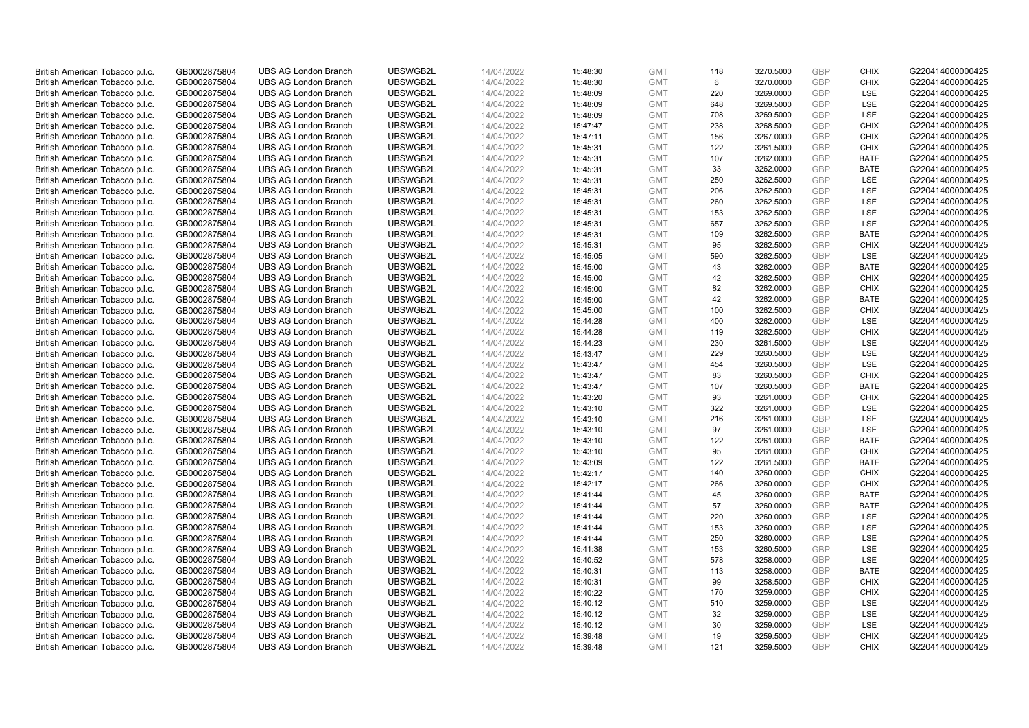| British American Tobacco p.l.c. | GB0002875804 | <b>UBS AG London Branch</b> | UBSWGB2L | 14/04/2022 | 15:48:30 | <b>GMT</b> | 118 | 3270.5000 | GBP        | <b>CHIX</b> | G220414000000425 |
|---------------------------------|--------------|-----------------------------|----------|------------|----------|------------|-----|-----------|------------|-------------|------------------|
| British American Tobacco p.l.c. | GB0002875804 | <b>UBS AG London Branch</b> | UBSWGB2L | 14/04/2022 | 15:48:30 | <b>GMT</b> | 6   | 3270.0000 | <b>GBP</b> | <b>CHIX</b> | G220414000000425 |
| British American Tobacco p.l.c. | GB0002875804 | <b>UBS AG London Branch</b> | UBSWGB2L | 14/04/2022 | 15:48:09 | <b>GMT</b> | 220 | 3269.0000 | GBP        | LSE         | G220414000000425 |
| British American Tobacco p.l.c. | GB0002875804 | <b>UBS AG London Branch</b> | UBSWGB2L | 14/04/2022 | 15:48:09 | <b>GMT</b> | 648 | 3269.5000 | <b>GBP</b> | LSE         | G220414000000425 |
| British American Tobacco p.l.c. | GB0002875804 | <b>UBS AG London Branch</b> | UBSWGB2L | 14/04/2022 | 15:48:09 | <b>GMT</b> | 708 | 3269.5000 | GBP        | LSE         | G220414000000425 |
| British American Tobacco p.l.c. | GB0002875804 | <b>UBS AG London Branch</b> | UBSWGB2L | 14/04/2022 | 15:47:47 | <b>GMT</b> | 238 | 3268.5000 | <b>GBP</b> | <b>CHIX</b> | G220414000000425 |
| British American Tobacco p.l.c. | GB0002875804 | <b>UBS AG London Branch</b> | UBSWGB2L | 14/04/2022 | 15:47:11 | <b>GMT</b> | 156 | 3267.0000 | GBP        | <b>CHIX</b> | G220414000000425 |
| British American Tobacco p.l.c. | GB0002875804 | <b>UBS AG London Branch</b> | UBSWGB2L | 14/04/2022 | 15:45:31 | <b>GMT</b> | 122 | 3261.5000 | <b>GBP</b> | <b>CHIX</b> | G220414000000425 |
| British American Tobacco p.l.c. | GB0002875804 | <b>UBS AG London Branch</b> | UBSWGB2L | 14/04/2022 | 15:45:31 | <b>GMT</b> | 107 | 3262.0000 | GBP        | <b>BATE</b> | G220414000000425 |
| British American Tobacco p.l.c. | GB0002875804 | <b>UBS AG London Branch</b> | UBSWGB2L | 14/04/2022 | 15:45:31 | <b>GMT</b> | 33  | 3262.0000 | <b>GBP</b> | <b>BATE</b> | G220414000000425 |
| British American Tobacco p.l.c. | GB0002875804 | <b>UBS AG London Branch</b> | UBSWGB2L | 14/04/2022 | 15:45:31 | <b>GMT</b> | 250 | 3262.5000 | GBP        | <b>LSE</b>  | G220414000000425 |
| British American Tobacco p.l.c. | GB0002875804 | <b>UBS AG London Branch</b> | UBSWGB2L | 14/04/2022 | 15:45:31 | <b>GMT</b> | 206 | 3262.5000 | <b>GBP</b> | LSE         | G220414000000425 |
| British American Tobacco p.l.c. | GB0002875804 | <b>UBS AG London Branch</b> | UBSWGB2L | 14/04/2022 | 15:45:31 | <b>GMT</b> | 260 | 3262.5000 | <b>GBP</b> | LSE         | G220414000000425 |
| British American Tobacco p.l.c. | GB0002875804 | <b>UBS AG London Branch</b> | UBSWGB2L | 14/04/2022 | 15:45:31 | <b>GMT</b> | 153 | 3262.5000 | GBP        | LSE         | G220414000000425 |
| British American Tobacco p.l.c. | GB0002875804 | <b>UBS AG London Branch</b> | UBSWGB2L | 14/04/2022 | 15:45:31 | <b>GMT</b> | 657 | 3262.5000 | <b>GBP</b> | <b>LSE</b>  | G220414000000425 |
| British American Tobacco p.l.c. | GB0002875804 | <b>UBS AG London Branch</b> | UBSWGB2L | 14/04/2022 | 15:45:31 | <b>GMT</b> | 109 | 3262.5000 | GBP        | <b>BATE</b> | G220414000000425 |
| British American Tobacco p.l.c. | GB0002875804 | <b>UBS AG London Branch</b> | UBSWGB2L | 14/04/2022 | 15:45:31 | <b>GMT</b> | 95  | 3262.5000 | <b>GBP</b> | <b>CHIX</b> | G220414000000425 |
| British American Tobacco p.l.c. | GB0002875804 | <b>UBS AG London Branch</b> | UBSWGB2L | 14/04/2022 | 15:45:05 | <b>GMT</b> | 590 | 3262.5000 | GBP        | LSE         | G220414000000425 |
| British American Tobacco p.l.c. | GB0002875804 | <b>UBS AG London Branch</b> | UBSWGB2L | 14/04/2022 | 15:45:00 | <b>GMT</b> | 43  | 3262.0000 | <b>GBP</b> | <b>BATE</b> | G220414000000425 |
| British American Tobacco p.l.c. | GB0002875804 | <b>UBS AG London Branch</b> | UBSWGB2L | 14/04/2022 | 15:45:00 | <b>GMT</b> | 42  | 3262.5000 | GBP        | <b>CHIX</b> | G220414000000425 |
| British American Tobacco p.l.c. | GB0002875804 | <b>UBS AG London Branch</b> | UBSWGB2L | 14/04/2022 | 15:45:00 | <b>GMT</b> | 82  | 3262.0000 | GBP        | <b>CHIX</b> | G220414000000425 |
| British American Tobacco p.l.c. | GB0002875804 | <b>UBS AG London Branch</b> | UBSWGB2L | 14/04/2022 | 15:45:00 | <b>GMT</b> | 42  | 3262.0000 | GBP        | <b>BATE</b> | G220414000000425 |
| British American Tobacco p.l.c. | GB0002875804 | <b>UBS AG London Branch</b> | UBSWGB2L | 14/04/2022 | 15:45:00 | <b>GMT</b> | 100 | 3262.5000 | <b>GBP</b> | <b>CHIX</b> | G220414000000425 |
| British American Tobacco p.l.c. | GB0002875804 | <b>UBS AG London Branch</b> | UBSWGB2L | 14/04/2022 | 15:44:28 | <b>GMT</b> | 400 | 3262.0000 | GBP        | <b>LSE</b>  | G220414000000425 |
| British American Tobacco p.l.c. | GB0002875804 | <b>UBS AG London Branch</b> | UBSWGB2L | 14/04/2022 | 15:44:28 | <b>GMT</b> | 119 | 3262.5000 | <b>GBP</b> | <b>CHIX</b> | G220414000000425 |
| British American Tobacco p.l.c. | GB0002875804 | <b>UBS AG London Branch</b> | UBSWGB2L | 14/04/2022 | 15:44:23 | <b>GMT</b> | 230 | 3261.5000 | <b>GBP</b> | <b>LSE</b>  | G220414000000425 |
| British American Tobacco p.l.c. | GB0002875804 | <b>UBS AG London Branch</b> | UBSWGB2L | 14/04/2022 | 15:43:47 | <b>GMT</b> | 229 | 3260.5000 | GBP        | LSE         | G220414000000425 |
| British American Tobacco p.l.c. | GB0002875804 | <b>UBS AG London Branch</b> | UBSWGB2L | 14/04/2022 | 15:43:47 | <b>GMT</b> | 454 | 3260.5000 | <b>GBP</b> | <b>LSE</b>  | G220414000000425 |
| British American Tobacco p.l.c. | GB0002875804 | <b>UBS AG London Branch</b> | UBSWGB2L | 14/04/2022 | 15:43:47 | <b>GMT</b> | 83  | 3260.5000 | GBP        | <b>CHIX</b> | G220414000000425 |
| British American Tobacco p.l.c. | GB0002875804 | <b>UBS AG London Branch</b> | UBSWGB2L | 14/04/2022 | 15:43:47 | <b>GMT</b> | 107 | 3260.5000 | <b>GBP</b> | <b>BATE</b> | G220414000000425 |
| British American Tobacco p.l.c. | GB0002875804 | <b>UBS AG London Branch</b> | UBSWGB2L | 14/04/2022 | 15:43:20 | <b>GMT</b> | 93  | 3261.0000 | GBP        | <b>CHIX</b> | G220414000000425 |
| British American Tobacco p.l.c. | GB0002875804 | <b>UBS AG London Branch</b> | UBSWGB2L | 14/04/2022 | 15:43:10 | <b>GMT</b> | 322 | 3261.0000 | <b>GBP</b> | <b>LSE</b>  | G220414000000425 |
| British American Tobacco p.l.c. | GB0002875804 | <b>UBS AG London Branch</b> | UBSWGB2L | 14/04/2022 | 15:43:10 | <b>GMT</b> | 216 | 3261.0000 | GBP        | LSE         | G220414000000425 |
| British American Tobacco p.l.c. | GB0002875804 | <b>UBS AG London Branch</b> | UBSWGB2L | 14/04/2022 | 15:43:10 | <b>GMT</b> | 97  | 3261.0000 | GBP        | LSE         | G220414000000425 |
| British American Tobacco p.l.c. | GB0002875804 | <b>UBS AG London Branch</b> | UBSWGB2L | 14/04/2022 | 15:43:10 | <b>GMT</b> | 122 | 3261.0000 | <b>GBP</b> | <b>BATE</b> | G220414000000425 |
| British American Tobacco p.l.c. | GB0002875804 | <b>UBS AG London Branch</b> | UBSWGB2L | 14/04/2022 | 15:43:10 | <b>GMT</b> | 95  | 3261.0000 | GBP        | <b>CHIX</b> | G220414000000425 |
| British American Tobacco p.l.c. | GB0002875804 | <b>UBS AG London Branch</b> | UBSWGB2L | 14/04/2022 | 15:43:09 | <b>GMT</b> | 122 | 3261.5000 | GBP        | <b>BATE</b> | G220414000000425 |
| British American Tobacco p.l.c. | GB0002875804 | <b>UBS AG London Branch</b> | UBSWGB2L | 14/04/2022 | 15:42:17 | <b>GMT</b> | 140 | 3260.0000 | <b>GBP</b> | <b>CHIX</b> | G220414000000425 |
| British American Tobacco p.l.c. | GB0002875804 | <b>UBS AG London Branch</b> | UBSWGB2L | 14/04/2022 | 15:42:17 | <b>GMT</b> | 266 | 3260.0000 | <b>GBP</b> | <b>CHIX</b> | G220414000000425 |
| British American Tobacco p.l.c. | GB0002875804 | <b>UBS AG London Branch</b> | UBSWGB2L | 14/04/2022 | 15:41:44 | <b>GMT</b> | 45  | 3260.0000 | GBP        | <b>BATE</b> | G220414000000425 |
| British American Tobacco p.l.c. | GB0002875804 | <b>UBS AG London Branch</b> | UBSWGB2L | 14/04/2022 | 15:41:44 | <b>GMT</b> | 57  | 3260.0000 | <b>GBP</b> | <b>BATE</b> | G220414000000425 |
| British American Tobacco p.l.c. | GB0002875804 | <b>UBS AG London Branch</b> | UBSWGB2L | 14/04/2022 | 15:41:44 | <b>GMT</b> | 220 | 3260.0000 | GBP        | LSE         | G220414000000425 |
| British American Tobacco p.l.c. | GB0002875804 | <b>UBS AG London Branch</b> | UBSWGB2L | 14/04/2022 | 15:41:44 | <b>GMT</b> | 153 | 3260.0000 | <b>GBP</b> | LSE         | G220414000000425 |
| British American Tobacco p.l.c. | GB0002875804 | <b>UBS AG London Branch</b> | UBSWGB2L | 14/04/2022 | 15:41:44 | <b>GMT</b> | 250 | 3260.0000 | GBP        | LSE         | G220414000000425 |
| British American Tobacco p.l.c. | GB0002875804 | <b>UBS AG London Branch</b> | UBSWGB2L | 14/04/2022 | 15:41:38 | <b>GMT</b> | 153 | 3260.5000 | <b>GBP</b> | <b>LSE</b>  | G220414000000425 |
| British American Tobacco p.l.c. | GB0002875804 | <b>UBS AG London Branch</b> | UBSWGB2L | 14/04/2022 | 15:40:52 | <b>GMT</b> | 578 | 3258.0000 | GBP        | LSE         | G220414000000425 |
| British American Tobacco p.l.c. | GB0002875804 | <b>UBS AG London Branch</b> | UBSWGB2L | 14/04/2022 | 15:40:31 | <b>GMT</b> | 113 | 3258.0000 | GBP        | <b>BATE</b> | G220414000000425 |
| British American Tobacco p.l.c. | GB0002875804 | <b>UBS AG London Branch</b> | UBSWGB2L | 14/04/2022 | 15:40:31 | <b>GMT</b> | 99  | 3258.5000 | <b>GBP</b> | <b>CHIX</b> | G220414000000425 |
| British American Tobacco p.l.c. | GB0002875804 | <b>UBS AG London Branch</b> | UBSWGB2L | 14/04/2022 | 15:40:22 | <b>GMT</b> | 170 | 3259.0000 | <b>GBP</b> | <b>CHIX</b> | G220414000000425 |
| British American Tobacco p.l.c. | GB0002875804 | <b>UBS AG London Branch</b> | UBSWGB2L | 14/04/2022 | 15:40:12 | <b>GMT</b> | 510 | 3259.0000 | GBP        | <b>LSE</b>  | G220414000000425 |
| British American Tobacco p.l.c. | GB0002875804 | <b>UBS AG London Branch</b> | UBSWGB2L | 14/04/2022 | 15:40:12 | <b>GMT</b> | 32  | 3259.0000 | <b>GBP</b> | LSE         | G220414000000425 |
| British American Tobacco p.l.c. | GB0002875804 | <b>UBS AG London Branch</b> | UBSWGB2L | 14/04/2022 | 15:40:12 | <b>GMT</b> | 30  | 3259.0000 | <b>GBP</b> | LSE         | G220414000000425 |
| British American Tobacco p.l.c. | GB0002875804 | <b>UBS AG London Branch</b> | UBSWGB2L | 14/04/2022 | 15:39:48 | <b>GMT</b> | 19  | 3259.5000 | GBP        | <b>CHIX</b> | G220414000000425 |
| British American Tobacco p.l.c. | GB0002875804 | <b>UBS AG London Branch</b> | UBSWGB2L | 14/04/2022 | 15:39:48 | <b>GMT</b> | 121 | 3259.5000 | <b>GBP</b> | <b>CHIX</b> | G220414000000425 |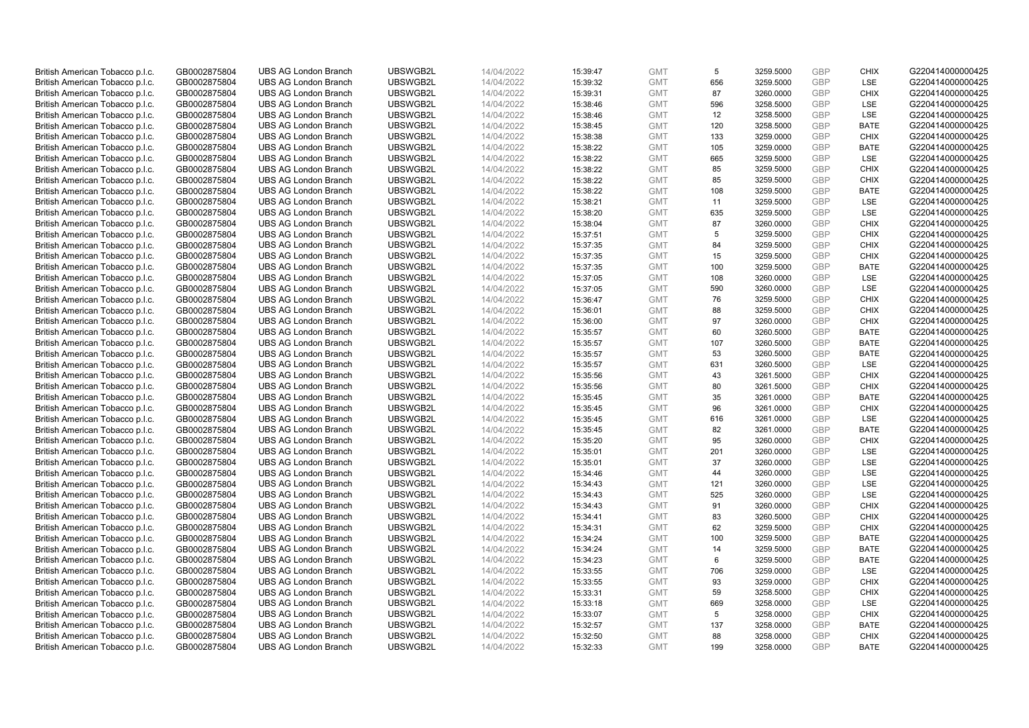| British American Tobacco p.l.c. | GB0002875804 | <b>UBS AG London Branch</b> | UBSWGB2L | 14/04/2022 | 15:39:47 | <b>GMT</b> | 5               | 3259.5000 | GBP        | <b>CHIX</b> | G220414000000425 |
|---------------------------------|--------------|-----------------------------|----------|------------|----------|------------|-----------------|-----------|------------|-------------|------------------|
| British American Tobacco p.l.c. | GB0002875804 | <b>UBS AG London Branch</b> | UBSWGB2L | 14/04/2022 | 15:39:32 | <b>GMT</b> | 656             | 3259.5000 | <b>GBP</b> | <b>LSE</b>  | G220414000000425 |
| British American Tobacco p.l.c. | GB0002875804 | <b>UBS AG London Branch</b> | UBSWGB2L | 14/04/2022 | 15:39:31 | <b>GMT</b> | 87              | 3260.0000 | GBP        | <b>CHIX</b> | G220414000000425 |
| British American Tobacco p.l.c. | GB0002875804 | <b>UBS AG London Branch</b> | UBSWGB2L | 14/04/2022 | 15:38:46 | <b>GMT</b> | 596             | 3258.5000 | <b>GBP</b> | LSE         | G220414000000425 |
| British American Tobacco p.l.c. | GB0002875804 | <b>UBS AG London Branch</b> | UBSWGB2L | 14/04/2022 | 15:38:46 | <b>GMT</b> | 12              | 3258.5000 | GBP        | LSE         | G220414000000425 |
| British American Tobacco p.l.c. | GB0002875804 | <b>UBS AG London Branch</b> | UBSWGB2L | 14/04/2022 | 15:38:45 | <b>GMT</b> | 120             | 3258.5000 | <b>GBP</b> | <b>BATE</b> | G220414000000425 |
| British American Tobacco p.l.c. | GB0002875804 | <b>UBS AG London Branch</b> | UBSWGB2L | 14/04/2022 | 15:38:38 | <b>GMT</b> | 133             | 3259.0000 | GBP        | <b>CHIX</b> | G220414000000425 |
| British American Tobacco p.l.c. | GB0002875804 | <b>UBS AG London Branch</b> | UBSWGB2L | 14/04/2022 | 15:38:22 | <b>GMT</b> | 105             | 3259.0000 | <b>GBP</b> | <b>BATE</b> | G220414000000425 |
| British American Tobacco p.l.c. | GB0002875804 | <b>UBS AG London Branch</b> | UBSWGB2L | 14/04/2022 | 15:38:22 | <b>GMT</b> | 665             | 3259.5000 | <b>GBP</b> | LSE         | G220414000000425 |
| British American Tobacco p.l.c. | GB0002875804 | <b>UBS AG London Branch</b> | UBSWGB2L | 14/04/2022 | 15:38:22 | <b>GMT</b> | 85              | 3259.5000 | <b>GBP</b> | <b>CHIX</b> | G220414000000425 |
| British American Tobacco p.l.c. | GB0002875804 | <b>UBS AG London Branch</b> | UBSWGB2L | 14/04/2022 | 15:38:22 | <b>GMT</b> | 85              | 3259.5000 | GBP        | <b>CHIX</b> | G220414000000425 |
| British American Tobacco p.l.c. | GB0002875804 | <b>UBS AG London Branch</b> | UBSWGB2L | 14/04/2022 | 15:38:22 | <b>GMT</b> | 108             | 3259.5000 | <b>GBP</b> | <b>BATE</b> | G220414000000425 |
| British American Tobacco p.l.c. | GB0002875804 | <b>UBS AG London Branch</b> | UBSWGB2L | 14/04/2022 | 15:38:21 | <b>GMT</b> | 11              | 3259.5000 | <b>GBP</b> | LSE         | G220414000000425 |
| British American Tobacco p.l.c. | GB0002875804 | <b>UBS AG London Branch</b> | UBSWGB2L | 14/04/2022 | 15:38:20 | <b>GMT</b> | 635             | 3259.5000 | GBP        | LSE         | G220414000000425 |
| British American Tobacco p.l.c. | GB0002875804 | <b>UBS AG London Branch</b> | UBSWGB2L | 14/04/2022 | 15:38:04 | <b>GMT</b> | 87              | 3260.0000 | <b>GBP</b> | <b>CHIX</b> | G220414000000425 |
| British American Tobacco p.l.c. | GB0002875804 | <b>UBS AG London Branch</b> | UBSWGB2L | 14/04/2022 | 15:37:51 | <b>GMT</b> | 5               | 3259.5000 | GBP        | <b>CHIX</b> | G220414000000425 |
| British American Tobacco p.l.c. | GB0002875804 | <b>UBS AG London Branch</b> | UBSWGB2L | 14/04/2022 | 15:37:35 | <b>GMT</b> | 84              | 3259.5000 | <b>GBP</b> | <b>CHIX</b> | G220414000000425 |
| British American Tobacco p.l.c. | GB0002875804 | <b>UBS AG London Branch</b> | UBSWGB2L | 14/04/2022 | 15:37:35 | <b>GMT</b> | 15              | 3259.5000 | GBP        | <b>CHIX</b> | G220414000000425 |
| British American Tobacco p.l.c. | GB0002875804 | <b>UBS AG London Branch</b> | UBSWGB2L | 14/04/2022 | 15:37:35 | <b>GMT</b> | 100             | 3259.5000 | <b>GBP</b> | <b>BATE</b> | G220414000000425 |
| British American Tobacco p.l.c. | GB0002875804 | <b>UBS AG London Branch</b> | UBSWGB2L | 14/04/2022 | 15:37:05 | <b>GMT</b> | 108             | 3260.0000 | GBP        | LSE         | G220414000000425 |
| British American Tobacco p.l.c. | GB0002875804 | <b>UBS AG London Branch</b> | UBSWGB2L | 14/04/2022 | 15:37:05 | <b>GMT</b> | 590             | 3260.0000 | <b>GBP</b> | LSE         | G220414000000425 |
| British American Tobacco p.l.c. | GB0002875804 | <b>UBS AG London Branch</b> | UBSWGB2L | 14/04/2022 | 15:36:47 | <b>GMT</b> | 76              | 3259.5000 | <b>GBP</b> | <b>CHIX</b> | G220414000000425 |
| British American Tobacco p.l.c. | GB0002875804 | <b>UBS AG London Branch</b> | UBSWGB2L | 14/04/2022 | 15:36:01 | <b>GMT</b> | 88              | 3259.5000 | <b>GBP</b> | <b>CHIX</b> | G220414000000425 |
| British American Tobacco p.l.c. | GB0002875804 | <b>UBS AG London Branch</b> | UBSWGB2L | 14/04/2022 | 15:36:00 | <b>GMT</b> | 97              | 3260.0000 | GBP        | <b>CHIX</b> | G220414000000425 |
| British American Tobacco p.l.c. | GB0002875804 | <b>UBS AG London Branch</b> | UBSWGB2L | 14/04/2022 | 15:35:57 | <b>GMT</b> | 60              | 3260.5000 | <b>GBP</b> | <b>BATE</b> | G220414000000425 |
| British American Tobacco p.l.c. | GB0002875804 | <b>UBS AG London Branch</b> | UBSWGB2L | 14/04/2022 | 15:35:57 | <b>GMT</b> | 107             | 3260.5000 | <b>GBP</b> | <b>BATE</b> | G220414000000425 |
| British American Tobacco p.l.c. | GB0002875804 | <b>UBS AG London Branch</b> | UBSWGB2L | 14/04/2022 | 15:35:57 | <b>GMT</b> | 53              | 3260.5000 | GBP        | <b>BATE</b> | G220414000000425 |
| British American Tobacco p.l.c. | GB0002875804 | <b>UBS AG London Branch</b> | UBSWGB2L | 14/04/2022 | 15:35:57 | <b>GMT</b> | 631             | 3260.5000 | <b>GBP</b> | LSE         | G220414000000425 |
| British American Tobacco p.l.c. | GB0002875804 | <b>UBS AG London Branch</b> | UBSWGB2L | 14/04/2022 | 15:35:56 | <b>GMT</b> | 43              | 3261.5000 | GBP        | <b>CHIX</b> | G220414000000425 |
| British American Tobacco p.l.c. | GB0002875804 | <b>UBS AG London Branch</b> | UBSWGB2L | 14/04/2022 | 15:35:56 | <b>GMT</b> | 80              | 3261.5000 | <b>GBP</b> | <b>CHIX</b> | G220414000000425 |
| British American Tobacco p.l.c. | GB0002875804 | <b>UBS AG London Branch</b> | UBSWGB2L | 14/04/2022 | 15:35:45 | <b>GMT</b> | 35              | 3261.0000 | GBP        | <b>BATE</b> | G220414000000425 |
| British American Tobacco p.l.c. | GB0002875804 | <b>UBS AG London Branch</b> | UBSWGB2L | 14/04/2022 | 15:35:45 | <b>GMT</b> | 96              | 3261.0000 | <b>GBP</b> | <b>CHIX</b> | G220414000000425 |
| British American Tobacco p.l.c. | GB0002875804 | <b>UBS AG London Branch</b> | UBSWGB2L | 14/04/2022 | 15:35:45 | <b>GMT</b> | 616             | 3261.0000 | GBP        | LSE         | G220414000000425 |
| British American Tobacco p.l.c. | GB0002875804 | <b>UBS AG London Branch</b> | UBSWGB2L | 14/04/2022 | 15:35:45 | <b>GMT</b> | 82              | 3261.0000 | GBP        | <b>BATE</b> | G220414000000425 |
| British American Tobacco p.l.c. | GB0002875804 | <b>UBS AG London Branch</b> | UBSWGB2L | 14/04/2022 | 15:35:20 | <b>GMT</b> | 95              | 3260.0000 | <b>GBP</b> | <b>CHIX</b> | G220414000000425 |
| British American Tobacco p.l.c. | GB0002875804 | <b>UBS AG London Branch</b> | UBSWGB2L | 14/04/2022 | 15:35:01 | <b>GMT</b> | 201             | 3260.0000 | <b>GBP</b> | LSE         | G220414000000425 |
| British American Tobacco p.l.c. | GB0002875804 | <b>UBS AG London Branch</b> | UBSWGB2L | 14/04/2022 | 15:35:01 | <b>GMT</b> | 37              | 3260.0000 | GBP        | <b>LSE</b>  | G220414000000425 |
| British American Tobacco p.l.c. | GB0002875804 | <b>UBS AG London Branch</b> | UBSWGB2L | 14/04/2022 | 15:34:46 | <b>GMT</b> | 44              | 3260.0000 | <b>GBP</b> | LSE         | G220414000000425 |
| British American Tobacco p.l.c. | GB0002875804 | <b>UBS AG London Branch</b> | UBSWGB2L | 14/04/2022 | 15:34:43 | <b>GMT</b> | 121             | 3260.0000 | <b>GBP</b> | LSE         | G220414000000425 |
| British American Tobacco p.l.c. | GB0002875804 | <b>UBS AG London Branch</b> | UBSWGB2L | 14/04/2022 | 15:34:43 | <b>GMT</b> | 525             | 3260.0000 | GBP        | LSE         | G220414000000425 |
| British American Tobacco p.l.c. | GB0002875804 | <b>UBS AG London Branch</b> | UBSWGB2L | 14/04/2022 | 15:34:43 | <b>GMT</b> | 91              | 3260.0000 | <b>GBP</b> | <b>CHIX</b> | G220414000000425 |
| British American Tobacco p.l.c. | GB0002875804 | <b>UBS AG London Branch</b> | UBSWGB2L | 14/04/2022 | 15:34:41 | <b>GMT</b> | 83              | 3260.5000 | GBP        | <b>CHIX</b> | G220414000000425 |
| British American Tobacco p.l.c. | GB0002875804 | <b>UBS AG London Branch</b> | UBSWGB2L | 14/04/2022 | 15:34:31 | <b>GMT</b> | 62              | 3259.5000 | GBP        | <b>CHIX</b> | G220414000000425 |
| British American Tobacco p.l.c. | GB0002875804 | <b>UBS AG London Branch</b> | UBSWGB2L | 14/04/2022 | 15:34:24 | <b>GMT</b> | 100             | 3259.5000 | GBP        | <b>BATE</b> | G220414000000425 |
| British American Tobacco p.l.c. | GB0002875804 | <b>UBS AG London Branch</b> | UBSWGB2L | 14/04/2022 | 15:34:24 | <b>GMT</b> | 14              | 3259.5000 | GBP        | <b>BATE</b> | G220414000000425 |
| British American Tobacco p.l.c. | GB0002875804 | <b>UBS AG London Branch</b> | UBSWGB2L | 14/04/2022 | 15:34:23 | <b>GMT</b> | 6               | 3259.5000 | GBP        | <b>BATE</b> | G220414000000425 |
| British American Tobacco p.l.c. | GB0002875804 | <b>UBS AG London Branch</b> | UBSWGB2L | 14/04/2022 | 15:33:55 | <b>GMT</b> | 706             | 3259.0000 | GBP        | LSE         | G220414000000425 |
| British American Tobacco p.l.c. | GB0002875804 | <b>UBS AG London Branch</b> | UBSWGB2L | 14/04/2022 | 15:33:55 | <b>GMT</b> | 93              | 3259.0000 | <b>GBP</b> | <b>CHIX</b> | G220414000000425 |
| British American Tobacco p.l.c. | GB0002875804 | <b>UBS AG London Branch</b> | UBSWGB2L | 14/04/2022 | 15:33:31 | <b>GMT</b> | 59              | 3258.5000 | <b>GBP</b> | <b>CHIX</b> | G220414000000425 |
| British American Tobacco p.l.c. | GB0002875804 | <b>UBS AG London Branch</b> | UBSWGB2L | 14/04/2022 | 15:33:18 | <b>GMT</b> | 669             | 3258.0000 | GBP        | <b>LSE</b>  | G220414000000425 |
| British American Tobacco p.l.c. | GB0002875804 | <b>UBS AG London Branch</b> | UBSWGB2L | 14/04/2022 | 15:33:07 | <b>GMT</b> | $5\phantom{.0}$ | 3258.0000 | <b>GBP</b> | <b>CHIX</b> | G220414000000425 |
| British American Tobacco p.l.c. | GB0002875804 | <b>UBS AG London Branch</b> | UBSWGB2L | 14/04/2022 | 15:32:57 | <b>GMT</b> | 137             | 3258.0000 | <b>GBP</b> | <b>BATE</b> | G220414000000425 |
| British American Tobacco p.l.c. | GB0002875804 | <b>UBS AG London Branch</b> | UBSWGB2L | 14/04/2022 | 15:32:50 | <b>GMT</b> | 88              | 3258.0000 | GBP        | <b>CHIX</b> | G220414000000425 |
| British American Tobacco p.l.c. | GB0002875804 | <b>UBS AG London Branch</b> | UBSWGB2L | 14/04/2022 | 15:32:33 | <b>GMT</b> | 199             | 3258.0000 | <b>GBP</b> | <b>BATE</b> | G220414000000425 |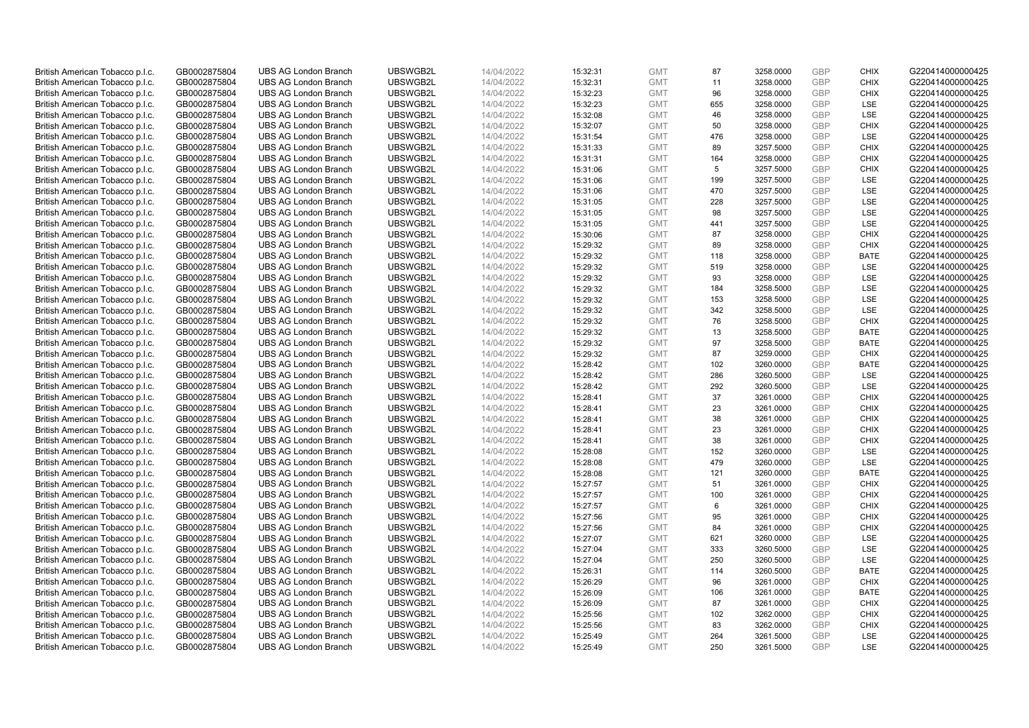| British American Tobacco p.l.c. | GB0002875804 | <b>UBS AG London Branch</b> | UBSWGB2L | 14/04/2022 | 15:32:31 | <b>GMT</b> | 87              | 3258.0000 | GBP        | <b>CHIX</b> | G220414000000425 |
|---------------------------------|--------------|-----------------------------|----------|------------|----------|------------|-----------------|-----------|------------|-------------|------------------|
| British American Tobacco p.l.c. | GB0002875804 | <b>UBS AG London Branch</b> | UBSWGB2L | 14/04/2022 | 15:32:31 | <b>GMT</b> | 11              | 3258.0000 | <b>GBP</b> | <b>CHIX</b> | G220414000000425 |
| British American Tobacco p.l.c. | GB0002875804 | <b>UBS AG London Branch</b> | UBSWGB2L | 14/04/2022 | 15:32:23 | <b>GMT</b> | 96              | 3258.0000 | GBP        | <b>CHIX</b> | G220414000000425 |
| British American Tobacco p.l.c. | GB0002875804 | <b>UBS AG London Branch</b> | UBSWGB2L | 14/04/2022 | 15:32:23 | <b>GMT</b> | 655             | 3258.0000 | <b>GBP</b> | LSE         | G220414000000425 |
| British American Tobacco p.l.c. | GB0002875804 | <b>UBS AG London Branch</b> | UBSWGB2L | 14/04/2022 | 15:32:08 | <b>GMT</b> | 46              | 3258.0000 | GBP        | LSE         | G220414000000425 |
| British American Tobacco p.l.c. | GB0002875804 | <b>UBS AG London Branch</b> | UBSWGB2L | 14/04/2022 | 15:32:07 | <b>GMT</b> | 50              | 3258.0000 | <b>GBP</b> | <b>CHIX</b> | G220414000000425 |
| British American Tobacco p.l.c. | GB0002875804 | <b>UBS AG London Branch</b> | UBSWGB2L | 14/04/2022 | 15:31:54 | <b>GMT</b> | 476             | 3258.0000 | <b>GBP</b> | LSE         | G220414000000425 |
| British American Tobacco p.l.c. | GB0002875804 | <b>UBS AG London Branch</b> | UBSWGB2L | 14/04/2022 | 15:31:33 | <b>GMT</b> | 89              | 3257.5000 | <b>GBP</b> | <b>CHIX</b> | G220414000000425 |
| British American Tobacco p.l.c. | GB0002875804 | <b>UBS AG London Branch</b> | UBSWGB2L | 14/04/2022 | 15:31:31 | <b>GMT</b> | 164             | 3258.0000 | GBP        | <b>CHIX</b> | G220414000000425 |
| British American Tobacco p.l.c. | GB0002875804 | <b>UBS AG London Branch</b> | UBSWGB2L | 14/04/2022 | 15:31:06 | <b>GMT</b> | $5\phantom{.0}$ | 3257.5000 | <b>GBP</b> | <b>CHIX</b> | G220414000000425 |
| British American Tobacco p.l.c. | GB0002875804 | <b>UBS AG London Branch</b> | UBSWGB2L | 14/04/2022 | 15:31:06 | <b>GMT</b> | 199             | 3257.5000 | GBP        | <b>LSE</b>  | G220414000000425 |
| British American Tobacco p.l.c. | GB0002875804 | <b>UBS AG London Branch</b> | UBSWGB2L | 14/04/2022 | 15:31:06 | <b>GMT</b> | 470             | 3257.5000 | <b>GBP</b> | LSE         | G220414000000425 |
| British American Tobacco p.l.c. | GB0002875804 | <b>UBS AG London Branch</b> | UBSWGB2L | 14/04/2022 | 15:31:05 | <b>GMT</b> | 228             | 3257.5000 | <b>GBP</b> | LSE         | G220414000000425 |
| British American Tobacco p.l.c. | GB0002875804 | <b>UBS AG London Branch</b> | UBSWGB2L | 14/04/2022 | 15:31:05 | <b>GMT</b> | 98              | 3257.5000 | GBP        | LSE         | G220414000000425 |
| British American Tobacco p.l.c. | GB0002875804 | <b>UBS AG London Branch</b> | UBSWGB2L | 14/04/2022 | 15:31:05 | <b>GMT</b> | 441             | 3257.5000 | <b>GBP</b> | <b>LSE</b>  | G220414000000425 |
| British American Tobacco p.l.c. | GB0002875804 | <b>UBS AG London Branch</b> | UBSWGB2L | 14/04/2022 | 15:30:06 | <b>GMT</b> | 87              | 3258.0000 | GBP        | <b>CHIX</b> | G220414000000425 |
| British American Tobacco p.l.c. | GB0002875804 | <b>UBS AG London Branch</b> | UBSWGB2L | 14/04/2022 | 15:29:32 | <b>GMT</b> | 89              | 3258.0000 | <b>GBP</b> | <b>CHIX</b> | G220414000000425 |
| British American Tobacco p.l.c. | GB0002875804 | <b>UBS AG London Branch</b> | UBSWGB2L | 14/04/2022 | 15:29:32 | <b>GMT</b> | 118             | 3258.0000 | GBP        | <b>BATE</b> | G220414000000425 |
| British American Tobacco p.l.c. | GB0002875804 | <b>UBS AG London Branch</b> | UBSWGB2L | 14/04/2022 | 15:29:32 | <b>GMT</b> | 519             | 3258.0000 | <b>GBP</b> | <b>LSE</b>  | G220414000000425 |
| British American Tobacco p.l.c. | GB0002875804 | <b>UBS AG London Branch</b> | UBSWGB2L | 14/04/2022 | 15:29:32 | <b>GMT</b> | 93              | 3258.0000 | <b>GBP</b> | LSE         | G220414000000425 |
| British American Tobacco p.l.c. | GB0002875804 | <b>UBS AG London Branch</b> | UBSWGB2L | 14/04/2022 | 15:29:32 | <b>GMT</b> | 184             | 3258.5000 | <b>GBP</b> | LSE         | G220414000000425 |
| British American Tobacco p.l.c. | GB0002875804 | <b>UBS AG London Branch</b> | UBSWGB2L | 14/04/2022 | 15:29:32 | <b>GMT</b> | 153             | 3258.5000 | <b>GBP</b> | LSE         | G220414000000425 |
| British American Tobacco p.l.c. | GB0002875804 | <b>UBS AG London Branch</b> | UBSWGB2L | 14/04/2022 | 15:29:32 | <b>GMT</b> | 342             | 3258.5000 | <b>GBP</b> | LSE         | G220414000000425 |
| British American Tobacco p.l.c. | GB0002875804 | <b>UBS AG London Branch</b> | UBSWGB2L | 14/04/2022 | 15:29:32 | <b>GMT</b> | 76              | 3258.5000 | GBP        | <b>CHIX</b> | G220414000000425 |
| British American Tobacco p.l.c. | GB0002875804 | <b>UBS AG London Branch</b> | UBSWGB2L | 14/04/2022 | 15:29:32 | <b>GMT</b> | 13              | 3258.5000 | <b>GBP</b> | <b>BATE</b> | G220414000000425 |
| British American Tobacco p.l.c. | GB0002875804 | <b>UBS AG London Branch</b> | UBSWGB2L | 14/04/2022 | 15:29:32 | <b>GMT</b> | 97              | 3258.5000 | <b>GBP</b> | <b>BATE</b> | G220414000000425 |
| British American Tobacco p.l.c. | GB0002875804 | <b>UBS AG London Branch</b> | UBSWGB2L | 14/04/2022 | 15:29:32 | <b>GMT</b> | 87              | 3259.0000 | GBP        | <b>CHIX</b> | G220414000000425 |
| British American Tobacco p.l.c. | GB0002875804 | <b>UBS AG London Branch</b> | UBSWGB2L | 14/04/2022 | 15:28:42 | <b>GMT</b> | 102             | 3260.0000 | <b>GBP</b> | <b>BATE</b> | G220414000000425 |
| British American Tobacco p.l.c. | GB0002875804 | <b>UBS AG London Branch</b> | UBSWGB2L | 14/04/2022 | 15:28:42 | <b>GMT</b> | 286             | 3260.5000 | GBP        | LSE         | G220414000000425 |
| British American Tobacco p.l.c. | GB0002875804 | <b>UBS AG London Branch</b> | UBSWGB2L | 14/04/2022 | 15:28:42 | <b>GMT</b> | 292             | 3260.5000 | <b>GBP</b> | LSE         | G220414000000425 |
| British American Tobacco p.l.c. | GB0002875804 | <b>UBS AG London Branch</b> | UBSWGB2L | 14/04/2022 | 15:28:41 | <b>GMT</b> | 37              | 3261.0000 | GBP        | <b>CHIX</b> | G220414000000425 |
| British American Tobacco p.l.c. | GB0002875804 | <b>UBS AG London Branch</b> | UBSWGB2L | 14/04/2022 | 15:28:41 | <b>GMT</b> | 23              | 3261.0000 | <b>GBP</b> | <b>CHIX</b> | G220414000000425 |
| British American Tobacco p.l.c. | GB0002875804 | <b>UBS AG London Branch</b> | UBSWGB2L | 14/04/2022 | 15:28:41 | <b>GMT</b> | 38              | 3261.0000 | GBP        | <b>CHIX</b> | G220414000000425 |
| British American Tobacco p.l.c. | GB0002875804 | <b>UBS AG London Branch</b> | UBSWGB2L | 14/04/2022 | 15:28:41 | <b>GMT</b> | 23              | 3261.0000 | GBP        | <b>CHIX</b> | G220414000000425 |
| British American Tobacco p.l.c. | GB0002875804 | <b>UBS AG London Branch</b> | UBSWGB2L | 14/04/2022 | 15:28:41 | <b>GMT</b> | 38              | 3261.0000 | GBP        | <b>CHIX</b> | G220414000000425 |
| British American Tobacco p.l.c. | GB0002875804 | <b>UBS AG London Branch</b> | UBSWGB2L | 14/04/2022 | 15:28:08 | <b>GMT</b> | 152             | 3260.0000 | <b>GBP</b> | LSE         | G220414000000425 |
| British American Tobacco p.l.c. | GB0002875804 | <b>UBS AG London Branch</b> | UBSWGB2L | 14/04/2022 | 15:28:08 | <b>GMT</b> | 479             | 3260.0000 | GBP        | <b>LSE</b>  | G220414000000425 |
| British American Tobacco p.l.c. | GB0002875804 | <b>UBS AG London Branch</b> | UBSWGB2L | 14/04/2022 | 15:28:08 | <b>GMT</b> | 121             | 3260.0000 | <b>GBP</b> | <b>BATE</b> | G220414000000425 |
| British American Tobacco p.l.c. | GB0002875804 | <b>UBS AG London Branch</b> | UBSWGB2L | 14/04/2022 | 15:27:57 | <b>GMT</b> | 51              | 3261.0000 | <b>GBP</b> | <b>CHIX</b> | G220414000000425 |
| British American Tobacco p.l.c. | GB0002875804 | <b>UBS AG London Branch</b> | UBSWGB2L | 14/04/2022 | 15:27:57 | <b>GMT</b> | 100             | 3261.0000 | GBP        | <b>CHIX</b> | G220414000000425 |
| British American Tobacco p.l.c. | GB0002875804 | <b>UBS AG London Branch</b> | UBSWGB2L | 14/04/2022 | 15:27:57 | <b>GMT</b> | 6               | 3261.0000 | <b>GBP</b> | <b>CHIX</b> | G220414000000425 |
| British American Tobacco p.l.c. | GB0002875804 | <b>UBS AG London Branch</b> | UBSWGB2L | 14/04/2022 | 15:27:56 | <b>GMT</b> | 95              | 3261.0000 | GBP        | <b>CHIX</b> | G220414000000425 |
| British American Tobacco p.l.c. | GB0002875804 | <b>UBS AG London Branch</b> | UBSWGB2L | 14/04/2022 | 15:27:56 | <b>GMT</b> | 84              | 3261.0000 | <b>GBP</b> | <b>CHIX</b> | G220414000000425 |
| British American Tobacco p.l.c. | GB0002875804 | <b>UBS AG London Branch</b> | UBSWGB2L | 14/04/2022 | 15:27:07 | <b>GMT</b> | 621             | 3260.0000 | GBP        | LSE         | G220414000000425 |
| British American Tobacco p.l.c. | GB0002875804 | <b>UBS AG London Branch</b> | UBSWGB2L | 14/04/2022 | 15:27:04 | <b>GMT</b> | 333             | 3260.5000 | <b>GBP</b> | <b>LSE</b>  | G220414000000425 |
| British American Tobacco p.l.c. | GB0002875804 | <b>UBS AG London Branch</b> | UBSWGB2L | 14/04/2022 | 15:27:04 | <b>GMT</b> | 250             | 3260.5000 | GBP        | LSE         | G220414000000425 |
| British American Tobacco p.l.c. | GB0002875804 | <b>UBS AG London Branch</b> | UBSWGB2L | 14/04/2022 | 15:26:31 | <b>GMT</b> | 114             | 3260.5000 | GBP        | <b>BATE</b> | G220414000000425 |
| British American Tobacco p.l.c. | GB0002875804 | <b>UBS AG London Branch</b> | UBSWGB2L | 14/04/2022 | 15:26:29 | <b>GMT</b> | 96              | 3261.0000 | <b>GBP</b> | <b>CHIX</b> | G220414000000425 |
| British American Tobacco p.l.c. | GB0002875804 | <b>UBS AG London Branch</b> | UBSWGB2L | 14/04/2022 | 15:26:09 | <b>GMT</b> | 106             | 3261.0000 | GBP        | <b>BATE</b> | G220414000000425 |
| British American Tobacco p.l.c. | GB0002875804 | <b>UBS AG London Branch</b> | UBSWGB2L | 14/04/2022 | 15:26:09 | <b>GMT</b> | 87              | 3261.0000 | GBP        | <b>CHIX</b> | G220414000000425 |
| British American Tobacco p.l.c. | GB0002875804 | <b>UBS AG London Branch</b> | UBSWGB2L | 14/04/2022 | 15:25:56 | <b>GMT</b> | 102             | 3262.0000 | <b>GBP</b> | <b>CHIX</b> | G220414000000425 |
| British American Tobacco p.l.c. | GB0002875804 | <b>UBS AG London Branch</b> | UBSWGB2L | 14/04/2022 | 15:25:56 | <b>GMT</b> | 83              | 3262.0000 | <b>GBP</b> | <b>CHIX</b> | G220414000000425 |
| British American Tobacco p.l.c. | GB0002875804 | <b>UBS AG London Branch</b> | UBSWGB2L | 14/04/2022 | 15:25:49 | <b>GMT</b> | 264             | 3261.5000 | GBP        | LSE         | G220414000000425 |
| British American Tobacco p.l.c. | GB0002875804 | <b>UBS AG London Branch</b> | UBSWGB2L | 14/04/2022 | 15:25:49 | <b>GMT</b> | 250             | 3261.5000 | <b>GBP</b> | <b>LSE</b>  | G220414000000425 |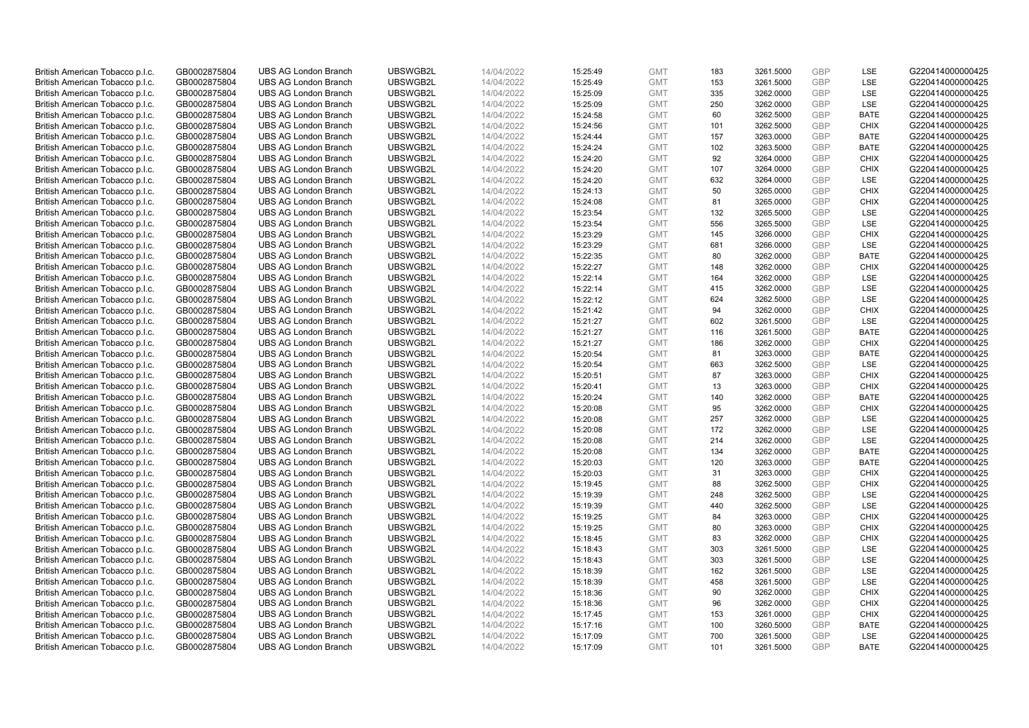| British American Tobacco p.l.c.                                    | GB0002875804                 | <b>UBS AG London Branch</b>                                | UBSWGB2L             | 14/04/2022               | 15:25:49             | <b>GMT</b>               | 183        | 3261.5000              | GBP                      | LSE                        | G220414000000425                     |
|--------------------------------------------------------------------|------------------------------|------------------------------------------------------------|----------------------|--------------------------|----------------------|--------------------------|------------|------------------------|--------------------------|----------------------------|--------------------------------------|
| British American Tobacco p.l.c.                                    | GB0002875804                 | <b>UBS AG London Branch</b>                                | UBSWGB2L             | 14/04/2022               | 15:25:49             | <b>GMT</b>               | 153        | 3261.5000              | <b>GBP</b>               | LSE                        | G220414000000425                     |
| British American Tobacco p.l.c.                                    | GB0002875804                 | <b>UBS AG London Branch</b>                                | UBSWGB2L             | 14/04/2022               | 15:25:09             | <b>GMT</b>               | 335        | 3262.0000              | GBP                      | LSE                        | G220414000000425                     |
| British American Tobacco p.l.c.                                    | GB0002875804                 | <b>UBS AG London Branch</b>                                | UBSWGB2L             | 14/04/2022               | 15:25:09             | <b>GMT</b>               | 250        | 3262.0000              | <b>GBP</b>               | LSE                        | G220414000000425                     |
| British American Tobacco p.l.c.                                    | GB0002875804                 | <b>UBS AG London Branch</b>                                | UBSWGB2L             | 14/04/2022               | 15:24:58             | <b>GMT</b>               | 60         | 3262.5000              | GBP                      | <b>BATE</b>                | G220414000000425                     |
| British American Tobacco p.l.c.                                    | GB0002875804                 | <b>UBS AG London Branch</b>                                | UBSWGB2L             | 14/04/2022               | 15:24:56             | <b>GMT</b>               | 101        | 3262.5000              | <b>GBP</b>               | <b>CHIX</b>                | G220414000000425                     |
| British American Tobacco p.l.c.                                    | GB0002875804                 | <b>UBS AG London Branch</b>                                | UBSWGB2L             | 14/04/2022               | 15:24:44             | <b>GMT</b>               | 157        | 3263.0000              | GBP                      | <b>BATE</b>                | G220414000000425                     |
| British American Tobacco p.l.c.                                    | GB0002875804                 | <b>UBS AG London Branch</b>                                | UBSWGB2L             | 14/04/2022               | 15:24:24             | <b>GMT</b>               | 102        | 3263.5000              | <b>GBP</b>               | <b>BATE</b>                | G220414000000425                     |
| British American Tobacco p.l.c.                                    | GB0002875804                 | <b>UBS AG London Branch</b>                                | UBSWGB2L             | 14/04/2022               | 15:24:20             | <b>GMT</b>               | 92         | 3264.0000              | <b>GBP</b>               | <b>CHIX</b>                | G220414000000425                     |
| British American Tobacco p.l.c.                                    | GB0002875804                 | <b>UBS AG London Branch</b>                                | UBSWGB2L             | 14/04/2022               | 15:24:20             | <b>GMT</b>               | 107        | 3264.0000              | <b>GBP</b>               | <b>CHIX</b>                | G220414000000425                     |
| British American Tobacco p.l.c.                                    | GB0002875804                 | <b>UBS AG London Branch</b>                                | UBSWGB2L             | 14/04/2022               | 15:24:20             | <b>GMT</b>               | 632        | 3264.0000              | GBP                      | <b>LSE</b>                 | G220414000000425                     |
| British American Tobacco p.l.c.                                    | GB0002875804                 | <b>UBS AG London Branch</b>                                | UBSWGB2L             | 14/04/2022               | 15:24:13             | <b>GMT</b>               | 50         | 3265.0000              | <b>GBP</b>               | <b>CHIX</b>                | G220414000000425                     |
| British American Tobacco p.l.c.                                    | GB0002875804                 | <b>UBS AG London Branch</b>                                | UBSWGB2L             | 14/04/2022               | 15:24:08             | <b>GMT</b>               | 81         | 3265.0000              | <b>GBP</b>               | <b>CHIX</b>                | G220414000000425                     |
| British American Tobacco p.l.c.                                    | GB0002875804                 | <b>UBS AG London Branch</b>                                | UBSWGB2L             | 14/04/2022               | 15:23:54             | <b>GMT</b>               | 132        | 3265.5000              | GBP                      | LSE                        | G220414000000425                     |
| British American Tobacco p.l.c.                                    | GB0002875804                 | <b>UBS AG London Branch</b>                                | UBSWGB2L             | 14/04/2022               | 15:23:54             | <b>GMT</b>               | 556        | 3265.5000              | <b>GBP</b>               | <b>LSE</b>                 | G220414000000425                     |
| British American Tobacco p.l.c.                                    | GB0002875804                 | <b>UBS AG London Branch</b>                                | UBSWGB2L             | 14/04/2022               | 15:23:29             | <b>GMT</b>               | 145        | 3266.0000              | GBP                      | <b>CHIX</b>                | G220414000000425                     |
| British American Tobacco p.l.c.                                    | GB0002875804                 | <b>UBS AG London Branch</b>                                | UBSWGB2L             | 14/04/2022               | 15:23:29             | <b>GMT</b>               | 681        | 3266.0000              | <b>GBP</b>               | LSE                        | G220414000000425                     |
| British American Tobacco p.l.c.                                    | GB0002875804                 | <b>UBS AG London Branch</b>                                | UBSWGB2L             | 14/04/2022               | 15:22:35             | <b>GMT</b>               | 80         | 3262.0000              | GBP                      | <b>BATE</b>                | G220414000000425                     |
| British American Tobacco p.l.c.                                    | GB0002875804                 | <b>UBS AG London Branch</b>                                | UBSWGB2L             | 14/04/2022               | 15:22:27             | <b>GMT</b>               | 148        | 3262.0000              | <b>GBP</b>               | <b>CHIX</b>                | G220414000000425                     |
| British American Tobacco p.l.c.                                    | GB0002875804                 | <b>UBS AG London Branch</b>                                | UBSWGB2L             | 14/04/2022               | 15:22:14             | <b>GMT</b>               | 164        | 3262.0000              | <b>GBP</b>               | LSE                        | G220414000000425                     |
| British American Tobacco p.l.c.                                    | GB0002875804                 | <b>UBS AG London Branch</b>                                | UBSWGB2L             | 14/04/2022               | 15:22:14             | <b>GMT</b>               | 415        | 3262.0000              | <b>GBP</b>               | LSE                        | G220414000000425                     |
| British American Tobacco p.l.c.                                    | GB0002875804                 | <b>UBS AG London Branch</b>                                | UBSWGB2L             | 14/04/2022               | 15:22:12             | <b>GMT</b>               | 624        | 3262.5000              | <b>GBP</b>               | LSE                        | G220414000000425                     |
| British American Tobacco p.l.c.                                    | GB0002875804                 | <b>UBS AG London Branch</b>                                | UBSWGB2L             | 14/04/2022               | 15:21:42             | <b>GMT</b>               | 94         | 3262.0000              | <b>GBP</b>               | <b>CHIX</b>                | G220414000000425                     |
| British American Tobacco p.l.c.                                    | GB0002875804                 | <b>UBS AG London Branch</b>                                | UBSWGB2L             | 14/04/2022               | 15:21:27             | <b>GMT</b>               | 602        | 3261.5000              | GBP                      | <b>LSE</b>                 | G220414000000425                     |
| British American Tobacco p.l.c.                                    | GB0002875804                 | <b>UBS AG London Branch</b>                                | UBSWGB2L             | 14/04/2022               | 15:21:27             | <b>GMT</b>               | 116        | 3261.5000              | <b>GBP</b>               | <b>BATE</b>                | G220414000000425                     |
| British American Tobacco p.l.c.                                    | GB0002875804                 | <b>UBS AG London Branch</b>                                | UBSWGB2L             | 14/04/2022               | 15:21:27             | <b>GMT</b>               | 186        | 3262.0000              | <b>GBP</b>               | <b>CHIX</b>                | G220414000000425                     |
| British American Tobacco p.l.c.                                    | GB0002875804                 | <b>UBS AG London Branch</b>                                | UBSWGB2L             | 14/04/2022               | 15:20:54             | <b>GMT</b>               | 81         | 3263.0000              | GBP                      | <b>BATE</b>                | G220414000000425                     |
| British American Tobacco p.l.c.                                    | GB0002875804                 | <b>UBS AG London Branch</b>                                | UBSWGB2L             | 14/04/2022               | 15:20:54             | <b>GMT</b>               | 663        | 3262.5000              | <b>GBP</b>               | LSE                        | G220414000000425                     |
| British American Tobacco p.l.c.                                    | GB0002875804                 | <b>UBS AG London Branch</b>                                | UBSWGB2L             | 14/04/2022               | 15:20:51             | <b>GMT</b>               | 87         | 3263.0000              | GBP                      | <b>CHIX</b>                | G220414000000425                     |
| British American Tobacco p.l.c.                                    | GB0002875804                 | <b>UBS AG London Branch</b>                                | UBSWGB2L             | 14/04/2022               | 15:20:41             | <b>GMT</b>               | 13         | 3263.0000              | <b>GBP</b>               | <b>CHIX</b>                | G220414000000425                     |
| British American Tobacco p.l.c.                                    | GB0002875804                 | <b>UBS AG London Branch</b>                                | UBSWGB2L             | 14/04/2022               | 15:20:24             | <b>GMT</b>               | 140        | 3262.0000              | GBP                      | <b>BATE</b>                | G220414000000425                     |
| British American Tobacco p.l.c.                                    | GB0002875804                 | <b>UBS AG London Branch</b>                                | UBSWGB2L             | 14/04/2022               | 15:20:08             | <b>GMT</b>               | 95         | 3262.0000              | <b>GBP</b>               | <b>CHIX</b>                | G220414000000425                     |
| British American Tobacco p.l.c.                                    | GB0002875804                 | <b>UBS AG London Branch</b>                                | UBSWGB2L             | 14/04/2022               | 15:20:08             | <b>GMT</b>               | 257        | 3262.0000              | GBP                      | LSE                        | G220414000000425                     |
| British American Tobacco p.l.c.                                    | GB0002875804                 | <b>UBS AG London Branch</b>                                | UBSWGB2L             | 14/04/2022               | 15:20:08             | <b>GMT</b>               | 172        | 3262.0000              | GBP                      | LSE                        | G220414000000425                     |
| British American Tobacco p.l.c.                                    | GB0002875804                 | <b>UBS AG London Branch</b>                                | UBSWGB2L             | 14/04/2022               | 15:20:08             | <b>GMT</b>               | 214        | 3262.0000              | <b>GBP</b>               | LSE                        | G220414000000425                     |
| British American Tobacco p.l.c.                                    | GB0002875804                 | <b>UBS AG London Branch</b>                                | UBSWGB2L             | 14/04/2022               | 15:20:08             | <b>GMT</b>               | 134        | 3262.0000              | GBP                      | <b>BATE</b>                | G220414000000425                     |
| British American Tobacco p.l.c.                                    | GB0002875804                 | <b>UBS AG London Branch</b>                                | UBSWGB2L             | 14/04/2022               | 15:20:03             | <b>GMT</b>               | 120        | 3263.0000              | GBP                      | <b>BATE</b>                | G220414000000425                     |
| British American Tobacco p.l.c.                                    | GB0002875804                 | <b>UBS AG London Branch</b><br><b>UBS AG London Branch</b> | UBSWGB2L<br>UBSWGB2L | 14/04/2022               | 15:20:03             | <b>GMT</b><br><b>GMT</b> | 31<br>88   | 3263.0000              | <b>GBP</b><br><b>GBP</b> | <b>CHIX</b><br><b>CHIX</b> | G220414000000425<br>G220414000000425 |
| British American Tobacco p.l.c.                                    | GB0002875804<br>GB0002875804 | <b>UBS AG London Branch</b>                                | UBSWGB2L             | 14/04/2022               | 15:19:45             | <b>GMT</b>               |            | 3262.5000              | GBP                      | LSE                        | G220414000000425                     |
| British American Tobacco p.l.c.<br>British American Tobacco p.l.c. | GB0002875804                 | <b>UBS AG London Branch</b>                                | UBSWGB2L             | 14/04/2022<br>14/04/2022 | 15:19:39<br>15:19:39 | <b>GMT</b>               | 248<br>440 | 3262.5000<br>3262.5000 | <b>GBP</b>               | LSE                        | G220414000000425                     |
| British American Tobacco p.l.c.                                    | GB0002875804                 | <b>UBS AG London Branch</b>                                | UBSWGB2L             | 14/04/2022               | 15:19:25             | <b>GMT</b>               | 84         | 3263.0000              | GBP                      | <b>CHIX</b>                | G220414000000425                     |
| British American Tobacco p.l.c.                                    | GB0002875804                 | <b>UBS AG London Branch</b>                                | UBSWGB2L             | 14/04/2022               | 15:19:25             | <b>GMT</b>               | 80         | 3263.0000              | GBP                      | <b>CHIX</b>                | G220414000000425                     |
| British American Tobacco p.l.c.                                    | GB0002875804                 | <b>UBS AG London Branch</b>                                | UBSWGB2L             | 14/04/2022               | 15:18:45             | <b>GMT</b>               | 83         | 3262.0000              | GBP                      | <b>CHIX</b>                | G220414000000425                     |
| British American Tobacco p.l.c.                                    | GB0002875804                 | <b>UBS AG London Branch</b>                                | UBSWGB2L             | 14/04/2022               | 15:18:43             | <b>GMT</b>               | 303        | 3261.5000              | <b>GBP</b>               | <b>LSE</b>                 | G220414000000425                     |
| British American Tobacco p.l.c.                                    | GB0002875804                 | <b>UBS AG London Branch</b>                                | UBSWGB2L             | 14/04/2022               | 15:18:43             | <b>GMT</b>               | 303        | 3261.5000              | GBP                      | LSE                        | G220414000000425                     |
| British American Tobacco p.l.c.                                    | GB0002875804                 | <b>UBS AG London Branch</b>                                | UBSWGB2L             | 14/04/2022               | 15:18:39             | <b>GMT</b>               | 162        | 3261.5000              | GBP                      | LSE                        | G220414000000425                     |
| British American Tobacco p.l.c.                                    | GB0002875804                 | <b>UBS AG London Branch</b>                                | UBSWGB2L             | 14/04/2022               | 15:18:39             | <b>GMT</b>               | 458        | 3261.5000              | <b>GBP</b>               | LSE                        | G220414000000425                     |
| British American Tobacco p.l.c.                                    | GB0002875804                 | <b>UBS AG London Branch</b>                                | UBSWGB2L             | 14/04/2022               | 15:18:36             | <b>GMT</b>               | 90         | 3262.0000              | GBP                      | <b>CHIX</b>                | G220414000000425                     |
| British American Tobacco p.l.c.                                    | GB0002875804                 | <b>UBS AG London Branch</b>                                | UBSWGB2L             | 14/04/2022               | 15:18:36             | <b>GMT</b>               | 96         | 3262.0000              | GBP                      | <b>CHIX</b>                | G220414000000425                     |
| British American Tobacco p.l.c.                                    | GB0002875804                 | <b>UBS AG London Branch</b>                                | UBSWGB2L             | 14/04/2022               | 15:17:45             | <b>GMT</b>               | 153        | 3261.0000              | <b>GBP</b>               | <b>CHIX</b>                | G220414000000425                     |
| British American Tobacco p.l.c.                                    | GB0002875804                 | <b>UBS AG London Branch</b>                                | UBSWGB2L             | 14/04/2022               | 15:17:16             | <b>GMT</b>               | 100        | 3260.5000              | <b>GBP</b>               | <b>BATE</b>                | G220414000000425                     |
| British American Tobacco p.l.c.                                    | GB0002875804                 | <b>UBS AG London Branch</b>                                | UBSWGB2L             | 14/04/2022               | 15:17:09             | <b>GMT</b>               | 700        | 3261.5000              | GBP                      | LSE                        | G220414000000425                     |
| British American Tobacco p.l.c.                                    | GB0002875804                 | <b>UBS AG London Branch</b>                                | UBSWGB2L             | 14/04/2022               | 15:17:09             | <b>GMT</b>               | 101        | 3261.5000              | <b>GBP</b>               | <b>BATE</b>                | G220414000000425                     |
|                                                                    |                              |                                                            |                      |                          |                      |                          |            |                        |                          |                            |                                      |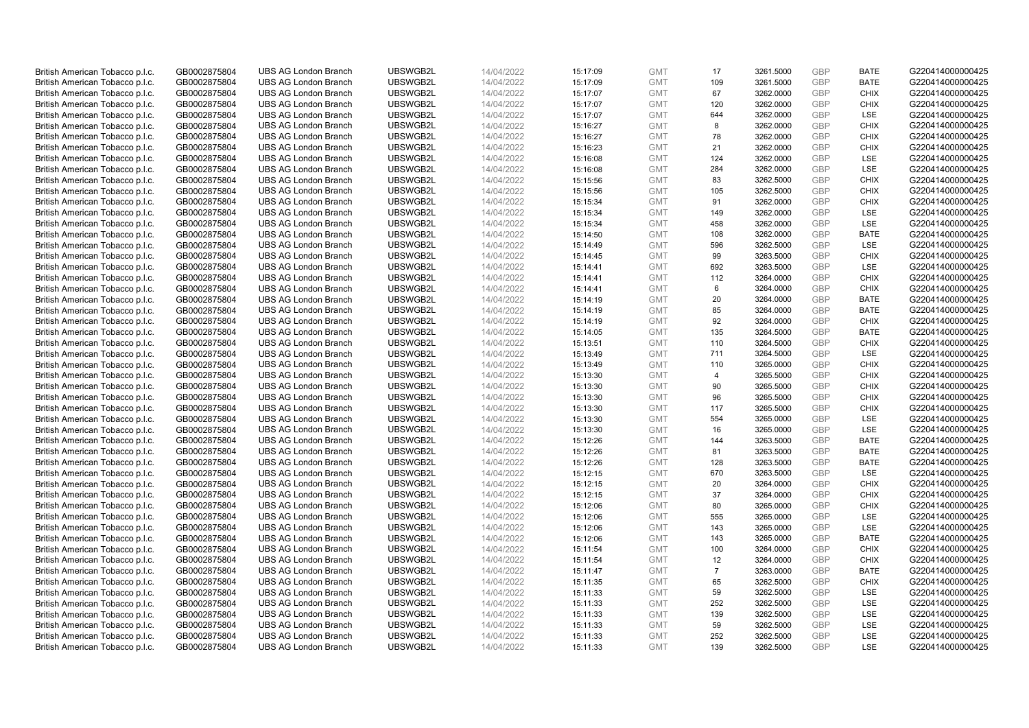| British American Tobacco p.l.c. | GB0002875804 | <b>UBS AG London Branch</b> | UBSWGB2L             | 14/04/2022 | 15:17:09 | <b>GMT</b> | 17                   | 3261.5000              | <b>GBP</b>        | <b>BATE</b> | G220414000000425 |
|---------------------------------|--------------|-----------------------------|----------------------|------------|----------|------------|----------------------|------------------------|-------------------|-------------|------------------|
| British American Tobacco p.l.c. | GB0002875804 | <b>UBS AG London Branch</b> | UBSWGB2L             | 14/04/2022 | 15:17:09 | <b>GMT</b> | 109                  | 3261.5000              | <b>GBP</b>        | <b>BATE</b> | G220414000000425 |
| British American Tobacco p.l.c. | GB0002875804 | <b>UBS AG London Branch</b> | UBSWGB2L             | 14/04/2022 | 15:17:07 | <b>GMT</b> | 67                   | 3262.0000              | GBP               | <b>CHIX</b> | G220414000000425 |
| British American Tobacco p.l.c. | GB0002875804 | <b>UBS AG London Branch</b> | UBSWGB2L             | 14/04/2022 | 15:17:07 | <b>GMT</b> | 120                  | 3262.0000              | GBP               | <b>CHIX</b> | G220414000000425 |
| British American Tobacco p.l.c. | GB0002875804 | <b>UBS AG London Branch</b> | UBSWGB2L             | 14/04/2022 | 15:17:07 | <b>GMT</b> | 644                  | 3262.0000              | GBP               | LSE         | G220414000000425 |
| British American Tobacco p.l.c. | GB0002875804 | <b>UBS AG London Branch</b> | UBSWGB2L             | 14/04/2022 | 15:16:27 | <b>GMT</b> | 8                    | 3262.0000              | <b>GBP</b>        | <b>CHIX</b> | G220414000000425 |
| British American Tobacco p.l.c. | GB0002875804 | <b>UBS AG London Branch</b> | UBSWGB2L             | 14/04/2022 | 15:16:27 | <b>GMT</b> | 78                   | 3262.0000              | <b>GBP</b>        | <b>CHIX</b> | G220414000000425 |
| British American Tobacco p.l.c. | GB0002875804 | <b>UBS AG London Branch</b> | UBSWGB2L             | 14/04/2022 | 15:16:23 | <b>GMT</b> | 21                   | 3262.0000              | <b>GBP</b>        | <b>CHIX</b> | G220414000000425 |
| British American Tobacco p.l.c. | GB0002875804 | <b>UBS AG London Branch</b> | UBSWGB2L             | 14/04/2022 | 15:16:08 | <b>GMT</b> | 124                  | 3262.0000              | <b>GBP</b>        | LSE         | G220414000000425 |
| British American Tobacco p.l.c. | GB0002875804 | <b>UBS AG London Branch</b> | UBSWGB2L             | 14/04/2022 | 15:16:08 | <b>GMT</b> | 284                  | 3262.0000              | <b>GBP</b>        | LSE         | G220414000000425 |
| British American Tobacco p.l.c. | GB0002875804 | <b>UBS AG London Branch</b> | UBSWGB2L             | 14/04/2022 | 15:15:56 | <b>GMT</b> | 83                   | 3262.5000              | <b>GBP</b>        | <b>CHIX</b> | G220414000000425 |
| British American Tobacco p.l.c. | GB0002875804 | <b>UBS AG London Branch</b> | UBSWGB2L             | 14/04/2022 | 15:15:56 | <b>GMT</b> | 105                  | 3262.5000              | <b>GBP</b>        | <b>CHIX</b> | G220414000000425 |
| British American Tobacco p.l.c. | GB0002875804 | <b>UBS AG London Branch</b> | UBSWGB2L             | 14/04/2022 | 15:15:34 | <b>GMT</b> | 91                   | 3262.0000              | <b>GBP</b>        | <b>CHIX</b> | G220414000000425 |
| British American Tobacco p.l.c. | GB0002875804 | <b>UBS AG London Branch</b> | UBSWGB2L             | 14/04/2022 | 15:15:34 | <b>GMT</b> | 149                  | 3262.0000              | <b>GBP</b>        | LSE         | G220414000000425 |
| British American Tobacco p.l.c. | GB0002875804 | <b>UBS AG London Branch</b> | UBSWGB2L             | 14/04/2022 | 15:15:34 | <b>GMT</b> | 458                  | 3262.0000              | <b>GBP</b>        | <b>LSE</b>  | G220414000000425 |
| British American Tobacco p.l.c. | GB0002875804 | <b>UBS AG London Branch</b> | UBSWGB2L             | 14/04/2022 | 15:14:50 | <b>GMT</b> | 108                  | 3262.0000              | GBP               | <b>BATE</b> | G220414000000425 |
| British American Tobacco p.l.c. | GB0002875804 | <b>UBS AG London Branch</b> | UBSWGB2L             | 14/04/2022 | 15:14:49 | <b>GMT</b> | 596                  | 3262.5000              | <b>GBP</b>        | <b>LSE</b>  | G220414000000425 |
| British American Tobacco p.l.c. | GB0002875804 | <b>UBS AG London Branch</b> | UBSWGB2L             | 14/04/2022 | 15:14:45 | <b>GMT</b> | 99                   | 3263.5000              | GBP               | <b>CHIX</b> | G220414000000425 |
| British American Tobacco p.l.c. | GB0002875804 | <b>UBS AG London Branch</b> | UBSWGB2L             | 14/04/2022 | 15:14:41 | <b>GMT</b> | 692                  | 3263.5000              | <b>GBP</b>        | <b>LSE</b>  | G220414000000425 |
| British American Tobacco p.l.c. | GB0002875804 | <b>UBS AG London Branch</b> | UBSWGB2L             | 14/04/2022 | 15:14:41 | <b>GMT</b> | 112                  | 3264.0000              | <b>GBP</b>        | <b>CHIX</b> | G220414000000425 |
| British American Tobacco p.l.c. | GB0002875804 | <b>UBS AG London Branch</b> | UBSWGB2L             | 14/04/2022 | 15:14:41 | <b>GMT</b> | 6                    | 3264.0000              | <b>GBP</b>        | <b>CHIX</b> | G220414000000425 |
| British American Tobacco p.l.c. | GB0002875804 | <b>UBS AG London Branch</b> | UBSWGB2L             | 14/04/2022 | 15:14:19 | <b>GMT</b> | 20                   | 3264.0000              | <b>GBP</b>        | <b>BATE</b> | G220414000000425 |
| British American Tobacco p.l.c. | GB0002875804 | <b>UBS AG London Branch</b> | UBSWGB2L             | 14/04/2022 | 15:14:19 | <b>GMT</b> | 85                   | 3264.0000              | <b>GBP</b>        | <b>BATE</b> | G220414000000425 |
| British American Tobacco p.l.c. | GB0002875804 | <b>UBS AG London Branch</b> | UBSWGB2L             | 14/04/2022 | 15:14:19 | <b>GMT</b> | 92                   | 3264.0000              | GBP               | <b>CHIX</b> | G220414000000425 |
| British American Tobacco p.l.c. | GB0002875804 | <b>UBS AG London Branch</b> | UBSWGB2L             | 14/04/2022 | 15:14:05 | <b>GMT</b> | 135                  | 3264.5000              | GBP               | <b>BATE</b> | G220414000000425 |
| British American Tobacco p.l.c. | GB0002875804 | <b>UBS AG London Branch</b> | UBSWGB2L             | 14/04/2022 | 15:13:51 | <b>GMT</b> | 110                  | 3264.5000              | <b>GBP</b>        | <b>CHIX</b> | G220414000000425 |
| British American Tobacco p.l.c. | GB0002875804 | <b>UBS AG London Branch</b> | UBSWGB2L             | 14/04/2022 | 15:13:49 | <b>GMT</b> | 711                  | 3264.5000              | GBP               | LSE         | G220414000000425 |
| British American Tobacco p.l.c. | GB0002875804 | <b>UBS AG London Branch</b> | UBSWGB2L             | 14/04/2022 | 15:13:49 | <b>GMT</b> | 110                  | 3265.0000              | <b>GBP</b>        | <b>CHIX</b> | G220414000000425 |
| British American Tobacco p.l.c. | GB0002875804 | <b>UBS AG London Branch</b> | UBSWGB2L             | 14/04/2022 | 15:13:30 | <b>GMT</b> | $\overline{4}$       | 3265.5000              | GBP               | <b>CHIX</b> | G220414000000425 |
| British American Tobacco p.l.c. | GB0002875804 | <b>UBS AG London Branch</b> | UBSWGB2L             | 14/04/2022 | 15:13:30 | <b>GMT</b> | 90                   | 3265.5000              | <b>GBP</b>        | <b>CHIX</b> | G220414000000425 |
| British American Tobacco p.l.c. | GB0002875804 | <b>UBS AG London Branch</b> | UBSWGB2L             | 14/04/2022 | 15:13:30 | <b>GMT</b> | 96                   | 3265.5000              | GBP               | <b>CHIX</b> | G220414000000425 |
| British American Tobacco p.l.c. | GB0002875804 | <b>UBS AG London Branch</b> | UBSWGB2L             | 14/04/2022 | 15:13:30 | <b>GMT</b> | 117                  | 3265.5000              | <b>GBP</b>        | <b>CHIX</b> | G220414000000425 |
| British American Tobacco p.l.c. | GB0002875804 | <b>UBS AG London Branch</b> | UBSWGB2L             | 14/04/2022 | 15:13:30 | <b>GMT</b> | 554                  | 3265.0000              | <b>GBP</b>        | LSE         | G220414000000425 |
| British American Tobacco p.l.c. | GB0002875804 | <b>UBS AG London Branch</b> | UBSWGB2L             | 14/04/2022 | 15:13:30 | <b>GMT</b> | 16                   | 3265.0000              | GBP               | LSE         | G220414000000425 |
| British American Tobacco p.l.c. | GB0002875804 | <b>UBS AG London Branch</b> | UBSWGB2L             | 14/04/2022 | 15:12:26 | <b>GMT</b> | 144                  | 3263.5000              | <b>GBP</b>        | <b>BATE</b> | G220414000000425 |
| British American Tobacco p.l.c. | GB0002875804 | <b>UBS AG London Branch</b> | UBSWGB2L             | 14/04/2022 | 15:12:26 | <b>GMT</b> | 81                   | 3263.5000              | GBP               | <b>BATE</b> | G220414000000425 |
| British American Tobacco p.l.c. | GB0002875804 | <b>UBS AG London Branch</b> | UBSWGB2L             | 14/04/2022 | 15:12:26 | <b>GMT</b> | 128                  | 3263.5000              | GBP               | <b>BATE</b> | G220414000000425 |
| British American Tobacco p.l.c. | GB0002875804 | <b>UBS AG London Branch</b> | UBSWGB2L             | 14/04/2022 | 15:12:15 | <b>GMT</b> | 670                  | 3263.5000              | GBP               | LSE         | G220414000000425 |
| British American Tobacco p.l.c. | GB0002875804 | <b>UBS AG London Branch</b> | UBSWGB2L             | 14/04/2022 | 15:12:15 | <b>GMT</b> | 20                   | 3264.0000              | <b>GBP</b>        | <b>CHIX</b> | G220414000000425 |
| British American Tobacco p.l.c. | GB0002875804 | <b>UBS AG London Branch</b> | UBSWGB2L             | 14/04/2022 | 15:12:15 | <b>GMT</b> | 37                   | 3264.0000              | GBP               | <b>CHIX</b> | G220414000000425 |
| British American Tobacco p.l.c. | GB0002875804 | <b>UBS AG London Branch</b> | UBSWGB2L             | 14/04/2022 | 15:12:06 | <b>GMT</b> | 80                   | 3265.0000              | <b>GBP</b>        | <b>CHIX</b> | G220414000000425 |
| British American Tobacco p.l.c. | GB0002875804 | <b>UBS AG London Branch</b> | UBSWGB2L             | 14/04/2022 | 15:12:06 | <b>GMT</b> | 555                  | 3265.0000              | GBP               | LSE         | G220414000000425 |
| British American Tobacco p.l.c. | GB0002875804 | <b>UBS AG London Branch</b> | UBSWGB2L             | 14/04/2022 | 15:12:06 | <b>GMT</b> | 143                  | 3265.0000              | <b>GBP</b>        | LSE         | G220414000000425 |
| British American Tobacco p.l.c. | GB0002875804 | <b>UBS AG London Branch</b> | UBSWGB2L             | 14/04/2022 | 15:12:06 | <b>GMT</b> | 143                  | 3265.0000              | GBP               | <b>BATE</b> | G220414000000425 |
| British American Tobacco p.l.c. | GB0002875804 | <b>UBS AG London Branch</b> | UBSWGB2L             | 14/04/2022 | 15:11:54 | <b>GMT</b> | 100                  | 3264.0000              | <b>GBP</b>        | <b>CHIX</b> | G220414000000425 |
|                                 | GB0002875804 | <b>UBS AG London Branch</b> | UBSWGB2L             | 14/04/2022 |          | <b>GMT</b> |                      |                        | GBP               | <b>CHIX</b> | G220414000000425 |
| British American Tobacco p.l.c. |              |                             |                      |            | 15:11:54 | <b>GMT</b> | 12<br>$\overline{7}$ | 3264.0000<br>3263.0000 |                   | <b>BATE</b> |                  |
| British American Tobacco p.l.c. | GB0002875804 | <b>UBS AG London Branch</b> | UBSWGB2L<br>UBSWGB2L | 14/04/2022 | 15:11:47 |            | 65                   |                        | GBP<br><b>GBP</b> | <b>CHIX</b> | G220414000000425 |
| British American Tobacco p.l.c. | GB0002875804 | <b>UBS AG London Branch</b> |                      | 14/04/2022 | 15:11:35 | <b>GMT</b> |                      | 3262.5000              |                   |             | G220414000000425 |
| British American Tobacco p.l.c. | GB0002875804 | <b>UBS AG London Branch</b> | UBSWGB2L             | 14/04/2022 | 15:11:33 | <b>GMT</b> | 59                   | 3262.5000              | <b>GBP</b>        | LSE         | G220414000000425 |
| British American Tobacco p.l.c. | GB0002875804 | <b>UBS AG London Branch</b> | UBSWGB2L             | 14/04/2022 | 15:11:33 | <b>GMT</b> | 252                  | 3262.5000              | <b>GBP</b>        | LSE         | G220414000000425 |
| British American Tobacco p.l.c. | GB0002875804 | <b>UBS AG London Branch</b> | UBSWGB2L             | 14/04/2022 | 15:11:33 | <b>GMT</b> | 139                  | 3262.5000              | GBP               | LSE         | G220414000000425 |
| British American Tobacco p.l.c. | GB0002875804 | <b>UBS AG London Branch</b> | UBSWGB2L             | 14/04/2022 | 15:11:33 | <b>GMT</b> | 59                   | 3262.5000              | <b>GBP</b>        | LSE         | G220414000000425 |
| British American Tobacco p.l.c. | GB0002875804 | <b>UBS AG London Branch</b> | UBSWGB2L             | 14/04/2022 | 15:11:33 | <b>GMT</b> | 252                  | 3262.5000              | GBP               | LSE         | G220414000000425 |
| British American Tobacco p.l.c. | GB0002875804 | <b>UBS AG London Branch</b> | UBSWGB2L             | 14/04/2022 | 15:11:33 | <b>GMT</b> | 139                  | 3262.5000              | GBP               | <b>LSE</b>  | G220414000000425 |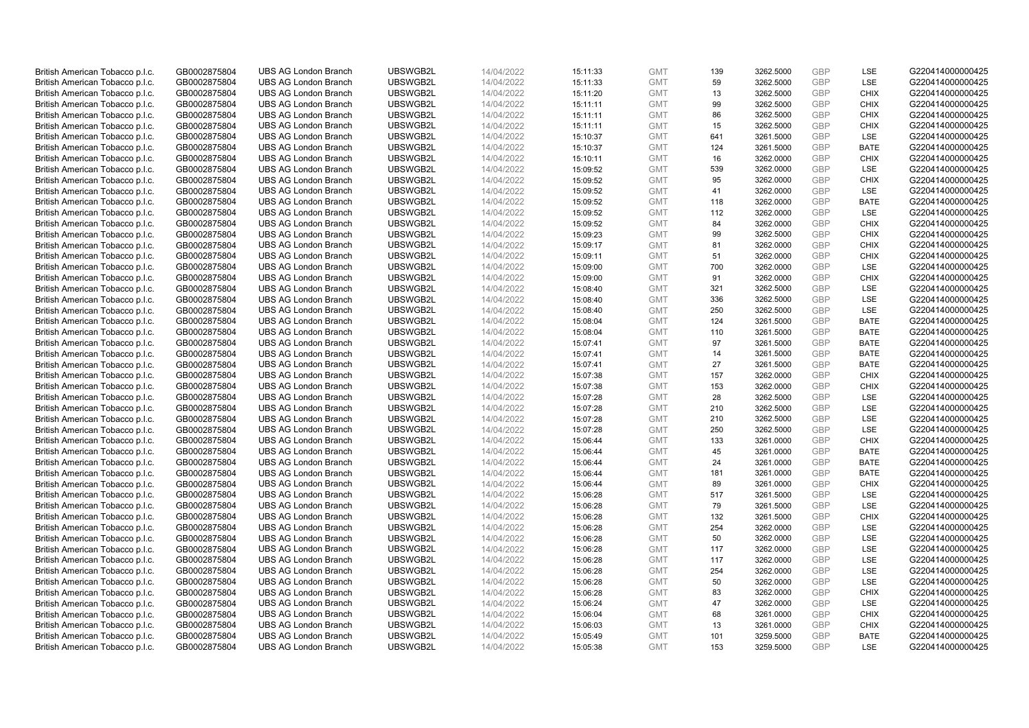| British American Tobacco p.l.c.                                    | GB0002875804                 | <b>UBS AG London Branch</b>                                | UBSWGB2L             | 14/04/2022               | 15:11:33             | <b>GMT</b>               | 139       | 3262.5000              | GBP                      | LSE                        | G220414000000425                     |
|--------------------------------------------------------------------|------------------------------|------------------------------------------------------------|----------------------|--------------------------|----------------------|--------------------------|-----------|------------------------|--------------------------|----------------------------|--------------------------------------|
| British American Tobacco p.l.c.                                    | GB0002875804                 | <b>UBS AG London Branch</b>                                | UBSWGB2L             | 14/04/2022               | 15:11:33             | <b>GMT</b>               | 59        | 3262.5000              | <b>GBP</b>               | <b>LSE</b>                 | G220414000000425                     |
| British American Tobacco p.l.c.                                    | GB0002875804                 | <b>UBS AG London Branch</b>                                | UBSWGB2L             | 14/04/2022               | 15:11:20             | <b>GMT</b>               | 13        | 3262.5000              | GBP                      | <b>CHIX</b>                | G220414000000425                     |
| British American Tobacco p.l.c.                                    | GB0002875804                 | <b>UBS AG London Branch</b>                                | UBSWGB2L             | 14/04/2022               | 15:11:11             | <b>GMT</b>               | 99        | 3262.5000              | <b>GBP</b>               | <b>CHIX</b>                | G220414000000425                     |
| British American Tobacco p.l.c.                                    | GB0002875804                 | <b>UBS AG London Branch</b>                                | UBSWGB2L             | 14/04/2022               | 15:11:11             | <b>GMT</b>               | 86        | 3262.5000              | GBP                      | <b>CHIX</b>                | G220414000000425                     |
| British American Tobacco p.l.c.                                    | GB0002875804                 | <b>UBS AG London Branch</b>                                | UBSWGB2L             | 14/04/2022               | 15:11:11             | <b>GMT</b>               | 15        | 3262.5000              | <b>GBP</b>               | <b>CHIX</b>                | G220414000000425                     |
| British American Tobacco p.l.c.                                    | GB0002875804                 | <b>UBS AG London Branch</b>                                | UBSWGB2L             | 14/04/2022               | 15:10:37             | <b>GMT</b>               | 641       | 3261.5000              | <b>GBP</b>               | LSE                        | G220414000000425                     |
| British American Tobacco p.l.c.                                    | GB0002875804                 | <b>UBS AG London Branch</b>                                | UBSWGB2L             | 14/04/2022               | 15:10:37             | <b>GMT</b>               | 124       | 3261.5000              | <b>GBP</b>               | <b>BATE</b>                | G220414000000425                     |
| British American Tobacco p.l.c.                                    | GB0002875804                 | <b>UBS AG London Branch</b>                                | UBSWGB2L             | 14/04/2022               | 15:10:11             | <b>GMT</b>               | 16        | 3262.0000              | <b>GBP</b>               | <b>CHIX</b>                | G220414000000425                     |
| British American Tobacco p.l.c.                                    | GB0002875804                 | <b>UBS AG London Branch</b>                                | UBSWGB2L             | 14/04/2022               | 15:09:52             | <b>GMT</b>               | 539       | 3262.0000              | <b>GBP</b>               | LSE                        | G220414000000425                     |
| British American Tobacco p.l.c.                                    | GB0002875804                 | <b>UBS AG London Branch</b>                                | UBSWGB2L             | 14/04/2022               | 15:09:52             | <b>GMT</b>               | 95        | 3262.0000              | GBP                      | <b>CHIX</b>                | G220414000000425                     |
| British American Tobacco p.l.c.                                    | GB0002875804                 | <b>UBS AG London Branch</b>                                | UBSWGB2L             | 14/04/2022               | 15:09:52             | <b>GMT</b>               | 41        | 3262.0000              | <b>GBP</b>               | LSE                        | G220414000000425                     |
| British American Tobacco p.l.c.                                    | GB0002875804                 | <b>UBS AG London Branch</b>                                | UBSWGB2L             | 14/04/2022               | 15:09:52             | <b>GMT</b>               | 118       | 3262.0000              | <b>GBP</b>               | <b>BATE</b>                | G220414000000425                     |
| British American Tobacco p.l.c.                                    | GB0002875804                 | <b>UBS AG London Branch</b>                                | UBSWGB2L             | 14/04/2022               | 15:09:52             | <b>GMT</b>               | 112       | 3262.0000              | GBP                      | LSE                        | G220414000000425                     |
| British American Tobacco p.l.c.                                    | GB0002875804                 | <b>UBS AG London Branch</b>                                | UBSWGB2L             | 14/04/2022               | 15:09:52             | <b>GMT</b>               | 84        | 3262.0000              | <b>GBP</b>               | <b>CHIX</b>                | G220414000000425                     |
| British American Tobacco p.l.c.                                    | GB0002875804                 | <b>UBS AG London Branch</b>                                | UBSWGB2L             | 14/04/2022               | 15:09:23             | <b>GMT</b>               | 99        | 3262.5000              | GBP                      | <b>CHIX</b>                | G220414000000425                     |
| British American Tobacco p.l.c.                                    | GB0002875804                 | <b>UBS AG London Branch</b>                                | UBSWGB2L             | 14/04/2022               | 15:09:17             | <b>GMT</b>               | 81        | 3262.0000              | <b>GBP</b>               | <b>CHIX</b>                | G220414000000425                     |
| British American Tobacco p.l.c.                                    | GB0002875804                 | <b>UBS AG London Branch</b>                                | UBSWGB2L             | 14/04/2022               | 15:09:11             | <b>GMT</b>               | 51        | 3262.0000              | GBP                      | <b>CHIX</b>                | G220414000000425                     |
| British American Tobacco p.l.c.                                    | GB0002875804                 | <b>UBS AG London Branch</b>                                | UBSWGB2L             | 14/04/2022               | 15:09:00             | <b>GMT</b>               | 700       | 3262.0000              | <b>GBP</b>               | <b>LSE</b>                 | G220414000000425                     |
| British American Tobacco p.l.c.                                    | GB0002875804                 | <b>UBS AG London Branch</b>                                | UBSWGB2L             | 14/04/2022               | 15:09:00             | <b>GMT</b>               | 91        | 3262.0000              | <b>GBP</b>               | <b>CHIX</b>                | G220414000000425                     |
| British American Tobacco p.l.c.                                    | GB0002875804                 | <b>UBS AG London Branch</b>                                | UBSWGB2L             | 14/04/2022               | 15:08:40             | <b>GMT</b>               | 321       | 3262.5000              | <b>GBP</b>               | LSE                        | G220414000000425                     |
| British American Tobacco p.l.c.                                    | GB0002875804                 | <b>UBS AG London Branch</b>                                | UBSWGB2L             | 14/04/2022               | 15:08:40             | <b>GMT</b>               | 336       | 3262.5000              | GBP                      | LSE                        | G220414000000425                     |
| British American Tobacco p.l.c.                                    | GB0002875804                 | <b>UBS AG London Branch</b>                                | UBSWGB2L             | 14/04/2022               | 15:08:40             | <b>GMT</b>               | 250       | 3262.5000              | <b>GBP</b>               | LSE                        | G220414000000425                     |
| British American Tobacco p.l.c.                                    | GB0002875804                 | <b>UBS AG London Branch</b>                                | UBSWGB2L             | 14/04/2022               | 15:08:04             | <b>GMT</b>               | 124       | 3261.5000              | GBP                      | <b>BATE</b>                | G220414000000425                     |
| British American Tobacco p.l.c.                                    | GB0002875804                 | <b>UBS AG London Branch</b>                                | UBSWGB2L             | 14/04/2022               | 15:08:04             | <b>GMT</b>               | 110       | 3261.5000              | <b>GBP</b>               | <b>BATE</b>                | G220414000000425                     |
| British American Tobacco p.l.c.                                    | GB0002875804                 | <b>UBS AG London Branch</b>                                | UBSWGB2L             | 14/04/2022               | 15:07:41             | <b>GMT</b>               | 97        | 3261.5000              | <b>GBP</b>               | <b>BATE</b>                | G220414000000425                     |
| British American Tobacco p.l.c.                                    | GB0002875804                 | <b>UBS AG London Branch</b>                                | UBSWGB2L             | 14/04/2022               | 15:07:41             | <b>GMT</b>               | 14        | 3261.5000              | GBP                      | <b>BATE</b>                | G220414000000425                     |
| British American Tobacco p.l.c.                                    | GB0002875804                 | <b>UBS AG London Branch</b>                                | UBSWGB2L             | 14/04/2022               | 15:07:41             | <b>GMT</b>               | 27        | 3261.5000              | <b>GBP</b>               | <b>BATE</b>                | G220414000000425                     |
| British American Tobacco p.l.c.                                    | GB0002875804                 | <b>UBS AG London Branch</b>                                | UBSWGB2L             | 14/04/2022               | 15:07:38             | <b>GMT</b>               | 157       | 3262.0000              | GBP                      | <b>CHIX</b>                | G220414000000425                     |
| British American Tobacco p.l.c.                                    | GB0002875804                 | <b>UBS AG London Branch</b>                                | UBSWGB2L             | 14/04/2022               | 15:07:38             | <b>GMT</b>               | 153       | 3262.0000              | <b>GBP</b>               | <b>CHIX</b>                | G220414000000425                     |
| British American Tobacco p.l.c.                                    | GB0002875804                 | <b>UBS AG London Branch</b>                                | UBSWGB2L             | 14/04/2022               | 15:07:28             | <b>GMT</b>               | 28        | 3262.5000              | GBP                      | LSE                        | G220414000000425                     |
| British American Tobacco p.l.c.                                    | GB0002875804                 | <b>UBS AG London Branch</b>                                | UBSWGB2L             | 14/04/2022               | 15:07:28             | <b>GMT</b>               | 210       | 3262.5000              | <b>GBP</b>               | <b>LSE</b>                 | G220414000000425                     |
| British American Tobacco p.l.c.                                    | GB0002875804                 | <b>UBS AG London Branch</b>                                | UBSWGB2L             | 14/04/2022               | 15:07:28             | <b>GMT</b>               | 210       | 3262.5000              | GBP                      | LSE                        | G220414000000425                     |
| British American Tobacco p.l.c.                                    | GB0002875804                 | <b>UBS AG London Branch</b>                                | UBSWGB2L             | 14/04/2022               | 15:07:28             | <b>GMT</b>               | 250       | 3262.5000              | GBP                      | LSE                        | G220414000000425                     |
| British American Tobacco p.l.c.                                    | GB0002875804                 | <b>UBS AG London Branch</b>                                | UBSWGB2L             | 14/04/2022               | 15:06:44             | <b>GMT</b>               | 133       | 3261.0000              | <b>GBP</b>               | <b>CHIX</b>                | G220414000000425                     |
| British American Tobacco p.l.c.                                    | GB0002875804                 | <b>UBS AG London Branch</b>                                | UBSWGB2L             | 14/04/2022               | 15:06:44             | <b>GMT</b>               | 45        | 3261.0000              | GBP                      | <b>BATE</b>                | G220414000000425                     |
| British American Tobacco p.l.c.                                    | GB0002875804                 | <b>UBS AG London Branch</b>                                | UBSWGB2L             | 14/04/2022               | 15:06:44             | <b>GMT</b>               | 24        | 3261.0000              | GBP                      | <b>BATE</b>                | G220414000000425                     |
| British American Tobacco p.l.c.                                    | GB0002875804                 | <b>UBS AG London Branch</b>                                | UBSWGB2L             | 14/04/2022               | 15:06:44             | <b>GMT</b>               | 181       | 3261.0000              | <b>GBP</b>               | <b>BATE</b>                | G220414000000425                     |
| British American Tobacco p.l.c.                                    | GB0002875804                 | <b>UBS AG London Branch</b>                                | UBSWGB2L             | 14/04/2022               | 15:06:44             | <b>GMT</b>               | 89        | 3261.0000              | <b>GBP</b>               | <b>CHIX</b>                | G220414000000425                     |
| British American Tobacco p.l.c.                                    | GB0002875804                 | <b>UBS AG London Branch</b>                                | UBSWGB2L             | 14/04/2022               | 15:06:28             | <b>GMT</b>               | 517       | 3261.5000              | GBP                      | LSE                        | G220414000000425                     |
| British American Tobacco p.l.c.                                    | GB0002875804                 | <b>UBS AG London Branch</b>                                | UBSWGB2L             | 14/04/2022               | 15:06:28             | <b>GMT</b>               | 79        | 3261.5000              | <b>GBP</b>               | <b>LSE</b>                 | G220414000000425                     |
| British American Tobacco p.l.c.                                    | GB0002875804                 | <b>UBS AG London Branch</b>                                | UBSWGB2L             | 14/04/2022               | 15:06:28             | <b>GMT</b>               | 132       | 3261.5000              | GBP                      | <b>CHIX</b>                | G220414000000425                     |
| British American Tobacco p.l.c.                                    | GB0002875804                 | <b>UBS AG London Branch</b>                                | UBSWGB2L             | 14/04/2022               | 15:06:28             | <b>GMT</b>               | 254       | 3262.0000              | <b>GBP</b>               | LSE                        | G220414000000425                     |
| British American Tobacco p.l.c.                                    | GB0002875804                 | <b>UBS AG London Branch</b>                                | UBSWGB2L             | 14/04/2022               | 15:06:28             | <b>GMT</b>               | 50        | 3262.0000              | GBP                      | LSE                        | G220414000000425                     |
| British American Tobacco p.l.c.                                    | GB0002875804                 | <b>UBS AG London Branch</b>                                | UBSWGB2L             | 14/04/2022               | 15:06:28             | <b>GMT</b>               | 117       | 3262.0000              | <b>GBP</b>               | <b>LSE</b>                 | G220414000000425                     |
| British American Tobacco p.l.c.                                    | GB0002875804                 | <b>UBS AG London Branch</b>                                | UBSWGB2L             | 14/04/2022               | 15:06:28             | <b>GMT</b>               | 117       | 3262.0000              | GBP                      | LSE                        | G220414000000425                     |
| British American Tobacco p.l.c.                                    | GB0002875804                 | <b>UBS AG London Branch</b>                                | UBSWGB2L             | 14/04/2022               | 15:06:28             | <b>GMT</b>               | 254       | 3262.0000              | GBP                      | <b>LSE</b>                 | G220414000000425                     |
| British American Tobacco p.l.c.                                    | GB0002875804                 | <b>UBS AG London Branch</b>                                | UBSWGB2L             | 14/04/2022               | 15:06:28             | <b>GMT</b>               | 50        | 3262.0000              | <b>GBP</b>               | LSE                        | G220414000000425                     |
| British American Tobacco p.l.c.                                    | GB0002875804                 | <b>UBS AG London Branch</b>                                | UBSWGB2L             | 14/04/2022               | 15:06:28             | <b>GMT</b>               | 83        | 3262.0000              | <b>GBP</b><br>GBP        | <b>CHIX</b>                | G220414000000425                     |
| British American Tobacco p.l.c.                                    | GB0002875804                 | <b>UBS AG London Branch</b>                                | UBSWGB2L             | 14/04/2022               | 15:06:24             | <b>GMT</b>               | 47        | 3262.0000              |                          | <b>LSE</b>                 | G220414000000425                     |
| British American Tobacco p.l.c.                                    | GB0002875804                 | <b>UBS AG London Branch</b><br><b>UBS AG London Branch</b> | UBSWGB2L<br>UBSWGB2L | 14/04/2022               | 15:06:04             | <b>GMT</b>               | 68        | 3261.0000              | <b>GBP</b><br><b>GBP</b> | <b>CHIX</b><br><b>CHIX</b> | G220414000000425<br>G220414000000425 |
| British American Tobacco p.l.c.                                    | GB0002875804<br>GB0002875804 | <b>UBS AG London Branch</b>                                | UBSWGB2L             | 14/04/2022<br>14/04/2022 | 15:06:03             | <b>GMT</b><br><b>GMT</b> | 13<br>101 | 3261.0000              | GBP                      | <b>BATE</b>                | G220414000000425                     |
| British American Tobacco p.l.c.<br>British American Tobacco p.l.c. | GB0002875804                 | <b>UBS AG London Branch</b>                                | UBSWGB2L             | 14/04/2022               | 15:05:49<br>15:05:38 | <b>GMT</b>               | 153       | 3259.5000<br>3259.5000 | <b>GBP</b>               | <b>LSE</b>                 | G220414000000425                     |
|                                                                    |                              |                                                            |                      |                          |                      |                          |           |                        |                          |                            |                                      |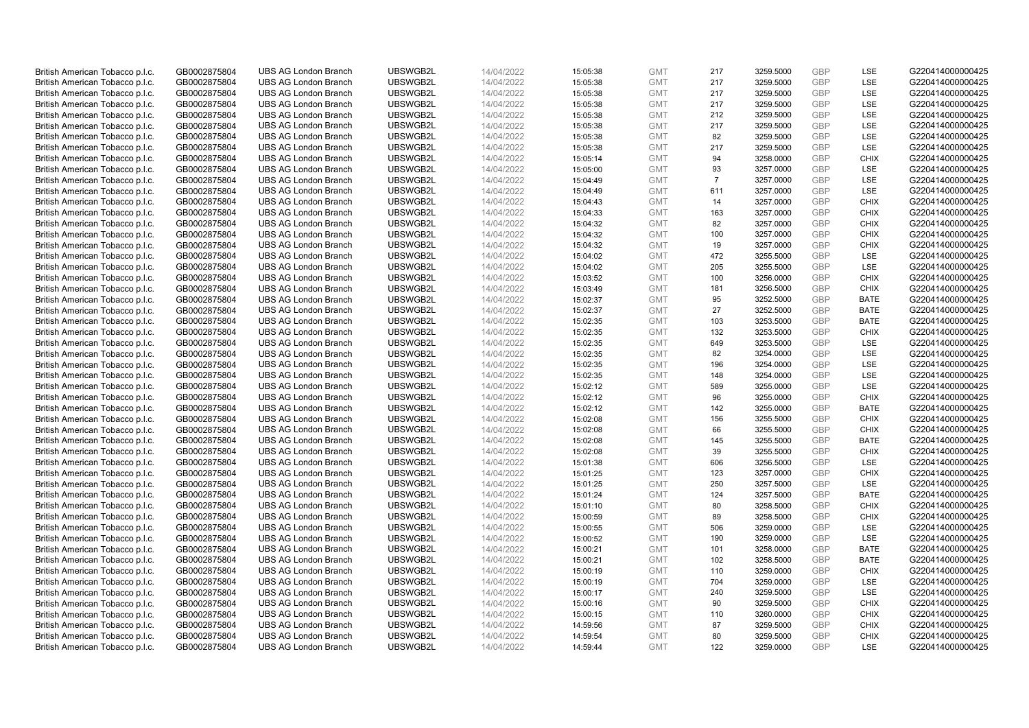| British American Tobacco p.l.c. | GB0002875804 | <b>UBS AG London Branch</b> | UBSWGB2L | 14/04/2022 | 15:05:38 | <b>GMT</b> | 217            | 3259.5000 | GBP        | LSE         | G220414000000425 |
|---------------------------------|--------------|-----------------------------|----------|------------|----------|------------|----------------|-----------|------------|-------------|------------------|
| British American Tobacco p.l.c. | GB0002875804 | <b>UBS AG London Branch</b> | UBSWGB2L | 14/04/2022 | 15:05:38 | <b>GMT</b> | 217            | 3259.5000 | <b>GBP</b> | LSE         | G220414000000425 |
| British American Tobacco p.l.c. | GB0002875804 | <b>UBS AG London Branch</b> | UBSWGB2L | 14/04/2022 | 15:05:38 | <b>GMT</b> | 217            | 3259.5000 | GBP        | LSE         | G220414000000425 |
| British American Tobacco p.l.c. | GB0002875804 | <b>UBS AG London Branch</b> | UBSWGB2L | 14/04/2022 | 15:05:38 | <b>GMT</b> | 217            | 3259.5000 | <b>GBP</b> | LSE         | G220414000000425 |
| British American Tobacco p.l.c. | GB0002875804 | <b>UBS AG London Branch</b> | UBSWGB2L | 14/04/2022 | 15:05:38 | <b>GMT</b> | 212            | 3259.5000 | <b>GBP</b> | LSE         | G220414000000425 |
| British American Tobacco p.l.c. | GB0002875804 | <b>UBS AG London Branch</b> | UBSWGB2L | 14/04/2022 | 15:05:38 | <b>GMT</b> | 217            | 3259.5000 | <b>GBP</b> | LSE         | G220414000000425 |
| British American Tobacco p.l.c. | GB0002875804 | <b>UBS AG London Branch</b> | UBSWGB2L | 14/04/2022 | 15:05:38 | <b>GMT</b> | 82             | 3259.5000 | <b>GBP</b> | LSE         | G220414000000425 |
| British American Tobacco p.l.c. | GB0002875804 | <b>UBS AG London Branch</b> | UBSWGB2L | 14/04/2022 | 15:05:38 | <b>GMT</b> | 217            | 3259.5000 | <b>GBP</b> | LSE         | G220414000000425 |
| British American Tobacco p.l.c. | GB0002875804 | <b>UBS AG London Branch</b> | UBSWGB2L | 14/04/2022 | 15:05:14 | <b>GMT</b> | 94             | 3258.0000 | GBP        | <b>CHIX</b> | G220414000000425 |
| British American Tobacco p.l.c. | GB0002875804 | <b>UBS AG London Branch</b> | UBSWGB2L | 14/04/2022 | 15:05:00 | <b>GMT</b> | 93             | 3257.0000 | <b>GBP</b> | LSE         | G220414000000425 |
| British American Tobacco p.l.c. | GB0002875804 | <b>UBS AG London Branch</b> | UBSWGB2L | 14/04/2022 | 15:04:49 | <b>GMT</b> | $\overline{7}$ | 3257.0000 | GBP        | LSE         | G220414000000425 |
| British American Tobacco p.l.c. | GB0002875804 | <b>UBS AG London Branch</b> | UBSWGB2L | 14/04/2022 | 15:04:49 | <b>GMT</b> | 611            | 3257.0000 | <b>GBP</b> | LSE         | G220414000000425 |
| British American Tobacco p.l.c. | GB0002875804 | <b>UBS AG London Branch</b> | UBSWGB2L | 14/04/2022 | 15:04:43 | <b>GMT</b> | 14             | 3257.0000 | <b>GBP</b> | <b>CHIX</b> | G220414000000425 |
| British American Tobacco p.l.c. | GB0002875804 | <b>UBS AG London Branch</b> | UBSWGB2L | 14/04/2022 | 15:04:33 | <b>GMT</b> | 163            | 3257.0000 | GBP        | <b>CHIX</b> | G220414000000425 |
| British American Tobacco p.l.c. | GB0002875804 | <b>UBS AG London Branch</b> | UBSWGB2L | 14/04/2022 | 15:04:32 | <b>GMT</b> | 82             | 3257.0000 | <b>GBP</b> | <b>CHIX</b> | G220414000000425 |
| British American Tobacco p.l.c. | GB0002875804 | <b>UBS AG London Branch</b> | UBSWGB2L | 14/04/2022 | 15:04:32 | <b>GMT</b> | 100            | 3257.0000 | GBP        | <b>CHIX</b> | G220414000000425 |
| British American Tobacco p.l.c. | GB0002875804 | <b>UBS AG London Branch</b> | UBSWGB2L | 14/04/2022 | 15:04:32 | <b>GMT</b> | 19             | 3257.0000 | <b>GBP</b> | <b>CHIX</b> | G220414000000425 |
| British American Tobacco p.l.c. | GB0002875804 | <b>UBS AG London Branch</b> | UBSWGB2L | 14/04/2022 | 15:04:02 | <b>GMT</b> | 472            | 3255.5000 | GBP        | LSE         | G220414000000425 |
| British American Tobacco p.l.c. | GB0002875804 | <b>UBS AG London Branch</b> | UBSWGB2L | 14/04/2022 | 15:04:02 | <b>GMT</b> | 205            | 3255.5000 | <b>GBP</b> | <b>LSE</b>  | G220414000000425 |
| British American Tobacco p.l.c. | GB0002875804 | <b>UBS AG London Branch</b> | UBSWGB2L | 14/04/2022 | 15:03:52 | <b>GMT</b> | 100            | 3256.0000 | GBP        | <b>CHIX</b> | G220414000000425 |
| British American Tobacco p.l.c. | GB0002875804 | <b>UBS AG London Branch</b> | UBSWGB2L | 14/04/2022 | 15:03:49 | <b>GMT</b> | 181            | 3256.5000 | GBP        | <b>CHIX</b> | G220414000000425 |
| British American Tobacco p.l.c. | GB0002875804 | <b>UBS AG London Branch</b> | UBSWGB2L | 14/04/2022 | 15:02:37 | <b>GMT</b> | 95             | 3252.5000 | GBP        | <b>BATE</b> | G220414000000425 |
| British American Tobacco p.l.c. | GB0002875804 | <b>UBS AG London Branch</b> | UBSWGB2L | 14/04/2022 | 15:02:37 | <b>GMT</b> | 27             | 3252.5000 | <b>GBP</b> | <b>BATE</b> | G220414000000425 |
| British American Tobacco p.l.c. | GB0002875804 | <b>UBS AG London Branch</b> | UBSWGB2L | 14/04/2022 | 15:02:35 | <b>GMT</b> | 103            | 3253.5000 | GBP        | <b>BATE</b> | G220414000000425 |
| British American Tobacco p.l.c. | GB0002875804 | <b>UBS AG London Branch</b> | UBSWGB2L | 14/04/2022 | 15:02:35 | <b>GMT</b> | 132            | 3253.5000 | <b>GBP</b> | <b>CHIX</b> | G220414000000425 |
| British American Tobacco p.l.c. | GB0002875804 | <b>UBS AG London Branch</b> | UBSWGB2L | 14/04/2022 | 15:02:35 | <b>GMT</b> | 649            | 3253.5000 | <b>GBP</b> | LSE         | G220414000000425 |
| British American Tobacco p.l.c. | GB0002875804 | <b>UBS AG London Branch</b> | UBSWGB2L | 14/04/2022 | 15:02:35 | <b>GMT</b> | 82             | 3254.0000 | GBP        | LSE         | G220414000000425 |
| British American Tobacco p.l.c. | GB0002875804 | <b>UBS AG London Branch</b> | UBSWGB2L | 14/04/2022 | 15:02:35 | <b>GMT</b> | 196            | 3254.0000 | <b>GBP</b> | <b>LSE</b>  | G220414000000425 |
| British American Tobacco p.l.c. | GB0002875804 | <b>UBS AG London Branch</b> | UBSWGB2L | 14/04/2022 | 15:02:35 | <b>GMT</b> | 148            | 3254.0000 | GBP        | LSE         | G220414000000425 |
| British American Tobacco p.l.c. | GB0002875804 | <b>UBS AG London Branch</b> | UBSWGB2L | 14/04/2022 | 15:02:12 | <b>GMT</b> | 589            | 3255.0000 | <b>GBP</b> | LSE         | G220414000000425 |
| British American Tobacco p.l.c. | GB0002875804 | <b>UBS AG London Branch</b> | UBSWGB2L | 14/04/2022 | 15:02:12 | <b>GMT</b> | 96             | 3255.0000 | GBP        | <b>CHIX</b> | G220414000000425 |
| British American Tobacco p.l.c. | GB0002875804 | <b>UBS AG London Branch</b> | UBSWGB2L | 14/04/2022 | 15:02:12 | <b>GMT</b> | 142            | 3255.0000 | <b>GBP</b> | <b>BATE</b> | G220414000000425 |
| British American Tobacco p.l.c. | GB0002875804 | <b>UBS AG London Branch</b> | UBSWGB2L | 14/04/2022 | 15:02:08 | <b>GMT</b> | 156            | 3255.5000 | GBP        | <b>CHIX</b> | G220414000000425 |
| British American Tobacco p.l.c. | GB0002875804 | <b>UBS AG London Branch</b> | UBSWGB2L | 14/04/2022 | 15:02:08 | <b>GMT</b> | 66             | 3255.5000 | GBP        | <b>CHIX</b> | G220414000000425 |
| British American Tobacco p.l.c. | GB0002875804 | <b>UBS AG London Branch</b> | UBSWGB2L | 14/04/2022 | 15:02:08 | <b>GMT</b> | 145            | 3255.5000 | <b>GBP</b> | <b>BATE</b> | G220414000000425 |
| British American Tobacco p.l.c. | GB0002875804 | <b>UBS AG London Branch</b> | UBSWGB2L | 14/04/2022 | 15:02:08 | <b>GMT</b> | 39             | 3255.5000 | <b>GBP</b> | <b>CHIX</b> | G220414000000425 |
| British American Tobacco p.l.c. | GB0002875804 | <b>UBS AG London Branch</b> | UBSWGB2L | 14/04/2022 | 15:01:38 | <b>GMT</b> | 606            | 3256.5000 | GBP        | <b>LSE</b>  | G220414000000425 |
| British American Tobacco p.l.c. | GB0002875804 | <b>UBS AG London Branch</b> | UBSWGB2L | 14/04/2022 | 15:01:25 | <b>GMT</b> | 123            | 3257.0000 | <b>GBP</b> | <b>CHIX</b> | G220414000000425 |
| British American Tobacco p.l.c. | GB0002875804 | <b>UBS AG London Branch</b> | UBSWGB2L | 14/04/2022 | 15:01:25 | <b>GMT</b> | 250            | 3257.5000 | <b>GBP</b> | LSE         | G220414000000425 |
| British American Tobacco p.l.c. | GB0002875804 | <b>UBS AG London Branch</b> | UBSWGB2L | 14/04/2022 | 15:01:24 | <b>GMT</b> | 124            | 3257.5000 | GBP        | <b>BATE</b> | G220414000000425 |
| British American Tobacco p.l.c. | GB0002875804 | <b>UBS AG London Branch</b> | UBSWGB2L | 14/04/2022 | 15:01:10 | <b>GMT</b> | 80             | 3258.5000 | <b>GBP</b> | <b>CHIX</b> | G220414000000425 |
| British American Tobacco p.l.c. | GB0002875804 | <b>UBS AG London Branch</b> | UBSWGB2L | 14/04/2022 | 15:00:59 | <b>GMT</b> | 89             | 3258.5000 | GBP        | <b>CHIX</b> | G220414000000425 |
| British American Tobacco p.l.c. | GB0002875804 | <b>UBS AG London Branch</b> | UBSWGB2L | 14/04/2022 | 15:00:55 | <b>GMT</b> | 506            | 3259.0000 | <b>GBP</b> | LSE         | G220414000000425 |
| British American Tobacco p.l.c. | GB0002875804 | <b>UBS AG London Branch</b> | UBSWGB2L | 14/04/2022 | 15:00:52 | <b>GMT</b> | 190            | 3259.0000 | GBP        | LSE         | G220414000000425 |
| British American Tobacco p.l.c. | GB0002875804 | <b>UBS AG London Branch</b> | UBSWGB2L | 14/04/2022 | 15:00:21 | <b>GMT</b> | 101            | 3258.0000 | GBP        | <b>BATE</b> | G220414000000425 |
| British American Tobacco p.l.c. | GB0002875804 | <b>UBS AG London Branch</b> | UBSWGB2L | 14/04/2022 | 15:00:21 | <b>GMT</b> | 102            | 3258.5000 | GBP        | <b>BATE</b> | G220414000000425 |
| British American Tobacco p.l.c. | GB0002875804 | <b>UBS AG London Branch</b> | UBSWGB2L | 14/04/2022 | 15:00:19 | <b>GMT</b> | 110            | 3259.0000 | GBP        | <b>CHIX</b> | G220414000000425 |
| British American Tobacco p.l.c. | GB0002875804 | <b>UBS AG London Branch</b> | UBSWGB2L | 14/04/2022 | 15:00:19 | <b>GMT</b> | 704            | 3259.0000 | GBP        | LSE         | G220414000000425 |
| British American Tobacco p.l.c. | GB0002875804 | <b>UBS AG London Branch</b> | UBSWGB2L | 14/04/2022 | 15:00:17 | <b>GMT</b> | 240            | 3259.5000 | <b>GBP</b> | LSE         | G220414000000425 |
| British American Tobacco p.l.c. | GB0002875804 | <b>UBS AG London Branch</b> | UBSWGB2L | 14/04/2022 | 15:00:16 | <b>GMT</b> | 90             | 3259.5000 | GBP        | <b>CHIX</b> | G220414000000425 |
| British American Tobacco p.l.c. | GB0002875804 | <b>UBS AG London Branch</b> | UBSWGB2L | 14/04/2022 | 15:00:15 | <b>GMT</b> | 110            | 3260.0000 | <b>GBP</b> | <b>CHIX</b> | G220414000000425 |
| British American Tobacco p.l.c. | GB0002875804 | <b>UBS AG London Branch</b> | UBSWGB2L | 14/04/2022 | 14:59:56 | <b>GMT</b> | 87             | 3259.5000 | <b>GBP</b> | <b>CHIX</b> | G220414000000425 |
| British American Tobacco p.l.c. | GB0002875804 | <b>UBS AG London Branch</b> | UBSWGB2L | 14/04/2022 | 14:59:54 | <b>GMT</b> | 80             | 3259.5000 | GBP        | <b>CHIX</b> | G220414000000425 |
| British American Tobacco p.l.c. | GB0002875804 | <b>UBS AG London Branch</b> | UBSWGB2L | 14/04/2022 | 14:59:44 | <b>GMT</b> | 122            | 3259.0000 | <b>GBP</b> | <b>LSE</b>  | G220414000000425 |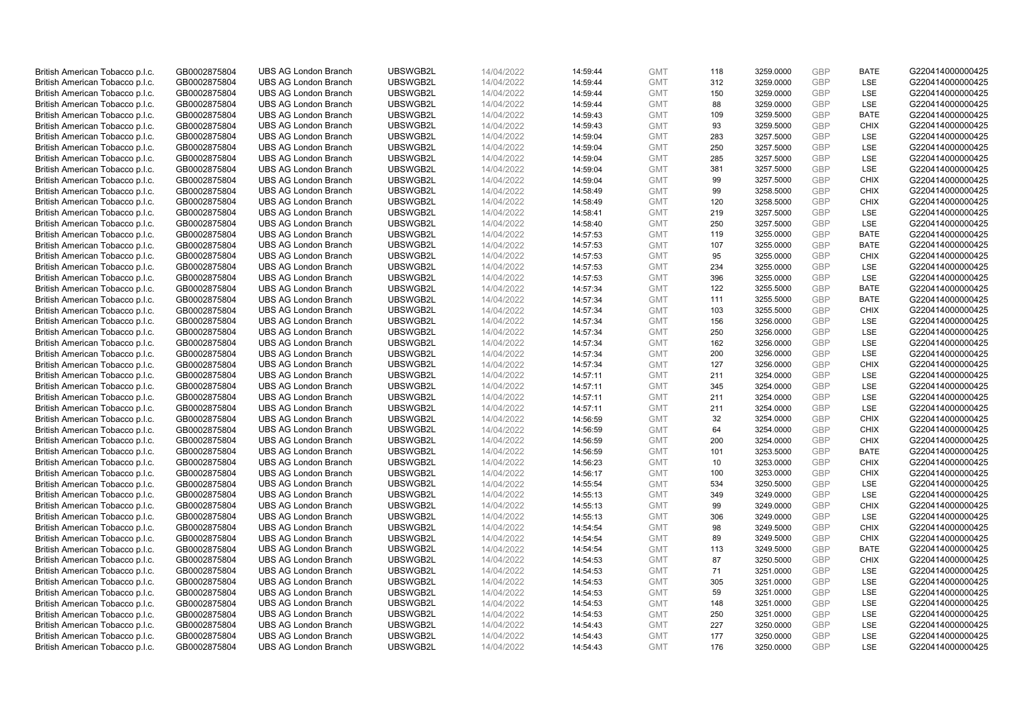| British American Tobacco p.l.c. | GB0002875804 | <b>UBS AG London Branch</b> | UBSWGB2L | 14/04/2022 | 14:59:44             | <b>GMT</b> | 118 | 3259.0000 | GBP        | <b>BATE</b> | G220414000000425 |
|---------------------------------|--------------|-----------------------------|----------|------------|----------------------|------------|-----|-----------|------------|-------------|------------------|
| British American Tobacco p.l.c. | GB0002875804 | <b>UBS AG London Branch</b> | UBSWGB2L | 14/04/2022 | 14:59:44             | <b>GMT</b> | 312 | 3259.0000 | GBP        | LSE         | G220414000000425 |
| British American Tobacco p.l.c. | GB0002875804 | <b>UBS AG London Branch</b> | UBSWGB2L | 14/04/2022 | 14:59:44             | <b>GMT</b> | 150 | 3259.0000 | GBP        | LSE         | G220414000000425 |
| British American Tobacco p.l.c. | GB0002875804 | <b>UBS AG London Branch</b> | UBSWGB2L | 14/04/2022 | 14:59:44             | <b>GMT</b> | 88  | 3259.0000 | GBP        | LSE         | G220414000000425 |
| British American Tobacco p.l.c. | GB0002875804 | <b>UBS AG London Branch</b> | UBSWGB2L | 14/04/2022 | 14:59:43             | <b>GMT</b> | 109 | 3259.5000 | <b>GBP</b> | <b>BATE</b> | G220414000000425 |
| British American Tobacco p.l.c. | GB0002875804 | UBS AG London Branch        | UBSWGB2L | 14/04/2022 | 14:59:43             | <b>GMT</b> | 93  | 3259.5000 | <b>GBP</b> | <b>CHIX</b> | G220414000000425 |
| British American Tobacco p.l.c. | GB0002875804 | <b>UBS AG London Branch</b> | UBSWGB2L | 14/04/2022 | 14:59:04             | <b>GMT</b> | 283 | 3257.5000 | <b>GBP</b> | LSE         | G220414000000425 |
| British American Tobacco p.l.c. | GB0002875804 | <b>UBS AG London Branch</b> | UBSWGB2L | 14/04/2022 | 14:59:04             | <b>GMT</b> | 250 | 3257.5000 | <b>GBP</b> | LSE         | G220414000000425 |
| British American Tobacco p.l.c. | GB0002875804 | <b>UBS AG London Branch</b> | UBSWGB2L | 14/04/2022 | 14:59:04             | <b>GMT</b> | 285 | 3257.5000 | <b>GBP</b> | LSE         | G220414000000425 |
| British American Tobacco p.l.c. | GB0002875804 | <b>UBS AG London Branch</b> | UBSWGB2L | 14/04/2022 | 14:59:04             | <b>GMT</b> | 381 | 3257.5000 | <b>GBP</b> | <b>LSE</b>  | G220414000000425 |
| British American Tobacco p.l.c. | GB0002875804 | <b>UBS AG London Branch</b> | UBSWGB2L | 14/04/2022 | 14:59:04             | <b>GMT</b> | 99  | 3257.5000 | GBP        | <b>CHIX</b> | G220414000000425 |
| British American Tobacco p.l.c. | GB0002875804 | <b>UBS AG London Branch</b> | UBSWGB2L | 14/04/2022 | 14:58:49             | <b>GMT</b> | 99  | 3258.5000 | <b>GBP</b> | <b>CHIX</b> | G220414000000425 |
| British American Tobacco p.l.c. | GB0002875804 | <b>UBS AG London Branch</b> | UBSWGB2L | 14/04/2022 | 14:58:49             | <b>GMT</b> | 120 | 3258.5000 | <b>GBP</b> | <b>CHIX</b> | G220414000000425 |
| British American Tobacco p.l.c. | GB0002875804 | <b>UBS AG London Branch</b> | UBSWGB2L | 14/04/2022 | 14:58:41             | <b>GMT</b> | 219 | 3257.5000 | GBP        | LSE         | G220414000000425 |
| British American Tobacco p.l.c. | GB0002875804 | <b>UBS AG London Branch</b> | UBSWGB2L | 14/04/2022 | 14:58:40             | <b>GMT</b> | 250 | 3257.5000 | <b>GBP</b> | LSE         | G220414000000425 |
| British American Tobacco p.l.c. | GB0002875804 | <b>UBS AG London Branch</b> | UBSWGB2L | 14/04/2022 | 14:57:53             | <b>GMT</b> | 119 | 3255.0000 | <b>GBP</b> | <b>BATE</b> | G220414000000425 |
| British American Tobacco p.l.c. | GB0002875804 | <b>UBS AG London Branch</b> | UBSWGB2L | 14/04/2022 | 14:57:53             | <b>GMT</b> | 107 | 3255.0000 | GBP        | <b>BATE</b> | G220414000000425 |
| British American Tobacco p.l.c. |              | <b>UBS AG London Branch</b> | UBSWGB2L | 14/04/2022 |                      | <b>GMT</b> | 95  | 3255.0000 | <b>GBP</b> | <b>CHIX</b> | G220414000000425 |
|                                 | GB0002875804 | UBS AG London Branch        | UBSWGB2L |            | 14:57:53<br>14:57:53 | <b>GMT</b> | 234 |           | <b>GBP</b> | <b>LSE</b>  | G220414000000425 |
| British American Tobacco p.l.c. | GB0002875804 |                             |          | 14/04/2022 |                      |            |     | 3255.0000 |            |             |                  |
| British American Tobacco p.l.c. | GB0002875804 | <b>UBS AG London Branch</b> | UBSWGB2L | 14/04/2022 | 14:57:53             | <b>GMT</b> | 396 | 3255.0000 | <b>GBP</b> | LSE         | G220414000000425 |
| British American Tobacco p.l.c. | GB0002875804 | <b>UBS AG London Branch</b> | UBSWGB2L | 14/04/2022 | 14:57:34             | <b>GMT</b> | 122 | 3255.5000 | GBP        | <b>BATE</b> | G220414000000425 |
| British American Tobacco p.l.c. | GB0002875804 | <b>UBS AG London Branch</b> | UBSWGB2L | 14/04/2022 | 14:57:34             | <b>GMT</b> | 111 | 3255.5000 | GBP        | <b>BATE</b> | G220414000000425 |
| British American Tobacco p.l.c. | GB0002875804 | <b>UBS AG London Branch</b> | UBSWGB2L | 14/04/2022 | 14:57:34             | <b>GMT</b> | 103 | 3255.5000 | <b>GBP</b> | <b>CHIX</b> | G220414000000425 |
| British American Tobacco p.l.c. | GB0002875804 | <b>UBS AG London Branch</b> | UBSWGB2L | 14/04/2022 | 14:57:34             | <b>GMT</b> | 156 | 3256.0000 | GBP        | LSE         | G220414000000425 |
| British American Tobacco p.l.c. | GB0002875804 | <b>UBS AG London Branch</b> | UBSWGB2L | 14/04/2022 | 14:57:34             | <b>GMT</b> | 250 | 3256.0000 | <b>GBP</b> | LSE         | G220414000000425 |
| British American Tobacco p.l.c. | GB0002875804 | <b>UBS AG London Branch</b> | UBSWGB2L | 14/04/2022 | 14:57:34             | <b>GMT</b> | 162 | 3256.0000 | GBP        | LSE         | G220414000000425 |
| British American Tobacco p.l.c. | GB0002875804 | <b>UBS AG London Branch</b> | UBSWGB2L | 14/04/2022 | 14:57:34             | <b>GMT</b> | 200 | 3256.0000 | GBP        | LSE         | G220414000000425 |
| British American Tobacco p.l.c. | GB0002875804 | <b>UBS AG London Branch</b> | UBSWGB2L | 14/04/2022 | 14:57:34             | <b>GMT</b> | 127 | 3256.0000 | GBP        | <b>CHIX</b> | G220414000000425 |
| British American Tobacco p.l.c. | GB0002875804 | <b>UBS AG London Branch</b> | UBSWGB2L | 14/04/2022 | 14:57:11             | <b>GMT</b> | 211 | 3254.0000 | <b>GBP</b> | LSE         | G220414000000425 |
| British American Tobacco p.l.c. | GB0002875804 | <b>UBS AG London Branch</b> | UBSWGB2L | 14/04/2022 | 14:57:11             | <b>GMT</b> | 345 | 3254.0000 | GBP        | LSE         | G220414000000425 |
| British American Tobacco p.l.c. | GB0002875804 | <b>UBS AG London Branch</b> | UBSWGB2L | 14/04/2022 | 14:57:11             | <b>GMT</b> | 211 | 3254.0000 | <b>GBP</b> | LSE         | G220414000000425 |
| British American Tobacco p.l.c. | GB0002875804 | <b>UBS AG London Branch</b> | UBSWGB2L | 14/04/2022 | 14:57:11             | <b>GMT</b> | 211 | 3254.0000 | GBP        | LSE         | G220414000000425 |
| British American Tobacco p.l.c. | GB0002875804 | <b>UBS AG London Branch</b> | UBSWGB2L | 14/04/2022 | 14:56:59             | <b>GMT</b> | 32  | 3254.0000 | <b>GBP</b> | <b>CHIX</b> | G220414000000425 |
| British American Tobacco p.l.c. | GB0002875804 | <b>UBS AG London Branch</b> | UBSWGB2L | 14/04/2022 | 14:56:59             | <b>GMT</b> | 64  | 3254.0000 | <b>GBP</b> | <b>CHIX</b> | G220414000000425 |
| British American Tobacco p.l.c. | GB0002875804 | <b>UBS AG London Branch</b> | UBSWGB2L | 14/04/2022 | 14:56:59             | <b>GMT</b> | 200 | 3254.0000 | GBP        | <b>CHIX</b> | G220414000000425 |
| British American Tobacco p.l.c. | GB0002875804 | <b>UBS AG London Branch</b> | UBSWGB2L | 14/04/2022 | 14:56:59             | <b>GMT</b> | 101 | 3253.5000 | GBP        | <b>BATE</b> | G220414000000425 |
| British American Tobacco p.l.c. | GB0002875804 | <b>UBS AG London Branch</b> | UBSWGB2L | 14/04/2022 | 14:56:23             | <b>GMT</b> | 10  | 3253.0000 | GBP        | <b>CHIX</b> | G220414000000425 |
| British American Tobacco p.l.c. | GB0002875804 | <b>UBS AG London Branch</b> | UBSWGB2L | 14/04/2022 | 14:56:17             | <b>GMT</b> | 100 | 3253.0000 | <b>GBP</b> | <b>CHIX</b> | G220414000000425 |
| British American Tobacco p.l.c. | GB0002875804 | <b>UBS AG London Branch</b> | UBSWGB2L | 14/04/2022 | 14:55:54             | <b>GMT</b> | 534 | 3250.5000 | <b>GBP</b> | LSE         | G220414000000425 |
| British American Tobacco p.l.c. | GB0002875804 | <b>UBS AG London Branch</b> | UBSWGB2L | 14/04/2022 | 14:55:13             | <b>GMT</b> | 349 | 3249.0000 | GBP        | LSE         | G220414000000425 |
| British American Tobacco p.l.c. | GB0002875804 | <b>UBS AG London Branch</b> | UBSWGB2L | 14/04/2022 | 14:55:13             | <b>GMT</b> | 99  | 3249.0000 | <b>GBP</b> | <b>CHIX</b> | G220414000000425 |
| British American Tobacco p.l.c. | GB0002875804 | <b>UBS AG London Branch</b> | UBSWGB2L | 14/04/2022 | 14:55:13             | <b>GMT</b> | 306 | 3249.0000 | GBP        | LSE         | G220414000000425 |
| British American Tobacco p.l.c. | GB0002875804 | UBS AG London Branch        | UBSWGB2L | 14/04/2022 | 14:54:54             | <b>GMT</b> | 98  | 3249.5000 | <b>GBP</b> | <b>CHIX</b> | G220414000000425 |
| British American Tobacco p.l.c. | GB0002875804 | <b>UBS AG London Branch</b> | UBSWGB2L | 14/04/2022 | 14:54:54             | <b>GMT</b> | 89  | 3249.5000 | GBP        | <b>CHIX</b> | G220414000000425 |
| British American Tobacco p.l.c. | GB0002875804 | <b>UBS AG London Branch</b> | UBSWGB2L | 14/04/2022 | 14:54:54             | <b>GMT</b> | 113 | 3249.5000 | <b>GBP</b> | <b>BATE</b> | G220414000000425 |
| British American Tobacco p.l.c. | GB0002875804 | <b>UBS AG London Branch</b> | UBSWGB2L | 14/04/2022 | 14:54:53             | <b>GMT</b> | 87  | 3250.5000 | GBP        | <b>CHIX</b> | G220414000000425 |
| British American Tobacco p.l.c. | GB0002875804 | <b>UBS AG London Branch</b> | UBSWGB2L | 14/04/2022 | 14:54:53             | <b>GMT</b> | 71  | 3251.0000 | <b>GBP</b> | <b>LSE</b>  | G220414000000425 |
| British American Tobacco p.l.c. | GB0002875804 | <b>UBS AG London Branch</b> | UBSWGB2L | 14/04/2022 | 14:54:53             | <b>GMT</b> | 305 | 3251.0000 | GBP        | LSE         | G220414000000425 |
| British American Tobacco p.l.c. | GB0002875804 | <b>UBS AG London Branch</b> | UBSWGB2L | 14/04/2022 | 14:54:53             | <b>GMT</b> | 59  | 3251.0000 | <b>GBP</b> | LSE         | G220414000000425 |
| British American Tobacco p.l.c. | GB0002875804 | <b>UBS AG London Branch</b> | UBSWGB2L | 14/04/2022 | 14:54:53             | <b>GMT</b> | 148 | 3251.0000 | GBP        | <b>LSE</b>  | G220414000000425 |
| British American Tobacco p.l.c. | GB0002875804 | <b>UBS AG London Branch</b> | UBSWGB2L | 14/04/2022 | 14:54:53             | <b>GMT</b> | 250 | 3251.0000 | <b>GBP</b> | LSE         | G220414000000425 |
| British American Tobacco p.l.c. | GB0002875804 | <b>UBS AG London Branch</b> | UBSWGB2L | 14/04/2022 | 14:54:43             | <b>GMT</b> | 227 | 3250.0000 | <b>GBP</b> | LSE         | G220414000000425 |
| British American Tobacco p.l.c. | GB0002875804 | <b>UBS AG London Branch</b> | UBSWGB2L | 14/04/2022 | 14:54:43             | <b>GMT</b> | 177 | 3250.0000 | GBP        | LSE         | G220414000000425 |
| British American Tobacco p.l.c. | GB0002875804 | <b>UBS AG London Branch</b> | UBSWGB2L | 14/04/2022 | 14:54:43             | <b>GMT</b> | 176 | 3250.0000 | <b>GBP</b> | <b>LSE</b>  | G220414000000425 |
|                                 |              |                             |          |            |                      |            |     |           |            |             |                  |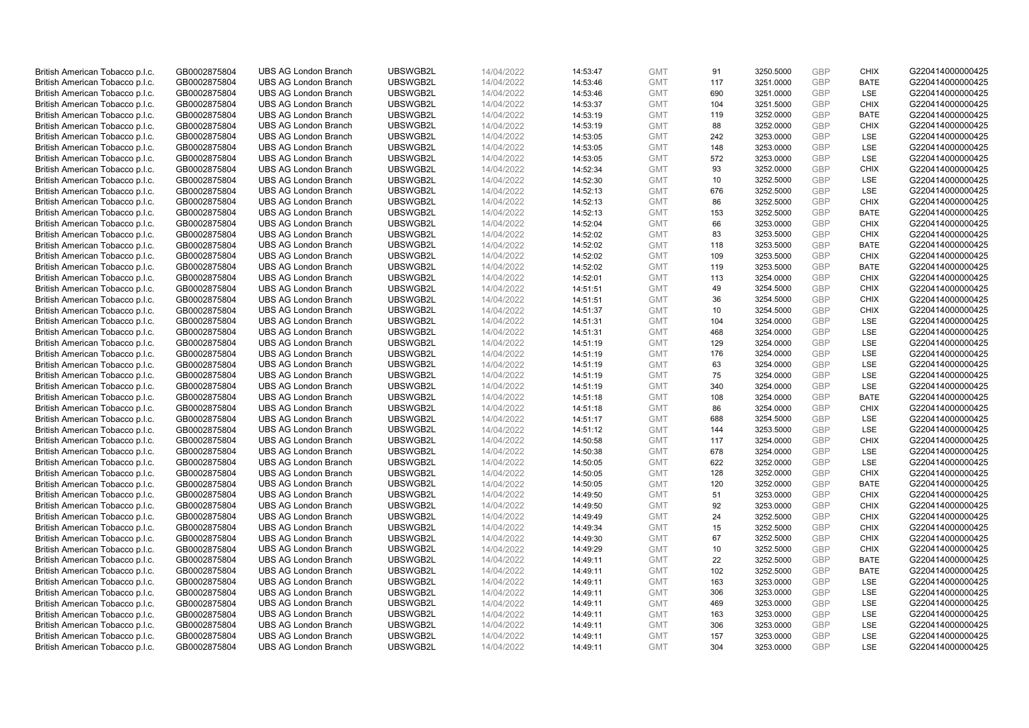| British American Tobacco p.l.c.                                    | GB0002875804                 | <b>UBS AG London Branch</b>                                | UBSWGB2L             | 14/04/2022               | 14:53:47             | <b>GMT</b>               | 91         | 3250.5000              | GBP                      | <b>CHIX</b> | G220414000000425                     |
|--------------------------------------------------------------------|------------------------------|------------------------------------------------------------|----------------------|--------------------------|----------------------|--------------------------|------------|------------------------|--------------------------|-------------|--------------------------------------|
| British American Tobacco p.l.c.                                    | GB0002875804                 | <b>UBS AG London Branch</b>                                | UBSWGB2L             | 14/04/2022               | 14:53:46             | <b>GMT</b>               | 117        | 3251.0000              | <b>GBP</b>               | <b>BATE</b> | G220414000000425                     |
| British American Tobacco p.l.c.                                    | GB0002875804                 | <b>UBS AG London Branch</b>                                | UBSWGB2L             | 14/04/2022               | 14:53:46             | <b>GMT</b>               | 690        | 3251.0000              | GBP                      | LSE         | G220414000000425                     |
| British American Tobacco p.l.c.                                    | GB0002875804                 | <b>UBS AG London Branch</b>                                | UBSWGB2L             | 14/04/2022               | 14:53:37             | <b>GMT</b>               | 104        | 3251.5000              | <b>GBP</b>               | <b>CHIX</b> | G220414000000425                     |
| British American Tobacco p.l.c.                                    | GB0002875804                 | <b>UBS AG London Branch</b>                                | UBSWGB2L             | 14/04/2022               | 14:53:19             | <b>GMT</b>               | 119        | 3252.0000              | GBP                      | <b>BATE</b> | G220414000000425                     |
| British American Tobacco p.l.c.                                    | GB0002875804                 | <b>UBS AG London Branch</b>                                | UBSWGB2L             | 14/04/2022               | 14:53:19             | <b>GMT</b>               | 88         | 3252.0000              | <b>GBP</b>               | <b>CHIX</b> | G220414000000425                     |
| British American Tobacco p.l.c.                                    | GB0002875804                 | <b>UBS AG London Branch</b>                                | UBSWGB2L             | 14/04/2022               | 14:53:05             | <b>GMT</b>               | 242        | 3253.0000              | <b>GBP</b>               | LSE         | G220414000000425                     |
| British American Tobacco p.l.c.                                    | GB0002875804                 | <b>UBS AG London Branch</b>                                | UBSWGB2L             | 14/04/2022               | 14:53:05             | <b>GMT</b>               | 148        | 3253.0000              | <b>GBP</b>               | LSE         | G220414000000425                     |
| British American Tobacco p.l.c.                                    | GB0002875804                 | <b>UBS AG London Branch</b>                                | UBSWGB2L             | 14/04/2022               | 14:53:05             | <b>GMT</b>               | 572        | 3253.0000              | <b>GBP</b>               | LSE         | G220414000000425                     |
| British American Tobacco p.l.c.                                    | GB0002875804                 | <b>UBS AG London Branch</b>                                | UBSWGB2L             | 14/04/2022               | 14:52:34             | <b>GMT</b>               | 93         | 3252.0000              | <b>GBP</b>               | <b>CHIX</b> | G220414000000425                     |
| British American Tobacco p.l.c.                                    | GB0002875804                 | <b>UBS AG London Branch</b>                                | UBSWGB2L             | 14/04/2022               | 14:52:30             | <b>GMT</b>               | 10         | 3252.5000              | GBP                      | <b>LSE</b>  | G220414000000425                     |
| British American Tobacco p.l.c.                                    | GB0002875804                 | <b>UBS AG London Branch</b>                                | UBSWGB2L             | 14/04/2022               | 14:52:13             | <b>GMT</b>               | 676        | 3252.5000              | <b>GBP</b>               | LSE         | G220414000000425                     |
| British American Tobacco p.l.c.                                    | GB0002875804                 | <b>UBS AG London Branch</b>                                | UBSWGB2L             | 14/04/2022               | 14:52:13             | <b>GMT</b>               | 86         | 3252.5000              | <b>GBP</b>               | <b>CHIX</b> | G220414000000425                     |
| British American Tobacco p.l.c.                                    | GB0002875804                 | <b>UBS AG London Branch</b>                                | UBSWGB2L             | 14/04/2022               | 14:52:13             | <b>GMT</b>               | 153        | 3252.5000              | GBP                      | <b>BATE</b> | G220414000000425                     |
| British American Tobacco p.l.c.                                    | GB0002875804                 | <b>UBS AG London Branch</b>                                | UBSWGB2L             | 14/04/2022               | 14:52:04             | <b>GMT</b>               | 66         | 3253.0000              | <b>GBP</b>               | <b>CHIX</b> | G220414000000425                     |
| British American Tobacco p.l.c.                                    | GB0002875804                 | <b>UBS AG London Branch</b>                                | UBSWGB2L             | 14/04/2022               | 14:52:02             | <b>GMT</b>               | 83         | 3253.5000              | GBP                      | <b>CHIX</b> | G220414000000425                     |
| British American Tobacco p.l.c.                                    | GB0002875804                 | <b>UBS AG London Branch</b>                                | UBSWGB2L             | 14/04/2022               | 14:52:02             | <b>GMT</b>               | 118        | 3253.5000              | <b>GBP</b>               | <b>BATE</b> | G220414000000425                     |
| British American Tobacco p.l.c.                                    | GB0002875804                 | <b>UBS AG London Branch</b>                                | UBSWGB2L             | 14/04/2022               | 14:52:02             | <b>GMT</b>               | 109        | 3253.5000              | GBP                      | <b>CHIX</b> | G220414000000425                     |
| British American Tobacco p.l.c.                                    | GB0002875804                 | <b>UBS AG London Branch</b>                                | UBSWGB2L             | 14/04/2022               | 14:52:02             | <b>GMT</b>               | 119        | 3253.5000              | <b>GBP</b>               | <b>BATE</b> | G220414000000425                     |
| British American Tobacco p.l.c.                                    | GB0002875804                 | <b>UBS AG London Branch</b>                                | UBSWGB2L             | 14/04/2022               | 14:52:01             | <b>GMT</b>               | 113        | 3254.0000              | GBP                      | <b>CHIX</b> | G220414000000425                     |
| British American Tobacco p.l.c.                                    | GB0002875804                 | <b>UBS AG London Branch</b>                                | UBSWGB2L             | 14/04/2022               | 14:51:51             | <b>GMT</b>               | 49         | 3254.5000              | GBP                      | <b>CHIX</b> | G220414000000425                     |
| British American Tobacco p.l.c.                                    | GB0002875804                 | <b>UBS AG London Branch</b>                                | UBSWGB2L             | 14/04/2022               | 14:51:51             | <b>GMT</b>               | 36         | 3254.5000              | GBP                      | <b>CHIX</b> | G220414000000425                     |
| British American Tobacco p.l.c.                                    | GB0002875804                 | <b>UBS AG London Branch</b>                                | UBSWGB2L             | 14/04/2022               | 14:51:37             | <b>GMT</b>               | 10         | 3254.5000              | <b>GBP</b>               | <b>CHIX</b> | G220414000000425                     |
| British American Tobacco p.l.c.                                    | GB0002875804                 | <b>UBS AG London Branch</b>                                | UBSWGB2L             | 14/04/2022               | 14:51:31             | <b>GMT</b>               | 104        | 3254.0000              | GBP                      | <b>LSE</b>  | G220414000000425                     |
| British American Tobacco p.l.c.                                    | GB0002875804                 | <b>UBS AG London Branch</b>                                | UBSWGB2L             | 14/04/2022               | 14:51:31             | <b>GMT</b>               | 468        | 3254.0000              | <b>GBP</b>               | LSE         | G220414000000425                     |
| British American Tobacco p.l.c.                                    | GB0002875804                 | <b>UBS AG London Branch</b>                                | UBSWGB2L             | 14/04/2022               | 14:51:19             | <b>GMT</b>               | 129        | 3254.0000              | <b>GBP</b>               | LSE         | G220414000000425                     |
| British American Tobacco p.l.c.                                    | GB0002875804                 | <b>UBS AG London Branch</b>                                | UBSWGB2L             | 14/04/2022               | 14:51:19             | <b>GMT</b>               | 176        | 3254.0000              | GBP                      | LSE         | G220414000000425                     |
| British American Tobacco p.l.c.                                    | GB0002875804                 | <b>UBS AG London Branch</b>                                | UBSWGB2L             | 14/04/2022               | 14:51:19             | <b>GMT</b>               | 63         | 3254.0000              | <b>GBP</b>               | <b>LSE</b>  | G220414000000425                     |
| British American Tobacco p.l.c.                                    | GB0002875804                 | <b>UBS AG London Branch</b>                                | UBSWGB2L             | 14/04/2022               | 14:51:19             | <b>GMT</b>               | 75         | 3254.0000              | GBP                      | LSE         | G220414000000425                     |
| British American Tobacco p.l.c.                                    | GB0002875804                 | <b>UBS AG London Branch</b>                                | UBSWGB2L             | 14/04/2022               | 14:51:19             | <b>GMT</b>               | 340        | 3254.0000              | <b>GBP</b>               | LSE         | G220414000000425                     |
| British American Tobacco p.l.c.                                    | GB0002875804                 | <b>UBS AG London Branch</b>                                | UBSWGB2L             | 14/04/2022               | 14:51:18             | <b>GMT</b>               | 108        | 3254.0000              | GBP                      | <b>BATE</b> | G220414000000425                     |
| British American Tobacco p.l.c.                                    | GB0002875804                 | <b>UBS AG London Branch</b>                                | UBSWGB2L             | 14/04/2022               | 14:51:18             | <b>GMT</b>               | 86         | 3254.0000              | <b>GBP</b>               | <b>CHIX</b> | G220414000000425                     |
| British American Tobacco p.l.c.                                    | GB0002875804                 | <b>UBS AG London Branch</b>                                | UBSWGB2L             | 14/04/2022               | 14:51:17             | <b>GMT</b>               | 688        | 3254.5000              | GBP                      | LSE         | G220414000000425                     |
| British American Tobacco p.l.c.                                    | GB0002875804                 | <b>UBS AG London Branch</b>                                | UBSWGB2L             | 14/04/2022               | 14:51:12             | <b>GMT</b>               | 144        | 3253.5000              | GBP                      | LSE         | G220414000000425                     |
| British American Tobacco p.l.c.                                    | GB0002875804                 | <b>UBS AG London Branch</b>                                | UBSWGB2L             | 14/04/2022               | 14:50:58             | <b>GMT</b>               | 117        | 3254.0000              | <b>GBP</b>               | <b>CHIX</b> | G220414000000425                     |
| British American Tobacco p.l.c.                                    | GB0002875804                 | <b>UBS AG London Branch</b>                                | UBSWGB2L             | 14/04/2022               | 14:50:38             | <b>GMT</b>               | 678        | 3254.0000              | <b>GBP</b>               | LSE         | G220414000000425                     |
| British American Tobacco p.l.c.                                    | GB0002875804                 | <b>UBS AG London Branch</b>                                | UBSWGB2L             | 14/04/2022               | 14:50:05             | <b>GMT</b>               | 622        | 3252.0000              | GBP                      | <b>LSE</b>  | G220414000000425                     |
| British American Tobacco p.l.c.                                    | GB0002875804                 | <b>UBS AG London Branch</b>                                | UBSWGB2L             | 14/04/2022               | 14:50:05             | <b>GMT</b>               | 128        | 3252.0000              | <b>GBP</b>               | <b>CHIX</b> | G220414000000425                     |
| British American Tobacco p.l.c.                                    | GB0002875804                 | <b>UBS AG London Branch</b>                                | UBSWGB2L             | 14/04/2022               | 14:50:05             | <b>GMT</b>               | 120        | 3252.0000              | <b>GBP</b>               | <b>BATE</b> | G220414000000425                     |
| British American Tobacco p.l.c.                                    | GB0002875804                 | <b>UBS AG London Branch</b>                                | UBSWGB2L             | 14/04/2022               | 14:49:50             | <b>GMT</b>               | 51         | 3253.0000              | GBP                      | <b>CHIX</b> | G220414000000425                     |
| British American Tobacco p.l.c.                                    | GB0002875804                 | <b>UBS AG London Branch</b>                                | UBSWGB2L             | 14/04/2022               | 14:49:50             | <b>GMT</b>               | 92         | 3253.0000              | <b>GBP</b>               | <b>CHIX</b> | G220414000000425                     |
| British American Tobacco p.l.c.                                    | GB0002875804                 | <b>UBS AG London Branch</b>                                | UBSWGB2L             | 14/04/2022               | 14:49:49             | <b>GMT</b>               | 24         | 3252.5000              | GBP                      | <b>CHIX</b> | G220414000000425                     |
| British American Tobacco p.l.c.                                    | GB0002875804                 | <b>UBS AG London Branch</b>                                | UBSWGB2L             | 14/04/2022               | 14:49:34             | <b>GMT</b>               | 15         | 3252.5000              | GBP                      | <b>CHIX</b> | G220414000000425                     |
| British American Tobacco p.l.c.                                    | GB0002875804                 | <b>UBS AG London Branch</b>                                | UBSWGB2L             | 14/04/2022               | 14:49:30             | <b>GMT</b>               | 67         | 3252.5000              | GBP                      | <b>CHIX</b> | G220414000000425                     |
| British American Tobacco p.l.c.                                    | GB0002875804                 | <b>UBS AG London Branch</b>                                | UBSWGB2L             | 14/04/2022               | 14:49:29             | <b>GMT</b>               | 10         | 3252.5000              | GBP                      | <b>CHIX</b> | G220414000000425                     |
| British American Tobacco p.l.c.                                    | GB0002875804                 | <b>UBS AG London Branch</b>                                | UBSWGB2L             | 14/04/2022               | 14:49:11             | <b>GMT</b>               | 22         | 3252.5000              | GBP                      | <b>BATE</b> | G220414000000425                     |
| British American Tobacco p.l.c.                                    | GB0002875804                 | <b>UBS AG London Branch</b>                                | UBSWGB2L             | 14/04/2022               | 14:49:11             | <b>GMT</b>               | 102        | 3252.5000              | GBP                      | <b>BATE</b> | G220414000000425                     |
| British American Tobacco p.l.c.                                    | GB0002875804                 | <b>UBS AG London Branch</b>                                | UBSWGB2L             | 14/04/2022               | 14:49:11             | <b>GMT</b>               | 163        | 3253.0000              | <b>GBP</b>               | LSE         | G220414000000425                     |
| British American Tobacco p.l.c.                                    | GB0002875804                 | <b>UBS AG London Branch</b>                                | UBSWGB2L             | 14/04/2022               | 14:49:11             | <b>GMT</b>               | 306        | 3253.0000              | <b>GBP</b>               | LSE         | G220414000000425                     |
| British American Tobacco p.l.c.                                    | GB0002875804                 | <b>UBS AG London Branch</b>                                | UBSWGB2L             | 14/04/2022               | 14:49:11             | <b>GMT</b>               | 469        | 3253.0000              | GBP                      | <b>LSE</b>  | G220414000000425                     |
| British American Tobacco p.l.c.                                    | GB0002875804                 | <b>UBS AG London Branch</b><br><b>UBS AG London Branch</b> | UBSWGB2L<br>UBSWGB2L | 14/04/2022               | 14:49:11             | <b>GMT</b>               | 163        | 3253.0000              | <b>GBP</b><br><b>GBP</b> | LSE<br>LSE  | G220414000000425<br>G220414000000425 |
| British American Tobacco p.l.c.                                    | GB0002875804<br>GB0002875804 | <b>UBS AG London Branch</b>                                | UBSWGB2L             | 14/04/2022<br>14/04/2022 | 14:49:11             | <b>GMT</b><br><b>GMT</b> | 306<br>157 | 3253.0000              | GBP                      | LSE         | G220414000000425                     |
| British American Tobacco p.l.c.<br>British American Tobacco p.l.c. | GB0002875804                 | <b>UBS AG London Branch</b>                                | UBSWGB2L             | 14/04/2022               | 14:49:11<br>14:49:11 | <b>GMT</b>               | 304        | 3253.0000<br>3253.0000 | <b>GBP</b>               | <b>LSE</b>  | G220414000000425                     |
|                                                                    |                              |                                                            |                      |                          |                      |                          |            |                        |                          |             |                                      |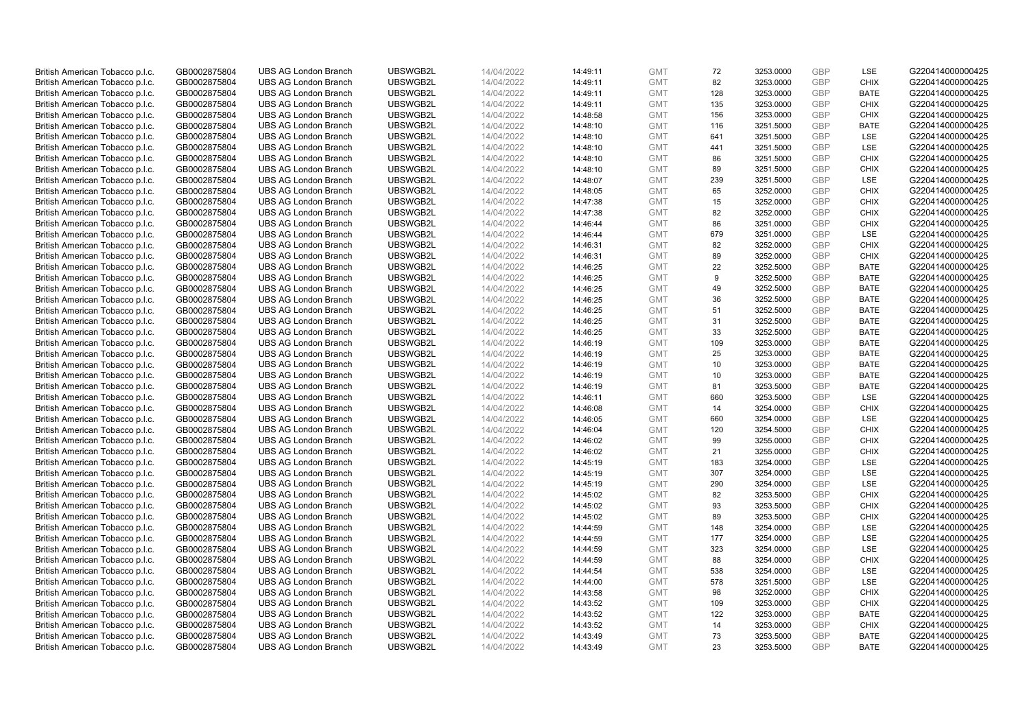| British American Tobacco p.l.c. | GB0002875804 | <b>UBS AG London Branch</b> | UBSWGB2L | 14/04/2022 | 14:49:11 | <b>GMT</b> | 72  | 3253.0000 | GBP        | LSE         | G220414000000425 |
|---------------------------------|--------------|-----------------------------|----------|------------|----------|------------|-----|-----------|------------|-------------|------------------|
| British American Tobacco p.l.c. | GB0002875804 | <b>UBS AG London Branch</b> | UBSWGB2L | 14/04/2022 | 14:49:11 | <b>GMT</b> | 82  | 3253.0000 | <b>GBP</b> | <b>CHIX</b> | G220414000000425 |
| British American Tobacco p.l.c. | GB0002875804 | <b>UBS AG London Branch</b> | UBSWGB2L | 14/04/2022 | 14:49:11 | <b>GMT</b> | 128 | 3253.0000 | GBP        | <b>BATE</b> | G220414000000425 |
| British American Tobacco p.l.c. | GB0002875804 | <b>UBS AG London Branch</b> | UBSWGB2L | 14/04/2022 | 14:49:11 | <b>GMT</b> | 135 | 3253.0000 | <b>GBP</b> | <b>CHIX</b> | G220414000000425 |
| British American Tobacco p.l.c. | GB0002875804 | <b>UBS AG London Branch</b> | UBSWGB2L | 14/04/2022 | 14:48:58 | <b>GMT</b> | 156 | 3253.0000 | GBP        | <b>CHIX</b> | G220414000000425 |
| British American Tobacco p.l.c. | GB0002875804 | <b>UBS AG London Branch</b> | UBSWGB2L | 14/04/2022 | 14:48:10 | <b>GMT</b> | 116 | 3251.5000 | <b>GBP</b> | <b>BATE</b> | G220414000000425 |
| British American Tobacco p.l.c. | GB0002875804 | <b>UBS AG London Branch</b> | UBSWGB2L | 14/04/2022 | 14:48:10 | <b>GMT</b> | 641 | 3251.5000 | <b>GBP</b> | LSE         | G220414000000425 |
| British American Tobacco p.l.c. | GB0002875804 | <b>UBS AG London Branch</b> | UBSWGB2L | 14/04/2022 | 14:48:10 | <b>GMT</b> | 441 | 3251.5000 | <b>GBP</b> | LSE         | G220414000000425 |
| British American Tobacco p.l.c. | GB0002875804 | <b>UBS AG London Branch</b> | UBSWGB2L | 14/04/2022 | 14:48:10 | <b>GMT</b> | 86  | 3251.5000 | <b>GBP</b> | <b>CHIX</b> | G220414000000425 |
| British American Tobacco p.l.c. | GB0002875804 | <b>UBS AG London Branch</b> | UBSWGB2L | 14/04/2022 | 14:48:10 | <b>GMT</b> | 89  | 3251.5000 | <b>GBP</b> | <b>CHIX</b> | G220414000000425 |
| British American Tobacco p.l.c. | GB0002875804 | <b>UBS AG London Branch</b> | UBSWGB2L | 14/04/2022 | 14:48:07 | <b>GMT</b> | 239 | 3251.5000 | GBP        | <b>LSE</b>  | G220414000000425 |
| British American Tobacco p.l.c. | GB0002875804 | <b>UBS AG London Branch</b> | UBSWGB2L | 14/04/2022 | 14:48:05 | <b>GMT</b> | 65  | 3252.0000 | <b>GBP</b> | <b>CHIX</b> | G220414000000425 |
| British American Tobacco p.l.c. | GB0002875804 | <b>UBS AG London Branch</b> | UBSWGB2L | 14/04/2022 | 14:47:38 | <b>GMT</b> | 15  | 3252.0000 | <b>GBP</b> | <b>CHIX</b> | G220414000000425 |
| British American Tobacco p.l.c. | GB0002875804 | <b>UBS AG London Branch</b> | UBSWGB2L | 14/04/2022 | 14:47:38 | <b>GMT</b> | 82  | 3252.0000 | GBP        | <b>CHIX</b> | G220414000000425 |
| British American Tobacco p.l.c. | GB0002875804 | <b>UBS AG London Branch</b> | UBSWGB2L | 14/04/2022 | 14:46:44 | <b>GMT</b> | 86  | 3251.0000 | <b>GBP</b> | <b>CHIX</b> | G220414000000425 |
| British American Tobacco p.l.c. | GB0002875804 | <b>UBS AG London Branch</b> | UBSWGB2L | 14/04/2022 | 14:46:44 | <b>GMT</b> | 679 | 3251.0000 | GBP        | LSE         | G220414000000425 |
| British American Tobacco p.l.c. | GB0002875804 | <b>UBS AG London Branch</b> | UBSWGB2L | 14/04/2022 | 14:46:31 | <b>GMT</b> | 82  | 3252.0000 | <b>GBP</b> | <b>CHIX</b> | G220414000000425 |
| British American Tobacco p.l.c. | GB0002875804 | <b>UBS AG London Branch</b> | UBSWGB2L | 14/04/2022 | 14:46:31 | <b>GMT</b> | 89  | 3252.0000 | GBP        | <b>CHIX</b> | G220414000000425 |
| British American Tobacco p.l.c. | GB0002875804 | <b>UBS AG London Branch</b> | UBSWGB2L | 14/04/2022 | 14:46:25 | <b>GMT</b> | 22  | 3252.5000 | <b>GBP</b> | <b>BATE</b> | G220414000000425 |
| British American Tobacco p.l.c. | GB0002875804 | <b>UBS AG London Branch</b> | UBSWGB2L | 14/04/2022 | 14:46:25 | <b>GMT</b> | 9   | 3252.5000 | GBP        | <b>BATE</b> | G220414000000425 |
| British American Tobacco p.l.c. | GB0002875804 | <b>UBS AG London Branch</b> | UBSWGB2L | 14/04/2022 | 14:46:25 | <b>GMT</b> | 49  | 3252.5000 | GBP        | <b>BATE</b> | G220414000000425 |
| British American Tobacco p.l.c. | GB0002875804 | <b>UBS AG London Branch</b> | UBSWGB2L | 14/04/2022 | 14:46:25 | <b>GMT</b> | 36  | 3252.5000 | GBP        | <b>BATE</b> | G220414000000425 |
| British American Tobacco p.l.c. | GB0002875804 | <b>UBS AG London Branch</b> | UBSWGB2L | 14/04/2022 | 14:46:25 | <b>GMT</b> | 51  | 3252.5000 | GBP        | <b>BATE</b> | G220414000000425 |
| British American Tobacco p.l.c. | GB0002875804 | <b>UBS AG London Branch</b> | UBSWGB2L | 14/04/2022 | 14:46:25 | <b>GMT</b> | 31  | 3252.5000 | GBP        | <b>BATE</b> | G220414000000425 |
| British American Tobacco p.l.c. | GB0002875804 | <b>UBS AG London Branch</b> | UBSWGB2L | 14/04/2022 | 14:46:25 | <b>GMT</b> | 33  | 3252.5000 | <b>GBP</b> | <b>BATE</b> | G220414000000425 |
| British American Tobacco p.l.c. | GB0002875804 | <b>UBS AG London Branch</b> | UBSWGB2L | 14/04/2022 | 14:46:19 | <b>GMT</b> | 109 | 3253.0000 | <b>GBP</b> | <b>BATE</b> | G220414000000425 |
| British American Tobacco p.l.c. | GB0002875804 | <b>UBS AG London Branch</b> | UBSWGB2L | 14/04/2022 | 14:46:19 | <b>GMT</b> | 25  | 3253.0000 | GBP        | <b>BATE</b> | G220414000000425 |
| British American Tobacco p.l.c. | GB0002875804 | <b>UBS AG London Branch</b> | UBSWGB2L | 14/04/2022 | 14:46:19 | <b>GMT</b> | 10  | 3253.0000 | <b>GBP</b> | <b>BATE</b> | G220414000000425 |
| British American Tobacco p.l.c. | GB0002875804 | <b>UBS AG London Branch</b> | UBSWGB2L | 14/04/2022 | 14:46:19 | <b>GMT</b> | 10  | 3253.0000 | GBP        | <b>BATE</b> | G220414000000425 |
| British American Tobacco p.l.c. | GB0002875804 | <b>UBS AG London Branch</b> | UBSWGB2L | 14/04/2022 | 14:46:19 | <b>GMT</b> | 81  | 3253.5000 | <b>GBP</b> | <b>BATE</b> | G220414000000425 |
| British American Tobacco p.l.c. | GB0002875804 | <b>UBS AG London Branch</b> | UBSWGB2L | 14/04/2022 | 14:46:11 | <b>GMT</b> | 660 | 3253.5000 | GBP        | LSE         | G220414000000425 |
| British American Tobacco p.l.c. | GB0002875804 | <b>UBS AG London Branch</b> | UBSWGB2L | 14/04/2022 | 14:46:08 | <b>GMT</b> | 14  | 3254.0000 | <b>GBP</b> | <b>CHIX</b> | G220414000000425 |
| British American Tobacco p.l.c. | GB0002875804 | <b>UBS AG London Branch</b> | UBSWGB2L | 14/04/2022 | 14:46:05 | <b>GMT</b> | 660 | 3254.0000 | GBP        | LSE         | G220414000000425 |
| British American Tobacco p.l.c. | GB0002875804 | <b>UBS AG London Branch</b> | UBSWGB2L | 14/04/2022 | 14:46:04 | <b>GMT</b> | 120 | 3254.5000 | GBP        | <b>CHIX</b> | G220414000000425 |
| British American Tobacco p.l.c. | GB0002875804 | <b>UBS AG London Branch</b> | UBSWGB2L | 14/04/2022 | 14:46:02 | <b>GMT</b> | 99  | 3255.0000 | <b>GBP</b> | <b>CHIX</b> | G220414000000425 |
| British American Tobacco p.l.c. | GB0002875804 | <b>UBS AG London Branch</b> | UBSWGB2L | 14/04/2022 | 14:46:02 | <b>GMT</b> | 21  | 3255.0000 | <b>GBP</b> | <b>CHIX</b> | G220414000000425 |
| British American Tobacco p.l.c. | GB0002875804 | <b>UBS AG London Branch</b> | UBSWGB2L | 14/04/2022 | 14:45:19 | <b>GMT</b> | 183 | 3254.0000 | GBP        | <b>LSE</b>  | G220414000000425 |
| British American Tobacco p.l.c. | GB0002875804 | <b>UBS AG London Branch</b> | UBSWGB2L | 14/04/2022 | 14:45:19 | <b>GMT</b> | 307 | 3254.0000 | <b>GBP</b> | LSE         | G220414000000425 |
| British American Tobacco p.l.c. | GB0002875804 | <b>UBS AG London Branch</b> | UBSWGB2L | 14/04/2022 | 14:45:19 | <b>GMT</b> | 290 | 3254.0000 | <b>GBP</b> | LSE         | G220414000000425 |
| British American Tobacco p.l.c. | GB0002875804 | <b>UBS AG London Branch</b> | UBSWGB2L | 14/04/2022 | 14:45:02 | <b>GMT</b> | 82  | 3253.5000 | GBP        | <b>CHIX</b> | G220414000000425 |
| British American Tobacco p.l.c. | GB0002875804 | <b>UBS AG London Branch</b> | UBSWGB2L | 14/04/2022 | 14:45:02 | <b>GMT</b> | 93  | 3253.5000 | <b>GBP</b> | <b>CHIX</b> | G220414000000425 |
| British American Tobacco p.l.c. | GB0002875804 | <b>UBS AG London Branch</b> | UBSWGB2L | 14/04/2022 | 14:45:02 | <b>GMT</b> | 89  | 3253.5000 | GBP        | <b>CHIX</b> | G220414000000425 |
| British American Tobacco p.l.c. | GB0002875804 | <b>UBS AG London Branch</b> | UBSWGB2L | 14/04/2022 | 14:44:59 | <b>GMT</b> | 148 | 3254.0000 | <b>GBP</b> | LSE         | G220414000000425 |
| British American Tobacco p.l.c. | GB0002875804 | <b>UBS AG London Branch</b> | UBSWGB2L | 14/04/2022 | 14:44:59 | <b>GMT</b> | 177 | 3254.0000 | GBP        | LSE         | G220414000000425 |
| British American Tobacco p.l.c. | GB0002875804 | <b>UBS AG London Branch</b> | UBSWGB2L | 14/04/2022 | 14:44:59 | <b>GMT</b> | 323 | 3254.0000 | <b>GBP</b> | <b>LSE</b>  | G220414000000425 |
| British American Tobacco p.l.c. | GB0002875804 | <b>UBS AG London Branch</b> | UBSWGB2L | 14/04/2022 | 14:44:59 | <b>GMT</b> | 88  | 3254.0000 | GBP        | <b>CHIX</b> | G220414000000425 |
| British American Tobacco p.l.c. | GB0002875804 | <b>UBS AG London Branch</b> | UBSWGB2L | 14/04/2022 | 14:44:54 | <b>GMT</b> | 538 | 3254.0000 | GBP        | <b>LSE</b>  | G220414000000425 |
| British American Tobacco p.l.c. | GB0002875804 | <b>UBS AG London Branch</b> | UBSWGB2L | 14/04/2022 | 14:44:00 | <b>GMT</b> | 578 | 3251.5000 | <b>GBP</b> | LSE         | G220414000000425 |
| British American Tobacco p.l.c. | GB0002875804 | <b>UBS AG London Branch</b> | UBSWGB2L | 14/04/2022 | 14:43:58 | <b>GMT</b> | 98  | 3252.0000 | GBP        | <b>CHIX</b> | G220414000000425 |
| British American Tobacco p.l.c. | GB0002875804 | <b>UBS AG London Branch</b> | UBSWGB2L | 14/04/2022 | 14:43:52 | <b>GMT</b> | 109 | 3253.0000 | GBP        | <b>CHIX</b> | G220414000000425 |
| British American Tobacco p.l.c. | GB0002875804 | <b>UBS AG London Branch</b> | UBSWGB2L | 14/04/2022 | 14:43:52 | <b>GMT</b> | 122 | 3253.0000 | <b>GBP</b> | <b>BATE</b> | G220414000000425 |
| British American Tobacco p.l.c. | GB0002875804 | <b>UBS AG London Branch</b> | UBSWGB2L | 14/04/2022 | 14:43:52 | <b>GMT</b> | 14  | 3253.0000 | <b>GBP</b> | <b>CHIX</b> | G220414000000425 |
| British American Tobacco p.l.c. | GB0002875804 | <b>UBS AG London Branch</b> | UBSWGB2L | 14/04/2022 | 14:43:49 | <b>GMT</b> | 73  | 3253.5000 | GBP        | <b>BATE</b> | G220414000000425 |
| British American Tobacco p.l.c. | GB0002875804 | <b>UBS AG London Branch</b> | UBSWGB2L | 14/04/2022 | 14:43:49 | <b>GMT</b> | 23  | 3253.5000 | <b>GBP</b> | <b>BATE</b> | G220414000000425 |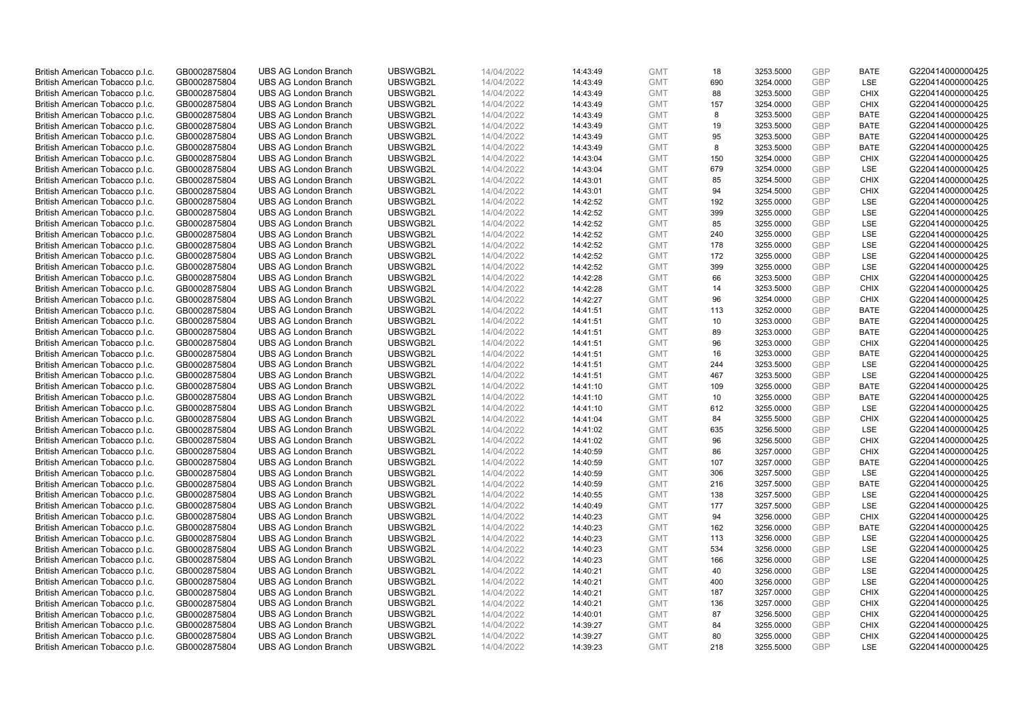| British American Tobacco p.l.c. | GB0002875804 | <b>UBS AG London Branch</b> | UBSWGB2L | 14/04/2022 | 14:43:49 | <b>GMT</b> | 18  | 3253.5000 | GBP        | <b>BATE</b> | G220414000000425 |
|---------------------------------|--------------|-----------------------------|----------|------------|----------|------------|-----|-----------|------------|-------------|------------------|
| British American Tobacco p.l.c. | GB0002875804 | <b>UBS AG London Branch</b> | UBSWGB2L | 14/04/2022 | 14:43:49 | <b>GMT</b> | 690 | 3254.0000 | <b>GBP</b> | LSE         | G220414000000425 |
| British American Tobacco p.l.c. | GB0002875804 | <b>UBS AG London Branch</b> | UBSWGB2L | 14/04/2022 | 14:43:49 | <b>GMT</b> | 88  | 3253.5000 | GBP        | <b>CHIX</b> | G220414000000425 |
| British American Tobacco p.l.c. | GB0002875804 | <b>UBS AG London Branch</b> | UBSWGB2L | 14/04/2022 | 14:43:49 | <b>GMT</b> | 157 | 3254.0000 | <b>GBP</b> | <b>CHIX</b> | G220414000000425 |
| British American Tobacco p.l.c. | GB0002875804 | <b>UBS AG London Branch</b> | UBSWGB2L | 14/04/2022 | 14:43:49 | <b>GMT</b> | 8   | 3253.5000 | GBP        | <b>BATE</b> | G220414000000425 |
| British American Tobacco p.l.c. | GB0002875804 | <b>UBS AG London Branch</b> | UBSWGB2L | 14/04/2022 | 14:43:49 | <b>GMT</b> | 19  | 3253.5000 | <b>GBP</b> | <b>BATE</b> | G220414000000425 |
| British American Tobacco p.l.c. | GB0002875804 | <b>UBS AG London Branch</b> | UBSWGB2L | 14/04/2022 | 14:43:49 | <b>GMT</b> | 95  | 3253.5000 | GBP        | <b>BATE</b> | G220414000000425 |
| British American Tobacco p.l.c. | GB0002875804 | <b>UBS AG London Branch</b> | UBSWGB2L | 14/04/2022 | 14:43:49 | <b>GMT</b> | 8   | 3253.5000 | <b>GBP</b> | <b>BATE</b> | G220414000000425 |
| British American Tobacco p.l.c. | GB0002875804 | <b>UBS AG London Branch</b> | UBSWGB2L | 14/04/2022 | 14:43:04 | <b>GMT</b> | 150 | 3254.0000 | <b>GBP</b> | <b>CHIX</b> | G220414000000425 |
| British American Tobacco p.l.c. | GB0002875804 | <b>UBS AG London Branch</b> | UBSWGB2L | 14/04/2022 | 14:43:04 | <b>GMT</b> | 679 | 3254.0000 | <b>GBP</b> | LSE         | G220414000000425 |
| British American Tobacco p.l.c. | GB0002875804 | <b>UBS AG London Branch</b> | UBSWGB2L | 14/04/2022 | 14:43:01 | <b>GMT</b> | 85  | 3254.5000 | GBP        | <b>CHIX</b> | G220414000000425 |
| British American Tobacco p.l.c. | GB0002875804 | <b>UBS AG London Branch</b> | UBSWGB2L | 14/04/2022 | 14:43:01 | <b>GMT</b> | 94  | 3254.5000 | <b>GBP</b> | <b>CHIX</b> | G220414000000425 |
| British American Tobacco p.l.c. | GB0002875804 | <b>UBS AG London Branch</b> | UBSWGB2L | 14/04/2022 | 14:42:52 | <b>GMT</b> | 192 | 3255.0000 | <b>GBP</b> | LSE         | G220414000000425 |
| British American Tobacco p.l.c. | GB0002875804 | <b>UBS AG London Branch</b> | UBSWGB2L | 14/04/2022 | 14:42:52 | <b>GMT</b> | 399 | 3255.0000 | GBP        | LSE         | G220414000000425 |
| British American Tobacco p.l.c. | GB0002875804 | <b>UBS AG London Branch</b> | UBSWGB2L | 14/04/2022 | 14:42:52 | <b>GMT</b> | 85  | 3255.0000 | <b>GBP</b> | <b>LSE</b>  | G220414000000425 |
| British American Tobacco p.l.c. | GB0002875804 | <b>UBS AG London Branch</b> | UBSWGB2L | 14/04/2022 | 14:42:52 | <b>GMT</b> | 240 | 3255.0000 | GBP        | LSE         | G220414000000425 |
| British American Tobacco p.l.c. | GB0002875804 | <b>UBS AG London Branch</b> | UBSWGB2L | 14/04/2022 | 14:42:52 | <b>GMT</b> | 178 | 3255.0000 | <b>GBP</b> | LSE         | G220414000000425 |
| British American Tobacco p.l.c. | GB0002875804 | <b>UBS AG London Branch</b> | UBSWGB2L | 14/04/2022 | 14:42:52 | <b>GMT</b> | 172 | 3255.0000 | GBP        | LSE         | G220414000000425 |
| British American Tobacco p.l.c. | GB0002875804 | <b>UBS AG London Branch</b> | UBSWGB2L | 14/04/2022 | 14:42:52 | <b>GMT</b> | 399 | 3255.0000 | <b>GBP</b> | <b>LSE</b>  | G220414000000425 |
| British American Tobacco p.l.c. | GB0002875804 | <b>UBS AG London Branch</b> | UBSWGB2L | 14/04/2022 | 14:42:28 | <b>GMT</b> | 66  | 3253.5000 | GBP        | <b>CHIX</b> | G220414000000425 |
| British American Tobacco p.l.c. | GB0002875804 | <b>UBS AG London Branch</b> | UBSWGB2L | 14/04/2022 | 14:42:28 | <b>GMT</b> | 14  | 3253.5000 | GBP        | <b>CHIX</b> | G220414000000425 |
| British American Tobacco p.l.c. | GB0002875804 | <b>UBS AG London Branch</b> | UBSWGB2L | 14/04/2022 | 14:42:27 | <b>GMT</b> | 96  | 3254.0000 | GBP        | <b>CHIX</b> | G220414000000425 |
| British American Tobacco p.l.c. | GB0002875804 | <b>UBS AG London Branch</b> | UBSWGB2L | 14/04/2022 | 14:41:51 | <b>GMT</b> | 113 | 3252.0000 | <b>GBP</b> | <b>BATE</b> | G220414000000425 |
| British American Tobacco p.l.c. | GB0002875804 | <b>UBS AG London Branch</b> | UBSWGB2L | 14/04/2022 | 14:41:51 | <b>GMT</b> | 10  | 3253.0000 | GBP        | <b>BATE</b> | G220414000000425 |
| British American Tobacco p.l.c. | GB0002875804 | <b>UBS AG London Branch</b> | UBSWGB2L | 14/04/2022 | 14:41:51 | <b>GMT</b> | 89  | 3253.0000 | <b>GBP</b> | <b>BATE</b> | G220414000000425 |
| British American Tobacco p.l.c. | GB0002875804 | <b>UBS AG London Branch</b> | UBSWGB2L | 14/04/2022 | 14:41:51 | <b>GMT</b> | 96  | 3253.0000 | <b>GBP</b> | <b>CHIX</b> | G220414000000425 |
| British American Tobacco p.l.c. | GB0002875804 | <b>UBS AG London Branch</b> | UBSWGB2L | 14/04/2022 | 14:41:51 | <b>GMT</b> | 16  | 3253.0000 | GBP        | <b>BATE</b> | G220414000000425 |
| British American Tobacco p.l.c. | GB0002875804 | <b>UBS AG London Branch</b> | UBSWGB2L | 14/04/2022 | 14:41:51 | <b>GMT</b> | 244 | 3253.5000 | <b>GBP</b> | LSE         | G220414000000425 |
| British American Tobacco p.l.c. | GB0002875804 | <b>UBS AG London Branch</b> | UBSWGB2L | 14/04/2022 | 14:41:51 | <b>GMT</b> | 467 | 3253.5000 | GBP        | LSE         | G220414000000425 |
| British American Tobacco p.l.c. | GB0002875804 | <b>UBS AG London Branch</b> | UBSWGB2L | 14/04/2022 | 14:41:10 | <b>GMT</b> | 109 | 3255.0000 | <b>GBP</b> | <b>BATE</b> | G220414000000425 |
| British American Tobacco p.l.c. | GB0002875804 | <b>UBS AG London Branch</b> | UBSWGB2L | 14/04/2022 | 14:41:10 | <b>GMT</b> | 10  | 3255.0000 | GBP        | <b>BATE</b> | G220414000000425 |
| British American Tobacco p.l.c. | GB0002875804 | <b>UBS AG London Branch</b> | UBSWGB2L | 14/04/2022 | 14:41:10 | <b>GMT</b> | 612 | 3255.0000 | <b>GBP</b> | <b>LSE</b>  | G220414000000425 |
| British American Tobacco p.l.c. | GB0002875804 | <b>UBS AG London Branch</b> | UBSWGB2L | 14/04/2022 | 14:41:04 | <b>GMT</b> | 84  | 3255.5000 | GBP        | <b>CHIX</b> | G220414000000425 |
| British American Tobacco p.l.c. | GB0002875804 | <b>UBS AG London Branch</b> | UBSWGB2L | 14/04/2022 | 14:41:02 | <b>GMT</b> | 635 | 3256.5000 | GBP        | LSE         | G220414000000425 |
| British American Tobacco p.l.c. | GB0002875804 | <b>UBS AG London Branch</b> | UBSWGB2L | 14/04/2022 | 14:41:02 | <b>GMT</b> | 96  | 3256.5000 | <b>GBP</b> | <b>CHIX</b> | G220414000000425 |
| British American Tobacco p.l.c. | GB0002875804 | <b>UBS AG London Branch</b> | UBSWGB2L | 14/04/2022 | 14:40:59 | <b>GMT</b> | 86  | 3257.0000 | <b>GBP</b> | <b>CHIX</b> | G220414000000425 |
| British American Tobacco p.l.c. | GB0002875804 | <b>UBS AG London Branch</b> | UBSWGB2L | 14/04/2022 | 14:40:59 | <b>GMT</b> | 107 | 3257.0000 | GBP        | <b>BATE</b> | G220414000000425 |
| British American Tobacco p.l.c. | GB0002875804 | <b>UBS AG London Branch</b> | UBSWGB2L | 14/04/2022 | 14:40:59 | <b>GMT</b> | 306 | 3257.5000 | <b>GBP</b> | LSE         | G220414000000425 |
| British American Tobacco p.l.c. | GB0002875804 | <b>UBS AG London Branch</b> | UBSWGB2L | 14/04/2022 | 14:40:59 | <b>GMT</b> | 216 | 3257.5000 | <b>GBP</b> | <b>BATE</b> | G220414000000425 |
| British American Tobacco p.l.c. | GB0002875804 | <b>UBS AG London Branch</b> | UBSWGB2L | 14/04/2022 | 14:40:55 | <b>GMT</b> | 138 | 3257.5000 | GBP        | LSE         | G220414000000425 |
| British American Tobacco p.l.c. | GB0002875804 | <b>UBS AG London Branch</b> | UBSWGB2L | 14/04/2022 | 14:40:49 | <b>GMT</b> | 177 | 3257.5000 | <b>GBP</b> | LSE         | G220414000000425 |
| British American Tobacco p.l.c. | GB0002875804 | <b>UBS AG London Branch</b> | UBSWGB2L | 14/04/2022 | 14:40:23 | <b>GMT</b> | 94  | 3256.0000 | GBP        | <b>CHIX</b> | G220414000000425 |
| British American Tobacco p.l.c. | GB0002875804 | <b>UBS AG London Branch</b> | UBSWGB2L | 14/04/2022 | 14:40:23 | <b>GMT</b> | 162 | 3256.0000 | GBP        | <b>BATE</b> | G220414000000425 |
| British American Tobacco p.l.c. | GB0002875804 | <b>UBS AG London Branch</b> | UBSWGB2L | 14/04/2022 | 14:40:23 | <b>GMT</b> | 113 | 3256.0000 | GBP        | LSE         | G220414000000425 |
| British American Tobacco p.l.c. | GB0002875804 | <b>UBS AG London Branch</b> | UBSWGB2L | 14/04/2022 | 14:40:23 | <b>GMT</b> | 534 | 3256.0000 | <b>GBP</b> | <b>LSE</b>  | G220414000000425 |
| British American Tobacco p.l.c. | GB0002875804 | <b>UBS AG London Branch</b> | UBSWGB2L | 14/04/2022 | 14:40:23 | <b>GMT</b> | 166 | 3256.0000 | GBP        | LSE         | G220414000000425 |
| British American Tobacco p.l.c. | GB0002875804 | <b>UBS AG London Branch</b> | UBSWGB2L | 14/04/2022 | 14:40:21 | <b>GMT</b> | 40  | 3256.0000 | GBP        | LSE         | G220414000000425 |
| British American Tobacco p.l.c. | GB0002875804 | <b>UBS AG London Branch</b> | UBSWGB2L | 14/04/2022 | 14:40:21 | <b>GMT</b> | 400 | 3256.0000 | <b>GBP</b> | LSE         | G220414000000425 |
| British American Tobacco p.l.c. | GB0002875804 | <b>UBS AG London Branch</b> | UBSWGB2L | 14/04/2022 | 14:40:21 | <b>GMT</b> | 187 | 3257.0000 | GBP        | <b>CHIX</b> | G220414000000425 |
| British American Tobacco p.l.c. | GB0002875804 | <b>UBS AG London Branch</b> | UBSWGB2L | 14/04/2022 | 14:40:21 | <b>GMT</b> | 136 | 3257.0000 | GBP        | <b>CHIX</b> | G220414000000425 |
| British American Tobacco p.l.c. | GB0002875804 | <b>UBS AG London Branch</b> | UBSWGB2L | 14/04/2022 | 14:40:01 | <b>GMT</b> | 87  | 3256.5000 | <b>GBP</b> | <b>CHIX</b> | G220414000000425 |
| British American Tobacco p.l.c. | GB0002875804 | <b>UBS AG London Branch</b> | UBSWGB2L | 14/04/2022 | 14:39:27 | <b>GMT</b> | 84  | 3255.0000 | <b>GBP</b> | <b>CHIX</b> | G220414000000425 |
| British American Tobacco p.l.c. | GB0002875804 | <b>UBS AG London Branch</b> | UBSWGB2L | 14/04/2022 | 14:39:27 | <b>GMT</b> | 80  | 3255.0000 | GBP        | <b>CHIX</b> | G220414000000425 |
| British American Tobacco p.l.c. | GB0002875804 | <b>UBS AG London Branch</b> | UBSWGB2L | 14/04/2022 | 14:39:23 | <b>GMT</b> | 218 | 3255.5000 | <b>GBP</b> | <b>LSE</b>  | G220414000000425 |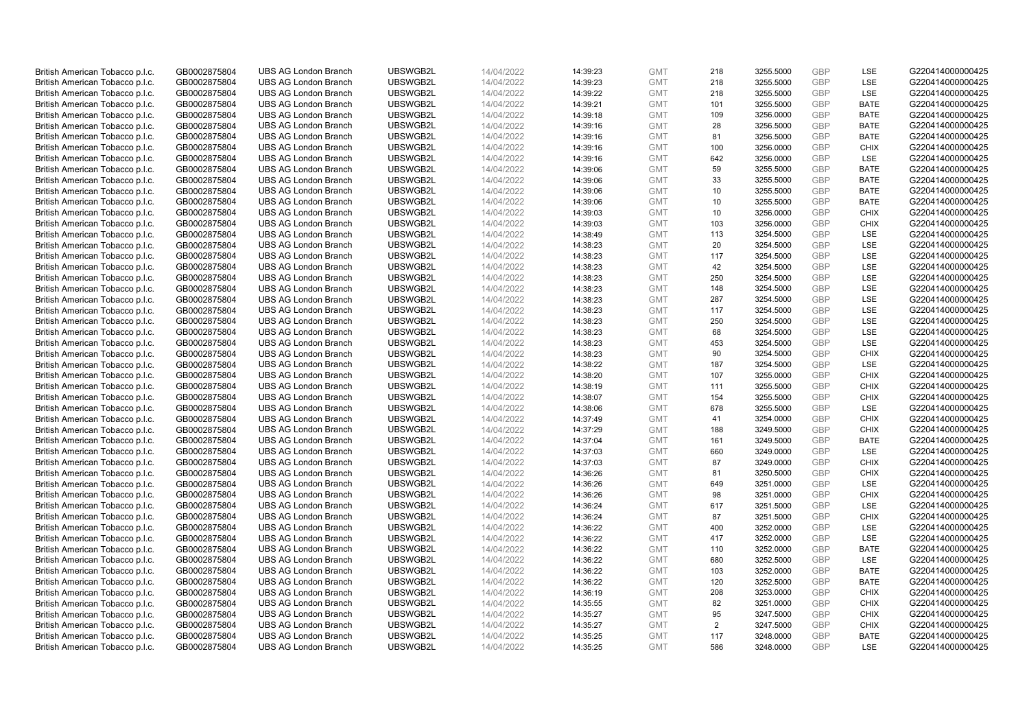| British American Tobacco p.l.c. | GB0002875804 | <b>UBS AG London Branch</b> | UBSWGB2L | 14/04/2022 | 14:39:23 | <b>GMT</b> | 218            | 3255.5000 | GBP        | LSE         | G220414000000425 |
|---------------------------------|--------------|-----------------------------|----------|------------|----------|------------|----------------|-----------|------------|-------------|------------------|
| British American Tobacco p.l.c. | GB0002875804 | <b>UBS AG London Branch</b> | UBSWGB2L | 14/04/2022 | 14:39:23 | <b>GMT</b> | 218            | 3255.5000 | <b>GBP</b> | <b>LSE</b>  | G220414000000425 |
| British American Tobacco p.l.c. | GB0002875804 | <b>UBS AG London Branch</b> | UBSWGB2L | 14/04/2022 | 14:39:22 | <b>GMT</b> | 218            | 3255.5000 | GBP        | LSE         | G220414000000425 |
| British American Tobacco p.l.c. | GB0002875804 | <b>UBS AG London Branch</b> | UBSWGB2L | 14/04/2022 | 14:39:21 | <b>GMT</b> | 101            | 3255.5000 | <b>GBP</b> | <b>BATE</b> | G220414000000425 |
| British American Tobacco p.l.c. | GB0002875804 | <b>UBS AG London Branch</b> | UBSWGB2L | 14/04/2022 | 14:39:18 | <b>GMT</b> | 109            | 3256.0000 | GBP        | <b>BATE</b> | G220414000000425 |
| British American Tobacco p.l.c. | GB0002875804 | <b>UBS AG London Branch</b> | UBSWGB2L | 14/04/2022 | 14:39:16 | <b>GMT</b> | 28             | 3256.5000 | <b>GBP</b> | <b>BATE</b> | G220414000000425 |
| British American Tobacco p.l.c. | GB0002875804 | <b>UBS AG London Branch</b> | UBSWGB2L | 14/04/2022 | 14:39:16 | <b>GMT</b> | 81             | 3256.5000 | GBP        | <b>BATE</b> | G220414000000425 |
| British American Tobacco p.l.c. | GB0002875804 | <b>UBS AG London Branch</b> | UBSWGB2L | 14/04/2022 | 14:39:16 | <b>GMT</b> | 100            | 3256.0000 | <b>GBP</b> | <b>CHIX</b> | G220414000000425 |
| British American Tobacco p.l.c. | GB0002875804 | <b>UBS AG London Branch</b> | UBSWGB2L | 14/04/2022 | 14:39:16 | <b>GMT</b> | 642            | 3256.0000 | GBP        | LSE         | G220414000000425 |
| British American Tobacco p.l.c. | GB0002875804 | <b>UBS AG London Branch</b> | UBSWGB2L | 14/04/2022 | 14:39:06 | <b>GMT</b> | 59             | 3255.5000 | <b>GBP</b> | <b>BATE</b> | G220414000000425 |
| British American Tobacco p.l.c. | GB0002875804 | <b>UBS AG London Branch</b> | UBSWGB2L | 14/04/2022 | 14:39:06 | <b>GMT</b> | 33             | 3255.5000 | GBP        | <b>BATE</b> | G220414000000425 |
| British American Tobacco p.l.c. | GB0002875804 | <b>UBS AG London Branch</b> | UBSWGB2L | 14/04/2022 | 14:39:06 | <b>GMT</b> | 10             | 3255.5000 | <b>GBP</b> | <b>BATE</b> | G220414000000425 |
| British American Tobacco p.l.c. | GB0002875804 | <b>UBS AG London Branch</b> | UBSWGB2L | 14/04/2022 | 14:39:06 | <b>GMT</b> | 10             | 3255.5000 | <b>GBP</b> | <b>BATE</b> | G220414000000425 |
| British American Tobacco p.l.c. | GB0002875804 | <b>UBS AG London Branch</b> | UBSWGB2L | 14/04/2022 | 14:39:03 | <b>GMT</b> | 10             | 3256.0000 | GBP        | <b>CHIX</b> | G220414000000425 |
| British American Tobacco p.l.c. | GB0002875804 | <b>UBS AG London Branch</b> | UBSWGB2L | 14/04/2022 | 14:39:03 | <b>GMT</b> | 103            | 3256.0000 | <b>GBP</b> | <b>CHIX</b> | G220414000000425 |
| British American Tobacco p.l.c. | GB0002875804 | <b>UBS AG London Branch</b> | UBSWGB2L | 14/04/2022 | 14:38:49 | <b>GMT</b> | 113            | 3254.5000 | GBP        | LSE         | G220414000000425 |
| British American Tobacco p.l.c. | GB0002875804 | <b>UBS AG London Branch</b> | UBSWGB2L | 14/04/2022 | 14:38:23 | <b>GMT</b> | 20             | 3254.5000 | <b>GBP</b> | LSE         | G220414000000425 |
| British American Tobacco p.l.c. | GB0002875804 | <b>UBS AG London Branch</b> | UBSWGB2L | 14/04/2022 | 14:38:23 | <b>GMT</b> | 117            | 3254.5000 | GBP        | LSE         | G220414000000425 |
| British American Tobacco p.l.c. | GB0002875804 | <b>UBS AG London Branch</b> | UBSWGB2L | 14/04/2022 | 14:38:23 | <b>GMT</b> | 42             | 3254.5000 | <b>GBP</b> | <b>LSE</b>  | G220414000000425 |
| British American Tobacco p.l.c. | GB0002875804 | <b>UBS AG London Branch</b> | UBSWGB2L | 14/04/2022 | 14:38:23 | <b>GMT</b> | 250            | 3254.5000 | <b>GBP</b> | LSE         | G220414000000425 |
| British American Tobacco p.l.c. | GB0002875804 | <b>UBS AG London Branch</b> | UBSWGB2L | 14/04/2022 | 14:38:23 | <b>GMT</b> | 148            | 3254.5000 | <b>GBP</b> | LSE         | G220414000000425 |
| British American Tobacco p.l.c. | GB0002875804 | <b>UBS AG London Branch</b> | UBSWGB2L | 14/04/2022 | 14:38:23 | <b>GMT</b> | 287            | 3254.5000 | <b>GBP</b> | LSE         | G220414000000425 |
| British American Tobacco p.l.c. | GB0002875804 | <b>UBS AG London Branch</b> | UBSWGB2L | 14/04/2022 | 14:38:23 | <b>GMT</b> | 117            | 3254.5000 | <b>GBP</b> | LSE         | G220414000000425 |
| British American Tobacco p.l.c. | GB0002875804 | <b>UBS AG London Branch</b> | UBSWGB2L | 14/04/2022 | 14:38:23 | <b>GMT</b> | 250            | 3254.5000 | GBP        | LSE         | G220414000000425 |
| British American Tobacco p.l.c. | GB0002875804 | <b>UBS AG London Branch</b> | UBSWGB2L | 14/04/2022 | 14:38:23 | <b>GMT</b> | 68             | 3254.5000 | <b>GBP</b> | LSE         | G220414000000425 |
| British American Tobacco p.l.c. | GB0002875804 | <b>UBS AG London Branch</b> | UBSWGB2L | 14/04/2022 | 14:38:23 | <b>GMT</b> | 453            | 3254.5000 | <b>GBP</b> | <b>LSE</b>  | G220414000000425 |
| British American Tobacco p.l.c. | GB0002875804 | <b>UBS AG London Branch</b> | UBSWGB2L | 14/04/2022 | 14:38:23 | <b>GMT</b> | 90             | 3254.5000 | GBP        | <b>CHIX</b> | G220414000000425 |
| British American Tobacco p.l.c. | GB0002875804 | <b>UBS AG London Branch</b> | UBSWGB2L | 14/04/2022 | 14:38:22 | <b>GMT</b> | 187            | 3254.5000 | <b>GBP</b> | <b>LSE</b>  | G220414000000425 |
| British American Tobacco p.l.c. | GB0002875804 | <b>UBS AG London Branch</b> | UBSWGB2L | 14/04/2022 | 14:38:20 | <b>GMT</b> | 107            | 3255.0000 | GBP        | <b>CHIX</b> | G220414000000425 |
| British American Tobacco p.l.c. | GB0002875804 | <b>UBS AG London Branch</b> | UBSWGB2L | 14/04/2022 | 14:38:19 | <b>GMT</b> | 111            | 3255.5000 | <b>GBP</b> | <b>CHIX</b> | G220414000000425 |
| British American Tobacco p.l.c. | GB0002875804 | <b>UBS AG London Branch</b> | UBSWGB2L | 14/04/2022 | 14:38:07 | <b>GMT</b> | 154            | 3255.5000 | GBP        | <b>CHIX</b> | G220414000000425 |
| British American Tobacco p.l.c. | GB0002875804 | <b>UBS AG London Branch</b> | UBSWGB2L | 14/04/2022 | 14:38:06 | <b>GMT</b> | 678            | 3255.5000 | <b>GBP</b> | <b>LSE</b>  | G220414000000425 |
| British American Tobacco p.l.c. | GB0002875804 | <b>UBS AG London Branch</b> | UBSWGB2L | 14/04/2022 | 14:37:49 | <b>GMT</b> | 41             | 3254.0000 | GBP        | <b>CHIX</b> | G220414000000425 |
| British American Tobacco p.l.c. | GB0002875804 | <b>UBS AG London Branch</b> | UBSWGB2L | 14/04/2022 | 14:37:29 | <b>GMT</b> | 188            | 3249.5000 | GBP        | <b>CHIX</b> | G220414000000425 |
| British American Tobacco p.l.c. | GB0002875804 | <b>UBS AG London Branch</b> | UBSWGB2L | 14/04/2022 | 14:37:04 | <b>GMT</b> | 161            | 3249.5000 | <b>GBP</b> | <b>BATE</b> | G220414000000425 |
| British American Tobacco p.l.c. | GB0002875804 | <b>UBS AG London Branch</b> | UBSWGB2L | 14/04/2022 | 14:37:03 | <b>GMT</b> | 660            | 3249.0000 | <b>GBP</b> | LSE         | G220414000000425 |
| British American Tobacco p.l.c. | GB0002875804 | <b>UBS AG London Branch</b> | UBSWGB2L | 14/04/2022 | 14:37:03 | <b>GMT</b> | 87             | 3249.0000 | GBP        | <b>CHIX</b> | G220414000000425 |
| British American Tobacco p.l.c. | GB0002875804 | <b>UBS AG London Branch</b> | UBSWGB2L | 14/04/2022 | 14:36:26 | <b>GMT</b> | 81             | 3250.5000 | <b>GBP</b> | <b>CHIX</b> | G220414000000425 |
| British American Tobacco p.l.c. | GB0002875804 | <b>UBS AG London Branch</b> | UBSWGB2L | 14/04/2022 | 14:36:26 | <b>GMT</b> | 649            | 3251.0000 | <b>GBP</b> | LSE         | G220414000000425 |
| British American Tobacco p.l.c. | GB0002875804 | <b>UBS AG London Branch</b> | UBSWGB2L | 14/04/2022 | 14:36:26 | <b>GMT</b> | 98             | 3251.0000 | GBP        | <b>CHIX</b> | G220414000000425 |
| British American Tobacco p.l.c. | GB0002875804 | <b>UBS AG London Branch</b> | UBSWGB2L | 14/04/2022 | 14:36:24 | <b>GMT</b> | 617            | 3251.5000 | <b>GBP</b> | <b>LSE</b>  | G220414000000425 |
| British American Tobacco p.l.c. | GB0002875804 | <b>UBS AG London Branch</b> | UBSWGB2L | 14/04/2022 | 14:36:24 | <b>GMT</b> | 87             | 3251.5000 | GBP        | <b>CHIX</b> | G220414000000425 |
| British American Tobacco p.l.c. | GB0002875804 | <b>UBS AG London Branch</b> | UBSWGB2L | 14/04/2022 | 14:36:22 | <b>GMT</b> | 400            | 3252.0000 | <b>GBP</b> | LSE         | G220414000000425 |
| British American Tobacco p.l.c. | GB0002875804 | <b>UBS AG London Branch</b> | UBSWGB2L | 14/04/2022 | 14:36:22 | <b>GMT</b> | 417            | 3252.0000 | GBP        | LSE         | G220414000000425 |
| British American Tobacco p.l.c. | GB0002875804 | <b>UBS AG London Branch</b> | UBSWGB2L | 14/04/2022 | 14:36:22 | <b>GMT</b> | 110            | 3252.0000 | <b>GBP</b> | <b>BATE</b> | G220414000000425 |
| British American Tobacco p.l.c. | GB0002875804 | <b>UBS AG London Branch</b> | UBSWGB2L | 14/04/2022 | 14:36:22 | <b>GMT</b> | 680            | 3252.5000 | GBP        | LSE         | G220414000000425 |
| British American Tobacco p.l.c. | GB0002875804 | <b>UBS AG London Branch</b> | UBSWGB2L | 14/04/2022 | 14:36:22 | <b>GMT</b> | 103            | 3252.0000 | GBP        | <b>BATE</b> | G220414000000425 |
| British American Tobacco p.l.c. | GB0002875804 | <b>UBS AG London Branch</b> | UBSWGB2L | 14/04/2022 | 14:36:22 | <b>GMT</b> | 120            | 3252.5000 | <b>GBP</b> | <b>BATE</b> | G220414000000425 |
| British American Tobacco p.l.c. | GB0002875804 | <b>UBS AG London Branch</b> | UBSWGB2L | 14/04/2022 | 14:36:19 | <b>GMT</b> | 208            | 3253.0000 | GBP        | <b>CHIX</b> | G220414000000425 |
| British American Tobacco p.l.c. | GB0002875804 | <b>UBS AG London Branch</b> | UBSWGB2L | 14/04/2022 | 14:35:55 | <b>GMT</b> | 82             | 3251.0000 | GBP        | <b>CHIX</b> | G220414000000425 |
| British American Tobacco p.l.c. | GB0002875804 | <b>UBS AG London Branch</b> | UBSWGB2L | 14/04/2022 | 14:35:27 | <b>GMT</b> | 95             | 3247.5000 | <b>GBP</b> | <b>CHIX</b> | G220414000000425 |
| British American Tobacco p.l.c. | GB0002875804 | <b>UBS AG London Branch</b> | UBSWGB2L | 14/04/2022 | 14:35:27 | <b>GMT</b> | $\overline{2}$ | 3247.5000 | <b>GBP</b> | <b>CHIX</b> | G220414000000425 |
| British American Tobacco p.l.c. | GB0002875804 | <b>UBS AG London Branch</b> | UBSWGB2L | 14/04/2022 | 14:35:25 | <b>GMT</b> | 117            | 3248.0000 | GBP        | <b>BATE</b> | G220414000000425 |
| British American Tobacco p.l.c. | GB0002875804 | <b>UBS AG London Branch</b> | UBSWGB2L | 14/04/2022 | 14:35:25 | <b>GMT</b> | 586            | 3248.0000 | <b>GBP</b> | <b>LSE</b>  | G220414000000425 |
|                                 |              |                             |          |            |          |            |                |           |            |             |                  |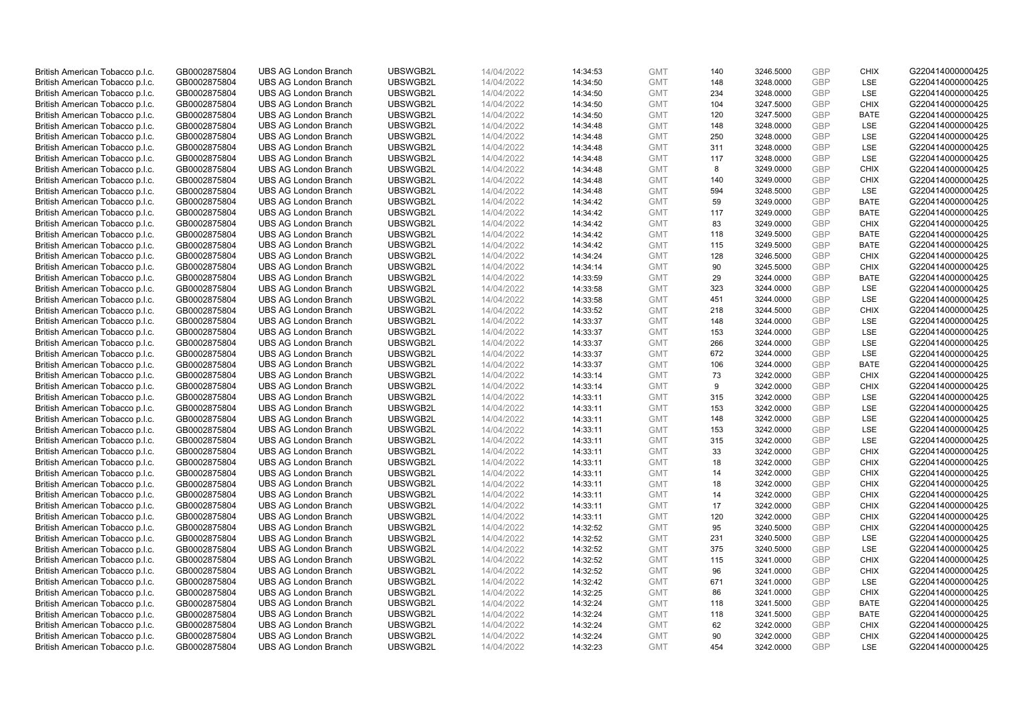| British American Tobacco p.l.c. | GB0002875804 | <b>UBS AG London Branch</b> | UBSWGB2L | 14/04/2022               | 14:34:53 | <b>GMT</b> | 140 | 3246.5000 | GBP        | <b>CHIX</b> | G220414000000425 |
|---------------------------------|--------------|-----------------------------|----------|--------------------------|----------|------------|-----|-----------|------------|-------------|------------------|
|                                 |              |                             |          |                          |          |            | 148 |           | <b>GBP</b> | LSE         |                  |
| British American Tobacco p.l.c. | GB0002875804 | <b>UBS AG London Branch</b> | UBSWGB2L | 14/04/2022               | 14:34:50 | <b>GMT</b> |     | 3248.0000 |            |             | G220414000000425 |
| British American Tobacco p.l.c. | GB0002875804 | <b>UBS AG London Branch</b> | UBSWGB2L | 14/04/2022               | 14:34:50 | <b>GMT</b> | 234 | 3248.0000 | GBP        | LSE         | G220414000000425 |
| British American Tobacco p.l.c. | GB0002875804 | <b>UBS AG London Branch</b> | UBSWGB2L | 14/04/2022               | 14:34:50 | <b>GMT</b> | 104 | 3247.5000 | GBP        | <b>CHIX</b> | G220414000000425 |
| British American Tobacco p.l.c. | GB0002875804 | <b>UBS AG London Branch</b> | UBSWGB2L | 14/04/2022               | 14:34:50 | <b>GMT</b> | 120 | 3247.5000 | <b>GBP</b> | <b>BATE</b> | G220414000000425 |
| British American Tobacco p.l.c. | GB0002875804 | <b>UBS AG London Branch</b> | UBSWGB2L | 14/04/2022               | 14:34:48 | <b>GMT</b> | 148 | 3248.0000 | GBP        | <b>LSE</b>  | G220414000000425 |
| British American Tobacco p.l.c. | GB0002875804 | <b>UBS AG London Branch</b> | UBSWGB2L | 14/04/2022               | 14:34:48 | <b>GMT</b> | 250 | 3248.0000 | GBP        | LSE         | G220414000000425 |
| British American Tobacco p.l.c. | GB0002875804 | <b>UBS AG London Branch</b> | UBSWGB2L | 14/04/2022               | 14:34:48 | <b>GMT</b> | 311 | 3248.0000 | GBP        | LSE         | G220414000000425 |
| British American Tobacco p.l.c. | GB0002875804 | <b>UBS AG London Branch</b> | UBSWGB2L | 14/04/2022               | 14:34:48 | <b>GMT</b> | 117 | 3248.0000 | GBP        | LSE         | G220414000000425 |
| British American Tobacco p.l.c. | GB0002875804 | <b>UBS AG London Branch</b> | UBSWGB2L | 14/04/2022               | 14:34:48 | <b>GMT</b> | 8   | 3249.0000 | GBP        | <b>CHIX</b> | G220414000000425 |
| British American Tobacco p.l.c. | GB0002875804 | <b>UBS AG London Branch</b> | UBSWGB2L | 14/04/2022               | 14:34:48 | <b>GMT</b> | 140 | 3249.0000 | GBP        | <b>CHIX</b> | G220414000000425 |
| British American Tobacco p.l.c. | GB0002875804 | <b>UBS AG London Branch</b> | UBSWGB2L | 14/04/2022               | 14:34:48 | <b>GMT</b> | 594 | 3248.5000 | GBP        | LSE         | G220414000000425 |
| British American Tobacco p.l.c. | GB0002875804 | <b>UBS AG London Branch</b> | UBSWGB2L | 14/04/2022               | 14:34:42 | <b>GMT</b> | 59  | 3249.0000 | GBP        | <b>BATE</b> | G220414000000425 |
| British American Tobacco p.l.c. | GB0002875804 | <b>UBS AG London Branch</b> | UBSWGB2L | 14/04/2022               | 14:34:42 | <b>GMT</b> | 117 | 3249.0000 | GBP        | <b>BATE</b> | G220414000000425 |
|                                 |              |                             |          |                          |          |            |     |           |            |             |                  |
| British American Tobacco p.l.c. | GB0002875804 | <b>UBS AG London Branch</b> | UBSWGB2L | 14/04/2022               | 14:34:42 | <b>GMT</b> | 83  | 3249.0000 | GBP        | <b>CHIX</b> | G220414000000425 |
| British American Tobacco p.l.c. | GB0002875804 | <b>UBS AG London Branch</b> | UBSWGB2L | 14/04/2022               | 14:34:42 | <b>GMT</b> | 118 | 3249.5000 | GBP        | <b>BATE</b> | G220414000000425 |
| British American Tobacco p.l.c. | GB0002875804 | <b>UBS AG London Branch</b> | UBSWGB2L | 14/04/2022               | 14:34:42 | <b>GMT</b> | 115 | 3249.5000 | GBP        | <b>BATE</b> | G220414000000425 |
| British American Tobacco p.l.c. | GB0002875804 | <b>UBS AG London Branch</b> | UBSWGB2L | 14/04/2022               | 14:34:24 | <b>GMT</b> | 128 | 3246.5000 | <b>GBP</b> | <b>CHIX</b> | G220414000000425 |
| British American Tobacco p.l.c. | GB0002875804 | <b>UBS AG London Branch</b> | UBSWGB2L | 14/04/2022               | 14:34:14 | <b>GMT</b> | 90  | 3245.5000 | <b>GBP</b> | <b>CHIX</b> | G220414000000425 |
| British American Tobacco p.l.c. | GB0002875804 | <b>UBS AG London Branch</b> | UBSWGB2L | 14/04/2022               | 14:33:59 | <b>GMT</b> | 29  | 3244.0000 | <b>GBP</b> | <b>BATE</b> | G220414000000425 |
| British American Tobacco p.l.c. | GB0002875804 | <b>UBS AG London Branch</b> | UBSWGB2L | 14/04/2022               | 14:33:58 | <b>GMT</b> | 323 | 3244.0000 | <b>GBP</b> | LSE         | G220414000000425 |
| British American Tobacco p.l.c. | GB0002875804 | <b>UBS AG London Branch</b> | UBSWGB2L | 14/04/2022               | 14:33:58 | <b>GMT</b> | 451 | 3244.0000 | GBP        | <b>LSE</b>  | G220414000000425 |
| British American Tobacco p.l.c. | GB0002875804 | <b>UBS AG London Branch</b> | UBSWGB2L | 14/04/2022               | 14:33:52 | <b>GMT</b> | 218 | 3244.5000 | GBP        | <b>CHIX</b> | G220414000000425 |
| British American Tobacco p.l.c. | GB0002875804 | <b>UBS AG London Branch</b> | UBSWGB2L | 14/04/2022               | 14:33:37 | <b>GMT</b> | 148 | 3244.0000 | <b>GBP</b> | LSE         | G220414000000425 |
| British American Tobacco p.l.c. | GB0002875804 | <b>UBS AG London Branch</b> | UBSWGB2L | 14/04/2022               | 14:33:37 | <b>GMT</b> | 153 | 3244.0000 | <b>GBP</b> | LSE         | G220414000000425 |
| British American Tobacco p.l.c. | GB0002875804 | <b>UBS AG London Branch</b> | UBSWGB2L | 14/04/2022               | 14:33:37 | <b>GMT</b> | 266 | 3244.0000 | GBP        | LSE         | G220414000000425 |
| British American Tobacco p.l.c. | GB0002875804 | <b>UBS AG London Branch</b> | UBSWGB2L | 14/04/2022               | 14:33:37 | <b>GMT</b> | 672 | 3244.0000 | <b>GBP</b> | LSE         | G220414000000425 |
| British American Tobacco p.l.c. | GB0002875804 | <b>UBS AG London Branch</b> | UBSWGB2L | 14/04/2022               | 14:33:37 | <b>GMT</b> | 106 | 3244.0000 | GBP        | <b>BATE</b> | G220414000000425 |
|                                 |              |                             |          |                          |          |            |     |           |            |             |                  |
| British American Tobacco p.l.c. | GB0002875804 | <b>UBS AG London Branch</b> | UBSWGB2L | 14/04/2022               | 14:33:14 | <b>GMT</b> | 73  | 3242.0000 | <b>GBP</b> | <b>CHIX</b> | G220414000000425 |
| British American Tobacco p.l.c. | GB0002875804 | <b>UBS AG London Branch</b> | UBSWGB2L | 14/04/2022               | 14:33:14 | <b>GMT</b> | 9   | 3242.0000 | <b>GBP</b> | <b>CHIX</b> | G220414000000425 |
| British American Tobacco p.l.c. | GB0002875804 | UBS AG London Branch        | UBSWGB2L | 14/04/2022               | 14:33:11 | <b>GMT</b> | 315 | 3242.0000 | GBP        | LSE         | G220414000000425 |
| British American Tobacco p.l.c. | GB0002875804 | <b>UBS AG London Branch</b> | UBSWGB2L | 14/04/2022               | 14:33:11 | <b>GMT</b> | 153 | 3242.0000 | <b>GBP</b> | <b>LSE</b>  | G220414000000425 |
| British American Tobacco p.l.c. | GB0002875804 | <b>UBS AG London Branch</b> | UBSWGB2L | 14/04/2022               | 14:33:11 | <b>GMT</b> | 148 | 3242.0000 | GBP        | LSE         | G220414000000425 |
| British American Tobacco p.l.c. | GB0002875804 | <b>UBS AG London Branch</b> | UBSWGB2L | 14/04/2022               | 14:33:11 | <b>GMT</b> | 153 | 3242.0000 | <b>GBP</b> | LSE         | G220414000000425 |
| British American Tobacco p.l.c. | GB0002875804 | <b>UBS AG London Branch</b> | UBSWGB2L | 14/04/2022               | 14:33:11 | <b>GMT</b> | 315 | 3242.0000 | GBP        | <b>LSE</b>  | G220414000000425 |
| British American Tobacco p.l.c. | GB0002875804 | <b>UBS AG London Branch</b> | UBSWGB2L | 14/04/2022               | 14:33:11 | <b>GMT</b> | 33  | 3242.0000 | <b>GBP</b> | <b>CHIX</b> | G220414000000425 |
| British American Tobacco p.l.c. | GB0002875804 | <b>UBS AG London Branch</b> | UBSWGB2L | 14/04/2022               | 14:33:11 | <b>GMT</b> | 18  | 3242.0000 | <b>GBP</b> | <b>CHIX</b> | G220414000000425 |
| British American Tobacco p.l.c. | GB0002875804 | <b>UBS AG London Branch</b> | UBSWGB2L | 14/04/2022               | 14:33:11 | <b>GMT</b> | 14  | 3242.0000 | <b>GBP</b> | <b>CHIX</b> | G220414000000425 |
| British American Tobacco p.l.c. | GB0002875804 | <b>UBS AG London Branch</b> | UBSWGB2L | 14/04/2022               | 14:33:11 | <b>GMT</b> | 18  | 3242.0000 | <b>GBP</b> | <b>CHIX</b> | G220414000000425 |
| British American Tobacco p.l.c. | GB0002875804 | <b>UBS AG London Branch</b> | UBSWGB2L | 14/04/2022               | 14:33:11 | <b>GMT</b> | 14  | 3242.0000 | GBP        | <b>CHIX</b> | G220414000000425 |
| British American Tobacco p.l.c. | GB0002875804 | <b>UBS AG London Branch</b> | UBSWGB2L | 14/04/2022               | 14:33:11 | <b>GMT</b> | 17  | 3242.0000 | <b>GBP</b> | <b>CHIX</b> | G220414000000425 |
| British American Tobacco p.l.c. | GB0002875804 | <b>UBS AG London Branch</b> | UBSWGB2L |                          | 14:33:11 | <b>GMT</b> | 120 | 3242.0000 | GBP        | <b>CHIX</b> | G220414000000425 |
|                                 | GB0002875804 | <b>UBS AG London Branch</b> | UBSWGB2L | 14/04/2022<br>14/04/2022 |          | <b>GMT</b> | 95  |           | <b>GBP</b> | <b>CHIX</b> |                  |
| British American Tobacco p.l.c. |              |                             |          |                          | 14:32:52 |            |     | 3240.5000 |            |             | G220414000000425 |
| British American Tobacco p.l.c. | GB0002875804 | <b>UBS AG London Branch</b> | UBSWGB2L | 14/04/2022               | 14:32:52 | <b>GMT</b> | 231 | 3240.5000 | GBP        | LSE         | G220414000000425 |
| British American Tobacco p.l.c. | GB0002875804 | <b>UBS AG London Branch</b> | UBSWGB2L | 14/04/2022               | 14:32:52 | <b>GMT</b> | 375 | 3240.5000 | <b>GBP</b> | <b>LSE</b>  | G220414000000425 |
| British American Tobacco p.l.c. | GB0002875804 | <b>UBS AG London Branch</b> | UBSWGB2L | 14/04/2022               | 14:32:52 | <b>GMT</b> | 115 | 3241.0000 | GBP        | <b>CHIX</b> | G220414000000425 |
| British American Tobacco p.l.c. | GB0002875804 | <b>UBS AG London Branch</b> | UBSWGB2L | 14/04/2022               | 14:32:52 | <b>GMT</b> | 96  | 3241.0000 | GBP        | <b>CHIX</b> | G220414000000425 |
| British American Tobacco p.l.c. | GB0002875804 | <b>UBS AG London Branch</b> | UBSWGB2L | 14/04/2022               | 14:32:42 | <b>GMT</b> | 671 | 3241.0000 | GBP        | <b>LSE</b>  | G220414000000425 |
| British American Tobacco p.l.c. | GB0002875804 | <b>UBS AG London Branch</b> | UBSWGB2L | 14/04/2022               | 14:32:25 | <b>GMT</b> | 86  | 3241.0000 | GBP        | <b>CHIX</b> | G220414000000425 |
| British American Tobacco p.l.c. | GB0002875804 | <b>UBS AG London Branch</b> | UBSWGB2L | 14/04/2022               | 14:32:24 | <b>GMT</b> | 118 | 3241.5000 | GBP        | <b>BATE</b> | G220414000000425 |
| British American Tobacco p.l.c. | GB0002875804 | <b>UBS AG London Branch</b> | UBSWGB2L | 14/04/2022               | 14:32:24 | <b>GMT</b> | 118 | 3241.5000 | <b>GBP</b> | <b>BATE</b> | G220414000000425 |
| British American Tobacco p.l.c. | GB0002875804 | <b>UBS AG London Branch</b> | UBSWGB2L | 14/04/2022               | 14:32:24 | <b>GMT</b> | 62  | 3242.0000 | <b>GBP</b> | <b>CHIX</b> | G220414000000425 |
| British American Tobacco p.l.c. | GB0002875804 | <b>UBS AG London Branch</b> | UBSWGB2L | 14/04/2022               | 14:32:24 | <b>GMT</b> | 90  | 3242.0000 | GBP        | <b>CHIX</b> | G220414000000425 |
| British American Tobacco p.l.c. | GB0002875804 | <b>UBS AG London Branch</b> | UBSWGB2L | 14/04/2022               | 14:32:23 | <b>GMT</b> | 454 | 3242.0000 | <b>GBP</b> | LSE         | G220414000000425 |
|                                 |              |                             |          |                          |          |            |     |           |            |             |                  |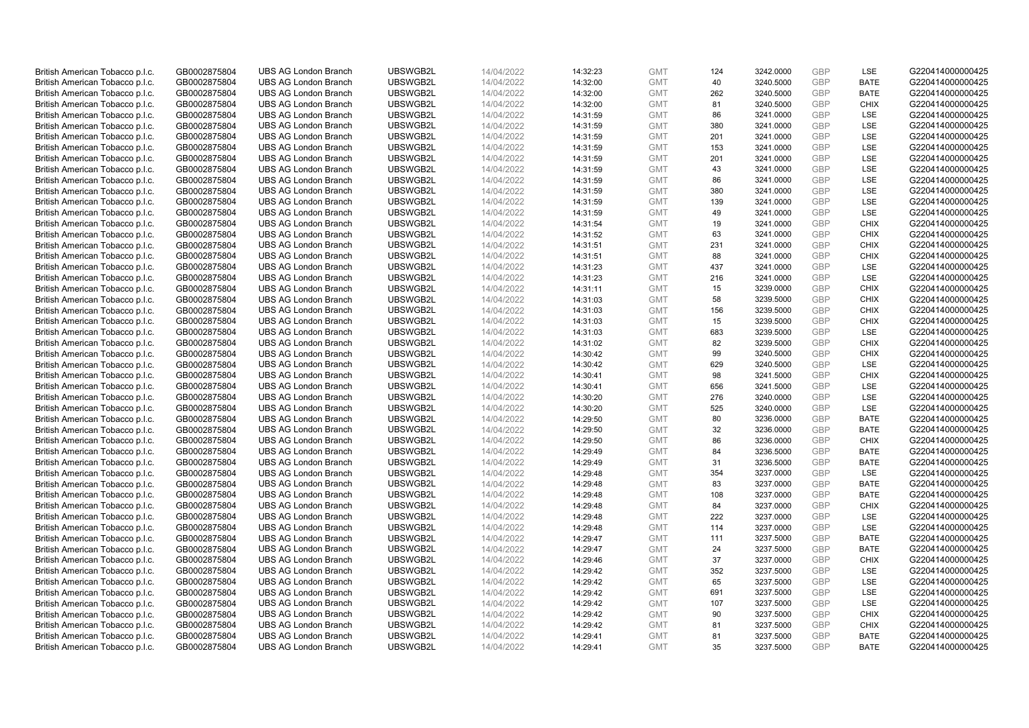| British American Tobacco p.l.c. | GB0002875804 | <b>UBS AG London Branch</b> | UBSWGB2L | 14/04/2022 | 14:32:23 | <b>GMT</b> | 124 | 3242.0000 | GBP        | LSE         | G220414000000425 |
|---------------------------------|--------------|-----------------------------|----------|------------|----------|------------|-----|-----------|------------|-------------|------------------|
| British American Tobacco p.l.c. | GB0002875804 | <b>UBS AG London Branch</b> | UBSWGB2L | 14/04/2022 | 14:32:00 | <b>GMT</b> | 40  | 3240.5000 | <b>GBP</b> | <b>BATE</b> | G220414000000425 |
| British American Tobacco p.l.c. | GB0002875804 | <b>UBS AG London Branch</b> | UBSWGB2L | 14/04/2022 | 14:32:00 | <b>GMT</b> | 262 | 3240.5000 | GBP        | <b>BATE</b> | G220414000000425 |
| British American Tobacco p.l.c. | GB0002875804 | <b>UBS AG London Branch</b> | UBSWGB2L | 14/04/2022 | 14:32:00 | <b>GMT</b> | 81  | 3240.5000 | <b>GBP</b> | <b>CHIX</b> | G220414000000425 |
| British American Tobacco p.l.c. | GB0002875804 | <b>UBS AG London Branch</b> | UBSWGB2L | 14/04/2022 | 14:31:59 | <b>GMT</b> | 86  | 3241.0000 | GBP        | LSE         | G220414000000425 |
| British American Tobacco p.l.c. | GB0002875804 | <b>UBS AG London Branch</b> | UBSWGB2L | 14/04/2022 | 14:31:59 | <b>GMT</b> | 380 | 3241.0000 | <b>GBP</b> | LSE         | G220414000000425 |
| British American Tobacco p.l.c. | GB0002875804 | <b>UBS AG London Branch</b> | UBSWGB2L | 14/04/2022 | 14:31:59 | <b>GMT</b> | 201 | 3241.0000 | <b>GBP</b> | LSE         | G220414000000425 |
| British American Tobacco p.l.c. | GB0002875804 | <b>UBS AG London Branch</b> | UBSWGB2L | 14/04/2022 | 14:31:59 | <b>GMT</b> | 153 | 3241.0000 | <b>GBP</b> | LSE         | G220414000000425 |
| British American Tobacco p.l.c. | GB0002875804 | <b>UBS AG London Branch</b> | UBSWGB2L | 14/04/2022 | 14:31:59 | <b>GMT</b> | 201 | 3241.0000 | <b>GBP</b> | LSE         | G220414000000425 |
| British American Tobacco p.l.c. | GB0002875804 | <b>UBS AG London Branch</b> | UBSWGB2L | 14/04/2022 | 14:31:59 | <b>GMT</b> | 43  | 3241.0000 | <b>GBP</b> | LSE         | G220414000000425 |
| British American Tobacco p.l.c. | GB0002875804 | <b>UBS AG London Branch</b> | UBSWGB2L | 14/04/2022 | 14:31:59 | <b>GMT</b> | 86  | 3241.0000 | GBP        | LSE         | G220414000000425 |
| British American Tobacco p.l.c. | GB0002875804 | <b>UBS AG London Branch</b> | UBSWGB2L | 14/04/2022 | 14:31:59 | <b>GMT</b> | 380 | 3241.0000 | <b>GBP</b> | LSE         | G220414000000425 |
| British American Tobacco p.l.c. | GB0002875804 | <b>UBS AG London Branch</b> | UBSWGB2L | 14/04/2022 | 14:31:59 | <b>GMT</b> | 139 | 3241.0000 | <b>GBP</b> | LSE         | G220414000000425 |
| British American Tobacco p.l.c. | GB0002875804 | <b>UBS AG London Branch</b> | UBSWGB2L | 14/04/2022 | 14:31:59 | <b>GMT</b> | 49  | 3241.0000 | GBP        | LSE         | G220414000000425 |
| British American Tobacco p.l.c. | GB0002875804 | <b>UBS AG London Branch</b> | UBSWGB2L | 14/04/2022 | 14:31:54 | <b>GMT</b> | 19  | 3241.0000 | <b>GBP</b> | <b>CHIX</b> | G220414000000425 |
| British American Tobacco p.l.c. | GB0002875804 | <b>UBS AG London Branch</b> | UBSWGB2L | 14/04/2022 | 14:31:52 | <b>GMT</b> | 63  | 3241.0000 | GBP        | <b>CHIX</b> | G220414000000425 |
| British American Tobacco p.l.c. | GB0002875804 | <b>UBS AG London Branch</b> | UBSWGB2L | 14/04/2022 | 14:31:51 | <b>GMT</b> | 231 | 3241.0000 | <b>GBP</b> | <b>CHIX</b> | G220414000000425 |
| British American Tobacco p.l.c. | GB0002875804 | <b>UBS AG London Branch</b> | UBSWGB2L | 14/04/2022 | 14:31:51 | <b>GMT</b> | 88  | 3241.0000 | GBP        | <b>CHIX</b> | G220414000000425 |
| British American Tobacco p.l.c. | GB0002875804 | <b>UBS AG London Branch</b> | UBSWGB2L | 14/04/2022 | 14:31:23 | <b>GMT</b> | 437 | 3241.0000 | <b>GBP</b> | <b>LSE</b>  | G220414000000425 |
| British American Tobacco p.l.c. | GB0002875804 | <b>UBS AG London Branch</b> | UBSWGB2L | 14/04/2022 | 14:31:23 | <b>GMT</b> | 216 | 3241.0000 | GBP        | LSE         | G220414000000425 |
| British American Tobacco p.l.c. | GB0002875804 | <b>UBS AG London Branch</b> | UBSWGB2L | 14/04/2022 | 14:31:11 | <b>GMT</b> | 15  | 3239.0000 | <b>GBP</b> | <b>CHIX</b> | G220414000000425 |
| British American Tobacco p.l.c. | GB0002875804 | <b>UBS AG London Branch</b> | UBSWGB2L | 14/04/2022 | 14:31:03 | <b>GMT</b> | 58  | 3239.5000 | GBP        | <b>CHIX</b> | G220414000000425 |
| British American Tobacco p.l.c. | GB0002875804 | <b>UBS AG London Branch</b> | UBSWGB2L | 14/04/2022 | 14:31:03 | <b>GMT</b> | 156 | 3239.5000 | <b>GBP</b> | <b>CHIX</b> | G220414000000425 |
| British American Tobacco p.l.c. | GB0002875804 | <b>UBS AG London Branch</b> | UBSWGB2L | 14/04/2022 | 14:31:03 | <b>GMT</b> | 15  | 3239.5000 | GBP        | <b>CHIX</b> | G220414000000425 |
| British American Tobacco p.l.c. | GB0002875804 | <b>UBS AG London Branch</b> | UBSWGB2L | 14/04/2022 | 14:31:03 | <b>GMT</b> | 683 | 3239.5000 | <b>GBP</b> | LSE         | G220414000000425 |
| British American Tobacco p.l.c. | GB0002875804 | <b>UBS AG London Branch</b> | UBSWGB2L | 14/04/2022 | 14:31:02 | <b>GMT</b> | 82  | 3239.5000 | <b>GBP</b> | <b>CHIX</b> | G220414000000425 |
| British American Tobacco p.l.c. | GB0002875804 | <b>UBS AG London Branch</b> | UBSWGB2L | 14/04/2022 | 14:30:42 | <b>GMT</b> | 99  | 3240.5000 | GBP        | <b>CHIX</b> | G220414000000425 |
| British American Tobacco p.l.c. | GB0002875804 | <b>UBS AG London Branch</b> | UBSWGB2L | 14/04/2022 | 14:30:42 | <b>GMT</b> | 629 | 3240.5000 | <b>GBP</b> | <b>LSE</b>  | G220414000000425 |
| British American Tobacco p.l.c. | GB0002875804 | <b>UBS AG London Branch</b> | UBSWGB2L | 14/04/2022 | 14:30:41 | <b>GMT</b> | 98  | 3241.5000 | GBP        | <b>CHIX</b> | G220414000000425 |
| British American Tobacco p.l.c. | GB0002875804 | <b>UBS AG London Branch</b> | UBSWGB2L | 14/04/2022 | 14:30:41 | <b>GMT</b> | 656 | 3241.5000 | <b>GBP</b> | LSE         | G220414000000425 |
| British American Tobacco p.l.c. | GB0002875804 | <b>UBS AG London Branch</b> | UBSWGB2L | 14/04/2022 | 14:30:20 | <b>GMT</b> | 276 | 3240.0000 | GBP        | LSE         | G220414000000425 |
| British American Tobacco p.l.c. | GB0002875804 | <b>UBS AG London Branch</b> | UBSWGB2L | 14/04/2022 | 14:30:20 | <b>GMT</b> | 525 | 3240.0000 | <b>GBP</b> | <b>LSE</b>  | G220414000000425 |
| British American Tobacco p.l.c. | GB0002875804 | <b>UBS AG London Branch</b> | UBSWGB2L | 14/04/2022 | 14:29:50 | <b>GMT</b> | 80  | 3236.0000 | GBP        | <b>BATE</b> | G220414000000425 |
| British American Tobacco p.l.c. | GB0002875804 | <b>UBS AG London Branch</b> | UBSWGB2L | 14/04/2022 | 14:29:50 | <b>GMT</b> | 32  | 3236.0000 | GBP        | <b>BATE</b> | G220414000000425 |
| British American Tobacco p.l.c. | GB0002875804 | <b>UBS AG London Branch</b> | UBSWGB2L | 14/04/2022 | 14:29:50 | <b>GMT</b> | 86  | 3236.0000 | <b>GBP</b> | <b>CHIX</b> | G220414000000425 |
| British American Tobacco p.l.c. | GB0002875804 | <b>UBS AG London Branch</b> | UBSWGB2L | 14/04/2022 | 14:29:49 | <b>GMT</b> | 84  | 3236.5000 | GBP        | <b>BATE</b> | G220414000000425 |
| British American Tobacco p.l.c. | GB0002875804 | <b>UBS AG London Branch</b> | UBSWGB2L | 14/04/2022 | 14:29:49 | <b>GMT</b> | 31  | 3236.5000 | GBP        | <b>BATE</b> | G220414000000425 |
| British American Tobacco p.l.c. | GB0002875804 | <b>UBS AG London Branch</b> | UBSWGB2L | 14/04/2022 | 14:29:48 | <b>GMT</b> | 354 | 3237.0000 | <b>GBP</b> | LSE         | G220414000000425 |
| British American Tobacco p.l.c. | GB0002875804 | <b>UBS AG London Branch</b> | UBSWGB2L | 14/04/2022 | 14:29:48 | <b>GMT</b> | 83  | 3237.0000 | GBP        | <b>BATE</b> | G220414000000425 |
| British American Tobacco p.l.c. | GB0002875804 | <b>UBS AG London Branch</b> | UBSWGB2L | 14/04/2022 | 14:29:48 | <b>GMT</b> | 108 | 3237.0000 | GBP        | <b>BATE</b> | G220414000000425 |
| British American Tobacco p.l.c. | GB0002875804 | <b>UBS AG London Branch</b> | UBSWGB2L | 14/04/2022 | 14:29:48 | <b>GMT</b> | 84  | 3237.0000 | <b>GBP</b> | <b>CHIX</b> | G220414000000425 |
| British American Tobacco p.l.c. | GB0002875804 | <b>UBS AG London Branch</b> | UBSWGB2L | 14/04/2022 | 14:29:48 | <b>GMT</b> | 222 | 3237.0000 | GBP        | LSE         | G220414000000425 |
| British American Tobacco p.l.c. | GB0002875804 | <b>UBS AG London Branch</b> | UBSWGB2L | 14/04/2022 | 14:29:48 | <b>GMT</b> | 114 | 3237.0000 | GBP        | LSE         | G220414000000425 |
| British American Tobacco p.l.c. | GB0002875804 | <b>UBS AG London Branch</b> | UBSWGB2L | 14/04/2022 | 14:29:47 | <b>GMT</b> | 111 | 3237.5000 | GBP        | <b>BATE</b> | G220414000000425 |
| British American Tobacco p.l.c. | GB0002875804 | <b>UBS AG London Branch</b> | UBSWGB2L | 14/04/2022 | 14:29:47 | <b>GMT</b> | 24  | 3237.5000 | GBP        | <b>BATE</b> | G220414000000425 |
| British American Tobacco p.l.c. | GB0002875804 | <b>UBS AG London Branch</b> | UBSWGB2L | 14/04/2022 | 14:29:46 | <b>GMT</b> | 37  | 3237.0000 | GBP        | <b>CHIX</b> | G220414000000425 |
| British American Tobacco p.l.c. | GB0002875804 | <b>UBS AG London Branch</b> | UBSWGB2L | 14/04/2022 | 14:29:42 | <b>GMT</b> | 352 | 3237.5000 | GBP        | <b>LSE</b>  | G220414000000425 |
| British American Tobacco p.l.c. | GB0002875804 | <b>UBS AG London Branch</b> | UBSWGB2L | 14/04/2022 | 14:29:42 | <b>GMT</b> | 65  | 3237.5000 | <b>GBP</b> | LSE         | G220414000000425 |
| British American Tobacco p.l.c. | GB0002875804 | <b>UBS AG London Branch</b> | UBSWGB2L | 14/04/2022 | 14:29:42 | <b>GMT</b> | 691 | 3237.5000 | <b>GBP</b> | LSE         | G220414000000425 |
| British American Tobacco p.l.c. | GB0002875804 | <b>UBS AG London Branch</b> | UBSWGB2L | 14/04/2022 | 14:29:42 | <b>GMT</b> | 107 | 3237.5000 | GBP        | <b>LSE</b>  | G220414000000425 |
| British American Tobacco p.l.c. | GB0002875804 | <b>UBS AG London Branch</b> | UBSWGB2L | 14/04/2022 | 14:29:42 | <b>GMT</b> | 90  | 3237.5000 | <b>GBP</b> | <b>CHIX</b> | G220414000000425 |
| British American Tobacco p.l.c. | GB0002875804 | <b>UBS AG London Branch</b> | UBSWGB2L | 14/04/2022 | 14:29:42 | <b>GMT</b> | 81  | 3237.5000 | <b>GBP</b> | <b>CHIX</b> | G220414000000425 |
| British American Tobacco p.l.c. | GB0002875804 | <b>UBS AG London Branch</b> | UBSWGB2L | 14/04/2022 | 14:29:41 | <b>GMT</b> | 81  | 3237.5000 | GBP        | <b>BATE</b> | G220414000000425 |
| British American Tobacco p.l.c. | GB0002875804 | <b>UBS AG London Branch</b> | UBSWGB2L | 14/04/2022 | 14:29:41 | <b>GMT</b> | 35  | 3237.5000 | <b>GBP</b> | <b>BATE</b> | G220414000000425 |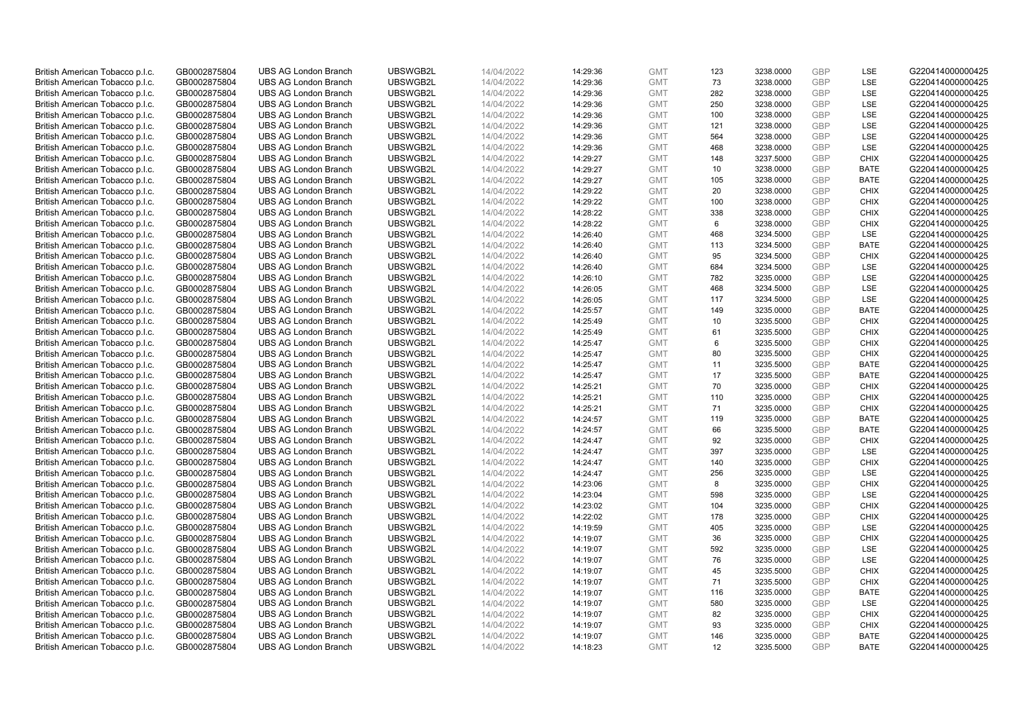| British American Tobacco p.l.c. | GB0002875804 | <b>UBS AG London Branch</b> | UBSWGB2L | 14/04/2022 | 14:29:36 | <b>GMT</b> | 123 | 3238.0000 | GBP        | LSE         | G220414000000425 |
|---------------------------------|--------------|-----------------------------|----------|------------|----------|------------|-----|-----------|------------|-------------|------------------|
| British American Tobacco p.l.c. | GB0002875804 | <b>UBS AG London Branch</b> | UBSWGB2L | 14/04/2022 | 14:29:36 | <b>GMT</b> | 73  | 3238.0000 | <b>GBP</b> | LSE         | G220414000000425 |
| British American Tobacco p.l.c. | GB0002875804 | <b>UBS AG London Branch</b> | UBSWGB2L | 14/04/2022 | 14:29:36 | <b>GMT</b> | 282 | 3238.0000 | GBP        | LSE         | G220414000000425 |
| British American Tobacco p.l.c. | GB0002875804 | <b>UBS AG London Branch</b> | UBSWGB2L | 14/04/2022 | 14:29:36 | <b>GMT</b> | 250 | 3238.0000 | <b>GBP</b> | LSE         | G220414000000425 |
| British American Tobacco p.l.c. | GB0002875804 | <b>UBS AG London Branch</b> | UBSWGB2L | 14/04/2022 | 14:29:36 | <b>GMT</b> | 100 | 3238.0000 | GBP        | LSE         | G220414000000425 |
| British American Tobacco p.l.c. | GB0002875804 | <b>UBS AG London Branch</b> | UBSWGB2L | 14/04/2022 | 14:29:36 | <b>GMT</b> | 121 | 3238.0000 | <b>GBP</b> | LSE         | G220414000000425 |
| British American Tobacco p.l.c. | GB0002875804 | <b>UBS AG London Branch</b> | UBSWGB2L | 14/04/2022 | 14:29:36 | <b>GMT</b> | 564 | 3238.0000 | <b>GBP</b> | LSE         | G220414000000425 |
| British American Tobacco p.l.c. | GB0002875804 | <b>UBS AG London Branch</b> | UBSWGB2L | 14/04/2022 | 14:29:36 | <b>GMT</b> | 468 | 3238.0000 | <b>GBP</b> | LSE         | G220414000000425 |
| British American Tobacco p.l.c. | GB0002875804 | <b>UBS AG London Branch</b> | UBSWGB2L | 14/04/2022 | 14:29:27 | <b>GMT</b> | 148 | 3237.5000 | <b>GBP</b> | <b>CHIX</b> | G220414000000425 |
| British American Tobacco p.l.c. | GB0002875804 | <b>UBS AG London Branch</b> | UBSWGB2L | 14/04/2022 | 14:29:27 | <b>GMT</b> | 10  | 3238.0000 | <b>GBP</b> | <b>BATE</b> | G220414000000425 |
| British American Tobacco p.l.c. | GB0002875804 | <b>UBS AG London Branch</b> | UBSWGB2L | 14/04/2022 | 14:29:27 | <b>GMT</b> | 105 | 3238.0000 | GBP        | <b>BATE</b> | G220414000000425 |
| British American Tobacco p.l.c. | GB0002875804 | <b>UBS AG London Branch</b> | UBSWGB2L | 14/04/2022 | 14:29:22 | <b>GMT</b> | 20  | 3238.0000 | <b>GBP</b> | <b>CHIX</b> | G220414000000425 |
| British American Tobacco p.l.c. | GB0002875804 | <b>UBS AG London Branch</b> | UBSWGB2L | 14/04/2022 | 14:29:22 | <b>GMT</b> | 100 | 3238.0000 | <b>GBP</b> | <b>CHIX</b> | G220414000000425 |
| British American Tobacco p.l.c. | GB0002875804 | <b>UBS AG London Branch</b> | UBSWGB2L | 14/04/2022 | 14:28:22 | <b>GMT</b> | 338 | 3238.0000 | GBP        | <b>CHIX</b> | G220414000000425 |
| British American Tobacco p.l.c. | GB0002875804 | <b>UBS AG London Branch</b> | UBSWGB2L | 14/04/2022 | 14:28:22 | <b>GMT</b> | 6   | 3238.0000 | <b>GBP</b> | <b>CHIX</b> | G220414000000425 |
| British American Tobacco p.l.c. | GB0002875804 | <b>UBS AG London Branch</b> | UBSWGB2L | 14/04/2022 | 14:26:40 | <b>GMT</b> | 468 | 3234.5000 | GBP        | LSE         | G220414000000425 |
| British American Tobacco p.l.c. | GB0002875804 | <b>UBS AG London Branch</b> | UBSWGB2L | 14/04/2022 | 14:26:40 | <b>GMT</b> | 113 | 3234.5000 | <b>GBP</b> | <b>BATE</b> | G220414000000425 |
| British American Tobacco p.l.c. | GB0002875804 | <b>UBS AG London Branch</b> | UBSWGB2L | 14/04/2022 | 14:26:40 | <b>GMT</b> | 95  | 3234.5000 | GBP        | <b>CHIX</b> | G220414000000425 |
| British American Tobacco p.l.c. | GB0002875804 | <b>UBS AG London Branch</b> | UBSWGB2L | 14/04/2022 | 14:26:40 | <b>GMT</b> | 684 | 3234.5000 | <b>GBP</b> | <b>LSE</b>  | G220414000000425 |
| British American Tobacco p.l.c. | GB0002875804 | <b>UBS AG London Branch</b> | UBSWGB2L | 14/04/2022 | 14:26:10 | <b>GMT</b> | 782 | 3235.0000 | <b>GBP</b> | LSE         | G220414000000425 |
| British American Tobacco p.l.c. | GB0002875804 | <b>UBS AG London Branch</b> | UBSWGB2L | 14/04/2022 | 14:26:05 | <b>GMT</b> | 468 | 3234.5000 | <b>GBP</b> | LSE         | G220414000000425 |
| British American Tobacco p.l.c. | GB0002875804 | <b>UBS AG London Branch</b> | UBSWGB2L | 14/04/2022 | 14:26:05 | <b>GMT</b> | 117 | 3234.5000 | <b>GBP</b> | LSE         | G220414000000425 |
| British American Tobacco p.l.c. | GB0002875804 | <b>UBS AG London Branch</b> | UBSWGB2L | 14/04/2022 | 14:25:57 | <b>GMT</b> | 149 | 3235.0000 | <b>GBP</b> | <b>BATE</b> | G220414000000425 |
| British American Tobacco p.l.c. | GB0002875804 | <b>UBS AG London Branch</b> | UBSWGB2L | 14/04/2022 | 14:25:49 | <b>GMT</b> | 10  | 3235.5000 | GBP        | <b>CHIX</b> | G220414000000425 |
| British American Tobacco p.l.c. | GB0002875804 | <b>UBS AG London Branch</b> | UBSWGB2L | 14/04/2022 | 14:25:49 | <b>GMT</b> | 61  | 3235.5000 | <b>GBP</b> | <b>CHIX</b> | G220414000000425 |
| British American Tobacco p.l.c. | GB0002875804 | <b>UBS AG London Branch</b> | UBSWGB2L | 14/04/2022 | 14:25:47 | <b>GMT</b> | 6   | 3235.5000 | <b>GBP</b> | <b>CHIX</b> | G220414000000425 |
| British American Tobacco p.l.c. | GB0002875804 | <b>UBS AG London Branch</b> | UBSWGB2L | 14/04/2022 | 14:25:47 | <b>GMT</b> | 80  | 3235.5000 | GBP        | <b>CHIX</b> | G220414000000425 |
| British American Tobacco p.l.c. | GB0002875804 | <b>UBS AG London Branch</b> | UBSWGB2L | 14/04/2022 | 14:25:47 | <b>GMT</b> | 11  | 3235.5000 | <b>GBP</b> | <b>BATE</b> | G220414000000425 |
| British American Tobacco p.l.c. | GB0002875804 | <b>UBS AG London Branch</b> | UBSWGB2L | 14/04/2022 | 14:25:47 | <b>GMT</b> | 17  | 3235.5000 | GBP        | <b>BATE</b> | G220414000000425 |
| British American Tobacco p.l.c. | GB0002875804 | <b>UBS AG London Branch</b> | UBSWGB2L | 14/04/2022 | 14:25:21 | <b>GMT</b> | 70  | 3235.0000 | <b>GBP</b> | <b>CHIX</b> | G220414000000425 |
| British American Tobacco p.l.c. | GB0002875804 | <b>UBS AG London Branch</b> | UBSWGB2L | 14/04/2022 | 14:25:21 | <b>GMT</b> | 110 | 3235.0000 | GBP        | <b>CHIX</b> | G220414000000425 |
| British American Tobacco p.l.c. | GB0002875804 | <b>UBS AG London Branch</b> | UBSWGB2L | 14/04/2022 | 14:25:21 | <b>GMT</b> | 71  | 3235.0000 | <b>GBP</b> | <b>CHIX</b> | G220414000000425 |
| British American Tobacco p.l.c. | GB0002875804 | <b>UBS AG London Branch</b> | UBSWGB2L | 14/04/2022 | 14:24:57 | <b>GMT</b> | 119 | 3235.0000 | GBP        | <b>BATE</b> | G220414000000425 |
| British American Tobacco p.l.c. | GB0002875804 | <b>UBS AG London Branch</b> | UBSWGB2L | 14/04/2022 | 14:24:57 | <b>GMT</b> | 66  | 3235.5000 | GBP        | <b>BATE</b> | G220414000000425 |
| British American Tobacco p.l.c. | GB0002875804 | <b>UBS AG London Branch</b> | UBSWGB2L | 14/04/2022 | 14:24:47 | <b>GMT</b> | 92  | 3235.0000 | <b>GBP</b> | <b>CHIX</b> | G220414000000425 |
| British American Tobacco p.l.c. | GB0002875804 | <b>UBS AG London Branch</b> | UBSWGB2L | 14/04/2022 | 14:24:47 | <b>GMT</b> | 397 | 3235.0000 | <b>GBP</b> | LSE         | G220414000000425 |
| British American Tobacco p.l.c. | GB0002875804 | <b>UBS AG London Branch</b> | UBSWGB2L | 14/04/2022 | 14:24:47 | <b>GMT</b> | 140 | 3235.0000 | GBP        | <b>CHIX</b> | G220414000000425 |
| British American Tobacco p.l.c. | GB0002875804 | <b>UBS AG London Branch</b> | UBSWGB2L | 14/04/2022 | 14:24:47 | <b>GMT</b> | 256 | 3235.0000 | <b>GBP</b> | LSE         | G220414000000425 |
| British American Tobacco p.l.c. | GB0002875804 | <b>UBS AG London Branch</b> | UBSWGB2L | 14/04/2022 | 14:23:06 | <b>GMT</b> | 8   | 3235.0000 | <b>GBP</b> | <b>CHIX</b> | G220414000000425 |
| British American Tobacco p.l.c. | GB0002875804 | <b>UBS AG London Branch</b> | UBSWGB2L | 14/04/2022 | 14:23:04 | <b>GMT</b> | 598 | 3235.0000 | GBP        | LSE         | G220414000000425 |
| British American Tobacco p.l.c. | GB0002875804 | <b>UBS AG London Branch</b> | UBSWGB2L | 14/04/2022 | 14:23:02 | <b>GMT</b> | 104 | 3235.0000 | <b>GBP</b> | <b>CHIX</b> | G220414000000425 |
| British American Tobacco p.l.c. | GB0002875804 | <b>UBS AG London Branch</b> | UBSWGB2L | 14/04/2022 | 14:22:02 | <b>GMT</b> | 178 | 3235.0000 | GBP        | <b>CHIX</b> | G220414000000425 |
| British American Tobacco p.l.c. | GB0002875804 | <b>UBS AG London Branch</b> | UBSWGB2L | 14/04/2022 | 14:19:59 | <b>GMT</b> | 405 | 3235.0000 | <b>GBP</b> | LSE         | G220414000000425 |
| British American Tobacco p.l.c. | GB0002875804 | <b>UBS AG London Branch</b> | UBSWGB2L | 14/04/2022 | 14:19:07 | <b>GMT</b> | 36  | 3235.0000 | GBP        | <b>CHIX</b> | G220414000000425 |
| British American Tobacco p.l.c. | GB0002875804 | <b>UBS AG London Branch</b> | UBSWGB2L | 14/04/2022 | 14:19:07 | <b>GMT</b> | 592 | 3235.0000 | <b>GBP</b> | <b>LSE</b>  | G220414000000425 |
| British American Tobacco p.l.c. | GB0002875804 | <b>UBS AG London Branch</b> | UBSWGB2L | 14/04/2022 | 14:19:07 | <b>GMT</b> | 76  | 3235.0000 | GBP        | LSE         | G220414000000425 |
| British American Tobacco p.l.c. | GB0002875804 | <b>UBS AG London Branch</b> | UBSWGB2L | 14/04/2022 | 14:19:07 | <b>GMT</b> | 45  | 3235.5000 | GBP        | <b>CHIX</b> | G220414000000425 |
| British American Tobacco p.l.c. | GB0002875804 | <b>UBS AG London Branch</b> | UBSWGB2L | 14/04/2022 | 14:19:07 | <b>GMT</b> | 71  | 3235.5000 | <b>GBP</b> | <b>CHIX</b> | G220414000000425 |
| British American Tobacco p.l.c. | GB0002875804 | <b>UBS AG London Branch</b> | UBSWGB2L | 14/04/2022 | 14:19:07 | <b>GMT</b> | 116 | 3235.0000 | GBP        | <b>BATE</b> | G220414000000425 |
| British American Tobacco p.l.c. | GB0002875804 | <b>UBS AG London Branch</b> | UBSWGB2L | 14/04/2022 | 14:19:07 | <b>GMT</b> | 580 | 3235.0000 | GBP        | <b>LSE</b>  | G220414000000425 |
| British American Tobacco p.l.c. | GB0002875804 | <b>UBS AG London Branch</b> | UBSWGB2L | 14/04/2022 | 14:19:07 | <b>GMT</b> | 82  | 3235.0000 | <b>GBP</b> | <b>CHIX</b> | G220414000000425 |
| British American Tobacco p.l.c. | GB0002875804 | <b>UBS AG London Branch</b> | UBSWGB2L | 14/04/2022 | 14:19:07 | <b>GMT</b> | 93  | 3235.0000 | <b>GBP</b> | <b>CHIX</b> | G220414000000425 |
| British American Tobacco p.l.c. | GB0002875804 | <b>UBS AG London Branch</b> | UBSWGB2L | 14/04/2022 | 14:19:07 | <b>GMT</b> | 146 | 3235.0000 | GBP        | <b>BATE</b> | G220414000000425 |
| British American Tobacco p.l.c. | GB0002875804 | <b>UBS AG London Branch</b> | UBSWGB2L | 14/04/2022 | 14:18:23 | <b>GMT</b> | 12  | 3235.5000 | <b>GBP</b> | <b>BATE</b> | G220414000000425 |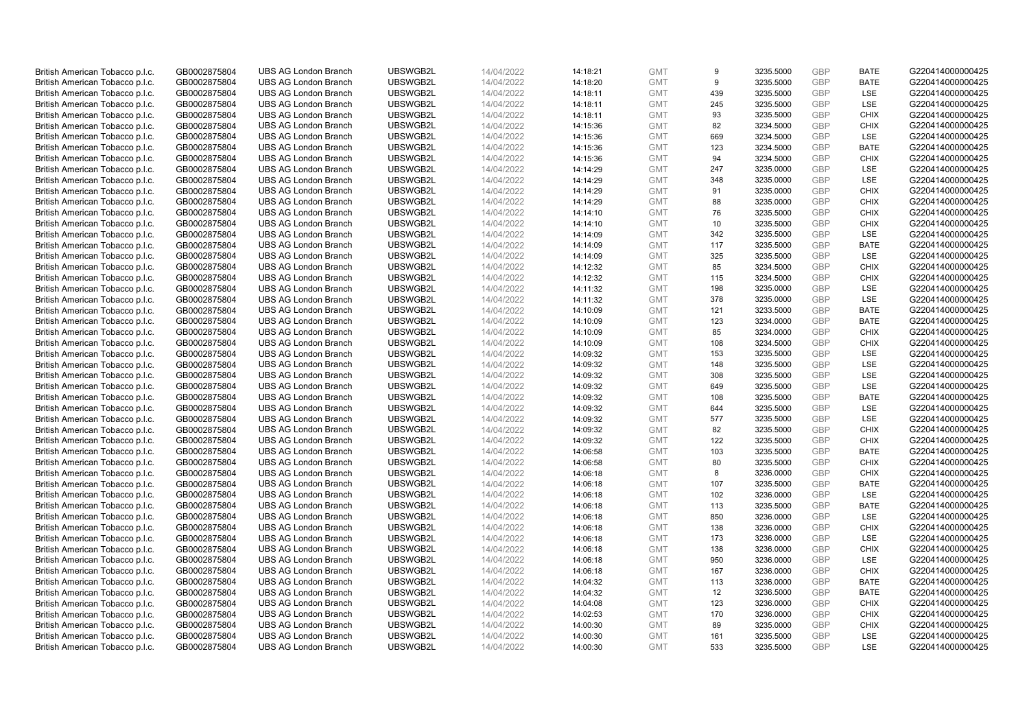| British American Tobacco p.l.c. | GB0002875804 | <b>UBS AG London Branch</b> | UBSWGB2L | 14/04/2022 | 14:18:21 | <b>GMT</b> | 9   | 3235.5000 | GBP        | <b>BATE</b> | G220414000000425 |
|---------------------------------|--------------|-----------------------------|----------|------------|----------|------------|-----|-----------|------------|-------------|------------------|
| British American Tobacco p.l.c. | GB0002875804 | <b>UBS AG London Branch</b> | UBSWGB2L | 14/04/2022 | 14:18:20 | <b>GMT</b> | 9   | 3235.5000 | <b>GBP</b> | <b>BATE</b> | G220414000000425 |
| British American Tobacco p.l.c. | GB0002875804 | <b>UBS AG London Branch</b> | UBSWGB2L | 14/04/2022 | 14:18:11 | <b>GMT</b> | 439 | 3235.5000 | GBP        | LSE         | G220414000000425 |
| British American Tobacco p.l.c. | GB0002875804 | <b>UBS AG London Branch</b> | UBSWGB2L | 14/04/2022 | 14:18:11 | <b>GMT</b> | 245 | 3235.5000 | <b>GBP</b> | LSE         | G220414000000425 |
| British American Tobacco p.l.c. | GB0002875804 | <b>UBS AG London Branch</b> | UBSWGB2L | 14/04/2022 | 14:18:11 | <b>GMT</b> | 93  | 3235.5000 | GBP        | <b>CHIX</b> | G220414000000425 |
| British American Tobacco p.l.c. | GB0002875804 | <b>UBS AG London Branch</b> | UBSWGB2L | 14/04/2022 | 14:15:36 | <b>GMT</b> | 82  | 3234.5000 | <b>GBP</b> | <b>CHIX</b> | G220414000000425 |
| British American Tobacco p.l.c. | GB0002875804 | <b>UBS AG London Branch</b> | UBSWGB2L | 14/04/2022 | 14:15:36 | <b>GMT</b> | 669 | 3234.5000 | <b>GBP</b> | LSE         | G220414000000425 |
| British American Tobacco p.l.c. | GB0002875804 | <b>UBS AG London Branch</b> | UBSWGB2L | 14/04/2022 | 14:15:36 | <b>GMT</b> | 123 | 3234.5000 | <b>GBP</b> | <b>BATE</b> | G220414000000425 |
| British American Tobacco p.l.c. | GB0002875804 | <b>UBS AG London Branch</b> | UBSWGB2L | 14/04/2022 | 14:15:36 | <b>GMT</b> | 94  | 3234.5000 | <b>GBP</b> | <b>CHIX</b> | G220414000000425 |
| British American Tobacco p.l.c. | GB0002875804 | <b>UBS AG London Branch</b> | UBSWGB2L | 14/04/2022 | 14:14:29 | <b>GMT</b> | 247 | 3235.0000 | <b>GBP</b> | LSE         | G220414000000425 |
| British American Tobacco p.l.c. | GB0002875804 | <b>UBS AG London Branch</b> | UBSWGB2L | 14/04/2022 | 14:14:29 | <b>GMT</b> | 348 | 3235.0000 | GBP        | LSE         | G220414000000425 |
| British American Tobacco p.l.c. | GB0002875804 | <b>UBS AG London Branch</b> | UBSWGB2L | 14/04/2022 | 14:14:29 | <b>GMT</b> | 91  | 3235.0000 | <b>GBP</b> | <b>CHIX</b> | G220414000000425 |
| British American Tobacco p.l.c. | GB0002875804 | <b>UBS AG London Branch</b> | UBSWGB2L | 14/04/2022 | 14:14:29 | <b>GMT</b> | 88  | 3235.0000 | <b>GBP</b> | <b>CHIX</b> | G220414000000425 |
| British American Tobacco p.l.c. | GB0002875804 | <b>UBS AG London Branch</b> | UBSWGB2L | 14/04/2022 | 14:14:10 | <b>GMT</b> | 76  | 3235.5000 | GBP        | <b>CHIX</b> | G220414000000425 |
| British American Tobacco p.l.c. | GB0002875804 | <b>UBS AG London Branch</b> | UBSWGB2L | 14/04/2022 | 14:14:10 | <b>GMT</b> | 10  | 3235.5000 | <b>GBP</b> | <b>CHIX</b> | G220414000000425 |
| British American Tobacco p.l.c. | GB0002875804 | <b>UBS AG London Branch</b> | UBSWGB2L | 14/04/2022 | 14:14:09 | <b>GMT</b> | 342 | 3235.5000 | GBP        | LSE         | G220414000000425 |
| British American Tobacco p.l.c. | GB0002875804 | <b>UBS AG London Branch</b> | UBSWGB2L | 14/04/2022 | 14:14:09 | <b>GMT</b> | 117 | 3235.5000 | <b>GBP</b> | <b>BATE</b> | G220414000000425 |
| British American Tobacco p.l.c. | GB0002875804 | <b>UBS AG London Branch</b> | UBSWGB2L | 14/04/2022 | 14:14:09 | <b>GMT</b> | 325 | 3235.5000 | GBP        | LSE         | G220414000000425 |
| British American Tobacco p.l.c. | GB0002875804 | <b>UBS AG London Branch</b> | UBSWGB2L | 14/04/2022 | 14:12:32 | <b>GMT</b> | 85  | 3234.5000 | <b>GBP</b> | <b>CHIX</b> | G220414000000425 |
| British American Tobacco p.l.c. | GB0002875804 | <b>UBS AG London Branch</b> | UBSWGB2L | 14/04/2022 | 14:12:32 | <b>GMT</b> | 115 | 3234.5000 | GBP        | <b>CHIX</b> | G220414000000425 |
| British American Tobacco p.l.c. | GB0002875804 | <b>UBS AG London Branch</b> | UBSWGB2L | 14/04/2022 | 14:11:32 | <b>GMT</b> | 198 | 3235.0000 | <b>GBP</b> | LSE         | G220414000000425 |
| British American Tobacco p.l.c. | GB0002875804 | <b>UBS AG London Branch</b> | UBSWGB2L | 14/04/2022 | 14:11:32 | <b>GMT</b> | 378 | 3235.0000 | GBP        | LSE         | G220414000000425 |
| British American Tobacco p.l.c. | GB0002875804 | <b>UBS AG London Branch</b> | UBSWGB2L | 14/04/2022 | 14:10:09 | <b>GMT</b> | 121 | 3233.5000 | <b>GBP</b> | <b>BATE</b> | G220414000000425 |
| British American Tobacco p.l.c. | GB0002875804 | <b>UBS AG London Branch</b> | UBSWGB2L | 14/04/2022 | 14:10:09 | <b>GMT</b> | 123 | 3234.0000 | GBP        | <b>BATE</b> | G220414000000425 |
| British American Tobacco p.l.c. | GB0002875804 | <b>UBS AG London Branch</b> | UBSWGB2L | 14/04/2022 | 14:10:09 | <b>GMT</b> | 85  | 3234.0000 | <b>GBP</b> | <b>CHIX</b> | G220414000000425 |
| British American Tobacco p.l.c. | GB0002875804 | <b>UBS AG London Branch</b> | UBSWGB2L | 14/04/2022 | 14:10:09 | <b>GMT</b> | 108 | 3234.5000 | <b>GBP</b> | <b>CHIX</b> | G220414000000425 |
| British American Tobacco p.l.c. | GB0002875804 | <b>UBS AG London Branch</b> | UBSWGB2L | 14/04/2022 | 14:09:32 | <b>GMT</b> | 153 | 3235.5000 | GBP        | LSE         | G220414000000425 |
| British American Tobacco p.l.c. | GB0002875804 | <b>UBS AG London Branch</b> | UBSWGB2L | 14/04/2022 | 14:09:32 | <b>GMT</b> | 148 | 3235.5000 | <b>GBP</b> | <b>LSE</b>  | G220414000000425 |
| British American Tobacco p.l.c. | GB0002875804 | <b>UBS AG London Branch</b> | UBSWGB2L | 14/04/2022 | 14:09:32 | <b>GMT</b> | 308 | 3235.5000 | GBP        | LSE         | G220414000000425 |
| British American Tobacco p.l.c. | GB0002875804 | <b>UBS AG London Branch</b> | UBSWGB2L | 14/04/2022 | 14:09:32 | <b>GMT</b> | 649 | 3235.5000 | <b>GBP</b> | LSE         | G220414000000425 |
| British American Tobacco p.l.c. | GB0002875804 | <b>UBS AG London Branch</b> | UBSWGB2L | 14/04/2022 | 14:09:32 | <b>GMT</b> | 108 | 3235.5000 | GBP        | <b>BATE</b> | G220414000000425 |
| British American Tobacco p.l.c. | GB0002875804 | <b>UBS AG London Branch</b> | UBSWGB2L | 14/04/2022 | 14:09:32 | <b>GMT</b> | 644 | 3235.5000 | <b>GBP</b> | <b>LSE</b>  | G220414000000425 |
| British American Tobacco p.l.c. | GB0002875804 | <b>UBS AG London Branch</b> | UBSWGB2L | 14/04/2022 | 14:09:32 | <b>GMT</b> | 577 | 3235.5000 | GBP        | LSE         | G220414000000425 |
| British American Tobacco p.l.c. | GB0002875804 | <b>UBS AG London Branch</b> | UBSWGB2L | 14/04/2022 | 14:09:32 | <b>GMT</b> | 82  | 3235.5000 | GBP        | <b>CHIX</b> | G220414000000425 |
| British American Tobacco p.l.c. | GB0002875804 | <b>UBS AG London Branch</b> | UBSWGB2L | 14/04/2022 | 14:09:32 | <b>GMT</b> | 122 | 3235.5000 | <b>GBP</b> | <b>CHIX</b> | G220414000000425 |
| British American Tobacco p.l.c. | GB0002875804 | <b>UBS AG London Branch</b> | UBSWGB2L | 14/04/2022 | 14:06:58 | <b>GMT</b> | 103 | 3235.5000 | GBP        | <b>BATE</b> | G220414000000425 |
| British American Tobacco p.l.c. | GB0002875804 | <b>UBS AG London Branch</b> | UBSWGB2L | 14/04/2022 | 14:06:58 | <b>GMT</b> | 80  | 3235.5000 | GBP        | <b>CHIX</b> | G220414000000425 |
| British American Tobacco p.l.c. | GB0002875804 | <b>UBS AG London Branch</b> | UBSWGB2L | 14/04/2022 | 14:06:18 | <b>GMT</b> | 8   | 3236.0000 | <b>GBP</b> | <b>CHIX</b> | G220414000000425 |
| British American Tobacco p.l.c. | GB0002875804 | <b>UBS AG London Branch</b> | UBSWGB2L | 14/04/2022 | 14:06:18 | <b>GMT</b> | 107 | 3235.5000 | <b>GBP</b> | <b>BATE</b> | G220414000000425 |
| British American Tobacco p.l.c. | GB0002875804 | <b>UBS AG London Branch</b> | UBSWGB2L | 14/04/2022 | 14:06:18 | <b>GMT</b> | 102 | 3236.0000 | GBP        | LSE         | G220414000000425 |
| British American Tobacco p.l.c. | GB0002875804 | <b>UBS AG London Branch</b> | UBSWGB2L | 14/04/2022 | 14:06:18 | <b>GMT</b> | 113 | 3235.5000 | <b>GBP</b> | <b>BATE</b> | G220414000000425 |
| British American Tobacco p.l.c. | GB0002875804 | <b>UBS AG London Branch</b> | UBSWGB2L | 14/04/2022 | 14:06:18 | <b>GMT</b> | 850 | 3236.0000 | GBP        | LSE         | G220414000000425 |
| British American Tobacco p.l.c. | GB0002875804 | <b>UBS AG London Branch</b> | UBSWGB2L | 14/04/2022 | 14:06:18 | <b>GMT</b> | 138 | 3236.0000 | <b>GBP</b> | <b>CHIX</b> | G220414000000425 |
| British American Tobacco p.l.c. | GB0002875804 | <b>UBS AG London Branch</b> | UBSWGB2L | 14/04/2022 | 14:06:18 | <b>GMT</b> | 173 | 3236.0000 | GBP        | LSE         | G220414000000425 |
| British American Tobacco p.l.c. | GB0002875804 | <b>UBS AG London Branch</b> | UBSWGB2L | 14/04/2022 | 14:06:18 | <b>GMT</b> | 138 | 3236.0000 | <b>GBP</b> | <b>CHIX</b> | G220414000000425 |
| British American Tobacco p.l.c. | GB0002875804 | <b>UBS AG London Branch</b> | UBSWGB2L | 14/04/2022 | 14:06:18 | <b>GMT</b> | 950 | 3236.0000 | GBP        | LSE         | G220414000000425 |
| British American Tobacco p.l.c. | GB0002875804 | <b>UBS AG London Branch</b> | UBSWGB2L | 14/04/2022 | 14:06:18 | <b>GMT</b> | 167 | 3236.0000 | GBP        | <b>CHIX</b> | G220414000000425 |
| British American Tobacco p.l.c. | GB0002875804 | <b>UBS AG London Branch</b> | UBSWGB2L | 14/04/2022 | 14:04:32 | <b>GMT</b> | 113 | 3236.0000 | <b>GBP</b> | <b>BATE</b> | G220414000000425 |
| British American Tobacco p.l.c. | GB0002875804 | <b>UBS AG London Branch</b> | UBSWGB2L | 14/04/2022 | 14:04:32 | <b>GMT</b> | 12  | 3236.5000 | GBP        | <b>BATE</b> | G220414000000425 |
| British American Tobacco p.l.c. | GB0002875804 | <b>UBS AG London Branch</b> | UBSWGB2L | 14/04/2022 | 14:04:08 | <b>GMT</b> | 123 | 3236.0000 | GBP        | <b>CHIX</b> | G220414000000425 |
| British American Tobacco p.l.c. | GB0002875804 | <b>UBS AG London Branch</b> | UBSWGB2L | 14/04/2022 | 14:02:53 | <b>GMT</b> | 170 | 3236.0000 | <b>GBP</b> | <b>CHIX</b> | G220414000000425 |
| British American Tobacco p.l.c. | GB0002875804 | <b>UBS AG London Branch</b> | UBSWGB2L | 14/04/2022 | 14:00:30 | <b>GMT</b> | 89  | 3235.0000 | <b>GBP</b> | <b>CHIX</b> | G220414000000425 |
| British American Tobacco p.l.c. | GB0002875804 | <b>UBS AG London Branch</b> | UBSWGB2L | 14/04/2022 | 14:00:30 | <b>GMT</b> | 161 | 3235.5000 | GBP        | LSE         | G220414000000425 |
| British American Tobacco p.l.c. | GB0002875804 | <b>UBS AG London Branch</b> | UBSWGB2L | 14/04/2022 | 14:00:30 | <b>GMT</b> | 533 | 3235.5000 | GBP        | <b>LSE</b>  | G220414000000425 |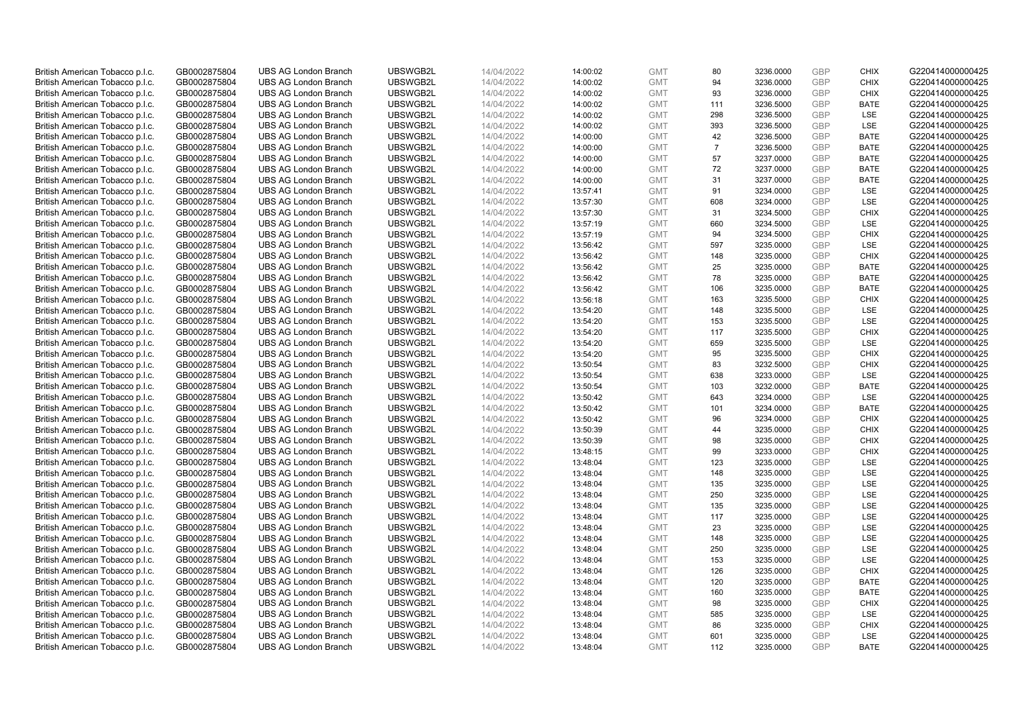| British American Tobacco p.l.c. | GB0002875804 | <b>UBS AG London Branch</b> | UBSWGB2L | 14/04/2022 | 14:00:02 | <b>GMT</b> | 80             | 3236.0000 | GBP        | <b>CHIX</b> | G220414000000425 |
|---------------------------------|--------------|-----------------------------|----------|------------|----------|------------|----------------|-----------|------------|-------------|------------------|
| British American Tobacco p.l.c. | GB0002875804 | <b>UBS AG London Branch</b> | UBSWGB2L | 14/04/2022 | 14:00:02 | <b>GMT</b> | 94             | 3236.0000 | <b>GBP</b> | <b>CHIX</b> | G220414000000425 |
| British American Tobacco p.l.c. | GB0002875804 | <b>UBS AG London Branch</b> | UBSWGB2L | 14/04/2022 | 14:00:02 | <b>GMT</b> | 93             | 3236.0000 | GBP        | <b>CHIX</b> | G220414000000425 |
| British American Tobacco p.l.c. | GB0002875804 | <b>UBS AG London Branch</b> | UBSWGB2L | 14/04/2022 | 14:00:02 | <b>GMT</b> | 111            | 3236.5000 | <b>GBP</b> | <b>BATE</b> | G220414000000425 |
| British American Tobacco p.l.c. | GB0002875804 | <b>UBS AG London Branch</b> | UBSWGB2L | 14/04/2022 | 14:00:02 | <b>GMT</b> | 298            | 3236.5000 | GBP        | LSE         | G220414000000425 |
| British American Tobacco p.l.c. | GB0002875804 | <b>UBS AG London Branch</b> | UBSWGB2L | 14/04/2022 | 14:00:02 | <b>GMT</b> | 393            | 3236.5000 | <b>GBP</b> | LSE         | G220414000000425 |
| British American Tobacco p.l.c. | GB0002875804 | <b>UBS AG London Branch</b> | UBSWGB2L | 14/04/2022 | 14:00:00 | <b>GMT</b> | 42             | 3236.5000 | GBP        | <b>BATE</b> | G220414000000425 |
| British American Tobacco p.l.c. | GB0002875804 | <b>UBS AG London Branch</b> | UBSWGB2L | 14/04/2022 | 14:00:00 | <b>GMT</b> | $\overline{7}$ | 3236.5000 | <b>GBP</b> | <b>BATE</b> | G220414000000425 |
| British American Tobacco p.l.c. | GB0002875804 | <b>UBS AG London Branch</b> | UBSWGB2L | 14/04/2022 | 14:00:00 | <b>GMT</b> | 57             | 3237.0000 | GBP        | <b>BATE</b> | G220414000000425 |
| British American Tobacco p.l.c. | GB0002875804 | <b>UBS AG London Branch</b> | UBSWGB2L | 14/04/2022 | 14:00:00 | <b>GMT</b> | 72             | 3237.0000 | <b>GBP</b> | <b>BATE</b> | G220414000000425 |
| British American Tobacco p.l.c. | GB0002875804 | <b>UBS AG London Branch</b> | UBSWGB2L | 14/04/2022 | 14:00:00 | <b>GMT</b> | 31             | 3237.0000 | GBP        | <b>BATE</b> | G220414000000425 |
| British American Tobacco p.l.c. | GB0002875804 | <b>UBS AG London Branch</b> | UBSWGB2L | 14/04/2022 | 13:57:41 | <b>GMT</b> | 91             | 3234.0000 | <b>GBP</b> | LSE         | G220414000000425 |
| British American Tobacco p.l.c. | GB0002875804 | <b>UBS AG London Branch</b> | UBSWGB2L | 14/04/2022 | 13:57:30 | <b>GMT</b> | 608            | 3234.0000 | <b>GBP</b> | LSE         | G220414000000425 |
| British American Tobacco p.l.c. | GB0002875804 | <b>UBS AG London Branch</b> | UBSWGB2L | 14/04/2022 | 13:57:30 | <b>GMT</b> | 31             | 3234.5000 | GBP        | <b>CHIX</b> | G220414000000425 |
| British American Tobacco p.l.c. | GB0002875804 | <b>UBS AG London Branch</b> | UBSWGB2L | 14/04/2022 | 13:57:19 | <b>GMT</b> | 660            | 3234.5000 | <b>GBP</b> | <b>LSE</b>  | G220414000000425 |
| British American Tobacco p.l.c. | GB0002875804 | <b>UBS AG London Branch</b> | UBSWGB2L | 14/04/2022 | 13:57:19 | <b>GMT</b> | 94             | 3234.5000 | GBP        | <b>CHIX</b> | G220414000000425 |
| British American Tobacco p.l.c. | GB0002875804 | <b>UBS AG London Branch</b> | UBSWGB2L | 14/04/2022 | 13:56:42 | <b>GMT</b> | 597            | 3235.0000 | <b>GBP</b> | <b>LSE</b>  | G220414000000425 |
| British American Tobacco p.l.c. | GB0002875804 | <b>UBS AG London Branch</b> | UBSWGB2L | 14/04/2022 | 13:56:42 | <b>GMT</b> | 148            | 3235.0000 | GBP        | <b>CHIX</b> | G220414000000425 |
| British American Tobacco p.l.c. | GB0002875804 | <b>UBS AG London Branch</b> | UBSWGB2L | 14/04/2022 | 13:56:42 | <b>GMT</b> | 25             | 3235.0000 | <b>GBP</b> | <b>BATE</b> | G220414000000425 |
| British American Tobacco p.l.c. | GB0002875804 | <b>UBS AG London Branch</b> | UBSWGB2L | 14/04/2022 | 13:56:42 | <b>GMT</b> | 78             | 3235.0000 | GBP        | <b>BATE</b> | G220414000000425 |
| British American Tobacco p.l.c. | GB0002875804 | <b>UBS AG London Branch</b> | UBSWGB2L | 14/04/2022 | 13:56:42 | <b>GMT</b> | 106            | 3235.0000 | GBP        | <b>BATE</b> | G220414000000425 |
| British American Tobacco p.l.c. | GB0002875804 | <b>UBS AG London Branch</b> | UBSWGB2L | 14/04/2022 | 13:56:18 | <b>GMT</b> | 163            | 3235.5000 | GBP        | <b>CHIX</b> | G220414000000425 |
| British American Tobacco p.l.c. | GB0002875804 | <b>UBS AG London Branch</b> | UBSWGB2L | 14/04/2022 | 13:54:20 | <b>GMT</b> | 148            | 3235.5000 | <b>GBP</b> | LSE         | G220414000000425 |
| British American Tobacco p.l.c. | GB0002875804 | <b>UBS AG London Branch</b> | UBSWGB2L | 14/04/2022 | 13:54:20 | <b>GMT</b> | 153            | 3235.5000 | GBP        | <b>LSE</b>  | G220414000000425 |
| British American Tobacco p.l.c. | GB0002875804 | <b>UBS AG London Branch</b> | UBSWGB2L | 14/04/2022 | 13:54:20 | <b>GMT</b> | 117            | 3235.5000 | <b>GBP</b> | <b>CHIX</b> | G220414000000425 |
| British American Tobacco p.l.c. | GB0002875804 | <b>UBS AG London Branch</b> | UBSWGB2L | 14/04/2022 | 13:54:20 | <b>GMT</b> | 659            | 3235.5000 | <b>GBP</b> | <b>LSE</b>  | G220414000000425 |
| British American Tobacco p.l.c. | GB0002875804 | <b>UBS AG London Branch</b> | UBSWGB2L | 14/04/2022 | 13:54:20 | <b>GMT</b> | 95             | 3235.5000 | GBP        | <b>CHIX</b> | G220414000000425 |
| British American Tobacco p.l.c. | GB0002875804 | <b>UBS AG London Branch</b> | UBSWGB2L | 14/04/2022 | 13:50:54 | <b>GMT</b> | 83             | 3232.5000 | <b>GBP</b> | <b>CHIX</b> | G220414000000425 |
| British American Tobacco p.l.c. | GB0002875804 | <b>UBS AG London Branch</b> | UBSWGB2L | 14/04/2022 | 13:50:54 | <b>GMT</b> | 638            | 3233.0000 | GBP        | LSE         | G220414000000425 |
| British American Tobacco p.l.c. | GB0002875804 | <b>UBS AG London Branch</b> | UBSWGB2L | 14/04/2022 | 13:50:54 | <b>GMT</b> | 103            | 3232.0000 | <b>GBP</b> | <b>BATE</b> | G220414000000425 |
| British American Tobacco p.l.c. | GB0002875804 | <b>UBS AG London Branch</b> | UBSWGB2L | 14/04/2022 | 13:50:42 | <b>GMT</b> | 643            | 3234.0000 | GBP        | LSE         | G220414000000425 |
| British American Tobacco p.l.c. | GB0002875804 | <b>UBS AG London Branch</b> | UBSWGB2L | 14/04/2022 | 13:50:42 | <b>GMT</b> | 101            | 3234.0000 | <b>GBP</b> | <b>BATE</b> | G220414000000425 |
| British American Tobacco p.l.c. | GB0002875804 | <b>UBS AG London Branch</b> | UBSWGB2L | 14/04/2022 | 13:50:42 | <b>GMT</b> | 96             | 3234.0000 | GBP        | <b>CHIX</b> | G220414000000425 |
| British American Tobacco p.l.c. | GB0002875804 | <b>UBS AG London Branch</b> | UBSWGB2L | 14/04/2022 | 13:50:39 | <b>GMT</b> | 44             | 3235.0000 | GBP        | <b>CHIX</b> | G220414000000425 |
| British American Tobacco p.l.c. | GB0002875804 | <b>UBS AG London Branch</b> | UBSWGB2L | 14/04/2022 | 13:50:39 | <b>GMT</b> | 98             | 3235.0000 | <b>GBP</b> | <b>CHIX</b> | G220414000000425 |
| British American Tobacco p.l.c. | GB0002875804 | <b>UBS AG London Branch</b> | UBSWGB2L | 14/04/2022 | 13:48:15 | <b>GMT</b> | 99             | 3233.0000 | <b>GBP</b> | <b>CHIX</b> | G220414000000425 |
| British American Tobacco p.l.c. | GB0002875804 | <b>UBS AG London Branch</b> | UBSWGB2L | 14/04/2022 | 13:48:04 | <b>GMT</b> | 123            | 3235.0000 | GBP        | <b>LSE</b>  | G220414000000425 |
| British American Tobacco p.l.c. | GB0002875804 | <b>UBS AG London Branch</b> | UBSWGB2L | 14/04/2022 | 13:48:04 | <b>GMT</b> | 148            | 3235.0000 | <b>GBP</b> | LSE         | G220414000000425 |
| British American Tobacco p.l.c. | GB0002875804 | <b>UBS AG London Branch</b> | UBSWGB2L | 14/04/2022 | 13:48:04 | <b>GMT</b> | 135            | 3235.0000 | <b>GBP</b> | LSE         | G220414000000425 |
| British American Tobacco p.l.c. | GB0002875804 | <b>UBS AG London Branch</b> | UBSWGB2L | 14/04/2022 | 13:48:04 | <b>GMT</b> | 250            | 3235.0000 | GBP        | LSE         | G220414000000425 |
| British American Tobacco p.l.c. | GB0002875804 | <b>UBS AG London Branch</b> | UBSWGB2L | 14/04/2022 | 13:48:04 | <b>GMT</b> | 135            | 3235.0000 | <b>GBP</b> | <b>LSE</b>  | G220414000000425 |
| British American Tobacco p.l.c. | GB0002875804 | <b>UBS AG London Branch</b> | UBSWGB2L | 14/04/2022 | 13:48:04 | <b>GMT</b> | 117            | 3235.0000 | GBP        | LSE         | G220414000000425 |
| British American Tobacco p.l.c. | GB0002875804 | <b>UBS AG London Branch</b> | UBSWGB2L | 14/04/2022 | 13:48:04 | <b>GMT</b> | 23             | 3235.0000 | <b>GBP</b> | LSE         | G220414000000425 |
| British American Tobacco p.l.c. | GB0002875804 | <b>UBS AG London Branch</b> | UBSWGB2L | 14/04/2022 | 13:48:04 | <b>GMT</b> | 148            | 3235.0000 | GBP        | LSE         | G220414000000425 |
| British American Tobacco p.l.c. | GB0002875804 | <b>UBS AG London Branch</b> | UBSWGB2L | 14/04/2022 | 13:48:04 | <b>GMT</b> | 250            | 3235.0000 | <b>GBP</b> | <b>LSE</b>  | G220414000000425 |
| British American Tobacco p.l.c. | GB0002875804 | <b>UBS AG London Branch</b> | UBSWGB2L | 14/04/2022 | 13:48:04 | <b>GMT</b> | 153            | 3235.0000 | GBP        | LSE         | G220414000000425 |
| British American Tobacco p.l.c. | GB0002875804 | <b>UBS AG London Branch</b> | UBSWGB2L | 14/04/2022 | 13:48:04 | <b>GMT</b> | 126            | 3235.0000 | GBP        | <b>CHIX</b> | G220414000000425 |
| British American Tobacco p.l.c. | GB0002875804 | <b>UBS AG London Branch</b> | UBSWGB2L | 14/04/2022 | 13:48:04 | <b>GMT</b> | 120            | 3235.0000 | <b>GBP</b> | <b>BATE</b> | G220414000000425 |
| British American Tobacco p.l.c. | GB0002875804 | <b>UBS AG London Branch</b> | UBSWGB2L | 14/04/2022 | 13:48:04 | <b>GMT</b> | 160            | 3235.0000 | GBP        | <b>BATE</b> | G220414000000425 |
| British American Tobacco p.l.c. | GB0002875804 | <b>UBS AG London Branch</b> | UBSWGB2L | 14/04/2022 | 13:48:04 | <b>GMT</b> | 98             | 3235.0000 | GBP        | <b>CHIX</b> | G220414000000425 |
| British American Tobacco p.l.c. | GB0002875804 | <b>UBS AG London Branch</b> | UBSWGB2L | 14/04/2022 | 13:48:04 | <b>GMT</b> | 585            | 3235.0000 | <b>GBP</b> | LSE         | G220414000000425 |
| British American Tobacco p.l.c. | GB0002875804 | <b>UBS AG London Branch</b> | UBSWGB2L | 14/04/2022 | 13:48:04 | <b>GMT</b> | 86             | 3235.0000 | <b>GBP</b> | <b>CHIX</b> | G220414000000425 |
| British American Tobacco p.l.c. | GB0002875804 | <b>UBS AG London Branch</b> | UBSWGB2L | 14/04/2022 | 13:48:04 | <b>GMT</b> | 601            | 3235.0000 | GBP        | LSE         | G220414000000425 |
| British American Tobacco p.l.c. | GB0002875804 | <b>UBS AG London Branch</b> | UBSWGB2L | 14/04/2022 | 13:48:04 | <b>GMT</b> | 112            | 3235.0000 | <b>GBP</b> | <b>BATE</b> | G220414000000425 |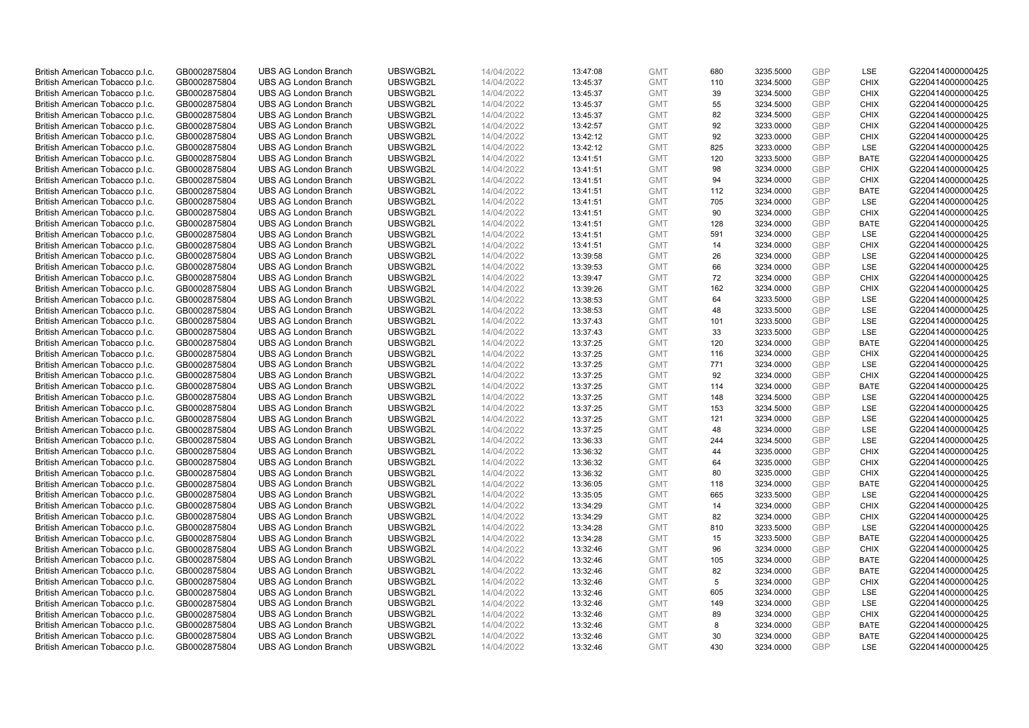| British American Tobacco p.l.c.                                    | GB0002875804                 | <b>UBS AG London Branch</b>                                | UBSWGB2L             | 14/04/2022               | 13:47:08             | <b>GMT</b>               | 680        | 3235.5000              | GBP               | LSE                        | G220414000000425                     |
|--------------------------------------------------------------------|------------------------------|------------------------------------------------------------|----------------------|--------------------------|----------------------|--------------------------|------------|------------------------|-------------------|----------------------------|--------------------------------------|
| British American Tobacco p.l.c.                                    | GB0002875804                 | <b>UBS AG London Branch</b>                                | UBSWGB2L             | 14/04/2022               | 13:45:37             | <b>GMT</b>               | 110        | 3234.5000              | <b>GBP</b>        | <b>CHIX</b>                | G220414000000425                     |
| British American Tobacco p.l.c.                                    | GB0002875804                 | <b>UBS AG London Branch</b>                                | UBSWGB2L             | 14/04/2022               | 13:45:37             | <b>GMT</b>               | 39         | 3234.5000              | GBP               | <b>CHIX</b>                | G220414000000425                     |
| British American Tobacco p.l.c.                                    | GB0002875804                 | <b>UBS AG London Branch</b>                                | UBSWGB2L             | 14/04/2022               | 13:45:37             | <b>GMT</b>               | 55         | 3234.5000              | <b>GBP</b>        | <b>CHIX</b>                | G220414000000425                     |
| British American Tobacco p.l.c.                                    | GB0002875804                 | <b>UBS AG London Branch</b>                                | UBSWGB2L             | 14/04/2022               | 13:45:37             | <b>GMT</b>               | 82         | 3234.5000              | GBP               | <b>CHIX</b>                | G220414000000425                     |
| British American Tobacco p.l.c.                                    | GB0002875804                 | <b>UBS AG London Branch</b>                                | UBSWGB2L             | 14/04/2022               | 13:42:57             | <b>GMT</b>               | 92         | 3233.0000              | <b>GBP</b>        | <b>CHIX</b>                | G220414000000425                     |
| British American Tobacco p.l.c.                                    | GB0002875804                 | <b>UBS AG London Branch</b>                                | UBSWGB2L             | 14/04/2022               | 13:42:12             | <b>GMT</b>               | 92         | 3233.0000              | GBP               | <b>CHIX</b>                | G220414000000425                     |
| British American Tobacco p.l.c.                                    | GB0002875804                 | <b>UBS AG London Branch</b>                                | UBSWGB2L             | 14/04/2022               | 13:42:12             | <b>GMT</b>               | 825        | 3233.0000              | <b>GBP</b>        | LSE                        | G220414000000425                     |
| British American Tobacco p.l.c.                                    | GB0002875804                 | <b>UBS AG London Branch</b>                                | UBSWGB2L             | 14/04/2022               | 13:41:51             | <b>GMT</b>               | 120        | 3233.5000              | <b>GBP</b>        | <b>BATE</b>                | G220414000000425                     |
| British American Tobacco p.l.c.                                    | GB0002875804                 | <b>UBS AG London Branch</b>                                | UBSWGB2L             | 14/04/2022               | 13:41:51             | <b>GMT</b>               | 98         | 3234.0000              | <b>GBP</b>        | <b>CHIX</b>                | G220414000000425                     |
| British American Tobacco p.l.c.                                    | GB0002875804                 | <b>UBS AG London Branch</b>                                | UBSWGB2L             | 14/04/2022               | 13:41:51             | <b>GMT</b>               | 94         | 3234.0000              | GBP               | <b>CHIX</b>                | G220414000000425                     |
| British American Tobacco p.l.c.                                    | GB0002875804                 | <b>UBS AG London Branch</b>                                | UBSWGB2L             | 14/04/2022               | 13:41:51             | <b>GMT</b>               | 112        | 3234.0000              | <b>GBP</b>        | <b>BATE</b>                | G220414000000425                     |
| British American Tobacco p.l.c.                                    | GB0002875804                 | <b>UBS AG London Branch</b>                                | UBSWGB2L             | 14/04/2022               | 13:41:51             | <b>GMT</b>               | 705        | 3234.0000              | <b>GBP</b>        | LSE                        | G220414000000425                     |
| British American Tobacco p.l.c.                                    | GB0002875804                 | <b>UBS AG London Branch</b>                                | UBSWGB2L             | 14/04/2022               | 13:41:51             | <b>GMT</b>               | 90         | 3234.0000              | GBP               | <b>CHIX</b>                | G220414000000425                     |
| British American Tobacco p.l.c.                                    | GB0002875804                 | <b>UBS AG London Branch</b>                                | UBSWGB2L             | 14/04/2022               | 13:41:51             | <b>GMT</b>               | 128        | 3234.0000              | <b>GBP</b>        | <b>BATE</b>                | G220414000000425                     |
| British American Tobacco p.l.c.                                    | GB0002875804                 | <b>UBS AG London Branch</b>                                | UBSWGB2L             | 14/04/2022               | 13:41:51             | <b>GMT</b>               | 591        | 3234.0000              | GBP               | LSE                        | G220414000000425                     |
| British American Tobacco p.l.c.                                    | GB0002875804                 | <b>UBS AG London Branch</b>                                | UBSWGB2L             | 14/04/2022               | 13:41:51             | <b>GMT</b>               | 14         | 3234.0000              | <b>GBP</b>        | <b>CHIX</b>                | G220414000000425                     |
| British American Tobacco p.l.c.                                    | GB0002875804                 | <b>UBS AG London Branch</b>                                | UBSWGB2L             | 14/04/2022               | 13:39:58             | <b>GMT</b>               | 26         | 3234.0000              | GBP               | LSE                        | G220414000000425                     |
| British American Tobacco p.l.c.                                    | GB0002875804                 | <b>UBS AG London Branch</b>                                | UBSWGB2L             | 14/04/2022               | 13:39:53             | <b>GMT</b>               | 66         | 3234.0000              | <b>GBP</b>        | <b>LSE</b>                 | G220414000000425                     |
| British American Tobacco p.l.c.                                    | GB0002875804                 | <b>UBS AG London Branch</b>                                | UBSWGB2L             | 14/04/2022               | 13:39:47             | <b>GMT</b>               | 72         | 3234.0000              | GBP               | <b>CHIX</b>                | G220414000000425                     |
| British American Tobacco p.l.c.                                    | GB0002875804                 | <b>UBS AG London Branch</b>                                | UBSWGB2L             | 14/04/2022               | 13:39:26             | <b>GMT</b>               | 162        | 3234.0000              | <b>GBP</b>        | <b>CHIX</b>                | G220414000000425                     |
| British American Tobacco p.l.c.                                    | GB0002875804                 | <b>UBS AG London Branch</b>                                | UBSWGB2L             | 14/04/2022               | 13:38:53             | <b>GMT</b>               | 64         | 3233.5000              | GBP               | LSE                        | G220414000000425                     |
| British American Tobacco p.l.c.                                    | GB0002875804                 | <b>UBS AG London Branch</b>                                | UBSWGB2L             | 14/04/2022               | 13:38:53             | <b>GMT</b>               | 48         | 3233.5000              | <b>GBP</b>        | LSE                        | G220414000000425                     |
| British American Tobacco p.l.c.                                    | GB0002875804                 | <b>UBS AG London Branch</b>                                | UBSWGB2L             | 14/04/2022               | 13:37:43             | <b>GMT</b>               | 101        | 3233.5000              | GBP               | LSE                        | G220414000000425                     |
| British American Tobacco p.l.c.                                    | GB0002875804                 | <b>UBS AG London Branch</b>                                | UBSWGB2L             | 14/04/2022               | 13:37:43             | <b>GMT</b>               | 33         | 3233.5000              | <b>GBP</b>        | LSE                        | G220414000000425                     |
| British American Tobacco p.l.c.                                    | GB0002875804                 | <b>UBS AG London Branch</b>                                | UBSWGB2L             | 14/04/2022               | 13:37:25             | <b>GMT</b>               | 120        | 3234.0000              | <b>GBP</b>        | <b>BATE</b>                | G220414000000425                     |
| British American Tobacco p.l.c.                                    | GB0002875804                 | <b>UBS AG London Branch</b>                                | UBSWGB2L             | 14/04/2022               | 13:37:25             | <b>GMT</b>               | 116        | 3234.0000              | GBP               | <b>CHIX</b>                | G220414000000425                     |
| British American Tobacco p.l.c.                                    | GB0002875804                 | <b>UBS AG London Branch</b>                                | UBSWGB2L             | 14/04/2022               | 13:37:25             | <b>GMT</b>               | 771        | 3234.0000              | <b>GBP</b>        | LSE                        | G220414000000425                     |
| British American Tobacco p.l.c.                                    | GB0002875804                 | <b>UBS AG London Branch</b>                                | UBSWGB2L             | 14/04/2022               | 13:37:25             | <b>GMT</b>               | 92         | 3234.0000              | GBP               | <b>CHIX</b>                | G220414000000425                     |
| British American Tobacco p.l.c.                                    | GB0002875804                 | <b>UBS AG London Branch</b>                                | UBSWGB2L             | 14/04/2022               | 13:37:25             | <b>GMT</b>               | 114        | 3234.0000              | <b>GBP</b>        | <b>BATE</b>                | G220414000000425                     |
| British American Tobacco p.l.c.                                    | GB0002875804                 | <b>UBS AG London Branch</b>                                | UBSWGB2L             | 14/04/2022               | 13:37:25             | <b>GMT</b>               | 148        | 3234.5000              | GBP               | LSE                        | G220414000000425                     |
| British American Tobacco p.l.c.                                    | GB0002875804                 | <b>UBS AG London Branch</b>                                | UBSWGB2L             | 14/04/2022               | 13:37:25             | <b>GMT</b>               | 153        | 3234.5000              | <b>GBP</b>        | <b>LSE</b>                 | G220414000000425                     |
| British American Tobacco p.l.c.                                    | GB0002875804                 | <b>UBS AG London Branch</b>                                | UBSWGB2L             | 14/04/2022               | 13:37:25             | <b>GMT</b>               | 121        | 3234.0000              | GBP               | LSE                        | G220414000000425                     |
| British American Tobacco p.l.c.                                    | GB0002875804                 | <b>UBS AG London Branch</b>                                | UBSWGB2L             | 14/04/2022               | 13:37:25             | <b>GMT</b>               | 48         | 3234.0000              | GBP               | <b>LSE</b>                 | G220414000000425                     |
| British American Tobacco p.l.c.                                    | GB0002875804                 | <b>UBS AG London Branch</b>                                | UBSWGB2L             | 14/04/2022               | 13:36:33             | <b>GMT</b>               | 244        | 3234.5000              | <b>GBP</b>        | LSE                        | G220414000000425                     |
| British American Tobacco p.l.c.                                    | GB0002875804                 | <b>UBS AG London Branch</b>                                | UBSWGB2L             | 14/04/2022               | 13:36:32             | <b>GMT</b>               | 44         | 3235.0000              | <b>GBP</b>        | <b>CHIX</b>                | G220414000000425                     |
| British American Tobacco p.l.c.                                    | GB0002875804                 | <b>UBS AG London Branch</b>                                | UBSWGB2L             | 14/04/2022               | 13:36:32             | <b>GMT</b>               | 64         | 3235.0000              | GBP               | <b>CHIX</b>                | G220414000000425                     |
| British American Tobacco p.l.c.                                    | GB0002875804                 | <b>UBS AG London Branch</b>                                | UBSWGB2L             | 14/04/2022               | 13:36:32             | <b>GMT</b>               | 80         | 3235.0000              | <b>GBP</b>        | <b>CHIX</b>                | G220414000000425                     |
| British American Tobacco p.l.c.                                    | GB0002875804                 | <b>UBS AG London Branch</b>                                | UBSWGB2L             | 14/04/2022               | 13:36:05             | <b>GMT</b>               | 118        | 3234.0000              | <b>GBP</b>        | <b>BATE</b>                | G220414000000425                     |
| British American Tobacco p.l.c.                                    | GB0002875804                 | <b>UBS AG London Branch</b>                                | UBSWGB2L             | 14/04/2022               | 13:35:05             | <b>GMT</b>               | 665        | 3233.5000              | GBP               | LSE                        | G220414000000425                     |
| British American Tobacco p.l.c.                                    | GB0002875804                 | <b>UBS AG London Branch</b>                                | UBSWGB2L             | 14/04/2022               | 13:34:29             | <b>GMT</b>               | 14         | 3234.0000              | <b>GBP</b>        | <b>CHIX</b>                | G220414000000425                     |
| British American Tobacco p.l.c.                                    | GB0002875804                 | <b>UBS AG London Branch</b>                                | UBSWGB2L             | 14/04/2022               | 13:34:29             | <b>GMT</b>               | 82         | 3234.0000              | GBP               | <b>CHIX</b>                | G220414000000425                     |
| British American Tobacco p.l.c.                                    | GB0002875804                 | <b>UBS AG London Branch</b>                                | UBSWGB2L             | 14/04/2022               | 13:34:28             | <b>GMT</b>               | 810        | 3233.5000              | GBP               | LSE                        | G220414000000425                     |
| British American Tobacco p.l.c.                                    | GB0002875804                 | <b>UBS AG London Branch</b>                                | UBSWGB2L<br>UBSWGB2L | 14/04/2022               | 13:34:28             | <b>GMT</b>               | 15         | 3233.5000              | GBP               | <b>BATE</b>                | G220414000000425                     |
| British American Tobacco p.l.c.                                    | GB0002875804<br>GB0002875804 | <b>UBS AG London Branch</b><br><b>UBS AG London Branch</b> | UBSWGB2L             | 14/04/2022<br>14/04/2022 | 13:32:46             | <b>GMT</b><br><b>GMT</b> | 96         | 3234.0000              | GBP<br>GBP        | <b>CHIX</b><br><b>BATE</b> | G220414000000425<br>G220414000000425 |
| British American Tobacco p.l.c.                                    |                              |                                                            |                      |                          | 13:32:46             |                          | 105<br>82  | 3234.0000              |                   |                            |                                      |
| British American Tobacco p.l.c.<br>British American Tobacco p.l.c. | GB0002875804<br>GB0002875804 | <b>UBS AG London Branch</b><br><b>UBS AG London Branch</b> | UBSWGB2L<br>UBSWGB2L | 14/04/2022<br>14/04/2022 | 13:32:46<br>13:32:46 | <b>GMT</b><br><b>GMT</b> | 5          | 3234.0000<br>3234.0000 | GBP<br><b>GBP</b> | <b>BATE</b><br><b>CHIX</b> | G220414000000425<br>G220414000000425 |
|                                                                    |                              |                                                            |                      |                          |                      |                          |            |                        | <b>GBP</b>        |                            |                                      |
| British American Tobacco p.l.c.<br>British American Tobacco p.l.c. | GB0002875804<br>GB0002875804 | <b>UBS AG London Branch</b><br><b>UBS AG London Branch</b> | UBSWGB2L<br>UBSWGB2L | 14/04/2022<br>14/04/2022 | 13:32:46             | <b>GMT</b><br><b>GMT</b> | 605<br>149 | 3234.0000<br>3234.0000 | GBP               | LSE<br><b>LSE</b>          | G220414000000425<br>G220414000000425 |
| British American Tobacco p.l.c.                                    | GB0002875804                 | <b>UBS AG London Branch</b>                                | UBSWGB2L             | 14/04/2022               | 13:32:46<br>13:32:46 | <b>GMT</b>               | 89         | 3234.0000              | <b>GBP</b>        | <b>CHIX</b>                | G220414000000425                     |
| British American Tobacco p.l.c.                                    | GB0002875804                 | <b>UBS AG London Branch</b>                                | UBSWGB2L             | 14/04/2022               | 13:32:46             | <b>GMT</b>               | 8          | 3234.0000              | <b>GBP</b>        | <b>BATE</b>                | G220414000000425                     |
| British American Tobacco p.l.c.                                    | GB0002875804                 | <b>UBS AG London Branch</b>                                | UBSWGB2L             | 14/04/2022               | 13:32:46             | <b>GMT</b>               | 30         | 3234.0000              | GBP               | <b>BATE</b>                | G220414000000425                     |
| British American Tobacco p.l.c.                                    | GB0002875804                 | <b>UBS AG London Branch</b>                                | UBSWGB2L             | 14/04/2022               | 13:32:46             | <b>GMT</b>               | 430        | 3234.0000              | <b>GBP</b>        | <b>LSE</b>                 | G220414000000425                     |
|                                                                    |                              |                                                            |                      |                          |                      |                          |            |                        |                   |                            |                                      |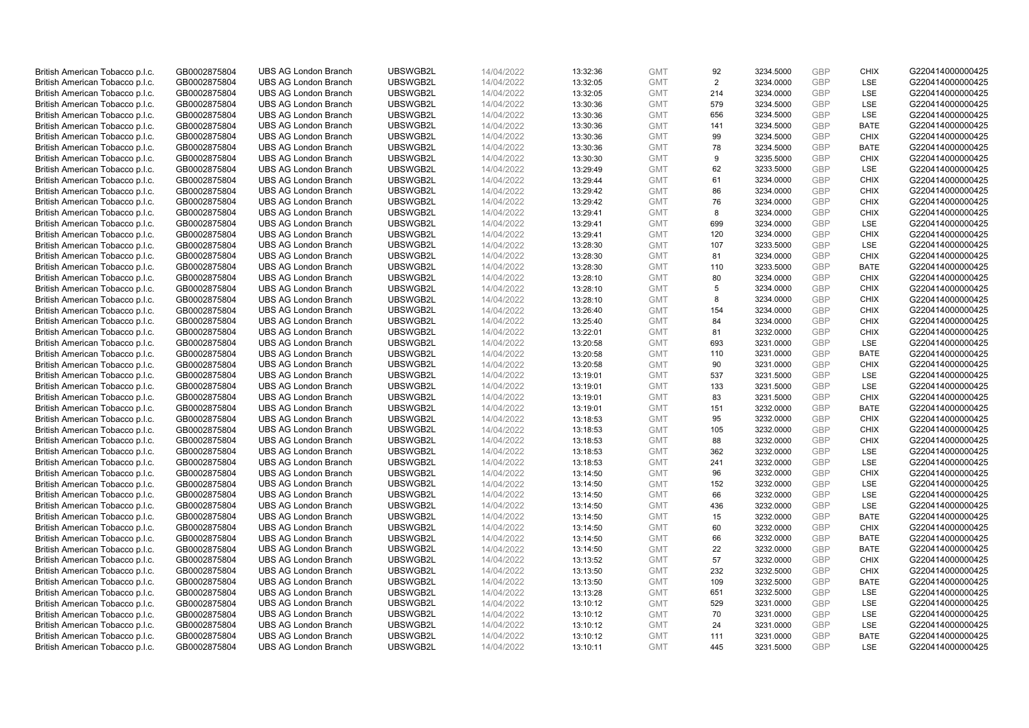| British American Tobacco p.l.c. | GB0002875804 | <b>UBS AG London Branch</b> | UBSWGB2L | 14/04/2022 | 13:32:36 | <b>GMT</b> | 92  | 3234.5000 | GBP        | <b>CHIX</b> | G220414000000425 |
|---------------------------------|--------------|-----------------------------|----------|------------|----------|------------|-----|-----------|------------|-------------|------------------|
| British American Tobacco p.l.c. | GB0002875804 | <b>UBS AG London Branch</b> | UBSWGB2L | 14/04/2022 | 13:32:05 | <b>GMT</b> | 2   | 3234.0000 | <b>GBP</b> | <b>LSE</b>  | G220414000000425 |
| British American Tobacco p.l.c. | GB0002875804 | <b>UBS AG London Branch</b> | UBSWGB2L | 14/04/2022 | 13:32:05 | <b>GMT</b> | 214 | 3234.0000 | GBP        | LSE         | G220414000000425 |
| British American Tobacco p.l.c. | GB0002875804 | <b>UBS AG London Branch</b> | UBSWGB2L | 14/04/2022 | 13:30:36 | <b>GMT</b> | 579 | 3234.5000 | <b>GBP</b> | LSE         | G220414000000425 |
| British American Tobacco p.l.c. | GB0002875804 | <b>UBS AG London Branch</b> | UBSWGB2L | 14/04/2022 | 13:30:36 | <b>GMT</b> | 656 | 3234.5000 | GBP        | LSE         | G220414000000425 |
| British American Tobacco p.l.c. | GB0002875804 | <b>UBS AG London Branch</b> | UBSWGB2L | 14/04/2022 | 13:30:36 | <b>GMT</b> | 141 | 3234.5000 | <b>GBP</b> | <b>BATE</b> | G220414000000425 |
| British American Tobacco p.l.c. | GB0002875804 | <b>UBS AG London Branch</b> | UBSWGB2L | 14/04/2022 | 13:30:36 | <b>GMT</b> | 99  | 3234.5000 | GBP        | <b>CHIX</b> | G220414000000425 |
| British American Tobacco p.l.c. | GB0002875804 | <b>UBS AG London Branch</b> | UBSWGB2L | 14/04/2022 | 13:30:36 | <b>GMT</b> | 78  | 3234.5000 | <b>GBP</b> | <b>BATE</b> | G220414000000425 |
| British American Tobacco p.l.c. | GB0002875804 | <b>UBS AG London Branch</b> | UBSWGB2L | 14/04/2022 | 13:30:30 | <b>GMT</b> | 9   | 3235.5000 | GBP        | <b>CHIX</b> | G220414000000425 |
| British American Tobacco p.l.c. | GB0002875804 | <b>UBS AG London Branch</b> | UBSWGB2L | 14/04/2022 | 13:29:49 | <b>GMT</b> | 62  | 3233.5000 | <b>GBP</b> | LSE         | G220414000000425 |
| British American Tobacco p.l.c. | GB0002875804 | <b>UBS AG London Branch</b> | UBSWGB2L | 14/04/2022 | 13:29:44 | <b>GMT</b> | 61  | 3234.0000 | GBP        | <b>CHIX</b> | G220414000000425 |
| British American Tobacco p.l.c. | GB0002875804 | <b>UBS AG London Branch</b> | UBSWGB2L | 14/04/2022 | 13:29:42 | <b>GMT</b> | 86  | 3234.0000 | <b>GBP</b> | <b>CHIX</b> | G220414000000425 |
| British American Tobacco p.l.c. | GB0002875804 | <b>UBS AG London Branch</b> | UBSWGB2L | 14/04/2022 | 13:29:42 | <b>GMT</b> | 76  | 3234.0000 | <b>GBP</b> | <b>CHIX</b> | G220414000000425 |
| British American Tobacco p.l.c. | GB0002875804 | <b>UBS AG London Branch</b> | UBSWGB2L | 14/04/2022 | 13:29:41 | <b>GMT</b> | 8   | 3234.0000 | GBP        | <b>CHIX</b> | G220414000000425 |
| British American Tobacco p.l.c. | GB0002875804 | <b>UBS AG London Branch</b> | UBSWGB2L | 14/04/2022 | 13:29:41 | <b>GMT</b> | 699 | 3234.0000 | <b>GBP</b> | <b>LSE</b>  | G220414000000425 |
| British American Tobacco p.l.c. | GB0002875804 | <b>UBS AG London Branch</b> | UBSWGB2L | 14/04/2022 | 13:29:41 | <b>GMT</b> | 120 | 3234.0000 | GBP        | <b>CHIX</b> | G220414000000425 |
| British American Tobacco p.l.c. | GB0002875804 | <b>UBS AG London Branch</b> | UBSWGB2L | 14/04/2022 | 13:28:30 | <b>GMT</b> | 107 | 3233.5000 | <b>GBP</b> | <b>LSE</b>  | G220414000000425 |
| British American Tobacco p.l.c. | GB0002875804 | <b>UBS AG London Branch</b> | UBSWGB2L | 14/04/2022 | 13:28:30 | <b>GMT</b> | 81  | 3234.0000 | GBP        | <b>CHIX</b> | G220414000000425 |
| British American Tobacco p.l.c. | GB0002875804 | <b>UBS AG London Branch</b> | UBSWGB2L | 14/04/2022 | 13:28:30 | <b>GMT</b> | 110 | 3233.5000 | <b>GBP</b> | <b>BATE</b> | G220414000000425 |
| British American Tobacco p.l.c. | GB0002875804 | <b>UBS AG London Branch</b> | UBSWGB2L | 14/04/2022 | 13:28:10 | <b>GMT</b> | 80  | 3234.0000 | GBP        | <b>CHIX</b> | G220414000000425 |
| British American Tobacco p.l.c. | GB0002875804 | <b>UBS AG London Branch</b> | UBSWGB2L | 14/04/2022 | 13:28:10 | <b>GMT</b> | 5   | 3234.0000 | GBP        | <b>CHIX</b> | G220414000000425 |
| British American Tobacco p.l.c. | GB0002875804 | <b>UBS AG London Branch</b> | UBSWGB2L | 14/04/2022 | 13:28:10 | <b>GMT</b> | 8   | 3234.0000 | GBP        | <b>CHIX</b> | G220414000000425 |
| British American Tobacco p.l.c. | GB0002875804 | <b>UBS AG London Branch</b> | UBSWGB2L | 14/04/2022 | 13:26:40 | <b>GMT</b> | 154 | 3234.0000 | <b>GBP</b> | <b>CHIX</b> | G220414000000425 |
| British American Tobacco p.l.c. | GB0002875804 | <b>UBS AG London Branch</b> | UBSWGB2L | 14/04/2022 | 13:25:40 | <b>GMT</b> | 84  | 3234.0000 | GBP        | <b>CHIX</b> | G220414000000425 |
| British American Tobacco p.l.c. | GB0002875804 | <b>UBS AG London Branch</b> | UBSWGB2L | 14/04/2022 | 13:22:01 | <b>GMT</b> | 81  | 3232.0000 | <b>GBP</b> | <b>CHIX</b> | G220414000000425 |
| British American Tobacco p.l.c. | GB0002875804 | <b>UBS AG London Branch</b> | UBSWGB2L | 14/04/2022 | 13:20:58 | <b>GMT</b> | 693 | 3231.0000 | <b>GBP</b> | LSE         | G220414000000425 |
| British American Tobacco p.l.c. | GB0002875804 | <b>UBS AG London Branch</b> | UBSWGB2L | 14/04/2022 | 13:20:58 | <b>GMT</b> | 110 | 3231.0000 | GBP        | <b>BATE</b> | G220414000000425 |
| British American Tobacco p.l.c. | GB0002875804 | <b>UBS AG London Branch</b> | UBSWGB2L | 14/04/2022 | 13:20:58 | <b>GMT</b> | 90  | 3231.0000 | <b>GBP</b> | <b>CHIX</b> | G220414000000425 |
| British American Tobacco p.l.c. | GB0002875804 | <b>UBS AG London Branch</b> | UBSWGB2L | 14/04/2022 | 13:19:01 | <b>GMT</b> | 537 | 3231.5000 | GBP        | LSE         | G220414000000425 |
| British American Tobacco p.l.c. | GB0002875804 | <b>UBS AG London Branch</b> | UBSWGB2L | 14/04/2022 | 13:19:01 | <b>GMT</b> | 133 | 3231.5000 | <b>GBP</b> | LSE         | G220414000000425 |
| British American Tobacco p.l.c. | GB0002875804 | <b>UBS AG London Branch</b> | UBSWGB2L | 14/04/2022 | 13:19:01 | <b>GMT</b> | 83  | 3231.5000 | GBP        | <b>CHIX</b> | G220414000000425 |
| British American Tobacco p.l.c. | GB0002875804 | <b>UBS AG London Branch</b> | UBSWGB2L | 14/04/2022 | 13:19:01 | <b>GMT</b> | 151 | 3232.0000 | <b>GBP</b> | <b>BATE</b> | G220414000000425 |
| British American Tobacco p.l.c. | GB0002875804 | <b>UBS AG London Branch</b> | UBSWGB2L | 14/04/2022 | 13:18:53 | <b>GMT</b> | 95  | 3232.0000 | GBP        | <b>CHIX</b> | G220414000000425 |
| British American Tobacco p.l.c. | GB0002875804 | <b>UBS AG London Branch</b> | UBSWGB2L | 14/04/2022 | 13:18:53 | <b>GMT</b> | 105 | 3232.0000 | GBP        | <b>CHIX</b> | G220414000000425 |
| British American Tobacco p.l.c. | GB0002875804 | <b>UBS AG London Branch</b> | UBSWGB2L | 14/04/2022 | 13:18:53 | <b>GMT</b> | 88  | 3232.0000 | GBP        | <b>CHIX</b> | G220414000000425 |
| British American Tobacco p.l.c. | GB0002875804 | <b>UBS AG London Branch</b> | UBSWGB2L | 14/04/2022 | 13:18:53 | <b>GMT</b> | 362 | 3232.0000 | <b>GBP</b> | LSE         | G220414000000425 |
| British American Tobacco p.l.c. | GB0002875804 | <b>UBS AG London Branch</b> | UBSWGB2L | 14/04/2022 | 13:18:53 | <b>GMT</b> | 241 | 3232.0000 | GBP        | <b>LSE</b>  | G220414000000425 |
| British American Tobacco p.l.c. | GB0002875804 | <b>UBS AG London Branch</b> | UBSWGB2L | 14/04/2022 | 13:14:50 | <b>GMT</b> | 96  | 3232.0000 | <b>GBP</b> | <b>CHIX</b> | G220414000000425 |
| British American Tobacco p.l.c. | GB0002875804 | <b>UBS AG London Branch</b> | UBSWGB2L | 14/04/2022 | 13:14:50 | <b>GMT</b> | 152 | 3232.0000 | <b>GBP</b> | LSE         | G220414000000425 |
| British American Tobacco p.l.c. | GB0002875804 | <b>UBS AG London Branch</b> | UBSWGB2L | 14/04/2022 | 13:14:50 | <b>GMT</b> | 66  | 3232.0000 | GBP        | LSE         | G220414000000425 |
| British American Tobacco p.l.c. | GB0002875804 | <b>UBS AG London Branch</b> | UBSWGB2L | 14/04/2022 | 13:14:50 | <b>GMT</b> | 436 | 3232.0000 | <b>GBP</b> | LSE         | G220414000000425 |
| British American Tobacco p.l.c. | GB0002875804 | <b>UBS AG London Branch</b> | UBSWGB2L | 14/04/2022 | 13:14:50 | <b>GMT</b> | 15  | 3232.0000 | GBP        | <b>BATE</b> | G220414000000425 |
| British American Tobacco p.l.c. | GB0002875804 | <b>UBS AG London Branch</b> | UBSWGB2L | 14/04/2022 | 13:14:50 | <b>GMT</b> | 60  | 3232.0000 | GBP        | <b>CHIX</b> | G220414000000425 |
| British American Tobacco p.l.c. | GB0002875804 | <b>UBS AG London Branch</b> | UBSWGB2L | 14/04/2022 | 13:14:50 | <b>GMT</b> | 66  | 3232.0000 | GBP        | <b>BATE</b> | G220414000000425 |
| British American Tobacco p.l.c. | GB0002875804 | <b>UBS AG London Branch</b> | UBSWGB2L | 14/04/2022 | 13:14:50 | <b>GMT</b> | 22  | 3232.0000 | GBP        | <b>BATE</b> | G220414000000425 |
| British American Tobacco p.l.c. | GB0002875804 | <b>UBS AG London Branch</b> | UBSWGB2L | 14/04/2022 | 13:13:52 | <b>GMT</b> | 57  | 3232.0000 | GBP        | <b>CHIX</b> | G220414000000425 |
| British American Tobacco p.l.c. | GB0002875804 | <b>UBS AG London Branch</b> | UBSWGB2L | 14/04/2022 | 13:13:50 | <b>GMT</b> | 232 | 3232.5000 | GBP        | <b>CHIX</b> | G220414000000425 |
| British American Tobacco p.l.c. | GB0002875804 | <b>UBS AG London Branch</b> | UBSWGB2L | 14/04/2022 | 13:13:50 | <b>GMT</b> | 109 | 3232.5000 | <b>GBP</b> | <b>BATE</b> | G220414000000425 |
| British American Tobacco p.l.c. | GB0002875804 | <b>UBS AG London Branch</b> | UBSWGB2L | 14/04/2022 | 13:13:28 | <b>GMT</b> | 651 | 3232.5000 | <b>GBP</b> | LSE         | G220414000000425 |
| British American Tobacco p.l.c. | GB0002875804 | <b>UBS AG London Branch</b> | UBSWGB2L | 14/04/2022 | 13:10:12 | <b>GMT</b> | 529 | 3231.0000 | GBP        | <b>LSE</b>  | G220414000000425 |
| British American Tobacco p.l.c. | GB0002875804 | <b>UBS AG London Branch</b> | UBSWGB2L | 14/04/2022 | 13:10:12 | <b>GMT</b> | 70  | 3231.0000 | <b>GBP</b> | LSE         | G220414000000425 |
| British American Tobacco p.l.c. | GB0002875804 | <b>UBS AG London Branch</b> | UBSWGB2L | 14/04/2022 | 13:10:12 | <b>GMT</b> | 24  | 3231.0000 | <b>GBP</b> | LSE         | G220414000000425 |
| British American Tobacco p.l.c. | GB0002875804 | <b>UBS AG London Branch</b> | UBSWGB2L | 14/04/2022 | 13:10:12 | <b>GMT</b> | 111 | 3231.0000 | GBP        | <b>BATE</b> | G220414000000425 |
| British American Tobacco p.l.c. | GB0002875804 | <b>UBS AG London Branch</b> | UBSWGB2L | 14/04/2022 | 13:10:11 | <b>GMT</b> | 445 | 3231.5000 | <b>GBP</b> | <b>LSE</b>  | G220414000000425 |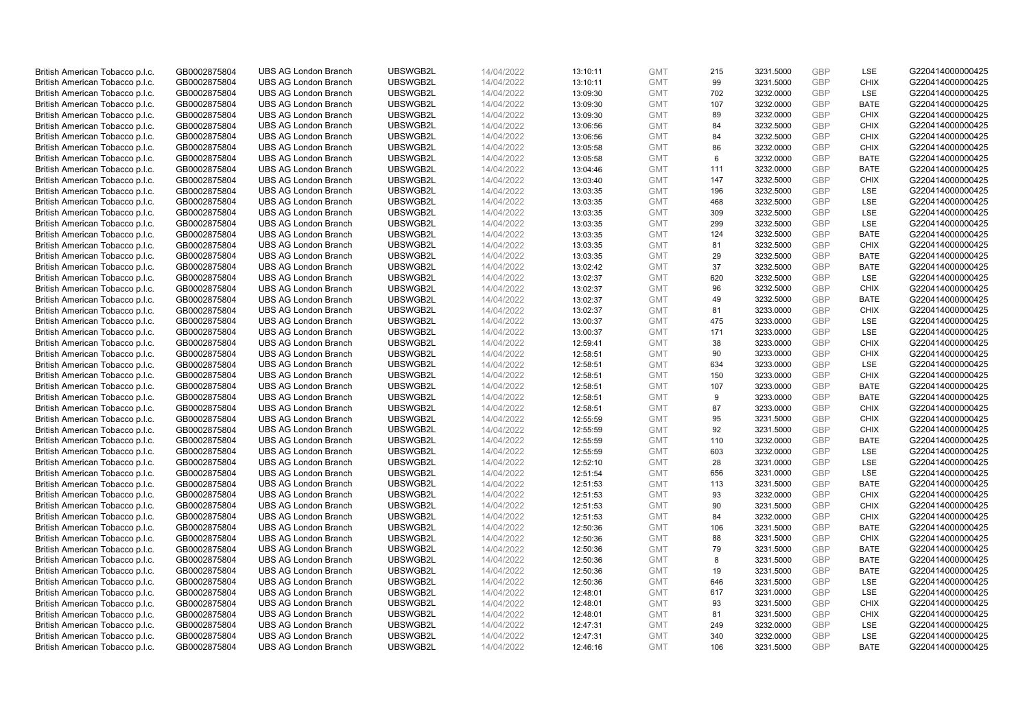| British American Tobacco p.l.c. | GB0002875804 | <b>UBS AG London Branch</b> | UBSWGB2L | 14/04/2022 | 13:10:11 | <b>GMT</b> | 215 | 3231.5000 | GBP        | LSE         | G220414000000425 |
|---------------------------------|--------------|-----------------------------|----------|------------|----------|------------|-----|-----------|------------|-------------|------------------|
| British American Tobacco p.l.c. | GB0002875804 | <b>UBS AG London Branch</b> | UBSWGB2L | 14/04/2022 | 13:10:11 | <b>GMT</b> | 99  | 3231.5000 | <b>GBP</b> | <b>CHIX</b> | G220414000000425 |
| British American Tobacco p.l.c. | GB0002875804 | <b>UBS AG London Branch</b> | UBSWGB2L | 14/04/2022 | 13:09:30 | <b>GMT</b> | 702 | 3232.0000 | GBP        | LSE         | G220414000000425 |
| British American Tobacco p.l.c. | GB0002875804 | <b>UBS AG London Branch</b> | UBSWGB2L | 14/04/2022 | 13:09:30 | <b>GMT</b> | 107 | 3232.0000 | <b>GBP</b> | <b>BATE</b> | G220414000000425 |
| British American Tobacco p.l.c. | GB0002875804 | <b>UBS AG London Branch</b> | UBSWGB2L | 14/04/2022 | 13:09:30 | <b>GMT</b> | 89  | 3232.0000 | GBP        | <b>CHIX</b> | G220414000000425 |
| British American Tobacco p.l.c. | GB0002875804 | <b>UBS AG London Branch</b> | UBSWGB2L | 14/04/2022 | 13:06:56 | <b>GMT</b> | 84  | 3232.5000 | <b>GBP</b> | <b>CHIX</b> | G220414000000425 |
| British American Tobacco p.l.c. | GB0002875804 | <b>UBS AG London Branch</b> | UBSWGB2L | 14/04/2022 | 13:06:56 | <b>GMT</b> | 84  | 3232.5000 | GBP        | <b>CHIX</b> | G220414000000425 |
| British American Tobacco p.l.c. | GB0002875804 | <b>UBS AG London Branch</b> | UBSWGB2L | 14/04/2022 | 13:05:58 | <b>GMT</b> | 86  | 3232.0000 | <b>GBP</b> | <b>CHIX</b> | G220414000000425 |
| British American Tobacco p.l.c. | GB0002875804 | <b>UBS AG London Branch</b> | UBSWGB2L | 14/04/2022 | 13:05:58 | <b>GMT</b> | 6   | 3232.0000 | GBP        | <b>BATE</b> | G220414000000425 |
| British American Tobacco p.l.c. | GB0002875804 | <b>UBS AG London Branch</b> | UBSWGB2L | 14/04/2022 | 13:04:46 | <b>GMT</b> | 111 | 3232.0000 | <b>GBP</b> | <b>BATE</b> | G220414000000425 |
| British American Tobacco p.l.c. | GB0002875804 | <b>UBS AG London Branch</b> | UBSWGB2L | 14/04/2022 | 13:03:40 | <b>GMT</b> | 147 | 3232.5000 | GBP        | <b>CHIX</b> | G220414000000425 |
| British American Tobacco p.l.c. | GB0002875804 | <b>UBS AG London Branch</b> | UBSWGB2L | 14/04/2022 | 13:03:35 | <b>GMT</b> | 196 | 3232.5000 | <b>GBP</b> | LSE         | G220414000000425 |
| British American Tobacco p.l.c. | GB0002875804 | <b>UBS AG London Branch</b> | UBSWGB2L | 14/04/2022 | 13:03:35 | <b>GMT</b> | 468 | 3232.5000 | <b>GBP</b> | LSE         | G220414000000425 |
| British American Tobacco p.l.c. | GB0002875804 | <b>UBS AG London Branch</b> | UBSWGB2L | 14/04/2022 | 13:03:35 | <b>GMT</b> | 309 | 3232.5000 | GBP        | LSE         | G220414000000425 |
| British American Tobacco p.l.c. | GB0002875804 | <b>UBS AG London Branch</b> | UBSWGB2L | 14/04/2022 | 13:03:35 | <b>GMT</b> | 299 | 3232.5000 | <b>GBP</b> | <b>LSE</b>  | G220414000000425 |
| British American Tobacco p.l.c. | GB0002875804 | <b>UBS AG London Branch</b> | UBSWGB2L | 14/04/2022 | 13:03:35 | <b>GMT</b> | 124 | 3232.5000 | GBP        | <b>BATE</b> | G220414000000425 |
| British American Tobacco p.l.c. | GB0002875804 | <b>UBS AG London Branch</b> | UBSWGB2L | 14/04/2022 | 13:03:35 | <b>GMT</b> | 81  | 3232.5000 | <b>GBP</b> | <b>CHIX</b> | G220414000000425 |
| British American Tobacco p.l.c. | GB0002875804 | <b>UBS AG London Branch</b> | UBSWGB2L | 14/04/2022 | 13:03:35 | <b>GMT</b> | 29  | 3232.5000 | GBP        | <b>BATE</b> | G220414000000425 |
| British American Tobacco p.l.c. | GB0002875804 | <b>UBS AG London Branch</b> | UBSWGB2L | 14/04/2022 | 13:02:42 | <b>GMT</b> | 37  | 3232.5000 | <b>GBP</b> | <b>BATE</b> | G220414000000425 |
| British American Tobacco p.l.c. | GB0002875804 | <b>UBS AG London Branch</b> | UBSWGB2L | 14/04/2022 | 13:02:37 | <b>GMT</b> | 620 | 3232.5000 | GBP        | LSE         | G220414000000425 |
| British American Tobacco p.l.c. | GB0002875804 | <b>UBS AG London Branch</b> | UBSWGB2L | 14/04/2022 | 13:02:37 | <b>GMT</b> | 96  | 3232.5000 | GBP        | <b>CHIX</b> | G220414000000425 |
| British American Tobacco p.l.c. | GB0002875804 | <b>UBS AG London Branch</b> | UBSWGB2L | 14/04/2022 | 13:02:37 | <b>GMT</b> | 49  | 3232.5000 | GBP        | <b>BATE</b> | G220414000000425 |
| British American Tobacco p.l.c. | GB0002875804 | <b>UBS AG London Branch</b> | UBSWGB2L | 14/04/2022 | 13:02:37 | <b>GMT</b> | 81  | 3233.0000 | <b>GBP</b> | <b>CHIX</b> | G220414000000425 |
| British American Tobacco p.l.c. | GB0002875804 | <b>UBS AG London Branch</b> | UBSWGB2L | 14/04/2022 | 13:00:37 | <b>GMT</b> | 475 | 3233.0000 | GBP        | <b>LSE</b>  | G220414000000425 |
| British American Tobacco p.l.c. | GB0002875804 | <b>UBS AG London Branch</b> | UBSWGB2L | 14/04/2022 | 13:00:37 | <b>GMT</b> | 171 | 3233.0000 | <b>GBP</b> | LSE         | G220414000000425 |
| British American Tobacco p.l.c. | GB0002875804 | <b>UBS AG London Branch</b> | UBSWGB2L | 14/04/2022 | 12:59:41 | <b>GMT</b> | 38  | 3233.0000 | <b>GBP</b> | <b>CHIX</b> | G220414000000425 |
| British American Tobacco p.l.c. | GB0002875804 | <b>UBS AG London Branch</b> | UBSWGB2L | 14/04/2022 | 12:58:51 | <b>GMT</b> | 90  | 3233.0000 | GBP        | <b>CHIX</b> | G220414000000425 |
| British American Tobacco p.l.c. | GB0002875804 | <b>UBS AG London Branch</b> | UBSWGB2L | 14/04/2022 | 12:58:51 | <b>GMT</b> | 634 | 3233.0000 | <b>GBP</b> | <b>LSE</b>  | G220414000000425 |
| British American Tobacco p.l.c. | GB0002875804 | <b>UBS AG London Branch</b> | UBSWGB2L | 14/04/2022 | 12:58:51 | <b>GMT</b> | 150 | 3233.0000 | GBP        | <b>CHIX</b> | G220414000000425 |
| British American Tobacco p.l.c. | GB0002875804 | <b>UBS AG London Branch</b> | UBSWGB2L | 14/04/2022 | 12:58:51 | <b>GMT</b> | 107 | 3233.0000 | <b>GBP</b> | <b>BATE</b> | G220414000000425 |
| British American Tobacco p.l.c. | GB0002875804 | <b>UBS AG London Branch</b> | UBSWGB2L | 14/04/2022 | 12:58:51 | <b>GMT</b> | 9   | 3233.0000 | GBP        | <b>BATE</b> | G220414000000425 |
| British American Tobacco p.l.c. | GB0002875804 | <b>UBS AG London Branch</b> | UBSWGB2L | 14/04/2022 | 12:58:51 | <b>GMT</b> | 87  | 3233.0000 | <b>GBP</b> | <b>CHIX</b> | G220414000000425 |
| British American Tobacco p.l.c. | GB0002875804 | <b>UBS AG London Branch</b> | UBSWGB2L | 14/04/2022 | 12:55:59 | <b>GMT</b> | 95  | 3231.5000 | GBP        | <b>CHIX</b> | G220414000000425 |
| British American Tobacco p.l.c. | GB0002875804 | <b>UBS AG London Branch</b> | UBSWGB2L | 14/04/2022 | 12:55:59 | <b>GMT</b> | 92  | 3231.5000 | GBP        | <b>CHIX</b> | G220414000000425 |
| British American Tobacco p.l.c. | GB0002875804 | <b>UBS AG London Branch</b> | UBSWGB2L | 14/04/2022 | 12:55:59 | <b>GMT</b> | 110 | 3232.0000 | <b>GBP</b> | <b>BATE</b> | G220414000000425 |
| British American Tobacco p.l.c. | GB0002875804 | <b>UBS AG London Branch</b> | UBSWGB2L | 14/04/2022 | 12:55:59 | <b>GMT</b> | 603 | 3232.0000 | <b>GBP</b> | LSE         | G220414000000425 |
| British American Tobacco p.l.c. | GB0002875804 | <b>UBS AG London Branch</b> | UBSWGB2L | 14/04/2022 | 12:52:10 | <b>GMT</b> | 28  | 3231.0000 | GBP        | <b>LSE</b>  | G220414000000425 |
| British American Tobacco p.l.c. | GB0002875804 | <b>UBS AG London Branch</b> | UBSWGB2L | 14/04/2022 | 12:51:54 | <b>GMT</b> | 656 | 3231.0000 | <b>GBP</b> | LSE         | G220414000000425 |
| British American Tobacco p.l.c. | GB0002875804 | <b>UBS AG London Branch</b> | UBSWGB2L | 14/04/2022 | 12:51:53 | <b>GMT</b> | 113 | 3231.5000 | <b>GBP</b> | <b>BATE</b> | G220414000000425 |
| British American Tobacco p.l.c. | GB0002875804 | <b>UBS AG London Branch</b> | UBSWGB2L | 14/04/2022 | 12:51:53 | <b>GMT</b> | 93  | 3232.0000 | GBP        | <b>CHIX</b> | G220414000000425 |
| British American Tobacco p.l.c. | GB0002875804 | <b>UBS AG London Branch</b> | UBSWGB2L | 14/04/2022 | 12:51:53 | <b>GMT</b> | 90  | 3231.5000 | <b>GBP</b> | <b>CHIX</b> | G220414000000425 |
| British American Tobacco p.l.c. | GB0002875804 | <b>UBS AG London Branch</b> | UBSWGB2L | 14/04/2022 | 12:51:53 | <b>GMT</b> | 84  | 3232.0000 | GBP        | <b>CHIX</b> | G220414000000425 |
| British American Tobacco p.l.c. | GB0002875804 | <b>UBS AG London Branch</b> | UBSWGB2L | 14/04/2022 | 12:50:36 | <b>GMT</b> | 106 | 3231.5000 | GBP        | <b>BATE</b> | G220414000000425 |
| British American Tobacco p.l.c. | GB0002875804 | <b>UBS AG London Branch</b> | UBSWGB2L | 14/04/2022 | 12:50:36 | <b>GMT</b> | 88  | 3231.5000 | GBP        | <b>CHIX</b> | G220414000000425 |
| British American Tobacco p.l.c. | GB0002875804 | <b>UBS AG London Branch</b> | UBSWGB2L | 14/04/2022 | 12:50:36 | <b>GMT</b> | 79  | 3231.5000 | GBP        | <b>BATE</b> | G220414000000425 |
| British American Tobacco p.l.c. | GB0002875804 | <b>UBS AG London Branch</b> | UBSWGB2L | 14/04/2022 | 12:50:36 | <b>GMT</b> | 8   | 3231.5000 | GBP        | <b>BATE</b> | G220414000000425 |
| British American Tobacco p.l.c. | GB0002875804 | <b>UBS AG London Branch</b> | UBSWGB2L | 14/04/2022 | 12:50:36 | <b>GMT</b> | 19  | 3231.5000 | GBP        | <b>BATE</b> | G220414000000425 |
| British American Tobacco p.l.c. | GB0002875804 | <b>UBS AG London Branch</b> | UBSWGB2L | 14/04/2022 | 12:50:36 | <b>GMT</b> | 646 | 3231.5000 | <b>GBP</b> | LSE         | G220414000000425 |
| British American Tobacco p.l.c. | GB0002875804 | <b>UBS AG London Branch</b> | UBSWGB2L | 14/04/2022 | 12:48:01 | <b>GMT</b> | 617 | 3231.0000 | <b>GBP</b> | LSE         | G220414000000425 |
| British American Tobacco p.l.c. | GB0002875804 | <b>UBS AG London Branch</b> | UBSWGB2L | 14/04/2022 | 12:48:01 | <b>GMT</b> | 93  | 3231.5000 | GBP        | <b>CHIX</b> | G220414000000425 |
| British American Tobacco p.l.c. | GB0002875804 | <b>UBS AG London Branch</b> | UBSWGB2L | 14/04/2022 | 12:48:01 | <b>GMT</b> | 81  | 3231.5000 | <b>GBP</b> | <b>CHIX</b> | G220414000000425 |
| British American Tobacco p.l.c. | GB0002875804 | <b>UBS AG London Branch</b> | UBSWGB2L | 14/04/2022 | 12:47:31 | <b>GMT</b> | 249 | 3232.0000 | <b>GBP</b> | LSE         | G220414000000425 |
| British American Tobacco p.l.c. | GB0002875804 | <b>UBS AG London Branch</b> | UBSWGB2L | 14/04/2022 | 12:47:31 | <b>GMT</b> | 340 | 3232.0000 | GBP        | LSE         | G220414000000425 |
| British American Tobacco p.l.c. | GB0002875804 | <b>UBS AG London Branch</b> | UBSWGB2L | 14/04/2022 | 12:46:16 | <b>GMT</b> | 106 | 3231.5000 | <b>GBP</b> | <b>BATE</b> | G220414000000425 |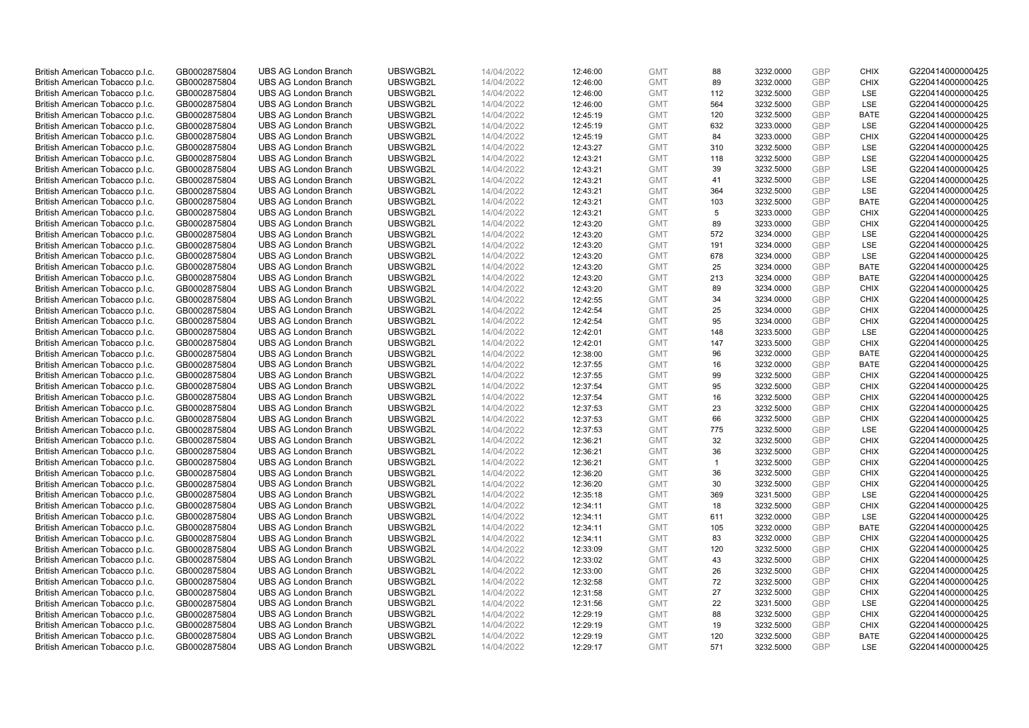| British American Tobacco p.l.c. | GB0002875804                 | <b>UBS AG London Branch</b> | UBSWGB2L | 14/04/2022               | 12:46:00 | <b>GMT</b> | 88           | 3232.0000 | GBP        | <b>CHIX</b> | G220414000000425 |
|---------------------------------|------------------------------|-----------------------------|----------|--------------------------|----------|------------|--------------|-----------|------------|-------------|------------------|
| British American Tobacco p.l.c. | GB0002875804                 | <b>UBS AG London Branch</b> | UBSWGB2L | 14/04/2022               | 12:46:00 | <b>GMT</b> | 89           | 3232.0000 | GBP        | <b>CHIX</b> | G220414000000425 |
| British American Tobacco p.l.c. | GB0002875804                 | <b>UBS AG London Branch</b> | UBSWGB2L | 14/04/2022               | 12:46:00 | <b>GMT</b> | 112          | 3232.5000 | GBP        | LSE         | G220414000000425 |
| British American Tobacco p.l.c. | GB0002875804                 | <b>UBS AG London Branch</b> | UBSWGB2L | 14/04/2022               | 12:46:00 | <b>GMT</b> | 564          | 3232.5000 | GBP        | LSE         | G220414000000425 |
| British American Tobacco p.l.c. | GB0002875804                 | <b>UBS AG London Branch</b> | UBSWGB2L | 14/04/2022               | 12:45:19 | <b>GMT</b> | 120          | 3232.5000 | <b>GBP</b> | <b>BATE</b> | G220414000000425 |
| British American Tobacco p.l.c. | GB0002875804                 | UBS AG London Branch        | UBSWGB2L | 14/04/2022               | 12:45:19 | <b>GMT</b> | 632          | 3233.0000 | <b>GBP</b> | <b>LSE</b>  | G220414000000425 |
| British American Tobacco p.l.c. | GB0002875804                 | <b>UBS AG London Branch</b> | UBSWGB2L | 14/04/2022               | 12:45:19 | <b>GMT</b> | 84           | 3233.0000 | <b>GBP</b> | <b>CHIX</b> | G220414000000425 |
| British American Tobacco p.l.c. | GB0002875804                 | <b>UBS AG London Branch</b> | UBSWGB2L | 14/04/2022               | 12:43:27 | <b>GMT</b> | 310          | 3232.5000 | <b>GBP</b> | LSE         | G220414000000425 |
| British American Tobacco p.l.c. | GB0002875804                 | <b>UBS AG London Branch</b> | UBSWGB2L | 14/04/2022               | 12:43:21 | <b>GMT</b> | 118          | 3232.5000 | <b>GBP</b> | LSE         | G220414000000425 |
| British American Tobacco p.l.c. | GB0002875804                 | <b>UBS AG London Branch</b> | UBSWGB2L | 14/04/2022               | 12:43:21 | <b>GMT</b> | 39           | 3232.5000 | <b>GBP</b> | <b>LSE</b>  | G220414000000425 |
| British American Tobacco p.l.c. | GB0002875804                 | <b>UBS AG London Branch</b> | UBSWGB2L | 14/04/2022               | 12:43:21 | <b>GMT</b> | 41           | 3232.5000 | GBP        | LSE         | G220414000000425 |
| British American Tobacco p.l.c. | GB0002875804                 | <b>UBS AG London Branch</b> | UBSWGB2L | 14/04/2022               | 12:43:21 | <b>GMT</b> | 364          | 3232.5000 | <b>GBP</b> | <b>LSE</b>  | G220414000000425 |
| British American Tobacco p.l.c. | GB0002875804                 | <b>UBS AG London Branch</b> | UBSWGB2L | 14/04/2022               | 12:43:21 | <b>GMT</b> | 103          | 3232.5000 | <b>GBP</b> | <b>BATE</b> | G220414000000425 |
| British American Tobacco p.l.c. | GB0002875804                 | <b>UBS AG London Branch</b> | UBSWGB2L | 14/04/2022               | 12:43:21 | <b>GMT</b> | 5            | 3233.0000 | GBP        | <b>CHIX</b> | G220414000000425 |
| British American Tobacco p.l.c. | GB0002875804                 | <b>UBS AG London Branch</b> | UBSWGB2L | 14/04/2022               | 12:43:20 | <b>GMT</b> | 89           | 3233.0000 | <b>GBP</b> | <b>CHIX</b> | G220414000000425 |
|                                 |                              | <b>UBS AG London Branch</b> | UBSWGB2L |                          | 12:43:20 | <b>GMT</b> | 572          | 3234.0000 | <b>GBP</b> | LSE         | G220414000000425 |
| British American Tobacco p.l.c. | GB0002875804<br>GB0002875804 | <b>UBS AG London Branch</b> | UBSWGB2L | 14/04/2022<br>14/04/2022 |          | <b>GMT</b> | 191          |           | GBP        | <b>LSE</b>  | G220414000000425 |
| British American Tobacco p.l.c. |                              |                             |          |                          | 12:43:20 |            |              | 3234.0000 |            |             |                  |
| British American Tobacco p.l.c. | GB0002875804                 | <b>UBS AG London Branch</b> | UBSWGB2L | 14/04/2022               | 12:43:20 | <b>GMT</b> | 678          | 3234.0000 | <b>GBP</b> | LSE         | G220414000000425 |
| British American Tobacco p.l.c. | GB0002875804                 | UBS AG London Branch        | UBSWGB2L | 14/04/2022               | 12:43:20 | <b>GMT</b> | 25           | 3234.0000 | GBP        | <b>BATE</b> | G220414000000425 |
| British American Tobacco p.l.c. | GB0002875804                 | <b>UBS AG London Branch</b> | UBSWGB2L | 14/04/2022               | 12:43:20 | <b>GMT</b> | 213          | 3234.0000 | <b>GBP</b> | <b>BATE</b> | G220414000000425 |
| British American Tobacco p.l.c. | GB0002875804                 | <b>UBS AG London Branch</b> | UBSWGB2L | 14/04/2022               | 12:43:20 | <b>GMT</b> | 89           | 3234.0000 | GBP        | <b>CHIX</b> | G220414000000425 |
| British American Tobacco p.l.c. | GB0002875804                 | <b>UBS AG London Branch</b> | UBSWGB2L | 14/04/2022               | 12:42:55 | <b>GMT</b> | 34           | 3234.0000 | GBP        | <b>CHIX</b> | G220414000000425 |
| British American Tobacco p.l.c. | GB0002875804                 | <b>UBS AG London Branch</b> | UBSWGB2L | 14/04/2022               | 12:42:54 | <b>GMT</b> | 25           | 3234.0000 | <b>GBP</b> | <b>CHIX</b> | G220414000000425 |
| British American Tobacco p.l.c. | GB0002875804                 | <b>UBS AG London Branch</b> | UBSWGB2L | 14/04/2022               | 12:42:54 | <b>GMT</b> | 95           | 3234.0000 | GBP        | <b>CHIX</b> | G220414000000425 |
| British American Tobacco p.l.c. | GB0002875804                 | <b>UBS AG London Branch</b> | UBSWGB2L | 14/04/2022               | 12:42:01 | <b>GMT</b> | 148          | 3233.5000 | GBP        | LSE         | G220414000000425 |
| British American Tobacco p.l.c. | GB0002875804                 | <b>UBS AG London Branch</b> | UBSWGB2L | 14/04/2022               | 12:42:01 | <b>GMT</b> | 147          | 3233.5000 | GBP        | <b>CHIX</b> | G220414000000425 |
| British American Tobacco p.l.c. | GB0002875804                 | <b>UBS AG London Branch</b> | UBSWGB2L | 14/04/2022               | 12:38:00 | <b>GMT</b> | 96           | 3232.0000 | GBP        | <b>BATE</b> | G220414000000425 |
| British American Tobacco p.l.c. | GB0002875804                 | <b>UBS AG London Branch</b> | UBSWGB2L | 14/04/2022               | 12:37:55 | <b>GMT</b> | 16           | 3232.0000 | GBP        | <b>BATE</b> | G220414000000425 |
| British American Tobacco p.l.c. | GB0002875804                 | <b>UBS AG London Branch</b> | UBSWGB2L | 14/04/2022               | 12:37:55 | <b>GMT</b> | 99           | 3232.5000 | GBP        | <b>CHIX</b> | G220414000000425 |
| British American Tobacco p.l.c. | GB0002875804                 | <b>UBS AG London Branch</b> | UBSWGB2L | 14/04/2022               | 12:37:54 | <b>GMT</b> | 95           | 3232.5000 | GBP        | <b>CHIX</b> | G220414000000425 |
| British American Tobacco p.l.c. | GB0002875804                 | <b>UBS AG London Branch</b> | UBSWGB2L | 14/04/2022               | 12:37:54 | <b>GMT</b> | 16           | 3232.5000 | <b>GBP</b> | <b>CHIX</b> | G220414000000425 |
| British American Tobacco p.l.c. | GB0002875804                 | <b>UBS AG London Branch</b> | UBSWGB2L | 14/04/2022               | 12:37:53 | <b>GMT</b> | 23           | 3232.5000 | GBP        | <b>CHIX</b> | G220414000000425 |
| British American Tobacco p.l.c. | GB0002875804                 | <b>UBS AG London Branch</b> | UBSWGB2L | 14/04/2022               | 12:37:53 | <b>GMT</b> | 66           | 3232.5000 | <b>GBP</b> | <b>CHIX</b> | G220414000000425 |
| British American Tobacco p.l.c. | GB0002875804                 | <b>UBS AG London Branch</b> | UBSWGB2L | 14/04/2022               | 12:37:53 | <b>GMT</b> | 775          | 3232.5000 | <b>GBP</b> | LSE         | G220414000000425 |
| British American Tobacco p.l.c. | GB0002875804                 | <b>UBS AG London Branch</b> | UBSWGB2L | 14/04/2022               | 12:36:21 | <b>GMT</b> | 32           | 3232.5000 | <b>GBP</b> | <b>CHIX</b> | G220414000000425 |
| British American Tobacco p.l.c. | GB0002875804                 | <b>UBS AG London Branch</b> | UBSWGB2L | 14/04/2022               | 12:36:21 | <b>GMT</b> | 36           | 3232.5000 | GBP        | <b>CHIX</b> | G220414000000425 |
| British American Tobacco p.l.c. | GB0002875804                 | <b>UBS AG London Branch</b> | UBSWGB2L | 14/04/2022               | 12:36:21 | <b>GMT</b> | $\mathbf{1}$ | 3232.5000 | GBP        | <b>CHIX</b> | G220414000000425 |
| British American Tobacco p.l.c. | GB0002875804                 | <b>UBS AG London Branch</b> | UBSWGB2L | 14/04/2022               | 12:36:20 | <b>GMT</b> | 36           | 3232.5000 | <b>GBP</b> | <b>CHIX</b> | G220414000000425 |
| British American Tobacco p.l.c. | GB0002875804                 | <b>UBS AG London Branch</b> | UBSWGB2L | 14/04/2022               | 12:36:20 | <b>GMT</b> | 30           | 3232.5000 | <b>GBP</b> | <b>CHIX</b> | G220414000000425 |
| British American Tobacco p.l.c. | GB0002875804                 | <b>UBS AG London Branch</b> | UBSWGB2L | 14/04/2022               | 12:35:18 | <b>GMT</b> | 369          | 3231.5000 | GBP        | LSE         | G220414000000425 |
| British American Tobacco p.l.c. | GB0002875804                 | <b>UBS AG London Branch</b> | UBSWGB2L | 14/04/2022               | 12:34:11 | <b>GMT</b> | 18           | 3232.5000 | <b>GBP</b> | <b>CHIX</b> | G220414000000425 |
| British American Tobacco p.l.c. | GB0002875804                 | <b>UBS AG London Branch</b> | UBSWGB2L | 14/04/2022               | 12:34:11 | <b>GMT</b> | 611          | 3232.0000 | GBP        | LSE         | G220414000000425 |
| British American Tobacco p.l.c. | GB0002875804                 | UBS AG London Branch        | UBSWGB2L | 14/04/2022               | 12:34:11 | <b>GMT</b> | 105          | 3232.0000 | <b>GBP</b> | <b>BATE</b> | G220414000000425 |
| British American Tobacco p.l.c. | GB0002875804                 | <b>UBS AG London Branch</b> | UBSWGB2L | 14/04/2022               | 12:34:11 | <b>GMT</b> | 83           | 3232.0000 | GBP        | <b>CHIX</b> | G220414000000425 |
| British American Tobacco p.l.c. | GB0002875804                 | <b>UBS AG London Branch</b> | UBSWGB2L | 14/04/2022               | 12:33:09 | <b>GMT</b> | 120          | 3232.5000 | <b>GBP</b> | <b>CHIX</b> | G220414000000425 |
| British American Tobacco p.l.c. | GB0002875804                 | <b>UBS AG London Branch</b> | UBSWGB2L | 14/04/2022               | 12:33:02 | <b>GMT</b> | 43           | 3232.5000 | GBP        | <b>CHIX</b> | G220414000000425 |
| British American Tobacco p.l.c. | GB0002875804                 | <b>UBS AG London Branch</b> | UBSWGB2L | 14/04/2022               | 12:33:00 | <b>GMT</b> | 26           | 3232.5000 | GBP        | <b>CHIX</b> | G220414000000425 |
| British American Tobacco p.l.c. | GB0002875804                 | <b>UBS AG London Branch</b> | UBSWGB2L | 14/04/2022               | 12:32:58 | <b>GMT</b> | 72           | 3232.5000 | <b>GBP</b> | <b>CHIX</b> | G220414000000425 |
| British American Tobacco p.l.c. | GB0002875804                 | <b>UBS AG London Branch</b> | UBSWGB2L | 14/04/2022               | 12:31:58 | <b>GMT</b> | 27           | 3232.5000 | <b>GBP</b> | <b>CHIX</b> | G220414000000425 |
| British American Tobacco p.l.c. | GB0002875804                 | <b>UBS AG London Branch</b> | UBSWGB2L | 14/04/2022               | 12:31:56 | <b>GMT</b> | 22           | 3231.5000 | GBP        | <b>LSE</b>  | G220414000000425 |
| British American Tobacco p.l.c. | GB0002875804                 | <b>UBS AG London Branch</b> | UBSWGB2L | 14/04/2022               | 12:29:19 | <b>GMT</b> | 88           | 3232.5000 | <b>GBP</b> | <b>CHIX</b> | G220414000000425 |
| British American Tobacco p.l.c. | GB0002875804                 | <b>UBS AG London Branch</b> | UBSWGB2L | 14/04/2022               | 12:29:19 | <b>GMT</b> | 19           | 3232.5000 | <b>GBP</b> | <b>CHIX</b> | G220414000000425 |
| British American Tobacco p.l.c. | GB0002875804                 | <b>UBS AG London Branch</b> | UBSWGB2L | 14/04/2022               | 12:29:19 | <b>GMT</b> | 120          | 3232.5000 | GBP        | <b>BATE</b> | G220414000000425 |
| British American Tobacco p.l.c. | GB0002875804                 | <b>UBS AG London Branch</b> | UBSWGB2L | 14/04/2022               | 12:29:17 | <b>GMT</b> | 571          | 3232.5000 | <b>GBP</b> | <b>LSE</b>  | G220414000000425 |
|                                 |                              |                             |          |                          |          |            |              |           |            |             |                  |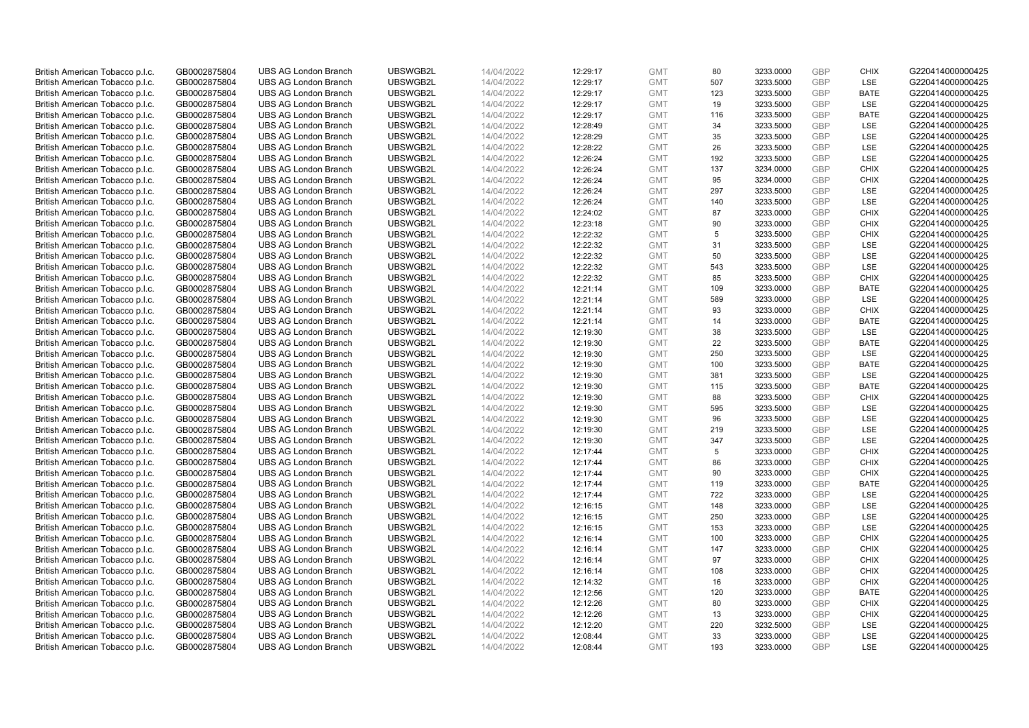| British American Tobacco p.l.c. | GB0002875804 | <b>UBS AG London Branch</b> | UBSWGB2L | 14/04/2022 | 12:29:17 | <b>GMT</b> | 80  | 3233.0000 | GBP        | <b>CHIX</b> | G220414000000425 |
|---------------------------------|--------------|-----------------------------|----------|------------|----------|------------|-----|-----------|------------|-------------|------------------|
| British American Tobacco p.l.c. | GB0002875804 | <b>UBS AG London Branch</b> | UBSWGB2L | 14/04/2022 | 12:29:17 | <b>GMT</b> | 507 | 3233.5000 | <b>GBP</b> | <b>LSE</b>  | G220414000000425 |
| British American Tobacco p.l.c. | GB0002875804 | <b>UBS AG London Branch</b> | UBSWGB2L | 14/04/2022 | 12:29:17 | <b>GMT</b> | 123 | 3233.5000 | GBP        | <b>BATE</b> | G220414000000425 |
| British American Tobacco p.l.c. | GB0002875804 | <b>UBS AG London Branch</b> | UBSWGB2L | 14/04/2022 | 12:29:17 | <b>GMT</b> | 19  | 3233.5000 | <b>GBP</b> | LSE         | G220414000000425 |
| British American Tobacco p.l.c. | GB0002875804 | <b>UBS AG London Branch</b> | UBSWGB2L | 14/04/2022 | 12:29:17 | <b>GMT</b> | 116 | 3233.5000 | GBP        | <b>BATE</b> | G220414000000425 |
| British American Tobacco p.l.c. | GB0002875804 | <b>UBS AG London Branch</b> | UBSWGB2L | 14/04/2022 | 12:28:49 | <b>GMT</b> | 34  | 3233.5000 | <b>GBP</b> | LSE         | G220414000000425 |
| British American Tobacco p.l.c. | GB0002875804 | <b>UBS AG London Branch</b> | UBSWGB2L | 14/04/2022 | 12:28:29 | <b>GMT</b> | 35  | 3233.5000 | <b>GBP</b> | LSE         | G220414000000425 |
| British American Tobacco p.l.c. | GB0002875804 | <b>UBS AG London Branch</b> | UBSWGB2L | 14/04/2022 | 12:28:22 | <b>GMT</b> | 26  | 3233.5000 | <b>GBP</b> | LSE         | G220414000000425 |
| British American Tobacco p.l.c. | GB0002875804 | <b>UBS AG London Branch</b> | UBSWGB2L | 14/04/2022 | 12:26:24 | <b>GMT</b> | 192 | 3233.5000 | <b>GBP</b> | LSE         | G220414000000425 |
| British American Tobacco p.l.c. | GB0002875804 | <b>UBS AG London Branch</b> | UBSWGB2L | 14/04/2022 | 12:26:24 | <b>GMT</b> | 137 | 3234.0000 | <b>GBP</b> | <b>CHIX</b> | G220414000000425 |
| British American Tobacco p.l.c. | GB0002875804 | <b>UBS AG London Branch</b> | UBSWGB2L | 14/04/2022 | 12:26:24 | <b>GMT</b> | 95  | 3234.0000 | GBP        | <b>CHIX</b> | G220414000000425 |
| British American Tobacco p.l.c. | GB0002875804 | <b>UBS AG London Branch</b> | UBSWGB2L | 14/04/2022 | 12:26:24 | <b>GMT</b> | 297 | 3233.5000 | <b>GBP</b> | LSE         | G220414000000425 |
| British American Tobacco p.l.c. | GB0002875804 | <b>UBS AG London Branch</b> | UBSWGB2L | 14/04/2022 | 12:26:24 | <b>GMT</b> | 140 | 3233.5000 | <b>GBP</b> | LSE         | G220414000000425 |
| British American Tobacco p.l.c. | GB0002875804 | <b>UBS AG London Branch</b> | UBSWGB2L | 14/04/2022 | 12:24:02 | <b>GMT</b> | 87  | 3233.0000 | GBP        | <b>CHIX</b> | G220414000000425 |
| British American Tobacco p.l.c. | GB0002875804 | <b>UBS AG London Branch</b> | UBSWGB2L | 14/04/2022 | 12:23:18 | <b>GMT</b> | 90  | 3233.0000 | <b>GBP</b> | <b>CHIX</b> | G220414000000425 |
| British American Tobacco p.l.c. | GB0002875804 | <b>UBS AG London Branch</b> | UBSWGB2L | 14/04/2022 | 12:22:32 | <b>GMT</b> | 5   | 3233.5000 | GBP        | <b>CHIX</b> | G220414000000425 |
| British American Tobacco p.l.c. | GB0002875804 | <b>UBS AG London Branch</b> | UBSWGB2L | 14/04/2022 | 12:22:32 | <b>GMT</b> | 31  | 3233.5000 | <b>GBP</b> | <b>LSE</b>  | G220414000000425 |
| British American Tobacco p.l.c. | GB0002875804 | <b>UBS AG London Branch</b> | UBSWGB2L | 14/04/2022 | 12:22:32 | <b>GMT</b> | 50  | 3233.5000 | GBP        | LSE         | G220414000000425 |
| British American Tobacco p.l.c. | GB0002875804 | <b>UBS AG London Branch</b> | UBSWGB2L | 14/04/2022 | 12:22:32 | <b>GMT</b> | 543 | 3233.5000 | <b>GBP</b> | <b>LSE</b>  | G220414000000425 |
| British American Tobacco p.l.c. | GB0002875804 | <b>UBS AG London Branch</b> | UBSWGB2L | 14/04/2022 | 12:22:32 | <b>GMT</b> | 85  | 3233.5000 | GBP        | <b>CHIX</b> | G220414000000425 |
| British American Tobacco p.l.c. | GB0002875804 | <b>UBS AG London Branch</b> | UBSWGB2L | 14/04/2022 | 12:21:14 | <b>GMT</b> | 109 | 3233.0000 | <b>GBP</b> | <b>BATE</b> | G220414000000425 |
| British American Tobacco p.l.c. | GB0002875804 | <b>UBS AG London Branch</b> | UBSWGB2L | 14/04/2022 | 12:21:14 | <b>GMT</b> | 589 | 3233.0000 | GBP        | LSE         | G220414000000425 |
| British American Tobacco p.l.c. | GB0002875804 | <b>UBS AG London Branch</b> | UBSWGB2L | 14/04/2022 | 12:21:14 | <b>GMT</b> | 93  | 3233.0000 | <b>GBP</b> | <b>CHIX</b> | G220414000000425 |
| British American Tobacco p.l.c. | GB0002875804 | <b>UBS AG London Branch</b> | UBSWGB2L | 14/04/2022 | 12:21:14 | <b>GMT</b> | 14  | 3233.0000 | GBP        | <b>BATE</b> | G220414000000425 |
| British American Tobacco p.l.c. | GB0002875804 | <b>UBS AG London Branch</b> | UBSWGB2L | 14/04/2022 | 12:19:30 | <b>GMT</b> | 38  | 3233.5000 | <b>GBP</b> | LSE         | G220414000000425 |
| British American Tobacco p.l.c. | GB0002875804 | <b>UBS AG London Branch</b> | UBSWGB2L | 14/04/2022 | 12:19:30 | <b>GMT</b> | 22  | 3233.5000 | <b>GBP</b> | <b>BATE</b> | G220414000000425 |
| British American Tobacco p.l.c. | GB0002875804 | <b>UBS AG London Branch</b> | UBSWGB2L | 14/04/2022 | 12:19:30 | <b>GMT</b> | 250 | 3233.5000 | GBP        | LSE         | G220414000000425 |
| British American Tobacco p.l.c. | GB0002875804 | <b>UBS AG London Branch</b> | UBSWGB2L | 14/04/2022 | 12:19:30 | <b>GMT</b> | 100 | 3233.5000 | <b>GBP</b> | <b>BATE</b> | G220414000000425 |
| British American Tobacco p.l.c. | GB0002875804 | <b>UBS AG London Branch</b> | UBSWGB2L | 14/04/2022 | 12:19:30 | <b>GMT</b> | 381 | 3233.5000 | GBP        | LSE         | G220414000000425 |
| British American Tobacco p.l.c. | GB0002875804 | <b>UBS AG London Branch</b> | UBSWGB2L | 14/04/2022 | 12:19:30 | <b>GMT</b> | 115 | 3233.5000 | <b>GBP</b> | <b>BATE</b> | G220414000000425 |
| British American Tobacco p.l.c. | GB0002875804 | <b>UBS AG London Branch</b> | UBSWGB2L | 14/04/2022 | 12:19:30 | <b>GMT</b> | 88  | 3233.5000 | GBP        | <b>CHIX</b> | G220414000000425 |
| British American Tobacco p.l.c. | GB0002875804 | <b>UBS AG London Branch</b> | UBSWGB2L | 14/04/2022 | 12:19:30 | <b>GMT</b> | 595 | 3233.5000 | <b>GBP</b> | <b>LSE</b>  | G220414000000425 |
| British American Tobacco p.l.c. | GB0002875804 | <b>UBS AG London Branch</b> | UBSWGB2L | 14/04/2022 | 12:19:30 | <b>GMT</b> | 96  | 3233.5000 | GBP        | LSE         | G220414000000425 |
| British American Tobacco p.l.c. | GB0002875804 | <b>UBS AG London Branch</b> | UBSWGB2L | 14/04/2022 | 12:19:30 | <b>GMT</b> | 219 | 3233.5000 | GBP        | LSE         | G220414000000425 |
| British American Tobacco p.l.c. | GB0002875804 | <b>UBS AG London Branch</b> | UBSWGB2L | 14/04/2022 | 12:19:30 | <b>GMT</b> | 347 | 3233.5000 | <b>GBP</b> | LSE         | G220414000000425 |
| British American Tobacco p.l.c. | GB0002875804 | <b>UBS AG London Branch</b> | UBSWGB2L | 14/04/2022 | 12:17:44 | <b>GMT</b> | 5   | 3233.0000 | <b>GBP</b> | <b>CHIX</b> | G220414000000425 |
| British American Tobacco p.l.c. | GB0002875804 | <b>UBS AG London Branch</b> | UBSWGB2L | 14/04/2022 | 12:17:44 | <b>GMT</b> | 86  | 3233.0000 | GBP        | <b>CHIX</b> | G220414000000425 |
| British American Tobacco p.l.c. | GB0002875804 | <b>UBS AG London Branch</b> | UBSWGB2L | 14/04/2022 | 12:17:44 | <b>GMT</b> | 90  | 3233.0000 | <b>GBP</b> | <b>CHIX</b> | G220414000000425 |
| British American Tobacco p.l.c. | GB0002875804 | <b>UBS AG London Branch</b> | UBSWGB2L | 14/04/2022 | 12:17:44 | <b>GMT</b> | 119 | 3233.0000 | <b>GBP</b> | <b>BATE</b> | G220414000000425 |
| British American Tobacco p.l.c. | GB0002875804 | <b>UBS AG London Branch</b> | UBSWGB2L | 14/04/2022 | 12:17:44 | <b>GMT</b> | 722 | 3233.0000 | GBP        | LSE         | G220414000000425 |
| British American Tobacco p.l.c. | GB0002875804 | <b>UBS AG London Branch</b> | UBSWGB2L | 14/04/2022 | 12:16:15 | <b>GMT</b> | 148 | 3233.0000 | <b>GBP</b> | <b>LSE</b>  | G220414000000425 |
| British American Tobacco p.l.c. | GB0002875804 | <b>UBS AG London Branch</b> | UBSWGB2L | 14/04/2022 | 12:16:15 | <b>GMT</b> | 250 | 3233.0000 | GBP        | LSE         | G220414000000425 |
| British American Tobacco p.l.c. | GB0002875804 | <b>UBS AG London Branch</b> | UBSWGB2L | 14/04/2022 | 12:16:15 | <b>GMT</b> | 153 | 3233.0000 | <b>GBP</b> | LSE         | G220414000000425 |
| British American Tobacco p.l.c. | GB0002875804 | <b>UBS AG London Branch</b> | UBSWGB2L | 14/04/2022 | 12:16:14 | <b>GMT</b> | 100 | 3233.0000 | GBP        | <b>CHIX</b> | G220414000000425 |
| British American Tobacco p.l.c. | GB0002875804 | <b>UBS AG London Branch</b> | UBSWGB2L | 14/04/2022 | 12:16:14 | <b>GMT</b> | 147 | 3233.0000 | GBP        | <b>CHIX</b> | G220414000000425 |
| British American Tobacco p.l.c. | GB0002875804 | <b>UBS AG London Branch</b> | UBSWGB2L | 14/04/2022 | 12:16:14 | <b>GMT</b> | 97  | 3233.0000 | GBP        | <b>CHIX</b> | G220414000000425 |
| British American Tobacco p.l.c. | GB0002875804 | <b>UBS AG London Branch</b> | UBSWGB2L | 14/04/2022 | 12:16:14 | <b>GMT</b> | 108 | 3233.0000 | GBP        | <b>CHIX</b> | G220414000000425 |
| British American Tobacco p.l.c. | GB0002875804 | <b>UBS AG London Branch</b> | UBSWGB2L | 14/04/2022 | 12:14:32 | <b>GMT</b> | 16  | 3233.0000 | GBP        | <b>CHIX</b> | G220414000000425 |
| British American Tobacco p.l.c. | GB0002875804 | <b>UBS AG London Branch</b> | UBSWGB2L | 14/04/2022 | 12:12:56 | <b>GMT</b> | 120 | 3233.0000 | GBP        | <b>BATE</b> | G220414000000425 |
| British American Tobacco p.l.c. | GB0002875804 | <b>UBS AG London Branch</b> | UBSWGB2L | 14/04/2022 | 12:12:26 | <b>GMT</b> | 80  | 3233.0000 | GBP        | <b>CHIX</b> | G220414000000425 |
| British American Tobacco p.l.c. | GB0002875804 | <b>UBS AG London Branch</b> | UBSWGB2L | 14/04/2022 | 12:12:26 | <b>GMT</b> | 13  | 3233.0000 | <b>GBP</b> | <b>CHIX</b> | G220414000000425 |
| British American Tobacco p.l.c. | GB0002875804 | <b>UBS AG London Branch</b> | UBSWGB2L | 14/04/2022 | 12:12:20 | <b>GMT</b> | 220 | 3232.5000 | <b>GBP</b> | LSE         | G220414000000425 |
| British American Tobacco p.l.c. | GB0002875804 | <b>UBS AG London Branch</b> | UBSWGB2L | 14/04/2022 | 12:08:44 | <b>GMT</b> | 33  | 3233.0000 | GBP        | LSE         | G220414000000425 |
| British American Tobacco p.l.c. | GB0002875804 | <b>UBS AG London Branch</b> | UBSWGB2L | 14/04/2022 | 12:08:44 | <b>GMT</b> | 193 | 3233.0000 | <b>GBP</b> | <b>LSE</b>  | G220414000000425 |
|                                 |              |                             |          |            |          |            |     |           |            |             |                  |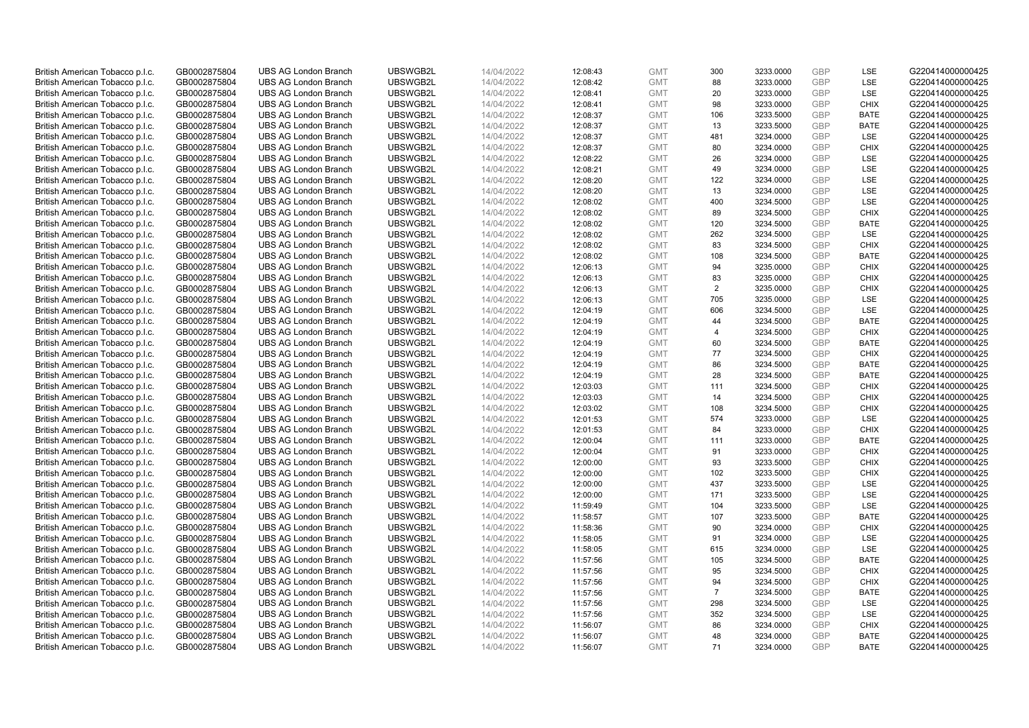| British American Tobacco p.l.c.                                    | GB0002875804                 | <b>UBS AG London Branch</b>                                | UBSWGB2L             | 14/04/2022               | 12:08:43             | <b>GMT</b>               | 300                   | 3233.0000              | GBP               | LSE                        | G220414000000425                     |
|--------------------------------------------------------------------|------------------------------|------------------------------------------------------------|----------------------|--------------------------|----------------------|--------------------------|-----------------------|------------------------|-------------------|----------------------------|--------------------------------------|
| British American Tobacco p.l.c.                                    | GB0002875804                 | <b>UBS AG London Branch</b>                                | UBSWGB2L             | 14/04/2022               | 12:08:42             | <b>GMT</b>               | 88                    | 3233.0000              | <b>GBP</b>        | <b>LSE</b>                 | G220414000000425                     |
| British American Tobacco p.l.c.                                    | GB0002875804                 | <b>UBS AG London Branch</b>                                | UBSWGB2L             | 14/04/2022               | 12:08:41             | <b>GMT</b>               | 20                    | 3233.0000              | GBP               | LSE                        | G220414000000425                     |
| British American Tobacco p.l.c.                                    | GB0002875804                 | <b>UBS AG London Branch</b>                                | UBSWGB2L             | 14/04/2022               | 12:08:41             | <b>GMT</b>               | 98                    | 3233.0000              | <b>GBP</b>        | <b>CHIX</b>                | G220414000000425                     |
| British American Tobacco p.l.c.                                    | GB0002875804                 | <b>UBS AG London Branch</b>                                | UBSWGB2L             | 14/04/2022               | 12:08:37             | <b>GMT</b>               | 106                   | 3233.5000              | GBP               | <b>BATE</b>                | G220414000000425                     |
| British American Tobacco p.l.c.                                    | GB0002875804                 | <b>UBS AG London Branch</b>                                | UBSWGB2L             | 14/04/2022               | 12:08:37             | <b>GMT</b>               | 13                    | 3233.5000              | <b>GBP</b>        | <b>BATE</b>                | G220414000000425                     |
| British American Tobacco p.l.c.                                    | GB0002875804                 | <b>UBS AG London Branch</b>                                | UBSWGB2L             | 14/04/2022               | 12:08:37             | <b>GMT</b>               | 481                   | 3234.0000              | <b>GBP</b>        | LSE                        | G220414000000425                     |
| British American Tobacco p.l.c.                                    | GB0002875804                 | <b>UBS AG London Branch</b>                                | UBSWGB2L             | 14/04/2022               | 12:08:37             | <b>GMT</b>               | 80                    | 3234.0000              | <b>GBP</b>        | <b>CHIX</b>                | G220414000000425                     |
| British American Tobacco p.l.c.                                    | GB0002875804                 | <b>UBS AG London Branch</b>                                | UBSWGB2L             | 14/04/2022               | 12:08:22             | <b>GMT</b>               | 26                    | 3234.0000              | <b>GBP</b>        | LSE                        | G220414000000425                     |
| British American Tobacco p.l.c.                                    | GB0002875804                 | <b>UBS AG London Branch</b>                                | UBSWGB2L             | 14/04/2022               | 12:08:21             | <b>GMT</b>               | 49                    | 3234.0000              | <b>GBP</b>        | LSE                        | G220414000000425                     |
| British American Tobacco p.l.c.                                    | GB0002875804                 | <b>UBS AG London Branch</b>                                | UBSWGB2L             | 14/04/2022               | 12:08:20             | <b>GMT</b>               | 122                   | 3234.0000              | GBP               | LSE                        | G220414000000425                     |
| British American Tobacco p.l.c.                                    | GB0002875804                 | <b>UBS AG London Branch</b>                                | UBSWGB2L             | 14/04/2022               | 12:08:20             | <b>GMT</b>               | 13                    | 3234.0000              | <b>GBP</b>        | LSE                        | G220414000000425                     |
| British American Tobacco p.l.c.                                    | GB0002875804                 | <b>UBS AG London Branch</b>                                | UBSWGB2L             | 14/04/2022               | 12:08:02             | <b>GMT</b>               | 400                   | 3234.5000              | <b>GBP</b>        | LSE                        | G220414000000425                     |
| British American Tobacco p.l.c.                                    | GB0002875804                 | <b>UBS AG London Branch</b>                                | UBSWGB2L             | 14/04/2022               | 12:08:02             | <b>GMT</b>               | 89                    | 3234.5000              | GBP               | <b>CHIX</b>                | G220414000000425                     |
| British American Tobacco p.l.c.                                    | GB0002875804                 | <b>UBS AG London Branch</b>                                | UBSWGB2L             | 14/04/2022               | 12:08:02             | <b>GMT</b>               | 120                   | 3234.5000              | <b>GBP</b>        | <b>BATE</b>                | G220414000000425                     |
| British American Tobacco p.l.c.                                    | GB0002875804                 | <b>UBS AG London Branch</b>                                | UBSWGB2L             | 14/04/2022               | 12:08:02             | <b>GMT</b>               | 262                   | 3234.5000              | GBP               | LSE                        | G220414000000425                     |
| British American Tobacco p.l.c.                                    | GB0002875804                 | <b>UBS AG London Branch</b>                                | UBSWGB2L             | 14/04/2022               | 12:08:02             | <b>GMT</b>               | 83                    | 3234.5000              | <b>GBP</b>        | <b>CHIX</b>                | G220414000000425                     |
| British American Tobacco p.l.c.                                    | GB0002875804                 | <b>UBS AG London Branch</b>                                | UBSWGB2L             | 14/04/2022               | 12:08:02             | <b>GMT</b>               | 108                   | 3234.5000              | GBP               | <b>BATE</b>                | G220414000000425                     |
| British American Tobacco p.l.c.                                    | GB0002875804                 | <b>UBS AG London Branch</b>                                | UBSWGB2L             | 14/04/2022               | 12:06:13             | <b>GMT</b>               | 94                    | 3235.0000              | <b>GBP</b>        | <b>CHIX</b>                | G220414000000425                     |
| British American Tobacco p.l.c.                                    | GB0002875804                 | <b>UBS AG London Branch</b>                                | UBSWGB2L             | 14/04/2022               | 12:06:13             | <b>GMT</b>               | 83                    | 3235.0000              | GBP               | <b>CHIX</b>                | G220414000000425                     |
| British American Tobacco p.l.c.                                    | GB0002875804                 | <b>UBS AG London Branch</b>                                | UBSWGB2L             | 14/04/2022               | 12:06:13             | <b>GMT</b>               | $\overline{2}$        | 3235.0000              | <b>GBP</b>        | <b>CHIX</b>                | G220414000000425                     |
| British American Tobacco p.l.c.                                    | GB0002875804                 | <b>UBS AG London Branch</b>                                | UBSWGB2L             | 14/04/2022               | 12:06:13             | <b>GMT</b>               | 705                   | 3235.0000              | GBP               | LSE                        | G220414000000425                     |
| British American Tobacco p.l.c.                                    | GB0002875804                 | <b>UBS AG London Branch</b>                                | UBSWGB2L             | 14/04/2022               | 12:04:19             | <b>GMT</b>               | 606                   | 3234.5000              | <b>GBP</b>        | LSE                        | G220414000000425                     |
| British American Tobacco p.l.c.                                    | GB0002875804                 | <b>UBS AG London Branch</b>                                | UBSWGB2L             | 14/04/2022               | 12:04:19             | <b>GMT</b>               | 44                    | 3234.5000              | GBP               | <b>BATE</b>                | G220414000000425                     |
| British American Tobacco p.l.c.                                    | GB0002875804                 | <b>UBS AG London Branch</b>                                | UBSWGB2L             | 14/04/2022               | 12:04:19             | <b>GMT</b>               | 4                     | 3234.5000              | <b>GBP</b>        | <b>CHIX</b>                | G220414000000425                     |
| British American Tobacco p.l.c.                                    | GB0002875804                 | <b>UBS AG London Branch</b>                                | UBSWGB2L             | 14/04/2022               | 12:04:19             | <b>GMT</b>               | 60                    | 3234.5000              | <b>GBP</b>        | <b>BATE</b>                | G220414000000425                     |
| British American Tobacco p.l.c.                                    | GB0002875804                 | <b>UBS AG London Branch</b>                                | UBSWGB2L             | 14/04/2022               | 12:04:19             | <b>GMT</b>               | 77                    | 3234.5000              | GBP               | <b>CHIX</b>                | G220414000000425                     |
| British American Tobacco p.l.c.                                    | GB0002875804                 | <b>UBS AG London Branch</b>                                | UBSWGB2L             | 14/04/2022               | 12:04:19             | <b>GMT</b>               | 86                    | 3234.5000              | <b>GBP</b>        | <b>BATE</b>                | G220414000000425                     |
| British American Tobacco p.l.c.                                    | GB0002875804                 | <b>UBS AG London Branch</b>                                | UBSWGB2L             | 14/04/2022               | 12:04:19             | <b>GMT</b>               | 28                    | 3234.5000              | GBP               | <b>BATE</b>                | G220414000000425                     |
| British American Tobacco p.l.c.                                    | GB0002875804                 | <b>UBS AG London Branch</b>                                | UBSWGB2L             | 14/04/2022               | 12:03:03             | <b>GMT</b>               | 111                   | 3234.5000              | <b>GBP</b>        | <b>CHIX</b>                | G220414000000425                     |
| British American Tobacco p.l.c.                                    | GB0002875804                 | <b>UBS AG London Branch</b>                                | UBSWGB2L             | 14/04/2022               | 12:03:03             | <b>GMT</b>               | 14                    | 3234.5000              | GBP               | <b>CHIX</b>                | G220414000000425                     |
| British American Tobacco p.l.c.                                    | GB0002875804                 | <b>UBS AG London Branch</b>                                | UBSWGB2L             | 14/04/2022               | 12:03:02             | <b>GMT</b>               | 108                   | 3234.5000              | <b>GBP</b>        | <b>CHIX</b>                | G220414000000425                     |
| British American Tobacco p.l.c.                                    | GB0002875804                 | <b>UBS AG London Branch</b>                                | UBSWGB2L             | 14/04/2022               | 12:01:53             | <b>GMT</b>               | 574                   | 3233.0000              | GBP               | LSE                        | G220414000000425                     |
| British American Tobacco p.l.c.                                    | GB0002875804                 | <b>UBS AG London Branch</b>                                | UBSWGB2L             | 14/04/2022               | 12:01:53             | <b>GMT</b>               | 84                    | 3233.0000              | GBP               | <b>CHIX</b>                | G220414000000425                     |
| British American Tobacco p.l.c.                                    | GB0002875804                 | <b>UBS AG London Branch</b>                                | UBSWGB2L             | 14/04/2022               | 12:00:04             | <b>GMT</b>               | 111                   | 3233.0000              | <b>GBP</b>        | <b>BATE</b>                | G220414000000425                     |
| British American Tobacco p.l.c.                                    | GB0002875804                 | <b>UBS AG London Branch</b>                                | UBSWGB2L             | 14/04/2022               | 12:00:04             | <b>GMT</b>               | 91                    | 3233.0000              | <b>GBP</b>        | <b>CHIX</b>                | G220414000000425                     |
| British American Tobacco p.l.c.                                    | GB0002875804                 | <b>UBS AG London Branch</b>                                | UBSWGB2L             | 14/04/2022               | 12:00:00             | <b>GMT</b>               | 93                    | 3233.5000              | GBP               | <b>CHIX</b>                | G220414000000425                     |
| British American Tobacco p.l.c.                                    | GB0002875804                 | <b>UBS AG London Branch</b>                                | UBSWGB2L             | 14/04/2022               | 12:00:00             | <b>GMT</b>               | 102                   | 3233.5000              | <b>GBP</b>        | <b>CHIX</b>                | G220414000000425                     |
| British American Tobacco p.l.c.                                    | GB0002875804                 | <b>UBS AG London Branch</b>                                | UBSWGB2L             | 14/04/2022               | 12:00:00             | <b>GMT</b>               | 437                   | 3233.5000              | <b>GBP</b>        | LSE                        | G220414000000425                     |
| British American Tobacco p.l.c.                                    | GB0002875804                 | <b>UBS AG London Branch</b>                                | UBSWGB2L             | 14/04/2022               | 12:00:00             | <b>GMT</b>               | 171                   | 3233.5000              | GBP               | LSE                        | G220414000000425                     |
| British American Tobacco p.l.c.                                    | GB0002875804                 | <b>UBS AG London Branch</b>                                | UBSWGB2L             | 14/04/2022               | 11:59:49             | <b>GMT</b>               | 104                   | 3233.5000              | <b>GBP</b>        | LSE                        | G220414000000425                     |
| British American Tobacco p.l.c.                                    | GB0002875804                 | <b>UBS AG London Branch</b>                                | UBSWGB2L             | 14/04/2022               | 11:58:57             | <b>GMT</b>               | 107                   | 3233.5000              | GBP               | <b>BATE</b>                | G220414000000425                     |
| British American Tobacco p.l.c.                                    | GB0002875804                 | <b>UBS AG London Branch</b>                                | UBSWGB2L             | 14/04/2022               | 11:58:36             | <b>GMT</b>               | 90                    | 3234.0000              | <b>GBP</b>        | <b>CHIX</b>                | G220414000000425                     |
| British American Tobacco p.l.c.                                    | GB0002875804                 | <b>UBS AG London Branch</b>                                | UBSWGB2L<br>UBSWGB2L | 14/04/2022               | 11:58:05             | <b>GMT</b>               | 91<br>615             | 3234.0000              | GBP<br><b>GBP</b> | LSE<br><b>LSE</b>          | G220414000000425                     |
| British American Tobacco p.l.c.                                    | GB0002875804                 | <b>UBS AG London Branch</b>                                |                      | 14/04/2022               | 11:58:05             | <b>GMT</b>               |                       | 3234.0000              | GBP               |                            | G220414000000425                     |
| British American Tobacco p.l.c.                                    | GB0002875804                 | <b>UBS AG London Branch</b>                                | UBSWGB2L             | 14/04/2022               | 11:57:56             | <b>GMT</b><br><b>GMT</b> | 105<br>95             | 3234.5000<br>3234.5000 |                   | <b>BATE</b><br><b>CHIX</b> | G220414000000425                     |
| British American Tobacco p.l.c.                                    | GB0002875804                 | <b>UBS AG London Branch</b><br><b>UBS AG London Branch</b> | UBSWGB2L<br>UBSWGB2L | 14/04/2022               | 11:57:56             | <b>GMT</b>               | 94                    |                        | GBP<br><b>GBP</b> | <b>CHIX</b>                | G220414000000425<br>G220414000000425 |
| British American Tobacco p.l.c.                                    | GB0002875804                 |                                                            |                      | 14/04/2022               | 11:57:56             |                          |                       | 3234.5000              |                   |                            |                                      |
| British American Tobacco p.l.c.<br>British American Tobacco p.l.c. | GB0002875804<br>GB0002875804 | <b>UBS AG London Branch</b><br><b>UBS AG London Branch</b> | UBSWGB2L<br>UBSWGB2L | 14/04/2022<br>14/04/2022 | 11:57:56<br>11:57:56 | <b>GMT</b><br><b>GMT</b> | $\overline{7}$<br>298 | 3234.5000              | GBP<br>GBP        | <b>BATE</b><br><b>LSE</b>  | G220414000000425<br>G220414000000425 |
|                                                                    |                              | <b>UBS AG London Branch</b>                                | UBSWGB2L             |                          |                      |                          |                       | 3234.5000<br>3234.5000 | <b>GBP</b>        | LSE                        |                                      |
| British American Tobacco p.l.c.<br>British American Tobacco p.l.c. | GB0002875804<br>GB0002875804 | <b>UBS AG London Branch</b>                                | UBSWGB2L             | 14/04/2022<br>14/04/2022 | 11:57:56<br>11:56:07 | <b>GMT</b><br><b>GMT</b> | 352<br>86             | 3234.0000              | <b>GBP</b>        | <b>CHIX</b>                | G220414000000425<br>G220414000000425 |
| British American Tobacco p.l.c.                                    | GB0002875804                 | <b>UBS AG London Branch</b>                                | UBSWGB2L             | 14/04/2022               | 11:56:07             | <b>GMT</b>               | 48                    | 3234.0000              | GBP               | <b>BATE</b>                | G220414000000425                     |
| British American Tobacco p.l.c.                                    | GB0002875804                 | <b>UBS AG London Branch</b>                                | UBSWGB2L             | 14/04/2022               | 11:56:07             | <b>GMT</b>               | 71                    | 3234.0000              | <b>GBP</b>        | <b>BATE</b>                | G220414000000425                     |
|                                                                    |                              |                                                            |                      |                          |                      |                          |                       |                        |                   |                            |                                      |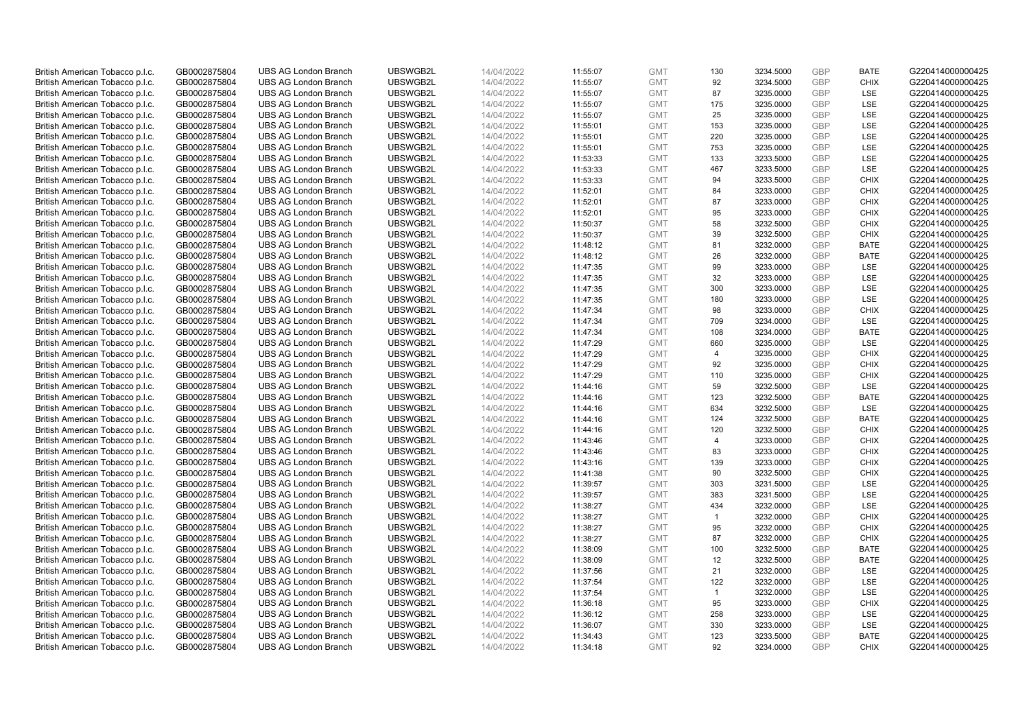| British American Tobacco p.l.c.                                    | GB0002875804                 | <b>UBS AG London Branch</b>                                | UBSWGB2L             | 14/04/2022               | 11:55:07             | <b>GMT</b>               | 130            | 3234.5000              | GBP                      | <b>BATE</b> | G220414000000425                     |
|--------------------------------------------------------------------|------------------------------|------------------------------------------------------------|----------------------|--------------------------|----------------------|--------------------------|----------------|------------------------|--------------------------|-------------|--------------------------------------|
| British American Tobacco p.l.c.                                    | GB0002875804                 | <b>UBS AG London Branch</b>                                | UBSWGB2L             | 14/04/2022               | 11:55:07             | <b>GMT</b>               | 92             | 3234.5000              | <b>GBP</b>               | <b>CHIX</b> | G220414000000425                     |
| British American Tobacco p.l.c.                                    | GB0002875804                 | <b>UBS AG London Branch</b>                                | UBSWGB2L             | 14/04/2022               | 11:55:07             | <b>GMT</b>               | 87             | 3235.0000              | GBP                      | LSE         | G220414000000425                     |
| British American Tobacco p.l.c.                                    | GB0002875804                 | <b>UBS AG London Branch</b>                                | UBSWGB2L             | 14/04/2022               | 11:55:07             | <b>GMT</b>               | 175            | 3235.0000              | <b>GBP</b>               | LSE         | G220414000000425                     |
| British American Tobacco p.l.c.                                    | GB0002875804                 | <b>UBS AG London Branch</b>                                | UBSWGB2L             | 14/04/2022               | 11:55:07             | <b>GMT</b>               | 25             | 3235.0000              | GBP                      | LSE         | G220414000000425                     |
| British American Tobacco p.l.c.                                    | GB0002875804                 | <b>UBS AG London Branch</b>                                | UBSWGB2L             | 14/04/2022               | 11:55:01             | <b>GMT</b>               | 153            | 3235.0000              | <b>GBP</b>               | LSE         | G220414000000425                     |
| British American Tobacco p.l.c.                                    | GB0002875804                 | <b>UBS AG London Branch</b>                                | UBSWGB2L             | 14/04/2022               | 11:55:01             | <b>GMT</b>               | 220            | 3235.0000              | <b>GBP</b>               | LSE         | G220414000000425                     |
| British American Tobacco p.l.c.                                    | GB0002875804                 | <b>UBS AG London Branch</b>                                | UBSWGB2L             | 14/04/2022               | 11:55:01             | <b>GMT</b>               | 753            | 3235.0000              | <b>GBP</b>               | LSE         | G220414000000425                     |
| British American Tobacco p.l.c.                                    | GB0002875804                 | <b>UBS AG London Branch</b>                                | UBSWGB2L             | 14/04/2022               | 11:53:33             | <b>GMT</b>               | 133            | 3233.5000              | <b>GBP</b>               | LSE         | G220414000000425                     |
| British American Tobacco p.l.c.                                    | GB0002875804                 | <b>UBS AG London Branch</b>                                | UBSWGB2L             | 14/04/2022               | 11:53:33             | <b>GMT</b>               | 467            | 3233.5000              | <b>GBP</b>               | LSE         | G220414000000425                     |
| British American Tobacco p.l.c.                                    | GB0002875804                 | <b>UBS AG London Branch</b>                                | UBSWGB2L             | 14/04/2022               | 11:53:33             | <b>GMT</b>               | 94             | 3233.5000              | GBP                      | <b>CHIX</b> | G220414000000425                     |
| British American Tobacco p.l.c.                                    | GB0002875804                 | <b>UBS AG London Branch</b>                                | UBSWGB2L             | 14/04/2022               | 11:52:01             | <b>GMT</b>               | 84             | 3233.0000              | <b>GBP</b>               | <b>CHIX</b> | G220414000000425                     |
| British American Tobacco p.l.c.                                    | GB0002875804                 | <b>UBS AG London Branch</b>                                | UBSWGB2L             | 14/04/2022               | 11:52:01             | <b>GMT</b>               | 87             | 3233.0000              | <b>GBP</b>               | <b>CHIX</b> | G220414000000425                     |
| British American Tobacco p.l.c.                                    | GB0002875804                 | <b>UBS AG London Branch</b>                                | UBSWGB2L             | 14/04/2022               | 11:52:01             | <b>GMT</b>               | 95             | 3233.0000              | GBP                      | <b>CHIX</b> | G220414000000425                     |
| British American Tobacco p.l.c.                                    | GB0002875804                 | <b>UBS AG London Branch</b>                                | UBSWGB2L             | 14/04/2022               | 11:50:37             | <b>GMT</b>               | 58             | 3232.5000              | <b>GBP</b>               | <b>CHIX</b> | G220414000000425                     |
| British American Tobacco p.l.c.                                    | GB0002875804                 | <b>UBS AG London Branch</b>                                | UBSWGB2L             | 14/04/2022               | 11:50:37             | <b>GMT</b>               | 39             | 3232.5000              | GBP                      | <b>CHIX</b> | G220414000000425                     |
| British American Tobacco p.l.c.                                    | GB0002875804                 | <b>UBS AG London Branch</b>                                | UBSWGB2L             | 14/04/2022               | 11:48:12             | <b>GMT</b>               | 81             | 3232.0000              | <b>GBP</b>               | <b>BATE</b> | G220414000000425                     |
| British American Tobacco p.l.c.                                    | GB0002875804                 | <b>UBS AG London Branch</b>                                | UBSWGB2L             | 14/04/2022               | 11:48:12             | <b>GMT</b>               | 26             | 3232.0000              | GBP                      | <b>BATE</b> | G220414000000425                     |
| British American Tobacco p.l.c.                                    | GB0002875804                 | <b>UBS AG London Branch</b>                                | UBSWGB2L             | 14/04/2022               | 11:47:35             | <b>GMT</b>               | 99             | 3233.0000              | <b>GBP</b>               | <b>LSE</b>  | G220414000000425                     |
| British American Tobacco p.l.c.                                    | GB0002875804                 | <b>UBS AG London Branch</b>                                | UBSWGB2L             | 14/04/2022               | 11:47:35             | <b>GMT</b>               | 32             | 3233.0000              | <b>GBP</b>               | LSE         | G220414000000425                     |
| British American Tobacco p.l.c.                                    | GB0002875804                 | <b>UBS AG London Branch</b>                                | UBSWGB2L             | 14/04/2022               | 11:47:35             | <b>GMT</b>               | 300            | 3233.0000              | <b>GBP</b>               | LSE         | G220414000000425                     |
| British American Tobacco p.l.c.                                    | GB0002875804                 | <b>UBS AG London Branch</b>                                | UBSWGB2L             | 14/04/2022               | 11:47:35             | <b>GMT</b>               | 180            | 3233.0000              | <b>GBP</b>               | LSE         | G220414000000425                     |
| British American Tobacco p.l.c.                                    | GB0002875804                 | <b>UBS AG London Branch</b>                                | UBSWGB2L             | 14/04/2022               | 11:47:34             | <b>GMT</b>               | 98             | 3233.0000              | <b>GBP</b>               | <b>CHIX</b> | G220414000000425                     |
| British American Tobacco p.l.c.                                    | GB0002875804                 | <b>UBS AG London Branch</b>                                | UBSWGB2L             | 14/04/2022               | 11:47:34             | <b>GMT</b>               | 709            | 3234.0000              | GBP                      | <b>LSE</b>  | G220414000000425                     |
| British American Tobacco p.l.c.                                    | GB0002875804                 | <b>UBS AG London Branch</b>                                | UBSWGB2L             | 14/04/2022               | 11:47:34             | <b>GMT</b>               | 108            | 3234.0000              | <b>GBP</b>               | <b>BATE</b> | G220414000000425                     |
| British American Tobacco p.l.c.                                    | GB0002875804                 | <b>UBS AG London Branch</b>                                | UBSWGB2L             | 14/04/2022               | 11:47:29             | <b>GMT</b>               | 660            | 3235.0000              | <b>GBP</b>               | LSE         | G220414000000425                     |
| British American Tobacco p.l.c.                                    | GB0002875804                 | <b>UBS AG London Branch</b>                                | UBSWGB2L             | 14/04/2022               | 11:47:29             | <b>GMT</b>               | $\overline{4}$ | 3235.0000              | GBP                      | <b>CHIX</b> | G220414000000425                     |
| British American Tobacco p.l.c.                                    | GB0002875804                 | <b>UBS AG London Branch</b>                                | UBSWGB2L             | 14/04/2022               | 11:47:29             | <b>GMT</b>               | 92             | 3235.0000              | <b>GBP</b>               | <b>CHIX</b> | G220414000000425                     |
| British American Tobacco p.l.c.                                    | GB0002875804                 | <b>UBS AG London Branch</b>                                | UBSWGB2L             | 14/04/2022               | 11:47:29             | <b>GMT</b>               | 110            | 3235.0000              | GBP                      | <b>CHIX</b> | G220414000000425                     |
| British American Tobacco p.l.c.                                    | GB0002875804                 | <b>UBS AG London Branch</b>                                | UBSWGB2L             | 14/04/2022               | 11:44:16             | <b>GMT</b>               | 59             | 3232.5000              | <b>GBP</b>               | LSE         | G220414000000425                     |
| British American Tobacco p.l.c.                                    | GB0002875804                 | <b>UBS AG London Branch</b>                                | UBSWGB2L             | 14/04/2022               | 11:44:16             | <b>GMT</b>               | 123            | 3232.5000              | GBP                      | <b>BATE</b> | G220414000000425                     |
| British American Tobacco p.l.c.                                    | GB0002875804                 | <b>UBS AG London Branch</b>                                | UBSWGB2L             | 14/04/2022               | 11:44:16             | <b>GMT</b>               | 634            | 3232.5000              | <b>GBP</b>               | <b>LSE</b>  | G220414000000425                     |
| British American Tobacco p.l.c.                                    | GB0002875804                 | <b>UBS AG London Branch</b>                                | UBSWGB2L             | 14/04/2022               | 11:44:16             | <b>GMT</b>               | 124            | 3232.5000              | GBP                      | <b>BATE</b> | G220414000000425                     |
| British American Tobacco p.l.c.                                    | GB0002875804                 | <b>UBS AG London Branch</b>                                | UBSWGB2L             | 14/04/2022               | 11:44:16             | <b>GMT</b>               | 120            | 3232.5000              | GBP                      | <b>CHIX</b> | G220414000000425                     |
| British American Tobacco p.l.c.                                    | GB0002875804                 | <b>UBS AG London Branch</b>                                | UBSWGB2L             | 14/04/2022               | 11:43:46             | <b>GMT</b>               | $\overline{4}$ | 3233.0000              | <b>GBP</b>               | <b>CHIX</b> | G220414000000425                     |
| British American Tobacco p.l.c.                                    | GB0002875804                 | <b>UBS AG London Branch</b>                                | UBSWGB2L             | 14/04/2022               | 11:43:46             | <b>GMT</b>               | 83             | 3233.0000              | <b>GBP</b>               | <b>CHIX</b> | G220414000000425                     |
| British American Tobacco p.l.c.                                    | GB0002875804                 | <b>UBS AG London Branch</b>                                | UBSWGB2L             | 14/04/2022               | 11:43:16             | <b>GMT</b>               | 139            | 3233.0000              | GBP                      | <b>CHIX</b> | G220414000000425                     |
| British American Tobacco p.l.c.                                    | GB0002875804                 | <b>UBS AG London Branch</b>                                | UBSWGB2L             | 14/04/2022               | 11:41:38             | <b>GMT</b>               | 90             | 3232.5000              | <b>GBP</b>               | <b>CHIX</b> | G220414000000425                     |
| British American Tobacco p.l.c.                                    | GB0002875804                 | <b>UBS AG London Branch</b>                                | UBSWGB2L             | 14/04/2022               | 11:39:57             | <b>GMT</b>               | 303            | 3231.5000              | <b>GBP</b>               | LSE         | G220414000000425                     |
| British American Tobacco p.l.c.                                    | GB0002875804                 | <b>UBS AG London Branch</b>                                | UBSWGB2L             | 14/04/2022               | 11:39:57             | <b>GMT</b>               | 383            | 3231.5000              | GBP                      | LSE         | G220414000000425                     |
| British American Tobacco p.l.c.                                    | GB0002875804                 | <b>UBS AG London Branch</b>                                | UBSWGB2L             | 14/04/2022               | 11:38:27             | <b>GMT</b>               | 434            | 3232.0000              | <b>GBP</b>               | LSE         | G220414000000425                     |
| British American Tobacco p.l.c.                                    | GB0002875804                 | <b>UBS AG London Branch</b>                                | UBSWGB2L             | 14/04/2022               | 11:38:27             | <b>GMT</b>               | $\overline{1}$ | 3232.0000              | GBP                      | <b>CHIX</b> | G220414000000425                     |
| British American Tobacco p.l.c.                                    | GB0002875804                 | <b>UBS AG London Branch</b>                                | UBSWGB2L             | 14/04/2022               | 11:38:27             | <b>GMT</b>               | 95             | 3232.0000              | GBP                      | <b>CHIX</b> | G220414000000425                     |
| British American Tobacco p.l.c.                                    | GB0002875804                 | <b>UBS AG London Branch</b>                                | UBSWGB2L             | 14/04/2022               | 11:38:27             | <b>GMT</b>               | 87             | 3232.0000              | GBP                      | <b>CHIX</b> | G220414000000425                     |
| British American Tobacco p.l.c.                                    | GB0002875804                 | <b>UBS AG London Branch</b>                                | UBSWGB2L             | 14/04/2022               | 11:38:09             | <b>GMT</b>               | 100            | 3232.5000              | GBP                      | <b>BATE</b> | G220414000000425                     |
| British American Tobacco p.l.c.                                    | GB0002875804                 | <b>UBS AG London Branch</b>                                | UBSWGB2L             | 14/04/2022               | 11:38:09             | <b>GMT</b>               | 12             | 3232.5000              | GBP                      | <b>BATE</b> | G220414000000425                     |
| British American Tobacco p.l.c.                                    | GB0002875804                 | <b>UBS AG London Branch</b>                                | UBSWGB2L             | 14/04/2022               | 11:37:56             | <b>GMT</b>               | 21             | 3232.0000              | GBP                      | LSE         | G220414000000425                     |
| British American Tobacco p.l.c.                                    | GB0002875804                 | <b>UBS AG London Branch</b>                                | UBSWGB2L             | 14/04/2022               | 11:37:54             | <b>GMT</b>               | 122            | 3232.0000              | <b>GBP</b><br><b>GBP</b> | LSE         | G220414000000425                     |
| British American Tobacco p.l.c.                                    | GB0002875804                 | <b>UBS AG London Branch</b>                                | UBSWGB2L             | 14/04/2022               | 11:37:54             | <b>GMT</b><br><b>GMT</b> | $\overline{1}$ | 3232.0000              | GBP                      | LSE         | G220414000000425                     |
| British American Tobacco p.l.c.                                    | GB0002875804                 | <b>UBS AG London Branch</b>                                | UBSWGB2L             | 14/04/2022               | 11:36:18             |                          | 95             | 3233.0000              |                          | <b>CHIX</b> | G220414000000425                     |
| British American Tobacco p.l.c.<br>British American Tobacco p.l.c. | GB0002875804<br>GB0002875804 | <b>UBS AG London Branch</b><br><b>UBS AG London Branch</b> | UBSWGB2L<br>UBSWGB2L | 14/04/2022<br>14/04/2022 | 11:36:12<br>11:36:07 | <b>GMT</b><br><b>GMT</b> | 258<br>330     | 3233.0000<br>3233.0000 | <b>GBP</b><br><b>GBP</b> | LSE<br>LSE  | G220414000000425<br>G220414000000425 |
| British American Tobacco p.l.c.                                    | GB0002875804                 | <b>UBS AG London Branch</b>                                | UBSWGB2L             | 14/04/2022               | 11:34:43             | <b>GMT</b>               | 123            | 3233.5000              | GBP                      | <b>BATE</b> | G220414000000425                     |
| British American Tobacco p.l.c.                                    | GB0002875804                 | <b>UBS AG London Branch</b>                                | UBSWGB2L             | 14/04/2022               | 11:34:18             | <b>GMT</b>               | 92             | 3234.0000              | <b>GBP</b>               | <b>CHIX</b> | G220414000000425                     |
|                                                                    |                              |                                                            |                      |                          |                      |                          |                |                        |                          |             |                                      |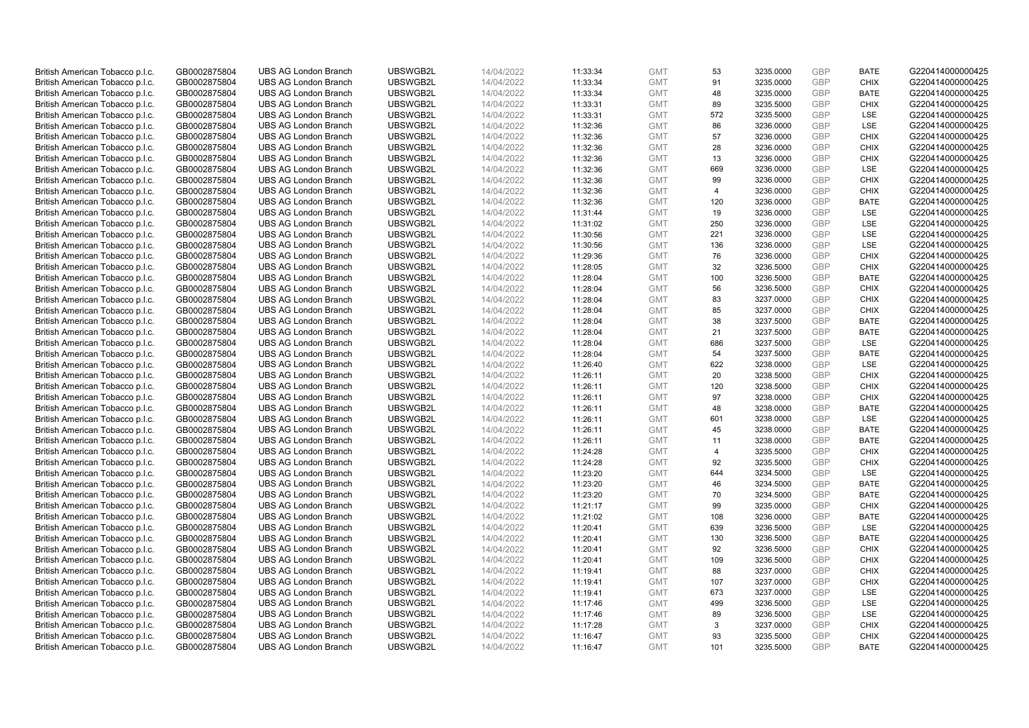| British American Tobacco p.l.c. | GB0002875804 | <b>UBS AG London Branch</b> | UBSWGB2L | 14/04/2022 | 11:33:34 | <b>GMT</b> | 53  | 3235.0000 | GBP        | <b>BATE</b> | G220414000000425 |
|---------------------------------|--------------|-----------------------------|----------|------------|----------|------------|-----|-----------|------------|-------------|------------------|
| British American Tobacco p.l.c. | GB0002875804 | <b>UBS AG London Branch</b> | UBSWGB2L | 14/04/2022 | 11:33:34 | <b>GMT</b> | 91  | 3235.0000 | <b>GBP</b> | <b>CHIX</b> | G220414000000425 |
| British American Tobacco p.l.c. | GB0002875804 | <b>UBS AG London Branch</b> | UBSWGB2L | 14/04/2022 | 11:33:34 | <b>GMT</b> | 48  | 3235.0000 | GBP        | <b>BATE</b> | G220414000000425 |
| British American Tobacco p.l.c. | GB0002875804 | <b>UBS AG London Branch</b> | UBSWGB2L | 14/04/2022 | 11:33:31 | <b>GMT</b> | 89  | 3235.5000 | <b>GBP</b> | <b>CHIX</b> | G220414000000425 |
| British American Tobacco p.l.c. | GB0002875804 | <b>UBS AG London Branch</b> | UBSWGB2L | 14/04/2022 | 11:33:31 | <b>GMT</b> | 572 | 3235.5000 | GBP        | LSE         | G220414000000425 |
| British American Tobacco p.l.c. | GB0002875804 | <b>UBS AG London Branch</b> | UBSWGB2L | 14/04/2022 | 11:32:36 | <b>GMT</b> | 86  | 3236.0000 | <b>GBP</b> | LSE         | G220414000000425 |
| British American Tobacco p.l.c. | GB0002875804 | <b>UBS AG London Branch</b> | UBSWGB2L | 14/04/2022 | 11:32:36 | <b>GMT</b> | 57  | 3236.0000 | <b>GBP</b> | <b>CHIX</b> | G220414000000425 |
| British American Tobacco p.l.c. | GB0002875804 | <b>UBS AG London Branch</b> | UBSWGB2L | 14/04/2022 | 11:32:36 | <b>GMT</b> | 28  | 3236.0000 | <b>GBP</b> | <b>CHIX</b> | G220414000000425 |
| British American Tobacco p.l.c. | GB0002875804 | <b>UBS AG London Branch</b> | UBSWGB2L | 14/04/2022 | 11:32:36 | <b>GMT</b> | 13  | 3236.0000 | GBP        | <b>CHIX</b> | G220414000000425 |
| British American Tobacco p.l.c. | GB0002875804 | <b>UBS AG London Branch</b> | UBSWGB2L | 14/04/2022 | 11:32:36 | <b>GMT</b> | 669 | 3236.0000 | <b>GBP</b> | LSE         | G220414000000425 |
| British American Tobacco p.l.c. | GB0002875804 | <b>UBS AG London Branch</b> | UBSWGB2L | 14/04/2022 | 11:32:36 | <b>GMT</b> | 99  | 3236.0000 | GBP        | <b>CHIX</b> | G220414000000425 |
| British American Tobacco p.l.c. | GB0002875804 | <b>UBS AG London Branch</b> | UBSWGB2L | 14/04/2022 | 11:32:36 | <b>GMT</b> | 4   | 3236.0000 | <b>GBP</b> | <b>CHIX</b> | G220414000000425 |
| British American Tobacco p.l.c. | GB0002875804 | <b>UBS AG London Branch</b> | UBSWGB2L | 14/04/2022 | 11:32:36 | <b>GMT</b> | 120 | 3236.0000 | <b>GBP</b> | <b>BATE</b> | G220414000000425 |
| British American Tobacco p.l.c. | GB0002875804 | <b>UBS AG London Branch</b> | UBSWGB2L | 14/04/2022 | 11:31:44 | <b>GMT</b> | 19  | 3236.0000 | GBP        | LSE         | G220414000000425 |
| British American Tobacco p.l.c. | GB0002875804 | <b>UBS AG London Branch</b> | UBSWGB2L | 14/04/2022 | 11:31:02 | <b>GMT</b> | 250 | 3236.0000 | <b>GBP</b> | <b>LSE</b>  | G220414000000425 |
| British American Tobacco p.l.c. | GB0002875804 | <b>UBS AG London Branch</b> | UBSWGB2L | 14/04/2022 | 11:30:56 | <b>GMT</b> | 221 | 3236.0000 | GBP        | LSE         | G220414000000425 |
| British American Tobacco p.l.c. | GB0002875804 | <b>UBS AG London Branch</b> | UBSWGB2L | 14/04/2022 | 11:30:56 | <b>GMT</b> | 136 | 3236.0000 | <b>GBP</b> | LSE         | G220414000000425 |
| British American Tobacco p.l.c. | GB0002875804 | <b>UBS AG London Branch</b> | UBSWGB2L | 14/04/2022 | 11:29:36 | <b>GMT</b> | 76  | 3236.0000 | GBP        | <b>CHIX</b> | G220414000000425 |
| British American Tobacco p.l.c. | GB0002875804 | <b>UBS AG London Branch</b> | UBSWGB2L | 14/04/2022 | 11:28:05 | <b>GMT</b> | 32  | 3236.5000 | <b>GBP</b> | <b>CHIX</b> | G220414000000425 |
| British American Tobacco p.l.c. | GB0002875804 | <b>UBS AG London Branch</b> | UBSWGB2L | 14/04/2022 | 11:28:04 | <b>GMT</b> | 100 | 3236.5000 | GBP        | <b>BATE</b> | G220414000000425 |
| British American Tobacco p.l.c. | GB0002875804 | <b>UBS AG London Branch</b> | UBSWGB2L | 14/04/2022 | 11:28:04 | <b>GMT</b> | 56  | 3236.5000 | GBP        | <b>CHIX</b> | G220414000000425 |
| British American Tobacco p.l.c. | GB0002875804 | <b>UBS AG London Branch</b> | UBSWGB2L | 14/04/2022 | 11:28:04 | <b>GMT</b> | 83  | 3237.0000 | GBP        | <b>CHIX</b> | G220414000000425 |
| British American Tobacco p.l.c. | GB0002875804 | <b>UBS AG London Branch</b> | UBSWGB2L | 14/04/2022 | 11:28:04 | <b>GMT</b> | 85  | 3237.0000 | <b>GBP</b> | <b>CHIX</b> | G220414000000425 |
| British American Tobacco p.l.c. | GB0002875804 | <b>UBS AG London Branch</b> | UBSWGB2L | 14/04/2022 | 11:28:04 | <b>GMT</b> | 38  | 3237.5000 | GBP        | <b>BATE</b> | G220414000000425 |
| British American Tobacco p.l.c. | GB0002875804 | <b>UBS AG London Branch</b> | UBSWGB2L | 14/04/2022 | 11:28:04 | <b>GMT</b> | 21  | 3237.5000 | <b>GBP</b> | <b>BATE</b> | G220414000000425 |
| British American Tobacco p.l.c. | GB0002875804 | <b>UBS AG London Branch</b> | UBSWGB2L | 14/04/2022 | 11:28:04 | <b>GMT</b> | 686 | 3237.5000 | <b>GBP</b> | LSE         | G220414000000425 |
| British American Tobacco p.l.c. | GB0002875804 | <b>UBS AG London Branch</b> | UBSWGB2L | 14/04/2022 | 11:28:04 | <b>GMT</b> | 54  | 3237.5000 | GBP        | <b>BATE</b> | G220414000000425 |
| British American Tobacco p.l.c. | GB0002875804 | <b>UBS AG London Branch</b> | UBSWGB2L | 14/04/2022 | 11:26:40 | <b>GMT</b> | 622 | 3238.0000 | <b>GBP</b> | LSE         | G220414000000425 |
| British American Tobacco p.l.c. | GB0002875804 | <b>UBS AG London Branch</b> | UBSWGB2L | 14/04/2022 | 11:26:11 | <b>GMT</b> | 20  | 3238.5000 | GBP        | <b>CHIX</b> | G220414000000425 |
| British American Tobacco p.l.c. | GB0002875804 | <b>UBS AG London Branch</b> | UBSWGB2L | 14/04/2022 | 11:26:11 | <b>GMT</b> | 120 | 3238.5000 | <b>GBP</b> | <b>CHIX</b> | G220414000000425 |
| British American Tobacco p.l.c. | GB0002875804 | <b>UBS AG London Branch</b> | UBSWGB2L | 14/04/2022 | 11:26:11 | <b>GMT</b> | 97  | 3238.0000 | GBP        | <b>CHIX</b> | G220414000000425 |
| British American Tobacco p.l.c. | GB0002875804 | <b>UBS AG London Branch</b> | UBSWGB2L | 14/04/2022 | 11:26:11 | <b>GMT</b> | 48  | 3238.0000 | <b>GBP</b> | <b>BATE</b> | G220414000000425 |
| British American Tobacco p.l.c. | GB0002875804 | <b>UBS AG London Branch</b> | UBSWGB2L | 14/04/2022 | 11:26:11 | <b>GMT</b> | 601 | 3238.0000 | GBP        | LSE         | G220414000000425 |
| British American Tobacco p.l.c. | GB0002875804 | <b>UBS AG London Branch</b> | UBSWGB2L | 14/04/2022 | 11:26:11 | <b>GMT</b> | 45  | 3238.0000 | GBP        | <b>BATE</b> | G220414000000425 |
| British American Tobacco p.l.c. | GB0002875804 | <b>UBS AG London Branch</b> | UBSWGB2L | 14/04/2022 | 11:26:11 | <b>GMT</b> | 11  | 3238.0000 | <b>GBP</b> | <b>BATE</b> | G220414000000425 |
| British American Tobacco p.l.c. | GB0002875804 | <b>UBS AG London Branch</b> | UBSWGB2L | 14/04/2022 | 11:24:28 | <b>GMT</b> | 4   | 3235.5000 | <b>GBP</b> | <b>CHIX</b> | G220414000000425 |
| British American Tobacco p.l.c. | GB0002875804 | <b>UBS AG London Branch</b> | UBSWGB2L | 14/04/2022 | 11:24:28 | <b>GMT</b> | 92  | 3235.5000 | GBP        | <b>CHIX</b> | G220414000000425 |
| British American Tobacco p.l.c. | GB0002875804 | <b>UBS AG London Branch</b> | UBSWGB2L | 14/04/2022 | 11:23:20 | <b>GMT</b> | 644 | 3234.5000 | <b>GBP</b> | LSE         | G220414000000425 |
| British American Tobacco p.l.c. | GB0002875804 | <b>UBS AG London Branch</b> | UBSWGB2L | 14/04/2022 | 11:23:20 | <b>GMT</b> | 46  | 3234.5000 | <b>GBP</b> | <b>BATE</b> | G220414000000425 |
| British American Tobacco p.l.c. | GB0002875804 | <b>UBS AG London Branch</b> | UBSWGB2L | 14/04/2022 | 11:23:20 | <b>GMT</b> | 70  | 3234.5000 | GBP        | <b>BATE</b> | G220414000000425 |
| British American Tobacco p.l.c. | GB0002875804 | <b>UBS AG London Branch</b> | UBSWGB2L | 14/04/2022 | 11:21:17 | <b>GMT</b> | 99  | 3235.0000 | <b>GBP</b> | <b>CHIX</b> | G220414000000425 |
| British American Tobacco p.l.c. | GB0002875804 | <b>UBS AG London Branch</b> | UBSWGB2L | 14/04/2022 | 11:21:02 | <b>GMT</b> | 108 | 3236.0000 | GBP        | <b>BATE</b> | G220414000000425 |
| British American Tobacco p.l.c. | GB0002875804 | <b>UBS AG London Branch</b> | UBSWGB2L | 14/04/2022 | 11:20:41 | <b>GMT</b> | 639 | 3236.5000 | GBP        | LSE         | G220414000000425 |
| British American Tobacco p.l.c. | GB0002875804 | <b>UBS AG London Branch</b> | UBSWGB2L | 14/04/2022 | 11:20:41 | <b>GMT</b> | 130 | 3236.5000 | GBP        | <b>BATE</b> | G220414000000425 |
| British American Tobacco p.l.c. | GB0002875804 | <b>UBS AG London Branch</b> | UBSWGB2L | 14/04/2022 | 11:20:41 | <b>GMT</b> | 92  | 3236.5000 | <b>GBP</b> | <b>CHIX</b> | G220414000000425 |
| British American Tobacco p.l.c. | GB0002875804 | <b>UBS AG London Branch</b> | UBSWGB2L | 14/04/2022 | 11:20:41 | <b>GMT</b> | 109 | 3236.5000 | GBP        | <b>CHIX</b> | G220414000000425 |
| British American Tobacco p.l.c. | GB0002875804 | <b>UBS AG London Branch</b> | UBSWGB2L | 14/04/2022 | 11:19:41 | <b>GMT</b> | 88  | 3237.0000 | GBP        | <b>CHIX</b> | G220414000000425 |
| British American Tobacco p.l.c. | GB0002875804 | <b>UBS AG London Branch</b> | UBSWGB2L | 14/04/2022 | 11:19:41 | <b>GMT</b> | 107 | 3237.0000 | <b>GBP</b> | <b>CHIX</b> | G220414000000425 |
| British American Tobacco p.l.c. | GB0002875804 | <b>UBS AG London Branch</b> | UBSWGB2L | 14/04/2022 | 11:19:41 | <b>GMT</b> | 673 | 3237.0000 | <b>GBP</b> | LSE         | G220414000000425 |
| British American Tobacco p.l.c. | GB0002875804 | <b>UBS AG London Branch</b> | UBSWGB2L | 14/04/2022 | 11:17:46 | <b>GMT</b> | 499 | 3236.5000 | GBP        | <b>LSE</b>  | G220414000000425 |
| British American Tobacco p.l.c. | GB0002875804 | <b>UBS AG London Branch</b> | UBSWGB2L | 14/04/2022 | 11:17:46 | <b>GMT</b> | 89  | 3236.5000 | <b>GBP</b> | LSE         | G220414000000425 |
| British American Tobacco p.l.c. | GB0002875804 | <b>UBS AG London Branch</b> | UBSWGB2L | 14/04/2022 | 11:17:28 | <b>GMT</b> | 3   | 3237.0000 | <b>GBP</b> | <b>CHIX</b> | G220414000000425 |
| British American Tobacco p.l.c. | GB0002875804 | <b>UBS AG London Branch</b> | UBSWGB2L | 14/04/2022 | 11:16:47 | <b>GMT</b> | 93  | 3235.5000 | GBP        | <b>CHIX</b> | G220414000000425 |
| British American Tobacco p.l.c. | GB0002875804 | <b>UBS AG London Branch</b> | UBSWGB2L | 14/04/2022 | 11:16:47 | <b>GMT</b> | 101 | 3235.5000 | <b>GBP</b> | <b>BATE</b> | G220414000000425 |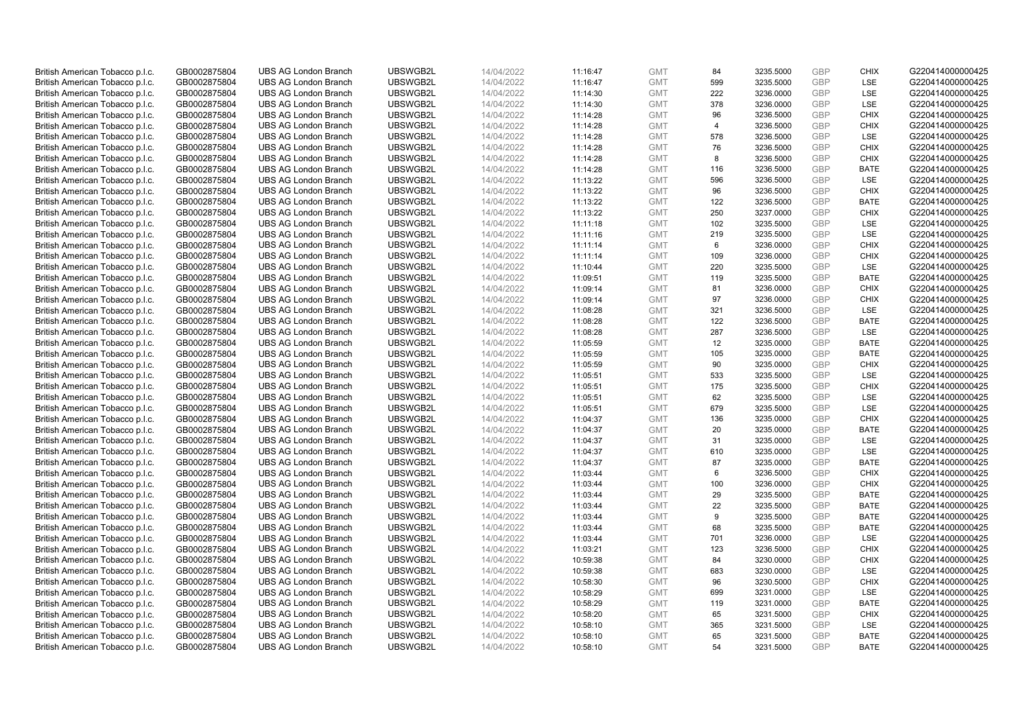| British American Tobacco p.l.c. | GB0002875804 | <b>UBS AG London Branch</b> | UBSWGB2L | 14/04/2022 | 11:16:47 | <b>GMT</b> | 84             | 3235.5000 | GBP        | <b>CHIX</b> | G220414000000425 |
|---------------------------------|--------------|-----------------------------|----------|------------|----------|------------|----------------|-----------|------------|-------------|------------------|
| British American Tobacco p.l.c. | GB0002875804 | <b>UBS AG London Branch</b> | UBSWGB2L | 14/04/2022 | 11:16:47 | <b>GMT</b> | 599            | 3235.5000 | <b>GBP</b> | <b>LSE</b>  | G220414000000425 |
| British American Tobacco p.l.c. | GB0002875804 | <b>UBS AG London Branch</b> | UBSWGB2L | 14/04/2022 | 11:14:30 | <b>GMT</b> | 222            | 3236.0000 | GBP        | LSE         | G220414000000425 |
| British American Tobacco p.l.c. | GB0002875804 | <b>UBS AG London Branch</b> | UBSWGB2L | 14/04/2022 | 11:14:30 | <b>GMT</b> | 378            | 3236.0000 | <b>GBP</b> | LSE         | G220414000000425 |
| British American Tobacco p.l.c. | GB0002875804 | <b>UBS AG London Branch</b> | UBSWGB2L | 14/04/2022 | 11:14:28 | <b>GMT</b> | 96             | 3236.5000 | GBP        | <b>CHIX</b> | G220414000000425 |
| British American Tobacco p.l.c. | GB0002875804 | <b>UBS AG London Branch</b> | UBSWGB2L | 14/04/2022 | 11:14:28 | <b>GMT</b> | $\overline{4}$ | 3236.5000 | <b>GBP</b> | <b>CHIX</b> | G220414000000425 |
| British American Tobacco p.l.c. | GB0002875804 | <b>UBS AG London Branch</b> | UBSWGB2L | 14/04/2022 | 11:14:28 | <b>GMT</b> | 578            | 3236.5000 | <b>GBP</b> | LSE         | G220414000000425 |
| British American Tobacco p.l.c. | GB0002875804 | <b>UBS AG London Branch</b> | UBSWGB2L | 14/04/2022 | 11:14:28 | <b>GMT</b> | 76             | 3236.5000 | <b>GBP</b> | <b>CHIX</b> | G220414000000425 |
| British American Tobacco p.l.c. | GB0002875804 | <b>UBS AG London Branch</b> | UBSWGB2L | 14/04/2022 | 11:14:28 | <b>GMT</b> | 8              | 3236.5000 | GBP        | <b>CHIX</b> | G220414000000425 |
| British American Tobacco p.l.c. | GB0002875804 | <b>UBS AG London Branch</b> | UBSWGB2L | 14/04/2022 | 11:14:28 | <b>GMT</b> | 116            | 3236.5000 | <b>GBP</b> | <b>BATE</b> | G220414000000425 |
| British American Tobacco p.l.c. | GB0002875804 | <b>UBS AG London Branch</b> | UBSWGB2L | 14/04/2022 | 11:13:22 | <b>GMT</b> | 596            | 3236.5000 | GBP        | <b>LSE</b>  | G220414000000425 |
| British American Tobacco p.l.c. | GB0002875804 | <b>UBS AG London Branch</b> | UBSWGB2L | 14/04/2022 | 11:13:22 | <b>GMT</b> | 96             | 3236.5000 | <b>GBP</b> | <b>CHIX</b> | G220414000000425 |
| British American Tobacco p.l.c. | GB0002875804 | <b>UBS AG London Branch</b> | UBSWGB2L | 14/04/2022 | 11:13:22 | <b>GMT</b> | 122            | 3236.5000 | <b>GBP</b> | <b>BATE</b> | G220414000000425 |
| British American Tobacco p.l.c. | GB0002875804 | <b>UBS AG London Branch</b> | UBSWGB2L | 14/04/2022 | 11:13:22 | <b>GMT</b> | 250            | 3237.0000 | GBP        | <b>CHIX</b> | G220414000000425 |
| British American Tobacco p.l.c. | GB0002875804 | <b>UBS AG London Branch</b> | UBSWGB2L | 14/04/2022 | 11:11:18 | <b>GMT</b> | 102            | 3235.5000 | <b>GBP</b> | <b>LSE</b>  | G220414000000425 |
| British American Tobacco p.l.c. | GB0002875804 | <b>UBS AG London Branch</b> | UBSWGB2L | 14/04/2022 | 11:11:16 | <b>GMT</b> | 219            | 3235.5000 | GBP        | LSE         | G220414000000425 |
| British American Tobacco p.l.c. | GB0002875804 | <b>UBS AG London Branch</b> | UBSWGB2L | 14/04/2022 | 11:11:14 | <b>GMT</b> | $\,6\,$        | 3236.0000 | <b>GBP</b> | <b>CHIX</b> | G220414000000425 |
| British American Tobacco p.l.c. | GB0002875804 | <b>UBS AG London Branch</b> | UBSWGB2L | 14/04/2022 | 11:11:14 | <b>GMT</b> | 109            | 3236.0000 | GBP        | <b>CHIX</b> | G220414000000425 |
| British American Tobacco p.l.c. | GB0002875804 | <b>UBS AG London Branch</b> | UBSWGB2L | 14/04/2022 | 11:10:44 | <b>GMT</b> | 220            | 3235.5000 | <b>GBP</b> | <b>LSE</b>  | G220414000000425 |
| British American Tobacco p.l.c. | GB0002875804 | <b>UBS AG London Branch</b> | UBSWGB2L | 14/04/2022 | 11:09:51 | <b>GMT</b> | 119            | 3235.5000 | GBP        | <b>BATE</b> | G220414000000425 |
| British American Tobacco p.l.c. | GB0002875804 | <b>UBS AG London Branch</b> | UBSWGB2L | 14/04/2022 | 11:09:14 | <b>GMT</b> | 81             | 3236.0000 | <b>GBP</b> | <b>CHIX</b> | G220414000000425 |
| British American Tobacco p.l.c. | GB0002875804 | <b>UBS AG London Branch</b> | UBSWGB2L | 14/04/2022 | 11:09:14 | <b>GMT</b> | 97             | 3236.0000 | GBP        | <b>CHIX</b> | G220414000000425 |
| British American Tobacco p.l.c. | GB0002875804 | <b>UBS AG London Branch</b> | UBSWGB2L | 14/04/2022 | 11:08:28 | <b>GMT</b> | 321            | 3236.5000 | <b>GBP</b> | LSE         | G220414000000425 |
| British American Tobacco p.l.c. | GB0002875804 | <b>UBS AG London Branch</b> | UBSWGB2L | 14/04/2022 | 11:08:28 | <b>GMT</b> | 122            | 3236.5000 | GBP        | <b>BATE</b> | G220414000000425 |
| British American Tobacco p.l.c. | GB0002875804 | <b>UBS AG London Branch</b> | UBSWGB2L | 14/04/2022 | 11:08:28 | <b>GMT</b> | 287            | 3236.5000 | <b>GBP</b> | LSE         | G220414000000425 |
| British American Tobacco p.l.c. | GB0002875804 | <b>UBS AG London Branch</b> | UBSWGB2L | 14/04/2022 | 11:05:59 | <b>GMT</b> | 12             | 3235.0000 | <b>GBP</b> | <b>BATE</b> | G220414000000425 |
| British American Tobacco p.l.c. | GB0002875804 | <b>UBS AG London Branch</b> | UBSWGB2L | 14/04/2022 | 11:05:59 | <b>GMT</b> | 105            | 3235.0000 | GBP        | <b>BATE</b> | G220414000000425 |
| British American Tobacco p.l.c. | GB0002875804 | <b>UBS AG London Branch</b> | UBSWGB2L | 14/04/2022 | 11:05:59 | <b>GMT</b> | 90             | 3235.0000 | <b>GBP</b> | <b>CHIX</b> | G220414000000425 |
| British American Tobacco p.l.c. | GB0002875804 | <b>UBS AG London Branch</b> | UBSWGB2L | 14/04/2022 | 11:05:51 | <b>GMT</b> | 533            | 3235.5000 | GBP        | LSE         | G220414000000425 |
| British American Tobacco p.l.c. | GB0002875804 | <b>UBS AG London Branch</b> | UBSWGB2L | 14/04/2022 | 11:05:51 | <b>GMT</b> | 175            | 3235.5000 | <b>GBP</b> | <b>CHIX</b> | G220414000000425 |
| British American Tobacco p.l.c. | GB0002875804 | <b>UBS AG London Branch</b> | UBSWGB2L | 14/04/2022 | 11:05:51 | <b>GMT</b> | 62             | 3235.5000 | GBP        | LSE         | G220414000000425 |
| British American Tobacco p.l.c. | GB0002875804 | <b>UBS AG London Branch</b> | UBSWGB2L | 14/04/2022 | 11:05:51 | <b>GMT</b> | 679            | 3235.5000 | <b>GBP</b> | <b>LSE</b>  | G220414000000425 |
| British American Tobacco p.l.c. | GB0002875804 | <b>UBS AG London Branch</b> | UBSWGB2L | 14/04/2022 | 11:04:37 | <b>GMT</b> | 136            | 3235.0000 | GBP        | <b>CHIX</b> | G220414000000425 |
| British American Tobacco p.l.c. | GB0002875804 | <b>UBS AG London Branch</b> | UBSWGB2L | 14/04/2022 | 11:04:37 | <b>GMT</b> | 20             | 3235.0000 | GBP        | <b>BATE</b> | G220414000000425 |
| British American Tobacco p.l.c. | GB0002875804 | <b>UBS AG London Branch</b> | UBSWGB2L | 14/04/2022 | 11:04:37 | <b>GMT</b> | 31             | 3235.0000 | GBP        | LSE         | G220414000000425 |
| British American Tobacco p.l.c. | GB0002875804 | <b>UBS AG London Branch</b> | UBSWGB2L | 14/04/2022 | 11:04:37 | <b>GMT</b> | 610            | 3235.0000 | <b>GBP</b> | LSE         | G220414000000425 |
| British American Tobacco p.l.c. | GB0002875804 | <b>UBS AG London Branch</b> | UBSWGB2L | 14/04/2022 | 11:04:37 | <b>GMT</b> | 87             | 3235.0000 | GBP        | <b>BATE</b> | G220414000000425 |
| British American Tobacco p.l.c. | GB0002875804 | <b>UBS AG London Branch</b> | UBSWGB2L | 14/04/2022 | 11:03:44 | <b>GMT</b> | 6              | 3236.5000 | <b>GBP</b> | <b>CHIX</b> | G220414000000425 |
| British American Tobacco p.l.c. | GB0002875804 | <b>UBS AG London Branch</b> | UBSWGB2L | 14/04/2022 | 11:03:44 | <b>GMT</b> | 100            | 3236.0000 | GBP        | <b>CHIX</b> | G220414000000425 |
| British American Tobacco p.l.c. | GB0002875804 | <b>UBS AG London Branch</b> | UBSWGB2L | 14/04/2022 | 11:03:44 | <b>GMT</b> | 29             | 3235.5000 | GBP        | <b>BATE</b> | G220414000000425 |
| British American Tobacco p.l.c. | GB0002875804 | <b>UBS AG London Branch</b> | UBSWGB2L | 14/04/2022 | 11:03:44 | <b>GMT</b> | 22             | 3235.5000 | <b>GBP</b> | <b>BATE</b> | G220414000000425 |
| British American Tobacco p.l.c. | GB0002875804 | <b>UBS AG London Branch</b> | UBSWGB2L | 14/04/2022 | 11:03:44 | <b>GMT</b> | 9              | 3235.5000 | GBP        | <b>BATE</b> | G220414000000425 |
| British American Tobacco p.l.c. | GB0002875804 | <b>UBS AG London Branch</b> | UBSWGB2L | 14/04/2022 | 11:03:44 | <b>GMT</b> | 68             | 3235.5000 | GBP        | <b>BATE</b> | G220414000000425 |
| British American Tobacco p.l.c. | GB0002875804 | <b>UBS AG London Branch</b> | UBSWGB2L | 14/04/2022 | 11:03:44 | <b>GMT</b> | 701            | 3236.0000 | GBP        | LSE         | G220414000000425 |
| British American Tobacco p.l.c. | GB0002875804 | <b>UBS AG London Branch</b> | UBSWGB2L | 14/04/2022 | 11:03:21 | <b>GMT</b> | 123            | 3236.5000 | <b>GBP</b> | <b>CHIX</b> | G220414000000425 |
| British American Tobacco p.l.c. | GB0002875804 | <b>UBS AG London Branch</b> | UBSWGB2L | 14/04/2022 | 10:59:38 | <b>GMT</b> | 84             | 3230.0000 | GBP        | <b>CHIX</b> | G220414000000425 |
| British American Tobacco p.l.c. | GB0002875804 | <b>UBS AG London Branch</b> | UBSWGB2L | 14/04/2022 | 10:59:38 | <b>GMT</b> | 683            | 3230.0000 | GBP        | LSE         | G220414000000425 |
| British American Tobacco p.l.c. | GB0002875804 | <b>UBS AG London Branch</b> | UBSWGB2L | 14/04/2022 | 10:58:30 | <b>GMT</b> | 96             | 3230.5000 | <b>GBP</b> | <b>CHIX</b> | G220414000000425 |
| British American Tobacco p.l.c. | GB0002875804 | <b>UBS AG London Branch</b> | UBSWGB2L | 14/04/2022 | 10:58:29 | <b>GMT</b> | 699            | 3231.0000 | GBP        | LSE         | G220414000000425 |
| British American Tobacco p.l.c. | GB0002875804 | <b>UBS AG London Branch</b> | UBSWGB2L | 14/04/2022 | 10:58:29 | <b>GMT</b> | 119            | 3231.0000 | GBP        | <b>BATE</b> | G220414000000425 |
| British American Tobacco p.l.c. | GB0002875804 | <b>UBS AG London Branch</b> | UBSWGB2L | 14/04/2022 | 10:58:20 | <b>GMT</b> | 65             | 3231.5000 | <b>GBP</b> | <b>CHIX</b> | G220414000000425 |
| British American Tobacco p.l.c. | GB0002875804 | <b>UBS AG London Branch</b> | UBSWGB2L | 14/04/2022 | 10:58:10 | <b>GMT</b> | 365            | 3231.5000 | <b>GBP</b> | LSE         | G220414000000425 |
| British American Tobacco p.l.c. | GB0002875804 | <b>UBS AG London Branch</b> | UBSWGB2L | 14/04/2022 | 10:58:10 | <b>GMT</b> | 65             | 3231.5000 | GBP        | <b>BATE</b> | G220414000000425 |
| British American Tobacco p.l.c. | GB0002875804 | <b>UBS AG London Branch</b> | UBSWGB2L | 14/04/2022 | 10:58:10 | <b>GMT</b> | 54             | 3231.5000 | <b>GBP</b> | <b>BATE</b> | G220414000000425 |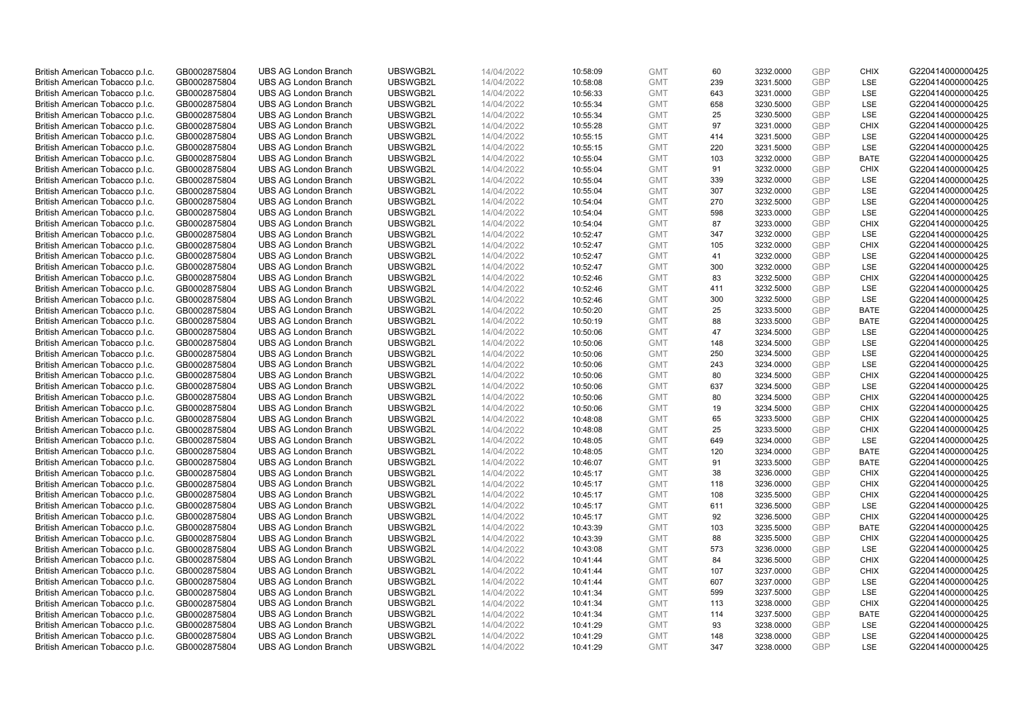| British American Tobacco p.l.c. | GB0002875804 | <b>UBS AG London Branch</b> | UBSWGB2L | 14/04/2022 | 10:58:09 | <b>GMT</b> | 60  | 3232.0000 | GBP        | <b>CHIX</b> | G220414000000425 |
|---------------------------------|--------------|-----------------------------|----------|------------|----------|------------|-----|-----------|------------|-------------|------------------|
| British American Tobacco p.l.c. | GB0002875804 | <b>UBS AG London Branch</b> | UBSWGB2L | 14/04/2022 | 10:58:08 | <b>GMT</b> | 239 | 3231.5000 | <b>GBP</b> | <b>LSE</b>  | G220414000000425 |
| British American Tobacco p.l.c. | GB0002875804 | <b>UBS AG London Branch</b> | UBSWGB2L | 14/04/2022 | 10:56:33 | <b>GMT</b> | 643 | 3231.0000 | GBP        | LSE         | G220414000000425 |
| British American Tobacco p.l.c. | GB0002875804 | <b>UBS AG London Branch</b> | UBSWGB2L | 14/04/2022 | 10:55:34 | <b>GMT</b> | 658 | 3230.5000 | <b>GBP</b> | LSE         | G220414000000425 |
| British American Tobacco p.l.c. | GB0002875804 | <b>UBS AG London Branch</b> | UBSWGB2L | 14/04/2022 | 10:55:34 | <b>GMT</b> | 25  | 3230.5000 | GBP        | LSE         | G220414000000425 |
| British American Tobacco p.l.c. | GB0002875804 | <b>UBS AG London Branch</b> | UBSWGB2L | 14/04/2022 | 10:55:28 | <b>GMT</b> | 97  | 3231.0000 | <b>GBP</b> | <b>CHIX</b> | G220414000000425 |
| British American Tobacco p.l.c. | GB0002875804 | <b>UBS AG London Branch</b> | UBSWGB2L | 14/04/2022 | 10:55:15 | <b>GMT</b> | 414 | 3231.5000 | <b>GBP</b> | <b>LSE</b>  | G220414000000425 |
| British American Tobacco p.l.c. | GB0002875804 | <b>UBS AG London Branch</b> | UBSWGB2L | 14/04/2022 | 10:55:15 | <b>GMT</b> | 220 | 3231.5000 | <b>GBP</b> | LSE         | G220414000000425 |
| British American Tobacco p.l.c. | GB0002875804 | <b>UBS AG London Branch</b> | UBSWGB2L | 14/04/2022 | 10:55:04 | <b>GMT</b> | 103 | 3232.0000 | <b>GBP</b> | <b>BATE</b> | G220414000000425 |
| British American Tobacco p.l.c. | GB0002875804 | <b>UBS AG London Branch</b> | UBSWGB2L | 14/04/2022 | 10:55:04 | <b>GMT</b> | 91  | 3232.0000 | <b>GBP</b> | <b>CHIX</b> | G220414000000425 |
| British American Tobacco p.l.c. | GB0002875804 | <b>UBS AG London Branch</b> | UBSWGB2L | 14/04/2022 | 10:55:04 | <b>GMT</b> | 339 | 3232.0000 | GBP        | <b>LSE</b>  | G220414000000425 |
| British American Tobacco p.l.c. | GB0002875804 | <b>UBS AG London Branch</b> | UBSWGB2L | 14/04/2022 | 10:55:04 | <b>GMT</b> | 307 | 3232.0000 | <b>GBP</b> | LSE         | G220414000000425 |
| British American Tobacco p.l.c. | GB0002875804 | <b>UBS AG London Branch</b> | UBSWGB2L | 14/04/2022 | 10:54:04 | <b>GMT</b> | 270 | 3232.5000 | <b>GBP</b> | LSE         | G220414000000425 |
| British American Tobacco p.l.c. | GB0002875804 | <b>UBS AG London Branch</b> | UBSWGB2L | 14/04/2022 | 10:54:04 | <b>GMT</b> | 598 | 3233.0000 | GBP        | LSE         | G220414000000425 |
| British American Tobacco p.l.c. | GB0002875804 | <b>UBS AG London Branch</b> | UBSWGB2L | 14/04/2022 | 10:54:04 | <b>GMT</b> | 87  | 3233.0000 | <b>GBP</b> | <b>CHIX</b> | G220414000000425 |
| British American Tobacco p.l.c. | GB0002875804 | <b>UBS AG London Branch</b> | UBSWGB2L | 14/04/2022 | 10:52:47 | <b>GMT</b> | 347 | 3232.0000 | GBP        | LSE         | G220414000000425 |
| British American Tobacco p.l.c. | GB0002875804 | <b>UBS AG London Branch</b> | UBSWGB2L | 14/04/2022 | 10:52:47 | <b>GMT</b> | 105 | 3232.0000 | <b>GBP</b> | <b>CHIX</b> | G220414000000425 |
| British American Tobacco p.l.c. | GB0002875804 | <b>UBS AG London Branch</b> | UBSWGB2L | 14/04/2022 | 10:52:47 | <b>GMT</b> | 41  | 3232.0000 | GBP        | LSE         | G220414000000425 |
| British American Tobacco p.l.c. | GB0002875804 | <b>UBS AG London Branch</b> | UBSWGB2L | 14/04/2022 | 10:52:47 | <b>GMT</b> | 300 | 3232.0000 | <b>GBP</b> | <b>LSE</b>  | G220414000000425 |
| British American Tobacco p.l.c. | GB0002875804 | <b>UBS AG London Branch</b> | UBSWGB2L | 14/04/2022 | 10:52:46 | <b>GMT</b> | 83  | 3232.5000 | GBP        | <b>CHIX</b> | G220414000000425 |
| British American Tobacco p.l.c. | GB0002875804 | <b>UBS AG London Branch</b> | UBSWGB2L | 14/04/2022 | 10:52:46 | <b>GMT</b> | 411 | 3232.5000 | <b>GBP</b> | LSE         | G220414000000425 |
| British American Tobacco p.l.c. | GB0002875804 | <b>UBS AG London Branch</b> | UBSWGB2L | 14/04/2022 | 10:52:46 | <b>GMT</b> | 300 | 3232.5000 | GBP        | LSE         | G220414000000425 |
| British American Tobacco p.l.c. | GB0002875804 | <b>UBS AG London Branch</b> | UBSWGB2L | 14/04/2022 | 10:50:20 | <b>GMT</b> | 25  | 3233.5000 | <b>GBP</b> | <b>BATE</b> | G220414000000425 |
| British American Tobacco p.l.c. | GB0002875804 | <b>UBS AG London Branch</b> | UBSWGB2L | 14/04/2022 | 10:50:19 | <b>GMT</b> | 88  | 3233.5000 | GBP        | <b>BATE</b> | G220414000000425 |
| British American Tobacco p.l.c. | GB0002875804 | <b>UBS AG London Branch</b> | UBSWGB2L | 14/04/2022 | 10:50:06 | <b>GMT</b> | 47  | 3234.5000 | <b>GBP</b> | LSE         | G220414000000425 |
| British American Tobacco p.l.c. | GB0002875804 | <b>UBS AG London Branch</b> | UBSWGB2L | 14/04/2022 | 10:50:06 | <b>GMT</b> | 148 | 3234.5000 | <b>GBP</b> | LSE         | G220414000000425 |
| British American Tobacco p.l.c. | GB0002875804 | <b>UBS AG London Branch</b> | UBSWGB2L | 14/04/2022 | 10:50:06 | <b>GMT</b> | 250 | 3234.5000 | GBP        | LSE         | G220414000000425 |
| British American Tobacco p.l.c. | GB0002875804 | <b>UBS AG London Branch</b> | UBSWGB2L | 14/04/2022 | 10:50:06 | <b>GMT</b> | 243 | 3234.0000 | <b>GBP</b> | <b>LSE</b>  | G220414000000425 |
| British American Tobacco p.l.c. | GB0002875804 | <b>UBS AG London Branch</b> | UBSWGB2L | 14/04/2022 | 10:50:06 | <b>GMT</b> | 80  | 3234.5000 | GBP        | <b>CHIX</b> | G220414000000425 |
| British American Tobacco p.l.c. | GB0002875804 | <b>UBS AG London Branch</b> | UBSWGB2L | 14/04/2022 | 10:50:06 | <b>GMT</b> | 637 | 3234.5000 | <b>GBP</b> | LSE         | G220414000000425 |
| British American Tobacco p.l.c. | GB0002875804 | <b>UBS AG London Branch</b> | UBSWGB2L | 14/04/2022 | 10:50:06 | <b>GMT</b> | 80  | 3234.5000 | GBP        | <b>CHIX</b> | G220414000000425 |
| British American Tobacco p.l.c. | GB0002875804 | <b>UBS AG London Branch</b> | UBSWGB2L | 14/04/2022 | 10:50:06 | <b>GMT</b> | 19  | 3234.5000 | <b>GBP</b> | <b>CHIX</b> | G220414000000425 |
| British American Tobacco p.l.c. | GB0002875804 | <b>UBS AG London Branch</b> | UBSWGB2L | 14/04/2022 | 10:48:08 | <b>GMT</b> | 65  | 3233.5000 | GBP        | <b>CHIX</b> | G220414000000425 |
| British American Tobacco p.l.c. | GB0002875804 | <b>UBS AG London Branch</b> | UBSWGB2L | 14/04/2022 | 10:48:08 | <b>GMT</b> | 25  | 3233.5000 | GBP        | <b>CHIX</b> | G220414000000425 |
| British American Tobacco p.l.c. | GB0002875804 | <b>UBS AG London Branch</b> | UBSWGB2L | 14/04/2022 | 10:48:05 | <b>GMT</b> | 649 | 3234.0000 | <b>GBP</b> | LSE         | G220414000000425 |
| British American Tobacco p.l.c. | GB0002875804 | <b>UBS AG London Branch</b> | UBSWGB2L | 14/04/2022 | 10:48:05 | <b>GMT</b> | 120 | 3234.0000 | GBP        | <b>BATE</b> | G220414000000425 |
| British American Tobacco p.l.c. | GB0002875804 | <b>UBS AG London Branch</b> | UBSWGB2L | 14/04/2022 | 10:46:07 | <b>GMT</b> | 91  | 3233.5000 | GBP        | <b>BATE</b> | G220414000000425 |
| British American Tobacco p.l.c. | GB0002875804 | <b>UBS AG London Branch</b> | UBSWGB2L | 14/04/2022 | 10:45:17 | <b>GMT</b> | 38  | 3236.0000 | <b>GBP</b> | <b>CHIX</b> | G220414000000425 |
| British American Tobacco p.l.c. | GB0002875804 | <b>UBS AG London Branch</b> | UBSWGB2L | 14/04/2022 | 10:45:17 | <b>GMT</b> | 118 | 3236.0000 | <b>GBP</b> | <b>CHIX</b> | G220414000000425 |
| British American Tobacco p.l.c. | GB0002875804 | <b>UBS AG London Branch</b> | UBSWGB2L | 14/04/2022 | 10:45:17 | <b>GMT</b> | 108 | 3235.5000 | GBP        | <b>CHIX</b> | G220414000000425 |
| British American Tobacco p.l.c. | GB0002875804 | <b>UBS AG London Branch</b> | UBSWGB2L | 14/04/2022 | 10:45:17 | <b>GMT</b> | 611 | 3236.5000 | <b>GBP</b> | LSE         | G220414000000425 |
| British American Tobacco p.l.c. | GB0002875804 | <b>UBS AG London Branch</b> | UBSWGB2L | 14/04/2022 | 10:45:17 | <b>GMT</b> | 92  | 3236.5000 | GBP        | <b>CHIX</b> | G220414000000425 |
| British American Tobacco p.l.c. | GB0002875804 | <b>UBS AG London Branch</b> | UBSWGB2L | 14/04/2022 | 10:43:39 | <b>GMT</b> | 103 | 3235.5000 | GBP        | <b>BATE</b> | G220414000000425 |
| British American Tobacco p.l.c. | GB0002875804 | <b>UBS AG London Branch</b> | UBSWGB2L | 14/04/2022 | 10:43:39 | <b>GMT</b> | 88  | 3235.5000 | GBP        | <b>CHIX</b> | G220414000000425 |
| British American Tobacco p.l.c. | GB0002875804 | <b>UBS AG London Branch</b> | UBSWGB2L | 14/04/2022 | 10:43:08 | <b>GMT</b> | 573 | 3236.0000 | <b>GBP</b> | <b>LSE</b>  | G220414000000425 |
| British American Tobacco p.l.c. | GB0002875804 | <b>UBS AG London Branch</b> | UBSWGB2L | 14/04/2022 | 10:41:44 | <b>GMT</b> | 84  | 3236.5000 | GBP        | <b>CHIX</b> | G220414000000425 |
| British American Tobacco p.l.c. | GB0002875804 | <b>UBS AG London Branch</b> | UBSWGB2L | 14/04/2022 | 10:41:44 | <b>GMT</b> | 107 | 3237.0000 | GBP        | <b>CHIX</b> | G220414000000425 |
| British American Tobacco p.l.c. | GB0002875804 | <b>UBS AG London Branch</b> | UBSWGB2L | 14/04/2022 | 10:41:44 | <b>GMT</b> | 607 | 3237.0000 | <b>GBP</b> | LSE         | G220414000000425 |
| British American Tobacco p.l.c. | GB0002875804 | <b>UBS AG London Branch</b> | UBSWGB2L | 14/04/2022 | 10:41:34 | <b>GMT</b> | 599 | 3237.5000 | <b>GBP</b> | LSE         | G220414000000425 |
| British American Tobacco p.l.c. | GB0002875804 | <b>UBS AG London Branch</b> | UBSWGB2L | 14/04/2022 | 10:41:34 | <b>GMT</b> | 113 | 3238.0000 | GBP        | <b>CHIX</b> | G220414000000425 |
| British American Tobacco p.l.c. | GB0002875804 | <b>UBS AG London Branch</b> | UBSWGB2L | 14/04/2022 | 10:41:34 | <b>GMT</b> | 114 | 3237.5000 | <b>GBP</b> | <b>BATE</b> | G220414000000425 |
| British American Tobacco p.l.c. | GB0002875804 | <b>UBS AG London Branch</b> | UBSWGB2L | 14/04/2022 | 10:41:29 | <b>GMT</b> | 93  | 3238.0000 | <b>GBP</b> | LSE         | G220414000000425 |
| British American Tobacco p.l.c. | GB0002875804 | <b>UBS AG London Branch</b> | UBSWGB2L | 14/04/2022 | 10:41:29 | <b>GMT</b> | 148 | 3238.0000 | GBP        | LSE         | G220414000000425 |
| British American Tobacco p.l.c. | GB0002875804 | <b>UBS AG London Branch</b> | UBSWGB2L | 14/04/2022 | 10:41:29 | <b>GMT</b> | 347 | 3238.0000 | <b>GBP</b> | <b>LSE</b>  | G220414000000425 |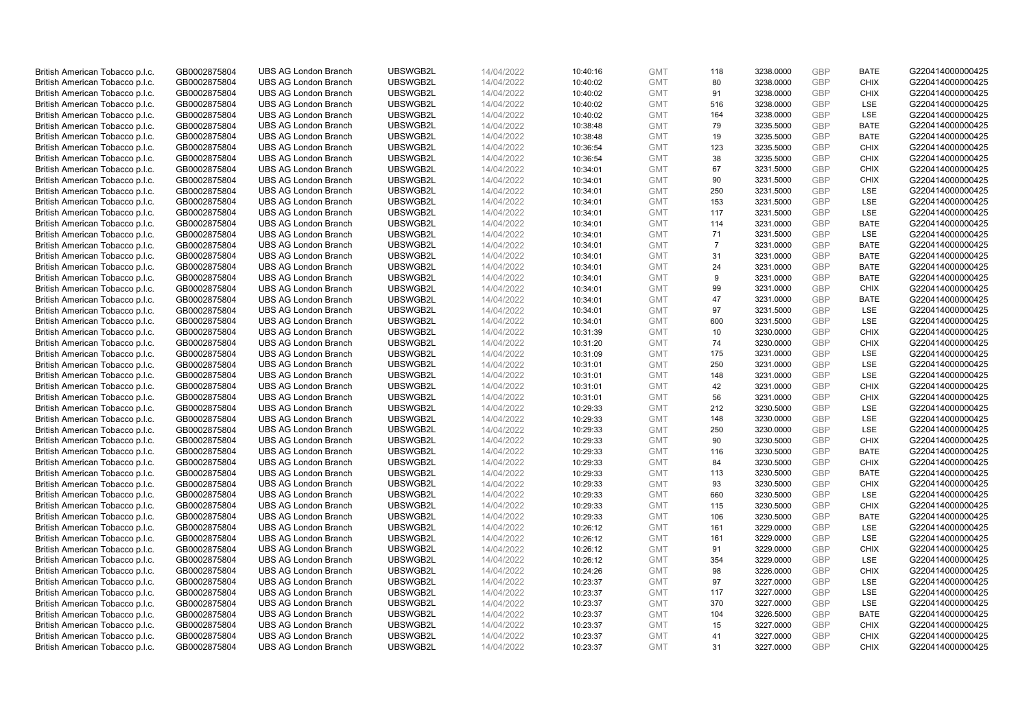| British American Tobacco p.l.c. | GB0002875804 | <b>UBS AG London Branch</b> | UBSWGB2L | 14/04/2022 | 10:40:16 | <b>GMT</b> | 118            | 3238.0000 | GBP        | <b>BATE</b> | G220414000000425 |
|---------------------------------|--------------|-----------------------------|----------|------------|----------|------------|----------------|-----------|------------|-------------|------------------|
| British American Tobacco p.l.c. | GB0002875804 | <b>UBS AG London Branch</b> | UBSWGB2L | 14/04/2022 | 10:40:02 | <b>GMT</b> | 80             | 3238.0000 | <b>GBP</b> | <b>CHIX</b> | G220414000000425 |
| British American Tobacco p.l.c. | GB0002875804 | <b>UBS AG London Branch</b> | UBSWGB2L | 14/04/2022 | 10:40:02 | <b>GMT</b> | 91             | 3238.0000 | GBP        | <b>CHIX</b> | G220414000000425 |
| British American Tobacco p.l.c. | GB0002875804 | <b>UBS AG London Branch</b> | UBSWGB2L | 14/04/2022 | 10:40:02 | <b>GMT</b> | 516            | 3238.0000 | <b>GBP</b> | LSE         | G220414000000425 |
| British American Tobacco p.l.c. | GB0002875804 | <b>UBS AG London Branch</b> | UBSWGB2L | 14/04/2022 | 10:40:02 | <b>GMT</b> | 164            | 3238.0000 | GBP        | LSE         | G220414000000425 |
| British American Tobacco p.l.c. | GB0002875804 | <b>UBS AG London Branch</b> | UBSWGB2L | 14/04/2022 | 10:38:48 | <b>GMT</b> | 79             | 3235.5000 | <b>GBP</b> | <b>BATE</b> | G220414000000425 |
| British American Tobacco p.l.c. | GB0002875804 | <b>UBS AG London Branch</b> | UBSWGB2L | 14/04/2022 | 10:38:48 | <b>GMT</b> | 19             | 3235.5000 | GBP        | <b>BATE</b> | G220414000000425 |
| British American Tobacco p.l.c. | GB0002875804 | <b>UBS AG London Branch</b> | UBSWGB2L | 14/04/2022 | 10:36:54 | <b>GMT</b> | 123            | 3235.5000 | <b>GBP</b> | <b>CHIX</b> | G220414000000425 |
| British American Tobacco p.l.c. | GB0002875804 | <b>UBS AG London Branch</b> | UBSWGB2L | 14/04/2022 | 10:36:54 | <b>GMT</b> | 38             | 3235.5000 | GBP        | <b>CHIX</b> | G220414000000425 |
| British American Tobacco p.l.c. | GB0002875804 | <b>UBS AG London Branch</b> | UBSWGB2L | 14/04/2022 | 10:34:01 | <b>GMT</b> | 67             | 3231.5000 | <b>GBP</b> | <b>CHIX</b> | G220414000000425 |
| British American Tobacco p.l.c. | GB0002875804 | <b>UBS AG London Branch</b> | UBSWGB2L | 14/04/2022 | 10:34:01 | <b>GMT</b> | 90             | 3231.5000 | GBP        | <b>CHIX</b> | G220414000000425 |
| British American Tobacco p.l.c. | GB0002875804 | <b>UBS AG London Branch</b> | UBSWGB2L | 14/04/2022 | 10:34:01 | <b>GMT</b> | 250            | 3231.5000 | <b>GBP</b> | LSE         | G220414000000425 |
| British American Tobacco p.l.c. | GB0002875804 | <b>UBS AG London Branch</b> | UBSWGB2L | 14/04/2022 | 10:34:01 | <b>GMT</b> | 153            | 3231.5000 | <b>GBP</b> | LSE         | G220414000000425 |
| British American Tobacco p.l.c. | GB0002875804 | <b>UBS AG London Branch</b> | UBSWGB2L | 14/04/2022 | 10:34:01 | <b>GMT</b> | 117            | 3231.5000 | GBP        | LSE         | G220414000000425 |
| British American Tobacco p.l.c. | GB0002875804 | <b>UBS AG London Branch</b> | UBSWGB2L | 14/04/2022 | 10:34:01 | <b>GMT</b> | 114            | 3231.0000 | <b>GBP</b> | <b>BATE</b> | G220414000000425 |
| British American Tobacco p.l.c. | GB0002875804 | <b>UBS AG London Branch</b> | UBSWGB2L | 14/04/2022 | 10:34:01 | <b>GMT</b> | 71             | 3231.5000 | GBP        | LSE         | G220414000000425 |
| British American Tobacco p.l.c. | GB0002875804 | <b>UBS AG London Branch</b> | UBSWGB2L | 14/04/2022 | 10:34:01 | <b>GMT</b> | $\overline{7}$ | 3231.0000 | <b>GBP</b> | <b>BATE</b> | G220414000000425 |
| British American Tobacco p.l.c. | GB0002875804 | <b>UBS AG London Branch</b> | UBSWGB2L | 14/04/2022 | 10:34:01 | <b>GMT</b> | 31             | 3231.0000 | GBP        | <b>BATE</b> | G220414000000425 |
| British American Tobacco p.l.c. | GB0002875804 | <b>UBS AG London Branch</b> | UBSWGB2L | 14/04/2022 | 10:34:01 | <b>GMT</b> | 24             | 3231.0000 | <b>GBP</b> | <b>BATE</b> | G220414000000425 |
| British American Tobacco p.l.c. | GB0002875804 | <b>UBS AG London Branch</b> | UBSWGB2L | 14/04/2022 | 10:34:01 | <b>GMT</b> | 9              | 3231.0000 | GBP        | <b>BATE</b> | G220414000000425 |
| British American Tobacco p.l.c. | GB0002875804 | <b>UBS AG London Branch</b> | UBSWGB2L | 14/04/2022 | 10:34:01 | <b>GMT</b> | 99             | 3231.0000 | GBP        | <b>CHIX</b> | G220414000000425 |
| British American Tobacco p.l.c. | GB0002875804 | <b>UBS AG London Branch</b> | UBSWGB2L | 14/04/2022 | 10:34:01 | <b>GMT</b> | 47             | 3231.0000 | GBP        | <b>BATE</b> | G220414000000425 |
| British American Tobacco p.l.c. | GB0002875804 | <b>UBS AG London Branch</b> | UBSWGB2L | 14/04/2022 | 10:34:01 | <b>GMT</b> | 97             | 3231.5000 | <b>GBP</b> | LSE         | G220414000000425 |
| British American Tobacco p.l.c. | GB0002875804 | <b>UBS AG London Branch</b> | UBSWGB2L | 14/04/2022 | 10:34:01 | <b>GMT</b> | 600            | 3231.5000 | GBP        | <b>LSE</b>  | G220414000000425 |
| British American Tobacco p.l.c. | GB0002875804 | <b>UBS AG London Branch</b> | UBSWGB2L | 14/04/2022 | 10:31:39 | <b>GMT</b> | 10             | 3230.0000 | <b>GBP</b> | <b>CHIX</b> | G220414000000425 |
| British American Tobacco p.l.c. | GB0002875804 | <b>UBS AG London Branch</b> | UBSWGB2L | 14/04/2022 | 10:31:20 | <b>GMT</b> | 74             | 3230.0000 | <b>GBP</b> | <b>CHIX</b> | G220414000000425 |
| British American Tobacco p.l.c. | GB0002875804 | <b>UBS AG London Branch</b> | UBSWGB2L | 14/04/2022 | 10:31:09 | <b>GMT</b> | 175            | 3231.0000 | GBP        | LSE         | G220414000000425 |
| British American Tobacco p.l.c. | GB0002875804 | <b>UBS AG London Branch</b> | UBSWGB2L | 14/04/2022 | 10:31:01 | <b>GMT</b> | 250            | 3231.0000 | <b>GBP</b> | <b>LSE</b>  | G220414000000425 |
| British American Tobacco p.l.c. | GB0002875804 | <b>UBS AG London Branch</b> | UBSWGB2L | 14/04/2022 | 10:31:01 | <b>GMT</b> | 148            | 3231.0000 | GBP        | LSE         | G220414000000425 |
| British American Tobacco p.l.c. | GB0002875804 | <b>UBS AG London Branch</b> | UBSWGB2L | 14/04/2022 | 10:31:01 | <b>GMT</b> | 42             | 3231.0000 | <b>GBP</b> | <b>CHIX</b> | G220414000000425 |
| British American Tobacco p.l.c. | GB0002875804 | <b>UBS AG London Branch</b> | UBSWGB2L | 14/04/2022 | 10:31:01 | <b>GMT</b> | 56             | 3231.0000 | GBP        | <b>CHIX</b> | G220414000000425 |
| British American Tobacco p.l.c. | GB0002875804 | <b>UBS AG London Branch</b> | UBSWGB2L | 14/04/2022 | 10:29:33 | <b>GMT</b> | 212            | 3230.5000 | <b>GBP</b> | <b>LSE</b>  | G220414000000425 |
| British American Tobacco p.l.c. | GB0002875804 | <b>UBS AG London Branch</b> | UBSWGB2L | 14/04/2022 | 10:29:33 | <b>GMT</b> | 148            | 3230.0000 | GBP        | LSE         | G220414000000425 |
| British American Tobacco p.l.c. | GB0002875804 | <b>UBS AG London Branch</b> | UBSWGB2L | 14/04/2022 | 10:29:33 | <b>GMT</b> | 250            | 3230.0000 | GBP        | LSE         | G220414000000425 |
| British American Tobacco p.l.c. | GB0002875804 | <b>UBS AG London Branch</b> | UBSWGB2L | 14/04/2022 | 10:29:33 | <b>GMT</b> | 90             | 3230.5000 | <b>GBP</b> | <b>CHIX</b> | G220414000000425 |
| British American Tobacco p.l.c. | GB0002875804 | <b>UBS AG London Branch</b> | UBSWGB2L | 14/04/2022 | 10:29:33 | <b>GMT</b> | 116            | 3230.5000 | GBP        | <b>BATE</b> | G220414000000425 |
| British American Tobacco p.l.c. | GB0002875804 | <b>UBS AG London Branch</b> | UBSWGB2L | 14/04/2022 | 10:29:33 | <b>GMT</b> | 84             | 3230.5000 | GBP        | <b>CHIX</b> | G220414000000425 |
| British American Tobacco p.l.c. | GB0002875804 | <b>UBS AG London Branch</b> | UBSWGB2L | 14/04/2022 | 10:29:33 | <b>GMT</b> | 113            | 3230.5000 | <b>GBP</b> | <b>BATE</b> | G220414000000425 |
| British American Tobacco p.l.c. | GB0002875804 | <b>UBS AG London Branch</b> | UBSWGB2L | 14/04/2022 | 10:29:33 | <b>GMT</b> | 93             | 3230.5000 | <b>GBP</b> | <b>CHIX</b> | G220414000000425 |
| British American Tobacco p.l.c. | GB0002875804 | <b>UBS AG London Branch</b> | UBSWGB2L | 14/04/2022 | 10:29:33 | <b>GMT</b> | 660            | 3230.5000 | GBP        | LSE         | G220414000000425 |
| British American Tobacco p.l.c. | GB0002875804 | <b>UBS AG London Branch</b> | UBSWGB2L | 14/04/2022 | 10:29:33 | <b>GMT</b> | 115            | 3230.5000 | <b>GBP</b> | <b>CHIX</b> | G220414000000425 |
| British American Tobacco p.l.c. | GB0002875804 | <b>UBS AG London Branch</b> | UBSWGB2L | 14/04/2022 | 10:29:33 | <b>GMT</b> | 106            | 3230.5000 | GBP        | <b>BATE</b> | G220414000000425 |
| British American Tobacco p.l.c. | GB0002875804 | <b>UBS AG London Branch</b> | UBSWGB2L | 14/04/2022 | 10:26:12 | <b>GMT</b> | 161            | 3229.0000 | <b>GBP</b> | LSE         | G220414000000425 |
| British American Tobacco p.l.c. | GB0002875804 | <b>UBS AG London Branch</b> | UBSWGB2L | 14/04/2022 | 10:26:12 | <b>GMT</b> | 161            | 3229.0000 | GBP        | LSE         | G220414000000425 |
| British American Tobacco p.l.c. | GB0002875804 | <b>UBS AG London Branch</b> | UBSWGB2L | 14/04/2022 | 10:26:12 | <b>GMT</b> | 91             | 3229.0000 | <b>GBP</b> | <b>CHIX</b> | G220414000000425 |
| British American Tobacco p.l.c. | GB0002875804 | <b>UBS AG London Branch</b> | UBSWGB2L | 14/04/2022 | 10:26:12 | <b>GMT</b> | 354            | 3229.0000 | GBP        | LSE         | G220414000000425 |
| British American Tobacco p.l.c. | GB0002875804 | <b>UBS AG London Branch</b> | UBSWGB2L | 14/04/2022 | 10:24:26 | <b>GMT</b> | 98             | 3226.0000 | GBP        | <b>CHIX</b> | G220414000000425 |
| British American Tobacco p.l.c. | GB0002875804 | <b>UBS AG London Branch</b> | UBSWGB2L | 14/04/2022 | 10:23:37 | <b>GMT</b> | 97             | 3227.0000 | GBP        | LSE         | G220414000000425 |
| British American Tobacco p.l.c. | GB0002875804 | <b>UBS AG London Branch</b> | UBSWGB2L | 14/04/2022 | 10:23:37 | <b>GMT</b> | 117            | 3227.0000 | <b>GBP</b> | LSE         | G220414000000425 |
| British American Tobacco p.l.c. | GB0002875804 | <b>UBS AG London Branch</b> | UBSWGB2L | 14/04/2022 | 10:23:37 | <b>GMT</b> | 370            | 3227.0000 | GBP        | <b>LSE</b>  | G220414000000425 |
| British American Tobacco p.l.c. | GB0002875804 | <b>UBS AG London Branch</b> | UBSWGB2L | 14/04/2022 | 10:23:37 | <b>GMT</b> | 104            | 3226.5000 | <b>GBP</b> | <b>BATE</b> | G220414000000425 |
| British American Tobacco p.l.c. | GB0002875804 | <b>UBS AG London Branch</b> | UBSWGB2L | 14/04/2022 | 10:23:37 | <b>GMT</b> | 15             | 3227.0000 | <b>GBP</b> | <b>CHIX</b> | G220414000000425 |
| British American Tobacco p.l.c. | GB0002875804 | <b>UBS AG London Branch</b> | UBSWGB2L | 14/04/2022 | 10:23:37 | <b>GMT</b> | 41             | 3227.0000 | GBP        | <b>CHIX</b> | G220414000000425 |
| British American Tobacco p.l.c. | GB0002875804 | <b>UBS AG London Branch</b> | UBSWGB2L | 14/04/2022 | 10:23:37 | <b>GMT</b> | 31             | 3227.0000 | <b>GBP</b> | <b>CHIX</b> | G220414000000425 |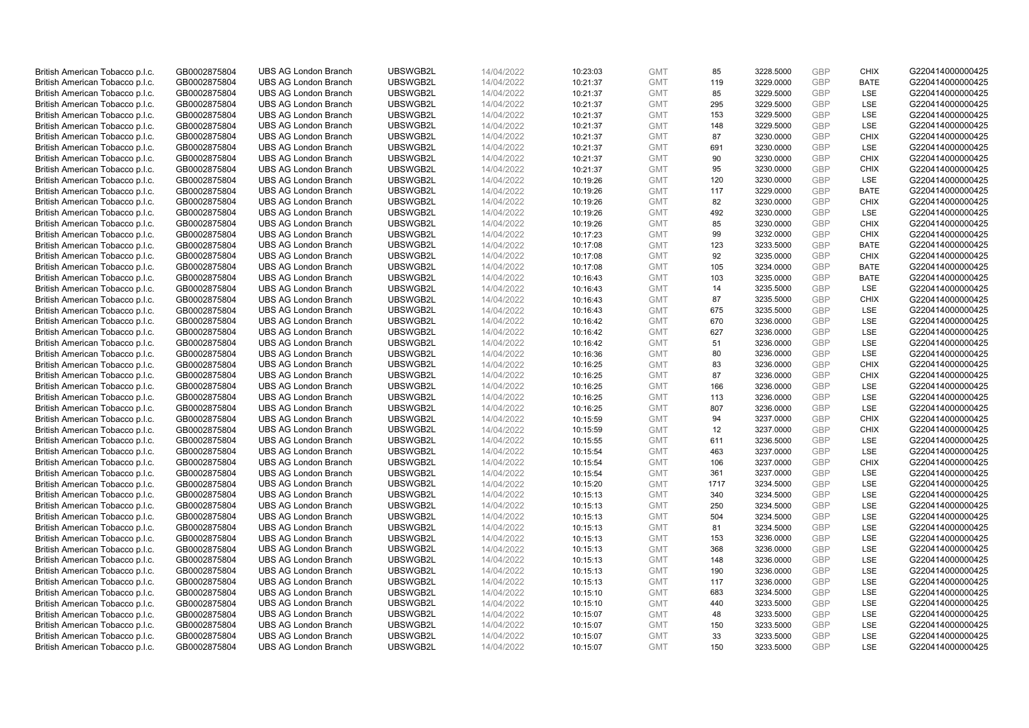| British American Tobacco p.l.c. | GB0002875804 | <b>UBS AG London Branch</b> | UBSWGB2L | 14/04/2022 | 10:23:03 | <b>GMT</b> | 85   | 3228.5000 | GBP        | <b>CHIX</b> | G220414000000425 |
|---------------------------------|--------------|-----------------------------|----------|------------|----------|------------|------|-----------|------------|-------------|------------------|
| British American Tobacco p.l.c. | GB0002875804 | <b>UBS AG London Branch</b> | UBSWGB2L | 14/04/2022 | 10:21:37 | <b>GMT</b> | 119  | 3229.0000 | <b>GBP</b> | <b>BATE</b> | G220414000000425 |
| British American Tobacco p.l.c. | GB0002875804 | <b>UBS AG London Branch</b> | UBSWGB2L | 14/04/2022 | 10:21:37 | <b>GMT</b> | 85   | 3229.5000 | GBP        | LSE         | G220414000000425 |
| British American Tobacco p.l.c. | GB0002875804 | <b>UBS AG London Branch</b> | UBSWGB2L | 14/04/2022 | 10:21:37 | <b>GMT</b> | 295  | 3229.5000 | GBP        | LSE         | G220414000000425 |
| British American Tobacco p.l.c. | GB0002875804 | <b>UBS AG London Branch</b> | UBSWGB2L | 14/04/2022 | 10:21:37 | <b>GMT</b> | 153  | 3229.5000 | <b>GBP</b> | LSE         | G220414000000425 |
| British American Tobacco p.l.c. | GB0002875804 | <b>UBS AG London Branch</b> | UBSWGB2L | 14/04/2022 | 10:21:37 | <b>GMT</b> | 148  | 3229.5000 | <b>GBP</b> | LSE         | G220414000000425 |
| British American Tobacco p.l.c. | GB0002875804 | <b>UBS AG London Branch</b> | UBSWGB2L | 14/04/2022 | 10:21:37 | <b>GMT</b> | 87   | 3230.0000 | <b>GBP</b> | <b>CHIX</b> | G220414000000425 |
| British American Tobacco p.l.c. | GB0002875804 | <b>UBS AG London Branch</b> | UBSWGB2L | 14/04/2022 | 10:21:37 | <b>GMT</b> | 691  | 3230.0000 | <b>GBP</b> | LSE         | G220414000000425 |
| British American Tobacco p.l.c. | GB0002875804 | <b>UBS AG London Branch</b> | UBSWGB2L | 14/04/2022 | 10:21:37 | <b>GMT</b> | 90   | 3230.0000 | <b>GBP</b> | <b>CHIX</b> | G220414000000425 |
| British American Tobacco p.l.c. | GB0002875804 | <b>UBS AG London Branch</b> | UBSWGB2L | 14/04/2022 | 10:21:37 | <b>GMT</b> | 95   | 3230.0000 | <b>GBP</b> | <b>CHIX</b> | G220414000000425 |
| British American Tobacco p.l.c. | GB0002875804 | <b>UBS AG London Branch</b> | UBSWGB2L | 14/04/2022 | 10:19:26 | <b>GMT</b> | 120  | 3230.0000 | <b>GBP</b> | <b>LSE</b>  | G220414000000425 |
| British American Tobacco p.l.c. | GB0002875804 | <b>UBS AG London Branch</b> | UBSWGB2L | 14/04/2022 | 10:19:26 | <b>GMT</b> | 117  | 3229.0000 | <b>GBP</b> | <b>BATE</b> | G220414000000425 |
| British American Tobacco p.l.c. | GB0002875804 | <b>UBS AG London Branch</b> | UBSWGB2L | 14/04/2022 | 10:19:26 | <b>GMT</b> | 82   | 3230.0000 | <b>GBP</b> | <b>CHIX</b> | G220414000000425 |
| British American Tobacco p.l.c. | GB0002875804 | <b>UBS AG London Branch</b> | UBSWGB2L | 14/04/2022 | 10:19:26 | <b>GMT</b> | 492  | 3230.0000 | <b>GBP</b> | <b>LSE</b>  | G220414000000425 |
| British American Tobacco p.l.c. | GB0002875804 | <b>UBS AG London Branch</b> | UBSWGB2L | 14/04/2022 | 10:19:26 | <b>GMT</b> | 85   | 3230.0000 | <b>GBP</b> | <b>CHIX</b> | G220414000000425 |
| British American Tobacco p.l.c. | GB0002875804 | <b>UBS AG London Branch</b> | UBSWGB2L | 14/04/2022 | 10:17:23 | <b>GMT</b> | 99   | 3232.0000 | GBP        | <b>CHIX</b> | G220414000000425 |
| British American Tobacco p.l.c. | GB0002875804 | <b>UBS AG London Branch</b> | UBSWGB2L | 14/04/2022 | 10:17:08 | <b>GMT</b> | 123  | 3233.5000 | <b>GBP</b> | <b>BATE</b> | G220414000000425 |
| British American Tobacco p.l.c. | GB0002875804 | <b>UBS AG London Branch</b> | UBSWGB2L | 14/04/2022 | 10:17:08 | <b>GMT</b> | 92   | 3235.0000 | GBP        | <b>CHIX</b> | G220414000000425 |
| British American Tobacco p.l.c. | GB0002875804 | <b>UBS AG London Branch</b> | UBSWGB2L | 14/04/2022 | 10:17:08 | <b>GMT</b> | 105  | 3234.0000 | <b>GBP</b> | <b>BATE</b> | G220414000000425 |
| British American Tobacco p.l.c. | GB0002875804 | <b>UBS AG London Branch</b> | UBSWGB2L | 14/04/2022 | 10:16:43 | <b>GMT</b> | 103  | 3235.0000 | GBP        | <b>BATE</b> | G220414000000425 |
| British American Tobacco p.l.c. | GB0002875804 | <b>UBS AG London Branch</b> | UBSWGB2L | 14/04/2022 | 10:16:43 | <b>GMT</b> | 14   | 3235.5000 | <b>GBP</b> | LSE         | G220414000000425 |
| British American Tobacco p.l.c. | GB0002875804 | <b>UBS AG London Branch</b> | UBSWGB2L | 14/04/2022 | 10:16:43 | <b>GMT</b> | 87   | 3235.5000 | <b>GBP</b> | <b>CHIX</b> | G220414000000425 |
| British American Tobacco p.l.c. | GB0002875804 | <b>UBS AG London Branch</b> | UBSWGB2L | 14/04/2022 | 10:16:43 | <b>GMT</b> | 675  | 3235.5000 | <b>GBP</b> | LSE         | G220414000000425 |
| British American Tobacco p.l.c. | GB0002875804 | <b>UBS AG London Branch</b> | UBSWGB2L | 14/04/2022 | 10:16:42 | <b>GMT</b> | 670  | 3236.0000 | <b>GBP</b> | LSE         | G220414000000425 |
| British American Tobacco p.l.c. | GB0002875804 | <b>UBS AG London Branch</b> | UBSWGB2L | 14/04/2022 | 10:16:42 | <b>GMT</b> | 627  | 3236.0000 | <b>GBP</b> | LSE         | G220414000000425 |
| British American Tobacco p.l.c. | GB0002875804 | <b>UBS AG London Branch</b> | UBSWGB2L | 14/04/2022 | 10:16:42 | <b>GMT</b> | 51   | 3236.0000 | <b>GBP</b> | LSE         | G220414000000425 |
| British American Tobacco p.l.c. | GB0002875804 | <b>UBS AG London Branch</b> | UBSWGB2L | 14/04/2022 | 10:16:36 | <b>GMT</b> | 80   | 3236.0000 | <b>GBP</b> | LSE         | G220414000000425 |
| British American Tobacco p.l.c. | GB0002875804 | <b>UBS AG London Branch</b> | UBSWGB2L | 14/04/2022 | 10:16:25 | <b>GMT</b> | 83   | 3236.0000 | <b>GBP</b> | <b>CHIX</b> | G220414000000425 |
| British American Tobacco p.l.c. | GB0002875804 | <b>UBS AG London Branch</b> | UBSWGB2L | 14/04/2022 | 10:16:25 | <b>GMT</b> | 87   | 3236.0000 | GBP        | <b>CHIX</b> | G220414000000425 |
| British American Tobacco p.l.c. | GB0002875804 | <b>UBS AG London Branch</b> | UBSWGB2L | 14/04/2022 | 10:16:25 | <b>GMT</b> | 166  | 3236.0000 | <b>GBP</b> | LSE         | G220414000000425 |
| British American Tobacco p.l.c. | GB0002875804 | <b>UBS AG London Branch</b> | UBSWGB2L | 14/04/2022 | 10:16:25 | <b>GMT</b> | 113  | 3236.0000 | GBP        | LSE         | G220414000000425 |
|                                 |              | <b>UBS AG London Branch</b> | UBSWGB2L |            |          |            | 807  |           | <b>GBP</b> | <b>LSE</b>  |                  |
| British American Tobacco p.l.c. | GB0002875804 |                             |          | 14/04/2022 | 10:16:25 | <b>GMT</b> |      | 3236.0000 | GBP        |             | G220414000000425 |
| British American Tobacco p.l.c. | GB0002875804 | <b>UBS AG London Branch</b> | UBSWGB2L | 14/04/2022 | 10:15:59 | <b>GMT</b> | 94   | 3237.0000 |            | <b>CHIX</b> | G220414000000425 |
| British American Tobacco p.l.c. | GB0002875804 | <b>UBS AG London Branch</b> | UBSWGB2L | 14/04/2022 | 10:15:59 | <b>GMT</b> | 12   | 3237.0000 | GBP        | <b>CHIX</b> | G220414000000425 |
| British American Tobacco p.l.c. | GB0002875804 | <b>UBS AG London Branch</b> | UBSWGB2L | 14/04/2022 | 10:15:55 | <b>GMT</b> | 611  | 3236.5000 | <b>GBP</b> | LSE         | G220414000000425 |
| British American Tobacco p.l.c. | GB0002875804 | <b>UBS AG London Branch</b> | UBSWGB2L | 14/04/2022 | 10:15:54 | <b>GMT</b> | 463  | 3237.0000 | <b>GBP</b> | LSE         | G220414000000425 |
| British American Tobacco p.l.c. | GB0002875804 | <b>UBS AG London Branch</b> | UBSWGB2L | 14/04/2022 | 10:15:54 | <b>GMT</b> | 106  | 3237.0000 | <b>GBP</b> | <b>CHIX</b> | G220414000000425 |
| British American Tobacco p.l.c. | GB0002875804 | <b>UBS AG London Branch</b> | UBSWGB2L | 14/04/2022 | 10:15:54 | <b>GMT</b> | 361  | 3237.0000 | <b>GBP</b> | LSE         | G220414000000425 |
| British American Tobacco p.l.c. | GB0002875804 | <b>UBS AG London Branch</b> | UBSWGB2L | 14/04/2022 | 10:15:20 | <b>GMT</b> | 1717 | 3234.5000 | <b>GBP</b> | LSE         | G220414000000425 |
| British American Tobacco p.l.c. | GB0002875804 | <b>UBS AG London Branch</b> | UBSWGB2L | 14/04/2022 | 10:15:13 | <b>GMT</b> | 340  | 3234.5000 | GBP        | LSE         | G220414000000425 |
| British American Tobacco p.l.c. | GB0002875804 | <b>UBS AG London Branch</b> | UBSWGB2L | 14/04/2022 | 10:15:13 | <b>GMT</b> | 250  | 3234.5000 | <b>GBP</b> | <b>LSE</b>  | G220414000000425 |
| British American Tobacco p.l.c. | GB0002875804 | <b>UBS AG London Branch</b> | UBSWGB2L | 14/04/2022 | 10:15:13 | <b>GMT</b> | 504  | 3234.5000 | <b>GBP</b> | LSE         | G220414000000425 |
| British American Tobacco p.l.c. | GB0002875804 | <b>UBS AG London Branch</b> | UBSWGB2L | 14/04/2022 | 10:15:13 | <b>GMT</b> | 81   | 3234.5000 | <b>GBP</b> | LSE         | G220414000000425 |
| British American Tobacco p.l.c. | GB0002875804 | <b>UBS AG London Branch</b> | UBSWGB2L | 14/04/2022 | 10:15:13 | <b>GMT</b> | 153  | 3236.0000 | GBP        | LSE         | G220414000000425 |
| British American Tobacco p.l.c. | GB0002875804 | <b>UBS AG London Branch</b> | UBSWGB2L | 14/04/2022 | 10:15:13 | <b>GMT</b> | 368  | 3236.0000 | <b>GBP</b> | LSE         | G220414000000425 |
| British American Tobacco p.l.c. | GB0002875804 | <b>UBS AG London Branch</b> | UBSWGB2L | 14/04/2022 | 10:15:13 | <b>GMT</b> | 148  | 3236.0000 | <b>GBP</b> | LSE         | G220414000000425 |
| British American Tobacco p.l.c. | GB0002875804 | <b>UBS AG London Branch</b> | UBSWGB2L | 14/04/2022 | 10:15:13 | <b>GMT</b> | 190  | 3236.0000 | <b>GBP</b> | LSE         | G220414000000425 |
| British American Tobacco p.l.c. | GB0002875804 | <b>UBS AG London Branch</b> | UBSWGB2L | 14/04/2022 | 10:15:13 | <b>GMT</b> | 117  | 3236.0000 | <b>GBP</b> | LSE         | G220414000000425 |
| British American Tobacco p.l.c. | GB0002875804 | <b>UBS AG London Branch</b> | UBSWGB2L | 14/04/2022 | 10:15:10 | <b>GMT</b> | 683  | 3234.5000 | <b>GBP</b> | LSE         | G220414000000425 |
| British American Tobacco p.l.c. | GB0002875804 | <b>UBS AG London Branch</b> | UBSWGB2L | 14/04/2022 | 10:15:10 | <b>GMT</b> | 440  | 3233.5000 | <b>GBP</b> | LSE         | G220414000000425 |
| British American Tobacco p.l.c. | GB0002875804 | <b>UBS AG London Branch</b> | UBSWGB2L | 14/04/2022 | 10:15:07 | <b>GMT</b> | 48   | 3233.5000 | GBP        | LSE         | G220414000000425 |
| British American Tobacco p.l.c. | GB0002875804 | <b>UBS AG London Branch</b> | UBSWGB2L | 14/04/2022 | 10:15:07 | <b>GMT</b> | 150  | 3233.5000 | <b>GBP</b> | LSE         | G220414000000425 |
| British American Tobacco p.l.c. | GB0002875804 | <b>UBS AG London Branch</b> | UBSWGB2L | 14/04/2022 | 10:15:07 | <b>GMT</b> | 33   | 3233.5000 | GBP        | LSE         | G220414000000425 |
| British American Tobacco p.l.c. | GB0002875804 | <b>UBS AG London Branch</b> | UBSWGB2L | 14/04/2022 | 10:15:07 | <b>GMT</b> | 150  | 3233.5000 | GBP        | <b>LSE</b>  | G220414000000425 |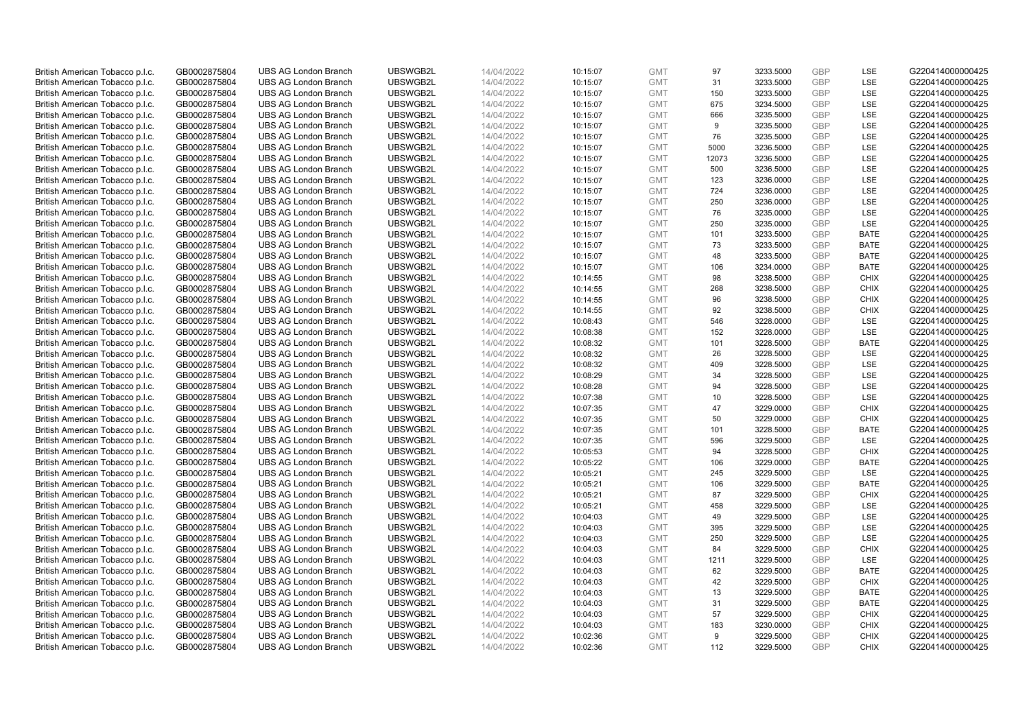| British American Tobacco p.l.c. | GB0002875804 | <b>UBS AG London Branch</b> | UBSWGB2L | 14/04/2022 | 10:15:07 | <b>GMT</b> | 97    | 3233.5000 | GBP        | LSE         | G220414000000425 |
|---------------------------------|--------------|-----------------------------|----------|------------|----------|------------|-------|-----------|------------|-------------|------------------|
| British American Tobacco p.l.c. | GB0002875804 | <b>UBS AG London Branch</b> | UBSWGB2L | 14/04/2022 | 10:15:07 | <b>GMT</b> | 31    | 3233.5000 | <b>GBP</b> | LSE         | G220414000000425 |
| British American Tobacco p.l.c. | GB0002875804 | <b>UBS AG London Branch</b> | UBSWGB2L | 14/04/2022 | 10:15:07 | <b>GMT</b> | 150   | 3233.5000 | GBP        | LSE         | G220414000000425 |
| British American Tobacco p.l.c. | GB0002875804 | <b>UBS AG London Branch</b> | UBSWGB2L | 14/04/2022 | 10:15:07 | <b>GMT</b> | 675   | 3234.5000 | <b>GBP</b> | LSE         | G220414000000425 |
| British American Tobacco p.l.c. | GB0002875804 | <b>UBS AG London Branch</b> | UBSWGB2L | 14/04/2022 | 10:15:07 | <b>GMT</b> | 666   | 3235.5000 | <b>GBP</b> | LSE         | G220414000000425 |
| British American Tobacco p.l.c. | GB0002875804 | <b>UBS AG London Branch</b> | UBSWGB2L | 14/04/2022 | 10:15:07 | <b>GMT</b> | 9     | 3235.5000 | <b>GBP</b> | LSE         | G220414000000425 |
| British American Tobacco p.l.c. | GB0002875804 | <b>UBS AG London Branch</b> | UBSWGB2L | 14/04/2022 | 10:15:07 | <b>GMT</b> | 76    | 3235.5000 | <b>GBP</b> | LSE         | G220414000000425 |
| British American Tobacco p.l.c. | GB0002875804 | <b>UBS AG London Branch</b> | UBSWGB2L | 14/04/2022 | 10:15:07 | <b>GMT</b> | 5000  | 3236.5000 | <b>GBP</b> | LSE         | G220414000000425 |
| British American Tobacco p.l.c. | GB0002875804 | <b>UBS AG London Branch</b> | UBSWGB2L | 14/04/2022 | 10:15:07 | <b>GMT</b> | 12073 | 3236.5000 | <b>GBP</b> | LSE         | G220414000000425 |
| British American Tobacco p.l.c. | GB0002875804 | <b>UBS AG London Branch</b> | UBSWGB2L | 14/04/2022 | 10:15:07 | <b>GMT</b> | 500   | 3236.5000 | <b>GBP</b> | LSE         | G220414000000425 |
| British American Tobacco p.l.c. | GB0002875804 | <b>UBS AG London Branch</b> | UBSWGB2L | 14/04/2022 | 10:15:07 | <b>GMT</b> | 123   | 3236.0000 | GBP        | LSE         | G220414000000425 |
| British American Tobacco p.l.c. | GB0002875804 | <b>UBS AG London Branch</b> | UBSWGB2L | 14/04/2022 | 10:15:07 | <b>GMT</b> | 724   | 3236.0000 | <b>GBP</b> | LSE         | G220414000000425 |
| British American Tobacco p.l.c. | GB0002875804 | <b>UBS AG London Branch</b> | UBSWGB2L | 14/04/2022 | 10:15:07 | <b>GMT</b> | 250   | 3236.0000 | <b>GBP</b> | LSE         | G220414000000425 |
| British American Tobacco p.l.c. | GB0002875804 | <b>UBS AG London Branch</b> | UBSWGB2L | 14/04/2022 | 10:15:07 | <b>GMT</b> | 76    | 3235.0000 | GBP        | LSE         | G220414000000425 |
| British American Tobacco p.l.c. | GB0002875804 | <b>UBS AG London Branch</b> | UBSWGB2L | 14/04/2022 | 10:15:07 | <b>GMT</b> | 250   | 3235.0000 | <b>GBP</b> | <b>LSE</b>  | G220414000000425 |
| British American Tobacco p.l.c. | GB0002875804 | <b>UBS AG London Branch</b> | UBSWGB2L | 14/04/2022 | 10:15:07 | <b>GMT</b> | 101   | 3233.5000 | GBP        | <b>BATE</b> | G220414000000425 |
| British American Tobacco p.l.c. | GB0002875804 | <b>UBS AG London Branch</b> | UBSWGB2L | 14/04/2022 | 10:15:07 | <b>GMT</b> | 73    | 3233.5000 | <b>GBP</b> | <b>BATE</b> | G220414000000425 |
| British American Tobacco p.l.c. | GB0002875804 | <b>UBS AG London Branch</b> | UBSWGB2L | 14/04/2022 | 10:15:07 | <b>GMT</b> | 48    | 3233.5000 | GBP        | <b>BATE</b> | G220414000000425 |
| British American Tobacco p.l.c. | GB0002875804 | <b>UBS AG London Branch</b> | UBSWGB2L | 14/04/2022 | 10:15:07 | <b>GMT</b> | 106   | 3234.0000 | <b>GBP</b> | <b>BATE</b> | G220414000000425 |
| British American Tobacco p.l.c. | GB0002875804 | <b>UBS AG London Branch</b> | UBSWGB2L | 14/04/2022 | 10:14:55 | <b>GMT</b> | 98    | 3238.5000 | GBP        | <b>CHIX</b> | G220414000000425 |
| British American Tobacco p.l.c. | GB0002875804 | <b>UBS AG London Branch</b> | UBSWGB2L | 14/04/2022 | 10:14:55 | <b>GMT</b> | 268   | 3238.5000 | GBP        | <b>CHIX</b> | G220414000000425 |
| British American Tobacco p.l.c. | GB0002875804 | <b>UBS AG London Branch</b> | UBSWGB2L | 14/04/2022 | 10:14:55 | <b>GMT</b> | 96    | 3238.5000 | GBP        | <b>CHIX</b> | G220414000000425 |
| British American Tobacco p.l.c. | GB0002875804 | <b>UBS AG London Branch</b> | UBSWGB2L | 14/04/2022 | 10:14:55 | <b>GMT</b> | 92    | 3238.5000 | <b>GBP</b> | <b>CHIX</b> | G220414000000425 |
| British American Tobacco p.l.c. | GB0002875804 | <b>UBS AG London Branch</b> | UBSWGB2L | 14/04/2022 | 10:08:43 | <b>GMT</b> | 546   | 3228.0000 | GBP        | <b>LSE</b>  | G220414000000425 |
| British American Tobacco p.l.c. | GB0002875804 | <b>UBS AG London Branch</b> | UBSWGB2L | 14/04/2022 | 10:08:38 | <b>GMT</b> | 152   | 3228.0000 | <b>GBP</b> | LSE         | G220414000000425 |
| British American Tobacco p.l.c. | GB0002875804 | <b>UBS AG London Branch</b> | UBSWGB2L | 14/04/2022 | 10:08:32 | <b>GMT</b> | 101   | 3228.5000 | <b>GBP</b> | <b>BATE</b> | G220414000000425 |
| British American Tobacco p.l.c. | GB0002875804 | <b>UBS AG London Branch</b> | UBSWGB2L | 14/04/2022 | 10:08:32 | <b>GMT</b> | 26    | 3228.5000 | GBP        | LSE         | G220414000000425 |
| British American Tobacco p.l.c. | GB0002875804 | <b>UBS AG London Branch</b> | UBSWGB2L | 14/04/2022 | 10:08:32 | <b>GMT</b> | 409   | 3228.5000 | <b>GBP</b> | <b>LSE</b>  | G220414000000425 |
| British American Tobacco p.l.c. | GB0002875804 | <b>UBS AG London Branch</b> | UBSWGB2L | 14/04/2022 | 10:08:29 | <b>GMT</b> | 34    | 3228.5000 | GBP        | LSE         | G220414000000425 |
| British American Tobacco p.l.c. | GB0002875804 | <b>UBS AG London Branch</b> | UBSWGB2L | 14/04/2022 | 10:08:28 | <b>GMT</b> | 94    | 3228.5000 | <b>GBP</b> | LSE         | G220414000000425 |
| British American Tobacco p.l.c. | GB0002875804 | <b>UBS AG London Branch</b> | UBSWGB2L | 14/04/2022 | 10:07:38 | <b>GMT</b> | 10    | 3228.5000 | GBP        | LSE         | G220414000000425 |
| British American Tobacco p.l.c. | GB0002875804 | <b>UBS AG London Branch</b> | UBSWGB2L | 14/04/2022 | 10:07:35 | <b>GMT</b> | 47    | 3229.0000 | <b>GBP</b> | <b>CHIX</b> | G220414000000425 |
| British American Tobacco p.l.c. | GB0002875804 | <b>UBS AG London Branch</b> | UBSWGB2L | 14/04/2022 | 10:07:35 | <b>GMT</b> | 50    | 3229.0000 | GBP        | <b>CHIX</b> | G220414000000425 |
| British American Tobacco p.l.c. | GB0002875804 | <b>UBS AG London Branch</b> | UBSWGB2L | 14/04/2022 | 10:07:35 | <b>GMT</b> | 101   | 3228.5000 | GBP        | <b>BATE</b> | G220414000000425 |
| British American Tobacco p.l.c. | GB0002875804 | <b>UBS AG London Branch</b> | UBSWGB2L | 14/04/2022 | 10:07:35 | <b>GMT</b> | 596   | 3229.5000 | <b>GBP</b> | LSE         | G220414000000425 |
| British American Tobacco p.l.c. | GB0002875804 | <b>UBS AG London Branch</b> | UBSWGB2L | 14/04/2022 | 10:05:53 | <b>GMT</b> | 94    | 3228.5000 | <b>GBP</b> | <b>CHIX</b> | G220414000000425 |
| British American Tobacco p.l.c. | GB0002875804 | <b>UBS AG London Branch</b> | UBSWGB2L | 14/04/2022 | 10:05:22 | <b>GMT</b> | 106   | 3229.0000 | GBP        | <b>BATE</b> | G220414000000425 |
| British American Tobacco p.l.c. | GB0002875804 | <b>UBS AG London Branch</b> | UBSWGB2L | 14/04/2022 | 10:05:21 | <b>GMT</b> | 245   | 3229.5000 | <b>GBP</b> | LSE         | G220414000000425 |
| British American Tobacco p.l.c. | GB0002875804 | <b>UBS AG London Branch</b> | UBSWGB2L | 14/04/2022 | 10:05:21 | <b>GMT</b> | 106   | 3229.5000 | <b>GBP</b> | <b>BATE</b> | G220414000000425 |
| British American Tobacco p.l.c. | GB0002875804 | <b>UBS AG London Branch</b> | UBSWGB2L | 14/04/2022 | 10:05:21 | <b>GMT</b> | 87    | 3229.5000 | GBP        | <b>CHIX</b> | G220414000000425 |
| British American Tobacco p.l.c. | GB0002875804 | <b>UBS AG London Branch</b> | UBSWGB2L | 14/04/2022 | 10:05:21 | <b>GMT</b> | 458   | 3229.5000 | <b>GBP</b> | <b>LSE</b>  | G220414000000425 |
| British American Tobacco p.l.c. | GB0002875804 | <b>UBS AG London Branch</b> | UBSWGB2L | 14/04/2022 | 10:04:03 | <b>GMT</b> | 49    | 3229.5000 | GBP        | LSE         | G220414000000425 |
| British American Tobacco p.l.c. | GB0002875804 | <b>UBS AG London Branch</b> | UBSWGB2L | 14/04/2022 | 10:04:03 | <b>GMT</b> | 395   | 3229.5000 | <b>GBP</b> | LSE         | G220414000000425 |
| British American Tobacco p.l.c. | GB0002875804 | <b>UBS AG London Branch</b> | UBSWGB2L | 14/04/2022 | 10:04:03 | <b>GMT</b> | 250   | 3229.5000 | GBP        | LSE         | G220414000000425 |
| British American Tobacco p.l.c. | GB0002875804 | <b>UBS AG London Branch</b> | UBSWGB2L | 14/04/2022 | 10:04:03 | <b>GMT</b> | 84    | 3229.5000 | <b>GBP</b> | <b>CHIX</b> | G220414000000425 |
| British American Tobacco p.l.c. | GB0002875804 | <b>UBS AG London Branch</b> | UBSWGB2L | 14/04/2022 | 10:04:03 | <b>GMT</b> | 1211  | 3229.5000 | GBP        | LSE         | G220414000000425 |
| British American Tobacco p.l.c. | GB0002875804 | <b>UBS AG London Branch</b> | UBSWGB2L | 14/04/2022 | 10:04:03 | <b>GMT</b> | 62    | 3229.5000 | GBP        | <b>BATE</b> | G220414000000425 |
| British American Tobacco p.l.c. | GB0002875804 | <b>UBS AG London Branch</b> | UBSWGB2L | 14/04/2022 | 10:04:03 | <b>GMT</b> | 42    | 3229.5000 | <b>GBP</b> | <b>CHIX</b> | G220414000000425 |
| British American Tobacco p.l.c. | GB0002875804 | <b>UBS AG London Branch</b> | UBSWGB2L | 14/04/2022 | 10:04:03 | <b>GMT</b> | 13    | 3229.5000 | GBP        | <b>BATE</b> | G220414000000425 |
| British American Tobacco p.l.c. | GB0002875804 | <b>UBS AG London Branch</b> | UBSWGB2L | 14/04/2022 | 10:04:03 | <b>GMT</b> | 31    | 3229.5000 | GBP        | <b>BATE</b> | G220414000000425 |
| British American Tobacco p.l.c. | GB0002875804 | <b>UBS AG London Branch</b> | UBSWGB2L | 14/04/2022 | 10:04:03 | <b>GMT</b> | 57    | 3229.5000 | <b>GBP</b> | <b>CHIX</b> | G220414000000425 |
| British American Tobacco p.l.c. | GB0002875804 | <b>UBS AG London Branch</b> | UBSWGB2L | 14/04/2022 | 10:04:03 | <b>GMT</b> | 183   | 3230.0000 | <b>GBP</b> | <b>CHIX</b> | G220414000000425 |
| British American Tobacco p.l.c. | GB0002875804 | <b>UBS AG London Branch</b> | UBSWGB2L | 14/04/2022 | 10:02:36 | <b>GMT</b> | 9     | 3229.5000 | GBP        | <b>CHIX</b> | G220414000000425 |
| British American Tobacco p.l.c. | GB0002875804 | <b>UBS AG London Branch</b> | UBSWGB2L | 14/04/2022 | 10:02:36 | <b>GMT</b> | 112   | 3229.5000 | <b>GBP</b> | <b>CHIX</b> | G220414000000425 |